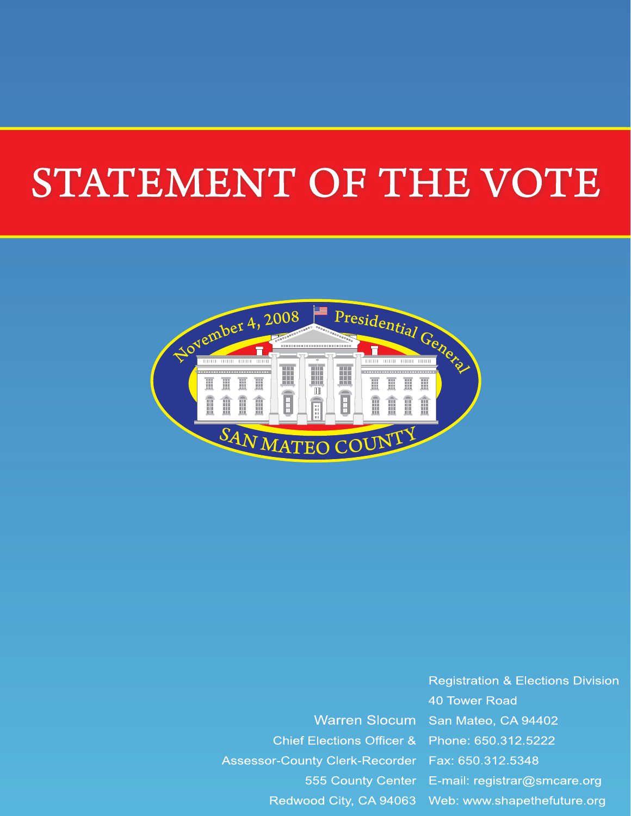# STATEMENT OF THE VOTE



**Warren Slocum Chief Elections Officer &** Assessor-County Clerk-Recorder Fax: 650.312.5348 555 County Center Redwood City, CA 94063

**Registration & Elections Division 40 Tower Road** San Mateo, CA 94402 Phone: 650.312.5222 E-mail: registrar@smcare.org Web: www.shapethefuture.org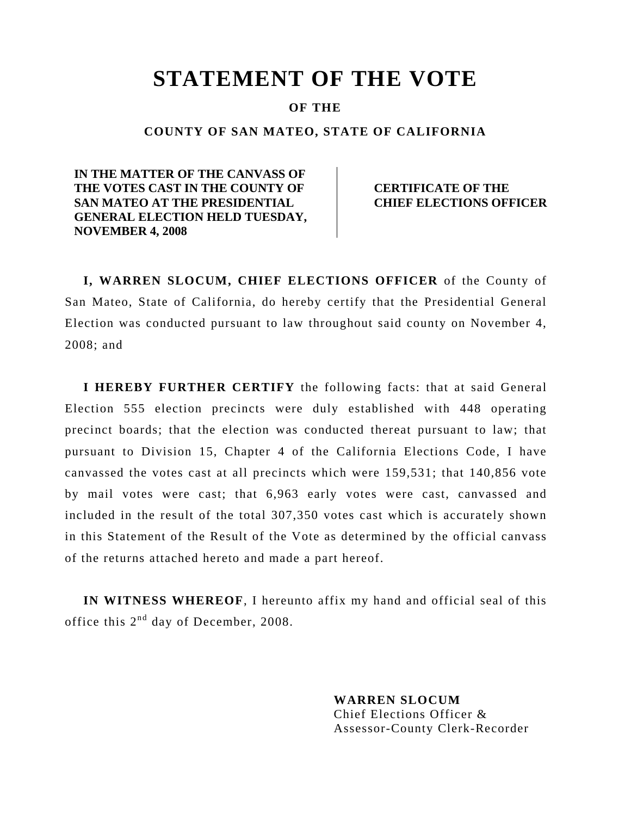# **STATEMENT OF THE VOTE**

#### **OF THE**

#### **COUNTY OF SAN MATEO, STATE OF CALIFORNIA**

**IN THE MATTER OF THE CANVASS OF THE VOTES CAST IN THE COUNTY OF SAN MATEO AT THE PRESIDENTIAL GENERAL ELECTION HELD TUESDAY, NOVEMBER 4, 2008** 

 **CERTIFICATE OF THE CHIEF ELECTIONS OFFICER** 

 **I, WARREN SLOCUM, CHIEF ELECTIONS OFFICER** of the County of San Mateo, State of California, do hereby certify that the Presidential General Election was conducted pursuant to law throughout said county on November 4, 2008; and

**I HEREBY FURTHER CERTIFY** the following facts: that at said General Election 555 election precincts were duly established with 448 operating precinct boards; that the election was conducted thereat pursuant to law; that pursuant to Division 15, Chapter 4 of the California Elections Code, I have canvassed the votes cast at all precincts which were 159,531; that 140,856 vote by mail votes were cast; that 6,963 early votes were cast, canvassed and included in the result of the total 307,350 votes cast which is accurately shown in this Statement of the Result of the Vote as determined by the official canvass of the returns attached hereto and made a part hereof.

**IN WITNESS WHEREOF**, I hereunto affix my hand and official seal of this office this  $2<sup>nd</sup>$  day of December, 2008.

> **WARREN SLOCUM**  Chief Elections Officer & Assessor-County Clerk-Recorder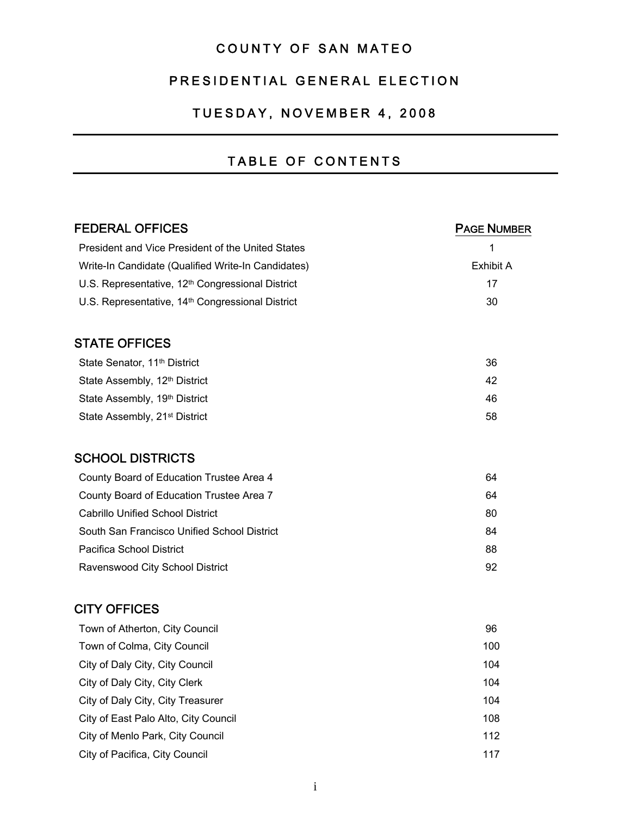## COUNTY OF SAN MATEO

#### PRESIDENTIAL GENERAL ELECTION

#### TUESDAY, NOVEMBER 4, 2008

#### TABLE OF CONTENTS

| <b>FEDERAL OFFICES</b>                                       | <b>PAGE NUMBER</b> |
|--------------------------------------------------------------|--------------------|
| President and Vice President of the United States            | 1                  |
| Write-In Candidate (Qualified Write-In Candidates)           | <b>Exhibit A</b>   |
| U.S. Representative, 12 <sup>th</sup> Congressional District | 17                 |
| U.S. Representative, 14 <sup>th</sup> Congressional District | 30                 |
| <b>STATE OFFICES</b>                                         |                    |
| State Senator, 11 <sup>th</sup> District                     | 36                 |
| State Assembly, 12 <sup>th</sup> District                    | 42                 |
| State Assembly, 19th District                                | 46                 |
| State Assembly, 21 <sup>st</sup> District                    | 58                 |
| <b>SCHOOL DISTRICTS</b>                                      |                    |
| County Board of Education Trustee Area 4                     | 64                 |
| County Board of Education Trustee Area 7                     | 64                 |
| <b>Cabrillo Unified School District</b>                      | 80                 |
| South San Francisco Unified School District                  | 84                 |
| Pacifica School District                                     | 88                 |
| Ravenswood City School District                              | 92                 |
| <b>CITY OFFICES</b>                                          |                    |
| Town of Atherton, City Council                               | 96                 |
| Town of Colma, City Council                                  | 100                |
| City of Daly City, City Council                              | 104                |
| City of Daly City, City Clerk                                | 104                |
| City of Daly City, City Treasurer                            | 104                |
| City of East Palo Alto, City Council                         | 108                |
| City of Menlo Park, City Council                             | 112                |
| City of Pacifica, City Council                               | 117                |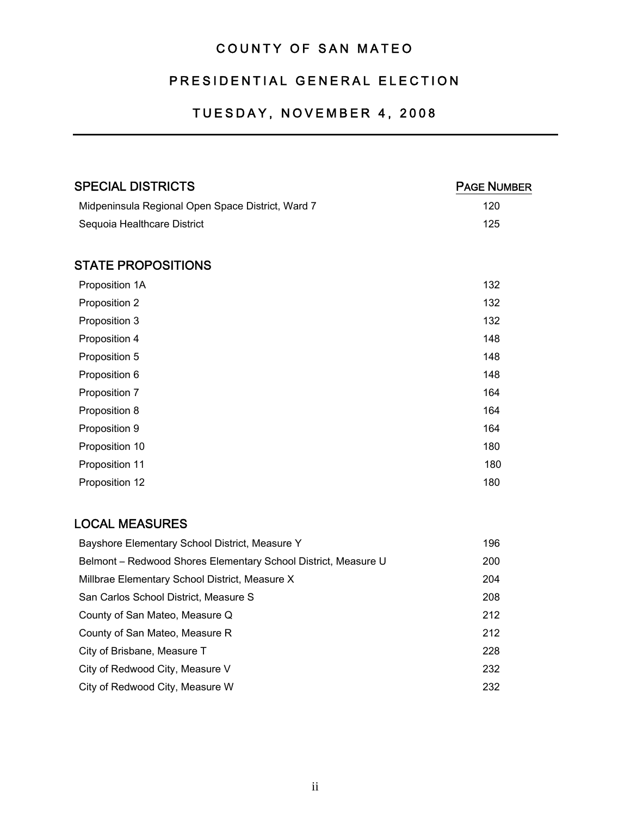## COUNTY OF SAN MATEO

#### PRESIDENTIAL GENERAL ELECTION

#### TUESDAY, NOVEMBER 4, 2008

| <b>SPECIAL DISTRICTS</b>                                       | <b>PAGE NUMBER</b> |
|----------------------------------------------------------------|--------------------|
| Midpeninsula Regional Open Space District, Ward 7              | 120                |
| Sequoia Healthcare District                                    | 125                |
| <b>STATE PROPOSITIONS</b>                                      |                    |
| Proposition 1A                                                 | 132                |
| Proposition 2                                                  | 132                |
| Proposition 3                                                  | 132                |
| Proposition 4                                                  | 148                |
| Proposition 5                                                  | 148                |
| Proposition 6                                                  | 148                |
| Proposition 7                                                  | 164                |
| Proposition 8                                                  | 164                |
| Proposition 9                                                  | 164                |
| Proposition 10                                                 | 180                |
| Proposition 11                                                 | 180                |
| Proposition 12                                                 | 180                |
| <b>LOCAL MEASURES</b>                                          |                    |
| Bayshore Elementary School District, Measure Y                 | 196                |
| Belmont - Redwood Shores Elementary School District, Measure U | 200                |

| Millbrae Elementary School District, Measure X | 204 |
|------------------------------------------------|-----|
| San Carlos School District, Measure S          | 208 |
| County of San Mateo, Measure Q                 | 212 |
| County of San Mateo, Measure R                 | 212 |
| City of Brisbane, Measure T                    | 228 |
| City of Redwood City, Measure V                | 232 |
| City of Redwood City, Measure W                | 232 |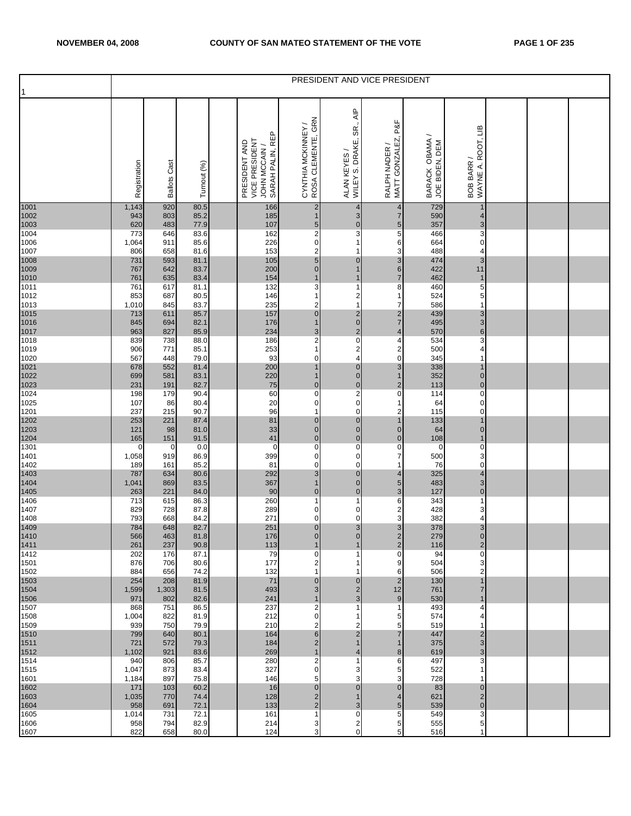| 1                            |              |                     |              |                                                                    |                                          |                                                                       | PRESIDENT AND VICE PRESIDENT           |                                  |                                  |  |  |
|------------------------------|--------------|---------------------|--------------|--------------------------------------------------------------------|------------------------------------------|-----------------------------------------------------------------------|----------------------------------------|----------------------------------|----------------------------------|--|--|
|                              | Registration | <b>Ballots Cast</b> | Turnout (%)  | SARAH PALIN, REP<br>VICE PRESIDENT<br>PRESIDENT AND<br>JOHN MCCAIN | CYNTHIA MCKINNEY /<br>ROSA CLEMENTE, GRN | $\overline{\mathsf{A}}$ IP<br>SR.,<br>WILEY S. DRAKE,<br>ALAN KEYES / | P&F<br>RALPH NADER /<br>MATT GONZALEZ, | BARACK OBAMA /<br>JOE BIDEN, DEM | BOB BARR /<br>WAYNE A. ROOT, LIB |  |  |
| 1001                         | 1,143<br>943 | 920<br>803          | 80.5<br>85.2 | 166<br>185                                                         | $\overline{2}$<br>$\mathbf 1$            | 4<br>3                                                                | 4<br>$\overline{7}$                    | 729<br>590                       | 1<br>4                           |  |  |
| 1002<br>1003<br>1004         | 620<br>773   | 483<br>646          | 77.9<br>83.6 | 107<br>162                                                         | $\sqrt{5}$<br>$\mathbf 2$                | $\pmb{\mathsf{O}}$<br>3                                               | $\overline{5}$<br>5                    | 357<br>466                       | 3<br>3                           |  |  |
| 1006<br>1007                 | 1,064<br>806 | 911<br>658          | 85.6<br>81.6 | 226<br>153                                                         | $\pmb{0}$<br>$\mathbf 2$                 | 1<br>1                                                                | 6<br>3                                 | 664<br>488                       | 0<br>4                           |  |  |
| 1008<br>1009<br>1010<br>1011 | 731<br>767   | 593<br>642          | 81.1<br>83.7 | 105<br>200                                                         | $\sqrt{5}$<br>$\pmb{0}$                  | $\mathbf 0$<br>$\mathbf{1}$                                           | 3<br>$6\phantom{.}6$                   | 474<br>422                       | 3<br>11                          |  |  |
|                              | 761          | 635                 | 83.4         | 154<br>132                                                         | $\mathbf 1$                              | $\mathbf{1}$                                                          | $\overline{7}$                         | 462                              | $\mathbf 1$                      |  |  |
| 1012                         | 761<br>853   | 617<br>687          | 81.1<br>80.5 | 146                                                                | 3<br>1                                   | 1<br>2                                                                | 8<br>1                                 | 460<br>524                       | 5<br>5                           |  |  |
| 1013                         | 1,010<br>713 | 845<br>611          | 83.7<br>85.7 | 235<br>157                                                         | 2<br>$\pmb{0}$                           | $\mathbf{1}$                                                          | 7                                      | 586<br>439                       | 1<br>3                           |  |  |
| 1015<br>1016<br>1017<br>1018 | 845<br>963   | 694<br>827          | 82.1<br>85.9 | 176<br>234                                                         | $\mathbf{1}$<br>$\sqrt{3}$               | $\frac{2}{0}$<br>$\overline{2}$                                       | $\frac{2}{7}$<br>$\overline{4}$        | 495<br>570                       | 3<br>$\,$ 6 $\,$                 |  |  |
|                              | 839          | 738                 | 88.0         | 186                                                                | $\mathbf 2$                              | $\overline{0}$                                                        | 4                                      | 534                              | 3                                |  |  |
| 1019<br>1020                 | 906<br>567   | 771<br>448          | 85.1<br>79.0 | 253<br>93                                                          | $\mathbf{1}$<br>0                        | $\frac{2}{4}$                                                         | $\overline{\mathbf{c}}$<br>0           | 500<br>345                       | 4<br>1                           |  |  |
| 1021<br>1022<br>1023<br>1024 | 678<br>699   | 552<br>581          | 81.4<br>83.1 | 200<br>220                                                         | $\overline{1}$<br>$\mathbf 1$            | $\mathbf 0$<br>$\pmb{0}$                                              | $\mathbf{3}$<br>$\overline{1}$         | 338<br>352                       | $\mathbf 1$<br>$\pmb{0}$         |  |  |
|                              | 231          | 191                 | 82.7         | 75                                                                 | $\pmb{0}$                                | $\frac{0}{2}$                                                         | $\mathbf 2$                            | 113                              | $\pmb{0}$                        |  |  |
| 1025                         | 198<br>107   | 179<br>86           | 90.4<br>80.4 | 60<br>20                                                           | $\pmb{0}$<br>0                           | $\mathsf{O}\xspace$                                                   | 0<br>1                                 | 114<br>64                        | 0<br>0                           |  |  |
| 1201                         | 237<br>253   | 215<br>221          | 90.7<br>87.4 | 96<br>81                                                           | 1<br>$\mathbf 0$                         | $\pmb{0}$<br>$\pmb{0}$                                                | $\overline{\mathbf{c}}$<br>1           | 115<br>133                       | $\mathbf 0$<br>$\overline{1}$    |  |  |
| 1202<br>1203<br>1204<br>1301 | 121          | 98                  | 81.0         | 33                                                                 | $\pmb{0}$                                | $\pmb{0}$                                                             | $\mathbf 0$                            | 64                               | $\pmb{0}$                        |  |  |
|                              | 165<br>0     | 151<br>0            | 91.5<br>0.0  | 41<br>$\pmb{0}$                                                    | $\pmb{0}$<br>$\pmb{0}$                   | $\mathbf 0$<br>$\mathsf{O}\xspace$                                    | $\mathbf 0$<br>$\pmb{0}$               | 108<br>$\mathbf 0$               | $\mathbf 1$<br>0                 |  |  |
| 1401<br>1402                 | 1,058<br>189 | 919<br>161          | 86.9<br>85.2 | 399<br>81                                                          | $\mathbf 0$<br>$\pmb{0}$                 | $\mathbf 0$<br>$\mathbf 0$                                            | $\overline{7}$<br>1                    | 500<br>76                        | 3<br>0                           |  |  |
|                              | 787          | 634                 | 80.6         | 292                                                                | $\mathsf 3$                              | $\pmb{0}$                                                             | 4                                      | 325                              | 4                                |  |  |
| 1403<br>1404<br>1405<br>1406 | 1,041<br>263 | 869<br>221          | 83.5<br>84.0 | 367<br>90                                                          | $\overline{1}$<br>$\pmb{0}$              | $\pmb{0}$<br>$\overline{0}$                                           | $\overline{5}$<br>3                    | 483<br>127                       | 3<br>$\mathbf 0$                 |  |  |
| 1407                         | 713<br>829   | 615<br>728          | 86.3<br>87.8 | 260<br>289                                                         | 1<br>$\mathbf 0$                         | 1<br>$\pmb{0}$                                                        | 6<br>$\overline{\mathbf{c}}$           | 343<br>428                       | $\mathbf{1}$<br>3                |  |  |
| 1408                         | 793          | 668                 | 84.2         | 271                                                                | $\pmb{0}$                                | $\mathbf 0$                                                           | 3                                      | 382                              | 4                                |  |  |
| 1409<br>1410                 | 784<br>566   | 648<br>463          | 82.7<br>81.8 | 251<br>176                                                         | $\pmb{0}$<br>$\overline{0}$              | 3<br>$\overline{0}$                                                   | 3<br>$\overline{2}$                    | 378<br>279                       | 3<br>$\overline{0}$              |  |  |
| 1411<br>1412                 | 261<br>202   | 237<br>176          | 90.8<br>87.1 | 113<br>79                                                          | $\mathbf 1$<br>$\pmb{0}$                 | 1<br>1                                                                | $\overline{2}$<br>0                    | 116<br>94                        | $\overline{2}$<br>0              |  |  |
| 1501                         | 876          | 706                 | 80.6         | 177                                                                | 2                                        | 1                                                                     | 9                                      | 504                              | 3                                |  |  |
| 1502<br>1503                 | 884<br>254   | 656<br>208          | 74.2<br>81.9 | 132<br>71                                                          | 1<br>$\mathbf 0$                         | 1<br>$\overline{0}$                                                   | 6<br>$\overline{2}$                    | 506<br>130                       | 2<br>$\mathbf 1$                 |  |  |
| 1504<br>1506                 | 1,599<br>971 | 1,303<br>802        | 81.5<br>82.6 | 493<br>241                                                         | 3                                        | $\overline{2}$<br>3                                                   | 12<br>9                                | 761<br>530                       | $\overline{7}$<br>$\mathbf 1$    |  |  |
| 1507                         | 868          | 751                 | 86.5         | 237                                                                | 2                                        | 1                                                                     |                                        | 493                              | 4                                |  |  |
| 1508<br>1509                 | 1,004<br>939 | 822<br>750          | 81.9<br>79.9 | 212<br>210                                                         | $\mathbf 0$<br>2                         | 1<br>2                                                                | 5<br>5                                 | 574<br>519                       | 4<br>1                           |  |  |
| 1510<br>1511                 | 799<br>721   | 640<br>572          | 80.1<br>79.3 | 164<br>184                                                         | $\,6$<br>$\overline{2}$                  | $\overline{c}$<br>$\mathbf{1}$                                        |                                        | 447<br>375                       | $\mathbf 2$<br>3                 |  |  |
| 1512                         | 1,102        | 921                 | 83.6         | 269                                                                | 1                                        | 4                                                                     | 8                                      | 619                              | 3                                |  |  |
| 1514<br>1515                 | 940<br>1,047 | 806<br>873          | 85.7<br>83.4 | 280<br>327                                                         | 2<br>0                                   | 1<br>3                                                                | 6<br>5                                 | 497<br>522                       | 3<br>1                           |  |  |
| 1601<br>1602                 | 1,184<br>171 | 897<br>103          | 75.8<br>60.2 | 146<br>16                                                          | 5<br>$\mathbf 0$                         | 3<br>0                                                                | 3                                      | 728<br>83                        | 0                                |  |  |
| 1603                         | 1,035        | 770                 | 74.4         | 128                                                                | $\mathbf 2$                              | $\mathbf 1$                                                           | 4                                      | 621                              | $\overline{c}$                   |  |  |
| 1604<br>1605                 | 958<br>1,014 | 691<br>731          | 72.1<br>72.1 | 133<br>161                                                         | $\overline{2}$<br>$\overline{1}$         | 3<br>$\mathbf 0$                                                      | 5<br>5                                 | 539<br>549                       | $\mathbf 0$<br>3                 |  |  |
| 1606<br>1607                 | 958<br>822   | 794<br>658          | 82.9<br>80.0 | 214<br>124                                                         | 3<br>3                                   | $\begin{array}{c} 2 \\ 0 \end{array}$                                 | 5<br>5                                 | 555<br>516                       | 5                                |  |  |
|                              |              |                     |              |                                                                    |                                          |                                                                       |                                        |                                  |                                  |  |  |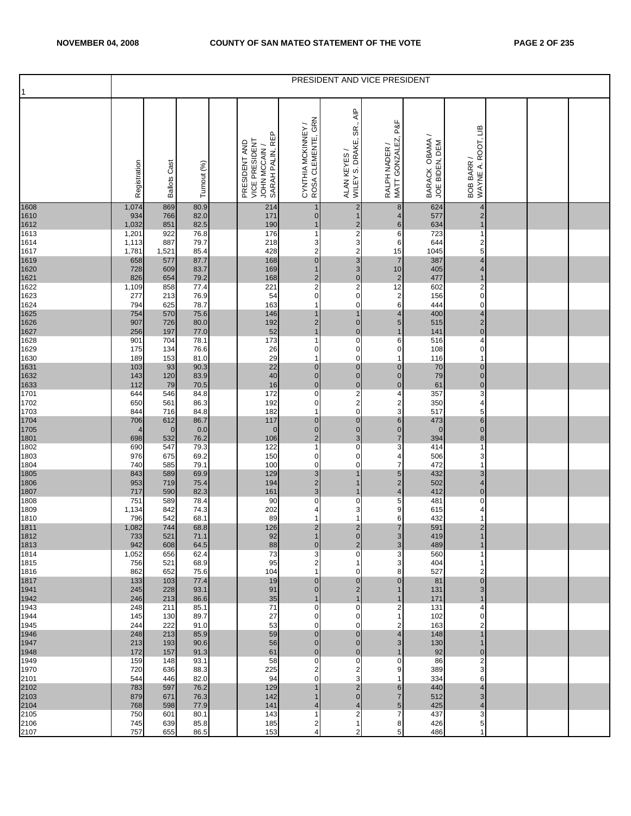|                      |                   |                     |                      |                                                                    |                                          |                                                                     | PRESIDENT AND VICE PRESIDENT        |                                  |                                       |  |  |
|----------------------|-------------------|---------------------|----------------------|--------------------------------------------------------------------|------------------------------------------|---------------------------------------------------------------------|-------------------------------------|----------------------------------|---------------------------------------|--|--|
|                      | Registration      | <b>Ballots Cast</b> | Turnout (%)          | SARAH PALIN, REP<br>VICE PRESIDENT<br>PRESIDENT AND<br>JOHN MCCAIN | CYNTHIA MCKINNEY /<br>ROSA CLEMENTE, GRN | $\overline{\mathsf{AP}}$<br>SR.,<br>WILEY S. DRAKE,<br>ALAN KEYES / | RALPH NADER /<br>MATT GONZALEZ, P&F | BARACK OBAMA /<br>JOE BIDEN, DEM | WAYNE A. ROOT, LIB<br>BOB BARR /      |  |  |
| 1608<br>1610         | 1,074<br>934      | 869<br>766          | 80.9<br>82.0         | 214<br>171                                                         | 1<br>$\overline{0}$                      | $\overline{\mathbf{c}}$<br>$\mathbf{1}$                             | $\bf 8$<br>$\overline{4}$           | 624<br>577                       | 4<br>$\overline{\mathbf{c}}$          |  |  |
| 1612<br>1613         | 1,032<br>1,201    | 851<br>922          | 82.5<br>76.8         | 190<br>176                                                         | $\mathbf 1$<br>$\mathbf{1}$              | $\begin{array}{c} 2 \\ 2 \end{array}$                               | $6\,$<br>6                          | 634<br>723                       | $\overline{1}$<br>1                   |  |  |
| 1614<br>1617         | 1,113<br>1,781    | 887<br>1,521        | 79.7<br>85.4         | 218<br>428                                                         | 3<br>$\overline{2}$                      |                                                                     | 6<br>15                             | 644<br>1045                      | 2<br>5                                |  |  |
| 1619<br>1620         | 658               | 577                 | 87.7                 | 168                                                                | $\overline{0}$                           | 3<br>3                                                              | $\overline{7}$                      | 387                              | 4                                     |  |  |
| 1621                 | 728<br>826        | 609<br>654          | 83.7<br>79.2         | 169<br>168                                                         | $\mathbf{1}$<br>$\overline{2}$           | $\overline{0}$                                                      | 10<br>$\overline{2}$                | 405<br>477                       | 4<br>$\mathbf 1$                      |  |  |
| 1622<br>1623         | 1,109<br>277      | 858<br>213          | 77.4<br>76.9         | 221<br>54                                                          | $\mathbf 2$<br>$\mathbf 0$               | $\frac{2}{0}$                                                       | 12<br>$\overline{\mathbf{c}}$       | 602<br>156                       | $\overline{\mathbf{c}}$<br>$\pmb{0}$  |  |  |
| 1624<br>1625         | 794<br>754        | 625<br>570          | 78.7<br>75.6         | 163<br>146                                                         | $\mathbf 1$<br>$\mathbf{1}$              | $\pmb{0}$<br>$\mathbf{1}$                                           | $\,6$<br>4                          | 444<br>400                       | $\mathbf 0$<br>$\overline{4}$         |  |  |
| 1626                 | 907               | 726                 | 80.0                 | 192                                                                | $\overline{2}$                           | $\overline{0}$                                                      | 5                                   | 515                              | $\begin{array}{c} 2 \\ 0 \end{array}$ |  |  |
| 1627<br>1628         | 256<br>901        | 197<br>704          | 77.0<br>78.1         | 52<br>173                                                          | 1<br>$\mathbf{1}$                        | $\overline{0}$<br>$\overline{\text{o}}$                             | 1<br>6                              | 141<br>516                       | 4                                     |  |  |
| 1629<br>1630         | 175<br>189        | 134<br>153          | 76.6<br>81.0         | 26<br>29                                                           | $\mathbf 0$<br>$\overline{1}$            | $\mathbf 0$<br>$\mathsf{o}$                                         | $\mathbf 0$<br>1                    | 108<br>116                       | $\mathbf 0$<br>1                      |  |  |
| 1631<br>1632         | 103<br>143        | 93<br>120           | 90.3<br>83.9         | 22<br>40                                                           | $\mathbf 0$<br>$\pmb{0}$                 | $\mathbf 0$<br>$\overline{\mathbf{0}}$                              | $\mathbf 0$<br>$\overline{0}$       | 70<br>79                         | $\pmb{0}$<br>$\pmb{0}$                |  |  |
| 1633<br>1701         | 112               | 79                  | 70.5                 | 16                                                                 | $\pmb{0}$                                |                                                                     | $\pmb{0}$                           | 61                               | $\pmb{0}$                             |  |  |
| 1702                 | 644<br>650        | 546<br>561          | 84.8<br>86.3         | 172<br>192                                                         | $\mathbf 0$<br>$\mathbf 0$               | $\begin{array}{c} 0 \\ 2 \\ 0 \end{array}$                          | 4<br>2                              | 357<br>350                       | 3<br>4                                |  |  |
| 1703                 | 844<br>706        | 716<br>612          | 84.8<br>86.7         | 182<br>117                                                         | $\mathbf{1}$<br>$\overline{0}$           | $\overline{0}$                                                      | 3<br>6                              | 517<br>473                       | 5<br>$6 \,$                           |  |  |
| 1704<br>1705         | 4                 | $\mathbf{0}$        | 0.0                  | $\pmb{0}$                                                          | $\pmb{0}$                                | $\mathbf{0}$                                                        | $\mathbf 0$                         | $\mathbf 0$                      | $\pmb{0}$                             |  |  |
| 1801<br>1802         | 698<br>690        | 532<br>547          | 76.2<br>79.3         | 106<br>122                                                         | $\mathbf 2$<br>-1                        | 3<br>$\mathbf 0$                                                    | $\overline{7}$<br>3                 | 394<br>414                       | 8<br>1                                |  |  |
| 1803<br>1804         | 976<br>740        | 675<br>585          | 69.2<br>79.1         | 150<br>100                                                         | $\mathbf 0$<br>$\mathbf 0$               | $\mathsf{O}$<br>0                                                   | 4<br>$\overline{7}$                 | 506<br>472                       | 3                                     |  |  |
| 1805                 | 843<br>953        | 589<br>719          | 69.9<br>75.4         | 129<br>194                                                         | $\mathbf{3}$<br>$\overline{2}$           | 1<br>1                                                              | 5<br>$\overline{a}$                 | 432<br>502                       | 3<br>4                                |  |  |
| 1806<br>1807         | 717               | 590                 | 82.3                 | 161                                                                | $\mathbf{3}$                             | 1                                                                   | $\overline{\mathbf{4}}$             | 412                              | $\overline{0}$                        |  |  |
| 1808<br>1809         | 751<br>1,134      | 589<br>842          | 78.4<br>74.3         | 90<br>202                                                          | $\mathbf 0$<br>4                         | $\pmb{0}$<br>3                                                      | 5<br>9                              | 481<br>615                       | 0<br>4                                |  |  |
| 1810                 | 796<br>1,082      | 542<br>744          | 68.1<br>68.8         | 89<br>126                                                          | -1<br>$\overline{c}$                     | $\mathbf{1}$                                                        | 6<br>$\overline{7}$                 | 432<br>591                       | 2                                     |  |  |
| 1811<br>1812         | 733               | 521                 | 71.1                 | 92                                                                 | $\mathbf{1}$                             | $\frac{2}{0}$                                                       | $\overline{3}$                      | 419                              | $\overline{1}$                        |  |  |
| 1813<br>1814         | 942<br>1,052      | 608<br>656          | 64.5<br>62.4         | 88<br>73                                                           | $\mathbf{0}$<br>3                        | 2<br>0                                                              | 3<br>3                              | 489<br>560                       |                                       |  |  |
| 1815<br>1816         | 756<br>862        | 521<br>652          | 68.9<br>75.6         | 95<br>104                                                          | 2<br>-1                                  | 1<br>0                                                              | 3<br>8                              | 404<br>527                       | 2                                     |  |  |
| 1817                 | 133               | 103                 | 77.4                 | 19                                                                 | $\overline{0}$                           | $\overline{0}$                                                      | 0                                   | 81                               | $\mathbf 0$                           |  |  |
| 1941<br>1942         | 245<br>246        | 228<br>213          | 93.1<br>86.6         | 91<br>35                                                           | $\overline{0}$                           | $\overline{a}$<br>$\mathbf{1}$                                      |                                     | 131<br>171                       | 3                                     |  |  |
| 1943<br>1944         | 248<br>145        | 211<br>130          | 85.1<br>89.7         | 71<br>27                                                           | $\mathbf 0$<br>$\mathbf 0$               | $\pmb{0}$<br>0                                                      | 2                                   | 131<br>102                       | 4<br>0                                |  |  |
| 1945                 | 244               | 222                 | 91.0                 | 53                                                                 | 0<br>$\overline{0}$                      | 0<br>$\mathbf 0$                                                    | 2                                   | 163                              | 2<br>$\overline{1}$                   |  |  |
| 1946<br>1947<br>1948 | 248<br>213<br>172 | 213<br>193<br>157   | 85.9<br>90.6<br>91.3 | 59<br>56<br>61                                                     | $\overline{0}$<br>$\overline{0}$         | $\overline{0}$<br>$\overline{0}$                                    | 4<br>3<br>$\mathbf{1}$              | 148<br>130<br>92                 | 1<br>$\mathbf 0$                      |  |  |
| 1949<br>1970         | 159<br>720        | 148<br>636          | 93.1<br>88.3         | 58<br>225                                                          | $\mathbf 0$<br>$\overline{2}$            | 0<br>$\overline{\mathbf{c}}$                                        | $\mathbf 0$<br>9                    | 86<br>389                        | 2<br>3                                |  |  |
| 2101                 | 544               | 446                 | 82.0                 | 94                                                                 | $\mathbf{O}$                             | 3                                                                   |                                     | 334                              | 6                                     |  |  |
| 2102                 | 783<br>879        | 597<br>671          | 76.2<br>76.3         | 129<br>142                                                         |                                          | 2<br>$\overline{0}$                                                 | 6<br>$\overline{7}$                 | 440<br>512                       | 4<br>3                                |  |  |
| 2103<br>2104<br>2105 | 768<br>750        | 598<br>601          | 77.9<br>80.1         | 141<br>143                                                         | 4<br>-1                                  | 4<br>2                                                              | 5<br>$\overline{7}$                 | 425<br>437                       | 4<br>3                                |  |  |
| 2106                 | 745               | 639                 | 85.8                 | 185                                                                | $\overline{c}$                           | 1                                                                   | 8                                   | 426                              | 5                                     |  |  |
| 2107                 | 757               | 655                 | 86.5                 | 153                                                                | 4                                        | 2                                                                   | 5                                   | 486                              |                                       |  |  |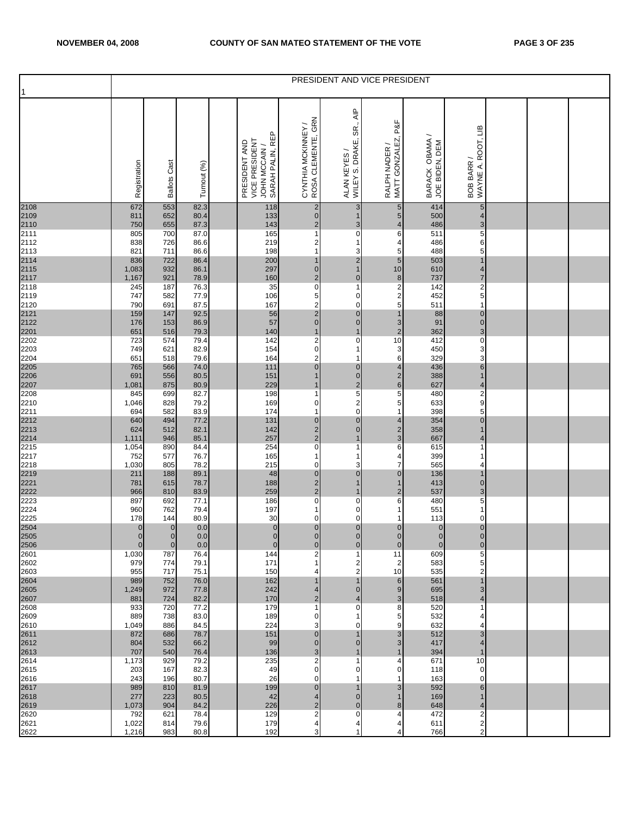|                                                                                                           |                                  |                                  |              |                                                                    |                                           |                                                                     | PRESIDENT AND VICE PRESIDENT        |                                  |                                  |  |  |
|-----------------------------------------------------------------------------------------------------------|----------------------------------|----------------------------------|--------------|--------------------------------------------------------------------|-------------------------------------------|---------------------------------------------------------------------|-------------------------------------|----------------------------------|----------------------------------|--|--|
|                                                                                                           | Registration                     | <b>Ballots Cast</b>              | Turnout (%)  | SARAH PALIN, REP<br>VICE PRESIDENT<br>PRESIDENT AND<br>JOHN MCCAIN | CYNTHIA MCKINNEY /<br>ROSA CLEMENTE, GRN  | $\overline{\mathsf{AP}}$<br>SR.,<br>WILEY S. DRAKE,<br>ALAN KEYES / | RALPH NADER /<br>MATT GONZALEZ, P&F | BARACK OBAMA /<br>JOE BIDEN, DEM | WAYNE A. ROOT, LIB<br>BOB BARR / |  |  |
| 2108<br>2109<br>2110<br>2111<br>2112<br>2113<br>2114<br>2115<br>2117<br>2118<br>212<br>212<br>212<br>2201 | 672<br>811                       | 553<br>652                       | 82.3<br>80.4 | 118<br>133                                                         | $\overline{2}$<br>$\overline{0}$          | 3<br>$\mathbf{1}$                                                   | $\sqrt{5}$<br>5                     | 414<br>500                       | 5<br>4                           |  |  |
|                                                                                                           | 750                              | 655                              | 87.3         | 143                                                                | $\overline{2}$                            | 3                                                                   | 4                                   | 486                              | 3                                |  |  |
|                                                                                                           | 805<br>838                       | 700<br>726                       | 87.0<br>86.6 | 165<br>219                                                         | $\mathbf{1}$<br>$\overline{2}$            | $\pmb{0}$<br>1                                                      | 6<br>4                              | 511<br>486                       | 5<br>6                           |  |  |
|                                                                                                           | 821                              | 711                              | 86.6         | 198                                                                | $\mathbf{1}$                              | 3                                                                   | 5                                   | 488                              | 5                                |  |  |
|                                                                                                           | 836<br>1,083                     | 722<br>932                       | 86.4<br>86.1 | 200<br>297                                                         | 1<br>$\pmb{0}$                            | $\overline{c}$<br>$\mathbf{1}$                                      | $\sqrt{5}$<br>10                    | 503<br>610                       | $\mathbf 1$<br>4                 |  |  |
|                                                                                                           | 1,167                            | 921                              | 78.9         | 160                                                                | $\overline{2}$                            | $\overline{0}$                                                      | $\bf{8}$                            | 737                              | 7                                |  |  |
|                                                                                                           | 245                              | 187                              | 76.3         | 35                                                                 | $\pmb{0}$                                 | 1                                                                   | $\overline{\mathbf{c}}$             | 142                              | $\overline{\mathbf{c}}$          |  |  |
|                                                                                                           | 747<br>790                       | 582<br>691                       | 77.9<br>87.5 | 106<br>167                                                         | 5<br>$\overline{\mathbf{c}}$              | $\pmb{0}$<br>$\pmb{0}$                                              | $\overline{a}$<br>5                 | 452<br>511                       | 5<br>1                           |  |  |
|                                                                                                           | 159                              | 147                              | 92.5         | 56                                                                 | $\overline{\mathbf{c}}$                   | $\overline{0}$                                                      | $\mathbf{1}$                        | 88                               | 0                                |  |  |
|                                                                                                           | 176<br>651                       | 153<br>516                       | 86.9<br>79.3 | 57<br>140                                                          | $\mathsf{O}\xspace$<br>1                  | $\overline{0}$<br>$\mathbf{1}$                                      | $\mathbf{3}$<br>$\overline{2}$      | 91<br>362                        | $\pmb{0}$<br>3                   |  |  |
|                                                                                                           | 723                              | 574                              | 79.4         | 142                                                                | $\overline{\mathbf{c}}$                   | $\pmb{0}$                                                           | 10                                  | 412                              | $\pmb{0}$                        |  |  |
| 2203                                                                                                      | 749                              | 621                              | 82.9         | 154                                                                | $\pmb{0}$                                 | $\mathbf{1}$                                                        | 3                                   | 450                              | 3                                |  |  |
| 2204                                                                                                      | 651<br>765                       | 518<br>566                       | 79.6<br>74.0 | 164<br>111                                                         | $\overline{\mathbf{c}}$<br>$\mathbf 0$    | $\mathbf{1}$<br>$\overline{0}$                                      | 6<br>$\overline{4}$                 | 329<br>436                       | 3<br>$6\phantom{a}$              |  |  |
| 2205<br>2206<br>2207<br>2208                                                                              | 691                              | 556                              | 80.5         | 151                                                                | 1                                         | $\mathbf 0$                                                         | $\overline{\mathbf{c}}$             | 388                              | $\mathbf 1$                      |  |  |
|                                                                                                           | 1,081<br>845                     | 875<br>699                       | 80.9<br>82.7 | 229<br>198                                                         | 1<br>$\mathbf{1}$                         | $\frac{2}{5}$                                                       | $\mathbf 6$<br>5                    | 627<br>480                       | 4<br>2                           |  |  |
|                                                                                                           | 1,046                            | 828                              | 79.2         | 169                                                                | $\mathbf 0$                               | $\begin{array}{c} 2 \\ 0 \end{array}$                               | 5                                   | 633                              | 9                                |  |  |
|                                                                                                           | 694<br>640                       | 582<br>494                       | 83.9<br>77.2 | 174<br>131                                                         | $\mathbf{1}$<br>$\overline{0}$            | $\overline{0}$                                                      | $\mathbf{1}$                        | 398<br>354                       | 5<br>0                           |  |  |
|                                                                                                           | 624                              | 512                              | 82.1         | 142                                                                | $\overline{\mathbf{c}}$                   | $\overline{0}$                                                      | 4<br>$\overline{\mathbf{c}}$        | 358                              | $\mathbf 1$                      |  |  |
| 2210<br>2211<br>2212<br>2213<br>2214<br>2215                                                              | 1,111                            | 946                              | 85.1         | 257                                                                | $\overline{c}$                            | $\mathbf{1}$                                                        | 3                                   | 667                              | 4                                |  |  |
| 2217                                                                                                      | 1,054<br>752                     | 890<br>577                       | 84.4<br>76.7 | 254<br>165                                                         | $\mathbf 0$<br>$\mathbf{1}$               | 1<br>$\mathbf{1}$                                                   | 6<br>$\overline{4}$                 | 615<br>399                       | f<br>1                           |  |  |
| 2218                                                                                                      | 1,030                            | 805                              | 78.2         | 215                                                                | $\mathbf 0$                               | 3                                                                   | $\overline{7}$                      | 565                              | 4                                |  |  |
| 2219<br>2221<br>2222<br>2222                                                                              | 211<br>781                       | 188<br>615                       | 89.1<br>78.7 | 48<br>188                                                          | $\pmb{0}$<br>$\overline{2}$               | $\overline{0}$<br>1                                                 | $\overline{0}$<br>$\mathbf{1}$      | 136<br>413                       | 1<br>$\mathbf 0$                 |  |  |
|                                                                                                           | 966                              | 810                              | 83.9         | 259                                                                | $\mathbf{2}$                              | 1                                                                   | $\overline{a}$                      | 537                              | 3                                |  |  |
|                                                                                                           | 897                              | 692                              | 77.1         | 186                                                                | $\mathbf 0$                               | $\pmb{0}$                                                           | 6                                   | 480                              | 5                                |  |  |
| 2224<br>2225                                                                                              | 960<br>178                       | 762<br>144                       | 79.4<br>80.9 | 197<br>30                                                          | $\mathbf 1$<br>$\mathbf 0$                | 0<br>$\mathbf 0$                                                    | 1<br>1                              | 551<br>113                       | 1<br>$\mathbf 0$                 |  |  |
| 2504<br>2505                                                                                              | $\pmb{0}$                        | $\pmb{0}$                        | $0.0\,$      | $\mathbf 0$                                                        | $\overline{0}$                            | $\mathbf 0$                                                         | $\overline{0}$                      | $\pmb{0}$                        | $\pmb{0}$                        |  |  |
| 2506                                                                                                      | $\overline{0}$<br>$\overline{0}$ | $\overline{0}$<br>$\overline{0}$ | 0.0<br>0.0   | $\overline{0}$<br>$\overline{0}$                                   | $\overline{0}$<br>$\mathbf{0}$            | $\overline{0}$<br>$\mathbf 0$                                       | $\overline{0}$<br>$\mathbf{0}$      | $\overline{0}$<br>$\mathbf 0$    | $\overline{O}$<br>$\mathbf 0$    |  |  |
| 2601                                                                                                      | 1,030                            | 787                              | 76.4         | 144                                                                | $\overline{2}$                            | 1                                                                   | 11                                  | 609                              | 5                                |  |  |
| 2602<br>2603                                                                                              | 979<br>955                       | 774<br>717                       | 79.1<br>75.1 | 171<br>150                                                         | -1<br>4                                   | 2<br>2                                                              | 2<br>10                             | 583<br>535                       | 5<br>2                           |  |  |
| 2604                                                                                                      | 989                              | 752                              | 76.0         | 162                                                                | 1                                         | $\mathbf{1}$                                                        | 6                                   | 561                              | $\mathbf 1$                      |  |  |
| 2605<br>2607                                                                                              | 1,249                            | 972                              | 77.8         | 242                                                                | 4                                         | $\overline{0}$                                                      | $\overline{9}$                      | 695                              | 3                                |  |  |
| 2608                                                                                                      | 881<br>933                       | 724<br>720                       | 82.2<br>77.2 | 170<br>179                                                         | $\overline{\mathbf{c}}$<br>$\overline{1}$ | 4<br>$\pmb{0}$                                                      | 3<br>8                              | 518<br>520                       | 4<br>1                           |  |  |
| 2609                                                                                                      | 889                              | 738                              | 83.0         | 189                                                                | $\mathbf 0$                               | 1                                                                   | 5                                   | 532                              | 4                                |  |  |
| 2610<br>2611                                                                                              | 1,049<br>872                     | 886<br>686                       | 84.5<br>78.7 | 224<br>151                                                         | 3<br>$\overline{0}$                       | 0<br>$\mathbf{1}$                                                   | 9<br>3                              | 632<br>512                       | 4<br>3                           |  |  |
| 2612                                                                                                      | 804                              | 532                              | 66.2         | 99                                                                 | $\overline{0}$                            | 0                                                                   | 3                                   | 417                              | 4                                |  |  |
| 2613<br>2614                                                                                              | 707                              | 540<br>929                       | 76.4         | 136                                                                | 3<br>$\overline{2}$                       | 1<br>$\mathbf{1}$                                                   | $\mathbf{1}$<br>4                   | 394<br>671                       | $\mathbf 1$                      |  |  |
| 2615                                                                                                      | 1,173<br>203                     | 167                              | 79.2<br>82.3 | 235<br>49                                                          | $\mathbf 0$                               | 0                                                                   | 0                                   | 118                              | 10<br>$\mathbf 0$                |  |  |
| 2616                                                                                                      | 243                              | 196                              | 80.7         | 26                                                                 | $\mathbf{O}$                              | 1                                                                   |                                     | 163                              | 0                                |  |  |
| 2617<br>2618                                                                                              | 989<br>277                       | 810<br>223                       | 81.9<br>80.5 | 199<br>42                                                          | $\overline{0}$<br>$\overline{4}$          | 1<br>$\overline{0}$                                                 | 3<br>1                              | 592<br>169                       | 6<br>$\mathbf 1$                 |  |  |
| 2619                                                                                                      | 1,073                            | 904                              | 84.2         | 226                                                                | $\mathbf 2$                               | $\overline{0}$                                                      | 8                                   | 648                              | 4                                |  |  |
| 2620<br>2621                                                                                              | 792<br>1,022                     | 621<br>814                       | 78.4<br>79.6 | 129<br>179                                                         | $\overline{\mathbf{c}}$<br>4              | $\mathbf 0$<br>4                                                    | 4<br>4                              | 472<br>611                       | 2<br>2                           |  |  |
| 2622                                                                                                      | 1,216                            | 983                              | 80.8         | 192                                                                | 3                                         | 1                                                                   | 4                                   | 766                              | 2                                |  |  |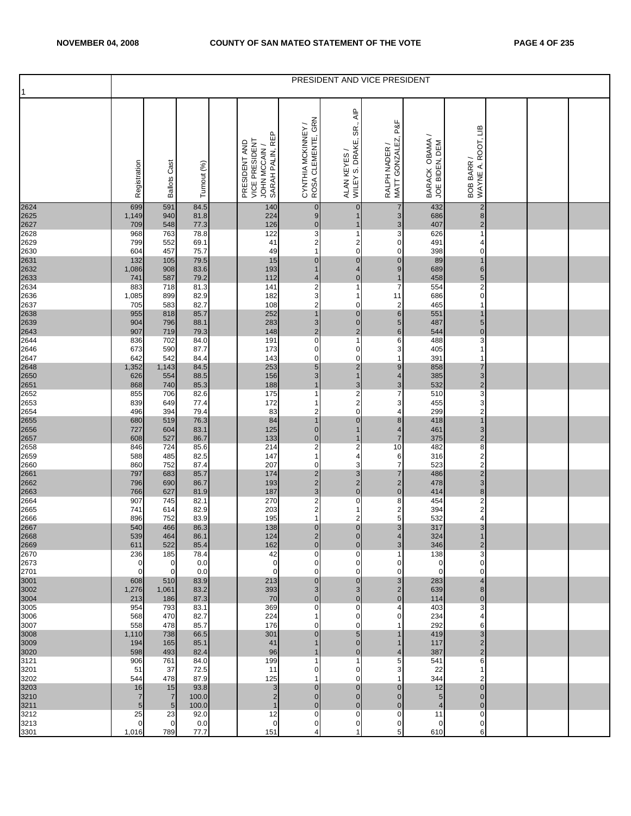| 1                            |              |                              |                |                                                                    |                                           |                                                                       | PRESIDENT AND VICE PRESIDENT           |                                  |                                           |  |  |
|------------------------------|--------------|------------------------------|----------------|--------------------------------------------------------------------|-------------------------------------------|-----------------------------------------------------------------------|----------------------------------------|----------------------------------|-------------------------------------------|--|--|
|                              | Registration | <b>Ballots Cast</b>          | Turnout (%)    | SARAH PALIN, REP<br>VICE PRESIDENT<br>PRESIDENT AND<br>JOHN MCCAIN | CYNTHIA MCKINNEY /<br>ROSA CLEMENTE, GRN  | $\overline{\mathsf{A}}$ IP<br>SR.,<br>WILEY S. DRAKE,<br>ALAN KEYES / | P&F<br>RALPH NADER /<br>MATT GONZALEZ, | BARACK OBAMA /<br>JOE BIDEN, DEM | BOB BARR /<br>WAYNE A. ROOT, LIB          |  |  |
| 2624<br>2625<br>2627<br>2628 | 699<br>1,149 | 591<br>940                   | 84.5<br>81.8   | 140<br>224                                                         | $\mathbf 0$<br>$9\,$                      | $\pmb{0}$<br>1                                                        | $\overline{7}$<br>3                    | 432<br>686                       | $\overline{\mathbf{c}}$<br>$\bf8$         |  |  |
|                              | 709<br>968   | 548<br>763                   | 77.3<br>78.8   | 126<br>122                                                         | $\pmb{0}$<br>3                            | $\mathbf{1}$<br>1                                                     | $\mathsf 3$<br>3                       | 407<br>626                       | $\mathbf 2$<br>1                          |  |  |
| 2629                         | 799          | 552                          | 69.1           | 41                                                                 | $\overline{\mathbf{c}}$                   | $\begin{array}{c} 2 \\ 0 \end{array}$                                 | 0                                      | 491                              | 4                                         |  |  |
| 2630                         | 604<br>132   | 457<br>105                   | 75.7<br>79.5   | 49<br>15                                                           | $\mathbf{1}$<br>$\mathbf 0$               | $\pmb{0}$                                                             | $\mathbf 0$<br>$\mathbf 0$             | 398<br>89                        | 0<br>$\overline{1}$                       |  |  |
| 2631<br>2632<br>2633<br>2634 | 1,086        | 908                          | 83.6           | 193                                                                | $\mathbf{1}$                              | 4                                                                     | $\boldsymbol{9}$                       | 689                              | 6                                         |  |  |
|                              | 741<br>883   | 587<br>718                   | 79.2<br>81.3   | 112<br>141                                                         | $\overline{4}$<br>$\overline{\mathbf{c}}$ | $\overline{0}$<br>1                                                   | 1<br>$\overline{7}$                    | 458<br>554                       | 5<br>2                                    |  |  |
| 2636                         | 1,085        | 899                          | 82.9           | 182                                                                | $\ensuremath{\mathsf{3}}$                 | 1                                                                     | 11                                     | 686                              | $\pmb{0}$                                 |  |  |
| 2637                         | 705<br>955   | 583<br>818                   | 82.7<br>85.7   | 108<br>252                                                         | $\overline{\mathbf{c}}$<br>$\mathbf{1}$   | 0<br>$\pmb{0}$                                                        | $\mathbf 2$<br>$6\phantom{.}$          | 465<br>551                       | 1<br>$\mathbf 1$                          |  |  |
| 2638<br>2639<br>2643<br>2644 | 904          | 796                          | 88.1           | 283                                                                | $\sqrt{3}$                                | $\pmb{0}$                                                             | $\overline{5}$                         | 487                              | 5                                         |  |  |
|                              | 907<br>836   | 719<br>702                   | 79.3<br>84.0   | 148<br>191                                                         | $\overline{2}$<br>$\pmb{0}$               | $\overline{2}$<br>$\mathbf{1}$                                        | $\,$ 6<br>6                            | 544<br>488                       | $\pmb{0}$<br>3                            |  |  |
| 2646                         | 673          | 590                          | 87.7           | 173                                                                | $\pmb{0}$                                 | $\pmb{0}$                                                             | 3                                      | 405                              | 1                                         |  |  |
| 2647                         | 642<br>1,352 | 542<br>1,143                 | 84.4<br>84.5   | 143<br>253                                                         | $\mathbf 0$<br>$\sqrt{5}$                 | $\mathbf 0$<br>$\overline{\mathbf{c}}$                                | 1<br>$\overline{9}$                    | 391<br>858                       | 1<br>$\overline{7}$                       |  |  |
| 2648<br>2650<br>2651<br>2652 | 626          | 554                          | 88.5           | 156                                                                | 3                                         | $\mathbf{1}$                                                          | $\overline{4}$                         | 385                              | 3                                         |  |  |
|                              | 868<br>855   | 740<br>706                   | 85.3<br>82.6   | 188<br>175                                                         | $\mathbf{1}$<br>1                         |                                                                       | 3<br>7                                 | 532<br>510                       | $\overline{\mathbf{c}}$<br>3              |  |  |
| 2653                         | 839          | 649                          | 77.4           | 172                                                                | 1                                         | $\begin{array}{c} 3 \\ 2 \\ 0 \end{array}$                            | 3                                      | 455                              | 3                                         |  |  |
| 2654                         | 496<br>680   | 394<br>519                   | 79.4<br>76.3   | 83<br>84                                                           | 2<br>1                                    | $\overline{0}$                                                        | 4<br>8                                 | 299<br>418                       | $\boldsymbol{2}$<br>$\overline{1}$        |  |  |
|                              | 727          | 604                          | 83.1           | 125                                                                | $\pmb{0}$                                 | $\mathbf{1}$                                                          | 4                                      | 461                              | 3                                         |  |  |
| 2655<br>2656<br>2657<br>2658 | 608<br>846   | 527<br>724                   | 86.7<br>85.6   | 133<br>214                                                         | $\pmb{0}$<br>$\overline{\mathbf{c}}$      | $\mathbf{1}$<br>$\overline{\mathbf{c}}$                               | $\overline{7}$<br>10                   | 375<br>482                       | $\overline{c}$<br>8                       |  |  |
| 2659                         | 588          | 485                          | 82.5           | 147                                                                | $\mathbf{1}$                              | 4                                                                     | 6                                      | 316                              | $\overline{\mathbf{c}}$                   |  |  |
| 2660                         | 860<br>797   | 752<br>683                   | 87.4<br>85.7   | 207<br>174                                                         | 0<br>$\overline{\mathbf{c}}$              | 3<br>$\mathbf{3}$                                                     | $\overline{7}$<br>$\overline{7}$       | 523<br>486                       | $\overline{2}$<br>$\overline{\mathbf{c}}$ |  |  |
| 2661<br>2662<br>2663<br>2664 | 796          | 690                          | 86.7           | 193                                                                | $\overline{\mathbf{c}}$                   | $\frac{2}{0}$                                                         | $\mathbf 2$                            | 478                              | 3                                         |  |  |
|                              | 766<br>907   | 627<br>745                   | 81.9<br>82.1   | 187<br>270                                                         | $\mathsf 3$<br>2                          | $\mathbf 0$                                                           | $\pmb{0}$<br>8                         | 414<br>454                       | 8<br>2                                    |  |  |
| 2665                         | 741          | 614                          | 82.9           | 203                                                                | $\overline{\mathbf{c}}$                   | 1                                                                     | $\overline{\mathbf{c}}$                | 394                              | $\overline{\mathbf{c}}$                   |  |  |
| 2666                         | 896<br>540   | 752<br>466                   | 83.9<br>86.3   | 195<br>138                                                         | 1<br>$\overline{0}$                       | 2<br>$\overline{\mathbf{0}}$                                          | 5<br>3                                 | 532<br>317                       | 4<br>3                                    |  |  |
| 2667<br>2668                 | 539          | 464                          | 86.1           | 124                                                                | $\overline{2}$                            | $\overline{O}$                                                        | $\overline{4}$                         | 324                              | $\mathbf{1}$                              |  |  |
| 2669<br>2670                 | 611<br>236   | 522<br>185                   | 85.4<br>78.4   | 162<br>42                                                          | $\mathbf 0$<br>0                          | $\mathbf 0$<br>0                                                      | 3                                      | 346<br>138                       | $\overline{2}$<br>3                       |  |  |
| 2673                         | 0            | 0<br>$\mathbf 0$             | 0.0            | $\mathbf 0$<br>$\mathbf 0$                                         | 0                                         | 0<br>$\mathbf 0$                                                      | 0<br>0                                 | 0<br>$\mathbf 0$                 | 0<br>$\mathbf 0$                          |  |  |
| 2701                         | 0<br>608     | 510                          | 0.0<br>83.9    | 213                                                                | 0<br>$\mathbf 0$                          | $\overline{0}$                                                        | 3                                      | 283                              | 4                                         |  |  |
| 3001<br>3002<br>3004         | 1,276        | 1,061                        | 83.2           | 393                                                                | 3                                         | $\mathbf{3}$<br>$\pmb{0}$                                             | 2<br>$\Omega$                          | 639                              | 8<br>$\mathbf 0$                          |  |  |
| 3005                         | 213<br>954   | 186<br>793                   | 87.3<br>83.1   | 70<br>369                                                          | $\mathbf 0$<br>$\mathbf 0$                | $\pmb{0}$                                                             |                                        | 114<br>403                       | 3                                         |  |  |
| 3006                         | 568          | 470<br>478                   | 82.7           | 224<br>176                                                         | 1                                         | $\mathbf 0$                                                           |                                        | 234<br>292                       | 4                                         |  |  |
| 3007<br>3008                 | 558<br>1,110 | 738                          | 85.7<br>66.5   | 301                                                                | 0<br>$\mathbf 0$                          | 0<br>$\overline{5}$                                                   |                                        | 419                              | 6<br>3                                    |  |  |
| 3009<br>3020<br>3121         | 194<br>598   | 165<br>493                   | 85.1<br>82.4   | 41<br>96                                                           |                                           | $\overline{0}$<br>$\overline{0}$                                      | 4                                      | 117<br>387                       | $\overline{c}$<br>$\overline{2}$          |  |  |
|                              | 906          | 761                          | 84.0           | 199                                                                | 1                                         | 1                                                                     | 5                                      | 541                              | 6                                         |  |  |
| 3201<br>3202                 | 51<br>544    | 37<br>478                    | 72.5<br>87.9   | 11<br>125                                                          | 0                                         | $\pmb{0}$<br>0                                                        | 3                                      | 22<br>344                        | 1<br>2                                    |  |  |
| 3203                         | 16           | 15                           | 93.8           | $\sqrt{3}$                                                         | 0                                         | 0                                                                     | 0                                      | 12                               | 0                                         |  |  |
| 3210<br>3211                 | 7<br>5       | $\overline{7}$<br>$\sqrt{5}$ | 100.0<br>100.0 | $\mathbf 2$<br>$\mathbf{1}$                                        | $\mathbf 0$<br>$\mathbf{0}$               | $\overline{0}$<br>$\overline{0}$                                      | 0<br>0                                 | 5<br>$\overline{4}$              | $\mathbf 0$<br>$\mathbf 0$                |  |  |
| 3212                         | 25           | 23                           | 92.0           | 12                                                                 | $\pmb{0}$                                 | $\mathbf 0$                                                           | $\mathbf 0$                            | 11                               | 0                                         |  |  |
| 3213<br>3301                 | 0<br>1,016   | $\mathbf 0$<br>789           | 0.0<br>77.7    | $\mathbf 0$<br>151                                                 | $\pmb{0}$<br>4                            | $\mathbf 0$<br>1                                                      | $\mathbf 0$<br>5                       | 0<br>610                         | 0<br>6                                    |  |  |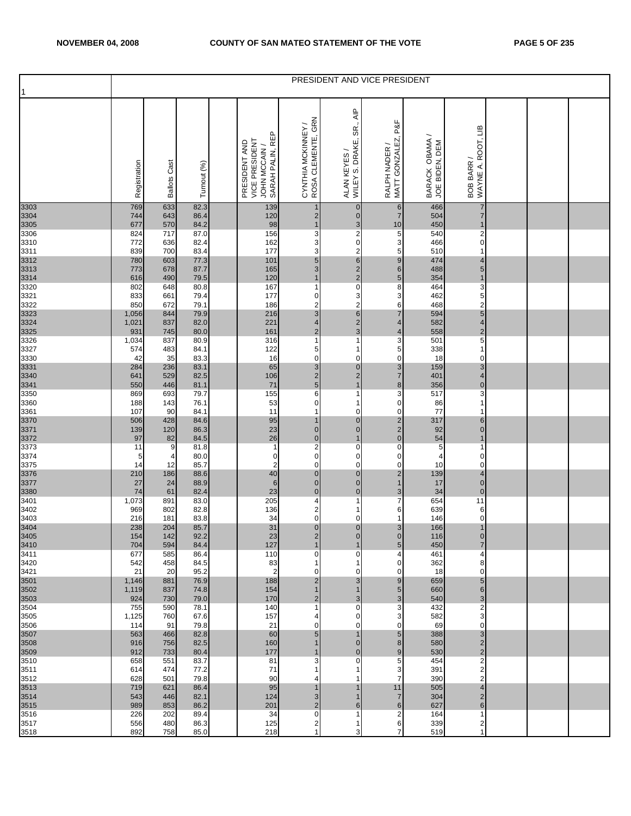| 1                    |                |                        |              |                                                                    |                                          |                                                        | PRESIDENT AND VICE PRESIDENT               |                                  |                                           |  |  |
|----------------------|----------------|------------------------|--------------|--------------------------------------------------------------------|------------------------------------------|--------------------------------------------------------|--------------------------------------------|----------------------------------|-------------------------------------------|--|--|
|                      | Registration   | Cast<br><b>Ballots</b> | Turnout (%)  | SARAH PALIN, REP<br>VICE PRESIDENT<br>PRESIDENT AND<br>JOHN MCCAIN | CYNTHIA MCKINNEY /<br>ROSA CLEMENTE, GRN | SR., AIP<br>WILEY S. DRAKE,<br>ALAN KEYES /            | MATT GONZALEZ, P&F<br>RALPH NADER          | BARACK OBAMA /<br>JOE BIDEN, DEM | WAYNE A. ROOT, LIB<br>BOB BARR /          |  |  |
| 3303<br>3304         | 769<br>744     | 633<br>643             | 82.3<br>86.4 | 139<br>120                                                         | $\mathbf 1$<br>$\overline{2}$            | $\pmb{0}$<br>$\mathbf 0$                               | $\sqrt{6}$<br>$\overline{7}$               | 466<br>504                       | 7<br>$\overline{7}$                       |  |  |
| 3305<br>3306         | 677<br>824     | 570<br>717             | 84.2<br>87.0 | 98<br>156                                                          | $\overline{1}$<br>3                      | $\begin{array}{c} 3 \\ 2 \\ 0 \end{array}$             | $10$<br>5                                  | 450<br>540                       | $\overline{1}$<br>$\overline{\mathbf{c}}$ |  |  |
| 3310<br>3311         | 772<br>839     | 636<br>700             | 82.4<br>83.4 | 162<br>177                                                         | 3<br>3                                   |                                                        | 3<br>5                                     | 466<br>510                       | 0<br>-1                                   |  |  |
| 3312                 | 780<br>773     | 603<br>678             | 77.3<br>87.7 | 101<br>165                                                         | 5<br>3                                   | $\frac{2}{6}$ $\frac{2}{2}$ $\frac{2}{0}$              | $\overline{9}$<br>$6\phantom{.}$           | 474<br>488                       | 4<br>$\sqrt{5}$                           |  |  |
| 3313<br>3314<br>3320 | 616<br>802     | 490<br>648             | 79.5<br>80.8 | 120<br>167                                                         | $\mathbf 1$<br>1                         |                                                        | $5\phantom{.0}$<br>8                       | 354<br>464                       | $\overline{1}$<br>3                       |  |  |
| 3321                 | 833<br>850     | 661<br>672             | 79.4<br>79.1 | 177<br>186                                                         | $\pmb{0}$<br>$\overline{\mathbf{c}}$     | 3                                                      | 3<br>6                                     | 462<br>468                       | 5<br>$\overline{c}$                       |  |  |
| 3322<br>3323<br>3324 | 1,056<br>1,021 | 844<br>837             | 79.9<br>82.0 | 216<br>221                                                         | 3<br>$\overline{\mathbf{4}}$             | $\begin{array}{c}\n 2 \\  6 \\  2 \\  3\n \end{array}$ | $\overline{7}$<br>$\overline{4}$           | 594<br>582                       | $\sqrt{5}$<br>$\overline{4}$              |  |  |
| 3325<br>3326         | 931<br>1,034   | 745<br>837             | 80.0<br>80.9 | 161<br>316                                                         | $\overline{2}$<br>1                      | 1                                                      | 4<br>3                                     | 558<br>501                       | $\overline{2}$<br>5                       |  |  |
| 3327                 | 574<br>42      | 483<br>35              | 84.1<br>83.3 | 122<br>16                                                          | 5<br>0                                   | 1<br>0                                                 | 5<br>$\mathbf 0$                           | 338<br>18                        | 1<br>0                                    |  |  |
| 3330<br>3331         | 284            | 236                    | 83.1         | 65                                                                 | $\mathbf{3}$                             | $\mathbf 0$                                            | $\mathbf{3}$                               | 159                              | $\ensuremath{\mathsf{3}}$                 |  |  |
| 3340<br>3341<br>3350 | 641<br>550     | 529<br>446             | 82.5<br>81.1 | 106<br>$71$                                                        | $\frac{2}{5}$                            | $\overline{\mathbf{c}}$<br>$\overline{\mathbf{1}}$     | $\overline{7}$<br>$\bf8$                   | 401<br>356                       | 4<br>$\pmb{0}$                            |  |  |
| 3360                 | 869<br>188     | 693<br>143             | 79.7<br>76.1 | 155<br>53                                                          | 6<br>0                                   | 1<br>1                                                 | 3<br>0                                     | 517<br>86                        | 3<br>1                                    |  |  |
| 3361                 | 107<br>506     | 90<br>428              | 84.1<br>84.6 | 11<br>95                                                           | $\overline{1}$<br>1                      | 0<br>$\pmb{0}$                                         | $\mathbf 0$                                | 77<br>317                        | -1<br>6                                   |  |  |
| 3370<br>3371<br>3372 | 139<br>97      | 120<br>82              | 86.3<br>84.5 | 23<br>26                                                           | $\overline{0}$<br>$\mathbf 0$            | $\mathbf 0$<br>$\mathbf{1}$                            | $\begin{array}{c} 2 \\ 2 \\ 0 \end{array}$ | 92<br>54                         | $\mathbf 0$<br>$\overline{1}$             |  |  |
| 3373<br>3374         | 11<br>5        | 9<br>$\overline{4}$    | 81.8<br>80.0 | $\mathbf{1}$<br>0                                                  | $\overline{\mathbf{c}}$<br>$\mathbf 0$   | $\overline{0}$<br>0                                    | $\pmb{0}$<br>$\overline{0}$                | 5<br>$\overline{4}$              | -1<br>$\mathbf 0$                         |  |  |
| 3375<br>3376         | 14<br>210      | 12<br>186              | 85.7<br>88.6 | $\overline{\mathbf{c}}$<br>40                                      | 0<br>$\pmb{0}$                           | 0<br>$\bf{0}$                                          | $\mathbf 0$<br>$\overline{c}$              | 10<br>139                        | 0<br>4                                    |  |  |
| 3377                 | 27             | 24                     | 88.9         | $\,6\,$                                                            | $\overline{0}$<br>$\overline{0}$         | $\begin{matrix} 0 \\ 0 \end{matrix}$                   | $\overline{1}$                             | 17                               | $\mathbf 0$                               |  |  |
| 3380<br>3401         | 74<br>1,073    | 61<br>891              | 82.4<br>83.0 | 23<br>205                                                          | 4                                        | 1                                                      | $\mathsf 3$<br>$\overline{7}$              | 34<br>654                        | $\mathbf 0$<br>11                         |  |  |
| 3402<br>3403         | 969<br>216     | 802<br>181             | 82.8<br>83.8 | 136<br>34                                                          | $\overline{\mathbf{c}}$<br>0             | 1<br>0                                                 | 6<br>1                                     | 639<br>146                       | 6<br>$\mathbf 0$                          |  |  |
| 3404<br>3405         | 238<br>154     | 204<br>142             | 85.7<br>92.2 | 31<br>23                                                           | $\mathbf 0$<br>$\overline{2}$            | $\begin{matrix} 0 \\ 0 \end{matrix}$                   | 3<br>$\overline{O}$                        | 166<br>116                       | 1<br>$\overline{0}$                       |  |  |
| 3410<br>3411         | 704<br>677     | 594<br>585             | 84.4<br>86.4 | 127<br>110                                                         | $\mathbf 1$<br>0                         | 1<br>0                                                 | 5<br>4                                     | 450<br>461                       | $\overline{7}$<br>4                       |  |  |
| 3420<br>3421         | 542<br>21      | 458<br>20              | 84.5<br>95.2 | 83<br>$\overline{2}$                                               | 1<br>0                                   | 1<br>0                                                 | 0<br>$\overline{0}$                        | 362<br>18                        | 8<br>$\mathbf 0$                          |  |  |
| 3501<br>3502         | 1,146<br>1,119 | 881<br>837             | 76.9<br>74.8 | 188<br>154                                                         | $\overline{c}$<br>1                      | 3<br>$\mathbf{1}$                                      | 9<br>5                                     | 659<br>660                       | $5\phantom{.0}$<br>$6 \,$                 |  |  |
| 3503                 | 924            | 730                    | 79.0         | 170                                                                | $\overline{2}$                           | 3                                                      |                                            | 540                              | 3                                         |  |  |
| 3504<br>3505         | 755<br>1,125   | 590<br>760             | 78.1<br>67.6 | 140<br>157                                                         | 1<br>4                                   | 0<br>0                                                 | 3<br>3                                     | 432<br>582                       | $\overline{c}$<br>3                       |  |  |
| 3506<br>3507         | 114<br>563     | 91<br>466              | 79.8<br>82.8 | 21<br>60                                                           | 0<br>5                                   | 0<br>$\mathbf{1}$                                      | $\mathbf 0$<br>5                           | 69<br>388                        | 0<br>$\sqrt{3}$                           |  |  |
| 3508<br>3509         | 916<br>912     | 756<br>733             | 82.5<br>80.4 | 160<br>177                                                         | 1                                        | $\mathbf 0$<br>$\mathbf 0$                             | 8<br>$\overline{9}$                        | 580<br>530                       | $\overline{2}$<br>$\overline{2}$          |  |  |
| 3510<br>3511         | 658<br>614     | 551<br>474             | 83.7<br>77.2 | 81<br>71                                                           | 3                                        | 0<br>1                                                 | 5<br>3                                     | 454<br>391                       | $\overline{2}$<br>$\overline{\mathbf{c}}$ |  |  |
| 3512<br>3513         | 628<br>719     | 501<br>621             | 79.8<br>86.4 | 90<br>95                                                           | 4                                        | 1                                                      | $\overline{7}$<br>11                       | 390<br>505                       | $\overline{2}$<br>4                       |  |  |
| 3514<br>3515         | 543<br>989     | 446<br>853             | 82.1<br>86.2 | 124<br>201                                                         | 3<br>$\overline{c}$                      | 1<br>6                                                 | $\overline{7}$<br>$6\phantom{.}6$          | 304<br>627                       | $\overline{2}$<br>$6\phantom{1}$          |  |  |
| 3516                 | 226            | 202                    | 89.4         | 34                                                                 | $\pmb{0}$                                | 1                                                      | $\overline{c}$                             | 164                              | 1                                         |  |  |
| 3517<br>3518         | 556<br>892     | 480<br>758             | 86.3<br>85.0 | 125<br>218                                                         | $\mathbf{2}$<br>1                        | 1<br>3                                                 | 6<br>$\overline{7}$                        | 339<br>519                       | 2<br>1                                    |  |  |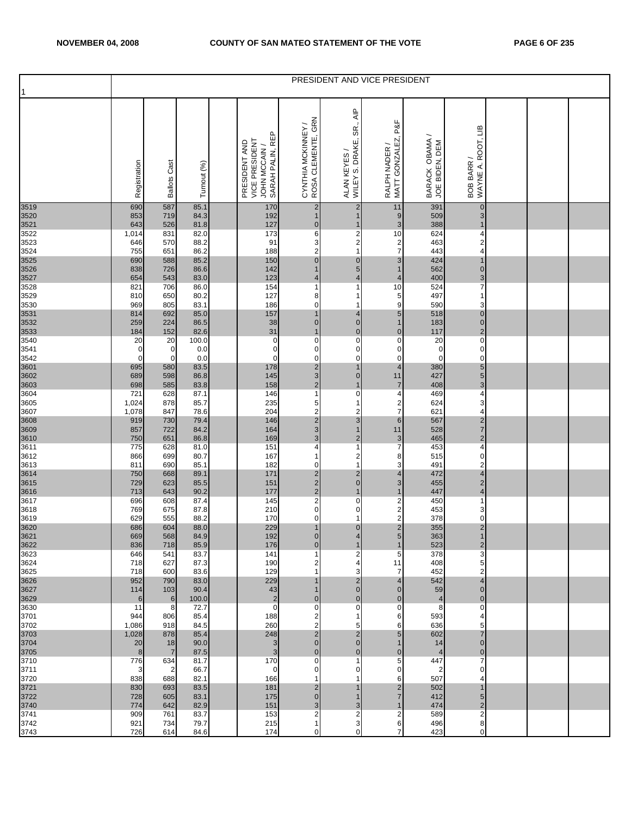|                              |                    |                      |               |                                                                     |                                           |                                                                     | PRESIDENT AND VICE PRESIDENT              |                                  |                                  |  |  |
|------------------------------|--------------------|----------------------|---------------|---------------------------------------------------------------------|-------------------------------------------|---------------------------------------------------------------------|-------------------------------------------|----------------------------------|----------------------------------|--|--|
|                              | Registration       | <b>Ballots Cast</b>  | Turnout (%)   | SARAH PALIN, REP<br>VICE PRESIDENT<br>PRESIDENT AND<br>JOHN MCCAIN/ | CYNTHIA MCKINNEY /<br>ROSA CLEMENTE, GRN  | $\overline{\mathsf{AP}}$<br>SR.,<br>WILEY S. DRAKE,<br>ALAN KEYES / | RALPH NADER /<br>MATT GONZALEZ, P&F       | BARACK OBAMA /<br>JOE BIDEN, DEM | WAYNE A. ROOT, LIB<br>BOB BARR / |  |  |
| 3519<br>3520<br>3521         | 690<br>853         | 587<br>719           | 85.1<br>84.3  | 170<br>192                                                          | $\overline{2}$<br>1                       | $\overline{\mathbf{c}}$<br>$\mathbf{1}$                             | 11<br>$9$                                 | 391<br>509                       | $\pmb{0}$<br>3                   |  |  |
| 3522                         | 643<br>1,014       | 526<br>831           | 81.8<br>82.0  | 127<br>173                                                          | $\overline{0}$<br>6                       | $\mathbf{1}$                                                        | $\mathbf{3}$<br>10                        | 388<br>624                       | $\mathbf 1$<br>4                 |  |  |
| 3523<br>3524                 | 646<br>755         | 570<br>651           | 88.2<br>86.2  | 91<br>188                                                           | 3<br>$\overline{2}$                       | $\begin{array}{c} 2 \\ 2 \\ 1 \end{array}$                          | $\overline{\mathbf{c}}$<br>$\overline{7}$ | 463<br>443                       | 2<br>4                           |  |  |
|                              | 690                | 588                  | 85.2          | 150                                                                 | $\overline{0}$                            | $\overline{0}$                                                      | 3                                         | 424                              | 1                                |  |  |
| 3525<br>3526<br>3527<br>3528 | 838<br>654         | 726<br>543           | 86.6<br>83.0  | 142<br>123                                                          | 1<br>4                                    | 5<br>$\overline{\mathbf{r}}$                                        | $\mathbf{1}$<br>$\overline{4}$            | 562<br>400                       | $\pmb{0}$<br>3                   |  |  |
| 3529                         | 821<br>810         | 706<br>650           | 86.0<br>80.2  | 154<br>127                                                          | 1<br>8                                    | $\mathbf{1}$<br>1                                                   | 10<br>5                                   | 524<br>497                       | 7<br>1                           |  |  |
| 3530                         | 969                | 805                  | 83.1          | 186                                                                 | $\mathbf 0$                               | 1                                                                   | 9                                         | 590                              | 3                                |  |  |
| 3531                         | 814<br>259         | 692<br>224           | 85.0<br>86.5  | 157<br>38                                                           | $\mathbf{1}$<br>$\overline{0}$            | 4<br>$\begin{matrix} 0 \\ 0 \end{matrix}$                           | 5<br>$\mathbf{1}$                         | 518<br>183                       | $\pmb{0}$<br>$\pmb{0}$           |  |  |
| 3532<br>3533<br>3540         | 184<br>20          | 152<br>20            | 82.6<br>100.0 | 31<br>$\pmb{0}$                                                     | 1<br>$\mathbf 0$                          | $\pmb{0}$                                                           | $\overline{0}$<br>$\pmb{0}$               | 117<br>20                        | $\mathbf 2$<br>$\pmb{0}$         |  |  |
| 3541                         | $\mathbf 0$        | $\mathbf 0$          | 0.0           | $\pmb{0}$                                                           | $\mathbf 0$                               | 0                                                                   | $\mathbf 0$                               | $\pmb{0}$                        | $\pmb{0}$                        |  |  |
| 3542                         | $\mathbf 0$<br>695 | $\mathbf 0$<br>580   | 0.0<br>83.5   | $\mathsf 0$<br>178                                                  | $\mathbf 0$<br>$\frac{2}{3}$              | $\mathsf{o}$<br>$\mathbf{1}$                                        | $\mathbf 0$<br>$\overline{\mathbf{4}}$    | $\mathbf 0$<br>380               | 0<br>5                           |  |  |
| 3601<br>3602<br>3603<br>3604 | 689<br>698         | 598<br>585           | 86.8<br>83.8  | 145<br>158                                                          | $\overline{c}$                            | $\overline{0}$<br>$\mathbf{1}$                                      | 11<br>$\overline{\mathfrak{c}}$           | 427<br>408                       | 5<br>3                           |  |  |
|                              | 721                | 628                  | 87.1          | 146                                                                 | $\mathbf{1}$                              | $\pmb{0}$                                                           | 4                                         | 469                              | 4                                |  |  |
| 3605<br>3607                 | 1,024<br>1,078     | 878<br>847           | 85.7<br>78.6  | 235<br>204                                                          | 5<br>$\overline{\mathbf{c}}$              | 1<br>$\overline{c}$                                                 | 2<br>$\overline{7}$                       | 624<br>621                       | 3<br>4                           |  |  |
| 3608<br>3609<br>3610<br>3611 | 919<br>857         | 730<br>722           | 79.4<br>84.2  | 146<br>164                                                          | $\overline{\mathbf{c}}$<br>$\mathsf 3$    | 3<br>$\mathbf{1}$                                                   | $6\phantom{a}$<br>11                      | 567<br>528                       | 2<br>$\overline{7}$              |  |  |
|                              | 750                | 651                  | 86.8          | 169                                                                 | $\mathbf{3}$                              | $\overline{2}$                                                      | 3                                         | 465                              | $\overline{c}$                   |  |  |
| 3612                         | 775<br>866         | 628<br>699           | 81.0<br>80.7  | 151<br>167                                                          | 4<br>$\mathbf{1}$                         | 1<br>$\overline{\mathbf{c}}$                                        | $\overline{7}$<br>8                       | 453<br>515                       | 4<br>$\mathbf 0$                 |  |  |
| 3613                         | 811<br>750         | 690<br>668           | 85.1<br>89.1  | 182<br>171                                                          | $\mathbf 0$<br>$\overline{\mathbf{c}}$    | $\mathbf{1}$                                                        | 3<br>4                                    | 491<br>472                       | 2<br>4                           |  |  |
| 3614<br>3615<br>3616<br>3617 | 729                | 623                  | 85.5          | 151                                                                 | $\overline{\mathbf{c}}$                   | $\frac{2}{0}$                                                       | 3                                         | 455                              | $\overline{\mathbf{c}}$          |  |  |
|                              | 713<br>696         | 643<br>608           | 90.2<br>87.4  | 177<br>145                                                          | $\mathbf{2}$<br>$\overline{\mathbf{c}}$   | $\mathbf{1}$<br>$\pmb{0}$                                           | $\mathbf{1}$<br>$\overline{c}$            | 447<br>450                       | $\overline{\mathbf{4}}$<br>1     |  |  |
| 3618<br>3619                 | 769<br>629         | 675<br>555           | 87.8<br>88.2  | 210<br>170                                                          | $\overline{0}$<br>$\mathbf 0$             | 0<br>1                                                              | $\overline{\mathbf{c}}$<br>$\overline{a}$ | 453<br>378                       | 3<br>$\mathbf 0$                 |  |  |
| 3620<br>3621                 | 686                | 604                  | 88.0          | 229                                                                 | $\mathbf{1}$                              | $\mathbf 0$                                                         | $\overline{\mathbf{c}}$                   | 355                              | $\overline{\mathbf{c}}$          |  |  |
| 3622                         | 669<br>836         | 568<br>718           | 84.9<br>85.9  | 192<br>176                                                          | $\overline{0}$<br>$\overline{0}$          | $\overline{4}$<br>1                                                 | $5\overline{)}$<br>1                      | 363<br>523                       | $\mathbf{1}$<br>$\overline{2}$   |  |  |
| 3623<br>3624                 | 646<br>718         | 541<br>627           | 83.7<br>87.3  | 141<br>190                                                          | -1<br>2                                   | 2<br>4                                                              | 5<br>11                                   | 378<br>408                       | 3<br>5                           |  |  |
| 3625                         | 718                | 600                  | 83.6          | 129                                                                 | -1                                        | 3                                                                   | 7                                         | 452                              | 2                                |  |  |
| 3626<br>3627                 | 952<br>114         | 790<br>103           | 83.0<br>90.4  | 229<br>43                                                           |                                           | 2<br>$\mathbf 0$                                                    | $\overline{4}$<br>$\overline{0}$          | 542<br>59                        | $\overline{4}$<br>$\overline{0}$ |  |  |
| 3629<br>3630                 | 6<br>11            | 6<br>8               | 100.0<br>72.7 | $\mathbf 2$<br>$\mathbf 0$                                          | $\overline{0}$<br>$\mathbf 0$             | $\mathbf 0$<br>$\pmb{0}$                                            | $\overline{0}$<br>$\mathbf 0$             | $\overline{4}$<br>8              | $\mathbf 0$<br>0                 |  |  |
| 3701                         | 944                | 806                  | 85.4          | 188                                                                 | 2                                         | 1                                                                   | 6                                         | 593                              | 4                                |  |  |
| 3702<br>3703                 | 1,086<br>1,028     | 918<br>878           | 84.5<br>85.4  | 260<br>248                                                          | 2<br>$\mathbf 2$                          | 5<br>$\overline{c}$                                                 | 6<br>5                                    | 636<br>602                       | 5<br>7                           |  |  |
| 3704<br>3705                 | 20<br>8            | 18<br>$\overline{7}$ | 90.0<br>87.5  | $\mathbf{3}$<br>3                                                   | $\overline{0}$<br>$\overline{0}$          | $\overline{0}$<br>$\overline{0}$                                    | $\overline{0}$                            | 14<br>$\overline{4}$             | $\overline{0}$<br>$\mathbf{0}$   |  |  |
| 3710                         | 776                | 634                  | 81.7          | 170                                                                 | $\mathbf 0$                               | 1                                                                   | 5                                         | 447                              | 7                                |  |  |
| 3711<br>3720                 | 3<br>838           | 2<br>688             | 66.7<br>82.1  | $\mathbf 0$<br>166                                                  | $\mathbf 0$<br>1                          | 0<br>1                                                              | 0<br>6                                    | 2<br>507                         | 0<br>4                           |  |  |
| 3721<br>3722                 | 830<br>728         | 693<br>605           | 83.5<br>83.1  | 181<br>175                                                          | 2<br>$\overline{0}$                       | 1<br>1                                                              | 2<br>$\overline{7}$                       | 502<br>412                       | 1<br>5                           |  |  |
| 3740                         | 774                | 642                  | 82.9          | 151                                                                 | 3                                         | 3                                                                   |                                           | 474                              | $\overline{c}$                   |  |  |
| 3741<br>3742                 | 909<br>921         | 761<br>734           | 83.7<br>79.7  | 153<br>215                                                          | $\overline{\mathbf{c}}$<br>$\overline{1}$ | 2<br>3                                                              | $\overline{c}$<br>6                       | 589<br>496                       | 2<br>8                           |  |  |
| 3743                         | 726                | 614                  | 84.6          | 174                                                                 | 0                                         | $\mathsf{o}$                                                        | 7                                         | 423                              | $\mathbf 0$                      |  |  |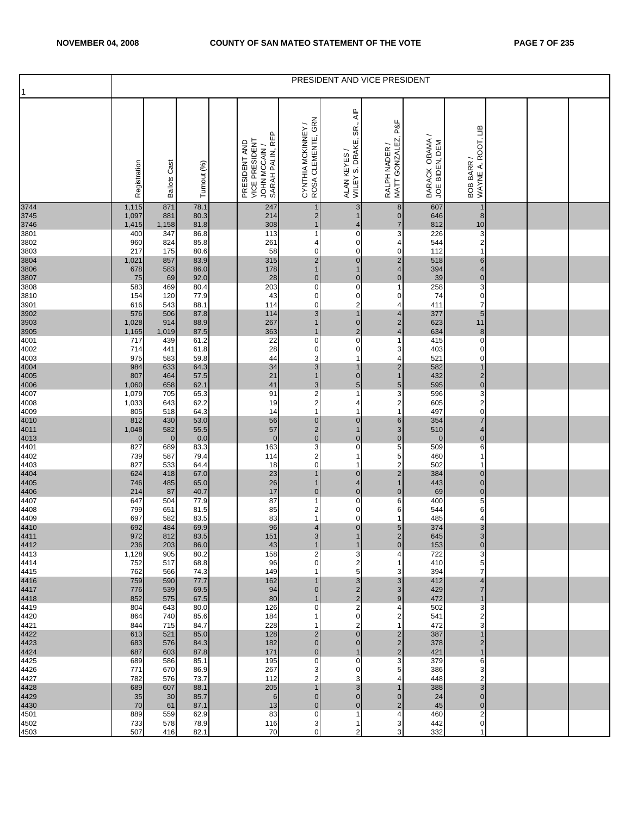| 1                                    |                       |                     |                      |                                                                    |                                           |                                                                       | PRESIDENT AND VICE PRESIDENT                   |                                  |                                      |  |  |
|--------------------------------------|-----------------------|---------------------|----------------------|--------------------------------------------------------------------|-------------------------------------------|-----------------------------------------------------------------------|------------------------------------------------|----------------------------------|--------------------------------------|--|--|
|                                      | Registration          | <b>Ballots Cast</b> | Turnout (%)          | SARAH PALIN, REP<br>VICE PRESIDENT<br>PRESIDENT AND<br>JOHN MCCAIN | CYNTHIA MCKINNEY /<br>ROSA CLEMENTE, GRN  | $\overline{\mathsf{A}}$ IP<br>SR.,<br>WILEY S. DRAKE,<br>ALAN KEYES / | P&F<br>RALPH NADER /<br>MATT GONZALEZ,         | BARACK OBAMA /<br>JOE BIDEN, DEM | BOB BARR /<br>WAYNE A. ROOT, LIB     |  |  |
| 3744<br>3745<br>3746<br>3801         | 1,115<br>1,097        | 871<br>881          | 78.1<br>80.3         | 247<br>214                                                         | $\mathbf 1$<br>$\overline{c}$             | 3<br>$\mathbf{1}$                                                     | $\bf 8$<br>$\overline{0}$                      | 607<br>646                       | $\mathbf 1$<br>8                     |  |  |
|                                      | 1,415<br>400          | 1,158<br>347        | 81.8<br>86.8         | 308<br>113                                                         | $\overline{1}$<br>1                       | 4<br>0                                                                | $\overline{7}$<br>3                            | 812<br>226                       | $10$<br>3                            |  |  |
| 3802                                 | 960                   | 824                 | 85.8                 | 261                                                                | 4                                         | $\pmb{0}$                                                             | 4                                              | 544                              | $\overline{\mathbf{c}}$              |  |  |
| 3803                                 | 217<br>1,021          | 175<br>857          | 80.6<br>83.9         | 58<br>315                                                          | $\pmb{0}$<br>$\overline{\mathbf{c}}$      | $\mathsf{O}\xspace$<br>$\pmb{0}$                                      | $\mathbf 0$<br>$\overline{\mathbf{c}}$         | 112<br>518                       | 1<br>$\,6$                           |  |  |
| 3804<br>3806<br>3807<br>3808         | 678                   | 583                 | 86.0                 | 178                                                                | $\mathbf{1}$                              | 1                                                                     | $\overline{\mathbf{4}}$                        | 394                              | 4                                    |  |  |
|                                      | 75<br>583             | 69<br>469           | 92.0<br>80.4         | 28<br>203                                                          | $\mathbf 0$<br>$\pmb{0}$                  | $\overline{0}$<br>$\pmb{0}$                                           | $\mathbf 0$<br>1                               | 39<br>258                        | $\pmb{0}$<br>3                       |  |  |
| 3810                                 | 154                   | 120                 | 77.9                 | 43                                                                 | $\pmb{0}$                                 | $\mathsf{O}\xspace$                                                   | 0                                              | 74                               | $\pmb{0}$                            |  |  |
| 3901                                 | 616                   | 543                 | 88.1                 | 114                                                                | $\pmb{0}$                                 | 2<br>$\mathbf{1}$                                                     | 4                                              | 411                              | $\overline{7}$                       |  |  |
| 3902<br>3903<br>3905<br>4001         | 576<br>1,028<br>1,165 | 506<br>914<br>1,019 | 87.8<br>88.9<br>87.5 | 114<br>267<br>363                                                  | $\ensuremath{\mathsf{3}}$<br>$\mathbf{1}$ | $\pmb{0}$<br>$\overline{2}$                                           | 4<br>$\overline{c}$<br>$\overline{\mathbf{4}}$ | 377<br>623<br>634                | $\sqrt{5}$<br>11<br>$\boldsymbol{8}$ |  |  |
| 4002                                 | 717<br>714            | 439<br>441          | 61.2<br>61.8         | 22<br>28                                                           | $\pmb{0}$<br>$\pmb{0}$                    | $\overline{0}$<br>$\mathsf{O}\xspace$                                 | $\mathbf 1$<br>3                               | 415<br>403                       | 0<br>0                               |  |  |
| 4003                                 | 975                   | 583                 | 59.8                 | 44                                                                 | 3                                         | 1                                                                     | 4                                              | 521                              | 0                                    |  |  |
|                                      | 984                   | 633                 | 64.3                 | 34                                                                 | $\ensuremath{\mathsf{3}}$                 | $\mathbf{1}$                                                          | $\overline{\mathbf{c}}$<br>1                   | 582                              | $\overline{1}$                       |  |  |
| 4004<br>4005<br>4006<br>4007         | 807<br>1,060          | 464<br>658          | 57.5<br>62.1         | 21<br>41                                                           | $\overline{1}$<br>$\mathsf 3$             | $\pmb{0}$<br>5                                                        | $\overline{5}$                                 | 432<br>595                       | $\begin{matrix} 2 \\ 0 \end{matrix}$ |  |  |
|                                      | 1,079                 | 705                 | 65.3                 | 91                                                                 | $\mathbf 2$                               | $\mathbf{1}$                                                          | 3                                              | 596                              | 3                                    |  |  |
| 4008<br>4009                         | 1,033<br>805          | 643<br>518          | 62.2<br>64.3         | 19<br>14                                                           | $\boldsymbol{2}$<br>$\mathbf{1}$          | 4<br>$\mathbf{1}$                                                     | 2<br>$\mathbf{1}$                              | 605<br>497                       | $\mathbf 2$<br>$\mathbf 0$           |  |  |
| 4010<br>4011<br>4013<br>4401         | 812                   | 430                 | 53.0                 | 56                                                                 | $\pmb{0}$                                 | $\mathbf 0$                                                           | 6                                              | 354                              | $\overline{7}$                       |  |  |
|                                      | 1,048<br>$\mathbf 0$  | 582<br>$\mathbf 0$  | 55.5<br>0.0          | 57<br>$\mathbf 0$                                                  | $\overline{\mathbf{c}}$<br>$\pmb{0}$      | $\mathbf{1}$<br>$\pmb{0}$                                             | $\mathbf{3}$<br>$\pmb{0}$                      | 510<br>$\mathbf{0}$              | 4<br>$\pmb{0}$                       |  |  |
|                                      | 827                   | 689                 | 83.3                 | 163                                                                | 3                                         | $\pmb{0}$                                                             | 5                                              | 509                              | 6                                    |  |  |
| 4402                                 | 739                   | 587                 | 79.4                 | 114                                                                | $\mathbf 2$                               | 1<br>1                                                                | 5                                              | 460                              | $\overline{1}$<br>1                  |  |  |
| 4403                                 | 827<br>624            | 533<br>418          | 64.4<br>67.0         | 18<br>23                                                           | $\mathbf 0$<br>1                          | $\pmb{0}$                                                             | 2<br>$\overline{\mathbf{c}}$                   | 502<br>384                       | 0                                    |  |  |
| 4404<br>4405<br>4406<br>4407         | 746                   | 485                 | 65.0                 | 26                                                                 | $\mathbf 1$                               | 4                                                                     | 1                                              | 443                              | $\pmb{0}$                            |  |  |
|                                      | 214<br>647            | 87<br>504           | 40.7<br>77.9         | 17<br>87                                                           | $\pmb{0}$<br>1                            | $\overline{0}$<br>$\mathbf 0$                                         | $\pmb{0}$<br>6                                 | 69<br>400                        | $\mathbf 0$<br>5                     |  |  |
| 4408                                 | 799                   | 651                 | 81.5                 | 85                                                                 | 2                                         | $\mathsf{O}\xspace$                                                   | 6                                              | 544                              | 6                                    |  |  |
| 4409                                 | 697<br>692            | 582<br>484          | 83.5<br>69.9         | 83<br>96                                                           | 1<br>4                                    | $\mathbf 0$<br>$\pmb{0}$                                              | 1<br>$\sqrt{5}$                                | 485<br>374                       | 4<br>3                               |  |  |
| 4410<br>4411                         | 972                   | 812                 | 83.5                 | 151                                                                | 3 <sup>1</sup>                            | $\mathbf{1}$                                                          | $\overline{2}$                                 | 645                              | 3                                    |  |  |
| 4412<br>4413                         | 236<br>1,128          | 203<br>905          | 86.0<br>80.2         | 43<br>158                                                          | $\mathbf 1$<br>2                          | 1<br>3                                                                | $\pmb{0}$<br>4                                 | 153<br>722                       | $\mathbf 0$<br>3                     |  |  |
| 4414                                 | 752                   | 517                 | 68.8                 | 96                                                                 | 0                                         | 2                                                                     |                                                | 410                              | 5                                    |  |  |
| 4415                                 | 762                   | 566                 | 74.3                 | 149                                                                |                                           | 5                                                                     | 3                                              | 394                              | $\overline{7}$                       |  |  |
| 4416<br>4417<br>4418                 | 759<br>776            | 590<br>539          | 77.7<br>69.5         | 162<br>94                                                          | 0                                         | 3<br>$\overline{\mathbf{c}}$                                          | 3<br>3                                         | 412<br>429                       | 4<br>$\overline{7}$                  |  |  |
|                                      | 852                   | 575                 | 67.5                 | 80                                                                 |                                           | $\overline{\mathbf{c}}$                                               | 9                                              | 472                              | 1                                    |  |  |
| 4419<br>4420                         | 804<br>864            | 643<br>740          | 80.0<br>85.6         | 126<br>184                                                         | 0                                         | $\overline{\mathbf{c}}$<br>$\mathbf 0$                                | 4                                              | 502<br>541                       | 3<br>$\overline{2}$                  |  |  |
| 4421                                 | 844                   | 715                 | 84.7                 | 228                                                                |                                           | 2                                                                     |                                                | 472                              | 3                                    |  |  |
|                                      | 613<br>683            | 521<br>576          | 85.0<br>84.3         | 128<br>182                                                         | $\mathbf 2$<br>$\mathbf{0}$               | $\pmb{0}$<br>$\mathbf 0$                                              | $\overline{2}$<br>$\overline{2}$               | 387<br>378                       | $\overline{1}$<br>$\overline{c}$     |  |  |
| $4422$<br>$4423$<br>$4424$<br>$4425$ | 687                   | 603                 | 87.8                 | 171                                                                | $\overline{0}$                            | $\mathbf{1}$                                                          | $\overline{2}$                                 | 421                              | $\overline{1}$                       |  |  |
| 4426                                 | 689<br>771            | 586<br>670          | 85.1<br>86.9         | 195<br>267                                                         | $\pmb{0}$<br>3                            | $\mathbf 0$<br>$\pmb{0}$                                              | 3<br>5                                         | 379<br>386                       | 6<br>3                               |  |  |
| 4427                                 | 782                   | 576                 | 73.7                 | 112                                                                | 2                                         | 3                                                                     | 4                                              | 448                              | 2                                    |  |  |
| 4428                                 | 689                   | 607                 | 88.1                 | 205                                                                |                                           | 3                                                                     |                                                | 388                              | 3                                    |  |  |
| 4429<br>4430                         | 35<br>70              | 30<br>61            | 85.7<br>87.1         | 6<br>13                                                            | $\mathbf 0$<br>$\mathbf 0$                | $\overline{0}$<br>$\overline{0}$                                      | 0<br>$\overline{2}$                            | 24<br>45                         | $\mathbf 0$<br>$\mathbf 0$           |  |  |
| 4501                                 | 889                   | 559                 | 62.9                 | 83                                                                 | $\pmb{0}$                                 | 1                                                                     | 4                                              | 460                              | $\mathbf 2$                          |  |  |
| 4502<br>4503                         | 733<br>507            | 578<br>416          | 78.9<br>82.1         | 116<br>70                                                          | 3<br>$\mathbf 0$                          | 1<br>2                                                                | 3<br>3                                         | 442<br>332                       | 0                                    |  |  |
|                                      |                       |                     |                      |                                                                    |                                           |                                                                       |                                                |                                  |                                      |  |  |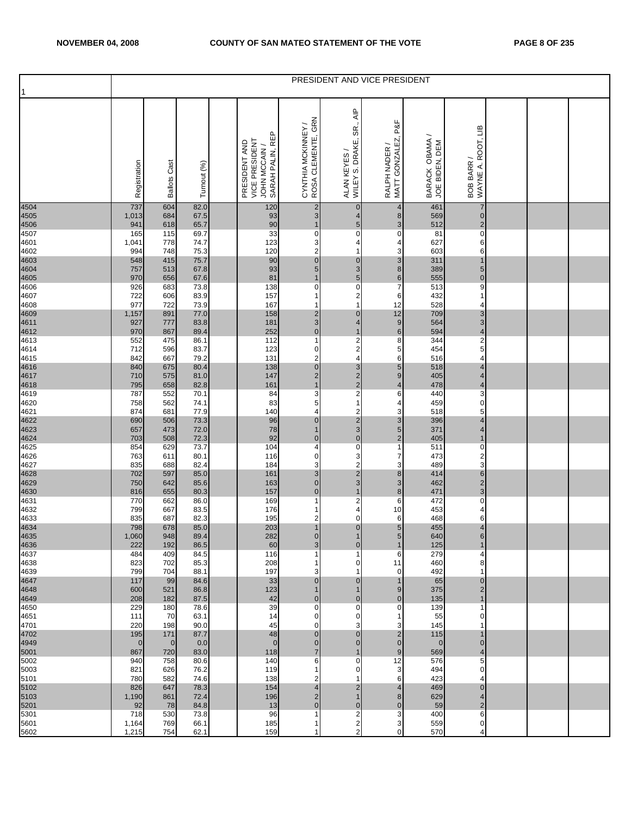| 1                            |                    |                     |              |                                                                     |                                           |                                                                       | PRESIDENT AND VICE PRESIDENT           |                                  |                                           |  |  |
|------------------------------|--------------------|---------------------|--------------|---------------------------------------------------------------------|-------------------------------------------|-----------------------------------------------------------------------|----------------------------------------|----------------------------------|-------------------------------------------|--|--|
|                              | Registration       | <b>Ballots Cast</b> | Turnout (%)  | SARAH PALIN, REP<br>VICE PRESIDENT<br>PRESIDENT AND<br>JOHN MCCAIN/ | CYNTHIA MCKINNEY /<br>ROSA CLEMENTE, GRN  | $\overline{\mathsf{A}}$ IP<br>SR.,<br>WILEY S. DRAKE,<br>ALAN KEYES / | P&F<br>RALPH NADER /<br>MATT GONZALEZ, | BARACK OBAMA /<br>JOE BIDEN, DEM | BOB BARR /<br>WAYNE A. ROOT, LIB          |  |  |
| 4504<br>4505<br>4506<br>4507 | 737<br>1,013       | 604<br>684          | 82.0<br>67.5 | 120<br>93                                                           | $\overline{\mathbf{c}}$<br>$\mathbf{3}$   | $\pmb{0}$<br>4                                                        | 4<br>8                                 | 461<br>569                       | 7<br>$\pmb{0}$                            |  |  |
|                              | 941<br>165         | 618<br>115          | 65.7<br>69.7 | 90<br>33                                                            | 1<br>$\pmb{0}$                            | 5<br>0                                                                | 3<br>0                                 | 512<br>81                        | $\overline{2}$<br>0                       |  |  |
| 4601<br>4602                 | 1,041<br>994       | 778<br>748          | 74.7<br>75.3 | 123<br>120                                                          | 3<br>$\overline{\mathbf{c}}$              | 4<br>1                                                                | 4<br>3                                 | 627<br>603                       | 6<br>6                                    |  |  |
| 4603<br>4604<br>4605<br>4606 | 548<br>757         | 415<br>513          | 75.7<br>67.8 | 90<br>93                                                            | $\pmb{0}$<br>$\sqrt{5}$                   | $\pmb{0}$<br>3                                                        | 3<br>8                                 | 311<br>389                       | $\overline{1}$<br>5                       |  |  |
|                              | 970<br>926         | 656<br>683          | 67.6<br>73.8 | 81<br>138                                                           | $\mathbf 1$<br>0                          | 5<br>$\mathsf{O}\xspace$                                              | $\,6$<br>$\overline{7}$                | 555<br>513                       | $\pmb{0}$<br>9                            |  |  |
| 4607<br>4608                 | 722<br>977         | 606<br>722          | 83.9<br>73.9 | 157<br>167                                                          | $\overline{1}$<br>1                       | $\overline{\mathbf{c}}$<br>1                                          | $\,6$<br>12                            | 432<br>528                       | 1<br>4                                    |  |  |
|                              | 1,157<br>927       | 891<br>777          | 77.0<br>83.8 | 158<br>181                                                          | $\frac{2}{3}$                             | $\pmb{0}$<br>4                                                        | 12<br>$\boldsymbol{9}$                 | 709<br>564                       | 3<br>3                                    |  |  |
| 4609<br>4611<br>4612<br>4613 | 970                | 867                 | 89.4         | 252                                                                 | $\pmb{0}$                                 | 1                                                                     | $\,$ 6                                 | 594                              | 4                                         |  |  |
| 4614                         | 552<br>712         | 475<br>596          | 86.1<br>83.7 | 112<br>123                                                          | 1<br>$\pmb{0}$                            | $\begin{array}{c} 2 \\ 2 \\ 4 \end{array}$                            | 8<br>5                                 | 344<br>454                       | $\boldsymbol{2}$<br>5                     |  |  |
| 4615                         | 842<br>840         | 667<br>675          | 79.2<br>80.4 | 131<br>138                                                          | 2<br>$\pmb{0}$                            | 3                                                                     | 6<br>$\overline{5}$                    | 516<br>518                       | 4<br>$\overline{4}$                       |  |  |
| 4616<br>4617<br>4618<br>4619 | 710<br>795         | 575<br>658          | 81.0<br>82.8 | 147<br>161                                                          | $\overline{\mathbf{c}}$<br>$\overline{1}$ | $\frac{2}{2}$                                                         | 9<br>4                                 | 405<br>478                       | $\overline{4}$<br>$\overline{\mathbf{4}}$ |  |  |
| 4620                         | 787<br>758         | 552<br>562          | 70.1<br>74.1 | 84<br>83                                                            | 3<br>5                                    | $\mathbf{1}$                                                          | 6<br>4                                 | 440<br>459                       | 3<br>0                                    |  |  |
| 4621                         | 874<br>690         | 681<br>506          | 77.9<br>73.3 | 140<br>96                                                           | 4<br>$\mathbf 0$                          | $\overline{\mathbf{c}}$<br>$\overline{\mathbf{c}}$                    | 3<br>3                                 | 518<br>396                       | 5<br>4                                    |  |  |
| 4622<br>4623<br>4624<br>4625 | 657                | 473                 | 72.0         | 78                                                                  | $\mathbf{1}$                              | $\frac{3}{0}$                                                         | 5                                      | 371                              | 4                                         |  |  |
|                              | 703<br>854         | 508<br>629          | 72.3<br>73.7 | 92<br>104                                                           | $\mathbf 0$<br>4                          | $\pmb{0}$                                                             | $\overline{c}$<br>$\mathbf{1}$         | 405<br>511                       | $\mathbf 1$<br>0                          |  |  |
| 4626<br>4627                 | 763<br>835         | 611<br>688          | 80.1<br>82.4 | 116<br>184                                                          | $\mathbf 0$<br>3                          | 3<br>$\overline{\mathbf{c}}$                                          | $\overline{7}$<br>3                    | 473<br>489                       | $\overline{\mathbf{c}}$<br>3              |  |  |
| 4628<br>4629<br>4630<br>4631 | 702<br>750         | 597<br>642          | 85.0<br>85.6 | 161<br>163                                                          | $\mathsf 3$<br>$\pmb{0}$                  | $\frac{2}{3}$                                                         | 8<br>3                                 | 414<br>462                       | 6<br>$\overline{\mathbf{c}}$              |  |  |
|                              | 816<br>770         | 655<br>662          | 80.3<br>86.0 | 157<br>169                                                          | $\mathbf 0$<br>1                          | $\mathbf{1}$<br>$\overline{\mathbf{c}}$                               | 8<br>6                                 | 471<br>472                       | 3<br>0                                    |  |  |
| 4632                         | 799                | 667                 | 83.5         | 176                                                                 | 1                                         | 4<br>0                                                                | 10<br>6                                | 453<br>468                       | 4                                         |  |  |
| 4633<br>4634<br>4635         | 835<br>798         | 687<br>678          | 82.3<br>85.0 | 195<br>203                                                          | $\overline{\mathbf{c}}$<br>$\mathbf{1}$   | $\pmb{\mathsf{O}}$                                                    | $\sqrt{5}$                             | 455                              | 6<br>4                                    |  |  |
| 4636                         | 1,060<br>222       | 948<br>192          | 89.4<br>86.5 | 282<br>60                                                           | $\overline{0}$<br>$\sqrt{3}$              | $\mathbf{1}$<br>$\overline{0}$                                        | 5 <sub>l</sub><br>1                    | 640<br>125                       | $6 \overline{6}$<br>$\mathbf 1$           |  |  |
| 4637<br>4638                 | 484<br>823         | 409<br>702          | 84.5<br>85.3 | 116<br>208                                                          | 1<br>1                                    | 1<br>0                                                                | 6<br>11                                | 279<br>460                       | 4<br>8                                    |  |  |
| 4639                         | 799<br>117         | 704<br>99           | 88.1<br>84.6 | 197<br>33                                                           | 3<br>$\mathbf 0$                          | 1<br>0                                                                | $\mathbf 0$<br>1                       | 492<br>65                        | 1<br>0                                    |  |  |
| 4647<br>4648<br>4649         | 600<br>208         | 521<br>182          | 86.8<br>87.5 | 123<br>42                                                           | $\mathbf 0$                               | 1<br>$\pmb{0}$                                                        | 9<br>0                                 | 375<br>135                       | $\overline{c}$<br>$\mathbf 1$             |  |  |
| 4650                         | 229                | 180                 | 78.6         | 39                                                                  | $\pmb{0}$                                 | 0                                                                     | 0                                      | 139                              | 1                                         |  |  |
| 4651<br>4701                 | 111<br>220         | 70<br>198           | 63.1<br>90.0 | 14<br>45                                                            | 0<br>0                                    | $\mathbf 0$<br>3                                                      | 3                                      | 55<br>145                        | 0<br>1                                    |  |  |
| 4702<br>4949<br>5001         | 195<br>$\mathbf 0$ | 171<br>$\mathbf 0$  | 87.7<br>0.0  | 48<br>$\mathbf 0$                                                   | $\mathbf 0$<br>$\mathbf{0}$               | $\pmb{0}$<br>$\mathbf 0$                                              | $\overline{c}$<br>$\overline{0}$       | 115<br>$\mathbf{0}$              | 1<br>$\mathbf{0}$                         |  |  |
| 5002                         | 867<br>940         | 720<br>758          | 83.0<br>80.6 | 118<br>140                                                          | $\overline{7}$<br>6                       | $\mathbf{1}$<br>$\mathbf 0$                                           | 9<br>12                                | 569<br>576                       | $\overline{4}$<br>5                       |  |  |
| 5003<br>5101                 | 821<br>780         | 626<br>582          | 76.2<br>74.6 | 119<br>138                                                          | 1<br>2                                    | 0<br>1                                                                | 3<br>6                                 | 494<br>423                       | 0<br>4                                    |  |  |
| 5102<br>5103                 | 826<br>1,190       | 647<br>861          | 78.3<br>72.4 | 154<br>196                                                          | 4<br>$\mathbf 2$                          | 2<br>$\mathbf{1}$                                                     | 4<br>8                                 | 469<br>629                       | 0<br>4                                    |  |  |
| 5201                         | 92                 | 78                  | 84.8         | 13                                                                  | $\mathbf 0$                               | $\overline{0}$                                                        | $\mathbf 0$                            | 59                               | $\overline{2}$                            |  |  |
| 5301<br>5601                 | 718<br>1,164       | 530<br>769          | 73.8<br>66.1 | 96<br>185                                                           | 1<br>1                                    | 2<br>$\frac{2}{2}$                                                    | 3<br>3                                 | 400<br>559                       | 6<br>0                                    |  |  |
| 5602                         | 1,215              | 754                 | 62.1         | 159                                                                 | 1                                         |                                                                       | $\mathbf 0$                            | 570                              | 4                                         |  |  |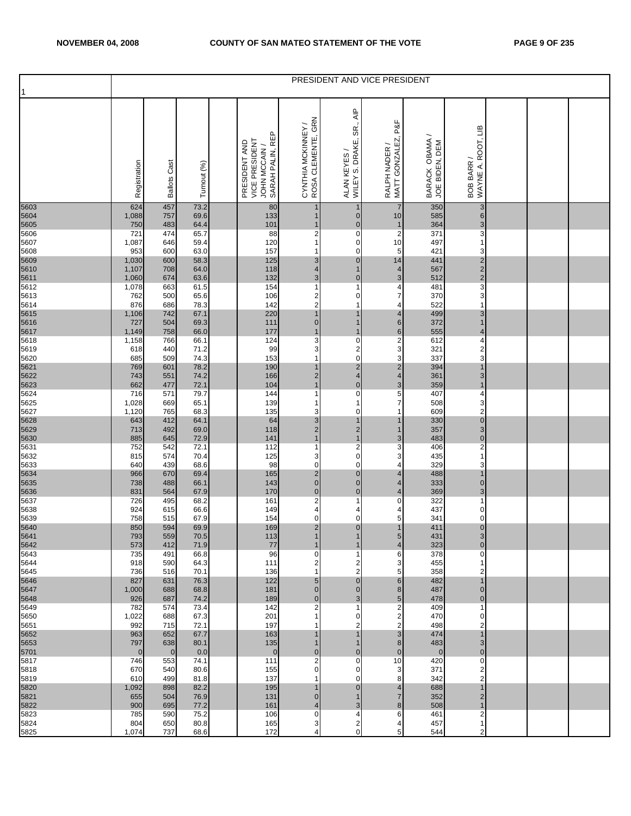|                              |                       |                       |              |                                                                    |                                          |                                                                     | PRESIDENT AND VICE PRESIDENT        |                                  |                                                    |  |  |
|------------------------------|-----------------------|-----------------------|--------------|--------------------------------------------------------------------|------------------------------------------|---------------------------------------------------------------------|-------------------------------------|----------------------------------|----------------------------------------------------|--|--|
|                              | Registration          | <b>Ballots Cast</b>   | Turnout (%)  | SARAH PALIN, REP<br>VICE PRESIDENT<br>PRESIDENT AND<br>JOHN MCCAIN | CYNTHIA MCKINNEY /<br>ROSA CLEMENTE, GRN | $\overline{\mathsf{AP}}$<br>SR.,<br>WILEY S. DRAKE,<br>ALAN KEYES / | RALPH NADER /<br>MATT GONZALEZ, P&F | BARACK OBAMA /<br>JOE BIDEN, DEM | WAYNE A. ROOT, LIB<br>BOB BARR /                   |  |  |
| 5603<br>5604                 | 624<br>1,088          | 457<br>757            | 73.2<br>69.6 | 80<br>133                                                          | 1<br>1                                   | 1<br>$\overline{0}$                                                 | $\overline{7}$<br>10                | 350<br>585                       | 3<br>$6 \,$                                        |  |  |
| 5605<br>5606                 | 750<br>721            | 483<br>474            | 64.4<br>65.7 | 101<br>88                                                          | 1<br>$\overline{2}$                      | $\mathbf 0$<br>$\pmb{0}$                                            | $\mathbf{1}$<br>$\overline{2}$      | 364<br>371                       | 3<br>3                                             |  |  |
| 5607<br>5608                 | 1,087<br>953          | 646<br>600            | 59.4<br>63.0 | 120<br>157                                                         | $\overline{1}$<br>1                      | 0<br>$\pmb{0}$                                                      | 10<br>5                             | 497<br>421                       | 1<br>3                                             |  |  |
|                              | 1,030<br>1,107        | 600<br>708            | 58.3<br>64.0 | 125<br>118                                                         | 3<br>4                                   | $\overline{0}$<br>1                                                 | 14<br>$\overline{\mathbf{4}}$       | 441<br>567                       | $\overline{\mathbf{c}}$<br>$\overline{\mathbf{c}}$ |  |  |
| 5609<br>5610<br>5611<br>5612 | 1,060                 | 674                   | 63.6         | 132                                                                | $\mathbf{3}$                             | $\overline{0}$                                                      | 3                                   | 512                              | $\overline{c}$                                     |  |  |
| 5613                         | 1,078<br>762          | 663<br>500            | 61.5<br>65.6 | 154<br>106                                                         | 1<br>$\overline{\mathbf{c}}$             | 1<br>$\mathbf 0$                                                    | 4<br>$\overline{7}$                 | 481<br>370                       | 3<br>3                                             |  |  |
| 5614                         | 876<br>1,106          | 686<br>742            | 78.3<br>67.1 | 142<br>220                                                         | $\overline{\mathbf{c}}$<br>$\mathbf{1}$  | 1<br>1                                                              | 4<br>4                              | 522<br>499                       | 1<br>3                                             |  |  |
| 5615<br>5616<br>5617<br>5618 | 727                   | 504<br>758            | 69.3<br>66.0 | 111<br>177                                                         | $\overline{0}$<br>1                      | $\mathbf{1}$<br>$\mathbf{1}$                                        | $6\,$<br>$6\phantom{.}$             | 372<br>555                       | $\overline{1}$<br>4                                |  |  |
|                              | 1,149<br>1,158        | 766                   | 66.1         | 124                                                                | 3                                        | $\pmb{0}$                                                           | $\boldsymbol{2}$                    | 612                              | 4                                                  |  |  |
| 5619<br>5620                 | 618<br>685            | 440<br>509            | 71.2<br>74.3 | 99<br>153                                                          | 3<br>$\overline{1}$                      | $\frac{2}{0}$                                                       | 3<br>3                              | 321<br>337                       | $\overline{\mathbf{c}}$<br>3                       |  |  |
| 5621<br>5622<br>5623         | 769<br>743            | 601<br>551            | 78.2<br>74.2 | 190<br>166                                                         | $\mathbf{1}$<br>2                        | $\frac{2}{4}$                                                       | $\overline{c}$<br>$\overline{4}$    | 394<br>361                       | $\overline{1}$<br>3                                |  |  |
|                              | 662                   | 477                   | 72.1         | 104                                                                | 1                                        | $\mathbf 0$                                                         | 3                                   | 359                              | $\overline{1}$                                     |  |  |
| 5624<br>5625                 | 716<br>1,028          | 571<br>669            | 79.7<br>65.1 | 144<br>139                                                         | 1<br>1                                   | $\pmb{0}$<br>1                                                      | 5<br>7                              | 407<br>508                       | 4<br>3                                             |  |  |
| 5627                         | 1,120<br>643          | 765<br>412            | 68.3<br>64.1 | 135<br>64                                                          | 3<br>3                                   | $\pmb{0}$<br>1                                                      | 1                                   | 609<br>330                       | 2<br>$\mathbf 0$                                   |  |  |
| 5628<br>5629<br>5630         | 713<br>885            | 492<br>645            | 69.0<br>72.9 | 118<br>141                                                         | $\overline{2}$<br>$\mathbf{1}$           | $\frac{2}{1}$                                                       | 1<br>3                              | 357<br>483                       | 3<br>$\pmb{0}$                                     |  |  |
| 5631                         | 752                   | 542                   | 72.1         | 112                                                                | $\mathbf 1$                              | $\overline{2}$                                                      | 3                                   | 406                              | 2                                                  |  |  |
| 5632<br>5633                 | 815<br>640            | 574<br>439            | 70.4<br>68.6 | 125<br>98                                                          | 3<br>$\mathbf 0$                         | $\mathbf 0$<br>$\mathsf{O}$                                         | 3<br>4                              | 435<br>329                       | 1<br>3                                             |  |  |
| 5634                         | 966<br>738            | 670<br>488            | 69.4<br>66.1 | 165<br>143                                                         | $\overline{2}$<br>$\mathbf 0$            | $\overline{0}$<br>$\pmb{0}$                                         | 4<br>4                              | 488<br>333                       | 1<br>$\pmb{0}$                                     |  |  |
| 5635<br>5636                 | 831                   | 564                   | 67.9         | 170                                                                | $\pmb{0}$                                | $\mathbf 0$                                                         | 4                                   | 369                              | 3                                                  |  |  |
| 5637<br>5638                 | 726<br>924            | 495<br>615            | 68.2<br>66.6 | 161<br>149                                                         | $\overline{c}$<br>4                      | $\mathbf{1}$<br>4                                                   | 0<br>4                              | 322<br>437                       | 1<br>0                                             |  |  |
| 5639                         | 758<br>850            | 515<br>594            | 67.9<br>69.9 | 154<br>169                                                         | $\mathbf 0$<br>$\overline{c}$            | $\mathbf 0$<br>$\mathbf 0$                                          | 5<br>$\overline{1}$                 | 341<br>411                       | $\mathbf 0$<br>$\pmb{0}$                           |  |  |
| 5640<br>5641                 | 793                   | 559                   | 70.5         | 113                                                                | $\mathbf{1}$                             | 1                                                                   | 5 <sub>5</sub>                      | 431                              | 3 <sup>l</sup>                                     |  |  |
| 5642<br>5643                 | 573<br>735            | 412<br>491            | 71.9<br>66.8 | 77<br>96                                                           | 1<br>$\mathbf 0$                         | 1<br>1                                                              | 4<br>6                              | 323<br>378                       | $\overline{0}$<br>0                                |  |  |
| 5644<br>5645                 | 918<br>736            | 590<br>516            | 64.3<br>70.1 | 111<br>136                                                         | 2<br>-1                                  | 2<br>$\overline{\mathbf{c}}$                                        | 3<br>5                              | 455<br>358                       | 2                                                  |  |  |
| 5646<br>5647                 | 827<br>1,000          | 631<br>688            | 76.3<br>68.8 | 122<br>181                                                         | 5<br>$\overline{0}$                      | $\overline{0}$<br>$\overline{0}$                                    | 6<br>8                              | 482<br>487                       | $\mathbf 1$<br>$\overline{0}$                      |  |  |
| 5648                         | 926                   | 687                   | 74.2         | 189                                                                | $\overline{0}$                           | 3                                                                   | 5                                   | 478                              | $\mathbf 0$                                        |  |  |
| 5649<br>5650                 | 782<br>1,022          | 574<br>688            | 73.4<br>67.3 | 142<br>201                                                         | 2<br>1                                   | 1<br>0                                                              | 2<br>2                              | 409<br>470                       | 1<br>0                                             |  |  |
| 5651<br>5652                 | 992<br>963            | 715<br>652            | 72.1<br>67.7 | 197<br>163                                                         | 1<br>1                                   | 2<br>$\mathbf{1}$                                                   | 2<br>3                              | 498<br>474                       | 2<br>$\overline{1}$                                |  |  |
| 5653<br>5701                 | 797<br>$\overline{0}$ | 638<br>$\overline{0}$ | 80.1<br>0.0  | 135<br>$\mathbf{0}$                                                | $\overline{0}$                           | 1<br>$\overline{0}$                                                 | 8<br>$\overline{0}$                 | 483<br>$\mathbf{0}$              | 3<br>$\mathbf{0}$                                  |  |  |
| 5817<br>5818                 | 746<br>670            | 553<br>540            | 74.1<br>80.6 | 111<br>155                                                         | $\mathbf 2$<br>$\mathbf 0$               | 0<br>0                                                              | 10<br>3                             | 420<br>371                       | $\mathbf 0$<br>2                                   |  |  |
| 5819                         | 610                   | 499                   | 81.8         | 137                                                                | 1                                        | $\overline{0}$                                                      | 8                                   | 342                              | $\overline{c}$                                     |  |  |
| 5820<br>5821                 | 1,092<br>655          | 898<br>504            | 82.2<br>76.9 | 195<br>131                                                         | $\overline{0}$                           | $\overline{0}$<br>1                                                 | 4<br>$\overline{7}$                 | 688<br>352                       | 1<br>$\overline{2}$                                |  |  |
| 5822<br>5823                 | 900<br>785            | 695<br>590            | 77.2<br>75.2 | 161<br>106                                                         | 4<br>$\mathbf 0$                         | 3<br>4                                                              | 8<br>6                              | 508<br>461                       | 1<br>2                                             |  |  |
| 5824                         | 804                   | 650                   | 80.8         | 165                                                                | 3                                        | $\frac{2}{0}$                                                       | 4                                   | 457                              | 1                                                  |  |  |
| 5825                         | 1,074                 | 737                   | 68.6         | 172                                                                | 4                                        |                                                                     | 5                                   | 544                              | 2                                                  |  |  |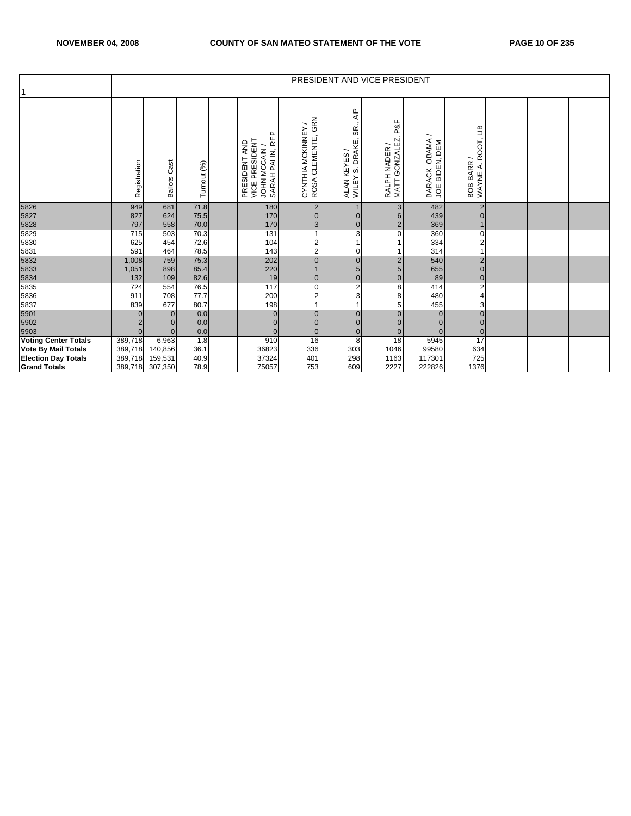|                             |              |                        |              |                                                                      |                                                      | PRESIDENT AND VICE PRESIDENT                                                           |                                                             |                                               |                                  |  |  |
|-----------------------------|--------------|------------------------|--------------|----------------------------------------------------------------------|------------------------------------------------------|----------------------------------------------------------------------------------------|-------------------------------------------------------------|-----------------------------------------------|----------------------------------|--|--|
|                             | Registration | Cast<br><b>Ballots</b> | Turnout (%)  | JOHN MCCAIN /<br>SARAH PALIN, REP<br>VICE PRESIDENT<br>PRESIDENT AND | GRN<br>CYNTHIA MCKINNEY/<br>CLEMENTE,<br><b>ROSA</b> | $\overline{AB}$<br>SR.<br>S. DRAKE<br>$\overline{\phantom{0}}$<br>ALAN KEYES<br>WILEY: | P&F<br><b>GONZALEZ</b><br>RALPH NADER /<br>MATT <sup></sup> | ∽<br>OBAMA<br>JOE BIDEN, DEM<br><b>BARACK</b> | WAYNE A. ROOT, LIB<br>BOB BARR / |  |  |
| 5826<br>5827                | 949<br>827   | 681<br>624             | 71.8         | 180<br>170                                                           | $\overline{2}$                                       |                                                                                        | 3                                                           | 482                                           | $\overline{2}$                   |  |  |
| 5828                        | 797          | 558                    | 75.5<br>70.0 | 170                                                                  | $\mathbf{0}$<br>3                                    | $\overline{0}$                                                                         | 6<br>$\overline{\mathbf{c}}$                                | 439<br>369                                    | $\overline{0}$                   |  |  |
| 5829                        | 715          | 503                    | 70.3         | 131                                                                  |                                                      |                                                                                        | 0                                                           | 360                                           | $\mathbf 0$                      |  |  |
| 5830                        | 625          | 454                    | 72.6         | 104                                                                  | 2                                                    |                                                                                        |                                                             | 334                                           | $\overline{c}$                   |  |  |
| 5831                        | 591          | 464                    | 78.5         | 143                                                                  | $\overline{2}$                                       |                                                                                        |                                                             | 314                                           |                                  |  |  |
|                             | 1,008        | 759                    | 75.3         | 202                                                                  | $\overline{0}$                                       | $\Omega$                                                                               | $\overline{c}$                                              | 540                                           | $\overline{2}$                   |  |  |
| 5832<br>5833                | 1,051        | 898                    | 85.4         | 220                                                                  |                                                      | 5                                                                                      | 5                                                           | 655                                           | $\overline{0}$                   |  |  |
| 5834                        | 132          | 109                    | 82.6         | $\frac{19}{117}$                                                     | $\mathbf 0$                                          | $\overline{0}$                                                                         | $\overline{0}$                                              | 89                                            | $\mathbf{0}$                     |  |  |
| 5835                        | 724          | 554                    | 76.5         |                                                                      | 0                                                    | $\overline{2}$                                                                         | 8                                                           | 414                                           | $\overline{c}$                   |  |  |
| 5836                        | 911          | 708                    | 77.7         | 200                                                                  | 2                                                    | 3                                                                                      | 8                                                           | 480                                           | 4                                |  |  |
| 5837                        | 839          | 677                    | 80.7         | 198                                                                  |                                                      |                                                                                        | 5                                                           | 455                                           | 3                                |  |  |
| 5901                        |              | $\Omega$               | 0.0          | $\mathbf{0}$                                                         | $\mathbf{0}$                                         |                                                                                        |                                                             |                                               | $\overline{0}$                   |  |  |
| 5902                        |              | U                      | 0.0          |                                                                      | $\mathbf{0}$                                         |                                                                                        |                                                             |                                               | $\overline{0}$                   |  |  |
| 5903                        | $\Omega$     | $\Omega$               | 0.0          | $\Omega$                                                             | $\Omega$                                             | $\Omega$                                                                               | $\Omega$                                                    |                                               | $\overline{0}$                   |  |  |
| <b>Voting Center Totals</b> | 389,718      | 6,963                  | 1.8          | 910                                                                  | 16                                                   | 8                                                                                      | 18                                                          | 5945                                          | 17                               |  |  |
| <b>Vote By Mail Totals</b>  | 389,718      | 140,856                | 36.1         | 36823                                                                | 336                                                  | 303                                                                                    | 1046                                                        | 99580                                         | 634                              |  |  |
| <b>Election Day Totals</b>  | 389,718      | 159,531                | 40.9         | 37324                                                                | 401                                                  | 298                                                                                    | 1163                                                        | 117301                                        | 725                              |  |  |
| <b>Grand Totals</b>         | 389,718      | 307,350                | 78.9         | 75057                                                                | 753                                                  | 609                                                                                    | 2227                                                        | 222826                                        | 1376                             |  |  |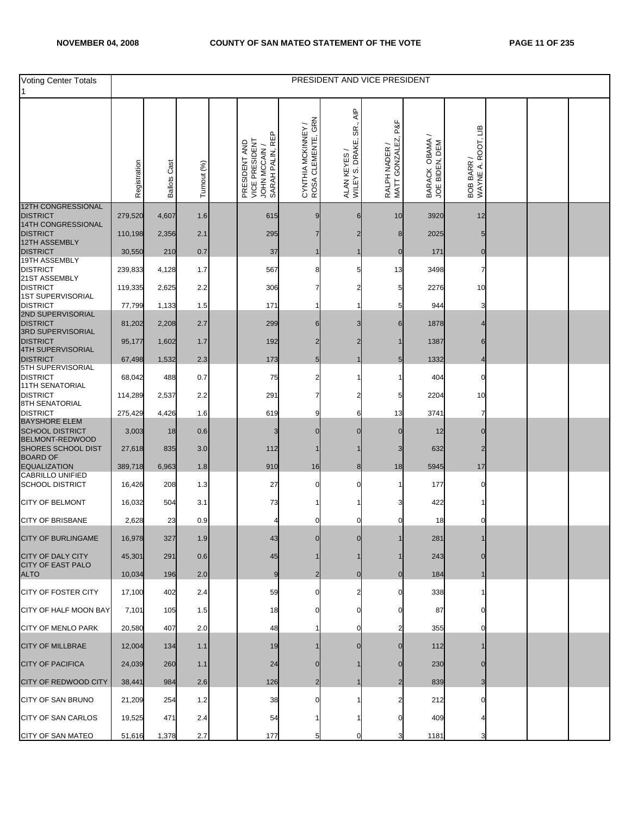| Voting Center Totals                                           |                   |                     |             |                                                                    |                                          |                                                        | PRESIDENT AND VICE PRESIDENT         |                                  |                                  |  |  |
|----------------------------------------------------------------|-------------------|---------------------|-------------|--------------------------------------------------------------------|------------------------------------------|--------------------------------------------------------|--------------------------------------|----------------------------------|----------------------------------|--|--|
|                                                                | Registration      | <b>Ballots Cast</b> | Turnout (%) | SARAH PALIN, REP<br>VICE PRESIDENT<br>PRESIDENT AND<br>JOHN MCCAIN | CYNTHIA MCKINNEY /<br>ROSA CLEMENTE, GRN | $rac{P}{\leq}$<br>SR.<br>WILEY S. DRAKE,<br>ALAN KEYES | P&F<br>MATT GONZALEZ,<br>RALPH NADER | BARACK OBAMA /<br>JOE BIDEN, DEM | WAYNE A. ROOT, LIB<br>BOB BARR / |  |  |
| <b>12TH CONGRESSIONAL</b><br><b>DISTRICT</b>                   | 279,520           | 4,607               | 1.6         | 615                                                                |                                          | 6                                                      | 10                                   | 3920                             | 12                               |  |  |
| 14TH CONGRESSIONAL                                             |                   |                     |             |                                                                    |                                          |                                                        |                                      |                                  |                                  |  |  |
| <b>DISTRICT</b><br>12TH ASSEMBLY<br><b>DISTRICT</b>            | 110,198<br>30,550 | 2,356<br>210        | 2.1<br>0.7  | 295<br>37                                                          |                                          | 2                                                      | 8                                    | 2025<br>171                      | $\Omega$                         |  |  |
| 19TH ASSEMBLY<br><b>DISTRICT</b>                               | 239,833           | 4,128               | 1.7         | 567                                                                |                                          | 5                                                      | 13                                   | 3498                             |                                  |  |  |
| 21ST ASSEMBLY<br><b>DISTRICT</b>                               | 119,335           | 2,625               | 2.2         | 306                                                                |                                          |                                                        |                                      | 2276                             | 10                               |  |  |
| 1ST SUPERVISORIAL<br><b>DISTRICT</b>                           | 77,799            | 1,133               | 1.5         | 171                                                                |                                          |                                                        |                                      | 944                              |                                  |  |  |
| 2ND SUPERVISORIAL<br><b>DISTRICT</b><br>3RD SUPERVISORIAL      | 81,202            | 2,208               | 2.7         | 299                                                                | 6                                        | З                                                      |                                      | 1878                             |                                  |  |  |
| <b>DISTRICT</b>                                                | 95,177            | 1,602               | 1.7         | 192                                                                |                                          |                                                        |                                      | 1387                             |                                  |  |  |
| 4TH SUPERVISORIAL<br><b>DISTRICT</b>                           | 67,498            | 1,532               | $2.3\,$     | 173                                                                | 5                                        |                                                        |                                      | 1332                             |                                  |  |  |
| 5TH SUPERVISORIAL<br><b>DISTRICT</b><br><b>11TH SENATORIAL</b> | 68,042            | 488                 | 0.7         | 75                                                                 |                                          |                                                        |                                      | 404                              |                                  |  |  |
| <b>DISTRICT</b><br>8TH SENATORIAL                              | 114,289           | 2,537               | 2.2         | 291                                                                |                                          |                                                        | 5                                    | 2204                             | 10                               |  |  |
| <b>DISTRICT</b><br><b>BAYSHORE ELEM</b>                        | 275,429           | 4,426               | 1.6         | 619                                                                | 9                                        | 6                                                      | 13                                   | 3741                             |                                  |  |  |
| <b>SCHOOL DISTRICT</b><br>BELMONT-REDWOOD                      | 3,003             | 18                  | 0.6         | 3                                                                  |                                          |                                                        |                                      | 12                               |                                  |  |  |
| SHORES SCHOOL DIST<br><b>BOARD OF</b>                          | 27,618            | 835                 | 3.0         | 112                                                                |                                          |                                                        | 3                                    | 632                              | 2                                |  |  |
| <b>EQUALIZATION</b><br><b>CABRILLO UNIFIED</b>                 | 389,718           | 6,963               | 1.8         | 910                                                                | 16                                       | 8                                                      | 18                                   | 5945                             | 17                               |  |  |
| <b>SCHOOL DISTRICT</b>                                         | 16,426            | 208                 | 1.3         | 27                                                                 |                                          | O                                                      |                                      | 177                              |                                  |  |  |
| <b>CITY OF BELMONT</b>                                         | 16,032            | 504                 | 3.1         | 73                                                                 |                                          |                                                        |                                      | 422                              |                                  |  |  |
| <b>CITY OF BRISBANE</b>                                        | 2,628             | 23                  | 0.9         |                                                                    |                                          |                                                        |                                      | 18                               |                                  |  |  |
| <b>CITY OF BURLINGAME</b>                                      | 16,978            | 327                 | $1.9$       | 12                                                                 |                                          |                                                        |                                      | 281                              |                                  |  |  |
| <b>CITY OF DALY CITY</b><br><b>CITY OF EAST PALO</b>           | 45,301            | 291                 | 0.6         | 45                                                                 |                                          |                                                        |                                      | 243                              |                                  |  |  |
| <b>ALTO</b>                                                    | 10,034            | 196                 | 2.0         | 9                                                                  |                                          |                                                        |                                      | 184                              |                                  |  |  |
| <b>CITY OF FOSTER CITY</b>                                     | 17,100            | 402                 | 2.4         | 59                                                                 |                                          |                                                        |                                      | 338                              |                                  |  |  |
| CITY OF HALF MOON BAY                                          | 7,101             | 105                 | 1.5         | 18                                                                 |                                          |                                                        |                                      | 87                               |                                  |  |  |
| <b>CITY OF MENLO PARK</b>                                      | 20,580            | 407                 | 2.0         | 48                                                                 |                                          |                                                        |                                      | 355                              |                                  |  |  |
| <b>CITY OF MILLBRAE</b>                                        | 12,004            | 134                 | 1.1         | 19                                                                 |                                          |                                                        |                                      | 112                              |                                  |  |  |
| <b>CITY OF PACIFICA</b>                                        | 24,039            | 260                 | 1.1         | 24                                                                 |                                          |                                                        |                                      | 230                              |                                  |  |  |
| <b>CITY OF REDWOOD CITY</b>                                    | 38,441            | 984                 | 2.6         | 126                                                                | 2                                        |                                                        |                                      | 839                              |                                  |  |  |
| CITY OF SAN BRUNO                                              | 21,209            | 254                 | 1.2         | 38                                                                 |                                          |                                                        |                                      | 212                              |                                  |  |  |
| <b>CITY OF SAN CARLOS</b>                                      | 19,525            | 471                 | 2.4         | 54                                                                 |                                          |                                                        |                                      | 409                              |                                  |  |  |
| CITY OF SAN MATEO                                              | 51,616            | 1,378               | 2.7         | 177                                                                |                                          |                                                        |                                      | 1181                             |                                  |  |  |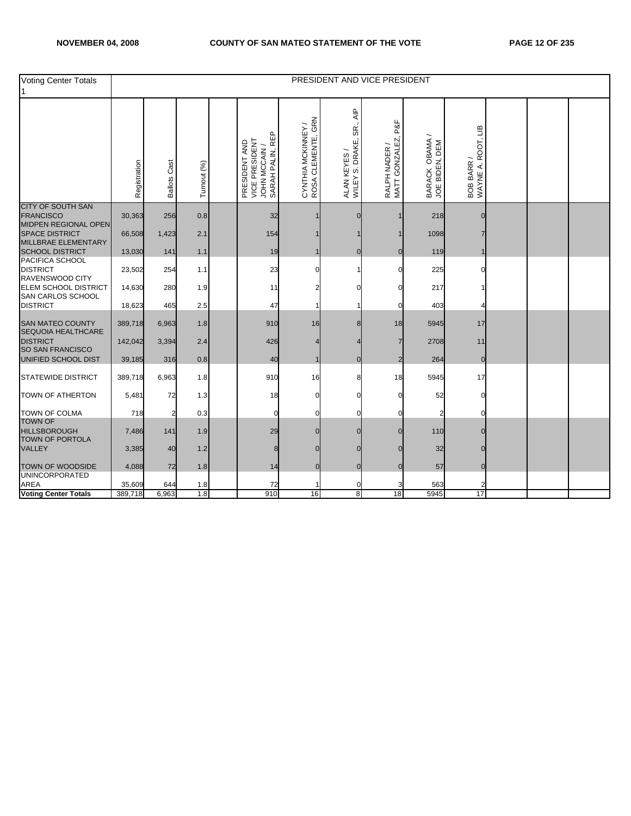| <b>Voting Center Totals</b>                                     |              |                     |             |                                                                      |                                                |                                                           | PRESIDENT AND VICE PRESIDENT           |                                  |                                  |  |  |
|-----------------------------------------------------------------|--------------|---------------------|-------------|----------------------------------------------------------------------|------------------------------------------------|-----------------------------------------------------------|----------------------------------------|----------------------------------|----------------------------------|--|--|
|                                                                 | Registration | <b>Ballots Cast</b> | Turnout (%) | SARAH PALIN, REP<br>VICE PRESIDENT<br>PRESIDENT AND<br>JOHN MCCAIN / | GRN<br>CYNTHIA MCKINNEY /<br>ROSA CLEMENTE, GR | $\overline{AP}$<br>SR.<br>WILEY S. DRAKE,<br>ALAN KEYES / | P&F<br>RALPH NADER /<br>MATT GONZALEZ, | BARACK OBAMA /<br>JOE BIDEN, DEM | BOB BARR /<br>WAYNE A. ROOT, LIB |  |  |
| CITY OF SOUTH SAN<br><b>FRANCISCO</b>                           | 30,363       | 256                 | 0.8         | 32                                                                   |                                                | $\Omega$                                                  |                                        | 218                              |                                  |  |  |
| MIDPEN REGIONAL OPEN<br>SPACE DISTRICT<br>MILLBRAE ELEMENTARY   | 66,508       | 1,423               | 2.1         | 154                                                                  |                                                |                                                           |                                        | 1098                             |                                  |  |  |
| <b>SCHOOL DISTRICT</b>                                          | 13,030       | 141                 | 1.1         | 19                                                                   |                                                | $\Omega$                                                  |                                        | 119                              |                                  |  |  |
| PACIFICA SCHOOL<br><b>DISTRICT</b><br>RAVENSWOOD CITY           | 23,502       | 254                 | 1.1         | 23                                                                   |                                                |                                                           |                                        | 225                              |                                  |  |  |
| <b>ELEM SCHOOL DISTRICT</b><br>SAN CARLOS SCHOOL                | 14,630       | 280                 | 1.9         | 11                                                                   |                                                |                                                           |                                        | 217                              |                                  |  |  |
| <b>DISTRICT</b>                                                 | 18,623       | 465                 | 2.5         | 47                                                                   |                                                |                                                           |                                        | 403                              |                                  |  |  |
| <b>SAN MATEO COUNTY</b><br>SEQUOIA HEALTHCARE                   | 389,718      | 6,963               | 1.8         | 910                                                                  | 16                                             |                                                           | 18                                     | 5945                             | 17                               |  |  |
| <b>DISTRICT</b><br>SO SAN FRANCISCO                             | 142,042      | 3,394               | 2.4         | 426                                                                  |                                                |                                                           |                                        | 2708                             | 11                               |  |  |
| UNIFIED SCHOOL DIST                                             | 39,185       | 316                 | 0.8         | 40                                                                   |                                                | $\Omega$                                                  | 2                                      | 264                              | $\overline{0}$                   |  |  |
| <b>STATEWIDE DISTRICT</b>                                       | 389,718      | 6,963               | 1.8         | 910                                                                  | 16                                             |                                                           | 18                                     | 5945                             | 17                               |  |  |
| TOWN OF ATHERTON                                                | 5,481        | 72                  | 1.3         | 18                                                                   |                                                |                                                           |                                        | 52                               |                                  |  |  |
| <b>TOWN OF COLMA</b>                                            | 718          | 2                   | 0.3         | 0                                                                    |                                                |                                                           |                                        |                                  |                                  |  |  |
| <b>TOWN OF</b><br><b>HILLSBOROUGH</b><br><b>TOWN OF PORTOLA</b> | 7,486        | 141                 | 1.9         | 29                                                                   |                                                |                                                           |                                        | 110                              |                                  |  |  |
| <b>VALLEY</b>                                                   | 3,385        | 40                  | 1.2         | 8                                                                    |                                                |                                                           |                                        | 32                               |                                  |  |  |
| TOWN OF WOODSIDE<br><b>UNINCORPORATED</b>                       | 4,088        | 72                  | 1.8         | 14                                                                   | $\mathbf{0}$                                   | $\Omega$                                                  |                                        | 57                               | $\overline{0}$                   |  |  |
| <b>AREA</b>                                                     | 35,609       | 644                 | 1.8         | 72                                                                   |                                                |                                                           |                                        | 563                              |                                  |  |  |
| <b>Voting Center Totals</b>                                     | 389,718      | 6,963               | 1.8         | 910                                                                  | 16                                             | 8                                                         | 18                                     | 5945                             | 17                               |  |  |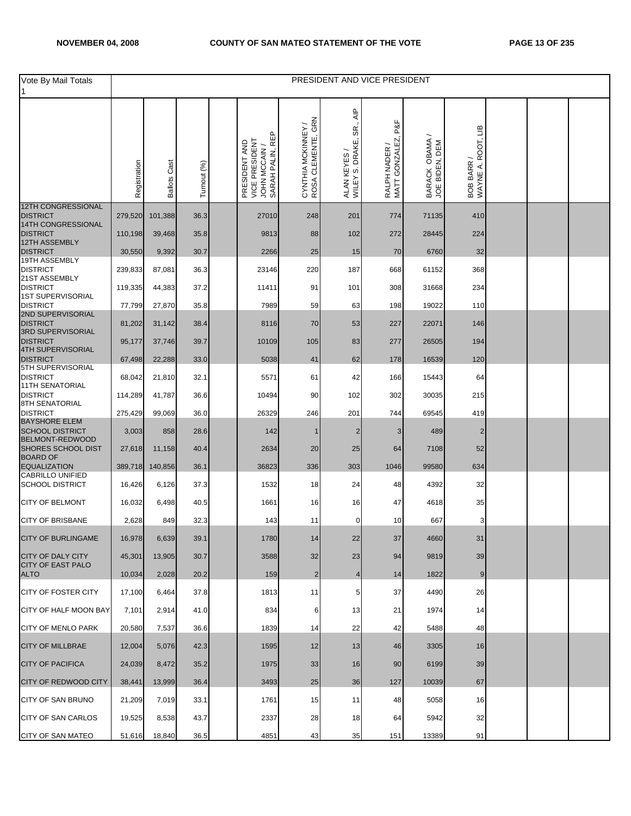| Vote By Mail Totals                                              |              |                     |             |                                                                      |                                                |                                                           | PRESIDENT AND VICE PRESIDENT         |                                  |                                  |  |  |
|------------------------------------------------------------------|--------------|---------------------|-------------|----------------------------------------------------------------------|------------------------------------------------|-----------------------------------------------------------|--------------------------------------|----------------------------------|----------------------------------|--|--|
|                                                                  | Registration | <b>Ballots Cast</b> | Turnout (%) | SARAH PALIN, REP<br>VICE PRESIDENT<br>PRESIDENT AND<br>JOHN MCCAIN / | GRN<br>CYNTHIA MCKINNEY /<br>ROSA CLEMENTE, GR | $rac{P}{\leq}$<br>SR.,<br>WILEY S. DRAKE,<br>ALAN KEYES / | P&F<br>MATT GONZALEZ,<br>RALPH NADER | BARACK OBAMA /<br>JOE BIDEN, DEM | BOB BARR /<br>WAYNE A. ROOT, LIB |  |  |
| <b>12TH CONGRESSIONAL</b><br><b>DISTRICT</b>                     | 279,520      | 101,388             | 36.3        | 27010                                                                | 248                                            | 201                                                       | 774                                  | 71135                            | 410                              |  |  |
| 14TH CONGRESSIONAL<br><b>DISTRICT</b>                            | 110,198      | 39,468              | 35.8        | 9813                                                                 | 88                                             | 102                                                       | 272                                  | 28445                            | 224                              |  |  |
| 12TH ASSEMBLY<br><b>DISTRICT</b>                                 | 30,550       | 9,392               | 30.7        | 2266                                                                 | 25                                             | 15                                                        | 70                                   | 6760                             | 32                               |  |  |
| 19TH ASSEMBLY<br><b>DISTRICT</b>                                 | 239,833      | 87,081              | 36.3        | 23146                                                                | 220                                            | 187                                                       | 668                                  | 61152                            | 368                              |  |  |
| 21ST ASSEMBLY<br><b>DISTRICT</b>                                 | 119,335      | 44,383              | 37.2        | 11411                                                                | 91                                             | 101                                                       | 308                                  | 31668                            | 234                              |  |  |
| <b>1ST SUPERVISORIAL</b><br><b>DISTRICT</b>                      | 77,799       | 27,870              | 35.8        | 7989                                                                 | 59                                             | 63                                                        | 198                                  | 19022                            | 110                              |  |  |
| 2ND SUPERVISORIAL<br><b>DISTRICT</b><br><b>3RD SUPERVISORIAL</b> | 81,202       | 31,142              | 38.4        | 8116                                                                 | 70                                             | 53                                                        | 227                                  | 22071                            | 146                              |  |  |
| <b>DISTRICT</b>                                                  | 95,177       | 37,746              | 39.7        | 10109                                                                | 105                                            | 83                                                        | 277                                  | 26505                            | 194                              |  |  |
| 4TH SUPERVISORIAL<br><b>DISTRICT</b>                             | 67,498       | 22,288              | 33.0        | 5038                                                                 | 41                                             | 62                                                        | 178                                  | 16539                            | 120                              |  |  |
| 5TH SUPERVISORIAL<br><b>DISTRICT</b><br><b>11TH SENATORIAL</b>   | 68,042       | 21,810              | 32.1        | 5571                                                                 | 61                                             | 42                                                        | 166                                  | 15443                            | 64                               |  |  |
| <b>DISTRICT</b><br>8TH SENATORIAL                                | 114,289      | 41,787              | 36.6        | 10494                                                                | 90                                             | 102                                                       | 302                                  | 30035                            | 215                              |  |  |
| <b>DISTRICT</b><br><b>BAYSHORE ELEM</b>                          | 275,429      | 99,069              | 36.0        | 26329                                                                | 246                                            | 201                                                       | 744                                  | 69545                            | 419                              |  |  |
| <b>SCHOOL DISTRICT</b><br><b>BELMONT-REDWOOD</b>                 | 3,003        | 858                 | 28.6        | 142                                                                  | 1                                              | 2                                                         | 3                                    | 489                              | $\overline{2}$                   |  |  |
| SHORES SCHOOL DIST<br><b>BOARD OF</b>                            | 27,618       | 11,158              | 40.4        | 2634                                                                 | 20                                             | 25                                                        | 64                                   | 7108                             | 52                               |  |  |
| <b>EQUALIZATION</b>                                              | 389,718      | 140,856             | 36.1        | 36823                                                                | 336                                            | 303                                                       | 1046                                 | 99580                            | 634                              |  |  |
| <b>CABRILLO UNIFIED</b><br><b>SCHOOL DISTRICT</b>                | 16,426       | 6,126               | 37.3        | 1532                                                                 | 18                                             | 24                                                        | 48                                   | 4392                             | 32                               |  |  |
| <b>CITY OF BELMONT</b>                                           | 16,032       | 6,498               | 40.5        | 1661                                                                 | 16                                             | 16                                                        | 47                                   | 4618                             | 35                               |  |  |
| <b>CITY OF BRISBANE</b>                                          | 2,628        | 849                 | 32.3        | 143                                                                  | 11                                             | 0                                                         | 10                                   | 667                              | 3                                |  |  |
| CITY OF BURLINGAME                                               | 16,978       | 6,639               | 39.1        | 1780                                                                 | 14                                             | 22                                                        | $37\,$                               | 4660                             | 31                               |  |  |
| <b>CITY OF DALY CITY</b><br><b>CITY OF EAST PALO</b>             | 45,301       | 13,905              | 30.7        | 3588                                                                 | 32                                             | 23                                                        | 94                                   | 9819                             | 39                               |  |  |
| <b>ALTO</b>                                                      | 10,034       | 2,028               | 20.2        | 159                                                                  | $\overline{2}$                                 | 4                                                         | 14                                   | 1822                             | 9                                |  |  |
| <b>CITY OF FOSTER CITY</b>                                       | 17.100       | 6,464               | 37.8        | 1813                                                                 | 11                                             | 5                                                         | 37                                   | 4490                             | 26                               |  |  |
| CITY OF HALF MOON BAY                                            | 7,101        | 2,914               | 41.0        | 834                                                                  | 6                                              | 13                                                        | 21                                   | 1974                             | 14                               |  |  |
| <b>CITY OF MENLO PARK</b>                                        | 20,580       | 7,537               | 36.6        | 1839                                                                 | 14                                             | 22                                                        | 42                                   | 5488                             | 48                               |  |  |
| <b>CITY OF MILLBRAE</b>                                          | 12,004       | 5,076               | 42.3        | 1595                                                                 | 12                                             | 13                                                        | 46                                   | 3305                             | 16                               |  |  |
| <b>CITY OF PACIFICA</b>                                          | 24,039       | 8,472               | 35.2        | 1975                                                                 | 33                                             | 16                                                        | 90                                   | 6199                             | 39                               |  |  |
| <b>CITY OF REDWOOD CITY</b>                                      | 38,441       | 13,999              | 36.4        | 3493                                                                 | 25                                             | 36                                                        | 127                                  | 10039                            | 67                               |  |  |
| CITY OF SAN BRUNO                                                | 21,209       | 7,019               | 33.1        | 1761                                                                 | 15                                             | 11                                                        | 48                                   | 5058                             | 16                               |  |  |
| <b>CITY OF SAN CARLOS</b>                                        | 19,525       | 8,538               | 43.7        | 2337                                                                 | 28                                             | 18                                                        | 64                                   | 5942                             | 32                               |  |  |
| <b>CITY OF SAN MATEO</b>                                         | 51,616       | 18,840              | 36.5        | 4851                                                                 | 43                                             | 35                                                        | 151                                  | 13389                            | 91                               |  |  |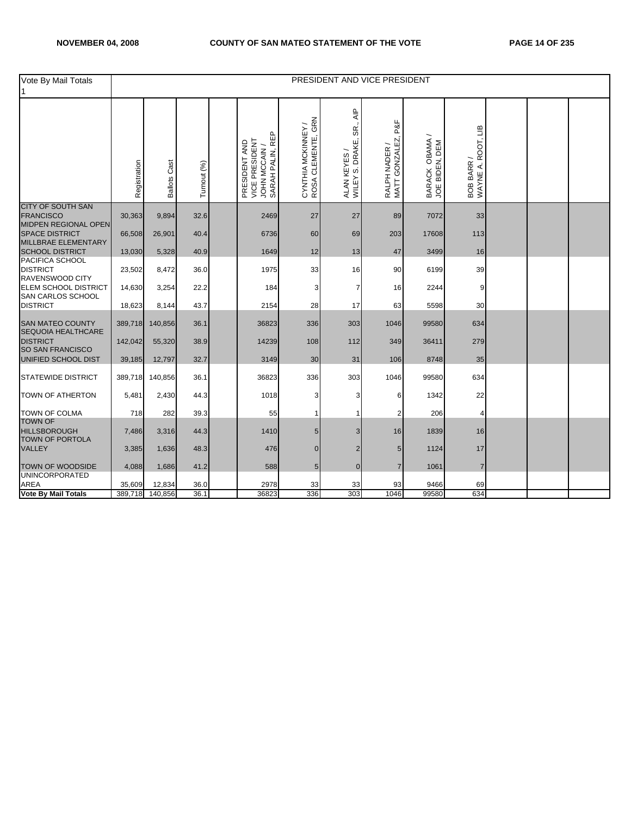| Vote By Mail Totals                                                         |              |                     |             |                                                                    |                                          |                                                           | PRESIDENT AND VICE PRESIDENT           |                                  |                                  |  |  |
|-----------------------------------------------------------------------------|--------------|---------------------|-------------|--------------------------------------------------------------------|------------------------------------------|-----------------------------------------------------------|----------------------------------------|----------------------------------|----------------------------------|--|--|
|                                                                             | Registration | <b>Ballots Cast</b> | Turnout (%) | SARAH PALIN, REP<br>VICE PRESIDENT<br>PRESIDENT AND<br>JOHN MCCAIN | CYNTHIA MCKINNEY /<br>ROSA CLEMENTE, GRN | $\overline{AP}$<br>SR.<br>ALAN KEYES /<br>WILEY S. DRAKE, | P&F<br>RALPH NADER /<br>MATT GONZALEZ, | BARACK OBAMA /<br>JOE BIDEN, DEM | WAYNE A. ROOT, LIB<br>BOB BARR / |  |  |
| CITY OF SOUTH SAN<br><b>FRANCISCO</b>                                       | 30,363       | 9,894               | 32.6        | 2469                                                               | 27                                       | 27                                                        | 89                                     | 7072                             | 33                               |  |  |
| <b>MIDPEN REGIONAL OPEN</b><br><b>SPACE DISTRICT</b><br>MILLBRAE ELEMENTARY | 66,508       | 26,901              | 40.4        | 6736                                                               | 60                                       | 69                                                        | 203                                    | 17608                            | 113                              |  |  |
| <b>SCHOOL DISTRICT</b>                                                      | 13,030       | 5,328               | 40.9        | 1649                                                               | 12                                       | 13                                                        | 47                                     | 3499                             | 16                               |  |  |
| PACIFICA SCHOOL<br><b>DISTRICT</b><br>RAVENSWOOD CITY                       | 23,502       | 8,472               | 36.0        | 1975                                                               | 33                                       | 16                                                        | 90                                     | 6199                             | 39                               |  |  |
| <b>ELEM SCHOOL DISTRICT</b><br>SAN CARLOS SCHOOL                            | 14,630       | 3,254               | 22.2        | 184                                                                | 3                                        | 7                                                         | 16                                     | 2244                             | 9                                |  |  |
| <b>DISTRICT</b>                                                             | 18,623       | 8,144               | 43.7        | 2154                                                               | 28                                       | 17                                                        | 63                                     | 5598                             | 30                               |  |  |
| <b>SAN MATEO COUNTY</b><br>SEQUOIA HEALTHCARE                               | 389,718      | 140,856             | 36.1        | 36823                                                              | 336                                      | 303                                                       | 1046                                   | 99580                            | 634                              |  |  |
| <b>DISTRICT</b><br>SO SAN FRANCISCO                                         | 142,042      | 55,320              | 38.9        | 14239                                                              | 108                                      | 112                                                       | 349                                    | 36411                            | 279                              |  |  |
| UNIFIED SCHOOL DIST                                                         | 39,185       | 12,797              | 32.7        | 3149                                                               | 30                                       | 31                                                        | 106                                    | 8748                             | 35                               |  |  |
| <b>STATEWIDE DISTRICT</b>                                                   | 389,718      | 140,856             | 36.1        | 36823                                                              | 336                                      | 303                                                       | 1046                                   | 99580                            | 634                              |  |  |
| <b>TOWN OF ATHERTON</b>                                                     | 5,481        | 2,430               | 44.3        | 1018                                                               | 3                                        | 3                                                         | 6                                      | 1342                             | 22                               |  |  |
| <b>TOWN OF COLMA</b><br><b>TOWN OF</b>                                      | 718          | 282                 | 39.3        | 55                                                                 |                                          |                                                           | 2                                      | 206                              | 4                                |  |  |
| <b>HILLSBOROUGH</b><br><b>TOWN OF PORTOLA</b>                               | 7,486        | 3,316               | 44.3        | 1410                                                               | 5                                        | 3                                                         | 16                                     | 1839                             | 16                               |  |  |
| <b>VALLEY</b>                                                               | 3,385        | 1,636               | 48.3        | 476                                                                | $\overline{0}$                           | 2                                                         | 5                                      | 1124                             | 17                               |  |  |
| TOWN OF WOODSIDE<br><b>UNINCORPORATED</b>                                   | 4,088        | 1,686               | 41.2        | 588                                                                | 5                                        | $\overline{0}$                                            | $\overline{7}$                         | 1061                             | $\overline{7}$                   |  |  |
| <b>AREA</b>                                                                 | 35,609       | 12,834              | 36.0        | 2978                                                               | 33                                       | 33                                                        | 93                                     | 9466                             | 69                               |  |  |
| Vote By Mail Totals                                                         | 389,718      | 140,856             | 36.1        | 36823                                                              | 336                                      | 303                                                       | 1046                                   | 99580                            | 634                              |  |  |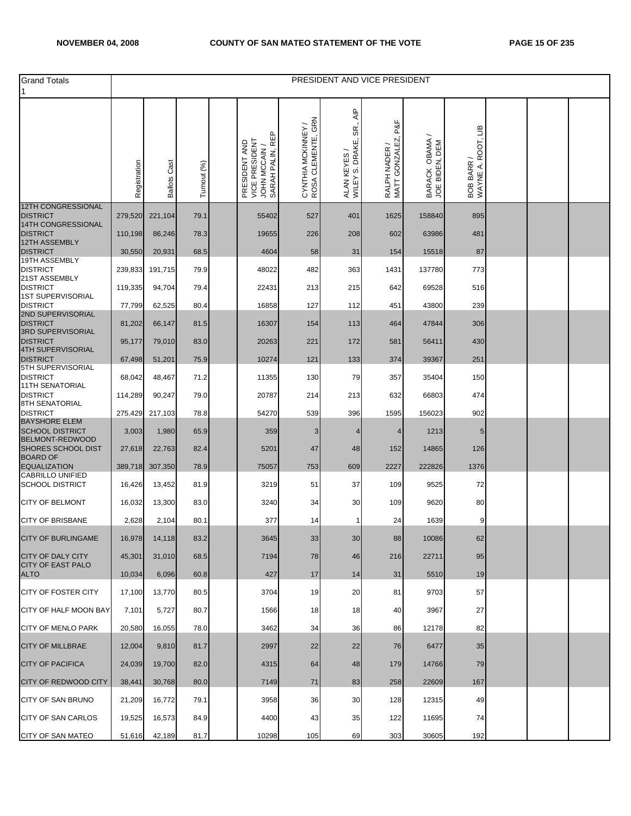| <b>Grand Totals</b>                              |              |                     |              |                                                                    |                                          |                                                                       | PRESIDENT AND VICE PRESIDENT           |                                  |                                  |  |  |
|--------------------------------------------------|--------------|---------------------|--------------|--------------------------------------------------------------------|------------------------------------------|-----------------------------------------------------------------------|----------------------------------------|----------------------------------|----------------------------------|--|--|
|                                                  | Registration | <b>Ballots Cast</b> | Turnout (%)  | SARAH PALIN, REP<br>VICE PRESIDENT<br>PRESIDENT AND<br>JOHN MCCAIN | CYNTHIA MCKINNEY /<br>ROSA CLEMENTE, GRN | $\overline{\mathsf{A}}$ IP<br>SR.,<br>ALAN KEYES /<br>WILEY S. DRAKE, | P&F<br>RALPH NADER /<br>MATT GONZALEZ, | BARACK OBAMA /<br>JOE BIDEN, DEM | BOB BARR /<br>WAYNE A. ROOT, LIB |  |  |
| <b>12TH CONGRESSIONAL</b><br><b>DISTRICT</b>     | 279,520      | 221,104             | 79.1         | 55402                                                              | 527                                      | 401                                                                   | 1625                                   | 158840                           | 895                              |  |  |
| 14TH CONGRESSIONAL<br><b>DISTRICT</b>            | 110,198      | 86,246              | 78.3         | 19655                                                              | 226                                      | 208                                                                   | 602                                    | 63986                            | 481                              |  |  |
| 12TH ASSEMBLY<br><b>DISTRICT</b>                 | 30,550       | 20,931              | 68.5         | 4604                                                               | 58                                       | 31                                                                    | 154                                    | 15518                            | 87                               |  |  |
| 19TH ASSEMBLY<br><b>DISTRICT</b>                 | 239,833      | 191,715             | 79.9         | 48022                                                              | 482                                      | 363                                                                   | 1431                                   | 137780                           | 773                              |  |  |
| 21ST ASSEMBLY<br><b>DISTRICT</b>                 | 119,335      | 94,704              | 79.4         | 22431                                                              | 213                                      | 215                                                                   | 642                                    | 69528                            | 516                              |  |  |
| 1ST SUPERVISORIAL<br><b>DISTRICT</b>             | 77,799       | 62,525              | 80.4         | 16858                                                              | 127                                      | 112                                                                   | 451                                    | 43800                            | 239                              |  |  |
| 2ND SUPERVISORIAL<br><b>DISTRICT</b>             | 81,202       | 66,147              |              | 16307                                                              | 154                                      | 113                                                                   | 464                                    | 47844                            | 306                              |  |  |
| 3RD SUPERVISORIAL<br><b>DISTRICT</b>             | 95,177       | 79,010              | 81.5<br>83.0 | 20263                                                              | 221                                      | 172                                                                   | 581                                    | 56411                            | 430                              |  |  |
| 4TH SUPERVISORIAL                                |              |                     |              |                                                                    |                                          |                                                                       |                                        |                                  |                                  |  |  |
| <b>DISTRICT</b><br>5TH SUPERVISORIAL             | 67,498       | 51,201              | 75.9         | 10274                                                              | 121                                      | 133                                                                   | 374                                    | 39367                            | 251                              |  |  |
| <b>DISTRICT</b><br><b>11TH SENATORIAL</b>        | 68,042       | 48,467              | 71.2         | 11355                                                              | 130                                      | 79                                                                    | 357                                    | 35404                            | 150                              |  |  |
| <b>DISTRICT</b><br>8TH SENATORIAL                | 114,289      | 90,247              | 79.0         | 20787                                                              | 214                                      | 213                                                                   | 632                                    | 66803                            | 474                              |  |  |
| <b>DISTRICT</b><br><b>BAYSHORE ELEM</b>          | 275,429      | 217,103             | 78.8         | 54270                                                              | 539                                      | 396                                                                   | 1595                                   | 156023                           | 902                              |  |  |
| <b>SCHOOL DISTRICT</b><br><b>BELMONT-REDWOOD</b> | 3,003        | 1,980               | 65.9         | 359                                                                | 3                                        | 4                                                                     | 4                                      | 1213                             | 5                                |  |  |
| <b>SHORES SCHOOL DIST</b><br><b>BOARD OF</b>     | 27,618       | 22,763              | 82.4         | 5201                                                               | 47                                       | 48                                                                    | 152                                    | 14865                            | 126                              |  |  |
| <b>EQUALIZATION</b><br><b>CABRILLO UNIFIED</b>   | 389,718      | 307,350             | 78.9         | 75057                                                              | 753                                      | 609                                                                   | 2227                                   | 222826                           | 1376                             |  |  |
| <b>SCHOOL DISTRICT</b>                           | 16,426       | 13,452              | 81.9         | 3219                                                               | 51                                       | 37                                                                    | 109                                    | 9525                             | 72                               |  |  |
| <b>CITY OF BELMONT</b>                           | 16,032       | 13,300              | 83.0         | 3240                                                               | 34                                       | 30                                                                    | 109                                    | 9620                             | 80                               |  |  |
| <b>CITY OF BRISBANE</b>                          | 2,628        | 2,104               | 80.1         | 377                                                                | 14                                       | 1                                                                     | 24                                     | 1639                             | 9                                |  |  |
| CITY OF BURLINGAME                               | 16,978       | 14,118              | 83.2         | 3645                                                               | 33                                       | 30                                                                    | 88                                     | 10086                            | 62                               |  |  |
| <b>CITY OF DALY CITY</b>                         | 45,301       | 31,010              | 68.5         | 7194                                                               | 78                                       | 46                                                                    | 216                                    | 22711                            | 95                               |  |  |
| <b>CITY OF EAST PALO</b><br><b>ALTO</b>          | 10,034       | 6,096               | 60.8         | 427                                                                | 17                                       | 14                                                                    | 31                                     | 5510                             | 19                               |  |  |
| <b>CITY OF FOSTER CITY</b>                       | 17,100       | 13,770              | 80.5         | 3704                                                               | 19                                       | 20                                                                    | 81                                     | 9703                             | 57                               |  |  |
| CITY OF HALF MOON BAY                            | 7,101        | 5,727               | 80.7         | 1566                                                               | 18                                       | 18                                                                    | 40                                     | 3967                             | 27                               |  |  |
| <b>CITY OF MENLO PARK</b>                        | 20,580       | 16,055              | 78.0         | 3462                                                               | 34                                       | 36                                                                    | 86                                     | 12178                            | 82                               |  |  |
| <b>CITY OF MILLBRAE</b>                          | 12,004       | 9,810               | 81.7         | 2997                                                               | 22                                       | 22                                                                    | 76                                     | 6477                             | 35                               |  |  |
| <b>CITY OF PACIFICA</b>                          | 24,039       | 19,700              | 82.0         | 4315                                                               | 64                                       | 48                                                                    | 179                                    | 14766                            | 79                               |  |  |
| <b>CITY OF REDWOOD CITY</b>                      | 38,441       | 30,768              | 80.0         | 7149                                                               | 71                                       | 83                                                                    | 258                                    | 22609                            | 167                              |  |  |
| CITY OF SAN BRUNO                                | 21,209       | 16,772              | 79.1         | 3958                                                               | 36                                       | 30                                                                    | 128                                    | 12315                            | 49                               |  |  |
| <b>CITY OF SAN CARLOS</b>                        | 19,525       | 16,573              | 84.9         | 4400                                                               | 43                                       | 35                                                                    | 122                                    | 11695                            | 74                               |  |  |
| CITY OF SAN MATEO                                | 51,616       | 42,189              | 81.7         | 10298                                                              | 105                                      | 69                                                                    | 303                                    | 30605                            | 192                              |  |  |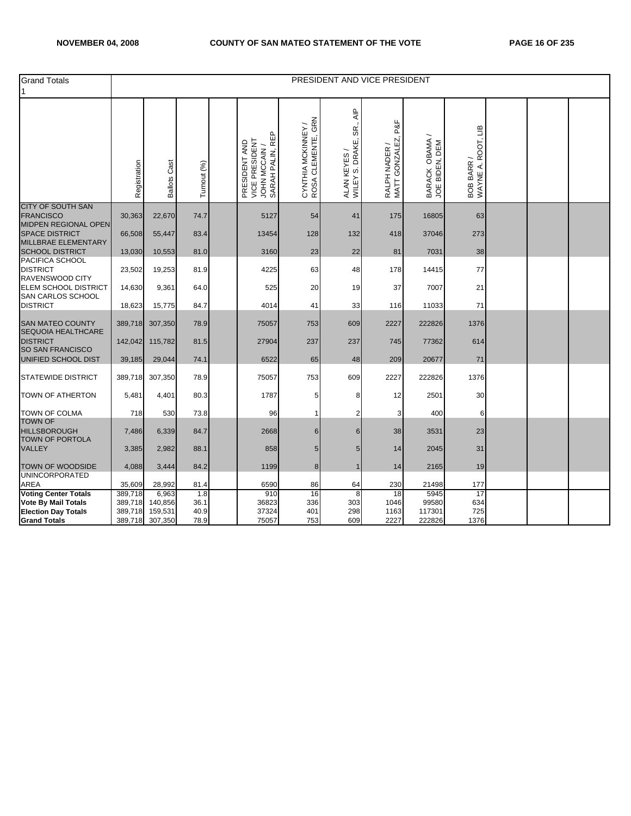| <b>Grand Totals</b>                                             |                   |                     |             |                                                                      |                                                |                                                  | PRESIDENT AND VICE PRESIDENT          |                                  |                                  |  |  |
|-----------------------------------------------------------------|-------------------|---------------------|-------------|----------------------------------------------------------------------|------------------------------------------------|--------------------------------------------------|---------------------------------------|----------------------------------|----------------------------------|--|--|
|                                                                 | Registration      | <b>Ballots Cast</b> | Turnout (%) | SARAH PALIN, REP<br>VICE PRESIDENT<br>PRESIDENT AND<br>JOHN MCCAIN / | GRN<br>CYNTHIA MCKINNEY /<br>ROSA CLEMENTE, GR | ₹<br>SR.<br>WILEY S. DRAKE,<br><b>ALAN KEYES</b> | P&F<br>RALPH NADER /<br>MATT GONZALEZ | BARACK OBAMA /<br>JOE BIDEN, DEM | WAYNE A. ROOT, LIB<br>BOB BARR / |  |  |
| <b>CITY OF SOUTH SAN</b><br><b>FRANCISCO</b>                    | 30,363            | 22,670              | 74.7        | 5127                                                                 | 54                                             | 41                                               | 175                                   | 16805                            | 63                               |  |  |
| <b>MIDPEN REGIONAL OPEN</b><br><b>SPACE DISTRICT</b>            | 66,508            | 55,447              | 83.4        | 13454                                                                | 128                                            | 132                                              | 418                                   | 37046                            | 273                              |  |  |
| MILLBRAE ELEMENTARY<br><b>SCHOOL DISTRICT</b>                   | 13,030            | 10,553              | 81.0        | 3160                                                                 | 23                                             | 22                                               | 81                                    | 7031                             | 38                               |  |  |
| PACIFICA SCHOOL<br><b>DISTRICT</b><br>RAVENSWOOD CITY           | 23,502            | 19,253              | 81.9        | 4225                                                                 | 63                                             | 48                                               | 178                                   | 14415                            | 77                               |  |  |
| ELEM SCHOOL DISTRICT<br><b>SAN CARLOS SCHOOL</b>                | 14,630            | 9,361               | 64.0        | 525                                                                  | 20                                             | 19                                               | 37                                    | 7007                             | 21                               |  |  |
| <b>DISTRICT</b>                                                 | 18,623            | 15,775              | 84.7        | 4014                                                                 | 41                                             | 33                                               | 116                                   | 11033                            | 71                               |  |  |
| <b>SAN MATEO COUNTY</b><br>SEQUOIA HEALTHCARE                   | 389,718           | 307,350             | 78.9        | 75057                                                                | 753                                            | 609                                              | 2227                                  | 222826                           | 1376                             |  |  |
| <b>DISTRICT</b><br>SO SAN FRANCISCO                             | 142,042           | 115,782             | 81.5        | 27904                                                                | 237                                            | 237                                              | 745                                   | 77362                            | 614                              |  |  |
| UNIFIED SCHOOL DIST                                             | 39,185            | 29,044              | 74.1        | 6522                                                                 | 65                                             | 48                                               | 209                                   | 20677                            | 71                               |  |  |
| <b>STATEWIDE DISTRICT</b>                                       | 389,718           | 307,350             | 78.9        | 75057                                                                | 753                                            | 609                                              | 2227                                  | 222826                           | 1376                             |  |  |
| <b>TOWN OF ATHERTON</b>                                         | 5,481             | 4,401               | 80.3        | 1787                                                                 | 5                                              | 8                                                | 12                                    | 2501                             | 30                               |  |  |
| <b>TOWN OF COLMA</b>                                            | 718               | 530                 | 73.8        | 96                                                                   |                                                | 2                                                | 3                                     | 400                              | 6                                |  |  |
| <b>TOWN OF</b><br><b>HILLSBOROUGH</b><br><b>TOWN OF PORTOLA</b> | 7,486             | 6,339               | 84.7        | 2668                                                                 | 6                                              | 6                                                | 38                                    | 3531                             | 23                               |  |  |
| <b>VALLEY</b>                                                   | 3,385             | 2,982               | 88.1        | 858                                                                  | 5                                              | 5                                                | 14                                    | 2045                             | 31                               |  |  |
| <b>TOWN OF WOODSIDE</b>                                         | 4,088             | 3,444               | 84.2        | 1199                                                                 | 8                                              | $\mathbf{1}$                                     | 14                                    | 2165                             | 19                               |  |  |
| <b>UNINCORPORATED</b>                                           |                   |                     |             |                                                                      |                                                |                                                  |                                       |                                  |                                  |  |  |
| AREA<br><b>Voting Center Totals</b>                             | 35,609<br>389,718 | 28,992<br>6,963     | 81.4<br>1.8 | 6590<br>910                                                          | 86<br>16                                       | 64<br>8                                          | 230<br>18                             | 21498<br>5945                    | 177<br>17                        |  |  |
| <b>Vote By Mail Totals</b>                                      | 389,718           | 140,856             | 36.1        | 36823                                                                | 336                                            | 303                                              | 1046                                  | 99580                            | 634                              |  |  |
| <b>Election Day Totals</b>                                      | 389,718           | 159,531             | 40.9        | 37324                                                                | 401                                            | 298                                              | 1163                                  | 117301                           | 725                              |  |  |
| <b>Grand Totals</b>                                             | 389,718           | 307,350             | 78.9        | 75057                                                                | 753                                            | 609                                              | 2227                                  | 222826                           | 1376                             |  |  |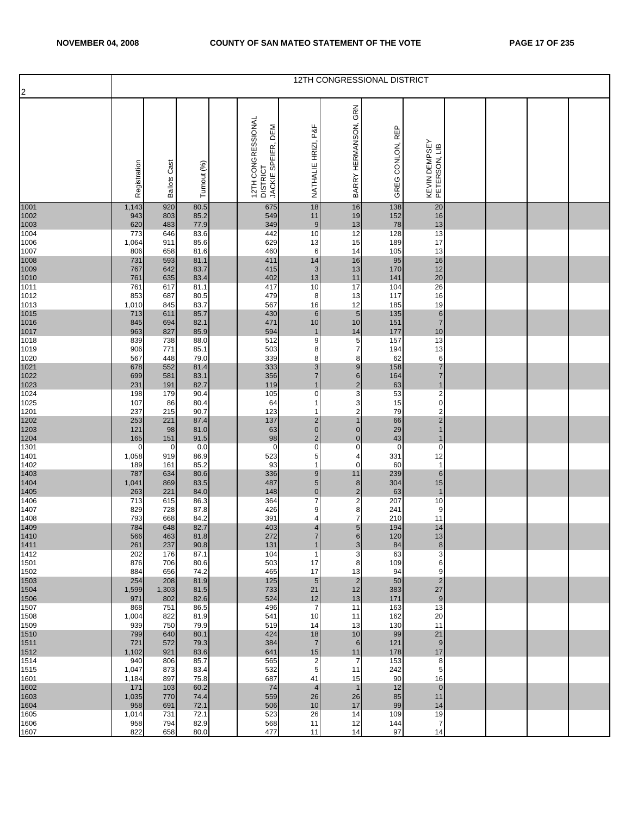| $\overline{2}$       |                      |                 |              |                                                         |                                |                                  | 12TH CONGRESSIONAL DISTRICT |                                |  |  |
|----------------------|----------------------|-----------------|--------------|---------------------------------------------------------|--------------------------------|----------------------------------|-----------------------------|--------------------------------|--|--|
|                      | Registration         | Cast<br>Ballots | Turnout (%)  | 12TH CONGRESSIONAL<br>DEM<br>DISTRICT<br>JACKIE SPEIER, | P&F<br>NATHALIE HRIZI,         | GRN<br>BARRY HERMANSON,          | GREG CONLON, REP            | KEVIN DEMPSEY<br>PETERSON, LIB |  |  |
| 1001<br>1002         | 1,143<br>943         | 920<br>803      | 80.5<br>85.2 | 675<br>549                                              | 18<br>11                       | 16<br>19                         | 138<br>152                  | 20<br>16                       |  |  |
| 1003<br>1004         | 620<br>773           | 483<br>646      | 77.9<br>83.6 | 349<br>442                                              | 9<br>10                        | 13<br>12                         | 78<br>128                   | 13<br>13                       |  |  |
| 1006                 | 1,064                | 911             | 85.6         | 629                                                     | 13                             | 15                               | 189                         | 17                             |  |  |
| 1007<br>1008         | 806<br>731           | 658<br>593      | 81.6<br>81.1 | 460<br>411                                              | 6<br>14                        | 14<br>16                         | 105<br>95                   | 13<br>$16$                     |  |  |
| 1009<br>1010         | 767<br>761           | 642<br>635      | 83.7<br>83.4 | 415<br>402                                              | 3<br>13                        | 13<br>11                         | 170<br>141                  | 12<br>20                       |  |  |
| 1011                 | 761                  | 617             | 81.1         | 417                                                     | 10                             | 17                               | 104                         | 26                             |  |  |
| 1012<br>1013         | 853<br>1,010         | 687<br>845      | 80.5<br>83.7 | 479<br>567                                              | 8<br>16                        | 13<br>12                         | 117<br>185                  | 16<br>19                       |  |  |
| 1015<br>1016         | 713<br>845           | 611<br>694      | 85.7<br>82.1 | 430<br>471                                              | $\boldsymbol{6}$<br>10         | $5\phantom{.0}$<br>10            | 135<br>151                  | $\,$ 6 $\,$<br>$\overline{7}$  |  |  |
| 1017                 | 963                  | 827             | 85.9         | 594                                                     | $\mathbf 1$                    | 14                               | 177                         | 10                             |  |  |
| 1018<br>1019         | 839<br>906           | 738<br>771      | 88.0<br>85.1 | 512<br>503                                              | 9<br>8                         | 5<br>$\overline{7}$              | 157<br>194                  | 13<br>13                       |  |  |
| 1020<br>1021         | 567<br>678           | 448<br>552      | 79.0<br>81.4 | 339<br>333                                              | 8<br>3                         | 8<br>9                           | 62<br>158                   | 6<br>$\overline{7}$            |  |  |
| 1022                 | 699                  | 581             | 83.1         | 356                                                     | $\overline{7}$<br>$\mathbf{1}$ | $6\phantom{1}$                   | 164                         | $\overline{7}$<br>$\mathbf{1}$ |  |  |
| 1023<br>1024         | 231<br>198           | 191<br>179      | 82.7<br>90.4 | 119<br>105                                              | $\mathbf 0$                    | $\overline{2}$<br>3              | 63<br>53                    | $\mathbf 2$                    |  |  |
| 1025<br>1201         | 107<br>237           | 86<br>215       | 80.4<br>90.7 | 64<br>123                                               | 1                              | 3<br>$\mathbf 2$                 | 15<br>79                    | $\pmb{0}$<br>$\mathbf 2$       |  |  |
| 1202                 | 253                  | 221             | 87.4         | 137                                                     | $\overline{\mathbf{c}}$        | $\mathbf{1}$                     | 66                          | $\overline{2}$                 |  |  |
| 1203<br>1204         | 121<br>165           | 98<br>151       | 81.0<br>91.5 | 63<br>98                                                | $\pmb{0}$<br>$\overline{2}$    | $\overline{0}$<br>$\overline{0}$ | 29<br>43                    | $\mathbf{1}$<br>1              |  |  |
| 1301<br>1401         | $\mathbf 0$<br>1,058 | 0<br>919        | 0.0<br>86.9  | $\mathbf 0$<br>523                                      | $\mathbf 0$<br>5               | $\mathbf 0$<br>4                 | $\overline{0}$<br>331       | $\overline{0}$<br>12           |  |  |
| 1402                 | 189                  | 161             | 85.2         | 93                                                      | $\mathbf{1}$                   | $\mathbf 0$                      | 60                          | $\mathbf{1}$                   |  |  |
| 1403<br>1404         | 787<br>1,041         | 634<br>869      | 80.6<br>83.5 | 336<br>487                                              | $9$<br>$\sqrt{5}$              | 11<br>8                          | 239<br>304                  | $6\phantom{.}$<br>15           |  |  |
| 1405<br>1406         | 263<br>713           | 221<br>615      | 84.0<br>86.3 | 148<br>364                                              | $\pmb{0}$<br>$\overline{7}$    | $\overline{2}$<br>$\overline{a}$ | 63<br>207                   | $\mathbf{1}$<br>10             |  |  |
| 1407                 | 829                  | 728             | 87.8         | 426                                                     | 9                              | 8                                | 241                         | 9                              |  |  |
| 1408                 | 793<br>784           | 668<br>648      | 84.2<br>82.7 | 391<br>403                                              | 4<br>$\overline{4}$            | 7<br>$5\phantom{.0}$             | 210<br>194                  | 11<br>14                       |  |  |
| 1409<br>1410<br>1411 | 566<br>261           | 463<br>237      | 81.8<br>90.8 | 272<br>131                                              | $\overline{7}$<br>$\mathbf{1}$ | 6<br>$\mathbf{3}$                | 120<br>84                   | 13<br>8                        |  |  |
| 1412                 | 202                  | 176             | 87.1         | 104                                                     | $\mathbf 1$                    | 3                                | 63                          | 3                              |  |  |
| 1501<br>1502         | 876<br>884           | 706<br>656      | 80.6<br>74.2 | 503<br>465                                              | 17<br>17                       | 8<br>13                          | 109<br>94                   | 6<br>9                         |  |  |
| 1503<br>1504         | 254<br>1,599         | 208<br>1,303    | 81.9<br>81.5 | 125<br>733                                              | $5\phantom{.0}$<br>21          | $\overline{2}$<br>12             | 50<br>383                   | $\overline{2}$<br>27           |  |  |
| 1506                 | 971                  | 802             | 82.6         | 524                                                     | 12                             | 13                               | 171                         | 9                              |  |  |
| 1507<br>1508         | 868<br>1,004         | 751<br>822      | 86.5<br>81.9 | 496<br>541                                              | $\overline{7}$<br>10           | 11<br>11                         | 163<br>162                  | 13<br>20                       |  |  |
| 1509<br>1510         | 939<br>799           | 750<br>640      | 79.9<br>80.1 | 519<br>424                                              | 14<br>18                       | 13<br>10                         | 130<br>99                   | 11<br>21                       |  |  |
| 1511                 | 721                  | 572             | 79.3         | 384                                                     | $\overline{7}$                 | 6                                | 121                         | 9                              |  |  |
| 1512<br>1514         | 1,102<br>940         | 921<br>806      | 83.6<br>85.7 | 641<br>565                                              | 15<br>$\overline{2}$           | 11<br>7                          | 178<br>153                  | 17<br>8                        |  |  |
| 1515<br>1601         | 1,047<br>1,184       | 873<br>897      | 83.4<br>75.8 | 532<br>687                                              | 5<br>41                        | 11<br>15                         | 242<br>90                   | 5<br>16                        |  |  |
| 1602                 | 171                  | 103             | 60.2         | 74                                                      | $\overline{4}$                 | $\mathbf{1}$                     | 12                          | $\overline{0}$                 |  |  |
| 1603<br>1604         | 1,035<br>958         | 770<br>691      | 74.4<br>72.1 | 559<br>506                                              | 26<br>10                       | 26<br>17                         | 85<br>99                    | 11<br>14                       |  |  |
| 1605<br>1606         | 1,014<br>958         | 731<br>794      | 72.1<br>82.9 | 523<br>568                                              | 26<br>11                       | 14<br>12                         | 109<br>144                  | 19<br>$\overline{7}$           |  |  |
| 1607                 | 822                  | 658             | 80.0         | 477                                                     | 11                             | 14                               | 97                          | 14                             |  |  |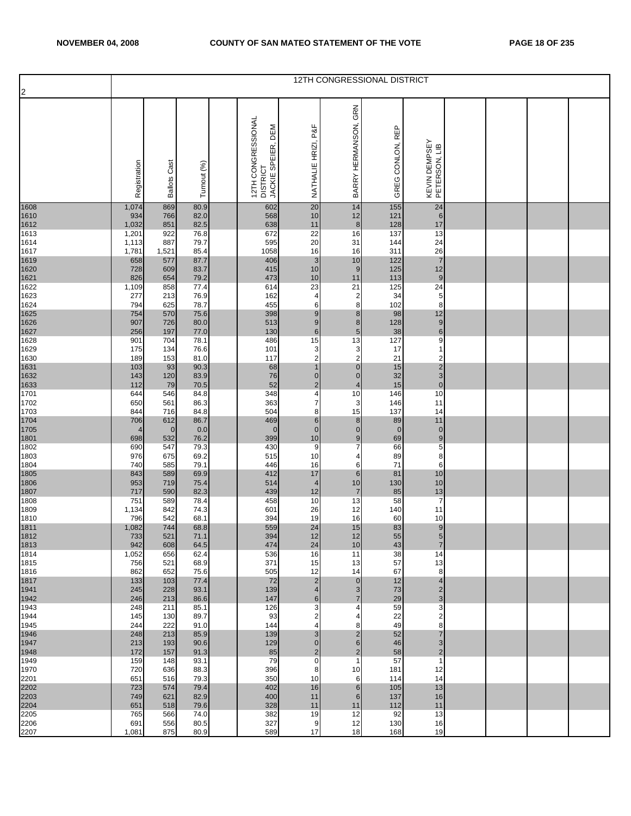| $\overline{2}$       |                       |                        |              |                                                                |                                        |                                         | 12TH CONGRESSIONAL DISTRICT |                                           |  |  |
|----------------------|-----------------------|------------------------|--------------|----------------------------------------------------------------|----------------------------------------|-----------------------------------------|-----------------------------|-------------------------------------------|--|--|
|                      | Registration          | Cast<br><b>Ballots</b> | Turnout (%)  | 12TH CONGRESSIONAL<br>DEM<br>JACKIE SPEIER,<br><b>DISTRICT</b> | NATHALIE HRIZI, P&F                    | GRN<br>BARRY HERMANSON,                 | GREG CONLON, REP            | KEVIN DEMPSEY<br>PETERSON, LIB            |  |  |
| 1608<br>1610         | 1,074<br>934          | 869<br>766             | 80.9<br>82.0 | 602<br>568                                                     | 20<br>10                               | 14<br>12                                | 155<br>121                  | 24<br>6                                   |  |  |
| 1612<br>1613         | 1,032<br>1,201        | 851<br>922             | 82.5<br>76.8 | 638<br>672                                                     | 11<br>22                               | 8<br>16                                 | 128<br>137                  | 17<br>13                                  |  |  |
| 1614                 | 1,113                 | 887                    | 79.7         | 595                                                            | 20                                     | 31                                      | 144                         | 24                                        |  |  |
| 1617<br>1619         | 1,781<br>658          | 1,521<br>577           | 85.4<br>87.7 | 1058<br>406                                                    | 16<br>$\mathbf{3}$                     | 16<br>10                                | 311<br>122                  | 26<br>$\overline{7}$                      |  |  |
| 1620<br>1621         | 728<br>826            | 609<br>654             | 83.7<br>79.2 | 415<br>473                                                     | 10<br>$10$                             | 9<br>11                                 | 125<br>113                  | 12<br>$\boldsymbol{9}$                    |  |  |
| 1622                 | 1,109                 | 858                    | 77.4         | 614                                                            | 23                                     | 21                                      | 125                         | 24                                        |  |  |
| 1623<br>1624         | 277<br>794            | 213<br>625             | 76.9<br>78.7 | 162<br>455                                                     | 4<br>6                                 | 2<br>8                                  | 34<br>102                   | $\,$ 5 $\,$<br>8                          |  |  |
| 1625<br>1626         | 754<br>907            | 570<br>726             | 75.6<br>80.0 | 398<br>513                                                     | 9<br>9                                 | $\bf 8$<br>$\bf 8$                      | 98<br>128                   | 12<br>$\boldsymbol{9}$                    |  |  |
| 1627                 | 256                   | 197                    | 77.0         | 130                                                            | 6                                      | $5\phantom{.0}$                         | 38                          | $\,6$                                     |  |  |
| 1628<br>1629         | 901<br>175            | 704<br>134             | 78.1<br>76.6 | 486<br>101                                                     | 15<br>3                                | 13<br>3                                 | 127<br>17                   | $\overline{9}$<br>$\mathbf{1}$            |  |  |
| 1630<br>1631         | 189<br>103            | 153<br>93              | 81.0<br>90.3 | 117<br>68                                                      | $\overline{c}$<br>$\mathbf 1$          | 2<br>$\overline{0}$                     | 21<br>15                    | $\overline{\mathbf{c}}$                   |  |  |
| 1632                 | 143                   | 120                    | 83.9         | 76                                                             | $\overline{0}$                         | $\overline{0}$                          | 32                          | $\frac{2}{3}$<br>$\mathbf 0$              |  |  |
| 1633<br>1701         | 112<br>644            | 79<br>546              | 70.5<br>84.8 | 52<br>348                                                      | $\mathbf 2$<br>4                       | $\overline{4}$<br>10                    | 15<br>146                   | 10                                        |  |  |
| 1702<br>1703         | 650<br>844            | 561<br>716             | 86.3<br>84.8 | 363<br>504                                                     | $\overline{7}$<br>8                    | 3<br>15                                 | 146<br>137                  | 11<br>14                                  |  |  |
| 1704                 | 706                   | 612                    | 86.7         | 469                                                            | $\boldsymbol{6}$                       | $\bf 8$                                 | 89                          | 11                                        |  |  |
| 1705<br>1801         | $\overline{4}$<br>698 | $\mathbf 0$<br>532     | 0.0<br>76.2  | $\mathbf{0}$<br>399                                            | $\mathbf{0}$<br>$10$                   | $\mathbf 0$<br>$\boldsymbol{9}$         | $\mathbf 0$<br>69           | $\pmb{0}$<br>9                            |  |  |
| 1802<br>1803         | 690<br>976            | 547<br>675             | 79.3<br>69.2 | 430<br>515                                                     | 9<br>10                                | 7<br>4                                  | 66<br>89                    | $\overline{5}$<br>8                       |  |  |
| 1804                 | 740                   | 585                    | 79.1         | 446                                                            | 16                                     | 6                                       | 71                          | 6                                         |  |  |
| 1805<br>1806         | 843<br>953            | 589<br>719             | 69.9<br>75.4 | 412<br>514                                                     | 17<br>$\overline{4}$                   | 6<br>10                                 | 81<br>130                   | 10<br>10                                  |  |  |
| 1807<br>1808         | 717<br>751            | 590<br>589             | 82.3<br>78.4 | 439<br>458                                                     | 12<br>10                               | $\overline{7}$<br>13                    | 85<br>58                    | 13<br>$\overline{7}$                      |  |  |
| 1809                 | 1,134                 | 842                    | 74.3         | 601                                                            | 26                                     | 12                                      | 140                         | 11                                        |  |  |
| 1810<br>1811<br>1812 | 796<br>1,082          | 542<br>744             | 68.1<br>68.8 | 394<br>559                                                     | 19<br>24                               | 16<br>15                                | 60<br>83                    | 10<br>$\boldsymbol{9}$                    |  |  |
| 1813                 | 733<br>942            | 521<br>608             | 71.1<br>64.5 | 394<br>474                                                     | 12<br>24                               | 12<br>$10$                              | 55<br>43                    | $5\overline{)}$<br>$\overline{7}$         |  |  |
| 1814                 | 1,052                 | 656                    | 62.4         | 536                                                            | 16                                     | 11                                      | 38                          | 14                                        |  |  |
| 1815<br>1816         | 756<br>862            | 521<br>652             | 68.9<br>75.6 | 371<br>505                                                     | 15<br>12                               | 13<br>14                                | 57<br>67                    | 13<br>8                                   |  |  |
| 1817<br>1941         | 133<br>245            | 103<br>228             | 77.4<br>93.1 | 72<br>139                                                      | $\mathbf 2$<br>$\overline{4}$          | $\pmb{0}$<br>$\mathbf{3}$               | 12<br>73                    | $\overline{\mathbf{4}}$<br>$\overline{c}$ |  |  |
| 1942                 | 246                   | 213                    | 86.6         | 147                                                            | $6\phantom{1}$                         | $\overline{7}$                          | 29                          | 3                                         |  |  |
| 1943<br>1944         | 248<br>145            | 211<br>130             | 85.1<br>89.7 | 126<br>93                                                      | 3<br>2                                 | 4<br>4                                  | 59<br>22                    | 3<br>$\overline{\mathbf{c}}$              |  |  |
| 1945                 | 244<br>248            | 222<br>213             | 91.0<br>85.9 | 144<br>139                                                     | 4<br>3                                 | 8<br>$\overline{c}$                     | 49<br>52                    | 8<br>$\overline{7}$                       |  |  |
| 1946<br>1947         | 213                   | 193                    | 90.6         | 129                                                            | $\overline{0}$                         | $\,$ 6 $\,$                             | 46                          | 3                                         |  |  |
| 1948<br>1949         | 172<br>159            | 157<br>148             | 91.3<br>93.1 | 85<br>79                                                       | $\overline{\mathbf{c}}$<br>$\mathbf 0$ | $\overline{\mathbf{c}}$<br>$\mathbf{1}$ | 58<br>57                    | $\overline{\mathbf{c}}$<br>$\mathbf{1}$   |  |  |
| 1970<br>2201         | 720<br>651            | 636<br>516             | 88.3<br>79.3 | 396<br>350                                                     | 8<br>10                                | 10<br>6                                 | 181<br>114                  | 12<br>14                                  |  |  |
| 2202                 | 723                   | 574                    | 79.4         | 402                                                            | 16                                     | $6\phantom{1}$                          | 105                         | 13                                        |  |  |
| 2203<br>2204         | 749<br>651            | 621<br>518             | 82.9<br>79.6 | 400<br>328                                                     | 11<br>11                               | 6<br>11                                 | 137<br>112                  | 16<br>11                                  |  |  |
| 2205                 | 765                   | 566<br>556             | 74.0         | 382<br>327                                                     | 19                                     | 12                                      | 92                          | 13                                        |  |  |
| 2206<br>2207         | 691<br>1,081          | 875                    | 80.5<br>80.9 | 589                                                            | 9<br>17                                | 12<br>18                                | 130<br>168                  | 16<br>19                                  |  |  |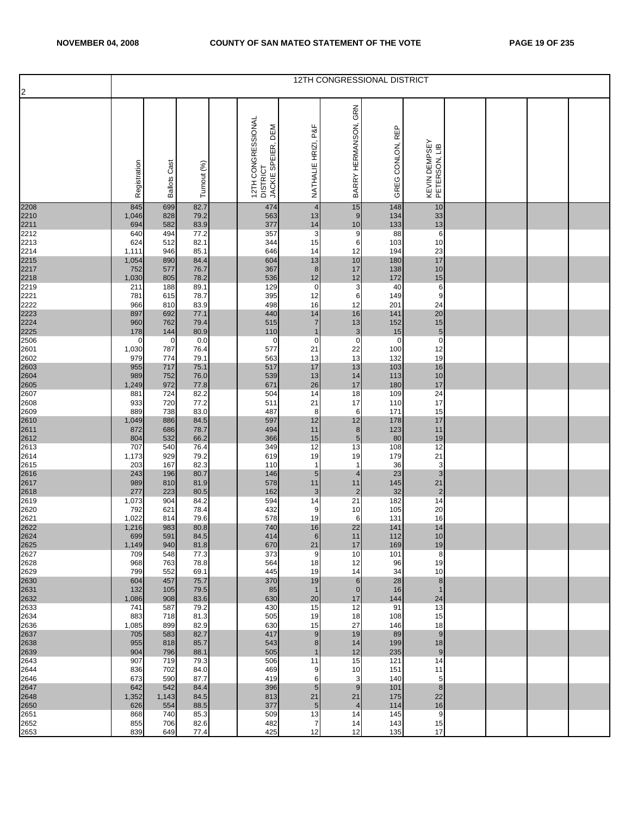| $\overline{2}$ |              |                        |              |                                                                |                                 |                                | 12TH CONGRESSIONAL DISTRICT |                                |  |  |
|----------------|--------------|------------------------|--------------|----------------------------------------------------------------|---------------------------------|--------------------------------|-----------------------------|--------------------------------|--|--|
|                | Registration | Cast<br><b>Ballots</b> | Turnout (%)  | 12TH CONGRESSIONAL<br>DEM<br>JACKIE SPEIER,<br><b>DISTRICT</b> | P&F<br>NATHALIE HRIZI,          | GRN<br>BARRY HERMANSON,        | GREG CONLON, REP            | KEVIN DEMPSEY<br>PETERSON, LIB |  |  |
| 2208<br>2210   | 845<br>1,046 | 699<br>828             | 82.7<br>79.2 | 474<br>563                                                     | $\overline{4}$<br>13            | 15<br>9                        | 148<br>134                  | 10<br>33                       |  |  |
| 2211           | 694          | 582                    | 83.9         | 377                                                            | 14                              | 10                             | 133                         | 13                             |  |  |
| 2212<br>2213   | 640<br>624   | 494<br>512             | 77.2<br>82.1 | 357<br>344                                                     | $\mathbf{3}$<br>15              | 9<br>6                         | 88<br>103                   | 6<br>10                        |  |  |
| 2214<br>2215   | 1,111        | 946                    | 85.1         | 646                                                            | 14                              | 12                             | 194                         | 23                             |  |  |
| 2217           | 1,054<br>752 | 890<br>577             | 84.4<br>76.7 | 604<br>367                                                     | 13<br>$\bf 8$                   | 10<br>17                       | 180<br>138                  | 17<br>10                       |  |  |
| 2218<br>2219   | 1,030        | 805                    | 78.2         | 536                                                            | 12                              | 12                             | 172                         | 15                             |  |  |
| 2221           | 211<br>781   | 188<br>615             | 89.1<br>78.7 | 129<br>395                                                     | $\mathbf 0$<br>12               | 3<br>6                         | 40<br>149                   | 6<br>9                         |  |  |
| 2222           | 966          | 810                    | 83.9         | 498                                                            | 16                              | 12                             | 201                         | 24                             |  |  |
| 2223           | 897          | 692                    | 77.1         | 440                                                            | 14                              | 16                             | 141                         | $20\,$                         |  |  |
| 2224<br>2225   | 960<br>178   | 762<br>144             | 79.4<br>80.9 | 515<br>110                                                     | $\overline{7}$<br>$\mathbf 1$   | 13<br>$\mathbf{3}$             | 152<br>15                   | 15<br>$\mathbf 5$              |  |  |
| 2506           | 0            | $\mathbf 0$            | 0.0          | 0                                                              | $\mathbf 0$                     | $\mathbf 0$                    | $\mathbf 0$                 | $\overline{\textbf{0}}$        |  |  |
| 2601<br>2602   | 1,030<br>979 | 787<br>774             | 76.4<br>79.1 | 577<br>563                                                     | 21<br>13                        | 22<br>13                       | 100<br>132                  | 12<br>19                       |  |  |
| 2603           | 955          | 717                    | 75.1         | 517                                                            | 17                              | 13                             | 103                         | 16                             |  |  |
| 2604<br>2605   | 989<br>1,249 | 752<br>972             | 76.0<br>77.8 | 539<br>671                                                     | 13<br>26                        | 14<br>17                       | 113<br>180                  | $10$<br>17                     |  |  |
| 2607           | 881          | 724                    | 82.2         | 504                                                            | 14                              | 18                             | 109                         | 24                             |  |  |
| 2608           | 933          | 720<br>738             | 77.2         | 511<br>487                                                     | 21                              | 17                             | 110<br>171                  | $17$<br>15                     |  |  |
| 2609<br>2610   | 889<br>1,049 | 886                    | 83.0<br>84.5 | 597                                                            | 8<br>12                         | 6<br>12                        | 178                         | 17                             |  |  |
| 2611           | 872          | 686                    | 78.7         | 494                                                            | 11                              | 8                              | 123                         | 11                             |  |  |
| 2612<br>2613   | 804<br>707   | 532<br>540             | 66.2<br>76.4 | 366<br>349                                                     | 15<br>12                        | $\sqrt{5}$<br>13               | 80<br>108                   | 19<br>12                       |  |  |
| 2614           | 1,173        | 929                    | 79.2         | 619                                                            | 19                              | 19                             | 179                         | 21                             |  |  |
| 2615<br>2616   | 203<br>243   | 167<br>196             | 82.3<br>80.7 | 110<br>146                                                     | $\mathbf{1}$<br>$5\phantom{.0}$ | $\mathbf{1}$<br>$\overline{4}$ | 36<br>23                    | $\mathsf 3$<br>$\mathbf{3}$    |  |  |
| 2617           | 989          | 810                    | 81.9         | 578                                                            | 11                              | 11                             | 145                         | 21                             |  |  |
| 2618           | 277          | 223                    | 80.5         | 162                                                            | 3                               | $\overline{c}$                 | 32                          | $\sqrt{2}$<br>14               |  |  |
| 2619<br>2620   | 1,073<br>792 | 904<br>621             | 84.2<br>78.4 | 594<br>432                                                     | 14<br>9                         | 21<br>10                       | 182<br>105                  | 20                             |  |  |
| 2621           | 1,022        | 814                    | 79.6         | 578                                                            | 19                              | 6                              | 131                         | 16                             |  |  |
| 2622<br>2624   | 1,216<br>699 | 983<br>591             | 80.8<br>84.5 | 740<br>414                                                     | 16<br>6                         | 22<br>11                       | 141<br>112                  | 14<br>$10$                     |  |  |
| 2625           | 1,149        | 940                    | 81.8         | 670                                                            | 21                              | 17                             | 169                         | 19                             |  |  |
| 2627<br>2628   | 709<br>968   | 548<br>763             | 77.3<br>78.8 | 373<br>564                                                     | 9<br>18                         | 10<br>12                       | 101<br>96                   | 8<br>19                        |  |  |
| 2629           | 799          | 552                    | 69.1         | 445                                                            | 19                              | 14                             | 34                          | 10                             |  |  |
| 2630<br>2631   | 604<br>132   | 457<br>105             | 75.7<br>79.5 | 370<br>85                                                      | 19<br>$\mathbf{1}$              | 6<br>$\overline{0}$            | 28<br>16                    | $\bf8$<br>$\mathbf{1}$         |  |  |
| 2632           | 1,086        | 908                    | 83.6         | 630                                                            | 20                              | 17                             | 144                         | 24                             |  |  |
| 2633           | 741          | 587                    | 79.2         | 430                                                            | 15                              | 12                             | 91                          | 13                             |  |  |
| 2634<br>2636   | 883<br>1,085 | 718<br>899             | 81.3<br>82.9 | 505<br>630                                                     | 19<br>15                        | 18<br>27                       | 108<br>146                  | 15<br>18                       |  |  |
| 2637           | 705          | 583                    | 82.7         | 417                                                            | $9$                             | 19                             | 89                          | $\boldsymbol{9}$               |  |  |
| 2638<br>2639   | 955<br>904   | 818<br>796             | 85.7<br>88.1 | 543<br>505                                                     | 8<br>$\overline{1}$             | 14<br>12                       | 199<br>235                  | 18<br>9                        |  |  |
| 2643           | 907          | 719                    | 79.3         | 506                                                            | 11                              | 15                             | 121                         | 14                             |  |  |
| 2644<br>2646   | 836<br>673   | 702<br>590             | 84.0<br>87.7 | 469<br>419                                                     | 9<br>6                          | 10<br>3                        | 151<br>140                  | 11<br>5                        |  |  |
| 2647           | 642          | 542                    | 84.4         | 396                                                            | $5\phantom{.0}$                 | 9                              | 101                         | $\bf 8$                        |  |  |
| 2648           | 1,352        | 1,143                  | 84.5         | 813                                                            | 21                              | 21                             | 175                         | 22                             |  |  |
| 2650<br>2651   | 626<br>868   | 554<br>740             | 88.5<br>85.3 | 377<br>509                                                     | $\sqrt{5}$<br>13                | $\overline{4}$<br>14           | 114<br>145                  | 16<br>9                        |  |  |
| 2652           | 855          | 706                    | 82.6         | 482                                                            | $\overline{7}$                  | 14                             | 143                         | 15                             |  |  |
| 2653           | 839          | 649                    | 77.4         | 425                                                            | 12                              | 12                             | 135                         | 17                             |  |  |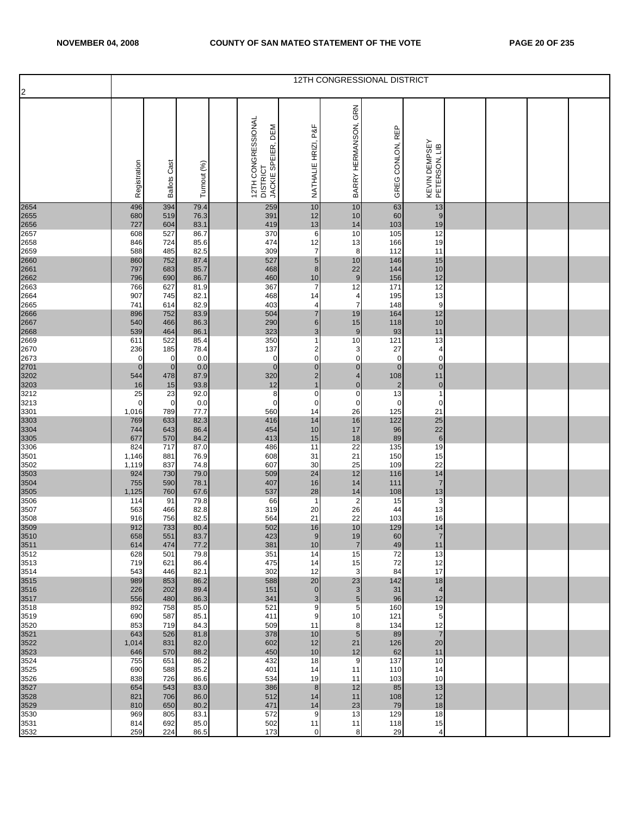| 2                            |                      |                            |              |                                                             |                                |                               | 12TH CONGRESSIONAL DISTRICT   |                                |  |  |
|------------------------------|----------------------|----------------------------|--------------|-------------------------------------------------------------|--------------------------------|-------------------------------|-------------------------------|--------------------------------|--|--|
|                              | Registration         | <b>Ballots Cast</b>        | Turnout (%)  | 12TH CONGRESSIONAL<br>JACKIE SPEIER, DEM<br><b>DISTRICT</b> | NATHALIE HRIZI, P&F            | GRN<br>BARRY HERMANSON,       | GREG CONLON, REP              | KEVIN DEMPSEY<br>PETERSON, LIB |  |  |
| 2654<br>2655                 | 496<br>680           | 394<br>519                 | 79.4<br>76.3 | 259<br>391                                                  | 10<br>12                       | 10<br>10                      | 63<br>60                      | 13<br>9                        |  |  |
| 2656<br>2657                 | 727<br>608           | 604<br>527                 | 83.1<br>86.7 | 419<br>370                                                  | 13<br>6                        | 14<br>10                      | 103<br>105                    | 19<br>12                       |  |  |
| 2658                         | 846                  | 724                        | 85.6         | 474                                                         | 12                             | 13                            | 166                           | 19                             |  |  |
| 2659<br>2660                 | 588<br>860           | 485<br>752                 | 82.5<br>87.4 | 309<br>527                                                  | $\overline{7}$<br>5            | 8<br>10                       | 112<br>146                    | 11<br>15                       |  |  |
| 2661<br>2662                 | 797<br>796           | 683<br>690                 | 85.7<br>86.7 | 468<br>460                                                  | $\bf 8$<br>10                  | 22<br>9                       | 144<br>156                    | $10$<br>12                     |  |  |
| 2663                         | 766                  | 627                        | 81.9         | 367                                                         | $\overline{7}$                 | 12                            | 171                           | 12                             |  |  |
| 2664<br>2665                 | 907<br>741           | 745<br>614                 | 82.1<br>82.9 | 468<br>403                                                  | 14<br>$\overline{4}$           | 4<br>$\overline{7}$           | 195<br>148                    | 13<br>$\boldsymbol{9}$         |  |  |
| 2666<br>2667<br>2668         | 896<br>540           | 752<br>466                 | 83.9<br>86.3 | 504<br>290                                                  | $\overline{7}$<br>$\,$ 6 $\,$  | 19<br>15                      | 164<br>118                    | 12<br>$10$                     |  |  |
|                              | 539                  | 464                        | 86.1         | 323                                                         | $\mathbf{3}$                   | 9                             | 93                            | 11                             |  |  |
| 2669<br>2670                 | 611<br>236           | 522<br>185                 | 85.4<br>78.4 | 350<br>137                                                  | 1<br>$\overline{\mathbf{c}}$   | 10<br>3                       | 121<br>27                     | 13<br>4                        |  |  |
| 2673                         | 0<br>$\mathbf 0$     | $\mathbf 0$<br>$\mathbf 0$ | 0.0<br>0.0   | $\mathbf 0$<br>$\mathbf 0$                                  | $\mathbf 0$<br>$\pmb{0}$       | $\mathbf 0$<br>$\overline{0}$ | $\mathbf 0$<br>$\pmb{0}$      | $\mathbf 0$<br>$\pmb{0}$       |  |  |
| 2701<br>3202<br>3203<br>3212 | 544                  | 478                        | 87.9         | 320                                                         | $\mathbf 2$                    | $\overline{4}$                | 108                           | 11                             |  |  |
|                              | 16<br>25             | 15<br>23                   | 93.8<br>92.0 | 12<br>8                                                     | $\mathbf{1}$<br>$\mathbf 0$    | $\mathbf{0}$<br>$\mathbf 0$   | $\overline{\mathbf{c}}$<br>13 | $\overline{0}$<br>$\mathbf{1}$ |  |  |
| 3213<br>3301                 | $\mathbf 0$<br>1,016 | $\mathbf 0$<br>789         | 0.0<br>77.7  | $\pmb{0}$<br>560                                            | $\pmb{0}$<br>14                | $\mathbf 0$<br>26             | $\pmb{0}$<br>125              | 0<br>21                        |  |  |
|                              | 769                  | 633                        | 82.3         | 416                                                         | 14                             | 16                            | 122                           | 25                             |  |  |
| 3303<br>3304<br>3305<br>3306 | 744<br>677           | 643<br>570                 | 86.4<br>84.2 | 454<br>413                                                  | 10<br>15                       | 17<br>18                      | 96<br>89                      | 22<br>$\boldsymbol{6}$         |  |  |
|                              | 824                  | 717                        | 87.0         | 486                                                         | 11                             | 22                            | 135                           | 19                             |  |  |
| 3501<br>3502                 | 1,146<br>1,119       | 881<br>837                 | 76.9<br>74.8 | 608<br>607                                                  | 31<br>30                       | 21<br>25                      | 150<br>109                    | 15<br>22                       |  |  |
| 3503<br>3504<br>3505         | 924<br>755           | 730<br>590                 | 79.0<br>78.1 | 509<br>407                                                  | 24<br>16                       | 12<br>14                      | 116<br>111                    | 14<br>$\boldsymbol{7}$         |  |  |
|                              | 1,125                | 760                        | 67.6         | 537                                                         | 28                             | 14                            | 108                           | 13                             |  |  |
| 3506<br>3507                 | 114<br>563           | 91<br>466                  | 79.8<br>82.8 | 66<br>319                                                   | $\mathbf{1}$<br>20             | $\overline{c}$<br>26          | 15<br>44                      | 3<br>13                        |  |  |
| 3508                         | 916<br>912           | 756<br>733                 | 82.5<br>80.4 | 564<br>502                                                  | 21<br>16                       | 22<br>10                      | 103<br>129                    | 16<br>14                       |  |  |
| 3509<br>3510                 | 658                  | 551                        | 83.7         | 423                                                         | 9                              | 19                            | 60                            | $\overline{7}$                 |  |  |
| 3511<br>3512                 | 614<br>628           | 474<br>501                 | 77.2<br>79.8 | 381<br>351                                                  | 10<br>14                       | $\overline{7}$<br>15          | 49<br>72                      | 11<br>13                       |  |  |
| 3513<br>3514                 | 719<br>543           | 621<br>446                 | 86.4<br>82.1 | 475<br>302                                                  | 14<br>12                       | 15<br>3                       | 72<br>84                      | 12<br>17                       |  |  |
| 3515                         | 989                  | 853                        | 86.2         | 588                                                         | 20                             | 23                            | 142                           | 18                             |  |  |
| 3516<br>3517                 | 226<br>556           | 202<br>480                 | 89.4<br>86.3 | 151<br>341                                                  | $\overline{0}$<br>$\mathbf{3}$ | 3<br>$\sqrt{5}$               | 31<br>96                      | $\overline{4}$<br>12           |  |  |
| 3518<br>3519                 | 892                  | 758<br>587                 | 85.0         | 521                                                         | 9<br>9                         | 5<br>10                       | 160                           | 19<br>5                        |  |  |
| 3520                         | 690<br>853           | 719                        | 85.1<br>84.3 | 411<br>509                                                  | 11                             | 8                             | 121<br>134                    | 12                             |  |  |
| 3521<br>3522                 | 643<br>1,014         | 526<br>831                 | 81.8<br>82.0 | 378<br>602                                                  | 10<br>12                       | $5\phantom{1}$<br>21          | 89<br>126                     | $\overline{7}$<br>20           |  |  |
| 3523                         | 646                  | 570                        | 88.2         | 450                                                         | 10                             | 12                            | 62                            | 11                             |  |  |
| 3524<br>3525                 | 755<br>690           | 651<br>588                 | 86.2<br>85.2 | 432<br>401                                                  | 18<br>14                       | 9<br>11                       | 137<br>110                    | 10<br>14                       |  |  |
| 3526<br>3527                 | 838<br>654           | 726<br>543                 | 86.6<br>83.0 | 534<br>386                                                  | 19<br>8                        | 11<br>12                      | 103<br>85                     | 10<br>13                       |  |  |
| 3528                         | 821                  | 706                        | 86.0         | 512                                                         | 14                             | 11                            | 108                           | 12                             |  |  |
| 3529<br>3530                 | 810<br>969           | 650<br>805                 | 80.2<br>83.1 | 471<br>572                                                  | 14<br>9                        | 23<br>13                      | 79<br>129                     | 18<br>18                       |  |  |
| 3531<br>3532                 | 814<br>259           | 692<br>224                 | 85.0<br>86.5 | 502<br>173                                                  | 11<br>0                        | 11<br>8                       | 118<br>29                     | 15<br>4                        |  |  |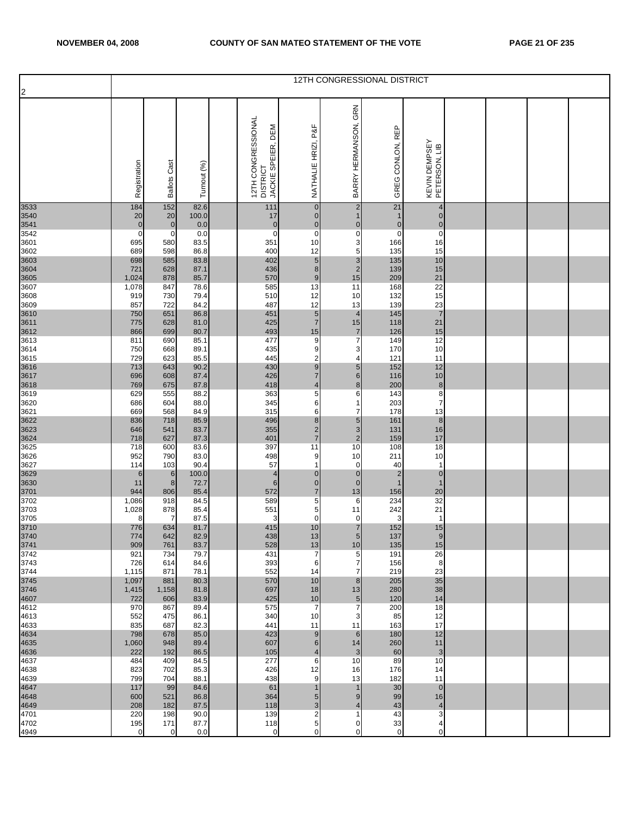| $\overline{2}$ |                             |                               |               |                                                                |                                    |                                       | 12TH CONGRESSIONAL DISTRICT               |                                         |  |  |
|----------------|-----------------------------|-------------------------------|---------------|----------------------------------------------------------------|------------------------------------|---------------------------------------|-------------------------------------------|-----------------------------------------|--|--|
|                | Registration                | Cast<br><b>Ballots</b>        | Turnout (%)   | 12TH CONGRESSIONAL<br>DEM<br>JACKIE SPEIER,<br><b>DISTRICT</b> | P&F<br>NATHALIE HRIZI,             | GRN<br>BARRY HERMANSON,               | GREG CONLON, REP                          | KEVIN DEMPSEY<br>PETERSON, LIB          |  |  |
| 3533<br>3540   | 184<br>20                   | 152<br>20                     | 82.6<br>100.0 | 111<br>17                                                      | $\overline{0}$<br>$\mathbf 0$      | $\mathbf 2$<br>$\mathbf{1}$           | 21<br>$\mathbf 1$                         | $\overline{\mathcal{A}}$<br>$\mathbf 0$ |  |  |
| 3541<br>3542   | $\mathbf{0}$<br>$\mathbf 0$ | $\overline{0}$<br>$\mathbf 0$ | 0.0<br>0.0    | $\mathbf 0$<br>$\mathbf 0$                                     | $\mathbf 0$<br>$\mathbf 0$         | $\overline{0}$<br>$\mathsf{O}\xspace$ | $\mathbf 0$<br>$\mathbf 0$                | $\mathbf 0$<br>$\pmb{0}$                |  |  |
| 3601           | 695                         | 580                           | 83.5          | 351                                                            | 10                                 | 3                                     | 166                                       | 16                                      |  |  |
| 3602           | 689                         | 598                           | 86.8          | 400                                                            | 12                                 | 5                                     | 135                                       | 15                                      |  |  |
| 3603<br>3604   | 698<br>721                  | 585<br>628                    | 83.8<br>87.1  | 402<br>436                                                     | $\overline{5}$<br>$\bf 8$          | $\mathbf{3}$<br>$\mathbf 2$           | 135<br>139                                | $10$<br>15                              |  |  |
| 3605           | 1,024                       | 878                           | 85.7          | 570                                                            | 9                                  | 15                                    | 209                                       | 21                                      |  |  |
| 3607<br>3608   | 1,078<br>919                | 847<br>730                    | 78.6<br>79.4  | 585<br>510                                                     | 13<br>12                           | 11<br>10                              | 168<br>132                                | $\overline{22}$<br>15                   |  |  |
| 3609           | 857                         | 722                           | 84.2          | 487                                                            | 12                                 | 13                                    | 139                                       | 23                                      |  |  |
| 3610<br>3611   | 750<br>775                  | 651<br>628                    | 86.8<br>81.0  | 451<br>425                                                     | $\sqrt{5}$<br>$\overline{7}$       | $\overline{4}$<br>15                  | 145<br>118                                | $\overline{7}$<br>21                    |  |  |
| 3612           | 866                         | 699                           | 80.7          | 493                                                            | 15                                 | $\overline{7}$                        | 126                                       | 15                                      |  |  |
| 3613<br>3614   | 811<br>750                  | 690<br>668                    | 85.1<br>89.1  | 477<br>435                                                     | $9\,$<br>9                         | 7<br>3                                | 149<br>170                                | 12<br>10                                |  |  |
| 3615           | 729                         | 623                           | 85.5          | 445                                                            | $\overline{\mathbf{c}}$            | 4                                     | 121                                       | 11                                      |  |  |
| 3616<br>3617   | 713<br>696                  | 643<br>608                    | 90.2<br>87.4  | 430<br>426                                                     | $\boldsymbol{9}$<br>$\overline{7}$ | $5\phantom{.0}$<br>6                  | 152<br>116                                | 12<br>10                                |  |  |
| 3618           | 769                         | 675                           | 87.8          | 418                                                            | 4                                  | $\bf{8}$                              | 200                                       | $\bf 8$                                 |  |  |
| 3619<br>3620   | 629<br>686                  | 555<br>604                    | 88.2<br>88.0  | 363<br>345                                                     | 5<br>6                             | 6<br>1                                | 143<br>203                                | 8<br>$\overline{\mathcal{I}}$           |  |  |
| 3621           | 669                         | 568                           | 84.9          | 315                                                            | 6                                  | $\overline{7}$                        | 178                                       | 13                                      |  |  |
| 3622<br>3623   | 836<br>646                  | 718<br>541                    | 85.9<br>83.7  | 496<br>355                                                     | $\bf8$<br>$\mathbf 2$              | $5\phantom{.0}$<br>$\mathbf{3}$       | 161<br>131                                | $\bf 8$<br>16                           |  |  |
| 3624           | 718                         | 627                           | 87.3          | 401                                                            | $\overline{7}$                     | $\mathbf 2$                           | 159                                       | 17                                      |  |  |
| 3625<br>3626   | 718<br>952                  | 600<br>790                    | 83.6<br>83.0  | 397<br>498                                                     | 11<br>9                            | 10<br>10                              | 108<br>211                                | 18<br>10                                |  |  |
| 3627           | 114                         | 103                           | 90.4          | 57                                                             | 1                                  | 0                                     | 40                                        | $\mathbf{1}$                            |  |  |
| 3629<br>3630   | 6<br>11                     | $6\phantom{1}$<br>$\bf 8$     | 100.0<br>72.7 | $\overline{4}$<br>$\,6$                                        | $\pmb{0}$<br>$\pmb{0}$             | $\overline{0}$<br>$\overline{0}$      | $\overline{\mathbf{c}}$<br>$\overline{1}$ | $\pmb{0}$<br>$\mathbf{1}$               |  |  |
| 3701           | 944                         | 806                           | 85.4          | 572                                                            | $\overline{7}$                     | 13                                    | 156                                       | 20                                      |  |  |
| 3702<br>3703   | 1,086                       | 918                           | 84.5<br>85.4  | 589<br>551                                                     | 5<br>5                             | 6<br>11                               | 234<br>242                                | 32<br>21                                |  |  |
| 3705           | 1,028<br>8                  | 878<br>$\overline{7}$         | 87.5          | 3                                                              | $\mathbf 0$                        | 0                                     | 3                                         | $\mathbf{1}$                            |  |  |
| 3710<br>3740   | 776                         | 634<br>642                    | 81.7<br>82.9  | 415                                                            | 10                                 | $\overline{7}$<br>5 <sup>1</sup>      | 152                                       | 15<br>9                                 |  |  |
| 3741           | 774<br>909                  | 761                           | 83.7          | 438<br>528                                                     | 13<br>13                           | 10                                    | 137<br>135                                | 15                                      |  |  |
| 3742           | 921                         | 734                           | 79.7          | 431                                                            | 7                                  | 5                                     | 191                                       | 26                                      |  |  |
| 3743<br>3744   | 726<br>1,115                | 614<br>871                    | 84.6<br>78.1  | 393<br>552                                                     | 6<br>14                            | 7<br>$\overline{7}$                   | 156<br>219                                | 8<br>23                                 |  |  |
| 3745           | 1,097                       | 881                           | 80.3          | 570                                                            | 10                                 | 8                                     | 205                                       | 35                                      |  |  |
| 3746<br>4607   | 1,415<br>722                | 1,158<br>606                  | 81.8<br>83.9  | 697<br>425                                                     | 18<br>10                           | 13<br>$\sqrt{5}$                      | 280<br>120                                | 38<br>14                                |  |  |
| 4612           | 970                         | 867                           | 89.4          | 575                                                            | $\overline{7}$                     | $\overline{7}$                        | 200                                       | 18                                      |  |  |
| 4613<br>4633   | 552<br>835                  | 475<br>687                    | 86.1<br>82.3  | 340<br>441                                                     | 10<br>11                           | 3<br>11                               | 85<br>163                                 | 12<br>17                                |  |  |
| 4634           | 798                         | 678                           | 85.0          | 423                                                            | 9                                  | 6                                     | 180                                       | 12                                      |  |  |
| 4635<br>4636   | 1,060<br>222                | 948<br>192                    | 89.4<br>86.5  | 607<br>105                                                     | 6<br>4                             | 14<br>3                               | 260<br>60                                 | 11<br>3                                 |  |  |
| 4637           | 484                         | 409                           | 84.5          | 277                                                            | 6                                  | 10                                    | 89                                        | 10                                      |  |  |
| 4638<br>4639   | 823<br>799                  | 702<br>704                    | 85.3<br>88.1  | 426<br>438                                                     | 12<br>9                            | 16<br>13                              | 176<br>182                                | 14<br>11                                |  |  |
| 4647           | 117                         | 99                            | 84.6          | 61                                                             | $\mathbf 1$                        | 1                                     | 30                                        | $\overline{0}$                          |  |  |
| 4648<br>4649   | 600<br>208                  | 521<br>182                    | 86.8<br>87.5  | 364<br>118                                                     | $\sqrt{5}$<br>$\mathbf{3}$         | 9<br>$\overline{4}$                   | 99<br>43                                  | 16<br>$\overline{4}$                    |  |  |
| 4701           | 220                         | 198                           | 90.0          | 139                                                            | $\mathbf 2$                        | $\mathbf{1}$                          | 43                                        | 3                                       |  |  |
| 4702<br>4949   | 195<br>0                    | 171<br>$\mathbf 0$            | 87.7<br>0.0   | 118<br>$\mathbf 0$                                             | 5<br>0                             | 0<br>0                                | 33<br>$\mathbf 0$                         | 4<br>0                                  |  |  |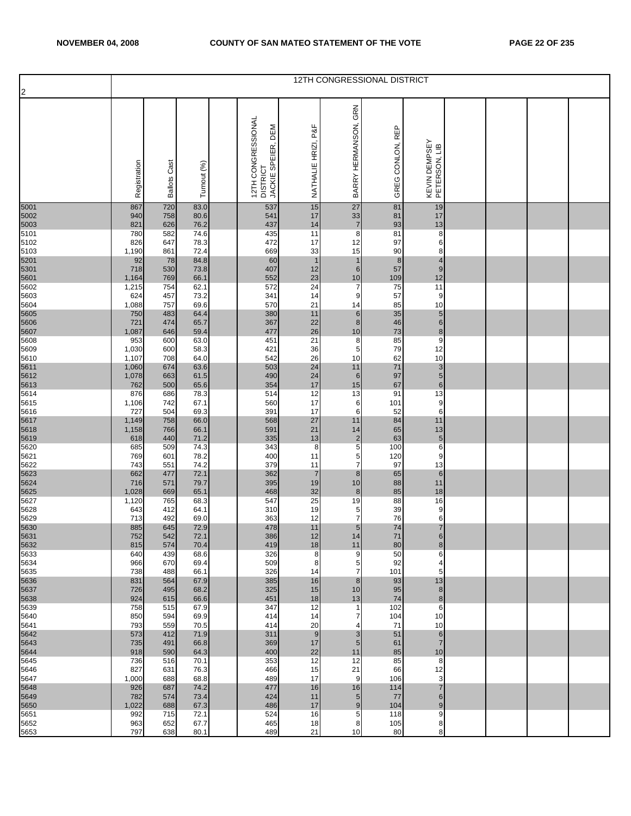| $\overline{2}$ |                |                 |              |                                                           |                        |                              | 12TH CONGRESSIONAL DISTRICT |                                  |  |  |
|----------------|----------------|-----------------|--------------|-----------------------------------------------------------|------------------------|------------------------------|-----------------------------|----------------------------------|--|--|
|                | Registration   | Cast<br>Ballots | Turnout (%)  | 12TH CONGRESSIONAL<br>DEM<br>DISTRICT<br>JACKIE SPEIER, [ | P&F<br>NATHALIE HRIZI, | GRN<br>BARRY HERMANSON,      | GREG CONLON, REP            | KEVIN DEMPSEY<br>PETERSON, LIB   |  |  |
| 5001<br>5002   | 867<br>940     | 720<br>758      | 83.0<br>80.6 | 537<br>541                                                | 15<br>17               | 27<br>33                     | 81<br>81                    | 19<br>17                         |  |  |
| 5003           | 821            | 626             | 76.2         | 437                                                       | 14                     | $\overline{7}$               | 93                          | 13                               |  |  |
| 5101<br>5102   | 780<br>826     | 582<br>647      | 74.6<br>78.3 | 435<br>472                                                | 11<br>17               | 8<br>12                      | 81<br>97                    | 8<br>6                           |  |  |
| 5103           | 1,190          | 861             | 72.4         | 669                                                       | 33                     | 15                           | 90                          | 8                                |  |  |
| 5201<br>5301   | 92<br>718      | 78<br>530       | 84.8<br>73.8 | 60<br>407                                                 | $\overline{1}$<br>12   | $\mathbf{1}$<br>6            | $\bf8$<br>57                | $\overline{4}$<br>$\overline{9}$ |  |  |
| 5601           | 1,164          | 769             | 66.1         | 552                                                       | 23                     | 10                           | 109                         | 12                               |  |  |
| 5602<br>5603   | 1,215<br>624   | 754<br>457      | 62.1<br>73.2 | 572<br>341                                                | 24<br>14               | 7<br>9                       | 75<br>57                    | 11<br>9                          |  |  |
| 5604           | 1,088          | 757             | 69.6         | 570                                                       | 21                     | 14                           | 85                          | 10                               |  |  |
| 5605           | 750            | 483             | 64.4         | 380                                                       | 11                     | 6                            | 35                          | $\sqrt{5}$                       |  |  |
| 5606<br>5607   | 721<br>1,087   | 474<br>646      | 65.7<br>59.4 | 367<br>477                                                | 22<br>26               | 8<br>10                      | 46<br>73                    | $\mathbf 6$<br>$\bf 8$           |  |  |
| 5608           | 953            | 600             | 63.0         | 451                                                       | 21                     | 8                            | 85                          | 9                                |  |  |
| 5609<br>5610   | 1,030<br>1,107 | 600<br>708      | 58.3<br>64.0 | 421<br>542                                                | 36<br>26               | 5<br>10                      | 79<br>62                    | 12<br>10                         |  |  |
| 5611           | 1,060          | 674             | 63.6         | 503                                                       | 24                     | 11                           | 71                          | $\mathbf{3}$                     |  |  |
| 5612<br>5613   | 1,078<br>762   | 663<br>500      | 61.5<br>65.6 | 490<br>354                                                | 24<br>17               | 6<br>15                      | 97<br>67                    | $\sqrt{5}$<br>$\boldsymbol{6}$   |  |  |
| 5614           | 876            | 686             | 78.3         | 514                                                       | 12                     | 13                           | 91                          | 13                               |  |  |
| 5615<br>5616   | 1,106<br>727   | 742<br>504      | 67.1<br>69.3 | 560<br>391                                                | 17<br>17               | 6<br>6                       | 101<br>52                   | $\boldsymbol{9}$<br>6            |  |  |
| 5617           | 1,149          | 758             | 66.0         | 568                                                       | 27                     | 11                           | 84                          | 11                               |  |  |
| 5618<br>5619   | 1,158<br>618   | 766<br>440      | 66.1<br>71.2 | 591<br>335                                                | 21<br>13               | 14<br>$\overline{2}$         | 65<br>63                    | 13<br>$\overline{5}$             |  |  |
| 5620           | 685            | 509             | 74.3         | 343                                                       | 8                      | 5                            | 100                         | $\mathbf 6$                      |  |  |
| 5621<br>5622   | 769<br>743     | 601<br>551      | 78.2<br>74.2 | 400<br>379                                                | 11<br>11               | $\sqrt{5}$<br>$\overline{7}$ | 120<br>97                   | $\boldsymbol{9}$<br>13           |  |  |
| 5623           | 662            | 477             | 72.1         | 362                                                       | $\overline{7}$         | 8                            | 65                          | $\boldsymbol{6}$                 |  |  |
| 5624<br>5625   | 716<br>1,028   | 571<br>669      | 79.7<br>65.1 | 395<br>468                                                | 19<br>32               | 10<br>8                      | 88<br>85                    | 11<br>18                         |  |  |
| 5627           | 1,120          | 765             | 68.3         | 547                                                       | 25                     | 19                           | 88                          | 16                               |  |  |
| 5628<br>5629   | 643<br>713     | 412<br>492      | 64.1<br>69.0 | 310<br>363                                                | 19<br>12               | 5<br>7                       | 39<br>76                    | 9<br>6                           |  |  |
| 5630<br>5631   | 885            | 645             | 72.9         | 478                                                       | 11                     | $5\phantom{.0}$              | 74                          | $\overline{7}$                   |  |  |
| 5632           | 752<br>815     | 542<br>574      | 72.1<br>70.4 | 386<br>419                                                | 12<br>18               | 14<br>11                     | ${\bf 71}$<br>80            | 6<br>8                           |  |  |
| 5633           | 640            | 439             | 68.6         | 326                                                       | 8                      | 9                            | 50                          | 6                                |  |  |
| 5634<br>5635   | 966<br>738     | 670<br>488      | 69.4<br>66.1 | 509<br>326                                                | 8<br>14                | 5<br>$\overline{7}$          | 92<br>101                   | 4<br>5                           |  |  |
| 5636           | 831            | 564             | 67.9         | 385                                                       | 16                     | 8                            | 93                          | 13                               |  |  |
| 5637<br>5638   | 726<br>924     | 495<br>615      | 68.2<br>66.6 | 325<br>451                                                | 15<br>18               | 10<br>13                     | 95<br>74                    | 8<br>8                           |  |  |
| 5639           | 758            | 515             | 67.9         | 347                                                       | 12                     | 1                            | 102                         | 6                                |  |  |
| 5640<br>5641   | 850<br>793     | 594<br>559      | 69.9<br>70.5 | 414<br>414                                                | 14<br>20               | 7<br>4                       | 104<br>71                   | 10<br>10                         |  |  |
| 5642           | 573            | 412             | 71.9         | 311                                                       | $9\,$                  | $\mathbf{3}$                 | 51                          | $\boldsymbol{6}$                 |  |  |
| 5643           | 735            | 491             | 66.8         | 369                                                       | 17                     | $5\phantom{1}$               | 61                          | $\overline{7}$                   |  |  |
| 5644<br>5645   | 918<br>736     | 590<br>516      | 64.3<br>70.1 | 400<br>353                                                | 22<br>12               | 11<br>12                     | 85<br>85                    | 10<br>8                          |  |  |
| 5646           | 827            | 631             | 76.3         | 466                                                       | 15                     | 21                           | 66                          | 12                               |  |  |
| 5647<br>5648   | 1,000<br>926   | 688<br>687      | 68.8<br>74.2 | 489<br>477                                                | 17<br>16               | 9<br>16                      | 106<br>114                  | 3<br>$\overline{7}$              |  |  |
| 5649           | 782            | 574             | 73.4         | 424                                                       | 11                     | $5\phantom{.0}$              | 77                          | $6\phantom{a}$                   |  |  |
| 5650<br>5651   | 1,022<br>992   | 688<br>715      | 67.3<br>72.1 | 486<br>524                                                | 17<br>16               | 9<br>5                       | 104<br>118                  | $\overline{9}$<br>9              |  |  |
| 5652<br>5653   | 963<br>797     | 652<br>638      | 67.7<br>80.1 | 465<br>489                                                | 18<br>21               | 8<br>10                      | 105<br>80                   | 8<br>8                           |  |  |
|                |                |                 |              |                                                           |                        |                              |                             |                                  |  |  |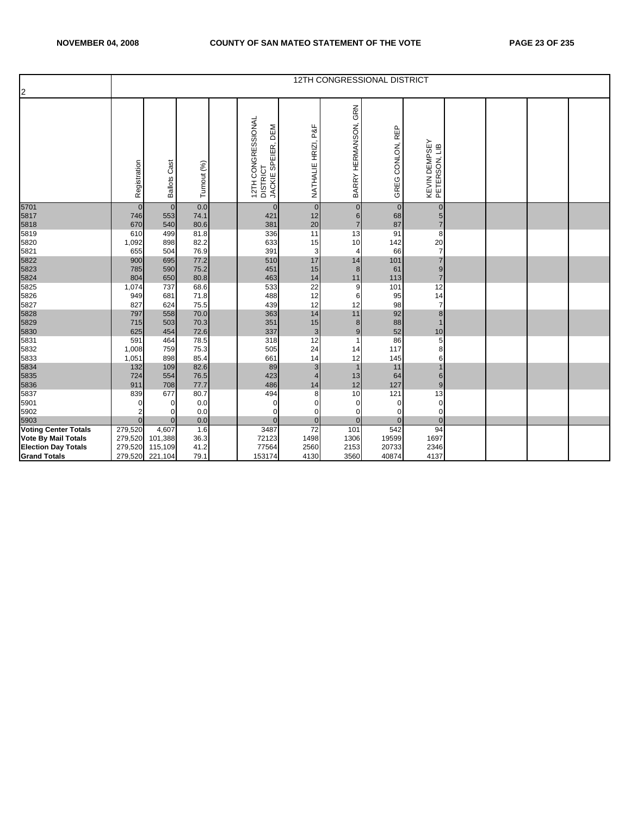| $\overline{2}$               |            | 12TH CONGRESSIONAL DISTRICT<br>GRN<br>12TH CONGRESSIONAL<br>DISTRICT<br>BARRY HERMANSON,<br>NATHALIE HRIZI, P&F<br>DEM<br>GREG CONLON, REP<br>KEVIN DEMPSEY<br>PETERSON, LIB<br>SPEIER,<br>Registration<br><b>Ballots Cast</b><br>Turnout (%)<br>JACKIE<br>0.0<br>$\overline{0}$<br>$\overline{0}$<br>$\mathbf{0}$<br>$\overline{0}$<br>$\overline{0}$<br>$\mathbf 0$<br>$\mathbf{0}$<br>553<br>74.1<br>421<br>12<br>68<br>746<br>6<br>$5\overline{)}$<br>20<br>87<br>540<br>80.6<br>670<br>381<br>$\overline{7}$<br>$\overline{7}$<br>499<br>81.8<br>336<br>11<br>91<br>8<br>610<br>13<br>15<br>20<br>898<br>82.2<br>633<br>142<br>1,092<br>10<br>$\overline{7}$<br>76.9<br>504<br>391<br>3<br>66<br>655<br>4<br>17<br>900<br>695<br>77.2<br>510<br>101<br>14<br>75.2<br>785<br>590<br>451<br>15<br>61<br>9<br>8<br>80.8<br>14<br>113<br>650<br>804<br>463<br>$\overline{7}$<br>11<br>$\overline{22}$<br>12<br>737<br>68.6<br>533<br>101<br>9<br>71.8<br>488<br>12<br>14<br>681<br>95<br>949<br>6<br>12<br>$\overline{7}$<br>75.5<br>439<br>98<br>827<br>624<br>12<br>14<br>92<br>797<br>558<br>70.0<br>363<br>11<br>8<br>88<br>70.3<br>351<br>15<br>503<br>715<br>8<br>52<br>72.6<br>337<br>625<br>454<br>$\mathbf{3}$<br>10<br>9<br>12<br>86<br>$\overline{5}$<br>591<br>464<br>78.5<br>318<br>24<br>117<br>759<br>75.3<br>505<br>1,008<br>8<br>14<br>898<br>85.4<br>661<br>14<br>145<br>1,051<br>12<br>6<br>82.6<br>$\mathsf 3$<br>11<br>132<br>109<br>89 |              |  |             |                      |          |             |              |  |  |  |  |
|------------------------------|------------|---------------------------------------------------------------------------------------------------------------------------------------------------------------------------------------------------------------------------------------------------------------------------------------------------------------------------------------------------------------------------------------------------------------------------------------------------------------------------------------------------------------------------------------------------------------------------------------------------------------------------------------------------------------------------------------------------------------------------------------------------------------------------------------------------------------------------------------------------------------------------------------------------------------------------------------------------------------------------------------------------------------------------------------------------------------------------------------------------------------------------------------------------------------------------------------------------------------------------------------------------------------------------------------------------------------------------------------------------------------------------------------------------------------------------------------------------------------|--------------|--|-------------|----------------------|----------|-------------|--------------|--|--|--|--|
|                              |            |                                                                                                                                                                                                                                                                                                                                                                                                                                                                                                                                                                                                                                                                                                                                                                                                                                                                                                                                                                                                                                                                                                                                                                                                                                                                                                                                                                                                                                                               |              |  |             |                      |          |             |              |  |  |  |  |
| 5701                         |            |                                                                                                                                                                                                                                                                                                                                                                                                                                                                                                                                                                                                                                                                                                                                                                                                                                                                                                                                                                                                                                                                                                                                                                                                                                                                                                                                                                                                                                                               |              |  |             |                      |          |             |              |  |  |  |  |
| 5817                         |            |                                                                                                                                                                                                                                                                                                                                                                                                                                                                                                                                                                                                                                                                                                                                                                                                                                                                                                                                                                                                                                                                                                                                                                                                                                                                                                                                                                                                                                                               |              |  |             |                      |          |             |              |  |  |  |  |
| 5818<br>5819                 |            |                                                                                                                                                                                                                                                                                                                                                                                                                                                                                                                                                                                                                                                                                                                                                                                                                                                                                                                                                                                                                                                                                                                                                                                                                                                                                                                                                                                                                                                               |              |  |             |                      |          |             |              |  |  |  |  |
|                              |            |                                                                                                                                                                                                                                                                                                                                                                                                                                                                                                                                                                                                                                                                                                                                                                                                                                                                                                                                                                                                                                                                                                                                                                                                                                                                                                                                                                                                                                                               |              |  |             |                      |          |             |              |  |  |  |  |
| 5820<br>5821                 |            |                                                                                                                                                                                                                                                                                                                                                                                                                                                                                                                                                                                                                                                                                                                                                                                                                                                                                                                                                                                                                                                                                                                                                                                                                                                                                                                                                                                                                                                               |              |  |             |                      |          |             |              |  |  |  |  |
| 5822                         |            |                                                                                                                                                                                                                                                                                                                                                                                                                                                                                                                                                                                                                                                                                                                                                                                                                                                                                                                                                                                                                                                                                                                                                                                                                                                                                                                                                                                                                                                               |              |  |             |                      |          |             |              |  |  |  |  |
| 5823                         |            |                                                                                                                                                                                                                                                                                                                                                                                                                                                                                                                                                                                                                                                                                                                                                                                                                                                                                                                                                                                                                                                                                                                                                                                                                                                                                                                                                                                                                                                               |              |  |             |                      |          |             |              |  |  |  |  |
| 5824                         |            |                                                                                                                                                                                                                                                                                                                                                                                                                                                                                                                                                                                                                                                                                                                                                                                                                                                                                                                                                                                                                                                                                                                                                                                                                                                                                                                                                                                                                                                               |              |  |             |                      |          |             |              |  |  |  |  |
| 5825                         | 1,074      |                                                                                                                                                                                                                                                                                                                                                                                                                                                                                                                                                                                                                                                                                                                                                                                                                                                                                                                                                                                                                                                                                                                                                                                                                                                                                                                                                                                                                                                               |              |  |             |                      |          |             |              |  |  |  |  |
| 5826                         |            |                                                                                                                                                                                                                                                                                                                                                                                                                                                                                                                                                                                                                                                                                                                                                                                                                                                                                                                                                                                                                                                                                                                                                                                                                                                                                                                                                                                                                                                               |              |  |             |                      |          |             |              |  |  |  |  |
| 5827                         |            |                                                                                                                                                                                                                                                                                                                                                                                                                                                                                                                                                                                                                                                                                                                                                                                                                                                                                                                                                                                                                                                                                                                                                                                                                                                                                                                                                                                                                                                               |              |  |             |                      |          |             |              |  |  |  |  |
| 5828                         |            |                                                                                                                                                                                                                                                                                                                                                                                                                                                                                                                                                                                                                                                                                                                                                                                                                                                                                                                                                                                                                                                                                                                                                                                                                                                                                                                                                                                                                                                               |              |  |             |                      |          |             |              |  |  |  |  |
|                              |            |                                                                                                                                                                                                                                                                                                                                                                                                                                                                                                                                                                                                                                                                                                                                                                                                                                                                                                                                                                                                                                                                                                                                                                                                                                                                                                                                                                                                                                                               |              |  |             |                      |          |             |              |  |  |  |  |
| 5829<br>5830                 |            |                                                                                                                                                                                                                                                                                                                                                                                                                                                                                                                                                                                                                                                                                                                                                                                                                                                                                                                                                                                                                                                                                                                                                                                                                                                                                                                                                                                                                                                               |              |  |             |                      |          |             |              |  |  |  |  |
| 5831                         |            |                                                                                                                                                                                                                                                                                                                                                                                                                                                                                                                                                                                                                                                                                                                                                                                                                                                                                                                                                                                                                                                                                                                                                                                                                                                                                                                                                                                                                                                               |              |  |             |                      |          |             |              |  |  |  |  |
| 5832                         |            |                                                                                                                                                                                                                                                                                                                                                                                                                                                                                                                                                                                                                                                                                                                                                                                                                                                                                                                                                                                                                                                                                                                                                                                                                                                                                                                                                                                                                                                               |              |  |             |                      |          |             |              |  |  |  |  |
| 5833                         |            |                                                                                                                                                                                                                                                                                                                                                                                                                                                                                                                                                                                                                                                                                                                                                                                                                                                                                                                                                                                                                                                                                                                                                                                                                                                                                                                                                                                                                                                               |              |  |             |                      |          |             |              |  |  |  |  |
| 5834                         |            |                                                                                                                                                                                                                                                                                                                                                                                                                                                                                                                                                                                                                                                                                                                                                                                                                                                                                                                                                                                                                                                                                                                                                                                                                                                                                                                                                                                                                                                               |              |  |             |                      |          |             |              |  |  |  |  |
| 5835                         | 724<br>911 | 554<br>708                                                                                                                                                                                                                                                                                                                                                                                                                                                                                                                                                                                                                                                                                                                                                                                                                                                                                                                                                                                                                                                                                                                                                                                                                                                                                                                                                                                                                                                    | 76.5<br>77.7 |  | 423<br>486  | $\overline{4}$<br>14 | 13<br>12 | 64<br>127   | $6 \,$<br>9  |  |  |  |  |
| 5836<br>5837                 | 839        | 677                                                                                                                                                                                                                                                                                                                                                                                                                                                                                                                                                                                                                                                                                                                                                                                                                                                                                                                                                                                                                                                                                                                                                                                                                                                                                                                                                                                                                                                           | 80.7         |  | 494         | 8                    | 10       | 121         | 13           |  |  |  |  |
| 5901                         | $\Omega$   | 0                                                                                                                                                                                                                                                                                                                                                                                                                                                                                                                                                                                                                                                                                                                                                                                                                                                                                                                                                                                                                                                                                                                                                                                                                                                                                                                                                                                                                                                             | 0.0          |  | $\mathbf 0$ | 0                    | 0        | $\mathbf 0$ | $\mathbf 0$  |  |  |  |  |
| 5902                         |            | $\Omega$                                                                                                                                                                                                                                                                                                                                                                                                                                                                                                                                                                                                                                                                                                                                                                                                                                                                                                                                                                                                                                                                                                                                                                                                                                                                                                                                                                                                                                                      | 0.0          |  | 0           | 0                    | $\Omega$ | $\mathbf 0$ | 0            |  |  |  |  |
|                              | $\Omega$   | $\mathbf{0}$                                                                                                                                                                                                                                                                                                                                                                                                                                                                                                                                                                                                                                                                                                                                                                                                                                                                                                                                                                                                                                                                                                                                                                                                                                                                                                                                                                                                                                                  | 0.0          |  | $\Omega$    | $\overline{0}$       | $\Omega$ | $\Omega$    | $\mathbf{0}$ |  |  |  |  |
| 5903<br>Voting Center Totals | 279,520    | 4,607                                                                                                                                                                                                                                                                                                                                                                                                                                                                                                                                                                                                                                                                                                                                                                                                                                                                                                                                                                                                                                                                                                                                                                                                                                                                                                                                                                                                                                                         | 1.6          |  | 3487        | 72                   | 101      | 542         | 94           |  |  |  |  |
| <b>Vote By Mail Totals</b>   | 279,520    | 101,388                                                                                                                                                                                                                                                                                                                                                                                                                                                                                                                                                                                                                                                                                                                                                                                                                                                                                                                                                                                                                                                                                                                                                                                                                                                                                                                                                                                                                                                       | 36.3         |  | 72123       | 1498                 | 1306     | 19599       | 1697         |  |  |  |  |
| <b>Election Day Totals</b>   | 279,520    | 115,109                                                                                                                                                                                                                                                                                                                                                                                                                                                                                                                                                                                                                                                                                                                                                                                                                                                                                                                                                                                                                                                                                                                                                                                                                                                                                                                                                                                                                                                       | 41.2         |  | 77564       | 2560                 | 2153     | 20733       | 2346         |  |  |  |  |
| <b>Grand Totals</b>          | 279,520    | 221,104                                                                                                                                                                                                                                                                                                                                                                                                                                                                                                                                                                                                                                                                                                                                                                                                                                                                                                                                                                                                                                                                                                                                                                                                                                                                                                                                                                                                                                                       | 79.1         |  | 153174      | 4130                 | 3560     | 40874       | 4137         |  |  |  |  |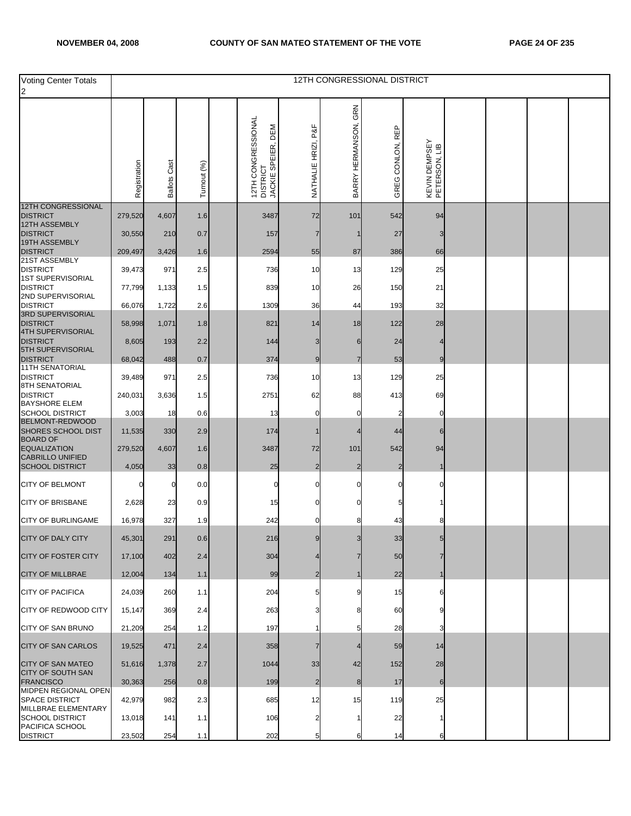| <b>Voting Center Totals</b>                               |              |                     |             |                                                               |                     |                         | 12TH CONGRESSIONAL DISTRICT |                                |  |  |
|-----------------------------------------------------------|--------------|---------------------|-------------|---------------------------------------------------------------|---------------------|-------------------------|-----------------------------|--------------------------------|--|--|
| $\overline{2}$                                            |              |                     |             |                                                               |                     |                         |                             |                                |  |  |
|                                                           | Registration | <b>Ballots Cast</b> | Turnout (%) | 12TH CONGRESSIONAL<br>DEM<br>SPEIER,<br>DISTRICT<br>JACKIE SI | NATHALIE HRIZI, P&F | GRN<br>BARRY HERMANSON, | GREG CONLON, REP            | KEVIN DEMPSEY<br>PETERSON, LIB |  |  |
| 12TH CONGRESSIONAL<br><b>DISTRICT</b>                     | 279,520      | 4,607               | 1.6         | 3487                                                          | 72                  | 101                     | 542                         | 94                             |  |  |
| 12TH ASSEMBLY                                             |              |                     |             |                                                               |                     |                         |                             |                                |  |  |
| <b>DISTRICT</b><br>19TH ASSEMBLY                          | 30,550       | 210                 | 0.7         | 157                                                           |                     |                         | 27                          |                                |  |  |
| <b>DISTRICT</b><br>21ST ASSEMBLY                          | 209,497      | 3,426               | 1.6         | 2594                                                          | 55                  | 87                      | 386                         | 66                             |  |  |
| <b>DISTRICT</b><br>1ST SUPERVISORIAL                      | 39,473       | 971                 | 2.5         | 736                                                           | 10                  | 13                      | 129                         | 25                             |  |  |
| <b>DISTRICT</b>                                           | 77,799       | 1,133               | $1.5$       | 839                                                           | 10                  | 26                      | 150                         | 21                             |  |  |
| 2ND SUPERVISORIAL<br><b>DISTRICT</b>                      | 66,076       | 1,722               | 2.6         | 1309                                                          | 36                  | 44                      | 193                         | 32                             |  |  |
| 3RD SUPERVISORIAL<br><b>DISTRICT</b><br>4TH SUPERVISORIAL | 58,998       | 1,071               | 1.8         | 821                                                           | 14                  | 18                      | 122                         | 28                             |  |  |
| <b>DISTRICT</b><br>5TH SUPERVISORIAL                      | 8,605        | 193                 | 2.2         | 144                                                           |                     | 6                       | 24                          |                                |  |  |
| <b>DISTRICT</b>                                           | 68,042       | 488                 | 0.7         | 374                                                           | 9                   | $\overline{7}$          | 53                          | 9                              |  |  |
| <b>11TH SENATORIAL</b><br><b>DISTRICT</b>                 | 39,489       | 971                 | 2.5         | 736                                                           | 10                  | 13                      | 129                         | 25                             |  |  |
| 8TH SENATORIAL<br><b>DISTRICT</b>                         | 240,031      | 3,636               | 1.5         | 2751                                                          | 62                  | 88                      | 413                         | 69                             |  |  |
| <b>BAYSHORE ELEM</b><br><b>SCHOOL DISTRICT</b>            | 3,003        | 18                  | 0.6         | 13                                                            | O                   | 0                       |                             | 0                              |  |  |
| BELMONT-REDWOOD<br>SHORES SCHOOL DIST<br><b>BOARD OF</b>  | 11,535       | 330                 | 2.9         | 174                                                           |                     |                         | 44                          | 6                              |  |  |
| <b>EQUALIZATION</b><br><b>CABRILLO UNIFIED</b>            | 279,520      | 4,607               | 1.6         | 3487                                                          | 72                  | 101                     | 542                         | 94                             |  |  |
| <b>SCHOOL DISTRICT</b>                                    | 4,050        | 33                  | 0.8         | 25                                                            | 2                   | $\overline{2}$          | 2                           |                                |  |  |
| <b>CITY OF BELMONT</b>                                    |              | 0                   | 0.0         | 0                                                             | 0                   |                         |                             |                                |  |  |
| <b>CITY OF BRISBANE</b>                                   | 2,628        | 23                  | 0.9         | 15                                                            |                     |                         |                             |                                |  |  |
| <b>CITY OF BURLINGAME</b>                                 | 16,978       | 327                 | 1.9         | 242                                                           |                     |                         | 43                          |                                |  |  |
| <b>CITY OF DALY CITY</b>                                  | 45,301       | 291                 | 0.6         | 216                                                           |                     |                         | 33                          |                                |  |  |
| <b>CITY OF FOSTER CITY</b>                                | 17,100       | 402                 | 2.4         | 304                                                           |                     |                         | 50                          |                                |  |  |
| <b>CITY OF MILLBRAE</b>                                   | 12,004       | 134                 | 1.1         | 99                                                            |                     |                         | 22                          |                                |  |  |
| <b>CITY OF PACIFICA</b>                                   | 24,039       | 260                 | 1.1         | 204                                                           |                     |                         | 15                          |                                |  |  |
| CITY OF REDWOOD CITY                                      | 15,147       | 369                 | 2.4         | 263                                                           |                     |                         | 60                          |                                |  |  |
| CITY OF SAN BRUNO                                         | 21,209       | 254                 | 1.2         | 197                                                           |                     |                         | 28                          |                                |  |  |
| <b>CITY OF SAN CARLOS</b>                                 | 19,525       | 471                 | 2.4         | 358                                                           |                     |                         | 59                          | 14                             |  |  |
| <b>CITY OF SAN MATEO</b><br><b>CITY OF SOUTH SAN</b>      | 51,616       | 1,378               | 2.7         | 1044                                                          | 33                  | 42                      | 152                         | 28                             |  |  |
| <b>FRANCISCO</b><br>MIDPEN REGIONAL OPEN                  | 30,363       | 256                 | 0.8         | 199                                                           |                     | 8                       | 17                          | 6                              |  |  |
| <b>SPACE DISTRICT</b><br>MILLBRAE ELEMENTARY              | 42,979       | 982                 | 2.3         | 685                                                           | 12                  | 15                      | 119                         | 25                             |  |  |
| <b>SCHOOL DISTRICT</b><br>PACIFICA SCHOOL                 | 13,018       | 141                 | 1.1         | 106                                                           |                     |                         | 22                          |                                |  |  |
| <b>DISTRICT</b>                                           | 23,502       | 254                 | 1.1         | 202                                                           |                     | 6                       | 14                          | 6                              |  |  |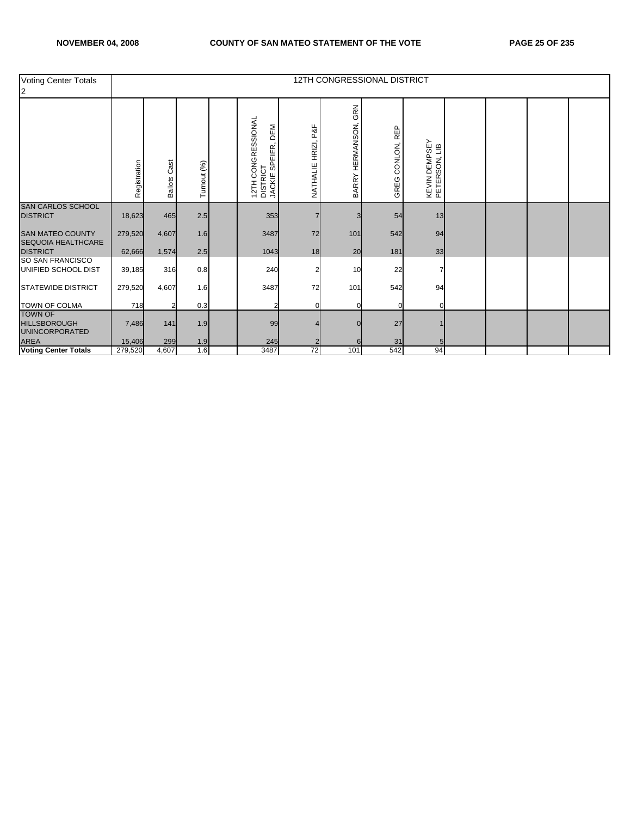| <b>Voting Center Totals</b><br>12                              |              |                        |             |                                                      |                        |                         | 12TH CONGRESSIONAL DISTRICT |                                |  |  |
|----------------------------------------------------------------|--------------|------------------------|-------------|------------------------------------------------------|------------------------|-------------------------|-----------------------------|--------------------------------|--|--|
|                                                                | Registration | Cast<br><b>Ballots</b> | Turnout (%) | 12TH CONGRESSIONAL<br>DISTRICT<br>JACKIE SPEIER, DEM | P&F<br>NATHALIE HRIZI, | GRN<br>BARRY HERMANSON, | CONLON, REP<br>GREG         | KEVIN DEMPSEY<br>PETERSON, LIB |  |  |
| <b>SAN CARLOS SCHOOL</b><br><b>DISTRICT</b>                    | 18,623       | 465                    | 2.5         | 353                                                  |                        |                         | 54                          | 13                             |  |  |
| <b>SAN MATEO COUNTY</b><br>SEQUOIA HEALTHCARE                  | 279,520      | 4,607                  | 1.6         | 3487                                                 | 72                     | 101                     | 542                         | 94                             |  |  |
| <b>DISTRICT</b><br>SO SAN FRANCISCO                            | 62,666       | 1,574                  | 2.5         | 1043                                                 | 18                     | 20                      | 181                         | 33                             |  |  |
| UNIFIED SCHOOL DIST                                            | 39,185       | 316                    | 0.8         | 240                                                  |                        | 10                      | 22                          |                                |  |  |
| <b>STATEWIDE DISTRICT</b>                                      | 279,520      | 4,607                  | 1.6         | 3487                                                 | 72                     | 101                     | 542                         | 94                             |  |  |
| TOWN OF COLMA                                                  | 718          |                        | 0.3         | 2                                                    |                        |                         |                             |                                |  |  |
| <b>TOWN OF</b><br><b>HILLSBOROUGH</b><br><b>UNINCORPORATED</b> | 7,486        | 141                    | 1.9         | 99                                                   |                        |                         | 27                          |                                |  |  |
| <b>AREA</b>                                                    | 15,406       | 299                    | 1.9         | 245                                                  |                        |                         | 31                          |                                |  |  |
| <b>Voting Center Totals</b>                                    | 279,520      | 4,607                  | 1.6         | 3487                                                 | 72                     | 101                     | 542                         | 94                             |  |  |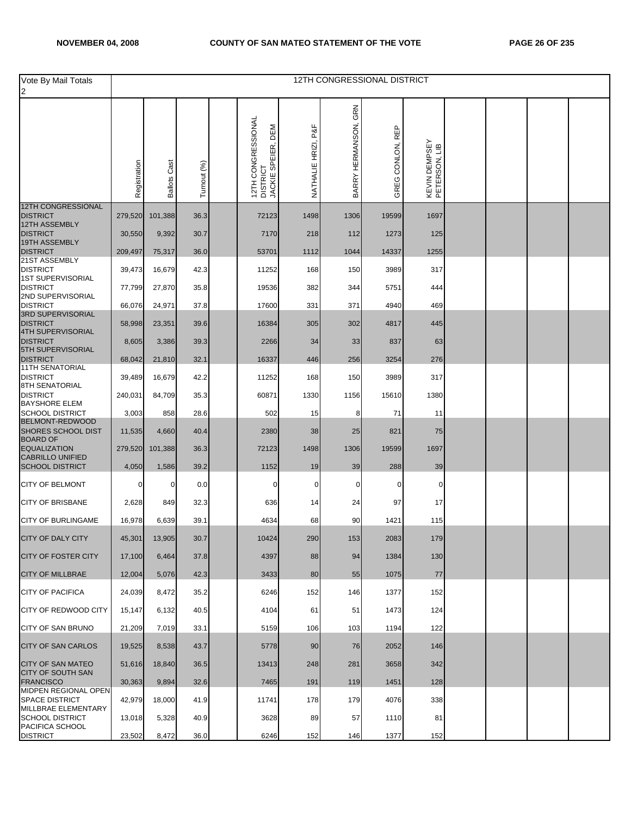| Vote By Mail Totals                                  |              |                     |             |                                                      |                        |                         | 12TH CONGRESSIONAL DISTRICT |                                |  |  |
|------------------------------------------------------|--------------|---------------------|-------------|------------------------------------------------------|------------------------|-------------------------|-----------------------------|--------------------------------|--|--|
|                                                      |              |                     |             |                                                      |                        |                         |                             |                                |  |  |
|                                                      | Registration | <b>Ballots Cast</b> | Turnout (%) | 12TH CONGRESSIONAL<br>DISTRICT<br>JACKIE SPEIER, DEM | P&I<br>NATHALIE HRIZI, | GRN<br>BARRY HERMANSON, | GREG CONLON, REP            | KEVIN DEMPSEY<br>PETERSON, LIB |  |  |
| <b>12TH CONGRESSIONAL</b><br><b>DISTRICT</b>         | 279,520      | 101,388             | 36.3        | 72123                                                | 1498                   | 1306                    | 19599                       | 1697                           |  |  |
| 12TH ASSEMBLY<br><b>DISTRICT</b>                     | 30,550       | 9,392               | 30.7        | 7170                                                 | 218                    | 112                     | 1273                        | 125                            |  |  |
| 19TH ASSEMBLY                                        |              |                     |             |                                                      |                        |                         |                             |                                |  |  |
| <b>DISTRICT</b><br>21ST ASSEMBLY                     | 209,497      | 75,317              | 36.0        | 53701                                                | 1112                   | 1044                    | 14337                       | 1255                           |  |  |
| <b>DISTRICT</b><br><b>1ST SUPERVISORIAL</b>          | 39,473       | 16,679              | 42.3        | 11252                                                | 168                    | 150                     | 3989                        | 317                            |  |  |
| <b>DISTRICT</b><br>2ND SUPERVISORIAL                 | 77,799       | 27,870              | 35.8        | 19536                                                | 382                    | 344                     | 5751                        | 444                            |  |  |
| <b>DISTRICT</b><br>3RD SUPERVISORIAL                 | 66,076       | 24,971              | 37.8        | 17600                                                | 331                    | 371                     | 4940                        | 469                            |  |  |
| <b>DISTRICT</b>                                      | 58,998       | 23,351              | 39.6        | 16384                                                | 305                    | 302                     | 4817                        | 445                            |  |  |
| 4TH SUPERVISORIAL<br><b>DISTRICT</b>                 | 8,605        | 3,386               | 39.3        | 2266                                                 | 34                     | 33                      | 837                         | 63                             |  |  |
| 5TH SUPERVISORIAL<br><b>DISTRICT</b>                 | 68,042       | 21,810              | 32.1        | 16337                                                | 446                    | 256                     | 3254                        | 276                            |  |  |
| <b>11TH SENATORIAL</b><br><b>DISTRICT</b>            | 39,489       | 16,679              | 42.2        | 11252                                                | 168                    | 150                     | 3989                        | 317                            |  |  |
| <b>8TH SENATORIAL</b><br><b>DISTRICT</b>             | 240,031      | 84,709              | 35.3        | 60871                                                | 1330                   | 1156                    | 15610                       | 1380                           |  |  |
| <b>BAYSHORE ELEM</b><br><b>SCHOOL DISTRICT</b>       |              |                     |             |                                                      |                        |                         |                             |                                |  |  |
| BELMONT-REDWOOD                                      | 3,003        | 858                 | 28.6        | 502                                                  | 15                     | 8                       | 71                          | 11                             |  |  |
| SHORES SCHOOL DIST<br><b>BOARD OF</b>                | 11,535       | 4,660               | 40.4        | 2380                                                 | 38                     | 25                      | 821                         | 75                             |  |  |
| <b>EQUALIZATION</b><br><b>CABRILLO UNIFIED</b>       | 279,520      | 101,388             | 36.3        | 72123                                                | 1498                   | 1306                    | 19599                       | 1697                           |  |  |
| <b>SCHOOL DISTRICT</b>                               | 4,050        | 1,586               | 39.2        | 1152                                                 | 19                     | 39                      | 288                         | 39                             |  |  |
| <b>CITY OF BELMONT</b>                               | 0            | 0                   | 0.0         | 0                                                    | 0                      | 0                       | 0                           | $\mathbf 0$                    |  |  |
| <b>CITY OF BRISBANE</b>                              | 2,628        | 849                 | 32.3        | 636                                                  | 14                     | 24                      | 97                          | 17                             |  |  |
| <b>CITY OF BURLINGAME</b>                            | 16,978       | 6,639               | 39.1        | 4634                                                 | 68                     | 90                      | 1421                        | 115                            |  |  |
| CITY OF DALY CITY                                    | 45,301       | 13,905              | 30.7        | 10424                                                | 290                    | 153                     | 2083                        | 179                            |  |  |
| <b>CITY OF FOSTER CITY</b>                           | 17,100       | 6,464               | 37.8        | 4397                                                 | 88                     | 94                      | 1384                        | 130                            |  |  |
| <b>CITY OF MILLBRAE</b>                              | 12,004       | 5,076               | 42.3        | 3433                                                 | 80                     | 55                      | 1075                        | 77                             |  |  |
| <b>CITY OF PACIFICA</b>                              | 24,039       | 8,472               | 35.2        | 6246                                                 | 152                    | 146                     | 1377                        | 152                            |  |  |
| CITY OF REDWOOD CITY                                 | 15,147       | 6,132               | 40.5        | 4104                                                 | 61                     | 51                      | 1473                        | 124                            |  |  |
| CITY OF SAN BRUNO                                    | 21,209       | 7,019               | 33.1        | 5159                                                 | 106                    | 103                     | 1194                        | 122                            |  |  |
| CITY OF SAN CARLOS                                   | 19,525       | 8,538               | 43.7        | 5778                                                 | 90                     | 76                      | 2052                        | 146                            |  |  |
| <b>CITY OF SAN MATEO</b><br><b>CITY OF SOUTH SAN</b> | 51,616       | 18,840              | 36.5        | 13413                                                | 248                    | 281                     | 3658                        | 342                            |  |  |
| <b>FRANCISCO</b><br>MIDPEN REGIONAL OPEN             | 30,363       | 9,894               | 32.6        | 7465                                                 | 191                    | 119                     | 1451                        | 128                            |  |  |
| <b>SPACE DISTRICT</b><br>MILLBRAE ELEMENTARY         | 42,979       | 18,000              | 41.9        | 11741                                                | 178                    | 179                     | 4076                        | 338                            |  |  |
| <b>SCHOOL DISTRICT</b><br>PACIFICA SCHOOL            | 13,018       | 5,328               | 40.9        | 3628                                                 | 89                     | 57                      | 1110                        | 81                             |  |  |
| <b>DISTRICT</b>                                      | 23,502       | 8,472               | 36.0        | 6246                                                 | 152                    | 146                     | 1377                        | 152                            |  |  |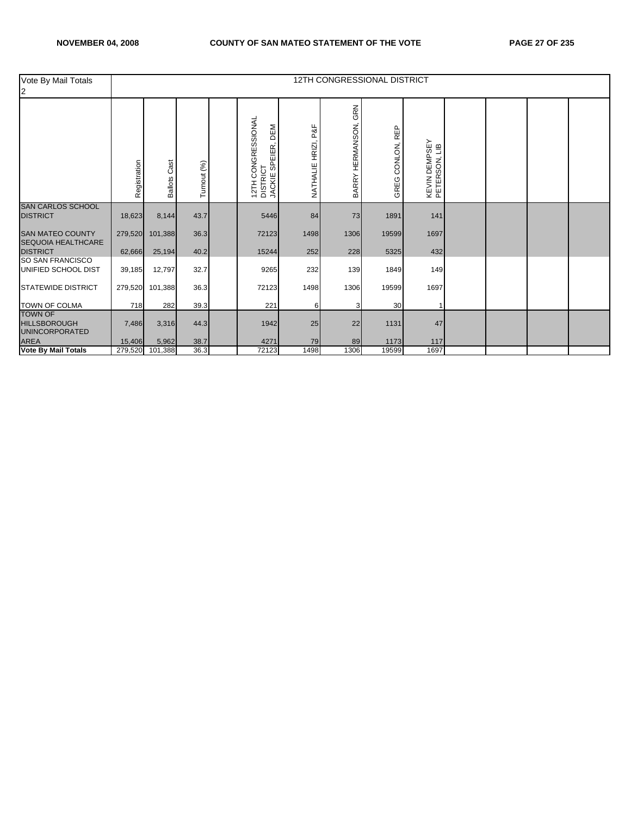| Vote By Mail Totals<br>12                                      |              |                        |             |                                                      |                        |                         | 12TH CONGRESSIONAL DISTRICT |                                |  |  |
|----------------------------------------------------------------|--------------|------------------------|-------------|------------------------------------------------------|------------------------|-------------------------|-----------------------------|--------------------------------|--|--|
|                                                                | Registration | Cast<br><b>Ballots</b> | Turnout (%) | 12TH CONGRESSIONAL<br>DISTRICT<br>JACKIE SPEIER, DEM | P&F<br>NATHALIE HRIZI, | GRN<br>BARRY HERMANSON, | CONLON, REP<br>GREG         | KEVIN DEMPSEY<br>PETERSON, LIB |  |  |
| <b>SAN CARLOS SCHOOL</b><br><b>DISTRICT</b>                    | 18,623       | 8,144                  | 43.7        | 5446                                                 | 84                     | 73                      | 1891                        | 141                            |  |  |
| <b>SAN MATEO COUNTY</b><br>SEQUOIA HEALTHCARE                  | 279,520      | 101,388                | 36.3        | 72123                                                | 1498                   | 1306                    | 19599                       | 1697                           |  |  |
| <b>DISTRICT</b>                                                | 62,666       | 25,194                 | 40.2        | 15244                                                | 252                    | 228                     | 5325                        | 432                            |  |  |
| SO SAN FRANCISCO<br>UNIFIED SCHOOL DIST                        | 39,185       | 12,797                 | 32.7        | 9265                                                 | 232                    | 139                     | 1849                        | 149                            |  |  |
| <b>STATEWIDE DISTRICT</b>                                      | 279,520      | 101,388                | 36.3        | 72123                                                | 1498                   | 1306                    | 19599                       | 1697                           |  |  |
| TOWN OF COLMA                                                  | 718          | 282                    | 39.3        | 221                                                  | 6                      | 3                       | 30                          |                                |  |  |
| <b>TOWN OF</b><br><b>HILLSBOROUGH</b><br><b>UNINCORPORATED</b> | 7,486        | 3,316                  | 44.3        | 1942                                                 | 25                     | 22                      | 1131                        | 47                             |  |  |
| <b>AREA</b>                                                    | 15,406       | 5,962                  | 38.7        | 4271                                                 | 79                     | 89                      | 1173                        | 117                            |  |  |
| <b>Vote By Mail Totals</b>                                     | 279,520      | 101,388                | 36.3        | 72123                                                | 1498                   | 1306                    | 19599                       | 1697                           |  |  |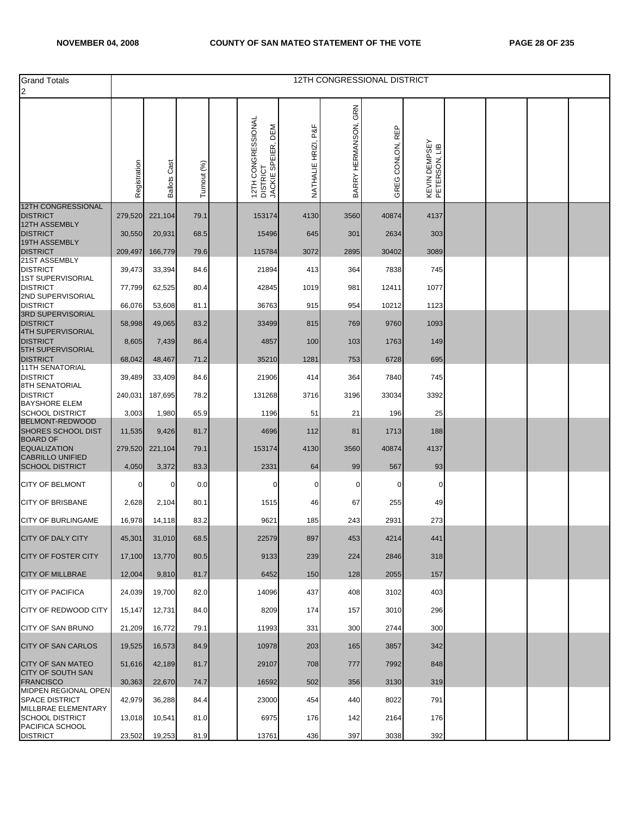| <b>Grand Totals</b>                                                    |              |                        |             |                                                      |                        |                         | 12TH CONGRESSIONAL DISTRICT |                                |  |  |
|------------------------------------------------------------------------|--------------|------------------------|-------------|------------------------------------------------------|------------------------|-------------------------|-----------------------------|--------------------------------|--|--|
| $\overline{2}$                                                         |              |                        |             |                                                      |                        |                         |                             |                                |  |  |
|                                                                        | Registration | Cast<br><b>Ballots</b> | Turnout (%) | 12TH CONGRESSIONAL<br>DISTRICT<br>JACKIE SPEIER, DEM | P&F<br>NATHALIE HRIZI, | GRN<br>BARRY HERMANSON, | GREG CONLON, REP            | KEVIN DEMPSEY<br>PETERSON, LIB |  |  |
| <b>12TH CONGRESSIONAL</b><br><b>DISTRICT</b>                           | 279,520      | 221,104                | 79.1        | 153174                                               | 4130                   | 3560                    | 40874                       | 4137                           |  |  |
| <b>12TH ASSEMBLY</b>                                                   |              |                        |             |                                                      |                        |                         |                             |                                |  |  |
| <b>DISTRICT</b><br>19TH ASSEMBLY                                       | 30,550       | 20,931                 | 68.5        | 15496                                                | 645                    | 301                     | 2634                        | 303                            |  |  |
| <b>DISTRICT</b><br>21ST ASSEMBLY                                       | 209,497      | 166,779                | 79.6        | 115784                                               | 3072                   | 2895                    | 30402                       | 3089                           |  |  |
| <b>DISTRICT</b><br><b>1ST SUPERVISORIAL</b>                            | 39,473       | 33,394                 | 84.6        | 21894                                                | 413                    | 364                     | 7838                        | 745                            |  |  |
| <b>DISTRICT</b>                                                        | 77,799       | 62,525                 | 80.4        | 42845                                                | 1019                   | 981                     | 12411                       | 1077                           |  |  |
| 2ND SUPERVISORIAL<br><b>DISTRICT</b>                                   | 66,076       | 53,608                 | 81.1        | 36763                                                | 915                    | 954                     | 10212                       | 1123                           |  |  |
| 3RD SUPERVISORIAL<br><b>DISTRICT</b>                                   | 58,998       | 49,065                 | 83.2        | 33499                                                | 815                    | 769                     | 9760                        | 1093                           |  |  |
| <b>4TH SUPERVISORIAL</b><br><b>DISTRICT</b>                            | 8,605        | 7,439                  | 86.4        | 4857                                                 | 100                    | 103                     | 1763                        | 149                            |  |  |
| 5TH SUPERVISORIAL<br><b>DISTRICT</b>                                   | 68,042       | 48,467                 | 71.2        | 35210                                                | 1281                   | 753                     | 6728                        | 695                            |  |  |
| <b>11TH SENATORIAL</b><br><b>DISTRICT</b>                              | 39,489       | 33,409                 | 84.6        | 21906                                                | 414                    | 364                     | 7840                        | 745                            |  |  |
| 8TH SENATORIAL<br><b>DISTRICT</b><br><b>BAYSHORE ELEM</b>              | 240,031      | 187,695                | 78.2        | 131268                                               | 3716                   | 3196                    | 33034                       | 3392                           |  |  |
| <b>SCHOOL DISTRICT</b>                                                 | 3,003        | 1,980                  | 65.9        | 1196                                                 | 51                     | 21                      | 196                         | 25                             |  |  |
| <b>BELMONT-REDWOOD</b><br><b>SHORES SCHOOL DIST</b><br><b>BOARD OF</b> | 11,535       | 9,426                  | 81.7        | 4696                                                 | 112                    | 81                      | 1713                        | 188                            |  |  |
| <b>EQUALIZATION</b><br><b>CABRILLO UNIFIED</b>                         | 279,520      | 221,104                | 79.1        | 153174                                               | 4130                   | 3560                    | 40874                       | 4137                           |  |  |
| <b>SCHOOL DISTRICT</b>                                                 | 4,050        | 3,372                  | 83.3        | 2331                                                 | 64                     | 99                      | 567                         | 93                             |  |  |
| <b>CITY OF BELMONT</b>                                                 | 0            | 0                      | 0.0         | 0                                                    | 0                      | 0                       | 0                           | 0                              |  |  |
| <b>CITY OF BRISBANE</b>                                                | 2,628        | 2,104                  | 80.1        | 1515                                                 | 46                     | 67                      | 255                         | 49                             |  |  |
| <b>CITY OF BURLINGAME</b>                                              | 16,978       | 14,118                 | 83.2        | 9621                                                 | 185                    | 243                     | 2931                        | 273                            |  |  |
| <b>CITY OF DALY CITY</b>                                               | 45,301       | 31,010                 | 68.5        | 22579                                                | 897                    | 453                     | 4214                        | 441                            |  |  |
| <b>CITY OF FOSTER CITY</b>                                             | 17,100       | 13,770                 | 80.5        | 9133                                                 | 239                    | 224                     | 2846                        | 318                            |  |  |
| <b>CITY OF MILLBRAE</b>                                                | 12,004       | 9,810                  | 81.7        | 6452                                                 | 150                    | 128                     | 2055                        | 157                            |  |  |
| <b>CITY OF PACIFICA</b>                                                | 24,039       | 19,700                 | 82.0        | 14096                                                | 437                    | 408                     | 3102                        | 403                            |  |  |
| <b>CITY OF REDWOOD CITY</b>                                            | 15,147       | 12,731                 | 84.0        | 8209                                                 | 174                    | 157                     | 3010                        | 296                            |  |  |
| CITY OF SAN BRUNO                                                      | 21,209       | 16,772                 | 79.1        | 11993                                                | 331                    | 300                     | 2744                        | 300                            |  |  |
| <b>CITY OF SAN CARLOS</b>                                              | 19,525       | 16,573                 | 84.9        | 10978                                                | 203                    | 165                     | 3857                        | 342                            |  |  |
| <b>CITY OF SAN MATEO</b><br>CITY OF SOUTH SAN                          | 51,616       | 42,189                 | 81.7        | 29107                                                | 708                    | 777                     | 7992                        | 848                            |  |  |
| <b>FRANCISCO</b><br>MIDPEN REGIONAL OPEN                               | 30,363       | 22,670                 | 74.7        | 16592                                                | 502                    | 356                     | 3130                        | 319                            |  |  |
| <b>SPACE DISTRICT</b><br>MILLBRAE ELEMENTARY                           | 42,979       | 36,288                 | 84.4        | 23000                                                | 454                    | 440                     | 8022                        | 791                            |  |  |
| <b>SCHOOL DISTRICT</b><br>PACIFICA SCHOOL                              | 13,018       | 10,541                 | 81.0        | 6975                                                 | 176                    | 142                     | 2164                        | 176                            |  |  |
| <b>DISTRICT</b>                                                        | 23,502       | 19,253                 | 81.9        | 13761                                                | 436                    | 397                     | 3038                        | 392                            |  |  |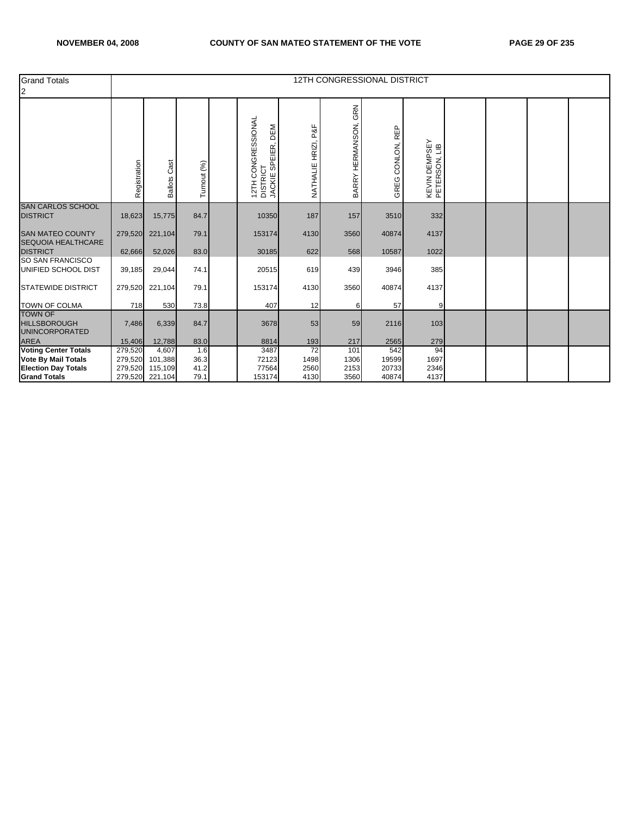| <b>Grand Totals</b><br>$\overline{2}$                          |              |                            |              |                                                                   |                        |                         | 12TH CONGRESSIONAL DISTRICT |                                |  |  |
|----------------------------------------------------------------|--------------|----------------------------|--------------|-------------------------------------------------------------------|------------------------|-------------------------|-----------------------------|--------------------------------|--|--|
|                                                                | Registration | Cast<br><b>Ballots</b>     | Turnout (%)  | 12TH CONGRESSIONAL<br>DISTRICT<br>DEM<br>SPEIER,<br><b>JACKIE</b> | P&F<br>NATHALIE HRIZI, | GRN<br>BARRY HERMANSON, | REP<br>CONLON,<br>GREG      | KEVIN DEMPSEY<br>PETERSON, LIB |  |  |
| <b>SAN CARLOS SCHOOL</b><br><b>DISTRICT</b>                    | 18,623       | 15,775                     | 84.7         | 10350                                                             | 187                    | 157                     | 3510                        | 332                            |  |  |
| <b>SAN MATEO COUNTY</b><br><b>SEQUOIA HEALTHCARE</b>           | 279,520      | 221,104                    | 79.1         | 153174                                                            | 4130                   | 3560                    | 40874                       | 4137                           |  |  |
| <b>DISTRICT</b>                                                | 62,666       | 52,026                     | 83.0         | 30185                                                             | 622                    | 568                     | 10587                       | 1022                           |  |  |
| SO SAN FRANCISCO<br>UNIFIED SCHOOL DIST                        | 39,185       | 29,044                     | 74.1         | 20515                                                             | 619                    | 439                     | 3946                        | 385                            |  |  |
| <b>STATEWIDE DISTRICT</b>                                      | 279,520      | 221,104                    | 79.1         | 153174                                                            | 4130                   | 3560                    | 40874                       | 4137                           |  |  |
| <b>TOWN OF COLMA</b>                                           | 718          | 530                        | 73.8         | 407                                                               | 12                     | 6                       | 57                          | 9                              |  |  |
| <b>TOWN OF</b><br><b>HILLSBOROUGH</b><br><b>UNINCORPORATED</b> | 7,486        | 6,339                      | 84.7         | 3678                                                              | 53                     | 59                      | 2116                        | 103                            |  |  |
| <b>AREA</b>                                                    | 15,406       | 12,788                     | 83.0         | 8814                                                              | 193                    | 217                     | 2565                        | 279                            |  |  |
| <b>Voting Center Totals</b>                                    | 279,520      | 4,607                      | 1.6          | 3487                                                              | 72                     | 101                     | 542                         | 94                             |  |  |
| <b>Vote By Mail Totals</b>                                     | 279,520      | 101,388                    | 36.3         | 72123                                                             | 1498                   | 1306                    | 19599                       | 1697                           |  |  |
| <b>Election Day Totals</b><br><b>Grand Totals</b>              | 279,520      | 115,109<br>279,520 221,104 | 41.2<br>79.1 | 77564<br>153174                                                   | 2560<br>4130           | 2153<br>3560            | 20733<br>40874              | 2346<br>4137                   |  |  |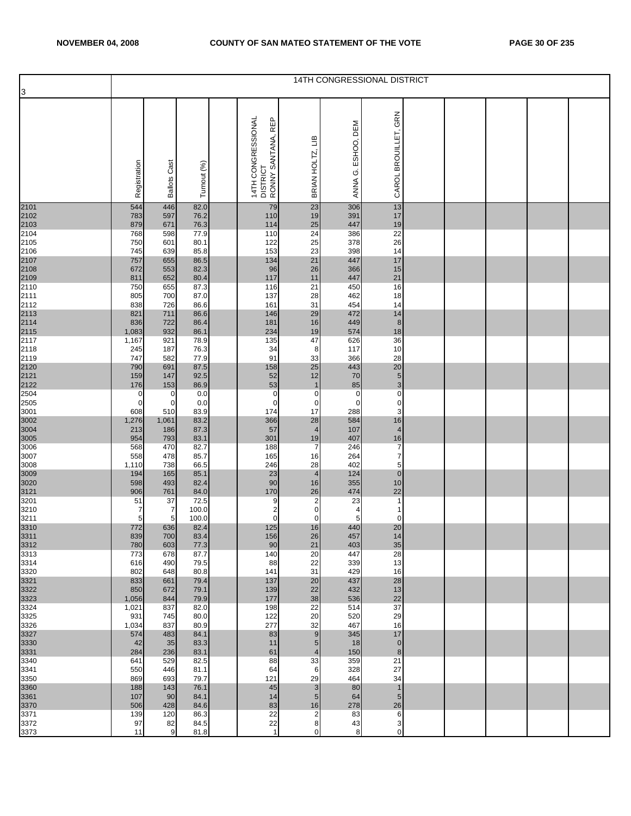|                              | 14TH CONGRESSIONAL DISTRICT |                     |               |  |                                                      |                         |                       |                                  |  |  |  |  |  |
|------------------------------|-----------------------------|---------------------|---------------|--|------------------------------------------------------|-------------------------|-----------------------|----------------------------------|--|--|--|--|--|
| 3                            |                             |                     |               |  |                                                      |                         |                       |                                  |  |  |  |  |  |
|                              | Registration                | <b>Ballots Cast</b> | Turnout (%)   |  | 14TH CONGRESSIONAL<br>DISTRICT<br>RONNY SANTANA, REP | ≘⊔<br>BRIAN HOLTZ,      | ESHOO, DEM<br>ANNA G. | CAROL BROUILLET, GRN             |  |  |  |  |  |
| 2101                         | 544                         | 446                 | 82.0          |  | 79                                                   | 23                      | 306                   | 13                               |  |  |  |  |  |
| 2102                         | 783                         | 597                 | 76.2          |  | 110                                                  | 19                      | 391                   | 17                               |  |  |  |  |  |
| 2103<br>2104                 | 879<br>768                  | 671<br>598          | 76.3<br>77.9  |  | 114<br>110                                           | 25<br>24                | 447<br>386            | 19<br>$\overline{22}$            |  |  |  |  |  |
| 2105                         | 750                         | 601                 | 80.1          |  | 122                                                  | 25                      | 378                   | 26                               |  |  |  |  |  |
| 2106                         | 745                         | 639                 | 85.8          |  | 153                                                  | 23                      | 398                   | 14                               |  |  |  |  |  |
| 2107<br>2108<br>2109<br>2110 | 757<br>672                  | 655<br>553          | 86.5<br>82.3  |  | 134<br>96                                            | 21<br>26                | 447<br>366            | 17<br>15                         |  |  |  |  |  |
|                              | 811                         | 652                 | 80.4          |  | 117                                                  | 11                      | 447                   | 21                               |  |  |  |  |  |
|                              | 750                         | 655                 | 87.3          |  | 116                                                  | 21                      | 450                   | 16                               |  |  |  |  |  |
| 2111<br>2112                 | 805<br>838                  | 700<br>726          | 87.0          |  | 137<br>161                                           | 28<br>31                | 462<br>454            | 18<br>14                         |  |  |  |  |  |
|                              | 821                         | 711                 | 86.6<br>86.6  |  | 146                                                  | 29                      | 472                   | 14                               |  |  |  |  |  |
| 2113<br>2114<br>2115<br>2117 | 836                         | 722                 | 86.4          |  | 181                                                  | 16                      | 449                   | $\bf8$                           |  |  |  |  |  |
|                              | 1,083                       | 932                 | 86.1          |  | 234                                                  | 19                      | 574                   | 18                               |  |  |  |  |  |
| 2118                         | 1,167<br>245                | 921<br>187          | 78.9<br>76.3  |  | 135<br>34                                            | 47<br>8                 | 626<br>117            | 36<br>10                         |  |  |  |  |  |
| 2119                         | 747                         | 582                 | 77.9          |  | 91                                                   | 33                      | 366                   | 28                               |  |  |  |  |  |
| 2120                         | 790                         | 691                 | 87.5          |  | 158                                                  | 25                      | 443                   | 20                               |  |  |  |  |  |
| 2121<br>2122                 | 159<br>176                  | 147<br>153          | 92.5<br>86.9  |  | 52<br>53                                             | 12<br>$\overline{1}$    | 70<br>85              | $\frac{5}{3}$                    |  |  |  |  |  |
| 2504                         | $\mathbf 0$                 | $\mathbf 0$         | 0.0           |  | 0                                                    | $\mathbf 0$             | 0                     | $\overline{0}$                   |  |  |  |  |  |
| 2505                         | $\mathbf{0}$                | $\mathbf 0$         | 0.0           |  | $\mathbf 0$                                          | 0                       | 0                     | $\pmb{0}$                        |  |  |  |  |  |
| 3001<br>3002                 | 608<br>1,276                | 510<br>1,061        | 83.9<br>83.2  |  | 174<br>366                                           | 17<br>28                | 288<br>584            | 3<br>16                          |  |  |  |  |  |
| 3004                         | 213                         | 186                 | 87.3          |  | 57                                                   | $\overline{4}$          | 107                   | $\overline{4}$                   |  |  |  |  |  |
| 3005                         | 954                         | 793                 | 83.1          |  | 301                                                  | 19                      | 407                   | 16                               |  |  |  |  |  |
| 3006<br>3007                 | 568<br>558                  | 470<br>478          | 82.7<br>85.7  |  | 188<br>165                                           | $\overline{7}$<br>16    | 246<br>264            | $\overline{7}$<br>$\overline{7}$ |  |  |  |  |  |
| 3008                         | 1,110                       | 738                 | 66.5          |  | 246                                                  | 28                      | 402                   | $\overline{5}$                   |  |  |  |  |  |
| 3009                         | 194                         | 165                 | 85.1          |  | 23                                                   | $\overline{4}$          | 124                   | $\pmb{0}$                        |  |  |  |  |  |
| 3020                         | 598<br>906                  | 493<br>761          | 82.4<br>84.0  |  | 90<br>170                                            | 16<br>26                | 355<br>474            | 10<br>22                         |  |  |  |  |  |
| 3121<br>3201                 | 51                          | 37                  | 72.5          |  | 9                                                    | $\overline{2}$          | 23                    | $\mathbf{1}$                     |  |  |  |  |  |
| 3210                         | 7                           | 7                   | 100.0         |  | $\overline{\mathbf{c}}$                              | 0                       | 4                     |                                  |  |  |  |  |  |
| 3211                         | 5<br>772                    | 5<br>636            | 100.0<br>82.4 |  | $\pmb{0}$<br>125                                     | $\mathbf 0$<br>16       | 5<br>440              | $\mathbf 0$<br>20                |  |  |  |  |  |
| 3310<br>3311                 | 839                         | 700                 | 83.4          |  | 156                                                  | 26                      | 457                   | 14                               |  |  |  |  |  |
| 3312                         | 780                         | 603                 | 77.3          |  | 90                                                   | 21                      | 403                   | 35                               |  |  |  |  |  |
| 3313<br>3314                 | 773<br>616                  | 678<br>490          | 87.7<br>79.5  |  | 140<br>88                                            | 20<br>22                | 447<br>339            | 28<br>13                         |  |  |  |  |  |
| 3320                         | 802                         | 648                 | 80.8          |  | 141                                                  | 31                      | 429                   | 16                               |  |  |  |  |  |
| 3321                         | 833                         | 661                 | 79.4          |  | 137                                                  | 20                      | 437                   | 28                               |  |  |  |  |  |
| 3322<br>3323                 | 850<br>1,056                | 672<br>844          | 79.1<br>79.9  |  | 139<br>177                                           | 22<br>38                | 432<br>536            | 13<br>22                         |  |  |  |  |  |
| 3324                         | 1,021                       | 837                 | 82.0          |  | 198                                                  | 22                      | 514                   | $\overline{37}$                  |  |  |  |  |  |
| 3325                         | 931                         | 745                 | 80.0          |  | 122                                                  | 20                      | 520                   | 29                               |  |  |  |  |  |
| 3326<br>3327                 | 1,034<br>574                | 837<br>483          | 80.9<br>84.1  |  | 277<br>83                                            | 32<br>9                 | 467<br>345            | 16<br>17                         |  |  |  |  |  |
| 3330                         | 42                          | 35                  | 83.3          |  | 11                                                   | $5\phantom{.0}$         | 18                    | $\pmb{0}$                        |  |  |  |  |  |
| 3331                         | 284                         | 236                 | 83.1          |  | 61                                                   | $\overline{4}$          | 150                   | $\bf 8$                          |  |  |  |  |  |
| 3340<br>3341                 | 641<br>550                  | 529<br>446          | 82.5<br>81.1  |  | 88<br>64                                             | 33<br>6                 | 359<br>328            | $\overline{21}$<br>27            |  |  |  |  |  |
| 3350                         | 869                         | 693                 | 79.7          |  | 121                                                  | 29                      | 464                   | 34                               |  |  |  |  |  |
| 3360                         | 188                         | 143                 | 76.1          |  | 45                                                   | 3                       | 80                    | $\mathbf{1}$                     |  |  |  |  |  |
| 3361<br>3370                 | 107<br>506                  | 90<br>428           | 84.1<br>84.6  |  | 14<br>83                                             | $5\phantom{.0}$<br>16   | 64<br>278             | $5\phantom{.0}$<br>26            |  |  |  |  |  |
| 3371                         | 139                         | 120                 | 86.3          |  | 22                                                   | $\overline{\mathbf{c}}$ | 83                    | $\,6$                            |  |  |  |  |  |
| 3372                         | 97                          | 82                  | 84.5          |  | 22                                                   | 8                       | 43                    | $\mathsf 3$                      |  |  |  |  |  |
| 3373                         | 11                          | 9                   | 81.8          |  | $\mathbf{1}$                                         | $\mathbf 0$             | 8                     | $\pmb{0}$                        |  |  |  |  |  |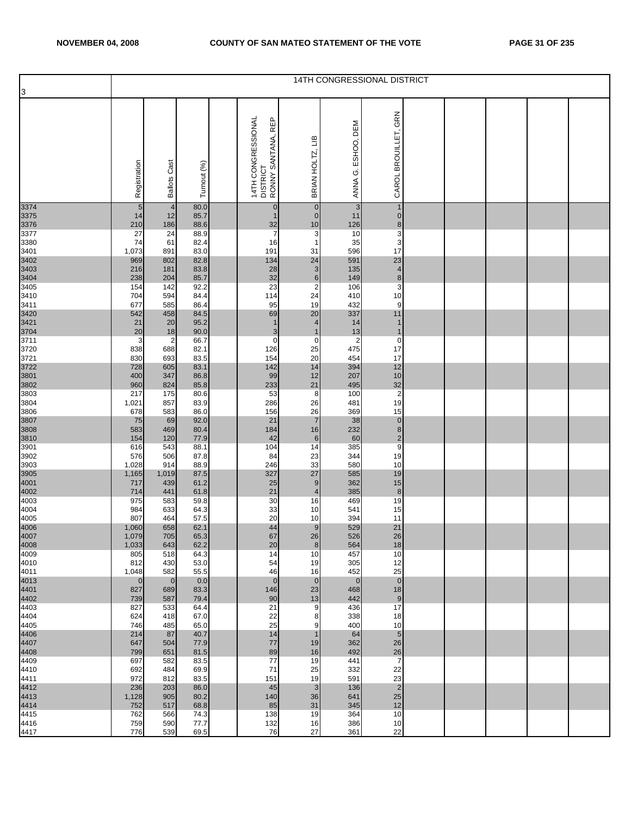| $\overline{3}$<br>CAROL BROUILLET, GRN<br>14TH CONGRESSIONAL<br>DISTRICT<br>RONNY SANTANA, REP<br>ANNA G. ESHOO, DEM<br>BRIAN HOLTZ, LIB<br>Registration<br><b>Ballots Cast</b><br>Turnout (%)<br>3374<br>3375<br>3376<br>3377<br>$\overline{4}$<br>80.0<br>$\sqrt{5}$<br>$\mathbf 0$<br>$\mathbf{3}$<br>$\mathbf{1}$<br>$\mathbf{0}$<br>85.7<br>$\pmb{0}$<br>$\pmb{0}$<br>14<br>12<br>11<br>$\mathbf{1}$<br>$\frac{8}{3}$<br>10<br>210<br>186<br>88.6<br>32<br>126<br>3<br>$\overline{7}$<br>27<br>24<br>88.9<br>10<br>$\mathbf{3}$<br>16<br>74<br>61<br>82.4<br>$\mathbf{1}$<br>35<br>3401<br>3402<br>3403<br>3404<br>3405<br>17<br>191<br>1,073<br>891<br>83.0<br>31<br>596<br>$\begin{array}{c} 23 \\ 4 \\ 8 \end{array}$<br>969<br>802<br>82.8<br>134<br>24<br>591<br>3<br>83.8<br>28<br>135<br>216<br>181<br>$\,$ 6 $\,$<br>85.7<br>32<br>238<br>204<br>149<br>$\overline{3}$<br>$\overline{c}$<br>23<br>154<br>92.2<br>106<br>142<br>3410<br>114<br>24<br>10<br>704<br>594<br>84.4<br>410<br>$9\,$<br>3411<br>95<br>19<br>677<br>585<br>432<br>86.4<br>3420<br>3421<br>3704<br>3711<br>20<br>542<br>458<br>84.5<br>69<br>337<br>11<br>20<br>95.2<br>$\overline{4}$<br>$\mathbf{1}$<br>21<br>14<br>$\mathbf{1}$<br>90.0<br>20<br>18<br>$\sqrt{3}$<br>13<br>$\mathbf{1}$<br>$\mathbf{1}$<br>3<br>$\overline{2}$<br>$\mathbf 0$<br>$\pmb{0}$<br>66.7<br>$\mathbf 0$<br>$\overline{2}$<br>17<br>3720<br>3721<br>25<br>838<br>688<br>82.1<br>126<br>475<br>20<br>154<br>17<br>830<br>693<br>83.5<br>454<br>3722<br>3801<br>3802<br>3803<br>142<br>14<br>12<br>728<br>605<br>83.1<br>394<br>10<br>99<br>12<br>207<br>347<br>86.8<br>400<br>$\frac{32}{2}$<br>233<br>21<br>495<br>960<br>824<br>85.8<br>53<br>$\overline{8}$<br>100<br>217<br>175<br>80.6<br>19<br>286<br>857<br>83.9<br>26<br>481<br>1,021<br>15<br>3806<br>583<br>156<br>26<br>369<br>678<br>86.0<br>0<br>0<br>0<br>9<br>$\overline{7}$<br>3807<br>3808<br>3810<br>3901<br>75<br>69<br>92.0<br>21<br>38<br>583<br>469<br>80.4<br>184<br>16<br>232<br>$\,$ 6 $\,$<br>77.9<br>42<br>60<br>154<br>120<br>$\overline{14}$<br>104<br>543<br>88.1<br>385<br>616<br>3902<br>23<br>344<br>19<br>506<br>87.8<br>84<br>576<br>33<br>10<br>580<br>88.9<br>246<br>1,028<br>914<br>3905<br>4001<br>4002<br>4003<br>327<br>27<br>585<br>19<br>87.5<br>1,165<br>1,019<br>15<br>$\boldsymbol{9}$<br>61.2<br>25<br>362<br>717<br>439<br>$\bf{8}$<br>441<br>61.8<br>21<br>$\overline{4}$<br>385<br>714<br>19<br>975<br>583<br>59.8<br>30<br>16<br>469<br>4004<br>33<br>15<br>64.3<br>984<br>633<br>10<br>541<br>20<br>4005<br>11<br>807<br>464<br>57.5<br>10<br>394<br>4006<br>4007<br>21<br>1,060<br>658<br>62.1<br>44<br>$\boldsymbol{9}$<br>529<br>26<br>65.3<br>67<br>26<br>526<br>1,079<br>705<br>$\frac{400}{1}$<br>$\boldsymbol{8}$<br>18<br>62.2<br>20<br>564<br>1,033<br>643<br>4009<br>14<br>457<br>10<br>805<br>518<br>64.3<br>10<br>430<br>53.0<br>54<br>305<br>12<br>812<br>19<br>25<br>582<br>55.5<br>46<br>16<br>452<br>1,048<br>4013<br>$\mathbf 0$<br>$\mathbf{0}$<br>0.0<br>$\overline{0}$<br>$\mathbf 0$<br>$\overline{0}$<br>$\mathbf 0$<br>4401<br>4402<br>18<br>83.3<br>23<br>827<br>689<br>146<br>468<br>$\overline{9}$<br>587<br>79.4<br>90<br>13<br>739<br>442<br>17<br>533<br>21<br>827<br>64.4<br>9<br>436<br>4404<br>67.0<br>22<br>18<br>624<br>418<br>338<br>8<br>4405<br>25<br>65.0<br>400<br>10<br>746<br>485<br>9<br>4406<br>4407<br>4408<br>$\overline{5}$<br>87<br>40.7<br>14<br>214<br>64<br>$\mathbf{1}$<br>77<br>26<br>647<br>504<br>77.9<br>19<br>362<br>26<br>89<br>799<br>651<br>81.5<br>16<br>492<br>4409<br>$\overline{7}$<br>582<br>83.5<br>77<br>19<br>697<br>441<br>22<br>692<br>484<br>69.9<br>71<br>25<br>332<br>23<br>972<br>812<br>83.5<br>151<br>19<br>591 |                                      | 14TH CONGRESSIONAL DISTRICT |  |  |  |  |  |  |  |  |  |  |  |  |
|--------------------------------------------------------------------------------------------------------------------------------------------------------------------------------------------------------------------------------------------------------------------------------------------------------------------------------------------------------------------------------------------------------------------------------------------------------------------------------------------------------------------------------------------------------------------------------------------------------------------------------------------------------------------------------------------------------------------------------------------------------------------------------------------------------------------------------------------------------------------------------------------------------------------------------------------------------------------------------------------------------------------------------------------------------------------------------------------------------------------------------------------------------------------------------------------------------------------------------------------------------------------------------------------------------------------------------------------------------------------------------------------------------------------------------------------------------------------------------------------------------------------------------------------------------------------------------------------------------------------------------------------------------------------------------------------------------------------------------------------------------------------------------------------------------------------------------------------------------------------------------------------------------------------------------------------------------------------------------------------------------------------------------------------------------------------------------------------------------------------------------------------------------------------------------------------------------------------------------------------------------------------------------------------------------------------------------------------------------------------------------------------------------------------------------------------------------------------------------------------------------------------------------------------------------------------------------------------------------------------------------------------------------------------------------------------------------------------------------------------------------------------------------------------------------------------------------------------------------------------------------------------------------------------------------------------------------------------------------------------------------------------------------------------------------------------------------------------------------------------------------------------------------------------------------------------------------------------------------------------------------------------------------------------------------------------------------------------------------------------------------------------------------------------------------------------------------------------------------------------------------------------------------------------------------------------------------------------------------------------------------------------------------------------------------------------------------------------------------------------------------------|--------------------------------------|-----------------------------|--|--|--|--|--|--|--|--|--|--|--|--|
|                                                                                                                                                                                                                                                                                                                                                                                                                                                                                                                                                                                                                                                                                                                                                                                                                                                                                                                                                                                                                                                                                                                                                                                                                                                                                                                                                                                                                                                                                                                                                                                                                                                                                                                                                                                                                                                                                                                                                                                                                                                                                                                                                                                                                                                                                                                                                                                                                                                                                                                                                                                                                                                                                                                                                                                                                                                                                                                                                                                                                                                                                                                                                                                                                                                                                                                                                                                                                                                                                                                                                                                                                                                                                                                                                              |                                      |                             |  |  |  |  |  |  |  |  |  |  |  |  |
|                                                                                                                                                                                                                                                                                                                                                                                                                                                                                                                                                                                                                                                                                                                                                                                                                                                                                                                                                                                                                                                                                                                                                                                                                                                                                                                                                                                                                                                                                                                                                                                                                                                                                                                                                                                                                                                                                                                                                                                                                                                                                                                                                                                                                                                                                                                                                                                                                                                                                                                                                                                                                                                                                                                                                                                                                                                                                                                                                                                                                                                                                                                                                                                                                                                                                                                                                                                                                                                                                                                                                                                                                                                                                                                                                              |                                      |                             |  |  |  |  |  |  |  |  |  |  |  |  |
|                                                                                                                                                                                                                                                                                                                                                                                                                                                                                                                                                                                                                                                                                                                                                                                                                                                                                                                                                                                                                                                                                                                                                                                                                                                                                                                                                                                                                                                                                                                                                                                                                                                                                                                                                                                                                                                                                                                                                                                                                                                                                                                                                                                                                                                                                                                                                                                                                                                                                                                                                                                                                                                                                                                                                                                                                                                                                                                                                                                                                                                                                                                                                                                                                                                                                                                                                                                                                                                                                                                                                                                                                                                                                                                                                              |                                      |                             |  |  |  |  |  |  |  |  |  |  |  |  |
|                                                                                                                                                                                                                                                                                                                                                                                                                                                                                                                                                                                                                                                                                                                                                                                                                                                                                                                                                                                                                                                                                                                                                                                                                                                                                                                                                                                                                                                                                                                                                                                                                                                                                                                                                                                                                                                                                                                                                                                                                                                                                                                                                                                                                                                                                                                                                                                                                                                                                                                                                                                                                                                                                                                                                                                                                                                                                                                                                                                                                                                                                                                                                                                                                                                                                                                                                                                                                                                                                                                                                                                                                                                                                                                                                              |                                      |                             |  |  |  |  |  |  |  |  |  |  |  |  |
|                                                                                                                                                                                                                                                                                                                                                                                                                                                                                                                                                                                                                                                                                                                                                                                                                                                                                                                                                                                                                                                                                                                                                                                                                                                                                                                                                                                                                                                                                                                                                                                                                                                                                                                                                                                                                                                                                                                                                                                                                                                                                                                                                                                                                                                                                                                                                                                                                                                                                                                                                                                                                                                                                                                                                                                                                                                                                                                                                                                                                                                                                                                                                                                                                                                                                                                                                                                                                                                                                                                                                                                                                                                                                                                                                              |                                      |                             |  |  |  |  |  |  |  |  |  |  |  |  |
|                                                                                                                                                                                                                                                                                                                                                                                                                                                                                                                                                                                                                                                                                                                                                                                                                                                                                                                                                                                                                                                                                                                                                                                                                                                                                                                                                                                                                                                                                                                                                                                                                                                                                                                                                                                                                                                                                                                                                                                                                                                                                                                                                                                                                                                                                                                                                                                                                                                                                                                                                                                                                                                                                                                                                                                                                                                                                                                                                                                                                                                                                                                                                                                                                                                                                                                                                                                                                                                                                                                                                                                                                                                                                                                                                              | 3380                                 |                             |  |  |  |  |  |  |  |  |  |  |  |  |
|                                                                                                                                                                                                                                                                                                                                                                                                                                                                                                                                                                                                                                                                                                                                                                                                                                                                                                                                                                                                                                                                                                                                                                                                                                                                                                                                                                                                                                                                                                                                                                                                                                                                                                                                                                                                                                                                                                                                                                                                                                                                                                                                                                                                                                                                                                                                                                                                                                                                                                                                                                                                                                                                                                                                                                                                                                                                                                                                                                                                                                                                                                                                                                                                                                                                                                                                                                                                                                                                                                                                                                                                                                                                                                                                                              |                                      |                             |  |  |  |  |  |  |  |  |  |  |  |  |
|                                                                                                                                                                                                                                                                                                                                                                                                                                                                                                                                                                                                                                                                                                                                                                                                                                                                                                                                                                                                                                                                                                                                                                                                                                                                                                                                                                                                                                                                                                                                                                                                                                                                                                                                                                                                                                                                                                                                                                                                                                                                                                                                                                                                                                                                                                                                                                                                                                                                                                                                                                                                                                                                                                                                                                                                                                                                                                                                                                                                                                                                                                                                                                                                                                                                                                                                                                                                                                                                                                                                                                                                                                                                                                                                                              |                                      |                             |  |  |  |  |  |  |  |  |  |  |  |  |
|                                                                                                                                                                                                                                                                                                                                                                                                                                                                                                                                                                                                                                                                                                                                                                                                                                                                                                                                                                                                                                                                                                                                                                                                                                                                                                                                                                                                                                                                                                                                                                                                                                                                                                                                                                                                                                                                                                                                                                                                                                                                                                                                                                                                                                                                                                                                                                                                                                                                                                                                                                                                                                                                                                                                                                                                                                                                                                                                                                                                                                                                                                                                                                                                                                                                                                                                                                                                                                                                                                                                                                                                                                                                                                                                                              |                                      |                             |  |  |  |  |  |  |  |  |  |  |  |  |
|                                                                                                                                                                                                                                                                                                                                                                                                                                                                                                                                                                                                                                                                                                                                                                                                                                                                                                                                                                                                                                                                                                                                                                                                                                                                                                                                                                                                                                                                                                                                                                                                                                                                                                                                                                                                                                                                                                                                                                                                                                                                                                                                                                                                                                                                                                                                                                                                                                                                                                                                                                                                                                                                                                                                                                                                                                                                                                                                                                                                                                                                                                                                                                                                                                                                                                                                                                                                                                                                                                                                                                                                                                                                                                                                                              |                                      |                             |  |  |  |  |  |  |  |  |  |  |  |  |
|                                                                                                                                                                                                                                                                                                                                                                                                                                                                                                                                                                                                                                                                                                                                                                                                                                                                                                                                                                                                                                                                                                                                                                                                                                                                                                                                                                                                                                                                                                                                                                                                                                                                                                                                                                                                                                                                                                                                                                                                                                                                                                                                                                                                                                                                                                                                                                                                                                                                                                                                                                                                                                                                                                                                                                                                                                                                                                                                                                                                                                                                                                                                                                                                                                                                                                                                                                                                                                                                                                                                                                                                                                                                                                                                                              |                                      |                             |  |  |  |  |  |  |  |  |  |  |  |  |
|                                                                                                                                                                                                                                                                                                                                                                                                                                                                                                                                                                                                                                                                                                                                                                                                                                                                                                                                                                                                                                                                                                                                                                                                                                                                                                                                                                                                                                                                                                                                                                                                                                                                                                                                                                                                                                                                                                                                                                                                                                                                                                                                                                                                                                                                                                                                                                                                                                                                                                                                                                                                                                                                                                                                                                                                                                                                                                                                                                                                                                                                                                                                                                                                                                                                                                                                                                                                                                                                                                                                                                                                                                                                                                                                                              |                                      |                             |  |  |  |  |  |  |  |  |  |  |  |  |
|                                                                                                                                                                                                                                                                                                                                                                                                                                                                                                                                                                                                                                                                                                                                                                                                                                                                                                                                                                                                                                                                                                                                                                                                                                                                                                                                                                                                                                                                                                                                                                                                                                                                                                                                                                                                                                                                                                                                                                                                                                                                                                                                                                                                                                                                                                                                                                                                                                                                                                                                                                                                                                                                                                                                                                                                                                                                                                                                                                                                                                                                                                                                                                                                                                                                                                                                                                                                                                                                                                                                                                                                                                                                                                                                                              |                                      |                             |  |  |  |  |  |  |  |  |  |  |  |  |
|                                                                                                                                                                                                                                                                                                                                                                                                                                                                                                                                                                                                                                                                                                                                                                                                                                                                                                                                                                                                                                                                                                                                                                                                                                                                                                                                                                                                                                                                                                                                                                                                                                                                                                                                                                                                                                                                                                                                                                                                                                                                                                                                                                                                                                                                                                                                                                                                                                                                                                                                                                                                                                                                                                                                                                                                                                                                                                                                                                                                                                                                                                                                                                                                                                                                                                                                                                                                                                                                                                                                                                                                                                                                                                                                                              |                                      |                             |  |  |  |  |  |  |  |  |  |  |  |  |
|                                                                                                                                                                                                                                                                                                                                                                                                                                                                                                                                                                                                                                                                                                                                                                                                                                                                                                                                                                                                                                                                                                                                                                                                                                                                                                                                                                                                                                                                                                                                                                                                                                                                                                                                                                                                                                                                                                                                                                                                                                                                                                                                                                                                                                                                                                                                                                                                                                                                                                                                                                                                                                                                                                                                                                                                                                                                                                                                                                                                                                                                                                                                                                                                                                                                                                                                                                                                                                                                                                                                                                                                                                                                                                                                                              |                                      |                             |  |  |  |  |  |  |  |  |  |  |  |  |
|                                                                                                                                                                                                                                                                                                                                                                                                                                                                                                                                                                                                                                                                                                                                                                                                                                                                                                                                                                                                                                                                                                                                                                                                                                                                                                                                                                                                                                                                                                                                                                                                                                                                                                                                                                                                                                                                                                                                                                                                                                                                                                                                                                                                                                                                                                                                                                                                                                                                                                                                                                                                                                                                                                                                                                                                                                                                                                                                                                                                                                                                                                                                                                                                                                                                                                                                                                                                                                                                                                                                                                                                                                                                                                                                                              |                                      |                             |  |  |  |  |  |  |  |  |  |  |  |  |
|                                                                                                                                                                                                                                                                                                                                                                                                                                                                                                                                                                                                                                                                                                                                                                                                                                                                                                                                                                                                                                                                                                                                                                                                                                                                                                                                                                                                                                                                                                                                                                                                                                                                                                                                                                                                                                                                                                                                                                                                                                                                                                                                                                                                                                                                                                                                                                                                                                                                                                                                                                                                                                                                                                                                                                                                                                                                                                                                                                                                                                                                                                                                                                                                                                                                                                                                                                                                                                                                                                                                                                                                                                                                                                                                                              |                                      |                             |  |  |  |  |  |  |  |  |  |  |  |  |
|                                                                                                                                                                                                                                                                                                                                                                                                                                                                                                                                                                                                                                                                                                                                                                                                                                                                                                                                                                                                                                                                                                                                                                                                                                                                                                                                                                                                                                                                                                                                                                                                                                                                                                                                                                                                                                                                                                                                                                                                                                                                                                                                                                                                                                                                                                                                                                                                                                                                                                                                                                                                                                                                                                                                                                                                                                                                                                                                                                                                                                                                                                                                                                                                                                                                                                                                                                                                                                                                                                                                                                                                                                                                                                                                                              |                                      |                             |  |  |  |  |  |  |  |  |  |  |  |  |
|                                                                                                                                                                                                                                                                                                                                                                                                                                                                                                                                                                                                                                                                                                                                                                                                                                                                                                                                                                                                                                                                                                                                                                                                                                                                                                                                                                                                                                                                                                                                                                                                                                                                                                                                                                                                                                                                                                                                                                                                                                                                                                                                                                                                                                                                                                                                                                                                                                                                                                                                                                                                                                                                                                                                                                                                                                                                                                                                                                                                                                                                                                                                                                                                                                                                                                                                                                                                                                                                                                                                                                                                                                                                                                                                                              |                                      |                             |  |  |  |  |  |  |  |  |  |  |  |  |
|                                                                                                                                                                                                                                                                                                                                                                                                                                                                                                                                                                                                                                                                                                                                                                                                                                                                                                                                                                                                                                                                                                                                                                                                                                                                                                                                                                                                                                                                                                                                                                                                                                                                                                                                                                                                                                                                                                                                                                                                                                                                                                                                                                                                                                                                                                                                                                                                                                                                                                                                                                                                                                                                                                                                                                                                                                                                                                                                                                                                                                                                                                                                                                                                                                                                                                                                                                                                                                                                                                                                                                                                                                                                                                                                                              | 3804                                 |                             |  |  |  |  |  |  |  |  |  |  |  |  |
|                                                                                                                                                                                                                                                                                                                                                                                                                                                                                                                                                                                                                                                                                                                                                                                                                                                                                                                                                                                                                                                                                                                                                                                                                                                                                                                                                                                                                                                                                                                                                                                                                                                                                                                                                                                                                                                                                                                                                                                                                                                                                                                                                                                                                                                                                                                                                                                                                                                                                                                                                                                                                                                                                                                                                                                                                                                                                                                                                                                                                                                                                                                                                                                                                                                                                                                                                                                                                                                                                                                                                                                                                                                                                                                                                              |                                      |                             |  |  |  |  |  |  |  |  |  |  |  |  |
|                                                                                                                                                                                                                                                                                                                                                                                                                                                                                                                                                                                                                                                                                                                                                                                                                                                                                                                                                                                                                                                                                                                                                                                                                                                                                                                                                                                                                                                                                                                                                                                                                                                                                                                                                                                                                                                                                                                                                                                                                                                                                                                                                                                                                                                                                                                                                                                                                                                                                                                                                                                                                                                                                                                                                                                                                                                                                                                                                                                                                                                                                                                                                                                                                                                                                                                                                                                                                                                                                                                                                                                                                                                                                                                                                              |                                      |                             |  |  |  |  |  |  |  |  |  |  |  |  |
|                                                                                                                                                                                                                                                                                                                                                                                                                                                                                                                                                                                                                                                                                                                                                                                                                                                                                                                                                                                                                                                                                                                                                                                                                                                                                                                                                                                                                                                                                                                                                                                                                                                                                                                                                                                                                                                                                                                                                                                                                                                                                                                                                                                                                                                                                                                                                                                                                                                                                                                                                                                                                                                                                                                                                                                                                                                                                                                                                                                                                                                                                                                                                                                                                                                                                                                                                                                                                                                                                                                                                                                                                                                                                                                                                              |                                      |                             |  |  |  |  |  |  |  |  |  |  |  |  |
|                                                                                                                                                                                                                                                                                                                                                                                                                                                                                                                                                                                                                                                                                                                                                                                                                                                                                                                                                                                                                                                                                                                                                                                                                                                                                                                                                                                                                                                                                                                                                                                                                                                                                                                                                                                                                                                                                                                                                                                                                                                                                                                                                                                                                                                                                                                                                                                                                                                                                                                                                                                                                                                                                                                                                                                                                                                                                                                                                                                                                                                                                                                                                                                                                                                                                                                                                                                                                                                                                                                                                                                                                                                                                                                                                              |                                      |                             |  |  |  |  |  |  |  |  |  |  |  |  |
|                                                                                                                                                                                                                                                                                                                                                                                                                                                                                                                                                                                                                                                                                                                                                                                                                                                                                                                                                                                                                                                                                                                                                                                                                                                                                                                                                                                                                                                                                                                                                                                                                                                                                                                                                                                                                                                                                                                                                                                                                                                                                                                                                                                                                                                                                                                                                                                                                                                                                                                                                                                                                                                                                                                                                                                                                                                                                                                                                                                                                                                                                                                                                                                                                                                                                                                                                                                                                                                                                                                                                                                                                                                                                                                                                              | 3903                                 |                             |  |  |  |  |  |  |  |  |  |  |  |  |
|                                                                                                                                                                                                                                                                                                                                                                                                                                                                                                                                                                                                                                                                                                                                                                                                                                                                                                                                                                                                                                                                                                                                                                                                                                                                                                                                                                                                                                                                                                                                                                                                                                                                                                                                                                                                                                                                                                                                                                                                                                                                                                                                                                                                                                                                                                                                                                                                                                                                                                                                                                                                                                                                                                                                                                                                                                                                                                                                                                                                                                                                                                                                                                                                                                                                                                                                                                                                                                                                                                                                                                                                                                                                                                                                                              |                                      |                             |  |  |  |  |  |  |  |  |  |  |  |  |
|                                                                                                                                                                                                                                                                                                                                                                                                                                                                                                                                                                                                                                                                                                                                                                                                                                                                                                                                                                                                                                                                                                                                                                                                                                                                                                                                                                                                                                                                                                                                                                                                                                                                                                                                                                                                                                                                                                                                                                                                                                                                                                                                                                                                                                                                                                                                                                                                                                                                                                                                                                                                                                                                                                                                                                                                                                                                                                                                                                                                                                                                                                                                                                                                                                                                                                                                                                                                                                                                                                                                                                                                                                                                                                                                                              |                                      |                             |  |  |  |  |  |  |  |  |  |  |  |  |
|                                                                                                                                                                                                                                                                                                                                                                                                                                                                                                                                                                                                                                                                                                                                                                                                                                                                                                                                                                                                                                                                                                                                                                                                                                                                                                                                                                                                                                                                                                                                                                                                                                                                                                                                                                                                                                                                                                                                                                                                                                                                                                                                                                                                                                                                                                                                                                                                                                                                                                                                                                                                                                                                                                                                                                                                                                                                                                                                                                                                                                                                                                                                                                                                                                                                                                                                                                                                                                                                                                                                                                                                                                                                                                                                                              |                                      |                             |  |  |  |  |  |  |  |  |  |  |  |  |
|                                                                                                                                                                                                                                                                                                                                                                                                                                                                                                                                                                                                                                                                                                                                                                                                                                                                                                                                                                                                                                                                                                                                                                                                                                                                                                                                                                                                                                                                                                                                                                                                                                                                                                                                                                                                                                                                                                                                                                                                                                                                                                                                                                                                                                                                                                                                                                                                                                                                                                                                                                                                                                                                                                                                                                                                                                                                                                                                                                                                                                                                                                                                                                                                                                                                                                                                                                                                                                                                                                                                                                                                                                                                                                                                                              |                                      |                             |  |  |  |  |  |  |  |  |  |  |  |  |
|                                                                                                                                                                                                                                                                                                                                                                                                                                                                                                                                                                                                                                                                                                                                                                                                                                                                                                                                                                                                                                                                                                                                                                                                                                                                                                                                                                                                                                                                                                                                                                                                                                                                                                                                                                                                                                                                                                                                                                                                                                                                                                                                                                                                                                                                                                                                                                                                                                                                                                                                                                                                                                                                                                                                                                                                                                                                                                                                                                                                                                                                                                                                                                                                                                                                                                                                                                                                                                                                                                                                                                                                                                                                                                                                                              |                                      |                             |  |  |  |  |  |  |  |  |  |  |  |  |
|                                                                                                                                                                                                                                                                                                                                                                                                                                                                                                                                                                                                                                                                                                                                                                                                                                                                                                                                                                                                                                                                                                                                                                                                                                                                                                                                                                                                                                                                                                                                                                                                                                                                                                                                                                                                                                                                                                                                                                                                                                                                                                                                                                                                                                                                                                                                                                                                                                                                                                                                                                                                                                                                                                                                                                                                                                                                                                                                                                                                                                                                                                                                                                                                                                                                                                                                                                                                                                                                                                                                                                                                                                                                                                                                                              |                                      |                             |  |  |  |  |  |  |  |  |  |  |  |  |
|                                                                                                                                                                                                                                                                                                                                                                                                                                                                                                                                                                                                                                                                                                                                                                                                                                                                                                                                                                                                                                                                                                                                                                                                                                                                                                                                                                                                                                                                                                                                                                                                                                                                                                                                                                                                                                                                                                                                                                                                                                                                                                                                                                                                                                                                                                                                                                                                                                                                                                                                                                                                                                                                                                                                                                                                                                                                                                                                                                                                                                                                                                                                                                                                                                                                                                                                                                                                                                                                                                                                                                                                                                                                                                                                                              |                                      |                             |  |  |  |  |  |  |  |  |  |  |  |  |
|                                                                                                                                                                                                                                                                                                                                                                                                                                                                                                                                                                                                                                                                                                                                                                                                                                                                                                                                                                                                                                                                                                                                                                                                                                                                                                                                                                                                                                                                                                                                                                                                                                                                                                                                                                                                                                                                                                                                                                                                                                                                                                                                                                                                                                                                                                                                                                                                                                                                                                                                                                                                                                                                                                                                                                                                                                                                                                                                                                                                                                                                                                                                                                                                                                                                                                                                                                                                                                                                                                                                                                                                                                                                                                                                                              | 4010                                 |                             |  |  |  |  |  |  |  |  |  |  |  |  |
|                                                                                                                                                                                                                                                                                                                                                                                                                                                                                                                                                                                                                                                                                                                                                                                                                                                                                                                                                                                                                                                                                                                                                                                                                                                                                                                                                                                                                                                                                                                                                                                                                                                                                                                                                                                                                                                                                                                                                                                                                                                                                                                                                                                                                                                                                                                                                                                                                                                                                                                                                                                                                                                                                                                                                                                                                                                                                                                                                                                                                                                                                                                                                                                                                                                                                                                                                                                                                                                                                                                                                                                                                                                                                                                                                              | 4011                                 |                             |  |  |  |  |  |  |  |  |  |  |  |  |
|                                                                                                                                                                                                                                                                                                                                                                                                                                                                                                                                                                                                                                                                                                                                                                                                                                                                                                                                                                                                                                                                                                                                                                                                                                                                                                                                                                                                                                                                                                                                                                                                                                                                                                                                                                                                                                                                                                                                                                                                                                                                                                                                                                                                                                                                                                                                                                                                                                                                                                                                                                                                                                                                                                                                                                                                                                                                                                                                                                                                                                                                                                                                                                                                                                                                                                                                                                                                                                                                                                                                                                                                                                                                                                                                                              |                                      |                             |  |  |  |  |  |  |  |  |  |  |  |  |
|                                                                                                                                                                                                                                                                                                                                                                                                                                                                                                                                                                                                                                                                                                                                                                                                                                                                                                                                                                                                                                                                                                                                                                                                                                                                                                                                                                                                                                                                                                                                                                                                                                                                                                                                                                                                                                                                                                                                                                                                                                                                                                                                                                                                                                                                                                                                                                                                                                                                                                                                                                                                                                                                                                                                                                                                                                                                                                                                                                                                                                                                                                                                                                                                                                                                                                                                                                                                                                                                                                                                                                                                                                                                                                                                                              |                                      |                             |  |  |  |  |  |  |  |  |  |  |  |  |
|                                                                                                                                                                                                                                                                                                                                                                                                                                                                                                                                                                                                                                                                                                                                                                                                                                                                                                                                                                                                                                                                                                                                                                                                                                                                                                                                                                                                                                                                                                                                                                                                                                                                                                                                                                                                                                                                                                                                                                                                                                                                                                                                                                                                                                                                                                                                                                                                                                                                                                                                                                                                                                                                                                                                                                                                                                                                                                                                                                                                                                                                                                                                                                                                                                                                                                                                                                                                                                                                                                                                                                                                                                                                                                                                                              | 4403                                 |                             |  |  |  |  |  |  |  |  |  |  |  |  |
|                                                                                                                                                                                                                                                                                                                                                                                                                                                                                                                                                                                                                                                                                                                                                                                                                                                                                                                                                                                                                                                                                                                                                                                                                                                                                                                                                                                                                                                                                                                                                                                                                                                                                                                                                                                                                                                                                                                                                                                                                                                                                                                                                                                                                                                                                                                                                                                                                                                                                                                                                                                                                                                                                                                                                                                                                                                                                                                                                                                                                                                                                                                                                                                                                                                                                                                                                                                                                                                                                                                                                                                                                                                                                                                                                              |                                      |                             |  |  |  |  |  |  |  |  |  |  |  |  |
|                                                                                                                                                                                                                                                                                                                                                                                                                                                                                                                                                                                                                                                                                                                                                                                                                                                                                                                                                                                                                                                                                                                                                                                                                                                                                                                                                                                                                                                                                                                                                                                                                                                                                                                                                                                                                                                                                                                                                                                                                                                                                                                                                                                                                                                                                                                                                                                                                                                                                                                                                                                                                                                                                                                                                                                                                                                                                                                                                                                                                                                                                                                                                                                                                                                                                                                                                                                                                                                                                                                                                                                                                                                                                                                                                              |                                      |                             |  |  |  |  |  |  |  |  |  |  |  |  |
|                                                                                                                                                                                                                                                                                                                                                                                                                                                                                                                                                                                                                                                                                                                                                                                                                                                                                                                                                                                                                                                                                                                                                                                                                                                                                                                                                                                                                                                                                                                                                                                                                                                                                                                                                                                                                                                                                                                                                                                                                                                                                                                                                                                                                                                                                                                                                                                                                                                                                                                                                                                                                                                                                                                                                                                                                                                                                                                                                                                                                                                                                                                                                                                                                                                                                                                                                                                                                                                                                                                                                                                                                                                                                                                                                              |                                      |                             |  |  |  |  |  |  |  |  |  |  |  |  |
|                                                                                                                                                                                                                                                                                                                                                                                                                                                                                                                                                                                                                                                                                                                                                                                                                                                                                                                                                                                                                                                                                                                                                                                                                                                                                                                                                                                                                                                                                                                                                                                                                                                                                                                                                                                                                                                                                                                                                                                                                                                                                                                                                                                                                                                                                                                                                                                                                                                                                                                                                                                                                                                                                                                                                                                                                                                                                                                                                                                                                                                                                                                                                                                                                                                                                                                                                                                                                                                                                                                                                                                                                                                                                                                                                              |                                      |                             |  |  |  |  |  |  |  |  |  |  |  |  |
|                                                                                                                                                                                                                                                                                                                                                                                                                                                                                                                                                                                                                                                                                                                                                                                                                                                                                                                                                                                                                                                                                                                                                                                                                                                                                                                                                                                                                                                                                                                                                                                                                                                                                                                                                                                                                                                                                                                                                                                                                                                                                                                                                                                                                                                                                                                                                                                                                                                                                                                                                                                                                                                                                                                                                                                                                                                                                                                                                                                                                                                                                                                                                                                                                                                                                                                                                                                                                                                                                                                                                                                                                                                                                                                                                              | 4410                                 |                             |  |  |  |  |  |  |  |  |  |  |  |  |
|                                                                                                                                                                                                                                                                                                                                                                                                                                                                                                                                                                                                                                                                                                                                                                                                                                                                                                                                                                                                                                                                                                                                                                                                                                                                                                                                                                                                                                                                                                                                                                                                                                                                                                                                                                                                                                                                                                                                                                                                                                                                                                                                                                                                                                                                                                                                                                                                                                                                                                                                                                                                                                                                                                                                                                                                                                                                                                                                                                                                                                                                                                                                                                                                                                                                                                                                                                                                                                                                                                                                                                                                                                                                                                                                                              | 4411                                 |                             |  |  |  |  |  |  |  |  |  |  |  |  |
| $\overline{2}$<br>236<br>203<br>86.0<br>45<br>3<br>136<br>25<br>80.2<br>140<br>1,128<br>905<br>36<br>641                                                                                                                                                                                                                                                                                                                                                                                                                                                                                                                                                                                                                                                                                                                                                                                                                                                                                                                                                                                                                                                                                                                                                                                                                                                                                                                                                                                                                                                                                                                                                                                                                                                                                                                                                                                                                                                                                                                                                                                                                                                                                                                                                                                                                                                                                                                                                                                                                                                                                                                                                                                                                                                                                                                                                                                                                                                                                                                                                                                                                                                                                                                                                                                                                                                                                                                                                                                                                                                                                                                                                                                                                                                     | $4412$<br>$4413$<br>$4414$<br>$4415$ |                             |  |  |  |  |  |  |  |  |  |  |  |  |
| 12<br>752<br>517<br>68.8<br>85<br>31<br>345                                                                                                                                                                                                                                                                                                                                                                                                                                                                                                                                                                                                                                                                                                                                                                                                                                                                                                                                                                                                                                                                                                                                                                                                                                                                                                                                                                                                                                                                                                                                                                                                                                                                                                                                                                                                                                                                                                                                                                                                                                                                                                                                                                                                                                                                                                                                                                                                                                                                                                                                                                                                                                                                                                                                                                                                                                                                                                                                                                                                                                                                                                                                                                                                                                                                                                                                                                                                                                                                                                                                                                                                                                                                                                                  |                                      |                             |  |  |  |  |  |  |  |  |  |  |  |  |
| 566<br>74.3<br>138<br>19<br>364<br>10<br>762                                                                                                                                                                                                                                                                                                                                                                                                                                                                                                                                                                                                                                                                                                                                                                                                                                                                                                                                                                                                                                                                                                                                                                                                                                                                                                                                                                                                                                                                                                                                                                                                                                                                                                                                                                                                                                                                                                                                                                                                                                                                                                                                                                                                                                                                                                                                                                                                                                                                                                                                                                                                                                                                                                                                                                                                                                                                                                                                                                                                                                                                                                                                                                                                                                                                                                                                                                                                                                                                                                                                                                                                                                                                                                                 |                                      |                             |  |  |  |  |  |  |  |  |  |  |  |  |
| 590<br>77.7<br>10<br>759<br>132<br>16<br>386<br>22<br>76<br>27<br>776<br>539<br>69.5<br>361                                                                                                                                                                                                                                                                                                                                                                                                                                                                                                                                                                                                                                                                                                                                                                                                                                                                                                                                                                                                                                                                                                                                                                                                                                                                                                                                                                                                                                                                                                                                                                                                                                                                                                                                                                                                                                                                                                                                                                                                                                                                                                                                                                                                                                                                                                                                                                                                                                                                                                                                                                                                                                                                                                                                                                                                                                                                                                                                                                                                                                                                                                                                                                                                                                                                                                                                                                                                                                                                                                                                                                                                                                                                  | 4416<br>4417                         |                             |  |  |  |  |  |  |  |  |  |  |  |  |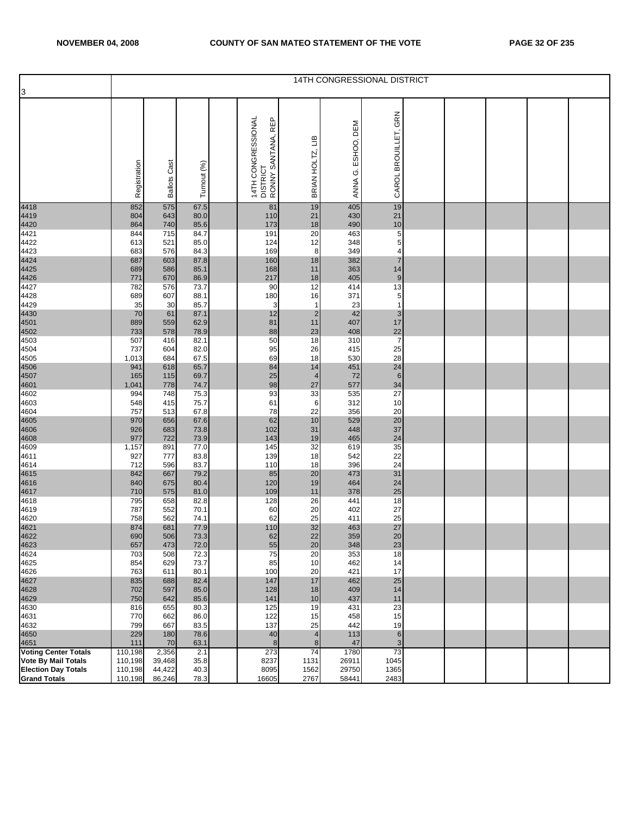|                                                          | 14TH CONGRESSIONAL DISTRICT |                     |              |  |                                                      |                  |                    |                                               |  |  |  |  |  |
|----------------------------------------------------------|-----------------------------|---------------------|--------------|--|------------------------------------------------------|------------------|--------------------|-----------------------------------------------|--|--|--|--|--|
| 3                                                        |                             |                     |              |  |                                                      |                  |                    |                                               |  |  |  |  |  |
|                                                          | Registration                | <b>Ballots Cast</b> | Turnout (%)  |  | 14TH CONGRESSIONAL<br>DISTRICT<br>RONNY SANTANA, REP | BRIAN HOLTZ, LIB | ANNA G. ESHOO, DEM | CAROL BROUILLET, GRN                          |  |  |  |  |  |
| 4418                                                     | 852                         | 575                 | 67.5         |  | 81                                                   | 19               | 405                | 19                                            |  |  |  |  |  |
| 4419                                                     | 804                         | 643                 | 80.0         |  | 110                                                  | 21               | 430                | 21                                            |  |  |  |  |  |
| 4420                                                     | 864                         | 740                 | 85.6         |  | 173                                                  | 18               | 490                | $\begin{array}{c}\n10 \\ 5 \\ 5\n\end{array}$ |  |  |  |  |  |
| 4421<br>4422                                             | 844<br>613                  | 715<br>521          | 84.7<br>85.0 |  | 191<br>124                                           | 20<br>12         | 463<br>348         |                                               |  |  |  |  |  |
| 4423                                                     | 683                         | 576                 | 84.3         |  | 169                                                  | 8                | 349                | 4                                             |  |  |  |  |  |
| 4424                                                     | 687                         | 603                 | 87.8         |  | 160                                                  | 18               | 382                | $\overline{7}$                                |  |  |  |  |  |
| 4425                                                     | 689                         | 586                 | 85.1         |  | 168                                                  | 11               | 363                | 14                                            |  |  |  |  |  |
| 4426                                                     | 771                         | 670                 | 86.9         |  | 217                                                  | 18               | 405                | 9                                             |  |  |  |  |  |
| 4427<br>4428                                             | 782<br>689                  | 576<br>607          | 73.7<br>88.1 |  | 90<br>180                                            | 12<br>16         | 414<br>371         | $\overline{13}$                               |  |  |  |  |  |
| 4429                                                     | 35                          | 30                  | 85.7         |  | 3                                                    | $\mathbf{1}$     | 23                 | $\begin{array}{c} 5 \\ 1 \end{array}$         |  |  |  |  |  |
| 4430                                                     | 70                          | 61                  | 87.1         |  | 12                                                   | $\overline{2}$   | 42                 | $\mathsf 3$                                   |  |  |  |  |  |
| 4501                                                     | 889                         | 559                 | 62.9         |  | 81                                                   | 11               | 407                | 17                                            |  |  |  |  |  |
| 4502                                                     | 733                         | 578                 | 78.9         |  | 88                                                   | 23               | 408                | 22                                            |  |  |  |  |  |
| 4503<br>4504                                             | 507<br>737                  | 416<br>604          | 82.1<br>82.0 |  | 50<br>95                                             | 18<br>26         | 310<br>415         | $\overline{7}$<br>25                          |  |  |  |  |  |
| 4505                                                     | 1,013                       | 684                 | 67.5         |  | 69                                                   | 18               | 530                |                                               |  |  |  |  |  |
| 4506                                                     | 941                         | 618                 | 65.7         |  | 84                                                   | 14               | 451                | $\frac{28}{24}$                               |  |  |  |  |  |
| 4507                                                     | 165                         | 115                 | 69.7         |  | 25                                                   | $\overline{4}$   | 72                 | $\boldsymbol{6}$                              |  |  |  |  |  |
| 4601                                                     | 1,041                       | 778                 | 74.7         |  | 98                                                   | 27               | 577                | 34                                            |  |  |  |  |  |
| 4602<br>4603                                             | 994<br>548                  | 748<br>415          | 75.3<br>75.7 |  | 93<br>61                                             | 33<br>6          | 535<br>312         | 27<br>10                                      |  |  |  |  |  |
| 4604                                                     | 757                         | 513                 | 67.8         |  | 78                                                   | 22               | 356                | 20                                            |  |  |  |  |  |
| 4605                                                     | 970                         | 656                 | 67.6         |  | 62                                                   | 10               | 529                | 20                                            |  |  |  |  |  |
| 4606                                                     | 926                         | 683                 | 73.8         |  | 102                                                  | 31               | 448                | 37                                            |  |  |  |  |  |
| 4608                                                     | 977                         | 722                 | 73.9         |  | 143                                                  | 19               | 465                | 24                                            |  |  |  |  |  |
| 4609<br>4611                                             | 1,157<br>927                | 891<br>777          | 77.0<br>83.8 |  | 145<br>139                                           | 32<br>18         | 619<br>542         | 35<br>22                                      |  |  |  |  |  |
| 4614                                                     | 712                         | 596                 | 83.7         |  | 110                                                  | 18               | 396                | 24                                            |  |  |  |  |  |
| 4615                                                     | 842                         | 667                 | 79.2         |  | 85                                                   | 20               | 473                | 31                                            |  |  |  |  |  |
| 4616                                                     | 840                         | 675                 | 80.4         |  | 120                                                  | 19               | 464                | 24                                            |  |  |  |  |  |
| 4617                                                     | 710                         | 575                 | 81.0         |  | 109                                                  | 11               | 378                | 25                                            |  |  |  |  |  |
| 4618<br>4619                                             | 795<br>787                  | 658<br>552          | 82.8<br>70.1 |  | 128<br>60                                            | 26<br>20         | 441<br>402         | 18<br>27                                      |  |  |  |  |  |
| 4620                                                     | 758                         | 562                 | 74.1         |  | 62                                                   | 25               | 411                | 25                                            |  |  |  |  |  |
| 4621<br>4622                                             | 874                         | 681                 | 77.9         |  | 110                                                  | 32               | 463                | 27                                            |  |  |  |  |  |
|                                                          | 690                         | 506                 | 73.3         |  | 62                                                   | 22               | 359                | 20                                            |  |  |  |  |  |
| 4623                                                     | 657                         | 473                 | 72.0         |  | 55                                                   | 20               | 348<br>353         | 23                                            |  |  |  |  |  |
| 4624<br>4625                                             | 703<br>854                  | 508<br>629          | 72.3<br>73.7 |  | 75<br>85                                             | 20<br>10         | 462                | 18<br>14                                      |  |  |  |  |  |
| 4626                                                     | 763                         | 611                 | 80.1         |  | 100                                                  | 20               | 421                | 17                                            |  |  |  |  |  |
| 4627                                                     | 835                         | 688                 | 82.4         |  | 147                                                  | 17               | 462                | 25                                            |  |  |  |  |  |
| 4628                                                     | 702                         | 597                 | 85.0         |  | 128                                                  | 18               | 409                | 14                                            |  |  |  |  |  |
| 4629                                                     | 750                         | 642                 | 85.6         |  | 141                                                  | 10<br>19         | 437                | $11$                                          |  |  |  |  |  |
| 4630<br>4631                                             | 816<br>770                  | 655<br>662          | 80.3<br>86.0 |  | 125<br>122                                           | 15               | 431<br>458         | 23<br>15                                      |  |  |  |  |  |
| 4632                                                     | 799                         | 667                 | 83.5         |  | 137                                                  | 25               | 442                | 19                                            |  |  |  |  |  |
| 4650                                                     | 229                         | 180                 | 78.6         |  | 40                                                   | 4                | 113                | $\,$ 6 $\,$                                   |  |  |  |  |  |
| 4651                                                     | 111                         | 70                  | 63.1         |  | 8                                                    | 8                | 47                 | 3                                             |  |  |  |  |  |
| <b>Voting Center Totals</b>                              | 110,198                     | 2,356               | 2.1          |  | 273                                                  | 74               | 1780               | 73                                            |  |  |  |  |  |
| <b>Vote By Mail Totals</b><br><b>Election Day Totals</b> | 110,198<br>110,198          | 39,468<br>44,422    | 35.8<br>40.3 |  | 8237<br>8095                                         | 1131<br>1562     | 26911<br>29750     | 1045<br>1365                                  |  |  |  |  |  |
| <b>Grand Totals</b>                                      | 110,198                     | 86,246              | 78.3         |  | 16605                                                | 2767             | 58441              | 2483                                          |  |  |  |  |  |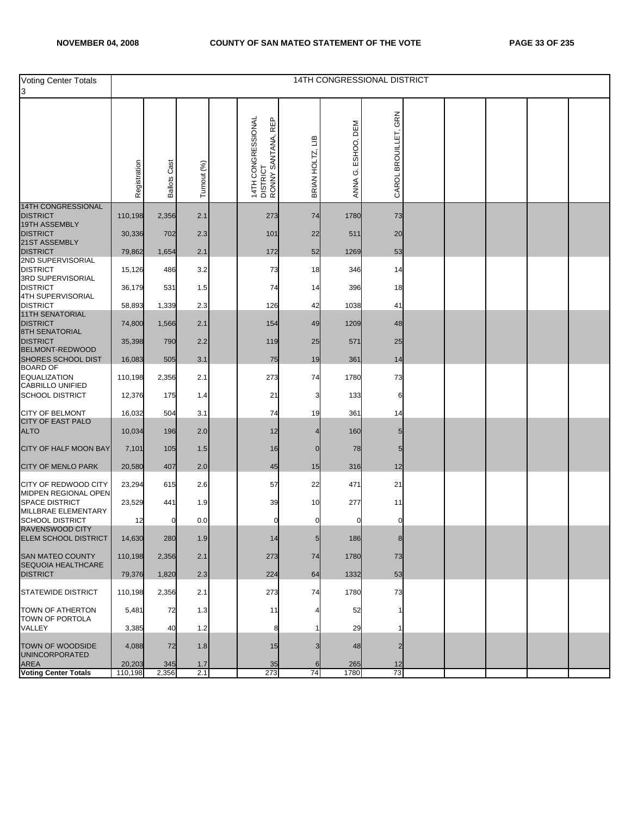| <b>Voting Center Totals</b><br>3                     |                   |                     |             |                                                              |                  |                    | 14TH CONGRESSIONAL DISTRICT |  |  |  |
|------------------------------------------------------|-------------------|---------------------|-------------|--------------------------------------------------------------|------------------|--------------------|-----------------------------|--|--|--|
|                                                      | Registration      | <b>Ballots Cast</b> | Turnout (%) | 14TH CONGRESSIONAL<br>DISTRICT<br>REP<br>SANTANA,<br>RONNY ! | BRIAN HOLTZ, LIB | ANNA G. ESHOO, DEM | GRN<br>CAROL BROUILLET,     |  |  |  |
| <b>14TH CONGRESSIONAL</b><br><b>DISTRICT</b>         | 110,198           | 2,356               | 2.1         | 273                                                          | 74               | 1780               | 73                          |  |  |  |
| 19TH ASSEMBLY<br><b>DISTRICT</b>                     | 30,336            | 702                 | 2.3         | 101                                                          | 22               | 511                | 20                          |  |  |  |
| 21ST ASSEMBLY<br><b>DISTRICT</b>                     | 79,862            | 1,654               | 2.1         | 172                                                          | 52               | 1269               | 53                          |  |  |  |
| 2ND SUPERVISORIAL<br><b>DISTRICT</b>                 | 15,126            | 486                 | 3.2         | 73                                                           | 18               | 346                | 14                          |  |  |  |
| 3RD SUPERVISORIAL<br><b>DISTRICT</b>                 | 36,179            | 531                 | 1.5         | 74                                                           | 14               | 396                | 18                          |  |  |  |
| 4TH SUPERVISORIAL<br><b>DISTRICT</b>                 | 58,893            | 1,339               | 2.3         | 126                                                          | 42               | 1038               | 41                          |  |  |  |
| <b>11TH SENATORIAL</b><br><b>DISTRICT</b>            | 74,800            | 1,566               | 2.1         | 154                                                          | 49               | 1209               | 48                          |  |  |  |
| <b>8TH SENATORIAL</b><br><b>DISTRICT</b>             | 35,398            | 790                 | 2.2         | 119                                                          | 25               | 571                | 25                          |  |  |  |
| BELMONT-REDWOOD<br><b>SHORES SCHOOL DIST</b>         | 16,083            | 505                 | 3.1         | 75                                                           | 19               | 361                | 14                          |  |  |  |
| <b>BOARD OF</b><br><b>EQUALIZATION</b>               | 110,198           | 2,356               | 2.1         | 273                                                          | 74               | 1780               | 73                          |  |  |  |
| CABRILLO UNIFIED<br><b>SCHOOL DISTRICT</b>           | 12,376            | 175                 | 1.4         | 21                                                           | з                | 133                | 6                           |  |  |  |
| <b>CITY OF BELMONT</b>                               | 16,032            | 504                 | 3.1         | 74                                                           | 19               | 361                | 14                          |  |  |  |
| <b>CITY OF EAST PALO</b><br><b>ALTO</b>              | 10,034            | 196                 | 2.0         | 12                                                           |                  | 160                |                             |  |  |  |
| CITY OF HALF MOON BAY                                | 7,101             | 105                 | 1.5         | 16                                                           | $\mathbf 0$      | 78                 | 5                           |  |  |  |
| <b>CITY OF MENLO PARK</b>                            | 20,580            | 407                 | 2.0         | 45                                                           | 15               | 316                | 12                          |  |  |  |
| CITY OF REDWOOD CITY<br>MIDPEN REGIONAL OPEN         | 23,294            | 615                 | 2.6         | 57                                                           | 22               | 471                | 21                          |  |  |  |
| SPACE DISTRICT<br>MILLBRAE ELEMENTARY                | 23,529            | 441                 | 1.9         | 39                                                           | 10               | 277                | 11                          |  |  |  |
| <b>SCHOOL DISTRICT</b><br><b>RAVENSWOOD CITY</b>     | 12                | 0                   | 0.0         | 0                                                            |                  |                    |                             |  |  |  |
| <b>ELEM SCHOOL DISTRICT</b>                          | 14,630            | 280                 | 1.9         | 14                                                           | $5\overline{)}$  | 186                | 8                           |  |  |  |
| <b>SAN MATEO COUNTY</b><br><b>SEQUOIA HEALTHCARE</b> | 110,198           | 2,356               | 2.1         | 273                                                          | 74               | 1780               | 73                          |  |  |  |
| <b>DISTRICT</b>                                      | 79,376            | 1,820               | 2.3         | 224                                                          | 64               | 1332               | 53                          |  |  |  |
| <b>STATEWIDE DISTRICT</b>                            | 110,198           | 2,356               | 2.1         | 273                                                          | 74               | 1780               | 73                          |  |  |  |
| TOWN OF ATHERTON<br>TOWN OF PORTOLA                  | 5,481             | 72                  | 1.3         | 11                                                           |                  | 52                 |                             |  |  |  |
| VALLEY                                               | 3,385             | 40                  | 1.2         | 8                                                            |                  | 29                 |                             |  |  |  |
| <b>TOWN OF WOODSIDE</b><br><b>UNINCORPORATED</b>     | 4,088             | 72                  | 1.8         | 15                                                           |                  | 48                 |                             |  |  |  |
| <b>AREA</b><br><b>Voting Center Totals</b>           | 20,203<br>110,198 | 345<br>2,356        | 1.7<br>2.1  | 35<br>273                                                    | 6<br>74          | 265<br>1780        | 12<br>73                    |  |  |  |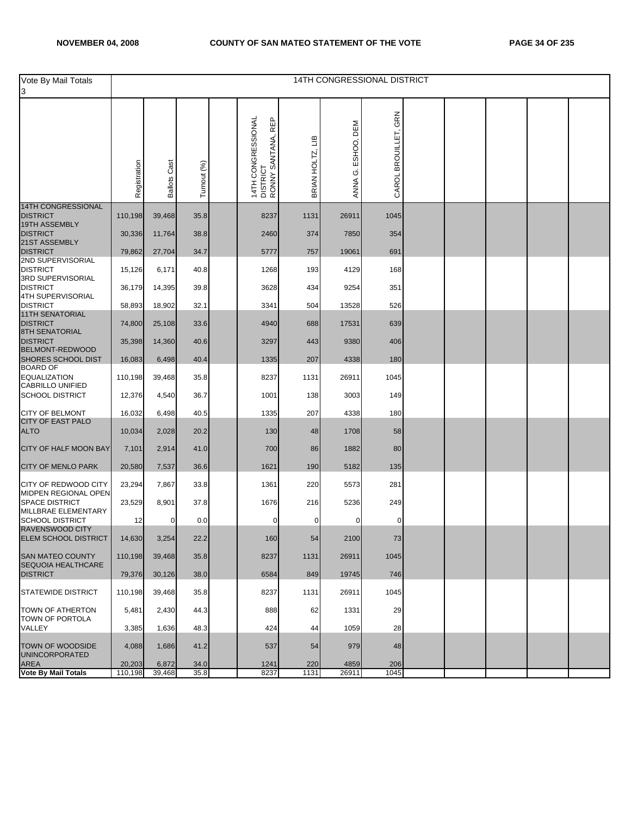| Vote By Mail Totals<br>3                                  |                   |                     |              |                                                             |                  |                    | 14TH CONGRESSIONAL DISTRICT |  |  |  |
|-----------------------------------------------------------|-------------------|---------------------|--------------|-------------------------------------------------------------|------------------|--------------------|-----------------------------|--|--|--|
|                                                           | Registration      | <b>Ballots Cast</b> | Turnout (%)  | 14TH CONGRESSIONAL<br>RONNY SANTANA, REP<br><b>DISTRICT</b> | BRIAN HOLTZ, LIB | ANNA G. ESHOO, DEM | GRN<br>CAROL BROUILLET,     |  |  |  |
| <b>14TH CONGRESSIONAL</b><br><b>DISTRICT</b>              | 110,198           | 39,468              | 35.8         | 8237                                                        | 1131             | 26911              | 1045                        |  |  |  |
| 19TH ASSEMBLY<br><b>DISTRICT</b><br>21ST ASSEMBLY         | 30,336            | 11,764              | 38.8         | 2460                                                        | 374              | 7850               | 354                         |  |  |  |
| <b>DISTRICT</b>                                           | 79,862            | 27,704              | 34.7         | 5777                                                        | 757              | 19061              | 691                         |  |  |  |
| 2ND SUPERVISORIAL<br><b>DISTRICT</b>                      | 15,126            | 6,171               | 40.8         | 1268                                                        | 193              | 4129               | 168                         |  |  |  |
| 3RD SUPERVISORIAL<br><b>DISTRICT</b><br>4TH SUPERVISORIAL | 36,179            | 14,395              | 39.8         | 3628                                                        | 434              | 9254               | 351                         |  |  |  |
| <b>DISTRICT</b>                                           | 58,893            | 18,902              | 32.1         | 3341                                                        | 504              | 13528              | 526                         |  |  |  |
| <b>11TH SENATORIAL</b><br><b>DISTRICT</b>                 | 74,800            | 25,108              | 33.6         | 4940                                                        | 688              | 17531              | 639                         |  |  |  |
| 8TH SENATORIAL<br><b>DISTRICT</b><br>BELMONT-REDWOOD      | 35,398            | 14,360              | 40.6         | 3297                                                        | 443              | 9380               | 406                         |  |  |  |
| SHORES SCHOOL DIST<br><b>BOARD OF</b>                     | 16,083            | 6,498               | 40.4         | 1335                                                        | 207              | 4338               | 180                         |  |  |  |
| <b>EQUALIZATION</b><br>CABRILLO UNIFIED                   | 110,198           | 39,468              | 35.8         | 8237                                                        | 1131             | 26911              | 1045                        |  |  |  |
| <b>SCHOOL DISTRICT</b>                                    | 12,376            | 4,540               | 36.7         | 1001                                                        | 138              | 3003               | 149                         |  |  |  |
| <b>CITY OF BELMONT</b><br><b>CITY OF EAST PALO</b>        | 16,032            | 6,498               | 40.5         | 1335                                                        | 207              | 4338               | 180                         |  |  |  |
| <b>ALTO</b>                                               | 10,034            | 2,028               | 20.2         | 130                                                         | 48               | 1708               | 58                          |  |  |  |
| CITY OF HALF MOON BAY                                     | 7,101             | 2,914               | 41.0         | 700                                                         | 86               | 1882               | 80                          |  |  |  |
| CITY OF MENLO PARK                                        | 20,580            | 7,537               | 36.6         | 1621                                                        | 190              | 5182               | 135                         |  |  |  |
| CITY OF REDWOOD CITY<br>MIDPEN REGIONAL OPEN              | 23,294            | 7,867               | 33.8         | 1361                                                        | 220              | 5573               | 281                         |  |  |  |
| <b>SPACE DISTRICT</b><br>MILLBRAE ELEMENTARY              | 23,529            | 8,901               | 37.8         | 1676                                                        | 216              | 5236               | 249                         |  |  |  |
| <b>SCHOOL DISTRICT</b><br>RAVENSWOOD CITY                 | 12                | 0                   | 0.0          | 0                                                           | 0                | 0                  | 0                           |  |  |  |
| ELEM SCHOOL DISTRICT                                      | 14,630            | 3,254               | 22.2         | 160                                                         | 54               | 2100               | 73                          |  |  |  |
| <b>SAN MATEO COUNTY</b><br>SEQUOIA HEALTHCARE             | 110,198           | 39,468              | 35.8         | 8237                                                        | 1131             | 26911              | 1045                        |  |  |  |
| <b>DISTRICT</b>                                           | 79,376            | 30,126              | 38.0         | 6584                                                        | 849              | 19745              | 746                         |  |  |  |
| <b>STATEWIDE DISTRICT</b>                                 | 110,198           | 39,468              | 35.8         | 8237                                                        | 1131             | 26911              | 1045                        |  |  |  |
| TOWN OF ATHERTON<br>TOWN OF PORTOLA                       | 5,481             | 2,430               | 44.3         | 888                                                         | 62               | 1331               | 29                          |  |  |  |
| VALLEY                                                    | 3,385             | 1,636               | 48.3         | 424                                                         | 44               | 1059               | 28                          |  |  |  |
| TOWN OF WOODSIDE<br>UNINCORPORATED                        | 4,088             | 1,686               | 41.2         | 537                                                         | 54               | 979                | 48                          |  |  |  |
| <b>AREA</b><br><b>Vote By Mail Totals</b>                 | 20,203<br>110,198 | 6,872<br>39,468     | 34.0<br>35.8 | 1241<br>8237                                                | 220<br>1131      | 4859<br>26911      | 206<br>1045                 |  |  |  |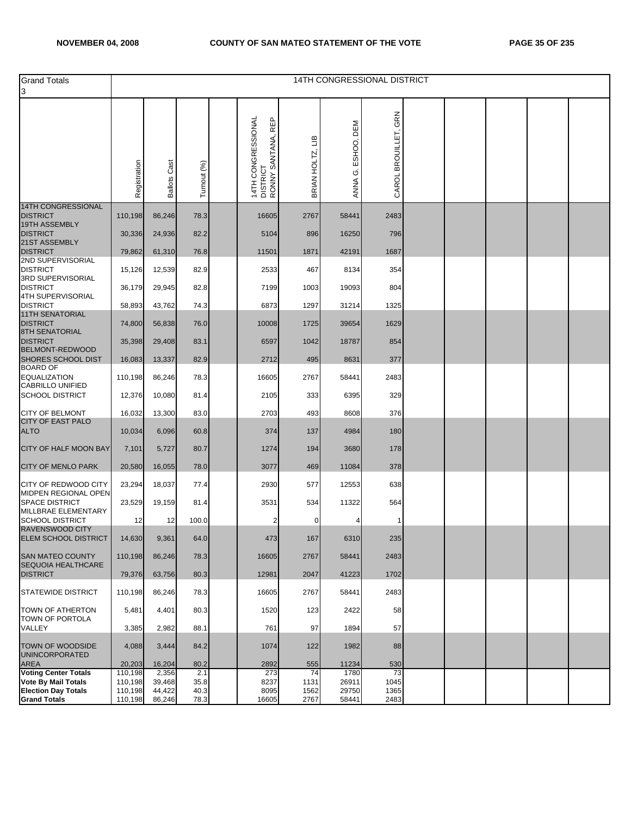| <b>Grand Totals</b><br>3                                           |                    |                     |              |                                                      |                        |                       | 14TH CONGRESSIONAL DISTRICT |  |  |  |
|--------------------------------------------------------------------|--------------------|---------------------|--------------|------------------------------------------------------|------------------------|-----------------------|-----------------------------|--|--|--|
|                                                                    | Registration       | <b>Ballots Cast</b> | Turnout (%)  | 14TH CONGRESSIONAL<br>DISTRICT<br>RONNY SANTANA, REP | ≃<br>Ξ<br>BRIAN HOLTZ, | DEM<br>ANNA G. ESHOO, | GRN<br>CAROL BROUILLET,     |  |  |  |
| <b>14TH CONGRESSIONAL</b><br><b>DISTRICT</b>                       | 110,198            | 86,246              | 78.3         | 16605                                                | 2767                   | 58441                 | 2483                        |  |  |  |
| 19TH ASSEMBLY<br><b>DISTRICT</b>                                   | 30,336             | 24,936              | 82.2         | 5104                                                 | 896                    | 16250                 | 796                         |  |  |  |
| 21ST ASSEMBLY<br><b>DISTRICT</b>                                   | 79,862             | 61,310              | 76.8         | 11501                                                | 1871                   | 42191                 | 1687                        |  |  |  |
| 2ND SUPERVISORIAL<br><b>DISTRICT</b>                               | 15,126             | 12,539              | 82.9         | 2533                                                 | 467                    | 8134                  | 354                         |  |  |  |
| 3RD SUPERVISORIAL<br><b>DISTRICT</b>                               | 36,179             | 29,945              | 82.8         | 7199                                                 | 1003                   | 19093                 | 804                         |  |  |  |
| 4TH SUPERVISORIAL<br><b>DISTRICT</b>                               | 58,893             | 43,762              | 74.3         | 6873                                                 | 1297                   | 31214                 | 1325                        |  |  |  |
| <b>11TH SENATORIAL</b><br><b>DISTRICT</b><br><b>8TH SENATORIAL</b> | 74,800             | 56,838              | 76.0         | 10008                                                | 1725                   | 39654                 | 1629                        |  |  |  |
| <b>DISTRICT</b><br><b>BELMONT-REDWOOD</b>                          | 35,398             | 29,408              | 83.1         | 6597                                                 | 1042                   | 18787                 | 854                         |  |  |  |
| SHORES SCHOOL DIST<br><b>BOARD OF</b>                              | 16,083             | 13,337              | 82.9         | 2712                                                 | 495                    | 8631                  | 377                         |  |  |  |
| <b>EQUALIZATION</b><br><b>CABRILLO UNIFIED</b>                     | 110,198            | 86,246              | 78.3         | 16605                                                | 2767                   | 58441                 | 2483                        |  |  |  |
| <b>SCHOOL DISTRICT</b>                                             | 12,376             | 10,080              | 81.4         | 2105                                                 | 333                    | 6395                  | 329                         |  |  |  |
| <b>CITY OF BELMONT</b><br><b>CITY OF EAST PALO</b>                 | 16,032             | 13,300              | 83.0         | 2703                                                 | 493                    | 8608                  | 376                         |  |  |  |
| <b>ALTO</b>                                                        | 10,034             | 6,096               | 60.8         | 374                                                  | 137                    | 4984                  | 180                         |  |  |  |
| CITY OF HALF MOON BAY                                              | 7,101              | 5,727               | 80.7         | 1274                                                 | 194                    | 3680                  | 178                         |  |  |  |
| <b>CITY OF MENLO PARK</b>                                          | 20,580             | 16,055              | 78.0         | 3077                                                 | 469                    | 11084                 | 378                         |  |  |  |
| CITY OF REDWOOD CITY<br>MIDPEN REGIONAL OPEN                       | 23,294             | 18,037              | 77.4         | 2930                                                 | 577                    | 12553                 | 638                         |  |  |  |
| <b>SPACE DISTRICT</b><br>MILLBRAE ELEMENTARY                       | 23,529             | 19,159              | 81.4         | 3531                                                 | 534                    | 11322                 | 564                         |  |  |  |
| <b>SCHOOL DISTRICT</b><br><b>RAVENSWOOD CITY</b>                   | 12                 | 12                  | 100.0        | 2                                                    | $\Omega$               |                       | -1                          |  |  |  |
| ELEM SCHOOL DISTRICT                                               | 14,630             | 9,361               | 64.0         | 473                                                  | 167                    | 6310                  | 235                         |  |  |  |
| SAN MATEO COUNTY<br>SEQUOIA HEALTHCARE                             | 110,198            | 86,246              | 78.3         | 16605                                                | 2767                   | 58441                 | 2483                        |  |  |  |
| <b>DISTRICT</b>                                                    | 79,376             | 63,756              | 80.3         | 12981                                                | 2047                   | 41223                 | 1702                        |  |  |  |
| <b>STATEWIDE DISTRICT</b>                                          | 110,198            | 86,246              | 78.3         | 16605                                                | 2767                   | 58441                 | 2483                        |  |  |  |
| TOWN OF ATHERTON<br>TOWN OF PORTOLA                                | 5,481              | 4,401               | 80.3         | 1520                                                 | 123                    | 2422                  | 58                          |  |  |  |
| VALLEY                                                             | 3,385              | 2,982               | 88.1         | 761                                                  | 97                     | 1894                  | 57                          |  |  |  |
| TOWN OF WOODSIDE<br><b>UNINCORPORATED</b>                          | 4,088              | 3,444               | 84.2         | 1074                                                 | 122                    | 1982                  | 88                          |  |  |  |
| <b>AREA</b><br><b>Voting Center Totals</b>                         | 20,203<br>110,198  | 16,204<br>2,356     | 80.2<br>2.1  | 2892<br>273                                          | 555<br>74              | 11234<br>1780         | 530<br>73                   |  |  |  |
| <b>Vote By Mail Totals</b><br><b>Election Day Totals</b>           | 110,198<br>110,198 | 39,468<br>44,422    | 35.8<br>40.3 | 8237<br>8095                                         | 1131<br>1562           | 26911<br>29750        | 1045<br>1365                |  |  |  |
| <b>Grand Totals</b>                                                | 110,198            | 86,246              | 78.3         | 16605                                                | 2767                   | 58441                 | 2483                        |  |  |  |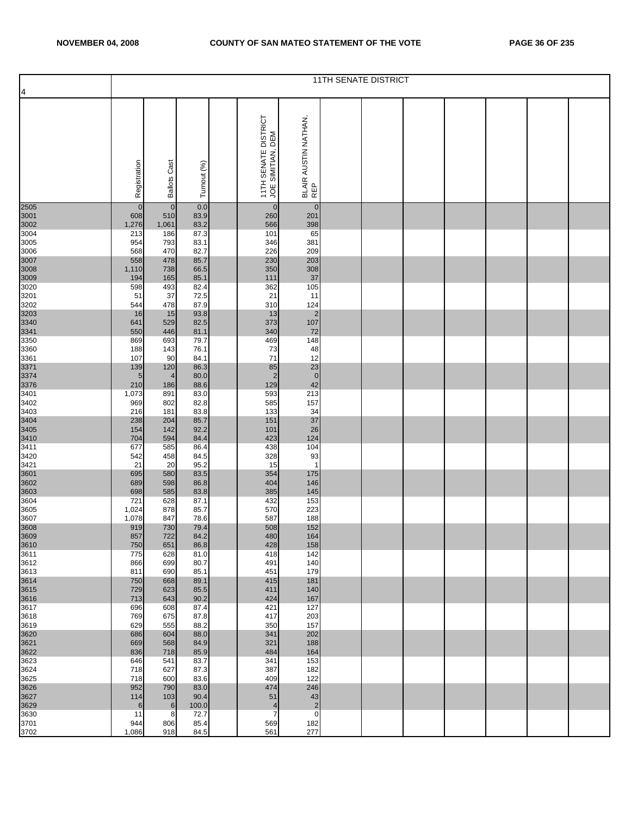|                                      |              |                     |              |                                           |                                | <b>11TH SENATE DISTRICT</b> |  |  |  |
|--------------------------------------|--------------|---------------------|--------------|-------------------------------------------|--------------------------------|-----------------------------|--|--|--|
| $\overline{a}$                       |              |                     |              |                                           |                                |                             |  |  |  |
|                                      | Registration | <b>Ballots Cast</b> | Turnout (%)  | 11TH SENATE DISTRICT<br>JOE SIMITIAN, DEM | BLAIR AUSTIN NATHAN,<br>REP    |                             |  |  |  |
| 2505                                 | $\mathbf 0$  | $\overline{0}$      | 0.0          | $\mathbf 0$                               | $\mathbf 0$                    |                             |  |  |  |
| 3001<br>3002                         | 608          | 510                 | 83.9         | 260                                       | 201                            |                             |  |  |  |
| 3004                                 | 1,276<br>213 | 1,061<br>186        | 83.2<br>87.3 | 566<br>101                                | 398<br>65                      |                             |  |  |  |
| 3005                                 | 954          | 793                 | 83.1         | 346                                       | 381                            |                             |  |  |  |
| 3006                                 | 568          | 470                 | 82.7         | 226                                       | 209                            |                             |  |  |  |
|                                      | 558<br>1,110 | 478<br>738          | 85.7<br>66.5 | 230<br>350                                | 203<br>308                     |                             |  |  |  |
|                                      | 194          | 165                 | 85.1         | 111                                       | 37                             |                             |  |  |  |
| 3007<br>3008<br>3009<br>3020         | 598          | 493                 | 82.4         | 362                                       | 105                            |                             |  |  |  |
| 3201                                 | 51           | 37                  | 72.5         | 21                                        | 11                             |                             |  |  |  |
| 3202                                 | 544<br>16    | 478<br>15           | 87.9<br>93.8 | 310<br>13                                 | 124<br>$\overline{\mathbf{c}}$ |                             |  |  |  |
| 3203<br>3203<br>3340<br>3341<br>3350 | 641          | 529                 | 82.5         | 373                                       | 107                            |                             |  |  |  |
|                                      | 550          | 446                 | 81.1         | 340                                       | 72                             |                             |  |  |  |
| 3360                                 | 869<br>188   | 693<br>143          | 79.7<br>76.1 | 469<br>73                                 | 148<br>48                      |                             |  |  |  |
| 3361                                 | 107          | 90                  | 84.1         | 71                                        | 12                             |                             |  |  |  |
|                                      | 139          | 120                 | 86.3         | 85                                        | 23                             |                             |  |  |  |
|                                      | 5<br>210     | 4<br>186            | 80.0<br>88.6 | $\overline{2}$<br>129                     | $\pmb{0}$<br>42                |                             |  |  |  |
| 3371<br>3374<br>3376<br>3401         | 1,073        | 891                 | 83.0         | 593                                       | 213                            |                             |  |  |  |
| 3402                                 | 969          | 802                 | 82.8         | 585                                       | 157                            |                             |  |  |  |
| 3403                                 | 216          | 181                 | 83.8         | 133                                       | 34                             |                             |  |  |  |
| 3404<br>3405<br>3410<br>3411         | 238<br>154   | 204<br>142          | 85.7<br>92.2 | 151<br>101                                | 37<br>26                       |                             |  |  |  |
|                                      | 704          | 594                 | 84.4         | 423                                       | 124                            |                             |  |  |  |
|                                      | 677          | 585                 | 86.4         | 438                                       | 104                            |                             |  |  |  |
| 3420<br>3421                         | 542<br>21    | 458<br>20           | 84.5<br>95.2 | 328<br>15                                 | 93<br>$\overline{1}$           |                             |  |  |  |
|                                      | 695          | 580                 | 83.5         | 354                                       | 175                            |                             |  |  |  |
| 3601<br>3602                         | 689          | 598                 | 86.8         | 404                                       | 146                            |                             |  |  |  |
| 3603<br>3604                         | 698<br>721   | 585<br>628          | 83.8<br>87.1 | 385<br>432                                | 145<br>153                     |                             |  |  |  |
| 3605                                 | 1,024        | 878                 | 85.7         | 570                                       | 223                            |                             |  |  |  |
| 3607                                 | 1,078        | 847                 | 78.6         | 587                                       | 188                            |                             |  |  |  |
| 3608<br>3609<br>3610                 | 919          | 730                 | 79.4         | 508                                       | 152                            |                             |  |  |  |
|                                      | 857<br>750   | 722<br>651          | 84.2<br>86.8 | 480<br>428                                | 164<br>158                     |                             |  |  |  |
| 3611                                 | 775          | 628                 | 81.0         | 418                                       | 142                            |                             |  |  |  |
| 3612<br>3613                         | 866          | 699<br>690          | 80.7<br>85.1 | 491<br>451                                | 140<br>179                     |                             |  |  |  |
|                                      | 811<br>750   | 668                 | 89.1         | 415                                       | 181                            |                             |  |  |  |
| 3614<br>3615<br>3616                 | 729          | 623                 | 85.5         | 411                                       | 140                            |                             |  |  |  |
|                                      | 713          | 643                 | 90.2         | 424                                       | 167                            |                             |  |  |  |
| 3617<br>3618                         | 696<br>769   | 608<br>675          | 87.4<br>87.8 | 421<br>417                                | 127<br>203                     |                             |  |  |  |
| 3619                                 | 629          | 555                 | 88.2         | 350                                       | 157                            |                             |  |  |  |
| 3620                                 | 686          | 604                 | 88.0         | 341                                       | 202                            |                             |  |  |  |
| 3621<br>3622                         | 669<br>836   | 568<br>718          | 84.9<br>85.9 | 321<br>484                                | 188<br>164                     |                             |  |  |  |
| 3623                                 | 646          | 541                 | 83.7         | 341                                       | 153                            |                             |  |  |  |
| 3624                                 | 718          | 627                 | 87.3         | 387                                       | 182                            |                             |  |  |  |
| 3625                                 | 718<br>952   | 600<br>790          | 83.6<br>83.0 | 409<br>474                                | 122<br>246                     |                             |  |  |  |
| 3626<br>3627                         | 114          | 103                 | 90.4         | 51                                        | 43                             |                             |  |  |  |
| 3629                                 | $\,6$        | $\,$ 6              | 100.0        | $\overline{\mathbf{4}}$                   | $\overline{\mathbf{c}}$        |                             |  |  |  |
| 3630<br>3701                         | 11           | 8                   | 72.7         | $\overline{7}$                            | $\mathbf 0$<br>182             |                             |  |  |  |
| 3702                                 | 944<br>1,086 | 806<br>918          | 85.4<br>84.5 | 569<br>561                                | 277                            |                             |  |  |  |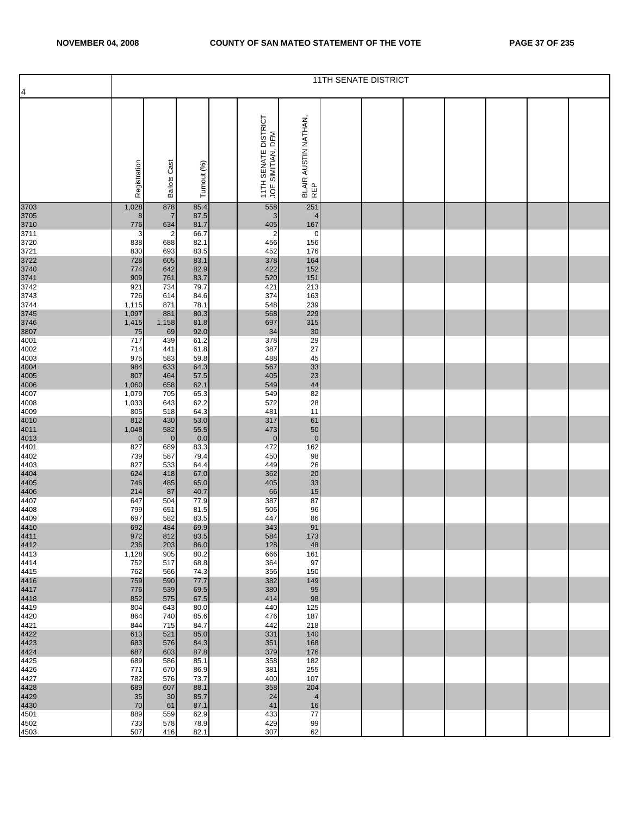|                                                                     |                     |                       |              |                                           |                             | <b>11TH SENATE DISTRICT</b> |  |  |  |
|---------------------------------------------------------------------|---------------------|-----------------------|--------------|-------------------------------------------|-----------------------------|-----------------------------|--|--|--|
| $\overline{a}$                                                      |                     |                       |              |                                           |                             |                             |  |  |  |
|                                                                     | Registration        | <b>Ballots Cast</b>   | Turnout (%)  | 11TH SENATE DISTRICT<br>JOE SIMITIAN, DEM | BLAIR AUSTIN NATHAN,<br>REP |                             |  |  |  |
| 3703                                                                | 1,028               | 878                   | 85.4         | 558                                       | 251                         |                             |  |  |  |
| 3705<br>3710<br>3711                                                | 8                   | $\overline{7}$        | 87.5         | 3                                         | $\overline{4}$              |                             |  |  |  |
|                                                                     | 776                 | 634                   | 81.7         | 405                                       | 167                         |                             |  |  |  |
| 3720                                                                | 3<br>838            | $\overline{c}$<br>688 | 66.7<br>82.1 | $\overline{\mathbf{c}}$<br>456            | 0<br>156                    |                             |  |  |  |
| 3721                                                                | 830                 | 693                   | 83.5         | 452                                       | 176                         |                             |  |  |  |
| 3722<br>3740<br>3741<br>3742                                        | 728                 | 605                   | 83.1         | 378                                       | 164                         |                             |  |  |  |
|                                                                     | 774                 | 642                   | 82.9         | 422                                       | 152                         |                             |  |  |  |
|                                                                     | 909<br>921          | 761<br>734            | 83.7<br>79.7 | 520<br>421                                | 151<br>213                  |                             |  |  |  |
| 3743                                                                | 726                 | 614                   | 84.6         | 374                                       | 163                         |                             |  |  |  |
| 3744                                                                | 1,115               | 871                   | 78.1         | 548                                       | 239                         |                             |  |  |  |
| 3745<br>3746<br>3807                                                | 1,097               | 881                   | 80.3         | 568                                       | 229                         |                             |  |  |  |
|                                                                     | 1,415<br>75         | 1,158<br>69           | 81.8<br>92.0 | 697<br>34                                 | 315<br>30                   |                             |  |  |  |
| 4001                                                                | 717                 | 439                   | 61.2         | 378                                       | 29                          |                             |  |  |  |
| 4002                                                                | 714                 | 441                   | 61.8         | 387                                       | 27                          |                             |  |  |  |
| 4003                                                                | 975<br>984          | 583<br>633            | 59.8<br>64.3 | 488<br>567                                | 45<br>33                    |                             |  |  |  |
|                                                                     | 807                 | 464                   | 57.5         | 405                                       | 23                          |                             |  |  |  |
| 4004<br>4005<br>4006<br>4007                                        | 1,060               | 658                   | 62.1         | 549                                       | 44                          |                             |  |  |  |
|                                                                     | 1,079               | 705                   | 65.3         | 549                                       | 82                          |                             |  |  |  |
| 4008<br>4009                                                        | 1,033<br>805        | 643<br>518            | 62.2<br>64.3 | 572<br>481                                | 28<br>11                    |                             |  |  |  |
|                                                                     | 812                 | 430                   | 53.0         | 317                                       | 61                          |                             |  |  |  |
| 4010<br>4011<br>4013<br>4401                                        | 1,048               | 582                   | 55.5         | 473                                       | 50                          |                             |  |  |  |
|                                                                     | $\mathbf{0}$<br>827 | $\overline{0}$<br>689 | 0.0<br>83.3  | $\overline{0}$<br>472                     | $\mathbf 0$<br>162          |                             |  |  |  |
| 4402                                                                | 739                 | 587                   | 79.4         | 450                                       | 98                          |                             |  |  |  |
| 4403                                                                | 827                 | 533                   | 64.4         | 449                                       | 26                          |                             |  |  |  |
|                                                                     | 624                 | 418                   | 67.0         | 362                                       | 20                          |                             |  |  |  |
| 4404<br>4405<br>4406<br>4407                                        | 746<br>214          | 485<br>87             | 65.0<br>40.7 | 405<br>66                                 | 33<br>15                    |                             |  |  |  |
|                                                                     | 647                 | 504                   | 77.9         | 387                                       | 87                          |                             |  |  |  |
| 4408                                                                | 799                 | 651                   | 81.5         | 506                                       | 96                          |                             |  |  |  |
| 4409                                                                | 697<br>692          | 582<br>484            | 83.5<br>69.9 | 447<br>343                                | 86<br>91                    |                             |  |  |  |
| $\begin{array}{c} 1186 \\ 4410 \\ 4411 \\ 4412 \\ 4413 \end{array}$ | 972                 | 812                   | 83.5         | 584                                       | 173                         |                             |  |  |  |
|                                                                     | 236                 | 203                   | 86.0         | 128                                       | 48                          |                             |  |  |  |
| 4414                                                                | 1,128<br>752        | 905<br>517            | 80.2<br>68.8 | 666<br>364                                | 161<br>97                   |                             |  |  |  |
| 4415                                                                | 762                 | 566                   | 74.3         | 356                                       | 150                         |                             |  |  |  |
| $\begin{array}{r} 1116 \\ 4416 \\ 4417 \\ 4418 \\ 4419 \end{array}$ | 759                 | 590                   | 77.7         | 382                                       | 149                         |                             |  |  |  |
|                                                                     | 776                 | 539                   | 69.5         | 380                                       | 95                          |                             |  |  |  |
|                                                                     | 852<br>804          | 575<br>643            | 67.5<br>80.0 | 414<br>440                                | 98<br>125                   |                             |  |  |  |
| 4420                                                                | 864                 | 740                   | 85.6         | 476                                       | 187                         |                             |  |  |  |
| 4421                                                                | 844                 | 715                   | 84.7         | 442                                       | 218                         |                             |  |  |  |
|                                                                     | 613<br>683          | 521<br>576            | 85.0<br>84.3 | 331<br>351                                | 140<br>168                  |                             |  |  |  |
| 4422<br>4423<br>4424<br>4425                                        | 687                 | 603                   | 87.8         | 379                                       | 176                         |                             |  |  |  |
|                                                                     | 689                 | 586                   | 85.1         | 358                                       | 182                         |                             |  |  |  |
| 4426                                                                | 771                 | 670                   | 86.9         | 381                                       | 255                         |                             |  |  |  |
| 4427                                                                | 782<br>689          | 576<br>607            | 73.7<br>88.1 | 400<br>358                                | 107<br>204                  |                             |  |  |  |
| 4428<br>4429<br>4430                                                | 35                  | 30                    | 85.7         | 24                                        | $\overline{4}$              |                             |  |  |  |
|                                                                     | 70                  | 61                    | 87.1         | 41                                        | 16                          |                             |  |  |  |
| 4501<br>4502                                                        | 889<br>733          | 559<br>578            | 62.9<br>78.9 | 433<br>429                                | 77<br>99                    |                             |  |  |  |
| 4503                                                                | 507                 | 416                   | 82.1         | 307                                       | 62                          |                             |  |  |  |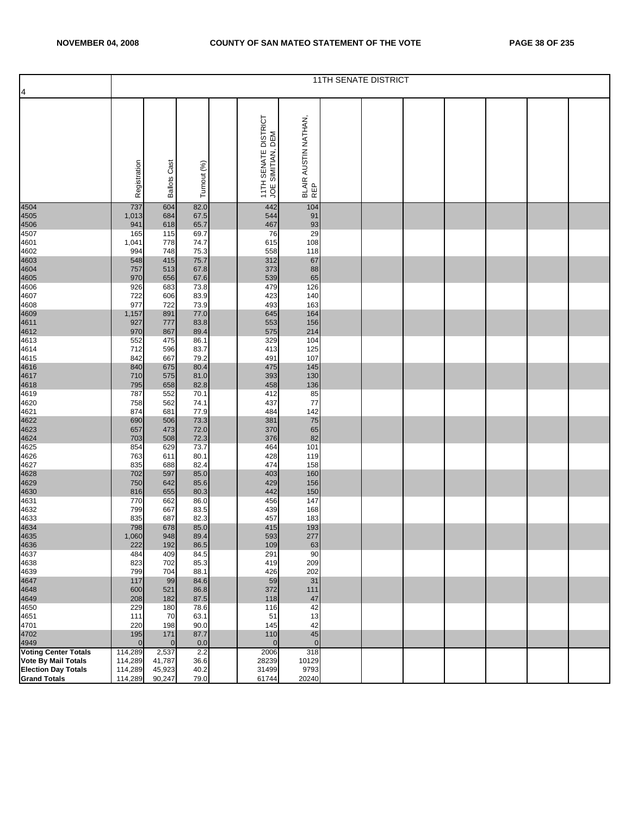|                             |                     |                     |              |                                           |                             | <b>11TH SENATE DISTRICT</b> |  |  |  |
|-----------------------------|---------------------|---------------------|--------------|-------------------------------------------|-----------------------------|-----------------------------|--|--|--|
| 4                           |                     |                     |              |                                           |                             |                             |  |  |  |
|                             | Registration        | <b>Ballots Cast</b> | Turnout (%)  | 11TH SENATE DISTRICT<br>JOE SIMITIAN, DEM | BLAIR AUSTIN NATHAN,<br>REP |                             |  |  |  |
| 4504                        | 737                 | 604                 | 82.0         | 442                                       | 104                         |                             |  |  |  |
| 4505                        | 1,013               | 684                 | 67.5         | 544                                       | 91                          |                             |  |  |  |
| 4506<br>4507                | 941<br>165          | 618<br>115          | 65.7<br>69.7 | 467<br>76                                 | 93<br>29                    |                             |  |  |  |
| 4601                        | 1,041               | 778                 | 74.7         | 615                                       | 108                         |                             |  |  |  |
| 4602                        | 994                 | 748                 | 75.3         | 558                                       | 118                         |                             |  |  |  |
| 4603<br>4604                | 548<br>757          | 415<br>513          | 75.7<br>67.8 | 312<br>373                                | 67<br>88                    |                             |  |  |  |
| 4605                        | 970                 | 656                 | 67.6         | 539                                       | 65                          |                             |  |  |  |
| 4606                        | 926                 | 683                 | 73.8         | 479                                       | 126                         |                             |  |  |  |
| 4607                        | 722<br>977          | 606<br>722          | 83.9<br>73.9 | 423<br>493                                | 140<br>163                  |                             |  |  |  |
| 4608<br>4609                | 1,157               | 891                 | 77.0         | 645                                       | 164                         |                             |  |  |  |
| 4611                        | 927                 | 777                 | 83.8         | 553                                       | 156                         |                             |  |  |  |
| 4612                        | 970                 | 867                 | 89.4         | 575                                       | 214                         |                             |  |  |  |
| 4613<br>4614                | 552<br>712          | 475<br>596          | 86.1<br>83.7 | 329<br>413                                | 104<br>125                  |                             |  |  |  |
| 4615                        | 842                 | 667                 | 79.2         | 491                                       | 107                         |                             |  |  |  |
| 4616                        | 840                 | 675                 | 80.4         | 475                                       | 145                         |                             |  |  |  |
| 4617                        | 710                 | 575                 | 81.0         | 393                                       | 130                         |                             |  |  |  |
| 4618<br>4619                | 795<br>787          | 658<br>552          | 82.8<br>70.1 | 458<br>412                                | 136<br>85                   |                             |  |  |  |
| 4620                        | 758                 | 562                 | 74.1         | 437                                       | 77                          |                             |  |  |  |
| 4621                        | 874                 | 681                 | 77.9         | 484                                       | 142                         |                             |  |  |  |
| 4622<br>4623                | 690<br>657          | 506<br>473          | 73.3<br>72.0 | 381<br>370                                | 75<br>65                    |                             |  |  |  |
| 4624                        | 703                 | 508                 | 72.3         | 376                                       | 82                          |                             |  |  |  |
| 4625                        | 854                 | 629                 | 73.7         | 464                                       | 101                         |                             |  |  |  |
| 4626                        | 763                 | 611                 | 80.1         | 428                                       | 119                         |                             |  |  |  |
| 4627<br>4628                | 835<br>702          | 688<br>597          | 82.4<br>85.0 | 474<br>403                                | 158<br>160                  |                             |  |  |  |
| 4629                        | 750                 | 642                 | 85.6         | 429                                       | 156                         |                             |  |  |  |
| 4630                        | 816                 | 655                 | 80.3         | 442                                       | 150                         |                             |  |  |  |
| 4631                        | 770                 | 662                 | 86.0         | 456                                       | 147                         |                             |  |  |  |
| 4632<br>4633                | 799<br>835          | 667<br>687          | 83.5<br>82.3 | 439<br>457                                | 168<br>183                  |                             |  |  |  |
| 4634                        | 798                 | 678                 | 85.0         | 415                                       | 193                         |                             |  |  |  |
| 4635                        | 1,060               | 948                 | 89.4         | 593                                       | 277                         |                             |  |  |  |
| 4636                        | 222                 | 192                 | 86.5         | 109                                       | 63                          |                             |  |  |  |
| 4637<br>4638                | 484<br>823          | 409<br>702          | 84.5<br>85.3 | 291<br>419                                | 90<br>209                   |                             |  |  |  |
| 4639                        | 799                 | 704                 | 88.1         | 426                                       | 202                         |                             |  |  |  |
| 4647                        | 117                 | 99                  | 84.6         | 59                                        | 31                          |                             |  |  |  |
| 4648<br>4649                | 600<br>208          | 521<br>182          | 86.8<br>87.5 | 372<br>118                                | 111<br>47                   |                             |  |  |  |
| 4650                        | 229                 | 180                 | 78.6         | 116                                       | 42                          |                             |  |  |  |
| 4651                        | 111                 | 70                  | 63.1         | 51                                        | 13                          |                             |  |  |  |
| 4701                        | 220                 | 198                 | 90.0         | 145                                       | 42                          |                             |  |  |  |
| 4702<br>4949                | 195<br>$\mathbf{0}$ | 171<br>$\mathbf{0}$ | 87.7<br>0.0  | 110<br>$\mathbf 0$                        | 45<br>$\mathbf 0$           |                             |  |  |  |
| <b>Voting Center Totals</b> | 114,289             | 2,537               | 2.2          | 2006                                      | 318                         |                             |  |  |  |
| <b>Vote By Mail Totals</b>  | 114,289             | 41,787              | 36.6         | 28239                                     | 10129                       |                             |  |  |  |
| <b>Election Day Totals</b>  | 114,289             | 45,923              | 40.2         | 31499                                     | 9793                        |                             |  |  |  |
| <b>Grand Totals</b>         | 114,289             | 90,247              | 79.0         | 61744                                     | 20240                       |                             |  |  |  |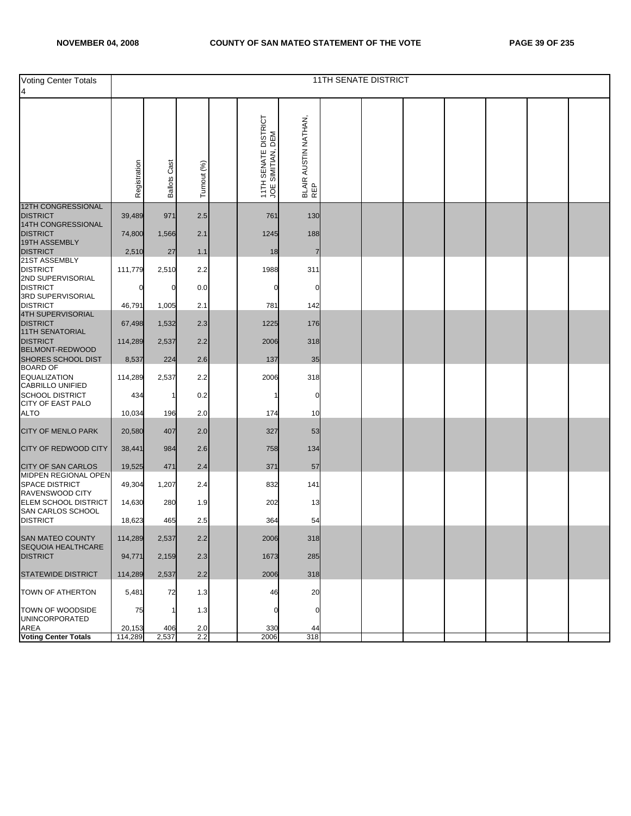| <b>Voting Center Totals</b><br>4                                 |              |                     |             |                                           |                             | <b>11TH SENATE DISTRICT</b> |  |  |  |
|------------------------------------------------------------------|--------------|---------------------|-------------|-------------------------------------------|-----------------------------|-----------------------------|--|--|--|
|                                                                  | Registration | <b>Ballots Cast</b> | Turnout (%) | 11TH SENATE DISTRICT<br>JOE SIMITIAN, DEM | BLAIR AUSTIN NATHAN,<br>REP |                             |  |  |  |
| <b>12TH CONGRESSIONAL</b>                                        |              |                     |             |                                           |                             |                             |  |  |  |
| <b>DISTRICT</b><br>14TH CONGRESSIONAL                            | 39,489       | 971                 | 2.5         | 761                                       | 130                         |                             |  |  |  |
| <b>DISTRICT</b><br>19TH ASSEMBLY                                 | 74,800       | 1,566               | 2.1         | 1245                                      | 188                         |                             |  |  |  |
| <b>DISTRICT</b>                                                  | 2,510        | 27                  | 1.1         | 18                                        | 7                           |                             |  |  |  |
| 21ST ASSEMBLY<br><b>DISTRICT</b><br>2ND SUPERVISORIAL            | 111,779      | 2,510               | 2.2         | 1988                                      | 311                         |                             |  |  |  |
| <b>DISTRICT</b><br>3RD SUPERVISORIAL                             | 0            | 0                   | 0.0         | 0                                         | 0                           |                             |  |  |  |
| <b>DISTRICT</b>                                                  | 46,791       | 1,005               | 2.1         | 781                                       | 142                         |                             |  |  |  |
| 4TH SUPERVISORIAL<br><b>DISTRICT</b>                             | 67,498       | 1,532               | 2.3         | 1225                                      | 176                         |                             |  |  |  |
| 11TH SENATORIAL<br><b>DISTRICT</b><br><b>BELMONT-REDWOOD</b>     | 114,289      | 2,537               | 2.2         | 2006                                      | 318                         |                             |  |  |  |
| SHORES SCHOOL DIST                                               | 8,537        | 224                 | 2.6         | 137                                       | 35                          |                             |  |  |  |
| <b>BOARD OF</b><br><b>EQUALIZATION</b>                           | 114,289      | 2,537               | 2.2         | 2006                                      | 318                         |                             |  |  |  |
| <b>CABRILLO UNIFIED</b><br><b>SCHOOL DISTRICT</b>                | 434          | 1                   | 0.2         |                                           | 0                           |                             |  |  |  |
| <b>CITY OF EAST PALO</b><br><b>ALTO</b>                          | 10,034       | 196                 | 2.0         | 174                                       | 10                          |                             |  |  |  |
| <b>CITY OF MENLO PARK</b>                                        | 20,580       | 407                 | 2.0         | 327                                       | 53                          |                             |  |  |  |
| <b>CITY OF REDWOOD CITY</b>                                      | 38,441       | 984                 | 2.6         | 758                                       | 134                         |                             |  |  |  |
| <b>CITY OF SAN CARLOS</b>                                        | 19,525       | 471                 | 2.4         | 371                                       | 57                          |                             |  |  |  |
| MIDPEN REGIONAL OPEN<br><b>SPACE DISTRICT</b><br>RAVENSWOOD CITY | 49,304       | 1,207               | 2.4         | 832                                       | 141                         |                             |  |  |  |
| ELEM SCHOOL DISTRICT<br>SAN CARLOS SCHOOL                        | 14,630       | 280                 | 1.9         | 202                                       | 13                          |                             |  |  |  |
| <b>DISTRICT</b>                                                  | 18,623       | 465                 | 2.5         | 364                                       | 54                          |                             |  |  |  |
| <b>SAN MATEO COUNTY</b><br><b>SEQUOIA HEALTHCARE</b>             | 114,289      | 2,537               | 2.2         | 2006                                      | 318                         |                             |  |  |  |
| <b>DISTRICT</b>                                                  | 94,771       | 2,159               | 2.3         | 1673                                      | 285                         |                             |  |  |  |
| <b>STATEWIDE DISTRICT</b>                                        | 114,289      | 2,537               | 2.2         | 2006                                      | 318                         |                             |  |  |  |
| TOWN OF ATHERTON                                                 | 5,481        | 72                  | 1.3         | 46                                        | 20                          |                             |  |  |  |
| TOWN OF WOODSIDE<br><b>UNINCORPORATED</b>                        | 75           |                     | 1.3         | 0                                         |                             |                             |  |  |  |
| AREA<br><b>Voting Center Totals</b>                              | 20,153       | 406                 | 2.0         | 330                                       | 44                          |                             |  |  |  |
|                                                                  | 114,289      | 2,537               | 2.2         | 2006                                      | 318                         |                             |  |  |  |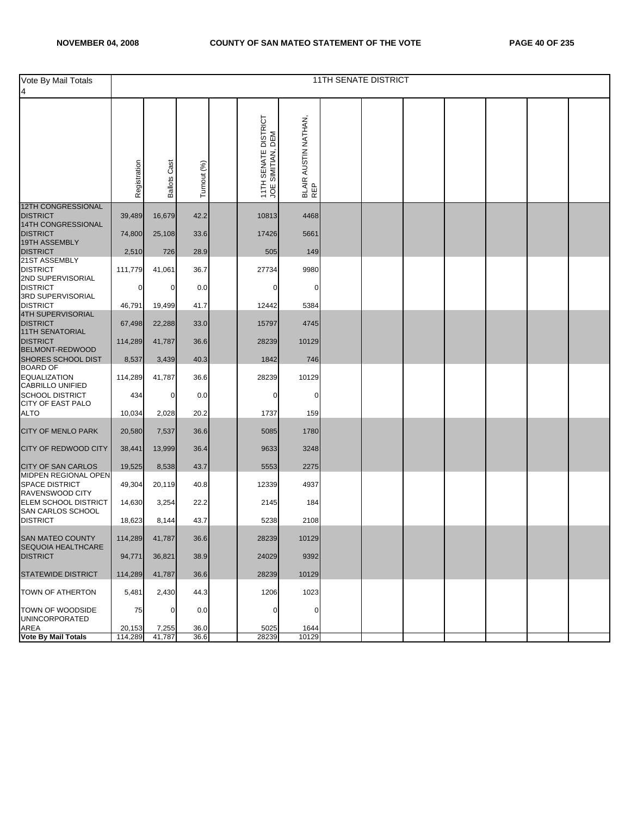| Vote By Mail Totals<br>4                                   |              |                     |             |                                           |                             | <b>11TH SENATE DISTRICT</b> |  |  |  |
|------------------------------------------------------------|--------------|---------------------|-------------|-------------------------------------------|-----------------------------|-----------------------------|--|--|--|
|                                                            | Registration | <b>Ballots Cast</b> | Turnout (%) | 11TH SENATE DISTRICT<br>JOE SIMITIAN, DEM | BLAIR AUSTIN NATHAN,<br>REP |                             |  |  |  |
| <b>12TH CONGRESSIONAL</b>                                  |              |                     |             |                                           |                             |                             |  |  |  |
| <b>DISTRICT</b>                                            | 39,489       | 16,679              | 42.2        | 10813                                     | 4468                        |                             |  |  |  |
| 14TH CONGRESSIONAL<br><b>DISTRICT</b>                      | 74,800       | 25,108              | 33.6        | 17426                                     | 5661                        |                             |  |  |  |
| 19TH ASSEMBLY                                              |              |                     |             |                                           |                             |                             |  |  |  |
| <b>DISTRICT</b><br>21ST ASSEMBLY                           | 2,510        | 726                 | 28.9        | 505                                       | 149                         |                             |  |  |  |
| <b>DISTRICT</b>                                            | 111,779      | 41,061              | 36.7        | 27734                                     | 9980                        |                             |  |  |  |
| 2ND SUPERVISORIAL                                          |              |                     |             |                                           |                             |                             |  |  |  |
| <b>DISTRICT</b>                                            | 0            | $\mathbf 0$         | 0.0         | $\Omega$                                  | 0                           |                             |  |  |  |
| 3RD SUPERVISORIAL<br><b>DISTRICT</b>                       | 46,791       | 19,499              | 41.7        | 12442                                     | 5384                        |                             |  |  |  |
| 4TH SUPERVISORIAL                                          |              |                     |             |                                           |                             |                             |  |  |  |
| <b>DISTRICT</b>                                            | 67,498       | 22,288              | 33.0        | 15797                                     | 4745                        |                             |  |  |  |
| 11TH SENATORIAL<br><b>DISTRICT</b>                         | 114,289      | 41,787              | 36.6        | 28239                                     | 10129                       |                             |  |  |  |
| <b>BELMONT-REDWOOD</b>                                     |              |                     |             |                                           |                             |                             |  |  |  |
| SHORES SCHOOL DIST                                         | 8,537        | 3,439               | 40.3        | 1842                                      | 746                         |                             |  |  |  |
| <b>BOARD OF</b><br><b>EQUALIZATION</b><br>CABRILLO UNIFIED | 114,289      | 41,787              | 36.6        | 28239                                     | 10129                       |                             |  |  |  |
| <b>SCHOOL DISTRICT</b>                                     | 434          | $\mathbf 0$         | 0.0         | $\mathbf 0$                               | 0                           |                             |  |  |  |
| <b>CITY OF EAST PALO</b>                                   |              |                     |             |                                           |                             |                             |  |  |  |
| <b>ALTO</b>                                                | 10,034       | 2,028               | 20.2        | 1737                                      | 159                         |                             |  |  |  |
| <b>CITY OF MENLO PARK</b>                                  | 20,580       | 7,537               | 36.6        | 5085                                      | 1780                        |                             |  |  |  |
| <b>CITY OF REDWOOD CITY</b>                                | 38,441       | 13,999              | 36.4        | 9633                                      | 3248                        |                             |  |  |  |
| <b>CITY OF SAN CARLOS</b><br>MIDPEN REGIONAL OPEN          | 19,525       | 8,538               | 43.7        | 5553                                      | 2275                        |                             |  |  |  |
| <b>SPACE DISTRICT</b><br>RAVENSWOOD CITY                   | 49,304       | 20,119              | 40.8        | 12339                                     | 4937                        |                             |  |  |  |
| ELEM SCHOOL DISTRICT                                       | 14,630       | 3,254               | 22.2        | 2145                                      | 184                         |                             |  |  |  |
| SAN CARLOS SCHOOL<br><b>DISTRICT</b>                       | 18,623       | 8,144               | 43.7        | 5238                                      | 2108                        |                             |  |  |  |
| <b>SAN MATEO COUNTY</b><br><b>SEQUOIA HEALTHCARE</b>       | 114,289      | 41,787              | 36.6        | 28239                                     | 10129                       |                             |  |  |  |
| <b>DISTRICT</b>                                            | 94,771       | 36,821              | 38.9        | 24029                                     | 9392                        |                             |  |  |  |
| <b>STATEWIDE DISTRICT</b>                                  | 114,289      | 41,787              | 36.6        | 28239                                     | 10129                       |                             |  |  |  |
| TOWN OF ATHERTON                                           | 5,481        | 2,430               | 44.3        | 1206                                      | 1023                        |                             |  |  |  |
| TOWN OF WOODSIDE<br><b>UNINCORPORATED</b>                  | 75           | $\mathbf 0$         | 0.0         | $\mathbf{0}$                              | 0                           |                             |  |  |  |
| AREA                                                       | 20,153       | 7,255               | 36.0        | 5025                                      | 1644                        |                             |  |  |  |
| <b>Vote By Mail Totals</b>                                 | 114,289      | 41,787              | 36.6        | 28239                                     | 10129                       |                             |  |  |  |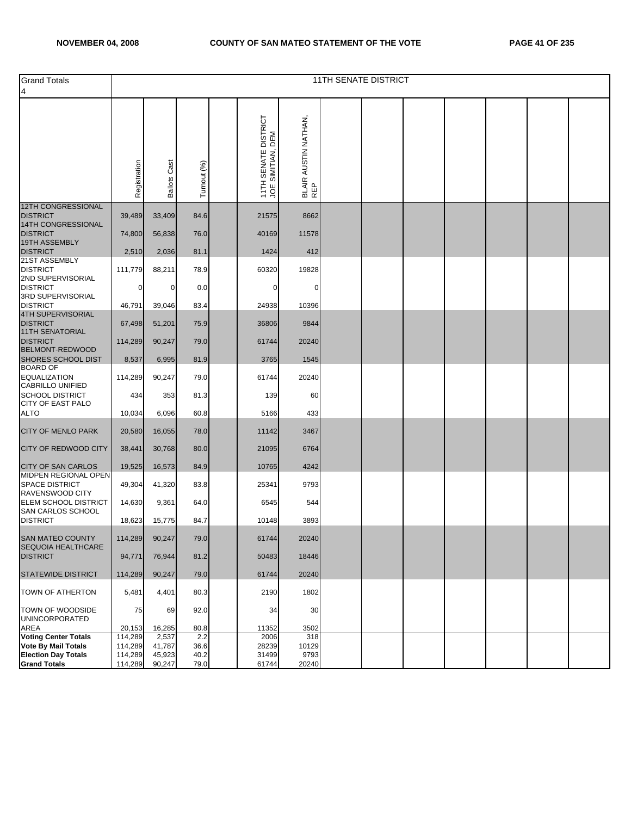| <b>Grand Totals</b><br>$\overline{\mathcal{A}}$                |              |                     |             |                                           |                             | <b>11TH SENATE DISTRICT</b> |  |  |  |
|----------------------------------------------------------------|--------------|---------------------|-------------|-------------------------------------------|-----------------------------|-----------------------------|--|--|--|
|                                                                | Registration | <b>Ballots Cast</b> | Turnout (%) | 11TH SENATE DISTRICT<br>JOE SIMITIAN, DEM | BLAIR AUSTIN NATHAN,<br>REP |                             |  |  |  |
| <b>12TH CONGRESSIONAL</b><br><b>DISTRICT</b>                   | 39,489       | 33,409              | 84.6        | 21575                                     | 8662                        |                             |  |  |  |
| 14TH CONGRESSIONAL<br><b>DISTRICT</b>                          | 74,800       | 56,838              | 76.0        | 40169                                     | 11578                       |                             |  |  |  |
| 19TH ASSEMBLY<br><b>DISTRICT</b>                               | 2,510        | 2,036               | 81.1        | 1424                                      | 412                         |                             |  |  |  |
| 21ST ASSEMBLY<br><b>DISTRICT</b>                               | 111,779      | 88,211              | 78.9        | 60320                                     | 19828                       |                             |  |  |  |
| 2ND SUPERVISORIAL<br><b>DISTRICT</b>                           | 0            | 0                   | 0.0         | 0                                         | 0                           |                             |  |  |  |
| 3RD SUPERVISORIAL<br><b>DISTRICT</b>                           | 46,791       | 39,046              | 83.4        | 24938                                     | 10396                       |                             |  |  |  |
| 4TH SUPERVISORIAL<br><b>DISTRICT</b><br><b>11TH SENATORIAL</b> | 67,498       | 51,201              | 75.9        | 36806                                     | 9844                        |                             |  |  |  |
| <b>DISTRICT</b><br>BELMONT-REDWOOD                             | 114,289      | 90,247              | 79.0        | 61744                                     | 20240                       |                             |  |  |  |
| SHORES SCHOOL DIST<br><b>BOARD OF</b>                          | 8,537        | 6,995               | 81.9        | 3765                                      | 1545                        |                             |  |  |  |
| <b>EQUALIZATION</b><br><b>CABRILLO UNIFIED</b>                 | 114,289      | 90,247              | 79.0        | 61744                                     | 20240                       |                             |  |  |  |
| <b>SCHOOL DISTRICT</b><br><b>CITY OF EAST PALO</b>             | 434          | 353                 | 81.3        | 139                                       | 60                          |                             |  |  |  |
| <b>ALTO</b>                                                    | 10,034       | 6,096               | 60.8        | 5166                                      | 433                         |                             |  |  |  |
| <b>CITY OF MENLO PARK</b>                                      | 20,580       | 16,055              | 78.0        | 11142                                     | 3467                        |                             |  |  |  |
| CITY OF REDWOOD CITY                                           | 38,441       | 30,768              | 80.0        | 21095                                     | 6764                        |                             |  |  |  |
| <b>CITY OF SAN CARLOS</b><br><b>MIDPEN REGIONAL OPEN</b>       | 19,525       | 16,573              | 84.9        | 10765                                     | 4242                        |                             |  |  |  |
| <b>SPACE DISTRICT</b><br>RAVENSWOOD CITY                       | 49,304       | 41,320              | 83.8        | 25341                                     | 9793                        |                             |  |  |  |
| ELEM SCHOOL DISTRICT<br>SAN CARLOS SCHOOL                      | 14,630       | 9,361               | 64.0        | 6545                                      | 544                         |                             |  |  |  |
| <b>DISTRICT</b>                                                | 18,623       | 15,775              | 84.7        | 10148                                     | 3893                        |                             |  |  |  |
| SAN MATEO COUNTY<br>SEQUOIA HEALTHCARE                         | 114,289      | 90,247              | 79.0        | 61744                                     | 20240                       |                             |  |  |  |
| <b>DISTRICT</b>                                                | 94,771       | 76,944              | 81.2        | 50483                                     | 18446                       |                             |  |  |  |
| <b>STATEWIDE DISTRICT</b>                                      | 114,289      | 90,247              | 79.0        | 61744                                     | 20240                       |                             |  |  |  |
| TOWN OF ATHERTON                                               | 5,481        | 4,401               | 80.3        | 2190                                      | 1802                        |                             |  |  |  |
| TOWN OF WOODSIDE<br><b>UNINCORPORATED</b>                      | 75           | 69                  | 92.0        | 34                                        | 30                          |                             |  |  |  |
| <b>AREA</b>                                                    | 20,153       | 16,285              | 80.8        | 11352                                     | 3502                        |                             |  |  |  |
| <b>Voting Center Totals</b>                                    | 114,289      | 2,537               | 2.2         | 2006                                      | 318                         |                             |  |  |  |
| <b>Vote By Mail Totals</b>                                     | 114,289      | 41,787              | 36.6        | 28239                                     | 10129                       |                             |  |  |  |
| <b>Election Day Totals</b>                                     | 114,289      | 45,923              | 40.2        | 31499                                     | 9793                        |                             |  |  |  |
| <b>Grand Totals</b>                                            | 114,289      | 90,247              | 79.0        | 61744                                     | 20240                       |                             |  |  |  |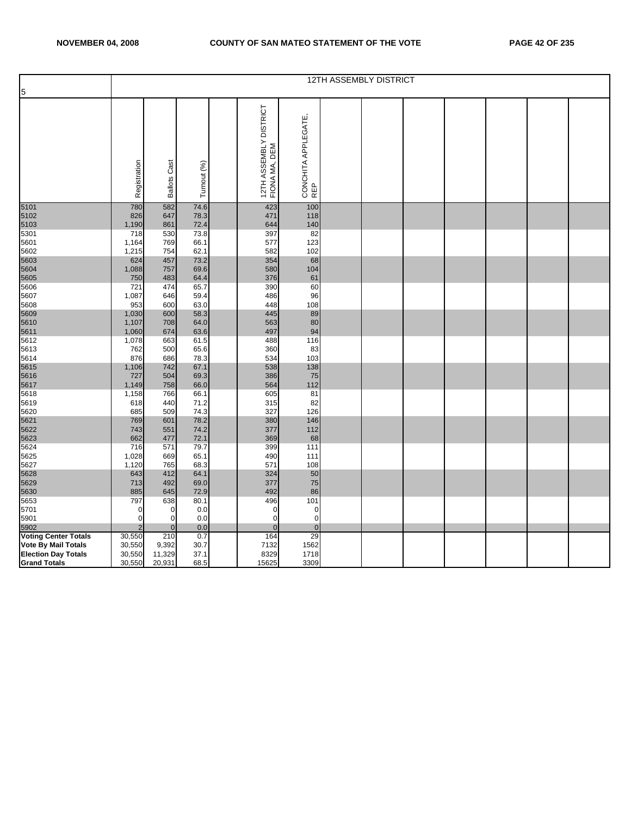| 5                           |                |                     |              |                                         |                            | 12TH ASSEMBLY DISTRICT |  |  |  |
|-----------------------------|----------------|---------------------|--------------|-----------------------------------------|----------------------------|------------------------|--|--|--|
|                             | Registration   | <b>Ballots Cast</b> | Turnout (%)  | 12TH ASSEMBLY DISTRICT<br>FIONA MA, DEM | CONCHITA APPLEGATE,<br>REP |                        |  |  |  |
| 5101<br>5102                | 780<br>826     | 582<br>647          | 74.6<br>78.3 | 423<br>471                              | 100<br>118                 |                        |  |  |  |
| 5103                        | 1,190          | 861                 | 72.4         | 644                                     | 140                        |                        |  |  |  |
| 5301                        | 718            | 530                 | 73.8         | 397                                     | 82                         |                        |  |  |  |
| 5601                        | 1,164          | 769                 | 66.1         | 577                                     | 123                        |                        |  |  |  |
| 5602                        | 1,215          | 754                 | 62.1         | 582                                     | 102                        |                        |  |  |  |
| 5603                        | 624            | 457                 | 73.2         | 354                                     | 68                         |                        |  |  |  |
| 5604                        | 1,088          | 757                 | 69.6         | 580                                     | 104                        |                        |  |  |  |
| 5605<br>5606                | 750<br>721     | 483<br>474          | 64.4<br>65.7 | 376<br>390                              | 61<br>60                   |                        |  |  |  |
| 5607                        | 1,087          | 646                 | 59.4         | 486                                     | 96                         |                        |  |  |  |
| 5608                        | 953            | 600                 | 63.0         | 448                                     | 108                        |                        |  |  |  |
| 5609                        | 1,030          | 600                 | 58.3         | 445                                     | 89                         |                        |  |  |  |
| 5610                        | 1,107          | 708                 | 64.0         | 563                                     | 80                         |                        |  |  |  |
| 5611                        | 1,060          | 674                 | 63.6         | 497                                     | 94                         |                        |  |  |  |
| 5612                        | 1,078          | 663                 | 61.5         | 488                                     | 116                        |                        |  |  |  |
| 5613                        | 762            | 500                 | 65.6         | 360                                     | 83                         |                        |  |  |  |
| 5614                        | 876            | 686                 | 78.3         | 534                                     | 103                        |                        |  |  |  |
| 5615                        | 1,106          | 742                 | 67.1         | 538                                     | 138                        |                        |  |  |  |
| 5616                        | 727            | 504                 | 69.3         | 386<br>564                              | 75<br>112                  |                        |  |  |  |
| 5617<br>5618                | 1,149<br>1,158 | 758<br>766          | 66.0<br>66.1 | 605                                     | 81                         |                        |  |  |  |
| 5619                        | 618            | 440                 | 71.2         | 315                                     | 82                         |                        |  |  |  |
| 5620                        | 685            | 509                 | 74.3         | 327                                     | 126                        |                        |  |  |  |
| 5621                        | 769            | 601                 | 78.2         | 380                                     | 146                        |                        |  |  |  |
| 5622                        | 743            | 551                 | 74.2         | 377                                     | 112                        |                        |  |  |  |
| 5623                        | 662            | 477                 | 72.1         | 369                                     | 68                         |                        |  |  |  |
| 5624                        | 716            | 571                 | 79.7         | 399                                     | 111                        |                        |  |  |  |
| 5625                        | 1,028          | 669                 | 65.1         | 490                                     | 111                        |                        |  |  |  |
| 5627<br>5628                | 1,120<br>643   | 765<br>412          | 68.3         | 571<br>324                              | 108<br>50                  |                        |  |  |  |
| 5629                        | 713            | 492                 | 64.1<br>69.0 | 377                                     | 75                         |                        |  |  |  |
| 5630                        | 885            | 645                 | 72.9         | 492                                     | 86                         |                        |  |  |  |
| 5653                        | 797            | 638                 | 80.1         | 496                                     | 101                        |                        |  |  |  |
| 5701                        | 0              | 0                   | 0.0          | 0                                       | $\pmb{0}$                  |                        |  |  |  |
| 5901                        | $\mathbf 0$    | $\overline{0}$      | 0.0          | $\mathbf 0$                             | $\overline{0}$             |                        |  |  |  |
| 5902                        | 2              | $\mathbf{0}$        | 0.0          | $\mathbf{0}$                            | $\mathbf 0$                |                        |  |  |  |
| <b>Voting Center Totals</b> | 30,550         | 210                 | 0.7          | 164                                     | 29                         |                        |  |  |  |
| Vote By Mail Totals         | 30,550         | 9,392               | 30.7         | 7132                                    | 1562                       |                        |  |  |  |
| <b>Election Day Totals</b>  | 30,550         | 11,329              | 37.1         | 8329                                    | 1718                       |                        |  |  |  |
| <b>Grand Totals</b>         | 30,550         | 20,931              | 68.5         | 15625                                   | 3309                       |                        |  |  |  |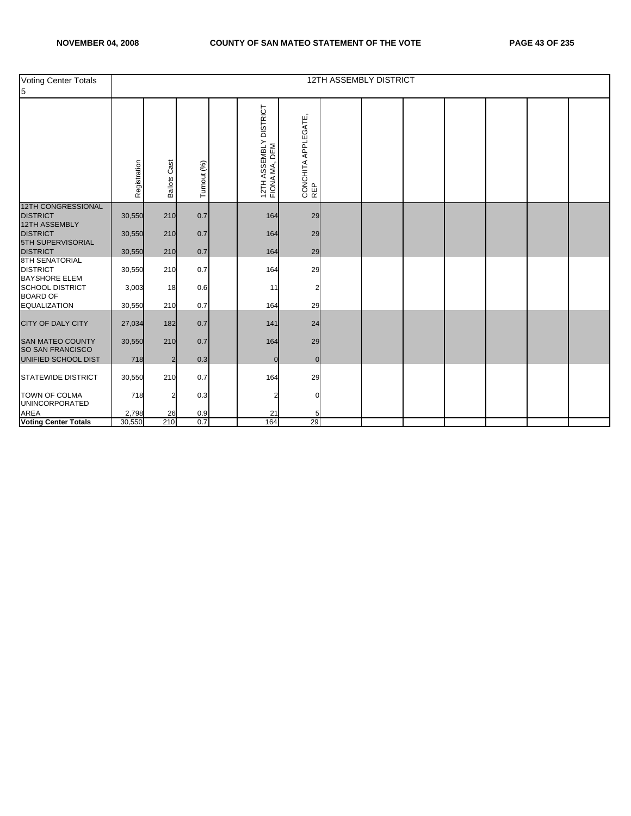| Voting Center Totals<br>5                                            |                  |                 |             |                                         |                            | <b>12TH ASSEMBLY DISTRICT</b> |  |  |  |
|----------------------------------------------------------------------|------------------|-----------------|-------------|-----------------------------------------|----------------------------|-------------------------------|--|--|--|
|                                                                      | Registration     | Cast<br>Ballots | Turnout (%) | 12TH ASSEMBLY DISTRICT<br>FIONA MA, DEM | CONCHITA APPLEGATE,<br>REP |                               |  |  |  |
| <b>12TH CONGRESSIONAL</b><br><b>DISTRICT</b><br><b>12TH ASSEMBLY</b> | 30,550           | 210             | 0.7         | 164                                     | 29                         |                               |  |  |  |
| <b>DISTRICT</b><br>5TH SUPERVISORIAL<br><b>DISTRICT</b>              | 30,550<br>30,550 | 210<br>210      | 0.7<br>0.7  | 164<br>164                              | 29<br>29                   |                               |  |  |  |
| <b>8TH SENATORIAL</b><br><b>DISTRICT</b><br><b>BAYSHORE ELEM</b>     | 30,550           | 210             | 0.7         | 164                                     | 29                         |                               |  |  |  |
| <b>SCHOOL DISTRICT</b><br><b>BOARD OF</b>                            | 3,003            | 18              | 0.6         | 11                                      | 2                          |                               |  |  |  |
| <b>EQUALIZATION</b>                                                  | 30,550           | 210             | 0.7         | 164                                     | 29                         |                               |  |  |  |
| CITY OF DALY CITY                                                    | 27,034           | 182             | 0.7         | 141                                     | 24                         |                               |  |  |  |
| <b>SAN MATEO COUNTY</b><br><b>SO SAN FRANCISCO</b>                   | 30,550           | 210             | 0.7         | 164                                     | 29                         |                               |  |  |  |
| UNIFIED SCHOOL DIST                                                  | 718              | $\overline{a}$  | 0.3         | $\overline{0}$                          | $\overline{0}$             |                               |  |  |  |
| <b>STATEWIDE DISTRICT</b>                                            | 30,550           | 210             | 0.7         | 164                                     | 29                         |                               |  |  |  |
| <b>TOWN OF COLMA</b><br><b>UNINCORPORATED</b>                        | 718              | 2               | 0.3         | 2                                       | O                          |                               |  |  |  |
| <b>AREA</b><br>Voting Center Totals                                  | 2,798            | 26              | 0.9         | 21                                      |                            |                               |  |  |  |
|                                                                      | 30,550           | 210             | 0.7         | 164                                     | 29                         |                               |  |  |  |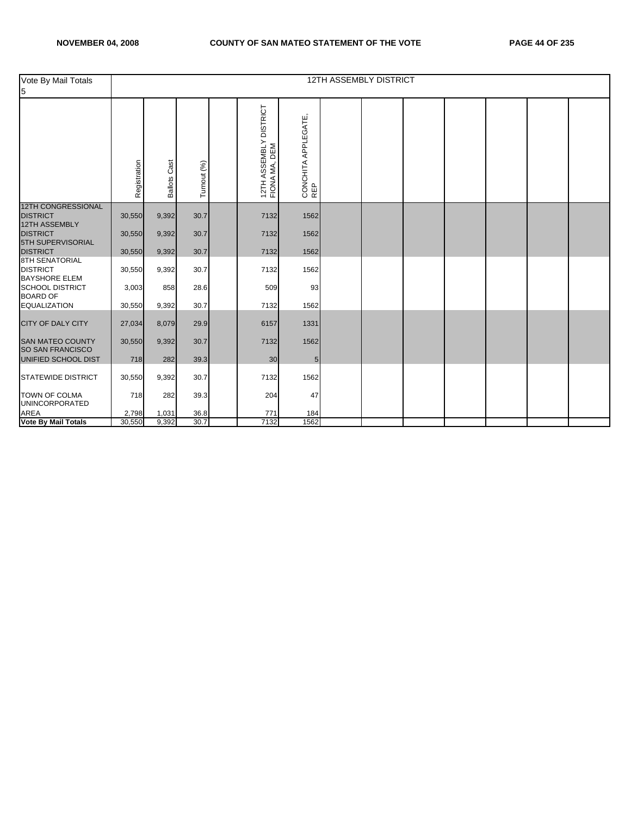| Vote By Mail Totals<br>5                                         |              |                     |             |                                         |                            | <b>12TH ASSEMBLY DISTRICT</b> |  |  |  |
|------------------------------------------------------------------|--------------|---------------------|-------------|-----------------------------------------|----------------------------|-------------------------------|--|--|--|
|                                                                  | Registration | <b>Ballots Cast</b> | Turnout (%) | 12TH ASSEMBLY DISTRICT<br>FIONA MA, DEM | CONCHITA APPLEGATE,<br>REP |                               |  |  |  |
| <b>12TH CONGRESSIONAL</b><br><b>DISTRICT</b>                     | 30,550       | 9,392               | 30.7        | 7132                                    | 1562                       |                               |  |  |  |
| 12TH ASSEMBLY                                                    |              |                     |             |                                         |                            |                               |  |  |  |
| <b>DISTRICT</b><br>5TH SUPERVISORIAL                             | 30,550       | 9,392               | 30.7        | 7132                                    | 1562                       |                               |  |  |  |
| <b>DISTRICT</b>                                                  | 30,550       | 9,392               | 30.7        | 7132                                    | 1562                       |                               |  |  |  |
| <b>8TH SENATORIAL</b><br><b>DISTRICT</b><br><b>BAYSHORE ELEM</b> | 30,550       | 9,392               | 30.7        | 7132                                    | 1562                       |                               |  |  |  |
| <b>SCHOOL DISTRICT</b><br><b>BOARD OF</b>                        | 3,003        | 858                 | 28.6        | 509                                     | 93                         |                               |  |  |  |
| <b>EQUALIZATION</b>                                              | 30,550       | 9,392               | 30.7        | 7132                                    | 1562                       |                               |  |  |  |
| <b>CITY OF DALY CITY</b>                                         | 27,034       | 8,079               | 29.9        | 6157                                    | 1331                       |                               |  |  |  |
| <b>SAN MATEO COUNTY</b><br><b>SO SAN FRANCISCO</b>               | 30,550       | 9,392               | 30.7        | 7132                                    | 1562                       |                               |  |  |  |
| UNIFIED SCHOOL DIST                                              | 718          | 282                 | 39.3        | 30                                      | $5\phantom{.0}$            |                               |  |  |  |
| <b>STATEWIDE DISTRICT</b>                                        | 30,550       | 9,392               | 30.7        | 7132                                    | 1562                       |                               |  |  |  |
| <b>TOWN OF COLMA</b><br><b>UNINCORPORATED</b>                    | 718          | 282                 | 39.3        | 204                                     | 47                         |                               |  |  |  |
| <b>AREA</b>                                                      | 2,798        | 1,031               | 36.8        | 771                                     | 184                        |                               |  |  |  |
| <b>Vote By Mail Totals</b>                                       | 30,550       | 9,392               | 30.7        | 7132                                    | 1562                       |                               |  |  |  |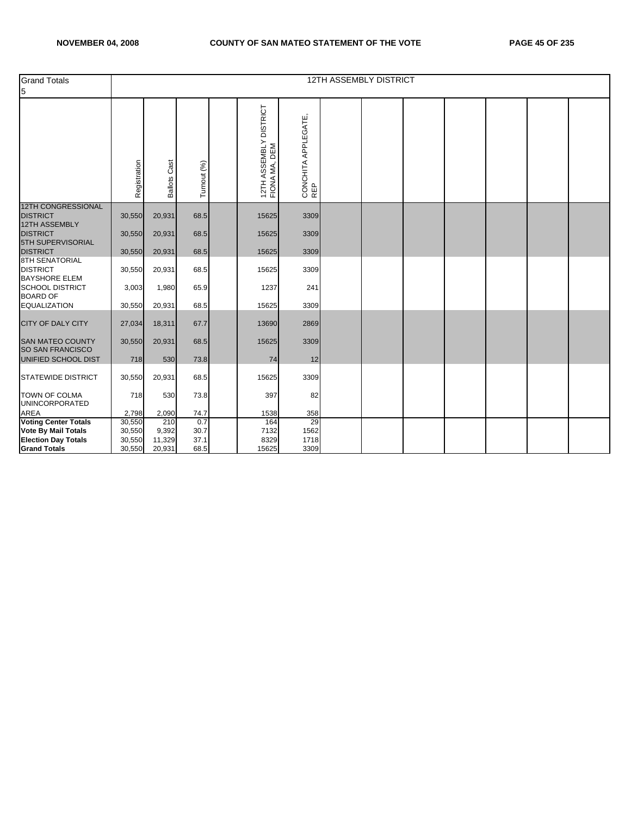| <b>Grand Totals</b><br>5                                         |                  |                     |              |                                         |                            | <b>12TH ASSEMBLY DISTRICT</b> |  |  |  |
|------------------------------------------------------------------|------------------|---------------------|--------------|-----------------------------------------|----------------------------|-------------------------------|--|--|--|
|                                                                  | Registration     | <b>Ballots Cast</b> | Turnout (%)  | 12TH ASSEMBLY DISTRICT<br>FIONA MA, DEM | CONCHITA APPLEGATE,<br>REP |                               |  |  |  |
| <b>12TH CONGRESSIONAL</b><br><b>DISTRICT</b><br>12TH ASSEMBLY    | 30,550           | 20,931              | 68.5         | 15625                                   | 3309                       |                               |  |  |  |
| <b>DISTRICT</b><br>5TH SUPERVISORIAL                             | 30,550           | 20,931              | 68.5         | 15625                                   | 3309                       |                               |  |  |  |
| <b>DISTRICT</b>                                                  | 30,550           | 20,931              | 68.5         | 15625                                   | 3309                       |                               |  |  |  |
| <b>8TH SENATORIAL</b><br><b>DISTRICT</b><br><b>BAYSHORE ELEM</b> | 30,550           | 20,931              | 68.5         | 15625                                   | 3309                       |                               |  |  |  |
| SCHOOL DISTRICT<br><b>BOARD OF</b>                               | 3,003            | 1,980               | 65.9         | 1237                                    | 241                        |                               |  |  |  |
| <b>EQUALIZATION</b>                                              | 30,550           | 20,931              | 68.5         | 15625                                   | 3309                       |                               |  |  |  |
| <b>CITY OF DALY CITY</b>                                         | 27,034           | 18,311              | 67.7         | 13690                                   | 2869                       |                               |  |  |  |
| <b>SAN MATEO COUNTY</b><br>SO SAN FRANCISCO                      | 30,550           | 20,931              | 68.5         | 15625                                   | 3309                       |                               |  |  |  |
| UNIFIED SCHOOL DIST                                              | 718              | 530                 | 73.8         | 74                                      | 12                         |                               |  |  |  |
| <b>STATEWIDE DISTRICT</b>                                        | 30,550           | 20,931              | 68.5         | 15625                                   | 3309                       |                               |  |  |  |
| TOWN OF COLMA<br><b>UNINCORPORATED</b>                           | 718              | 530                 | 73.8         | 397                                     | 82                         |                               |  |  |  |
| <b>AREA</b>                                                      | 2,798            | 2,090               | 74.7         | 1538                                    | 358                        |                               |  |  |  |
| <b>Voting Center Totals</b>                                      | 30,550           | 210                 | 0.7          | 164                                     | 29                         |                               |  |  |  |
| <b>Vote By Mail Totals</b><br><b>Election Day Totals</b>         | 30,550<br>30,550 | 9,392<br>11,329     | 30.7<br>37.1 | 7132<br>8329                            | 1562<br>1718               |                               |  |  |  |
| <b>Grand Totals</b>                                              | 30,550           | 20,931              | 68.5         | 15625                                   | 3309                       |                               |  |  |  |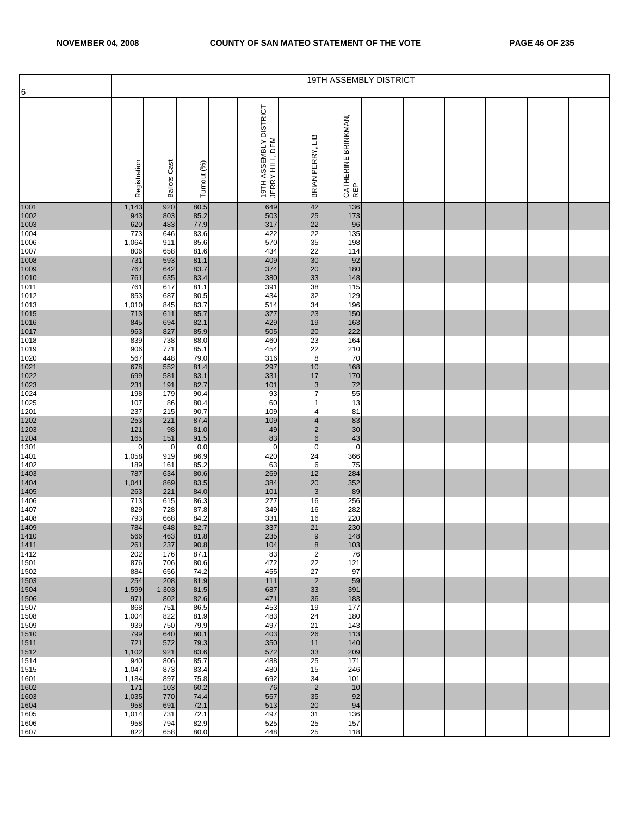|                      |                |                     |              |                                           |                                | <b>19TH ASSEMBLY DISTRICT</b> |  |  |  |
|----------------------|----------------|---------------------|--------------|-------------------------------------------|--------------------------------|-------------------------------|--|--|--|
| 6                    |                |                     |              |                                           |                                |                               |  |  |  |
|                      | Registration   | <b>Ballots Cast</b> | Turnout (%)  | 19TH ASSEMBLY DISTRICT<br>JERRY HILL, DEM | £⊔<br>BRIAN PERRY,             | CATHERINE BRINKMAN,<br>REP    |  |  |  |
| 1001                 | 1,143          | 920                 | 80.5         | 649                                       | 42                             | 136                           |  |  |  |
| 1002                 | 943            | 803                 | 85.2         | 503                                       | 25                             | 173                           |  |  |  |
| 1003                 | 620            | 483                 | 77.9         | 317                                       | 22                             | 96                            |  |  |  |
| 1004<br>1006         | 773<br>1,064   | 646<br>911          | 83.6<br>85.6 | 422<br>570                                | 22<br>35                       | 135<br>198                    |  |  |  |
| 1007                 | 806            | 658                 | 81.6         | 434                                       | 22                             | 114                           |  |  |  |
| 1008                 | 731            | 593                 | 81.1         | 409                                       | 30                             | 92                            |  |  |  |
|                      | 767            | 642                 | 83.7         | 374                                       | 20                             | 180                           |  |  |  |
| 1009<br>1010<br>1011 | 761<br>761     | 635<br>617          | 83.4<br>81.1 | 380<br>391                                | 33<br>38                       | 148<br>115                    |  |  |  |
| 1012                 | 853            | 687                 | 80.5         | 434                                       | 32                             | 129                           |  |  |  |
| 1013                 | 1,010          | 845                 | 83.7         | 514                                       | 34                             | 196                           |  |  |  |
| 1015<br>1016         | 713            | 611                 | 85.7         | 377<br>429                                | 23<br>19                       | 150                           |  |  |  |
| 1017                 | 845<br>963     | 694<br>827          | 82.1<br>85.9 | 505                                       | 20                             | 163<br>222                    |  |  |  |
| 1018                 | 839            | 738                 | 88.0         | 460                                       | 23                             | 164                           |  |  |  |
| 1019                 | 906            | 771                 | 85.1         | 454                                       | 22                             | 210                           |  |  |  |
| 1020<br>1021         | 567<br>678     | 448<br>552          | 79.0<br>81.4 | 316<br>297                                | 8<br>10                        | 70<br>168                     |  |  |  |
| 1022                 | 699            | 581                 | 83.1         | 331                                       | 17                             | 170                           |  |  |  |
| 1023                 | 231            | 191                 | 82.7         | 101                                       | 3                              | 72                            |  |  |  |
| 1024<br>1025         | 198            | 179                 | 90.4         | 93<br>60                                  | $\overline{7}$<br>$\mathbf{1}$ | 55                            |  |  |  |
| 1201                 | 107<br>237     | 86<br>215           | 80.4<br>90.7 | 109                                       | 4                              | 13<br>81                      |  |  |  |
| 1202                 | 253            | 221                 | 87.4         | 109                                       | $\overline{\mathbf{4}}$        | 83                            |  |  |  |
| 1203                 | 121            | 98                  | 81.0         | 49                                        | $\overline{\mathbf{c}}$        | 30                            |  |  |  |
| 1204<br>1301         | 165<br>0       | 151<br>0            | 91.5<br>0.0  | 83<br>0                                   | $\mathbf 6$<br>$\mathbf 0$     | 43<br>$\mathbf 0$             |  |  |  |
| 1401                 | 1,058          | 919                 | 86.9         | 420                                       | 24                             | 366                           |  |  |  |
| 1402                 | 189            | 161                 | 85.2         | 63                                        | 6                              | 75                            |  |  |  |
| 1403<br>1404         | 787<br>1,041   | 634<br>869          | 80.6<br>83.5 | 269<br>384                                | 12<br>20                       | 284<br>352                    |  |  |  |
| 1405                 | 263            | 221                 | 84.0         | 101                                       | $\mathbf{3}$                   | 89                            |  |  |  |
| 1406                 | 713            | 615                 | 86.3         | 277                                       | 16                             | 256                           |  |  |  |
| 1407                 | 829            | 728                 | 87.8         | 349                                       | 16                             | 282                           |  |  |  |
| 1408                 | 793<br>784     | 668<br>648          | 84.2<br>82.7 | 331<br>337                                | 16<br>21                       | 220<br>230                    |  |  |  |
| 1409<br>1410<br>1411 | 566            | 463                 | 81.8         | 235                                       | 9                              | 148                           |  |  |  |
|                      | 261            | 237                 | 90.8         | 104                                       | 8                              | 103                           |  |  |  |
| 1412<br>1501         | 202<br>876     | 176<br>706          | 87.1<br>80.6 | 83<br>472                                 | $\overline{2}$<br>22           | 76<br>121                     |  |  |  |
| 1502                 | 884            | 656                 | 74.2         | 455                                       | 27                             | 97                            |  |  |  |
| 1503                 | 254            | 208                 | 81.9         | 111                                       | $\overline{2}$                 | 59                            |  |  |  |
| 1504<br>1506         | 1,599<br>971   | 1,303<br>802        | 81.5<br>82.6 | 687<br>471                                | 33<br>36                       | 391<br>183                    |  |  |  |
| 1507                 | 868            | 751                 | 86.5         | 453                                       | 19                             | 177                           |  |  |  |
| 1508                 | 1,004          | 822                 | 81.9         | 483                                       | 24                             | 180                           |  |  |  |
| 1509                 | 939            | 750                 | 79.9         | 497                                       | 21                             | 143                           |  |  |  |
| 1510<br>1511<br>1512 | 799<br>721     | 640<br>572          | 80.1<br>79.3 | 403<br>350                                | 26<br>11                       | 113<br>140                    |  |  |  |
|                      | 1,102          | 921                 | 83.6         | 572                                       | 33                             | 209                           |  |  |  |
| 1514                 | 940            | 806                 | 85.7         | 488                                       | 25                             | 171                           |  |  |  |
| 1515<br>1601         | 1,047<br>1,184 | 873<br>897          | 83.4<br>75.8 | 480<br>692                                | 15<br>34                       | 246<br>101                    |  |  |  |
| 1602                 | 171            | 103                 | 60.2         | 76                                        | $\overline{2}$                 | 10                            |  |  |  |
| 1603                 | 1,035          | 770                 | 74.4         | 567                                       | 35                             | 92                            |  |  |  |
| 1604                 | 958            | 691                 | 72.1         | 513<br>497                                | 20                             | 94                            |  |  |  |
| 1605<br>1606         | 1,014<br>958   | 731<br>794          | 72.1<br>82.9 | 525                                       | 31<br>25                       | 136<br>157                    |  |  |  |
| 1607                 | 822            | 658                 | 80.0         | 448                                       | 25                             | 118                           |  |  |  |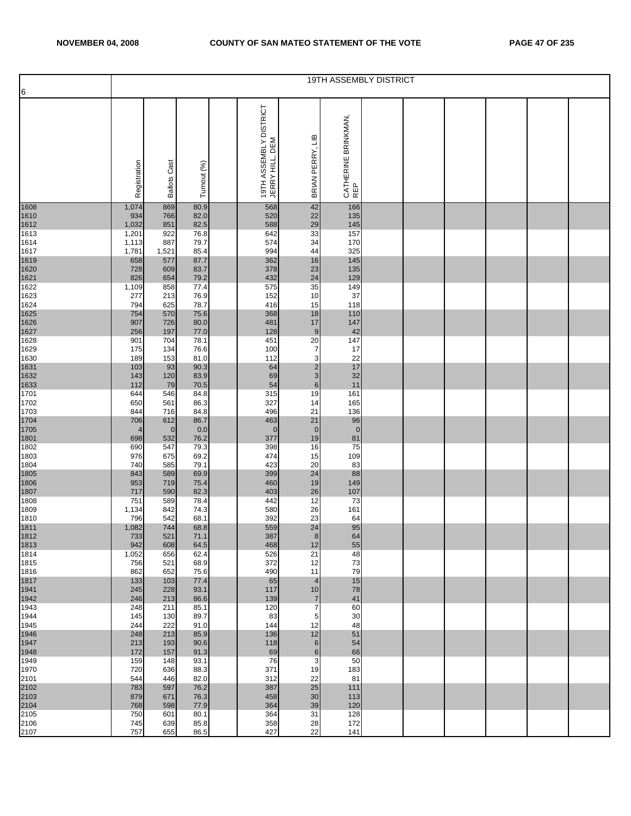|                      |                |                     |              |                                           |                                  | 19TH ASSEMBLY DISTRICT     |  |  |  |
|----------------------|----------------|---------------------|--------------|-------------------------------------------|----------------------------------|----------------------------|--|--|--|
| 6                    |                |                     |              |                                           |                                  |                            |  |  |  |
|                      | Registration   | <b>Ballots Cast</b> | Turnout (%)  | 19TH ASSEMBLY DISTRICT<br>JERRY HILL, DEM | BRIAN PERRY, LIB                 | CATHERINE BRINKMAN,<br>REP |  |  |  |
| 1608                 | 1,074          | 869                 | 80.9         | 568                                       | 42                               | 166                        |  |  |  |
| 1610<br>1612         | 934<br>1,032   | 766<br>851          | 82.0<br>82.5 | 520<br>588                                | 22<br>29                         | 135                        |  |  |  |
| 1613                 | 1,201          | 922                 | 76.8         | 642                                       | 33                               | 145<br>157                 |  |  |  |
| 1614                 | 1,113          | 887                 | 79.7         | 574                                       | 34                               | 170                        |  |  |  |
| 1617<br>1619         | 1,781<br>658   | 1,521<br>577        | 85.4<br>87.7 | 994<br>362                                | 44<br>16                         | 325<br>145                 |  |  |  |
| 1620                 | 728            | 609                 | 83.7         | 378                                       | 23                               | 135                        |  |  |  |
| 1621                 | 826            | 654                 | 79.2         | 432                                       | 24                               | 129                        |  |  |  |
| 1622<br>1623         | 1,109<br>277   | 858<br>213          | 77.4<br>76.9 | 575<br>152                                | 35<br>10                         | 149<br>37                  |  |  |  |
| 1624                 | 794            | 625                 | 78.7         | 416                                       | 15                               | 118                        |  |  |  |
| 1625<br>1626         | 754<br>907     | 570<br>726          | 75.6<br>80.0 | 368<br>481                                | 18<br>17                         | 110<br>147                 |  |  |  |
| 1627                 | 256            | 197                 | 77.0         | 128                                       | 9                                | 42                         |  |  |  |
| 1628                 | 901            | 704                 | 78.1         | 451                                       | 20                               | 147                        |  |  |  |
| 1629<br>1630         | 175<br>189     | 134<br>153          | 76.6<br>81.0 | 100<br>112                                | $\overline{7}$<br>3              | 17<br>22                   |  |  |  |
| 1631                 | 103            | 93                  | 90.3         | 64                                        | $\overline{\mathbf{c}}$          | 17                         |  |  |  |
| 1632<br>1633         | 143<br>112     | 120<br>79           | 83.9<br>70.5 | 69<br>54                                  | 3<br>$\,6$                       | 32                         |  |  |  |
| 1701                 | 644            | 546                 | 84.8         | 315                                       | 19                               | 11<br>161                  |  |  |  |
| 1702                 | 650            | 561                 | 86.3         | 327                                       | 14                               | 165                        |  |  |  |
| 1703<br>1704         | 844<br>706     | 716<br>612          | 84.8<br>86.7 | 496<br>463                                | 21<br>21                         | 136<br>96                  |  |  |  |
| 1705                 | $\overline{4}$ | $\overline{0}$      | 0.0          | $\mathbf 0$                               | $\mathbf 0$                      | $\overline{0}$             |  |  |  |
| 1801<br>1802         | 698            | 532                 | 76.2         | 377                                       | 19                               | 81                         |  |  |  |
| 1803                 | 690<br>976     | 547<br>675          | 79.3<br>69.2 | 398<br>474                                | 16<br>15                         | 75<br>109                  |  |  |  |
| 1804                 | 740            | 585                 | 79.1         | 423                                       | 20                               | 83                         |  |  |  |
| 1805<br>1806         | 843<br>953     | 589<br>719          | 69.9<br>75.4 | 399<br>460                                | 24<br>19                         | 88<br>149                  |  |  |  |
| 1807                 | 717            | 590                 | 82.3         | 403                                       | 26                               | 107                        |  |  |  |
| 1808                 | 751            | 589                 | 78.4         | 442                                       | 12                               | 73                         |  |  |  |
| 1809<br>1810         | 1,134<br>796   | 842<br>542          | 74.3<br>68.1 | 580<br>392                                | 26<br>23                         | 161<br>64                  |  |  |  |
|                      | 1,082          | 744                 | 68.8         | 559                                       | 24                               | 95                         |  |  |  |
| 1811<br>1812<br>1813 | 733<br>942     | 521<br>608          | 71.1<br>64.5 | 387<br>468                                | 8<br>12                          | 64<br>55                   |  |  |  |
| 1814                 | 1,052          | 656                 | 62.4         | 526                                       | 21                               | 48                         |  |  |  |
| 1815                 | 756            | 521                 | 68.9         | 372                                       | 12                               | 73                         |  |  |  |
| 1816<br>1817         | 862<br>133     | 652<br>103          | 75.6<br>77.4 | 490<br>65                                 | 11<br>$\overline{4}$             | 79<br>15                   |  |  |  |
| 1941                 | 245            | 228                 | 93.1         | 117                                       | 10                               | 78                         |  |  |  |
| 1942<br>1943         | 246<br>248     | 213<br>211          | 86.6<br>85.1 | 139<br>120                                | $\overline{7}$<br>$\overline{7}$ | 41<br>60                   |  |  |  |
| 1944                 | 145            | 130                 | 89.7         | 83                                        | 5                                | 30                         |  |  |  |
| 1945                 | 244            | 222                 | 91.0         | 144                                       | 12                               | 48                         |  |  |  |
| 1946<br>1947         | 248<br>213     | 213<br>193          | 85.9<br>90.6 | 136<br>118                                | 12<br>6                          | 51<br>54                   |  |  |  |
| 1948                 | 172            | 157                 | 91.3         | 69                                        | 6                                | 66                         |  |  |  |
| 1949<br>1970         | 159<br>720     | 148<br>636          | 93.1<br>88.3 | 76<br>371                                 | 3<br>19                          | 50<br>183                  |  |  |  |
| 2101                 | 544            | 446                 | 82.0         | 312                                       | 22                               | 81                         |  |  |  |
| 2102<br>2103<br>2104 | 783            | 597                 | 76.2         | 387                                       | 25                               | 111                        |  |  |  |
|                      | 879<br>768     | 671<br>598          | 76.3<br>77.9 | 458<br>364                                | 30<br>39                         | 113<br>120                 |  |  |  |
| 2105                 | 750            | 601                 | 80.1         | 364                                       | 31                               | 128                        |  |  |  |
| 2106<br>2107         | 745<br>757     | 639<br>655          | 85.8<br>86.5 | 358<br>427                                | 28<br>22                         | 172<br>141                 |  |  |  |
|                      |                |                     |              |                                           |                                  |                            |  |  |  |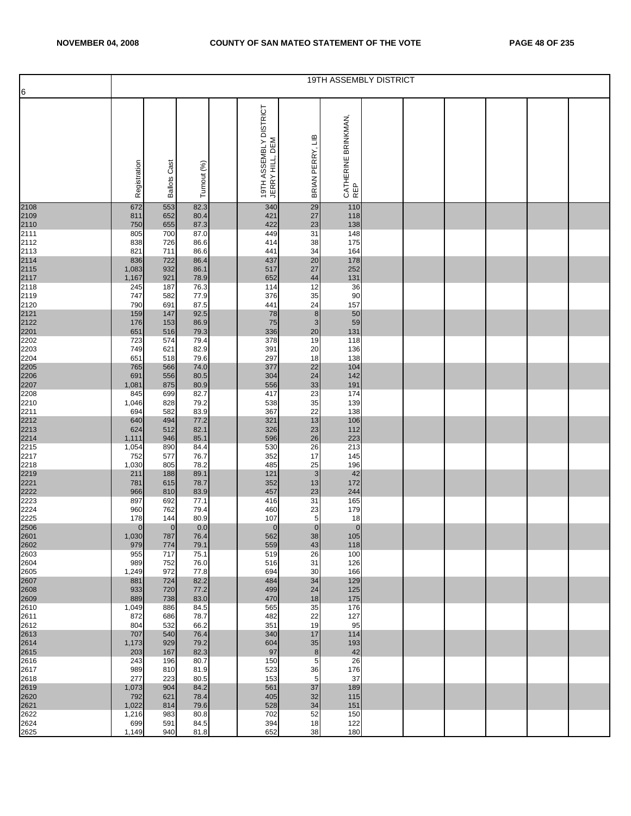|                                                                                      |              |                     |              |                                           |                             | <b>19TH ASSEMBLY DISTRICT</b> |  |  |  |
|--------------------------------------------------------------------------------------|--------------|---------------------|--------------|-------------------------------------------|-----------------------------|-------------------------------|--|--|--|
| 6                                                                                    |              |                     |              |                                           |                             |                               |  |  |  |
|                                                                                      | Registration | <b>Ballots Cast</b> | Turnout (%)  | 19TH ASSEMBLY DISTRICT<br>JERRY HILL, DEM | £<br>PERRY,<br><b>BRIAN</b> | CATHERINE BRINKMAN,<br>REP    |  |  |  |
|                                                                                      | 672          | 553                 | 82.3         | 340                                       | 29                          | 110                           |  |  |  |
| 2108<br>2109<br>2110<br>2111                                                         | 811          | 652                 | 80.4         | 421                                       | 27                          | 118                           |  |  |  |
|                                                                                      | 750          | 655                 | 87.3         | 422                                       | 23                          | 138                           |  |  |  |
|                                                                                      | 805          | 700                 | 87.0         | 449                                       | 31                          | 148                           |  |  |  |
|                                                                                      | 838<br>821   | 726<br>711          | 86.6<br>86.6 | 414<br>441                                | 38<br>34                    | 175<br>164                    |  |  |  |
|                                                                                      | 836          | 722                 | 86.4         | 437                                       | 20                          | 178                           |  |  |  |
|                                                                                      | 1,083        | 932                 | 86.1         | 517                                       | 27                          | 252                           |  |  |  |
|                                                                                      | 1,167        | 921                 | 78.9         | 652                                       | 44                          | 131                           |  |  |  |
| 2112<br>2113<br>2114<br>2115<br>2115<br>2117<br>2118<br>2120<br>2121<br>2201<br>2202 | 245          | 187                 | 76.3         | 114                                       | 12                          | 36                            |  |  |  |
|                                                                                      | 747<br>790   | 582<br>691          | 77.9<br>87.5 | 376<br>441                                | 35<br>24                    | 90<br>157                     |  |  |  |
|                                                                                      | 159          | 147                 | 92.5         | 78                                        | $\bf 8$                     | 50                            |  |  |  |
|                                                                                      | 176          | 153                 | 86.9         | 75                                        | $\mathsf 3$                 | 59                            |  |  |  |
|                                                                                      | 651          | 516                 | 79.3         | 336                                       | 20                          | 131                           |  |  |  |
|                                                                                      | 723          | 574                 | 79.4         | 378                                       | 19                          | 118                           |  |  |  |
| 2203<br>2204                                                                         | 749<br>651   | 621<br>518          | 82.9<br>79.6 | 391<br>297                                | 20<br>18                    | 136<br>138                    |  |  |  |
|                                                                                      | 765          | 566                 | 74.0         | 377                                       | 22                          | 104                           |  |  |  |
|                                                                                      | 691          | 556                 | 80.5         | 304                                       | 24                          | 142                           |  |  |  |
| 2205<br>2206<br>2207                                                                 | 1,081        | 875                 | 80.9         | 556                                       | 33                          | 191                           |  |  |  |
| 2208                                                                                 | 845          | 699<br>828          | 82.7         | 417<br>538                                | 23<br>35                    | 174<br>139                    |  |  |  |
| 2210                                                                                 | 1,046<br>694 | 582                 | 79.2<br>83.9 | 367                                       | 22                          | 138                           |  |  |  |
| $\begin{array}{r} 2211 \\ 2212 \\ 2213 \\ 2214 \\ 2215 \\ \vdots \end{array}$        | 640          | 494                 | 77.2         | 321                                       | 13                          | 106                           |  |  |  |
|                                                                                      | 624          | 512                 | 82.1         | 326                                       | 23                          | 112                           |  |  |  |
|                                                                                      | 1,111        | 946                 | 85.1         | 596                                       | 26                          | 223                           |  |  |  |
| 2217                                                                                 | 1,054<br>752 | 890<br>577          | 84.4<br>76.7 | 530<br>352                                | 26<br>17                    | 213<br>145                    |  |  |  |
| 2218                                                                                 | 1,030        | 805                 | 78.2         | 485                                       | 25                          | 196                           |  |  |  |
|                                                                                      | 211          | 188                 | 89.1         | 121                                       | 3                           | 42                            |  |  |  |
| 2219<br>2221<br>2222                                                                 | 781          | 615                 | 78.7         | 352                                       | 13                          | 172                           |  |  |  |
|                                                                                      | 966          | 810                 | 83.9         | 457                                       | 23                          | 244                           |  |  |  |
| 2223<br>2224                                                                         | 897<br>960   | 692<br>762          | 77.1<br>79.4 | 416<br>460                                | 31<br>23                    | 165<br>179                    |  |  |  |
| 2225                                                                                 | 178          | 144                 | 80.9         | 107                                       | 5                           | 18                            |  |  |  |
| 2506<br>2601<br>2602                                                                 | $\mathbf{0}$ | $\mathbf{0}$        | 0.0          | $\mathbf{0}$                              | $\pmb{0}$                   | $\overline{0}$                |  |  |  |
|                                                                                      | 1,030        | 787                 | 76.4         | 562                                       | 38                          | 105                           |  |  |  |
| 2603                                                                                 | 979<br>955   | 774<br>717          | 79.1<br>75.1 | 559<br>519                                | 43<br>26                    | 118<br>100                    |  |  |  |
| 2604                                                                                 | 989          | 752                 | 76.0         | 516                                       | 31                          | 126                           |  |  |  |
| 2605                                                                                 | 1,249        | 972                 | 77.8         | 694                                       | 30                          | 166                           |  |  |  |
| 2607<br>2608<br>2609                                                                 | 881          | 724                 | 82.2         | 484                                       | 34                          | 129                           |  |  |  |
|                                                                                      | 933<br>889   | 720<br>738          | 77.2<br>83.0 | 499<br>470                                | 24<br>18                    | 125<br>175                    |  |  |  |
| 2610                                                                                 | 1,049        | 886                 | 84.5         | 565                                       | 35                          | 176                           |  |  |  |
| 2611                                                                                 | 872          | 686                 | 78.7         | 482                                       | 22                          | 127                           |  |  |  |
| 2612                                                                                 | 804          | 532                 | 66.2         | 351                                       | 19                          | 95                            |  |  |  |
| 2613<br>2614<br>2615                                                                 | 707          | 540                 | 76.4         | 340                                       | 17                          | 114                           |  |  |  |
|                                                                                      | 1,173<br>203 | 929<br>167          | 79.2<br>82.3 | 604<br>97                                 | $35\,$<br>$\bf 8$           | 193<br>42                     |  |  |  |
| 2616                                                                                 | 243          | 196                 | 80.7         | 150                                       | 5                           | 26                            |  |  |  |
| 2617                                                                                 | 989          | 810                 | 81.9         | 523                                       | 36                          | 176                           |  |  |  |
| 2618                                                                                 | 277          | 223                 | 80.5         | 153                                       | 5                           | 37                            |  |  |  |
| 2619                                                                                 | 1,073<br>792 | 904<br>621          | 84.2<br>78.4 | 561<br>405                                | 37<br>32                    | 189<br>115                    |  |  |  |
| 2620<br>2621                                                                         | 1,022        | 814                 | 79.6         | 528                                       | 34                          | 151                           |  |  |  |
| 2622                                                                                 | 1,216        | 983                 | 80.8         | 702                                       | 52                          | 150                           |  |  |  |
| 2624                                                                                 | 699          | 591                 | 84.5         | 394                                       | 18                          | 122                           |  |  |  |
| 2625                                                                                 | 1,149        | 940                 | 81.8         | 652                                       | 38                          | 180                           |  |  |  |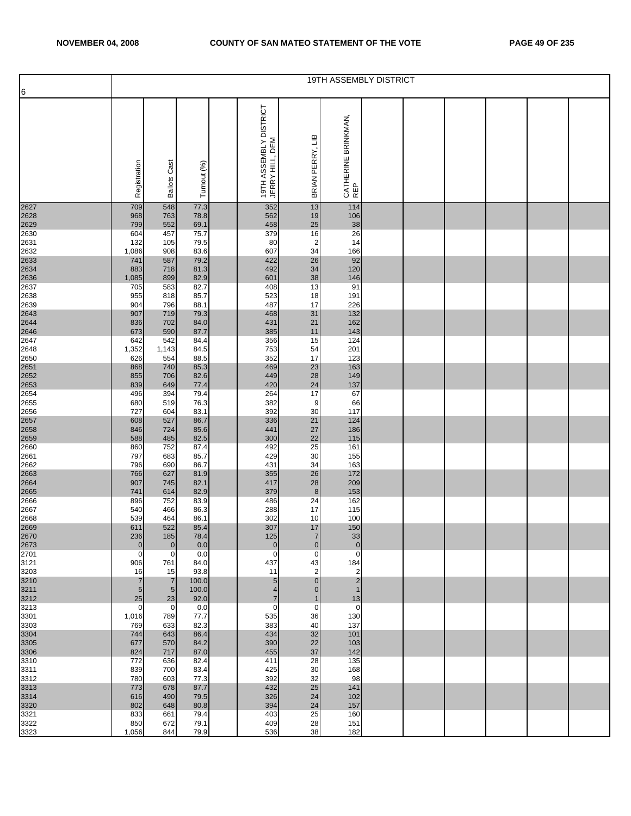|                      |                   |                             |               |                                           |                             |                             | 19TH ASSEMBLY DISTRICT |  |  |  |
|----------------------|-------------------|-----------------------------|---------------|-------------------------------------------|-----------------------------|-----------------------------|------------------------|--|--|--|
| 6                    |                   |                             |               |                                           |                             |                             |                        |  |  |  |
|                      | Registration      | <b>Ballots Cast</b>         | Turnout (%)   | 19TH ASSEMBLY DISTRICT<br>JERRY HILL, DEM | BRIAN PERRY, LIB            | CATHERINE BRINKMAN,<br>REP  |                        |  |  |  |
| 2627                 | 709               | 548                         | 77.3          | 352                                       | 13                          | 114                         |                        |  |  |  |
| 2628                 | 968               | 763                         | 78.8          | 562                                       | 19                          | 106                         |                        |  |  |  |
| 2629<br>2630         | 799<br>604        | 552<br>457                  | 69.1<br>75.7  | 458<br>379                                | 25<br>16                    | 38<br>26                    |                        |  |  |  |
| 2631                 | 132               | 105                         | 79.5          | 80                                        | $\overline{2}$              | 14                          |                        |  |  |  |
| 2632                 | 1,086             | 908                         | 83.6          | 607                                       | 34                          | 166                         |                        |  |  |  |
| 2633<br>2634         | 741               | 587                         | 79.2          | 422                                       | 26                          | 92                          |                        |  |  |  |
|                      | 883<br>1,085      | 718<br>899                  | 81.3<br>82.9  | 492<br>601                                | 34<br>38                    | 120<br>146                  |                        |  |  |  |
| 2636<br>2637         | 705               | 583                         | 82.7          | 408                                       | 13                          | 91                          |                        |  |  |  |
| 2638                 | 955               | 818                         | 85.7          | 523                                       | 18                          | 191                         |                        |  |  |  |
| 2639                 | 904               | 796                         | 88.1          | 487                                       | 17                          | 226                         |                        |  |  |  |
| 2643<br>2644         | 907<br>836        | 719<br>702                  | 79.3<br>84.0  | 468<br>431                                | 31<br>21                    | 132<br>162                  |                        |  |  |  |
| 2646                 | 673               | 590                         | 87.7          | 385                                       | 11                          | 143                         |                        |  |  |  |
| 2647                 | 642               | 542                         | 84.4          | 356                                       | 15                          | 124                         |                        |  |  |  |
| 2648                 | 1,352<br>626      | 1,143<br>554                | 84.5<br>88.5  | 753<br>352                                | 54<br>17                    | 201<br>123                  |                        |  |  |  |
| 2650                 | 868               | 740                         | 85.3          | 469                                       | 23                          | 163                         |                        |  |  |  |
| 2651<br>2652         | 855               | 706                         | 82.6          | 449                                       | 28                          | 149                         |                        |  |  |  |
| 2653                 | 839               | 649                         | 77.4          | 420                                       | 24                          | 137                         |                        |  |  |  |
| 2654<br>2655         | 496<br>680        | 394<br>519                  | 79.4<br>76.3  | 264<br>382                                | 17<br>9                     | 67<br>66                    |                        |  |  |  |
| 2656                 | 727               | 604                         | 83.1          | 392                                       | 30                          | 117                         |                        |  |  |  |
| 2657                 | 608               | 527                         | 86.7          | 336                                       | 21                          | 124                         |                        |  |  |  |
| 2658<br>2659         | 846<br>588        | 724<br>485                  | 85.6<br>82.5  | 441<br>300                                | 27<br>22                    | 186<br>115                  |                        |  |  |  |
| 2660                 | 860               | 752                         | 87.4          | 492                                       | 25                          | 161                         |                        |  |  |  |
| 2661                 | 797               | 683                         | 85.7          | 429                                       | 30                          | 155                         |                        |  |  |  |
| 2662                 | 796               | 690                         | 86.7          | 431                                       | 34                          | 163                         |                        |  |  |  |
| 2663<br>2664         | 766<br>907        | 627<br>745                  | 81.9<br>82.1  | 355<br>417                                | 26<br>28                    | 172<br>209                  |                        |  |  |  |
| 2665                 | 741               | 614                         | 82.9          | 379                                       | $\boldsymbol{8}$            | 153                         |                        |  |  |  |
| 2666                 | 896               | 752                         | 83.9          | 486                                       | 24                          | 162                         |                        |  |  |  |
| 2667<br>2668         | 540<br>539        | 466<br>464                  | 86.3<br>86.1  | 288<br>302                                | 17<br>10                    | 115<br>100                  |                        |  |  |  |
|                      | 611               | 522                         | 85.4          | 307                                       | 17                          | 150                         |                        |  |  |  |
| 2669<br>2670<br>2673 | 236               | 185                         | 78.4          | 125                                       | $\overline{7}$              | 33                          |                        |  |  |  |
|                      | $\mathbf{0}$<br>0 | $\mathbf{0}$<br>$\mathbf 0$ | 0.0           | $\overline{0}$<br>$\mathbf 0$             | $\mathbf 0$<br>$\mathbf 0$  | $\mathbf{0}$<br>$\mathbf 0$ |                        |  |  |  |
| 2701<br>3121         | 906               | 761                         | 0.0<br>84.0   | 437                                       | 43                          | 184                         |                        |  |  |  |
| 3203                 | 16                | 15                          | 93.8          | 11                                        | $\overline{2}$              | $\overline{2}$              |                        |  |  |  |
| 3210<br>3211<br>3212 | $\overline{7}$    | $\overline{7}$              | 100.0         | $5\overline{)}$                           | $\pmb{0}$                   | $\overline{2}$              |                        |  |  |  |
|                      | $\sqrt{5}$<br>25  | $5\overline{)}$<br>23       | 100.0<br>92.0 | $\overline{4}$<br>$\overline{7}$          | $\mathbf 0$<br>$\mathbf{1}$ | 1<br>13                     |                        |  |  |  |
| 3213                 | $\mathbf 0$       | $\mathbf 0$                 | 0.0           | $\mathbf 0$                               | 0                           | $\mathbf 0$                 |                        |  |  |  |
| 3301                 | 1,016             | 789                         | 77.7          | 535                                       | 36                          | 130                         |                        |  |  |  |
| 3303                 | 769<br>744        | 633<br>643                  | 82.3<br>86.4  | 383<br>434                                | 40<br>32                    | 137<br>101                  |                        |  |  |  |
| 3304                 | 677               | 570                         | 84.2          | 390                                       | 22                          | 103                         |                        |  |  |  |
| 3305<br>3306<br>3310 | 824               | 717                         | 87.0          | 455                                       | 37                          | 142                         |                        |  |  |  |
|                      | 772               | 636                         | 82.4          | 411                                       | 28                          | 135                         |                        |  |  |  |
| 3311<br>3312         | 839<br>780        | 700<br>603                  | 83.4<br>77.3  | 425<br>392                                | 30<br>32                    | 168<br>98                   |                        |  |  |  |
| 3313                 | 773               | 678                         | 87.7          | 432                                       | 25                          | 141                         |                        |  |  |  |
| 3314                 | 616               | 490                         | 79.5          | 326                                       | 24                          | 102                         |                        |  |  |  |
| 3320<br>3321         | 802<br>833        | 648<br>661                  | 80.8<br>79.4  | 394<br>403                                | 24<br>25                    | 157<br>160                  |                        |  |  |  |
| 3322                 | 850               | 672                         | 79.1          | 409                                       | 28                          | 151                         |                        |  |  |  |
| 3323                 | 1,056             | 844                         | 79.9          | 536                                       | 38                          | 182                         |                        |  |  |  |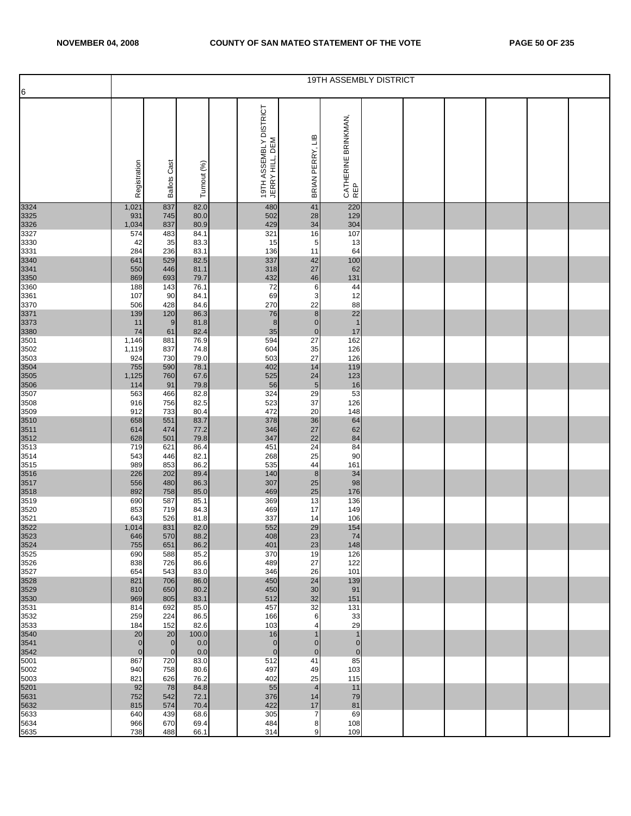|                              |                            |                                  |               |                                           |                               |                                  | 19TH ASSEMBLY DISTRICT |  |  |  |
|------------------------------|----------------------------|----------------------------------|---------------|-------------------------------------------|-------------------------------|----------------------------------|------------------------|--|--|--|
| 6                            |                            |                                  |               |                                           |                               |                                  |                        |  |  |  |
|                              | Registration               | <b>Ballots Cast</b>              | Turnout (%)   | 19TH ASSEMBLY DISTRICT<br>JERRY HILL, DEM | BRIAN PERRY, LIB              | CATHERINE BRINKMAN,<br>REP       |                        |  |  |  |
| 3324                         | 1,021                      | 837                              | 82.0          | 480                                       | 41                            | 220                              |                        |  |  |  |
| 3325<br>3326                 | 931                        | 745                              | 80.0          | 502                                       | 28                            | 129                              |                        |  |  |  |
| 3327                         | 1,034<br>574               | 837<br>483                       | 80.9<br>84.1  | 429<br>321                                | 34<br>16                      | 304<br>107                       |                        |  |  |  |
| 3330                         | 42                         | 35                               | 83.3          | 15                                        | 5                             | 13                               |                        |  |  |  |
| 3331                         | 284                        | 236                              | 83.1          | 136                                       | 11                            | 64                               |                        |  |  |  |
| 3340<br>3341<br>3350<br>3360 | 641<br>550                 | 529<br>446                       | 82.5<br>81.1  | 337<br>318                                | 42<br>27                      | 100<br>62                        |                        |  |  |  |
|                              | 869                        | 693                              | 79.7          | 432                                       | 46                            | 131                              |                        |  |  |  |
|                              | 188                        | 143                              | 76.1          | 72                                        | 6                             | 44                               |                        |  |  |  |
| 3361<br>3370                 | 107<br>506                 | 90<br>428                        | 84.1<br>84.6  | 69<br>270                                 | 3<br>22                       | 12<br>88                         |                        |  |  |  |
| 3371                         | 139                        | 120                              | 86.3          | 76                                        | $\boldsymbol{8}$              | 22                               |                        |  |  |  |
| 3373                         | 11                         | 9                                | 81.8          | 8                                         | $\pmb{0}$                     | $\mathbf{1}$                     |                        |  |  |  |
| 3380                         | 74                         | 61                               | 82.4          | 35                                        | $\pmb{0}$                     | 17                               |                        |  |  |  |
| 3501<br>3502                 | 1,146<br>1,119             | 881<br>837                       | 76.9<br>74.8  | 594<br>604                                | 27<br>35                      | 162<br>126                       |                        |  |  |  |
| 3503                         | 924                        | 730                              | 79.0          | 503                                       | 27                            | 126                              |                        |  |  |  |
|                              | 755                        | 590                              | 78.1          | 402                                       | 14                            | 119                              |                        |  |  |  |
| 3504<br>3505<br>3506         | 1,125<br>114               | 760<br>91                        | 67.6<br>79.8  | 525<br>56                                 | 24<br>$\overline{5}$          | 123<br>16                        |                        |  |  |  |
| 3507                         | 563                        | 466                              | 82.8          | 324                                       | 29                            | 53                               |                        |  |  |  |
| 3508                         | 916                        | 756                              | 82.5          | 523                                       | 37                            | 126                              |                        |  |  |  |
| 3509                         | 912<br>658                 | 733<br>551                       | 80.4<br>83.7  | 472<br>378                                | 20<br>36                      | 148<br>64                        |                        |  |  |  |
| 3510<br>3511<br>3512         | 614                        | 474                              | 77.2          | 346                                       | 27                            | 62                               |                        |  |  |  |
|                              | 628                        | 501                              | 79.8          | 347                                       | 22                            | 84                               |                        |  |  |  |
| 3513<br>3514                 | 719<br>543                 | 621<br>446                       | 86.4<br>82.1  | 451<br>268                                | 24<br>25                      | 84<br>90                         |                        |  |  |  |
| 3515                         | 989                        | 853                              | 86.2          | 535                                       | 44                            | 161                              |                        |  |  |  |
| 3516<br>3517<br>3518         | 226                        | 202                              | 89.4          | 140                                       | $\boldsymbol{8}$              | 34                               |                        |  |  |  |
|                              | 556<br>892                 | 480<br>758                       | 86.3<br>85.0  | 307<br>469                                | 25<br>25                      | 98<br>176                        |                        |  |  |  |
| 3519                         | 690                        | 587                              | 85.1          | 369                                       | 13                            | 136                              |                        |  |  |  |
| 3520                         | 853                        | 719                              | 84.3          | 469                                       | 17                            | 149                              |                        |  |  |  |
| 3521                         | 643                        | 526<br>831                       | 81.8<br>82.0  | 337<br>552                                | 14<br>29                      | 106                              |                        |  |  |  |
| 3522<br>3523<br>3524         | 1,014<br>646               | 570                              | 88.2          | 408                                       | 23                            | 154<br>74                        |                        |  |  |  |
|                              | 755                        | 651                              | 86.2          | 401                                       | 23                            | 148                              |                        |  |  |  |
| 3525<br>3526                 | 690<br>838                 | 588<br>726                       | 85.2<br>86.6  | 370<br>489                                | 19<br>27                      | 126<br>122                       |                        |  |  |  |
| 3527                         | 654                        | 543                              | 83.0          | 346                                       | 26                            | 101                              |                        |  |  |  |
| 3528<br>3529<br>3530         | 821                        | 706                              | 86.0          | 450                                       | 24                            | 139                              |                        |  |  |  |
|                              | 810<br>969                 | 650<br>805                       | 80.2<br>83.1  | 450<br>512                                | 30<br>32                      | 91<br>151                        |                        |  |  |  |
| 3531                         | 814                        | 692                              | 85.0          | 457                                       | 32                            | 131                              |                        |  |  |  |
| 3532                         | 259                        | 224                              | 86.5          | 166                                       | 6                             | 33                               |                        |  |  |  |
| 3533<br>3540                 | 184<br>20                  | 152<br>20                        | 82.6<br>100.0 | 103<br>16                                 | 4<br>$\mathbf 1$              | 29<br>1                          |                        |  |  |  |
| 3541<br>3542                 | $\mathbf 0$<br>$\mathbf 0$ | $\overline{0}$<br>$\overline{0}$ | 0.0<br>0.0    | $\overline{0}$<br>$\overline{0}$          | $\overline{0}$<br>$\mathbf 0$ | $\overline{0}$<br>$\overline{0}$ |                        |  |  |  |
| 5001                         | 867                        | 720                              | 83.0          | 512                                       | 41                            | 85                               |                        |  |  |  |
| 5002                         | 940                        | 758                              | 80.6          | 497                                       | 49                            | 103                              |                        |  |  |  |
| 5003<br>5201                 | 821<br>92                  | 626<br>78                        | 76.2<br>84.8  | 402<br>55                                 | 25<br>$\overline{4}$          | 115<br>11                        |                        |  |  |  |
| 5631                         | 752                        | 542                              | 72.1          | 376                                       | 14                            | 79                               |                        |  |  |  |
| 5632                         | 815                        | 574                              | 70.4          | 422                                       | 17                            | 81                               |                        |  |  |  |
| 5633<br>5634                 | 640<br>966                 | 439<br>670                       | 68.6<br>69.4  | 305<br>484                                | $\overline{7}$<br>8           | 69<br>108                        |                        |  |  |  |
| 5635                         | 738                        | 488                              | 66.1          | 314                                       | 9                             | 109                              |                        |  |  |  |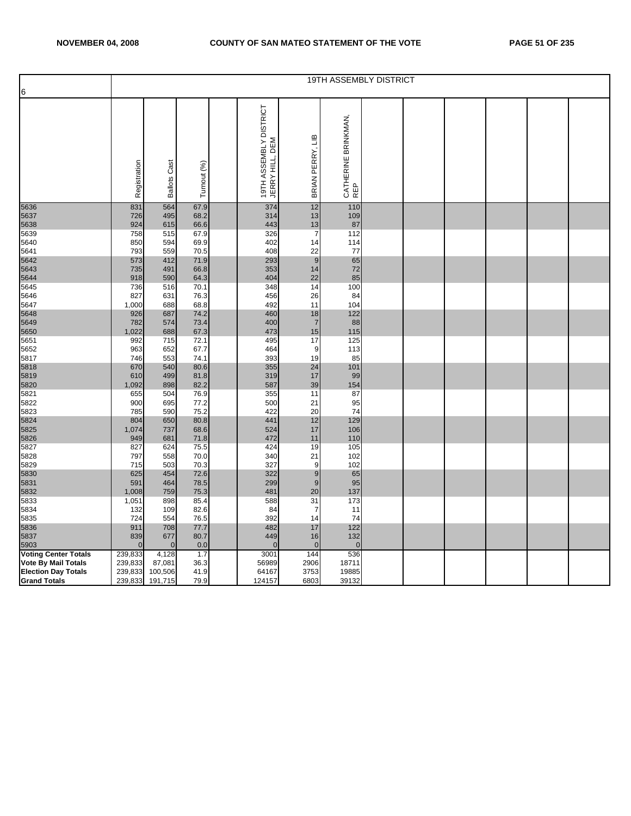|                             |              |                     |              |                                           |                  | 19TH ASSEMBLY DISTRICT     |  |  |  |
|-----------------------------|--------------|---------------------|--------------|-------------------------------------------|------------------|----------------------------|--|--|--|
| 6                           |              |                     |              |                                           |                  |                            |  |  |  |
|                             |              |                     |              |                                           |                  |                            |  |  |  |
|                             | Registration | <b>Ballots Cast</b> | Turnout (%)  | 19TH ASSEMBLY DISTRICT<br>JERRY HILL, DEM | BRIAN PERRY, LIB | CATHERINE BRINKMAN,<br>REP |  |  |  |
| 5636                        | 831          | 564                 | 67.9         | 374                                       | 12               | 110                        |  |  |  |
| 5637<br>5638                | 726<br>924   | 495<br>615          | 68.2<br>66.6 | 314<br>443                                | 13<br>13         | 109<br>87                  |  |  |  |
| 5639                        | 758          | 515                 | 67.9         | 326                                       | $\overline{7}$   | 112                        |  |  |  |
| 5640                        |              | 594                 | 69.9         | 402                                       | 14               |                            |  |  |  |
| 5641                        | 850<br>793   | 559                 | 70.5         | 408                                       | 22               | 114<br>77                  |  |  |  |
| 5642                        | 573          | 412                 | 71.9         | 293                                       | 9                | 65                         |  |  |  |
|                             |              |                     |              |                                           |                  |                            |  |  |  |
| 5643                        | 735          | 491                 | 66.8         | 353                                       | 14               | 72                         |  |  |  |
| 5644                        | 918          | 590                 | 64.3         | 404                                       | 22               | 85                         |  |  |  |
| 5645                        | 736          | 516                 | 70.1         | 348                                       | 14               | 100                        |  |  |  |
| 5646                        | 827          | 631                 | 76.3         | 456                                       | 26               | 84                         |  |  |  |
| 5647                        | 1,000        | 688                 | 68.8         | 492                                       | 11               | 104                        |  |  |  |
| 5648                        | 926          | 687                 | 74.2         | 460                                       | 18               | 122                        |  |  |  |
| 5649                        | 782          | 574                 | 73.4         | 400                                       | $\overline{7}$   | 88                         |  |  |  |
| 5650                        | 1,022        | 688                 | 67.3         | 473                                       | 15               | 115                        |  |  |  |
| 5651                        | 992          | 715                 | 72.1         | 495                                       | 17               | 125                        |  |  |  |
| 5652                        | 963          | 652                 | 67.7         | 464                                       | 9                | 113                        |  |  |  |
| 5817                        | 746          | 553                 | 74.1         | 393                                       | 19               | 85                         |  |  |  |
| 5818                        | 670          | 540                 | 80.6         | 355                                       | 24               | 101                        |  |  |  |
| 5819                        | 610          | 499                 | 81.8         | 319                                       | 17               | 99                         |  |  |  |
| 5820                        | 1,092        | 898                 | 82.2         | 587                                       | 39               | 154                        |  |  |  |
| 5821                        | 655          | 504                 | 76.9         | 355                                       | 11               | 87                         |  |  |  |
| 5822                        | 900          | 695                 | 77.2         | 500                                       | 21               | 95                         |  |  |  |
| 5823                        | 785          | 590                 | 75.2         | 422                                       | 20               | 74                         |  |  |  |
| 5824                        | 804          | 650                 | 80.8         | 441                                       | 12               | 129                        |  |  |  |
| 5825                        | 1,074        | 737                 | 68.6         | 524                                       | 17               | 106                        |  |  |  |
| 5826                        | 949          | 681                 | 71.8         | 472                                       | 11               | 110                        |  |  |  |
| 5827                        | 827          | 624                 | 75.5         | 424                                       | 19               | 105                        |  |  |  |
| 5828                        | 797          | 558                 | 70.0         | 340                                       | 21               | 102                        |  |  |  |
| 5829                        | 715          | 503                 | 70.3         | 327                                       | 9                | 102                        |  |  |  |
| 5830                        | 625          | 454                 | 72.6         | 322                                       | $\boldsymbol{9}$ | 65                         |  |  |  |
| 5831                        | 591          | 464                 | 78.5         | 299                                       | 9                | 95                         |  |  |  |
| 5832                        | 1,008        | 759                 | 75.3         | 481                                       | 20               | 137                        |  |  |  |
| 5833                        | 1,051        | 898                 | 85.4         | 588                                       | 31               | 173                        |  |  |  |
| 5834                        | 132          | 109                 | 82.6         | 84                                        | $\overline{7}$   | 11                         |  |  |  |
| 5835                        | 724          | 554                 | 76.5         | 392                                       | 14               | 74                         |  |  |  |
| 5836                        | 911          | 708                 | 77.7         | 482                                       | 17               | 122                        |  |  |  |
| 5837                        | 839          | 677                 | 80.7         | 449                                       | 16               | 132                        |  |  |  |
| 5903                        | $\Omega$     | $\mathbf{0}$        | 0.0          | $\mathbf{0}$                              | $\mathbf 0$      | $\overline{0}$             |  |  |  |
| <b>Voting Center Totals</b> | 239,833      | 4,128               | 1.7          | 3001                                      | 144              | 536                        |  |  |  |
| Vote By Mail Totals         | 239,833      | 87,081              | 36.3         | 56989                                     | 2906             | 18711                      |  |  |  |
| <b>Election Day Totals</b>  | 239,833      | 100,506             | 41.9         | 64167                                     | 3753             | 19885                      |  |  |  |
| <b>Grand Totals</b>         |              | 239,833 191,715     | 79.9         | 124157                                    | 6803             | 39132                      |  |  |  |
|                             |              |                     |              |                                           |                  |                            |  |  |  |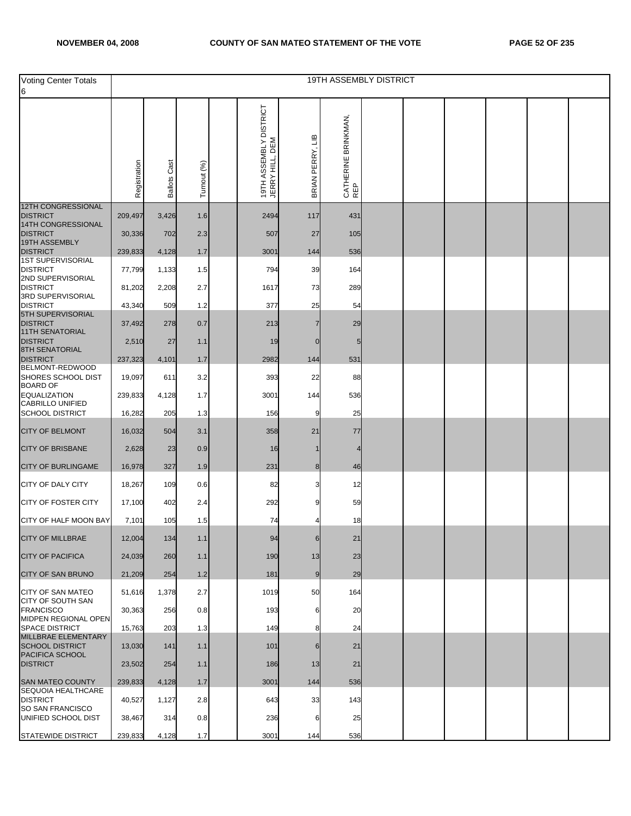| Voting Center Totals                           |              |                     |             |                                           |                  | <b>19TH ASSEMBLY DISTRICT</b> |  |  |  |
|------------------------------------------------|--------------|---------------------|-------------|-------------------------------------------|------------------|-------------------------------|--|--|--|
| 6                                              |              |                     |             |                                           |                  |                               |  |  |  |
|                                                | Registration | <b>Ballots Cast</b> | Turnout (%) | 19TH ASSEMBLY DISTRICT<br>JERRY HILL, DEM | BRIAN PERRY, LIB | CATHERINE BRINKMAN,<br>REP    |  |  |  |
| <b>12TH CONGRESSIONAL</b><br><b>DISTRICT</b>   | 209,497      | 3,426               | 1.6         | 2494                                      | 117              | 431                           |  |  |  |
| 14TH CONGRESSIONAL                             |              |                     |             |                                           |                  |                               |  |  |  |
| <b>DISTRICT</b><br><b>19TH ASSEMBLY</b>        | 30,336       | 702                 | 2.3         | 507                                       | 27               | 105                           |  |  |  |
| <b>DISTRICT</b>                                | 239,833      | 4,128               | 1.7         | 3001                                      | 144              | 536                           |  |  |  |
| <b>1ST SUPERVISORIAL</b><br><b>DISTRICT</b>    | 77,799       | 1,133               | 1.5         | 794                                       | 39               | 164                           |  |  |  |
| 2ND SUPERVISORIAL<br><b>DISTRICT</b>           | 81,202       | 2,208               | 2.7         | 1617                                      | 73               | 289                           |  |  |  |
| 3RD SUPERVISORIAL                              |              |                     |             |                                           |                  |                               |  |  |  |
| <b>DISTRICT</b><br>5TH SUPERVISORIAL           | 43,340       | 509                 | 1.2         | 377                                       | 25               | 54                            |  |  |  |
| <b>DISTRICT</b>                                | 37,492       | 278                 | 0.7         | 213                                       |                  | 29                            |  |  |  |
| <b>11TH SENATORIAL</b><br><b>DISTRICT</b>      | 2,510        | 27                  | 1.1         | 19                                        | $\Omega$         | 5                             |  |  |  |
| <b>8TH SENATORIAL</b><br><b>DISTRICT</b>       |              |                     | 1.7         | 2982                                      |                  |                               |  |  |  |
| BELMONT-REDWOOD                                | 237,323      | 4,101               |             |                                           | 144              | 531                           |  |  |  |
| SHORES SCHOOL DIST<br><b>BOARD OF</b>          | 19,097       | 611                 | 3.2         | 393                                       | 22               | 88                            |  |  |  |
| <b>EQUALIZATION</b><br><b>CABRILLO UNIFIED</b> | 239,833      | 4,128               | 1.7         | 3001                                      | 144              | 536                           |  |  |  |
| <b>SCHOOL DISTRICT</b>                         | 16,282       | 205                 | 1.3         | 156                                       |                  | 25                            |  |  |  |
| <b>CITY OF BELMONT</b>                         | 16,032       | 504                 | 3.1         | 358                                       | 21               | 77                            |  |  |  |
| <b>CITY OF BRISBANE</b>                        | 2,628        | 23                  | 0.9         | 16                                        |                  |                               |  |  |  |
| <b>CITY OF BURLINGAME</b>                      | 16,978       | 327                 | 1.9         | 231                                       | 8                | 46                            |  |  |  |
| CITY OF DALY CITY                              | 18,267       | 109                 | 0.6         | 82                                        |                  | 12                            |  |  |  |
| <b>CITY OF FOSTER CITY</b>                     | 17,100       | 402                 | 2.4         | 292                                       |                  | 59                            |  |  |  |
| CITY OF HALF MOON BAY                          | 7,101        | 105                 | 1.5         | 74                                        |                  | 18                            |  |  |  |
| <b>CITY OF MILLBRAE</b>                        | 12,004       | 134                 | 1.1         | 94                                        | $6 \mid$         | 21                            |  |  |  |
| <b>CITY OF PACIFICA</b>                        | 24,039       | 260                 | 1.1         | 190                                       | 13               | 23                            |  |  |  |
| <b>CITY OF SAN BRUNO</b>                       | 21,209       | 254                 | 1.2         | 181                                       | 9                | 29                            |  |  |  |
| <b>CITY OF SAN MATEO</b>                       | 51,616       | 1,378               | 2.7         | 1019                                      | 50               | 164                           |  |  |  |
| <b>CITY OF SOUTH SAN</b><br><b>FRANCISCO</b>   | 30,363       | 256                 | 0.8         | 193                                       |                  | 20                            |  |  |  |
| MIDPEN REGIONAL OPEN                           |              |                     |             |                                           |                  |                               |  |  |  |
| SPACE DISTRICT<br>MILLBRAE ELEMENTARY          | 15,763       | 203                 | 1.3         | 149                                       |                  | 24                            |  |  |  |
| <b>SCHOOL DISTRICT</b><br>PACIFICA SCHOOL      | 13,030       | 141                 | 1.1         | 101                                       | 6                | 21                            |  |  |  |
| <b>DISTRICT</b>                                | 23,502       | 254                 | 1.1         | 186                                       | 13               | 21                            |  |  |  |
| SAN MATEO COUNTY<br><b>SEQUOIA HEALTHCARE</b>  | 239,833      | 4,128               | 1.7         | 3001                                      | 144              | 536                           |  |  |  |
| <b>DISTRICT</b>                                | 40,527       | 1,127               | 2.8         | 643                                       | 33               | 143                           |  |  |  |
| <b>SO SAN FRANCISCO</b><br>UNIFIED SCHOOL DIST | 38,467       | 314                 | 0.8         | 236                                       |                  | 25                            |  |  |  |
| STATEWIDE DISTRICT                             | 239,833      | 4,128               | 1.7         | 3001                                      | 144              | 536                           |  |  |  |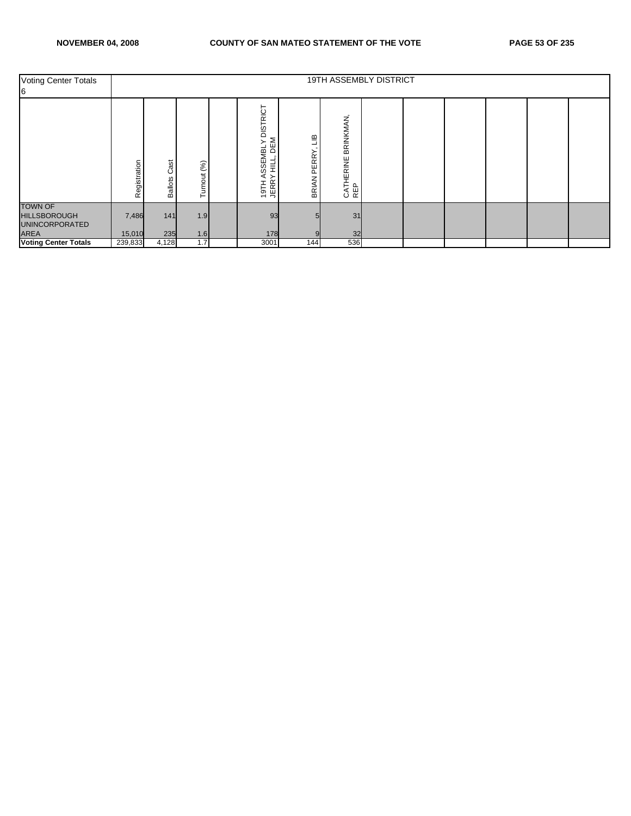| <b>Voting Center Totals</b><br>6                                       |                  |                          |                    |                                                                                        |                                       | 19TH ASSEMBLY DISTRICT         |  |  |  |
|------------------------------------------------------------------------|------------------|--------------------------|--------------------|----------------------------------------------------------------------------------------|---------------------------------------|--------------------------------|--|--|--|
|                                                                        | egistration<br>œ | ä<br>ပ<br><b>Ballots</b> | (%)<br>urnout<br>⊢ | <b>DISTRICT</b><br>DEM<br>$\succ$<br><b>SEMBL</b><br>늩<br>ၯ<br>≻<br><b>JERR</b><br>H16 | $\Xi$<br><b>PERRY</b><br><b>BRIAN</b> | BRINKMAN<br>CATHERINE I<br>REP |  |  |  |
| <b>TOWN OF</b><br><b>HILLSBOROUGH</b><br><b>UNINCORPORATED</b><br>AREA | 7,486<br>15,010  | $141$<br>235             | 1.9<br>1.6         | 93<br>178                                                                              |                                       | 31<br>32                       |  |  |  |
| <b>Voting Center Totals</b>                                            | 239,833          | 4,128                    | 1.7                | 3001                                                                                   | 144                                   | 536                            |  |  |  |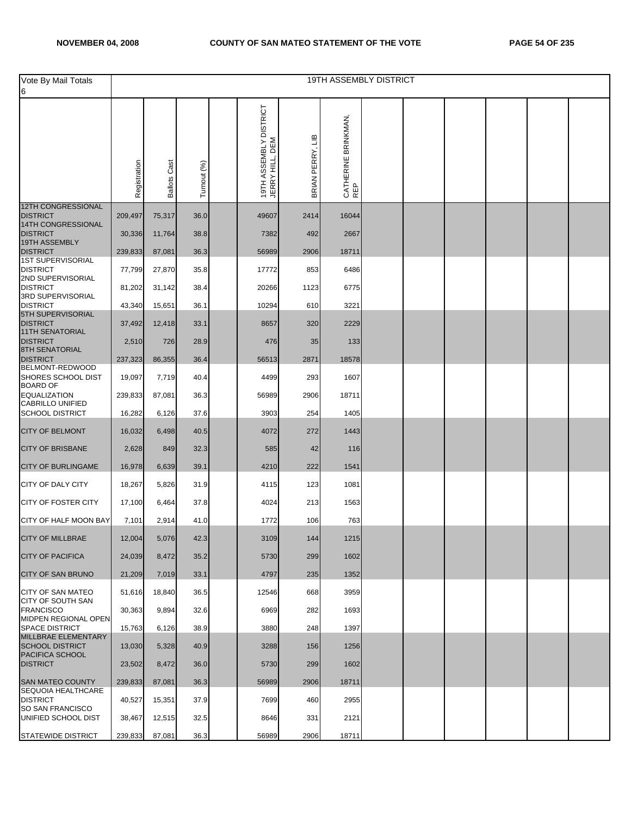|                                                   |              |                        |             |                                           |                  |                            | <b>19TH ASSEMBLY DISTRICT</b> |  |  |  |
|---------------------------------------------------|--------------|------------------------|-------------|-------------------------------------------|------------------|----------------------------|-------------------------------|--|--|--|
| Vote By Mail Totals<br>6                          |              |                        |             |                                           |                  |                            |                               |  |  |  |
|                                                   | Registration | Cast<br><b>Ballots</b> | Turnout (%) | 19TH ASSEMBLY DISTRICT<br>JERRY HILL, DEM | BRIAN PERRY, LIB | CATHERINE BRINKMAN,<br>REP |                               |  |  |  |
| 12TH CONGRESSIONAL<br><b>DISTRICT</b>             | 209,497      | 75,317                 | 36.0        | 49607                                     | 2414             | 16044                      |                               |  |  |  |
| 14TH CONGRESSIONAL                                |              |                        |             |                                           |                  |                            |                               |  |  |  |
| <b>DISTRICT</b><br>19TH ASSEMBLY                  | 30,336       | 11,764                 | 38.8        | 7382                                      | 492              | 2667                       |                               |  |  |  |
| <b>DISTRICT</b><br><b>1ST SUPERVISORIAL</b>       | 239,833      | 87,081                 | 36.3        | 56989                                     | 2906             | 18711                      |                               |  |  |  |
| <b>DISTRICT</b>                                   | 77,799       | 27,870                 | 35.8        | 17772                                     | 853              | 6486                       |                               |  |  |  |
| 2ND SUPERVISORIAL<br><b>DISTRICT</b>              | 81,202       | 31,142                 | 38.4        | 20266                                     | 1123             | 6775                       |                               |  |  |  |
| 3RD SUPERVISORIAL<br><b>DISTRICT</b>              | 43,340       |                        | 36.1        | 10294                                     | 610              | 3221                       |                               |  |  |  |
| 5TH SUPERVISORIAL                                 |              | 15,651                 |             |                                           |                  |                            |                               |  |  |  |
| <b>DISTRICT</b><br><b>11TH SENATORIAL</b>         | 37,492       | 12,418                 | 33.1        | 8657                                      | 320              | 2229                       |                               |  |  |  |
| <b>DISTRICT</b>                                   | 2,510        | 726                    | 28.9        | 476                                       | 35               | 133                        |                               |  |  |  |
| <b>8TH SENATORIAL</b><br><b>DISTRICT</b>          | 237,323      | 86,355                 | 36.4        | 56513                                     | 2871             | 18578                      |                               |  |  |  |
| BELMONT-REDWOOD<br>SHORES SCHOOL DIST             | 19,097       | 7,719                  | 40.4        | 4499                                      | 293              | 1607                       |                               |  |  |  |
| <b>BOARD OF</b><br><b>EQUALIZATION</b>            | 239,833      | 87,081                 | 36.3        | 56989                                     | 2906             | 18711                      |                               |  |  |  |
| <b>CABRILLO UNIFIED</b><br><b>SCHOOL DISTRICT</b> | 16,282       |                        | 37.6        | 3903                                      | 254              | 1405                       |                               |  |  |  |
|                                                   |              | 6,126                  |             |                                           |                  |                            |                               |  |  |  |
| <b>CITY OF BELMONT</b>                            | 16,032       | 6,498                  | 40.5        | 4072                                      | 272              | 1443                       |                               |  |  |  |
| <b>CITY OF BRISBANE</b>                           | 2,628        | 849                    | 32.3        | 585                                       | 42               | 116                        |                               |  |  |  |
| <b>CITY OF BURLINGAME</b>                         | 16,978       | 6,639                  | 39.1        | 4210                                      | 222              | 1541                       |                               |  |  |  |
| CITY OF DALY CITY                                 | 18,267       | 5,826                  | 31.9        | 4115                                      | 123              | 1081                       |                               |  |  |  |
| <b>CITY OF FOSTER CITY</b>                        | 17,100       | 6,464                  | 37.8        | 4024                                      | 213              | 1563                       |                               |  |  |  |
| CITY OF HALF MOON BAY                             | 7,101        | 2,914                  | 41.0        | 1772                                      | 106              | 763                        |                               |  |  |  |
| <b>CITY OF MILLBRAE</b>                           | 12,004       | 5,076                  | 42.3        | 3109                                      | 144              | 1215                       |                               |  |  |  |
| <b>CITY OF PACIFICA</b>                           | 24,039       | 8,472                  | 35.2        | 5730                                      | 299              | 1602                       |                               |  |  |  |
| <b>CITY OF SAN BRUNO</b>                          | 21,209       | 7,019                  | 33.1        | 4797                                      | 235              | 1352                       |                               |  |  |  |
| <b>CITY OF SAN MATEO</b>                          | 51,616       | 18,840                 | 36.5        | 12546                                     | 668              | 3959                       |                               |  |  |  |
| <b>CITY OF SOUTH SAN</b><br><b>FRANCISCO</b>      | 30,363       | 9,894                  | 32.6        | 6969                                      | 282              | 1693                       |                               |  |  |  |
| MIDPEN REGIONAL OPEN<br><b>SPACE DISTRICT</b>     | 15,763       | 6,126                  | 38.9        | 3880                                      | 248              | 1397                       |                               |  |  |  |
| MILLBRAE ELEMENTARY                               |              |                        |             |                                           |                  |                            |                               |  |  |  |
| <b>SCHOOL DISTRICT</b><br>PACIFICA SCHOOL         | 13,030       | 5,328                  | 40.9        | 3288                                      | 156              | 1256                       |                               |  |  |  |
| <b>DISTRICT</b>                                   | 23,502       | 8,472                  | 36.0        | 5730                                      | 299              | 1602                       |                               |  |  |  |
| SAN MATEO COUNTY<br><b>SEQUOIA HEALTHCARE</b>     | 239,833      | 87,081                 | 36.3        | 56989                                     | 2906             | 18711                      |                               |  |  |  |
| <b>DISTRICT</b><br>SO SAN FRANCISCO               | 40,527       | 15,351                 | 37.9        | 7699                                      | 460              | 2955                       |                               |  |  |  |
| UNIFIED SCHOOL DIST                               | 38,467       | 12,515                 | 32.5        | 8646                                      | 331              | 2121                       |                               |  |  |  |
| <b>STATEWIDE DISTRICT</b>                         | 239,833      | 87,081                 | 36.3        | 56989                                     | 2906             | 18711                      |                               |  |  |  |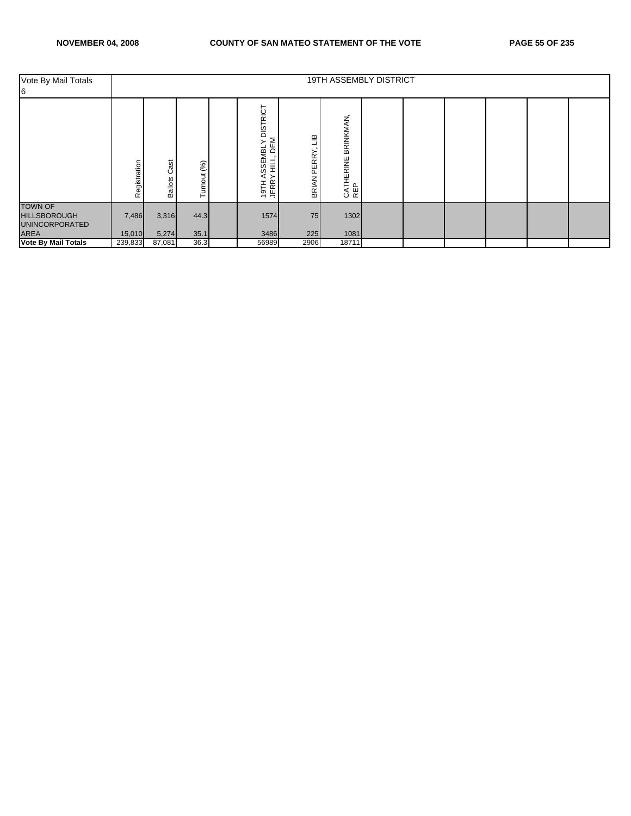| Vote By Mail Totals<br>6                                                      |                         |                            |               |                                                                                                                     |                                       | 19TH ASSEMBLY DISTRICT       |  |  |  |
|-------------------------------------------------------------------------------|-------------------------|----------------------------|---------------|---------------------------------------------------------------------------------------------------------------------|---------------------------------------|------------------------------|--|--|--|
|                                                                               | egistration<br>$\alpha$ | ast<br>ပ<br><b>Ballots</b> | (%)<br>urnout | <b>DISTRICT</b><br>DEM<br>$\succ$<br><b>SSEMBL</b><br>븓<br>⋖<br>≻<br><b>JERR</b><br>H16<br>$\overline{\phantom{0}}$ | $\Xi$<br><b>PERRY</b><br><b>BRIAN</b> | BRINKMAN<br>CATHERINE<br>REP |  |  |  |
| <b>TOWN OF</b><br><b>HILLSBOROUGH</b><br><b>UNINCORPORATED</b><br><b>AREA</b> | 7,486<br>15,010         | 3,316<br>5,274             | 44.3<br>35.1  | 1574<br>3486                                                                                                        | 75<br>225                             | 1302<br>1081                 |  |  |  |
| <b>Vote By Mail Totals</b>                                                    | 239,833                 | 87,081                     | 36.3          | 56989                                                                                                               | 2906                                  | 18711                        |  |  |  |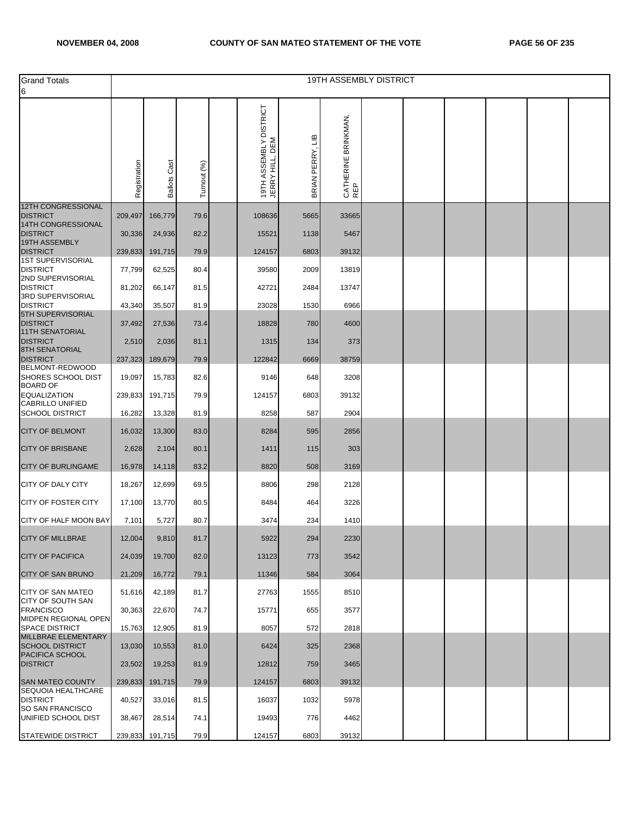| <b>Grand Totals</b>                            |              |                     |             |                                           |                      |                                | <b>19TH ASSEMBLY DISTRICT</b> |  |  |  |
|------------------------------------------------|--------------|---------------------|-------------|-------------------------------------------|----------------------|--------------------------------|-------------------------------|--|--|--|
| 6                                              |              |                     |             |                                           |                      |                                |                               |  |  |  |
|                                                | Registration | <b>Ballots Cast</b> | Turnout (%) | 19TH ASSEMBLY DISTRICT<br>JERRY HILL, DEM | PERRY, LIB<br>BRIANI | BRINKMAN<br>CATHERINE I<br>REP |                               |  |  |  |
| <b>12TH CONGRESSIONAL</b><br><b>DISTRICT</b>   | 209,497      | 166,779             | 79.6        | 108636                                    | 5665                 | 33665                          |                               |  |  |  |
| 14TH CONGRESSIONAL<br><b>DISTRICT</b>          | 30,336       | 24,936              | 82.2        | 15521                                     | 1138                 | 5467                           |                               |  |  |  |
| 19TH ASSEMBLY<br><b>DISTRICT</b>               | 239,833      | 191,715             | 79.9        | 124157                                    | 6803                 | 39132                          |                               |  |  |  |
| <b>1ST SUPERVISORIAL</b>                       |              |                     |             |                                           |                      |                                |                               |  |  |  |
| <b>DISTRICT</b><br>2ND SUPERVISORIAL           | 77,799       | 62,525              | 80.4        | 39580                                     | 2009                 | 13819                          |                               |  |  |  |
| <b>DISTRICT</b><br>3RD SUPERVISORIAL           | 81,202       | 66,147              | 81.5        | 42721                                     | 2484                 | 13747                          |                               |  |  |  |
| <b>DISTRICT</b><br>5TH SUPERVISORIAL           | 43,340       | 35,507              | 81.9        | 23028                                     | 1530                 | 6966                           |                               |  |  |  |
| <b>DISTRICT</b><br><b>11TH SENATORIAL</b>      | 37,492       | 27,536              | 73.4        | 18828                                     | 780                  | 4600                           |                               |  |  |  |
| <b>DISTRICT</b><br><b>8TH SENATORIAL</b>       | 2,510        | 2,036               | 81.1        | 1315                                      | 134                  | 373                            |                               |  |  |  |
| <b>DISTRICT</b><br>BELMONT-REDWOOD             | 237,323      | 189,679             | 79.9        | 122842                                    | 6669                 | 38759                          |                               |  |  |  |
| SHORES SCHOOL DIST<br><b>BOARD OF</b>          | 19,097       | 15,783              | 82.6        | 9146                                      | 648                  | 3208                           |                               |  |  |  |
| <b>EQUALIZATION</b><br><b>CABRILLO UNIFIED</b> | 239,833      | 191,715             | 79.9        | 124157                                    | 6803                 | 39132                          |                               |  |  |  |
| <b>SCHOOL DISTRICT</b>                         | 16,282       | 13,328              | 81.9        | 8258                                      | 587                  | 2904                           |                               |  |  |  |
| <b>CITY OF BELMONT</b>                         | 16,032       | 13,300              | 83.0        | 8284                                      | 595                  | 2856                           |                               |  |  |  |
| <b>CITY OF BRISBANE</b>                        | 2,628        | 2,104               | 80.1        | 1411                                      | 115                  | 303                            |                               |  |  |  |
| <b>CITY OF BURLINGAME</b>                      | 16,978       | 14,118              | 83.2        | 8820                                      | 508                  | 3169                           |                               |  |  |  |
| <b>CITY OF DALY CITY</b>                       | 18,267       | 12,699              | 69.5        | 8806                                      | 298                  | 2128                           |                               |  |  |  |
| <b>CITY OF FOSTER CITY</b>                     | 17,100       | 13,770              | 80.5        | 8484                                      | 464                  | 3226                           |                               |  |  |  |
| CITY OF HALF MOON BAY                          | 7,101        | 5,727               | 80.7        | 3474                                      | 234                  | 1410                           |                               |  |  |  |
| <b>CITY OF MILLBRAE</b>                        | 12,004       | 9,810               | 81.7        | 5922                                      | 294                  | 2230                           |                               |  |  |  |
| <b>CITY OF PACIFICA</b>                        | 24,039       | 19,700              | 82.0        | 13123                                     | 773                  | 3542                           |                               |  |  |  |
| <b>CITY OF SAN BRUNO</b>                       | 21,209       | 16,772              | 79.1        | 11346                                     | 584                  | 3064                           |                               |  |  |  |
| <b>CITY OF SAN MATEO</b><br>CITY OF SOUTH SAN  | 51,616       | 42,189              | 81.7        | 27763                                     | 1555                 | 8510                           |                               |  |  |  |
| <b>FRANCISCO</b><br>MIDPEN REGIONAL OPEN       | 30,363       | 22,670              | 74.7        | 15771                                     | 655                  | 3577                           |                               |  |  |  |
| <b>SPACE DISTRICT</b>                          | 15,763       | 12,905              | 81.9        | 8057                                      | 572                  | 2818                           |                               |  |  |  |
| MILLBRAE ELEMENTARY<br><b>SCHOOL DISTRICT</b>  | 13,030       | 10,553              | 81.0        | 6424                                      | 325                  | 2368                           |                               |  |  |  |
| PACIFICA SCHOOL<br><b>DISTRICT</b>             | 23,502       | 19,253              | 81.9        | 12812                                     | 759                  | 3465                           |                               |  |  |  |
| SAN MATEO COUNTY                               | 239,833      | 191,715             | 79.9        | 124157                                    | 6803                 | 39132                          |                               |  |  |  |
| SEQUOIA HEALTHCARE<br><b>DISTRICT</b>          | 40,527       | 33,016              | 81.5        | 16037                                     | 1032                 | 5978                           |                               |  |  |  |
| <b>SO SAN FRANCISCO</b><br>UNIFIED SCHOOL DIST | 38,467       | 28,514              | 74.1        | 19493                                     | 776                  | 4462                           |                               |  |  |  |
| STATEWIDE DISTRICT                             | 239,833      | 191,715             | 79.9        | 124157                                    | 6803                 | 39132                          |                               |  |  |  |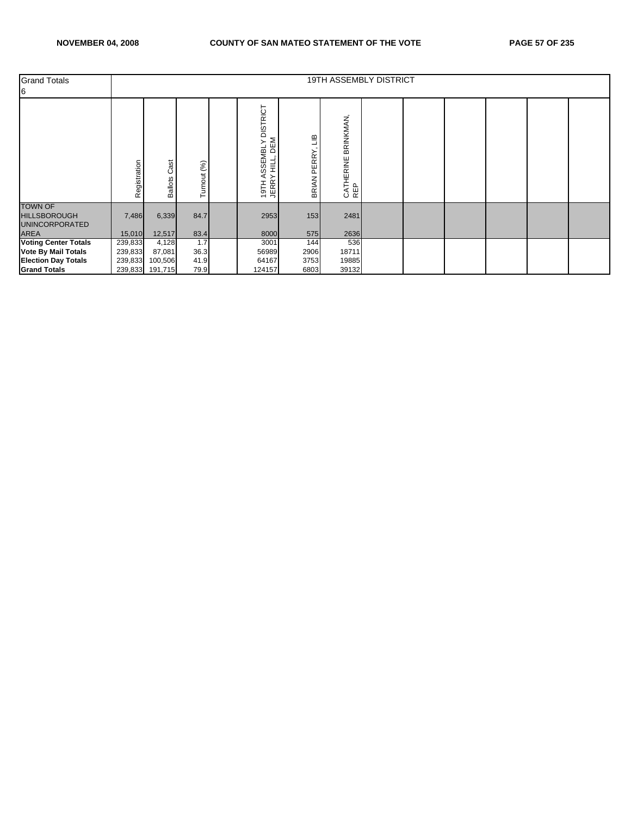| <b>Grand Totals</b><br>6                                                                                       |                               |                                               |                             |                                                                                                               |                                 | 19TH ASSEMBLY DISTRICT         |  |  |  |
|----------------------------------------------------------------------------------------------------------------|-------------------------------|-----------------------------------------------|-----------------------------|---------------------------------------------------------------------------------------------------------------|---------------------------------|--------------------------------|--|--|--|
|                                                                                                                | tegistration<br>œ             | Cast<br>allots<br>₾                           | (%)<br>urnout<br>⊢          | <b>DISTRICT</b><br>DEM<br>≻<br><b>SSEMBL</b><br>닅<br>⋖<br>≻<br><b>JERR</b><br>H16<br>$\overline{\phantom{0}}$ | $\Xi$<br>PERRY,<br><b>BRIAN</b> | BRINKMAN,<br>CATHERINE<br>REP  |  |  |  |
| <b>TOWN OF</b><br><b>HILLSBOROUGH</b><br><b>UNINCORPORATED</b><br><b>AREA</b>                                  | 7,486<br>15,010               | 6,339<br>12,517                               | 84.7<br>83.4                | 2953<br>8000                                                                                                  | 153<br>575                      | 2481<br>2636                   |  |  |  |
| <b>Voting Center Totals</b><br><b>Vote By Mail Totals</b><br><b>Election Day Totals</b><br><b>Grand Totals</b> | 239,833<br>239,833<br>239,833 | 4,128<br>87,081<br>100,506<br>239,833 191,715 | 1.7<br>36.3<br>41.9<br>79.9 | 3001<br>56989<br>64167<br>124157                                                                              | 144<br>2906<br>3753<br>6803     | 536<br>18711<br>19885<br>39132 |  |  |  |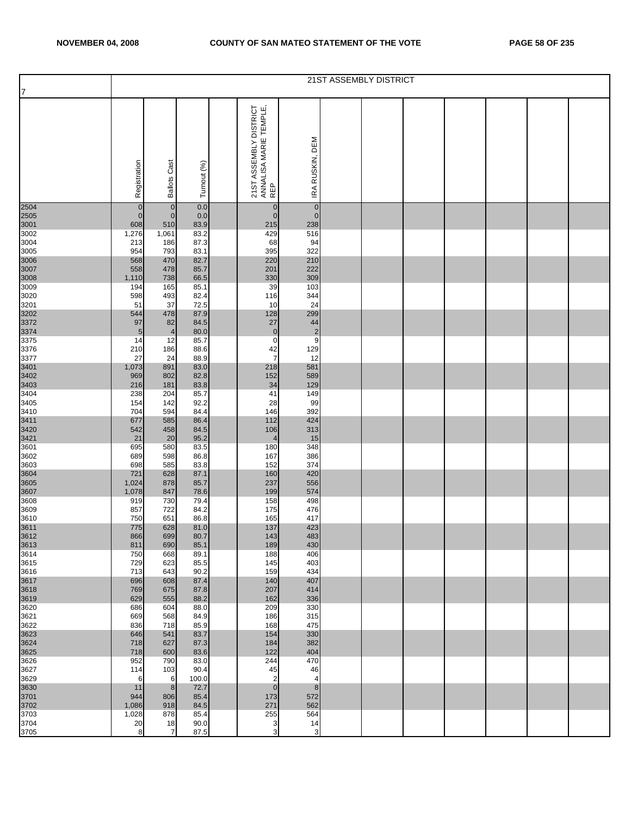|                      |                |                     |              |                                                         |                      | 21ST ASSEMBLY DISTRICT |  |  |  |
|----------------------|----------------|---------------------|--------------|---------------------------------------------------------|----------------------|------------------------|--|--|--|
| 17                   |                |                     |              |                                                         |                      |                        |  |  |  |
|                      | Registration   | <b>Ballots Cast</b> | Turnout (%)  | 21ST ASSEMBLY DISTRICT<br>ANNALISA MARIE TEMPLE,<br>REP | IRA RUSKIN, DEM      |                        |  |  |  |
| 2504                 | $\pmb{0}$      | $\mathbf{0}$        | 0.0          | $\overline{0}$                                          | $\mathbf 0$          |                        |  |  |  |
| 2505                 | $\overline{0}$ | $\overline{0}$      | 0.0          | $\overline{0}$                                          | $\pmb{0}$            |                        |  |  |  |
| 3001<br>3002         | 608<br>1,276   | 510<br>1,061        | 83.9<br>83.2 | 215<br>429                                              | 238<br>516           |                        |  |  |  |
| 3004                 | 213            | 186                 | 87.3         | 68                                                      | 94                   |                        |  |  |  |
| 3005                 | 954            | 793                 | 83.1         | 395                                                     | 322                  |                        |  |  |  |
| 3006<br>3007         | 568            | 470                 | 82.7         | 220                                                     | 210                  |                        |  |  |  |
|                      | 558<br>1,110   | 478<br>738          | 85.7<br>66.5 | 201<br>330                                              | 222<br>309           |                        |  |  |  |
| 3008<br>3009         | 194            | 165                 | 85.1         | 39                                                      | 103                  |                        |  |  |  |
| 3020                 | 598            | 493                 | 82.4         | 116                                                     | 344                  |                        |  |  |  |
| 3201                 | 51             | 37                  | 72.5         | 10                                                      | 24                   |                        |  |  |  |
| 3202<br>3372<br>3374 | 544<br>97      | 478<br>82           | 87.9<br>84.5 | 128<br>27                                               | 299                  |                        |  |  |  |
|                      | 5              | $\overline{4}$      | 80.0         | $\overline{0}$                                          | 44<br>$\overline{c}$ |                        |  |  |  |
| 3375                 | 14             | 12                  | 85.7         | $\mathbf 0$                                             | 9                    |                        |  |  |  |
| 3376                 | 210            | 186                 | 88.6         | 42                                                      | 129                  |                        |  |  |  |
| 3377                 | 27             | 24                  | 88.9         | $\overline{7}$                                          | 12                   |                        |  |  |  |
| 3401<br>3402<br>3403 | 1,073<br>969   | 891<br>802          | 83.0<br>82.8 | 218<br>152                                              | 581<br>589           |                        |  |  |  |
|                      | 216            | 181                 | 83.8         | 34                                                      | 129                  |                        |  |  |  |
| 3404                 | 238            | 204                 | 85.7         | 41                                                      | 149                  |                        |  |  |  |
| 3405                 | 154            | 142                 | 92.2         | 28                                                      | 99                   |                        |  |  |  |
| 3410                 | 704<br>677     | 594<br>585          | 84.4<br>86.4 | 146<br>112                                              | 392<br>424           |                        |  |  |  |
| 3411<br>3420<br>3421 | 542            | 458                 | 84.5         | 106                                                     | 313                  |                        |  |  |  |
|                      | 21             | 20                  | 95.2         | $\overline{4}$                                          | 15                   |                        |  |  |  |
| 3601                 | 695            | 580                 | 83.5         | 180                                                     | 348                  |                        |  |  |  |
| 3602<br>3603         | 689<br>698     | 598<br>585          | 86.8<br>83.8 | 167<br>152                                              | 386<br>374           |                        |  |  |  |
|                      | 721            | 628                 | 87.1         | 160                                                     | 420                  |                        |  |  |  |
| 3604<br>3605         | 1,024          | 878                 | 85.7         | 237                                                     | 556                  |                        |  |  |  |
| 3607                 | 1,078          | 847                 | 78.6         | 199                                                     | 574                  |                        |  |  |  |
| 3608<br>3609         | 919<br>857     | 730<br>722          | 79.4<br>84.2 | 158<br>175                                              | 498<br>476           |                        |  |  |  |
| 3610                 | 750            | 651                 | 86.8         | 165                                                     | 417                  |                        |  |  |  |
| 3611                 | 775            | 628                 | 81.0         | 137                                                     | 423                  |                        |  |  |  |
| 3612<br>3613<br>3614 | 866            | 699                 | 80.7         | 143                                                     | 483                  |                        |  |  |  |
|                      | 811<br>750     | 690<br>668          | 85.1<br>89.1 | 189<br>188                                              | 430<br>406           |                        |  |  |  |
| 3615                 | 729            | 623                 | 85.5         | 145                                                     | 403                  |                        |  |  |  |
| 3616                 | 713            | 643                 | 90.2         | 159                                                     | 434                  |                        |  |  |  |
| 3617<br>3618<br>3619 | 696            | 608                 | 87.4         | 140                                                     | 407                  |                        |  |  |  |
|                      | 769<br>629     | 675<br>555          | 87.8<br>88.2 | 207<br>162                                              | 414<br>336           |                        |  |  |  |
| 3620                 | 686            | 604                 | 88.0         | 209                                                     | 330                  |                        |  |  |  |
| 3621                 | 669            | 568                 | 84.9         | 186                                                     | 315                  |                        |  |  |  |
| 3622                 | 836            | 718                 | 85.9         | 168                                                     | 475                  |                        |  |  |  |
| 3623                 | 646            | 541                 | 83.7         | 154                                                     | 330                  |                        |  |  |  |
| 3624<br>3625         | 718<br>718     | 627<br>600          | 87.3<br>83.6 | 184<br>122                                              | 382<br>404           |                        |  |  |  |
| 3626                 | 952            | 790                 | 83.0         | 244                                                     | 470                  |                        |  |  |  |
| 3627                 | 114            | 103                 | 90.4         | 45                                                      | 46                   |                        |  |  |  |
| 3629                 | 6              | 6                   | 100.0        | $\overline{2}$                                          | $\overline{4}$       |                        |  |  |  |
| 3630<br>3701         | 11<br>944      | 8<br>806            | 72.7<br>85.4 | $\overline{0}$<br>173                                   | 8<br>572             |                        |  |  |  |
| 3702                 | 1,086          | 918                 | 84.5         | 271                                                     | 562                  |                        |  |  |  |
| 3703                 | 1,028          | 878                 | 85.4         | 255                                                     | 564                  |                        |  |  |  |
| 3704                 | 20             | 18                  | 90.0         | 3                                                       | 14                   |                        |  |  |  |
| 3705                 | 8              | 7                   | 87.5         | $\ensuremath{\mathsf{3}}$                               | $\mathbf{3}$         |                        |  |  |  |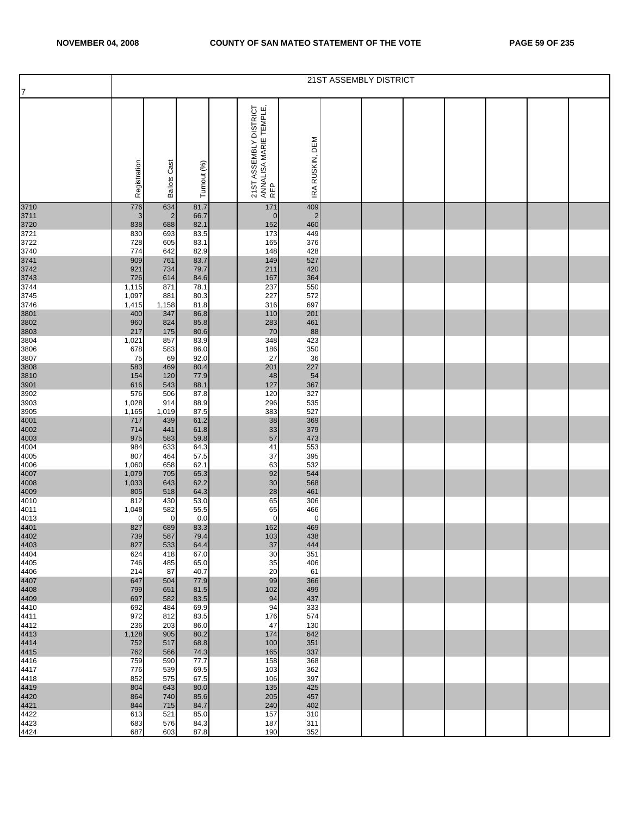|                                                     |              |                     |              |                                                         |                 | 21ST ASSEMBLY DISTRICT |  |  |  |
|-----------------------------------------------------|--------------|---------------------|--------------|---------------------------------------------------------|-----------------|------------------------|--|--|--|
| 17                                                  |              |                     |              |                                                         |                 |                        |  |  |  |
|                                                     | Registration | <b>Ballots Cast</b> | Turnout (%)  | 21ST ASSEMBLY DISTRICT<br>ANNALISA MARIE TEMPLE,<br>REP | IRA RUSKIN, DEM |                        |  |  |  |
| 3710                                                | 776          | 634                 | 81.7         | 171                                                     | 409             |                        |  |  |  |
| 3711<br>3720<br>3721                                | 3            | $\overline{2}$      | 66.7         | $\mathbf 0$                                             | $\overline{2}$  |                        |  |  |  |
|                                                     | 838<br>830   | 688<br>693          | 82.1<br>83.5 | 152<br>173                                              | 460<br>449      |                        |  |  |  |
| 3722                                                | 728          | 605                 | 83.1         | 165                                                     | 376             |                        |  |  |  |
| 3740                                                | 774          | 642                 | 82.9         | 148                                                     | 428             |                        |  |  |  |
| 3741<br>3742<br>3743<br>3744                        | 909<br>921   | 761<br>734          | 83.7<br>79.7 | 149<br>211                                              | 527<br>420      |                        |  |  |  |
|                                                     | 726          | 614                 | 84.6         | 167                                                     | 364             |                        |  |  |  |
|                                                     | 1,115        | 871                 | 78.1         | 237                                                     | 550             |                        |  |  |  |
| 3745<br>3746                                        | 1,097        | 881<br>1,158        | 80.3         | 227<br>316                                              | 572<br>697      |                        |  |  |  |
|                                                     | 1,415<br>400 | 347                 | 81.8<br>86.8 | 110                                                     | 201             |                        |  |  |  |
| 3801<br>3802<br>3803                                | 960          | 824                 | 85.8         | 283                                                     | 461             |                        |  |  |  |
|                                                     | 217          | 175                 | 80.6         | 70                                                      | 88              |                        |  |  |  |
| 3804<br>3806                                        | 1,021<br>678 | 857<br>583          | 83.9<br>86.0 | 348<br>186                                              | 423<br>350      |                        |  |  |  |
| 3807                                                | 75           | 69                  | 92.0         | 27                                                      | 36              |                        |  |  |  |
|                                                     | 583          | 469                 | 80.4         | 201                                                     | 227             |                        |  |  |  |
| 3808<br>3810<br>3901                                | 154<br>616   | 120<br>543          | 77.9<br>88.1 | 48<br>127                                               | 54<br>367       |                        |  |  |  |
| 3902                                                | 576          | 506                 | 87.8         | 120                                                     | 327             |                        |  |  |  |
| 3903                                                | 1,028        | 914                 | 88.9         | 296                                                     | 535             |                        |  |  |  |
| 3905<br>4001                                        | 1,165<br>717 | 1,019<br>439        | 87.5<br>61.2 | 383<br>38                                               | 527<br>369      |                        |  |  |  |
| 4002                                                | 714          | 441                 | 61.8         | 33                                                      | 379             |                        |  |  |  |
| 4003                                                | 975          | 583                 | 59.8         | 57                                                      | 473             |                        |  |  |  |
| 4004<br>4005                                        | 984<br>807   | 633<br>464          | 64.3<br>57.5 | 41<br>37                                                | 553<br>395      |                        |  |  |  |
| 4006                                                | 1,060        | 658                 | 62.1         | 63                                                      | 532             |                        |  |  |  |
| 4007                                                | 1,079        | 705                 | 65.3         | 92                                                      | 544             |                        |  |  |  |
| 4008                                                | 1,033        | 643                 | 62.2         | 30                                                      | 568             |                        |  |  |  |
| 4009<br>4010                                        | 805<br>812   | 518<br>430          | 64.3<br>53.0 | 28<br>65                                                | 461<br>306      |                        |  |  |  |
| 4011                                                | 1,048        | 582                 | 55.5         | 65                                                      | 466             |                        |  |  |  |
| 4013                                                | 0            | $\mathbf 0$         | 0.0          | $\mathbf 0$                                             | $\mathbf 0$     |                        |  |  |  |
| 4401                                                | 827<br>739   | 689<br>587          | 83.3<br>79.4 | 162<br>103                                              | 469<br>438      |                        |  |  |  |
| 4402<br>4403<br>4404                                | 827          | 533                 | 64.4         | 37                                                      | 444             |                        |  |  |  |
|                                                     | 624          | 418                 | 67.0         | 30                                                      | 351             |                        |  |  |  |
| 4405<br>4406                                        | 746<br>214   | 485<br>87           | 65.0<br>40.7 | 35<br>20                                                | 406<br>61       |                        |  |  |  |
|                                                     | 647          | 504                 | 77.9         | 99                                                      | 366             |                        |  |  |  |
| 4407<br>4408<br>4409<br>4410                        | 799          | 651                 | 81.5         | 102                                                     | 499             |                        |  |  |  |
|                                                     | 697<br>692   | 582<br>484          | 83.5<br>69.9 | 94<br>94                                                | 437<br>333      |                        |  |  |  |
| 4411                                                | 972          | 812                 | 83.5         | 176                                                     | 574             |                        |  |  |  |
| 4412                                                | 236          | 203                 | 86.0         | 47                                                      | 130             |                        |  |  |  |
|                                                     | 1,128<br>752 | 905<br>517          | 80.2<br>68.8 | 174<br>100                                              | 642<br>351      |                        |  |  |  |
|                                                     | 762          | 566                 | 74.3         | 165                                                     | 337             |                        |  |  |  |
| $4412$ $4413$ $4414$ $4415$ $4416$ $4417$ $4418$ $$ | 759          | 590                 | 77.7         | 158                                                     | 368             |                        |  |  |  |
|                                                     | 776<br>852   | 539<br>575          | 69.5<br>67.5 | 103<br>106                                              | 362<br>397      |                        |  |  |  |
|                                                     | 804          | 643                 | 80.0         | 135                                                     | 425             |                        |  |  |  |
| 4419<br>4420<br>4421                                | 864          | 740                 | 85.6         | 205                                                     | 457             |                        |  |  |  |
| 4422                                                | 844          | 715                 | 84.7         | 240                                                     | 402             |                        |  |  |  |
| 4423                                                | 613<br>683   | 521<br>576          | 85.0<br>84.3 | 157<br>187                                              | 310<br>311      |                        |  |  |  |
| 4424                                                | 687          | 603                 | 87.8         | 190                                                     | 352             |                        |  |  |  |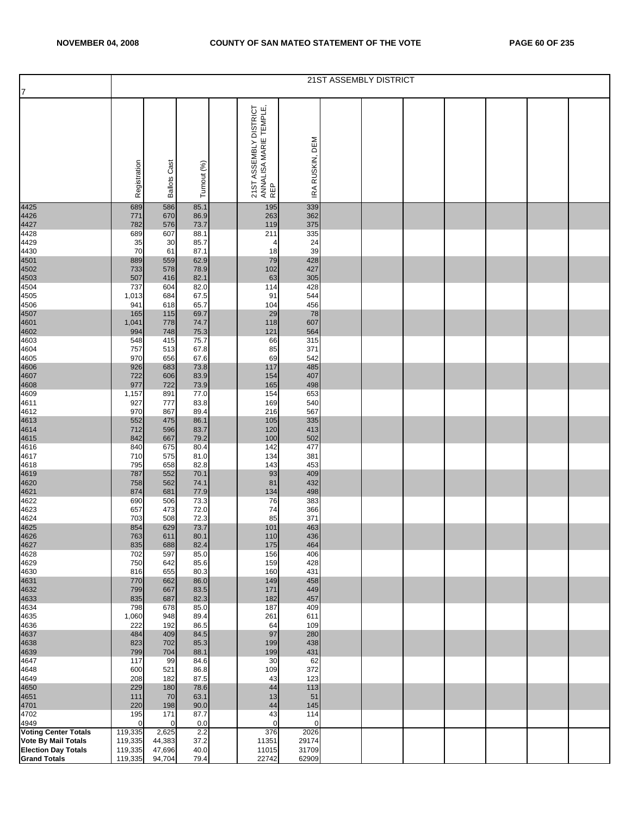|                                                   |                    |                     |              |                                                         |                 | 21ST ASSEMBLY DISTRICT |  |  |  |
|---------------------------------------------------|--------------------|---------------------|--------------|---------------------------------------------------------|-----------------|------------------------|--|--|--|
| 7                                                 |                    |                     |              |                                                         |                 |                        |  |  |  |
|                                                   | Registration       | <b>Ballots Cast</b> | Turnout (%)  | 21ST ASSEMBLY DISTRICT<br>ANNALISA MARIE TEMPLE,<br>REP | IRA RUSKIN, DEM |                        |  |  |  |
| 4425                                              | 689                | 586                 | 85.1         | 195                                                     | 339             |                        |  |  |  |
| 4426<br>4427<br>4428                              | 771                | 670                 | 86.9         | 263                                                     | 362             |                        |  |  |  |
|                                                   | 782<br>689         | 576<br>607          | 73.7<br>88.1 | 119<br>211                                              | 375<br>335      |                        |  |  |  |
| 4429                                              | 35                 | 30                  | 85.7         | 4                                                       | 24              |                        |  |  |  |
| 4430                                              | 70                 | 61                  | 87.1         | 18                                                      | 39              |                        |  |  |  |
| 4501<br>4502<br>4503<br>4504                      | 889                | 559                 | 62.9         | 79                                                      | 428             |                        |  |  |  |
|                                                   | 733                | 578                 | 78.9         | 102                                                     | 427             |                        |  |  |  |
|                                                   | 507<br>737         | 416<br>604          | 82.1<br>82.0 | 63<br>114                                               | 305<br>428      |                        |  |  |  |
| 4505                                              | 1,013              | 684                 | 67.5         | 91                                                      | 544             |                        |  |  |  |
| 4506                                              | 941                | 618                 | 65.7         | 104                                                     | 456             |                        |  |  |  |
|                                                   | 165                | 115                 | 69.7         | 29                                                      | 78              |                        |  |  |  |
| 4507<br>4601<br>4602                              | 1,041              | 778                 | 74.7         | 118                                                     | 607             |                        |  |  |  |
| 4603                                              | 994                | 748                 | 75.3         | 121                                                     | 564             |                        |  |  |  |
| 4604                                              | 548<br>757         | 415<br>513          | 75.7<br>67.8 | 66<br>85                                                | 315<br>371      |                        |  |  |  |
| 4605                                              | 970                | 656                 | 67.6         | 69                                                      | 542             |                        |  |  |  |
| 4606<br>4607<br>4608<br>4609                      | 926                | 683                 | 73.8         | 117                                                     | 485             |                        |  |  |  |
|                                                   | 722                | 606                 | 83.9         | 154                                                     | 407             |                        |  |  |  |
|                                                   | 977                | 722                 | 73.9         | 165                                                     | 498             |                        |  |  |  |
| 4611                                              | 1,157<br>927       | 891<br>777          | 77.0<br>83.8 | 154<br>169                                              | 653<br>540      |                        |  |  |  |
| 4612                                              | 970                | 867                 | 89.4         | 216                                                     | 567             |                        |  |  |  |
| 4613<br>4614<br>4615<br>4616                      | 552                | 475                 | 86.1         | 105                                                     | 335             |                        |  |  |  |
|                                                   | 712                | 596                 | 83.7         | 120                                                     | 413             |                        |  |  |  |
|                                                   | 842<br>840         | 667<br>675          | 79.2         | 100<br>142                                              | 502             |                        |  |  |  |
| 4617                                              | 710                | 575                 | 80.4<br>81.0 | 134                                                     | 477<br>381      |                        |  |  |  |
| 4618                                              | 795                | 658                 | 82.8         | 143                                                     | 453             |                        |  |  |  |
|                                                   | 787                | 552                 | 70.1         | 93                                                      | 409             |                        |  |  |  |
| 4619<br>4620<br>4621<br>4622                      | 758                | 562                 | 74.1         | 81                                                      | 432             |                        |  |  |  |
|                                                   | 874<br>690         | 681<br>506          | 77.9<br>73.3 | 134<br>76                                               | 498<br>383      |                        |  |  |  |
| 4623                                              | 657                | 473                 | 72.0         | 74                                                      | 366             |                        |  |  |  |
| 4624                                              | 703                | 508                 | 72.3         | 85                                                      | 371             |                        |  |  |  |
| 4625                                              | 854                | 629                 | 73.7         | 101                                                     | 463             |                        |  |  |  |
| 4626<br>4627                                      | 763                | 611                 | 80.1         | 110                                                     | 436             |                        |  |  |  |
| 4628                                              | 835<br>702         | 688<br>597          | 82.4<br>85.0 | 175<br>156                                              | 464<br>406      |                        |  |  |  |
| 4629                                              | 750                | 642                 | 85.6         | 159                                                     | 428             |                        |  |  |  |
| 4630                                              | 816                | 655                 | 80.3         | 160                                                     | 431             |                        |  |  |  |
| 4631<br>4632<br>4633                              | 770                | 662                 | 86.0         | 149                                                     | 458             |                        |  |  |  |
|                                                   | 799<br>835         | 667                 | 83.5<br>82.3 | 171                                                     | 449             |                        |  |  |  |
| 4634                                              | 798                | 687<br>678          | 85.0         | 182<br>187                                              | 457<br>409      |                        |  |  |  |
| 4635                                              | 1,060              | 948                 | 89.4         | 261                                                     | 611             |                        |  |  |  |
| 4636                                              | 222                | 192                 | 86.5         | 64                                                      | 109             |                        |  |  |  |
| 4637                                              | 484                | 409                 | 84.5         | 97                                                      | 280             |                        |  |  |  |
| 4638<br>4639                                      | 823<br>799         | 702<br>704          | 85.3<br>88.1 | 199<br>199                                              | 438<br>431      |                        |  |  |  |
| 4647                                              | 117                | 99                  | 84.6         | 30                                                      | 62              |                        |  |  |  |
| 4648                                              | 600                | 521                 | 86.8         | 109                                                     | 372             |                        |  |  |  |
| 4649                                              | 208                | 182                 | 87.5         | 43                                                      | 123             |                        |  |  |  |
| 4650<br>4651                                      | 229                | 180                 | 78.6         | 44                                                      | 113             |                        |  |  |  |
| 4701                                              | 111<br>220         | 70<br>198           | 63.1<br>90.0 | 13<br>44                                                | 51<br>145       |                        |  |  |  |
| 4702                                              | 195                | 171                 | 87.7         | 43                                                      | 114             |                        |  |  |  |
| 4949                                              | $\Omega$           | 0                   | 0.0          | $\mathbf 0$                                             | 0               |                        |  |  |  |
| <b>Voting Center Totals</b>                       | 119,335            | 2,625               | 2.2          | 376                                                     | 2026            |                        |  |  |  |
| Vote By Mail Totals                               | 119,335            | 44,383              | 37.2         | 11351                                                   | 29174           |                        |  |  |  |
| <b>Election Day Totals</b><br><b>Grand Totals</b> | 119,335<br>119,335 | 47,696<br>94,704    | 40.0<br>79.4 | 11015<br>22742                                          | 31709<br>62909  |                        |  |  |  |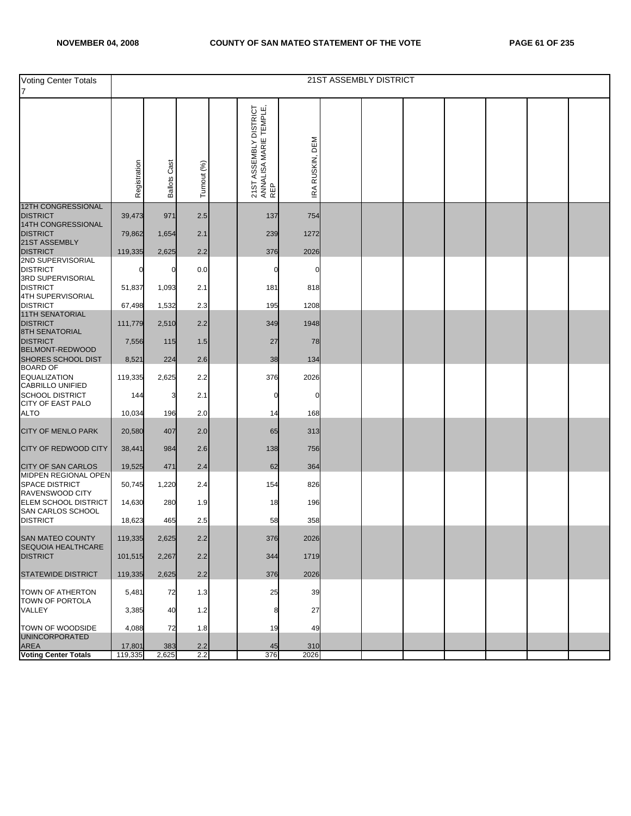| <b>Voting Center Totals</b><br>7                                  |              |                     |             |                                                         |                 | <b>21ST ASSEMBLY DISTRICT</b> |  |  |  |
|-------------------------------------------------------------------|--------------|---------------------|-------------|---------------------------------------------------------|-----------------|-------------------------------|--|--|--|
|                                                                   | Registration | <b>Ballots Cast</b> | Turnout (%) | 21ST ASSEMBLY DISTRICT<br>ANNALISA MARIE TEMPLE,<br>REP | IRA RUSKIN, DEM |                               |  |  |  |
| <b>12TH CONGRESSIONAL</b><br><b>DISTRICT</b>                      | 39,473       | 971                 | 2.5         | 137                                                     | 754             |                               |  |  |  |
| 14TH CONGRESSIONAL<br><b>DISTRICT</b>                             | 79,862       | 1,654               | 2.1         | 239                                                     | 1272            |                               |  |  |  |
| 21ST ASSEMBLY<br><b>DISTRICT</b>                                  | 119,335      | 2,625               | 2.2         | 376                                                     | 2026            |                               |  |  |  |
| 2ND SUPERVISORIAL                                                 |              |                     |             |                                                         |                 |                               |  |  |  |
| <b>DISTRICT</b><br>3RD SUPERVISORIAL                              |              | 0                   | 0.0         | O                                                       | C               |                               |  |  |  |
| <b>DISTRICT</b><br>4TH SUPERVISORIAL                              | 51,837       | 1,093               | 2.1         | 181                                                     | 818             |                               |  |  |  |
| <b>DISTRICT</b>                                                   | 67,498       | 1,532               | 2.3         | 195                                                     | 1208            |                               |  |  |  |
| 11TH SENATORIAL<br><b>DISTRICT</b><br><b>8TH SENATORIAL</b>       | 111,779      | 2,510               | 2.2         | 349                                                     | 1948            |                               |  |  |  |
| <b>DISTRICT</b>                                                   | 7,556        | 115                 | 1.5         | 27                                                      | 78              |                               |  |  |  |
| <b>BELMONT-REDWOOD</b><br>SHORES SCHOOL DIST                      | 8,521        | 224                 | 2.6         | 38                                                      | 134             |                               |  |  |  |
| <b>BOARD OF</b><br><b>EQUALIZATION</b><br><b>CABRILLO UNIFIED</b> | 119,335      | 2,625               | 2.2         | 376                                                     | 2026            |                               |  |  |  |
| <b>SCHOOL DISTRICT</b>                                            | 144          | 3                   | 2.1         | 0                                                       | 0               |                               |  |  |  |
| <b>CITY OF EAST PALO</b><br><b>ALTO</b>                           | 10,034       | 196                 | 2.0         | 14                                                      | 168             |                               |  |  |  |
| <b>CITY OF MENLO PARK</b>                                         | 20,580       | 407                 | 2.0         | 65                                                      | 313             |                               |  |  |  |
| <b>CITY OF REDWOOD CITY</b>                                       | 38,441       | 984                 | 2.6         | 138                                                     | 756             |                               |  |  |  |
| <b>CITY OF SAN CARLOS</b>                                         | 19,525       | 471                 | 2.4         | 62                                                      | 364             |                               |  |  |  |
| MIDPEN REGIONAL OPEN<br><b>SPACE DISTRICT</b><br>RAVENSWOOD CITY  | 50,745       | 1,220               | 2.4         | 154                                                     | 826             |                               |  |  |  |
| ELEM SCHOOL DISTRICT<br>SAN CARLOS SCHOOL                         | 14,630       | 280                 | 1.9         | 18                                                      | 196             |                               |  |  |  |
| <b>DISTRICT</b>                                                   | 18,623       | 465                 | 2.5         | 58                                                      | 358             |                               |  |  |  |
| SAN MATEO COUNTY<br><b>SEQUOIA HEALTHCARE</b>                     | 119,335      | 2,625               | 2.2         | 376                                                     | 2026            |                               |  |  |  |
| <b>DISTRICT</b>                                                   | 101,515      | 2,267               | 2.2         | 344                                                     | 1719            |                               |  |  |  |
| <b>STATEWIDE DISTRICT</b>                                         | 119,335      | 2,625               | 2.2         | 376                                                     | 2026            |                               |  |  |  |
| TOWN OF ATHERTON<br>TOWN OF PORTOLA                               | 5,481        | 72                  | 1.3         | 25                                                      | 39              |                               |  |  |  |
| VALLEY                                                            | 3,385        | 40                  | 1.2         | 8                                                       | 27              |                               |  |  |  |
| TOWN OF WOODSIDE                                                  | 4,088        | 72                  | 1.8         | 19                                                      | 49              |                               |  |  |  |
| <b>UNINCORPORATED</b><br>AREA                                     | 17,801       | 383                 | 2.2         | 45                                                      | 310             |                               |  |  |  |
| <b>Voting Center Totals</b>                                       | 119,335      | 2,625               | 2.2         | 376                                                     | 2026            |                               |  |  |  |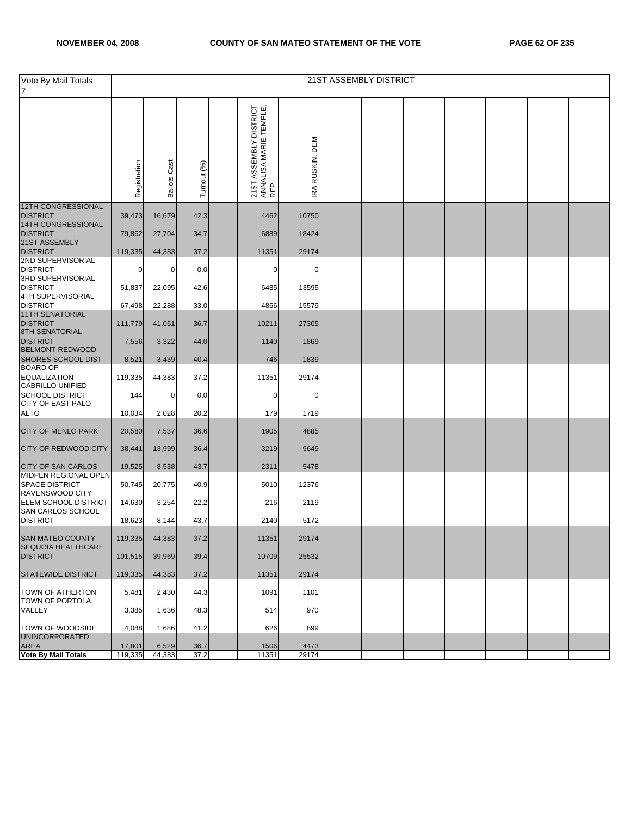| Vote By Mail Totals<br>7                                                |              |                     |             |                                                         |                 | 21ST ASSEMBLY DISTRICT |  |  |  |
|-------------------------------------------------------------------------|--------------|---------------------|-------------|---------------------------------------------------------|-----------------|------------------------|--|--|--|
|                                                                         | Registration | <b>Ballots Cast</b> | Turnout (%) | 21ST ASSEMBLY DISTRICT<br>ANNALISA MARIE TEMPLE,<br>REP | IRA RUSKIN, DEM |                        |  |  |  |
| <b>12TH CONGRESSIONAL</b><br><b>DISTRICT</b>                            | 39,473       | 16,679              | 42.3        | 4462                                                    | 10750           |                        |  |  |  |
| 14TH CONGRESSIONAL<br><b>DISTRICT</b>                                   | 79,862       | 27,704              | 34.7        | 6889                                                    | 18424           |                        |  |  |  |
| 21ST ASSEMBLY<br><b>DISTRICT</b>                                        | 119,335      | 44,383              | 37.2        | 11351                                                   | 29174           |                        |  |  |  |
| 2ND SUPERVISORIAL<br><b>DISTRICT</b>                                    | 0            | $\mathbf 0$         | 0.0         | 0                                                       | 0               |                        |  |  |  |
| 3RD SUPERVISORIAL<br><b>DISTRICT</b>                                    | 51,837       | 22,095              | 42.6        | 6485                                                    | 13595           |                        |  |  |  |
| 4TH SUPERVISORIAL<br><b>DISTRICT</b>                                    | 67,498       | 22,288              | 33.0        | 4866                                                    | 15579           |                        |  |  |  |
| 11TH SENATORIAL<br><b>DISTRICT</b>                                      | 111,779      | 41,061              | 36.7        | 10211                                                   | 27305           |                        |  |  |  |
| <b>8TH SENATORIAL</b><br><b>DISTRICT</b>                                | 7,556        | 3,322               | 44.0        | 1140                                                    | 1869            |                        |  |  |  |
| <b>BELMONT-REDWOOD</b><br>SHORES SCHOOL DIST                            | 8,521        | 3,439               | 40.4        | 746                                                     | 1839            |                        |  |  |  |
| <b>BOARD OF</b><br><b>EQUALIZATION</b>                                  | 119,335      | 44,383              | 37.2        | 11351                                                   | 29174           |                        |  |  |  |
| CABRILLO UNIFIED<br><b>SCHOOL DISTRICT</b>                              | 144          | $\mathbf 0$         | 0.0         | $\mathbf 0$                                             | 0               |                        |  |  |  |
| <b>CITY OF EAST PALO</b><br><b>ALTO</b>                                 | 10,034       | 2,028               | 20.2        | 179                                                     | 1719            |                        |  |  |  |
| <b>CITY OF MENLO PARK</b>                                               | 20,580       | 7,537               | 36.6        | 1905                                                    | 4885            |                        |  |  |  |
| <b>CITY OF REDWOOD CITY</b>                                             | 38,441       | 13,999              | 36.4        | 3219                                                    | 9649            |                        |  |  |  |
| <b>CITY OF SAN CARLOS</b>                                               | 19,525       | 8,538               | 43.7        | 2311                                                    | 5478            |                        |  |  |  |
| <b>MIDPEN REGIONAL OPEN</b><br><b>SPACE DISTRICT</b><br>RAVENSWOOD CITY | 50,745       | 20,775              | 40.9        | 5010                                                    | 12376           |                        |  |  |  |
| ELEM SCHOOL DISTRICT<br>SAN CARLOS SCHOOL                               | 14,630       | 3,254               | 22.2        | 216                                                     | 2119            |                        |  |  |  |
| <b>DISTRICT</b>                                                         | 18,623       | 8,144               | 43.7        | 2140                                                    | 5172            |                        |  |  |  |
| SAN MATEO COUNTY<br><b>SEQUOIA HEALTHCARE</b>                           | 119,335      | 44,383              | 37.2        | 11351                                                   | 29174           |                        |  |  |  |
| <b>DISTRICT</b>                                                         | 101,515      | 39,969              | 39.4        | 10709                                                   | 25532           |                        |  |  |  |
| <b>STATEWIDE DISTRICT</b>                                               | 119,335      | 44.383              | 37.2        | 11351                                                   | 29174           |                        |  |  |  |
| TOWN OF ATHERTON<br>TOWN OF PORTOLA                                     | 5,481        | 2,430               | 44.3        | 1091                                                    | 1101            |                        |  |  |  |
| VALLEY                                                                  | 3,385        | 1,636               | 48.3        | 514                                                     | 970             |                        |  |  |  |
| TOWN OF WOODSIDE<br><b>UNINCORPORATED</b>                               | 4,088        | 1,686               | 41.2        | 626                                                     | 899             |                        |  |  |  |
| <b>AREA</b>                                                             | 17,801       | 6,529               | 36.7        | 1506                                                    | 4473            |                        |  |  |  |
| <b>Vote By Mail Totals</b>                                              | 119,335      | 44,383              | 37.2        | 11351                                                   | 29174           |                        |  |  |  |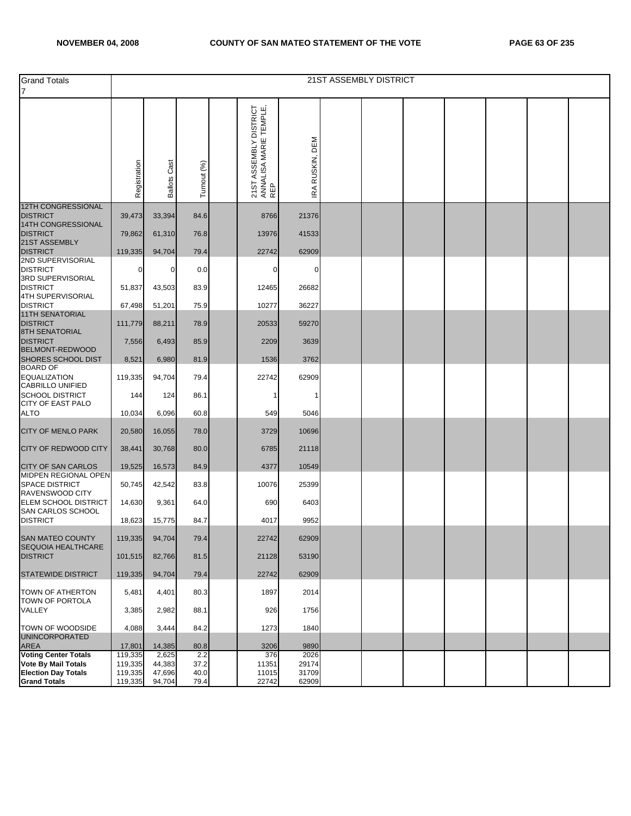| <b>Grand Totals</b><br>$\overline{7}$                                                                  |                    |                     |              |                                                         |                 | 21ST ASSEMBLY DISTRICT |  |  |  |
|--------------------------------------------------------------------------------------------------------|--------------------|---------------------|--------------|---------------------------------------------------------|-----------------|------------------------|--|--|--|
|                                                                                                        | Registration       | <b>Ballots Cast</b> | Turnout (%   | 21ST ASSEMBLY DISTRICT<br>ANNALISA MARIE TEMPLE,<br>REP | IRA RUSKIN, DEM |                        |  |  |  |
| <b>12TH CONGRESSIONAL</b><br><b>DISTRICT</b><br>14TH CONGRESSIONAL<br><b>DISTRICT</b><br>21ST ASSEMBLY | 39,473<br>79,862   | 33,394<br>61,310    | 84.6<br>76.8 | 8766<br>13976                                           | 21376<br>41533  |                        |  |  |  |
| <b>DISTRICT</b><br>2ND SUPERVISORIAL                                                                   | 119,335            | 94,704              | 79.4         | 22742                                                   | 62909           |                        |  |  |  |
| <b>DISTRICT</b><br>3RD SUPERVISORIAL<br><b>DISTRICT</b>                                                | 0<br>51,837        | 0<br>43,503         | 0.0<br>83.9  | 0<br>12465                                              | 0<br>26682      |                        |  |  |  |
| 4TH SUPERVISORIAL<br><b>DISTRICT</b>                                                                   | 67,498             | 51,201              | 75.9         | 10277                                                   | 36227           |                        |  |  |  |
| <b>11TH SENATORIAL</b><br><b>DISTRICT</b><br><b>8TH SENATORIAL</b>                                     | 111,779            | 88,211              | 78.9         | 20533                                                   | 59270           |                        |  |  |  |
| <b>DISTRICT</b><br>BELMONT-REDWOOD                                                                     | 7,556              | 6,493               | 85.9         | 2209                                                    | 3639            |                        |  |  |  |
| SHORES SCHOOL DIST<br><b>BOARD OF</b>                                                                  | 8,521              | 6,980               | 81.9         | 1536                                                    | 3762            |                        |  |  |  |
| <b>EQUALIZATION</b><br><b>CABRILLO UNIFIED</b>                                                         | 119,335            | 94,704              | 79.4         | 22742                                                   | 62909           |                        |  |  |  |
| <b>SCHOOL DISTRICT</b>                                                                                 | 144                | 124                 | 86.1         | -1                                                      | -1              |                        |  |  |  |
| <b>CITY OF EAST PALO</b><br><b>ALTO</b>                                                                | 10,034             | 6,096               | 60.8         | 549                                                     | 5046            |                        |  |  |  |
| <b>CITY OF MENLO PARK</b>                                                                              | 20,580             | 16,055              | 78.0         | 3729                                                    | 10696           |                        |  |  |  |
| CITY OF REDWOOD CITY                                                                                   | 38,441             | 30,768              | 80.0         | 6785                                                    | 21118           |                        |  |  |  |
| CITY OF SAN CARLOS                                                                                     | 19,525             | 16,573              | 84.9         | 4377                                                    | 10549           |                        |  |  |  |
| MIDPEN REGIONAL OPEN<br><b>SPACE DISTRICT</b><br><b>RAVENSWOOD CITY</b>                                | 50,745             | 42,542              | 83.8         | 10076                                                   | 25399           |                        |  |  |  |
| <b>ELEM SCHOOL DISTRICT</b><br><b>SAN CARLOS SCHOOL</b>                                                | 14,630             | 9,361               | 64.0         | 690                                                     | 6403            |                        |  |  |  |
| <b>DISTRICT</b>                                                                                        | 18,623             | 15,775              | 84.7         | 4017                                                    | 9952            |                        |  |  |  |
| SAN MATEO COUNTY<br>SEQUOIA HEALTHCARE                                                                 | 119,335            | 94,704              | 79.4         | 22742                                                   | 62909           |                        |  |  |  |
| <b>DISTRICT</b>                                                                                        | 101,515            | 82,766              | 81.5         | 21128                                                   | 53190           |                        |  |  |  |
| STATEWIDE DISTRICT                                                                                     | 119,335            | 94,704              | 79.4         | 22742                                                   | 62909           |                        |  |  |  |
| <b>TOWN OF ATHERTON</b><br>TOWN OF PORTOLA                                                             | 5,481              | 4,401               | 80.3         | 1897                                                    | 2014            |                        |  |  |  |
| VALLEY                                                                                                 | 3,385              | 2,982               | 88.1         | 926                                                     | 1756            |                        |  |  |  |
| TOWN OF WOODSIDE<br><b>UNINCORPORATED</b>                                                              | 4,088              | 3,444               | 84.2         | 1273                                                    | 1840            |                        |  |  |  |
| <b>AREA</b><br>Voting Center Totals                                                                    | 17,801             | 14,385              | 80.8         | 3206                                                    | 9890            |                        |  |  |  |
| <b>Vote By Mail Totals</b>                                                                             | 119,335<br>119,335 | 2,625<br>44,383     | 2.2<br>37.2  | 376<br>11351                                            | 2026<br>29174   |                        |  |  |  |
| <b>Election Day Totals</b><br><b>Grand Totals</b>                                                      | 119,335<br>119,335 | 47,696<br>94,704    | 40.0<br>79.4 | 11015<br>22742                                          | 31709<br>62909  |                        |  |  |  |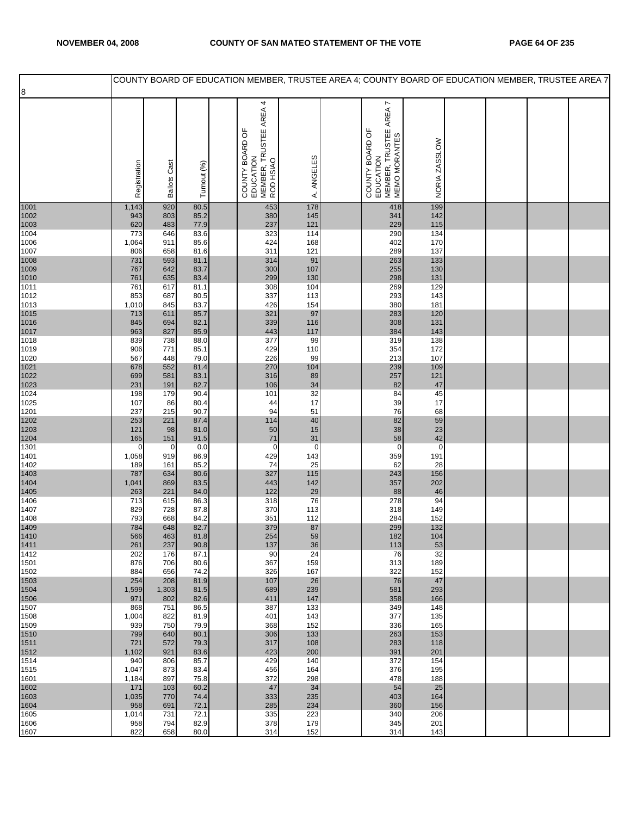|              |              |                     |              |                                                                     |              |                                                                         |               |  | COUNTY BOARD OF EDUCATION MEMBER, TRUSTEE AREA 4; COUNTY BOARD OF EDUCATION MEMBER, TRUSTEE AREA 7 |
|--------------|--------------|---------------------|--------------|---------------------------------------------------------------------|--------------|-------------------------------------------------------------------------|---------------|--|----------------------------------------------------------------------------------------------------|
| 8            |              |                     |              |                                                                     |              |                                                                         |               |  |                                                                                                    |
|              | Registration | <b>Ballots Cast</b> | Turnout (%)  | COUNTY BOARD OF<br>EDUCATION<br>MEMBER, TRUSTEE AREA 4<br>ROD HSIAO | ANGELES<br>₹ | COUNTY BOARD OF<br>EDUCATION<br>MEMBER, TRUSTEE AREA 7<br>MEMO MORANTES | NORIA ZASSLOW |  |                                                                                                    |
| 1001         | 1,143        | 920                 | 80.5         | 453                                                                 | 178          | 418                                                                     | 199           |  |                                                                                                    |
| 1002         | 943          | 803                 | 85.2         | 380                                                                 | 145          | 341                                                                     | 142           |  |                                                                                                    |
| 1003         | 620          | 483                 | 77.9         | 237<br>323                                                          | 121          | 229                                                                     | 115<br>134    |  |                                                                                                    |
| 1004<br>1006 | 773<br>1,064 | 646<br>911          | 83.6<br>85.6 | 424                                                                 | 114<br>168   | 290<br>402                                                              | 170           |  |                                                                                                    |
| 1007         | 806          | 658                 | 81.6         | 311                                                                 | 121          | 289                                                                     | 137           |  |                                                                                                    |
| 1008         | 731          | 593                 | 81.1         | 314                                                                 | 91           | 263                                                                     | 133           |  |                                                                                                    |
| 1009<br>1010 | 767<br>761   | 642<br>635          | 83.7<br>83.4 | 300<br>299                                                          | 107<br>130   | 255<br>298                                                              | 130<br>131    |  |                                                                                                    |
| 1011         | 761          | 617                 | 81.1         | 308                                                                 | 104          | 269                                                                     | 129           |  |                                                                                                    |
| 1012         | 853          | 687                 | 80.5         | 337                                                                 | 113          | 293                                                                     | 143           |  |                                                                                                    |
| 1013         | 1,010        | 845                 | 83.7         | 426                                                                 | 154          | 380                                                                     | 181           |  |                                                                                                    |
| 1015<br>1016 | 713<br>845   | 611<br>694          | 85.7<br>82.1 | 321<br>339                                                          | 97<br>116    | 283<br>308                                                              | 120<br>131    |  |                                                                                                    |
| 1017         | 963          | 827                 | 85.9         | 443                                                                 | 117          | 384                                                                     | 143           |  |                                                                                                    |
| 1018         | 839          | 738                 | 88.0         | 377                                                                 | 99           | 319                                                                     | 138           |  |                                                                                                    |
| 1019<br>1020 | 906<br>567   | 771<br>448          | 85.1<br>79.0 | 429<br>226                                                          | 110<br>99    | 354<br>213                                                              | 172<br>107    |  |                                                                                                    |
| 1021         | 678          | 552                 | 81.4         | 270                                                                 | 104          | 239                                                                     | 109           |  |                                                                                                    |
| 1022         | 699          | 581                 | 83.1         | 316                                                                 | 89           | 257                                                                     | 121           |  |                                                                                                    |
| 1023         | 231          | 191                 | 82.7         | 106                                                                 | 34           | 82                                                                      | 47            |  |                                                                                                    |
| 1024<br>1025 | 198<br>107   | 179<br>86           | 90.4<br>80.4 | 101<br>44                                                           | 32<br>17     | 84                                                                      | 45<br>17      |  |                                                                                                    |
| 1201         | 237          | 215                 | 90.7         | 94                                                                  | 51           | 39<br>76                                                                | 68            |  |                                                                                                    |
| 1202         | 253          | 221                 | 87.4         | 114                                                                 | 40           | 82<br>38                                                                | 59            |  |                                                                                                    |
| 1203<br>1204 | 121<br>165   | 98<br>151           | 81.0<br>91.5 | 50<br>71                                                            | 15<br>31     | 58                                                                      | 23<br>42      |  |                                                                                                    |
| 1301         | 0            | 0                   | 0.0          | $\mathbf 0$                                                         | $\mathbf 0$  | $\mathbf 0$                                                             | $\mathbf 0$   |  |                                                                                                    |
| 1401         | 1,058        | 919                 | 86.9         | 429                                                                 | 143          | 359                                                                     | 191           |  |                                                                                                    |
| 1402<br>1403 | 189<br>787   | 161<br>634          | 85.2<br>80.6 | 74<br>327                                                           | 25<br>115    | 62<br>243                                                               | 28<br>156     |  |                                                                                                    |
| 1404         | 1,041        | 869                 | 83.5         | 443                                                                 | 142          | 357                                                                     | 202           |  |                                                                                                    |
| 1405         | 263          | 221                 | 84.0         | 122                                                                 | 29           | 88                                                                      | 46            |  |                                                                                                    |
| 1406         | 713          | 615                 | 86.3         | 318<br>370                                                          | 76           | 278                                                                     | 94            |  |                                                                                                    |
| 1407<br>1408 | 829<br>793   | 728<br>668          | 87.8<br>84.2 | 351                                                                 | 113<br>112   | 318<br>284                                                              | 149<br>152    |  |                                                                                                    |
| 1409         | 784          | 648                 | 82.7         | 379                                                                 | 87           | 299                                                                     | 132           |  |                                                                                                    |
| 1410         | 566          | 463                 | 81.8         | 254                                                                 | 59           | 182                                                                     | 104           |  |                                                                                                    |
| 1411<br>1412 | 261<br>202   | 237<br>176          | 90.8<br>87.1 | 137<br>90                                                           | 36<br>24     | 113<br>76                                                               | 53<br>32      |  |                                                                                                    |
| 1501         | 876          | 706                 | 80.6         | 367                                                                 | 159          | 313                                                                     | 189           |  |                                                                                                    |
| 1502         | 884          | 656                 | 74.2         | 326                                                                 | 167          | 322                                                                     | 152           |  |                                                                                                    |
| 1503<br>1504 | 254<br>1,599 | 208<br>1,303        | 81.9<br>81.5 | 107<br>689                                                          | 26<br>239    | 76<br>581                                                               | 47<br>293     |  |                                                                                                    |
| 1506         | 971          | 802                 | 82.6         | 411                                                                 | 147          | 358                                                                     | 166           |  |                                                                                                    |
| 1507         | 868          | 751                 | 86.5         | 387                                                                 | 133          | 349                                                                     | 148           |  |                                                                                                    |
| 1508<br>1509 | 1,004<br>939 | 822<br>750          | 81.9<br>79.9 | 401<br>368                                                          | 143<br>152   | 377<br>336                                                              | 135<br>165    |  |                                                                                                    |
| 1510         | 799          | 640                 | 80.1         | 306                                                                 | 133          | 263                                                                     | 153           |  |                                                                                                    |
| 1511         | 721          | 572                 | 79.3         | 317                                                                 | 108          | 283                                                                     | 118           |  |                                                                                                    |
| 1512         | 1,102        | 921                 | 83.6         | 423                                                                 | 200          | 391                                                                     | 201           |  |                                                                                                    |
| 1514<br>1515 | 940<br>1,047 | 806<br>873          | 85.7<br>83.4 | 429<br>456                                                          | 140<br>164   | 372<br>376                                                              | 154<br>195    |  |                                                                                                    |
| 1601         | 1,184        | 897                 | 75.8         | 372                                                                 | 298          | 478                                                                     | 188           |  |                                                                                                    |
| 1602         | 171          | 103                 | 60.2         | 47                                                                  | 34           | 54                                                                      | 25            |  |                                                                                                    |
| 1603<br>1604 | 1,035<br>958 | 770<br>691          | 74.4<br>72.1 | 333<br>285                                                          | 235<br>234   | 403<br>360                                                              | 164<br>156    |  |                                                                                                    |
| 1605         | 1,014        | 731                 | 72.1         | 335                                                                 | 223          | 340                                                                     | 206           |  |                                                                                                    |
| 1606         | 958          | 794                 | 82.9         | 378                                                                 | 179          | 345                                                                     | 201           |  |                                                                                                    |
| 1607         | 822          | 658                 | 80.0         | 314                                                                 | 152          | 314                                                                     | 143           |  |                                                                                                    |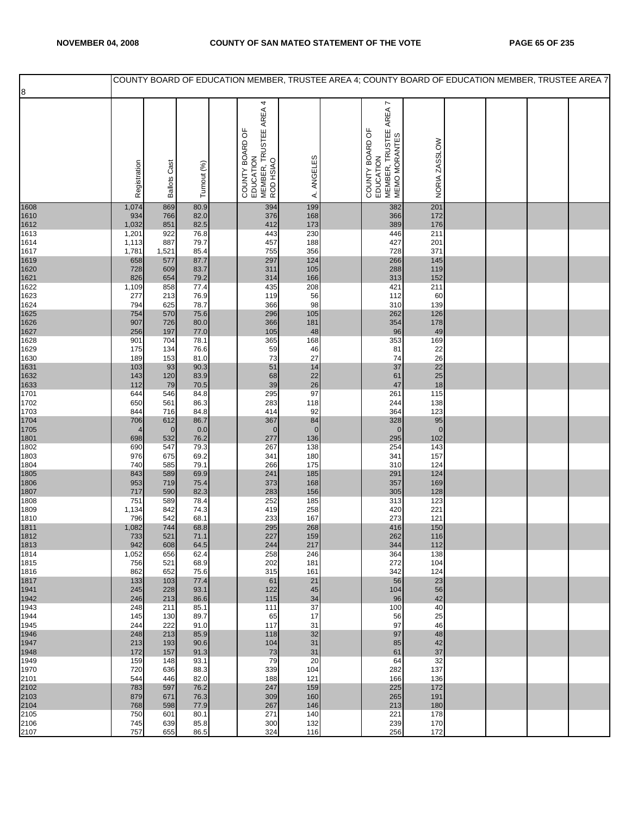|              |                       |                     |              |                                                                     |                    |                                                                         |                  |  | COUNTY BOARD OF EDUCATION MEMBER, TRUSTEE AREA 4; COUNTY BOARD OF EDUCATION MEMBER, TRUSTEE AREA 7 |
|--------------|-----------------------|---------------------|--------------|---------------------------------------------------------------------|--------------------|-------------------------------------------------------------------------|------------------|--|----------------------------------------------------------------------------------------------------|
| 8            |                       |                     |              |                                                                     |                    |                                                                         |                  |  |                                                                                                    |
|              | Registration          | <b>Ballots Cast</b> | Turnout (%)  | COUNTY BOARD OF<br>EDUCATION<br>MEMBER, TRUSTEE AREA 4<br>ROD HSIAO | ANGELES<br>₹       | COUNTY BOARD OF<br>EDUCATION<br>MEMBER, TRUSTEE AREA 7<br>MEMO MORANTES | NORIA ZASSLOW    |  |                                                                                                    |
| 1608         | 1,074                 | 869                 | 80.9         | 394                                                                 | 199                | 382                                                                     | 201              |  |                                                                                                    |
| 1610         | 934                   | 766                 | 82.0         | 376                                                                 | 168                | 366                                                                     | 172              |  |                                                                                                    |
| 1612<br>1613 | 1,032<br>1,201        | 851<br>922          | 82.5<br>76.8 | 412<br>443                                                          | 173<br>230         | 389<br>446                                                              | 176<br>211       |  |                                                                                                    |
| 1614         | 1,113                 | 887                 | 79.7         | 457                                                                 | 188                | 427                                                                     | 201              |  |                                                                                                    |
| 1617         | 1,781                 | 1,521               | 85.4         | 755                                                                 | 356                | 728                                                                     | 371              |  |                                                                                                    |
| 1619<br>1620 | 658<br>728            | 577<br>609          | 87.7<br>83.7 | 297<br>311                                                          | 124<br>105         | 266<br>288                                                              | 145<br>119       |  |                                                                                                    |
| 1621         | 826                   | 654                 | 79.2         | 314                                                                 | 166                | 313                                                                     | 152              |  |                                                                                                    |
| 1622         | 1,109                 | 858                 | 77.4         | 435                                                                 | 208                | 421                                                                     | 211              |  |                                                                                                    |
| 1623<br>1624 | 277<br>794            | 213<br>625          | 76.9<br>78.7 | 119<br>366                                                          | 56<br>98           | 112<br>310                                                              | 60<br>139        |  |                                                                                                    |
| 1625         | 754                   | 570                 | 75.6         | 296                                                                 | 105                | 262                                                                     | 126              |  |                                                                                                    |
| 1626         | 907                   | 726                 | 80.0         | 366                                                                 | 181                | 354                                                                     | 178              |  |                                                                                                    |
| 1627<br>1628 | 256<br>901            | 197<br>704          | 77.0<br>78.1 | 105<br>365                                                          | 48<br>168          | 96<br>353                                                               | 49<br>169        |  |                                                                                                    |
| 1629         | 175                   | 134                 | 76.6         | 59                                                                  | 46                 | 81                                                                      | 22               |  |                                                                                                    |
| 1630<br>1631 | 189<br>103            | 153<br>93           | 81.0<br>90.3 | 73<br>51                                                            | 27<br>14           | 74<br>37                                                                | 26<br>22         |  |                                                                                                    |
| 1632         | 143                   | 120                 | 83.9         | 68                                                                  | 22                 | 61                                                                      | 25               |  |                                                                                                    |
| 1633         | 112                   | 79                  | 70.5         | 39                                                                  | 26                 | 47                                                                      | 18               |  |                                                                                                    |
| 1701<br>1702 | 644<br>650            | 546<br>561          | 84.8<br>86.3 | 295<br>283                                                          | 97<br>118          | 261<br>244                                                              | 115<br>138       |  |                                                                                                    |
| 1703         | 844                   | 716                 | 84.8         | 414                                                                 | 92                 | 364                                                                     | 123              |  |                                                                                                    |
| 1704         | 706                   | 612                 | 86.7         | 367                                                                 | 84                 | 328                                                                     | 95               |  |                                                                                                    |
| 1705<br>1801 | $\overline{4}$<br>698 | $\mathbf 0$<br>532  | 0.0<br>76.2  | $\mathbf 0$<br>277                                                  | $\mathbf 0$<br>136 | $\overline{0}$<br>295                                                   | $\pmb{0}$<br>102 |  |                                                                                                    |
| 1802         | 690                   | 547                 | 79.3         | 267                                                                 | 138                | 254                                                                     | 143              |  |                                                                                                    |
| 1803<br>1804 | 976<br>740            | 675<br>585          | 69.2<br>79.1 | 341<br>266                                                          | 180<br>175         | 341<br>310                                                              | 157<br>124       |  |                                                                                                    |
| 1805         | 843                   | 589                 | 69.9         | 241                                                                 | 185                | 291                                                                     | 124              |  |                                                                                                    |
| 1806         | 953                   | 719                 | 75.4         | 373                                                                 | 168                | 357                                                                     | 169              |  |                                                                                                    |
| 1807<br>1808 | 717<br>751            | 590<br>589          | 82.3<br>78.4 | 283<br>252                                                          | 156<br>185         | 305<br>313                                                              | 128<br>123       |  |                                                                                                    |
| 1809         | 1,134                 | 842                 | 74.3         | 419                                                                 | 258                | 420                                                                     | 221              |  |                                                                                                    |
| 1810         | 796                   | 542<br>744          | 68.1         | 233                                                                 | 167                | 273                                                                     | 121              |  |                                                                                                    |
| 1811<br>1812 | 1,082<br>733          | 521                 | 68.8<br>71.1 | 295<br>227                                                          | 268<br>159         | 416<br>262                                                              | 150<br>116       |  |                                                                                                    |
| 1813         | 942                   | 608                 | 64.5         | 244                                                                 | 217                | 344                                                                     | 112              |  |                                                                                                    |
| 1814<br>1815 | 1,052<br>756          | 656<br>521          | 62.4<br>68.9 | 258<br>202                                                          | 246<br>181         | 364<br>272                                                              | 138<br>104       |  |                                                                                                    |
| 1816         | 862                   | 652                 | 75.6         | 315                                                                 | 161                | 342                                                                     | 124              |  |                                                                                                    |
| 1817         | 133                   | 103                 | 77.4         | 61                                                                  | 21                 | 56                                                                      | 23               |  |                                                                                                    |
| 1941<br>1942 | 245<br>246            | 228<br>213          | 93.1<br>86.6 | 122<br>115                                                          | 45<br>34           | 104<br>96                                                               | 56<br>42         |  |                                                                                                    |
| 1943         | 248                   | 211                 | 85.1         | 111                                                                 | 37                 | 100                                                                     | 40               |  |                                                                                                    |
| 1944         | 145<br>244            | 130<br>222          | 89.7<br>91.0 | 65<br>117                                                           | 17<br>31           | 56<br>97                                                                | 25<br>46         |  |                                                                                                    |
| 1945<br>1946 | 248                   | 213                 | 85.9         | 118                                                                 | 32                 | 97                                                                      | 48               |  |                                                                                                    |
| 1947         | 213                   | 193                 | 90.6         | 104                                                                 | 31                 | 85                                                                      | 42               |  |                                                                                                    |
| 1948<br>1949 | 172<br>159            | 157<br>148          | 91.3<br>93.1 | 73<br>79                                                            | 31<br>20           | 61<br>64                                                                | 37<br>32         |  |                                                                                                    |
| 1970         | 720                   | 636                 | 88.3         | 339                                                                 | 104                | 282                                                                     | 137              |  |                                                                                                    |
| 2101         | 544                   | 446                 | 82.0         | 188                                                                 | 121                | 166                                                                     | 136              |  |                                                                                                    |
| 2102<br>2103 | 783<br>879            | 597<br>671          | 76.2<br>76.3 | 247<br>309                                                          | 159<br>160         | 225<br>265                                                              | 172<br>191       |  |                                                                                                    |
| 2104         | 768                   | 598                 | 77.9         | 267                                                                 | 146                | 213                                                                     | 180              |  |                                                                                                    |
| 2105<br>2106 | 750<br>745            | 601<br>639          | 80.1<br>85.8 | 271<br>300                                                          | 140<br>132         | 221<br>239                                                              | 178<br>170       |  |                                                                                                    |
| 2107         | 757                   | 655                 | 86.5         | 324                                                                 | 116                | 256                                                                     | 172              |  |                                                                                                    |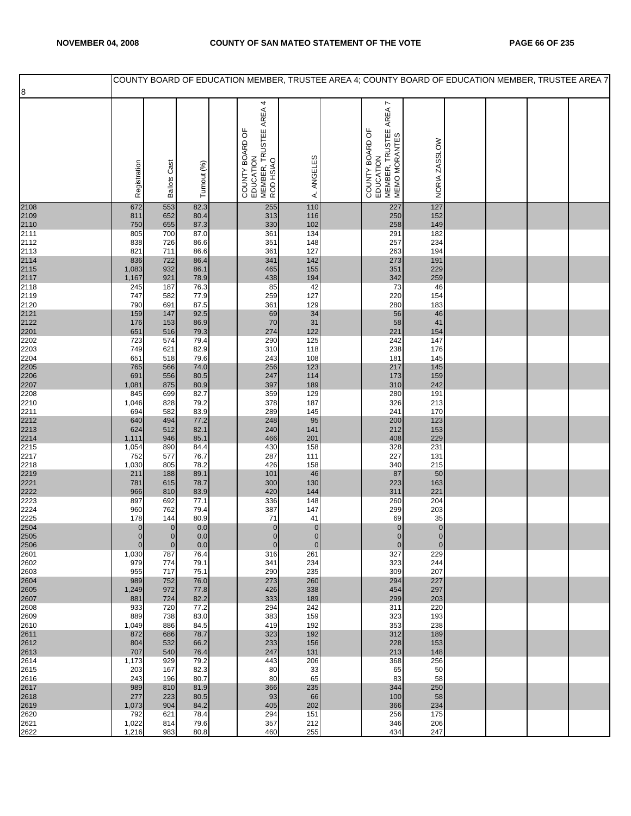|              |                          |                                   |              |                                                                     |                            | COUNTY BOARD OF EDUCATION MEMBER, TRUSTEE AREA 4; COUNTY BOARD OF EDUCATION MEMBER, TRUSTEE AREA 7 |                          |  |  |
|--------------|--------------------------|-----------------------------------|--------------|---------------------------------------------------------------------|----------------------------|----------------------------------------------------------------------------------------------------|--------------------------|--|--|
| 8            |                          |                                   |              |                                                                     |                            |                                                                                                    |                          |  |  |
|              | Registration             | <b>Ballots Cast</b>               | Turnout (%)  | MEMBER, TRUSTEE AREA 4<br>ROD HSIAO<br>COUNTY BOARD OF<br>EDUCATION | A. ANGELES                 | MEMBER, TRUSTEE AREA 7<br>MEMO MORANTES<br>COUNTY BOARD OF<br>EDUCATION                            | NORIA ZASSLOW            |  |  |
| 2108         | 672                      | 553                               | 82.3         | 255                                                                 | 110                        | 227                                                                                                | 127                      |  |  |
| 2109         | 811                      | 652<br>655                        | 80.4         | 313<br>330                                                          | 116                        | 250<br>258                                                                                         | 152                      |  |  |
| 2110<br>2111 | 750<br>805               | 700                               | 87.3<br>87.0 | 361                                                                 | 102<br>134                 | 291                                                                                                | 149<br>182               |  |  |
| 2112         | 838                      | 726                               | 86.6         | 351                                                                 | 148                        | 257                                                                                                | 234                      |  |  |
| 2113<br>2114 | 821<br>836               | 711<br>722                        | 86.6<br>86.4 | 361<br>341                                                          | 127<br>142                 | 263<br>273                                                                                         | 194<br>191               |  |  |
| 2115         | 1,083                    | 932                               | 86.1         | 465                                                                 | 155                        | 351                                                                                                | 229                      |  |  |
| 2117         | 1,167                    | 921                               | 78.9         | 438                                                                 | 194                        | 342                                                                                                | 259                      |  |  |
| 2118<br>2119 | 245<br>747               | 187<br>582                        | 76.3<br>77.9 | 85<br>259                                                           | 42<br>127                  | 73<br>220                                                                                          | 46<br>154                |  |  |
| 2120         | 790                      | 691                               | 87.5         | 361                                                                 | 129                        | 280                                                                                                | 183                      |  |  |
| 2121<br>2122 | 159<br>176               | 147<br>153                        | 92.5<br>86.9 | 69<br>70                                                            | 34<br>31                   | $rac{100}{56}$                                                                                     | 46<br>41                 |  |  |
| 2201         | 651                      | 516                               | 79.3         | 274                                                                 | 122                        | 221                                                                                                | 154                      |  |  |
| 2202         | 723                      | 574                               | 79.4         | 290                                                                 | 125                        | 242                                                                                                | 147                      |  |  |
| 2203<br>2204 | 749<br>651               | 621<br>518                        | 82.9<br>79.6 | 310<br>243                                                          | 118<br>108                 | 238<br>181                                                                                         | 176<br>145               |  |  |
| 2205         | 765                      | 566                               | 74.0         | 256                                                                 | 123                        | 217                                                                                                | 145                      |  |  |
| 2206<br>2207 | 691<br>1,081             | 556<br>875                        | 80.5<br>80.9 | 247<br>397                                                          | 114<br>189                 | 173<br>310                                                                                         | 159<br>242               |  |  |
| 2208         | 845                      | 699                               | 82.7         | 359                                                                 | 129                        | 280                                                                                                | 191                      |  |  |
| 2210         | 1,046                    | 828                               | 79.2         | 378                                                                 | 187                        | 326                                                                                                | 213                      |  |  |
| 2211<br>2212 | 694<br>640               | 582<br>494                        | 83.9<br>77.2 | 289<br>248                                                          | 145<br>95                  | 241<br>200                                                                                         | 170<br>123               |  |  |
| 2213         | 624                      | 512                               | 82.1         | 240                                                                 | 141                        | 212                                                                                                | 153                      |  |  |
| 2214<br>2215 | 1,111<br>1,054           | 946<br>890                        | 85.1<br>84.4 | 466<br>430                                                          | 201<br>158                 | 408<br>328                                                                                         | 229<br>231               |  |  |
| 2217         | 752                      | 577                               | 76.7         | 287                                                                 | 111                        | 227                                                                                                | 131                      |  |  |
| 2218         | 1,030                    | 805                               | 78.2         | 426                                                                 | 158                        | 340                                                                                                | 215                      |  |  |
| 2219<br>2221 | 211<br>781               | 188<br>615                        | 89.1<br>78.7 | 101<br>300                                                          | 46<br>130                  | 87<br>223                                                                                          | 50<br>163                |  |  |
| 2222         | 966                      | 810                               | 83.9         | 420                                                                 | 144                        | 311                                                                                                | 221                      |  |  |
| 2223<br>2224 | 897<br>960               | 692<br>762                        | 77.1<br>79.4 | 336<br>387                                                          | 148<br>147                 | 260<br>299                                                                                         | 204<br>203               |  |  |
| 2225         | 178                      | 144                               | 80.9         | 71                                                                  | 41                         | 69                                                                                                 | 35                       |  |  |
| 2504         | $\mathbf{0}$             | $\pmb{0}$                         | 0.0          | $\mathbf{0}$                                                        | $\overline{O}$             | $\pmb{0}$                                                                                          | $\overline{0}$           |  |  |
| 2505<br>2506 | $\pmb{0}$<br>$\mathbf 0$ | $\pmb{\mathsf{O}}$<br>$\mathbf 0$ | 0.0<br>0.0   | $\overline{0}$<br>$\mathbf 0$                                       | $\mathbf 0$<br>$\mathbf 0$ | $\mathbf 0$                                                                                        | $\pmb{0}$<br>$\mathbf 0$ |  |  |
| 2601         | 1,030                    | 787                               | 76.4         | 316                                                                 | 261                        | 327                                                                                                | 229                      |  |  |
| 2602<br>2603 | 979<br>955               | 774<br>717                        | 79.1<br>75.1 | 341<br>290                                                          | 234<br>235                 | 323<br>309                                                                                         | 244<br>207               |  |  |
| 2604         | 989                      | 752                               | 76.0         | 273                                                                 | 260                        | 294                                                                                                | 227                      |  |  |
| 2605         | 1,249<br>881             | 972<br>724                        | 77.8<br>82.2 | 426<br>333                                                          | 338<br>189                 | 454<br>299                                                                                         | 297<br>203               |  |  |
| 2607<br>2608 | 933                      | 720                               | 77.2         | 294                                                                 | 242                        | 311                                                                                                | 220                      |  |  |
| 2609         | 889                      | 738                               | 83.0         | 383                                                                 | 159                        | 323                                                                                                | 193                      |  |  |
| 2610<br>2611 | 1,049<br>872             | 886<br>686                        | 84.5<br>78.7 | 419<br>323                                                          | 192<br>192                 | 353<br>312                                                                                         | 238<br>189               |  |  |
| 2612         | 804                      | 532                               | 66.2         | 233                                                                 | 156                        | 228                                                                                                | 153                      |  |  |
| 2613<br>2614 | 707<br>1,173             | 540<br>929                        | 76.4<br>79.2 | 247<br>443                                                          | 131<br>206                 | 213<br>368                                                                                         | 148<br>256               |  |  |
| 2615         | 203                      | 167                               | 82.3         | 80                                                                  | 33                         | 65                                                                                                 | 50                       |  |  |
| 2616         | 243                      | 196                               | 80.7         | 80                                                                  | 65                         | 83                                                                                                 | 58                       |  |  |
| 2617<br>2618 | 989<br>277               | 810<br>223                        | 81.9<br>80.5 | 366<br>93                                                           | 235<br>66                  | 344<br>100                                                                                         | 250<br>58                |  |  |
| 2619         | 1,073                    | 904                               | 84.2         | 405                                                                 | 202                        | 366                                                                                                | 234                      |  |  |
| 2620<br>2621 | 792<br>1,022             | 621<br>814                        | 78.4<br>79.6 | 294<br>357                                                          | 151<br>212                 | 256<br>346                                                                                         | 175<br>206               |  |  |
| 2622         | 1,216                    | 983                               | 80.8         | 460                                                                 | 255                        | 434                                                                                                | 247                      |  |  |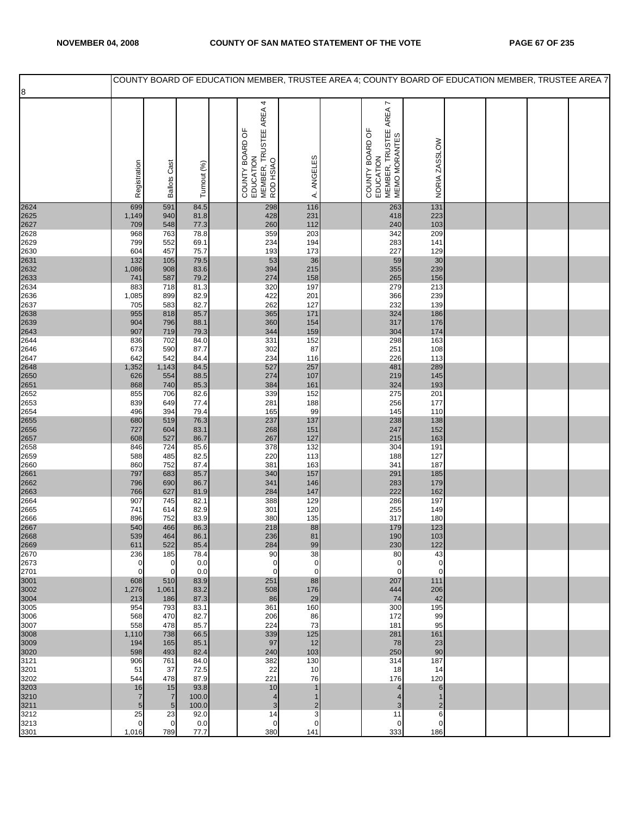|              |                    |                       |               |                                                                     |                     |                                                                         |                    |  | COUNTY BOARD OF EDUCATION MEMBER, TRUSTEE AREA 4; COUNTY BOARD OF EDUCATION MEMBER, TRUSTEE AREA 7 |  |
|--------------|--------------------|-----------------------|---------------|---------------------------------------------------------------------|---------------------|-------------------------------------------------------------------------|--------------------|--|----------------------------------------------------------------------------------------------------|--|
| 8            |                    |                       |               |                                                                     |                     |                                                                         |                    |  |                                                                                                    |  |
|              | Registration       | <b>Ballots Cast</b>   | Turnout (%)   | COUNTY BOARD OF<br>EDUCATION<br>MEMBER, TRUSTEE AREA 4<br>ROD HSIAO | A. ANGELES          | COUNTY BOARD OF<br>EDUCATION<br>MEMBER, TRUSTEE AREA 7<br>MEMO MORANTES | NORIA ZASSLOW      |  |                                                                                                    |  |
| 2624         | 699                | 591                   | 84.5          | 298                                                                 | 116                 | 263                                                                     | 131                |  |                                                                                                    |  |
| 2625         | 1,149              | 940                   | 81.8          | 428                                                                 | 231                 | 418                                                                     | 223                |  |                                                                                                    |  |
| 2627<br>2628 | 709<br>968         | 548<br>763            | 77.3<br>78.8  | 260<br>359                                                          | 112<br>203          | 240<br>342                                                              | 103<br>209         |  |                                                                                                    |  |
| 2629         | 799                | 552                   | 69.1          | 234                                                                 | 194                 | 283                                                                     | 141                |  |                                                                                                    |  |
| 2630         | 604                | 457                   | 75.7          | 193                                                                 | 173                 | 227                                                                     | 129                |  |                                                                                                    |  |
| 2631<br>2632 | 132<br>1,086       | 105<br>908            | 79.5<br>83.6  | 53<br>394                                                           | 36<br>215           | 59<br>355                                                               | $30\,$<br>239      |  |                                                                                                    |  |
| 2633         | 741                | 587                   | 79.2          | 274                                                                 | 158                 | 265                                                                     | 156                |  |                                                                                                    |  |
| 2634         | 883                | 718                   | 81.3          | 320                                                                 | 197                 | 279                                                                     | 213                |  |                                                                                                    |  |
| 2636<br>2637 | 1,085<br>705       | 899<br>583            | 82.9<br>82.7  | 422<br>262                                                          | 201<br>127          | 366<br>232                                                              | 239<br>139         |  |                                                                                                    |  |
| 2638         | 955                | 818                   | 85.7          | 365                                                                 | 171                 | 324                                                                     | 186                |  |                                                                                                    |  |
| 2639         | 904                | 796                   | 88.1          | 360                                                                 | 154                 | 317                                                                     | 176                |  |                                                                                                    |  |
| 2643<br>2644 | 907<br>836         | 719<br>702            | 79.3<br>84.0  | 344<br>331                                                          | 159<br>152          | 304<br>298                                                              | 174<br>163         |  |                                                                                                    |  |
| 2646         | 673                | 590                   | 87.7          | 302                                                                 | 87                  | 251                                                                     | 108                |  |                                                                                                    |  |
| 2647         | 642                | 542                   | 84.4          | 234                                                                 | 116                 | 226                                                                     | 113                |  |                                                                                                    |  |
| 2648<br>2650 | 1,352<br>626       | 1,143<br>554          | 84.5<br>88.5  | 527<br>274                                                          | 257<br>107          | 481<br>219                                                              | 289<br>145         |  |                                                                                                    |  |
| 2651         | 868                | 740                   | 85.3          | 384                                                                 | 161                 | 324                                                                     | 193                |  |                                                                                                    |  |
| 2652         | 855                | 706                   | 82.6          | 339                                                                 | 152                 | 275                                                                     | 201                |  |                                                                                                    |  |
| 2653<br>2654 | 839<br>496         | 649<br>394            | 77.4<br>79.4  | 281<br>165                                                          | 188<br>99           | 256<br>145                                                              | 177<br>110         |  |                                                                                                    |  |
| 2655         | 680                | 519                   | 76.3          | 237                                                                 | 137                 | 238                                                                     | 138                |  |                                                                                                    |  |
| 2656         | 727                | 604                   | 83.1          | 268                                                                 | 151                 | 247                                                                     | 152                |  |                                                                                                    |  |
| 2657<br>2658 | 608<br>846         | 527<br>724            | 86.7<br>85.6  | 267<br>378                                                          | 127<br>132          | 215<br>304                                                              | 163<br>191         |  |                                                                                                    |  |
| 2659         | 588                | 485                   | 82.5          | 220                                                                 | 113                 | 188                                                                     | 127                |  |                                                                                                    |  |
| 2660         | 860                | 752                   | 87.4          | 381<br>340                                                          | 163                 | 341                                                                     | 187                |  |                                                                                                    |  |
| 2661<br>2662 | 797<br>796         | 683<br>690            | 85.7<br>86.7  | 341                                                                 | 157<br>146          | 291<br>283                                                              | 185<br>179         |  |                                                                                                    |  |
| 2663         | 766                | 627                   | 81.9          | 284                                                                 | 147                 | 222                                                                     | 162                |  |                                                                                                    |  |
| 2664<br>2665 | 907<br>741         | 745<br>614            | 82.1<br>82.9  | 388<br>301                                                          | 129<br>120          | 286<br>255                                                              | 197<br>149         |  |                                                                                                    |  |
| 2666         | 896                | 752                   | 83.9          | 380                                                                 | 135                 | 317                                                                     | 180                |  |                                                                                                    |  |
| 2667         | 540                | 466                   | 86.3          | 218                                                                 | 88                  | 179                                                                     | 123                |  |                                                                                                    |  |
| 2668<br>2669 | 539<br>611         | 464<br>522            | 86.1<br>85.4  | 236<br>284                                                          | 81<br>99            | 190<br>230                                                              | 103<br>122         |  |                                                                                                    |  |
| 2670         | 236                | 185                   | 78.4          | 90                                                                  | 38                  | 80                                                                      | 43                 |  |                                                                                                    |  |
| 2673         | 0                  | 0                     | 0.0           | 0                                                                   | $\mathbf 0$         | $\mathbf 0$                                                             | $\mathbf 0$        |  |                                                                                                    |  |
| 2701<br>3001 | $\mathbf 0$<br>608 | $\mathbf 0$<br>510    | 0.0<br>83.9   | $\mathbf 0$<br>251                                                  | $\mathbf 0$<br>88   | $\mathbf 0$<br>207                                                      | $\mathbf 0$<br>111 |  |                                                                                                    |  |
| 3002         | 1,276              | 1,061                 | 83.2          | 508                                                                 | 176                 | 444                                                                     | 206                |  |                                                                                                    |  |
| 3004         | 213                | 186                   | 87.3          | 86                                                                  | 29                  | 74                                                                      | 42                 |  |                                                                                                    |  |
| 3005<br>3006 | 954<br>568         | 793<br>470            | 83.1<br>82.7  | 361<br>206                                                          | 160<br>86           | 300<br>172                                                              | 195<br>99          |  |                                                                                                    |  |
| 3007         | 558                | 478                   | 85.7          | 224                                                                 | 73                  | 181                                                                     | 95                 |  |                                                                                                    |  |
| 3008         | 1,110              | 738                   | 66.5          | 339                                                                 | 125                 | 281                                                                     | 161                |  |                                                                                                    |  |
| 3009<br>3020 | 194<br>598         | 165<br>493            | 85.1<br>82.4  | 97<br>240                                                           | 12<br>103           | 78<br>250                                                               | 23<br>90           |  |                                                                                                    |  |
| 3121         | 906                | 761                   | 84.0          | 382                                                                 | 130                 | 314                                                                     | 187                |  |                                                                                                    |  |
| 3201<br>3202 | 51<br>544          | 37<br>478             | 72.5<br>87.9  | 22<br>221                                                           | 10<br>76            | 18<br>176                                                               | 14<br>120          |  |                                                                                                    |  |
| 3203         | 16                 | 15                    | 93.8          | 10                                                                  |                     | 4                                                                       | 6                  |  |                                                                                                    |  |
| 3210         | $\overline{7}$     | $\overline{7}$        | 100.0         | $\overline{\mathcal{A}}$                                            | 1                   | $\overline{4}$                                                          | 1                  |  |                                                                                                    |  |
| 3211<br>3212 | 5<br>25            | $5\phantom{.0}$<br>23 | 100.0<br>92.0 | 3<br>14                                                             | $\overline{2}$<br>3 | 3<br>11                                                                 | 2<br>6             |  |                                                                                                    |  |
| 3213         | 0                  | $\mathbf 0$           | 0.0           | $\mathbf 0$                                                         | $\mathbf 0$         | $\mathbf 0$                                                             | $\mathbf 0$        |  |                                                                                                    |  |
| 3301         | 1,016              | 789                   | 77.7          | 380                                                                 | 141                 | 333                                                                     | 186                |  |                                                                                                    |  |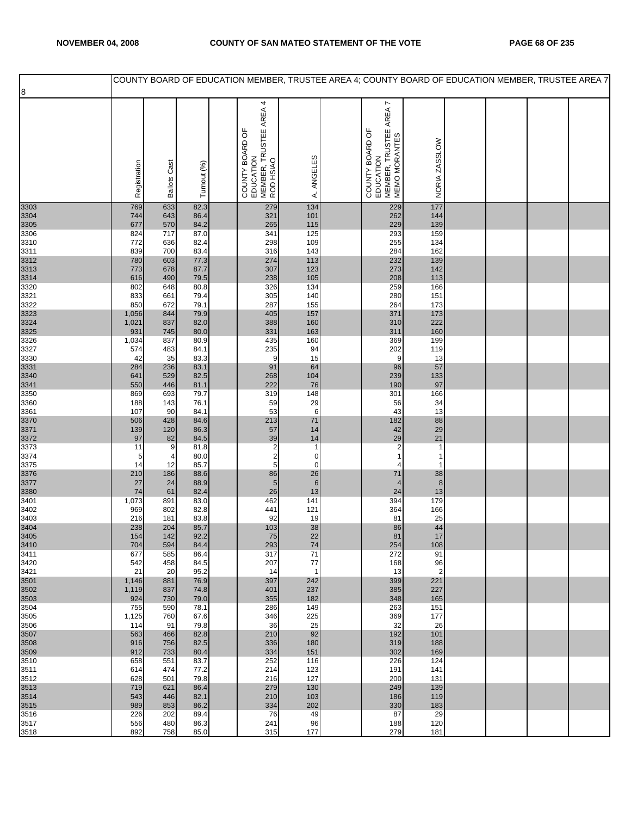|              |                |                     |              |                                                                     |                               |                                                                         |                    |  | COUNTY BOARD OF EDUCATION MEMBER, TRUSTEE AREA 4; COUNTY BOARD OF EDUCATION MEMBER, TRUSTEE AREA 7 |  |
|--------------|----------------|---------------------|--------------|---------------------------------------------------------------------|-------------------------------|-------------------------------------------------------------------------|--------------------|--|----------------------------------------------------------------------------------------------------|--|
| 8            |                |                     |              |                                                                     |                               |                                                                         |                    |  |                                                                                                    |  |
|              | Registration   | <b>Ballots Cast</b> | Turnout (%)  | COUNTY BOARD OF<br>EDUCATION<br>MEMBER, TRUSTEE AREA 4<br>ROD HSIAO | ANGELES<br>$\dot{\mathbf{z}}$ | COUNTY BOARD OF<br>EDUCATION<br>MEMBER, TRUSTEE AREA 7<br>MEMO MORANTES | NORIA ZASSLOW      |  |                                                                                                    |  |
| 3303         | 769            | 633                 | 82.3         | 279                                                                 | 134                           | 229                                                                     | 177                |  |                                                                                                    |  |
| 3304<br>3305 | 744<br>677     | 643<br>570          | 86.4<br>84.2 | 321<br>265                                                          | 101<br>115                    | 262<br>229                                                              | 144<br>139         |  |                                                                                                    |  |
| 3306         | 824            | 717                 | 87.0         | 341                                                                 | 125                           | 293                                                                     | 159                |  |                                                                                                    |  |
| 3310         | 772            | 636                 | 82.4         | 298                                                                 | 109                           | 255                                                                     | 134                |  |                                                                                                    |  |
| 3311<br>3312 | 839<br>780     | 700<br>603          | 83.4<br>77.3 | 316<br>274                                                          | 143<br>113                    | 284<br>232                                                              | 162<br>139         |  |                                                                                                    |  |
| 3313         | 773            | 678                 | 87.7         | 307                                                                 | 123                           | 273                                                                     | 142                |  |                                                                                                    |  |
| 3314         | 616            | 490                 | 79.5         | 238                                                                 | 105                           | 208                                                                     | 113                |  |                                                                                                    |  |
| 3320<br>3321 | 802<br>833     | 648<br>661          | 80.8<br>79.4 | 326<br>305                                                          | 134<br>140                    | 259<br>280                                                              | 166<br>151         |  |                                                                                                    |  |
| 3322         | 850            | 672                 | 79.1         | 287                                                                 | 155                           | 264                                                                     | 173                |  |                                                                                                    |  |
| 3323<br>3324 | 1,056<br>1,021 | 844<br>837          | 79.9<br>82.0 | 405<br>388                                                          | 157<br>160                    | 371<br>310                                                              | 173<br>222         |  |                                                                                                    |  |
| 3325         | 931            | 745                 | 80.0         | 331                                                                 | 163                           | 311                                                                     | 160                |  |                                                                                                    |  |
| 3326         | 1,034          | 837                 | 80.9         | 435                                                                 | 160                           | 369                                                                     | 199<br>119         |  |                                                                                                    |  |
| 3327<br>3330 | 574<br>42      | 483<br>35           | 84.1<br>83.3 | 235<br>9                                                            | 94<br>15                      | 202<br>9                                                                | 13                 |  |                                                                                                    |  |
| 3331         | 284            | 236                 | 83.1         | 91                                                                  | 64                            | 96                                                                      | 57                 |  |                                                                                                    |  |
| 3340<br>3341 | 641<br>550     | 529<br>446          | 82.5<br>81.1 | 268<br>222                                                          | 104<br>76                     | 239<br>190                                                              | 133<br>97          |  |                                                                                                    |  |
| 3350         | 869            | 693                 | 79.7         | 319                                                                 | 148                           | 301                                                                     | 166                |  |                                                                                                    |  |
| 3360<br>3361 | 188<br>107     | 143<br>90           | 76.1<br>84.1 | 59<br>53                                                            | 29<br>6                       | 56<br>43                                                                | 34<br>13           |  |                                                                                                    |  |
| 3370         | 506            | 428                 | 84.6         | 213                                                                 | 71                            | 182                                                                     | 88                 |  |                                                                                                    |  |
| 3371         | 139            | 120                 | 86.3         | 57                                                                  | 14                            | 42                                                                      | 29                 |  |                                                                                                    |  |
| 3372<br>3373 | 97<br>11       | 82<br>9             | 84.5<br>81.8 | 39                                                                  | 14<br>$\mathbf{1}$            | 29<br>$\overline{\mathbf{c}}$                                           | 21<br>1            |  |                                                                                                    |  |
| 3374         | 5              | 4                   | 80.0         | $\frac{2}{2}$                                                       | 0                             | 1                                                                       | 1                  |  |                                                                                                    |  |
| 3375<br>3376 | 14<br>210      | 12<br>186           | 85.7<br>88.6 | $\mathbf 5$<br>86                                                   | 0<br>26                       | 4<br>71                                                                 | $\mathbf{1}$<br>38 |  |                                                                                                    |  |
| 3377         | 27             | 24                  | 88.9         | $\sqrt{5}$                                                          | $\,6$                         | $\overline{4}$                                                          | $\bf 8$            |  |                                                                                                    |  |
| 3380         | 74             | 61                  | 82.4         | 26                                                                  | 13                            | 24                                                                      | 13<br>179          |  |                                                                                                    |  |
| 3401<br>3402 | 1,073<br>969   | 891<br>802          | 83.0<br>82.8 | 462<br>441                                                          | 141<br>121                    | 394<br>364                                                              | 166                |  |                                                                                                    |  |
| 3403         | 216            | 181                 | 83.8         | 92                                                                  | 19                            | 81                                                                      | 25                 |  |                                                                                                    |  |
| 3404<br>3405 | 238<br>154     | 204<br>142          | 85.7<br>92.2 | 103<br>75                                                           | 38<br>22                      | 86<br>81                                                                | 44<br>17           |  |                                                                                                    |  |
| 3410         | 704            | 594                 | 84.4         | 293                                                                 | 74                            | 254                                                                     | 108                |  |                                                                                                    |  |
| 3411<br>3420 | 677<br>542     | 585<br>458          | 86.4<br>84.5 | 317<br>207                                                          | 71<br>$77$                    | 272<br>168                                                              | 91<br>96           |  |                                                                                                    |  |
| 3421         | 21             | 20                  | 95.2         | 14                                                                  | $\mathbf{1}$                  | 13                                                                      | $\overline{2}$     |  |                                                                                                    |  |
| 3501         | 1,146          | 881                 | 76.9         | 397                                                                 | 242                           | 399                                                                     | 221                |  |                                                                                                    |  |
| 3502<br>3503 | 1,119<br>924   | 837<br>730          | 74.8<br>79.0 | 401<br>355                                                          | 237<br>182                    | 385<br>348                                                              | 227<br>165         |  |                                                                                                    |  |
| 3504         | 755            | 590                 | 78.1         | 286                                                                 | 149                           | 263                                                                     | 151                |  |                                                                                                    |  |
| 3505<br>3506 | 1,125<br>114   | 760<br>91           | 67.6<br>79.8 | 346<br>36                                                           | 225<br>25                     | 369<br>32                                                               | 177<br>26          |  |                                                                                                    |  |
| 3507         | 563            | 466                 | 82.8         | 210                                                                 | 92                            | 192                                                                     | 101                |  |                                                                                                    |  |
| 3508         | 916            | 756                 | 82.5         | 336                                                                 | 180                           | 319                                                                     | 188<br>169         |  |                                                                                                    |  |
| 3509<br>3510 | 912<br>658     | 733<br>551          | 80.4<br>83.7 | 334<br>252                                                          | 151<br>116                    | 302<br>226                                                              | 124                |  |                                                                                                    |  |
| 3511         | 614            | 474                 | 77.2         | 214                                                                 | 123                           | 191                                                                     | 141                |  |                                                                                                    |  |
| 3512<br>3513 | 628<br>719     | 501<br>621          | 79.8<br>86.4 | 216<br>279                                                          | 127<br>130                    | 200<br>249                                                              | 131<br>139         |  |                                                                                                    |  |
| 3514         | 543            | 446                 | 82.1         | 210                                                                 | 103                           | 186                                                                     | 119                |  |                                                                                                    |  |
| 3515<br>3516 | 989<br>226     | 853<br>202          | 86.2<br>89.4 | 334<br>76                                                           | 202<br>49                     | 330<br>87                                                               | 183<br>29          |  |                                                                                                    |  |
| 3517         | 556            | 480                 | 86.3         | 241                                                                 | 96                            | 188                                                                     | 120                |  |                                                                                                    |  |
| 3518         | 892            | 758                 | 85.0         | 315                                                                 | 177                           | 279                                                                     | 181                |  |                                                                                                    |  |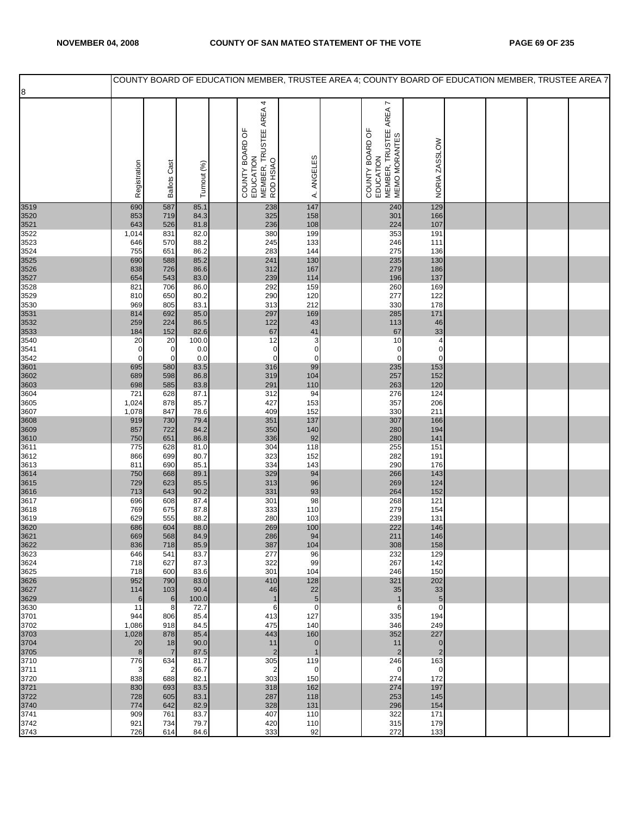|              |                            |                       |               |                                                                     |                    |                                                                         |                                |  | COUNTY BOARD OF EDUCATION MEMBER, TRUSTEE AREA 4; COUNTY BOARD OF EDUCATION MEMBER, TRUSTEE AREA 7 |
|--------------|----------------------------|-----------------------|---------------|---------------------------------------------------------------------|--------------------|-------------------------------------------------------------------------|--------------------------------|--|----------------------------------------------------------------------------------------------------|
| 8            |                            |                       |               |                                                                     |                    |                                                                         |                                |  |                                                                                                    |
|              | Registration               | <b>Ballots Cast</b>   | Turnout (%)   | COUNTY BOARD OF<br>EDUCATION<br>MEMBER, TRUSTEE AREA 4<br>ROD HSIAO | ANGELES<br>∢       | COUNTY BOARD OF<br>EDUCATION<br>MEMBER, TRUSTEE AREA 7<br>MEMO MORANTES | NORIA ZASSLOW                  |  |                                                                                                    |
| 3519         | 690                        | 587                   | 85.1          | 238                                                                 | 147                | 240                                                                     | 129                            |  |                                                                                                    |
| 3520         | 853                        | 719                   | 84.3          | 325                                                                 | 158                | 301                                                                     | 166                            |  |                                                                                                    |
| 3521<br>3522 | 643<br>1,014               | 526<br>831            | 81.8<br>82.0  | 236<br>380                                                          | 108<br>199         | 224<br>353                                                              | 107<br>191                     |  |                                                                                                    |
| 3523         | 646                        | 570                   | 88.2          | 245                                                                 | 133                | 246                                                                     | 111                            |  |                                                                                                    |
| 3524<br>3525 | 755<br>690                 | 651<br>588            | 86.2<br>85.2  | 283<br>241                                                          | 144<br>130         | 275<br>235                                                              | 136<br>130                     |  |                                                                                                    |
| 3526         | 838                        | 726                   | 86.6          | 312                                                                 | 167                | 279                                                                     | 186                            |  |                                                                                                    |
| 3527         | 654                        | 543                   | 83.0          | 239                                                                 | 114                | 196                                                                     | 137                            |  |                                                                                                    |
| 3528<br>3529 | 821<br>810                 | 706<br>650            | 86.0<br>80.2  | 292<br>290                                                          | 159<br>120         | 260<br>277                                                              | 169<br>122                     |  |                                                                                                    |
| 3530         | 969                        | 805                   | 83.1          | 313                                                                 | 212                | 330                                                                     | 178                            |  |                                                                                                    |
| 3531<br>3532 | 814<br>259                 | 692<br>224            | 85.0<br>86.5  | 297<br>122                                                          | 169<br>43          | 285<br>113                                                              | 171<br>46                      |  |                                                                                                    |
| 3533         | 184                        | 152                   | 82.6          | 67                                                                  | 41                 | 67                                                                      | 33                             |  |                                                                                                    |
| 3540         | 20                         | 20                    | 100.0         | 12                                                                  | 3                  | 10                                                                      | $\overline{4}$                 |  |                                                                                                    |
| 3541<br>3542 | $\mathbf 0$<br>$\mathbf 0$ | 0<br>$\pmb{0}$        | 0.0<br>0.0    | $\mathbf 0$<br>$\pmb{0}$                                            | $\pmb{0}$<br>0     | $\mathbf 0$<br>$\mathbf 0$                                              | $\pmb{0}$<br>$\pmb{0}$         |  |                                                                                                    |
| 3601         | 695                        | 580                   | 83.5          | 316                                                                 | 99                 | 235                                                                     | 153                            |  |                                                                                                    |
| 3602<br>3603 | 689<br>698                 | 598<br>585            | 86.8<br>83.8  | 319<br>291                                                          | 104<br>110         | 257<br>263                                                              | 152<br>120                     |  |                                                                                                    |
| 3604         | 721                        | 628                   | 87.1          | 312                                                                 | 94                 | 276                                                                     | 124                            |  |                                                                                                    |
| 3605<br>3607 | 1,024<br>1,078             | 878<br>847            | 85.7<br>78.6  | 427<br>409                                                          | 153<br>152         | 357<br>330                                                              | 206<br>211                     |  |                                                                                                    |
| 3608         | 919                        | 730                   | 79.4          | 351                                                                 | 137                | 307                                                                     | 166                            |  |                                                                                                    |
| 3609         | 857                        | 722                   | 84.2          | 350                                                                 | 140                | 280                                                                     | 194                            |  |                                                                                                    |
| 3610<br>3611 | 750<br>775                 | 651<br>628            | 86.8<br>81.0  | 336<br>304                                                          | 92<br>118          | 280<br>255                                                              | 141<br>151                     |  |                                                                                                    |
| 3612         | 866                        | 699                   | 80.7          | 323                                                                 | 152                | 282                                                                     | 191                            |  |                                                                                                    |
| 3613<br>3614 | 811<br>750                 | 690<br>668            | 85.1<br>89.1  | 334<br>329                                                          | 143<br>94          | 290<br>266                                                              | 176<br>143                     |  |                                                                                                    |
| 3615         | 729                        | 623                   | 85.5          | 313                                                                 | 96                 | 269                                                                     | 124                            |  |                                                                                                    |
| 3616<br>3617 | 713<br>696                 | 643<br>608            | 90.2<br>87.4  | 331<br>301                                                          | 93<br>98           | 264<br>268                                                              | 152<br>121                     |  |                                                                                                    |
| 3618         | 769                        | 675                   | 87.8          | 333                                                                 | 110                | 279                                                                     | 154                            |  |                                                                                                    |
| 3619         | 629                        | 555                   | 88.2          | 280                                                                 | 103                | 239                                                                     | 131                            |  |                                                                                                    |
| 3620<br>3621 | 686<br>669                 | 604<br>568            | 88.0<br>84.9  | 269<br>286                                                          | 100<br>94          | 222<br>211                                                              | 146<br>146                     |  |                                                                                                    |
| 3622         | 836                        | 718                   | 85.9          | 387                                                                 | 104                | 308                                                                     | 158                            |  |                                                                                                    |
| 3623<br>3624 | 646<br>718                 | 541<br>627            | 83.7<br>87.3  | 277<br>322                                                          | 96<br>99           | 232<br>267                                                              | 129<br>142                     |  |                                                                                                    |
| 3625         | 718                        | 600                   | 83.6          | 301                                                                 | 104                | 246                                                                     | 150                            |  |                                                                                                    |
| 3626         | 952                        | 790<br>103            | 83.0          | 410<br>46                                                           | 128<br>22          | 321                                                                     | 202<br>33                      |  |                                                                                                    |
| 3627<br>3629 | 114<br>$\,6$               | $\,6$                 | 90.4<br>100.0 | $\mathbf{1}$                                                        | $\overline{5}$     | 35                                                                      | $\sqrt{5}$                     |  |                                                                                                    |
| 3630         | 11                         | 8                     | 72.7          | 6                                                                   | $\mathbf 0$        | 6                                                                       | $\mathbf 0$                    |  |                                                                                                    |
| 3701<br>3702 | 944<br>1,086               | 806<br>918            | 85.4<br>84.5  | 413<br>475                                                          | 127<br>140         | 335<br>346                                                              | 194<br>249                     |  |                                                                                                    |
| 3703         | 1,028                      | 878                   | 85.4          | 443                                                                 | 160                | 352                                                                     | 227                            |  |                                                                                                    |
| 3704<br>3705 | 20<br>8                    | 18<br>$\overline{7}$  | 90.0<br>87.5  | 11<br>$\overline{2}$                                                | $\mathbf 0$        | 11<br>$\overline{2}$                                                    | $\mathbf{0}$<br>$\overline{2}$ |  |                                                                                                    |
| 3710         | 776                        | 634                   | 81.7          | 305                                                                 | 119                | 246                                                                     | 163                            |  |                                                                                                    |
| 3711<br>3720 | 3<br>838                   | $\overline{2}$<br>688 | 66.7<br>82.1  | $\overline{\mathbf{c}}$<br>303                                      | $\mathbf 0$<br>150 | $\mathbf 0$<br>274                                                      | $\mathbf 0$<br>172             |  |                                                                                                    |
| 3721         | 830                        | 693                   | 83.5          | 318                                                                 | 162                | 274                                                                     | 197                            |  |                                                                                                    |
| 3722         | 728                        | 605                   | 83.1          | 287                                                                 | 118                | 253                                                                     | 145                            |  |                                                                                                    |
| 3740<br>3741 | 774<br>909                 | 642<br>761            | 82.9<br>83.7  | 328<br>407                                                          | 131<br>110         | 296<br>322                                                              | 154<br>171                     |  |                                                                                                    |
| 3742         | 921                        | 734                   | 79.7          | 420                                                                 | 110                | 315                                                                     | 179                            |  |                                                                                                    |
| 3743         | 726                        | 614                   | 84.6          | 333                                                                 | 92                 | 272                                                                     | 133                            |  |                                                                                                    |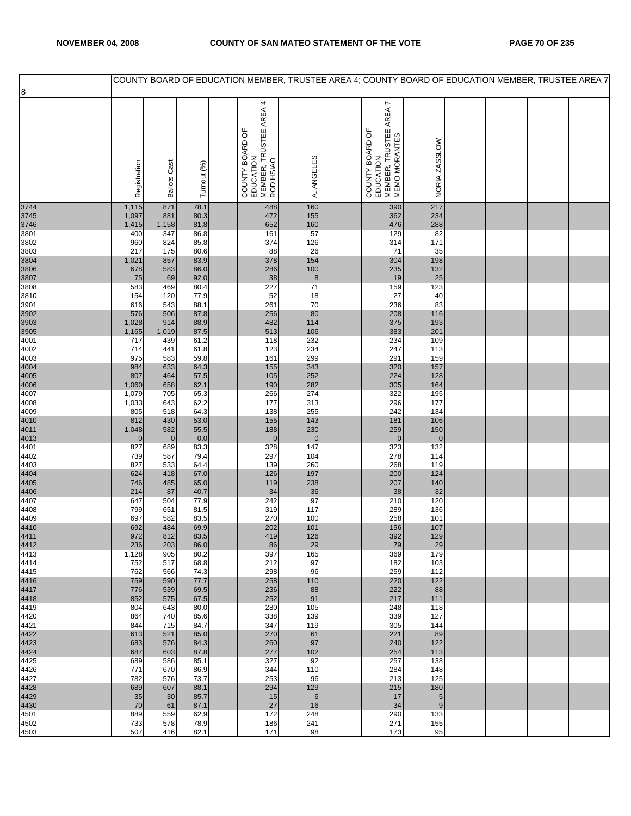|              |                |                     |              | COUNTY BOARD OF EDUCATION MEMBER, TRUSTEE AREA 4; COUNTY BOARD OF EDUCATION MEMBER, TRUSTEE AREA 7 |                         |                                                                         |                        |  |  |
|--------------|----------------|---------------------|--------------|----------------------------------------------------------------------------------------------------|-------------------------|-------------------------------------------------------------------------|------------------------|--|--|
| 8            |                |                     |              |                                                                                                    |                         |                                                                         |                        |  |  |
|              | Registration   | <b>Ballots Cast</b> | Turnout (%)  | COUNTY BOARD OF<br>EDUCATION<br>MEMBER, TRUSTEE AREA 4<br>ROD HSIAO                                | ANGELES<br>₹            | COUNTY BOARD OF<br>EDUCATION<br>MEMBER, TRUSTEE AREA 7<br>MEMO MORANTES | NORIA ZASSLOW          |  |  |
| 3744         | 1,115          | 871                 | 78.1         | 488                                                                                                | 160                     | 390                                                                     | 217                    |  |  |
| 3745         | 1,097          | 881                 | 80.3         | 472                                                                                                | 155                     | 362                                                                     | 234                    |  |  |
| 3746<br>3801 | 1,415<br>400   | 1,158<br>347        | 81.8<br>86.8 | 652<br>161                                                                                         | 160<br>57               | 476<br>129                                                              | 288<br>82              |  |  |
| 3802         | 960            | 824                 | 85.8         | 374                                                                                                | 126                     | 314                                                                     | 171                    |  |  |
| 3803         | 217            | 175                 | 80.6         | 88                                                                                                 | 26                      | 71                                                                      | 35                     |  |  |
| 3804         | 1,021          | 857                 | 83.9<br>86.0 | 378<br>286                                                                                         | 154                     | 304                                                                     | 198                    |  |  |
| 3806<br>3807 | 678<br>75      | 583<br>69           | 92.0         | 38                                                                                                 | 100<br>$\boldsymbol{8}$ | 235<br>19                                                               | 132<br>25              |  |  |
| 3808         | 583            | 469                 | 80.4         | 227                                                                                                | 71                      | 159                                                                     | 123                    |  |  |
| 3810         | 154            | 120                 | 77.9         | 52                                                                                                 | 18                      | 27                                                                      | 40                     |  |  |
| 3901<br>3902 | 616<br>576     | 543<br>506          | 88.1<br>87.8 | 261<br>256                                                                                         | 70<br>80                | 236<br>208                                                              | 83<br>116              |  |  |
| 3903         | 1,028          | 914                 | 88.9         | 482                                                                                                | 114                     | 375                                                                     | 193                    |  |  |
| 3905         | 1,165          | 1,019               | 87.5         | 513                                                                                                | 106                     | 383                                                                     | 201                    |  |  |
| 4001<br>4002 | 717<br>714     | 439<br>441          | 61.2<br>61.8 | 118<br>123                                                                                         | 232<br>234              | 234<br>247                                                              | 109<br>113             |  |  |
| 4003         | 975            | 583                 | 59.8         | 161                                                                                                | 299                     | 291                                                                     | 159                    |  |  |
| 4004         | 984            | 633                 | 64.3         | 155                                                                                                | 343                     | 320                                                                     | 157                    |  |  |
| 4005         | 807            | 464                 | 57.5         | 105                                                                                                | 252                     | 224                                                                     | 128                    |  |  |
| 4006<br>4007 | 1,060<br>1,079 | 658<br>705          | 62.1<br>65.3 | 190<br>266                                                                                         | 282<br>274              | 305<br>322                                                              | 164<br>195             |  |  |
| 4008         | 1,033          | 643                 | 62.2         | 177                                                                                                | 313                     | 296                                                                     | 177                    |  |  |
| 4009         | 805            | 518                 | 64.3         | 138                                                                                                | 255                     | 242                                                                     | 134                    |  |  |
| 4010<br>4011 | 812<br>1,048   | 430<br>582          | 53.0<br>55.5 | 155<br>188                                                                                         | 143<br>230              | 181<br>259                                                              | 106<br>150             |  |  |
| 4013         | $\mathbf 0$    | $\bf 0$             | 0.0          | $\bf 0$                                                                                            | $\mathbf 0$             | $\mathbf 0$                                                             | $\pmb{0}$              |  |  |
| 4401         | 827            | 689                 | 83.3         | 328                                                                                                | 147                     | 323                                                                     | 132                    |  |  |
| 4402<br>4403 | 739<br>827     | 587<br>533          | 79.4<br>64.4 | 297<br>139                                                                                         | 104<br>260              | 278<br>268                                                              | 114<br>119             |  |  |
| 4404         | 624            | 418                 | 67.0         | 126                                                                                                | 197                     | 200                                                                     | 124                    |  |  |
| 4405         | 746            | 485                 | 65.0         | 119                                                                                                | 238                     | 207                                                                     | 140                    |  |  |
| 4406<br>4407 | 214            | 87<br>504           | 40.7<br>77.9 | 34<br>242                                                                                          | 36<br>97                | 38<br>210                                                               | 32<br>120              |  |  |
| 4408         | 647<br>799     | 651                 | 81.5         | 319                                                                                                | 117                     | 289                                                                     | 136                    |  |  |
| 4409         | 697            | 582                 | 83.5         | 270                                                                                                | 100                     | 258                                                                     | 101                    |  |  |
| 4410         | 692            | 484                 | 69.9<br>83.5 | 202                                                                                                | 101                     | 196                                                                     | 107                    |  |  |
| 4411<br>4412 | 972<br>236     | 812<br>203          | 86.0         | 419<br>86                                                                                          | 126<br>29               | 392<br>79                                                               | 129<br>29              |  |  |
| 4413         | 1,128          | 905                 | 80.2         | 397                                                                                                | 165                     | 369                                                                     | 179                    |  |  |
| 4414         | 752            | 517                 | 68.8         | 212                                                                                                | 97                      | 182                                                                     | 103                    |  |  |
| 4415<br>4416 | 762<br>759     | 566<br>590          | 74.3<br>77.7 | 298<br>258                                                                                         | 96<br>110               | 259<br>220                                                              | 112<br>122             |  |  |
| 4417         | 776            | 539                 | 69.5         | 236                                                                                                | 88                      | 222                                                                     | 88                     |  |  |
| 4418         | 852            | 575                 | 67.5         | 252                                                                                                | 91                      | 217                                                                     | 111                    |  |  |
| 4419<br>4420 | 804<br>864     | 643<br>740          | 80.0<br>85.6 | 280<br>338                                                                                         | 105<br>139              | 248<br>339                                                              | 118<br>127             |  |  |
| 4421         | 844            | 715                 | 84.7         | 347                                                                                                | 119                     | 305                                                                     | 144                    |  |  |
| 4422         | 613            | 521                 | 85.0         | 270                                                                                                | 61                      | 221                                                                     | 89                     |  |  |
| 4423         | 683<br>687     | 576                 | 84.3         | 260                                                                                                | 97                      | 240                                                                     | 122                    |  |  |
| 4424<br>4425 | 689            | 603<br>586          | 87.8<br>85.1 | 277<br>327                                                                                         | 102<br>92               | 254<br>257                                                              | 113<br>138             |  |  |
| 4426         | 771            | 670                 | 86.9         | 344                                                                                                | 110                     | 284                                                                     | 148                    |  |  |
| 4427         | 782            | 576                 | 73.7         | 253                                                                                                | 96                      | 213                                                                     | 125                    |  |  |
| 4428<br>4429 | 689<br>35      | 607<br>30           | 88.1<br>85.7 | 294<br>15                                                                                          | 129<br>6                | 215<br>17                                                               | 180<br>$5\phantom{.0}$ |  |  |
| 4430         | 70             | 61                  | 87.1         | 27                                                                                                 | 16                      | 34                                                                      | 9                      |  |  |
| 4501         | 889            | 559                 | 62.9         | 172                                                                                                | 248                     | 290                                                                     | 133                    |  |  |
| 4502<br>4503 | 733<br>507     | 578<br>416          | 78.9<br>82.1 | 186<br>171                                                                                         | 241<br>98               | 271<br>173                                                              | 155<br>95              |  |  |
|              |                |                     |              |                                                                                                    |                         |                                                                         |                        |  |  |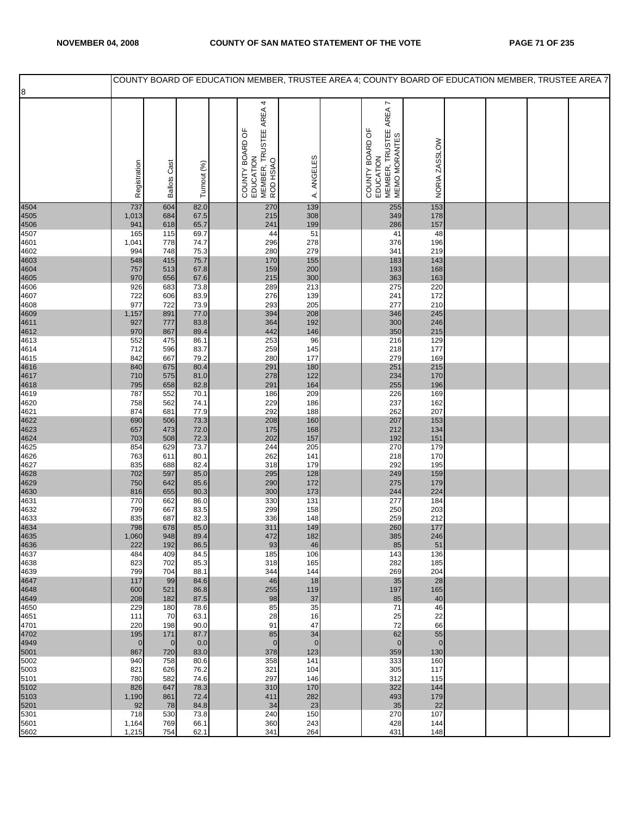|              |                |                     |              | COUNTY BOARD OF EDUCATION MEMBER, TRUSTEE AREA 4; COUNTY BOARD OF EDUCATION MEMBER, TRUSTEE AREA 7 |                |                                                                         |               |  |  |
|--------------|----------------|---------------------|--------------|----------------------------------------------------------------------------------------------------|----------------|-------------------------------------------------------------------------|---------------|--|--|
| 8            |                |                     |              |                                                                                                    |                |                                                                         |               |  |  |
|              | Registration   | <b>Ballots Cast</b> | Turnout (%)  | 4<br>MEMBER, TRUSTEE AREA<br>ROD HSIAO<br>COUNTY BOARD OF<br>EDUCATION                             | A. ANGELES     | COUNTY BOARD OF<br>EDUCATION<br>MEMBER, TRUSTEE AREA 7<br>MEMO MORANTES | NORIA ZASSLOW |  |  |
| 4504         | 737            | 604                 | 82.0         | 270                                                                                                | 139            | 255                                                                     | 153           |  |  |
| 4505         | 1,013          | 684                 | 67.5         | 215                                                                                                | 308            | 349                                                                     | 178           |  |  |
| 4506<br>4507 | 941<br>165     | 618<br>115          | 65.7<br>69.7 | 241<br>44                                                                                          | 199<br>51      | 286<br>41                                                               | 157<br>48     |  |  |
| 4601         | 1,041          | 778                 | 74.7         | 296                                                                                                | 278            | 376                                                                     | 196           |  |  |
| 4602         | 994            | 748                 | 75.3         | 280                                                                                                | 279            | 341                                                                     | 219           |  |  |
| 4603<br>4604 | 548<br>757     | 415<br>513          | 75.7<br>67.8 | 170<br>159                                                                                         | 155<br>200     | 183<br>193                                                              | 143<br>168    |  |  |
| 4605         | 970            | 656                 | 67.6         | 215                                                                                                | 300            | 363                                                                     | 163           |  |  |
| 4606         | 926            | 683                 | 73.8         | 289                                                                                                | 213            | 275                                                                     | 220           |  |  |
| 4607<br>4608 | 722<br>977     | 606<br>722          | 83.9<br>73.9 | 276<br>293                                                                                         | 139<br>205     | 241<br>277                                                              | 172<br>210    |  |  |
| 4609         | 1,157          | 891                 | 77.0         | 394                                                                                                | 208            | 346                                                                     | 245           |  |  |
| 4611         | 927            | 777                 | 83.8         | 364                                                                                                | 192            | 300                                                                     | 246           |  |  |
| 4612<br>4613 | 970<br>552     | 867<br>475          | 89.4<br>86.1 | 442<br>253                                                                                         | 146<br>96      | 350<br>216                                                              | 215<br>129    |  |  |
| 4614         | 712            | 596                 | 83.7         | 259                                                                                                | 145            | 218                                                                     | 177           |  |  |
| 4615         | 842            | 667                 | 79.2         | 280<br>291                                                                                         | 177            | 279                                                                     | 169           |  |  |
| 4616<br>4617 | 840<br>710     | 675<br>575          | 80.4<br>81.0 | 278                                                                                                | 180<br>122     | 251<br>234                                                              | 215<br>170    |  |  |
| 4618         | 795            | 658                 | 82.8         | 291                                                                                                | 164            | 255                                                                     | 196           |  |  |
| 4619<br>4620 | 787<br>758     | 552<br>562          | 70.1<br>74.1 | 186<br>229                                                                                         | 209<br>186     | 226<br>237                                                              | 169<br>162    |  |  |
| 4621         | 874            | 681                 | 77.9         | 292                                                                                                | 188            | 262                                                                     | 207           |  |  |
| 4622         | 690            | 506                 | 73.3         | 208                                                                                                | 160            | 207                                                                     | 153           |  |  |
| 4623<br>4624 | 657<br>703     | 473<br>508          | 72.0<br>72.3 | 175<br>202                                                                                         | 168<br>157     | 212<br>192                                                              | 134<br>151    |  |  |
| 4625         | 854            | 629                 | 73.7         | 244                                                                                                | 205            | 270                                                                     | 179           |  |  |
| 4626<br>4627 | 763<br>835     | 611<br>688          | 80.1<br>82.4 | 262<br>318                                                                                         | 141<br>179     | 218<br>292                                                              | 170<br>195    |  |  |
| 4628         | 702            | 597                 | 85.0         | 295                                                                                                | 128            | 249                                                                     | 159           |  |  |
| 4629         | 750            | 642                 | 85.6         | 290                                                                                                | 172            | 275                                                                     | 179           |  |  |
| 4630<br>4631 | 816<br>770     | 655<br>662          | 80.3<br>86.0 | 300<br>330                                                                                         | 173<br>131     | 244<br>277                                                              | 224<br>184    |  |  |
| 4632         | 799            | 667                 | 83.5         | 299                                                                                                | 158            | 250                                                                     | 203           |  |  |
| 4633         | 835            | 687                 | 82.3         | 336                                                                                                | 148            | 259                                                                     | 212           |  |  |
| 4634<br>4635 | 798<br>1,060   | 678<br>948          | 85.0<br>89.4 | 311<br>472                                                                                         | 149<br>182     | 260<br>385                                                              | 177<br>246    |  |  |
| 4636         | 222            | 192                 | 86.5         | 93                                                                                                 | 46             | 85                                                                      | 51            |  |  |
| 4637         | 484            | 409                 | 84.5         | 185                                                                                                | 106            | 143                                                                     | 136           |  |  |
| 4638<br>4639 | 823<br>799     | 702<br>704          | 85.3<br>88.1 | 318<br>344                                                                                         | 165<br>144     | 282<br>269                                                              | 185<br>204    |  |  |
| 4647         | 117            | 99                  | 84.6         | 46                                                                                                 | 18             | 35                                                                      | 28            |  |  |
| 4648<br>4649 | 600<br>208     | 521<br>182          | 86.8<br>87.5 | 255<br>98                                                                                          | 119<br>37      | 197<br>85                                                               | 165<br>40     |  |  |
| 4650         | 229            | 180                 | 78.6         | 85                                                                                                 | 35             | 71                                                                      | 46            |  |  |
| 4651         | 111            | 70                  | 63.1         | 28                                                                                                 | 16             | 25                                                                      | 22            |  |  |
| 4701<br>4702 | 220<br>195     | 198<br>171          | 90.0<br>87.7 | 91<br>85                                                                                           | 47<br>34       | 72<br>62                                                                | 66<br>55      |  |  |
| 4949         | $\mathbf 0$    | $\overline{0}$      | 0.0          | $\mathbf{0}$                                                                                       | $\overline{0}$ | $\mathbf 0$                                                             | $\pmb{0}$     |  |  |
| 5001         | 867            | 720                 | 83.0         | 378<br>358                                                                                         | 123            | 359                                                                     | 130<br>160    |  |  |
| 5002<br>5003 | 940<br>821     | 758<br>626          | 80.6<br>76.2 | 321                                                                                                | 141<br>104     | 333<br>305                                                              | 117           |  |  |
| 5101         | 780            | 582                 | 74.6         | 297                                                                                                | 146            | 312                                                                     | 115           |  |  |
| 5102<br>5103 | 826<br>1,190   | 647<br>861          | 78.3<br>72.4 | 310<br>411                                                                                         | 170<br>282     | 322<br>493                                                              | 144<br>179    |  |  |
| 5201         | 92             | 78                  | 84.8         | 34                                                                                                 | 23             | 35                                                                      | 22            |  |  |
| 5301         | 718            | 530                 | 73.8         | 240                                                                                                | 150            | 270                                                                     | 107           |  |  |
| 5601<br>5602 | 1,164<br>1,215 | 769<br>754          | 66.1<br>62.1 | 360<br>341                                                                                         | 243<br>264     | 428<br>431                                                              | 144<br>148    |  |  |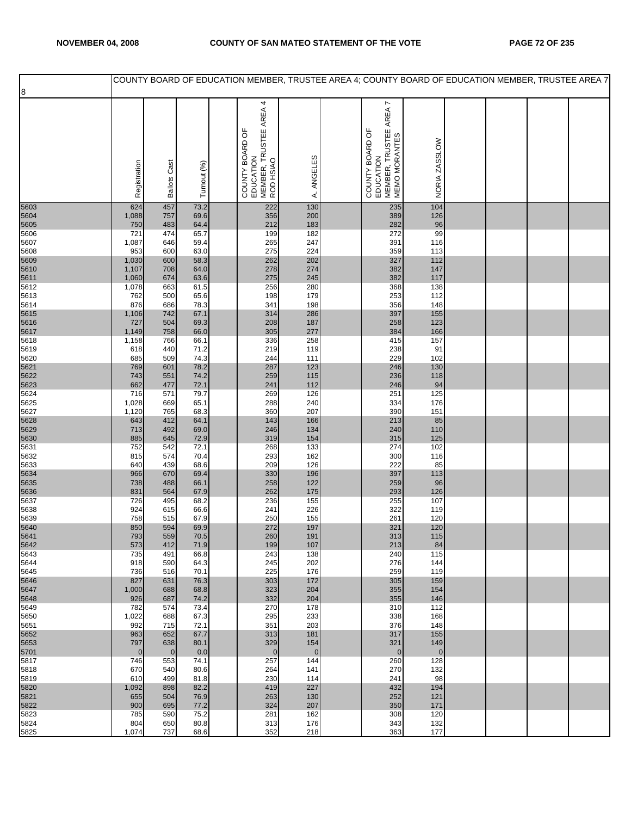|              |                    |                     |              | COUNTY BOARD OF EDUCATION MEMBER, TRUSTEE AREA 4; COUNTY BOARD OF EDUCATION MEMBER, TRUSTEE AREA 7 |                       |                                                                         |                    |  |  |
|--------------|--------------------|---------------------|--------------|----------------------------------------------------------------------------------------------------|-----------------------|-------------------------------------------------------------------------|--------------------|--|--|
| 8            |                    |                     |              |                                                                                                    |                       |                                                                         |                    |  |  |
|              | Registration       | <b>Ballots Cast</b> | Turnout (%)  | 4<br>COUNTY BOARD OF<br>EDUCATION<br>MEMBER, TRUSTEE AREA 4<br>ROD HSIAO                           | A. ANGELES            | COUNTY BOARD OF<br>EDUCATION<br>MEMBER, TRUSTEE AREA 7<br>MEMO MORANTES | NORIA ZASSLOW      |  |  |
| 5603         | 624                | 457                 | 73.2         | 222                                                                                                | 130                   | 235                                                                     | 104                |  |  |
| 5604         | 1,088              | 757                 | 69.6         | 356                                                                                                | 200                   | 389                                                                     | 126                |  |  |
| 5605<br>5606 | 750<br>721         | 483<br>474          | 64.4<br>65.7 | 212<br>199                                                                                         | 183<br>182            | 282<br>272                                                              | 96<br>99           |  |  |
| 5607         | 1,087              | 646                 | 59.4         | 265                                                                                                | 247                   | 391                                                                     | 116                |  |  |
| 5608         | 953                | 600                 | 63.0         | 275                                                                                                | 224                   | 359                                                                     | 113                |  |  |
| 5609<br>5610 | 1,030<br>1,107     | 600<br>708          | 58.3<br>64.0 | 262<br>278                                                                                         | 202<br>274            | 327<br>382                                                              | 112<br>147         |  |  |
| 5611         | 1,060              | 674                 | 63.6         | 275                                                                                                | 245                   | 382                                                                     | 117                |  |  |
| 5612         | 1,078              | 663                 | 61.5         | 256                                                                                                | 280                   | 368                                                                     | 138                |  |  |
| 5613<br>5614 | 762<br>876         | 500<br>686          | 65.6<br>78.3 | 198<br>341                                                                                         | 179<br>198            | 253<br>356                                                              | 112<br>148         |  |  |
| 5615         | 1,106              | 742                 | 67.1         | 314                                                                                                | 286                   | 397                                                                     | 155                |  |  |
| 5616         | 727                | 504                 | 69.3         | 208                                                                                                | 187                   | 258                                                                     | 123                |  |  |
| 5617<br>5618 | 1,149<br>1,158     | 758<br>766          | 66.0<br>66.1 | 305<br>336                                                                                         | 277<br>258            | 384<br>415                                                              | 166<br>157         |  |  |
| 5619         | 618                | 440                 | 71.2         | 219                                                                                                | 119                   | 238                                                                     | 91                 |  |  |
| 5620         | 685                | 509                 | 74.3         | 244                                                                                                | 111                   | 229                                                                     | 102                |  |  |
| 5621<br>5622 | 769<br>743         | 601<br>551          | 78.2<br>74.2 | 287<br>259                                                                                         | 123<br>115            | 246<br>236                                                              | 130<br>118         |  |  |
| 5623         | 662                | 477                 | 72.1         | 241                                                                                                | 112                   | 246                                                                     | 94                 |  |  |
| 5624         | 716                | 571                 | 79.7         | 269                                                                                                | 126                   | 251                                                                     | $125$              |  |  |
| 5625<br>5627 | 1,028<br>1,120     | 669<br>765          | 65.1<br>68.3 | 288<br>360                                                                                         | 240<br>207            | 334<br>390                                                              | 176<br>151         |  |  |
| 5628         | 643                | 412                 | 64.1         | 143                                                                                                | 166                   | 213                                                                     | 85                 |  |  |
| 5629         | 713                | 492                 | 69.0         | 246                                                                                                | 134                   | 240                                                                     | 110                |  |  |
| 5630<br>5631 | 885<br>752         | 645<br>542          | 72.9<br>72.1 | 319<br>268                                                                                         | 154<br>133            | 315<br>274                                                              | 125<br>102         |  |  |
| 5632         | 815                | 574                 | 70.4         | 293                                                                                                | 162                   | 300                                                                     | 116                |  |  |
| 5633         | 640                | 439                 | 68.6         | 209                                                                                                | 126                   | 222                                                                     | 85                 |  |  |
| 5634<br>5635 | 966<br>738         | 670<br>488          | 69.4<br>66.1 | 330<br>258                                                                                         | 196<br>122            | 397<br>259                                                              | 113<br>96          |  |  |
| 5636         | 831                | 564                 | 67.9         | 262                                                                                                | 175                   | 293                                                                     | 126                |  |  |
| 5637         | 726                | 495                 | 68.2         | 236                                                                                                | 155                   | 255                                                                     | 107                |  |  |
| 5638<br>5639 | 924<br>758         | 615<br>515          | 66.6<br>67.9 | 241<br>250                                                                                         | 226<br>155            | 322<br>261                                                              | 119<br>120         |  |  |
| 5640         | 850                | 594                 | 69.9         | 272                                                                                                | 197                   | 321                                                                     | 120                |  |  |
| 5641<br>5642 | 793                | 559                 | 70.5<br>71.9 | 260<br>199                                                                                         | 191<br>107            | 313<br>213                                                              | 115<br>84          |  |  |
| 5643         | 573<br>735         | 412<br>491          | 66.8         | 243                                                                                                | 138                   | 240                                                                     | 115                |  |  |
| 5644         | 918                | 590                 | 64.3         | 245                                                                                                | 202                   | 276                                                                     | 144                |  |  |
| 5645<br>5646 | 736<br>827         | 516<br>631          | 70.1<br>76.3 | 225<br>303                                                                                         | 176<br>172            | 259<br>305                                                              | 119<br>159         |  |  |
| 5647         | 1,000              | 688                 | 68.8         | 323                                                                                                | 204                   | 355                                                                     | 154                |  |  |
| 5648         | 926                | 687                 | 74.2         | 332                                                                                                | 204                   | 355                                                                     | 146                |  |  |
| 5649<br>5650 | 782<br>1,022       | 574<br>688          | 73.4<br>67.3 | 270<br>295                                                                                         | 178<br>233            | 310<br>338                                                              | 112<br>168         |  |  |
| 5651         | 992                | 715                 | 72.1         | 351                                                                                                | 203                   | 376                                                                     | 148                |  |  |
| 5652         | 963                | 652                 | 67.7         | 313                                                                                                | 181                   | 317                                                                     | 155                |  |  |
| 5653<br>5701 | 797<br>$\mathbf 0$ | 638<br>$\mathbf 0$  | 80.1<br>0.0  | 329<br>$\mathbf 0$                                                                                 | 154<br>$\overline{0}$ | 321<br>$\overline{0}$                                                   | 149<br>$\mathbf 0$ |  |  |
| 5817         | 746                | 553                 | 74.1         | 257                                                                                                | 144                   | 260                                                                     | 128                |  |  |
| 5818         | 670                | 540                 | 80.6         | 264                                                                                                | 141                   | 270                                                                     | 132                |  |  |
| 5819<br>5820 | 610<br>1,092       | 499<br>898          | 81.8<br>82.2 | 230<br>419                                                                                         | 114<br>227            | 241<br>432                                                              | 98<br>194          |  |  |
| 5821         | 655                | 504                 | 76.9         | 263                                                                                                | 130                   | 252                                                                     | 121                |  |  |
| 5822         | 900                | 695                 | 77.2         | 324                                                                                                | 207                   | 350                                                                     | 171                |  |  |
| 5823<br>5824 | 785<br>804         | 590<br>650          | 75.2<br>80.8 | 281<br>313                                                                                         | 162<br>176            | 308<br>343                                                              | 120<br>132         |  |  |
| 5825         | 1,074              | 737                 | 68.6         | 352                                                                                                | 218                   | 363                                                                     | 177                |  |  |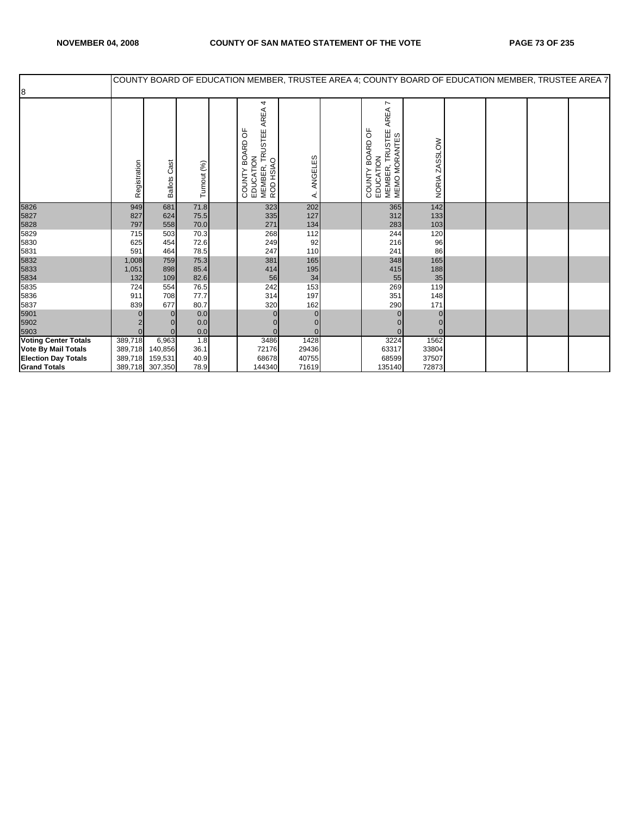## NOVEMBER 04, 2008 COUNTY OF SAN MATEO STATEMENT OF THE VOTE PAGE 73 OF 235

|                             |              |                        |              |                                                                             |                   |                                                                                           |                               |  | COUNTY BOARD OF EDUCATION MEMBER, TRUSTEE AREA 4; COUNTY BOARD OF EDUCATION MEMBER, TRUSTEE AREA 7 |  |
|-----------------------------|--------------|------------------------|--------------|-----------------------------------------------------------------------------|-------------------|-------------------------------------------------------------------------------------------|-------------------------------|--|----------------------------------------------------------------------------------------------------|--|
| 8                           |              |                        |              |                                                                             |                   |                                                                                           |                               |  |                                                                                                    |  |
|                             | Registration | Cast<br><b>Ballots</b> | Turnout (%)  | 4<br>AREA<br>COUNTY BOARD OF<br>EDUCATION<br>MEMBER, TRUSTEE A<br>ROD HSIAO | ၯ<br>ANGELES<br>∢ | r<br>AREA<br><b>TRUSTEE</b><br>BOARD OF<br>MEMBER, TRUSTEI<br>MEMO MORANTES<br>COUNTY BOA | ZASSLOW<br>NORIA <sub>2</sub> |  |                                                                                                    |  |
| 5826                        | 949          | 681                    | 71.8         | 323                                                                         | 202               | 365                                                                                       | 142                           |  |                                                                                                    |  |
| 5827                        | 827          | 624                    | 75.5         | 335                                                                         | 127               | 312                                                                                       | 133                           |  |                                                                                                    |  |
| 5828                        | 797          | 558                    | 70.0         | 271                                                                         | 134               | 283                                                                                       | 103                           |  |                                                                                                    |  |
| 5829                        | 715          | 503                    | 70.3         | 268                                                                         | 112               | 244                                                                                       | 120                           |  |                                                                                                    |  |
| 5830                        | 625          | 454                    | 72.6         | 249                                                                         | 92                | 216                                                                                       | 96                            |  |                                                                                                    |  |
| 5831                        | 591          | 464                    | 78.5         | 247                                                                         | 110               | 241                                                                                       | 86                            |  |                                                                                                    |  |
| 5832                        | 1,008        | 759                    | 75.3         | 381                                                                         | 165               | 348                                                                                       | 165                           |  |                                                                                                    |  |
| 5833                        | 1,051        | 898                    | 85.4         | 414                                                                         | 195               | 415                                                                                       | 188                           |  |                                                                                                    |  |
| 5834                        | 132          | 109<br>554             | 82.6         | 56<br>242                                                                   | 34                | 55                                                                                        | 35<br>119                     |  |                                                                                                    |  |
| 5835<br>5836                | 724<br>911   | 708                    | 76.5<br>77.7 | 314                                                                         | 153<br>197        | 269<br>351                                                                                | 148                           |  |                                                                                                    |  |
| 5837                        | 839          | 677                    | 80.7         | 320                                                                         | 162               | 290                                                                                       | 171                           |  |                                                                                                    |  |
| 5901                        |              | $\Omega$               | 0.0          | 0                                                                           | $\overline{0}$    | $\mathbf{0}$                                                                              |                               |  |                                                                                                    |  |
| 5902                        |              | 0                      | 0.0          |                                                                             | $\mathbf{0}$      |                                                                                           |                               |  |                                                                                                    |  |
| 5903                        | $\Omega$     | $\Omega$               | 0.0          | $\Omega$                                                                    | $\Omega$          | $\Omega$                                                                                  | $\Omega$                      |  |                                                                                                    |  |
| <b>Voting Center Totals</b> | 389,718      | 6,963                  | 1.8          | 3486                                                                        | 1428              | 3224                                                                                      | 1562                          |  |                                                                                                    |  |
| <b>Vote By Mail Totals</b>  | 389,718      | 140,856                | 36.1         | 72176                                                                       | 29436             | 63317                                                                                     | 33804                         |  |                                                                                                    |  |
| <b>Election Day Totals</b>  | 389,718      | 159,531                | 40.9         | 68678                                                                       | 40755             | 68599                                                                                     | 37507                         |  |                                                                                                    |  |
| <b>Grand Totals</b>         |              | 389,718 307,350        | 78.9         | 144340                                                                      | 71619             | 135140                                                                                    | 72873                         |  |                                                                                                    |  |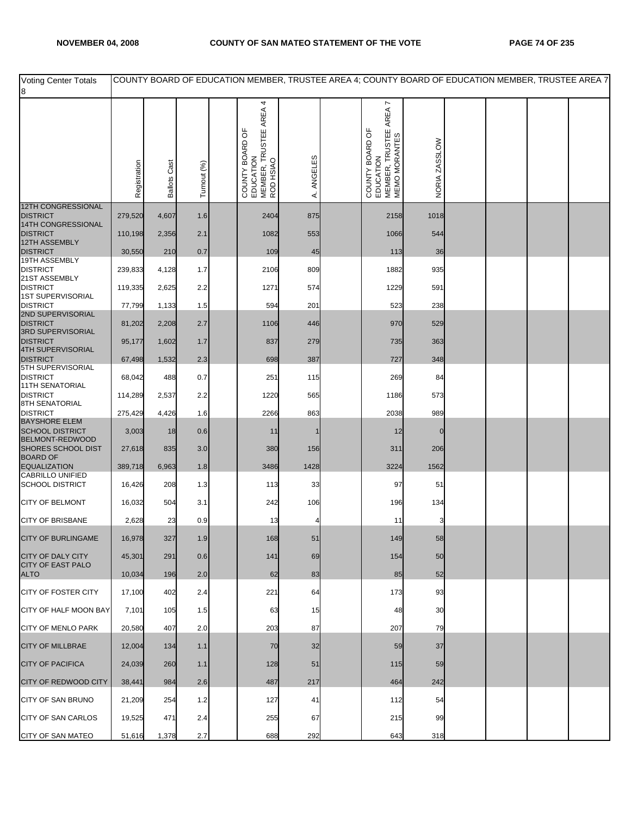| <b>Voting Center Totals</b><br>8                           |              |                     |             | COUNTY BOARD OF EDUCATION MEMBER, TRUSTEE AREA 4; COUNTY BOARD OF EDUCATION MEMBER, TRUSTEE AREA 7 |              |                                                                              |               |  |  |
|------------------------------------------------------------|--------------|---------------------|-------------|----------------------------------------------------------------------------------------------------|--------------|------------------------------------------------------------------------------|---------------|--|--|
|                                                            | Registration | <b>Ballots Cast</b> | Turnout (%) | EDUCATION<br>MEMBER, TRUSTEE AREA 4<br>ROD HSIAO<br>p<br>COUNTY BOARD                              | ANGELES<br>∢ | AREA 7<br>COUNTY BOARD OF<br>EDUCATION<br>MEMBER, TRUSTEE A<br>MEMO MORANTES | NORIA ZASSLOW |  |  |
| <b>12TH CONGRESSIONAL</b><br><b>DISTRICT</b>               | 279,520      | 4,607               | 1.6         | 2404                                                                                               | 875          | 2158                                                                         | 1018          |  |  |
| 14TH CONGRESSIONAL<br><b>DISTRICT</b>                      | 110,198      | 2,356               | 2.1         | 1082                                                                                               | 553          | 1066                                                                         | 544           |  |  |
| 12TH ASSEMBLY<br><b>DISTRICT</b>                           | 30,550       | 210                 | 0.7         | 109                                                                                                | 45           | 113                                                                          | 36            |  |  |
| 19TH ASSEMBLY<br><b>DISTRICT</b>                           | 239,833      | 4,128               | 1.7         | 2106                                                                                               | 809          | 1882                                                                         | 935           |  |  |
| 21ST ASSEMBLY<br><b>DISTRICT</b>                           | 119,335      | 2,625               | 2.2         | 1271                                                                                               | 574          | 1229                                                                         | 591           |  |  |
| 1ST SUPERVISORIAL<br><b>DISTRICT</b>                       | 77,799       | 1,133               | 1.5         | 594                                                                                                | 201          | 523                                                                          | 238           |  |  |
| 2ND SUPERVISORIAL<br><b>DISTRICT</b>                       | 81,202       | 2,208               | 2.7         | 1106                                                                                               | 446          | 970                                                                          | 529           |  |  |
| 3RD SUPERVISORIAL<br><b>DISTRICT</b>                       | 95,177       | 1,602               | 1.7         | 837                                                                                                | 279          | 735                                                                          | 363           |  |  |
| 4TH SUPERVISORIAL<br><b>DISTRICT</b>                       | 67,498       | 1,532               | 2.3         | 698                                                                                                | 387          | 727                                                                          | 348           |  |  |
| 5TH SUPERVISORIAL<br><b>DISTRICT</b>                       | 68,042       | 488                 | 0.7         | 251                                                                                                | 115          | 269                                                                          | 84            |  |  |
| <b>11TH SENATORIAL</b><br><b>DISTRICT</b>                  | 114,289      | 2,537               | 2.2         | 1220                                                                                               | 565          | 1186                                                                         | 573           |  |  |
| 8TH SENATORIAL<br><b>DISTRICT</b>                          | 275,429      | 4,426               | 1.6         | 2266                                                                                               | 863          | 2038                                                                         | 989           |  |  |
| <b>BAYSHORE ELEM</b><br><b>SCHOOL DISTRICT</b>             | 3,003        | 18                  | 0.6         | 11                                                                                                 |              | 12                                                                           | $\mathbf 0$   |  |  |
| BELMONT-REDWOOD<br><b>SHORES SCHOOL DIST</b>               | 27,618       | 835                 | 3.0         | 380                                                                                                | 156          | 311                                                                          | 206           |  |  |
| <b>BOARD OF</b><br><b>EQUALIZATION</b><br>CABRILLO UNIFIED | 389,718      | 6,963               | 1.8         | 3486                                                                                               | 1428         | 3224                                                                         | 1562          |  |  |
| <b>SCHOOL DISTRICT</b>                                     | 16,426       | 208                 | 1.3         | 113                                                                                                | 33           | 97                                                                           | 51            |  |  |
| <b>CITY OF BELMONT</b>                                     | 16,032       | 504                 | 3.1         | 242                                                                                                | 106          | 196                                                                          | 134           |  |  |
| <b>CITY OF BRISBANE</b>                                    | 2,628        | 23                  | 0.9         | 13                                                                                                 |              | 11                                                                           |               |  |  |
| <b>CITY OF BURLINGAME</b>                                  | 16,978       | 327                 | 1.9         | 168                                                                                                | 51           | 149                                                                          | 58            |  |  |
| <b>CITY OF DALY CITY</b><br><b>CITY OF EAST PALO</b>       | 45,301       | 291                 | 0.6         | 141                                                                                                | 69           | 154                                                                          | 50            |  |  |
| <b>ALTO</b>                                                | 10,034       | 196                 | 2.0         | 62                                                                                                 | 83           | 85                                                                           | 52            |  |  |
| <b>CITY OF FOSTER CITY</b>                                 | 17,100       | 402                 | 2.4         | 221                                                                                                | 64           | 173                                                                          | 93            |  |  |
| CITY OF HALF MOON BAY                                      | 7,101        | 105                 | 1.5         | 63                                                                                                 | 15           | 48                                                                           | 30            |  |  |
| <b>CITY OF MENLO PARK</b>                                  | 20,580       | 407                 | 2.0         | 203                                                                                                | 87           | 207                                                                          | 79            |  |  |
| <b>CITY OF MILLBRAE</b>                                    | 12,004       | 134                 | 1.1         | 70                                                                                                 | 32           | 59                                                                           | 37            |  |  |
| <b>CITY OF PACIFICA</b>                                    | 24,039       | 260                 | 1.1         | 128                                                                                                | 51           | 115                                                                          | 59            |  |  |
| <b>CITY OF REDWOOD CITY</b>                                | 38,441       | 984                 | 2.6         | 487                                                                                                | 217          | 464                                                                          | 242           |  |  |
| CITY OF SAN BRUNO                                          | 21,209       | 254                 | 1.2         | 127                                                                                                | 41           | 112                                                                          | 54            |  |  |
| <b>CITY OF SAN CARLOS</b>                                  | 19,525       | 471                 | 2.4         | 255                                                                                                | 67           | 215                                                                          | 99            |  |  |
| <b>CITY OF SAN MATEO</b>                                   | 51,616       | 1,378               | 2.7         | 688                                                                                                | 292          | 643                                                                          | 318           |  |  |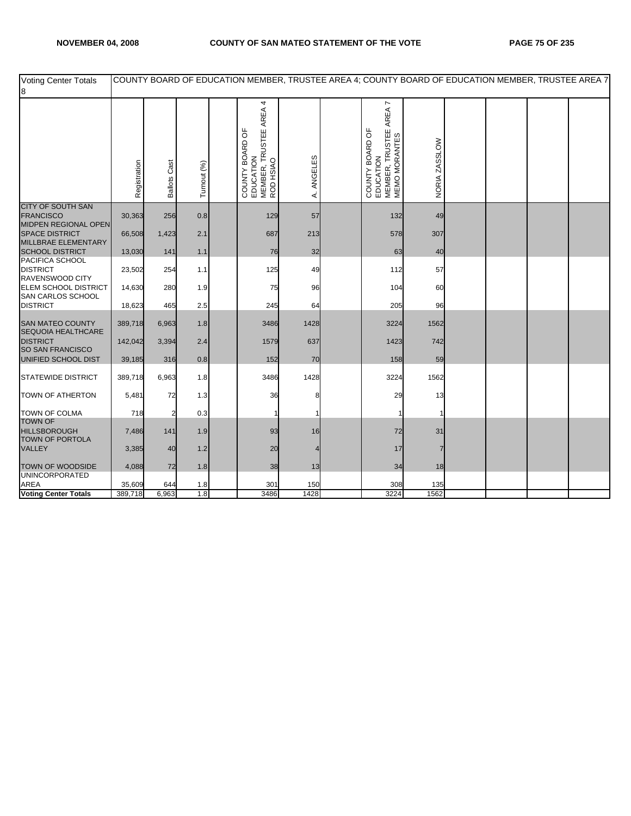| <b>Voting Center Totals</b><br>8                                |              |                     |             | COUNTY BOARD OF EDUCATION MEMBER, TRUSTEE AREA 4; COUNTY BOARD OF EDUCATION MEMBER, TRUSTEE AREA 7 |              |                                                                         |               |  |  |
|-----------------------------------------------------------------|--------------|---------------------|-------------|----------------------------------------------------------------------------------------------------|--------------|-------------------------------------------------------------------------|---------------|--|--|
|                                                                 | Registration | <b>Ballots Cast</b> | Turnout (%) | 4<br>AREA.<br>MEMBER, TRUSTEE<br>ROD HSIAO<br>COUNTY BOARD OF<br>EDUCATION                         | ANGELES<br>₹ | MEMBER, TRUSTEE AREA 7<br>MEMO MORANTES<br>COUNTY BOARD OF<br>EDUCATION | NORIA ZASSLOW |  |  |
| CITY OF SOUTH SAN<br><b>FRANCISCO</b><br>MIDPEN REGIONAL OPEN   | 30,363       | 256                 | 0.8         | 129                                                                                                | 57           | 132                                                                     | 49            |  |  |
| <b>SPACE DISTRICT</b><br>MILLBRAE ELEMENTARY                    | 66,508       | 1,423               | 2.1         | 687                                                                                                | 213          | 578                                                                     | 307           |  |  |
| <b>SCHOOL DISTRICT</b>                                          | 13,030       | 141                 | 1.1         | 76                                                                                                 | 32           | 63                                                                      | 40            |  |  |
| PACIFICA SCHOOL<br><b>DISTRICT</b><br>RAVENSWOOD CITY           | 23,502       | 254                 | 1.1         | 125                                                                                                | 49           | 112                                                                     | 57            |  |  |
| <b>ELEM SCHOOL DISTRICT</b><br>SAN CARLOS SCHOOL                | 14,630       | 280                 | 1.9         | 75                                                                                                 | 96           | 104                                                                     | 60            |  |  |
| <b>DISTRICT</b>                                                 | 18,623       | 465                 | 2.5         | 245                                                                                                | 64           | 205                                                                     | 96            |  |  |
| <b>SAN MATEO COUNTY</b><br>SEQUOIA HEALTHCARE                   | 389,718      | 6,963               | 1.8         | 3486                                                                                               | 1428         | 3224                                                                    | 1562          |  |  |
| <b>DISTRICT</b><br>SO SAN FRANCISCO                             | 142,042      | 3,394               | 2.4         | 1579                                                                                               | 637          | 1423                                                                    | 742           |  |  |
| UNIFIED SCHOOL DIST                                             | 39,185       | 316                 | 0.8         | 152                                                                                                | 70           | 158                                                                     | 59            |  |  |
| <b>STATEWIDE DISTRICT</b>                                       | 389,718      | 6,963               | 1.8         | 3486                                                                                               | 1428         | 3224                                                                    | 1562          |  |  |
| TOWN OF ATHERTON                                                | 5,481        | 72                  | 1.3         | 36                                                                                                 |              | 29                                                                      | 13            |  |  |
| <b>TOWN OF COLMA</b>                                            | 718          |                     | 0.3         | 1                                                                                                  |              |                                                                         |               |  |  |
| <b>TOWN OF</b><br><b>HILLSBOROUGH</b><br><b>TOWN OF PORTOLA</b> | 7,486        | 141                 | 1.9         | 93                                                                                                 | 16           | 72                                                                      | 31            |  |  |
| <b>VALLEY</b>                                                   | 3,385        | 40                  | 1.2         | 20                                                                                                 |              | 17                                                                      |               |  |  |
| <b>TOWN OF WOODSIDE</b><br><b>UNINCORPORATED</b>                | 4,088        | 72                  | 1.8         | 38                                                                                                 | 13           | 34                                                                      | 18            |  |  |
| <b>AREA</b>                                                     | 35,609       | 644                 | 1.8         | 301                                                                                                | 150          | 308                                                                     | 135           |  |  |
| <b>Voting Center Totals</b>                                     | 389,718      | 6,963               | 1.8         | 3486                                                                                               | 1428         | 3224                                                                    | 1562          |  |  |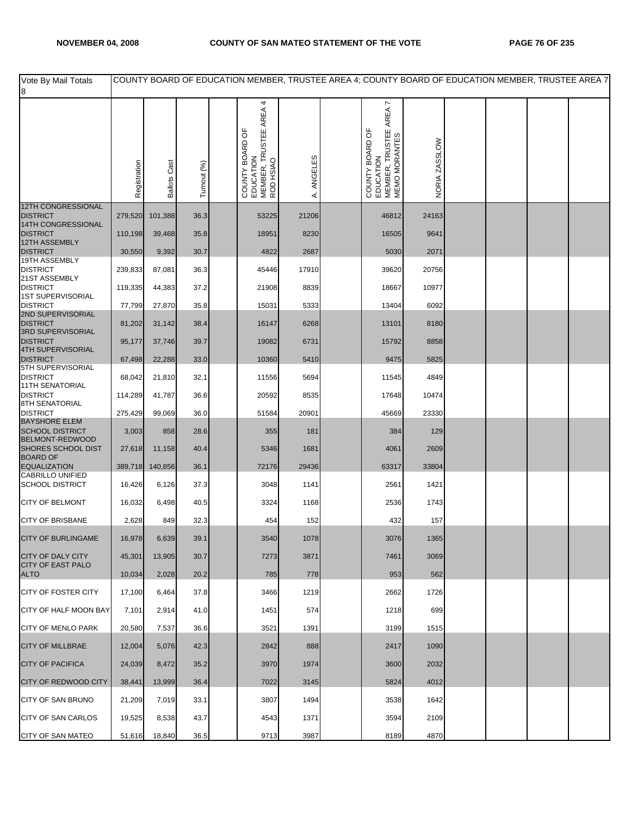| Vote By Mail Totals<br>8                       |              |                     |             | COUNTY BOARD OF EDUCATION MEMBER, TRUSTEE AREA 4; COUNTY BOARD OF EDUCATION MEMBER, TRUSTEE AREA 7 |              |                                                                              |               |  |  |
|------------------------------------------------|--------------|---------------------|-------------|----------------------------------------------------------------------------------------------------|--------------|------------------------------------------------------------------------------|---------------|--|--|
|                                                | Registration | <b>Ballots Cast</b> | Turnout (%) | AREA 4<br>COUNTY BOARD OF<br>EDUCATION<br>MEMBER, TRUSTEE A<br>ROD HSIAO                           | ANGELES<br>∢ | AREA 7<br>COUNTY BOARD OF<br>EDUCATION<br>MEMBER, TRUSTEE A<br>MEMO MORANTES | NORIA ZASSLOW |  |  |
| <b>12TH CONGRESSIONAL</b><br><b>DISTRICT</b>   | 279,520      | 101,388             | 36.3        | 53225                                                                                              | 21206        | 46812                                                                        | 24163         |  |  |
| 14TH CONGRESSIONAL<br><b>DISTRICT</b>          | 110,198      | 39,468              | 35.8        | 18951                                                                                              | 8230         | 16505                                                                        | 9641          |  |  |
| <b>12TH ASSEMBLY</b><br><b>DISTRICT</b>        | 30,550       | 9,392               | 30.7        | 4822                                                                                               | 2687         | 5030                                                                         | 2071          |  |  |
| 19TH ASSEMBLY<br><b>DISTRICT</b>               | 239,833      | 87,081              | 36.3        | 45446                                                                                              | 17910        | 39620                                                                        | 20756         |  |  |
| 21ST ASSEMBLY<br><b>DISTRICT</b>               | 119,335      | 44,383              | 37.2        | 21908                                                                                              | 8839         | 18667                                                                        | 10977         |  |  |
| 1ST SUPERVISORIAL<br><b>DISTRICT</b>           | 77,799       | 27,870              | 35.8        | 15031                                                                                              | 5333         | 13404                                                                        | 6092          |  |  |
| 2ND SUPERVISORIAL<br><b>DISTRICT</b>           | 81,202       | 31,142              | 38.4        | 16147                                                                                              | 6268         | 13101                                                                        | 8180          |  |  |
| 3RD SUPERVISORIAL<br><b>DISTRICT</b>           | 95,177       | 37,746              | 39.7        | 19082                                                                                              | 6731         | 15792                                                                        | 8858          |  |  |
| <b>4TH SUPERVISORIAL</b><br><b>DISTRICT</b>    | 67,498       | 22,288              | 33.0        | 10360                                                                                              | 5410         | 9475                                                                         | 5825          |  |  |
| 5TH SUPERVISORIAL<br><b>DISTRICT</b>           | 68,042       | 21,810              | 32.1        | 11556                                                                                              | 5694         | 11545                                                                        | 4849          |  |  |
| <b>11TH SENATORIAL</b><br><b>DISTRICT</b>      | 114,289      | 41,787              | 36.6        | 20592                                                                                              | 8535         | 17648                                                                        | 10474         |  |  |
| 8TH SENATORIAL<br><b>DISTRICT</b>              | 275,429      | 99,069              | 36.0        | 51584                                                                                              | 20901        | 45669                                                                        | 23330         |  |  |
| <b>BAYSHORE ELEM</b><br><b>SCHOOL DISTRICT</b> | 3,003        | 858                 | 28.6        | 355                                                                                                | 181          | 384                                                                          | 129           |  |  |
| BELMONT-REDWOOD<br>SHORES SCHOOL DIST          | 27,618       | 11,158              | 40.4        | 5346                                                                                               | 1681         | 4061                                                                         | 2609          |  |  |
| <b>BOARD OF</b><br><b>EQUALIZATION</b>         | 389,718      | 140,856             | 36.1        | 72176                                                                                              | 29436        | 63317                                                                        | 33804         |  |  |
| CABRILLO UNIFIED<br><b>SCHOOL DISTRICT</b>     | 16,426       | 6,126               | 37.3        | 3048                                                                                               | 1141         | 2561                                                                         | 1421          |  |  |
| <b>CITY OF BELMONT</b>                         | 16,032       | 6,498               | 40.5        | 3324                                                                                               | 1168         | 2536                                                                         | 1743          |  |  |
| <b>CITY OF BRISBANE</b>                        | 2,628        | 849                 | 32.3        | 454                                                                                                | 152          | 432                                                                          | 157           |  |  |
| <b>CITY OF BURLINGAME</b>                      | 16,978       | 6,639               | 39.1        | 3540                                                                                               | 1078         | 3076                                                                         | 1365          |  |  |
| <b>CITY OF DALY CITY</b>                       | 45,301       | 13,905              | 30.7        | 7273                                                                                               | 3871         | 7461                                                                         | 3069          |  |  |
| <b>CITY OF EAST PALO</b><br><b>ALTO</b>        | 10,034       | 2,028               | 20.2        | 785                                                                                                | 778          | 953                                                                          | 562           |  |  |
| <b>CITY OF FOSTER CITY</b>                     | 17,100       | 6,464               | 37.8        | 3466                                                                                               | 1219         | 2662                                                                         | 1726          |  |  |
| CITY OF HALF MOON BAY                          | 7,101        | 2,914               | 41.0        | 1451                                                                                               | 574          | 1218                                                                         | 699           |  |  |
| <b>CITY OF MENLO PARK</b>                      | 20,580       | 7,537               | 36.6        | 3521                                                                                               | 1391         | 3199                                                                         | 1515          |  |  |
| <b>CITY OF MILLBRAE</b>                        | 12,004       | 5,076               | 42.3        | 2842                                                                                               | 888          | 2417                                                                         | 1090          |  |  |
| <b>CITY OF PACIFICA</b>                        | 24,039       | 8,472               | 35.2        | 3970                                                                                               | 1974         | 3600                                                                         | 2032          |  |  |
| <b>CITY OF REDWOOD CITY</b>                    | 38,441       | 13,999              | 36.4        | 7022                                                                                               | 3145         | 5824                                                                         | 4012          |  |  |
| CITY OF SAN BRUNO                              | 21,209       | 7,019               | 33.1        | 3807                                                                                               | 1494         | 3538                                                                         | 1642          |  |  |
| <b>CITY OF SAN CARLOS</b>                      | 19,525       | 8,538               | 43.7        | 4543                                                                                               | 1371         | 3594                                                                         | 2109          |  |  |
| <b>CITY OF SAN MATEO</b>                       | 51,616       | 18,840              | 36.5        | 9713                                                                                               | 3987         | 8189                                                                         | 4870          |  |  |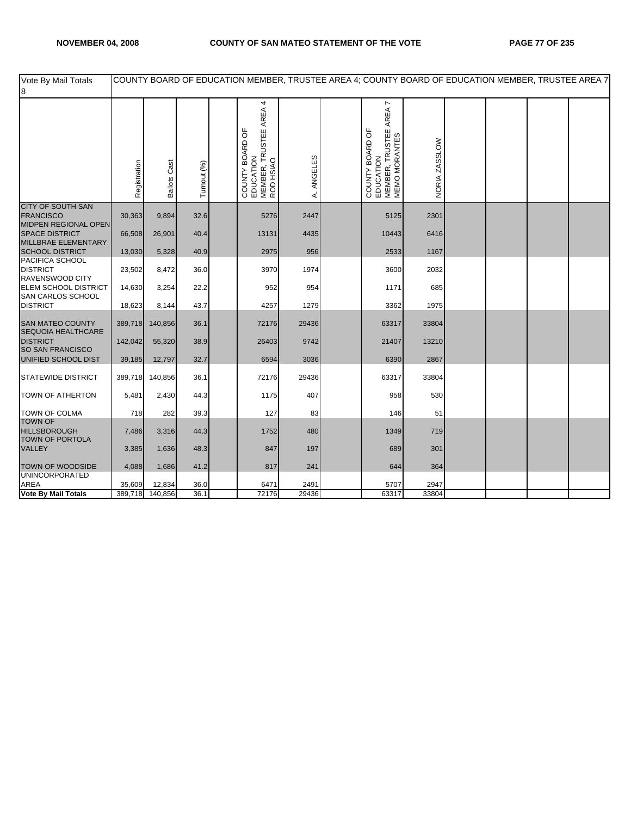| Vote By Mail Totals<br>8                                             |              |                     |             | COUNTY BOARD OF EDUCATION MEMBER, TRUSTEE AREA 4; COUNTY BOARD OF EDUCATION MEMBER, TRUSTEE AREA 7 |              |                                                                         |               |  |  |
|----------------------------------------------------------------------|--------------|---------------------|-------------|----------------------------------------------------------------------------------------------------|--------------|-------------------------------------------------------------------------|---------------|--|--|
|                                                                      | Registration | <b>Ballots Cast</b> | Turnout (%) | 4<br>MEMBER, TRUSTEE AREA<br>ROD HSIAO<br>COUNTY BOARD OF<br>EDUCATION                             | ANGELES<br>₹ | MEMBER, TRUSTEE AREA 7<br>MEMO MORANTES<br>COUNTY BOARD OF<br>EDUCATION | NORIA ZASSLOW |  |  |
| CITY OF SOUTH SAN<br><b>FRANCISCO</b>                                | 30,363       | 9,894               | 32.6        | 5276                                                                                               | 2447         | 5125                                                                    | 2301          |  |  |
| MIDPEN REGIONAL OPEN<br><b>SPACE DISTRICT</b><br>MILLBRAE ELEMENTARY | 66,508       | 26,901              | 40.4        | 13131                                                                                              | 4435         | 10443                                                                   | 6416          |  |  |
| <b>SCHOOL DISTRICT</b>                                               | 13,030       | 5,328               | 40.9        | 2975                                                                                               | 956          | 2533                                                                    | 1167          |  |  |
| PACIFICA SCHOOL<br><b>DISTRICT</b><br>RAVENSWOOD CITY                | 23,502       | 8,472               | 36.0        | 3970                                                                                               | 1974         | 3600                                                                    | 2032          |  |  |
| <b>ELEM SCHOOL DISTRICT</b><br>SAN CARLOS SCHOOL                     | 14,630       | 3,254               | 22.2        | 952                                                                                                | 954          | 1171                                                                    | 685           |  |  |
| <b>DISTRICT</b>                                                      | 18,623       | 8,144               | 43.7        | 4257                                                                                               | 1279         | 3362                                                                    | 1975          |  |  |
| <b>SAN MATEO COUNTY</b><br>SEQUOIA HEALTHCARE                        | 389,718      | 140,856             | 36.1        | 72176                                                                                              | 29436        | 63317                                                                   | 33804         |  |  |
| <b>DISTRICT</b><br>SO SAN FRANCISCO                                  | 142,042      | 55,320              | 38.9        | 26403                                                                                              | 9742         | 21407                                                                   | 13210         |  |  |
| UNIFIED SCHOOL DIST                                                  | 39,185       | 12,797              | 32.7        | 6594                                                                                               | 3036         | 6390                                                                    | 2867          |  |  |
| <b>STATEWIDE DISTRICT</b>                                            | 389,718      | 140,856             | 36.1        | 72176                                                                                              | 29436        | 63317                                                                   | 33804         |  |  |
| <b>TOWN OF ATHERTON</b>                                              | 5,481        | 2,430               | 44.3        | 1175                                                                                               | 407          | 958                                                                     | 530           |  |  |
| <b>TOWN OF COLMA</b>                                                 | 718          | 282                 | 39.3        | 127                                                                                                | 83           | 146                                                                     | 51            |  |  |
| <b>TOWN OF</b><br><b>HILLSBOROUGH</b><br><b>TOWN OF PORTOLA</b>      | 7,486        | 3,316               | 44.3        | 1752                                                                                               | 480          | 1349                                                                    | 719           |  |  |
| VALLEY                                                               | 3,385        | 1,636               | 48.3        | 847                                                                                                | 197          | 689                                                                     | 301           |  |  |
| <b>TOWN OF WOODSIDE</b><br><b>UNINCORPORATED</b>                     | 4,088        | 1,686               | 41.2        | 817                                                                                                | 241          | 644                                                                     | 364           |  |  |
| <b>AREA</b>                                                          | 35,609       | 12,834              | 36.0        | 6471                                                                                               | 2491         | 5707                                                                    | 2947          |  |  |
| Vote By Mail Totals                                                  | 389,718      | 140,856             | 36.1        | 72176                                                                                              | 29436        | 63317                                                                   | 33804         |  |  |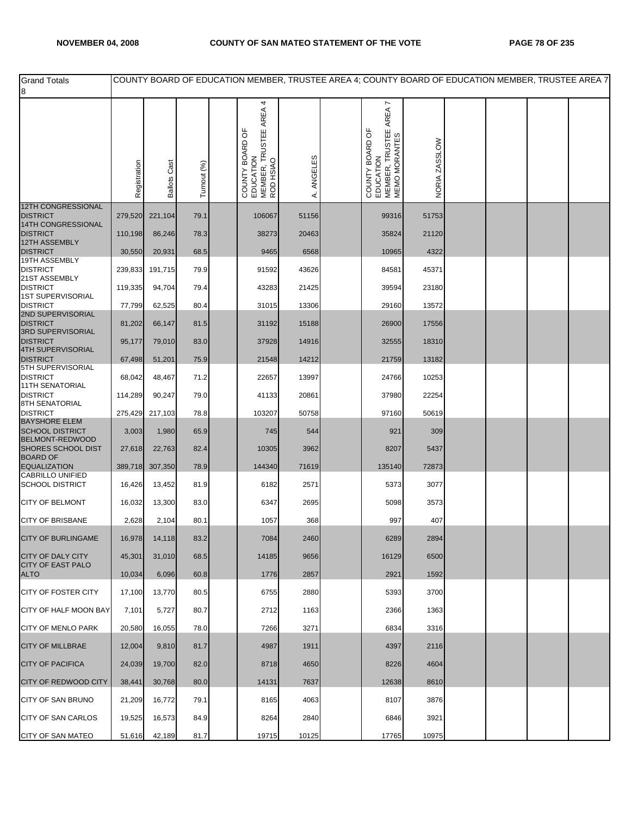| <b>Grand Totals</b>                               |              |                     |             | COUNTY BOARD OF EDUCATION MEMBER, TRUSTEE AREA 4; COUNTY BOARD OF EDUCATION MEMBER, TRUSTEE AREA 7 |              |                                                                              |               |  |  |
|---------------------------------------------------|--------------|---------------------|-------------|----------------------------------------------------------------------------------------------------|--------------|------------------------------------------------------------------------------|---------------|--|--|
| 8                                                 |              |                     |             |                                                                                                    |              |                                                                              |               |  |  |
|                                                   | Registration | <b>Ballots Cast</b> | Turnout (%) | EDUCATION<br>MEMBER, TRUSTEE AREA 4<br>ROD HSIAO<br>COUNTY BOARD OF                                | ANGELES<br>∢ | AREA 7<br>EDUCATION<br>MEMBER, TRUSTEE A<br>MEMO MORANTES<br>COUNTY BOARD OF | NORIA ZASSLOW |  |  |
| 12TH CONGRESSIONAL<br><b>DISTRICT</b>             | 279,520      | 221,104             | 79.1        | 106067                                                                                             | 51156        | 99316                                                                        | 51753         |  |  |
| 14TH CONGRESSIONAL<br><b>DISTRICT</b>             | 110,198      | 86,246              | 78.3        | 38273                                                                                              | 20463        | 35824                                                                        | 21120         |  |  |
| 12TH ASSEMBLY                                     |              |                     |             |                                                                                                    |              |                                                                              |               |  |  |
| <b>DISTRICT</b><br>19TH ASSEMBLY                  | 30,550       | 20,931              | 68.5        | 9465                                                                                               | 6568         | 10965                                                                        | 4322          |  |  |
| <b>DISTRICT</b><br>21ST ASSEMBLY                  | 239,833      | 191,715             | 79.9        | 91592                                                                                              | 43626        | 84581                                                                        | 45371         |  |  |
| <b>DISTRICT</b><br><b>1ST SUPERVISORIAL</b>       | 119,335      | 94,704              | 79.4        | 43283                                                                                              | 21425        | 39594                                                                        | 23180         |  |  |
| <b>DISTRICT</b>                                   | 77,799       | 62,525              | 80.4        | 31015                                                                                              | 13306        | 29160                                                                        | 13572         |  |  |
| 2ND SUPERVISORIAL<br><b>DISTRICT</b>              | 81,202       | 66,147              | 81.5        | 31192                                                                                              | 15188        | 26900                                                                        | 17556         |  |  |
| <b>3RD SUPERVISORIAL</b><br><b>DISTRICT</b>       | 95,177       | 79,010              | 83.0        | 37928                                                                                              | 14916        | 32555                                                                        | 18310         |  |  |
| 4TH SUPERVISORIAL<br><b>DISTRICT</b>              | 67,498       | 51,201              | 75.9        | 21548                                                                                              | 14212        | 21759                                                                        | 13182         |  |  |
| 5TH SUPERVISORIAL<br><b>DISTRICT</b>              | 68,042       | 48,467              | 71.2        | 22657                                                                                              | 13997        | 24766                                                                        | 10253         |  |  |
| <b>11TH SENATORIAL</b>                            |              |                     |             |                                                                                                    |              |                                                                              |               |  |  |
| <b>DISTRICT</b><br>8TH SENATORIAL                 | 114,289      | 90,247              | 79.0        | 41133                                                                                              | 20861        | 37980                                                                        | 22254         |  |  |
| <b>DISTRICT</b><br><b>BAYSHORE ELEM</b>           | 275,429      | 217,103             | 78.8        | 103207                                                                                             | 50758        | 97160                                                                        | 50619         |  |  |
| <b>SCHOOL DISTRICT</b><br><b>BELMONT-REDWOOD</b>  | 3,003        | 1,980               | 65.9        | 745                                                                                                | 544          | 921                                                                          | 309           |  |  |
| <b>SHORES SCHOOL DIST</b><br><b>BOARD OF</b>      | 27,618       | 22,763              | 82.4        | 10305                                                                                              | 3962         | 8207                                                                         | 5437          |  |  |
| <b>EQUALIZATION</b>                               | 389,718      | 307,350             | 78.9        | 144340                                                                                             | 71619        | 135140                                                                       | 72873         |  |  |
| <b>CABRILLO UNIFIED</b><br><b>SCHOOL DISTRICT</b> | 16,426       | 13,452              | 81.9        | 6182                                                                                               | 2571         | 5373                                                                         | 3077          |  |  |
| <b>CITY OF BELMONT</b>                            | 16,032       | 13,300              | 83.0        | 6347                                                                                               | 2695         | 5098                                                                         | 3573          |  |  |
| <b>CITY OF BRISBANE</b>                           | 2,628        | 2,104               | 80.1        | 1057                                                                                               | 368          | 997                                                                          | 407           |  |  |
| CITY OF BURLINGAME                                | 16,978       | 14,118              | 83.2        | 7084                                                                                               | 2460         | 6289                                                                         | 2894          |  |  |
| <b>CITY OF DALY CITY</b>                          | 45,301       | 31,010              | 68.5        | 14185                                                                                              | 9656         | 16129                                                                        | 6500          |  |  |
| <b>CITY OF EAST PALO</b><br><b>ALTO</b>           | 10,034       | 6,096               | 60.8        | 1776                                                                                               | 2857         | 2921                                                                         | 1592          |  |  |
| CITY OF FOSTER CITY                               | 17,100       | 13,770              | 80.5        | 6755                                                                                               | 2880         | 5393                                                                         | 3700          |  |  |
| <b>CITY OF HALF MOON BAY</b>                      | 7,101        | 5,727               | 80.7        | 2712                                                                                               | 1163         | 2366                                                                         | 1363          |  |  |
| <b>CITY OF MENLO PARK</b>                         | 20,580       | 16,055              | 78.0        | 7266                                                                                               | 3271         | 6834                                                                         | 3316          |  |  |
| <b>CITY OF MILLBRAE</b>                           | 12,004       | 9,810               | 81.7        | 4987                                                                                               | 1911         | 4397                                                                         | 2116          |  |  |
| <b>CITY OF PACIFICA</b>                           | 24,039       | 19,700              | 82.0        | 8718                                                                                               | 4650         | 8226                                                                         | 4604          |  |  |
| <b>CITY OF REDWOOD CITY</b>                       | 38,441       | 30,768              | 80.0        | 14131                                                                                              | 7637         | 12638                                                                        | 8610          |  |  |
| CITY OF SAN BRUNO                                 | 21,209       | 16,772              | 79.1        | 8165                                                                                               | 4063         | 8107                                                                         | 3876          |  |  |
| <b>CITY OF SAN CARLOS</b>                         | 19,525       | 16,573              | 84.9        | 8264                                                                                               | 2840         | 6846                                                                         | 3921          |  |  |
| <b>CITY OF SAN MATEO</b>                          | 51,616       | 42,189              | 81.7        | 19715                                                                                              | 10125        | 17765                                                                        | 10975         |  |  |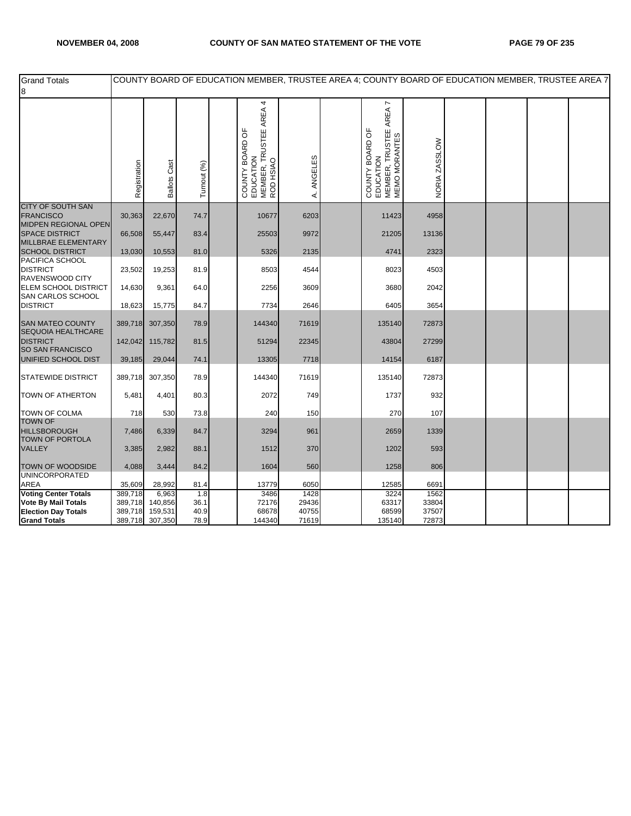| <b>Grand Totals</b><br>8                                        |              |                     |             |                                                                                  |              | COUNTY BOARD OF EDUCATION MEMBER, TRUSTEE AREA 4; COUNTY BOARD OF EDUCATION MEMBER, TRUSTEE AREA 7 |               |  |  |
|-----------------------------------------------------------------|--------------|---------------------|-------------|----------------------------------------------------------------------------------|--------------|----------------------------------------------------------------------------------------------------|---------------|--|--|
|                                                                 | Registration | <b>Ballots Cast</b> | Turnout (%) | TRUSTEE AREA 4<br>COUNTY BOARD OF<br>EDUCATION<br>MEMBER, TRUSTEE A<br>ROD HSIAO | ANGELES<br>∢ | AREA 7<br>MEMBER, TRUSTEE<br>MEMO MORANTES<br>COUNTY BOARD OF<br>EDUCATION                         | NORIA ZASSLOW |  |  |
| <b>CITY OF SOUTH SAN</b><br><b>FRANCISCO</b>                    | 30,363       | 22,670              | 74.7        | 10677                                                                            | 6203         | 11423                                                                                              | 4958          |  |  |
| <b>MIDPEN REGIONAL OPEN</b><br><b>SPACE DISTRICT</b>            | 66,508       | 55,447              | 83.4        | 25503                                                                            | 9972         | 21205                                                                                              | 13136         |  |  |
| MILLBRAE ELEMENTARY<br><b>SCHOOL DISTRICT</b>                   | 13,030       | 10,553              | 81.0        | 5326                                                                             | 2135         | 4741                                                                                               | 2323          |  |  |
| PACIFICA SCHOOL<br><b>DISTRICT</b><br>RAVENSWOOD CITY           | 23,502       | 19,253              | 81.9        | 8503                                                                             | 4544         | 8023                                                                                               | 4503          |  |  |
| ELEM SCHOOL DISTRICT<br>SAN CARLOS SCHOOL                       | 14,630       | 9,361               | 64.0        | 2256                                                                             | 3609         | 3680                                                                                               | 2042          |  |  |
| <b>DISTRICT</b>                                                 | 18,623       | 15,775              | 84.7        | 7734                                                                             | 2646         | 6405                                                                                               | 3654          |  |  |
| <b>SAN MATEO COUNTY</b><br><b>SEQUOIA HEALTHCARE</b>            | 389,718      | 307,350             | 78.9        | 144340                                                                           | 71619        | 135140                                                                                             | 72873         |  |  |
| <b>DISTRICT</b><br><b>SO SAN FRANCISCO</b>                      | 142,042      | 115,782             | 81.5        | 51294                                                                            | 22345        | 43804                                                                                              | 27299         |  |  |
| UNIFIED SCHOOL DIST                                             | 39,185       | 29,044              | 74.1        | 13305                                                                            | 7718         | 14154                                                                                              | 6187          |  |  |
| <b>STATEWIDE DISTRICT</b>                                       | 389,718      | 307,350             | 78.9        | 144340                                                                           | 71619        | 135140                                                                                             | 72873         |  |  |
| <b>TOWN OF ATHERTON</b>                                         | 5,481        | 4,401               | 80.3        | 2072                                                                             | 749          | 1737                                                                                               | 932           |  |  |
| <b>TOWN OF COLMA</b>                                            | 718          | 530                 | 73.8        | 240                                                                              | 150          | 270                                                                                                | 107           |  |  |
| <b>TOWN OF</b><br><b>HILLSBOROUGH</b><br><b>TOWN OF PORTOLA</b> | 7,486        | 6,339               | 84.7        | 3294                                                                             | 961          | 2659                                                                                               | 1339          |  |  |
| <b>VALLEY</b>                                                   | 3,385        | 2,982               | 88.1        | 1512                                                                             | 370          | 1202                                                                                               | 593           |  |  |
| TOWN OF WOODSIDE                                                | 4,088        | 3,444               | 84.2        | 1604                                                                             | 560          | 1258                                                                                               | 806           |  |  |
| <b>UNINCORPORATED</b><br>AREA                                   | 35,609       | 28,992              | 81.4        | 13779                                                                            | 6050         | 12585                                                                                              | 6691          |  |  |
| <b>Voting Center Totals</b>                                     | 389,718      | 6,963               | 1.8         | 3486                                                                             | 1428         | 3224                                                                                               | 1562          |  |  |
| <b>Vote By Mail Totals</b>                                      | 389,718      | 140,856             | 36.1        | 72176                                                                            | 29436        | 63317                                                                                              | 33804         |  |  |
| <b>Election Day Totals</b>                                      | 389,718      | 159,531             | 40.9        | 68678                                                                            | 40755        | 68599                                                                                              | 37507         |  |  |
| <b>Grand Totals</b>                                             |              | 389,718 307,350     | 78.9        | 144340                                                                           | 71619        | 135140                                                                                             | 72873         |  |  |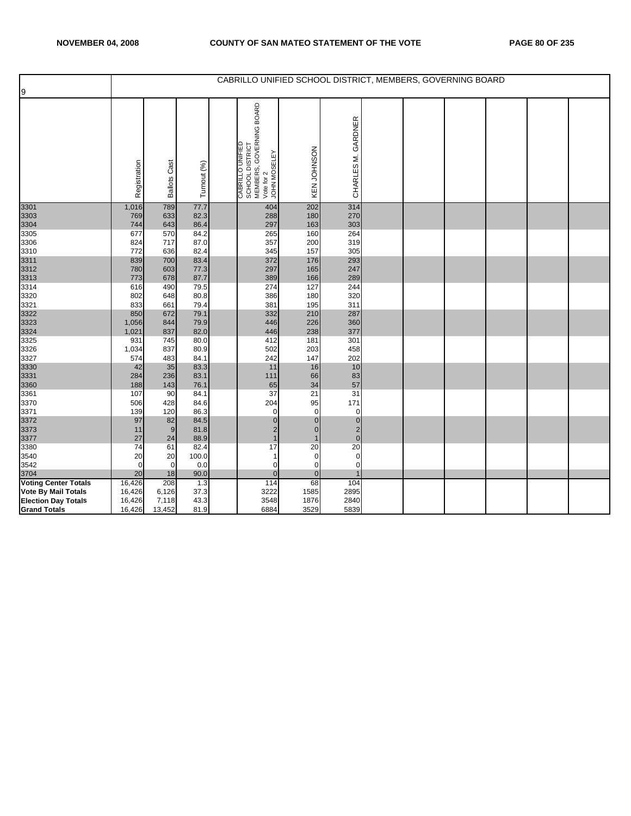| 9                                                         |                  |                        |              | CABRILLO UNIFIED SCHOOL DISTRICT, MEMBERS, GOVERNING BOARD                                    |                   |                         |  |  |  |
|-----------------------------------------------------------|------------------|------------------------|--------------|-----------------------------------------------------------------------------------------------|-------------------|-------------------------|--|--|--|
|                                                           | Registration     | Cast<br><b>Ballots</b> | Turnout (%)  | SCHOOL DISTRICT<br>MEMBERS, GOVERNING BOARD<br>Vote for 2<br>JOHN MOSELEY<br>CABRILLO UNIFIED | KEN JOHNSON       | CHARLES M. GARDNER      |  |  |  |
| 3301<br>3303                                              | 1,016<br>769     | 789<br>633             | 77.7<br>82.3 | 404<br>288                                                                                    | 202<br>180        | 314<br>270              |  |  |  |
| 3304                                                      | 744              | 643                    | 86.4         | 297                                                                                           | 163               | 303                     |  |  |  |
| 3305                                                      | 677              | 570                    | 84.2         | 265                                                                                           | 160               | 264                     |  |  |  |
| 3306                                                      | 824              | 717                    | 87.0         | 357                                                                                           | 200               | 319                     |  |  |  |
| 3310<br>3311                                              | 772<br>839       | 636<br>700             | 82.4<br>83.4 | 345<br>372                                                                                    | 157<br>176        | 305<br>293              |  |  |  |
| 3312                                                      | 780              | 603                    | 77.3         | 297                                                                                           | 165               | 247                     |  |  |  |
| 3313                                                      | 773              | 678                    | 87.7         | 389                                                                                           | 166               | 289                     |  |  |  |
| 3314                                                      | 616              | 490                    | 79.5         | 274                                                                                           | 127               | 244                     |  |  |  |
| 3320                                                      | 802              | 648                    | 80.8         | 386                                                                                           | 180               | 320                     |  |  |  |
| 3321                                                      | 833              | 661                    | 79.4         | 381                                                                                           | 195               | 311                     |  |  |  |
| 3322                                                      | 850              | 672                    | 79.1         | 332                                                                                           | 210               | 287                     |  |  |  |
| 3323                                                      | 1,056            | 844                    | 79.9         | 446                                                                                           | 226               | 360                     |  |  |  |
| 3324<br>3325                                              | 1,021<br>931     | 837<br>745             | 82.0<br>80.0 | 446<br>412                                                                                    | 238<br>181        | 377<br>301              |  |  |  |
| 3326                                                      | 1,034            | 837                    | 80.9         | 502                                                                                           | 203               | 458                     |  |  |  |
| 3327                                                      | 574              | 483                    | 84.1         | 242                                                                                           | 147               | 202                     |  |  |  |
| 3330                                                      | 42               | 35                     | 83.3         | 11                                                                                            | 16                | 10                      |  |  |  |
| 3331                                                      | 284              | 236                    | 83.1         | 111                                                                                           | 66                | 83                      |  |  |  |
| 3360                                                      | 188              | 143                    | 76.1         | 65                                                                                            | 34                | 57                      |  |  |  |
| 3361                                                      | 107              | 90                     | 84.1         | 37                                                                                            | 21                | 31                      |  |  |  |
| 3370<br>3371                                              | 506<br>139       | 428<br>120             | 84.6<br>86.3 | 204<br>$\mathbf 0$                                                                            | 95<br>$\mathbf 0$ | 171<br>0                |  |  |  |
| 3372                                                      | 97               | 82                     | 84.5         | $\pmb{0}$                                                                                     | $\mathbf 0$       | $\pmb{0}$               |  |  |  |
| 3373                                                      | 11               | $\overline{9}$         | 81.8         | $\overline{\mathbf{c}}$                                                                       | $\mathbf{0}$      | $\overline{\mathbf{c}}$ |  |  |  |
| 3377                                                      | 27               | 24                     | 88.9         | $\mathbf{1}$                                                                                  |                   | $\overline{0}$          |  |  |  |
| 3380                                                      | 74               | 61                     | 82.4         | 17                                                                                            | 20                | 20                      |  |  |  |
| 3540                                                      | 20               | 20                     | 100.0        | $\mathbf{1}$                                                                                  | 0                 | 0                       |  |  |  |
| 3542                                                      | $\mathbf 0$      | $\mathbf 0$            | 0.0          | $\mathbf 0$                                                                                   | 0                 | 0                       |  |  |  |
| 3704                                                      | 20               | 18                     | 90.0         | $\mathbf{0}$<br>114                                                                           | $\overline{0}$    | 1                       |  |  |  |
| <b>Voting Center Totals</b><br><b>Vote By Mail Totals</b> | 16,426<br>16,426 | 208<br>6,126           | 1.3<br>37.3  | 3222                                                                                          | 68<br>1585        | 104<br>2895             |  |  |  |
| <b>Election Day Totals</b>                                | 16,426           | 7,118                  | 43.3         | 3548                                                                                          | 1876              | 2840                    |  |  |  |
| <b>Grand Totals</b>                                       | 16,426           | 13,452                 | 81.9         | 6884                                                                                          | 3529              | 5839                    |  |  |  |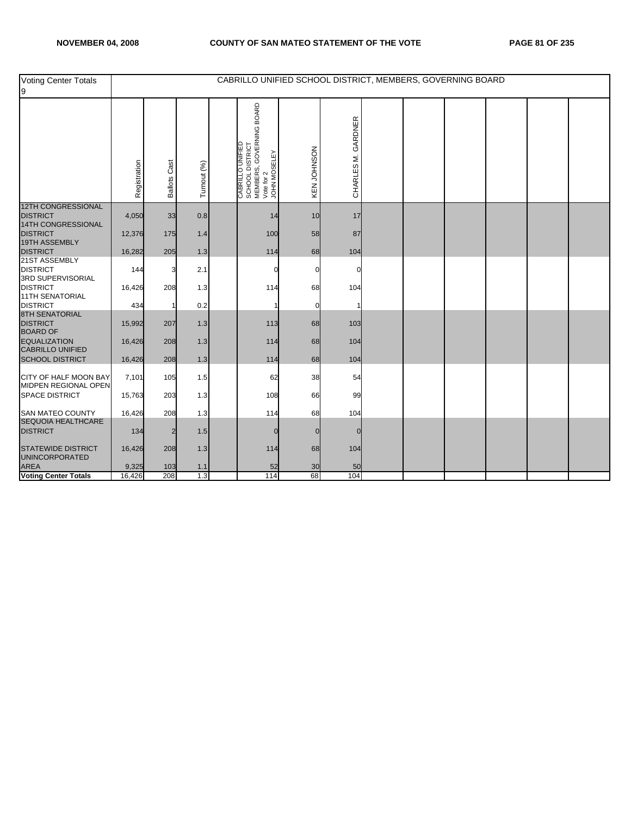| Voting Center Totals<br>9                             |                 |                        |             | CABRILLO UNIFIED SCHOOL DISTRICT, MEMBERS, GOVERNING BOARD                                      |             |                    |  |  |  |
|-------------------------------------------------------|-----------------|------------------------|-------------|-------------------------------------------------------------------------------------------------|-------------|--------------------|--|--|--|
|                                                       | Registration    | Cast<br><b>Ballots</b> | Turnout (%) | " CABRILLO UNIFIED<br>SCHOOL DISTRICT<br>MEMBERS, GOVERNING BOARD<br>Vote for 2<br>JOHN MOSELEY | KEN JOHNSON | CHARLES M. GARDNER |  |  |  |
| <b>12TH CONGRESSIONAL</b><br><b>DISTRICT</b>          | 4,050           | 33                     | 0.8         | 14                                                                                              | 10          | 17                 |  |  |  |
| 14TH CONGRESSIONAL<br><b>DISTRICT</b>                 | 12,376          | 175                    | 1.4         | 100                                                                                             | 58          | 87                 |  |  |  |
| 19TH ASSEMBLY<br><b>DISTRICT</b>                      | 16,282          | 205                    | 1.3         | 114                                                                                             | 68          | 104                |  |  |  |
| 21ST ASSEMBLY<br><b>DISTRICT</b><br>3RD SUPERVISORIAL | 144             | 3                      | 2.1         |                                                                                                 |             |                    |  |  |  |
| <b>DISTRICT</b><br><b>11TH SENATORIAL</b>             | 16,426          | 208                    | 1.3         | 114                                                                                             | 68          | 104                |  |  |  |
| <b>DISTRICT</b>                                       | 434             |                        | 0.2         |                                                                                                 |             |                    |  |  |  |
| <b>8TH SENATORIAL</b><br>DISTRICT<br>BOARD OF         | 15,992          | 207                    | 1.3         | 113                                                                                             | 68          | 103                |  |  |  |
| <b>EQUALIZATION</b><br><b>CABRILLO UNIFIED</b>        | 16,426          | 208                    | 1.3         | 114                                                                                             | 68          | 104                |  |  |  |
| <b>SCHOOL DISTRICT</b>                                | 16,426          | 208                    | 1.3         | 114                                                                                             | 68          | 104                |  |  |  |
| CITY OF HALF MOON BAY<br>MIDPEN REGIONAL OPEN         | 7,101           | 105                    | 1.5         | 62                                                                                              | 38          | 54                 |  |  |  |
| <b>SPACE DISTRICT</b>                                 | 15,763          | 203                    | 1.3         | 108                                                                                             | 66          | 99                 |  |  |  |
| <b>SAN MATEO COUNTY</b><br>SEQUOIA HEALTHCARE         | 16,426          | 208                    | 1.3         | 114                                                                                             | 68          | 104                |  |  |  |
| <b>DISTRICT</b>                                       | 134             | 2                      | 1.5         | $\Omega$                                                                                        |             | $\Omega$           |  |  |  |
| STATEWIDE DISTRICT<br>UNINCORPORATED                  | 16,426          | 208                    | 1.3         | 114                                                                                             | 68          | 104                |  |  |  |
| <b>AREA</b><br><b>Voting Center Totals</b>            | 9,325<br>16,426 | 103<br>208             | 1.1<br>1.3  | 52<br>114                                                                                       | 30<br>68    | 50<br>104          |  |  |  |
|                                                       |                 |                        |             |                                                                                                 |             |                    |  |  |  |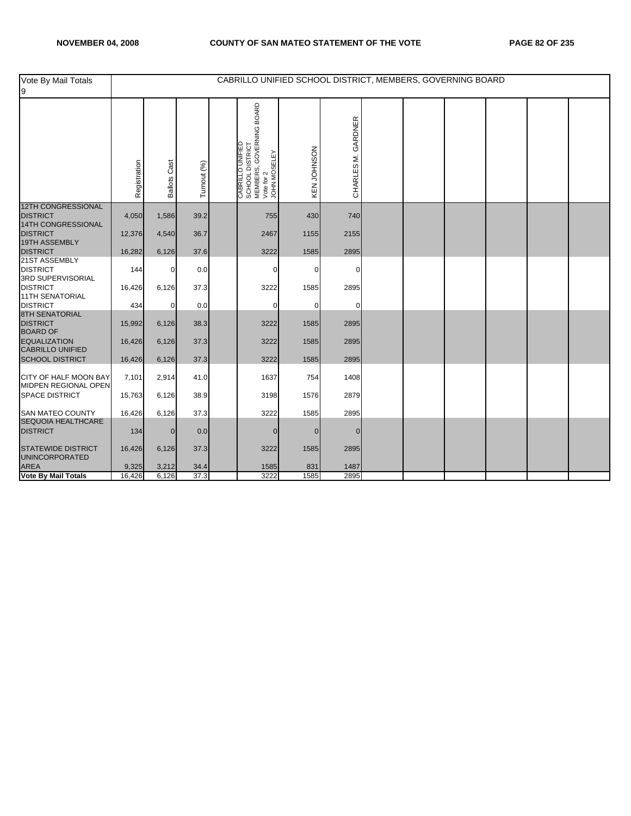| Vote By Mail Totals<br>9                                      |              |                        |             | CABRILLO UNIFIED SCHOOL DISTRICT, MEMBERS, GOVERNING BOARD                                    |             |                    |  |  |  |
|---------------------------------------------------------------|--------------|------------------------|-------------|-----------------------------------------------------------------------------------------------|-------------|--------------------|--|--|--|
|                                                               | Registration | Cast<br><b>Ballots</b> | Turnout (%) | SCHOOL DISTRICT<br>MEMBERS, GOVERNING BOARD<br>Vote for 2<br>JOHN MOSELEY<br>CABRILLO UNIFIED | KEN JOHNSON | CHARLES M. GARDNER |  |  |  |
| <b>12TH CONGRESSIONAL</b><br><b>DISTRICT</b>                  | 4,050        | 1,586                  | 39.2        | 755                                                                                           | 430         | 740                |  |  |  |
| 14TH CONGRESSIONAL<br><b>DISTRICT</b><br><b>19TH ASSEMBLY</b> | 12,376       | 4,540                  | 36.7        | 2467                                                                                          | 1155        | 2155               |  |  |  |
| <b>DISTRICT</b>                                               | 16,282       | 6,126                  | 37.6        | 3222                                                                                          | 1585        | 2895               |  |  |  |
| 21ST ASSEMBLY<br><b>DISTRICT</b><br>3RD SUPERVISORIAL         | 144          | $\mathbf 0$            | 0.0         | 0                                                                                             | 0           | 0                  |  |  |  |
| <b>DISTRICT</b><br><b>11TH SENATORIAL</b>                     | 16,426       | 6,126                  | 37.3        | 3222                                                                                          | 1585        | 2895               |  |  |  |
| <b>DISTRICT</b>                                               | 434          | $\mathbf 0$            | 0.0         | $\mathbf 0$                                                                                   | $\Omega$    | $\Omega$           |  |  |  |
| 8TH SENATORIAL<br><b>DISTRICT</b><br><b>BOARD OF</b>          | 15,992       | 6,126                  | 38.3        | 3222                                                                                          | 1585        | 2895               |  |  |  |
| <b>EQUALIZATION</b><br><b>CABRILLO UNIFIED</b>                | 16,426       | 6,126                  | 37.3        | 3222                                                                                          | 1585        | 2895               |  |  |  |
| <b>SCHOOL DISTRICT</b>                                        | 16,426       | 6,126                  | 37.3        | 3222                                                                                          | 1585        | 2895               |  |  |  |
| CITY OF HALF MOON BAY<br>MIDPEN REGIONAL OPEN                 | 7,101        | 2,914                  | 41.0        | 1637                                                                                          | 754         | 1408               |  |  |  |
| <b>SPACE DISTRICT</b>                                         | 15,763       | 6,126                  | 38.9        | 3198                                                                                          | 1576        | 2879               |  |  |  |
| SAN MATEO COUNTY                                              | 16,426       | 6,126                  | 37.3        | 3222                                                                                          | 1585        | 2895               |  |  |  |
| SEQUOIA HEALTHCARE<br><b>DISTRICT</b>                         | 134          | $\overline{0}$         | 0.0         | $\mathbf{0}$                                                                                  | $\Omega$    | $\overline{0}$     |  |  |  |
| <b>STATEWIDE DISTRICT</b><br><b>UNINCORPORATED</b>            | 16,426       | 6,126                  | 37.3        | 3222                                                                                          | 1585        | 2895               |  |  |  |
| <b>AREA</b><br>Vote By Mail Totals                            | 9,325        | 3,212                  | 34.4        | 1585                                                                                          | 831         | 1487               |  |  |  |
|                                                               | 16,426       | 6,126                  | 37.3        | 3222                                                                                          | 1585        | 2895               |  |  |  |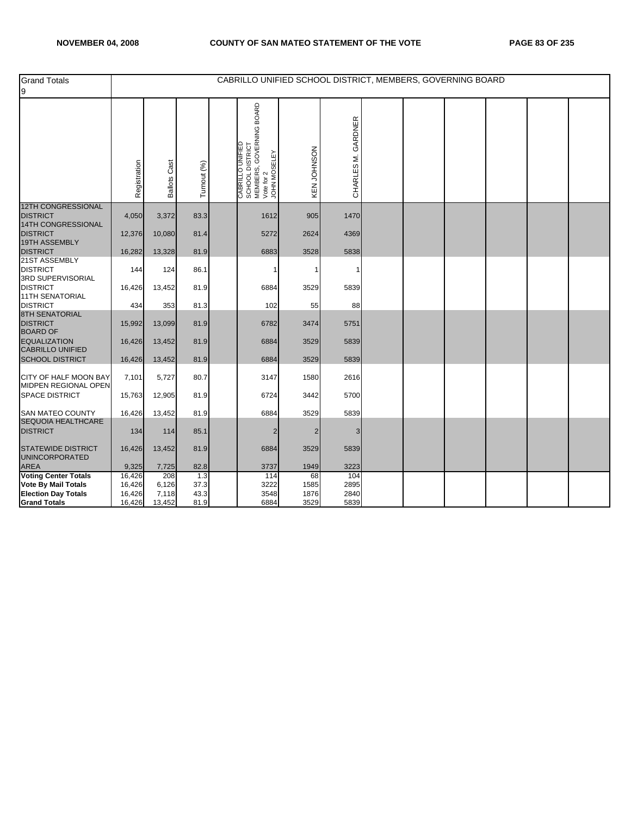| <b>Grand Totals</b><br>9                                    |                  |                     |              | CABRILLO UNIFIED SCHOOL DISTRICT, MEMBERS, GOVERNING BOARD                            |                |                    |  |  |  |
|-------------------------------------------------------------|------------------|---------------------|--------------|---------------------------------------------------------------------------------------|----------------|--------------------|--|--|--|
|                                                             | Registration     | <b>Ballots Cast</b> | Turnout (%)  | CABRILLO UNIFIED<br>  SCHOOL DISTRICT<br>  MEMBERS, GOVERNING BOARD<br>  JOHN MOSELEY | KEN JOHNSON    | CHARLES M. GARDNER |  |  |  |
| <b>12TH CONGRESSIONAL</b><br><b>DISTRICT</b>                | 4,050            | 3,372               | 83.3         | 1612                                                                                  | 905            | 1470               |  |  |  |
| 14TH CONGRESSIONAL<br><b>DISTRICT</b>                       | 12,376           | 10,080              | 81.4         | 5272                                                                                  | 2624           | 4369               |  |  |  |
| 19TH ASSEMBLY<br><b>DISTRICT</b>                            | 16,282           | 13,328              | 81.9         | 6883                                                                                  | 3528           | 5838               |  |  |  |
| 21ST ASSEMBLY<br><b>DISTRICT</b><br>3RD SUPERVISORIAL       | 144              | 124                 | 86.1         |                                                                                       |                |                    |  |  |  |
| <b>DISTRICT</b><br><b>11TH SENATORIAL</b>                   | 16,426           | 13,452              | 81.9         | 6884                                                                                  | 3529           | 5839               |  |  |  |
| <b>DISTRICT</b>                                             | 434              | 353                 | 81.3         | 102                                                                                   | 55             | 88                 |  |  |  |
| <b>8TH SENATORIAL</b><br><b>DISTRICT</b><br><b>BOARD OF</b> | 15,992           | 13,099              | 81.9         | 6782                                                                                  | 3474           | 5751               |  |  |  |
| <b>EQUALIZATION</b><br><b>CABRILLO UNIFIED</b>              | 16,426           | 13,452              | 81.9         | 6884                                                                                  | 3529           | 5839               |  |  |  |
| <b>SCHOOL DISTRICT</b>                                      | 16,426           | 13,452              | 81.9         | 6884                                                                                  | 3529           | 5839               |  |  |  |
| CITY OF HALF MOON BAY<br>MIDPEN REGIONAL OPEN               | 7,101            | 5,727               | 80.7         | 3147                                                                                  | 1580           | 2616               |  |  |  |
| <b>SPACE DISTRICT</b>                                       | 15,763           | 12,905              | 81.9         | 6724                                                                                  | 3442           | 5700               |  |  |  |
| <b>SAN MATEO COUNTY</b><br>SEQUOIA HEALTHCARE               | 16,426           | 13,452              | 81.9         | 6884                                                                                  | 3529           | 5839               |  |  |  |
| <b>DISTRICT</b>                                             | 134              | 114                 | 85.1         | 2                                                                                     | $\overline{2}$ | 3                  |  |  |  |
| <b>STATEWIDE DISTRICT</b><br>UNINCORPORATED                 | 16,426           | 13,452              | 81.9         | 6884                                                                                  | 3529           | 5839               |  |  |  |
| AREA                                                        | 9,325            | 7,725               | 82.8         | 3737                                                                                  | 1949           | 3223               |  |  |  |
| <b>Voting Center Totals</b>                                 | 16,426           | 208                 | 1.3          | 114                                                                                   | 68             | 104                |  |  |  |
| Vote By Mail Totals                                         | 16,426           | 6,126               | 37.3         | 3222                                                                                  | 1585           | 2895               |  |  |  |
| <b>Election Day Totals</b><br><b>Grand Totals</b>           | 16,426<br>16,426 | 7,118<br>13,452     | 43.3<br>81.9 | 3548<br>6884                                                                          | 1876<br>3529   | 2840<br>5839       |  |  |  |
|                                                             |                  |                     |              |                                                                                       |                |                    |  |  |  |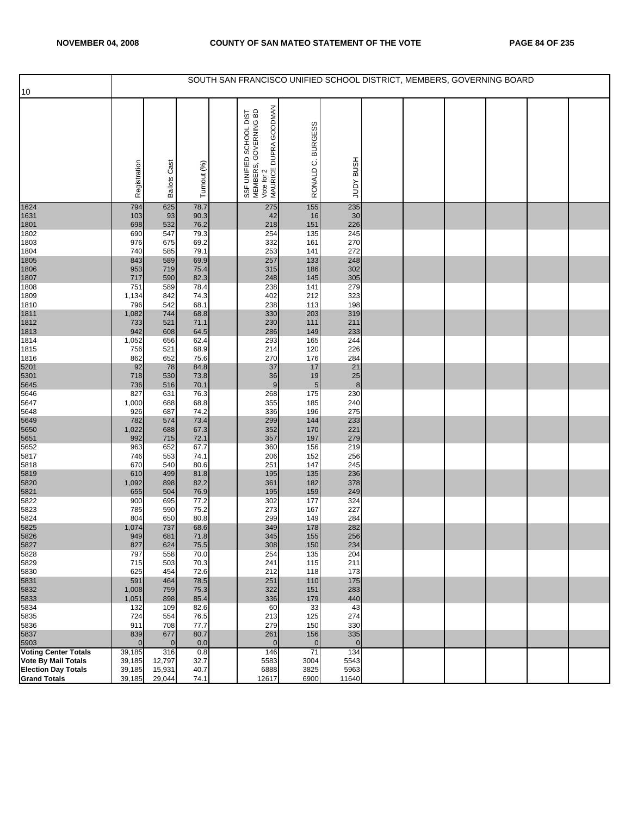| 10                                  |                 |                       |              | SOUTH SAN FRANCISCO UNIFIED SCHOOL DISTRICT, MEMBERS, GOVERNING BOARD                   |                   |                       |  |  |  |
|-------------------------------------|-----------------|-----------------------|--------------|-----------------------------------------------------------------------------------------|-------------------|-----------------------|--|--|--|
|                                     |                 |                       |              |                                                                                         |                   |                       |  |  |  |
|                                     |                 |                       |              | SSF UNIFIED SCHOOL DIST<br>MEMBERS, GOVERNING BD<br>Vote for 2<br>MAURICE DUPRA GOODMAN | <b>BURGESS</b>    |                       |  |  |  |
|                                     | Registration    | <b>Ballots Cast</b>   | Turnout (%)  |                                                                                         | RONALD C.         | <b>HSNB AGNT</b>      |  |  |  |
|                                     |                 |                       |              |                                                                                         |                   |                       |  |  |  |
| 1624                                | 794             | 625                   | 78.7         | 275                                                                                     | 155               | 235                   |  |  |  |
| 1631<br>1801                        | 103<br>698      | 93<br>532             | 90.3<br>76.2 | 42<br>218                                                                               | 16<br>151         | 30<br>226             |  |  |  |
| 1802                                | 690             | 547                   | 79.3         | 254                                                                                     | 135               | 245                   |  |  |  |
| 1803                                | 976             | 675                   | 69.2         | 332                                                                                     | 161               | 270                   |  |  |  |
| 1804<br>1805                        | 740<br>843      | 585<br>589            | 79.1<br>69.9 | 253<br>257                                                                              | 141<br>133        | 272<br>248            |  |  |  |
| 1806                                | 953             | 719                   | 75.4         | 315                                                                                     | 186               | 302                   |  |  |  |
| 1807                                | 717             | 590                   | 82.3         | 248                                                                                     | 145               | 305                   |  |  |  |
| 1808                                | 751             | 589                   | 78.4         | 238                                                                                     | 141               | 279                   |  |  |  |
| 1809                                | 1,134<br>796    | 842<br>542            | 74.3<br>68.1 | 402<br>238                                                                              | 212<br>113        | 323<br>198            |  |  |  |
| 1810<br>1811                        | 1,082           | 744                   | 68.8         | 330                                                                                     | 203               | 319                   |  |  |  |
| 1812                                | 733             | 521                   | 71.1         | 230                                                                                     | 111               | 211                   |  |  |  |
| 1813                                | 942             | 608                   | 64.5         | 286                                                                                     | 149               | 233                   |  |  |  |
| 1814<br>1815                        | 1,052<br>756    | 656<br>521            | 62.4<br>68.9 | 293<br>214                                                                              | 165<br>120        | 244<br>226            |  |  |  |
| 1816                                | 862             | 652                   | 75.6         | 270                                                                                     | 176               | 284                   |  |  |  |
| 5201                                | 92              | 78                    | 84.8         | 37                                                                                      | 17                | 21                    |  |  |  |
| 5301                                | 718             | 530                   | 73.8         | 36                                                                                      | 19                | 25                    |  |  |  |
| 5645<br>5646                        | 736<br>827      | 516<br>631            | 70.1<br>76.3 | 9<br>268                                                                                | $\sqrt{5}$<br>175 | 8<br>230              |  |  |  |
| 5647                                | 1,000           | 688                   | 68.8         | 355                                                                                     | 185               | 240                   |  |  |  |
| 5648                                | 926             | 687                   | 74.2         | 336                                                                                     | 196               | 275                   |  |  |  |
| 5649                                | 782             | 574                   | 73.4         | 299                                                                                     | 144               | 233                   |  |  |  |
| 5650<br>5651                        | 1,022<br>992    | 688<br>715            | 67.3<br>72.1 | 352<br>357                                                                              | 170<br>197        | 221<br>279            |  |  |  |
| 5652                                | 963             | 652                   | 67.7         | 360                                                                                     | 156               | 219                   |  |  |  |
| 5817                                | 746             | 553                   | 74.1         | 206                                                                                     | 152               | 256                   |  |  |  |
| 5818<br>5819                        | 670             | 540<br>499            | 80.6<br>81.8 | 251<br>195                                                                              | 147<br>135        | 245<br>236            |  |  |  |
| 5820                                | 610<br>1,092    | 898                   | 82.2         | 361                                                                                     | 182               | 378                   |  |  |  |
| 5821                                | 655             | 504                   | 76.9         | 195                                                                                     | 159               | 249                   |  |  |  |
| 5822                                | 900             | 695                   | 77.2         | 302                                                                                     | 177               | 324                   |  |  |  |
| 5823<br>5824                        | 785<br>804      | 590<br>650            | 75.2<br>80.8 | 273<br>299                                                                              | 167<br>149        | 227<br>284            |  |  |  |
| 5825                                | 1,074           | 737                   | 68.6         | 349                                                                                     | 178               | 282                   |  |  |  |
| 5826                                | 949             | 681                   | 71.8         | 345                                                                                     | 155               | 256                   |  |  |  |
| 5827                                | 827             | 624                   | 75.5         | 308                                                                                     | 150               | 234                   |  |  |  |
| 5828<br>5829                        | 797<br>715      | 558<br>503            | 70.0<br>70.3 | 254<br>241                                                                              | 135<br>115        | 204<br>211            |  |  |  |
| 5830                                | 625             | 454                   | 72.6         | 212                                                                                     | 118               | 173                   |  |  |  |
| 5831                                | 591             | 464                   | 78.5         | 251                                                                                     | 110               | 175                   |  |  |  |
| 5832                                | 1,008           | 759                   | 75.3         | 322                                                                                     | 151               | 283                   |  |  |  |
| 5833<br>5834                        | 1,051<br>132    | 898<br>109            | 85.4<br>82.6 | 336<br>60                                                                               | 179<br>33         | 440<br>43             |  |  |  |
| 5835                                | 724             | 554                   | 76.5         | 213                                                                                     | 125               | 274                   |  |  |  |
| 5836                                | 911             | 708                   | 77.7         | 279                                                                                     | 150               | 330                   |  |  |  |
| 5837                                | 839<br>$\Omega$ | 677<br>$\overline{0}$ | 80.7<br>0.0  | 261<br>$\overline{0}$                                                                   | 156               | 335<br>$\overline{0}$ |  |  |  |
| 5903<br><b>Voting Center Totals</b> | 39,185          | 316                   | 0.8          | 146                                                                                     | $\mathbf 0$<br>71 | 134                   |  |  |  |
| <b>Vote By Mail Totals</b>          | 39,185          | 12,797                | 32.7         | 5583                                                                                    | 3004              | 5543                  |  |  |  |
| <b>Election Day Totals</b>          | 39,185          | 15,931                | 40.7         | 6888                                                                                    | 3825              | 5963                  |  |  |  |
| <b>Grand Totals</b>                 | 39,185          | 29,044                | 74.1         | 12617                                                                                   | 6900              | 11640                 |  |  |  |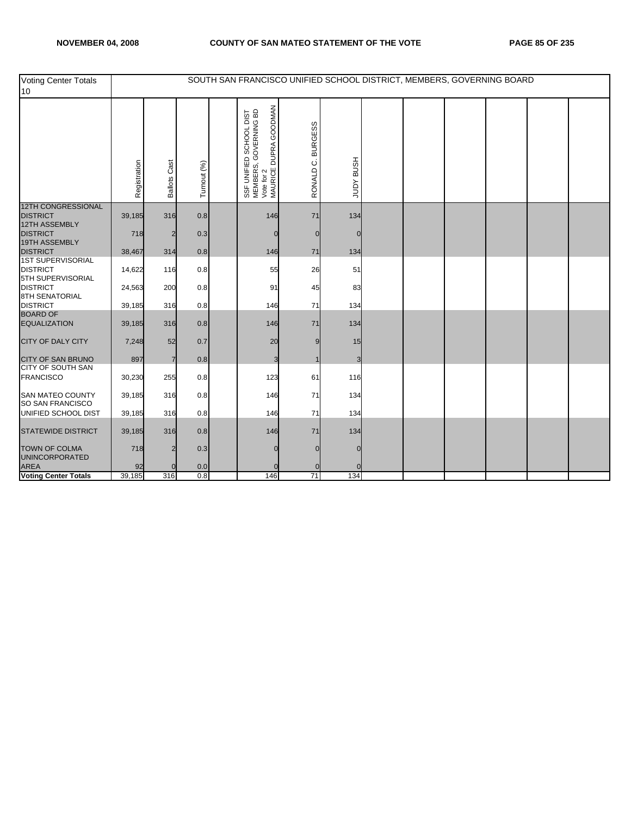| Voting Center Totals<br>10                                       |              |                     |                  | SOUTH SAN FRANCISCO UNIFIED SCHOOL DISTRICT, MEMBERS, GOVERNING BOARD                                    |                             |                  |  |  |  |
|------------------------------------------------------------------|--------------|---------------------|------------------|----------------------------------------------------------------------------------------------------------|-----------------------------|------------------|--|--|--|
|                                                                  | Registration | <b>Ballots Cast</b> | Turnout (%)      | DUPRA GOODMAN<br>SSF UNIFIED SCHOOL DIST<br>MEMBERS, GOVERNING BD<br>Vote for 2<br>MAURICE DUPRA GOODMAN | <b>BURGESS</b><br>RONALD C. | <b>HSNB AGNT</b> |  |  |  |
| <b>12TH CONGRESSIONAL</b><br><b>DISTRICT</b>                     | 39,185       | 316                 | 0.8              | 146                                                                                                      | 71                          | 134              |  |  |  |
| 12TH ASSEMBLY<br><b>DISTRICT</b><br>19TH ASSEMBLY                | 718          | 2                   | 0.3              |                                                                                                          |                             |                  |  |  |  |
| <b>DISTRICT</b>                                                  | 38,467       | 314                 | 0.8              | 146                                                                                                      | 71                          | 134              |  |  |  |
| <b>1ST SUPERVISORIAL</b><br><b>DISTRICT</b><br>5TH SUPERVISORIAL | 14,622       | 116                 | 0.8              | 55                                                                                                       | 26                          | 51               |  |  |  |
| <b>DISTRICT</b><br>8TH SENATORIAL                                | 24,563       | 200                 | 0.8              | 91                                                                                                       | 45                          | 83               |  |  |  |
| <b>DISTRICT</b>                                                  | 39,185       | 316                 | 0.8              | 146                                                                                                      | 71                          | 134              |  |  |  |
| <b>BOARD OF</b><br><b>EQUALIZATION</b>                           | 39,185       | 316                 | 0.8              | 146                                                                                                      | 71                          | 134              |  |  |  |
| <b>CITY OF DALY CITY</b>                                         | 7,248        | 52                  | 0.7              | 20                                                                                                       |                             | 15               |  |  |  |
| <b>CITY OF SAN BRUNO</b>                                         | 897          | $\overline{7}$      | 0.8              | 3                                                                                                        |                             | 3                |  |  |  |
| <b>CITY OF SOUTH SAN</b><br><b>FRANCISCO</b>                     | 30,230       | 255                 | 0.8              | 123                                                                                                      | 61                          | 116              |  |  |  |
| <b>SAN MATEO COUNTY</b><br>SO SAN FRANCISCO                      | 39,185       | 316                 | 0.8              | 146                                                                                                      | 71                          | 134              |  |  |  |
| UNIFIED SCHOOL DIST                                              | 39,185       | 316                 | 0.8              | 146                                                                                                      | 71                          | 134              |  |  |  |
| <b>STATEWIDE DISTRICT</b>                                        | 39,185       | 316                 | 0.8              | 146                                                                                                      | 71                          | 134              |  |  |  |
| <b>TOWN OF COLMA</b><br><b>UNINCORPORATED</b>                    | 718          |                     | 0.3              |                                                                                                          |                             |                  |  |  |  |
| <b>AREA</b>                                                      | 92           |                     | 0.0              |                                                                                                          |                             |                  |  |  |  |
| <b>Voting Center Totals</b>                                      | 39,185       | 316                 | $\overline{0.8}$ | 146                                                                                                      | 71                          | 134              |  |  |  |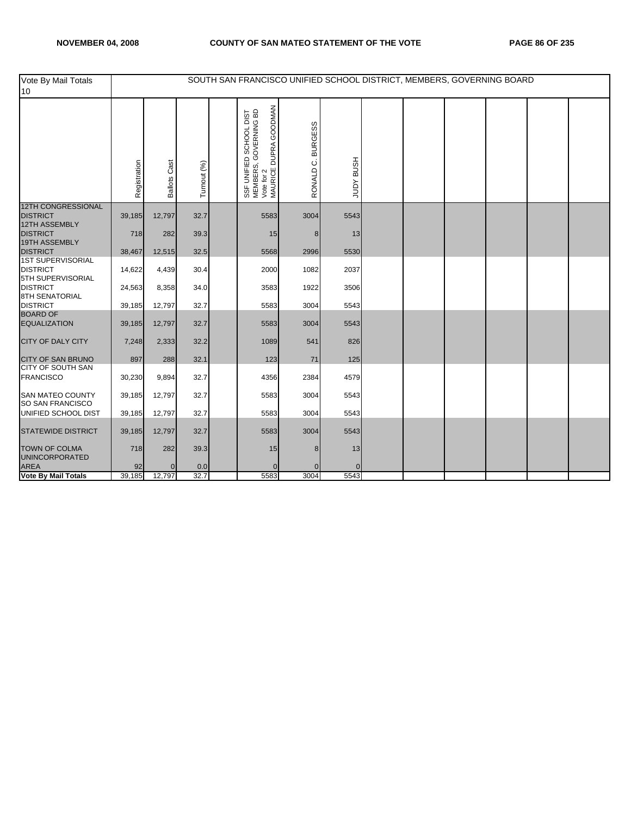| Vote By Mail Totals<br>10                                        |              |                     |             | SOUTH SAN FRANCISCO UNIFIED SCHOOL DISTRICT, MEMBERS, GOVERNING BOARD                                    |                             |                  |  |  |  |
|------------------------------------------------------------------|--------------|---------------------|-------------|----------------------------------------------------------------------------------------------------------|-----------------------------|------------------|--|--|--|
|                                                                  | Registration | <b>Ballots Cast</b> | Turnout (%) | DUPRA GOODMAN<br>SSF UNIFIED SCHOOL DIST<br>MEMBERS, GOVERNING BD<br>Vote for 2<br>MAURICE DUPRA GOODMAN | <b>BURGESS</b><br>RONALD C. | <b>HSUB AUDL</b> |  |  |  |
| <b>12TH CONGRESSIONAL</b><br><b>DISTRICT</b>                     | 39,185       | 12,797              | 32.7        | 5583                                                                                                     | 3004                        | 5543             |  |  |  |
| 12TH ASSEMBLY<br><b>DISTRICT</b><br>19TH ASSEMBLY                | 718          | 282                 | 39.3        | 15                                                                                                       | 8                           | 13               |  |  |  |
| <b>DISTRICT</b>                                                  | 38,467       | 12,515              | 32.5        | 5568                                                                                                     | 2996                        | 5530             |  |  |  |
| <b>1ST SUPERVISORIAL</b><br><b>DISTRICT</b><br>5TH SUPERVISORIAL | 14,622       | 4,439               | 30.4        | 2000                                                                                                     | 1082                        | 2037             |  |  |  |
| <b>DISTRICT</b><br><b>8TH SENATORIAL</b>                         | 24,563       | 8,358               | 34.0        | 3583                                                                                                     | 1922                        | 3506             |  |  |  |
| <b>DISTRICT</b>                                                  | 39,185       | 12,797              | 32.7        | 5583                                                                                                     | 3004                        | 5543             |  |  |  |
| <b>BOARD OF</b><br><b>EQUALIZATION</b>                           | 39,185       | 12,797              | 32.7        | 5583                                                                                                     | 3004                        | 5543             |  |  |  |
| <b>CITY OF DALY CITY</b>                                         | 7,248        | 2,333               | 32.2        | 1089                                                                                                     | 541                         | 826              |  |  |  |
| <b>CITY OF SAN BRUNO</b>                                         | 897          | 288                 | 32.1        | 123                                                                                                      | 71                          | 125              |  |  |  |
| <b>CITY OF SOUTH SAN</b><br><b>FRANCISCO</b>                     | 30,230       | 9,894               | 32.7        | 4356                                                                                                     | 2384                        | 4579             |  |  |  |
| <b>SAN MATEO COUNTY</b><br>SO SAN FRANCISCO                      | 39,185       | 12,797              | 32.7        | 5583                                                                                                     | 3004                        | 5543             |  |  |  |
| UNIFIED SCHOOL DIST                                              | 39,185       | 12,797              | 32.7        | 5583                                                                                                     | 3004                        | 5543             |  |  |  |
| <b>STATEWIDE DISTRICT</b>                                        | 39,185       | 12,797              | 32.7        | 5583                                                                                                     | 3004                        | 5543             |  |  |  |
| <b>TOWN OF COLMA</b><br><b>UNINCORPORATED</b>                    | 718          | 282                 | 39.3        | 15                                                                                                       | 8                           | 13               |  |  |  |
| <b>AREA</b>                                                      | 92           | $\overline{0}$      | 0.0         | $\overline{0}$                                                                                           |                             | $\Omega$         |  |  |  |
| <b>Vote By Mail Totals</b>                                       | 39,185       | 12,797              | 32.7        | 5583                                                                                                     | 3004                        | 5543             |  |  |  |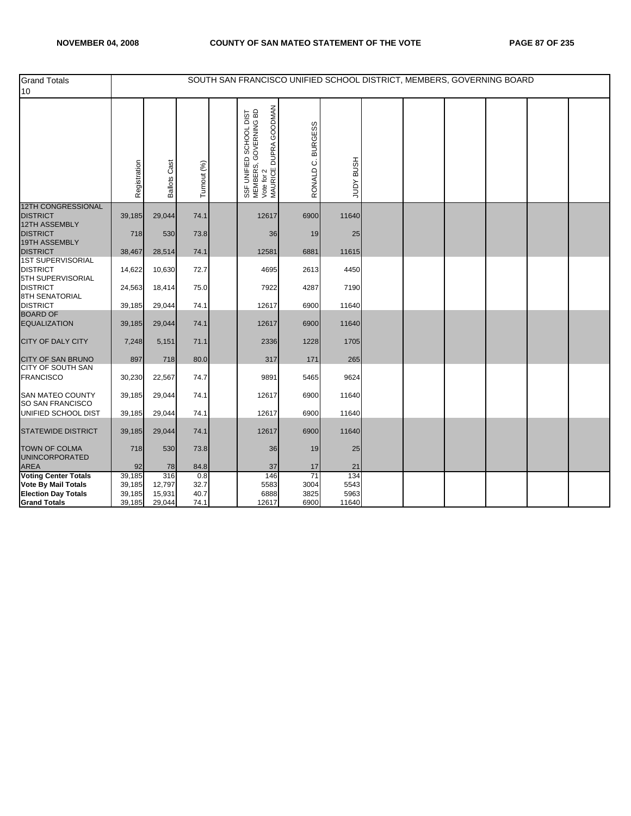| <b>Grand Totals</b><br>10                                        |                  |                     |              | SOUTH SAN FRANCISCO UNIFIED SCHOOL DISTRICT, MEMBERS, GOVERNING BOARD                                    |                   |                  |  |  |  |
|------------------------------------------------------------------|------------------|---------------------|--------------|----------------------------------------------------------------------------------------------------------|-------------------|------------------|--|--|--|
|                                                                  | Registration     | <b>Ballots Cast</b> | Turnout (%)  | DUPRA GOODMAN<br>SSF UNIFIED SCHOOL DIST<br>MEMBERS, GOVERNING BD<br>Vote for 2<br>MAURICE DUPRA GOODMAN | RONALD C. BURGESS | <b>HSNB AGNT</b> |  |  |  |
| <b>12TH CONGRESSIONAL</b><br><b>DISTRICT</b>                     | 39,185           | 29,044              | 74.1         | 12617                                                                                                    | 6900              | 11640            |  |  |  |
| 12TH ASSEMBLY<br><b>DISTRICT</b>                                 | 718              | 530                 | 73.8         | 36                                                                                                       | 19                | 25               |  |  |  |
| 19TH ASSEMBLY<br><b>DISTRICT</b>                                 | 38,467           | 28,514              | 74.1         | 12581                                                                                                    | 6881              | 11615            |  |  |  |
| <b>1ST SUPERVISORIAL</b><br><b>DISTRICT</b><br>5TH SUPERVISORIAL | 14,622           | 10,630              | 72.7         | 4695                                                                                                     | 2613              | 4450             |  |  |  |
| <b>DISTRICT</b><br><b>8TH SENATORIAL</b>                         | 24,563           | 18,414              | 75.0         | 7922                                                                                                     | 4287              | 7190             |  |  |  |
| <b>DISTRICT</b>                                                  | 39,185           | 29,044              | 74.1         | 12617                                                                                                    | 6900              | 11640            |  |  |  |
| <b>BOARD OF</b><br><b>EQUALIZATION</b>                           | 39,185           | 29,044              | 74.1         | 12617                                                                                                    | 6900              | 11640            |  |  |  |
| <b>CITY OF DALY CITY</b>                                         | 7,248            | 5,151               | 71.1         | 2336                                                                                                     | 1228              | 1705             |  |  |  |
| <b>CITY OF SAN BRUNO</b>                                         | 897              | 718                 | 80.0         | 317                                                                                                      | 171               | 265              |  |  |  |
| CITY OF SOUTH SAN<br><b>FRANCISCO</b>                            | 30,230           | 22,567              | 74.7         | 9891                                                                                                     | 5465              | 9624             |  |  |  |
| <b>SAN MATEO COUNTY</b><br>SO SAN FRANCISCO                      | 39,185           | 29,044              | 74.1         | 12617                                                                                                    | 6900              | 11640            |  |  |  |
| UNIFIED SCHOOL DIST                                              | 39,185           | 29,044              | 74.1         | 12617                                                                                                    | 6900              | 11640            |  |  |  |
| <b>STATEWIDE DISTRICT</b>                                        | 39,185           | 29,044              | 74.1         | 12617                                                                                                    | 6900              | 11640            |  |  |  |
| <b>TOWN OF COLMA</b><br><b>UNINCORPORATED</b>                    | 718              | 530                 | 73.8         | 36                                                                                                       | 19                | 25               |  |  |  |
| <b>AREA</b>                                                      | 92               | 78                  | 84.8         | 37                                                                                                       | 17                | 21               |  |  |  |
| <b>Voting Center Totals</b>                                      | 39,185           | 316                 | 0.8          | 146                                                                                                      | 71                | 134              |  |  |  |
| Vote By Mail Totals                                              | 39,185<br>39,185 | 12,797              | 32.7<br>40.7 | 5583<br>6888                                                                                             | 3004<br>3825      | 5543<br>5963     |  |  |  |
| <b>Election Day Totals</b><br><b>Grand Totals</b>                | 39,185           | 15,931<br>29,044    | 74.1         | 12617                                                                                                    | 6900              | 11640            |  |  |  |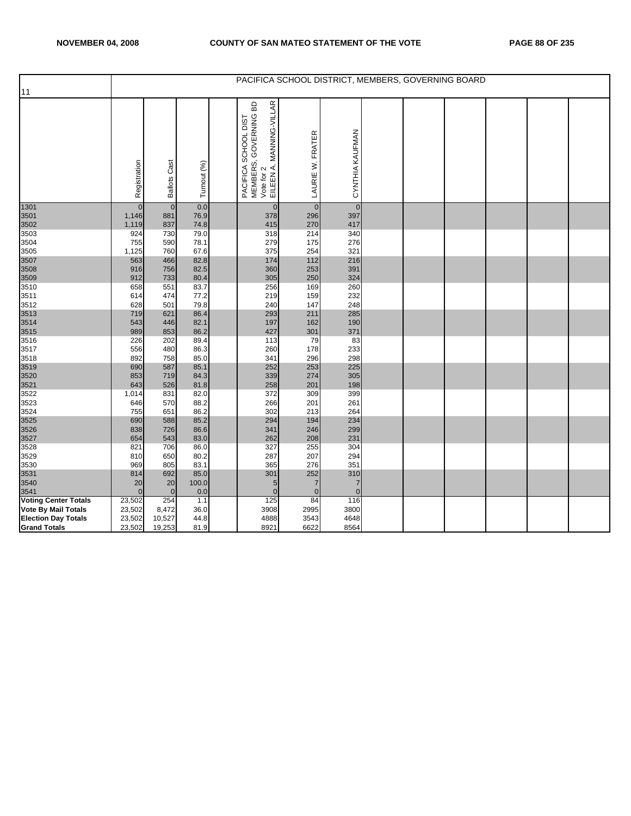|                                                           |                  |                     |              | PACIFICA SCHOOL DISTRICT, MEMBERS, GOVERNING BOARD                                      |                      |                 |  |  |  |
|-----------------------------------------------------------|------------------|---------------------|--------------|-----------------------------------------------------------------------------------------|----------------------|-----------------|--|--|--|
| 11                                                        |                  |                     |              |                                                                                         |                      |                 |  |  |  |
|                                                           |                  |                     |              |                                                                                         |                      |                 |  |  |  |
|                                                           | Registration     | <b>Ballots Cast</b> | Turnout (%)  | PACIFICA SCHOOL DIST<br>MEMBERS, GOVERNING BD<br>Vote for 2<br>EILEEN A. MANNING-VILLAR | LAURIE W. FRATER     | CYNTHIA KAUFMAN |  |  |  |
|                                                           |                  |                     |              |                                                                                         |                      |                 |  |  |  |
| 1301                                                      | $\overline{0}$   | $\overline{0}$      | 0.0          | $\mathbf{0}$                                                                            | $\overline{0}$       | $\overline{0}$  |  |  |  |
| 3501                                                      | 1,146            | 881                 | 76.9         | 378                                                                                     | 296                  | 397             |  |  |  |
| 3502                                                      | 1,119            | 837                 | 74.8         | 415                                                                                     | 270                  | 417             |  |  |  |
| 3503                                                      | 924              | 730<br>590          | 79.0         | 318<br>279                                                                              | 214<br>175           | 340<br>276      |  |  |  |
| 3504<br>3505                                              | 755<br>1,125     | 760                 | 78.1<br>67.6 | 375                                                                                     | 254                  | 321             |  |  |  |
| 3507                                                      | 563              | 466                 | 82.8         | 174                                                                                     | 112                  | 216             |  |  |  |
| 3508                                                      | 916              | 756                 | 82.5         | 360                                                                                     | 253                  | 391             |  |  |  |
| 3509                                                      | 912              | 733                 | 80.4         | 305                                                                                     | 250                  | 324             |  |  |  |
| 3510                                                      | 658              | 551                 | 83.7         | 256                                                                                     | 169                  | 260             |  |  |  |
| 3511                                                      | 614              | 474                 | 77.2         | 219                                                                                     | 159                  | 232             |  |  |  |
| 3512                                                      | 628              | 501                 | 79.8         | 240                                                                                     | 147                  | 248             |  |  |  |
| 3513                                                      | 719              | 621                 | 86.4         | 293                                                                                     | 211                  | 285             |  |  |  |
| 3514                                                      | 543              | 446                 | 82.1         | 197                                                                                     | 162                  | 190             |  |  |  |
| 3515                                                      | 989              | 853                 | 86.2         | 427                                                                                     | 301                  | 371             |  |  |  |
| 3516                                                      | 226              | 202                 | 89.4         | 113                                                                                     | 79                   | 83              |  |  |  |
| 3517                                                      | 556              | 480                 | 86.3         | 260                                                                                     | 178                  | 233             |  |  |  |
| 3518                                                      | 892              | 758                 | 85.0         | 341                                                                                     | 296                  | 298             |  |  |  |
| 3519                                                      | 690              | 587                 | 85.1         | 252                                                                                     | 253                  | 225             |  |  |  |
| 3520                                                      | 853              | 719                 | 84.3         | 339                                                                                     | 274                  | 305             |  |  |  |
| 3521                                                      | 643              | 526                 | 81.8         | 258                                                                                     | 201                  | 198             |  |  |  |
| 3522                                                      | 1,014            | 831                 | 82.0         | 372                                                                                     | 309                  | 399             |  |  |  |
| 3523                                                      | 646              | 570                 | 88.2         | 266                                                                                     | 201                  | 261             |  |  |  |
| 3524                                                      | 755              | 651                 | 86.2         | 302                                                                                     | 213                  | 264             |  |  |  |
| 3525                                                      | 690              | 588                 | 85.2         | 294                                                                                     | 194                  | 234             |  |  |  |
| 3526                                                      | 838              | 726                 | 86.6         | 341                                                                                     | 246                  | 299             |  |  |  |
| 3527                                                      | 654              | 543                 | 83.0         | 262                                                                                     | 208                  | 231             |  |  |  |
| 3528                                                      | 821              | 706                 | 86.0         | 327                                                                                     | 255                  | 304             |  |  |  |
| 3529                                                      | 810              | 650                 | 80.2         | 287                                                                                     | 207                  | 294             |  |  |  |
| 3530                                                      | 969              | 805                 | 83.1         | 365                                                                                     | 276                  | 351             |  |  |  |
| 3531                                                      | 814              | 692                 | 85.0         | 301                                                                                     | 252                  | 310             |  |  |  |
| 3540                                                      | 20<br>$\Omega$   | 20<br>$\mathbf{0}$  | 100.0        | 5<br>$\mathbf{0}$                                                                       | 7                    | 7<br>$\Omega$   |  |  |  |
| 3541                                                      |                  | 254                 | 0.0          | 125                                                                                     | $\overline{0}$<br>84 | 116             |  |  |  |
| <b>Voting Center Totals</b><br><b>Vote By Mail Totals</b> | 23,502<br>23,502 | 8,472               | 1.1<br>36.0  | 3908                                                                                    | 2995                 | 3800            |  |  |  |
| <b>Election Day Totals</b>                                | 23,502           | 10,527              | 44.8         | 4888                                                                                    | 3543                 | 4648            |  |  |  |
| <b>Grand Totals</b>                                       | 23,502           | 19,253              | 81.9         | 8921                                                                                    | 6622                 | 8564            |  |  |  |
|                                                           |                  |                     |              |                                                                                         |                      |                 |  |  |  |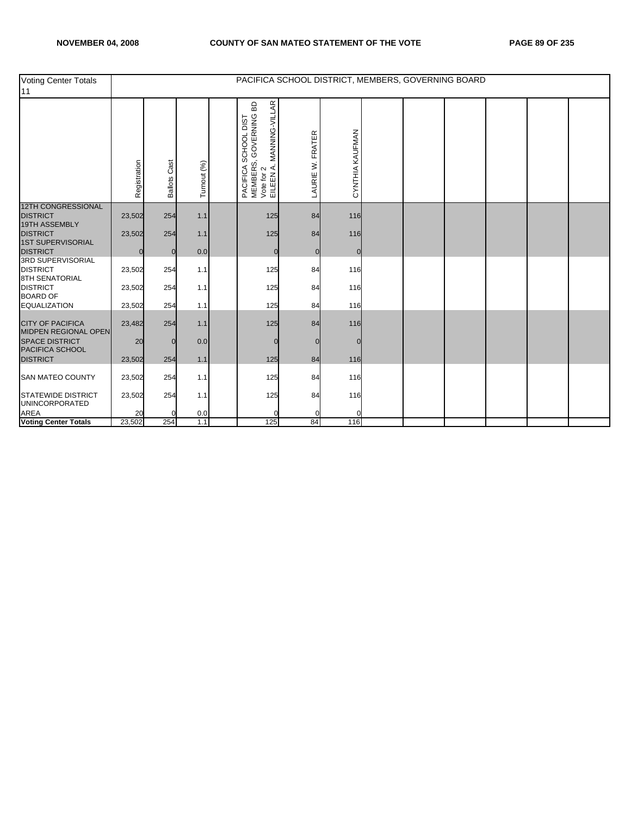| <b>Voting Center Totals</b><br>11                             |              |                 |             |                                                                                                         |                  |                 | PACIFICA SCHOOL DISTRICT, MEMBERS, GOVERNING BOARD |  |  |
|---------------------------------------------------------------|--------------|-----------------|-------------|---------------------------------------------------------------------------------------------------------|------------------|-----------------|----------------------------------------------------|--|--|
|                                                               | Registration | Cast<br>Ballots | Turnout (%) | MANNING-VILLAR<br>GOVERNING BD<br>SCHOOL DIST<br>PACIFICA SC<br>MEMBERS, C<br>Vote for 2<br>EILEEN A. M | LAURIE W. FRATER | CYNTHIA KAUFMAN |                                                    |  |  |
| <b>12TH CONGRESSIONAL</b><br><b>DISTRICT</b><br>19TH ASSEMBLY | 23,502       | 254             | 1.1         | 125                                                                                                     | 84               | 116             |                                                    |  |  |
| <b>DISTRICT</b><br><b>1ST SUPERVISORIAL</b>                   | 23,502       | 254             | 1.1         | 125                                                                                                     | 84               | 116             |                                                    |  |  |
| <b>DISTRICT</b><br><b>3RD SUPERVISORIAL</b>                   | $\Omega$     | $\overline{0}$  | 0.0         | $\mathbf 0$                                                                                             | $\Omega$         | $\Omega$        |                                                    |  |  |
| <b>DISTRICT</b><br><b>8TH SENATORIAL</b>                      | 23,502       | 254             | 1.1         | 125                                                                                                     | 84               | 116             |                                                    |  |  |
| <b>DISTRICT</b><br><b>BOARD OF</b>                            | 23,502       | 254             | 1.1         | 125                                                                                                     | 84               | 116             |                                                    |  |  |
| <b>EQUALIZATION</b>                                           | 23,502       | 254             | 1.1         | 125                                                                                                     | 84               | 116             |                                                    |  |  |
| <b>CITY OF PACIFICA</b><br>MIDPEN REGIONAL OPEN               | 23,482       | 254             | 1.1         | 125                                                                                                     | 84               | 116             |                                                    |  |  |
| <b>SPACE DISTRICT</b><br>PACIFICA SCHOOL<br><b>DISTRICT</b>   | 20<br>23,502 | O<br>254        | 0.0<br>1.1  | $\Omega$<br>125                                                                                         | 84               | 116             |                                                    |  |  |
| <b>SAN MATEO COUNTY</b>                                       | 23,502       | 254             | 1.1         | 125                                                                                                     | 84               | 116             |                                                    |  |  |
| <b>STATEWIDE DISTRICT</b>                                     | 23,502       | 254             | 1.1         | 125                                                                                                     | 84               | 116             |                                                    |  |  |
| <b>UNINCORPORATED</b><br><b>AREA</b>                          | 20           |                 | 0.0         |                                                                                                         |                  |                 |                                                    |  |  |
| <b>Voting Center Totals</b>                                   | 23,502       | 254             | 1.1         | 125                                                                                                     | 84               | 116             |                                                    |  |  |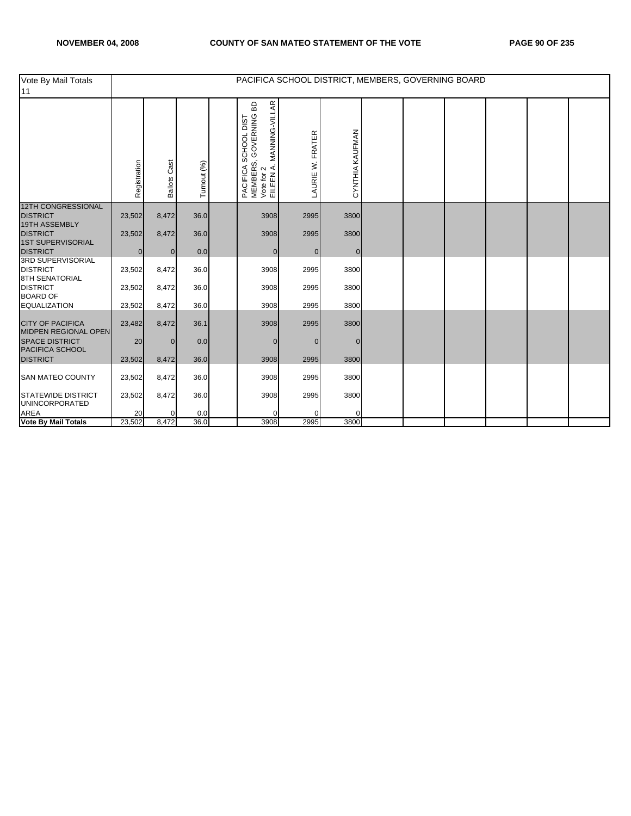| Vote By Mail Totals<br>11                                            |                |                     |             | PACIFICA SCHOOL DISTRICT, MEMBERS, GOVERNING BOARD                                                                             |                     |                 |  |  |  |
|----------------------------------------------------------------------|----------------|---------------------|-------------|--------------------------------------------------------------------------------------------------------------------------------|---------------------|-----------------|--|--|--|
|                                                                      | Registration   | <b>Ballots Cast</b> | Turnout (%) | MANNING-VILLAR<br>60<br>GOVERNING<br>SCHOOL DIST<br>PACIFICA SON<br>MEMBERS, O<br>Vote for 2<br>EILEEN A. M<br>$\cdot$ $\prec$ | FRATER<br>LAURIE W. | CYNTHIA KAUFMAN |  |  |  |
| <b>12TH CONGRESSIONAL</b><br><b>DISTRICT</b>                         | 23,502         | 8,472               | 36.0        | 3908                                                                                                                           | 2995                | 3800            |  |  |  |
| <b>19TH ASSEMBLY</b>                                                 |                |                     |             |                                                                                                                                |                     |                 |  |  |  |
| <b>DISTRICT</b><br><b>1ST SUPERVISORIAL</b>                          | 23,502         | 8,472               | 36.0        | 3908                                                                                                                           | 2995                | 3800            |  |  |  |
| <b>DISTRICT</b>                                                      | $\overline{0}$ | $\overline{0}$      | 0.0         | $\overline{0}$                                                                                                                 | $\mathbf 0$         | $\overline{0}$  |  |  |  |
| <b>3RD SUPERVISORIAL</b><br><b>DISTRICT</b><br><b>8TH SENATORIAL</b> | 23,502         | 8,472               | 36.0        | 3908                                                                                                                           | 2995                | 3800            |  |  |  |
| <b>DISTRICT</b><br><b>BOARD OF</b>                                   | 23,502         | 8,472               | 36.0        | 3908                                                                                                                           | 2995                | 3800            |  |  |  |
| <b>EQUALIZATION</b>                                                  | 23,502         | 8,472               | 36.0        | 3908                                                                                                                           | 2995                | 3800            |  |  |  |
| <b>CITY OF PACIFICA</b><br>MIDPEN REGIONAL OPEN                      | 23,482         | 8,472               | 36.1        | 3908                                                                                                                           | 2995                | 3800            |  |  |  |
| <b>SPACE DISTRICT</b><br>PACIFICA SCHOOL                             | 20             | $\Omega$            | 0.0         | $\mathbf{0}$                                                                                                                   | $\Omega$            | $\Omega$        |  |  |  |
| <b>DISTRICT</b>                                                      | 23,502         | 8,472               | 36.0        | 3908                                                                                                                           | 2995                | 3800            |  |  |  |
| <b>SAN MATEO COUNTY</b>                                              | 23,502         | 8,472               | 36.0        | 3908                                                                                                                           | 2995                | 3800            |  |  |  |
| <b>STATEWIDE DISTRICT</b><br><b>UNINCORPORATED</b>                   | 23,502         | 8,472               | 36.0        | 3908                                                                                                                           | 2995                | 3800            |  |  |  |
| <b>AREA</b>                                                          | 20             |                     | 0.0         |                                                                                                                                |                     |                 |  |  |  |
| <b>Vote By Mail Totals</b>                                           | 23,502         | 8,472               | 36.0        | 3908                                                                                                                           | 2995                | 3800            |  |  |  |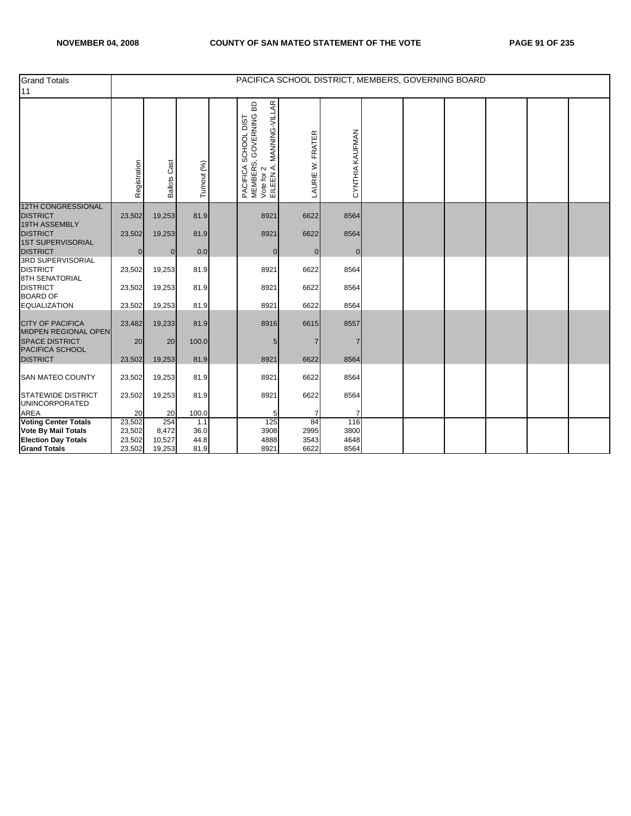| <b>Grand Totals</b><br>11                                            |                  |                     |             | PACIFICA SCHOOL DISTRICT, MEMBERS, GOVERNING BOARD                                                                      |                  |                 |  |  |  |
|----------------------------------------------------------------------|------------------|---------------------|-------------|-------------------------------------------------------------------------------------------------------------------------|------------------|-----------------|--|--|--|
|                                                                      | Registration     | <b>Ballots Cast</b> | Turnout (%) | MANNING-VILLAR<br>GOVERNING BD<br>PACIFICA SCHOOL DIST<br>MEMBERS, GOVERNING E<br>Vote for 2<br>EILEEN A. MANNING-VILL/ | LAURIE W. FRATER | CYNTHIA KAUFMAN |  |  |  |
| <b>12TH CONGRESSIONAL</b><br><b>DISTRICT</b>                         | 23,502           | 19,253              | 81.9        | 8921                                                                                                                    | 6622             | 8564            |  |  |  |
| 19TH ASSEMBLY<br><b>DISTRICT</b><br><b>1ST SUPERVISORIAL</b>         | 23,502           | 19,253              | 81.9        | 8921                                                                                                                    | 6622             | 8564            |  |  |  |
| <b>DISTRICT</b>                                                      | $\mathbf 0$      | $\Omega$            | 0.0         | $\mathbf{0}$                                                                                                            | $\overline{0}$   | $\Omega$        |  |  |  |
| <b>3RD SUPERVISORIAL</b><br><b>DISTRICT</b><br><b>8TH SENATORIAL</b> | 23,502           | 19,253              | 81.9        | 8921                                                                                                                    | 6622             | 8564            |  |  |  |
| <b>DISTRICT</b><br><b>BOARD OF</b>                                   | 23,502           | 19,253              | 81.9        | 8921                                                                                                                    | 6622             | 8564            |  |  |  |
| <b>EQUALIZATION</b>                                                  | 23,502           | 19,253              | 81.9        | 8921                                                                                                                    | 6622             | 8564            |  |  |  |
| <b>CITY OF PACIFICA</b><br><b>MIDPEN REGIONAL OPEN</b>               | 23,482           | 19,233              | 81.9        | 8916                                                                                                                    | 6615             | 8557            |  |  |  |
| <b>SPACE DISTRICT</b><br>PACIFICA SCHOOL                             | 20               | 20                  | 100.0       | 5                                                                                                                       | 7                |                 |  |  |  |
| <b>DISTRICT</b>                                                      | 23,502           | 19,253              | 81.9        | 8921                                                                                                                    | 6622             | 8564            |  |  |  |
| <b>SAN MATEO COUNTY</b>                                              | 23,502           | 19,253              | 81.9        | 8921                                                                                                                    | 6622             | 8564            |  |  |  |
| <b>STATEWIDE DISTRICT</b><br><b>UNINCORPORATED</b>                   | 23,502           | 19,253              | 81.9        | 8921                                                                                                                    | 6622             | 8564            |  |  |  |
| AREA                                                                 | 20               | 20                  | 100.0       | 5                                                                                                                       | 7                |                 |  |  |  |
| <b>Voting Center Totals</b><br><b>Vote By Mail Totals</b>            | 23,502<br>23,502 | 254<br>8,472        | 1.1<br>36.0 | 125<br>3908                                                                                                             | 84<br>2995       | 116<br>3800     |  |  |  |
| <b>Election Day Totals</b>                                           | 23,502           | 10,527              | 44.8        | 4888                                                                                                                    | 3543             | 4648            |  |  |  |
| <b>Grand Totals</b>                                                  | 23,502           | 19,253              | 81.9        | 8921                                                                                                                    | 6622             | 8564            |  |  |  |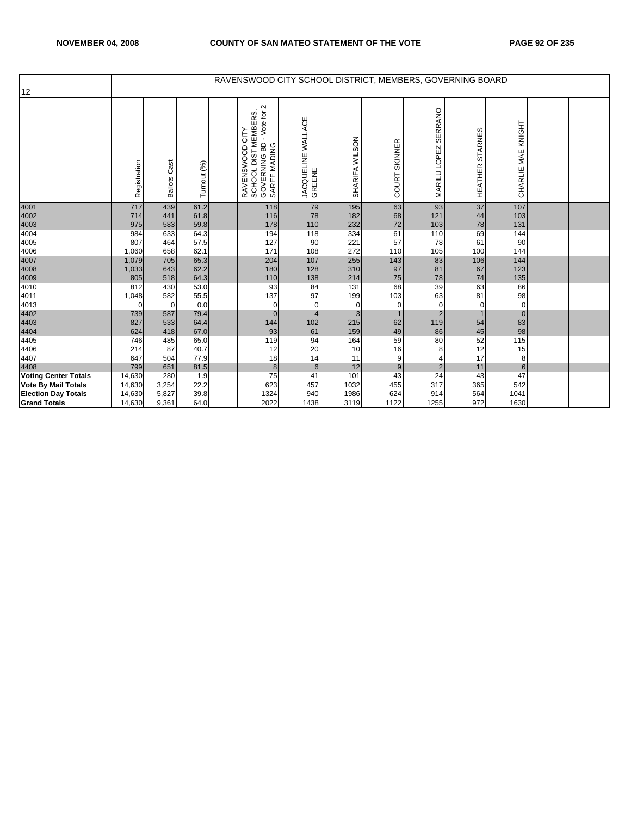|                                                                                         |                                      |                                |                             |                                                                                                      |                              |                             |                          | RAVENSWOOD CITY SCHOOL DISTRICT, MEMBERS, GOVERNING BOARD |                         |                           |  |
|-----------------------------------------------------------------------------------------|--------------------------------------|--------------------------------|-----------------------------|------------------------------------------------------------------------------------------------------|------------------------------|-----------------------------|--------------------------|-----------------------------------------------------------|-------------------------|---------------------------|--|
| 12                                                                                      |                                      |                                |                             |                                                                                                      |                              |                             |                          |                                                           |                         |                           |  |
|                                                                                         | Registration                         | Cast<br><b>Ballots</b>         | Turnout (%)                 | - Vote for 2<br>RAVENSWOOD CITY<br>SCHOOL DIST MEMBERS,<br>GOVERNING BD - Vote for 2<br>SAREE MADING | JACQUELINE WALLACE<br>GREENE | SHARIFA WILSON              | COURT SKINNER            | SERRANO<br>MARILU LOPEZ                                   | STARNES<br>HEATHER      | CHARLIE MAE KNIGHT        |  |
| 4001<br>4002<br>4003                                                                    | 717<br>714<br>975                    | 439<br>441<br>583              | 61.2<br>61.8<br>59.8        | 118<br>116<br>178                                                                                    | 79<br>78<br>110              | 195<br>182<br>232           | 63<br>68<br>72           | 93<br>121<br>103                                          | 37<br>44<br>${\bf 78}$  | 107<br>103<br>131         |  |
| 4004<br>4005<br>4006                                                                    | 984<br>807<br>1,060                  | 633<br>464<br>658              | 64.3<br>57.5<br>62.1        | 194<br>127<br>171                                                                                    | 118<br>90<br>108             | 334<br>221<br>272           | 61<br>57<br>110          | 110<br>78<br>105                                          | 69<br>61<br>100         | 144<br>90<br>144          |  |
| 4007<br>4008<br>4009                                                                    | 1,079<br>1,033<br>805                | 705<br>643<br>518              | 65.3<br>62.2<br>64.3        | 204<br>180<br>110                                                                                    | 107<br>128<br>138            | 255<br>310<br>214           | 143<br>97<br>75          | 83<br>81<br>78                                            | 106<br>67<br>74         | 144<br>123<br>135         |  |
| 4010<br>4011<br>4013                                                                    | 812<br>1,048<br>0                    | 430<br>582<br>$\mathbf 0$      | 53.0<br>55.5<br>0.0         | 93<br>137<br>$\mathbf 0$                                                                             | 84<br>97<br>0                | 131<br>199<br>$\mathbf 0$   | 68<br>103<br>$\mathbf 0$ | 39<br>63<br>$\mathbf 0$                                   | 63<br>81<br>$\mathbf 0$ | 86<br>98<br>$\mathbf 0$   |  |
| 4402<br>4403<br>4404                                                                    | 739<br>827<br>624                    | 587<br>533<br>418              | 79.4<br>64.4<br>67.0        | $\mathbf{0}$<br>144<br>93                                                                            | $\overline{4}$<br>102<br>61  | 3<br>215<br>159             | $\mathbf{1}$<br>62<br>49 | $\sqrt{2}$<br>119<br>86                                   | 54<br>$\bf 45$          | $\mathbf{0}$<br>83<br>98  |  |
| 4405<br>4406<br>4407                                                                    | 746<br>214<br>647                    | 485<br>87<br>504               | 65.0<br>40.7<br>77.9        | 119<br>12<br>18                                                                                      | 94<br>20<br>14               | 164<br>10<br>11             | 59<br>16<br>9            | 80                                                        | 52<br>12<br>17          | 115<br>15<br>8            |  |
| 4408                                                                                    | 799                                  | 651                            | 81.5                        | 8                                                                                                    | 6                            | 12                          | 9                        | $\overline{2}$                                            | 11                      | $6\overline{6}$           |  |
| <b>Voting Center Totals</b><br><b>Vote By Mail Totals</b><br><b>Election Day Totals</b> | 14,630<br>14,630<br>14,630<br>14,630 | 280<br>3,254<br>5,827<br>9,361 | 1.9<br>22.2<br>39.8<br>64.0 | 75<br>623<br>1324<br>2022                                                                            | 41<br>457<br>940<br>1438     | 101<br>1032<br>1986<br>3119 | 43<br>455<br>624         | 24<br>317<br>914<br>1255                                  | 43<br>365<br>564<br>972 | 47<br>542<br>1041<br>1630 |  |
| <b>Grand Totals</b>                                                                     |                                      |                                |                             |                                                                                                      |                              |                             | 1122                     |                                                           |                         |                           |  |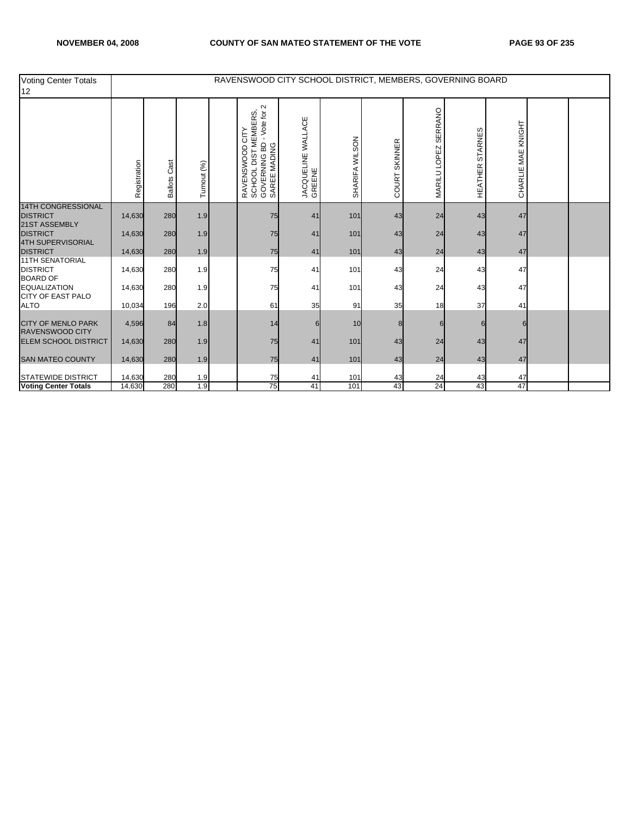| <b>Voting Center Totals</b><br>12                            |              |                        |             | RAVENSWOOD CITY SCHOOL DISTRICT, MEMBERS, GOVERNING BOARD                                          |                              |                |                          |                         |                    |                    |  |
|--------------------------------------------------------------|--------------|------------------------|-------------|----------------------------------------------------------------------------------------------------|------------------------------|----------------|--------------------------|-------------------------|--------------------|--------------------|--|
|                                                              | Registration | Cast<br><b>Ballots</b> | Turnout (%) | Vote for 2<br>RAVENSWOOD CITY<br>SCHOOL DIST MEMBERS,<br>GOVERNING BD - Vote for 2<br>SAREE MADING | JACQUELINE WALLACE<br>GREENE | SHARIFA WILSON | <b>SKINNER</b><br>COURT: | SERRANO<br>MARILU LOPEZ | STARNES<br>HEATHER | CHARLIE MAE KNIGHT |  |
| <b>14TH CONGRESSIONAL</b><br><b>DISTRICT</b>                 | 14,630       | 280                    | 1.9         | 75                                                                                                 | 41                           | 101            | 43                       | 24                      | 43                 | 47                 |  |
| 21ST ASSEMBLY<br><b>DISTRICT</b><br>4TH SUPERVISORIAL        | 14,630       | 280                    | 1.9         | 75                                                                                                 | 41                           | 101            | 43                       | 24                      | 43                 | 47                 |  |
| <b>DISTRICT</b>                                              | 14,630       | 280                    | 1.9         | 75                                                                                                 | 41                           | 101            | 43                       | 24                      | 43                 | 47                 |  |
| <b>11TH SENATORIAL</b><br><b>DISTRICT</b><br><b>BOARD OF</b> | 14,630       | 280                    | 1.9         | 75                                                                                                 | 41                           | 101            | 43                       | 24                      | 43                 | 47                 |  |
| <b>EQUALIZATION</b><br>CITY OF EAST PALO                     | 14,630       | 280                    | 1.9         | 75                                                                                                 | 41                           | 101            | 43                       | 24                      | 43                 | 47                 |  |
| <b>ALTO</b>                                                  | 10,034       | 196                    | 2.0         | 61                                                                                                 | 35                           | 91             | 35                       | 18                      | 37                 | 41                 |  |
| <b>CITY OF MENLO PARK</b><br><b>RAVENSWOOD CITY</b>          | 4,596        | 84                     | 1.8         | 14                                                                                                 |                              | 10             |                          |                         |                    | 6                  |  |
| <b>ELEM SCHOOL DISTRICT</b>                                  | 14,630       | 280                    | 1.9         | 75                                                                                                 | 41                           | 101            | 43                       | 24                      | 43                 | 47                 |  |
| <b>SAN MATEO COUNTY</b>                                      | 14,630       | 280                    | 1.9         | 75                                                                                                 | 41                           | 101            | 43                       | 24                      | 43                 | 47                 |  |
| <b>STATEWIDE DISTRICT</b>                                    | 14,630       | 280                    | 1.9         | 75                                                                                                 | 41                           | 101            | 43                       | 24                      | 43                 | 47                 |  |
| <b>Voting Center Totals</b>                                  | 14,630       | 280                    | 1.9         | 75                                                                                                 | 41                           | 101            | 43                       | 24                      | 43                 | 47                 |  |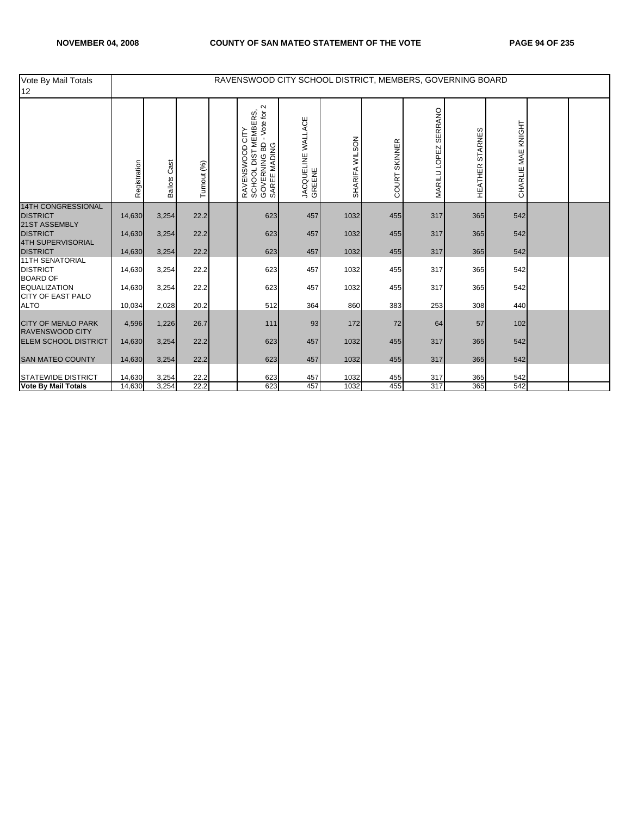| Vote By Mail Totals<br>12                                    |              |                        |             | RAVENSWOOD CITY SCHOOL DISTRICT, MEMBERS, GOVERNING BOARD                                      |                              |                |                  |                         |                    |                    |  |
|--------------------------------------------------------------|--------------|------------------------|-------------|------------------------------------------------------------------------------------------------|------------------------------|----------------|------------------|-------------------------|--------------------|--------------------|--|
|                                                              | Registration | Cast<br><b>Ballots</b> | Turnout (%) | $\sim$<br>RAVENSWOOD CITY<br>SCHOOL DIST MEMBERS,<br>GOVERNING BD - Vote for 2<br>SAREE MADING | JACQUELINE WALLACE<br>GREENE | SHARIFA WILSON | SKINNER<br>COURT | SERRANO<br>MARILU LOPEZ | STARNES<br>HEATHER | CHARLIE MAE KNIGHT |  |
| <b>14TH CONGRESSIONAL</b><br><b>DISTRICT</b>                 | 14,630       | 3,254                  | 22.2        | 623                                                                                            | 457                          | 1032           | 455              | 317                     | 365                | 542                |  |
| 21ST ASSEMBLY<br><b>DISTRICT</b><br>4TH SUPERVISORIAL        | 14,630       | 3,254                  | 22.2        | 623                                                                                            | 457                          | 1032           | 455              | 317                     | 365                | 542                |  |
| <b>DISTRICT</b>                                              | 14,630       | 3,254                  | 22.2        | 623                                                                                            | 457                          | 1032           | 455              | 317                     | 365                | 542                |  |
| <b>11TH SENATORIAL</b><br><b>DISTRICT</b><br><b>BOARD OF</b> | 14,630       | 3,254                  | 22.2        | 623                                                                                            | 457                          | 1032           | 455              | 317                     | 365                | 542                |  |
| <b>EQUALIZATION</b><br><b>CITY OF EAST PALO</b>              | 14,630       | 3,254                  | 22.2        | 623                                                                                            | 457                          | 1032           | 455              | 317                     | 365                | 542                |  |
| <b>ALTO</b>                                                  | 10,034       | 2,028                  | 20.2        | 512                                                                                            | 364                          | 860            | 383              | 253                     | 308                | 440                |  |
| <b>CITY OF MENLO PARK</b><br><b>RAVENSWOOD CITY</b>          | 4,596        | 1,226                  | 26.7        | 111                                                                                            | 93                           | 172            | 72               | 64                      | 57                 | 102                |  |
| <b>ELEM SCHOOL DISTRICT</b>                                  | 14,630       | 3,254                  | 22.2        | 623                                                                                            | 457                          | 1032           | 455              | 317                     | 365                | 542                |  |
| <b>SAN MATEO COUNTY</b>                                      | 14,630       | 3,254                  | 22.2        | 623                                                                                            | 457                          | 1032           | 455              | 317                     | 365                | 542                |  |
| <b>STATEWIDE DISTRICT</b>                                    | 14,630       | 3,254                  | 22.2        | 623                                                                                            | 457                          | 1032           | 455              | 317                     | 365                | 542                |  |
| <b>Vote By Mail Totals</b>                                   | 14,630       | 3,254                  | 22.2        | 623                                                                                            | 457                          | 1032           | 455              | 317                     | 365                | 542                |  |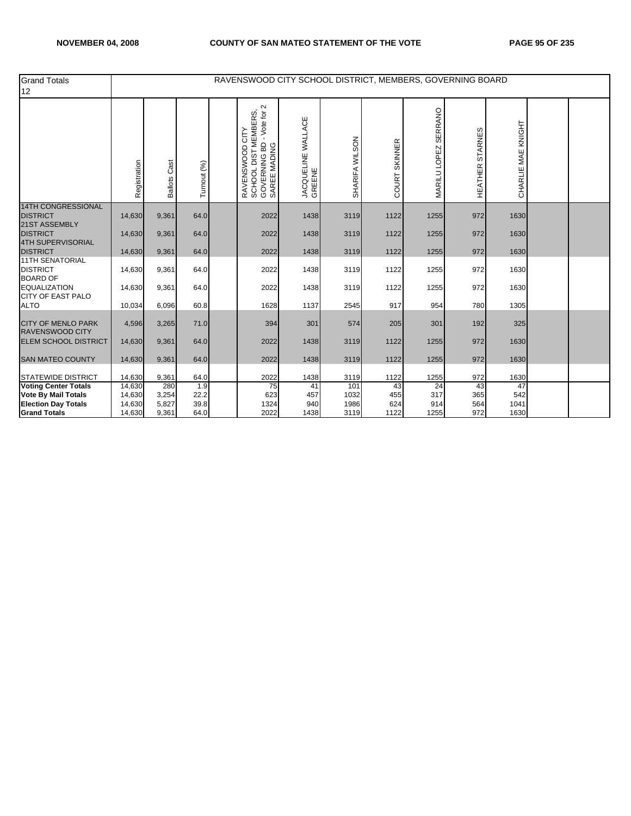| <b>Grand Totals</b><br>12                                     |              |                 |             | RAVENSWOOD CITY SCHOOL DISTRICT, MEMBERS, GOVERNING BOARD                                            |                              |                |                  |                      |                    |                    |  |
|---------------------------------------------------------------|--------------|-----------------|-------------|------------------------------------------------------------------------------------------------------|------------------------------|----------------|------------------|----------------------|--------------------|--------------------|--|
|                                                               | Registration | Cast<br>Ballots | Turnout (%) | - Vote for 2<br>RAVENSWOOD CITY<br>SCHOOL DIST MEMBERS,<br>GOVERNING BD - Vote for 2<br>SAREE MADING | JACQUELINE WALLACE<br>GREENE | SHARIFA WILSON | SKINNER<br>COURT | MARILU LOPEZ SERRANO | STARNES<br>HEATHER | CHARLIE MAE KNIGHT |  |
| <b>14TH CONGRESSIONAL</b><br><b>DISTRICT</b><br>21ST ASSEMBLY | 14,630       | 9,361           | 64.0        | 2022                                                                                                 | 1438                         | 3119           | 1122             | 1255                 | 972                | 1630               |  |
| <b>DISTRICT</b><br>4TH SUPERVISORIAL                          | 14,630       | 9,361           | 64.0        | 2022                                                                                                 | 1438                         | 3119           | 1122             | 1255                 | 972                | 1630               |  |
| <b>DISTRICT</b>                                               | 14,630       | 9,361           | 64.0        | 2022                                                                                                 | 1438                         | 3119           | 1122             | 1255                 | 972                | 1630               |  |
| <b>11TH SENATORIAL</b><br><b>DISTRICT</b><br><b>BOARD OF</b>  | 14,630       | 9,361           | 64.0        | 2022                                                                                                 | 1438                         | 3119           | 1122             | 1255                 | 972                | 1630               |  |
| <b>EQUALIZATION</b><br><b>CITY OF EAST PALO</b>               | 14,630       | 9,361           | 64.0        | 2022                                                                                                 | 1438                         | 3119           | 1122             | 1255                 | 972                | 1630               |  |
| <b>ALTO</b>                                                   | 10,034       | 6,096           | 60.8        | 1628                                                                                                 | 1137                         | 2545           | 917              | 954                  | 780                | 1305               |  |
| <b>CITY OF MENLO PARK</b><br><b>RAVENSWOOD CITY</b>           | 4,596        | 3,265           | 71.0        | 394                                                                                                  | 301                          | 574            | 205              | 301                  | 192                | 325                |  |
| <b>ELEM SCHOOL DISTRICT</b>                                   | 14,630       | 9,361           | 64.0        | 2022                                                                                                 | 1438                         | 3119           | 1122             | 1255                 | 972                | 1630               |  |
| <b>SAN MATEO COUNTY</b>                                       | 14,630       | 9,361           | 64.0        | 2022                                                                                                 | 1438                         | 3119           | 1122             | 1255                 | 972                | 1630               |  |
| <b>STATEWIDE DISTRICT</b>                                     | 14,630       | 9,361           | 64.0        | 2022                                                                                                 | 1438                         | 3119           | 1122             | 1255                 | 972                | 1630               |  |
| <b>Voting Center Totals</b>                                   | 14,630       | 280             | 1.9         | 75                                                                                                   | 41                           | 101            | 43               | $\overline{24}$      | 43                 | 47                 |  |
| <b>Vote By Mail Totals</b>                                    | 14,630       | 3,254           | 22.2        | 623                                                                                                  | 457                          | 1032           | 455              | 317                  | 365                | 542                |  |
| <b>Election Day Totals</b>                                    | 14,630       | 5,827           | 39.8        | 1324                                                                                                 | 940                          | 1986           | 624              | 914                  | 564                | 1041               |  |
| <b>Grand Totals</b>                                           | 14,630       | 9,361           | 64.0        | 2022                                                                                                 | 1438                         | 3119           | 1122             | 1255                 | 972                | 1630               |  |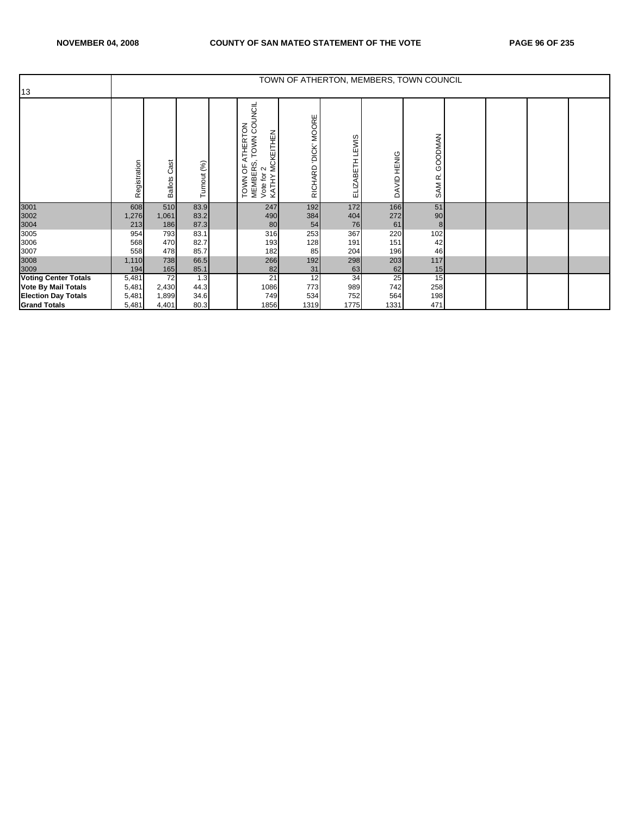| 13                          |              |                        |              |                                                                                                                           | TOWN OF ATHERTON, MEMBERS, TOWN COUNCIL |                 |             |                               |  |  |
|-----------------------------|--------------|------------------------|--------------|---------------------------------------------------------------------------------------------------------------------------|-----------------------------------------|-----------------|-------------|-------------------------------|--|--|
|                             | Registration | Cast<br><b>Ballots</b> | Turnout (%)  | COUNCIL<br><b>ATHERTON</b><br><b>MCKEITHEN</b><br><b>TOWN</b><br>MEMBERS,<br>Vote for 2<br>KATHY MCK<br>pp<br><b>TOWN</b> | DICK MOORE<br>RICHARD                   | ELIZABETH LEWIS | DAVID HENIG | GOODMAN<br>SAM <sub>R</sub> . |  |  |
| 3001<br>3002                | 608<br>1,276 | 510<br>1,061           | 83.9<br>83.2 | 247<br>490                                                                                                                | 192<br>384                              | 172<br>404      | 166<br>272  | 51<br>90                      |  |  |
| 3004                        | 213          | 186                    | 87.3         | 80                                                                                                                        | 54                                      | 76              | 61          | 8                             |  |  |
| 3005                        | 954          | 793                    | 83.1         | 316                                                                                                                       | 253                                     | 367             | 220         | 102                           |  |  |
| 3006                        | 568          | 470                    | 82.7         | 193                                                                                                                       | 128                                     | 191             | 151         | 42                            |  |  |
| 3007<br>3008                | 558          | 478                    | 85.7         | 182                                                                                                                       | 85                                      | 204             | 196         | 46                            |  |  |
|                             | 1,110        | 738                    | 66.5         | 266                                                                                                                       | 192                                     | 298             | 203         | 117                           |  |  |
| 3009                        | 194          | 165                    | 85.1         | 82                                                                                                                        | 31                                      | 63              | 62          | 15                            |  |  |
| <b>Voting Center Totals</b> | 5,481        | 72                     | 1.3          | 21                                                                                                                        | 12                                      | 34              | 25          | 15                            |  |  |
| <b>Vote By Mail Totals</b>  | 5,481        | 2,430                  | 44.3         | 1086                                                                                                                      | 773                                     | 989             | 742         | 258                           |  |  |
| <b>Election Day Totals</b>  | 5,481        | 1,899                  | 34.6         | 749                                                                                                                       | 534                                     | 752             | 564         | 198                           |  |  |
| <b>Grand Totals</b>         | 5,481        | 4,401                  | 80.3         | 1856                                                                                                                      | 1319                                    | 1775            | 1331        | 471                           |  |  |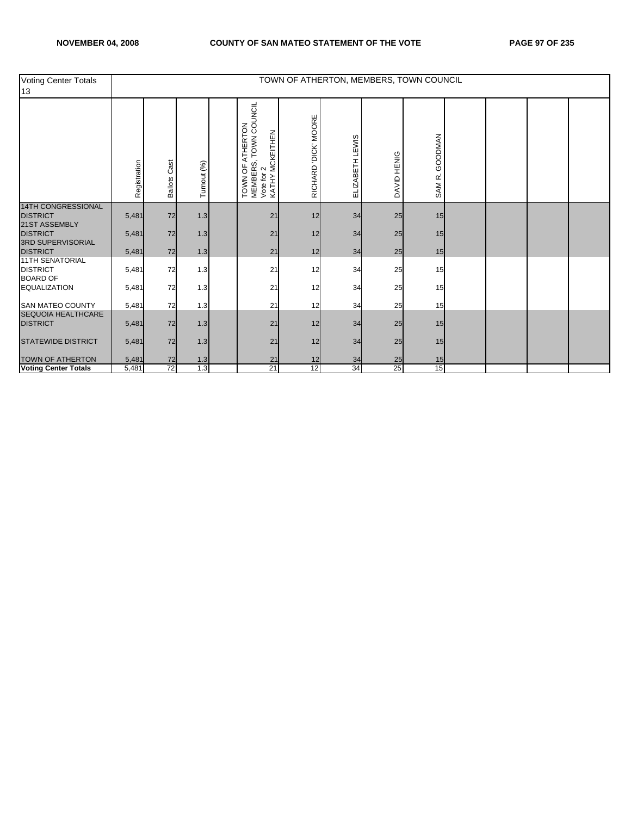| <b>Voting Center Totals</b><br>13                            |              |                        |             |                                                                                               |                      |                 | TOWN OF ATHERTON, MEMBERS, TOWN COUNCIL |                   |  |  |
|--------------------------------------------------------------|--------------|------------------------|-------------|-----------------------------------------------------------------------------------------------|----------------------|-----------------|-----------------------------------------|-------------------|--|--|
|                                                              | Registration | Cast<br><b>Ballots</b> | Turnout (%) | TOWN COUNCIL<br>TOWN OF ATHERTON<br><b>MCKEITHEN</b><br>MEMBERS, T<br>Vote for 2<br>KATHY MCK | RICHARD 'DICK' MOORE | ELIZABETH LEWIS | DAVID HENIG                             | GOODMAN<br>SAM R. |  |  |
| <b>14TH CONGRESSIONAL</b><br><b>DISTRICT</b>                 | 5,481        | 72                     | 1.3         | 21                                                                                            | 12                   | 34              | 25                                      | 15                |  |  |
| 21ST ASSEMBLY<br><b>DISTRICT</b><br><b>3RD SUPERVISORIAL</b> | 5,481        | 72                     | 1.3         | 21                                                                                            | 12                   | 34              | 25                                      | 15                |  |  |
| <b>DISTRICT</b>                                              | 5,481        | 72                     | 1.3         | 21                                                                                            | 12                   | 34              | 25                                      | 15                |  |  |
| <b>11TH SENATORIAL</b><br><b>DISTRICT</b><br><b>BOARD OF</b> | 5,481        | 72                     | 1.3         | 21                                                                                            | 12                   | 34              | 25                                      | 15                |  |  |
| <b>EQUALIZATION</b>                                          | 5,481        | 72                     | 1.3         | 21                                                                                            | 12                   | 34              | 25                                      | 15                |  |  |
| <b>SAN MATEO COUNTY</b>                                      | 5,481        | 72                     | 1.3         | 21                                                                                            | 12                   | 34              | 25                                      | 15                |  |  |
| <b>SEQUOIA HEALTHCARE</b><br><b>DISTRICT</b>                 | 5,481        | 72                     | 1.3         | 21                                                                                            | 12                   | 34              | 25                                      | 15                |  |  |
| <b>STATEWIDE DISTRICT</b>                                    | 5,481        | 72                     | 1.3         | 21                                                                                            | 12                   | 34              | 25                                      | 15                |  |  |
| <b>TOWN OF ATHERTON</b>                                      | 5,481        | 72                     | 1.3         | 21                                                                                            | 12                   | 34              | 25                                      | 15                |  |  |
| <b>Voting Center Totals</b>                                  | 5,481        | 72                     | 1.3         | 21                                                                                            | 12                   | 34              | 25                                      | 15                |  |  |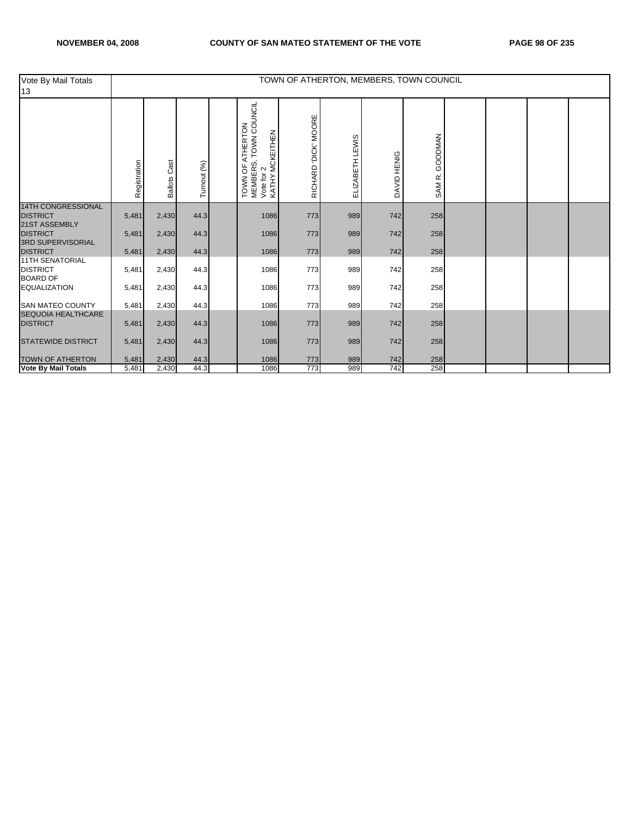| Vote By Mail Totals<br>13                                    |              |                        |             |                                                                                                  |                      |                 | TOWN OF ATHERTON, MEMBERS, TOWN COUNCIL |                   |  |  |
|--------------------------------------------------------------|--------------|------------------------|-------------|--------------------------------------------------------------------------------------------------|----------------------|-----------------|-----------------------------------------|-------------------|--|--|
|                                                              | Registration | Cast<br><b>Ballots</b> | Turnout (%) | TOWN COUNCIL<br><b>ATHERTON</b><br>MCKEITHEN<br>MEMBERS, T<br>Vote for 2<br>KATHY MCK<br>TOWN OF | RICHARD 'DICK' MOORE | ELIZABETH LEWIS | DAVID HENIG                             | GOODMAN<br>SAM R. |  |  |
| <b>14TH CONGRESSIONAL</b><br><b>DISTRICT</b>                 | 5,481        | 2,430                  | 44.3        | 1086                                                                                             | 773                  | 989             | 742                                     | 258               |  |  |
| 21ST ASSEMBLY<br><b>DISTRICT</b>                             | 5,481        | 2,430                  | 44.3        | 1086                                                                                             | 773                  | 989             | 742                                     | 258               |  |  |
| <b>3RD SUPERVISORIAL</b><br><b>DISTRICT</b>                  | 5,481        | 2,430                  | 44.3        | 1086                                                                                             | 773                  | 989             | 742                                     | 258               |  |  |
| <b>11TH SENATORIAL</b><br><b>DISTRICT</b><br><b>BOARD OF</b> | 5,481        | 2,430                  | 44.3        | 1086                                                                                             | 773                  | 989             | 742                                     | 258               |  |  |
| <b>EQUALIZATION</b>                                          | 5,481        | 2,430                  | 44.3        | 1086                                                                                             | 773                  | 989             | 742                                     | 258               |  |  |
| <b>SAN MATEO COUNTY</b>                                      | 5,481        | 2,430                  | 44.3        | 1086                                                                                             | 773                  | 989             | 742                                     | 258               |  |  |
| <b>SEQUOIA HEALTHCARE</b><br><b>DISTRICT</b>                 | 5,481        | 2,430                  | 44.3        | 1086                                                                                             | 773                  | 989             | 742                                     | 258               |  |  |
| <b>STATEWIDE DISTRICT</b>                                    | 5,481        | 2,430                  | 44.3        | 1086                                                                                             | 773                  | 989             | 742                                     | 258               |  |  |
| <b>TOWN OF ATHERTON</b>                                      | 5,481        | 2,430                  | 44.3        | 1086                                                                                             | 773                  | 989             | 742                                     | 258               |  |  |
| <b>Vote By Mail Totals</b>                                   | 5,481        | 2,430                  | 44.3        | 1086                                                                                             | 773                  | 989             | 742                                     | 258               |  |  |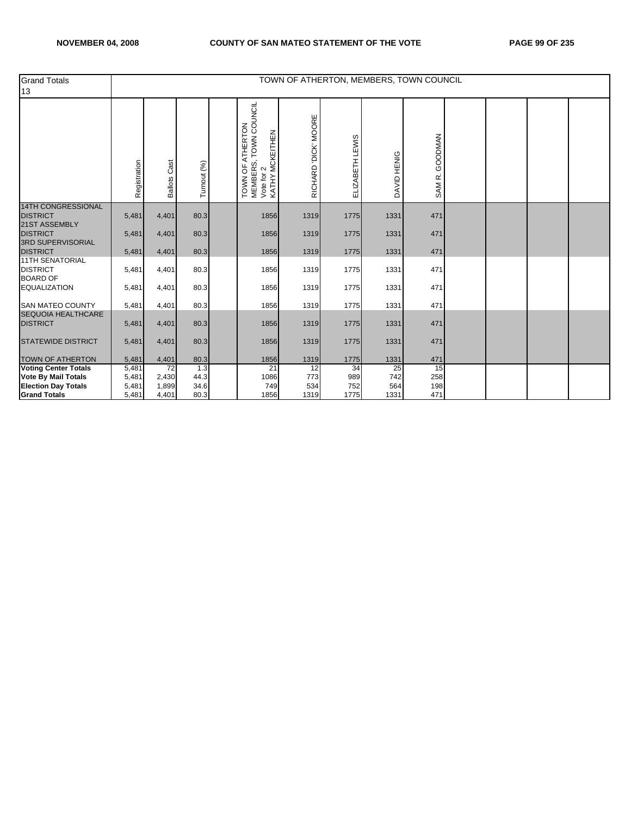| <b>Grand Totals</b><br>13                                    |                |                        |             |                                                                                                  |                      |                 |             | TOWN OF ATHERTON, MEMBERS, TOWN COUNCIL |  |  |
|--------------------------------------------------------------|----------------|------------------------|-------------|--------------------------------------------------------------------------------------------------|----------------------|-----------------|-------------|-----------------------------------------|--|--|
|                                                              | Registration   | Cast<br><b>Ballots</b> | Turnout (%) | TOWN COUNCIL<br><b>ATHERTON</b><br>MCKEITHEN<br>MEMBERS, T<br>Vote for 2<br>KATHY MCK<br>TOWN OF | RICHARD 'DICK' MOORE | ELIZABETH LEWIS | DAVID HENIG | GOODMAN<br>SAM R.                       |  |  |
| <b>14TH CONGRESSIONAL</b><br><b>DISTRICT</b>                 | 5,481          | 4,401                  | 80.3        | 1856                                                                                             | 1319                 | 1775            | 1331        | 471                                     |  |  |
| 21ST ASSEMBLY<br><b>DISTRICT</b>                             | 5,481          | 4,401                  | 80.3        | 1856                                                                                             | 1319                 | 1775            | 1331        | 471                                     |  |  |
| 3RD SUPERVISORIAL<br><b>DISTRICT</b>                         | 5,481          | 4,401                  | 80.3        | 1856                                                                                             | 1319                 | 1775            | 1331        | 471                                     |  |  |
| <b>11TH SENATORIAL</b><br><b>DISTRICT</b><br><b>BOARD OF</b> | 5,481          | 4,401                  | 80.3        | 1856                                                                                             | 1319                 | 1775            | 1331        | 471                                     |  |  |
| <b>EQUALIZATION</b>                                          | 5,481          | 4,401                  | 80.3        | 1856                                                                                             | 1319                 | 1775            | 1331        | 471                                     |  |  |
| <b>SAN MATEO COUNTY</b>                                      | 5,481          | 4,401                  | 80.3        | 1856                                                                                             | 1319                 | 1775            | 1331        | 471                                     |  |  |
| <b>SEQUOIA HEALTHCARE</b><br><b>DISTRICT</b>                 | 5,481          | 4,401                  | 80.3        | 1856                                                                                             | 1319                 | 1775            | 1331        | 471                                     |  |  |
| <b>STATEWIDE DISTRICT</b>                                    | 5,481          | 4,401                  | 80.3        | 1856                                                                                             | 1319                 | 1775            | 1331        | 471                                     |  |  |
| <b>TOWN OF ATHERTON</b>                                      | 5,481          | 4,401                  | 80.3        | 1856                                                                                             | 1319                 | 1775            | 1331        | 471                                     |  |  |
| <b>Voting Center Totals</b><br><b>Vote By Mail Totals</b>    | 5,481<br>5,481 | 72<br>2,430            | 1.3<br>44.3 | 21<br>1086                                                                                       | 12<br>773            | 34<br>989       | 25<br>742   | 15<br>258                               |  |  |
| <b>Election Day Totals</b>                                   | 5,481          | 1,899                  | 34.6        | 749                                                                                              | 534                  | 752             | 564         | 198                                     |  |  |
| <b>Grand Totals</b>                                          | 5,481          | 4,401                  | 80.3        | 1856                                                                                             | 1319                 | 1775            | 1331        | 471                                     |  |  |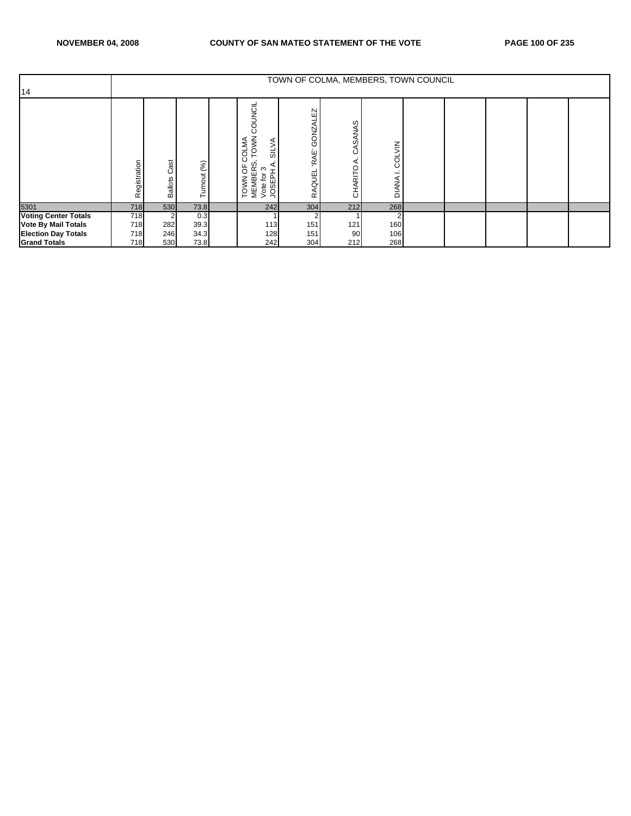|                             |                           |                        |               |                                                                                                        |                                                 | TOWN OF COLMA, MEMBERS, TOWN COUNCIL |                        |  |  |  |
|-----------------------------|---------------------------|------------------------|---------------|--------------------------------------------------------------------------------------------------------|-------------------------------------------------|--------------------------------------|------------------------|--|--|--|
| 14                          |                           |                        |               |                                                                                                        |                                                 |                                      |                        |  |  |  |
|                             | tegistration<br>$\propto$ | Cast<br><b>Ballots</b> | (%)<br>urnout | COUNCIL<br>TOWN<br>COLMA<br><b>SILVA</b><br>ഗ<br>p<br>MEMBERS<br>Vote for 3<br>JOSEPH A<br><b>TOWN</b> | EZ<br>GONZAL<br><b>RAE</b><br><b>AQUEL</b><br>œ | CASANAS<br>⋖<br>CHARITO              | COLVIN<br><b>DIANA</b> |  |  |  |
| 5301                        | 718                       | 530                    | 73.8          | 242                                                                                                    | 304                                             | 212                                  | 268                    |  |  |  |
| <b>Voting Center Totals</b> | 718                       |                        | 0.3           |                                                                                                        |                                                 |                                      |                        |  |  |  |
| <b>Vote By Mail Totals</b>  | 718                       | 282                    | 39.3          | 113                                                                                                    | 151                                             | 121                                  | 160                    |  |  |  |
| <b>Election Day Totals</b>  | 718                       | 246                    | 34.3          | 128                                                                                                    | 151                                             | 90                                   | 106                    |  |  |  |
| <b>Grand Totals</b>         | 718                       | 530                    | 73.8          | 242                                                                                                    | 304                                             | 212                                  | 268                    |  |  |  |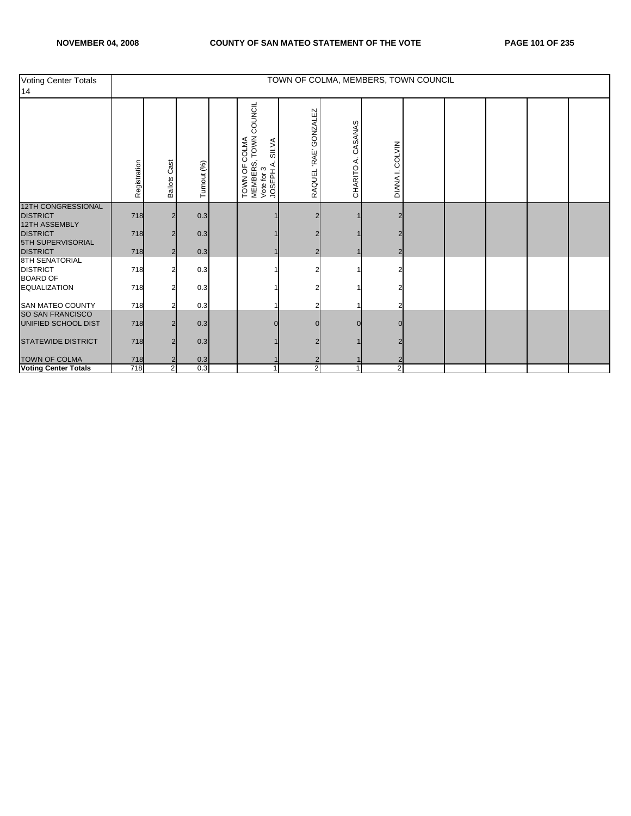| <b>Voting Center Totals</b><br>14                            |              |                        |             |                                                                                              |                       | TOWN OF COLMA, MEMBERS, TOWN COUNCIL |                         |  |  |  |
|--------------------------------------------------------------|--------------|------------------------|-------------|----------------------------------------------------------------------------------------------|-----------------------|--------------------------------------|-------------------------|--|--|--|
|                                                              | Registration | Cast<br><b>Ballots</b> | Turnout (%) | COUNCIL<br>TOWN<br>COLMA<br><b>SILVA</b><br>TOWN OF C<br>MEMBERS,<br>Vote for 3<br>JOSEPH A. | RAQUEL 'RAE' GONZALEZ | CASANAS<br>CHARITO A.                | DIANA I. COLVIN         |  |  |  |
| <b>12TH CONGRESSIONAL</b><br><b>DISTRICT</b>                 | 718          |                        | 0.3         |                                                                                              |                       |                                      |                         |  |  |  |
| <b>12TH ASSEMBLY</b><br><b>DISTRICT</b><br>5TH SUPERVISORIAL | 718          |                        | 0.3         |                                                                                              |                       |                                      |                         |  |  |  |
| <b>DISTRICT</b>                                              | 718          |                        | 0.3         |                                                                                              |                       |                                      |                         |  |  |  |
| <b>8TH SENATORIAL</b><br><b>DISTRICT</b><br><b>BOARD OF</b>  | 718          |                        | 0.3         |                                                                                              |                       |                                      |                         |  |  |  |
| <b>EQUALIZATION</b>                                          | 718          |                        | 0.3         |                                                                                              |                       |                                      |                         |  |  |  |
| <b>SAN MATEO COUNTY</b>                                      | 718          |                        | 0.3         |                                                                                              |                       |                                      |                         |  |  |  |
| SO SAN FRANCISCO<br>UNIFIED SCHOOL DIST                      | 718          |                        | 0.3         |                                                                                              |                       |                                      |                         |  |  |  |
| <b>STATEWIDE DISTRICT</b>                                    | 718          |                        | 0.3         |                                                                                              |                       |                                      |                         |  |  |  |
| <b>TOWN OF COLMA</b>                                         | 718          |                        | 0.3         |                                                                                              |                       |                                      |                         |  |  |  |
| <b>Voting Center Totals</b>                                  | 718          | $\overline{2}$         | 0.3         | 1                                                                                            | $\overline{2}$        |                                      | $\overline{\mathbf{c}}$ |  |  |  |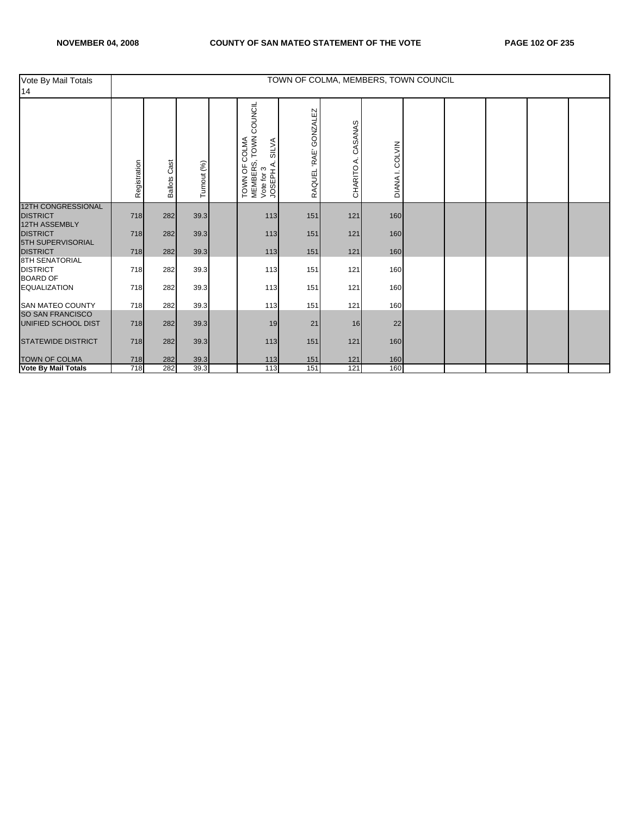| Vote By Mail Totals<br>14                             |              |                        |             |                                                                                               |                       |                         | TOWN OF COLMA, MEMBERS, TOWN COUNCIL |  |  |  |
|-------------------------------------------------------|--------------|------------------------|-------------|-----------------------------------------------------------------------------------------------|-----------------------|-------------------------|--------------------------------------|--|--|--|
|                                                       | Registration | Cast<br><b>Ballots</b> | Turnout (%) | TOWN COUNCIL<br>COLMA<br><b>SILVA</b><br>TOWN OF C<br>MEMBERS, T<br>Vote for 3<br>JOSEPH A. S | RAQUEL 'RAE' GONZALEZ | CASANAS<br>∢<br>CHARITO | DIANA I. COLVIN                      |  |  |  |
| <b>12TH CONGRESSIONAL</b><br><b>DISTRICT</b>          | 718          | 282                    | 39.3        | 113                                                                                           | 151                   | 121                     | 160                                  |  |  |  |
| 12TH ASSEMBLY<br><b>DISTRICT</b><br>5TH SUPERVISORIAL | 718          | 282                    | 39.3        | 113                                                                                           | 151                   | 121                     | 160                                  |  |  |  |
| <b>DISTRICT</b>                                       | 718          | 282                    | 39.3        | 113                                                                                           | 151                   | 121                     | 160                                  |  |  |  |
| 8TH SENATORIAL<br><b>DISTRICT</b><br><b>BOARD OF</b>  | 718          | 282                    | 39.3        | 113                                                                                           | 151                   | 121                     | 160                                  |  |  |  |
| <b>EQUALIZATION</b>                                   | 718          | 282                    | 39.3        | 113                                                                                           | 151                   | 121                     | 160                                  |  |  |  |
| <b>SAN MATEO COUNTY</b>                               | 718          | 282                    | 39.3        | 113                                                                                           | 151                   | 121                     | 160                                  |  |  |  |
| <b>SO SAN FRANCISCO</b><br>UNIFIED SCHOOL DIST        | 718          | 282                    | 39.3        | 19                                                                                            | 21                    | 16                      | 22                                   |  |  |  |
| <b>STATEWIDE DISTRICT</b>                             | 718          | 282                    | 39.3        | 113                                                                                           | 151                   | 121                     | 160                                  |  |  |  |
| <b>TOWN OF COLMA</b>                                  | 718          | 282                    | 39.3        | 113                                                                                           | 151                   | 121                     | 160                                  |  |  |  |
| <b>Vote By Mail Totals</b>                            | 718          | 282                    | 39.3        | 113                                                                                           | 151                   | 121                     | 160                                  |  |  |  |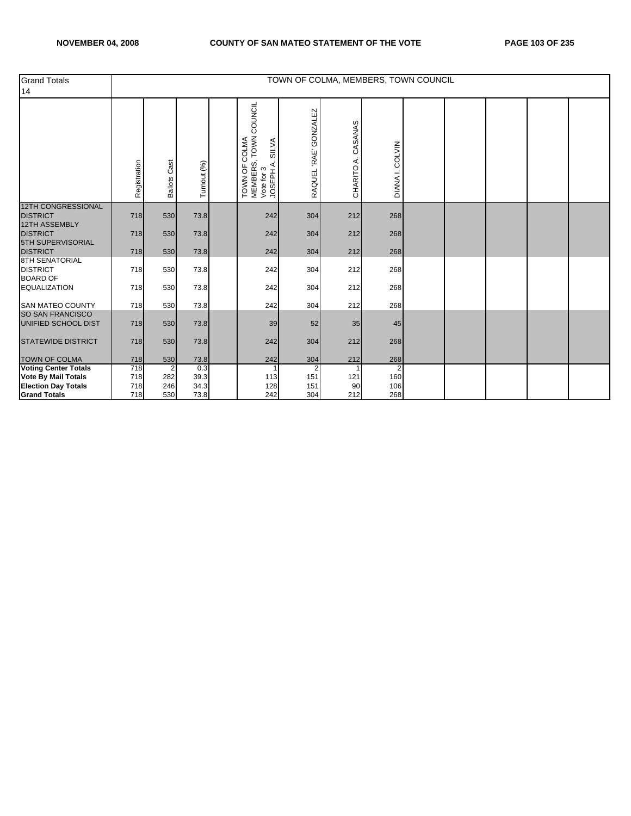| <b>Grand Totals</b><br>14                                     |              |                 |              |                                                                                                  |                       |                       | TOWN OF COLMA, MEMBERS, TOWN COUNCIL |  |  |  |
|---------------------------------------------------------------|--------------|-----------------|--------------|--------------------------------------------------------------------------------------------------|-----------------------|-----------------------|--------------------------------------|--|--|--|
|                                                               | Registration | Cast<br>Ballots | Turnout (%)  | COUNCIL<br>TOWN (<br>COLMA<br><b>SILVA</b><br>MEMBERS, T<br>Vote for 3<br>JOSEPH A. S<br>TOWN OF | RAQUEL 'RAE' GONZALEZ | CASANAS<br>CHARITO A. | DIANA I. COLVIN                      |  |  |  |
| <b>12TH CONGRESSIONAL</b><br><b>DISTRICT</b>                  | 718          | 530             | 73.8         | 242                                                                                              | 304                   | 212                   | 268                                  |  |  |  |
| <b>12TH ASSEMBLY</b><br><b>DISTRICT</b>                       | 718          | 530             | 73.8         | 242                                                                                              | 304                   | 212                   | 268                                  |  |  |  |
| 5TH SUPERVISORIAL<br><b>DISTRICT</b><br><b>8TH SENATORIAL</b> | 718          | 530             | 73.8         | 242                                                                                              | 304                   | 212                   | 268                                  |  |  |  |
| <b>DISTRICT</b><br><b>BOARD OF</b>                            | 718          | 530             | 73.8         | 242                                                                                              | 304                   | 212                   | 268                                  |  |  |  |
| <b>EQUALIZATION</b>                                           | 718          | 530             | 73.8         | 242                                                                                              | 304                   | 212                   | 268                                  |  |  |  |
| <b>SAN MATEO COUNTY</b>                                       | 718          | 530             | 73.8         | 242                                                                                              | 304                   | 212                   | 268                                  |  |  |  |
| SO SAN FRANCISCO<br>UNIFIED SCHOOL DIST                       | 718          | 530             | 73.8         | 39                                                                                               | 52                    | 35                    | 45                                   |  |  |  |
| <b>STATEWIDE DISTRICT</b>                                     | 718          | 530             | 73.8         | 242                                                                                              | 304                   | 212                   | 268                                  |  |  |  |
| <b>TOWN OF COLMA</b>                                          | 718          | 530             | 73.8         | 242                                                                                              | 304                   | 212                   | 268                                  |  |  |  |
| <b>Voting Center Totals</b>                                   | 718          | 2               | 0.3          |                                                                                                  |                       |                       | $\overline{2}$                       |  |  |  |
| <b>Vote By Mail Totals</b>                                    | 718<br>718   | 282<br>246      | 39.3         | 113<br>128                                                                                       | 151<br>151            | 121                   | 160<br>106                           |  |  |  |
| <b>Election Day Totals</b><br><b>Grand Totals</b>             | 718          | 530             | 34.3<br>73.8 | 242                                                                                              | 304                   | 90<br>212             | 268                                  |  |  |  |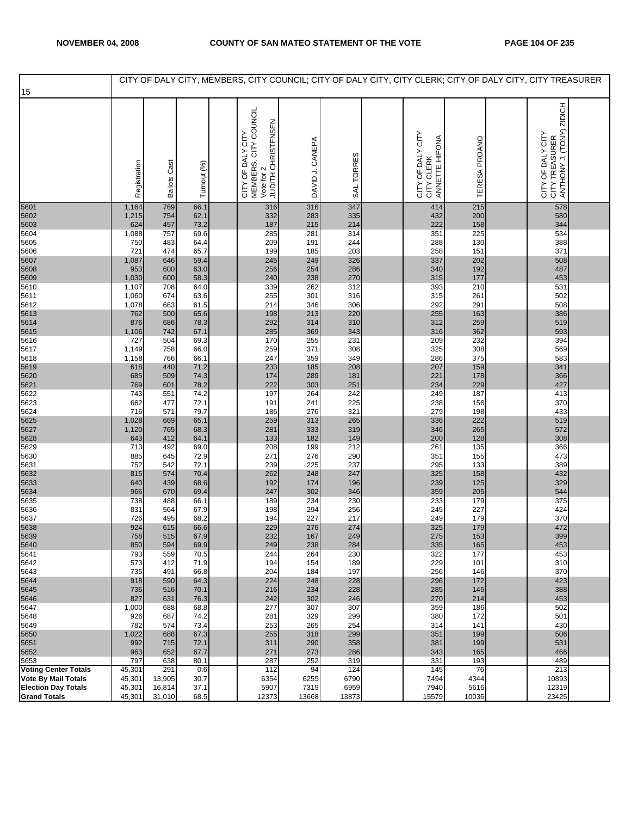## NOVEMBER 04, 2008 COUNTY OF SAN MATEO STATEMENT OF THE VOTE PAGE 104 OF 235

| 15                                  |                |                     |              |                                                                                |                 |            |                                                   |               | CITY OF DALY CITY, MEMBERS, CITY COUNCIL; CITY OF DALY CITY, CITY CLERK; CITY OF DALY CITY, CITY TREASURER |  |
|-------------------------------------|----------------|---------------------|--------------|--------------------------------------------------------------------------------|-----------------|------------|---------------------------------------------------|---------------|------------------------------------------------------------------------------------------------------------|--|
|                                     |                |                     |              |                                                                                |                 |            |                                                   |               |                                                                                                            |  |
|                                     | Registration   | <b>Ballots Cast</b> | Turnout (%)  | CITY OF DALY CITY<br>MEMBERS, CITY COUNCIL<br>Vote for 2<br>JUDITH CHRISTENSEN | DAVID J. CANEPA | SAL TORRES | CITY OF DALY CITY<br>CITY CLERK<br>ANNETTE HIPONA | TERESA PROANO | ZIDICH<br>ANTHONY J. (TONY)<br>CITY OF DALY CITY<br>CITY TREASURER                                         |  |
| 5601                                | 1,164<br>1,215 | 769<br>754          | 66.1<br>62.1 | 316<br>332                                                                     | 316<br>283      | 347<br>335 | 414<br>432                                        | 215<br>200    | 578<br>580                                                                                                 |  |
| 5602<br>5603<br>5604                | 624            | 457                 | 73.2         | 187                                                                            | 215             | 214        | 222                                               | 158           | 344                                                                                                        |  |
|                                     | 1,088          | 757                 | 69.6         | 285                                                                            | 281             | 314        | 351                                               | 225           | 534                                                                                                        |  |
| 5605<br>5606                        | 750<br>721     | 483<br>474          | 64.4<br>65.7 | 209<br>199                                                                     | 191<br>185      | 244<br>203 | 288<br>258                                        | 130<br>151    | 388<br>371                                                                                                 |  |
| 5607<br>5608                        | 1,087          | 646                 | 59.4         | 245                                                                            | 249             | 326        | 337                                               | 202           | 508                                                                                                        |  |
|                                     | 953            | 600                 | 63.0<br>58.3 | 256<br>240                                                                     | 254<br>238      | 286<br>270 | 340<br>315                                        | 192<br>177    | 487<br>453                                                                                                 |  |
| 5609<br>5610                        | 1,030<br>1,107 | 600<br>708          | 64.0         | 339                                                                            | 262             | 312        | 393                                               | 210           | 531                                                                                                        |  |
| 5611                                | 1,060          | 674                 | 63.6         | 255                                                                            | 301             | 316        | 315                                               | 261           | 502                                                                                                        |  |
| 5612                                | 1,078<br>762   | 663<br>500          | 61.5<br>65.6 | 214<br>198                                                                     | 346<br>213      | 306<br>220 | 292<br>255                                        | 291<br>163    | 508<br>386                                                                                                 |  |
| 5613<br>5614<br>5615<br>5616        | 876            | 686                 | 78.3         | 292                                                                            | 314             | 310        | 312                                               | 259           | 519                                                                                                        |  |
|                                     | 1,106          | 742                 | 67.1         | 285                                                                            | 369             | 343        | 316                                               | 362           | 593                                                                                                        |  |
| 5617                                | 727<br>1,149   | 504<br>758          | 69.3<br>66.0 | 170<br>259                                                                     | 255<br>371      | 231<br>308 | 209<br>325                                        | 232<br>308    | 394<br>569                                                                                                 |  |
| 5618                                | 1,158          | 766                 | 66.1         | 247                                                                            | 359             | 349        | 286                                               | 375           | 583                                                                                                        |  |
| 5619<br>5620<br>5621                | 618            | 440                 | 71.2         | 233                                                                            | 185             | 208        | 207                                               | 159           | 341                                                                                                        |  |
|                                     | 685<br>769     | 509<br>601          | 74.3<br>78.2 | 174<br>222                                                                     | 289<br>303      | 181<br>251 | 221<br>234                                        | 178<br>229    | 366<br>427                                                                                                 |  |
| 5622                                | 743            | 551                 | 74.2         | 197                                                                            | 264             | 242        | 249                                               | 187           | 413                                                                                                        |  |
| 5623<br>5624                        | 662            | 477<br>571          | 72.1<br>79.7 | 191<br>186                                                                     | 241<br>276      | 225<br>321 | 238<br>279                                        | 156<br>198    | 370<br>433                                                                                                 |  |
| 5625                                | 716<br>1,028   | 669                 | 65.1         | 259                                                                            | 313             | 265        | 336                                               | 222           | 519                                                                                                        |  |
| 5627                                | 1,120          | 765                 | 68.3         | 281                                                                            | 333             | 319        | 346                                               | 265           | 572                                                                                                        |  |
| 5628<br>5629                        | 643<br>713     | 412<br>492          | 64.1<br>69.0 | 133<br>208                                                                     | 182<br>199      | 149<br>212 | 200<br>261                                        | 128<br>135    | 308<br>366                                                                                                 |  |
| 5630                                | 885            | 645                 | 72.9         | 271                                                                            | 276             | 290        | 351                                               | 155           | 473                                                                                                        |  |
| 5631                                | 752            | 542                 | 72.1         | 239                                                                            | 225             | 237        | 295                                               | 133           | 389                                                                                                        |  |
| 5632<br>5633                        | 815<br>640     | 574<br>439          | 70.4<br>68.6 | 262<br>192                                                                     | 248<br>174      | 247<br>196 | 325<br>239                                        | 158<br>125    | 432<br>329                                                                                                 |  |
| 5634                                | 966            | 670                 | 69.4         | 247                                                                            | 302             | 346        | 359                                               | 205           | 544                                                                                                        |  |
| 5635<br>5636                        | 738<br>831     | 488<br>564          | 66.1<br>67.9 | 189<br>198                                                                     | 234<br>294      | 230<br>256 | 233<br>245                                        | 179<br>227    | 375<br>424                                                                                                 |  |
| 5637                                | 726            | 495                 | 68.2         | 194                                                                            | 227             | 217        | 249                                               | 179           | 370                                                                                                        |  |
| 5638                                | 924            | 615                 | 66.6         | 229                                                                            | 276             | 274        | 325                                               | 179           | 472                                                                                                        |  |
| 5639<br>5640                        | 758<br>850     | 515<br>594          | 67.9<br>69.9 | 232<br>249                                                                     | 167<br>238      | 249<br>284 | 275<br>335                                        | 153<br>165    | 399<br>453                                                                                                 |  |
| 5641                                | 793            | 559                 | 70.5         | 244                                                                            | 264             | 230        | 322                                               | 177           | 453                                                                                                        |  |
| 5642                                | 573<br>735     | 412<br>491          | 71.9<br>66.8 | 194<br>204                                                                     | 154<br>184      | 189<br>197 | 229<br>256                                        | 101<br>146    | 310<br>370                                                                                                 |  |
| 5643<br>5644                        | 918            | 590                 | 64.3         | 224                                                                            | 248             | 228        | 296                                               | 172           | 423                                                                                                        |  |
| 5645                                | 736            | 516                 | 70.1         | 216                                                                            | 234             | 228        | 285                                               | 145           | 388                                                                                                        |  |
| 5646<br>5647                        | 827<br>1,000   | 631<br>688          | 76.3<br>68.8 | 242<br>277                                                                     | 302<br>307      | 246<br>307 | 270<br>359                                        | 214<br>186    | 453<br>502                                                                                                 |  |
| 5648                                | 926            | 687                 | 74.2         | 281                                                                            | 329             | 299        | 380                                               | 172           | 501                                                                                                        |  |
| 5649                                | 782            | 574                 | 73.4         | 253                                                                            | 265             | 254        | 314                                               | 141           | 430                                                                                                        |  |
| 5650<br>5651                        | 1,022<br>992   | 688<br>715          | 67.3<br>72.1 | 255<br>311                                                                     | 318<br>290      | 299<br>358 | 351<br>381                                        | 199<br>199    | 506<br>531                                                                                                 |  |
| 5652                                | 963            | 652                 | 67.7         | 271                                                                            | 273             | 286        | 343                                               | 165           | 466                                                                                                        |  |
| 5653<br><b>Voting Center Totals</b> | 797<br>45,301  | 638<br>291          | 80.1<br>0.6  | 287<br>112                                                                     | 252<br>94       | 319<br>124 | 331<br>145                                        | 193<br>76     | 489<br>213                                                                                                 |  |
| <b>Vote By Mail Totals</b>          | 45,301         | 13,905              | 30.7         | 6354                                                                           | 6255            | 6790       | 7494                                              | 4344          | 10893                                                                                                      |  |
| <b>Election Day Totals</b>          | 45,301         | 16,814              | 37.1         | 5907                                                                           | 7319            | 6959       | 7940                                              | 5616          | 12319                                                                                                      |  |
| <b>Grand Totals</b>                 | 45,301         | 31,010              | 68.5         | 12373                                                                          | 13668           | 13873      | 15579                                             | 10036         | 23425                                                                                                      |  |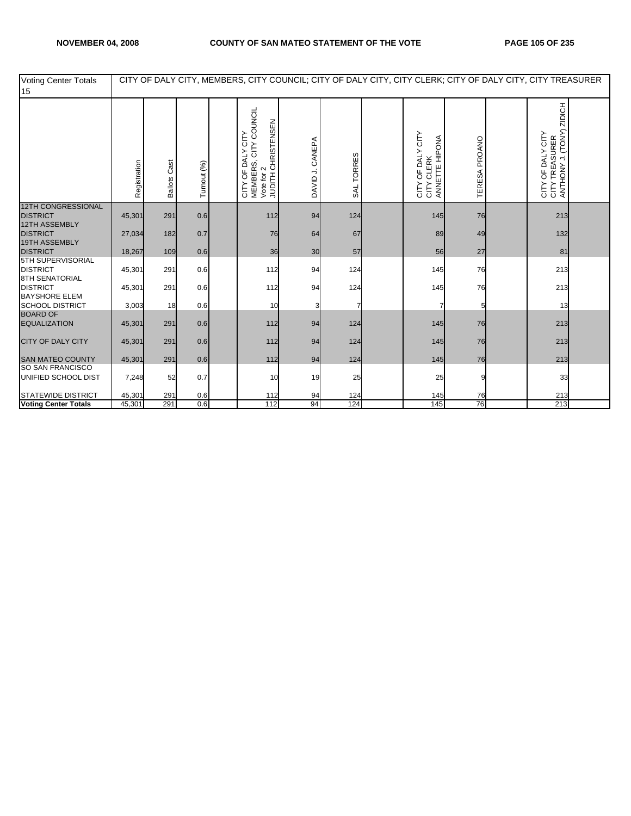| <b>Voting Center Totals</b><br>15                             |              |                        |             |                                                                                                       |                    |            |                                                             |               | CITY OF DALY CITY, MEMBERS, CITY COUNCIL; CITY OF DALY CITY, CITY CLERK; CITY OF DALY CITY, CITY TREASURER |  |
|---------------------------------------------------------------|--------------|------------------------|-------------|-------------------------------------------------------------------------------------------------------|--------------------|------------|-------------------------------------------------------------|---------------|------------------------------------------------------------------------------------------------------------|--|
|                                                               | Registration | Cast<br><b>Ballots</b> | Turnout (%) | MEMBERS, CITY COUNCIL<br>JUDITH CHRISTENSEN<br>CITY OF DALY CITY<br>$\boldsymbol{\sim}$<br>Vote for 2 | CANEPA<br>DAVID J. | SAL TORRES | CITY OF DALY CITY<br>ANNETTE HIPONA<br><b>CLERK</b><br>CITY | TERESA PROANO | ZIDICH<br>CITY TREASURER<br>ANTHONY J. (TONY)<br>CITY OF DALY CITY<br>CITY TREASURER                       |  |
| <b>12TH CONGRESSIONAL</b><br><b>DISTRICT</b>                  | 45,301       | 291                    | 0.6         | 112                                                                                                   | 94                 | 124        | 145                                                         | 76            | 213                                                                                                        |  |
| <b>12TH ASSEMBLY</b>                                          |              |                        |             |                                                                                                       |                    |            |                                                             |               |                                                                                                            |  |
| <b>DISTRICT</b>                                               | 27,034       | 182                    | 0.7         | 76                                                                                                    | 64                 | 67         | 89                                                          | 49            | 132                                                                                                        |  |
| 19TH ASSEMBLY<br><b>DISTRICT</b>                              | 18,267       | 109                    | 0.6         | 36                                                                                                    | 30                 | 57         | 56                                                          | 27            | 81                                                                                                         |  |
| 5TH SUPERVISORIAL<br><b>DISTRICT</b><br><b>8TH SENATORIAL</b> | 45,301       | 291                    | 0.6         | 112                                                                                                   | 94                 | 124        | 145                                                         | 76            | 213                                                                                                        |  |
| <b>DISTRICT</b><br><b>BAYSHORE ELEM</b>                       | 45,301       | 291                    | 0.6         | 112                                                                                                   | 94                 | 124        | 145                                                         | 76            | 213                                                                                                        |  |
| <b>SCHOOL DISTRICT</b>                                        | 3,003        | 18                     | 0.6         | 10                                                                                                    |                    |            |                                                             |               | 13                                                                                                         |  |
| <b>BOARD OF</b><br><b>EQUALIZATION</b>                        | 45,301       | 291                    | 0.6         | 112                                                                                                   | 94                 | 124        | 145                                                         | 76            | 213                                                                                                        |  |
| <b>CITY OF DALY CITY</b>                                      | 45,301       | 291                    | 0.6         | 112                                                                                                   | 94                 | 124        | 145                                                         | 76            | 213                                                                                                        |  |
| <b>SAN MATEO COUNTY</b>                                       | 45,301       | 291                    | 0.6         | 112                                                                                                   | 94                 | 124        | 145                                                         | 76            | 213                                                                                                        |  |
| SO SAN FRANCISCO<br>UNIFIED SCHOOL DIST                       | 7,248        | 52                     | 0.7         | 10                                                                                                    | 19                 | 25         | 25                                                          |               | 33                                                                                                         |  |
| <b>STATEWIDE DISTRICT</b>                                     | 45,301       | 291                    | 0.6         | 112                                                                                                   | 94                 | 124        | 145                                                         | 76            | 213                                                                                                        |  |
| <b>Voting Center Totals</b>                                   | 45,301       | 291                    | 0.6         | 112                                                                                                   | 94                 | 124        | 145                                                         | 76            | 213                                                                                                        |  |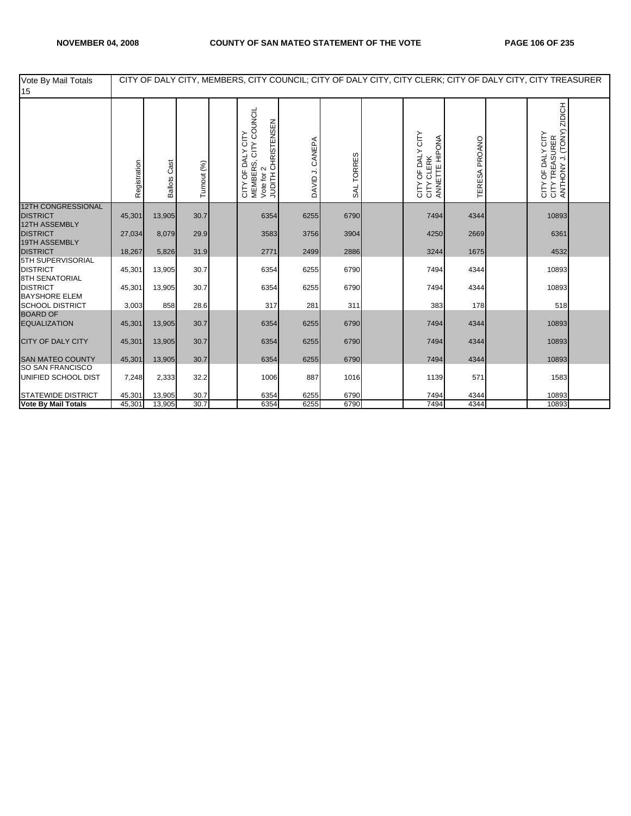| Vote By Mail Totals<br>15                                            |              |                     |             |                                                                                        |                    |            |                                                             |               | CITY OF DALY CITY, MEMBERS, CITY COUNCIL; CITY OF DALY CITY, CITY CLERK; CITY OF DALY CITY, CITY TREASURER |                                                                      |  |
|----------------------------------------------------------------------|--------------|---------------------|-------------|----------------------------------------------------------------------------------------|--------------------|------------|-------------------------------------------------------------|---------------|------------------------------------------------------------------------------------------------------------|----------------------------------------------------------------------|--|
|                                                                      | Registration | <b>Ballots Cast</b> | Turnout (%) | CITY COUNCIL<br>JUDITH CHRISTENSEN<br>OF DALY CITY<br>MEMBERS, 0<br>Vote for 2<br>CITY | CANEPA<br>DAVID J. | SAL TORRES | OF DALY CITY<br>ANNETTE HIPONA<br><b>CLERK</b><br>GEY<br>SE | TERESA PROANO |                                                                                                            | ZIDICH<br>CITY OF DALY CITY<br>CITY TREASURER<br>ANTHONY J. (TONY) Z |  |
| <b>12TH CONGRESSIONAL</b><br><b>DISTRICT</b><br><b>12TH ASSEMBLY</b> | 45,301       | 13,905              | 30.7        | 6354                                                                                   | 6255               | 6790       | 7494                                                        | 4344          |                                                                                                            | 10893                                                                |  |
| <b>DISTRICT</b><br>19TH ASSEMBLY                                     | 27,034       | 8,079               | 29.9        | 3583                                                                                   | 3756               | 3904       | 4250                                                        | 2669          |                                                                                                            | 6361                                                                 |  |
| <b>DISTRICT</b>                                                      | 18,267       | 5,826               | 31.9        | 2771                                                                                   | 2499               | 2886       | 3244                                                        | 1675          |                                                                                                            | 4532                                                                 |  |
| 5TH SUPERVISORIAL<br><b>DISTRICT</b><br><b>8TH SENATORIAL</b>        | 45,301       | 13,905              | 30.7        | 6354                                                                                   | 6255               | 6790       | 7494                                                        | 4344          |                                                                                                            | 10893                                                                |  |
| <b>DISTRICT</b>                                                      | 45,301       | 13,905              | 30.7        | 6354                                                                                   | 6255               | 6790       | 7494                                                        | 4344          |                                                                                                            | 10893                                                                |  |
| <b>BAYSHORE ELEM</b><br><b>SCHOOL DISTRICT</b><br><b>BOARD OF</b>    | 3,003        | 858                 | 28.6        | 317                                                                                    | 281                | 311        | 383                                                         | 178           |                                                                                                            | 518                                                                  |  |
| <b>EQUALIZATION</b>                                                  | 45,301       | 13,905              | 30.7        | 6354                                                                                   | 6255               | 6790       | 7494                                                        | 4344          |                                                                                                            | 10893                                                                |  |
| <b>CITY OF DALY CITY</b>                                             | 45,301       | 13,905              | 30.7        | 6354                                                                                   | 6255               | 6790       | 7494                                                        | 4344          |                                                                                                            | 10893                                                                |  |
| <b>SAN MATEO COUNTY</b><br><b>SO SAN FRANCISCO</b>                   | 45,301       | 13,905              | 30.7        | 6354                                                                                   | 6255               | 6790       | 7494                                                        | 4344          |                                                                                                            | 10893                                                                |  |
| UNIFIED SCHOOL DIST                                                  | 7,248        | 2,333               | 32.2        | 1006                                                                                   | 887                | 1016       | 1139                                                        | 571           |                                                                                                            | 1583                                                                 |  |
| <b>STATEWIDE DISTRICT</b>                                            | 45,301       | 13,905              | 30.7        | 6354                                                                                   | 6255               | 6790       | 7494                                                        | 4344          |                                                                                                            | 10893                                                                |  |
| <b>Vote By Mail Totals</b>                                           | 45,301       | 13,905              | 30.7        | 6354                                                                                   | 6255               | 6790       | 7494                                                        | 4344          |                                                                                                            | 10893                                                                |  |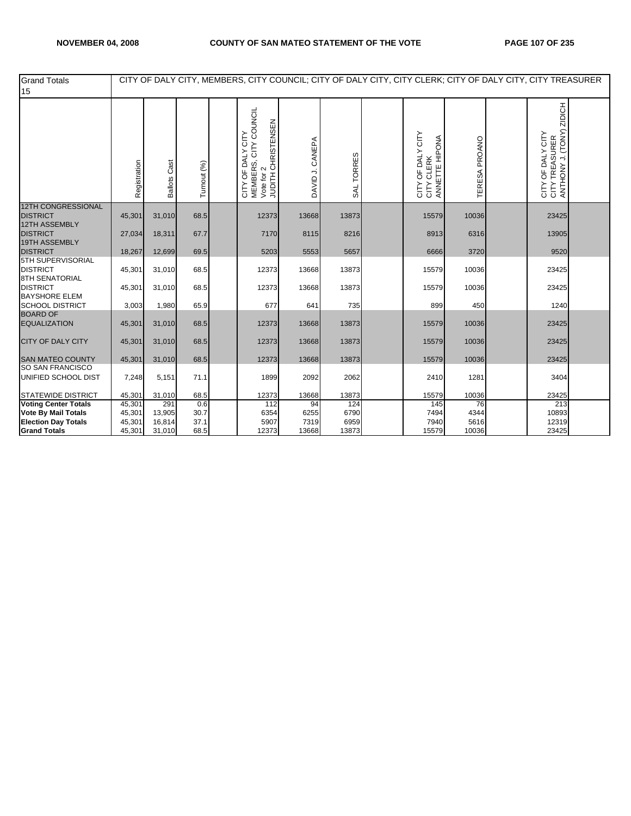| <b>Grand Totals</b><br>15                                     |              |                     |             |                                                                                   |                 |            |                                                         |               | CITY OF DALY CITY, MEMBERS, CITY COUNCIL; CITY OF DALY CITY, CITY CLERK; CITY OF DALY CITY, CITY TREASURER |                                                                               |  |
|---------------------------------------------------------------|--------------|---------------------|-------------|-----------------------------------------------------------------------------------|-----------------|------------|---------------------------------------------------------|---------------|------------------------------------------------------------------------------------------------------------|-------------------------------------------------------------------------------|--|
|                                                               | Registration | <b>Ballots Cast</b> | Turnout (%) | CITY COUNCIL<br>JUDITH CHRISTENSEN<br>CITY OF DALY CITY<br>MEMBERS,<br>Vote for 2 | DAVID J. CANEPA | SAL TORRES | OF DALY CITY<br>ANNETTE HIPONA<br>CLERK<br>CIFY<br>CIFY | TERESA PROANO |                                                                                                            | ZIDICH<br>CITY TREASURER<br>ANTHONY J. (TONY)<br>OF DALY CITY<br>CIFY<br>CIFY |  |
| <b>12TH CONGRESSIONAL</b><br><b>DISTRICT</b>                  | 45,301       | 31,010              | 68.5        | 12373                                                                             | 13668           | 13873      | 15579                                                   | 10036         |                                                                                                            | 23425                                                                         |  |
| <b>12TH ASSEMBLY</b><br><b>DISTRICT</b><br>19TH ASSEMBLY      | 27,034       | 18,311              | 67.7        | 7170                                                                              | 8115            | 8216       | 8913                                                    | 6316          |                                                                                                            | 13905                                                                         |  |
| <b>DISTRICT</b>                                               | 18,267       | 12,699              | 69.5        | 5203                                                                              | 5553            | 5657       | 6666                                                    | 3720          |                                                                                                            | 9520                                                                          |  |
| 5TH SUPERVISORIAL<br><b>DISTRICT</b><br><b>8TH SENATORIAL</b> | 45,301       | 31,010              | 68.5        | 12373                                                                             | 13668           | 13873      | 15579                                                   | 10036         |                                                                                                            | 23425                                                                         |  |
| <b>DISTRICT</b><br><b>BAYSHORE ELEM</b>                       | 45,301       | 31,010              | 68.5        | 12373                                                                             | 13668           | 13873      | 15579                                                   | 10036         |                                                                                                            | 23425                                                                         |  |
| <b>SCHOOL DISTRICT</b>                                        | 3,003        | 1,980               | 65.9        | 677                                                                               | 641             | 735        | 899                                                     | 450           |                                                                                                            | 1240                                                                          |  |
| <b>BOARD OF</b><br><b>EQUALIZATION</b>                        | 45,301       | 31,010              | 68.5        | 12373                                                                             | 13668           | 13873      | 15579                                                   | 10036         |                                                                                                            | 23425                                                                         |  |
| <b>CITY OF DALY CITY</b>                                      | 45,301       | 31,010              | 68.5        | 12373                                                                             | 13668           | 13873      | 15579                                                   | 10036         |                                                                                                            | 23425                                                                         |  |
| <b>SAN MATEO COUNTY</b>                                       | 45,301       | 31,010              | 68.5        | 12373                                                                             | 13668           | 13873      | 15579                                                   | 10036         |                                                                                                            | 23425                                                                         |  |
| SO SAN FRANCISCO<br>UNIFIED SCHOOL DIST                       | 7,248        | 5,151               | 71.1        | 1899                                                                              | 2092            | 2062       | 2410                                                    | 1281          |                                                                                                            | 3404                                                                          |  |
| <b>STATEWIDE DISTRICT</b>                                     | 45,301       | 31,010              | 68.5        | 12373                                                                             | 13668           | 13873      | 15579                                                   | 10036         |                                                                                                            | 23425                                                                         |  |
| <b>Voting Center Totals</b>                                   | 45,301       | 291                 | 0.6         | 112                                                                               | 94              | 124        | 145                                                     | 76            |                                                                                                            | 213                                                                           |  |
| <b>Vote By Mail Totals</b>                                    | 45,301       | 13,905              | 30.7        | 6354                                                                              | 6255            | 6790       | 7494                                                    | 4344          |                                                                                                            | 10893                                                                         |  |
| <b>Election Day Totals</b>                                    | 45,301       | 16,814              | 37.1        | 5907                                                                              | 7319            | 6959       | 7940                                                    | 5616          |                                                                                                            | 12319                                                                         |  |
| <b>Grand Totals</b>                                           | 45,301       | 31,010              | 68.5        | 12373                                                                             | 13668           | 13873      | 15579                                                   | 10036         |                                                                                                            | 23425                                                                         |  |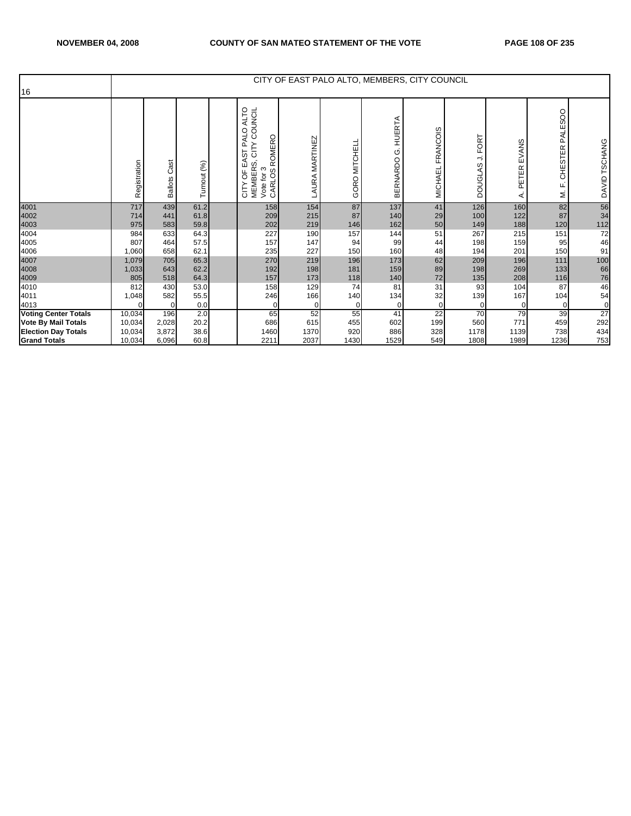| 16                          |              |                        |              |                                                                                                         |                |                         | CITY OF EAST PALO ALTO, MEMBERS, CITY COUNCIL |                     |                                    |                     |                                      |                 |
|-----------------------------|--------------|------------------------|--------------|---------------------------------------------------------------------------------------------------------|----------------|-------------------------|-----------------------------------------------|---------------------|------------------------------------|---------------------|--------------------------------------|-----------------|
|                             | Registration | Cast<br><b>Ballots</b> | Turnout (%)  | ALTO<br>COUNCIL<br>PALO<br>ROMERO<br>등<br>EAST<br>MEMBERS,<br>S<br>CARLOS<br>p<br>, p<br>CITY<br>Vote 1 | LAURA MARTINEZ | <b>MITCHELL</b><br>GORO | HUERTA<br>Οj<br><b>BERNARDO</b>               | FRANCOIS<br>MICHAEL | <b>FORT</b><br>⇒<br><b>DOUGLAS</b> | EVANS<br>PETER<br>⋖ | PALESOO<br><b>CHESTER</b><br>ட்<br>ξ | DAVID TSCHANG   |
| 4001                        | 717          | 439                    | 61.2         | 158                                                                                                     | 154            | 87                      | 137                                           | 41                  | 126                                | 160                 | 82                                   | 56              |
| 4002                        | 714          | 441                    | 61.8         | 209                                                                                                     | 215            | 87                      | 140                                           | 29                  | 100                                | 122                 | 87                                   | 34              |
| 4003<br>4004                | 975<br>984   | 583<br>633             | 59.8<br>64.3 | 202<br>227                                                                                              | 219<br>190     | 146<br>157              | 162                                           | 50<br>51            | 149<br>267                         | 188<br>215          | 120<br>151                           | 112             |
| 4005                        | 807          | 464                    | 57.5         | 157                                                                                                     | 147            | 94                      | 144<br>99                                     | 44                  | 198                                | 159                 | 95                                   | 72<br>46        |
| 4006                        | 1,060        | 658                    | 62.1         | 235                                                                                                     | 227            | 150                     | 160                                           | 48                  | 194                                | 201                 | 150                                  | 91              |
| 4007                        | 1,079        | 705                    | 65.3         | 270                                                                                                     | 219            | 196                     | 173                                           | 62                  | 209                                | 196                 | $111$                                | 100             |
| 4008                        | 1,033        | 643                    | 62.2         | 192                                                                                                     | 198            | 181                     | 159                                           | 89                  | 198                                | 269                 | 133                                  | 66              |
| 4009                        | 805          | 518                    | 64.3         | 157                                                                                                     | 173            | 118                     | 140                                           | 72                  | 135                                | 208                 | 116                                  | 76              |
| 4010                        | 812          | 430                    | 53.0         | 158                                                                                                     | 129            | 74                      | 81                                            | 31                  | 93                                 | 104                 | 87                                   | 46              |
| 4011                        | 1,048        | 582                    | 55.5         | 246                                                                                                     | 166            | 140                     | 134                                           | 32                  | 139                                | 167                 | 104                                  | 54              |
| 4013                        | $\mathbf 0$  | $\mathbf 0$            | 0.0          | $\mathbf 0$                                                                                             | 0              | $\mathbf 0$             | $\overline{0}$                                | 0                   | 0                                  | 0                   | $\overline{0}$                       | 0               |
| <b>Voting Center Totals</b> | 10,034       | 196                    | 2.0          | 65                                                                                                      | 52             | 55                      | 41                                            | $2\overline{2}$     | 70                                 | 79                  | 39                                   | $\overline{27}$ |
| Vote By Mail Totals         | 10,034       | 2,028                  | 20.2         | 686                                                                                                     | 615            | 455                     | 602                                           | 199                 | 560                                | 771                 | 459                                  | 292             |
| <b>Election Day Totals</b>  | 10,034       | 3,872                  | 38.6         | 1460                                                                                                    | 1370           | 920                     | 886                                           | 328                 | 1178                               | 1139                | 738                                  | 434             |
| <b>Grand Totals</b>         | 10,034       | 6,096                  | 60.8         | 2211                                                                                                    | 2037           | 1430                    | 1529                                          | 549                 | 1808                               | 1989                | 1236                                 | 753             |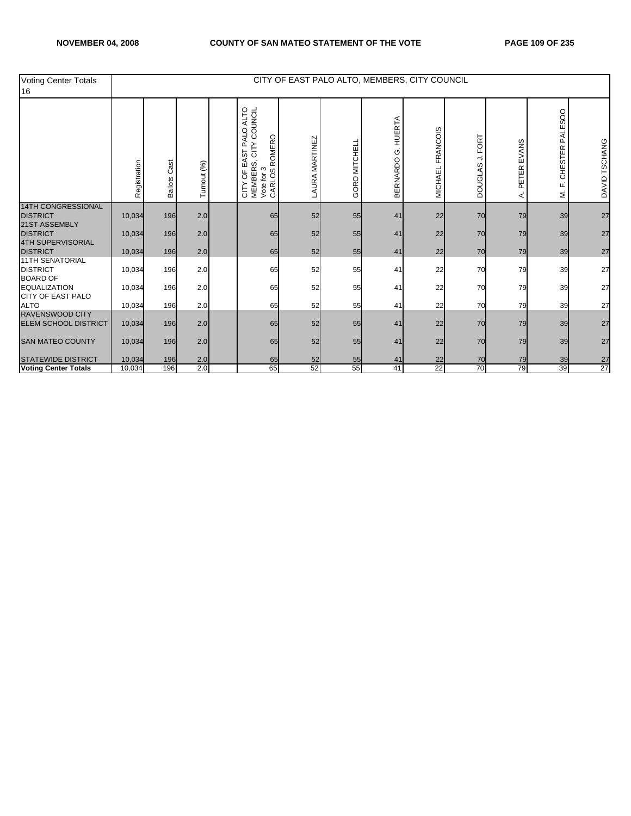| <b>Voting Center Totals</b><br>16                                   |              |                        |             |                                                                                                                 | CITY OF EAST PALO ALTO, MEMBERS, CITY COUNCIL |               |                                |                            |                                    |                     |                                     |                 |
|---------------------------------------------------------------------|--------------|------------------------|-------------|-----------------------------------------------------------------------------------------------------------------|-----------------------------------------------|---------------|--------------------------------|----------------------------|------------------------------------|---------------------|-------------------------------------|-----------------|
|                                                                     | Registration | Cast<br><b>Ballots</b> | Turnout (%) | ALTO<br>COUNCIL<br>QTK<br>ROMERO<br>≏<br>등<br>EAST<br>w<br><b>MEMBER</b><br>Vote for 3<br>CARLOS F<br>p<br>CITY | <b>LAURA MARTINEZ</b>                         | GORO MITCHELL | HUERTA<br>Ö<br><b>BERNARDO</b> | FRANCOIS<br><b>MICHAEL</b> | <b>FORT</b><br>⇒<br><b>DOUGLAS</b> | EVANS<br>PETER<br>⋖ | <b>PALESOO</b><br>CHESTER<br>Щ<br>Σ | DAVID TSCHANG   |
| <b>14TH CONGRESSIONAL</b><br><b>DISTRICT</b>                        | 10,034       | 196                    | 2.0         | 65                                                                                                              | 52                                            | 55            | 41                             | 22                         | 70                                 | 79                  | 39                                  | 27              |
| <b>21ST ASSEMBLY</b><br><b>DISTRICT</b><br><b>4TH SUPERVISORIAL</b> | 10,034       | 196                    | 2.0         | 65                                                                                                              | 52                                            | 55            | 41                             | 22                         | 70                                 | 79                  | 39                                  | 27              |
| <b>DISTRICT</b>                                                     | 10,034       | 196                    | 2.0         | 65                                                                                                              | 52                                            | 55            | 41                             | 22                         | 70                                 | 79                  | 39                                  | 27              |
| <b>11TH SENATORIAL</b><br><b>DISTRICT</b><br><b>BOARD OF</b>        | 10,034       | 196                    | 2.0         | 65                                                                                                              | 52                                            | 55            | 41                             | 22                         | 70                                 | 79                  | 39                                  | 27              |
| <b>EQUALIZATION</b><br><b>CITY OF EAST PALO</b>                     | 10,034       | 196                    | 2.0         | 65                                                                                                              | 52                                            | 55            | 41                             | 22                         | 70                                 | 79                  | 39                                  | 27              |
| <b>ALTO</b>                                                         | 10,034       | 196                    | 2.0         | 65                                                                                                              | 52                                            | 55            | 41                             | 22                         | 70                                 | 79                  | 39                                  | 27              |
| <b>RAVENSWOOD CITY</b><br><b>ELEM SCHOOL DISTRICT</b>               | 10,034       | 196                    | 2.0         | 65                                                                                                              | 52                                            | 55            | 41                             | 22                         | 70                                 | 79                  | 39                                  | 27              |
| <b>SAN MATEO COUNTY</b>                                             | 10,034       | 196                    | 2.0         | 65                                                                                                              | 52                                            | 55            | 41                             | 22                         | 70                                 | 79                  | 39                                  | 27              |
| <b>STATEWIDE DISTRICT</b>                                           | 10,034       | 196                    | 2.0         | 65                                                                                                              | 52                                            | 55            | 41                             | 22                         | 70                                 | 79                  | 39                                  | $\frac{27}{27}$ |
| <b>Voting Center Totals</b>                                         | 10,034       | 196                    | 2.0         | 65                                                                                                              | 52                                            | 55            | 41                             | 22                         | 70                                 | 79                  | 39                                  |                 |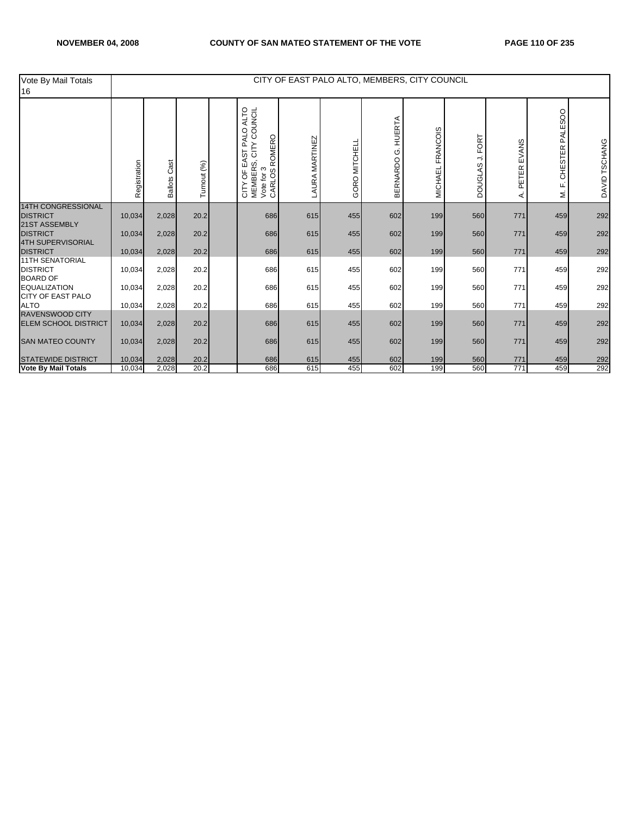| Vote By Mail Totals<br>16                                    |              |                        |             |                                                                                                                                 |                |               |                                | CITY OF EAST PALO ALTO, MEMBERS, CITY COUNCIL |                                                           |                     |                              |               |
|--------------------------------------------------------------|--------------|------------------------|-------------|---------------------------------------------------------------------------------------------------------------------------------|----------------|---------------|--------------------------------|-----------------------------------------------|-----------------------------------------------------------|---------------------|------------------------------|---------------|
|                                                              | Registration | Cast<br><b>Ballots</b> | Turnout (%) | COUNCIL<br>ALTO<br><b>ALO</b><br>ROMERO<br>Δ.<br>7E<br>ST<br>EAST<br>w<br><b>MEMBER:</b><br>Vote for 3<br>CARLOS I<br>p<br>CITY | LAURA MARTINEZ | GORO MITCHELL | <b>HUERTA</b><br>Ġ<br>BERNARDO | FRANCOIS<br>MICHAEL                           | <b>FORT</b><br>$\overline{\phantom{a}}$<br><b>DOUGLAS</b> | EVANS<br>PETER<br>⋖ | PALESOO<br>CHESTER<br>щ<br>ż | DAVID TSCHANG |
| <b>14TH CONGRESSIONAL</b><br><b>DISTRICT</b>                 | 10,034       | 2,028                  | 20.2        | 686                                                                                                                             | 615            | 455           | 602                            | 199                                           | 560                                                       | 771                 | 459                          | 292           |
| 21ST ASSEMBLY<br><b>DISTRICT</b><br><b>4TH SUPERVISORIAL</b> | 10,034       | 2,028                  | 20.2        | 686                                                                                                                             | 615            | 455           | 602                            | 199                                           | 560                                                       | 771                 | 459                          | 292           |
| <b>DISTRICT</b>                                              | 10,034       | 2,028                  | 20.2        | 686                                                                                                                             | 615            | 455           | 602                            | 199                                           | 560                                                       | 771                 | 459                          | 292           |
| <b>11TH SENATORIAL</b><br><b>DISTRICT</b><br><b>BOARD OF</b> | 10,034       | 2,028                  | 20.2        | 686                                                                                                                             | 615            | 455           | 602                            | 199                                           | 560                                                       | 771                 | 459                          | 292           |
| <b>EQUALIZATION</b>                                          | 10,034       | 2,028                  | 20.2        | 686                                                                                                                             | 615            | 455           | 602                            | 199                                           | 560                                                       | 771                 | 459                          | 292           |
| <b>CITY OF EAST PALO</b><br><b>ALTO</b>                      | 10,034       | 2,028                  | 20.2        | 686                                                                                                                             | 615            | 455           | 602                            | 199                                           | 560                                                       | 771                 | 459                          | 292           |
| <b>RAVENSWOOD CITY</b><br><b>ELEM SCHOOL DISTRICT</b>        | 10,034       | 2,028                  | 20.2        | 686                                                                                                                             | 615            | 455           | 602                            | 199                                           | 560                                                       | 771                 | 459                          | 292           |
| <b>SAN MATEO COUNTY</b>                                      | 10,034       | 2,028                  | 20.2        | 686                                                                                                                             | 615            | 455           | 602                            | 199                                           | 560                                                       | 771                 | 459                          | 292           |
| <b>STATEWIDE DISTRICT</b>                                    | 10,034       | 2,028                  | 20.2        | 686                                                                                                                             | 615            | 455           | 602                            | 199                                           | 560                                                       | 771                 | 459                          | 292           |
| <b>Vote By Mail Totals</b>                                   | 10,034       | 2,028                  | 20.2        | 686                                                                                                                             | 615            | 455           | 602                            | 199                                           | 560                                                       | 771                 | 459                          | 292           |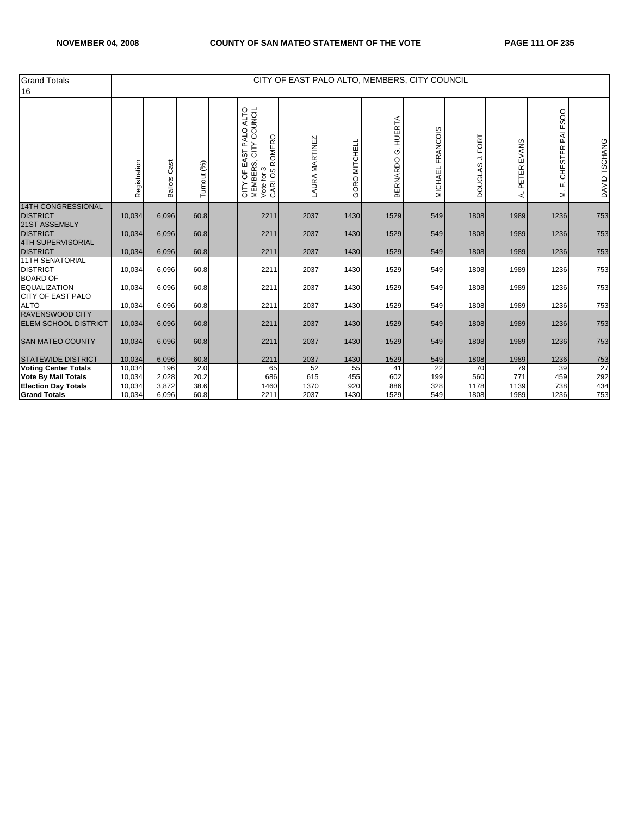| <b>Grand Totals</b><br>16                                    |              |                        |             |                                                                                                            |                |               |                          | CITY OF EAST PALO ALTO, MEMBERS, CITY COUNCIL |                                                    |                     |                                             |               |
|--------------------------------------------------------------|--------------|------------------------|-------------|------------------------------------------------------------------------------------------------------------|----------------|---------------|--------------------------|-----------------------------------------------|----------------------------------------------------|---------------------|---------------------------------------------|---------------|
|                                                              | Registration | Cast<br><b>Ballots</b> | Turnout (%) | ALTO<br>COUNCIL<br>PALO<br>ROMERO<br>7H<br>D<br>EAST<br>ωĵ<br>MEMBERS<br>Vote for 3<br>CARLOS<br>p<br>CITY | LAURA MARTINEZ | GORO MITCHELL | HUERTA<br>Οj<br>BERNARDO | MICHAEL FRANCOIS                              | FORT<br>$\overline{\phantom{a}}$<br><b>DOUGLAS</b> | EVANS<br>PETER<br>⋖ | <b>PALESOO</b><br><b>CHESTER</b><br>ட்<br>Σ | DAVID TSCHANG |
| <b>14TH CONGRESSIONAL</b><br><b>DISTRICT</b>                 | 10,034       | 6,096                  | 60.8        | 2211                                                                                                       | 2037           | 1430          | 1529                     | 549                                           | 1808                                               | 1989                | 1236                                        | 753           |
| 21ST ASSEMBLY<br><b>DISTRICT</b><br><b>4TH SUPERVISORIAL</b> | 10,034       | 6,096                  | 60.8        | 2211                                                                                                       | 2037           | 1430          | 1529                     | 549                                           | 1808                                               | 1989                | 1236                                        | 753           |
| <b>DISTRICT</b><br><b>11TH SENATORIAL</b>                    | 10,034       | 6,096                  | 60.8        | 2211                                                                                                       | 2037           | 1430          | 1529                     | 549                                           | 1808                                               | 1989                | 1236                                        | 753           |
| <b>DISTRICT</b><br><b>BOARD OF</b>                           | 10,034       | 6,096                  | 60.8        | 2211                                                                                                       | 2037           | 1430          | 1529                     | 549                                           | 1808                                               | 1989                | 1236                                        | 753           |
| <b>EQUALIZATION</b><br><b>CITY OF EAST PALO</b>              | 10,034       | 6,096                  | 60.8        | 2211                                                                                                       | 2037           | 1430          | 1529                     | 549                                           | 1808                                               | 1989                | 1236                                        | 753           |
| <b>ALTO</b>                                                  | 10,034       | 6,096                  | 60.8        | 2211                                                                                                       | 2037           | 1430          | 1529                     | 549                                           | 1808                                               | 1989                | 1236                                        | 753           |
| <b>RAVENSWOOD CITY</b><br><b>ELEM SCHOOL DISTRICT</b>        | 10,034       | 6,096                  | 60.8        | 2211                                                                                                       | 2037           | 1430          | 1529                     | 549                                           | 1808                                               | 1989                | 1236                                        | 753           |
| <b>SAN MATEO COUNTY</b>                                      | 10,034       | 6,096                  | 60.8        | 2211                                                                                                       | 2037           | 1430          | 1529                     | 549                                           | 1808                                               | 1989                | 1236                                        | 753           |
| <b>STATEWIDE DISTRICT</b>                                    | 10,034       | 6,096                  | 60.8        | 2211                                                                                                       | 2037           | 1430          | 1529                     | 549                                           | 1808                                               | 1989                | 1236                                        | 753           |
| <b>Voting Center Totals</b>                                  | 10,034       | 196                    | 2.0         | 65                                                                                                         | 52             | 55            | 41                       | 22                                            | 70                                                 | 79                  | 39                                          | 27            |
| <b>Vote By Mail Totals</b>                                   | 10,034       | 2,028                  | 20.2        | 686                                                                                                        | 615            | 455           | 602                      | 199                                           | 560                                                | 771                 | 459                                         | 292           |
| <b>Election Day Totals</b>                                   | 10,034       | 3,872                  | 38.6        | 1460                                                                                                       | 1370           | 920           | 886                      | 328                                           | 1178                                               | 1139                | 738                                         | 434           |
| <b>Grand Totals</b>                                          | 10.034       | 6.096                  | 60.8        | 2211                                                                                                       | 2037           | 1430          | 1529                     | 549                                           | 1808                                               | 1989                | 1236                                        | 753           |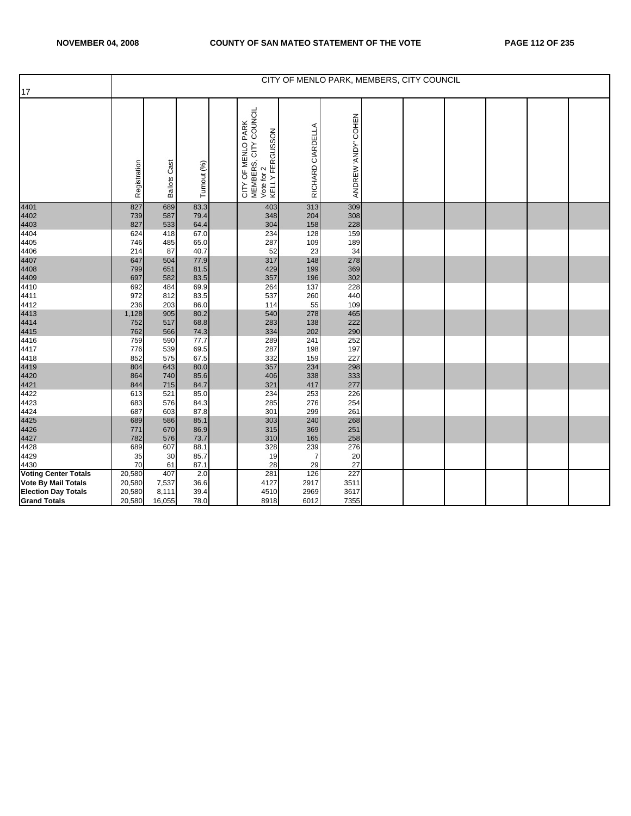|                             |              |                     |              |                                                                              |                   |                     | CITY OF MENLO PARK, MEMBERS, CITY COUNCIL |  |  |
|-----------------------------|--------------|---------------------|--------------|------------------------------------------------------------------------------|-------------------|---------------------|-------------------------------------------|--|--|
| 17                          |              |                     |              |                                                                              |                   |                     |                                           |  |  |
|                             | Registration | <b>Ballots Cast</b> | Turnout (%)  | CITY OF MENLO PARK<br>MEMBERS, CITY COUNCIL<br>Vote for 2<br>KELLY FERGUSSON | RICHARD CIARDELLA | ANDREW 'ANDY' COHEN |                                           |  |  |
| 4401                        | 827          | 689                 | 83.3         | 403                                                                          | 313               | 309                 |                                           |  |  |
| 4402<br>4403                | 739<br>827   | 587<br>533          | 79.4<br>64.4 | 348<br>304                                                                   | 204<br>158        | 308<br>228          |                                           |  |  |
| 4404                        | 624          | 418                 | 67.0         | 234                                                                          | 128               | 159                 |                                           |  |  |
| 4405                        | 746          | 485                 | 65.0         | 287                                                                          | 109               | 189                 |                                           |  |  |
| 4406                        | 214          | 87                  | 40.7         | 52                                                                           | 23                | 34                  |                                           |  |  |
| 4407                        | 647          | 504                 | 77.9         | 317                                                                          | 148               | 278                 |                                           |  |  |
| 4408                        | 799          | 651                 | 81.5         | 429                                                                          | 199               | 369                 |                                           |  |  |
| 4409                        | 697          | 582                 | 83.5         | 357                                                                          | 196               | 302                 |                                           |  |  |
| 4410<br>4411                | 692<br>972   | 484<br>812          | 69.9<br>83.5 | 264<br>537                                                                   | 137<br>260        | 228<br>440          |                                           |  |  |
| 4412                        | 236          | 203                 | 86.0         | 114                                                                          | 55                | 109                 |                                           |  |  |
| 4413                        | 1,128        | 905                 | 80.2         | 540                                                                          | 278               | 465                 |                                           |  |  |
| 4414                        | 752          | 517                 | 68.8         | 283                                                                          | 138               | 222                 |                                           |  |  |
| 4415                        | 762          | 566                 | 74.3         | 334                                                                          | 202               | 290                 |                                           |  |  |
| 4416                        | 759          | 590                 | 77.7         | 289                                                                          | 241               | 252                 |                                           |  |  |
| 4417                        | 776          | 539                 | 69.5         | 287                                                                          | 198               | 197                 |                                           |  |  |
| 4418                        | 852          | 575                 | 67.5         | 332                                                                          | 159               | 227                 |                                           |  |  |
| 4419                        | 804          | 643                 | 80.0         | 357                                                                          | 234               | 298                 |                                           |  |  |
| 4420                        | 864          | 740                 | 85.6         | 406                                                                          | 338               | 333                 |                                           |  |  |
| 4421                        | 844          | 715                 | 84.7         | 321                                                                          | 417               | 277                 |                                           |  |  |
| 4422<br>4423                | 613<br>683   | 521<br>576          | 85.0<br>84.3 | 234<br>285                                                                   | 253<br>276        | 226<br>254          |                                           |  |  |
| 4424                        | 687          | 603                 | 87.8         | 301                                                                          | 299               | 261                 |                                           |  |  |
| 4425                        | 689          | 586                 | 85.1         | 303                                                                          | 240               | 268                 |                                           |  |  |
| 4426                        | 771          | 670                 | 86.9         | 315                                                                          | 369               | 251                 |                                           |  |  |
| 4427                        | 782          | 576                 | 73.7         | 310                                                                          | 165               | 258                 |                                           |  |  |
| 4428                        | 689          | 607                 | 88.1         | 328                                                                          | 239               | 276                 |                                           |  |  |
| 4429                        | 35           | 30                  | 85.7         | 19                                                                           | $\overline{7}$    | 20                  |                                           |  |  |
| 4430                        | 70           | 61                  | 87.1         | 28                                                                           | 29                | 27                  |                                           |  |  |
| <b>Voting Center Totals</b> | 20,580       | 407                 | 2.0          | 281                                                                          | 126               | 227                 |                                           |  |  |
| <b>Vote By Mail Totals</b>  | 20,580       | 7,537               | 36.6         | 4127                                                                         | 2917              | 3511                |                                           |  |  |
| <b>Election Day Totals</b>  | 20,580       | 8,111               | 39.4         | 4510                                                                         | 2969              | 3617                |                                           |  |  |
| <b>Grand Totals</b>         | 20,580       | 16,055              | 78.0         | 8918                                                                         | 6012              | 7355                |                                           |  |  |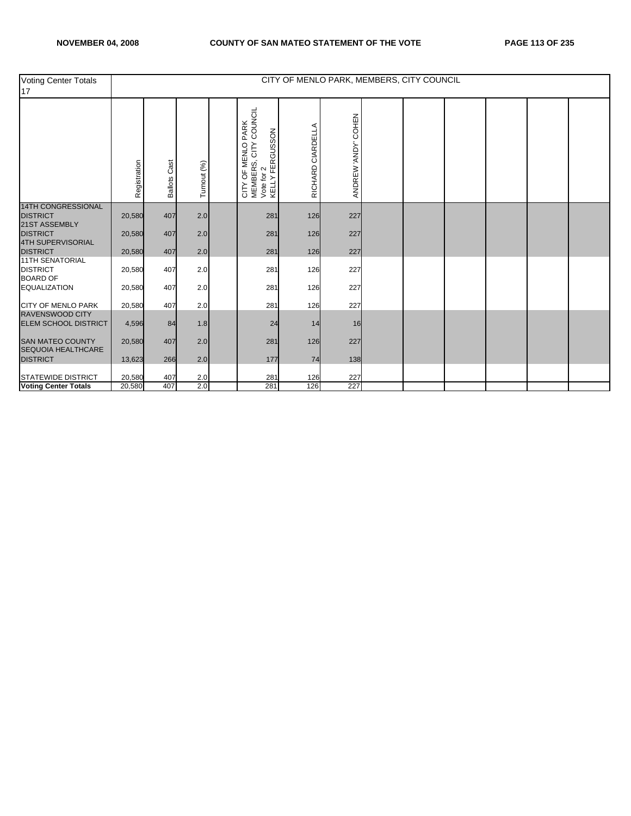| Voting Center Totals<br>17                            |              |                        |             |                                                                              | CITY OF MENLO PARK, MEMBERS, CITY COUNCIL |                     |  |  |  |
|-------------------------------------------------------|--------------|------------------------|-------------|------------------------------------------------------------------------------|-------------------------------------------|---------------------|--|--|--|
|                                                       | Registration | Cast<br><b>Ballots</b> | Turnout (%) | CITY OF MENLO PARK<br>MEMBERS, CITY COUNCIL<br>Vote for 2<br>KELLY FERGUSSON | RICHARD CIARDELLA                         | ANDREW 'ANDY' COHEN |  |  |  |
| <b>14TH CONGRESSIONAL</b><br><b>DISTRICT</b>          | 20,580       | 407                    | 2.0         | 281                                                                          | 126                                       | 227                 |  |  |  |
| 21ST ASSEMBLY                                         |              |                        |             |                                                                              |                                           |                     |  |  |  |
| <b>DISTRICT</b>                                       | 20,580       | 407                    | 2.0         | 281                                                                          | 126                                       | 227                 |  |  |  |
| 4TH SUPERVISORIAL<br><b>DISTRICT</b>                  | 20,580       | 407                    | 2.0         | 281                                                                          | 126                                       | 227                 |  |  |  |
| <b>11TH SENATORIAL</b>                                |              |                        |             |                                                                              |                                           |                     |  |  |  |
| <b>DISTRICT</b><br><b>BOARD OF</b>                    | 20,580       | 407                    | 2.0         | 281                                                                          | 126                                       | 227                 |  |  |  |
| <b>EQUALIZATION</b>                                   | 20,580       | 407                    | 2.0         | 281                                                                          | 126                                       | 227                 |  |  |  |
| <b>CITY OF MENLO PARK</b>                             | 20,580       | 407                    | 2.0         | 281                                                                          | 126                                       | 227                 |  |  |  |
| <b>RAVENSWOOD CITY</b><br><b>ELEM SCHOOL DISTRICT</b> | 4,596        | 84                     | 1.8         | 24                                                                           | 14                                        | 16                  |  |  |  |
|                                                       |              |                        |             |                                                                              |                                           |                     |  |  |  |
| <b>SAN MATEO COUNTY</b><br><b>SEQUOIA HEALTHCARE</b>  | 20,580       | 407                    | 2.0         | 281                                                                          | 126                                       | 227                 |  |  |  |
| <b>DISTRICT</b>                                       | 13,623       | 266                    | 2.0         | 177                                                                          | 74                                        | 138                 |  |  |  |
| <b>STATEWIDE DISTRICT</b>                             | 20,580       | 407                    | 2.0         | 281                                                                          | 126                                       | 227                 |  |  |  |
| <b>Voting Center Totals</b>                           | 20,580       | 407                    | 2.0         | 281                                                                          | 126                                       | 227                 |  |  |  |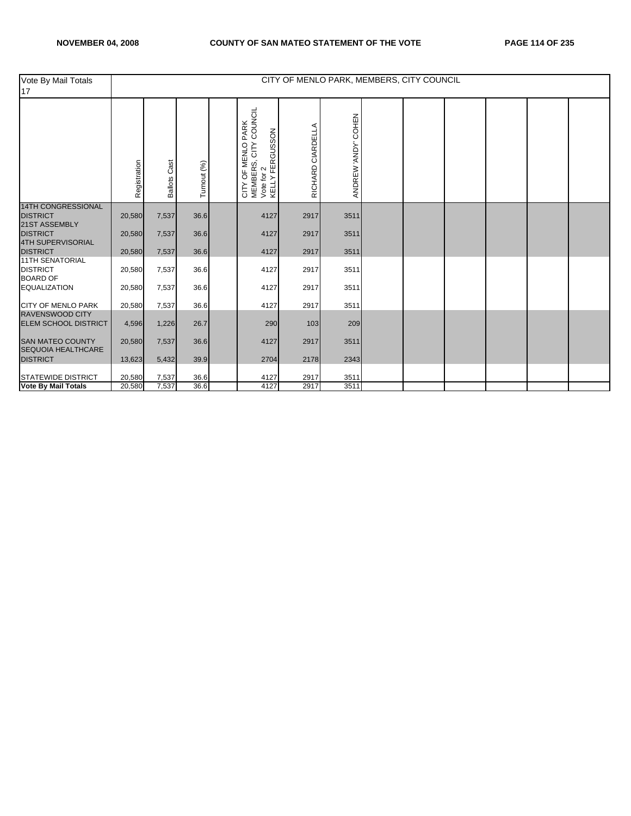| Vote By Mail Totals<br>17                            |              |                        |             |                                                                              |                   |                     | CITY OF MENLO PARK, MEMBERS, CITY COUNCIL |  |  |
|------------------------------------------------------|--------------|------------------------|-------------|------------------------------------------------------------------------------|-------------------|---------------------|-------------------------------------------|--|--|
|                                                      | Registration | Cast<br><b>Ballots</b> | Turnout (%) | CITY OF MENLO PARK<br>MEMBERS, CITY COUNCIL<br>Vote for 2<br>KELLY FERGUSSON | RICHARD CIARDELLA | ANDREW 'ANDY' COHEN |                                           |  |  |
| <b>14TH CONGRESSIONAL</b><br><b>DISTRICT</b>         | 20,580       | 7,537                  | 36.6        | 4127                                                                         | 2917              | 3511                |                                           |  |  |
| 21ST ASSEMBLY                                        |              |                        |             |                                                                              |                   |                     |                                           |  |  |
| <b>DISTRICT</b>                                      | 20,580       | 7,537                  | 36.6        | 4127                                                                         | 2917              | 3511                |                                           |  |  |
| 4TH SUPERVISORIAL<br><b>DISTRICT</b>                 | 20,580       | 7,537                  | 36.6        | 4127                                                                         | 2917              | 3511                |                                           |  |  |
| <b>11TH SENATORIAL</b>                               |              |                        |             |                                                                              |                   |                     |                                           |  |  |
| <b>DISTRICT</b><br><b>BOARD OF</b>                   | 20,580       | 7,537                  | 36.6        | 4127                                                                         | 2917              | 3511                |                                           |  |  |
| <b>EQUALIZATION</b>                                  | 20,580       | 7,537                  | 36.6        | 4127                                                                         | 2917              | 3511                |                                           |  |  |
| <b>CITY OF MENLO PARK</b>                            | 20,580       | 7,537                  | 36.6        | 4127                                                                         | 2917              | 3511                |                                           |  |  |
| <b>RAVENSWOOD CITY</b>                               |              |                        |             |                                                                              |                   |                     |                                           |  |  |
| <b>ELEM SCHOOL DISTRICT</b>                          | 4,596        | 1,226                  | 26.7        | 290                                                                          | 103               | 209                 |                                           |  |  |
| <b>SAN MATEO COUNTY</b><br><b>SEQUOIA HEALTHCARE</b> | 20,580       | 7,537                  | 36.6        | 4127                                                                         | 2917              | 3511                |                                           |  |  |
| <b>DISTRICT</b>                                      | 13,623       | 5,432                  | 39.9        | 2704                                                                         | 2178              | 2343                |                                           |  |  |
| <b>STATEWIDE DISTRICT</b>                            | 20,580       | 7,537                  | 36.6        | 4127                                                                         | 2917              | 3511                |                                           |  |  |
| <b>Vote By Mail Totals</b>                           | 20,580       | 7,537                  | 36.6        | 4127                                                                         | 2917              | 3511                |                                           |  |  |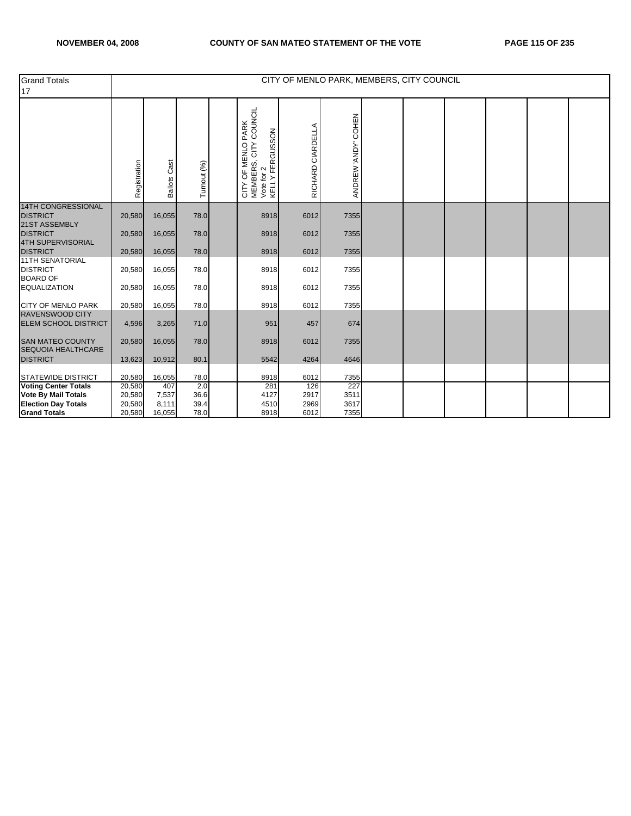| <b>Grand Totals</b><br>17                                     |              |                        |             |                                                                                                                  | CITY OF MENLO PARK, MEMBERS, CITY COUNCIL |                     |  |  |  |
|---------------------------------------------------------------|--------------|------------------------|-------------|------------------------------------------------------------------------------------------------------------------|-------------------------------------------|---------------------|--|--|--|
|                                                               | Registration | Cast<br><b>Ballots</b> | Turnout (%) | COUNCIL<br>OF MENLO PARK<br>CITY OF MENLO PAR <del>I</del><br>MEMBERS, CITY COU<br>Vote for 2<br>KELLY FERGUSSON | RICHARD CIARDELLA                         | ANDREW 'ANDY' COHEN |  |  |  |
| <b>14TH CONGRESSIONAL</b><br><b>DISTRICT</b><br>21ST ASSEMBLY | 20,580       | 16,055                 | 78.0        | 8918                                                                                                             | 6012                                      | 7355                |  |  |  |
| <b>DISTRICT</b><br><b>4TH SUPERVISORIAL</b>                   | 20,580       | 16,055                 | 78.0        | 8918                                                                                                             | 6012                                      | 7355                |  |  |  |
| <b>DISTRICT</b><br><b>11TH SENATORIAL</b>                     | 20,580       | 16,055                 | 78.0        | 8918                                                                                                             | 6012                                      | 7355                |  |  |  |
| <b>DISTRICT</b><br><b>BOARD OF</b>                            | 20,580       | 16,055                 | 78.0        | 8918                                                                                                             | 6012                                      | 7355                |  |  |  |
| <b>EQUALIZATION</b>                                           | 20,580       | 16,055                 | 78.0        | 8918                                                                                                             | 6012                                      | 7355                |  |  |  |
| <b>CITY OF MENLO PARK</b><br><b>RAVENSWOOD CITY</b>           | 20,580       | 16,055                 | 78.0        | 8918                                                                                                             | 6012                                      | 7355                |  |  |  |
| <b>ELEM SCHOOL DISTRICT</b>                                   | 4,596        | 3,265                  | 71.0        | 951                                                                                                              | 457                                       | 674                 |  |  |  |
| <b>SAN MATEO COUNTY</b><br>SEQUOIA HEALTHCARE                 | 20,580       | 16,055                 | 78.0        | 8918                                                                                                             | 6012                                      | 7355                |  |  |  |
| <b>DISTRICT</b>                                               | 13,623       | 10,912                 | 80.1        | 5542                                                                                                             | 4264                                      | 4646                |  |  |  |
| <b>STATEWIDE DISTRICT</b>                                     | 20,580       | 16,055                 | 78.0        | 8918                                                                                                             | 6012                                      | 7355                |  |  |  |
| Voting Center Totals                                          | 20,580       | 407                    | 2.0         | 281                                                                                                              | 126                                       | 227                 |  |  |  |
| <b>Vote By Mail Totals</b>                                    | 20,580       | 7,537                  | 36.6        | 4127                                                                                                             | 2917                                      | 3511                |  |  |  |
| <b>Election Day Totals</b>                                    | 20,580       | 8,111                  | 39.4        | 4510                                                                                                             | 2969                                      | 3617                |  |  |  |
| <b>Grand Totals</b>                                           | 20,580       | 16,055                 | 78.0        | 8918                                                                                                             | 6012                                      | 7355                |  |  |  |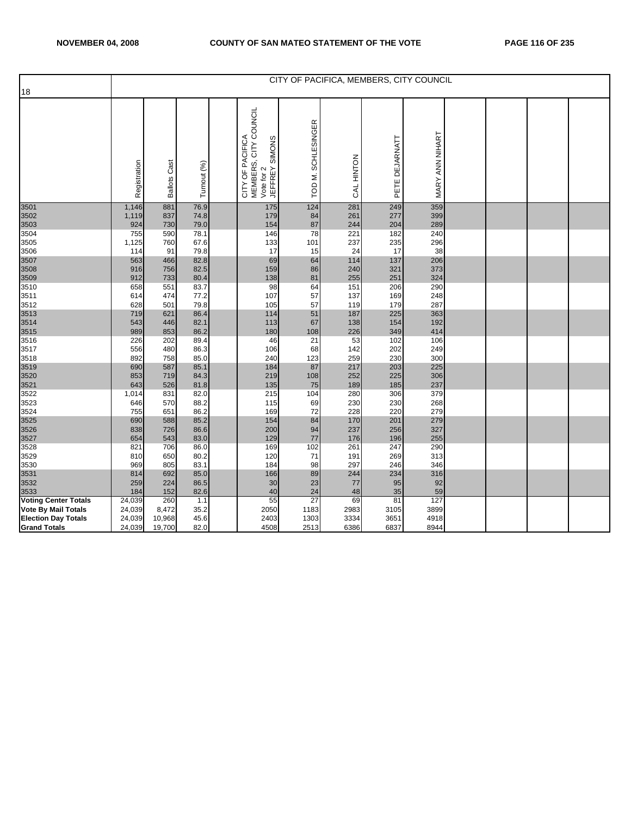| 18                                                                              |                            |                           |                              |                                                                                      |                              |                         |                          | CITY OF PACIFICA, MEMBERS, CITY COUNCIL |  |  |
|---------------------------------------------------------------------------------|----------------------------|---------------------------|------------------------------|--------------------------------------------------------------------------------------|------------------------------|-------------------------|--------------------------|-----------------------------------------|--|--|
|                                                                                 | Registration               | <b>Ballots Cast</b>       | Turnout (%)                  | CITY COUNCIL<br>CITY OF PACIFICA<br>MEMBERS, CITY CC<br>Vote for 2<br>JEFFREY SIMONS | <b>SCHLESINGER</b><br>TOD M. | CAL HINTON              | PETE DEJARNATT           | MARY ANN NIHART                         |  |  |
| 3501<br>3502<br>3503                                                            | 1,146<br>1,119<br>924      | 881<br>837<br>730         | 76.9<br>74.8<br>79.0         | 175<br>179<br>154                                                                    | 124<br>84<br>87              | 281<br>261<br>244       | 249<br>277<br>204        | 359<br>399<br>289                       |  |  |
| 3504<br>3505<br>3506                                                            | 755<br>1,125<br>114        | 590<br>760<br>91          | 78.1<br>67.6<br>79.8         | 146<br>133<br>17                                                                     | 78<br>101<br>15              | 221<br>237<br>24        | 182<br>235<br>17         | 240<br>296<br>38                        |  |  |
| 3507<br>3508<br>3509                                                            | 563<br>916<br>912          | 466<br>756<br>733         | 82.8<br>82.5<br>80.4         | 69<br>159<br>138                                                                     | 64<br>86<br>81               | 114<br>240<br>255       | 137<br>321<br>251        | 206<br>373<br>324                       |  |  |
| 3510<br>3511<br>3512                                                            | 658<br>614<br>628          | 551<br>474<br>501         | 83.7<br>77.2<br>79.8         | 98<br>107<br>105                                                                     | 64<br>57<br>57               | 151<br>137<br>119       | 206<br>169<br>179        | 290<br>248<br>287                       |  |  |
| 3513<br>3514<br>3515<br>3516                                                    | 719<br>543<br>989<br>226   | 621<br>446<br>853<br>202  | 86.4<br>82.1<br>86.2<br>89.4 | 114<br>113<br>180<br>46                                                              | 51<br>67<br>108<br>21        | 187<br>138<br>226<br>53 | 225<br>154<br>349<br>102 | 363<br>192<br>414<br>106                |  |  |
| 3517<br>3518<br>3519                                                            | 556<br>892<br>690          | 480<br>758<br>587         | 86.3<br>85.0<br>85.1         | 106<br>240<br>184                                                                    | 68<br>123<br>87              | 142<br>259<br>217       | 202<br>230<br>203        | 249<br>300<br>225                       |  |  |
| 3520<br>3521<br>3522                                                            | 853<br>643<br>1,014        | 719<br>526<br>831         | 84.3<br>81.8<br>82.0         | 219<br>135<br>215                                                                    | 108<br>75<br>104             | 252<br>189<br>280       | 225<br>185<br>306        | 306<br>237<br>379                       |  |  |
| 3523<br>3524<br>3525                                                            | 646<br>755<br>690          | 570<br>651<br>588         | 88.2<br>86.2<br>85.2         | 115<br>169<br>154                                                                    | 69<br>72<br>84               | 230<br>228<br>170       | 230<br>220<br>201        | 268<br>279<br>279                       |  |  |
| 3526<br>3527<br>3528                                                            | 838<br>654<br>821          | 726<br>543<br>706         | 86.6<br>83.0<br>86.0         | 200<br>129<br>169                                                                    | 94<br>77<br>102              | 237<br>176<br>261       | 256<br>196<br>247        | 327<br>255<br>290                       |  |  |
| 3529<br>3530<br>3531                                                            | 810<br>969<br>814          | 650<br>805<br>692         | 80.2<br>83.1<br>85.0         | 120<br>184<br>166                                                                    | 71<br>98<br>89               | 191<br>297<br>244       | 269<br>246<br>234        | 313<br>346<br>316                       |  |  |
| 3532<br>3533<br><b>Voting Center Totals</b>                                     | 259<br>184<br>24,039       | 224<br>152<br>260         | 86.5<br>82.6<br>1.1          | 30<br>40<br>55                                                                       | 23<br>24<br>27               | 77<br>48<br>69          | 95<br>35<br>81           | 92<br>59<br>127                         |  |  |
| <b>Vote By Mail Totals</b><br><b>Election Day Totals</b><br><b>Grand Totals</b> | 24,039<br>24,039<br>24,039 | 8,472<br>10,968<br>19,700 | 35.2<br>45.6<br>82.0         | 2050<br>2403<br>4508                                                                 | 1183<br>1303<br>2513         | 2983<br>3334<br>6386    | 3105<br>3651<br>6837     | 3899<br>4918<br>8944                    |  |  |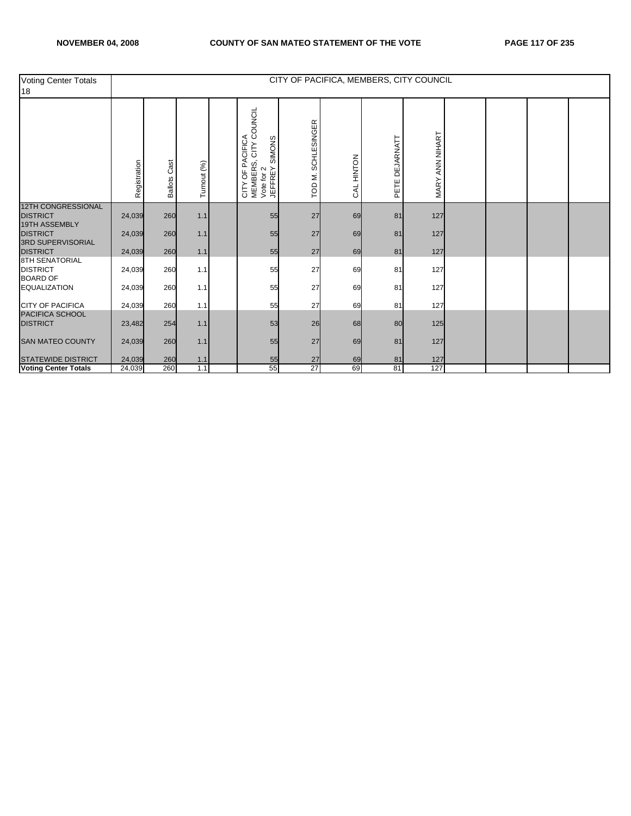| Voting Center Totals<br>18                                  |              |                        |             |                                                                                                       |                              |            |                   | CITY OF PACIFICA, MEMBERS, CITY COUNCIL |  |  |
|-------------------------------------------------------------|--------------|------------------------|-------------|-------------------------------------------------------------------------------------------------------|------------------------------|------------|-------------------|-----------------------------------------|--|--|
|                                                             | Registration | Cast<br><b>Ballots</b> | Turnout (%) | COUNCIL<br>OF PACIFICA<br>SIMONS<br>CITY<br>CITY OF PA(<br>MEMBERS, 0<br>Vote for 2<br><b>JEFFREY</b> | <b>SCHLESINGER</b><br>TOD M. | CAL HINTON | DEJARNATT<br>PETE | MARY ANN NIHART                         |  |  |
| <b>12TH CONGRESSIONAL</b><br><b>DISTRICT</b>                | 24,039       | 260                    | 1.1         | 55                                                                                                    | 27                           | 69         | 81                | 127                                     |  |  |
| 19TH ASSEMBLY<br><b>DISTRICT</b>                            | 24,039       | 260                    | $1.1$       | 55                                                                                                    | 27                           | 69         | 81                | 127                                     |  |  |
| <b>3RD SUPERVISORIAL</b><br><b>DISTRICT</b>                 | 24,039       | 260                    | 1.1         | 55                                                                                                    | 27                           | 69         | 81                | 127                                     |  |  |
| <b>8TH SENATORIAL</b><br><b>DISTRICT</b><br><b>BOARD OF</b> | 24,039       | 260                    | 1.1         | 55                                                                                                    | 27                           | 69         | 81                | 127                                     |  |  |
| <b>EQUALIZATION</b>                                         | 24,039       | 260                    | 1.1         | 55                                                                                                    | 27                           | 69         | 81                | 127                                     |  |  |
| <b>CITY OF PACIFICA</b>                                     | 24,039       | 260                    | 1.1         | 55                                                                                                    | 27                           | 69         | 81                | 127                                     |  |  |
| PACIFICA SCHOOL<br><b>DISTRICT</b>                          | 23,482       | 254                    | $1.1$       | 53                                                                                                    | 26                           | 68         | 80                | 125                                     |  |  |
| <b>SAN MATEO COUNTY</b>                                     | 24,039       | 260                    | $1.1$       | 55                                                                                                    | 27                           | 69         | 81                | 127                                     |  |  |
| <b>STATEWIDE DISTRICT</b>                                   | 24,039       | 260                    | 1.1         | 55                                                                                                    | 27                           | 69         | 81                | 127                                     |  |  |
| <b>Voting Center Totals</b>                                 | 24,039       | 260                    | 1.1         | 55                                                                                                    | 27                           | 69         | 81                | 127                                     |  |  |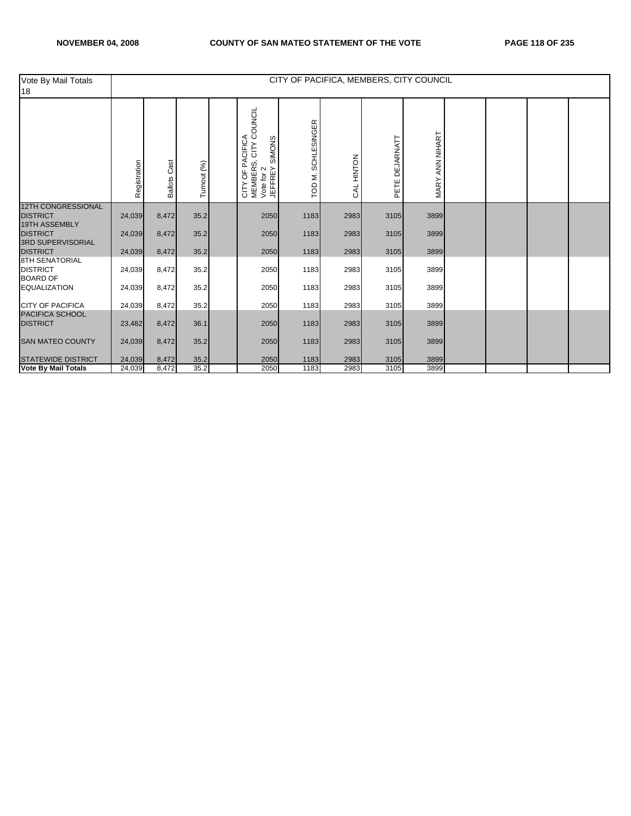| Vote By Mail Totals<br>18                                   |              |                        |             |                                                                                                                 |                       |                      | CITY OF PACIFICA, MEMBERS, CITY COUNCIL |                 |  |  |
|-------------------------------------------------------------|--------------|------------------------|-------------|-----------------------------------------------------------------------------------------------------------------|-----------------------|----------------------|-----------------------------------------|-----------------|--|--|
|                                                             | Registration | Cast<br><b>Ballots</b> | Turnout (%) | COUNCIL<br><b>PACIFICA</b><br>SIMONS<br><b>CITY</b><br>CITY OF PA<br>MEMBERS, I<br>Vote for 2<br><b>JEFFREY</b> | SCHLESINGER<br>TOD M. | NOLNIH<br><b>RAL</b> | DEJARNATT<br>PETE                       | MARY ANN NIHART |  |  |
| <b>12TH CONGRESSIONAL</b><br><b>DISTRICT</b>                | 24,039       | 8,472                  | 35.2        | 2050                                                                                                            | 1183                  | 2983                 | 3105                                    | 3899            |  |  |
| <b>19TH ASSEMBLY</b><br><b>DISTRICT</b>                     | 24,039       | 8,472                  | 35.2        | 2050                                                                                                            | 1183                  | 2983                 | 3105                                    | 3899            |  |  |
| <b>3RD SUPERVISORIAL</b><br><b>DISTRICT</b>                 | 24,039       | 8,472                  | 35.2        | 2050                                                                                                            | 1183                  | 2983                 | 3105                                    | 3899            |  |  |
| <b>8TH SENATORIAL</b><br><b>DISTRICT</b><br><b>BOARD OF</b> | 24,039       | 8,472                  | 35.2        | 2050                                                                                                            | 1183                  | 2983                 | 3105                                    | 3899            |  |  |
| <b>EQUALIZATION</b>                                         | 24,039       | 8,472                  | 35.2        | 2050                                                                                                            | 1183                  | 2983                 | 3105                                    | 3899            |  |  |
| <b>CITY OF PACIFICA</b>                                     | 24,039       | 8,472                  | 35.2        | 2050                                                                                                            | 1183                  | 2983                 | 3105                                    | 3899            |  |  |
| PACIFICA SCHOOL<br><b>DISTRICT</b>                          | 23,482       | 8,472                  | 36.1        | 2050                                                                                                            | 1183                  | 2983                 | 3105                                    | 3899            |  |  |
| <b>SAN MATEO COUNTY</b>                                     | 24,039       | 8,472                  | 35.2        | 2050                                                                                                            | 1183                  | 2983                 | 3105                                    | 3899            |  |  |
| <b>STATEWIDE DISTRICT</b>                                   | 24,039       | 8,472                  | 35.2        | 2050                                                                                                            | 1183                  | 2983                 | 3105                                    | 3899            |  |  |
| <b>Vote By Mail Totals</b>                                  | 24,039       | 8,472                  | 35.2        | 2050                                                                                                            | 1183                  | 2983                 | 3105                                    | 3899            |  |  |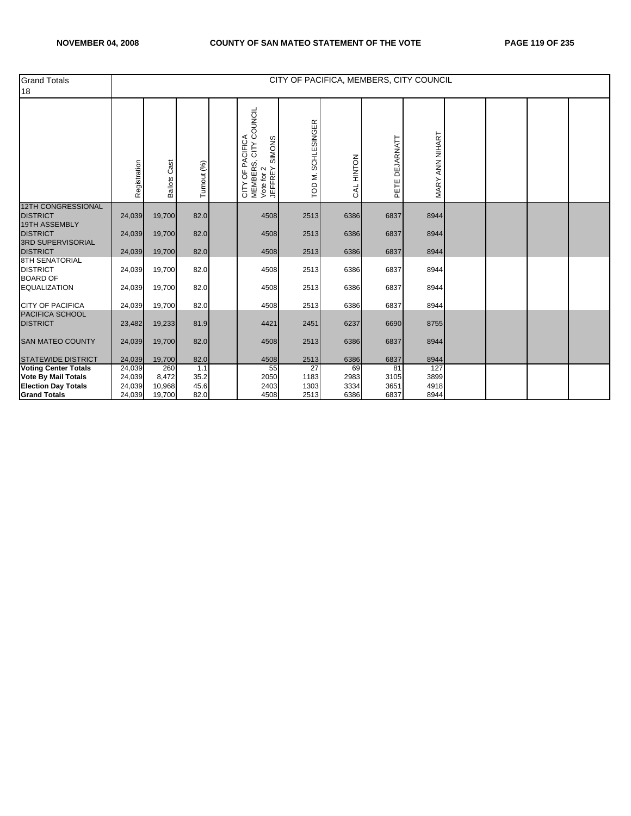| <b>Grand Totals</b><br>18                    |              |                        |             |                                                                           | CITY OF PACIFICA, MEMBERS, CITY COUNCIL |            |                   |                 |  |  |
|----------------------------------------------|--------------|------------------------|-------------|---------------------------------------------------------------------------|-----------------------------------------|------------|-------------------|-----------------|--|--|
|                                              | Registration | Cast<br><b>Ballots</b> | Turnout (%) | CITY OF PACIFICA<br>MEMBERS, CITY COUNCIL<br>Vote for 2<br>JEFFREY SIMONS | <b>SCHLESINGER</b><br>TOD M.            | CAL HINTON | DEJARNATT<br>PETE | MARY ANN NIHART |  |  |
| <b>12TH CONGRESSIONAL</b><br><b>DISTRICT</b> | 24,039       | 19,700                 | 82.0        | 4508                                                                      | 2513                                    | 6386       | 6837              | 8944            |  |  |
| <b>19TH ASSEMBLY</b>                         |              |                        |             |                                                                           |                                         |            |                   |                 |  |  |
| <b>DISTRICT</b><br>3RD SUPERVISORIAL         | 24,039       | 19,700                 | 82.0        | 4508                                                                      | 2513                                    | 6386       | 6837              | 8944            |  |  |
| <b>DISTRICT</b>                              | 24,039       | 19,700                 | 82.0        | 4508                                                                      | 2513                                    | 6386       | 6837              | 8944            |  |  |
| <b>8TH SENATORIAL</b><br><b>DISTRICT</b>     | 24,039       | 19,700                 | 82.0        | 4508                                                                      | 2513                                    | 6386       | 6837              | 8944            |  |  |
| <b>BOARD OF</b><br><b>EQUALIZATION</b>       |              |                        | 82.0        |                                                                           | 2513                                    | 6386       | 6837              | 8944            |  |  |
|                                              | 24,039       | 19,700                 |             | 4508                                                                      |                                         |            |                   |                 |  |  |
| <b>CITY OF PACIFICA</b>                      | 24,039       | 19,700                 | 82.0        | 4508                                                                      | 2513                                    | 6386       | 6837              | 8944            |  |  |
| PACIFICA SCHOOL<br><b>DISTRICT</b>           | 23,482       | 19,233                 | 81.9        | 4421                                                                      | 2451                                    | 6237       | 6690              | 8755            |  |  |
| <b>SAN MATEO COUNTY</b>                      | 24,039       | 19,700                 | 82.0        | 4508                                                                      | 2513                                    | 6386       | 6837              | 8944            |  |  |
| <b>STATEWIDE DISTRICT</b>                    | 24,039       | 19,700                 | 82.0        | 4508                                                                      | 2513                                    | 6386       | 6837              | 8944            |  |  |
| <b>Voting Center Totals</b>                  | 24,039       | 260                    | 1.1         | 55                                                                        | 27                                      | 69         | 81                | 127             |  |  |
| <b>Vote By Mail Totals</b>                   | 24,039       | 8,472                  | 35.2        | 2050                                                                      | 1183                                    | 2983       | 3105              | 3899            |  |  |
| <b>Election Day Totals</b>                   | 24,039       | 10,968                 | 45.6        | 2403                                                                      | 1303                                    | 3334       | 3651              | 4918            |  |  |
| <b>Grand Totals</b>                          | 24,039       | 19,700                 | 82.0        | 4508                                                                      | 2513                                    | 6386       | 6837              | 8944            |  |  |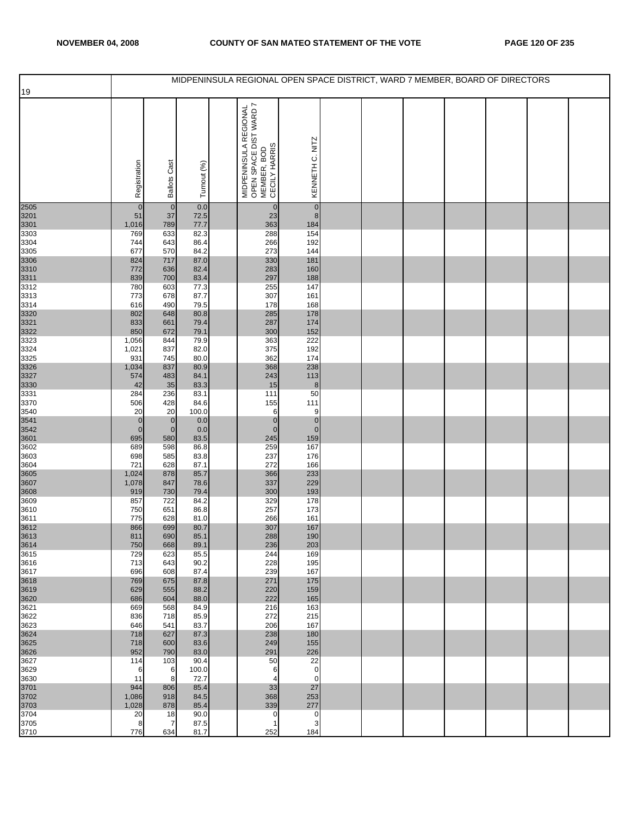|              |                           |                                  |              | MIDPENINSULA REGIONAL OPEN SPACE DISTRICT, WARD 7 MEMBER, BOARD OF DIRECTORS          |                             |  |  |  |  |
|--------------|---------------------------|----------------------------------|--------------|---------------------------------------------------------------------------------------|-----------------------------|--|--|--|--|
| 19           |                           |                                  |              |                                                                                       |                             |  |  |  |  |
|              | Registration              | <b>Ballots Cast</b>              | Turnout (%)  | MIDPENINSULA REGIONAL<br>  OPEN SPACE DIST WARD 7<br>  MEMBER, BOD<br>  CECILY HARRIS | KENNETH C. NITZ             |  |  |  |  |
| 2505         | $\mathbf 0$               | $\overline{0}$                   | 0.0          | $\overline{0}$                                                                        | $\pmb{0}$                   |  |  |  |  |
| 3201         | 51                        | 37                               | 72.5         | 23                                                                                    | $\bf 8$                     |  |  |  |  |
| 3301<br>3303 | 1,016<br>769              | 789<br>633                       | 77.7<br>82.3 | 363<br>288                                                                            | 184<br>154                  |  |  |  |  |
| 3304         | 744                       | 643                              | 86.4         | 266                                                                                   | 192                         |  |  |  |  |
| 3305         | 677                       | 570                              | 84.2         | 273                                                                                   | 144                         |  |  |  |  |
| 3306<br>3310 | 824<br>772                | 717<br>636                       | 87.0<br>82.4 | 330<br>283                                                                            | 181<br>160                  |  |  |  |  |
| 3311         | 839                       | 700                              | 83.4         | 297                                                                                   | 188                         |  |  |  |  |
| 3312         | 780                       | 603                              | 77.3         | 255                                                                                   | 147                         |  |  |  |  |
| 3313<br>3314 | 773<br>616                | 678<br>490                       | 87.7<br>79.5 | 307<br>178                                                                            | 161<br>168                  |  |  |  |  |
| 3320         | 802                       | 648                              | 80.8         | 285                                                                                   | 178                         |  |  |  |  |
| 3321         | 833                       | 661                              | 79.4         | 287                                                                                   | 174                         |  |  |  |  |
| 3322         | 850                       | 672                              | 79.1         | 300                                                                                   | 152                         |  |  |  |  |
| 3323<br>3324 | 1,056<br>1,021            | 844<br>837                       | 79.9<br>82.0 | 363<br>375                                                                            | 222<br>192                  |  |  |  |  |
| 3325         | 931                       | 745                              | 80.0         | 362                                                                                   | 174                         |  |  |  |  |
| 3326         | 1,034                     | 837                              | 80.9         | 368                                                                                   | 238                         |  |  |  |  |
| 3327<br>3330 | 574<br>42                 | 483                              | 84.1<br>83.3 | 243<br>15                                                                             | 113<br>$\bf8$               |  |  |  |  |
| 3331         | 284                       | 35<br>236                        | 83.1         | 111                                                                                   | 50                          |  |  |  |  |
| 3370         | 506                       | 428                              | 84.6         | 155                                                                                   | 111                         |  |  |  |  |
| 3540         | 20                        | 20                               | 100.0        | 6                                                                                     | 9                           |  |  |  |  |
| 3541<br>3542 | $\pmb{0}$<br>$\mathbf{0}$ | $\overline{0}$<br>$\overline{0}$ | 0.0<br>0.0   | $\mathbf{0}$<br>$\overline{0}$                                                        | $\overline{0}$<br>$\pmb{0}$ |  |  |  |  |
| 3601         | 695                       | 580                              | 83.5         | 245                                                                                   | 159                         |  |  |  |  |
| 3602         | 689                       | 598                              | 86.8         | 259                                                                                   | 167                         |  |  |  |  |
| 3603<br>3604 | 698<br>721                | 585<br>628                       | 83.8<br>87.1 | 237<br>272                                                                            | 176<br>166                  |  |  |  |  |
| 3605         | 1,024                     | 878                              | 85.7         | 366                                                                                   | 233                         |  |  |  |  |
| 3607         | 1,078                     | 847                              | 78.6         | 337                                                                                   | 229                         |  |  |  |  |
| 3608<br>3609 | 919<br>857                | 730<br>722                       | 79.4<br>84.2 | 300<br>329                                                                            | 193<br>178                  |  |  |  |  |
| 3610         | 750                       | 651                              | 86.8         | 257                                                                                   | 173                         |  |  |  |  |
| 3611         | 775                       | 628                              | 81.0         | 266                                                                                   | 161                         |  |  |  |  |
| 3612<br>3613 | 866                       | 699<br>690                       | 80.7         | 307                                                                                   | 167<br>190                  |  |  |  |  |
| 3614         | 811<br>750                | 668                              | 85.1<br>89.1 | 288<br>236                                                                            | 203                         |  |  |  |  |
| 3615         | 729                       | 623                              | 85.5         | 244                                                                                   | 169                         |  |  |  |  |
| 3616         | 713                       | 643                              | 90.2         | 228                                                                                   | 195                         |  |  |  |  |
| 3617<br>3618 | 696<br>769                | 608<br>675                       | 87.4<br>87.8 | 239<br>271                                                                            | 167<br>175                  |  |  |  |  |
| 3619         | 629                       | 555                              | 88.2         | 220                                                                                   | 159                         |  |  |  |  |
| 3620         | 686                       | 604                              | 88.0         | 222                                                                                   | 165                         |  |  |  |  |
| 3621<br>3622 | 669<br>836                | 568<br>718                       | 84.9<br>85.9 | 216<br>272                                                                            | 163<br>215                  |  |  |  |  |
| 3623         | 646                       | 541                              | 83.7         | 206                                                                                   | 167                         |  |  |  |  |
| 3624         | 718                       | 627                              | 87.3         | 238                                                                                   | 180                         |  |  |  |  |
| 3625         | 718<br>952                | 600<br>790                       | 83.6<br>83.0 | 249<br>291                                                                            | 155<br>226                  |  |  |  |  |
| 3626<br>3627 | 114                       | 103                              | 90.4         | 50                                                                                    | 22                          |  |  |  |  |
| 3629         | 6                         | 6                                | 100.0        | 6                                                                                     | $\mathbf 0$                 |  |  |  |  |
| 3630         | 11                        | 8                                | 72.7         | $\overline{4}$                                                                        | $\mathbf 0$                 |  |  |  |  |
| 3701<br>3702 | 944<br>1,086              | 806<br>918                       | 85.4<br>84.5 | 33<br>368                                                                             | 27<br>253                   |  |  |  |  |
| 3703         | 1,028                     | 878                              | 85.4         | 339                                                                                   | 277                         |  |  |  |  |
| 3704         | 20                        | 18                               | 90.0         | $\mathbf 0$                                                                           | $\mathbf 0$                 |  |  |  |  |
| 3705<br>3710 | 8<br>776                  | $\overline{7}$<br>634            | 87.5<br>81.7 | $\mathbf{1}$<br>252                                                                   | 3<br>184                    |  |  |  |  |
|              |                           |                                  |              |                                                                                       |                             |  |  |  |  |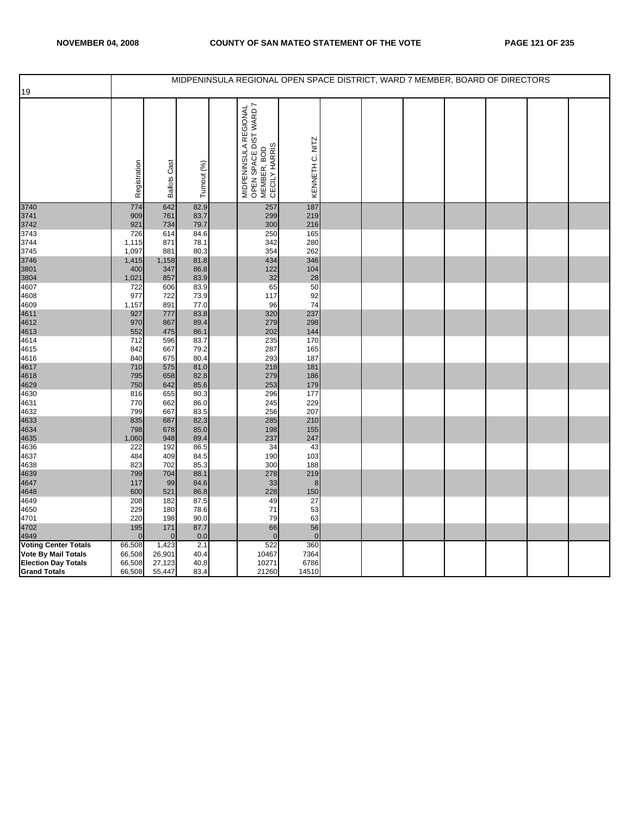|                                                   |                  |                     |              | MIDPENINSULA REGIONAL OPEN SPACE DISTRICT, WARD 7 MEMBER, BOARD OF DIRECTORS          |                 |  |  |  |  |
|---------------------------------------------------|------------------|---------------------|--------------|---------------------------------------------------------------------------------------|-----------------|--|--|--|--|
| 19                                                |                  |                     |              |                                                                                       |                 |  |  |  |  |
|                                                   |                  |                     |              |                                                                                       |                 |  |  |  |  |
|                                                   |                  |                     |              |                                                                                       |                 |  |  |  |  |
|                                                   | Registration     | <b>Ballots Cast</b> | Turnout (%)  | MIDPENINSULA REGIONAL<br>  OPEN SPACE DIST WARD 7<br>  MEMBER, BOD<br>  CECILY HARRIS | KENNETH C. NITZ |  |  |  |  |
| 3740                                              | 774              | 642                 | 82.9         | 257                                                                                   | 187             |  |  |  |  |
| 3741                                              | 909              | 761                 | 83.7         | 299                                                                                   | 219             |  |  |  |  |
| 3742                                              | 921              | 734                 | 79.7         | 300                                                                                   | 216             |  |  |  |  |
| 3743                                              | 726              | 614                 | 84.6         | 250                                                                                   | 165             |  |  |  |  |
| 3744                                              | 1,115            | 871<br>881          | 78.1<br>80.3 | 342<br>354                                                                            | 280<br>262      |  |  |  |  |
| 3745<br>3746                                      | 1,097<br>1,415   | 1,158               | 81.8         | 434                                                                                   | 346             |  |  |  |  |
| 3801                                              | 400              | 347                 | 86.8         | 122                                                                                   | 104             |  |  |  |  |
| 3804                                              | 1,021            | 857                 | 83.9         | 32                                                                                    | 28              |  |  |  |  |
| 4607                                              | 722              | 606                 | 83.9         | 65                                                                                    | 50              |  |  |  |  |
| 4608                                              | 977              | 722                 | 73.9         | 117                                                                                   | 92              |  |  |  |  |
| 4609                                              | 1,157            | 891                 | 77.0         | 96                                                                                    | 74              |  |  |  |  |
| 4611                                              | 927              | 777                 | 83.8         | 320                                                                                   | 237             |  |  |  |  |
| 4612                                              | 970              | 867                 | 89.4         | 279                                                                                   | 298             |  |  |  |  |
| 4613                                              | 552              | 475                 | 86.1         | 202                                                                                   | 144             |  |  |  |  |
| 4614                                              | 712              | 596                 | 83.7         | 235                                                                                   | 170             |  |  |  |  |
| 4615                                              | 842              | 667                 | 79.2         | 287<br>293                                                                            | 165             |  |  |  |  |
| 4616<br>4617                                      | 840<br>710       | 675<br>575          | 80.4<br>81.0 | 218                                                                                   | 187<br>181      |  |  |  |  |
| 4618                                              | 795              | 658                 | 82.8         | 279                                                                                   | 186             |  |  |  |  |
| 4629                                              | 750              | 642                 | 85.6         | 253                                                                                   | 179             |  |  |  |  |
| 4630                                              | 816              | 655                 | 80.3         | 296                                                                                   | 177             |  |  |  |  |
| 4631                                              | 770              | 662                 | 86.0         | 245                                                                                   | 229             |  |  |  |  |
| 4632                                              | 799              | 667                 | 83.5         | 256                                                                                   | 207             |  |  |  |  |
| 4633                                              | 835              | 687                 | 82.3         | 285                                                                                   | 210             |  |  |  |  |
| 4634                                              | 798              | 678                 | 85.0         | 198                                                                                   | 155             |  |  |  |  |
| 4635                                              | 1,060            | 948                 | 89.4         | 237                                                                                   | 247             |  |  |  |  |
| 4636                                              | 222              | 192                 | 86.5         | 34                                                                                    | 43              |  |  |  |  |
| 4637<br>4638                                      | 484<br>823       | 409<br>702          | 84.5<br>85.3 | 190<br>300                                                                            | 103<br>188      |  |  |  |  |
| 4639                                              | 799              | 704                 | 88.1         | 278                                                                                   | 219             |  |  |  |  |
| 4647                                              | 117              | 99                  | 84.6         | 33                                                                                    | 8               |  |  |  |  |
| 4648                                              | 600              | 521                 | 86.8         | 228                                                                                   | 150             |  |  |  |  |
| 4649                                              | 208              | 182                 | 87.5         | 49                                                                                    | 27              |  |  |  |  |
| 4650                                              | 229              | 180                 | 78.6         | 71                                                                                    | 53              |  |  |  |  |
| 4701                                              | 220              | 198                 | 90.0         | 79                                                                                    | 63              |  |  |  |  |
| 4702                                              | 195              | 171                 | 87.7         | 66                                                                                    | 56              |  |  |  |  |
| 4949                                              | $\Omega$         | $\Omega$            | 0.0          | $\mathbf{0}$                                                                          | $\overline{0}$  |  |  |  |  |
| <b>Voting Center Totals</b>                       | 66,508           | 1,423               | 2.1          | 522                                                                                   | 360             |  |  |  |  |
| Vote By Mail Totals<br><b>Election Day Totals</b> | 66,508<br>66,508 | 26,901<br>27,123    | 40.4<br>40.8 | 10467<br>10271                                                                        | 7364<br>6786    |  |  |  |  |
| <b>Grand Totals</b>                               | 66,508           | 55,447              | 83.4         | 21260                                                                                 | 14510           |  |  |  |  |
|                                                   |                  |                     |              |                                                                                       |                 |  |  |  |  |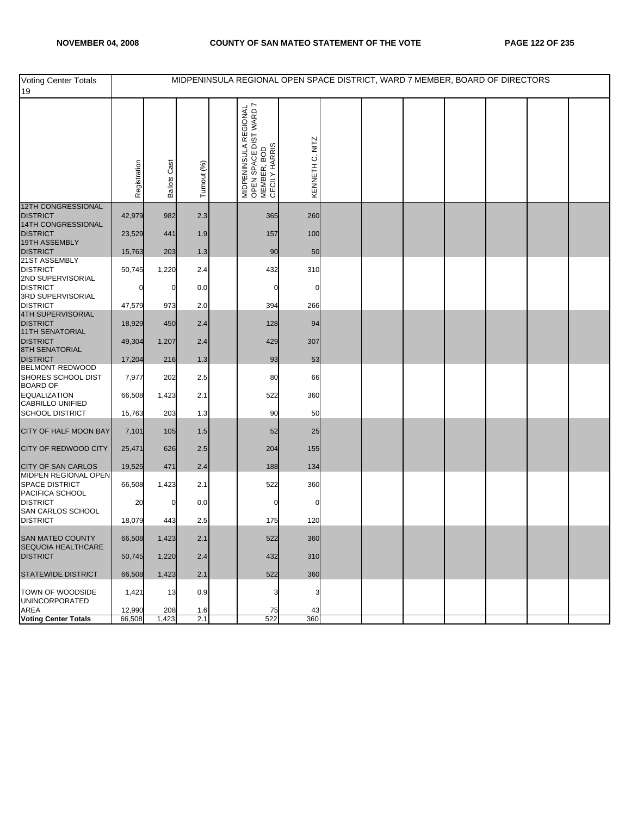| <b>Voting Center Totals</b><br>19                         |                  |                     |             | MIDPENINSULA REGIONAL OPEN SPACE DISTRICT, WARD 7 MEMBER, BOARD OF DIRECTORS    |                 |  |  |  |  |
|-----------------------------------------------------------|------------------|---------------------|-------------|---------------------------------------------------------------------------------|-----------------|--|--|--|--|
|                                                           | Registration     | <b>Ballots Cast</b> | Turnout (%) | MIDPENINSULA REGIONAL<br>OPEN SPACE DIST WARD 7<br>MEMBER, BOD<br>CECILY HARRIS | KENNETH C. NITZ |  |  |  |  |
| 12TH CONGRESSIONAL<br><b>DISTRICT</b>                     | 42,979           | 982                 | 2.3         | 365                                                                             | 260             |  |  |  |  |
| 14TH CONGRESSIONAL<br><b>DISTRICT</b>                     | 23,529           | 441                 | 1.9         | 157                                                                             | 100             |  |  |  |  |
| 19TH ASSEMBLY<br><b>DISTRICT</b>                          | 15,763           | 203                 | 1.3         | 90                                                                              | 50              |  |  |  |  |
| 21ST ASSEMBLY<br><b>DISTRICT</b>                          | 50,745           | 1,220               | 2.4         | 432                                                                             | 310             |  |  |  |  |
| 2ND SUPERVISORIAL<br><b>DISTRICT</b>                      |                  | O                   | 0.0         | 0                                                                               | n               |  |  |  |  |
| 3RD SUPERVISORIAL<br><b>DISTRICT</b>                      | 47,579           | 973                 | 2.0         | 394                                                                             | 266             |  |  |  |  |
| 4TH SUPERVISORIAL<br><b>DISTRICT</b><br>11TH SENATORIAL   | 18,929           | 450                 | 2.4         | 128                                                                             | 94              |  |  |  |  |
| <b>DISTRICT</b>                                           | 49,304           | 1,207               | 2.4         | 429                                                                             | 307             |  |  |  |  |
| <b>8TH SENATORIAL</b><br><b>DISTRICT</b>                  | 17,204           | 216                 | 1.3         | 93                                                                              | 53              |  |  |  |  |
| BELMONT-REDWOOD<br>SHORES SCHOOL DIST<br><b>BOARD OF</b>  | 7,977            | 202                 | 2.5         | 80                                                                              | 66              |  |  |  |  |
| <b>EQUALIZATION</b><br>CABRILLO UNIFIED                   | 66,508           | 1,423               | 2.1         | 522                                                                             | 360             |  |  |  |  |
| <b>SCHOOL DISTRICT</b>                                    | 15,763           | 203                 | 1.3         | 90                                                                              | 50              |  |  |  |  |
| CITY OF HALF MOON BAY                                     | 7,101            | 105                 | 1.5         | 52                                                                              | 25              |  |  |  |  |
| CITY OF REDWOOD CITY                                      | 25,471           | 626                 | 2.5         | 204                                                                             | 155             |  |  |  |  |
| <b>CITY OF SAN CARLOS</b>                                 | 19,525           | 471                 | 2.4         | 188                                                                             | 134             |  |  |  |  |
| MIDPEN REGIONAL OPEN<br>SPACE DISTRICT<br>PACIFICA SCHOOL | 66,508           | 1,423               | 2.1         | 522                                                                             | 360             |  |  |  |  |
| <b>DISTRICT</b><br>SAN CARLOS SCHOOL                      | 20               |                     | 0.0         |                                                                                 |                 |  |  |  |  |
| <b>DISTRICT</b>                                           | 18,079           | 443                 | 2.5         | 175                                                                             | 120             |  |  |  |  |
| <b>SAN MATEO COUNTY</b><br>SEQUOIA HEALTHCARE             | 66,508           | 1,423               | 2.1         | 522                                                                             | 360             |  |  |  |  |
| <b>DISTRICT</b>                                           | 50,745           | 1,220               | 2.4         | 432                                                                             | 310             |  |  |  |  |
| <b>STATEWIDE DISTRICT</b>                                 | 66,508           | 1,423               | 2.1         | 522                                                                             | 360             |  |  |  |  |
| TOWN OF WOODSIDE<br><b>UNINCORPORATED</b>                 | 1,421            | 13                  | 0.9         | 3                                                                               |                 |  |  |  |  |
| AREA<br><b>Voting Center Totals</b>                       | 12,990<br>66,508 | 208<br>1,423        | 1.6<br>2.1  | 75<br>522                                                                       | 43<br>360       |  |  |  |  |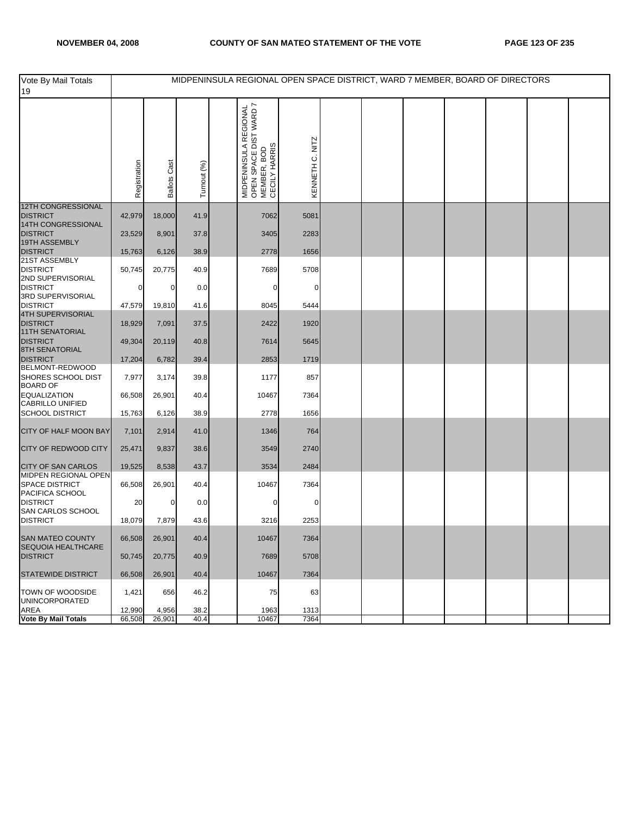| Vote By Mail Totals<br>19                                          |                  |                     |              | MIDPENINSULA REGIONAL OPEN SPACE DISTRICT, WARD 7 MEMBER, BOARD OF DIRECTORS    |                 |  |  |  |  |
|--------------------------------------------------------------------|------------------|---------------------|--------------|---------------------------------------------------------------------------------|-----------------|--|--|--|--|
|                                                                    | Registration     | <b>Ballots Cast</b> | Turnout (%)  | MIDPENINSULA REGIONAL<br>OPEN SPACE DIST WARD 7<br>MEMBER, BOD<br>CECILY HARRIS | KENNETH C. NITZ |  |  |  |  |
| <b>12TH CONGRESSIONAL</b><br><b>DISTRICT</b><br>14TH CONGRESSIONAL | 42,979           | 18,000              | 41.9         | 7062                                                                            | 5081            |  |  |  |  |
| <b>DISTRICT</b><br>19TH ASSEMBLY                                   | 23,529           | 8,901               | 37.8         | 3405                                                                            | 2283            |  |  |  |  |
| <b>DISTRICT</b><br>21ST ASSEMBLY                                   | 15,763           | 6,126               | 38.9         | 2778                                                                            | 1656            |  |  |  |  |
| <b>DISTRICT</b><br>2ND SUPERVISORIAL                               | 50,745           | 20,775              | 40.9         | 7689                                                                            | 5708            |  |  |  |  |
| <b>DISTRICT</b><br>3RD SUPERVISORIAL                               | 0                | 0                   | 0.0          | 0                                                                               | 0               |  |  |  |  |
| <b>DISTRICT</b><br>4TH SUPERVISORIAL                               | 47,579           | 19,810              | 41.6         | 8045                                                                            | 5444            |  |  |  |  |
| <b>DISTRICT</b><br>11TH SENATORIAL                                 | 18,929           | 7,091               | 37.5         | 2422                                                                            | 1920            |  |  |  |  |
| <b>DISTRICT</b><br><b>8TH SENATORIAL</b>                           | 49,304           | 20,119              | 40.8         | 7614                                                                            | 5645            |  |  |  |  |
| <b>DISTRICT</b>                                                    | 17,204           | 6,782               | 39.4         | 2853                                                                            | 1719            |  |  |  |  |
| BELMONT-REDWOOD<br>SHORES SCHOOL DIST<br><b>BOARD OF</b>           | 7,977            | 3,174               | 39.8         | 1177                                                                            | 857             |  |  |  |  |
| <b>EQUALIZATION</b><br>CABRILLO UNIFIED                            | 66,508           | 26,901              | 40.4         | 10467                                                                           | 7364            |  |  |  |  |
| <b>SCHOOL DISTRICT</b>                                             | 15,763           | 6,126               | 38.9         | 2778                                                                            | 1656            |  |  |  |  |
| CITY OF HALF MOON BAY                                              | 7,101            | 2,914               | 41.0         | 1346                                                                            | 764             |  |  |  |  |
| <b>CITY OF REDWOOD CITY</b>                                        | 25,471           | 9,837               | 38.6         | 3549                                                                            | 2740            |  |  |  |  |
| <b>CITY OF SAN CARLOS</b>                                          | 19,525           | 8,538               | 43.7         | 3534                                                                            | 2484            |  |  |  |  |
| MIDPEN REGIONAL OPEN<br><b>SPACE DISTRICT</b><br>PACIFICA SCHOOL   | 66,508           | 26,901              | 40.4         | 10467                                                                           | 7364            |  |  |  |  |
| <b>DISTRICT</b><br>SAN CARLOS SCHOOL                               | 20               | 0                   | 0.0          | 0                                                                               | 0               |  |  |  |  |
| <b>DISTRICT</b>                                                    | 18,079           | 7,879               | 43.6         | 3216                                                                            | 2253            |  |  |  |  |
| <b>SAN MATEO COUNTY</b><br>SEQUOIA HEALTHCARE                      | 66,508           | 26,901              | 40.4         | 10467                                                                           | 7364            |  |  |  |  |
| <b>DISTRICT</b>                                                    | 50,745           | 20,775              | 40.9         | 7689                                                                            | 5708            |  |  |  |  |
| <b>STATEWIDE DISTRICT</b>                                          | 66,508           | 26,901              | 40.4         | 10467                                                                           | 7364            |  |  |  |  |
| TOWN OF WOODSIDE<br><b>UNINCORPORATED</b>                          | 1,421            | 656                 | 46.2         | 75                                                                              | 63              |  |  |  |  |
| AREA<br>Vote By Mail Totals                                        | 12,990<br>66,508 | 4,956<br>26,901     | 38.2<br>40.4 | 1963<br>10467                                                                   | 1313<br>7364    |  |  |  |  |
|                                                                    |                  |                     |              |                                                                                 |                 |  |  |  |  |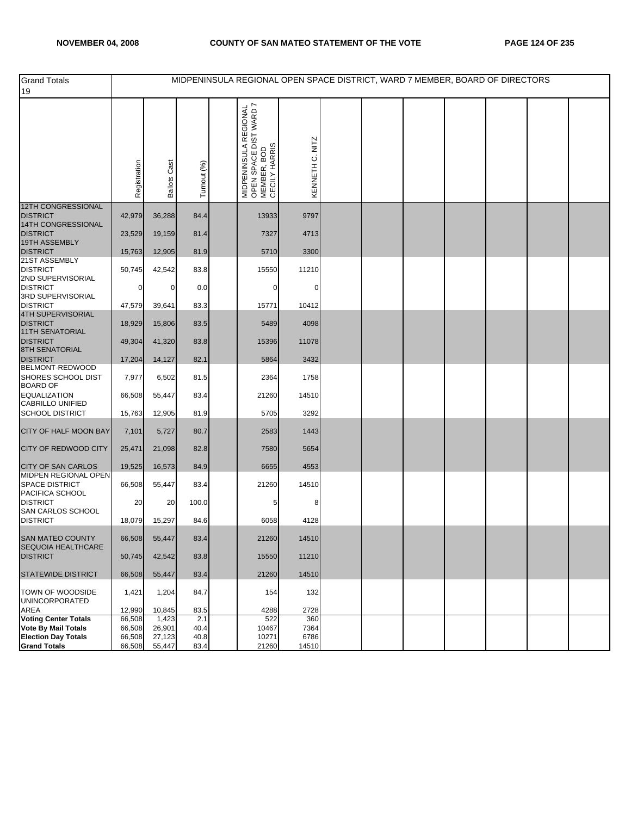| <b>Grand Totals</b><br>19                         |                  |                     |             |                                                                                 |                 |  | MIDPENINSULA REGIONAL OPEN SPACE DISTRICT, WARD 7 MEMBER, BOARD OF DIRECTORS |  |  |
|---------------------------------------------------|------------------|---------------------|-------------|---------------------------------------------------------------------------------|-----------------|--|------------------------------------------------------------------------------|--|--|
|                                                   | Registration     | <b>Ballots Cast</b> | Turnout (%) | MIDPENINSULA REGIONAL<br>OPEN SPACE DIST WARD 7<br>MEMBER, BOD<br>CECILY HARRIS | KENNETH C. NITZ |  |                                                                              |  |  |
| 12TH CONGRESSIONAL<br><b>DISTRICT</b>             | 42,979           | 36,288              | 84.4        | 13933                                                                           | 9797            |  |                                                                              |  |  |
| <b>14TH CONGRESSIONAL</b><br><b>DISTRICT</b>      | 23,529           | 19,159              | 81.4        | 7327                                                                            | 4713            |  |                                                                              |  |  |
| <b>19TH ASSEMBLY</b><br><b>DISTRICT</b>           | 15,763           | 12,905              | 81.9        | 5710                                                                            | 3300            |  |                                                                              |  |  |
| 21ST ASSEMBLY                                     |                  |                     |             |                                                                                 |                 |  |                                                                              |  |  |
| <b>DISTRICT</b><br>2ND SUPERVISORIAL              | 50,745           | 42,542              | 83.8        | 15550                                                                           | 11210           |  |                                                                              |  |  |
| <b>DISTRICT</b><br>3RD SUPERVISORIAL              | 0                | 0                   | 0.0         | 0                                                                               | 0               |  |                                                                              |  |  |
| <b>DISTRICT</b><br><b>4TH SUPERVISORIAL</b>       | 47,579           | 39,641              | 83.3        | 15771                                                                           | 10412           |  |                                                                              |  |  |
| <b>DISTRICT</b><br><b>11TH SENATORIAL</b>         | 18,929           | 15,806              | 83.5        | 5489                                                                            | 4098            |  |                                                                              |  |  |
| <b>DISTRICT</b>                                   | 49,304           | 41,320              | 83.8        | 15396                                                                           | 11078           |  |                                                                              |  |  |
| <b>8TH SENATORIAL</b><br><b>DISTRICT</b>          | 17,204           | 14,127              | 82.1        | 5864                                                                            | 3432            |  |                                                                              |  |  |
| BELMONT-REDWOOD<br>SHORES SCHOOL DIST             | 7,977            | 6,502               | 81.5        | 2364                                                                            | 1758            |  |                                                                              |  |  |
| <b>BOARD OF</b><br>EQUALIZATION                   | 66,508           | 55,447              | 83.4        | 21260                                                                           | 14510           |  |                                                                              |  |  |
| CABRILLO UNIFIED<br><b>SCHOOL DISTRICT</b>        |                  | 12,905              | 81.9        | 5705                                                                            | 3292            |  |                                                                              |  |  |
|                                                   | 15,763           |                     |             |                                                                                 |                 |  |                                                                              |  |  |
| CITY OF HALF MOON BAY                             | 7,101            | 5,727               | 80.7        | 2583                                                                            | 1443            |  |                                                                              |  |  |
| CITY OF REDWOOD CITY                              | 25,471           | 21,098              | 82.8        | 7580                                                                            | 5654            |  |                                                                              |  |  |
| <b>CITY OF SAN CARLOS</b><br>MIDPEN REGIONAL OPEN | 19,525           | 16,573              | 84.9        | 6655                                                                            | 4553            |  |                                                                              |  |  |
| <b>SPACE DISTRICT</b><br>PACIFICA SCHOOL          | 66,508           | 55,447              | 83.4        | 21260                                                                           | 14510           |  |                                                                              |  |  |
| <b>DISTRICT</b>                                   | 20               | 20                  | 100.0       | 5                                                                               | 8               |  |                                                                              |  |  |
| SAN CARLOS SCHOOL<br><b>DISTRICT</b>              | 18,079           | 15,297              | 84.6        | 6058                                                                            | 4128            |  |                                                                              |  |  |
| SAN MATEO COUNTY<br>SEQUOIA HEALTHCARE            | 66,508           | 55,447              | 83.4        | 21260                                                                           | 14510           |  |                                                                              |  |  |
| <b>DISTRICT</b>                                   | 50,745           | 42,542              | 83.8        | 15550                                                                           | 11210           |  |                                                                              |  |  |
| <b>STATEWIDE DISTRICT</b>                         | 66,508           | 55,447              | 83.4        | 21260                                                                           | 14510           |  |                                                                              |  |  |
| TOWN OF WOODSIDE<br>UNINCORPORATED                | 1,421            | 1,204               | 84.7        | 154                                                                             | 132             |  |                                                                              |  |  |
| AREA<br><b>Voting Center Totals</b>               | 12,990<br>66,508 | 10,845<br>1,423     | 83.5<br>2.1 | 4288<br>522                                                                     | 2728<br>360     |  |                                                                              |  |  |
| Vote By Mail Totals                               | 66,508           | 26,901              | 40.4        | 10467                                                                           | 7364            |  |                                                                              |  |  |
| <b>Election Day Totals</b>                        | 66,508           | 27,123              | 40.8        | 10271                                                                           | 6786            |  |                                                                              |  |  |
| <b>Grand Totals</b>                               | 66,508           | 55,447              | 83.4        | 21260                                                                           | 14510           |  |                                                                              |  |  |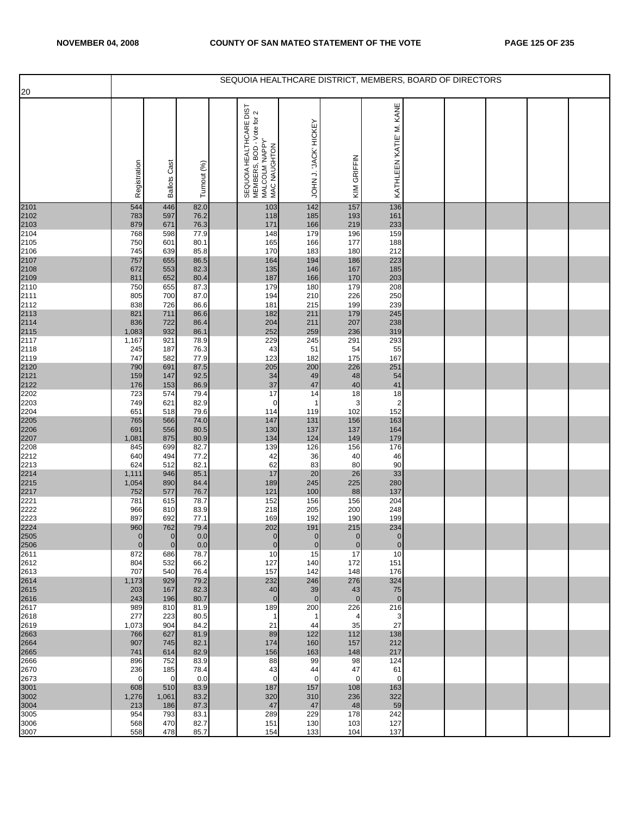|                      |                              |                               |              | SEQUOIA HEALTHCARE DISTRICT, MEMBERS, BOARD OF DIRECTORS                                                     |                               |                        |                               |  |  |  |
|----------------------|------------------------------|-------------------------------|--------------|--------------------------------------------------------------------------------------------------------------|-------------------------------|------------------------|-------------------------------|--|--|--|
| 20                   | Registration                 | Cast<br><b>Ballots</b>        | Turnout (%)  | TSIG <sub>3</sub><br>SEQUOIA HEALTHCARE DIST<br>MEMBERS, BOD - Vote for 2<br>MALCOLM 'NAPPY'<br>MAC NAUGHTON | JOHN J. JACK' HICKEY          | KIM GRIFFIN            | KATHLEEN 'KATIE' M. KANE      |  |  |  |
| 2101                 | 544                          | 446                           | 82.0         | 103                                                                                                          | 142                           | 157                    | 136                           |  |  |  |
| 2102<br>2103         | 783<br>879                   | 597<br>671                    | 76.2<br>76.3 | 118<br>171                                                                                                   | 185<br>166                    | 193<br>219             | 161<br>233                    |  |  |  |
| 2104                 | 768                          | 598                           | 77.9         | 148                                                                                                          | 179                           | 196                    | 159                           |  |  |  |
| 2105<br>2106         | 750<br>745                   | 601<br>639                    | 80.1<br>85.8 | 165<br>170                                                                                                   | 166<br>183                    | 177<br>180             | 188<br>212                    |  |  |  |
| 2107                 | 757                          | 655                           | 86.5         | 164                                                                                                          | 194                           | 186                    | 223                           |  |  |  |
|                      | 672                          | 553                           | 82.3         | 135                                                                                                          | 146                           | 167                    | 185                           |  |  |  |
| 2108<br>2109<br>2110 | 811<br>750                   | 652<br>655                    | 80.4<br>87.3 | 187<br>179                                                                                                   | 166<br>180                    | 170<br>179             | 203<br>208                    |  |  |  |
| 2111                 | 805                          | 700                           | 87.0         | 194                                                                                                          | 210                           | 226                    | 250                           |  |  |  |
| 2112<br>2113         | 838<br>821                   | 726<br>711                    | 86.6<br>86.6 | 181<br>182                                                                                                   | 215<br>211                    | 199<br>179             | 239<br>245                    |  |  |  |
|                      | 836                          | 722                           | 86.4         | 204                                                                                                          | 211                           | 207                    | 238                           |  |  |  |
| 2114<br>2115<br>2117 | 1,083<br>1,167               | 932<br>921                    | 86.1<br>78.9 | 252<br>229                                                                                                   | 259<br>245                    | 236<br>291             | 319<br>293                    |  |  |  |
| 2118                 | 245                          | 187                           | 76.3         | 43                                                                                                           | 51                            | 54                     | 55                            |  |  |  |
| 2119                 | 747<br>790                   | 582<br>691                    | 77.9<br>87.5 | 123<br>205                                                                                                   | 182                           | 175<br>226             | 167                           |  |  |  |
| 2120<br>2121         | 159                          | 147                           | 92.5         | 34                                                                                                           | 200<br>49                     | 48                     | 251<br>54                     |  |  |  |
| 2122                 | 176                          | 153                           | 86.9         | 37                                                                                                           | 47                            | 40                     | 41                            |  |  |  |
| 2202<br>2203         | 723<br>749                   | 574<br>621                    | 79.4<br>82.9 | 17<br>0                                                                                                      | 14<br>1                       | 18<br>3                | 18<br>$\overline{2}$          |  |  |  |
| 2204                 | 651                          | 518                           | 79.6         | 114                                                                                                          | 119                           | 102                    | 152                           |  |  |  |
| 2205<br>2206         | 765<br>691                   | 566<br>556                    | 74.0<br>80.5 | 147<br>130                                                                                                   | 131<br>137                    | 156<br>137             | 163<br>164                    |  |  |  |
| 2207                 | 1,081                        | 875                           | 80.9         | 134                                                                                                          | 124                           | 149                    | 179                           |  |  |  |
| 2208<br>2212         | 845<br>640                   | 699<br>494                    | 82.7<br>77.2 | 139<br>42                                                                                                    | 126<br>36                     | 156<br>40              | 176<br>46                     |  |  |  |
| 2213                 | 624                          | 512                           | 82.1         | 62                                                                                                           | 83                            | 80                     | 90                            |  |  |  |
| 2214                 | 1,111                        | 946<br>890                    | 85.1<br>84.4 | 17<br>189                                                                                                    | 20<br>245                     | 26<br>225              | 33<br>280                     |  |  |  |
| 2215<br>2217         | 1,054<br>752                 | 577                           | 76.7         | 121                                                                                                          | 100                           | 88                     | 137                           |  |  |  |
| 2221                 | 781                          | 615                           | 78.7         | 152                                                                                                          | 156                           | 156                    | 204                           |  |  |  |
| 2222<br>2223         | 966<br>897                   | 810<br>692                    | 83.9<br>77.1 | 218<br>169                                                                                                   | 205<br>192                    | 200<br>190             | 248<br>199                    |  |  |  |
| 2224                 | 960                          | 762                           | 79.4         | 202                                                                                                          | 191                           | 215                    | 234                           |  |  |  |
| 2505<br>2506         | $\mathbf{0}$<br>$\mathbf{0}$ | $\overline{0}$<br>$\mathbf 0$ | 0.0<br>0.0   | $\mathbf 0$<br>$\mathbf 0$                                                                                   | $\overline{0}$<br>$\mathbf 0$ | $\pmb{0}$<br>$\pmb{0}$ | $\overline{0}$<br>$\mathbf 0$ |  |  |  |
| 2611                 | 872                          | 686                           | 78.7         | 10                                                                                                           | 15                            | 17                     | 10                            |  |  |  |
| 2612<br>2613         | 804<br>707                   | 532<br>540                    | 66.2<br>76.4 | 127<br>157                                                                                                   | 140<br>142                    | 172<br>148             | 151<br>176                    |  |  |  |
| 2614                 | 1,173                        | 929                           | 79.2         | 232                                                                                                          | 246                           | 276                    | 324                           |  |  |  |
| 2615<br>2616         | 203<br>243                   | 167<br>196                    | 82.3<br>80.7 | 40<br>$\mathbf{0}$                                                                                           | 39<br>$\overline{0}$          | 43<br>$\mathbf{0}$     | 75<br>$\overline{0}$          |  |  |  |
| 2617                 | 989                          | 810                           | 81.9         | 189                                                                                                          | 200                           | 226                    | 216                           |  |  |  |
| 2618                 | 277                          | 223                           | 80.5         | $\mathbf 1$                                                                                                  | -1                            | 4                      | 3                             |  |  |  |
| 2619<br>2663         | 1,073<br>766                 | 904<br>627                    | 84.2<br>81.9 | 21<br>89                                                                                                     | 44<br>122                     | 35<br>112              | 27<br>138                     |  |  |  |
| 2664                 | 907                          | 745                           | 82.1         | 174                                                                                                          | 160                           | 157                    | 212                           |  |  |  |
| 2665<br>2666         | 741<br>896                   | 614<br>752                    | 82.9<br>83.9 | 156<br>88                                                                                                    | 163<br>99                     | 148<br>98              | 217<br>124                    |  |  |  |
| 2670                 | 236                          | 185                           | 78.4         | 43                                                                                                           | 44                            | 47                     | 61                            |  |  |  |
| 2673<br>3001         | $\Omega$<br>608              | $\mathbf 0$<br>510            | 0.0<br>83.9  | $\mathbf 0$<br>187                                                                                           | $\Omega$<br>157               | $\mathbf 0$<br>108     | $\Omega$<br>163               |  |  |  |
| 3002                 | 1,276                        | 1,061                         | 83.2         | 320                                                                                                          | 310                           | 236                    | 322                           |  |  |  |
| 3004<br>3005         | 213<br>954                   | 186<br>793                    | 87.3<br>83.1 | 47<br>289                                                                                                    | 47<br>229                     | 48<br>178              | 59<br>242                     |  |  |  |
| 3006                 | 568                          | 470                           | 82.7         | 151                                                                                                          | 130                           | 103                    | 127                           |  |  |  |
| 3007                 | 558                          | 478                           | 85.7         | 154                                                                                                          | 133                           | 104                    | 137                           |  |  |  |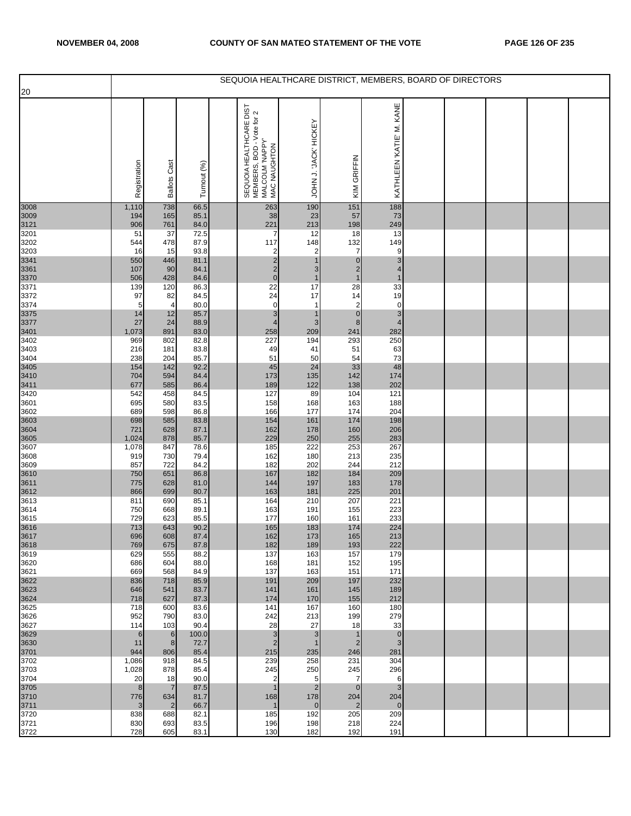| 20           |                |                       |              |                                                                                                  |                             |                             | SEQUOIA HEALTHCARE DISTRICT, MEMBERS, BOARD OF DIRECTORS |  |  |  |
|--------------|----------------|-----------------------|--------------|--------------------------------------------------------------------------------------------------|-----------------------------|-----------------------------|----------------------------------------------------------|--|--|--|
|              | Registration   | <b>Ballots Cast</b>   | Turnout (%)  | E DIST<br>SEQUOIA HEALTHCARE DIS<br>MEMBERS, BOD - Vote for 2<br>MALCOLM 'NAPPY'<br>MAC NAUGHTON | JOHN J. JACK' HICKEY        | KIM GRIFFIN                 | KATHLEEN 'KATIE' M. KANE                                 |  |  |  |
| 3008         | 1,110          | 738<br>165            | 66.5<br>85.1 | 263                                                                                              | 190                         | 151                         | 188<br>73                                                |  |  |  |
| 3009<br>3121 | 194<br>906     | 761                   | 84.0         | 38<br>221                                                                                        | 23<br>213                   | 57<br>198                   | 249                                                      |  |  |  |
| 3201<br>3202 | 51<br>544      | 37<br>478             | 72.5<br>87.9 | 7<br>117                                                                                         | 12<br>148                   | 18<br>132                   | 13<br>149                                                |  |  |  |
| 3203<br>3341 | 16             | 15                    | 93.8<br>81.1 | 2<br>$\overline{c}$                                                                              | $\overline{2}$              | $\overline{7}$<br>$\pmb{0}$ | 9<br>3                                                   |  |  |  |
| 3361         | 550<br>107     | 446<br>90             | 84.1         | $\overline{c}$                                                                                   | 3                           | $\overline{2}$              | 4                                                        |  |  |  |
| 3370<br>3371 | 506<br>139     | 428<br>120            | 84.6<br>86.3 | $\mathbf 0$<br>22                                                                                | $\mathbf 1$<br>17           | $\mathbf{1}$<br>28          | $\overline{1}$<br>33                                     |  |  |  |
| 3372         | 97             | 82                    | 84.5         | 24                                                                                               | 17                          | 14                          | 19                                                       |  |  |  |
| 3374<br>3375 | 5<br>14        | 4<br>12               | 80.0<br>85.7 | $\mathbf 0$<br>3                                                                                 | $\mathbf 1$<br>$\mathbf{1}$ | 2<br>$\pmb{0}$              | $\mathbf 0$<br>3                                         |  |  |  |
| 3377         | 27<br>1,073    | 24<br>891             | 88.9<br>83.0 | $\overline{\mathbf{4}}$<br>258                                                                   | 3<br>209                    | $\boldsymbol{8}$<br>241     | $\overline{4}$<br>282                                    |  |  |  |
| 3401<br>3402 | 969            | 802                   | 82.8         | 227                                                                                              | 194                         | 293                         | 250                                                      |  |  |  |
| 3403<br>3404 | 216<br>238     | 181<br>204            | 83.8<br>85.7 | 49<br>51                                                                                         | 41<br>50                    | 51<br>54                    | 63<br>73                                                 |  |  |  |
| 3405<br>3410 | 154            | 142                   | 92.2         | 45                                                                                               | 24                          | 33                          | 48                                                       |  |  |  |
| 3411         | 704<br>677     | 594<br>585            | 84.4<br>86.4 | 173<br>189                                                                                       | 135<br>122                  | 142<br>138                  | 174<br>202                                               |  |  |  |
| 3420         | 542            | 458                   | 84.5         | 127                                                                                              | 89                          | 104                         | 121                                                      |  |  |  |
| 3601<br>3602 | 695<br>689     | 580<br>598            | 83.5<br>86.8 | 158<br>166                                                                                       | 168<br>177                  | 163<br>174                  | 188<br>204                                               |  |  |  |
| 3603<br>3604 | 698<br>721     | 585<br>628            | 83.8<br>87.1 | 154<br>162                                                                                       | 161<br>178                  | 174<br>160                  | 198<br>206                                               |  |  |  |
| 3605         | 1,024          | 878                   | 85.7         | 229                                                                                              | 250                         | 255                         | 283                                                      |  |  |  |
| 3607<br>3608 | 1,078<br>919   | 847<br>730            | 78.6<br>79.4 | 185<br>162                                                                                       | 222<br>180                  | 253<br>213                  | 267<br>235                                               |  |  |  |
| 3609         | 857            | 722                   | 84.2         | 182                                                                                              | 202                         | 244                         | 212                                                      |  |  |  |
| 3610<br>3611 | 750<br>775     | 651<br>628            | 86.8<br>81.0 | 167<br>144                                                                                       | 182<br>197                  | 184<br>183                  | 209<br>178                                               |  |  |  |
| 3612<br>3613 | 866<br>811     | 699<br>690            | 80.7<br>85.1 | 163<br>164                                                                                       | 181<br>210                  | 225<br>207                  | 201<br>221                                               |  |  |  |
| 3614         | 750            | 668                   | 89.1         | 163                                                                                              | 191                         | 155                         | 223                                                      |  |  |  |
| 3615         | 729<br>713     | 623<br>643            | 85.5<br>90.2 | 177<br>165                                                                                       | 160<br>183                  | 161<br>174                  | 233<br>224                                               |  |  |  |
| 3616<br>3617 | 696            | 608                   | 87.4         | 162                                                                                              | 173                         | 165                         | 213                                                      |  |  |  |
| 3618<br>3619 | 769<br>629     | 675<br>555            | 87.8<br>88.2 | 182<br>137                                                                                       | 189<br>163                  | 193<br>157                  | 222<br>179                                               |  |  |  |
| 3620<br>3621 | 686<br>669     | 604<br>568            | 88.0<br>84.9 | 168<br>137                                                                                       | 181<br>163                  | 152                         | 195<br>171                                               |  |  |  |
| 3622         | 836            | 718                   | 85.9         | 191                                                                                              | 209                         | 151<br>197                  | 232                                                      |  |  |  |
| 3623<br>3624 | 646<br>718     | 541<br>627            | 83.7<br>87.3 | 141<br>174                                                                                       | 161<br>170                  | 145<br>155                  | 189<br>212                                               |  |  |  |
| 3625         | 718            | 600                   | 83.6         | 141                                                                                              | 167                         | 160                         | 180                                                      |  |  |  |
| 3626<br>3627 | 952<br>114     | 790<br>103            | 83.0<br>90.4 | 242<br>28                                                                                        | 213<br>27                   | 199<br>18                   | 279<br>33                                                |  |  |  |
| 3629         | 6              | 6                     | 100.0        | $\mathbf{3}$                                                                                     | 3                           | 1                           | $\mathbf 0$                                              |  |  |  |
| 3630<br>3701 | 11<br>944      | 8<br>806              | 72.7<br>85.4 | $\overline{2}$<br>215                                                                            | 1<br>235                    | 2<br>246                    | 3<br>281                                                 |  |  |  |
| 3702<br>3703 | 1,086<br>1,028 | 918<br>878            | 84.5<br>85.4 | 239<br>245                                                                                       | 258<br>250                  | 231<br>245                  | 304<br>296                                               |  |  |  |
| 3704         | 20             | 18                    | 90.0         | $\overline{\mathbf{c}}$                                                                          | 5                           | 7                           | 6                                                        |  |  |  |
| 3705<br>3710 | 8<br>776       | $\overline{7}$<br>634 | 87.5<br>81.7 | $\mathbf{1}$<br>168                                                                              | $\overline{2}$<br>178       | $\mathbf{0}$<br>204         | 3<br>204                                                 |  |  |  |
| 3711         | 3              | $\overline{2}$        | 66.7         | $\mathbf{1}$                                                                                     | $\mathbf 0$                 | $\overline{2}$              | $\mathbf 0$                                              |  |  |  |
| 3720<br>3721 | 838<br>830     | 688<br>693            | 82.1<br>83.5 | 185<br>196                                                                                       | 192<br>198                  | 205<br>218                  | 209<br>224                                               |  |  |  |
| 3722         | 728            | 605                   | 83.1         | 130                                                                                              | 182                         | 192                         | 191                                                      |  |  |  |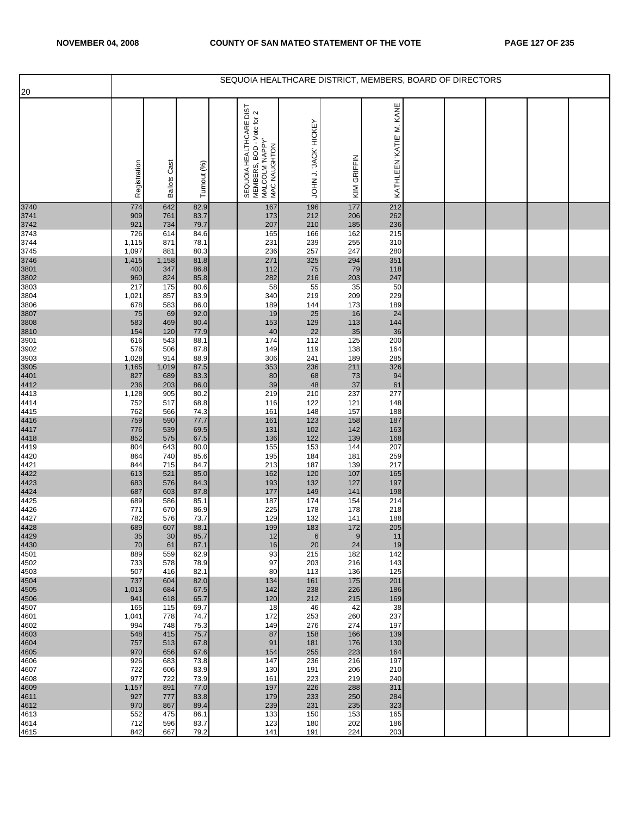| 20           |                |                        |              |                                                                                                            |                      |             | SEQUOIA HEALTHCARE DISTRICT, MEMBERS, BOARD OF DIRECTORS |  |  |  |
|--------------|----------------|------------------------|--------------|------------------------------------------------------------------------------------------------------------|----------------------|-------------|----------------------------------------------------------|--|--|--|
|              | Registration   | Cast<br><b>Ballots</b> | Turnout (%   | HEALTHCARE DIST<br>SEQUOIA HEALTHCARE DIST<br>MEMBERS, BOD - Vote for 2<br>MALCOLM 'NAPPY'<br>MAC NAUGHTON | JOHN J. JACK' HICKEY | KIM GRIFFIN | KANE<br>KATHLEEN 'KATIE' M.                              |  |  |  |
| 3740         | 774            | 642                    | 82.9         | 167                                                                                                        | 196                  | 177         | 212                                                      |  |  |  |
| 3741<br>3742 | 909<br>921     | 761<br>734             | 83.7<br>79.7 | 173<br>207                                                                                                 | 212<br>210           | 206<br>185  | 262<br>236                                               |  |  |  |
| 3743         | 726            | 614                    | 84.6         | 165                                                                                                        | 166                  | 162         | 215                                                      |  |  |  |
| 3744         | 1,115          | 871                    | 78.1         | 231                                                                                                        | 239                  | 255         | 310                                                      |  |  |  |
| 3745<br>3746 | 1,097<br>1,415 | 881<br>1,158           | 80.3<br>81.8 | 236<br>271                                                                                                 | 257<br>325           | 247<br>294  | 280<br>351                                               |  |  |  |
| 3801         | 400            | 347                    | 86.8         | 112                                                                                                        | 75                   | 79          | 118                                                      |  |  |  |
| 3802         | 960            | 824                    | 85.8         | 282                                                                                                        | 216                  | 203         | 247                                                      |  |  |  |
| 3803         | 217            | 175                    | 80.6         | 58<br>340                                                                                                  | 55                   | 35          | 50<br>229                                                |  |  |  |
| 3804<br>3806 | 1,021<br>678   | 857<br>583             | 83.9<br>86.0 | 189                                                                                                        | 219<br>144           | 209<br>173  | 189                                                      |  |  |  |
| 3807         | 75             | 69                     | 92.0         | 19                                                                                                         | 25                   | 16          | 24                                                       |  |  |  |
| 3808         | 583            | 469                    | 80.4         | 153                                                                                                        | 129                  | 113         | 144                                                      |  |  |  |
| 3810<br>3901 | 154<br>616     | 120<br>543             | 77.9<br>88.1 | 40<br>174                                                                                                  | 22<br>112            | 35<br>125   | 36<br>200                                                |  |  |  |
| 3902         | 576            | 506                    | 87.8         | 149                                                                                                        | 119                  | 138         | 164                                                      |  |  |  |
| 3903         | 1,028          | 914                    | 88.9         | 306                                                                                                        | 241                  | 189         | 285                                                      |  |  |  |
| 3905<br>4401 | 1,165<br>827   | 1,019<br>689           | 87.5<br>83.3 | 353<br>80                                                                                                  | 236<br>68            | 211         | 326<br>94                                                |  |  |  |
| 4412         | 236            | 203                    | 86.0         | 39                                                                                                         | 48                   | 73<br>37    | 61                                                       |  |  |  |
| 4413         | 1,128          | 905                    | 80.2         | 219                                                                                                        | 210                  | 237         | 277                                                      |  |  |  |
| 4414         | 752            | 517                    | 68.8         | 116                                                                                                        | 122                  | 121         | 148                                                      |  |  |  |
| 4415<br>4416 | 762<br>759     | 566<br>590             | 74.3<br>77.7 | 161<br>161                                                                                                 | 148<br>123           | 157<br>158  | 188<br>187                                               |  |  |  |
| 4417         | 776            | 539                    | 69.5         | 131                                                                                                        | 102                  | 142         | 163                                                      |  |  |  |
| 4418         | 852            | 575                    | 67.5         | 136                                                                                                        | 122                  | 139         | 168                                                      |  |  |  |
| 4419<br>4420 | 804<br>864     | 643<br>740             | 80.0<br>85.6 | 155<br>195                                                                                                 | 153<br>184           | 144<br>181  | 207<br>259                                               |  |  |  |
| 4421         | 844            | 715                    | 84.7         | 213                                                                                                        | 187                  | 139         | 217                                                      |  |  |  |
| 4422         | 613            | 521                    | 85.0         | 162                                                                                                        | 120                  | 107         | 165                                                      |  |  |  |
| 4423         | 683            | 576                    | 84.3         | 193                                                                                                        | 132                  | 127         | 197                                                      |  |  |  |
| 4424<br>4425 | 687<br>689     | 603<br>586             | 87.8<br>85.1 | 177<br>187                                                                                                 | 149<br>174           | 141<br>154  | 198<br>214                                               |  |  |  |
| 4426         | 771            | 670                    | 86.9         | 225                                                                                                        | 178                  | 178         | 218                                                      |  |  |  |
| 4427         | 782            | 576                    | 73.7         | 129                                                                                                        | 132                  | 141         | 188                                                      |  |  |  |
| 4428<br>4429 | 689<br>35      | 607<br>$30\,$          | 88.1<br>85.7 | 199<br>12                                                                                                  | 183<br>6             | 172<br>9    | 205<br>11                                                |  |  |  |
| 4430         | 70             | 61                     | 87.1         | 16                                                                                                         | 20                   | 24          | 19                                                       |  |  |  |
| 4501         | 889            | 559                    | 62.9         | 93                                                                                                         | 215                  | 182         | 142                                                      |  |  |  |
| 4502<br>4503 | 733<br>507     | 578<br>416             | 78.9<br>82.1 | 97<br>80                                                                                                   | 203<br>113           | 216<br>136  | 143<br>125                                               |  |  |  |
| 4504         | 737            | 604                    | 82.0         | 134                                                                                                        | 161                  | 175         | 201                                                      |  |  |  |
| 4505         | 1,013          | 684                    | 67.5         | 142                                                                                                        | 238                  | 226         | 186                                                      |  |  |  |
| 4506<br>4507 | 941<br>165     | 618<br>115             | 65.7<br>69.7 | 120<br>18                                                                                                  | 212<br>46            | 215<br>42   | 169<br>38                                                |  |  |  |
| 4601         | 1,041          | 778                    | 74.7         | 172                                                                                                        | 253                  | 260         | 237                                                      |  |  |  |
| 4602         | 994            | 748                    | 75.3         | 149                                                                                                        | 276                  | 274         | 197                                                      |  |  |  |
| 4603         | 548            | 415                    | 75.7         | 87                                                                                                         | 158                  | 166         | 139                                                      |  |  |  |
| 4604<br>4605 | 757<br>970     | 513<br>656             | 67.8<br>67.6 | 91<br>154                                                                                                  | 181<br>255           | 176<br>223  | 130<br>164                                               |  |  |  |
| 4606         | 926            | 683                    | 73.8         | 147                                                                                                        | 236                  | 216         | 197                                                      |  |  |  |
| 4607         | 722            | 606                    | 83.9         | 130                                                                                                        | 191                  | 206         | 210                                                      |  |  |  |
| 4608<br>4609 | 977<br>1,157   | 722<br>891             | 73.9<br>77.0 | 161<br>197                                                                                                 | 223<br>226           | 219<br>288  | 240<br>311                                               |  |  |  |
| 4611         | 927            | 777                    | 83.8         | 179                                                                                                        | 233                  | 250         | 284                                                      |  |  |  |
| 4612         | 970            | 867                    | 89.4         | 239                                                                                                        | 231                  | 235         | 323                                                      |  |  |  |
| 4613<br>4614 | 552<br>712     | 475<br>596             | 86.1<br>83.7 | 133<br>123                                                                                                 | 150<br>180           | 153<br>202  | 165<br>186                                               |  |  |  |
| 4615         | 842            | 667                    | 79.2         | 141                                                                                                        | 191                  | 224         | 203                                                      |  |  |  |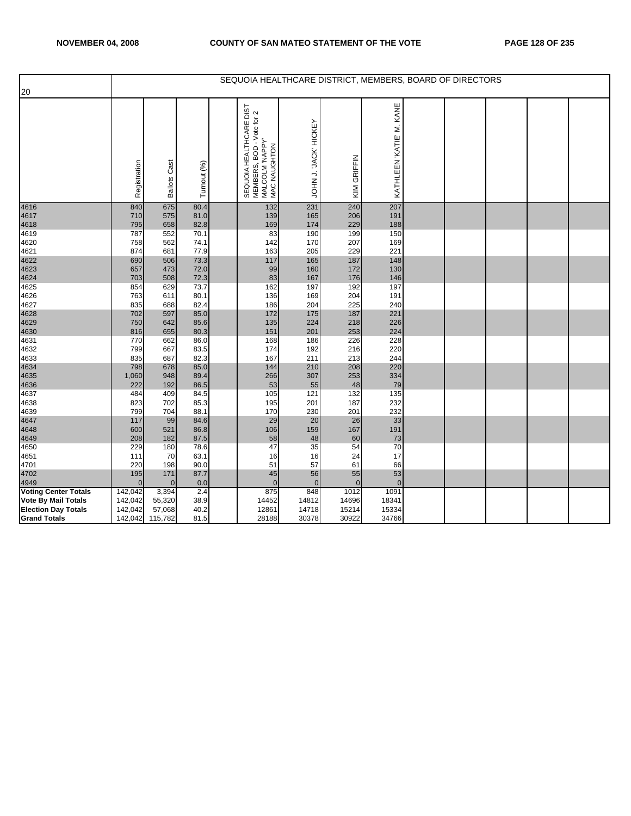|                              |                |                     |              |                                                                                         |                      |             |                          | SEQUOIA HEALTHCARE DISTRICT, MEMBERS, BOARD OF DIRECTORS |  |  |
|------------------------------|----------------|---------------------|--------------|-----------------------------------------------------------------------------------------|----------------------|-------------|--------------------------|----------------------------------------------------------|--|--|
| 20                           |                |                     |              |                                                                                         |                      |             |                          |                                                          |  |  |
|                              | Registration   | <b>Ballots Cast</b> | Turnout (%)  | SEQUOIA HEALTHCARE DIST<br>MEMBERS, BOD - Vote for 2<br>MALCOLM 'NAPPY'<br>MAC NAUGHTON | JOHN J. JACK' HICKEY | KIM GRIFFIN | KATHLEEN 'KATIE' M. KANE |                                                          |  |  |
| 4616                         | 840            | 675                 | 80.4         | 132                                                                                     | 231                  | 240         | 207                      |                                                          |  |  |
| 4617                         | 710            | 575                 | 81.0         | 139                                                                                     | 165                  | 206         | 191                      |                                                          |  |  |
| 4618                         | 795            | 658                 | 82.8         | 169                                                                                     | 174                  | 229         | 188                      |                                                          |  |  |
| 4619                         | 787            | 552                 | 70.1         | 83                                                                                      | 190                  | 199         | 150                      |                                                          |  |  |
| 4620                         | 758            | 562                 | 74.1         | 142                                                                                     | 170                  | 207         | 169                      |                                                          |  |  |
| 4621                         | 874            | 681                 | 77.9         | 163                                                                                     | 205                  | 229         | 221                      |                                                          |  |  |
| 4622                         | 690            | 506                 | 73.3         | 117                                                                                     | 165                  | 187         | 148                      |                                                          |  |  |
| 4623                         | 657<br>703     | 473<br>508          | 72.0<br>72.3 | 99<br>83                                                                                | 160<br>167           | 172<br>176  | 130<br>146               |                                                          |  |  |
| 4624<br>4625                 | 854            | 629                 | 73.7         | 162                                                                                     | 197                  | 192         | 197                      |                                                          |  |  |
| 4626                         | 763            | 611                 | 80.1         | 136                                                                                     | 169                  | 204         | 191                      |                                                          |  |  |
| 4627                         | 835            | 688                 | 82.4         | 186                                                                                     | 204                  | 225         | 240                      |                                                          |  |  |
| 4628                         | 702            | 597                 | 85.0         | 172                                                                                     | 175                  | 187         | 221                      |                                                          |  |  |
|                              | 750            | 642                 | 85.6         | 135                                                                                     | 224                  | 218         | 226                      |                                                          |  |  |
| 4629<br>4630                 | 816            | 655                 | 80.3         | 151                                                                                     | 201                  | 253         | 224                      |                                                          |  |  |
| 4631                         | 770            | 662                 | 86.0         | 168                                                                                     | 186                  | 226         | 228                      |                                                          |  |  |
| 4632                         | 799            | 667                 | 83.5         | 174                                                                                     | 192                  | 216         | 220                      |                                                          |  |  |
| 4633                         | 835            | 687                 | 82.3         | 167                                                                                     | 211                  | 213         | 244                      |                                                          |  |  |
| 4634                         | 798            | 678                 | 85.0         | 144                                                                                     | 210                  | 208         | 220                      |                                                          |  |  |
|                              | 1,060          | 948                 | 89.4         | 266                                                                                     | 307                  | 253         | 334                      |                                                          |  |  |
| 4635<br>4636<br>4637         | 222            | 192                 | 86.5         | 53                                                                                      | 55                   | 48          | 79                       |                                                          |  |  |
|                              | 484            | 409                 | 84.5         | 105                                                                                     | 121                  | 132         | 135                      |                                                          |  |  |
| 4638                         | 823            | 702                 | 85.3         | 195<br>170                                                                              | 201<br>230           | 187<br>201  | 232<br>232               |                                                          |  |  |
| 4639<br>4647                 | 799<br>117     | 704<br>99           | 88.1<br>84.6 | 29                                                                                      | 20                   | 26          | 33                       |                                                          |  |  |
|                              | 600            | 521                 | 86.8         | 106                                                                                     | 159                  | 167         | 191                      |                                                          |  |  |
|                              | 208            | 182                 | 87.5         | 58                                                                                      | 48                   | 60          | 73                       |                                                          |  |  |
| 4648<br>4649<br>4650         | 229            | 180                 | 78.6         | 47                                                                                      | 35                   | 54          | 70                       |                                                          |  |  |
| 4651                         | 111            | 70                  | 63.1         | 16                                                                                      | 16                   | 24          | 17                       |                                                          |  |  |
| 4701                         | 220            | 198                 | 90.0         | 51                                                                                      | 57                   | 61          | 66                       |                                                          |  |  |
| 4702                         | 195            | 171                 | 87.7         | 45                                                                                      | 56                   | 55          | 53                       |                                                          |  |  |
|                              | $\overline{0}$ | $\mathbf{0}$        | 0.0          | $\mathbf{0}$                                                                            | $\Omega$             | $\Omega$    | $\mathbf{0}$             |                                                          |  |  |
| 4949<br>Voting Center Totals | 142,042        | 3,394               | 2.4          | 875                                                                                     | 848                  | 1012        | 1091                     |                                                          |  |  |
| <b>Vote By Mail Totals</b>   | 142,042        | 55,320              | 38.9         | 14452                                                                                   | 14812                | 14696       | 18341                    |                                                          |  |  |
| <b>Election Day Totals</b>   | 142,042        | 57,068              | 40.2         | 12861                                                                                   | 14718                | 15214       | 15334                    |                                                          |  |  |
| <b>Grand Totals</b>          | 142,042        | 115,782             | 81.5         | 28188                                                                                   | 30378                | 30922       | 34766                    |                                                          |  |  |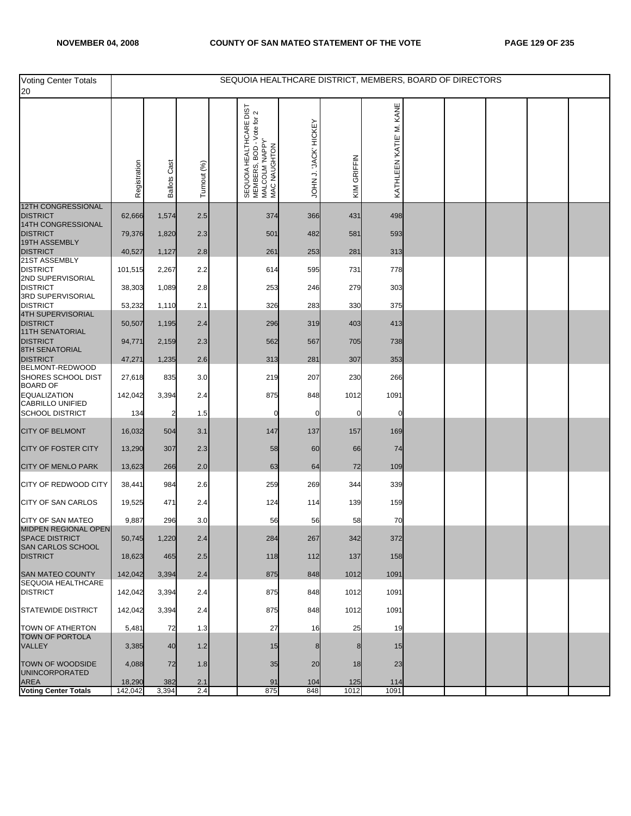| <b>Voting Center Totals</b><br>20                 |                   |                     |             | SEQUOIA HEALTHCARE DISTRICT, MEMBERS, BOARD OF DIRECTORS                                                      |                      |             |                         |  |  |  |
|---------------------------------------------------|-------------------|---------------------|-------------|---------------------------------------------------------------------------------------------------------------|----------------------|-------------|-------------------------|--|--|--|
|                                                   | Registration      | <b>Ballots Cast</b> | Turnout (%) | HEALTHCARE DIST<br>BOD - Vote for 2<br>SEQUOIA HEALTHC<br>MEMBERS, BOD - V<br>MALCOLM 'NAPPY'<br>MAC NAUGHTON | JOHN J. JACK' HICKEY | KIM GRIFFIN | KATHLEEN KATIE' M. KANE |  |  |  |
| 12TH CONGRESSIONAL<br><b>DISTRICT</b>             | 62,666            | 1,574               | 2.5         | 374                                                                                                           | 366                  | 431         | 498                     |  |  |  |
| 14TH CONGRESSIONAL<br><b>DISTRICT</b>             | 79,376            | 1,820               | 2.3         | 501                                                                                                           | 482                  | 581         | 593                     |  |  |  |
| 19TH ASSEMBLY<br><b>DISTRICT</b>                  | 40,527            | 1,127               | 2.8         | 261                                                                                                           | 253                  | 281         | 313                     |  |  |  |
| 21ST ASSEMBLY<br><b>DISTRICT</b>                  | 101,515           | 2,267               | 2.2         | 614                                                                                                           | 595                  | 731         | 778                     |  |  |  |
| 2ND SUPERVISORIAL<br><b>DISTRICT</b>              | 38,303            | 1,089               | 2.8         | 253                                                                                                           | 246                  | 279         | 303                     |  |  |  |
| 3RD SUPERVISORIAL<br><b>DISTRICT</b>              | 53,232            | 1,110               | 2.1         | 326                                                                                                           | 283                  | 330         | 375                     |  |  |  |
| 4TH SUPERVISORIAL<br><b>DISTRICT</b>              | 50,507            | 1,195               | 2.4         | 296                                                                                                           | 319                  | 403         | 413                     |  |  |  |
| <b>11TH SENATORIAL</b><br><b>DISTRICT</b>         | 94,771            | 2,159               | 2.3         | 562                                                                                                           | 567                  | 705         | 738                     |  |  |  |
| <b>8TH SENATORIAL</b><br><b>DISTRICT</b>          | 47,271            | 1,235               | 2.6         | 313                                                                                                           | 281                  | 307         | 353                     |  |  |  |
| BELMONT-REDWOOD<br>SHORES SCHOOL DIST             | 27,618            | 835                 | 3.0         | 219                                                                                                           | 207                  | 230         | 266                     |  |  |  |
| <b>BOARD OF</b><br><b>EQUALIZATION</b>            | 142,042           | 3,394               | 2.4         | 875                                                                                                           | 848                  | 1012        | 1091                    |  |  |  |
| <b>CABRILLO UNIFIED</b><br><b>SCHOOL DISTRICT</b> | 134               | 2                   | 1.5         | 0                                                                                                             |                      | 0           |                         |  |  |  |
| <b>CITY OF BELMONT</b>                            | 16,032            | 504                 | 3.1         | 147                                                                                                           | 137                  | 157         | 169                     |  |  |  |
| <b>CITY OF FOSTER CITY</b>                        | 13,290            | 307                 | 2.3         | 58                                                                                                            | 60                   | 66          | 74                      |  |  |  |
| <b>CITY OF MENLO PARK</b>                         | 13,623            | 266                 | 2.0         | 63                                                                                                            | 64                   | 72          | 109                     |  |  |  |
| CITY OF REDWOOD CITY                              | 38,441            | 984                 | 2.6         | 259                                                                                                           | 269                  | 344         | 339                     |  |  |  |
| <b>CITY OF SAN CARLOS</b>                         | 19,525            | 471                 | 2.4         | 124                                                                                                           | 114                  | 139         | 159                     |  |  |  |
| <b>CITY OF SAN MATEO</b><br>MIDPEN REGIONAL OPEN  | 9,887             | 296                 | 3.0         | 56                                                                                                            | 56                   | 58          | 70                      |  |  |  |
| <b>SPACE DISTRICT</b><br>SAN CARLOS SCHOOL        | 50,745            | 1,220               | 2.4         | 284                                                                                                           | 267                  | 342         | 372                     |  |  |  |
| <b>DISTRICT</b>                                   | 18,623            | 465                 | 2.5         | 118                                                                                                           | 112                  | 137         | 158                     |  |  |  |
| SAN MATEO COUNTY<br>SEQUOIA HEALTHCARE            | 142,042           | 3,394               | 2.4         | 875                                                                                                           | 848                  | 1012        | 1091                    |  |  |  |
| <b>DISTRICT</b>                                   | 142,042           | 3,394               | 2.4         | 875                                                                                                           | 848                  | 1012        | 1091                    |  |  |  |
| <b>STATEWIDE DISTRICT</b>                         | 142,042           | 3,394               | 2.4         | 875                                                                                                           | 848                  | 1012        | 1091                    |  |  |  |
| <b>TOWN OF ATHERTON</b><br><b>TOWN OF PORTOLA</b> | 5,481             | 72                  | 1.3         | 27                                                                                                            | 16                   | 25          | 19                      |  |  |  |
| VALLEY                                            | 3,385             | 40                  | 1.2         | 15                                                                                                            |                      | 8           | 15                      |  |  |  |
| TOWN OF WOODSIDE<br><b>UNINCORPORATED</b>         | 4,088             | 72                  | 1.8         | 35                                                                                                            | 20                   | 18          | 23                      |  |  |  |
| <b>AREA</b><br>Voting Center Totals               | 18,290<br>142,042 | 382<br>3,394        | 2.1<br>2.4  | 91<br>875                                                                                                     | 104<br>848           | 125<br>1012 | 114<br>1091             |  |  |  |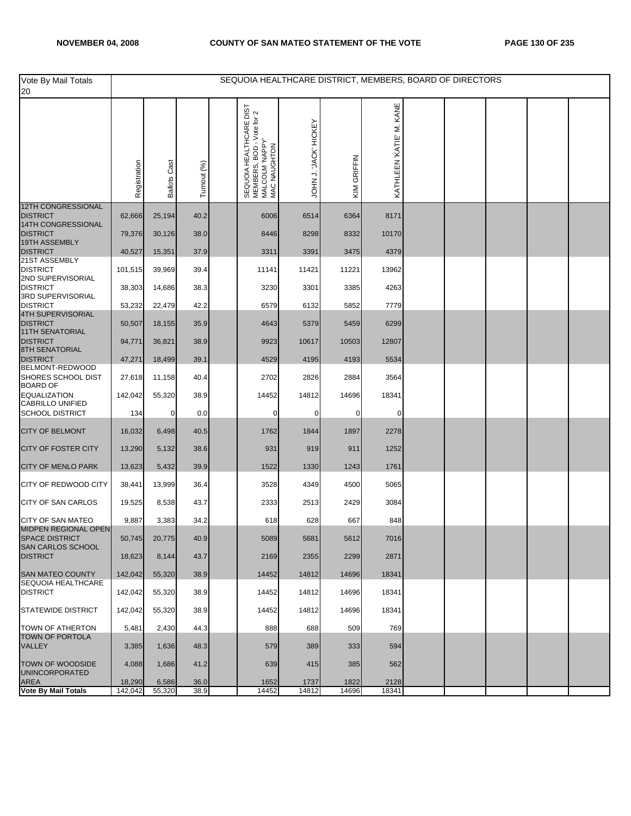| Vote By Mail Totals<br>20                        |                   |                     |              | SEQUOIA HEALTHCARE DISTRICT, MEMBERS, BOARD OF DIRECTORS                                                   |                       |               |                          |  |  |  |
|--------------------------------------------------|-------------------|---------------------|--------------|------------------------------------------------------------------------------------------------------------|-----------------------|---------------|--------------------------|--|--|--|
|                                                  | Registration      | <b>Ballots Cast</b> | Turnout (%)  | HEALTHCARE DIST<br>SEQUOIA HEALTHCARE DIST<br>MEMBERS, BOD - Voie for 2<br>MALCOLM 'NAPPY'<br>MAC MAUGHTON | JOHN J. 'JACK' HICKEY | KIM GRIFFIN   | KATHLEEN 'KATIE' M. KANE |  |  |  |
| <b>12TH CONGRESSIONAL</b><br><b>DISTRICT</b>     | 62,666            | 25,194              | 40.2         | 6006                                                                                                       | 6514                  | 6364          | 8171                     |  |  |  |
| 14TH CONGRESSIONAL<br><b>DISTRICT</b>            | 79,376            | 30,126              | 38.0         | 8446                                                                                                       | 8298                  | 8332          | 10170                    |  |  |  |
| 19TH ASSEMBLY<br><b>DISTRICT</b>                 | 40,527            | 15,351              | 37.9         | 3311                                                                                                       | 3391                  | 3475          | 4379                     |  |  |  |
| 21ST ASSEMBLY<br><b>DISTRICT</b>                 | 101,515           | 39,969              | 39.4         | 11141                                                                                                      | 11421                 | 11221         | 13962                    |  |  |  |
| 2ND SUPERVISORIAL<br><b>DISTRICT</b>             | 38,303            | 14,686              | 38.3         | 3230                                                                                                       | 3301                  | 3385          | 4263                     |  |  |  |
| 3RD SUPERVISORIAL<br><b>DISTRICT</b>             | 53,232            | 22,479              | 42.2         | 6579                                                                                                       | 6132                  | 5852          | 7779                     |  |  |  |
| 4TH SUPERVISORIAL<br><b>DISTRICT</b>             | 50,507            | 18,155              | 35.9         | 4643                                                                                                       | 5379                  | 5459          | 6299                     |  |  |  |
| 11TH SENATORIAL<br><b>DISTRICT</b>               | 94,771            | 36,821              | 38.9         | 9923                                                                                                       | 10617                 | 10503         | 12807                    |  |  |  |
| <b>8TH SENATORIAL</b><br><b>DISTRICT</b>         | 47,271            | 18,499              | 39.1         | 4529                                                                                                       | 4195                  | 4193          | 5534                     |  |  |  |
| BELMONT-REDWOOD<br>SHORES SCHOOL DIST            | 27,618            | 11,158              | 40.4         | 2702                                                                                                       | 2826                  | 2884          | 3564                     |  |  |  |
| <b>BOARD OF</b><br><b>EQUALIZATION</b>           | 142,042           | 55,320              | 38.9         | 14452                                                                                                      | 14812                 | 14696         | 18341                    |  |  |  |
| CABRILLO UNIFIED<br><b>SCHOOL DISTRICT</b>       | 134               | $\mathbf 0$         | 0.0          | $\mathbf 0$                                                                                                | 0                     | 0             | $\mathbf 0$              |  |  |  |
| <b>CITY OF BELMONT</b>                           | 16,032            | 6,498               | 40.5         | 1762                                                                                                       | 1844                  | 1897          | 2278                     |  |  |  |
| <b>CITY OF FOSTER CITY</b>                       | 13,290            | 5,132               | 38.6         | 931                                                                                                        | 919                   | 911           | 1252                     |  |  |  |
| <b>CITY OF MENLO PARK</b>                        | 13,623            | 5,432               | 39.9         | 1522                                                                                                       | 1330                  | 1243          | 1761                     |  |  |  |
| CITY OF REDWOOD CITY                             | 38,441            | 13,999              | 36.4         | 3528                                                                                                       | 4349                  | 4500          | 5065                     |  |  |  |
| <b>CITY OF SAN CARLOS</b>                        | 19,525            | 8,538               | 43.7         | 2333                                                                                                       | 2513                  | 2429          | 3084                     |  |  |  |
| <b>CITY OF SAN MATEO</b>                         | 9,887             | 3,383               | 34.2         | 618                                                                                                        | 628                   | 667           | 848                      |  |  |  |
| MIDPEN REGIONAL OPEN<br><b>SPACE DISTRICT</b>    | 50,745            | 20,775              | 40.9         | 5089                                                                                                       | 5681                  | 5612          | 7016                     |  |  |  |
| <b>SAN CARLOS SCHOOL</b><br><b>DISTRICT</b>      | 18,623            | 8,144               | 43.7         | 2169                                                                                                       | 2355                  | 2299          | 2871                     |  |  |  |
| <b>SAN MATEO COUNTY</b>                          | 142,042           | 55,320              | 38.9         | 14452                                                                                                      | 14812                 | 14696         | 18341                    |  |  |  |
| <b>SEQUOIA HEALTHCARE</b><br><b>DISTRICT</b>     | 142,042           | 55,320              | 38.9         | 14452                                                                                                      | 14812                 | 14696         | 18341                    |  |  |  |
| <b>STATEWIDE DISTRICT</b>                        | 142,042           | 55,320              | 38.9         | 14452                                                                                                      | 14812                 | 14696         | 18341                    |  |  |  |
| TOWN OF ATHERTON<br>TOWN OF PORTOLA              | 5,481             | 2,430               | 44.3         | 888                                                                                                        | 688                   | 509           | 769                      |  |  |  |
| <b>VALLEY</b>                                    | 3,385             | 1,636               | 48.3         | 579                                                                                                        | 389                   | 333           | 594                      |  |  |  |
| <b>TOWN OF WOODSIDE</b><br><b>UNINCORPORATED</b> | 4,088             | 1,686               | 41.2         | 639                                                                                                        | 415                   | 385           | 562                      |  |  |  |
| <b>AREA</b><br><b>Vote By Mail Totals</b>        | 18,290<br>142,042 | 6,586<br>55,320     | 36.0<br>38.9 | 1652<br>14452                                                                                              | 1737<br>14812         | 1822<br>14696 | 2128<br>18341            |  |  |  |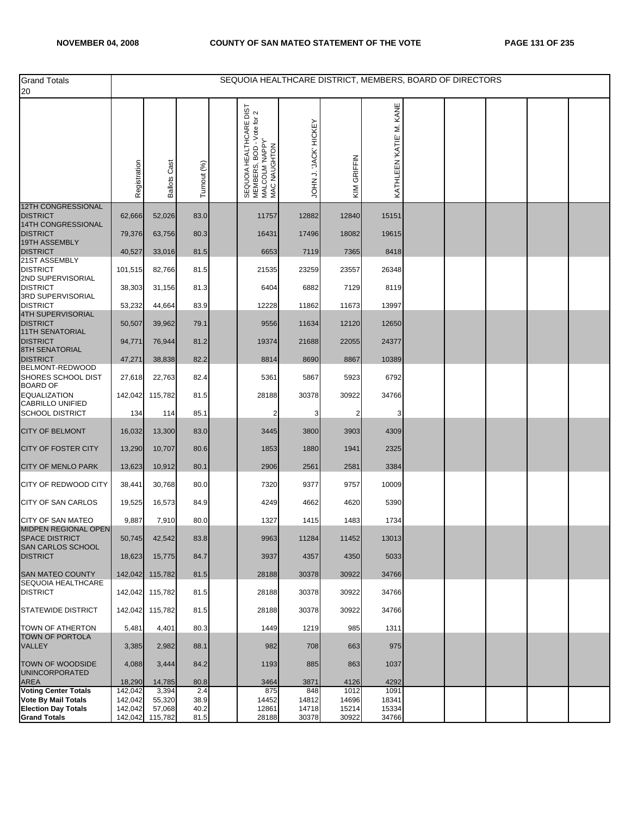| <b>Grand Totals</b>                                         |                    |                     |              | SEQUOIA HEALTHCARE DISTRICT, MEMBERS, BOARD OF DIRECTORS                                                   |                               |                |                         |  |  |  |
|-------------------------------------------------------------|--------------------|---------------------|--------------|------------------------------------------------------------------------------------------------------------|-------------------------------|----------------|-------------------------|--|--|--|
| 20                                                          |                    |                     |              |                                                                                                            |                               |                |                         |  |  |  |
|                                                             | Registration       | <b>Ballots Cast</b> | Turnout (%)  | HEALTHCARE DIST<br>SEQUOIA HEALTHCARE DIST<br>MEMBERS, BOD - Voie for 2<br>MALCOLM 'NAPPY'<br>MAC NAUGHTON | <b>JACK HICKEY</b><br>JOHN J. | GRIFFIN<br>KIM | KATHLEEN KATIE' M. KANE |  |  |  |
| <b>12TH CONGRESSIONAL</b><br><b>DISTRICT</b>                | 62,666             | 52,026              | 83.0         | 11757                                                                                                      | 12882                         | 12840          | 15151                   |  |  |  |
| 14TH CONGRESSIONAL<br><b>DISTRICT</b>                       | 79,376             | 63,756              | 80.3         | 16431                                                                                                      | 17496                         | 18082          | 19615                   |  |  |  |
| 19TH ASSEMBLY<br><b>DISTRICT</b>                            | 40,527             | 33,016              | 81.5         | 6653                                                                                                       | 7119                          | 7365           | 8418                    |  |  |  |
| 21ST ASSEMBLY                                               |                    |                     |              |                                                                                                            |                               |                |                         |  |  |  |
| <b>DISTRICT</b><br>2ND SUPERVISORIAL                        | 101,515            | 82,766              | 81.5         | 21535                                                                                                      | 23259                         | 23557          | 26348                   |  |  |  |
| <b>DISTRICT</b><br>3RD SUPERVISORIAL                        | 38,303             | 31,156              | 81.3         | 6404                                                                                                       | 6882                          | 7129           | 8119                    |  |  |  |
| <b>DISTRICT</b><br>4TH SUPERVISORIAL                        | 53,232             | 44,664              | 83.9         | 12228                                                                                                      | 11862                         | 11673          | 13997                   |  |  |  |
| <b>DISTRICT</b>                                             | 50,507             | 39,962              | 79.1         | 9556                                                                                                       | 11634                         | 12120          | 12650                   |  |  |  |
| <b>11TH SENATORIAL</b><br><b>DISTRICT</b><br>8TH SENATORIAL | 94,771             | 76,944              | 81.2         | 19374                                                                                                      | 21688                         | 22055          | 24377                   |  |  |  |
| <b>DISTRICT</b>                                             | 47,271             | 38,838              | 82.2         | 8814                                                                                                       | 8690                          | 8867           | 10389                   |  |  |  |
| BELMONT-REDWOOD<br>SHORES SCHOOL DIST                       | 27,618             | 22,763              | 82.4         | 5361                                                                                                       | 5867                          | 5923           | 6792                    |  |  |  |
| <b>BOARD OF</b><br><b>EQUALIZATION</b>                      | 142,042            | 115,782             | 81.5         | 28188                                                                                                      | 30378                         | 30922          | 34766                   |  |  |  |
| <b>CABRILLO UNIFIED</b><br><b>SCHOOL DISTRICT</b>           | 134                | 114                 | 85.1         | 2                                                                                                          | 3                             | 2              | 3                       |  |  |  |
| <b>CITY OF BELMONT</b>                                      | 16,032             | 13,300              | 83.0         | 3445                                                                                                       | 3800                          | 3903           | 4309                    |  |  |  |
| <b>CITY OF FOSTER CITY</b>                                  | 13,290             | 10,707              | 80.6         | 1853                                                                                                       | 1880                          | 1941           | 2325                    |  |  |  |
| <b>CITY OF MENLO PARK</b>                                   | 13,623             | 10,912              | 80.1         | 2906                                                                                                       | 2561                          | 2581           | 3384                    |  |  |  |
| CITY OF REDWOOD CITY                                        | 38,441             | 30,768              | 80.0         | 7320                                                                                                       | 9377                          | 9757           | 10009                   |  |  |  |
| <b>CITY OF SAN CARLOS</b>                                   | 19,525             | 16,573              | 84.9         | 4249                                                                                                       | 4662                          | 4620           | 5390                    |  |  |  |
| <b>CITY OF SAN MATEO</b><br>MIDPEN REGIONAL OPEN            | 9,887              | 7,910               | 80.0         | 1327                                                                                                       | 1415                          | 1483           | 1734                    |  |  |  |
| SPACE DISTRICT<br>SAN CARLOS SCHOOL                         | 50,745             | 42,542              | 83.8         | 9963                                                                                                       | 11284                         | 11452          | 13013                   |  |  |  |
| <b>DISTRICT</b>                                             | 18,623             | 15,775              | 84.7         | 3937                                                                                                       | 4357                          | 4350           | 5033                    |  |  |  |
| <b>SAN MATEO COUNTY</b>                                     |                    | 142,042 115,782     | 81.5         | 28188                                                                                                      | 30378                         | 30922          | 34766                   |  |  |  |
| SEQUOIA HEALTHCARE<br><b>DISTRICT</b>                       |                    | 142,042 115,782     | 81.5         | 28188                                                                                                      | 30378                         | 30922          | 34766                   |  |  |  |
| <b>STATEWIDE DISTRICT</b>                                   |                    | 142,042 115,782     | 81.5         | 28188                                                                                                      | 30378                         | 30922          | 34766                   |  |  |  |
| TOWN OF ATHERTON                                            | 5,481              | 4,401               | 80.3         | 1449                                                                                                       | 1219                          | 985            | 1311                    |  |  |  |
| <b>TOWN OF PORTOLA</b><br><b>VALLEY</b>                     | 3,385              | 2,982               | 88.1         | 982                                                                                                        | 708                           | 663            | 975                     |  |  |  |
| <b>TOWN OF WOODSIDE</b><br><b>UNINCORPORATED</b>            | 4,088              | 3,444               | 84.2         | 1193                                                                                                       | 885                           | 863            | 1037                    |  |  |  |
| AREA<br><b>Voting Center Totals</b>                         | 18,290<br>142,042  | 14,785<br>3,394     | 80.8<br>2.4  | 3464<br>875                                                                                                | 3871<br>848                   | 4126<br>1012   | 4292<br>1091            |  |  |  |
| <b>Vote By Mail Totals</b>                                  | 142,042            | 55,320              | 38.9         | 14452                                                                                                      | 14812                         | 14696          | 18341                   |  |  |  |
| <b>Election Day Totals</b><br><b>Grand Totals</b>           | 142,042<br>142,042 | 57,068<br>115,782   | 40.2<br>81.5 | 12861<br>28188                                                                                             | 14718<br>30378                | 15214<br>30922 | 15334<br>34766          |  |  |  |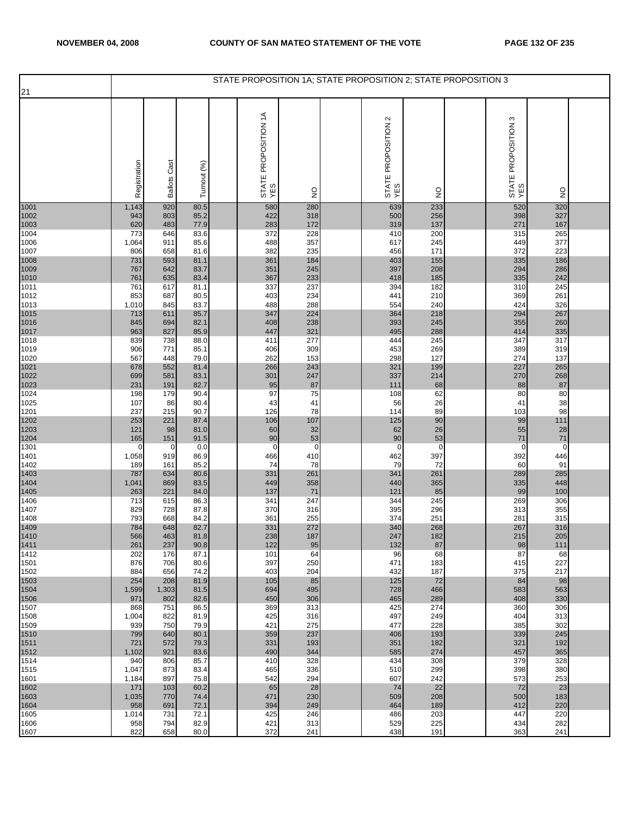|              |              |                     |              | STATE PROPOSITION 1A; STATE PROPOSITION 2; STATE PROPOSITION 3 |               |                                    |               |                               |               |  |
|--------------|--------------|---------------------|--------------|----------------------------------------------------------------|---------------|------------------------------------|---------------|-------------------------------|---------------|--|
| 21           |              |                     |              |                                                                |               |                                    |               |                               |               |  |
|              | Registration | <b>Ballots Cast</b> | Turnout (%)  | STATE PROPOSITION 1A<br>YES                                    | $\frac{0}{2}$ | $\sim$<br>STATE PROPOSITION<br>YES | $\frac{1}{2}$ | ო<br>STATE PROPOSITION<br>YES | $\frac{0}{2}$ |  |
| 1001         | 1,143        | 920                 | 80.5         | 580                                                            | 280           | 639                                | 233           | 520                           | 320           |  |
| 1002<br>1003 | 943<br>620   | 803<br>483          | 85.2<br>77.9 | 422<br>283                                                     | 318<br>172    | 500<br>319                         | 256<br>137    | 398<br>271                    | 327<br>167    |  |
| 1004         | 773          | 646                 | 83.6         | 372                                                            | 228           | 410                                | 200           | 315                           | 265           |  |
| 1006         | 1,064        | 911                 | 85.6         | 488                                                            | 357           | 617                                | 245           | 449                           | 377           |  |
| 1007         | 806<br>731   | 658<br>593          | 81.6<br>81.1 | 382<br>361                                                     | 235<br>184    | 456<br>403                         | 171<br>155    | 372<br>335                    | 223<br>186    |  |
| 1008<br>1009 | 767          | 642                 | 83.7         | 351                                                            | 245           | 397                                | 208           | 294                           | 286           |  |
| 1010         | 761          | 635                 | 83.4         | 367                                                            | 233           | 418                                | 185           | 335                           | 242           |  |
| 1011<br>1012 | 761<br>853   | 617<br>687          | 81.1<br>80.5 | 337<br>403                                                     | 237<br>234    | 394<br>441                         | 182<br>210    | 310<br>369                    | 245<br>261    |  |
| 1013         | 1,010        | 845                 | 83.7         | 488                                                            | 288           | 554                                | 240           | 424                           | 326           |  |
| 1015         | 713          | 611                 | 85.7         | 347                                                            | 224           | 364                                | 218           | 294                           | 267           |  |
| 1016<br>1017 | 845          | 694                 | 82.1         | 408                                                            | 238           | 393                                | 245           | 355                           | 260           |  |
| 1018         | 963<br>839   | 827<br>738          | 85.9<br>88.0 | 447<br>411                                                     | 321<br>277    | 495<br>444                         | 288<br>245    | 414<br>347                    | 335<br>317    |  |
| 1019         | 906          | 771                 | 85.1         | 406                                                            | 309           | 453                                | 269           | 389                           | 319           |  |
| 1020         | 567<br>678   | 448<br>552          | 79.0<br>81.4 | 262<br>266                                                     | 153<br>243    | 298                                | 127           | 274<br>227                    | 137<br>265    |  |
| 1021<br>1022 | 699          | 581                 | 83.1         | 301                                                            | 247           | 321<br>337                         | 199<br>214    | 270                           | 268           |  |
| 1023         | 231          | 191                 | 82.7         | 95                                                             | 87            | 111                                | 68            | 88                            | 87            |  |
| 1024<br>1025 | 198<br>107   | 179<br>86           | 90.4<br>80.4 | 97<br>43                                                       | 75<br>41      | 108<br>56                          | 62<br>26      | 80<br>41                      | 80<br>38      |  |
| 1201         | 237          | 215                 | 90.7         | 126                                                            | 78            | 114                                | 89            | 103                           | 98            |  |
| 1202         | 253          | 221                 | 87.4         | 106                                                            | 107           | 125                                | 90            | 99                            | 111           |  |
| 1203<br>1204 | 121<br>165   | 98<br>151           | 81.0<br>91.5 | 60<br>90                                                       | 32<br>53      | 62<br>90                           | 26<br>53      | 55<br>71                      | 28<br>71      |  |
| 1301         | $\mathbf 0$  | 0                   | 0.0          | $\mathbf 0$                                                    | $\mathbf 0$   | $\mathbf 0$                        | $\mathbf 0$   | $\mathbf 0$                   | $\mathbf 0$   |  |
| 1401         | 1,058        | 919                 | 86.9         | 466                                                            | 410           | 462                                | 397           | 392                           | 446           |  |
| 1402<br>1403 | 189<br>787   | 161<br>634          | 85.2<br>80.6 | 74<br>331                                                      | 78<br>261     | 79<br>341                          | 72<br>261     | 60<br>289                     | 91<br>285     |  |
| 1404         | 1,041        | 869                 | 83.5         | 449                                                            | 358           | 440                                | 365           | 335                           | 448           |  |
| 1405         | 263          | 221                 | 84.0         | 137                                                            | 71            | 121                                | 85            | 99                            | 100           |  |
| 1406<br>1407 | 713<br>829   | 615<br>728          | 86.3<br>87.8 | 341<br>370                                                     | 247<br>316    | 344<br>395                         | 245<br>296    | 269<br>313                    | 306<br>355    |  |
| 1408         | 793          | 668                 | 84.2         | 361                                                            | 255           | 374                                | 251           | 281                           | 315           |  |
| 1409<br>1410 | 784<br>566   | 648                 | 82.7<br>81.8 | 331<br>238                                                     | 272           | 340<br>247                         | 268           | 267<br>215                    | 316<br>205    |  |
| 1411         | 261          | 463<br>237          | 90.8         | 122                                                            | 187<br>95     | 132                                | 182<br>87     | 98                            | 111           |  |
| 1412         | 202          | 176                 | 87.1         | 101                                                            | 64            | 96                                 | 68            | 87                            | 68            |  |
| 1501<br>1502 | 876<br>884   | 706<br>656          | 80.6<br>74.2 | 397<br>403                                                     | 250<br>204    | 471<br>432                         | 183<br>187    | 415<br>375                    | 227<br>217    |  |
| 1503         | 254          | 208                 | 81.9         | 105                                                            | 85            | 125                                | 72            | 84                            | 98            |  |
| 1504         | 1,599        | 1,303               | 81.5         | 694                                                            | 495           | 728                                | 466           | 583                           | 563           |  |
| 1506<br>1507 | 971<br>868   | 802<br>751          | 82.6<br>86.5 | 450<br>369                                                     | 306<br>313    | 465<br>425                         | 289<br>274    | 408<br>360                    | 330<br>306    |  |
| 1508         | 1,004        | 822                 | 81.9         | 425                                                            | 316           | 497                                | 249           | 404                           | 313           |  |
| 1509         | 939          | 750                 | 79.9         | 421                                                            | 275           | 477                                | 228           | 385                           | 302           |  |
| 1510<br>1511 | 799<br>721   | 640<br>572          | 80.1<br>79.3 | 359<br>331                                                     | 237<br>193    | 406<br>351                         | 193<br>182    | 339<br>321                    | 245<br>192    |  |
| 1512         | 1,102        | 921                 | 83.6         | 490                                                            | 344           | 585                                | 274           | 457                           | 365           |  |
| 1514         | 940<br>1,047 | 806<br>873          | 85.7<br>83.4 | 410<br>465                                                     | 328<br>336    | 434<br>510                         | 308<br>299    | 379<br>398                    | 328<br>380    |  |
| 1515<br>1601 | 1,184        | 897                 | 75.8         | 542                                                            | 294           | 607                                | 242           | 573                           | 253           |  |
| 1602         | 171          | 103                 | 60.2         | 65                                                             | 28            | 74                                 | 22            | 72                            | 23            |  |
| 1603<br>1604 | 1,035<br>958 | 770<br>691          | 74.4<br>72.1 | 471<br>394                                                     | 230<br>249    | 509<br>464                         | 208<br>189    | 500<br>412                    | 183<br>220    |  |
| 1605         | 1,014        | 731                 | 72.1         | 425                                                            | 246           | 486                                | 203           | 447                           | 220           |  |
| 1606         | 958          | 794                 | 82.9         | 421                                                            | 313           | 529                                | 225           | 434                           | 282           |  |
| 1607         | 822          | 658                 | 80.0         | 372                                                            | 241           | 438                                | 191           | 363                           | 241           |  |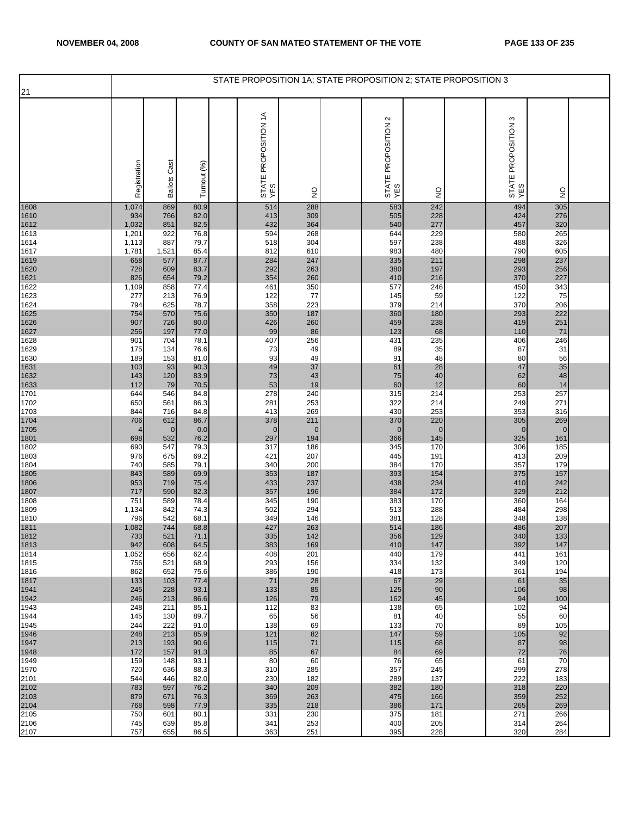|              |              |                     |              | STATE PROPOSITION 1A; STATE PROPOSITION 2; STATE PROPOSITION 3 |                    |                            |                    |                               |                  |  |
|--------------|--------------|---------------------|--------------|----------------------------------------------------------------|--------------------|----------------------------|--------------------|-------------------------------|------------------|--|
| 21           |              |                     |              |                                                                |                    |                            |                    |                               |                  |  |
|              | Registration | <b>Ballots Cast</b> | Turnout (%)  | STATE PROPOSITION 1A<br>YES                                    | $\frac{0}{2}$      | STATE PROPOSITION 2<br>YES | $\frac{1}{2}$      | S<br>STATE PROPOSITION<br>YES | $\frac{0}{2}$    |  |
| 1608         | 1,074        | 869                 | 80.9         | 514                                                            | 288                | 583                        | 242                | 494                           | 305              |  |
| 1610<br>1612 | 934<br>1,032 | 766<br>851          | 82.0<br>82.5 | 413<br>432                                                     | 309<br>364         | 505<br>540                 | 228<br>277         | 424<br>457                    | 276<br>320       |  |
| 1613         | 1,201        | 922                 | 76.8         | 594                                                            | 268                | 644                        | 229                | 580                           | 265              |  |
| 1614         | 1,113        | 887                 | 79.7         | 518                                                            | 304                | 597                        | 238                | 488                           | 326              |  |
| 1617<br>1619 | 1,781<br>658 | 1,521<br>577        | 85.4<br>87.7 | 812<br>284                                                     | 610<br>247         | 983<br>335                 | 480<br>211         | 790<br>298                    | 605<br>237       |  |
| 1620         | 728          | 609                 | 83.7         | 292                                                            | 263                | 380                        | 197                | 293                           | 256              |  |
| 1621<br>1622 | 826<br>1,109 | 654<br>858          | 79.2<br>77.4 | 354<br>461                                                     | 260<br>350         | 410<br>577                 | 216<br>246         | 370<br>450                    | 227<br>343       |  |
| 1623         | 277          | 213                 | 76.9         | 122                                                            | 77                 | 145                        | 59                 | 122                           | 75               |  |
| 1624         | 794          | 625                 | 78.7         | 358                                                            | 223                | 379                        | 214                | 370                           | 206              |  |
| 1625<br>1626 | 754<br>907   | 570<br>726          | 75.6<br>80.0 | 350<br>426                                                     | 187<br>260         | 360<br>459                 | 180<br>238         | 293<br>419                    | 222<br>251       |  |
| 1627         | 256          | 197                 | 77.0         | 99                                                             | 86                 | 123                        | 68                 | 110                           | 71               |  |
| 1628<br>1629 | 901<br>175   | 704<br>134          | 78.1<br>76.6 | 407<br>73                                                      | 256<br>49          | 431<br>89                  | 235<br>35          | 406<br>87                     | 246<br>31        |  |
| 1630         | 189          | 153                 | 81.0         | 93                                                             | 49                 | 91                         | 48                 | 80                            | 56               |  |
| 1631<br>1632 | 103<br>143   | 93<br>120           | 90.3<br>83.9 | 49<br>73                                                       | 37<br>43           | 61<br>75                   | 28<br>40           | 47<br>62                      | 35<br>48         |  |
| 1633         | 112          | 79                  | 70.5         | 53                                                             | 19                 | 60                         | 12                 | 60                            | 14               |  |
| 1701         | 644          | 546                 | 84.8         | 278                                                            | 240                | 315                        | 214                | 253                           | 257              |  |
| 1702<br>1703 | 650<br>844   | 561<br>716          | 86.3<br>84.8 | 281<br>413                                                     | 253<br>269         | 322<br>430                 | 214<br>253         | 249<br>353                    | 271<br>316       |  |
| 1704         | 706          | 612                 | 86.7         | 378                                                            | 211                | 370                        | 220                | 305                           | 269              |  |
| 1705<br>1801 | 698          | $\mathbf{0}$<br>532 | 0.0<br>76.2  | $\mathbf{0}$<br>297                                            | $\mathbf 0$<br>194 | $\overline{0}$<br>366      | $\mathbf 0$<br>145 | $\mathbf 0$<br>325            | $\pmb{0}$<br>161 |  |
| 1802         | 690          | 547                 | 79.3         | 317                                                            | 186                | 345                        | 170                | 306                           | 185              |  |
| 1803<br>1804 | 976<br>740   | 675<br>585          | 69.2<br>79.1 | 421<br>340                                                     | 207<br>200         | 445<br>384                 | 191<br>170         | 413<br>357                    | 209<br>179       |  |
| 1805         | 843          | 589                 | 69.9         | 353                                                            | 187                | 393                        | 154                | 375                           | 157              |  |
| 1806         | 953          | 719                 | 75.4         | 433                                                            | 237                | 438                        | 234                | 410                           | 242              |  |
| 1807<br>1808 | 717<br>751   | 590<br>589          | 82.3<br>78.4 | 357<br>345                                                     | 196<br>190         | 384<br>383                 | 172<br>170         | 329<br>360                    | 212<br>164       |  |
| 1809         | 1,134        | 842                 | 74.3         | 502                                                            | 294                | 513                        | 288                | 484                           | 298              |  |
| 1810         | 796<br>1,082 | 542<br>744          | 68.1<br>68.8 | 349<br>427                                                     | 146<br>263         | 381<br>514                 | 128<br>186         | 348<br>486                    | 138<br>207       |  |
| 1811<br>1812 | 733          | 521                 | 71.1         | 335                                                            | 142                | 356                        | 129                | 340                           | 133              |  |
| 1813<br>1814 | 942          | 608<br>656          | 64.5         | 383                                                            | 169<br>201         | 410                        | 147<br>179         | 392                           | 147<br>161       |  |
| 1815         | 1,052<br>756 | 521                 | 62.4<br>68.9 | 408<br>293                                                     | 156                | 440<br>334                 | 132                | 441<br>349                    | 120              |  |
| 1816         | 862          | 652                 | 75.6         | 386                                                            | 190                | 418                        | 173                | 361                           | 194              |  |
| 1817<br>1941 | 133<br>245   | 103<br>228          | 77.4<br>93.1 | 71<br>133                                                      | 28<br>85           | 67<br>125                  | 29<br>90           | 61<br>106                     | 35<br>98         |  |
| 1942         | 246          | 213                 | 86.6         | 126                                                            | 79                 | 162                        | 45                 | 94                            | 100              |  |
| 1943<br>1944 | 248<br>145   | 211<br>130          | 85.1<br>89.7 | 112<br>65                                                      | 83<br>56           | 138<br>81                  | 65<br>40           | 102<br>55                     | 94<br>60         |  |
| 1945         | 244          | 222                 | 91.0         | 138                                                            | 69                 | 133                        | 70                 | 89                            | 105              |  |
| 1946         | 248          | 213                 | 85.9         | 121                                                            | 82<br>71           | 147                        | 59                 | 105                           | 92<br>98         |  |
| 1947<br>1948 | 213<br>172   | 193<br>157          | 90.6<br>91.3 | 115<br>85                                                      | 67                 | 115<br>84                  | 68<br>69           | 87<br>72                      | 76               |  |
| 1949         | 159          | 148                 | 93.1         | 80                                                             | 60                 | 76                         | 65                 | 61                            | 70               |  |
| 1970<br>2101 | 720<br>544   | 636<br>446          | 88.3<br>82.0 | 310<br>230                                                     | 285<br>182         | 357<br>289                 | 245<br>137         | 299<br>222                    | 278<br>183       |  |
| 2102         | 783          | 597                 | 76.2         | 340                                                            | 209                | 382                        | 180                | 318                           | 220              |  |
| 2103         | 879<br>768   | 671<br>598          | 76.3<br>77.9 | 369<br>335                                                     | 263<br>218         | 475<br>386                 | 166<br>171         | 359<br>265                    | 252<br>269       |  |
| 2104<br>2105 | 750          | 601                 | 80.1         | 331                                                            | 230                | 375                        | 181                | 271                           | 266              |  |
| 2106<br>2107 | 745<br>757   | 639<br>655          | 85.8<br>86.5 | 341<br>363                                                     | 253<br>251         | 400<br>395                 | 205<br>228         | 314<br>320                    | 264<br>284       |  |
|              |              |                     |              |                                                                |                    |                            |                    |                               |                  |  |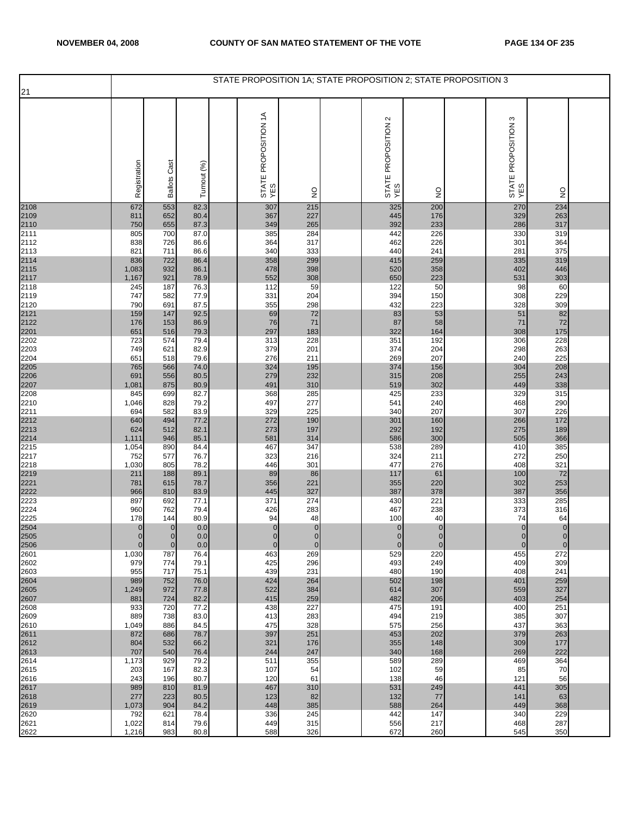| 21                                   |                       |                     |                 | STATE PROPOSITION 1A; STATE PROPOSITION 2; STATE PROPOSITION 3 |                    |                            |                      |                            |                    |  |
|--------------------------------------|-----------------------|---------------------|-----------------|----------------------------------------------------------------|--------------------|----------------------------|----------------------|----------------------------|--------------------|--|
|                                      | Registration          | <b>Ballots Cast</b> | Turnout (%)     | STATE PROPOSITION 1A<br>YES                                    | $\frac{0}{2}$      | STATE PROPOSITION 2<br>YES | $\frac{0}{2}$        | STATE PROPOSITION 3<br>YES | $\frac{0}{2}$      |  |
| 2108<br>2109<br>2110<br>2111         | 672                   | 553                 | 82.3            | 307                                                            | 215                | 325                        | 200                  | 270                        | 234                |  |
|                                      | 811<br>750            | 652<br>655          | 80.4<br>87.3    | 367<br>349                                                     | 227<br>265         | 445<br>392                 | 176<br>233           | 329<br>286                 | 263<br>317         |  |
|                                      | 805                   | 700                 | 87.0            | 385                                                            | 284                | 442                        | 226                  | 330                        | 319                |  |
| 2112                                 | 838<br>821            | 726<br>711          | 86.6<br>86.6    | 364<br>340                                                     | 317<br>333         | 462<br>440                 | 226<br>241           | 301<br>281                 | 364<br>375         |  |
|                                      | 836                   | 722                 | 86.4            | 358                                                            | 299                | 415                        | 259                  | 335                        | 319                |  |
| 2113<br>2114<br>2115<br>2117<br>2118 | 1,083<br>1,167        | 932<br>921          | 86.1<br>78.9    | 478<br>552                                                     | 398<br>308         | 520<br>650                 | 358<br>223           | 402<br>531                 | 446<br>303         |  |
|                                      | 245                   | 187                 | 76.3            | 112                                                            | 59                 | 122                        | 50                   | 98                         | 60                 |  |
| 2119<br>2120                         | 747<br>790            | 582<br>691          | 77.9<br>87.5    | 331<br>355                                                     | 204<br>298         | 394<br>432                 | 150<br>223           | 308<br>328                 | 229<br>309         |  |
| 2121                                 | 159                   | 147                 | 92.5            | 69                                                             | 72                 | 83                         | 53                   | 51                         | 82                 |  |
| 2122<br>2201                         | 176<br>651            | 153<br>516          | 86.9<br>79.3    | 76<br>297                                                      | 71<br>183          | 87<br>322                  | 58<br>164            | 71<br>308                  | 72<br>175          |  |
| 2202                                 | 723                   | 574                 | 79.4            | 313                                                            | 228                | 351                        | 192                  | 306                        | 228                |  |
| 2203<br>2204                         | 749<br>651            | 621<br>518          | 82.9<br>79.6    | 379<br>276                                                     | 201<br>211         | 374<br>269                 | 204<br>207           | 298<br>240                 | 263<br>225         |  |
|                                      | 765                   | 566                 | 74.0            | 324                                                            | 195                | 374                        | 156                  | 304                        | 208                |  |
| 2205<br>2206<br>2207                 | 691                   | 556                 | 80.5            | 279                                                            | 232                | 315                        | 208                  | 255                        | 243                |  |
| 2208                                 | 1,081<br>845          | 875<br>699          | 80.9<br>82.7    | 491<br>368                                                     | 310<br>285         | 519<br>425                 | 302<br>233           | 449<br>329                 | 338<br>315         |  |
| 2210                                 | 1,046                 | 828                 | 79.2            | 497                                                            | 277                | 541                        | 240                  | 468                        | 290                |  |
| 2211<br>2212                         | 694<br>640            | 582<br>494          | 83.9<br>77.2    | 329<br>272                                                     | 225<br>190         | 340<br>301                 | 207<br>160           | 307<br>266                 | 226<br>172         |  |
| 2213<br>2214                         | 624                   | 512                 | 82.1            | 273                                                            | 197                | 292                        | 192                  | 275                        | 189                |  |
| 2215                                 | 1,111<br>1,054        | 946<br>890          | 85.1<br>84.4    | 581<br>467                                                     | 314<br>347         | 586<br>538                 | 300<br>289           | 505<br>410                 | 366<br>385         |  |
| 2217                                 | 752                   | 577                 | 76.7            | 323                                                            | 216                | 324                        | 211                  | 272                        | 250                |  |
| 2218<br>2219                         | 1,030<br>211          | 805<br>188          | 78.2<br>89.1    | 446<br>89                                                      | 301<br>86          | 477<br>117                 | 276<br>61            | 408<br>100                 | 321<br>72          |  |
| 2221                                 | 781                   | 615                 | 78.7            | 356                                                            | 221                | 355                        | 220                  | 302                        | 253                |  |
| 2222<br>2223                         | 966<br>897            | 810<br>692          | 83.9<br>77.1    | 445<br>371                                                     | 327<br>274         | 387<br>430                 | 378<br>221           | 387<br>333                 | 356<br>285         |  |
| 2224                                 | 960                   | 762                 | 79.4            | 426                                                            | 283                | 467                        | 238                  | 373                        | 316                |  |
| 2225                                 | 178<br>$\overline{0}$ | 144<br>$\mathbf{0}$ | 80.9<br>$0.0\,$ | 94<br>$\mathbf{0}$                                             | 48<br>$\pmb{0}$    | 100<br>$\overline{0}$      | 40<br>$\overline{0}$ | 74<br>$\mathbf{0}$         | 64<br>$\pmb{0}$    |  |
| 2504<br>2505                         | $\overline{O}$        | $\overline{0}$      | 0.0             | $\overline{0}$                                                 | $\overline{0}$     | $\overline{0}$             | $\overline{0}$       | $\Omega$                   | $\overline{0}$     |  |
| 2506<br>2601                         | $\mathbf 0$<br>1,030  | $\mathbf 0$<br>787  | 0.0<br>76.4     | $\overline{0}$<br>463                                          | $\mathbf 0$<br>269 | $\mathbf{0}$<br>529        | $\mathbf 0$<br>220   | $\overline{0}$<br>455      | $\mathbf 0$<br>272 |  |
| 2602                                 | 979                   | 774                 | 79.1            | 425                                                            | 296                | 493                        | 249                  | 409                        | 309                |  |
| 2603<br>2604                         | 955<br>989            | 717<br>752          | 75.1<br>76.0    | 439<br>424                                                     | 231<br>264         | 480<br>502                 | 190<br>198           | 408<br>401                 | 241<br>259         |  |
| 2605                                 | 1,249                 | 972                 | 77.8            | 522                                                            | 384                | 614                        | 307                  | 559                        | 327                |  |
| 2607<br>2608                         | 881<br>933            | 724<br>720          | 82.2<br>77.2    | 415<br>438                                                     | 259<br>227         | 482<br>475                 | 206<br>191           | 403<br>400                 | 254<br>251         |  |
| 2609                                 | 889                   | 738                 | 83.0            | 413                                                            | 283                | 494                        | 219                  | 385                        | 307                |  |
| 2610<br>2611                         | 1,049<br>872          | 886<br>686          | 84.5<br>78.7    | 475<br>397                                                     | 328<br>251         | 575<br>453                 | 256<br>202           | 437<br>379                 | 363<br>263         |  |
| 2612                                 | 804                   | 532                 | 66.2            | 321                                                            | 176                | 355                        | 148                  | 309                        | 177                |  |
| 2613<br>2614                         | 707<br>1,173          | 540<br>929          | 76.4<br>79.2    | 244<br>511                                                     | 247<br>355         | 340<br>589                 | 168<br>289           | 269<br>469                 | 222<br>364         |  |
| 2615                                 | 203                   | 167                 | 82.3            | 107                                                            | 54                 | 102                        | 59                   | 85                         | 70                 |  |
| 2616<br>2617                         | 243<br>989            | 196<br>810          | 80.7<br>81.9    | 120<br>467                                                     | 61<br>310          | 138<br>531                 | 46<br>249            | 121<br>441                 | 56<br>305          |  |
| 2618                                 | 277                   | 223                 | 80.5            | 123                                                            | 82                 | 132                        | 77                   | 141                        | 63                 |  |
| 2619<br>2620                         | 1,073<br>792          | 904<br>621          | 84.2<br>78.4    | 448<br>336                                                     | 385<br>245         | 588<br>442                 | 264<br>147           | 449<br>340                 | 368<br>229         |  |
| 2621                                 | 1,022                 | 814                 | 79.6            | 449                                                            | 315                | 556                        | 217                  | 468                        | 287                |  |
| 2622                                 | 1,216                 | 983                 | 80.8            | 588                                                            | 326                | 672                        | 260                  | 545                        | 350                |  |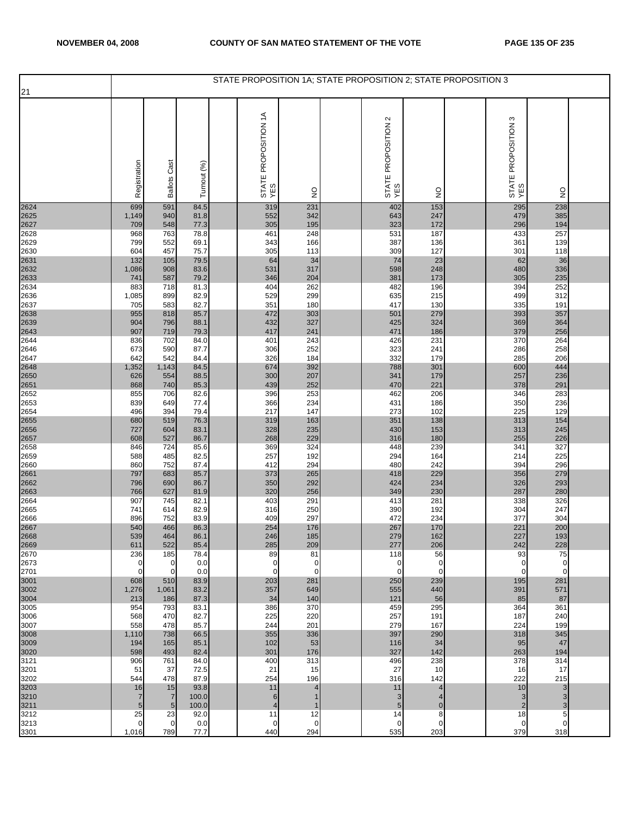|              |                    |                     |              | STATE PROPOSITION 1A; STATE PROPOSITION 2; STATE PROPOSITION 3 |                       |                                               |                       |                               |               |  |
|--------------|--------------------|---------------------|--------------|----------------------------------------------------------------|-----------------------|-----------------------------------------------|-----------------------|-------------------------------|---------------|--|
| 21           |                    |                     |              |                                                                |                       |                                               |                       |                               |               |  |
|              | Registration       | <b>Ballots Cast</b> | Turnout (%)  | STATE PROPOSITION 1A<br>YES                                    | $\frac{1}{2}$         | $\mathbf{\Omega}$<br>STATE PROPOSITION<br>YES | $\frac{0}{2}$         | S<br>STATE PROPOSITION<br>YES | $\frac{0}{2}$ |  |
| 2624         | 699                | 591                 | 84.5         | 319                                                            | 231                   | 402                                           | 153                   | 295                           | 238           |  |
| 2625<br>2627 | 1,149<br>709       | 940<br>548          | 81.8<br>77.3 | 552<br>305                                                     | 342<br>195            | 643<br>323                                    | 247<br>172            | 479<br>296                    | 385<br>194    |  |
| 2628         | 968                | 763                 | 78.8         | 461                                                            | 248                   | 531                                           | 187                   | 433                           | 257           |  |
| 2629         | 799                | 552                 | 69.1         | 343<br>305                                                     | 166                   | 387                                           | 136<br>127            | 361                           | 139           |  |
| 2630<br>2631 | 604<br>132         | 457<br>105          | 75.7<br>79.5 | 64                                                             | 113<br>34             | 309<br>74                                     | 23                    | 301<br>62                     | 118<br>36     |  |
| 2632         | 1,086              | 908                 | 83.6         | 531                                                            | 317                   | 598                                           | 248                   | 480                           | 336           |  |
| 2633<br>2634 | 741<br>883         | 587<br>718          | 79.2<br>81.3 | 346<br>404                                                     | 204<br>262            | 381<br>482                                    | 173<br>196            | 305<br>394                    | 235<br>252    |  |
| 2636         | 1,085              | 899                 | 82.9         | 529                                                            | 299                   | 635                                           | 215                   | 499                           | 312           |  |
| 2637         | 705                | 583                 | 82.7         | 351                                                            | 180                   | 417                                           | 130                   | 335                           | 191           |  |
| 2638<br>2639 | 955<br>904         | 818<br>796          | 85.7<br>88.1 | 472<br>432                                                     | 303<br>327            | 501<br>425                                    | 279<br>324            | 393<br>369                    | 357<br>364    |  |
| 2643         | 907                | 719                 | 79.3         | 417                                                            | 241                   | 471                                           | 186                   | 379                           | 256           |  |
| 2644         | 836                | 702                 | 84.0         | 401                                                            | 243                   | 426                                           | 231                   | 370                           | 264           |  |
| 2646<br>2647 | 673<br>642         | 590<br>542          | 87.7<br>84.4 | 306<br>326                                                     | 252<br>184            | 323<br>332                                    | 241<br>179            | 286<br>285                    | 258<br>206    |  |
|              | 1,352              | 1,143               | 84.5         | 674                                                            | 392                   | 788                                           | 301                   | 600                           | 444           |  |
| 2648<br>2650 | 626                | 554                 | 88.5         | 300                                                            | 207                   | 341                                           | 179<br>221            | 257                           | 236           |  |
| 2651<br>2652 | 868<br>855         | 740<br>706          | 85.3<br>82.6 | 439<br>396                                                     | 252<br>253            | 470<br>462                                    | 206                   | 378<br>346                    | 291<br>283    |  |
| 2653         | 839                | 649                 | 77.4         | 366                                                            | 234                   | 431                                           | 186                   | 350                           | 236           |  |
| 2654<br>2655 | 496<br>680         | 394<br>519          | 79.4<br>76.3 | 217<br>319                                                     | 147<br>163            | 273<br>351                                    | 102<br>138            | 225<br>313                    | 129<br>154    |  |
| 2656         | 727                | 604                 | 83.1         | 328                                                            | 235                   | 430                                           | 153                   | 313                           | 245           |  |
| 2657         | 608                | 527                 | 86.7         | 268                                                            | 229                   | 316                                           | 180                   | 255                           | 226           |  |
| 2658<br>2659 | 846<br>588         | 724<br>485          | 85.6<br>82.5 | 369<br>257                                                     | 324<br>192            | 448<br>294                                    | 239<br>164            | 341<br>214                    | 327<br>225    |  |
| 2660         | 860                | 752                 | 87.4         | 412                                                            | 294                   | 480                                           | 242                   | 394                           | 296           |  |
| 2661         | 797                | 683                 | 85.7         | 373                                                            | 265                   | 418                                           | 229                   | 356                           | 279           |  |
| 2662<br>2663 | 796<br>766         | 690<br>627          | 86.7<br>81.9 | 350<br>320                                                     | 292<br>256            | 424<br>349                                    | 234<br>230            | 326<br>287                    | 293<br>280    |  |
| 2664         | 907                | 745                 | 82.1         | 403                                                            | 291                   | 413                                           | 281                   | 338                           | 326           |  |
| 2665         | 741                | 614                 | 82.9<br>83.9 | 316<br>409                                                     | 250<br>297            | 390<br>472                                    | 192<br>234            | 304<br>377                    | 247<br>304    |  |
| 2666         | 896<br>540         | 752<br>466          | 86.3         | 254                                                            | 176                   | 267                                           | 170                   | 221                           | 200           |  |
| 2667<br>2668 | 539                | 464                 | 86.1         | 246                                                            | 185                   | 279                                           | 162                   | 227                           | 193           |  |
| 2669<br>2670 | 611<br>236         | 522<br>185          | 85.4<br>78.4 | 285<br>89                                                      | 209<br>81             | 277<br>118                                    | 206<br>56             | 242<br>93                     | 228<br>75     |  |
| 2673         | $\mathbf 0$        | $\mathbf 0$         | 0.0          | 0                                                              | 0                     | 0                                             | 0                     | $\mathbf 0$                   | $\mathbf 0$   |  |
| 2701         | $\mathbf{0}$       | $\mathbf 0$         | 0.0          | 0                                                              | $\Omega$              | $\mathbf 0$                                   | 0                     | $\mathbf 0$                   | $\mathbf 0$   |  |
| 3001<br>3002 | 608<br>1,276       | 510<br>1,061        | 83.9<br>83.2 | 203<br>357                                                     | 281<br>649            | 250<br>555                                    | 239<br>440            | 195<br>391                    | 281<br>571    |  |
| 3004         | 213                | 186                 | 87.3         | 34                                                             | 140                   | 121                                           | 56                    | 85                            | 87            |  |
| 3005<br>3006 | 954<br>568         | 793<br>470          | 83.1         | 386<br>225                                                     | 370                   | 459                                           | 295<br>191            | 364                           | 361<br>240    |  |
| 3007         | 558                | 478                 | 82.7<br>85.7 | 244                                                            | 220<br>201            | 257<br>279                                    | 167                   | 187<br>224                    | 199           |  |
| 3008         | 1,110              | 738                 | 66.5         | 355                                                            | 336                   | 397                                           | 290                   | 318                           | 345           |  |
| 3009<br>3020 | 194<br>598         | 165<br>493          | 85.1<br>82.4 | 102<br>301                                                     | 53<br>176             | 116<br>327                                    | 34<br>142             | 95<br>263                     | 47<br>194     |  |
| 3121         | 906                | 761                 | 84.0         | 400                                                            | 313                   | 496                                           | 238                   | 378                           | 314           |  |
| 3201         | 51                 | 37                  | 72.5         | 21                                                             | 15                    | 27                                            | 10                    | 16                            | 17            |  |
| 3202<br>3203 | 544<br>16          | 478<br>15           | 87.9<br>93.8 | 254<br>11                                                      | 196<br>$\overline{4}$ | 316<br>11                                     | 142<br>$\overline{4}$ | 222<br>10                     | 215<br>3      |  |
| 3210         | $\overline{7}$     | $\overline{7}$      | 100.0        | 6                                                              |                       | 3                                             | $\overline{4}$        | 3                             | 3             |  |
| 3211         | $5\phantom{.0}$    | $5\overline{5}$     | 100.0        | $\overline{4}$                                                 |                       | 5                                             | $\mathbf 0$           | $\overline{2}$                | 3             |  |
| 3212<br>3213 | 25<br>$\mathbf{0}$ | 23<br>$\mathbf 0$   | 92.0<br>0.0  | 11<br>0                                                        | 12<br>$\mathbf 0$     | 14<br>0                                       | 8<br>$\mathbf 0$      | 18<br>$\mathbf 0$             | 5<br>0        |  |
| 3301         | 1,016              | 789                 | 77.7         | 440                                                            | 294                   | 535                                           | 203                   | 379                           | 318           |  |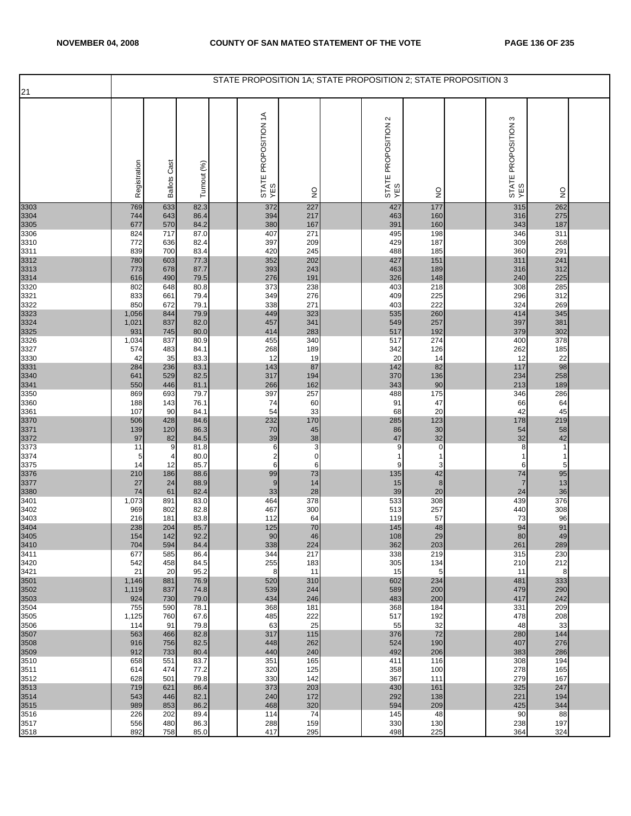|                      |                |                     |              | STATE PROPOSITION 1A; STATE PROPOSITION 2; STATE PROPOSITION 3 |               |                            |              |                            |               |  |
|----------------------|----------------|---------------------|--------------|----------------------------------------------------------------|---------------|----------------------------|--------------|----------------------------|---------------|--|
| 21                   |                |                     |              |                                                                |               |                            |              |                            |               |  |
|                      | Registration   | <b>Ballots Cast</b> | Turnout (%)  | STATE PROPOSITION 1A<br>YES                                    | $\frac{0}{2}$ | STATE PROPOSITION 2<br>YES | ş            | STATE PROPOSITION 3<br>YES | $\frac{0}{2}$ |  |
| 3303                 | 769            | 633                 | 82.3         | 372                                                            | 227           | 427                        | 177          | 315                        | 262           |  |
| 3304<br>3305         | 744            | 643                 | 86.4         | 394                                                            | 217           | 463                        | 160          | 316                        | 275           |  |
| 3306                 | 677<br>824     | 570<br>717          | 84.2<br>87.0 | 380<br>407                                                     | 167<br>271    | 391<br>495                 | 160<br>198   | 343<br>346                 | 187<br>311    |  |
| 3310                 | 772            | 636                 | 82.4         | 397                                                            | 209           | 429                        | 187          | 309                        | 268           |  |
| 3311                 | 839            | 700                 | 83.4         | 420                                                            | 245           | 488                        | 185          | 360                        | 291           |  |
| 3312<br>3313<br>3314 | 780            | 603                 | 77.3         | 352                                                            | 202           | 427                        | 151          | 311                        | 241           |  |
|                      | 773<br>616     | 678<br>490          | 87.7<br>79.5 | 393<br>276                                                     | 243<br>191    | 463<br>326                 | 189<br>148   | 316<br>240                 | 312<br>225    |  |
| 3320                 | 802            | 648                 | 80.8         | 373                                                            | 238           | 403                        | 218          | 308                        | 285           |  |
| 3321                 | 833            | 661                 | 79.4         | 349                                                            | 276           | 409                        | 225          | 296                        | 312           |  |
| 3322                 | 850            | 672                 | 79.1         | 338                                                            | 271           | 403                        | 222          | 324                        | 269<br>345    |  |
| 3323<br>3324         | 1,056<br>1,021 | 844<br>837          | 79.9<br>82.0 | 449<br>457                                                     | 323<br>341    | 535<br>549                 | 260<br>257   | 414<br>397                 | 381           |  |
| 3325                 | 931            | 745                 | 80.0         | 414                                                            | 283           | 517                        | 192          | 379                        | 302           |  |
| 3326                 | 1,034          | 837                 | 80.9         | 455                                                            | 340           | 517                        | 274          | 400                        | 378           |  |
| 3327<br>3330         | 574<br>42      | 483<br>35           | 84.1<br>83.3 | 268<br>12                                                      | 189<br>19     | 342<br>20                  | 126<br>14    | 262<br>12                  | 185<br>22     |  |
|                      | 284            | 236                 | 83.1         | 143                                                            | 87            | 142                        | 82           | 117                        | 98            |  |
| 3331<br>3340<br>3341 | 641            | 529                 | 82.5         | 317                                                            | 194           | 370                        | 136          | 234                        | 258           |  |
| 3350                 | 550            | 446<br>693          | 81.1         | 266<br>397                                                     | 162<br>257    | 343<br>488                 | 90<br>175    | 213<br>346                 | 189<br>286    |  |
| 3360                 | 869<br>188     | 143                 | 79.7<br>76.1 | 74                                                             | 60            | 91                         | 47           | 66                         | 64            |  |
| 3361                 | 107            | 90                  | 84.1         | 54                                                             | 33            | 68                         | 20           | 42                         | 45            |  |
| 3370                 | 506            | 428                 | 84.6         | 232                                                            | 170           | 285                        | 123          | 178                        | 219           |  |
| 3371<br>3372         | 139<br>97      | 120<br>82           | 86.3<br>84.5 | 70<br>39                                                       | 45<br>38      | 86<br>47                   | $30\,$<br>32 | 54<br>32                   | 58<br>42      |  |
| 3373                 | 11             | 9                   | 81.8         | 6                                                              | 3             | 9                          | 0            | 8                          | $\mathbf{1}$  |  |
| 3374                 | 5              | 4                   | 80.0         | $\boldsymbol{2}$                                               | $\mathbf 0$   | -1                         | $\mathbf{1}$ | 1                          | -1            |  |
| 3375<br>3376         | 14<br>210      | 12<br>186           | 85.7<br>88.6 | 6<br>99                                                        | 6<br>73       | 9<br>135                   | 3<br>42      | 6<br>74                    | 5<br>95       |  |
| 3377                 | 27             | 24                  | 88.9         | 9                                                              | 14            | 15                         | $\bf 8$      | 7                          | 13            |  |
| 3380                 | 74             | 61                  | 82.4         | 33                                                             | 28            | 39                         | $20\,$       | 24                         | 36            |  |
| 3401                 | 1,073          | 891                 | 83.0         | 464<br>467                                                     | 378<br>300    | 533                        | 308<br>257   | 439                        | 376<br>308    |  |
| 3402<br>3403         | 969<br>216     | 802<br>181          | 82.8<br>83.8 | 112                                                            | 64            | 513<br>119                 | 57           | 440<br>73                  | 96            |  |
| 3404<br>3405         | 238            | 204                 | 85.7         | 125                                                            | 70            | 145                        | 48           | 94                         | 91            |  |
|                      | 154            | 142                 | 92.2         | 90                                                             | 46            | 108                        | 29           | 80                         | 49            |  |
| 3410<br>3411         | 704<br>677     | 594<br>585          | 84.4<br>86.4 | 338<br>344                                                     | 224<br>217    | 362<br>338                 | 203<br>219   | 261<br>315                 | 289<br>230    |  |
| 3420                 | 542            | 458                 | 84.5         | 255                                                            | 183           | 305                        | 134          | 210                        | 212           |  |
| 3421                 | 21             | 20                  | 95.2         | 8                                                              | 11            | 15                         | $\sqrt{5}$   | 11                         | 8             |  |
| 3501<br>3502         | 1,146<br>1,119 | 881<br>837          | 76.9<br>74.8 | 520<br>539                                                     | 310<br>244    | 602<br>589                 | 234<br>200   | 481<br>479                 | 333<br>290    |  |
| 3503                 | 924            | 730                 | 79.0         | 434                                                            | 246           | 483                        | 200          | 417                        | 242           |  |
| 3504                 | 755            | 590                 | 78.1         | 368                                                            | 181           | 368                        | 184          | 331                        | 209           |  |
| 3505<br>3506         | 1,125<br>114   | 760<br>91           | 67.6<br>79.8 | 485<br>63                                                      | 222<br>25     | 517<br>55                  | 192<br>32    | 478<br>48                  | 208<br>33     |  |
| 3507                 | 563            | 466                 | 82.8         | 317                                                            | 115           | 376                        | 72           | 280                        | 144           |  |
| 3508<br>3509         | 916<br>912     | 756<br>733          | 82.5<br>80.4 | 448<br>440                                                     | 262<br>240    | 524<br>492                 | 190<br>206   | 407<br>383                 | 276<br>286    |  |
| 3510                 | 658            | 551                 | 83.7         | 351                                                            | 165           | 411                        | 116          | 308                        | 194           |  |
| 3511                 | 614            | 474                 | 77.2         | 320                                                            | 125           | 358                        | 100          | 278                        | 165           |  |
| 3512                 | 628            | 501                 | 79.8         | 330                                                            | 142           | 367                        | 111          | 279                        | 167           |  |
| 3513<br>3514         | 719<br>543     | 621<br>446          | 86.4<br>82.1 | 373<br>240                                                     | 203<br>172    | 430<br>292                 | 161<br>138   | 325<br>221                 | 247<br>194    |  |
| 3515                 | 989            | 853                 | 86.2         | 468                                                            | 320           | 594                        | 209          | 425                        | 344           |  |
| 3516                 | 226            | 202                 | 89.4         | 114                                                            | 74            | 145                        | 48           | 90                         | 88            |  |
| 3517<br>3518         | 556<br>892     | 480<br>758          | 86.3<br>85.0 | 288<br>417                                                     | 159<br>295    | 330<br>498                 | 130<br>225   | 238<br>364                 | 197<br>324    |  |
|                      |                |                     |              |                                                                |               |                            |              |                            |               |  |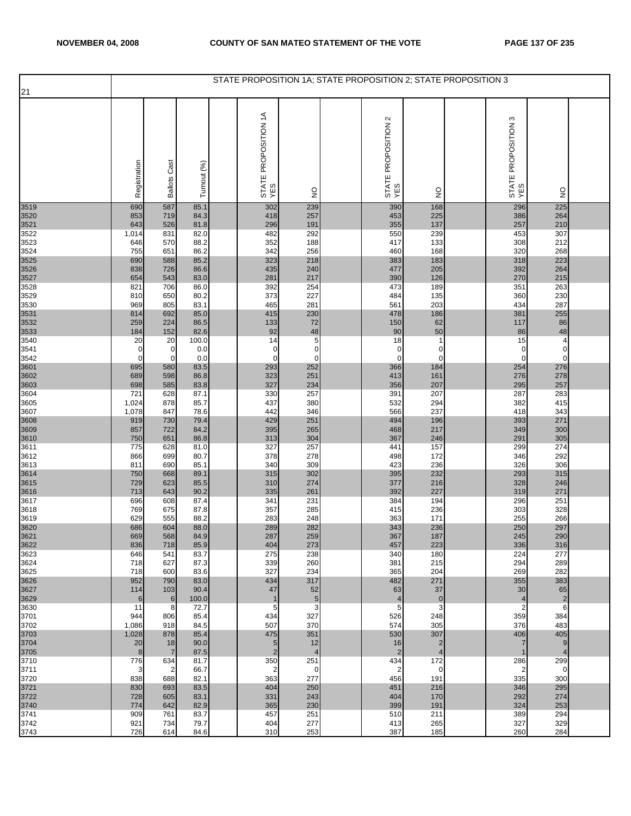| 21           |              |                       |               |                                   |                      |                            |                                  | STATE PROPOSITION 1A; STATE PROPOSITION 2; STATE PROPOSITION 3 |                               |                               |  |
|--------------|--------------|-----------------------|---------------|-----------------------------------|----------------------|----------------------------|----------------------------------|----------------------------------------------------------------|-------------------------------|-------------------------------|--|
|              |              |                       |               |                                   |                      |                            |                                  |                                                                |                               |                               |  |
|              | Registration | <b>Ballots Cast</b>   | Turnout (%)   | STATE PROPOSITION 1A<br>YES       | $\frac{1}{2}$        | STATE PROPOSITION 2<br>YES | $\frac{0}{2}$                    |                                                                | ო<br>STATE PROPOSITION<br>YES | $\mathsf{S}^{\mathsf{O}}$     |  |
| 3519         | 690          | 587                   | 85.1<br>84.3  | 302                               | 239<br>257           | 390                        | 168<br>225                       |                                                                | 296                           | 225<br>264                    |  |
| 3520<br>3521 | 853<br>643   | 719<br>526            | 81.8          | 418<br>296                        | 191                  | 453<br>355                 | 137                              |                                                                | 386<br>257                    | 210                           |  |
| 3522<br>3523 | 1,014<br>646 | 831<br>570            | 82.0<br>88.2  | 482<br>352                        | 292<br>188           | 550<br>417                 | 239<br>133                       |                                                                | 453<br>308                    | 307<br>212                    |  |
| 3524         | 755          | 651                   | 86.2          | 342                               | 256                  | 460                        | 168                              |                                                                | 320                           | 268                           |  |
| 3525<br>3526 | 690<br>838   | 588<br>726            | 85.2<br>86.6  | 323<br>435                        | 218<br>240           | 383<br>477                 | 183<br>205                       |                                                                | 318<br>392                    | 223<br>264                    |  |
| 3527         | 654          | 543                   | 83.0          | 281                               | 217                  | 390                        | 126                              |                                                                | 270                           | 215                           |  |
| 3528<br>3529 | 821<br>810   | 706<br>650            | 86.0<br>80.2  | 392<br>373                        | 254<br>227           | 473<br>484                 | 189<br>135                       |                                                                | 351<br>360                    | 263<br>230                    |  |
| 3530         | 969          | 805                   | 83.1          | 465                               | 281                  | 561                        | 203                              |                                                                | 434                           | 287                           |  |
| 3531<br>3532 | 814<br>259   | 692<br>224            | 85.0<br>86.5  | 415<br>133                        | 230<br>72            | 478<br>150                 | 186<br>62                        |                                                                | 381<br>117                    | 255<br>86                     |  |
| 3533         | 184          | 152                   | 82.6          | 92                                | 48                   | 90                         | 50                               |                                                                | 86                            | 48                            |  |
| 3540<br>3541 | 20<br>0      | 20<br>0               | 100.0<br>0.0  | 14<br>0                           | 5<br>$\mathbf 0$     | 18<br>0                    | $\mathbf{1}$<br>0                |                                                                | 15<br>0                       | $\overline{4}$<br>$\mathbf 0$ |  |
| 3542         | 0            | 0                     | 0.0           | 0                                 | $\mathbf 0$          | $\mathbf 0$                | 0                                |                                                                | 0                             | $\mathbf 0$                   |  |
| 3601<br>3602 | 695<br>689   | 580<br>598            | 83.5<br>86.8  | 293<br>323                        | 252<br>251           | 366<br>413                 | 184<br>161                       |                                                                | 254<br>276                    | 276<br>278                    |  |
| 3603         | 698<br>721   | 585<br>628            | 83.8<br>87.1  | 327<br>330                        | 234<br>257           | 356<br>391                 | 207<br>207                       |                                                                | 295<br>287                    | 257<br>283                    |  |
| 3604<br>3605 | 1,024        | 878                   | 85.7          | 437                               | 380                  | 532                        | 294                              |                                                                | 382                           | 415                           |  |
| 3607<br>3608 | 1,078<br>919 | 847<br>730            | 78.6<br>79.4  | 442<br>429                        | 346<br>251           | 566<br>494                 | 237<br>196                       |                                                                | 418<br>393                    | 343<br>271                    |  |
| 3609         | 857          | 722                   | 84.2          | 395                               | 265                  | 468                        | 217                              |                                                                | 349                           | 300                           |  |
| 3610<br>3611 | 750<br>775   | 651<br>628            | 86.8<br>81.0  | 313<br>327                        | 304<br>257           | 367<br>441                 | 246<br>157                       |                                                                | 291<br>299                    | 305<br>274                    |  |
| 3612         | 866          | 699                   | 80.7          | 378                               | 278                  | 498                        | 172                              |                                                                | 346                           | 292                           |  |
| 3613<br>3614 | 811<br>750   | 690<br>668            | 85.1<br>89.1  | 340<br>315                        | 309<br>302           | 423<br>395                 | 236<br>232                       |                                                                | 326<br>293                    | 306<br>315                    |  |
| 3615         | 729          | 623                   | 85.5          | 310                               | 274                  | 377                        | 216                              |                                                                | 328                           | 246                           |  |
| 3616<br>3617 | 713<br>696   | 643<br>608            | 90.2<br>87.4  | 335<br>341                        | 261<br>231           | 392<br>384                 | 227<br>194                       |                                                                | 319<br>296                    | 271<br>251                    |  |
| 3618         | 769          | 675                   | 87.8          | 357                               | 285                  | 415                        | 236                              |                                                                | 303                           | 328                           |  |
| 3619         | 629<br>686   | 555<br>604            | 88.2<br>88.0  | 283<br>289                        | 248<br>282           | 363<br>343                 | 171<br>236                       |                                                                | 255<br>250                    | 266<br>297                    |  |
| 3620<br>3621 | 669          | 568                   | 84.9          | 287                               | 259                  | 367                        | 187                              |                                                                | 245                           | 290                           |  |
| 3622<br>3623 | 836<br>646   | 718<br>541            | 85.9<br>83.7  | 404<br>275                        | 273<br>238           | 457<br>340                 | 223<br>180                       |                                                                | 336<br>224                    | 316<br>277                    |  |
| 3624         | 718          | 627                   | 87.3          | 339                               | 260                  | 381                        | 215                              |                                                                | 294                           | 289                           |  |
| 3625<br>3626 | 718<br>952   | 600<br>790            | 83.6<br>83.0  | 327<br>434                        | 234<br>317           | 365<br>482                 | 204<br>271                       |                                                                | 269<br>355                    | 282<br>383                    |  |
| 3627<br>3629 | 114<br>6     | 103<br>6              | 90.4<br>100.0 | 47<br>$\mathbf{1}$                | 52<br>$\overline{5}$ | 63<br>$\overline{4}$       | 37<br>$\mathbf 0$                |                                                                | 30<br>4                       | 65<br>$\overline{\mathbf{c}}$ |  |
| 3630         | 11           | 8                     | 72.7          | 5                                 | 3                    | 5                          | 3                                |                                                                | 2                             | 6                             |  |
| 3701<br>3702 | 944<br>1,086 | 806<br>918            | 85.4<br>84.5  | 434<br>507                        | 327<br>370           | 526<br>574                 | 248<br>305                       |                                                                | 359<br>376                    | 384<br>483                    |  |
| 3703         | 1,028        | 878                   | 85.4          | 475                               | 351                  | 530                        | 307                              |                                                                | 406                           | 405                           |  |
| 3704<br>3705 | 20<br>8      | 18<br>$\overline{7}$  | 90.0<br>87.5  | $5\overline{)}$<br>$\overline{2}$ | 12<br>$\overline{4}$ | 16<br>$\overline{2}$       | $\overline{2}$<br>$\overline{4}$ |                                                                | 7                             | 9<br>$\overline{4}$           |  |
| 3710         | 776          | 634                   | 81.7          | 350                               | 251                  | 434                        | 172                              |                                                                | 286                           | 299                           |  |
| 3711<br>3720 | 3<br>838     | $\overline{2}$<br>688 | 66.7<br>82.1  | 2<br>363                          | $\mathbf 0$<br>277   | $\overline{2}$<br>456      | $\mathbf 0$<br>191               |                                                                | 2<br>335                      | 0<br>300                      |  |
| 3721<br>3722 | 830          | 693                   | 83.5          | 404                               | 250                  | 451                        | 216                              |                                                                | 346                           | 295                           |  |
| 3740         | 728<br>774   | 605<br>642            | 83.1<br>82.9  | 331<br>365                        | 243<br>230           | 404<br>399                 | 170<br>191                       |                                                                | 292<br>324                    | 274<br>253                    |  |
| 3741         | 909          | 761                   | 83.7          | 457                               | 251                  | 510                        | 211                              |                                                                | 389                           | 294                           |  |
| 3742<br>3743 | 921<br>726   | 734<br>614            | 79.7<br>84.6  | 404<br>310                        | 277<br>253           | 413<br>387                 | 265<br>185                       |                                                                | 327<br>260                    | 329<br>284                    |  |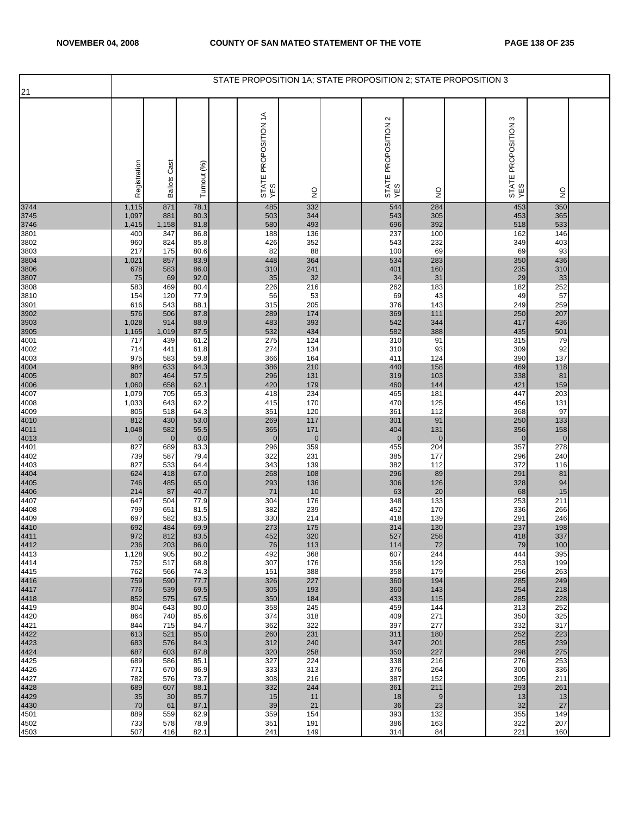|                      |                |                     |              | STATE PROPOSITION 1A; STATE PROPOSITION 2; STATE PROPOSITION 3 |               |                                    |               |                               |               |  |
|----------------------|----------------|---------------------|--------------|----------------------------------------------------------------|---------------|------------------------------------|---------------|-------------------------------|---------------|--|
| 21                   |                |                     |              |                                                                |               |                                    |               |                               |               |  |
|                      | Registration   | <b>Ballots Cast</b> | Turnout (%)  | STATE PROPOSITION 1A<br>YES                                    | $\frac{0}{2}$ | $\sim$<br>STATE PROPOSITION<br>YES | $\frac{1}{2}$ | ო<br>STATE PROPOSITION<br>YES | $\frac{0}{2}$ |  |
| 3744                 | 1,115          | 871                 | 78.1         | 485                                                            | 332           | 544                                | 284           | 453                           | 350           |  |
| 3745                 | 1,097          | 881                 | 80.3         | 503                                                            | 344           | 543                                | 305           | 453                           | 365           |  |
| 3746<br>3801         | 1,415<br>400   | 1,158<br>347        | 81.8<br>86.8 | 580<br>188                                                     | 493<br>136    | 696<br>237                         | 392<br>100    | 518<br>162                    | 533<br>146    |  |
| 3802                 | 960            | 824                 | 85.8         | 426                                                            | 352           | 543                                | 232           | 349                           | 403           |  |
| 3803                 | 217            | 175                 | 80.6         | 82                                                             | 88            | 100                                | 69            | 69                            | 93            |  |
| 3804                 | 1,021          | 857                 | 83.9         | 448                                                            | 364           | 534                                | 283           | 350                           | 436           |  |
| 3806<br>3807         | 678<br>75      | 583<br>69           | 86.0<br>92.0 | 310<br>35                                                      | 241<br>32     | 401<br>34                          | 160<br>31     | 235<br>29                     | 310<br>33     |  |
| 3808                 | 583            | 469                 | 80.4         | 226                                                            | 216           | 262                                | 183           | 182                           | 252           |  |
| 3810                 | 154            | 120                 | 77.9         | 56                                                             | 53            | 69                                 | 43            | 49                            | 57            |  |
| 3901                 | 616            | 543                 | 88.1         | 315                                                            | 205           | 376                                | 143           | 249                           | 259           |  |
| 3902<br>3903<br>3905 | 576            | 506                 | 87.8         | 289                                                            | 174           | 369                                | 111           | 250                           | 207           |  |
|                      | 1,028<br>1,165 | 914<br>1,019        | 88.9<br>87.5 | 483<br>532                                                     | 393<br>434    | 542<br>582                         | 344<br>388    | 417<br>435                    | 436<br>501    |  |
| 4001                 | 717            | 439                 | 61.2         | 275                                                            | 124           | 310                                | 91            | 315                           | 79            |  |
| 4002                 | 714            | 441                 | 61.8         | 274                                                            | 134           | 310                                | 93            | 309                           | 92            |  |
| 4003                 | 975            | 583                 | 59.8         | 366                                                            | 164           | 411                                | 124           | 390                           | 137           |  |
| 4004<br>4005<br>4006 | 984<br>807     | 633<br>464          | 64.3<br>57.5 | 386<br>296                                                     | 210<br>131    | 440<br>319                         | 158<br>103    | 469<br>338                    | 118<br>81     |  |
|                      | 1,060          | 658                 | 62.1         | 420                                                            | 179           | 460                                | 144           | 421                           | 159           |  |
| 4007                 | 1,079          | 705                 | 65.3         | 418                                                            | 234           | 465                                | 181           | 447                           | 203           |  |
| 4008                 | 1,033          | 643                 | 62.2         | 415                                                            | 170           | 470                                | 125           | 456                           | 131           |  |
| 4009                 | 805<br>812     | 518<br>430          | 64.3<br>53.0 | 351<br>269                                                     | 120<br>117    | 361<br>301                         | 112<br>91     | 368<br>250                    | 97<br>133     |  |
| 4010<br>4011<br>4013 | 1,048          | 582                 | 55.5         | 365                                                            | 171           | 404                                | 131           | 356                           | 158           |  |
|                      | 0              | $\mathbf 0$         | 0.0          | $\mathbf{0}$                                                   | $\mathbf 0$   | $\overline{0}$                     | $\pmb{0}$     | $\mathbf{0}$                  | $\mathbf 0$   |  |
| 4401                 | 827            | 689                 | 83.3         | 296                                                            | 359           | 455                                | 204           | 357                           | 278           |  |
| 4402<br>4403         | 739<br>827     | 587<br>533          | 79.4<br>64.4 | 322<br>343                                                     | 231<br>139    | 385<br>382                         | 177<br>112    | 296<br>372                    | 240<br>116    |  |
|                      | 624            | 418                 | 67.0         | 268                                                            | 108           | 296                                | 89            | 291                           | 81            |  |
| 4404<br>4405<br>4406 | 746            | 485                 | 65.0         | 293                                                            | 136           | 306                                | 126           | 328                           | 94            |  |
|                      | 214            | 87                  | 40.7         | 71                                                             | 10            | 63                                 | 20            | 68                            | 15            |  |
| 4407<br>4408         | 647<br>799     | 504<br>651          | 77.9<br>81.5 | 304<br>382                                                     | 176<br>239    | 348<br>452                         | 133<br>170    | 253<br>336                    | 211<br>266    |  |
| 4409                 | 697            | 582                 | 83.5         | 330                                                            | 214           | 418                                | 139           | 291                           | 246           |  |
| 4410<br>4411         | 692            | 484                 | 69.9         | 273                                                            | 175           | 314                                | 130           | 237                           | 198           |  |
|                      | 972            | 812                 | 83.5         | 452                                                            | 320           | 527                                | 258           | 418                           | 337           |  |
| 4412<br>4413         | 236<br>1,128   | 203<br>905          | 86.0<br>80.2 | 76<br>492                                                      | 113<br>368    | 114<br>607                         | 72<br>244     | 79<br>444                     | 100<br>395    |  |
| 4414                 | 752            | 517                 | 68.8         | 307                                                            | 176           | 356                                | 129           | 253                           | 199           |  |
| 4415                 | 762            | 566                 | 74.3         | 151                                                            | 388           | 358                                | 179           | 256                           | 263           |  |
| 4416<br>4417<br>4418 | 759            | 590                 | 77.7         | 326                                                            | 227           | 360                                | 194           | 285                           | 249           |  |
|                      | 776<br>852     | 539<br>575          | 69.5<br>67.5 | 305<br>350                                                     | 193<br>184    | 360<br>433                         | 143<br>115    | 254<br>285                    | 218<br>228    |  |
| 4419                 | 804            | 643                 | 80.0         | 358                                                            | 245           | 459                                | 144           | 313                           | 252           |  |
| 4420                 | 864            | 740                 | 85.6         | 374                                                            | 318           | 409                                | 271           | 350                           | 325           |  |
| 4421                 | 844            | 715                 | 84.7         | 362                                                            | 322           | 397                                | 277           | 332                           | 317           |  |
| 4422<br>4423         | 613<br>683     | 521<br>576          | 85.0<br>84.3 | 260<br>312                                                     | 231<br>240    | 311<br>347                         | 180<br>201    | 252<br>285                    | 223<br>239    |  |
| 4424                 | 687            | 603                 | 87.8         | 320                                                            | 258           | 350                                | 227           | 298                           | 275           |  |
| 4425                 | 689            | 586                 | 85.1         | 327                                                            | 224           | 338                                | 216           | 276                           | 253           |  |
| 4426                 | 771            | 670                 | 86.9         | 333                                                            | 313           | 376                                | 264           | 300                           | 336           |  |
| 4427<br>4428         | 782<br>689     | 576<br>607          | 73.7<br>88.1 | 308<br>332                                                     | 216<br>244    | 387<br>361                         | 152<br>211    | 305<br>293                    | 211<br>261    |  |
| 4429                 | 35             | 30                  | 85.7         | 15                                                             | 11            | 18                                 | 9             | 13                            | 13            |  |
| 4430                 | 70             | 61                  | 87.1         | 39                                                             | 21            | 36                                 | 23            | 32                            | 27            |  |
| 4501                 | 889            | 559                 | 62.9         | 359                                                            | 154           | 393                                | 132           | 355                           | 149           |  |
| 4502<br>4503         | 733<br>507     | 578<br>416          | 78.9<br>82.1 | 351<br>241                                                     | 191<br>149    | 386<br>314                         | 163<br>84     | 322<br>221                    | 207<br>160    |  |
|                      |                |                     |              |                                                                |               |                                    |               |                               |               |  |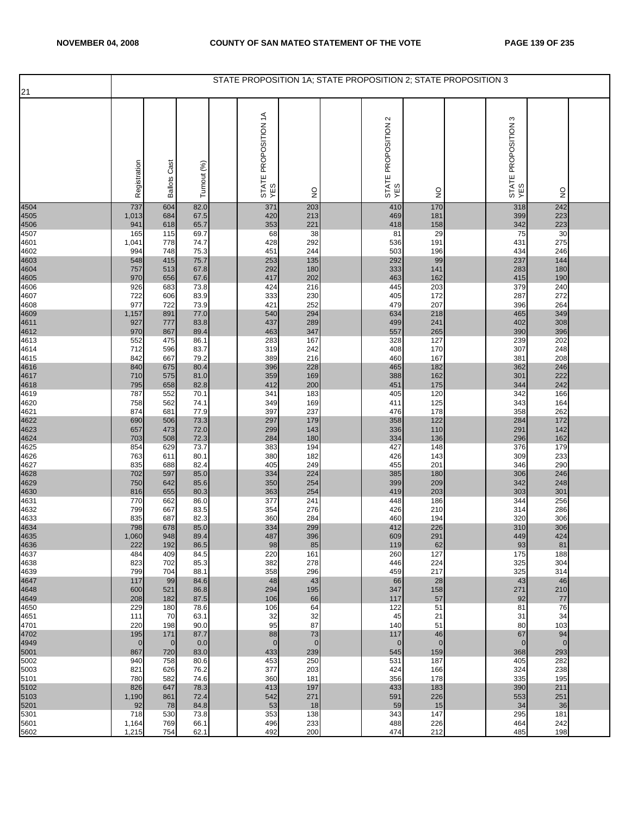|              |                    |                     |              | STATE PROPOSITION 1A; STATE PROPOSITION 2; STATE PROPOSITION 3 |                    |                            |                    |                               |                    |  |
|--------------|--------------------|---------------------|--------------|----------------------------------------------------------------|--------------------|----------------------------|--------------------|-------------------------------|--------------------|--|
| 21           |                    |                     |              |                                                                |                    |                            |                    |                               |                    |  |
|              | Registration       | <b>Ballots Cast</b> | Turnout (%)  | STATE PROPOSITION 1A<br>YES                                    | $\frac{0}{2}$      | STATE PROPOSITION 2<br>YES | $\frac{1}{2}$      | ო<br>STATE PROPOSITION<br>YES | $\frac{1}{2}$      |  |
| 4504         | 737                | 604                 | 82.0         | 371                                                            | 203                | 410                        | 170                | 318                           | 242                |  |
| 4505<br>4506 | 1,013<br>941       | 684<br>618          | 67.5<br>65.7 | 420<br>353                                                     | 213<br>221         | 469<br>418                 | 181<br>158         | 399<br>342                    | 223<br>223         |  |
| 4507         | 165                | 115                 | 69.7         | 68                                                             | 38                 | 81                         | 29                 | 75                            | 30                 |  |
| 4601<br>4602 | 1,041<br>994       | 778<br>748          | 74.7<br>75.3 | 428<br>451                                                     | 292<br>244         | 536<br>503                 | 191<br>196         | 431<br>434                    | 275<br>246         |  |
| 4603         | 548                | 415                 | 75.7         | 253                                                            | 135                | 292                        | 99                 | 237                           | 144                |  |
| 4604         | 757                | 513                 | 67.8         | 292                                                            | 180                | 333                        | 141                | 283                           | 180                |  |
| 4605<br>4606 | 970<br>926         | 656<br>683          | 67.6<br>73.8 | 417<br>424                                                     | 202<br>216         | 463                        | 162<br>203         | 415<br>379                    | 190<br>240         |  |
| 4607         | 722                | 606                 | 83.9         | 333                                                            | 230                | 445<br>405                 | 172                | 287                           | 272                |  |
| 4608         | 977                | 722                 | 73.9         | 421                                                            | 252                | 479                        | 207                | 396                           | 264                |  |
| 4609<br>4611 | 1,157<br>927       | 891<br>777          | 77.0<br>83.8 | 540<br>437                                                     | 294<br>289         | 634<br>499                 | 218<br>241         | 465<br>402                    | 349<br>308         |  |
| 4612         | 970                | 867                 | 89.4         | 463                                                            | 347                | 557                        | 265                | 390                           | 396                |  |
| 4613         | 552                | 475                 | 86.1         | 283                                                            | 167                | 328                        | 127                | 239                           | 202                |  |
| 4614<br>4615 | 712<br>842         | 596<br>667          | 83.7<br>79.2 | 319<br>389                                                     | 242<br>216         | 408<br>460                 | 170<br>167         | 307<br>381                    | 248<br>208         |  |
| 4616         | 840                | 675                 | 80.4         | 396                                                            | 228                | 465                        | 182                | 362                           | 246                |  |
| 4617<br>4618 | 710                | 575                 | 81.0         | 359                                                            | 169                | 388                        | 162                | 301                           | 222                |  |
| 4619         | 795<br>787         | 658<br>552          | 82.8<br>70.1 | 412<br>341                                                     | 200<br>183         | 451<br>405                 | 175<br>120         | 344<br>342                    | 242<br>166         |  |
| 4620         | 758                | 562                 | 74.1         | 349                                                            | 169                | 411                        | 125                | 343                           | 164                |  |
| 4621         | 874                | 681                 | 77.9         | 397                                                            | 237                | 476                        | 178                | 358                           | 262                |  |
| 4622<br>4623 | 690<br>657         | 506<br>473          | 73.3<br>72.0 | 297<br>299                                                     | 179<br>143         | 358<br>336                 | 122<br>110         | 284<br>291                    | 172<br>142         |  |
| 4624         | 703                | 508                 | 72.3         | 284                                                            | 180                | 334                        | 136                | 296                           | 162                |  |
| 4625<br>4626 | 854<br>763         | 629<br>611          | 73.7<br>80.1 | 383<br>380                                                     | 194<br>182         | 427<br>426                 | 148<br>143         | 376<br>309                    | 179<br>233         |  |
| 4627         | 835                | 688                 | 82.4         | 405                                                            | 249                | 455                        | 201                | 346                           | 290                |  |
| 4628         | 702                | 597                 | 85.0         | 334                                                            | 224                | 385                        | 180                | 306                           | 246                |  |
| 4629<br>4630 | 750<br>816         | 642<br>655          | 85.6<br>80.3 | 350<br>363                                                     | 254<br>254         | 399<br>419                 | 209<br>203         | 342<br>303                    | 248<br>301         |  |
| 4631         | 770                | 662                 | 86.0         | 377                                                            | 241                | 448                        | 186                | 344                           | 256                |  |
| 4632         | 799                | 667                 | 83.5         | 354                                                            | 276                | 426                        | 210                | 314                           | 286                |  |
| 4633         | 835<br>798         | 687<br>678          | 82.3<br>85.0 | 360<br>334                                                     | 284<br>299         | 460<br>412                 | 194<br>226         | 320<br>310                    | 306<br>306         |  |
| 4634<br>4635 | 1,060              | 948                 | 89.4         | 487                                                            | 396                | 609                        | 291                | 449                           | 424                |  |
| 4636<br>4637 | 222<br>484         | 192<br>409          | 86.5<br>84.5 | 98<br>220                                                      | 85<br>161          | 119<br>260                 | 62<br>127          | 93<br>175                     | 81<br>188          |  |
| 4638         | 823                | 702                 | 85.3         | 382                                                            | 278                | 446                        | 224                | 325                           | 304                |  |
| 4639         | 799                | 704                 | 88.1         | 358                                                            | 296                | 459                        | 217                | 325                           | 314                |  |
| 4647<br>4648 | 117<br>600         | 99<br>521           | 84.6<br>86.8 | 48<br>294                                                      | 43<br>195          | 66<br>347                  | 28<br>158          | 43<br>271                     | 46<br>210          |  |
| 4649         | 208                | 182                 | 87.5         | 106                                                            | 66                 | 117                        | 57                 | 92                            | 77                 |  |
| 4650         | 229                | 180                 | 78.6         | 106                                                            | 64                 | 122                        | 51                 | 81                            | 76                 |  |
| 4651<br>4701 | 111<br>220         | 70<br>198           | 63.1<br>90.0 | 32<br>95                                                       | 32<br>87           | 45<br>140                  | 21<br>51           | 31<br>80                      | 34<br>103          |  |
| 4702         | 195                | 171                 | 87.7         | 88                                                             | 73                 | 117                        | 46                 | 67                            | 94                 |  |
| 4949<br>5001 | $\mathbf 0$<br>867 | $\mathbf 0$<br>720  | 0.0<br>83.0  | $\mathbf 0$<br>433                                             | $\mathbf 0$<br>239 | $\mathbf 0$<br>545         | $\mathbf 0$<br>159 | $\mathbf 0$<br>368            | $\mathbf 0$<br>293 |  |
| 5002         | 940                | 758                 | 80.6         | 453                                                            | 250                | 531                        | 187                | 405                           | 282                |  |
| 5003         | 821                | 626                 | 76.2         | 377                                                            | 203                | 424                        | 166                | 324                           | 238                |  |
| 5101         | 780<br>826         | 582<br>647          | 74.6<br>78.3 | 360<br>413                                                     | 181<br>197         | 356<br>433                 | 178<br>183         | 335<br>390                    | 195<br>211         |  |
| 5102<br>5103 | 1,190              | 861                 | 72.4         | 542                                                            | 271                | 591                        | 226                | 553                           | 251                |  |
| 5201         | 92                 | 78                  | 84.8         | 53                                                             | 18                 | 59                         | 15                 | 34                            | 36                 |  |
| 5301<br>5601 | 718<br>1,164       | 530<br>769          | 73.8<br>66.1 | 353<br>496                                                     | 138<br>233         | 343<br>488                 | 147<br>226         | 295<br>464                    | 181<br>242         |  |
| 5602         | 1,215              | 754                 | 62.1         | 492                                                            | 200                | 474                        | 212                | 485                           | 198                |  |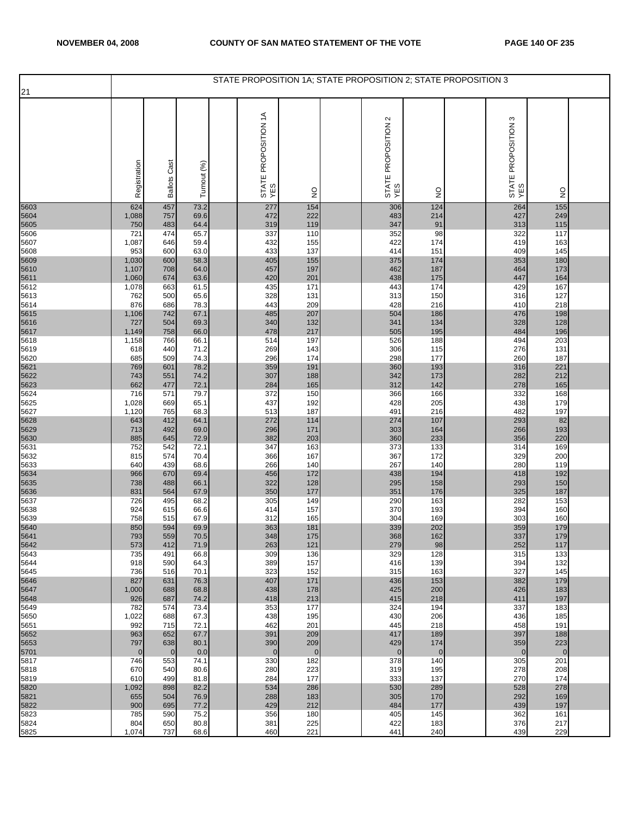|                      |                       |                     |              | STATE PROPOSITION 1A: STATE PROPOSITION 2: STATE PROPOSITION 3 |                       |                            |                    |                               |                    |  |
|----------------------|-----------------------|---------------------|--------------|----------------------------------------------------------------|-----------------------|----------------------------|--------------------|-------------------------------|--------------------|--|
| 21                   |                       |                     |              |                                                                |                       |                            |                    |                               |                    |  |
|                      | Registration          | <b>Ballots Cast</b> | Turnout (%)  | STATE PROPOSITION 1A<br>YES                                    | $\frac{0}{2}$         | STATE PROPOSITION 2<br>YES | $\frac{1}{2}$      | ო<br>STATE PROPOSITION<br>YES | $\frac{0}{2}$      |  |
| 5603                 | 624                   | 457                 | 73.2         | 277                                                            | 154                   | 306                        | $124$              | 264                           | 155                |  |
| 5604                 | 1,088                 | 757                 | 69.6         | 472                                                            | 222                   | 483                        | 214                | 427                           | 249                |  |
| 5605<br>5606         | 750<br>721            | 483<br>474          | 64.4<br>65.7 | 319<br>337                                                     | 119<br>110            | 347<br>352                 | 91<br>98           | 313<br>322                    | 115<br>117         |  |
| 5607                 | 1,087                 | 646                 | 59.4         | 432                                                            | 155                   | 422                        | 174                | 419                           | 163                |  |
| 5608                 | 953                   | 600                 | 63.0         | 433                                                            | 137                   | 414                        | 151                | 409                           | 145                |  |
| 5609                 | 1,030                 | 600                 | 58.3         | 405                                                            | 155                   | 375                        | 174                | 353                           | 180                |  |
| 5610<br>5611         | 1,107<br>1,060        | 708<br>674          | 64.0<br>63.6 | 457<br>420                                                     | 197<br>201            | 462<br>438                 | 187<br>175         | 464<br>447                    | 173<br>164         |  |
| 5612                 | 1,078                 | 663                 | 61.5         | 435                                                            | 171                   | 443                        | 174                | 429                           | 167                |  |
| 5613                 | 762                   | 500                 | 65.6         | 328                                                            | 131                   | 313                        | 150                | 316                           | 127                |  |
| 5614                 | 876<br>1,106          | 686<br>742          | 78.3<br>67.1 | 443<br>485                                                     | 209<br>207            | 428<br>504                 | 216<br>186         | 410<br>476                    | 218<br>198         |  |
| 5615<br>5616<br>5617 | 727                   | 504                 | 69.3         | 340                                                            | 132                   | 341                        | 134                | 328                           | 128                |  |
|                      | 1,149                 | 758                 | 66.0         | 478                                                            | 217                   | 505                        | 195                | 484                           | 196                |  |
| 5618                 | 1,158                 | 766                 | 66.1         | 514                                                            | 197                   | 526                        | 188                | 494                           | 203                |  |
| 5619<br>5620         | 618<br>685            | 440<br>509          | 71.2<br>74.3 | 269<br>296                                                     | 143<br>174            | 306<br>298                 | 115<br>177         | 276<br>260                    | 131<br>187         |  |
| 5621                 | 769                   | 601                 | 78.2         | 359                                                            | 191                   | 360                        | 193                | 316                           | 221                |  |
| 5622                 | 743                   | 551                 | 74.2         | 307                                                            | 188                   | 342                        | 173                | 282                           | 212                |  |
| 5623<br>5624         | 662<br>716            | 477<br>571          | 72.1<br>79.7 | 284<br>372                                                     | 165<br>150            | 312<br>366                 | 142<br>166         | 278<br>332                    | 165<br>168         |  |
| 5625                 | 1,028                 | 669                 | 65.1         | 437                                                            | 192                   | 428                        | 205                | 438                           | 179                |  |
| 5627                 | 1,120                 | 765                 | 68.3         | 513                                                            | 187                   | 491                        | 216                | 482                           | 197                |  |
| 5628<br>5629         | 643<br>713            | 412<br>492          | 64.1<br>69.0 | 272<br>296                                                     | 114<br>171            | 274<br>303                 | 107<br>164         | 293<br>266                    | 82<br>193          |  |
| 5630                 | 885                   | 645                 | 72.9         | 382                                                            | 203                   | 360                        | 233                | 356                           | 220                |  |
| 5631                 | 752                   | 542                 | 72.1         | 347                                                            | 163                   | 373                        | 133                | 314                           | 169                |  |
| 5632                 | 815<br>640            | 574<br>439          | 70.4<br>68.6 | 366<br>266                                                     | 167<br>140            | 367<br>267                 | 172<br>140         | 329                           | 200<br>119         |  |
| 5633<br>5634         | 966                   | 670                 | 69.4         | 456                                                            | 172                   | 438                        | 194                | 280<br>418                    | 192                |  |
| 5635                 | 738                   | 488                 | 66.1         | 322                                                            | 128                   | 295                        | 158                | 293                           | 150                |  |
| 5636                 | 831                   | 564                 | 67.9         | 350                                                            | 177                   | 351                        | 176                | 325                           | 187                |  |
| 5637<br>5638         | 726<br>924            | 495<br>615          | 68.2<br>66.6 | 305<br>414                                                     | 149<br>157            | 290<br>370                 | 163<br>193         | 282<br>394                    | 153<br>160         |  |
| 5639                 | 758                   | 515                 | 67.9         | 312                                                            | 165                   | 304                        | 169                | 303                           | 160                |  |
| 5640<br>5641         | 850                   | 594                 | 69.9         | 363                                                            | 181                   | 339                        | 202                | 359                           | 179                |  |
| 5642                 | 793<br>573            | 559<br>412          | 70.5<br>71.9 | 348<br>263                                                     | 175<br>121            | 368<br>279                 | 162<br>98          | 337<br>252                    | 179<br>117         |  |
| 5643                 | 735                   | 491                 | 66.8         | 309                                                            | 136                   | 329                        | 128                | 315                           | 133                |  |
| 5644                 | 918                   | 590                 | 64.3         | 389                                                            | 157                   | 416                        | 139                | 394                           | 132                |  |
| 5645<br>5646         | 736<br>827            | 516<br>631          | 70.1<br>76.3 | 323<br>407                                                     | 152<br>171            | 315<br>436                 | 163<br>153         | 327<br>382                    | 145<br>179         |  |
| 5647                 | 1,000                 | 688                 | 68.8         | 438                                                            | 178                   | 425                        | 200                | 426                           | 183                |  |
| 5648                 | 926                   | 687                 | 74.2         | 418                                                            | 213                   | 415                        | 218                | 411                           | 197                |  |
| 5649                 | 782                   | 574                 | 73.4         | 353                                                            | 177                   | 324                        | 194                | 337                           | 183                |  |
| 5650<br>5651         | 1,022<br>992          | 688<br>715          | 67.3<br>72.1 | 438<br>462                                                     | 195<br>201            | 430<br>445                 | 206<br>218         | 436<br>458                    | 185<br>191         |  |
| 5652                 | 963                   | 652                 | 67.7         | 391                                                            | 209                   | 417                        | 189                | 397                           | 188                |  |
| 5653<br>5701         | 797<br>$\overline{0}$ | 638<br>$\mathbf 0$  | 80.1<br>0.0  | 390<br>$\mathbf{0}$                                            | 209<br>$\overline{0}$ | 429<br>$\mathbf 0$         | 174<br>$\mathbf 0$ | 359<br>$\mathbf 0$            | 223<br>$\mathbf 0$ |  |
| 5817                 | 746                   | 553                 | 74.1         | 330                                                            | 182                   | 378                        | 140                | 305                           | 201                |  |
| 5818                 | 670                   | 540                 | 80.6         | 280                                                            | 223                   | 319                        | 195                | 278                           | 208                |  |
| 5819<br>5820         | 610<br>1,092          | 499<br>898          | 81.8<br>82.2 | 284<br>534                                                     | 177<br>286            | 333<br>530                 | 137<br>289         | 270<br>528                    | 174<br>278         |  |
| 5821                 | 655                   | 504                 | 76.9         | 288                                                            | 183                   | 305                        | 170                | 292                           | 169                |  |
| 5822                 | 900                   | 695                 | 77.2         | 429                                                            | 212                   | 484                        | 177                | 439                           | 197                |  |
| 5823<br>5824         | 785<br>804            | 590<br>650          | 75.2<br>80.8 | 356<br>381                                                     | 180<br>225            | 405<br>422                 | 145<br>183         | 362<br>376                    | 161<br>217         |  |
| 5825                 | 1,074                 | 737                 | 68.6         | 460                                                            | 221                   | 441                        | 240                | 439                           | 229                |  |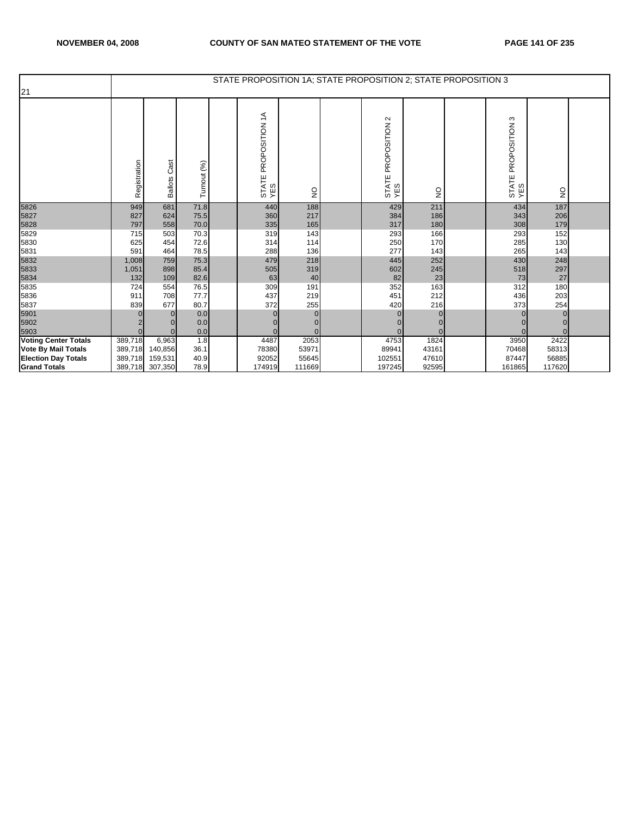|                             |              |                        |             | STATE PROPOSITION 1A; STATE PROPOSITION 2; STATE PROPOSITION 3 |               |                            |               |                                 |               |  |
|-----------------------------|--------------|------------------------|-------------|----------------------------------------------------------------|---------------|----------------------------|---------------|---------------------------------|---------------|--|
| 21                          |              |                        |             |                                                                |               |                            |               |                                 |               |  |
|                             | Registration | Cast<br><b>Ballots</b> | Turnout (%) | $\widetilde{\mathcal{L}}$<br>PROPOSITION<br>STATE<br>YES       | $\frac{0}{2}$ | STATE PROPOSITION 2<br>YES | $\frac{0}{2}$ | PROPOSITION 3<br>STATE I<br>YES | $\frac{1}{2}$ |  |
| 5826                        | 949          | 681                    | 71.8        | 440                                                            | 188           | 429                        | 211           | 434                             | 187           |  |
| 5827                        | 827          | 624                    | 75.5        | 360                                                            | 217           | 384                        | 186           | 343                             | 206           |  |
| 5828                        | 797          | 558                    | 70.0        | 335                                                            | 165           | 317                        | 180           | 308                             | 179           |  |
| 5829                        | 715          | 503                    | 70.3        | 319                                                            | 143           | 293                        | 166           | 293                             | 152           |  |
| 5830                        | 625          | 454                    | 72.6        | 314                                                            | 114           | 250                        | 170           | 285                             | 130           |  |
| 5831                        | 591          | 464                    | 78.5        | 288                                                            | 136           | 277                        | 143           | 265                             | 143           |  |
| 5832                        | 1,008        | 759                    | 75.3        | 479                                                            | 218           | 445                        | 252           | 430                             | 248           |  |
| 5833                        | 1,051        | 898                    | 85.4        | 505                                                            | 319           | 602                        | 245           | 518                             | 297           |  |
| 5834                        | 132          | 109                    | 82.6        | 63                                                             | 40            | 82                         | 23            | 73                              | 27            |  |
| 5835                        | 724          | 554                    | 76.5        | 309                                                            | 191           | 352                        | 163           | 312                             | 180           |  |
| 5836                        | 911          | 708                    | 77.7        | 437                                                            | 219           | 451                        | 212           | 436                             | 203           |  |
| 5837                        | 839          | 677                    | 80.7        | 372                                                            | 255           | 420                        | 216           | 373                             | 254           |  |
| 5901                        |              | $\Omega$               | 0.0         | 0                                                              | $\Omega$      | $\Omega$                   |               |                                 | $\Omega$      |  |
| 5902                        |              |                        | 0.0         |                                                                | 0             |                            |               |                                 |               |  |
| 5903                        | $\Omega$     | $\Omega$               | 0.0         |                                                                | $\Omega$      | $\Omega$                   |               |                                 | $\Omega$      |  |
| <b>Voting Center Totals</b> | 389,718      | 6,963                  | 1.8         | 4487                                                           | 2053          | 4753                       | 1824          | 3950                            | 2422          |  |
| <b>Vote By Mail Totals</b>  | 389,718      | 140,856                | 36.1        | 78380                                                          | 53971         | 89941                      | 43161         | 70468                           | 58313         |  |
| <b>Election Day Totals</b>  | 389,718      | 159,531                | 40.9        | 92052                                                          | 55645         | 102551                     | 47610         | 87447                           | 56885         |  |
| <b>Grand Totals</b>         | 389,718      | 307,350                | 78.9        | 174919                                                         | 111669        | 197245                     | 92595         | 161865                          | 117620        |  |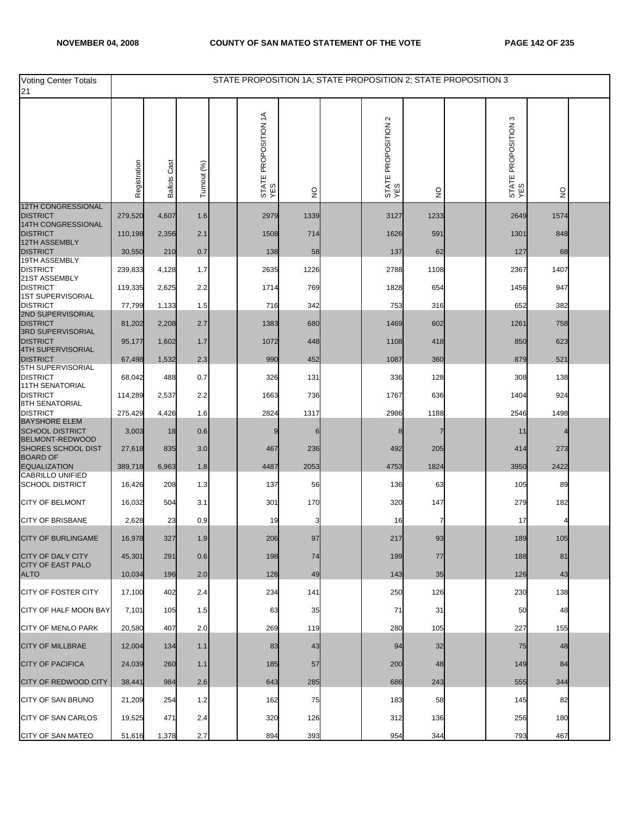| Voting Center Totals<br>21                     |              |                     |             | STATE PROPOSITION 1A; STATE PROPOSITION 2; STATE PROPOSITION 3 |               |                                    |      |                               |                           |  |
|------------------------------------------------|--------------|---------------------|-------------|----------------------------------------------------------------|---------------|------------------------------------|------|-------------------------------|---------------------------|--|
|                                                | Registration | <b>Ballots Cast</b> | Turnout (%) | STATE PROPOSITION 1A<br>YES                                    | $\frac{0}{2}$ | $\sim$<br>STATE PROPOSITION<br>YES | g    | S<br>STATE PROPOSITION<br>YES | $\mathsf{S}^{\mathsf{O}}$ |  |
| <b>12TH CONGRESSIONAL</b><br><b>DISTRICT</b>   | 279,520      | 4,607               | 1.6         | 2979                                                           | 1339          | 3127                               | 1233 | 2649                          | 1574                      |  |
| 14TH CONGRESSIONAL<br><b>DISTRICT</b>          | 110,198      | 2,356               | 2.1         | 1508                                                           | 714           | 1626                               | 591  | 1301                          | 848                       |  |
| 12TH ASSEMBLY<br><b>DISTRICT</b>               |              |                     |             |                                                                |               |                                    |      |                               | 68                        |  |
| 19TH ASSEMBLY                                  | 30,550       | 210                 | 0.7         | 138                                                            | 58            | 137                                | 62   | 127                           |                           |  |
| <b>DISTRICT</b><br>21ST ASSEMBLY               | 239,833      | 4,128               | 1.7         | 2635                                                           | 1226          | 2788                               | 1108 | 2367                          | 1407                      |  |
| <b>DISTRICT</b><br><b>1ST SUPERVISORIAL</b>    | 119,335      | 2,625               | 2.2         | 1714                                                           | 769           | 1828                               | 654  | 1456                          | 947                       |  |
| <b>DISTRICT</b><br>2ND SUPERVISORIAL           | 77,799       | 1,133               | 1.5         | 716                                                            | 342           | 753                                | 316  | 652                           | 382                       |  |
| <b>DISTRICT</b><br>3RD SUPERVISORIAL           | 81,202       | 2,208               | 2.7         | 1383                                                           | 680           | 1469                               | 602  | 1261                          | 758                       |  |
| <b>DISTRICT</b><br><b>4TH SUPERVISORIAL</b>    | 95,177       | 1,602               | 1.7         | 1072                                                           | 448           | 1108                               | 418  | 850                           | 623                       |  |
| <b>DISTRICT</b>                                | 67,498       | 1,532               | 2.3         | 990                                                            | 452           | 1087                               | 360  | 879                           | 521                       |  |
| 5TH SUPERVISORIAL<br><b>DISTRICT</b>           | 68,042       | 488                 | 0.7         | 326                                                            | 131           | 336                                | 128  | 308                           | 138                       |  |
| <b>11TH SENATORIAL</b><br><b>DISTRICT</b>      | 114,289      | 2,537               | 2.2         | 1663                                                           | 736           | 1767                               | 636  | 1404                          | 924                       |  |
| 8TH SENATORIAL<br><b>DISTRICT</b>              | 275,429      | 4,426               | 1.6         | 2824                                                           | 1317          | 2986                               | 1188 | 2546                          | 1498                      |  |
| <b>BAYSHORE ELEM</b><br><b>SCHOOL DISTRICT</b> | 3,003        | 18                  | 0.6         | 9                                                              |               |                                    | 7    | 11                            |                           |  |
| BELMONT-REDWOOD<br><b>SHORES SCHOOL DIST</b>   | 27,618       | 835                 | 3.0         | 467                                                            | 236           | 492                                | 205  | 414                           | 273                       |  |
| <b>BOARD OF</b>                                |              |                     |             |                                                                |               |                                    |      |                               |                           |  |
| <b>EQUALIZATION</b><br><b>CABRILLO UNIFIED</b> | 389,718      | 6,963               | 1.8         | 4487                                                           | 2053          | 4753                               | 1824 | 3950                          | 2422                      |  |
| <b>SCHOOL DISTRICT</b>                         | 16,426       | 208                 | 1.3         | 137                                                            | 56            | 136                                | 63   | 105                           | 89                        |  |
| <b>CITY OF BELMONT</b>                         | 16,032       | 504                 | 3.1         | 301                                                            | 170           | 320                                | 147  | 279                           | 182                       |  |
| <b>CITY OF BRISBANE</b>                        | 2,628        | 23                  | 0.9         | 19                                                             |               | 16                                 |      | 17                            |                           |  |
| <b>CITY OF BURLINGAME</b>                      | 16,978       | 327                 | 1.9         | 206                                                            | 97            | 217                                | 93   | 189                           | 105                       |  |
| <b>CITY OF DALY CITY</b>                       | 45,301       | 291                 | 0.6         | 198                                                            | 74            | 199                                | 77   | 188                           | 81                        |  |
| <b>CITY OF EAST PALO</b><br><b>ALTO</b>        | 10,034       | 196                 | 2.0         | 128                                                            | 49            | 143                                | 35   | 126                           | 43                        |  |
| <b>CITY OF FOSTER CITY</b>                     | 17,100       | 402                 | 2.4         | 234                                                            | 141           | 250                                | 126  | 230                           | 138                       |  |
| CITY OF HALF MOON BAY                          | 7,101        | 105                 | 1.5         | 63                                                             | 35            | 71                                 | 31   | 50                            | 48                        |  |
| <b>CITY OF MENLO PARK</b>                      | 20,580       | 407                 | 2.0         | 269                                                            | 119           | 280                                | 105  | 227                           | 155                       |  |
| <b>CITY OF MILLBRAE</b>                        | 12,004       | 134                 | 1.1         | 83                                                             | 43            | 94                                 | 32   | 75                            | 48                        |  |
| <b>CITY OF PACIFICA</b>                        | 24,039       | 260                 | 1.1         | 185                                                            | 57            | 200                                | 48   | 149                           | 84                        |  |
| <b>CITY OF REDWOOD CITY</b>                    | 38,441       | 984                 | 2.6         | 643                                                            | 285           | 686                                | 243  | 555                           | 344                       |  |
| CITY OF SAN BRUNO                              | 21,209       | 254                 | 1.2         | 162                                                            | 75            | 183                                | 58   | 145                           | 82                        |  |
| <b>CITY OF SAN CARLOS</b>                      | 19,525       | 471                 | 2.4         | 320                                                            | 126           | 312                                | 136  | 256                           | 180                       |  |
| CITY OF SAN MATEO                              | 51,616       | 1,378               | 2.7         | 894                                                            | 393           | 954                                | 344  | 793                           | 467                       |  |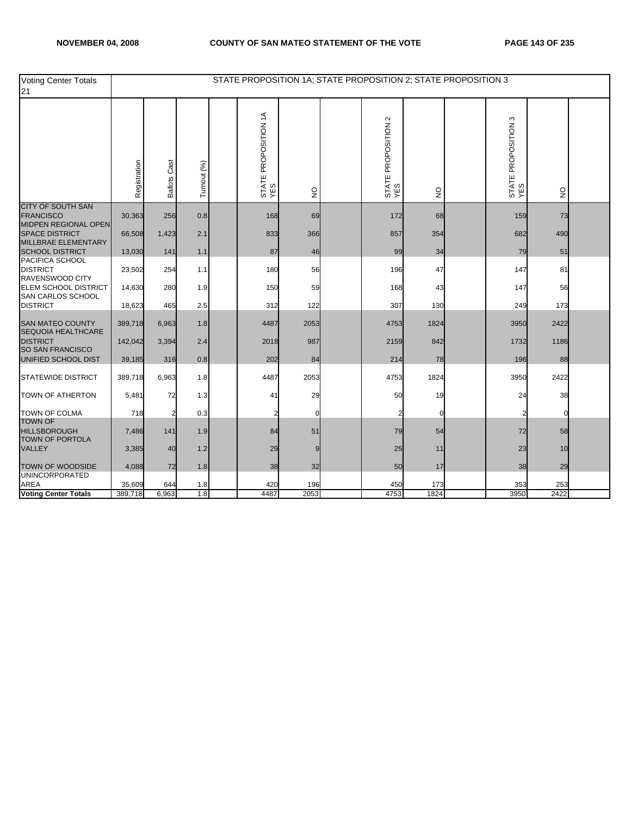| <b>Voting Center Totals</b><br>21                                    |              |                 |             |                             |                                 |                            | STATE PROPOSITION 1A; STATE PROPOSITION 2; STATE PROPOSITION 3 |                            |               |  |
|----------------------------------------------------------------------|--------------|-----------------|-------------|-----------------------------|---------------------------------|----------------------------|----------------------------------------------------------------|----------------------------|---------------|--|
|                                                                      | Registration | Cast<br>Ballots | Turnout (%) | STATE PROPOSITION 1A<br>YES | $\frac{\mathsf{O}}{\mathsf{Z}}$ | STATE PROPOSITION 2<br>YES | $\mathsf{S}^{\mathsf{O}}$                                      | STATE PROPOSITION 3<br>YES | $\frac{0}{2}$ |  |
| CITY OF SOUTH SAN<br><b>FRANCISCO</b>                                | 30,363       | 256             | 0.8         | 168                         | 69                              | 172                        | 68                                                             | 159                        | 73            |  |
| MIDPEN REGIONAL OPEN<br><b>SPACE DISTRICT</b><br>MILLBRAE ELEMENTARY | 66,508       | 1,423           | 2.1         | 833                         | 366                             | 857                        | 354                                                            | 682                        | 490           |  |
| <b>SCHOOL DISTRICT</b>                                               | 13,030       | 141             | 1.1         | 87                          | 46                              | 99                         | 34                                                             | 79                         | 51            |  |
| PACIFICA SCHOOL<br><b>DISTRICT</b><br>RAVENSWOOD CITY                | 23,502       | 254             | 1.1         | 180                         | 56                              | 196                        | 47                                                             | 147                        | 81            |  |
| <b>ELEM SCHOOL DISTRICT</b><br>SAN CARLOS SCHOOL                     | 14,630       | 280             | 1.9         | 150                         | 59                              | 168                        | 43                                                             | 147                        | 56            |  |
| <b>DISTRICT</b>                                                      | 18,623       | 465             | 2.5         | 312                         | 122                             | 307                        | 130                                                            | 249                        | 173           |  |
| <b>SAN MATEO COUNTY</b><br>SEQUOIA HEALTHCARE                        | 389,718      | 6,963           | 1.8         | 4487                        | 2053                            | 4753                       | 1824                                                           | 3950                       | 2422          |  |
| <b>DISTRICT</b><br>SO SAN FRANCISCO                                  | 142,042      | 3,394           | 2.4         | 2018                        | 987                             | 2159                       | 842                                                            | 1732                       | 1186          |  |
| UNIFIED SCHOOL DIST                                                  | 39,185       | 316             | 0.8         | 202                         | 84                              | 214                        | 78                                                             | 196                        | 88            |  |
| <b>STATEWIDE DISTRICT</b>                                            | 389,718      | 6,963           | 1.8         | 4487                        | 2053                            | 4753                       | 1824                                                           | 3950                       | 2422          |  |
| TOWN OF ATHERTON                                                     | 5,481        | 72              | 1.3         | 41                          | 29                              | 50                         | 19                                                             | 24                         | 38            |  |
| <b>TOWN OF COLMA</b><br><b>TOWN OF</b>                               | 718          | 2               | 0.3         | 2                           |                                 | 2                          | $\Omega$                                                       | 2                          |               |  |
| <b>HILLSBOROUGH</b><br><b>TOWN OF PORTOLA</b>                        | 7,486        | 141             | 1.9         | 84                          | 51                              | 79                         | 54                                                             | 72                         | 58            |  |
| <b>VALLEY</b>                                                        | 3,385        | 40              | 1.2         | 29                          |                                 | 25                         | 11                                                             | 23                         | 10            |  |
| <b>TOWN OF WOODSIDE</b><br><b>UNINCORPORATED</b>                     | 4,088        | 72              | 1.8         | 38                          | 32                              | 50                         | 17                                                             | 38                         | 29            |  |
| <b>AREA</b>                                                          | 35,609       | 644             | 1.8         | 420                         | 196                             | 450                        | 173                                                            | 353                        | 253           |  |
| <b>Voting Center Totals</b>                                          | 389,718      | 6,963           | 1.8         | 4487                        | 2053                            | 4753                       | 1824                                                           | 3950                       | 2422          |  |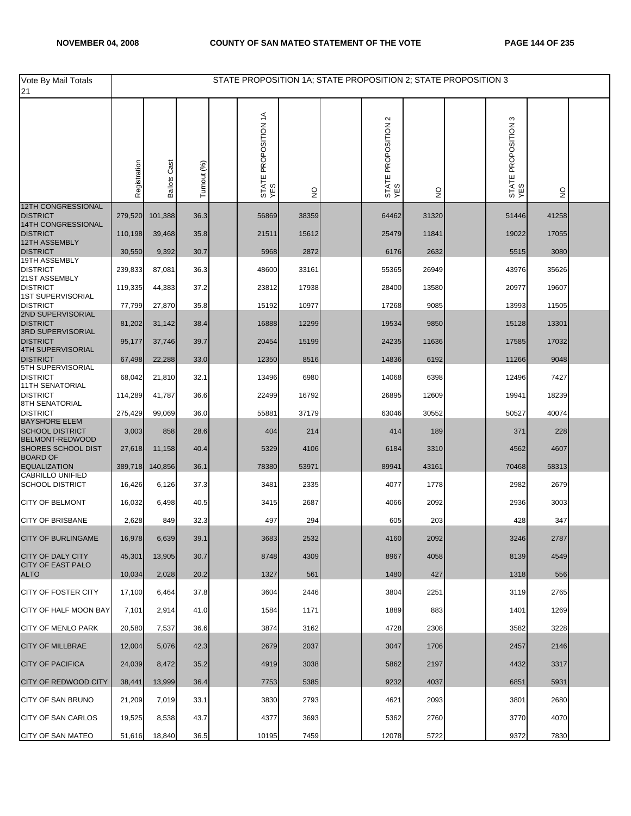| Vote By Mail Totals<br>21                            |              |                        |             | STATE PROPOSITION 1A; STATE PROPOSITION 2; STATE PROPOSITION 3 |               |                            |               |                               |               |  |
|------------------------------------------------------|--------------|------------------------|-------------|----------------------------------------------------------------|---------------|----------------------------|---------------|-------------------------------|---------------|--|
|                                                      | Registration | Cast<br><b>Ballots</b> | Turnout (%) | STATE PROPOSITION 1A<br>YES                                    | $\frac{1}{2}$ | STATE PROPOSITION 2<br>YES | $\frac{0}{2}$ | S<br>STATE PROPOSITION<br>YES | $\frac{1}{2}$ |  |
| 12TH CONGRESSIONAL<br><b>DISTRICT</b>                |              |                        |             |                                                                |               |                            |               |                               |               |  |
| 14TH CONGRESSIONAL                                   | 279,520      | 101,388                | 36.3        | 56869                                                          | 38359         | 64462                      | 31320         | 51446                         | 41258         |  |
| <b>DISTRICT</b><br>12TH ASSEMBLY                     | 110,198      | 39,468                 | 35.8        | 21511                                                          | 15612         | 25479                      | 11841         | 19022                         | 17055         |  |
| <b>DISTRICT</b><br>19TH ASSEMBLY                     | 30,550       | 9,392                  | 30.7        | 5968                                                           | 2872          | 6176                       | 2632          | 5515                          | 3080          |  |
| <b>DISTRICT</b><br>21ST ASSEMBLY                     | 239,833      | 87,081                 | 36.3        | 48600                                                          | 33161         | 55365                      | 26949         | 43976                         | 35626         |  |
| <b>DISTRICT</b><br><b>1ST SUPERVISORIAL</b>          | 119,335      | 44,383                 | 37.2        | 23812                                                          | 17938         | 28400                      | 13580         | 20977                         | 19607         |  |
| <b>DISTRICT</b>                                      | 77,799       | 27,870                 | 35.8        | 15192                                                          | 10977         | 17268                      | 9085          | 13993                         | 11505         |  |
| 2ND SUPERVISORIAL<br><b>DISTRICT</b>                 | 81,202       | 31,142                 | 38.4        | 16888                                                          | 12299         | 19534                      | 9850          | 15128                         | 13301         |  |
| 3RD SUPERVISORIAL<br><b>DISTRICT</b>                 | 95,177       | 37,746                 | 39.7        | 20454                                                          | 15199         | 24235                      | 11636         | 17585                         | 17032         |  |
| <b>4TH SUPERVISORIAL</b><br><b>DISTRICT</b>          | 67,498       | 22,288                 | 33.0        | 12350                                                          | 8516          | 14836                      | 6192          | 11266                         | 9048          |  |
| <b>5TH SUPERVISORIAL</b><br><b>DISTRICT</b>          | 68,042       | 21,810                 | 32.1        | 13496                                                          | 6980          | 14068                      | 6398          | 12496                         | 7427          |  |
| <b>11TH SENATORIAL</b><br><b>DISTRICT</b>            | 114,289      | 41,787                 | 36.6        | 22499                                                          | 16792         | 26895                      | 12609         | 19941                         | 18239         |  |
| 8TH SENATORIAL<br><b>DISTRICT</b>                    | 275,429      | 99,069                 | 36.0        | 55881                                                          | 37179         | 63046                      | 30552         | 50527                         | 40074         |  |
| <b>BAYSHORE ELEM</b><br><b>SCHOOL DISTRICT</b>       | 3,003        | 858                    | 28.6        | 404                                                            | 214           | 414                        | 189           | 371                           | 228           |  |
| BELMONT-REDWOOD                                      |              |                        |             |                                                                |               |                            |               |                               |               |  |
| <b>SHORES SCHOOL DIST</b><br><b>BOARD OF</b>         | 27,618       | 11,158                 | 40.4        | 5329                                                           | 4106          | 6184                       | 3310          | 4562                          | 4607          |  |
| <b>EQUALIZATION</b><br><b>CABRILLO UNIFIED</b>       | 389,718      | 140,856                | 36.1        | 78380                                                          | 53971         | 89941                      | 43161         | 70468                         | 58313         |  |
| <b>SCHOOL DISTRICT</b>                               | 16,426       | 6,126                  | 37.3        | 3481                                                           | 2335          | 4077                       | 1778          | 2982                          | 2679          |  |
| <b>CITY OF BELMONT</b>                               | 16,032       | 6,498                  | 40.5        | 3415                                                           | 2687          | 4066                       | 2092          | 2936                          | 3003          |  |
| <b>CITY OF BRISBANE</b>                              | 2,628        | 849                    | 32.3        | 497                                                            | 294           | 605                        | 203           | 428                           | 347           |  |
| CITY OF BURLINGAME                                   | 16,978       | 6,639                  | 39.1        | 3683                                                           | 2532          | 4160                       | 2092          | 3246                          | 2787          |  |
| <b>CITY OF DALY CITY</b><br><b>CITY OF EAST PALO</b> | 45,301       | 13,905                 | 30.7        | 8748                                                           | 4309          | 8967                       | 4058          | 8139                          | 4549          |  |
| <b>ALTO</b>                                          | 10,034       | 2,028                  | 20.2        | 1327                                                           | 561           | 1480                       | 427           | 1318                          | 556           |  |
| CITY OF FOSTER CITY                                  | 17,100       | 6,464                  | 37.8        | 3604                                                           | 2446          | 3804                       | 2251          | 3119                          | 2765          |  |
| <b>CITY OF HALF MOON BAY</b>                         | 7,101        | 2,914                  | 41.0        | 1584                                                           | 1171          | 1889                       | 883           | 1401                          | 1269          |  |
| <b>CITY OF MENLO PARK</b>                            | 20,580       | 7,537                  | 36.6        | 3874                                                           | 3162          | 4728                       | 2308          | 3582                          | 3228          |  |
| <b>CITY OF MILLBRAE</b>                              | 12,004       | 5,076                  | 42.3        | 2679                                                           | 2037          | 3047                       | 1706          | 2457                          | 2146          |  |
| <b>CITY OF PACIFICA</b>                              | 24,039       | 8,472                  | 35.2        | 4919                                                           | 3038          | 5862                       | 2197          | 4432                          | 3317          |  |
| <b>CITY OF REDWOOD CITY</b>                          | 38,441       | 13,999                 | 36.4        | 7753                                                           | 5385          | 9232                       | 4037          | 6851                          | 5931          |  |
| CITY OF SAN BRUNO                                    | 21,209       | 7,019                  | 33.1        | 3830                                                           | 2793          | 4621                       | 2093          | 3801                          | 2680          |  |
| <b>CITY OF SAN CARLOS</b>                            | 19,525       | 8,538                  | 43.7        | 4377                                                           | 3693          | 5362                       | 2760          | 3770                          | 4070          |  |
| <b>CITY OF SAN MATEO</b>                             | 51,616       | 18,840                 | 36.5        | 10195                                                          | 7459          | 12078                      | 5722          | 9372                          | 7830          |  |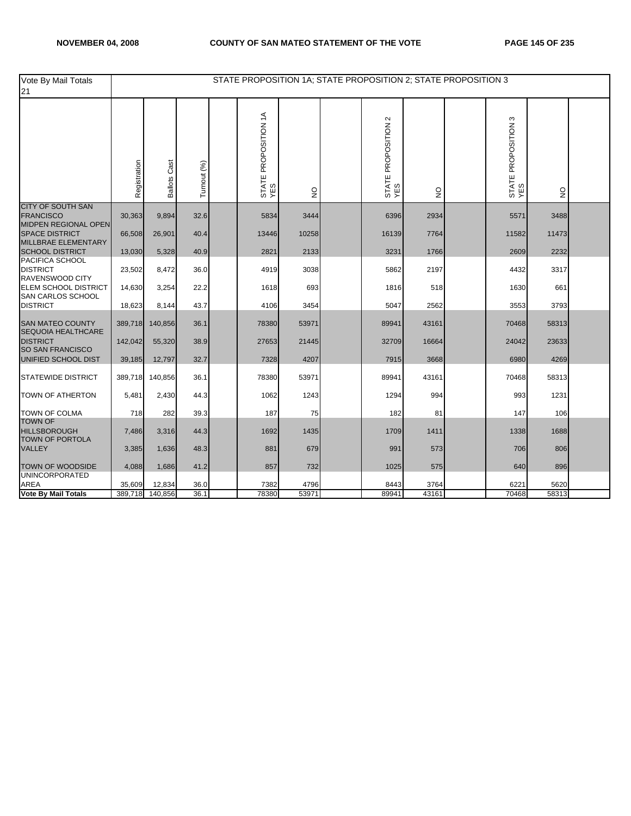| Vote By Mail Totals<br>21                                            |              |                     |             | STATE PROPOSITION 1A; STATE PROPOSITION 2; STATE PROPOSITION 3 |                |                            |              |                               |              |  |
|----------------------------------------------------------------------|--------------|---------------------|-------------|----------------------------------------------------------------|----------------|----------------------------|--------------|-------------------------------|--------------|--|
|                                                                      | Registration | <b>Ballots Cast</b> | Turnout (%) | STATE PROPOSITION 1A<br>YES                                    | $\overline{2}$ | STATE PROPOSITION 2<br>YES | $\mathsf{S}$ | S<br>STATE PROPOSITION<br>YES | $\mathsf{S}$ |  |
| <b>CITY OF SOUTH SAN</b><br><b>FRANCISCO</b>                         | 30,363       | 9,894               | 32.6        | 5834                                                           | 3444           | 6396                       | 2934         | 5571                          | 3488         |  |
| MIDPEN REGIONAL OPEN<br><b>SPACE DISTRICT</b><br>MILLBRAE ELEMENTARY | 66,508       | 26,901              | 40.4        | 13446                                                          | 10258          | 16139                      | 7764         | 11582                         | 11473        |  |
| <b>SCHOOL DISTRICT</b>                                               | 13,030       | 5,328               | 40.9        | 2821                                                           | 2133           | 3231                       | 1766         | 2609                          | 2232         |  |
| PACIFICA SCHOOL<br><b>DISTRICT</b><br>RAVENSWOOD CITY                | 23,502       | 8,472               | 36.0        | 4919                                                           | 3038           | 5862                       | 2197         | 4432                          | 3317         |  |
| <b>ELEM SCHOOL DISTRICT</b><br>SAN CARLOS SCHOOL                     | 14,630       | 3,254               | 22.2        | 1618                                                           | 693            | 1816                       | 518          | 1630                          | 661          |  |
| <b>DISTRICT</b>                                                      | 18,623       | 8,144               | 43.7        | 4106                                                           | 3454           | 5047                       | 2562         | 3553                          | 3793         |  |
| <b>SAN MATEO COUNTY</b><br><b>SEQUOIA HEALTHCARE</b>                 | 389,718      | 140,856             | 36.1        | 78380                                                          | 53971          | 89941                      | 43161        | 70468                         | 58313        |  |
| <b>DISTRICT</b><br>SO SAN FRANCISCO                                  | 142,042      | 55,320              | 38.9        | 27653                                                          | 21445          | 32709                      | 16664        | 24042                         | 23633        |  |
| UNIFIED SCHOOL DIST                                                  | 39,185       | 12,797              | 32.7        | 7328                                                           | 4207           | 7915                       | 3668         | 6980                          | 4269         |  |
| <b>STATEWIDE DISTRICT</b>                                            | 389,718      | 140,856             | 36.1        | 78380                                                          | 53971          | 89941                      | 43161        | 70468                         | 58313        |  |
| <b>TOWN OF ATHERTON</b>                                              | 5,481        | 2,430               | 44.3        | 1062                                                           | 1243           | 1294                       | 994          | 993                           | 1231         |  |
| <b>TOWN OF COLMA</b>                                                 | 718          | 282                 | 39.3        | 187                                                            | 75             | 182                        | 81           | 147                           | 106          |  |
| <b>TOWN OF</b><br><b>HILLSBOROUGH</b><br>TOWN OF PORTOLA             | 7,486        | 3,316               | 44.3        | 1692                                                           | 1435           | 1709                       | 1411         | 1338                          | 1688         |  |
| <b>VALLEY</b>                                                        | 3,385        | 1,636               | 48.3        | 881                                                            | 679            | 991                        | 573          | 706                           | 806          |  |
| TOWN OF WOODSIDE<br><b>UNINCORPORATED</b>                            | 4,088        | 1,686               | 41.2        | 857                                                            | 732            | 1025                       | 575          | 640                           | 896          |  |
| <b>AREA</b>                                                          | 35,609       | 12,834              | 36.0        | 7382                                                           | 4796           | 8443                       | 3764         | 6221                          | 5620         |  |
| <b>Vote By Mail Totals</b>                                           | 389,718      | 140,856             | 36.1        | 78380                                                          | 53971          | 89941                      | 43161        | 70468                         | 58313        |  |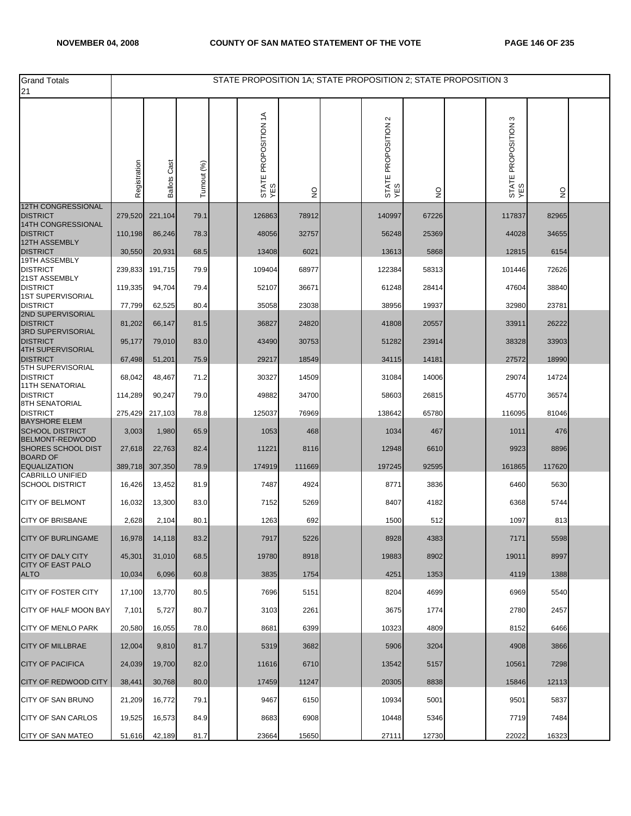| <b>Grand Totals</b><br>21                    |              |                        |             | STATE PROPOSITION 1A; STATE PROPOSITION 2; STATE PROPOSITION 3 |               |                            |               |                            |               |  |
|----------------------------------------------|--------------|------------------------|-------------|----------------------------------------------------------------|---------------|----------------------------|---------------|----------------------------|---------------|--|
|                                              | Registration | Cast<br><b>Ballots</b> | Turnout (%) | STATE PROPOSITION 1A<br>YES                                    | $\frac{0}{2}$ | STATE PROPOSITION 2<br>YES | $\frac{0}{2}$ | STATE PROPOSITION 3<br>YES | $\frac{1}{2}$ |  |
| <b>12TH CONGRESSIONAL</b><br><b>DISTRICT</b> | 279,520      | 221,104                | 79.1        | 126863                                                         | 78912         | 140997                     | 67226         | 117837                     | 82965         |  |
| 14TH CONGRESSIONAL<br><b>DISTRICT</b>        | 110,198      | 86,246                 | 78.3        | 48056                                                          | 32757         | 56248                      | 25369         | 44028                      | 34655         |  |
| <b>12TH ASSEMBLY</b><br><b>DISTRICT</b>      | 30,550       | 20,931                 | 68.5        | 13408                                                          | 6021          | 13613                      | 5868          | 12815                      | 6154          |  |
| 19TH ASSEMBLY<br><b>DISTRICT</b>             | 239,833      | 191,715                | 79.9        | 109404                                                         | 68977         | 122384                     | 58313         | 101446                     | 72626         |  |
| 21ST ASSEMBLY<br><b>DISTRICT</b>             | 119,335      | 94,704                 | 79.4        | 52107                                                          | 36671         | 61248                      | 28414         | 47604                      | 38840         |  |
| <b>1ST SUPERVISORIAL</b><br><b>DISTRICT</b>  |              |                        |             | 35058                                                          | 23038         | 38956                      | 19937         | 32980                      | 23781         |  |
| 2ND SUPERVISORIAL                            | 77,799       | 62,525                 | 80.4        |                                                                |               |                            |               |                            |               |  |
| <b>DISTRICT</b><br>3RD SUPERVISORIAL         | 81,202       | 66,147                 | 81.5        | 36827                                                          | 24820         | 41808                      | 20557         | 33911                      | 26222         |  |
| <b>DISTRICT</b><br><b>4TH SUPERVISORIAL</b>  | 95,177       | 79,010                 | 83.0        | 43490                                                          | 30753         | 51282                      | 23914         | 38328                      | 33903         |  |
| <b>DISTRICT</b><br>5TH SUPERVISORIAL         | 67,498       | 51,201                 | 75.9        | 29217                                                          | 18549         | 34115                      | 14181         | 27572                      | 18990         |  |
| <b>DISTRICT</b><br><b>11TH SENATORIAL</b>    | 68,042       | 48,467                 | 71.2        | 30327                                                          | 14509         | 31084                      | 14006         | 29074                      | 14724         |  |
| <b>DISTRICT</b><br>8TH SENATORIAL            | 114,289      | 90,247                 | 79.0        | 49882                                                          | 34700         | 58603                      | 26815         | 45770                      | 36574         |  |
| <b>DISTRICT</b><br><b>BAYSHORE ELEM</b>      | 275,429      | 217,103                | 78.8        | 125037                                                         | 76969         | 138642                     | 65780         | 116095                     | 81046         |  |
| <b>SCHOOL DISTRICT</b><br>BELMONT-REDWOOD    | 3,003        | 1,980                  | 65.9        | 1053                                                           | 468           | 1034                       | 467           | 1011                       | 476           |  |
| <b>SHORES SCHOOL DIST</b><br><b>BOARD OF</b> | 27,618       | 22,763                 | 82.4        | 11221                                                          | 8116          | 12948                      | 6610          | 9923                       | 8896          |  |
| <b>EQUALIZATION</b><br>CABRILLO UNIFIED      | 389,718      | 307,350                | 78.9        | 174919                                                         | 111669        | 197245                     | 92595         | 161865                     | 117620        |  |
| <b>SCHOOL DISTRICT</b>                       | 16,426       | 13,452                 | 81.9        | 7487                                                           | 4924          | 8771                       | 3836          | 6460                       | 5630          |  |
| <b>CITY OF BELMONT</b>                       | 16,032       | 13,300                 | 83.0        | 7152                                                           | 5269          | 8407                       | 4182          | 6368                       | 5744          |  |
| <b>CITY OF BRISBANE</b>                      | 2,628        | 2,104                  | 80.1        | 1263                                                           | 692           | 1500                       | 512           | 1097                       | 813           |  |
| <b>CITY OF BURLINGAME</b>                    | 16,978       | 14,118                 | 83.2        | 1911                                                           | 5226          | 8928                       | 4383          | 11/1                       | 5598          |  |
| <b>CITY OF DALY CITY</b>                     | 45,301       | 31,010                 | 68.5        | 19780                                                          | 8918          | 19883                      | 8902          | 19011                      | 8997          |  |
| <b>CITY OF EAST PALO</b><br><b>ALTO</b>      | 10,034       | 6,096                  | 60.8        | 3835                                                           | 1754          | 4251                       | 1353          | 4119                       | 1388          |  |
| <b>CITY OF FOSTER CITY</b>                   | 17,100       | 13,770                 | 80.5        | 7696                                                           | 5151          | 8204                       | 4699          | 6969                       | 5540          |  |
| CITY OF HALF MOON BAY                        | 7,101        | 5,727                  | 80.7        | 3103                                                           | 2261          | 3675                       | 1774          | 2780                       | 2457          |  |
| <b>CITY OF MENLO PARK</b>                    | 20,580       | 16.055                 | 78.0        | 8681                                                           | 6399          | 10323                      | 4809          | 8152                       | 6466          |  |
| <b>CITY OF MILLBRAE</b>                      | 12,004       | 9,810                  | 81.7        | 5319                                                           | 3682          | 5906                       | 3204          | 4908                       | 3866          |  |
| <b>CITY OF PACIFICA</b>                      | 24,039       | 19,700                 | 82.0        | 11616                                                          | 6710          | 13542                      | 5157          | 10561                      | 7298          |  |
| <b>CITY OF REDWOOD CITY</b>                  | 38,441       | 30,768                 | 80.0        | 17459                                                          | 11247         | 20305                      | 8838          | 15846                      | 12113         |  |
| CITY OF SAN BRUNO                            | 21,209       | 16,772                 | 79.1        | 9467                                                           | 6150          | 10934                      | 5001          | 9501                       | 5837          |  |
| <b>CITY OF SAN CARLOS</b>                    | 19,525       | 16,573                 | 84.9        | 8683                                                           | 6908          | 10448                      | 5346          | 7719                       | 7484          |  |
| <b>CITY OF SAN MATEO</b>                     | 51,616       | 42,189                 | 81.7        | 23664                                                          | 15650         | 27111                      | 12730         | 22022                      | 16323         |  |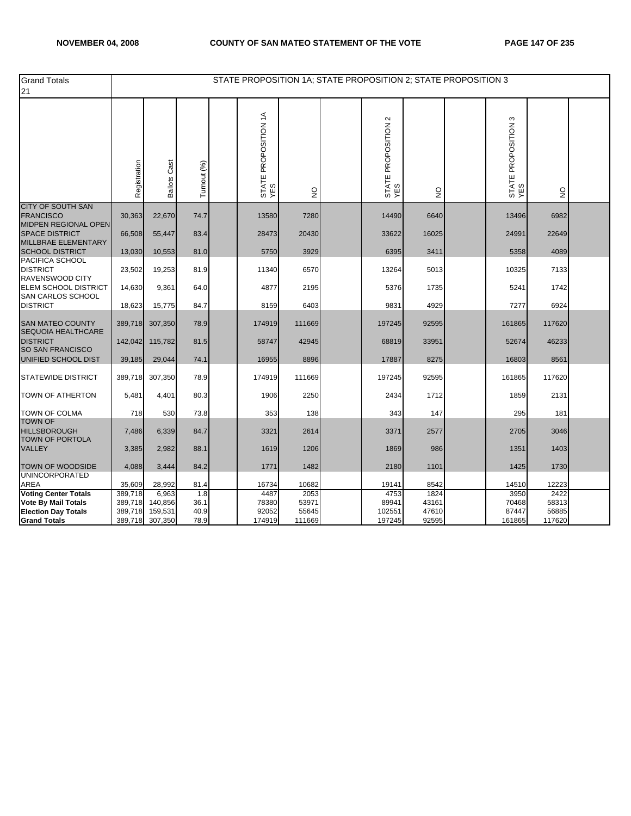| <b>Grand Totals</b><br>21                                       |              |                     |             |                             |               | STATE PROPOSITION 1A; STATE PROPOSITION 2; STATE PROPOSITION 3 |               |                            |                           |  |
|-----------------------------------------------------------------|--------------|---------------------|-------------|-----------------------------|---------------|----------------------------------------------------------------|---------------|----------------------------|---------------------------|--|
|                                                                 | Registration | <b>Ballots Cast</b> | Turnout (%) | STATE PROPOSITION 1A<br>YES | $\frac{0}{2}$ | STATE PROPOSITION 2<br>YES                                     | $\frac{0}{2}$ | STATE PROPOSITION 3<br>YES | $\mathsf{S}^{\mathsf{O}}$ |  |
| <b>CITY OF SOUTH SAN</b><br><b>FRANCISCO</b>                    | 30,363       | 22,670              | 74.7        | 13580                       | 7280          | 14490                                                          | 6640          | 13496                      | 6982                      |  |
| MIDPEN REGIONAL OPEN<br><b>SPACE DISTRICT</b>                   | 66,508       | 55,447              | 83.4        | 28473                       | 20430         | 33622                                                          | 16025         | 24991                      | 22649                     |  |
| MILLBRAE ELEMENTARY<br><b>SCHOOL DISTRICT</b>                   | 13,030       | 10,553              | 81.0        | 5750                        | 3929          | 6395                                                           | 3411          | 5358                       | 4089                      |  |
| PACIFICA SCHOOL<br><b>DISTRICT</b><br>RAVENSWOOD CITY           | 23,502       | 19,253              | 81.9        | 11340                       | 6570          | 13264                                                          | 5013          | 10325                      | 7133                      |  |
| ELEM SCHOOL DISTRICT<br>SAN CARLOS SCHOOL                       | 14,630       | 9,361               | 64.0        | 4877                        | 2195          | 5376                                                           | 1735          | 5241                       | 1742                      |  |
| <b>DISTRICT</b>                                                 | 18,623       | 15,775              | 84.7        | 8159                        | 6403          | 9831                                                           | 4929          | 7277                       | 6924                      |  |
| <b>SAN MATEO COUNTY</b><br><b>SEQUOIA HEALTHCARE</b>            | 389,718      | 307,350             | 78.9        | 174919                      | 111669        | 197245                                                         | 92595         | 161865                     | 117620                    |  |
| <b>DISTRICT</b><br><b>SO SAN FRANCISCO</b>                      | 142,042      | 115,782             | 81.5        | 58747                       | 42945         | 68819                                                          | 33951         | 52674                      | 46233                     |  |
| UNIFIED SCHOOL DIST                                             | 39,185       | 29,044              | 74.1        | 16955                       | 8896          | 17887                                                          | 8275          | 16803                      | 8561                      |  |
| <b>STATEWIDE DISTRICT</b>                                       | 389,718      | 307,350             | 78.9        | 174919                      | 111669        | 197245                                                         | 92595         | 161865                     | 117620                    |  |
| <b>TOWN OF ATHERTON</b>                                         | 5,481        | 4,401               | 80.3        | 1906                        | 2250          | 2434                                                           | 1712          | 1859                       | 2131                      |  |
| <b>TOWN OF COLMA</b>                                            | 718          | 530                 | 73.8        | 353                         | 138           | 343                                                            | 147           | 295                        | 181                       |  |
| <b>TOWN OF</b><br><b>HILLSBOROUGH</b><br><b>TOWN OF PORTOLA</b> | 7,486        | 6,339               | 84.7        | 3321                        | 2614          | 3371                                                           | 2577          | 2705                       | 3046                      |  |
| <b>VALLEY</b>                                                   | 3,385        | 2,982               | 88.1        | 1619                        | 1206          | 1869                                                           | 986           | 1351                       | 1403                      |  |
| TOWN OF WOODSIDE                                                | 4,088        | 3,444               | 84.2        | 1771                        | 1482          | 2180                                                           | 1101          | 1425                       | 1730                      |  |
| <b>UNINCORPORATED</b><br>AREA                                   | 35,609       | 28,992              | 81.4        | 16734                       | 10682         | 19141                                                          | 8542          | 14510                      | 12223                     |  |
| <b>Voting Center Totals</b>                                     | 389,718      | 6,963               | 1.8         | 4487                        | 2053          | 4753                                                           | 1824          | 3950                       | 2422                      |  |
| <b>Vote By Mail Totals</b>                                      | 389,718      | 140,856             | 36.1        | 78380                       | 53971         | 89941                                                          | 43161         | 70468                      | 58313                     |  |
| <b>Election Day Totals</b>                                      | 389,718      | 159,531             | 40.9        | 92052                       | 55645         | 102551                                                         | 47610         | 87447                      | 56885                     |  |
| <b>Grand Totals</b>                                             | 389,718      | 307,350             | 78.9        | 174919                      | 111669        | 197245                                                         | 92595         | 161865                     | 117620                    |  |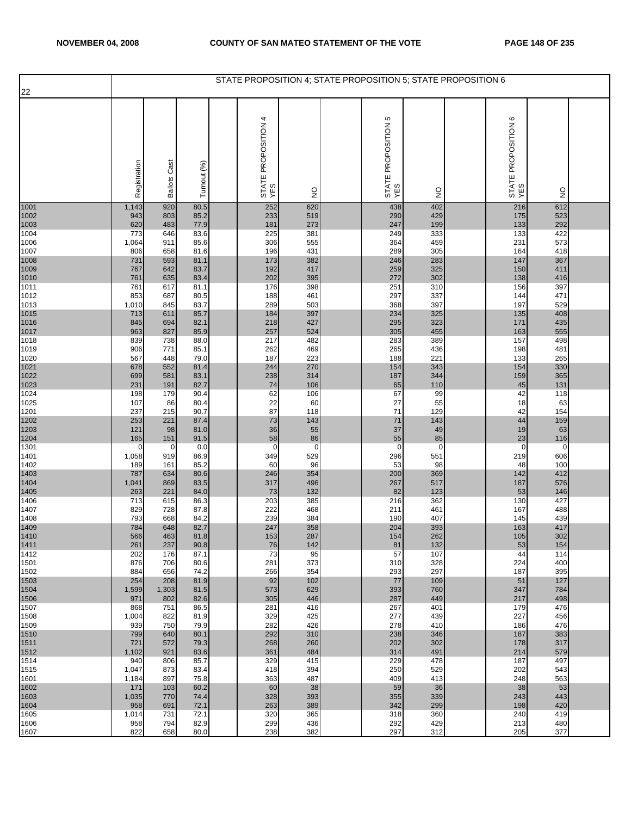| 22           |                    |                     |              | STATE PROPOSITION 4; STATE PROPOSITION 5; STATE PROPOSITION 6 |                   |                          |                   |                          |                    |  |
|--------------|--------------------|---------------------|--------------|---------------------------------------------------------------|-------------------|--------------------------|-------------------|--------------------------|--------------------|--|
|              |                    |                     |              | 4                                                             |                   | Ю                        |                   | $\circ$                  |                    |  |
|              | Registration       | <b>Ballots Cast</b> | Turnout (%)  | STATE PROPOSITION<br>YES                                      | $\frac{0}{2}$     | STATE PROPOSITION<br>YES | $\frac{1}{2}$     | STATE PROPOSITION<br>YES | $\frac{0}{2}$      |  |
| 1001<br>1002 | 1,143<br>943       | 920<br>803          | 80.5<br>85.2 | 252<br>233                                                    | 620<br>519        | 438<br>290               | 402<br>429        | 216<br>175               | 612<br>523         |  |
| 1003<br>1004 | 620<br>773         | 483<br>646          | 77.9<br>83.6 | 181<br>225                                                    | 273<br>381        | 247<br>249               | 199<br>333        | 133<br>133               | 292<br>422         |  |
| 1006<br>1007 | 1,064<br>806       | 911<br>658          | 85.6<br>81.6 | 306<br>196                                                    | 555<br>431        | 364<br>289               | 459<br>305        | 231<br>164               | 573<br>418         |  |
| 1008         | 731                | 593                 | 81.1         | 173                                                           | 382               | 246                      | 283               | 147                      | 367                |  |
| 1009<br>1010 | 767<br>761         | 642<br>635          | 83.7<br>83.4 | 192<br>202                                                    | 417<br>395        | 259<br>272               | 325<br>302        | 150<br>138               | 411<br>416         |  |
| 1011<br>1012 | 761<br>853         | 617<br>687          | 81.1<br>80.5 | 176<br>188                                                    | 398<br>461        | 251<br>297               | 310<br>337        | 156<br>144               | 397<br>471         |  |
| 1013         | 1,010              | 845                 | 83.7         | 289                                                           | 503               | 368                      | 397               | 197                      | 529                |  |
| 1015<br>1016 | 713<br>845         | 611<br>694          | 85.7<br>82.1 | 184<br>218                                                    | 397<br>427        | 234<br>295               | 325<br>323        | 135<br>171               | 408<br>435         |  |
| 1017<br>1018 | 963<br>839         | 827<br>738          | 85.9<br>88.0 | 257<br>217                                                    | 524<br>482        | 305<br>283               | 455<br>389        | 163<br>157               | 555<br>498         |  |
| 1019         | 906                | 771                 | 85.1         | 262                                                           | 469               | 265                      | 436               | 198                      | 481                |  |
| 1020<br>1021 | 567<br>678         | 448<br>552          | 79.0<br>81.4 | 187<br>244                                                    | 223<br>270        | 188<br>154               | 221<br>343        | 133<br>154               | 265<br>330         |  |
| 1022<br>1023 | 699<br>231         | 581<br>191          | 83.1<br>82.7 | 238<br>74                                                     | 314<br>106        | 187<br>65                | 344<br>110        | 159<br>45                | 365<br>131         |  |
| 1024         | 198                | 179                 | 90.4         | 62                                                            | 106               | 67                       | 99                | 42                       | 118                |  |
| 1025<br>1201 | 107<br>237         | 86<br>215           | 80.4<br>90.7 | 22<br>87                                                      | 60<br>118         | 27<br>71                 | 55<br>129         | 18<br>42                 | 63<br>154          |  |
| 1202<br>1203 | 253<br>121         | 221<br>98           | 87.4<br>81.0 | 73<br>36                                                      | 143<br>55         | 71<br>37                 | 143<br>49         | 44<br>19                 | 159<br>63          |  |
| 1204<br>1301 | 165<br>$\mathbf 0$ | 151<br>0            | 91.5<br>0.0  | 58<br>$\mathbf 0$                                             | 86<br>$\mathbf 0$ | 55<br>$\mathbf 0$        | 85<br>$\mathbf 0$ | 23<br>$\mathbf 0$        | 116<br>$\mathbf 0$ |  |
| 1401         | 1,058              | 919                 | 86.9         | 349                                                           | 529               | 296                      | 551               | 219                      | 606                |  |
| 1402<br>1403 | 189<br>787         | 161<br>634          | 85.2<br>80.6 | 60<br>246                                                     | 96<br>354         | 53<br>200                | 98<br>369         | 48<br>142                | 100<br>412         |  |
| 1404<br>1405 | 1,041<br>263       | 869<br>221          | 83.5<br>84.0 | 317<br>73                                                     | 496<br>132        | 267<br>82                | 517<br>123        | 187<br>53                | 576<br>146         |  |
| 1406         | 713                | 615                 | 86.3         | 203                                                           | 385               | 216                      | 362               | 130                      | 427                |  |
| 1407<br>1408 | 829<br>793         | 728<br>668          | 87.8<br>84.2 | 222<br>239                                                    | 468<br>384        | 211<br>190               | 461<br>407        | 167<br>145               | 488<br>439         |  |
| 1409<br>1410 | 784<br>566         | 648<br>463          | 82.7<br>81.8 | 247<br>153                                                    | 358<br>287        | 204<br>154               | 393<br>262        | 163<br>105               | 417<br>302         |  |
| 1411         | 261                | 237                 | 90.8         | 76                                                            | 142               | 81                       | 132               | 53                       | 154                |  |
| 1412<br>1501 | 202<br>876         | 176<br>706          | 87.1<br>80.6 | 73<br>281                                                     | 95<br>373         | 57<br>310                | 107<br>328        | 44<br>224                | 114<br>400         |  |
| 1502<br>1503 | 884<br>254         | 656<br>208          | 74.2<br>81.9 | 266<br>92                                                     | 354<br>102        | 293<br>77                | 297<br>109        | 187<br>51                | 395<br>127         |  |
| 1504         | 1,599<br>971       | 1,303<br>802        | 81.5<br>82.6 | 573<br>305                                                    | 629<br>446        | 393<br>287               | 760<br>449        | 347<br>217               | 784<br>498         |  |
| 1506<br>1507 | 868                | 751                 | 86.5         | 281                                                           | 416               | 267                      | 401               | 179                      | 476                |  |
| 1508<br>1509 | 1,004<br>939       | 822<br>750          | 81.9<br>79.9 | 329<br>282                                                    | 425<br>426        | 277<br>278               | 439<br>410        | 227<br>186               | 456<br>476         |  |
| 1510         | 799                | 640                 | 80.1         | 292                                                           | 310               | 238                      | 346<br>302        | 187                      | 383<br>317         |  |
| 1511<br>1512 | 721<br>1,102       | 572<br>921          | 79.3<br>83.6 | 268<br>361                                                    | 260<br>484        | 202<br>314               | 491               | 178<br>214               | 579                |  |
| 1514<br>1515 | 940<br>1,047       | 806<br>873          | 85.7<br>83.4 | 329<br>418                                                    | 415<br>394        | 229<br>250               | 478<br>529        | 187<br>202               | 497<br>543         |  |
| 1601<br>1602 | 1,184<br>171       | 897<br>103          | 75.8<br>60.2 | 363<br>60                                                     | 487<br>38         | 409<br>59                | 413<br>36         | 248<br>38                | 563<br>53          |  |
| 1603         | 1,035              | 770                 | 74.4         | 328                                                           | 393               | 355                      | 339               | 243                      | 443                |  |
| 1604<br>1605 | 958<br>1,014       | 691<br>731          | 72.1<br>72.1 | 263<br>320                                                    | 389<br>365        | 342<br>318               | 299<br>360        | 198<br>240               | 420<br>419         |  |
| 1606<br>1607 | 958<br>822         | 794<br>658          | 82.9<br>80.0 | 299<br>238                                                    | 436<br>382        | 292<br>297               | 429<br>312        | 213<br>205               | 480<br>377         |  |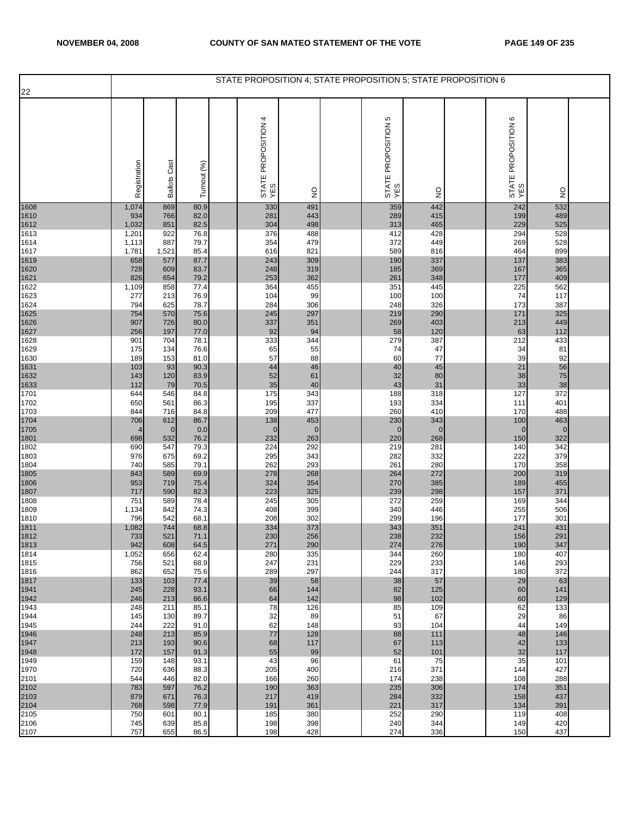| 22           |                |                     |              | STATE PROPOSITION 4; STATE PROPOSITION 5; STATE PROPOSITION 6 |                    |                               |                    |                                     |                    |  |
|--------------|----------------|---------------------|--------------|---------------------------------------------------------------|--------------------|-------------------------------|--------------------|-------------------------------------|--------------------|--|
|              | Registration   | <b>Ballots Cast</b> | Turnout (%)  | 4<br>STATE PROPOSITION<br>YES                                 | $\frac{0}{2}$      | Ю<br>STATE PROPOSITION<br>YES | $\frac{1}{2}$      | $\circ$<br>STATE PROPOSITION<br>YES | $\frac{0}{2}$      |  |
| 1608         | 1,074          | 869                 | 80.9<br>82.0 | 330                                                           | 491                | 359                           | 442<br>415         | 242                                 | 532<br>489         |  |
| 1610<br>1612 | 934<br>1,032   | 766<br>851          | 82.5         | 281<br>304                                                    | 443<br>498         | 289<br>313                    | 465                | 199<br>229                          | 525                |  |
| 1613         | 1,201          | 922                 | 76.8         | 376                                                           | 488                | 412                           | 428                | 294                                 | 528                |  |
| 1614<br>1617 | 1,113<br>1,781 | 887<br>1,521        | 79.7<br>85.4 | 354<br>616                                                    | 479<br>821         | 372<br>589                    | 449<br>816         | 269<br>464                          | 528<br>899         |  |
| 1619         | 658            | 577                 | 87.7         | 243                                                           | 309                | 190                           | 337                | 137                                 | 383                |  |
| 1620<br>1621 | 728<br>826     | 609<br>654          | 83.7<br>79.2 | 248<br>253                                                    | 319<br>362         | 185<br>261                    | 369<br>348         | 167<br>177                          | 365<br>409         |  |
| 1622         | 1,109          | 858                 | 77.4         | 364                                                           | 455                | 351                           | 445                | 225                                 | 562                |  |
| 1623<br>1624 | 277<br>794     | 213<br>625          | 76.9<br>78.7 | 104<br>284                                                    | 99<br>306          | 100<br>248                    | 100<br>326         | 74<br>173                           | 117<br>387         |  |
| 1625         | 754            | 570                 | 75.6         | 245                                                           | 297                | 219                           | 290                | 171                                 | 325                |  |
| 1626<br>1627 | 907<br>256     | 726<br>197          | 80.0<br>77.0 | 337<br>92                                                     | 351<br>94          | 269<br>58                     | 403<br>120         | 213<br>63                           | 449<br>112         |  |
| 1628         | 901            | 704                 | 78.1         | 333                                                           | 344                | 279                           | 387                | 212                                 | 433                |  |
| 1629<br>1630 | 175<br>189     | 134<br>153          | 76.6<br>81.0 | 65<br>57                                                      | 55<br>88           | 74<br>60                      | 47<br>77           | 34<br>39                            | 81<br>92           |  |
| 1631         | 103            | 93                  | 90.3         | 44                                                            | 46                 | 40                            | 45                 | 21                                  | 56                 |  |
| 1632<br>1633 | 143<br>112     | 120<br>79           | 83.9<br>70.5 | 52<br>35                                                      | 61<br>40           | 32<br>43                      | 80<br>31           | 38<br>33                            | ${\bf 75}$<br>38   |  |
| 1701         | 644            | 546                 | 84.8         | 175                                                           | 343                | 188                           | 318                | 127                                 | 372                |  |
| 1702<br>1703 | 650<br>844     | 561<br>716          | 86.3<br>84.8 | 195<br>209                                                    | 337<br>477         | 193<br>260                    | 334<br>410         | 111<br>170                          | 401<br>488         |  |
| 1704         | 706            | 612                 | 86.7         | 138                                                           | 453                | 230                           | 343                | 100                                 | 463                |  |
| 1705<br>1801 | 698            | $\mathbf 0$<br>532  | 0.0<br>76.2  | $\mathbf 0$<br>232                                            | $\mathbf 0$<br>263 | $\mathbf{0}$<br>220           | $\mathbf 0$<br>268 | $\mathbf 0$<br>150                  | $\mathbf 0$<br>322 |  |
| 1802         | 690            | 547                 | 79.3         | 224                                                           | 292                | 219                           | 281                | 140                                 | 342                |  |
| 1803<br>1804 | 976<br>740     | 675<br>585          | 69.2<br>79.1 | 295<br>262                                                    | 343<br>293         | 282<br>261                    | 332<br>280         | 222<br>170                          | 379<br>358         |  |
| 1805         | 843            | 589                 | 69.9         | 278                                                           | 268                | 264                           | 272                | 200                                 | 319                |  |
| 1806<br>1807 | 953<br>717     | 719<br>590          | 75.4<br>82.3 | 324<br>223                                                    | 354<br>325         | 270<br>239                    | 385<br>298         | 189<br>157                          | 455<br>371         |  |
| 1808         | 751            | 589                 | 78.4         | 245                                                           | 305                | 272                           | 259                | 169                                 | 344                |  |
| 1809<br>1810 | 1,134<br>796   | 842<br>542          | 74.3<br>68.1 | 408<br>208                                                    | 399<br>302         | 340<br>299                    | 446<br>196         | 255<br>177                          | 506<br>301         |  |
| 1811<br>1812 | 1,082          | 744                 | 68.8         | 334                                                           | 373                | 343                           | 351                | 241                                 | 431                |  |
| 1813         | 733<br>942     | 521<br>608          | 71.1<br>64.5 | 230<br>271                                                    | 256<br>290         | 238<br>274                    | 232<br>276         | 156<br>190                          | 291<br>347         |  |
| 1814         | 1,052          | 656                 | 62.4         | 280                                                           | 335                | 344                           | 260                | 180                                 | 407                |  |
| 1815<br>1816 | 756<br>862     | 521<br>652          | 68.9<br>75.6 | 247<br>289                                                    | 231<br>297         | 229<br>244                    | 233<br>317         | 146<br>180                          | 293<br>372         |  |
| 1817         | 133            | 103                 | 77.4         | 39                                                            | 58                 | 38                            | 57                 | 29                                  | 63                 |  |
| 1941<br>1942 | 245<br>246     | 228<br>213          | 93.1<br>86.6 | 66<br>64                                                      | 144<br>142         | 82<br>98                      | 125<br>102         | 60<br>60                            | 141<br>129         |  |
| 1943         | 248            | 211                 | 85.1         | 78                                                            | 126                | 85                            | 109                | 62                                  | 133                |  |
| 1944<br>1945 | 145<br>244     | 130<br>222          | 89.7<br>91.0 | 32<br>62                                                      | 89<br>148          | 51<br>93                      | 67<br>104          | 29<br>44                            | 86<br>149          |  |
| 1946         | 248            | 213                 | 85.9         | 77                                                            | 128                | 88                            | 111                | 48                                  | 146                |  |
| 1947<br>1948 | 213<br>172     | 193<br>157          | 90.6<br>91.3 | 68<br>55                                                      | 117<br>99          | 67<br>52                      | 113<br>101         | 42<br>32                            | 133<br>117         |  |
| 1949         | 159            | 148                 | 93.1         | 43                                                            | 96                 | 61                            | 75                 | 35                                  | 101                |  |
| 1970<br>2101 | 720<br>544     | 636<br>446          | 88.3<br>82.0 | 205<br>166                                                    | 400<br>260         | 216<br>174                    | 371<br>238         | 144<br>108                          | 427<br>288         |  |
| 2102<br>2103 | 783            | 597                 | 76.2         | 190                                                           | 363                | 235                           | 306                | 174                                 | 351                |  |
| 2104         | 879<br>768     | 671<br>598          | 76.3<br>77.9 | 217<br>191                                                    | 419<br>361         | 284<br>221                    | 332<br>317         | 158<br>134                          | 437<br>391         |  |
| 2105         | 750            | 601                 | 80.1         | 185                                                           | 380                | 252                           | 290                | 119                                 | 408                |  |
| 2106<br>2107 | 745<br>757     | 639<br>655          | 85.8<br>86.5 | 198<br>198                                                    | 398<br>428         | 240<br>274                    | 344<br>336         | 149<br>150                          | 420<br>437         |  |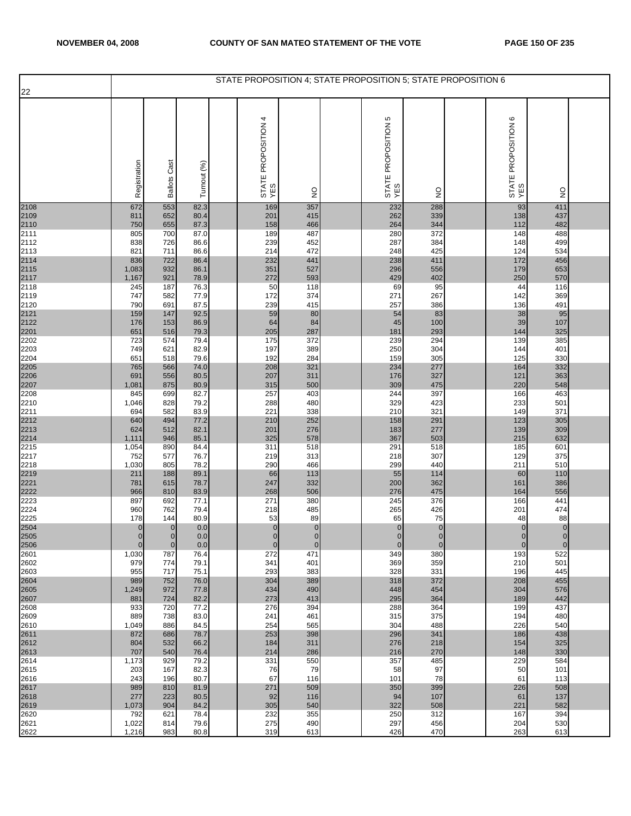| 22                           |                         |                        |              | STATE PROPOSITION 4; STATE PROPOSITION 5; STATE PROPOSITION 6 |                      |                               |                    |                               |                       |  |
|------------------------------|-------------------------|------------------------|--------------|---------------------------------------------------------------|----------------------|-------------------------------|--------------------|-------------------------------|-----------------------|--|
|                              |                         |                        |              |                                                               |                      |                               |                    |                               |                       |  |
|                              | Registration            | Cast<br><b>Ballots</b> | Turnout (%)  | 4<br>STATE PROPOSITION<br>YES                                 | $\frac{0}{2}$        | 5<br>STATE PROPOSITION<br>YES | $\frac{1}{2}$      | ဖ<br>STATE PROPOSITION<br>YES | $\frac{0}{2}$         |  |
| 2108<br>2109<br>2110<br>2111 | 672                     | 553                    | 82.3         | 169                                                           | 357                  | 232                           | 288                | 93                            | 411                   |  |
|                              | 811<br>750              | 652<br>655             | 80.4<br>87.3 | 201<br>158                                                    | 415<br>466           | 262<br>264                    | 339<br>344         | 138<br>112                    | 437<br>482            |  |
|                              | 805                     | 700                    | 87.0         | 189                                                           | 487                  | 280                           | 372                | 148                           | 488                   |  |
| 2112<br>2113                 | 838<br>821              | 726<br>711             | 86.6<br>86.6 | 239<br>214                                                    | 452<br>472           | 287<br>248                    | 384<br>425         | 148<br>124                    | 499<br>534            |  |
|                              | 836                     | 722                    | 86.4         | 232                                                           | 441                  | 238                           | 411                | 172                           | 456                   |  |
|                              | 1,083<br>1,167          | 932<br>921             | 86.1<br>78.9 | 351<br>272                                                    | 527<br>593           | 296<br>429                    | 556<br>402         | 179<br>250                    | 653<br>570            |  |
| 2114<br>2115<br>2117<br>2118 | 245                     | 187                    | 76.3         | 50                                                            | 118                  | 69                            | 95                 | 44                            | 116                   |  |
| 2119                         | 747                     | 582                    | 77.9         | 172                                                           | 374                  | 271                           | 267                | 142                           | 369                   |  |
| 2120<br>2121<br>2122<br>2201 | 790<br>159              | 691<br>147             | 87.5<br>92.5 | 239<br>59                                                     | 415<br>80            | 257<br>54                     | 386<br>83          | 136<br>38                     | 491<br>95             |  |
|                              | 176                     | 153                    | 86.9         | 64                                                            | 84                   | 45                            | 100                | 39                            | 107                   |  |
|                              | 651                     | 516                    | 79.3         | 205                                                           | 287                  | 181                           | 293<br>294         | 144                           | 325                   |  |
| 2202<br>2203                 | 723<br>749              | 574<br>621             | 79.4<br>82.9 | 175<br>197                                                    | 372<br>389           | 239<br>250                    | 304                | 139<br>144                    | 385<br>401            |  |
| 2204                         | 651                     | 518                    | 79.6         | 192                                                           | 284                  | 159                           | 305                | 125                           | 330                   |  |
|                              | 765<br>691              | 566<br>556             | 74.0<br>80.5 | 208<br>207                                                    | 321<br>311           | 234<br>176                    | 277<br>327         | 164<br>121                    | 332<br>363            |  |
| 2205<br>2206<br>2207<br>2208 | 1,081                   | 875                    | 80.9         | 315                                                           | 500                  | 309                           | 475                | 220                           | 548                   |  |
| 2210                         | 845<br>1,046            | 699<br>828             | 82.7<br>79.2 | 257<br>288                                                    | 403<br>480           | 244<br>329                    | 397<br>423         | 166<br>233                    | 463<br>501            |  |
| 2211                         | 694                     | 582                    | 83.9         | 221                                                           | 338                  | 210                           | 321                | 149                           | 371                   |  |
|                              | 640                     | 494                    | 77.2         | 210                                                           | 252                  | 158                           | 291                | 123                           | 305                   |  |
| 2212<br>2213<br>2214<br>2215 | 624<br>1,111            | 512<br>946             | 82.1<br>85.1 | 201<br>325                                                    | 276<br>578           | 183<br>367                    | 277<br>503         | 139<br>215                    | 309<br>632            |  |
|                              | 1,054                   | 890                    | 84.4         | 311                                                           | 518                  | 291                           | 518                | 185                           | 601                   |  |
| 2217<br>2218                 | 752<br>1,030            | 577<br>805             | 76.7<br>78.2 | 219<br>290                                                    | 313<br>466           | 218<br>299                    | 307<br>440         | 129<br>211                    | 375<br>510            |  |
| 2219                         | 211                     | 188                    | 89.1         | 66                                                            | 113                  | 55                            | 114                | 60                            | 110                   |  |
| 2221                         | 781<br>966              | 615<br>810             | 78.7<br>83.9 | 247<br>268                                                    | 332<br>506           | 200<br>276                    | 362<br>475         | 161<br>164                    | 386<br>556            |  |
| 2222<br>2223                 | 897                     | 692                    | 77.1         | 271                                                           | 380                  | 245                           | 376                | 166                           | 441                   |  |
| 2224                         | 960                     | 762                    | 79.4         | 218                                                           | 485                  | 265                           | 426                | 201                           | 474                   |  |
| 2225                         | 178<br>$\overline{0}$   | 144<br>$\mathbf{0}$    | 80.9<br>0.0  | 53<br>$\pmb{0}$                                               | 89<br>$\overline{0}$ | 65<br>$\pmb{0}$               | 75<br>$\pmb{0}$    | 48<br>$\pmb{0}$               | 88<br>$\mathbf 0$     |  |
| 2504<br>2505                 | $\overline{0}$          | $\overline{0}$         | 0.0          | $\overline{0}$                                                | $\overline{0}$       | $\overline{0}$                | $\overline{0}$     | $\overline{0}$                | $\overline{0}$        |  |
| 2506<br>2601                 | $\overline{0}$<br>1,030 | $\overline{0}$<br>787  | 0.0<br>76.4  | $\mathbf 0$<br>272                                            | $\mathbf 0$<br>471   | $\mathbf 0$<br>349            | $\mathbf 0$<br>380 | $\mathbf 0$<br>193            | $\overline{0}$<br>522 |  |
| 2602                         | 979                     | 774                    | 79.1         | 341                                                           | 401                  | 369                           | 359                | 210                           | 501                   |  |
| 2603                         | 955<br>989              | 717<br>752             | 75.1         | 293<br>304                                                    | 383<br>389           | 328                           | 331<br>372         | 196                           | 445<br>455            |  |
| 2604<br>2605                 | 1,249                   | 972                    | 76.0<br>77.8 | 434                                                           | 490                  | 318<br>448                    | 454                | 208<br>304                    | 576                   |  |
| 2607                         | 881                     | 724                    | 82.2         | 273                                                           | 413                  | 295                           | 364                | 189                           | 442                   |  |
| 2608<br>2609                 | 933<br>889              | 720<br>738             | 77.2<br>83.0 | 276<br>241                                                    | 394<br>461           | 288<br>315                    | 364<br>375         | 199<br>194                    | 437<br>480            |  |
| 2610                         | 1,049                   | 886                    | 84.5         | 254                                                           | 565                  | 304                           | 488                | 226                           | 540                   |  |
| 2611<br>2612                 | 872<br>804              | 686<br>532             | 78.7<br>66.2 | 253<br>184                                                    | 398<br>311           | 296<br>276                    | 341<br>218         | 186<br>154                    | 438<br>325            |  |
| 2613                         | 707                     | 540                    | 76.4         | 214                                                           | 286                  | 216                           | 270                | 148                           | 330                   |  |
| 2614                         | 1,173                   | 929<br>167             | 79.2         | 331                                                           | 550<br>79            | 357                           | 485<br>97          | 229                           | 584                   |  |
| 2615<br>2616                 | 203<br>243              | 196                    | 82.3<br>80.7 | 76<br>67                                                      | 116                  | 58<br>101                     | 78                 | 50<br>61                      | 101<br>113            |  |
| 2617                         | 989                     | 810                    | 81.9         | 271                                                           | 509                  | 350                           | 399                | 226                           | 508                   |  |
| 2618<br>2619                 | 277<br>1,073            | 223<br>904             | 80.5<br>84.2 | 92<br>305                                                     | 116<br>540           | 94<br>322                     | 107<br>508         | 61<br>221                     | 137<br>582            |  |
| 2620                         | 792                     | 621                    | 78.4         | 232                                                           | 355                  | 250                           | 312                | 167                           | 394                   |  |
| 2621<br>2622                 | 1,022<br>1,216          | 814<br>983             | 79.6<br>80.8 | 275<br>319                                                    | 490<br>613           | 297<br>426                    | 456<br>470         | 204<br>263                    | 530<br>613            |  |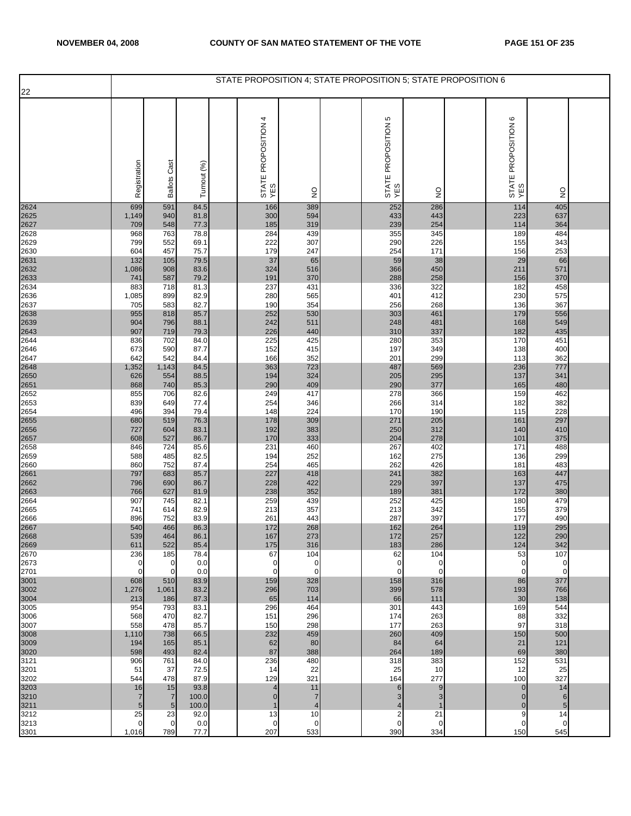|              |                     |                                   |                | STATE PROPOSITION 4; STATE PROPOSITION 5; STATE PROPOSITION 6 |                                  |                            |                    |                              |                     |  |
|--------------|---------------------|-----------------------------------|----------------|---------------------------------------------------------------|----------------------------------|----------------------------|--------------------|------------------------------|---------------------|--|
| 22           |                     |                                   |                |                                                               |                                  |                            |                    |                              |                     |  |
|              | Registration        | <b>Ballots Cast</b>               | Turnout (%)    | STATE PROPOSITION 4<br>YES                                    | $\frac{\mathsf{O}}{\mathsf{Z}}$  | STATE PROPOSITION 5<br>YES | $\frac{0}{2}$      | STATE PROPOSITION 6<br>YES   | $\frac{0}{2}$       |  |
| 2624         | 699                 | 591                               | 84.5           | 166                                                           | 389                              | 252                        | 286                | 114                          | 405                 |  |
| 2625<br>2627 | 1,149<br>709        | 940<br>548                        | 81.8<br>77.3   | 300<br>185                                                    | 594<br>319                       | 433<br>239                 | 443<br>254         | 223<br>114                   | 637<br>364          |  |
| 2628         | 968                 | 763                               | 78.8           | 284                                                           | 439                              | 355                        | 345                | 189                          | 484                 |  |
| 2629         | 799                 | 552                               | 69.1           | 222<br>179                                                    | 307<br>247                       | 290                        | 226                | 155                          | 343                 |  |
| 2630<br>2631 | 604<br>132          | 457<br>105                        | 75.7<br>79.5   | 37                                                            | 65                               | 254<br>59                  | 171<br>38          | 156<br>29                    | 253<br>66           |  |
| 2632         | 1,086               | 908                               | 83.6           | 324                                                           | 516                              | 366                        | 450                | 211                          | 571                 |  |
| 2633<br>2634 | 741<br>883          | 587<br>718                        | 79.2<br>81.3   | 191<br>237                                                    | 370<br>431                       | 288<br>336                 | 258<br>322         | 156<br>182                   | 370<br>458          |  |
| 2636         | 1,085               | 899                               | 82.9           | 280                                                           | 565                              | 401                        | 412                | 230                          | 575                 |  |
| 2637<br>2638 | 705<br>955          | 583<br>818                        | 82.7<br>85.7   | 190<br>252                                                    | 354<br>530                       | 256<br>303                 | 268<br>461         | 136<br>179                   | 367<br>556          |  |
| 2639         | 904                 | 796                               | 88.1           | 242                                                           | 511                              | 248                        | 481                | 168                          | 549                 |  |
| 2643<br>2644 | 907<br>836          | 719<br>702                        | 79.3<br>84.0   | 226<br>225                                                    | 440<br>425                       | 310<br>280                 | 337<br>353         | 182<br>170                   | 435<br>451          |  |
| 2646         | 673                 | 590                               | 87.7           | 152                                                           | 415                              | 197                        | 349                | 138                          | 400                 |  |
| 2647<br>2648 | 642<br>1,352        | 542<br>1,143                      | 84.4<br>84.5   | 166<br>363                                                    | 352<br>723                       | 201<br>487                 | 299<br>569         | 113<br>236                   | 362<br>777          |  |
| 2650         | 626                 | 554                               | 88.5           | 194                                                           | 324                              | 205                        | 295                | 137                          | 341                 |  |
| 2651         | 868                 | 740                               | 85.3           | 290                                                           | 409                              | 290                        | 377                | 165                          | 480                 |  |
| 2652<br>2653 | 855<br>839          | 706<br>649                        | 82.6<br>77.4   | 249<br>254                                                    | 417<br>346                       | 278<br>266                 | 366<br>314         | 159<br>182                   | 462<br>382          |  |
| 2654         | 496                 | 394                               | 79.4           | 148                                                           | 224                              | 170                        | 190                | 115                          | 228                 |  |
| 2655<br>2656 | 680<br>727          | 519<br>604                        | 76.3<br>83.1   | 178<br>192                                                    | 309<br>383                       | 271<br>250                 | 205<br>312         | 161<br>140                   | 297<br>410          |  |
| 2657         | 608                 | 527                               | 86.7           | 170                                                           | 333                              | 204                        | 278                | 101                          | 375                 |  |
| 2658<br>2659 | 846<br>588          | 724<br>485                        | 85.6<br>82.5   | 231<br>194                                                    | 460<br>252                       | 267<br>162                 | 402<br>275         | 171<br>136                   | 488<br>299          |  |
| 2660         | 860                 | 752                               | 87.4           | 254                                                           | 465                              | 262                        | 426                | 181                          | 483                 |  |
| 2661<br>2662 | 797<br>796          | 683<br>690                        | 85.7<br>86.7   | 227<br>228                                                    | 418<br>422                       | 241<br>229                 | 382<br>397         | 163<br>137                   | 447<br>475          |  |
| 2663         | 766                 | 627                               | 81.9           | 238                                                           | 352                              | 189                        | 381                | 172                          | 380                 |  |
| 2664<br>2665 | 907<br>741          | 745<br>614                        | 82.1<br>82.9   | 259<br>213                                                    | 439<br>357                       | 252<br>213                 | 425<br>342         | 180<br>155                   | 479<br>379          |  |
| 2666         | 896                 | 752                               | 83.9           | 261                                                           | 443                              | 287                        | 397                | 177                          | 490                 |  |
| 2667<br>2668 | 540<br>539          | 466<br>464                        | 86.3<br>86.1   | 172<br>167                                                    | 268<br>273                       | 162<br>172                 | 264<br>257         | 119<br>122                   | 295<br>290          |  |
| 2669         | 611                 | 522                               | 85.4           | 175                                                           | 316                              | 183                        | 286                | 124                          | 342                 |  |
| 2670<br>2673 | 236<br>0            | 185<br>$\mathbf 0$                | 78.4<br>0.0    | 67<br>$\mathbf 0$                                             | 104<br>$\mathbf 0$               | 62<br>$\mathbf 0$          | 104<br>$\mathbf 0$ | 53<br>0                      | 107<br>0            |  |
| 2701         | $\Omega$            | $\Omega$                          | 0.0            | $\Omega$                                                      | $\Omega$                         | $\Omega$                   | $\Omega$           | $\Omega$                     | $\overline{0}$      |  |
| 3001         | 608                 | 510                               | 83.9<br>83.2   | 159<br>296                                                    | 328<br>703                       | 158<br>399                 | 316<br>578         | 86<br>193                    | 377<br>766          |  |
| 3002<br>3004 | 1,276<br>213        | 1,061<br>186                      | 87.3           | 65                                                            | 114                              | 66                         | 111                | 30                           | 138                 |  |
| 3005         | 954                 | 793                               | 83.1           | 296                                                           | 464                              | 301                        | 443<br>263         | 169                          | 544<br>332          |  |
| 3006<br>3007 | 568<br>558          | 470<br>478                        | 82.7<br>85.7   | 151<br>150                                                    | 296<br>298                       | 174<br>177                 | 263                | 88<br>97                     | 318                 |  |
| 3008         | 1,110               | 738                               | 66.5           | 232                                                           | 459                              | 260                        | 409                | 150                          | 500                 |  |
| 3009<br>3020 | 194<br>598          | 165<br>493                        | 85.1<br>82.4   | 62<br>87                                                      | 80<br>388                        | 84<br>264                  | 64<br>189          | 21<br>69                     | 121<br>380          |  |
| 3121         | 906                 | 761                               | 84.0           | 236                                                           | 480                              | 318                        | 383                | 152                          | 531                 |  |
| 3201<br>3202 | 51<br>544           | 37<br>478                         | 72.5<br>87.9   | 14<br>129                                                     | 22<br>321                        | 25<br>164                  | 10<br>277          | 12<br>100                    | 25<br>327           |  |
| 3203         | 16                  | 15                                | 93.8           | $\overline{4}$                                                | 11                               | $6\phantom{1}6$            | 9                  | $\mathbf{0}$                 | 14                  |  |
| 3210<br>3211 | $\overline{7}$<br>5 | $\overline{7}$<br>$5\phantom{.0}$ | 100.0<br>100.0 | $\overline{0}$<br>$\mathbf{1}$                                | $\overline{7}$<br>$\overline{4}$ | 3<br>$\overline{4}$        | 3<br>1             | $\mathbf{0}$<br>$\mathbf{0}$ | $6\phantom{1}$<br>5 |  |
| 3212         | 25                  | 23                                | 92.0           | 13                                                            | 10                               | $\overline{2}$             | 21                 | 9                            | 14                  |  |
| 3213<br>3301 | 0<br>1,016          | $\overline{0}$<br>789             | 0.0<br>77.7    | $\mathbf{0}$<br>207                                           | $\mathbf 0$<br>533               | $\mathbf 0$<br>390         | $\mathbf 0$<br>334 | 0<br>150                     | $\mathbf 0$<br>545  |  |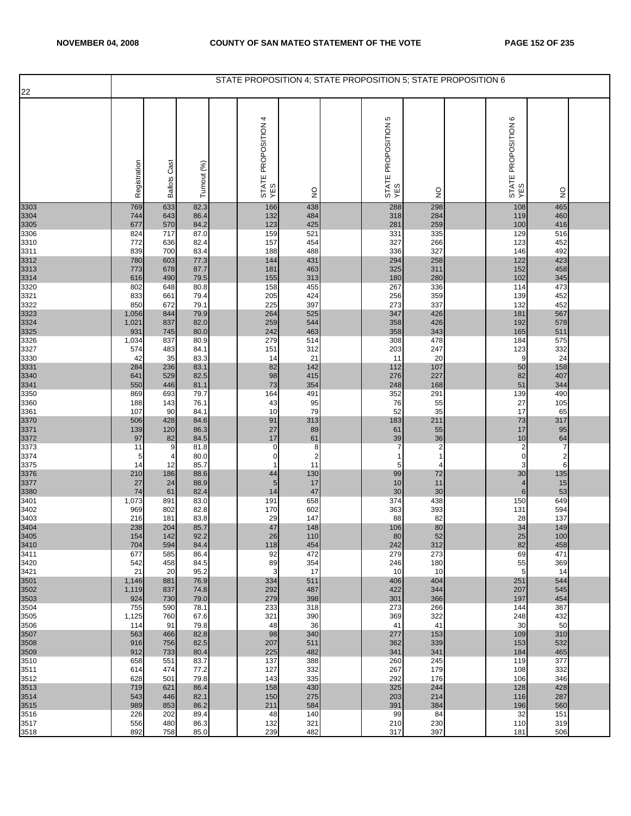| 22                           |              |                     |              | STATE PROPOSITION 4; STATE PROPOSITION 5; STATE PROPOSITION 6 |                     |                            |                              |                                        |                         |  |
|------------------------------|--------------|---------------------|--------------|---------------------------------------------------------------|---------------------|----------------------------|------------------------------|----------------------------------------|-------------------------|--|
|                              |              |                     |              |                                                               |                     |                            |                              |                                        |                         |  |
|                              | Registration | <b>Ballots Cast</b> | Turnout (%)  | STATE PROPOSITION 4<br>YES                                    | $\frac{1}{2}$       | STATE PROPOSITION 5<br>YES | $\frac{1}{2}$                | STATE PROPOSITION 6<br>YES             | $\frac{0}{2}$           |  |
| 3303                         | 769          | 633                 | 82.3         | 166                                                           | 438<br>484          | 288                        | 298<br>284                   | 108                                    | 465                     |  |
| 3304<br>3305                 | 744<br>677   | 643<br>570          | 86.4<br>84.2 | 132<br>123                                                    | 425                 | 318<br>281                 | 259                          | 119<br>100                             | 460<br>416              |  |
| 3306                         | 824          | 717                 | 87.0         | 159                                                           | 521                 | 331                        | 335                          | 129                                    | 516                     |  |
| 3310<br>3311                 | 772<br>839   | 636<br>700          | 82.4<br>83.4 | 157<br>188                                                    | 454<br>488          | 327<br>336                 | 266<br>327                   | 123<br>146                             | 452<br>492              |  |
| 3312<br>3313<br>3314<br>3320 | 780          | 603                 | 77.3         | 144                                                           | 431                 | 294                        | 258                          | 122                                    | 423                     |  |
|                              | 773<br>616   | 678<br>490          | 87.7<br>79.5 | 181<br>155                                                    | 463<br>313          | 325<br>180                 | 311<br>280                   | 152<br>102                             | 458<br>345              |  |
|                              | 802          | 648                 | 80.8         | 158                                                           | 455                 | 267                        | 336                          | 114                                    | 473                     |  |
| 3321                         | 833          | 661                 | 79.4         | 205                                                           | 424                 | 256                        | 359                          | 139                                    | 452                     |  |
| 3322                         | 850<br>1,056 | 672<br>844          | 79.1<br>79.9 | 225<br>264                                                    | 397<br>525          | 273<br>347                 | 337<br>426                   | 132<br>181                             | 452<br>567              |  |
| 3323<br>3324<br>3325         | 1,021        | 837                 | 82.0         | 259                                                           | 544                 | 358                        | 426                          | 192                                    | 578                     |  |
| 3326                         | 931<br>1,034 | 745<br>837          | 80.0<br>80.9 | 242<br>279                                                    | 463<br>514          | 358<br>308                 | 343<br>478                   | 165<br>184                             | 511<br>575              |  |
| 3327                         | 574          | 483                 | 84.1         | 151                                                           | 312                 | 203                        | 247                          | 123                                    | 332                     |  |
| 3330                         | 42<br>284    | 35<br>236           | 83.3<br>83.1 | 14<br>82                                                      | 21<br>142           | 11<br>112                  | 20<br>107                    | 9<br>50                                | 24<br>158               |  |
| 3331<br>3340                 | 641          | 529                 | 82.5         | 98                                                            | 415                 | 276                        | 227                          | 82                                     | 407                     |  |
| 3341                         | 550          | 446                 | 81.1         | 73<br>164                                                     | 354<br>491          | 248                        | 168                          | 51                                     | 344<br>490              |  |
| 3350<br>3360                 | 869<br>188   | 693<br>143          | 79.7<br>76.1 | 43                                                            | 95                  | 352<br>76                  | 291<br>55                    | 139<br>27                              | 105                     |  |
| 3361                         | 107          | 90                  | 84.1         | 10                                                            | 79                  | 52                         | 35                           | 17                                     | 65                      |  |
| 3370<br>3371                 | 506<br>139   | 428<br>120          | 84.6<br>86.3 | 91<br>27                                                      | 313<br>89           | 183<br>61                  | 211<br>55                    | 73<br>17                               | 317<br>95               |  |
| 3372                         | 97           | 82                  | 84.5         | 17                                                            | 61                  | 39                         | 36                           | 10                                     | $\frac{64}{7}$          |  |
| 3373<br>3374                 | 11<br>5      | 9<br>4              | 81.8<br>80.0 | $\pmb{0}$<br>$\mathbf 0$                                      | 8<br>$\overline{c}$ | $\overline{7}$             | $\overline{\mathbf{c}}$<br>1 | $\overline{\mathbf{c}}$<br>$\mathbf 0$ | $\overline{\mathbf{c}}$ |  |
| 3375                         | 14           | 12                  | 85.7         | $\mathbf{1}$                                                  | 11                  | 5                          | 4                            | 3                                      | 6                       |  |
| 3376<br>3377                 | 210<br>27    | 186<br>24           | 88.6<br>88.9 | 44<br>$\sqrt{5}$                                              | 130<br>17           | 99<br>10                   | 72<br>11                     | 30<br>4                                | 135<br>15               |  |
| 3380                         | 74           | 61                  | 82.4         | 14                                                            | 47                  | 30                         | 30                           | $6\phantom{1}$                         | 53                      |  |
| 3401<br>3402                 | 1,073        | 891                 | 83.0         | 191<br>170                                                    | 658<br>602          | 374<br>363                 | 438<br>393                   | 150<br>131                             | 649<br>594              |  |
| 3403                         | 969<br>216   | 802<br>181          | 82.8<br>83.8 | 29                                                            | 147                 | 88                         | 82                           | 28                                     | 137                     |  |
| 3404<br>3405                 | 238          | 204                 | 85.7         | 47                                                            | 148                 | 106                        | 80                           | 34                                     | 149                     |  |
|                              | 154<br>704   | $142$<br>594        | 92.2<br>84.4 | 26<br>118                                                     | 110<br>454          | 80<br>242                  | 52<br>312                    | 25<br>82                               | 100<br>458              |  |
| 3410<br>3411                 | 677          | 585                 | 86.4         | 92                                                            | 472                 | 279                        | 273                          | 69                                     | 471                     |  |
| 3420<br>3421                 | 542<br>21    | 458<br>20           | 84.5<br>95.2 | 89<br>3                                                       | 354<br>17           | 246<br>10                  | 180<br>10                    | 55<br>5                                | 369<br>14               |  |
| 3501                         | 1,146        | 881                 | 76.9         | 334                                                           | 511                 | 406                        | 404                          | 251                                    | 544                     |  |
| 3502<br>3503                 | 1,119<br>924 | 837<br>730          | 74.8<br>79.0 | 292<br>279                                                    | 487<br>398          | 422<br>301                 | 344<br>366                   | 207<br>197                             | 545<br>454              |  |
| 3504                         | 755          | 590                 | 78.1         | 233                                                           | 318                 | 273                        | 266                          | 144                                    | 387                     |  |
| 3505<br>3506                 | 1,125<br>114 | 760<br>91           | 67.6<br>79.8 | 321<br>48                                                     | 390<br>36           | 369<br>41                  | 322<br>41                    | 248<br>30                              | 432<br>50               |  |
| 3507                         | 563          | 466                 | 82.8         | 98                                                            | 340                 | 277                        | 153                          | 109                                    | 310                     |  |
| 3508<br>3509                 | 916<br>912   | 756<br>733          | 82.5<br>80.4 | 207<br>225                                                    | 511<br>482          | 362<br>341                 | 339<br>341                   | 153<br>184                             | 532<br>465              |  |
| 3510                         | 658          | 551                 | 83.7         | 137                                                           | 388                 | 260                        | 245                          | 119                                    | 377                     |  |
| 3511                         | 614<br>628   | 474<br>501          | 77.2<br>79.8 | 127<br>143                                                    | 332<br>335          | 267<br>292                 | 179<br>176                   | 108<br>106                             | 332<br>346              |  |
| 3512                         | 719          | 621                 | 86.4         | 158                                                           | 430                 | 325                        | 244                          | 128                                    | 428                     |  |
| 3513<br>3514                 | 543          | 446                 | 82.1         | 150                                                           | 275                 | 203                        | 214                          | 116                                    | 287                     |  |
| 3515<br>3516                 | 989<br>226   | 853<br>202          | 86.2<br>89.4 | 211<br>48                                                     | 584<br>140          | 391<br>99                  | 384<br>84                    | 196<br>32                              | 560<br>151              |  |
| 3517                         | 556          | 480                 | 86.3         | 132                                                           | 321                 | 210                        | 230                          | 110                                    | 319                     |  |
| 3518                         | 892          | 758                 | 85.0         | 239                                                           | 482                 | 317                        | 397                          | 181                                    | 506                     |  |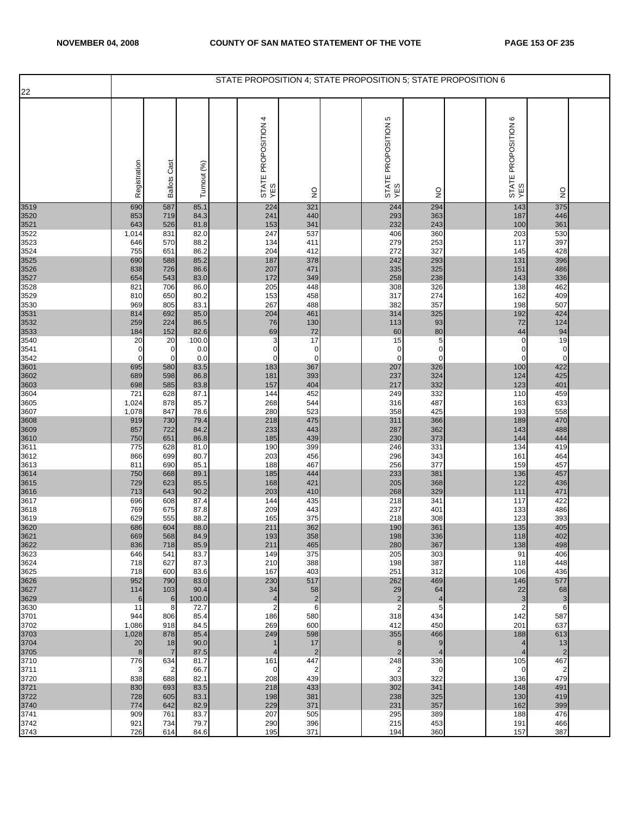|                      |                |                       |              | STATE PROPOSITION 4; STATE PROPOSITION 5; STATE PROPOSITION 6 |                       |                            |                         |                            |                       |  |
|----------------------|----------------|-----------------------|--------------|---------------------------------------------------------------|-----------------------|----------------------------|-------------------------|----------------------------|-----------------------|--|
| 22                   |                |                       |              |                                                               |                       |                            |                         |                            |                       |  |
|                      | Registration   | <b>Ballots Cast</b>   | Turnout (%)  | STATE PROPOSITION 4<br>YES                                    | $\frac{0}{2}$         | STATE PROPOSITION 5<br>YES | $\frac{1}{2}$           | STATE PROPOSITION 6<br>YES | $\frac{0}{2}$         |  |
| 3519                 | 690            | 587                   | 85.1         | 224                                                           | 321                   | 244                        | 294                     | 143                        | 375                   |  |
| 3520<br>3521         | 853<br>643     | 719<br>526            | 84.3<br>81.8 | 241<br>153                                                    | 440<br>341            | 293<br>232                 | 363<br>243              | 187<br>100                 | 446<br>361            |  |
| 3522                 | 1,014          | 831                   | 82.0         | 247                                                           | 537                   | 406                        | 360                     | 203                        | 530                   |  |
| 3523<br>3524         | 646<br>755     | 570<br>651            | 88.2<br>86.2 | 134<br>204                                                    | 411<br>412            | 279<br>272                 | 253<br>327              | 117<br>145                 | 397<br>428            |  |
| 3525                 | 690            | 588                   | 85.2         | 187                                                           | 378                   | 242                        | 293                     | 131                        | 396                   |  |
| 3526                 | 838            | 726                   | 86.6         | 207                                                           | 471                   | 335                        | 325                     | 151                        | 486                   |  |
| 3527<br>3528         | 654<br>821     | 543<br>706            | 83.0<br>86.0 | 172<br>205                                                    | 349<br>448            | 258<br>308                 | 238<br>326              | 143<br>138                 | 336<br>462            |  |
| 3529                 | 810            | 650                   | 80.2         | 153                                                           | 458                   | 317                        | 274                     | 162                        | 409                   |  |
| 3530                 | 969            | 805                   | 83.1         | 267<br>204                                                    | 488<br>461            | 382                        | 357                     | 198                        | 507<br>424            |  |
| 3531<br>3532         | 814<br>259     | 692<br>224            | 85.0<br>86.5 | 76                                                            | 130                   | 314<br>113                 | 325<br>93               | 192<br>72                  | 124                   |  |
| 3533                 | 184            | 152                   | 82.6         | 69                                                            | 72                    | 60                         | 80                      | 44                         | 94                    |  |
| 3540<br>3541         | 20<br>0        | 20<br>0               | 100.0<br>0.0 | 3<br>$\mathbf 0$                                              | 17<br>$\mathbf 0$     | 15<br>$\mathbf 0$          | 5<br>$\mathbf 0$        | 0<br>0                     | 19<br>$\mathbf 0$     |  |
| 3542                 | $\mathbf 0$    | $\mathbf 0$           | 0.0          | $\mathbf 0$                                                   | $\mathbf 0$           | $\mathbf 0$                | $\mathbf 0$             | $\pmb{0}$                  | $\mathbf 0$           |  |
| 3601                 | 695            | 580<br>598            | 83.5<br>86.8 | 183                                                           | 367<br>393            | 207                        | 326<br>324              | 100<br>124                 | 422<br>425            |  |
| 3602<br>3603         | 689<br>698     | 585                   | 83.8         | 181<br>157                                                    | 404                   | 237<br>217                 | 332                     | 123                        | 401                   |  |
| 3604                 | 721            | 628                   | 87.1         | 144                                                           | 452                   | 249                        | 332                     | 110                        | 459                   |  |
| 3605<br>3607         | 1,024<br>1,078 | 878<br>847            | 85.7<br>78.6 | 268<br>280                                                    | 544<br>523            | 316<br>358                 | 487<br>425              | 163<br>193                 | 633<br>558            |  |
| 3608                 | 919            | 730                   | 79.4         | 218                                                           | 475                   | 311                        | 366                     | 189                        | 470                   |  |
| 3609<br>3610         | 857<br>750     | 722<br>651            | 84.2<br>86.8 | 233<br>185                                                    | 443<br>439            | 287<br>230                 | 362<br>373              | 143<br>144                 | 488<br>444            |  |
| 3611                 | 775            | 628                   | 81.0         | 190                                                           | 399                   | 246                        | 331                     | 134                        | 419                   |  |
| 3612                 | 866            | 699                   | 80.7         | 203                                                           | 456                   | 296                        | 343                     | 161                        | 464                   |  |
| 3613                 | 811<br>750     | 690<br>668            | 85.1<br>89.1 | 188<br>185                                                    | 467<br>444            | 256<br>233                 | 377<br>381              | 159<br>136                 | 457<br>457            |  |
| 3614<br>3615<br>3616 | 729            | 623                   | 85.5         | 168                                                           | 421                   | 205                        | 368                     | 122                        | 436                   |  |
| 3617                 | 713<br>696     | 643<br>608            | 90.2<br>87.4 | 203<br>144                                                    | 410<br>435            | 268<br>218                 | 329<br>341              | 111<br>117                 | 471<br>422            |  |
| 3618                 | 769            | 675                   | 87.8         | 209                                                           | 443                   | 237                        | 401                     | 133                        | 486                   |  |
| 3619                 | 629            | 555                   | 88.2         | 165                                                           | 375                   | 218                        | 308                     | 123                        | 393                   |  |
| 3620<br>3621         | 686<br>669     | 604<br>568            | 88.0<br>84.9 | 211<br>193                                                    | 362<br>358            | 190<br>198                 | 361<br>336              | 135<br>118                 | 405<br>402            |  |
| 3622                 | 836            | 718                   | 85.9         | 211                                                           | 465                   | 280                        | 367                     | 138                        | 498                   |  |
| 3623<br>3624         | 646<br>718     | 541<br>627            | 83.7<br>87.3 | 149<br>210                                                    | 375<br>388            | 205<br>198                 | 303<br>387              | 91<br>118                  | 406<br>448            |  |
| 3625                 | 718            | 600                   | 83.6         | 167                                                           | 403                   | 251                        | 312                     | 106                        | 436                   |  |
| 3626                 | 952<br>114     | 790<br>103            | 83.0<br>90.4 | 230<br>34                                                     | 517<br>58             | 262<br>29                  | 469<br>64               | 146<br>22                  | 577<br>68             |  |
| 3627<br>3629         | 6              | 6                     | 100.0        | 4                                                             | $\overline{2}$        | $\overline{2}$             | $\overline{4}$          | 3                          | 3                     |  |
| 3630                 | 11             | 8                     | 72.7         | $\overline{2}$                                                | 6                     | $\overline{2}$             | 5                       | $\overline{2}$             | 6                     |  |
| 3701<br>3702         | 944<br>1,086   | 806<br>918            | 85.4<br>84.5 | 186<br>269                                                    | 580<br>600            | 318<br>412                 | 434<br>450              | 142<br>201                 | 587<br>637            |  |
| 3703                 | 1,028          | 878                   | 85.4         | 249                                                           | 598                   | 355                        | 466                     | 188                        | 613                   |  |
| 3704<br>3705         | 20<br>8        | 18<br>$\overline{7}$  | 90.0<br>87.5 | $\mathbf{1}$<br>4                                             | 17<br>$\overline{2}$  | 8<br>$\overline{2}$        | $9\,$<br>$\overline{4}$ | 4<br>4                     | 13<br>$\overline{2}$  |  |
| 3710                 | 776            | 634                   | 81.7         | 161                                                           | 447                   | 248                        | 336                     | 105                        | 467                   |  |
| 3711                 | 3              | $\overline{c}$<br>688 | 66.7<br>82.1 | 0<br>208                                                      | $\overline{2}$<br>439 | $\overline{2}$<br>303      | $\mathbf 0$<br>322      | 0                          | $\overline{2}$<br>479 |  |
| 3720                 | 838<br>830     | 693                   | 83.5         | 218                                                           | 433                   | 302                        | 341                     | 136<br>148                 | 491                   |  |
| 3721<br>3722         | 728            | 605                   | 83.1         | 198                                                           | 381                   | 238                        | 325                     | 130                        | 419                   |  |
| 3740<br>3741         | 774<br>909     | 642<br>761            | 82.9<br>83.7 | 229<br>207                                                    | 371<br>505            | 231<br>295                 | 357<br>389              | 162<br>188                 | 399<br>476            |  |
| 3742                 | 921            | 734                   | 79.7         | 290                                                           | 396                   | 215                        | 453                     | 191                        | 466                   |  |
| 3743                 | 726            | 614                   | 84.6         | 195                                                           | 371                   | 194                        | 360                     | 157                        | 387                   |  |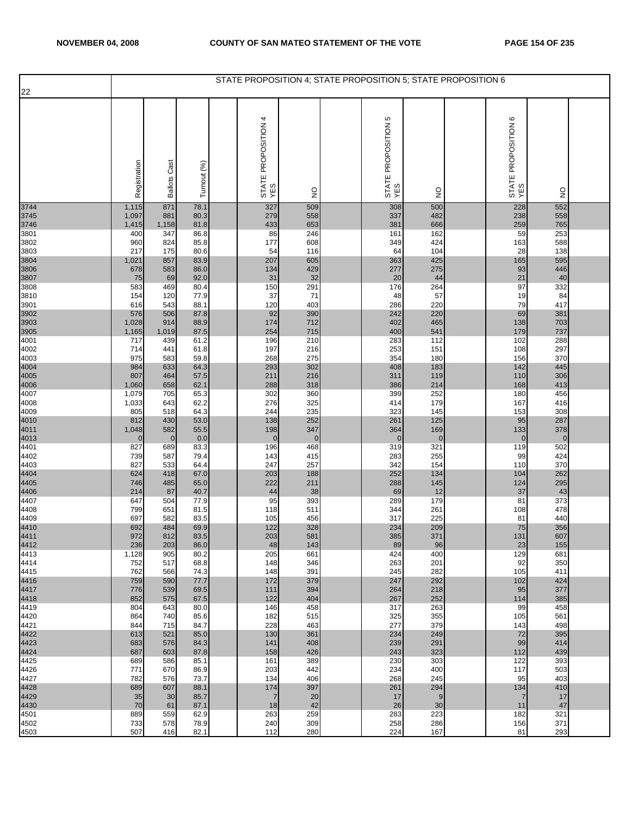|                      |                       |                        |              |                            |                       | STATE PROPOSITION 4; STATE PROPOSITION 5; STATE PROPOSITION 6 |                     |                               |                    |  |
|----------------------|-----------------------|------------------------|--------------|----------------------------|-----------------------|---------------------------------------------------------------|---------------------|-------------------------------|--------------------|--|
| 22                   |                       |                        |              |                            |                       |                                                               |                     |                               |                    |  |
|                      | Registration          | Cast<br><b>Ballots</b> | Turnout (%)  | STATE PROPOSITION 4<br>YES | $\frac{0}{2}$         | STATE PROPOSITION 5<br>YES                                    | $\frac{1}{2}$       | ဖ<br>STATE PROPOSITION<br>YES | $\frac{0}{2}$      |  |
| 3744                 | 1,115                 | 871                    | 78.1         | 327                        | 509                   | 308                                                           | 500                 | 228                           | 552                |  |
| 3745<br>3746         | 1,097<br>1,415        | 881<br>1,158           | 80.3<br>81.8 | 279<br>433                 | 558<br>653            | 337<br>381                                                    | 482<br>666          | 238<br>259                    | 558<br>765         |  |
| 3801                 | 400                   | 347                    | 86.8         | 86                         | 246                   | 161                                                           | 162                 | 59                            | 253                |  |
| 3802<br>3803         | 960<br>217            | 824<br>175             | 85.8<br>80.6 | 177<br>54                  | 608<br>116            | 349<br>64                                                     | 424<br>104          | 163<br>28                     | 588<br>138         |  |
| 3804                 | 1,021                 | 857                    | 83.9         | 207                        | 605                   | 363                                                           | 425                 | 165                           | 595                |  |
| 3806                 | 678                   | 583<br>69              | 86.0<br>92.0 | 134<br>31                  | 429<br>32             | 277<br>20                                                     | 275<br>44           | 93<br>21                      | 446<br>40          |  |
| 3807<br>3808         | 75<br>583             | 469                    | 80.4         | 150                        | 291                   | 176                                                           | 264                 | 97                            | 332                |  |
| 3810                 | 154                   | 120                    | 77.9         | 37                         | 71                    | 48                                                            | 57                  | 19                            | 84                 |  |
| 3901                 | 616<br>576            | 543<br>506             | 88.1<br>87.8 | 120<br>92                  | 403<br>390            | 286<br>242                                                    | 220<br>220          | 79<br>69                      | 417<br>381         |  |
| 3902<br>3903<br>3905 | 1,028                 | 914                    | 88.9         | 174                        | 712                   | 402                                                           | 465                 | 138                           | 703                |  |
|                      | 1,165                 | 1,019                  | 87.5         | 254                        | 715                   | 400                                                           | 541                 | 179                           | 737                |  |
| 4001<br>4002         | 717<br>714            | 439<br>441             | 61.2<br>61.8 | 196<br>197                 | 210<br>216            | 283<br>253                                                    | 112<br>151          | 102<br>108                    | 288<br>297         |  |
| 4003                 | 975                   | 583                    | 59.8         | 268                        | 275                   | 354                                                           | 180                 | 156                           | 370                |  |
| 4004<br>4005         | 984<br>807            | 633<br>464             | 64.3<br>57.5 | 293<br>211                 | 302<br>216            | 408<br>311                                                    | 183<br>119          | 142<br>110                    | 445<br>306         |  |
| 4006                 | 1,060                 | 658                    | 62.1         | 288                        | 318                   | 386                                                           | 214                 | 168                           | 413                |  |
| 4007<br>4008         | 1,079<br>1,033        | 705<br>643             | 65.3<br>62.2 | 302<br>276                 | 360<br>325            | 399<br>414                                                    | 252<br>179          | 180<br>167                    | 456<br>416         |  |
| 4009                 | 805                   | 518                    | 64.3         | 244                        | 235                   | 323                                                           | 145                 | 153                           | 308                |  |
|                      | 812                   | 430                    | 53.0         | 138                        | 252                   | 261                                                           | 125                 | 95                            | 287                |  |
| 4010<br>4011<br>4013 | 1,048<br>$\mathbf{0}$ | 582<br>$\mathbf 0$     | 55.5<br>0.0  | 198<br>$\mathbf{0}$        | 347<br>$\overline{0}$ | 364<br>$\overline{0}$                                         | 169<br>$\mathbf{0}$ | 133<br>$\mathbf 0$            | 378<br>$\mathbf 0$ |  |
| 4401                 | 827                   | 689                    | 83.3         | 196                        | 468                   | 319                                                           | 321                 | 119                           | 502                |  |
| 4402<br>4403         | 739<br>827            | 587<br>533             | 79.4<br>64.4 | 143<br>247                 | 415<br>257            | 283<br>342                                                    | 255<br>154          | 99<br>110                     | 424<br>370         |  |
|                      | 624                   | 418                    | 67.0         | 203                        | 188                   | 252                                                           | 134                 | 104                           | 262                |  |
| 4404<br>4405<br>4406 | 746<br>214            | 485<br>87              | 65.0<br>40.7 | 222                        | 211                   | 288<br>69                                                     | 145                 | 124                           | 295<br>43          |  |
| 4407                 | 647                   | 504                    | 77.9         | 44<br>95                   | 38<br>393             | 289                                                           | 12<br>179           | 37<br>81                      | 373                |  |
| 4408                 | 799                   | 651                    | 81.5         | 118                        | 511                   | 344                                                           | 261                 | 108                           | 478                |  |
| 4409<br>4410<br>4411 | 697<br>692            | 582<br>484             | 83.5<br>69.9 | 105<br>122                 | 456<br>328            | 317<br>234                                                    | 225<br>209          | 81<br>75                      | 440<br>356         |  |
|                      | 972                   | 812                    | 83.5         | 203                        | 581                   | 385                                                           | 371                 | 131                           | 607                |  |
| 4412<br>4413         | 236<br>1,128          | 203<br>905             | 86.0<br>80.2 | 48<br>205                  | 143<br>661            | 89<br>424                                                     | 96<br>400           | 23<br>129                     | 155<br>681         |  |
| 4414                 | 752                   | 517                    | 68.8         | 148                        | 346                   | 263                                                           | 201                 | 92                            | 350                |  |
| 4415                 | 762                   | 566                    | 74.3         | 148<br>172                 | 391                   | 245                                                           | 282<br>292          | 105                           | 411                |  |
| 4416                 | 759<br>776            | 590<br>539             | 77.7<br>69.5 | 111                        | 379<br>394            | 247<br>264                                                    | 218                 | 102<br>95                     | 424<br>377         |  |
| 4417<br>4418         | 852                   | 575                    | 67.5         | 122                        | 404                   | 267                                                           | 252                 | 114                           | 385                |  |
| 4419<br>4420         | 804<br>864            | 643<br>740             | 80.0<br>85.6 | 146<br>182                 | 458<br>515            | 317<br>325                                                    | 263<br>355          | 99<br>105                     | 458<br>561         |  |
| 4421                 | 844                   | 715                    | 84.7         | 228                        | 463                   | 277                                                           | 379                 | 143                           | 498                |  |
| 4422<br>4423         | 613<br>683            | 521<br>576             | 85.0<br>84.3 | 130<br>141                 | 361<br>408            | 234<br>239                                                    | 249<br>291          | 72<br>99                      | 395<br>414         |  |
| 4424                 | 687                   | 603                    | 87.8         | 158                        | 426                   | 243                                                           | 323                 | 112                           | 439                |  |
| 4425<br>4426         | 689                   | 586<br>670             | 85.1<br>86.9 | 161<br>203                 | 389<br>442            | 230<br>234                                                    | 303<br>400          | 122                           | 393<br>503         |  |
| 4427                 | 771<br>782            | 576                    | 73.7         | 134                        | 406                   | 268                                                           | 245                 | 117<br>95                     | 403                |  |
| 4428                 | 689                   | 607                    | 88.1         | 174                        | 397                   | 261                                                           | 294                 | 134                           | 410                |  |
| 4429<br>4430         | 35<br>70              | 30<br>61               | 85.7<br>87.1 | $\overline{7}$<br>18       | 20<br>42              | 17<br>26                                                      | 9<br>30             | 7<br>11                       | 17<br>47           |  |
| 4501                 | 889                   | 559                    | 62.9         | 263                        | 259                   | 283                                                           | 223                 | 182                           | 321                |  |
| 4502<br>4503         | 733<br>507            | 578<br>416             | 78.9<br>82.1 | 240<br>112                 | 309<br>280            | 258<br>224                                                    | 286<br>167          | 156<br>81                     | 371<br>293         |  |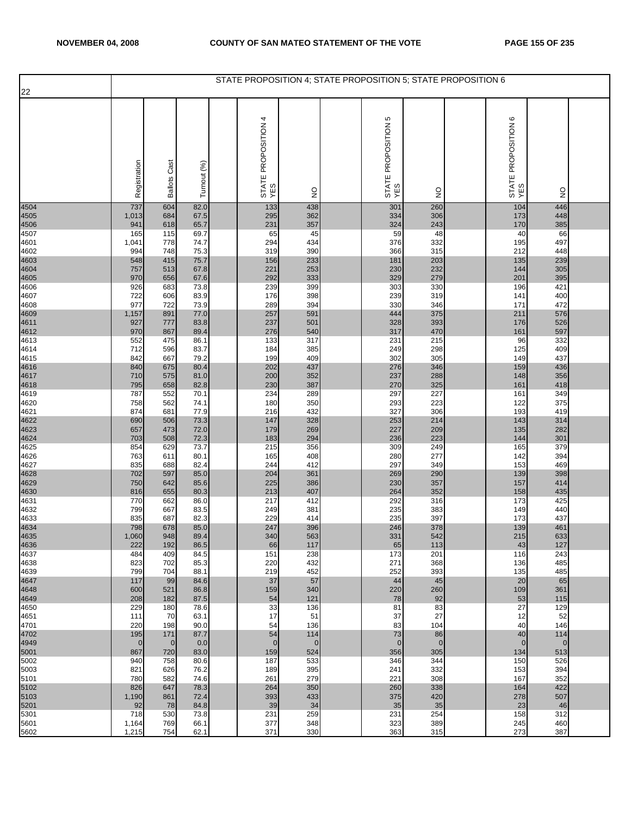| 22                           |              |                     |              | STATE PROPOSITION 4; STATE PROPOSITION 5; STATE PROPOSITION 6 |               |                               |               |                                     |                    |  |
|------------------------------|--------------|---------------------|--------------|---------------------------------------------------------------|---------------|-------------------------------|---------------|-------------------------------------|--------------------|--|
|                              |              |                     |              |                                                               |               |                               |               |                                     |                    |  |
|                              | Registration | <b>Ballots Cast</b> | Turnout (%)  | 4<br>STATE PROPOSITION<br>YES                                 | $\frac{0}{2}$ | ю<br>STATE PROPOSITION<br>YES | $\frac{0}{2}$ | $\circ$<br>STATE PROPOSITION<br>YES | $\frac{1}{2}$      |  |
| 4504                         | 737          | 604                 | 82.0         | 133                                                           | 438           | 301                           | 260           | 104                                 | 446                |  |
| 4505<br>4506<br>4507         | 1,013<br>941 | 684<br>618          | 67.5<br>65.7 | 295<br>231                                                    | 362<br>357    | 334<br>324                    | 306<br>243    | 173<br>170                          | 448<br>385         |  |
|                              | 165          | 115                 | 69.7         | 65                                                            | 45            | 59                            | 48            | 40                                  | 66                 |  |
| 4601                         | 1,041        | 778                 | 74.7         | 294                                                           | 434<br>390    | 376                           | 332<br>315    | 195                                 | 497<br>448         |  |
| 4602                         | 994<br>548   | 748<br>415          | 75.3<br>75.7 | 319<br>156                                                    | 233           | 366<br>181                    | 203           | 212<br>135                          | 239                |  |
|                              | 757          | 513                 | 67.8         | 221                                                           | 253           | 230                           | 232           | 144                                 | 305                |  |
| 4603<br>4604<br>4605<br>4606 | 970<br>926   | 656<br>683          | 67.6<br>73.8 | 292<br>239                                                    | 333<br>399    | 329<br>303                    | 279<br>330    | 201<br>196                          | 395<br>421         |  |
| 4607                         | 722          | 606                 | 83.9         | 176                                                           | 398           | 239                           | 319           | 141                                 | 400                |  |
| 4608                         | 977          | 722                 | 73.9         | 289                                                           | 394           | 330                           | 346           | 171                                 | 472                |  |
| 4609<br>4611<br>4612<br>4613 | 1,157<br>927 | 891<br>777          | 77.0<br>83.8 | 257<br>237                                                    | 591<br>501    | 444<br>328                    | 375<br>393    | 211<br>176                          | 576<br>526         |  |
|                              | 970          | 867                 | 89.4         | 276                                                           | 540           | 317                           | 470           | 161                                 | 597                |  |
| 4614                         | 552<br>712   | 475<br>596          | 86.1<br>83.7 | 133<br>184                                                    | 317<br>385    | 231<br>249                    | 215<br>298    | 96<br>125                           | 332<br>409         |  |
| 4615                         | 842          | 667                 | 79.2         | 199                                                           | 409           | 302                           | 305           | 149                                 | 437                |  |
| 4616<br>4617<br>4618<br>4619 | 840          | 675                 | 80.4         | 202                                                           | 437           | 276                           | 346           | 159                                 | 436                |  |
|                              | 710<br>795   | 575<br>658          | 81.0<br>82.8 | 200<br>230                                                    | 352<br>387    | 237<br>270                    | 288<br>325    | 148<br>161                          | 356<br>418         |  |
|                              | 787          | 552                 | 70.1         | 234                                                           | 289           | 297                           | 227           | 161                                 | 349                |  |
| 4620<br>4621                 | 758<br>874   | 562<br>681          | 74.1<br>77.9 | 180<br>216                                                    | 350<br>432    | 293<br>327                    | 223<br>306    | 122<br>193                          | 375<br>419         |  |
|                              | 690          | 506                 | 73.3         | 147                                                           | 328           | 253                           | 214           | 143                                 | 314                |  |
| 4622<br>4623<br>4624         | 657          | 473                 | 72.0         | 179                                                           | 269           | 227                           | 209           | 135                                 | 282                |  |
| 4625                         | 703<br>854   | 508<br>629          | 72.3<br>73.7 | 183<br>215                                                    | 294<br>356    | 236<br>309                    | 223<br>249    | 144<br>165                          | 301<br>379         |  |
| 4626                         | 763          | 611                 | 80.1         | 165                                                           | 408           | 280                           | 277           | 142                                 | 394                |  |
| 4627                         | 835<br>702   | 688<br>597          | 82.4<br>85.0 | 244<br>204                                                    | 412<br>361    | 297<br>269                    | 349<br>290    | 153<br>139                          | 469<br>398         |  |
| 4628<br>4629<br>4630         | 750          | 642                 | 85.6         | 225                                                           | 386           | 230                           | 357           | 157                                 | 414                |  |
|                              | 816          | 655                 | 80.3         | 213                                                           | 407           | 264                           | 352           | 158                                 | 435<br>425         |  |
| 4631<br>4632                 | 770<br>799   | 662<br>667          | 86.0<br>83.5 | 217<br>249                                                    | 412<br>381    | 292<br>235                    | 316<br>383    | 173<br>149                          | 440                |  |
| 4633                         | 835          | 687                 | 82.3         | 229                                                           | 414           | 235                           | 397           | 173                                 | 437                |  |
| 4634<br>4635                 | 798<br>1,060 | 678<br>948          | 85.0<br>89.4 | 247<br>340                                                    | 396<br>563    | 246<br>331                    | 378<br>542    | 139<br>215                          | 461<br>633         |  |
| 4636                         | 222          | 192                 | 86.5         | 66                                                            | 117           | 65                            | 113           | 43                                  | 127                |  |
| 4637<br>4638                 | 484<br>823   | 409<br>702          | 84.5<br>85.3 | 151<br>220                                                    | 238<br>432    | 173<br>271                    | 201<br>368    | 116                                 | 243<br>485         |  |
| 4639                         | 799          | 704                 | 88.1         | 219                                                           | 452           | 252                           | 393           | 136<br>135                          | 485                |  |
| 4647                         | 117          | 99                  | 84.6         | 37                                                            | 57            | 44                            | 45            | 20                                  | 65                 |  |
| 4648<br>4649                 | 600<br>208   | 521<br>182          | 86.8<br>87.5 | 159<br>54                                                     | 340<br>121    | 220<br>78                     | 260<br>92     | 109<br>53                           | 361<br>115         |  |
| 4650                         | 229          | 180                 | 78.6         | 33                                                            | 136           | 81                            | 83            | 27                                  | 129                |  |
| 4651<br>4701                 | 111<br>220   | 70<br>198           | 63.1<br>90.0 | 17<br>54                                                      | 51<br>136     | 37<br>83                      | 27<br>104     | 12<br>40                            | 52<br>146          |  |
| 4702                         | 195          | 171                 | 87.7         | 54                                                            | 114           | 73                            | 86            | 40                                  | 114                |  |
| 4949                         | $\mathbf{0}$ | $\overline{0}$      | 0.0          | $\overline{0}$                                                | $\mathbf 0$   | $\mathbf 0$                   | $\mathbf 0$   | $\mathbf 0$                         | $\mathbf 0$<br>513 |  |
| 5001<br>5002                 | 867<br>940   | 720<br>758          | 83.0<br>80.6 | 159<br>187                                                    | 524<br>533    | 356<br>346                    | 305<br>344    | 134<br>150                          | 526                |  |
| 5003                         | 821          | 626                 | 76.2         | 189                                                           | 395           | 241                           | 332           | 153                                 | 394                |  |
| 5101<br>5102                 | 780<br>826   | 582<br>647          | 74.6<br>78.3 | 261<br>264                                                    | 279<br>350    | 221<br>260                    | 308<br>338    | 167<br>164                          | 352<br>422         |  |
| 5103                         | 1,190        | 861                 | 72.4         | 393                                                           | 433           | 375                           | 420           | 278                                 | 507                |  |
| 5201                         | 92           | 78                  | 84.8         | 39                                                            | 34            | 35                            | 35            | 23                                  | 46                 |  |
| 5301<br>5601                 | 718<br>1,164 | 530<br>769          | 73.8<br>66.1 | 231<br>377                                                    | 259<br>348    | 231<br>323                    | 254<br>389    | 158<br>245                          | 312<br>460         |  |
| 5602                         | 1,215        | 754                 | 62.1         | 371                                                           | 330           | 363                           | 315           | 273                                 | 387                |  |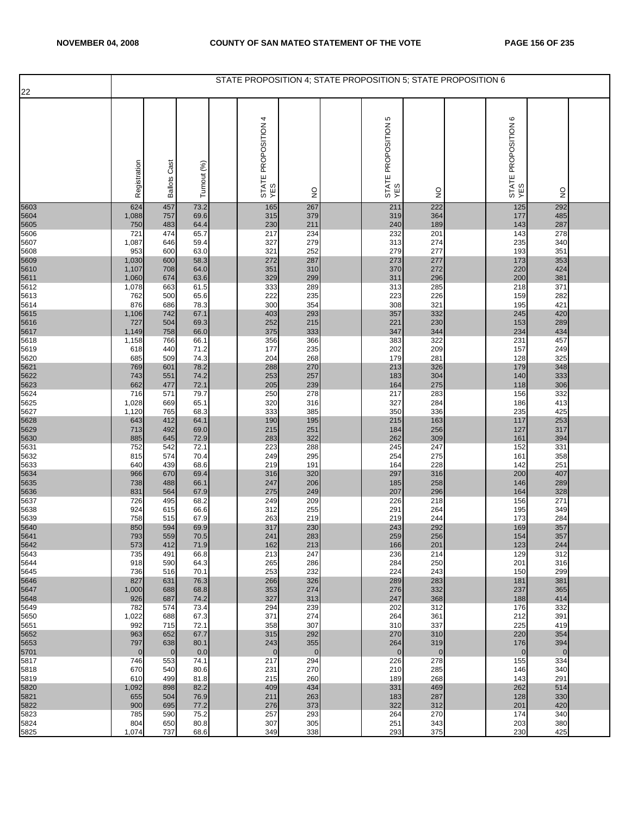| 22                                                                                                                                                                                                                   |  |
|----------------------------------------------------------------------------------------------------------------------------------------------------------------------------------------------------------------------|--|
| 4<br>STATE PROPOSITION 5<br>YES<br>STATE PROPOSITION 6<br>YES<br>STATE PROPOSITION<br>YES<br>Registration<br><b>Ballots Cast</b><br>Turnout (%)<br>$\frac{0}{2}$<br>$\frac{1}{2}$<br>$\frac{0}{2}$                   |  |
| 5603<br>457<br>165<br>267<br>211<br>222<br>125<br>292<br>624<br>73.2                                                                                                                                                 |  |
| 379<br>485<br>5604<br>757<br>69.6<br>315<br>364<br>1,088<br>319<br>177<br>287<br>483<br>64.4<br>230<br>211<br>240<br>189<br>143<br>750                                                                               |  |
| 5605<br>5606<br>201<br>143<br>278<br>474<br>65.7<br>217<br>234<br>232<br>721                                                                                                                                         |  |
| 5607<br>59.4<br>327<br>279<br>274<br>235<br>340<br>1,087<br>646<br>313                                                                                                                                               |  |
| 252<br>63.0<br>321<br>279<br>277<br>193<br>351<br>5608<br>953<br>600                                                                                                                                                 |  |
| 5609<br>272<br>287<br>277<br>353<br>600<br>58.3<br>273<br>1,030<br>173<br>64.0<br>351<br>310<br>370<br>272<br>220<br>424<br>1,107<br>708                                                                             |  |
| 5610<br>5611<br>5612<br>299<br>63.6<br>329<br>311<br>296<br>200<br>381<br>1,060<br>674                                                                                                                               |  |
| 285<br>371<br>333<br>289<br>218<br>1,078<br>663<br>61.5<br>313                                                                                                                                                       |  |
| 222<br>235<br>226<br>159<br>282<br>5613<br>500<br>65.6<br>223<br>762<br>321<br>421<br>5614<br>78.3<br>300<br>354<br>308<br>195<br>876<br>686                                                                         |  |
| 293<br>332<br>245<br>420<br>742<br>67.1<br>403<br>357<br>1,106                                                                                                                                                       |  |
| 504<br>69.3<br>252<br>215<br>221<br>230<br>289<br>727<br>153                                                                                                                                                         |  |
| 5615<br>5616<br>5617<br>5618<br>333<br>66.0<br>375<br>347<br>344<br>234<br>434<br>1,149<br>758                                                                                                                       |  |
| 322<br>457<br>766<br>66.1<br>356<br>366<br>383<br>231<br>1,158<br>235<br>202<br>209<br>5619<br>71.2<br>177<br>157<br>249<br>618<br>440                                                                               |  |
| 268<br>281<br>325<br>5620<br>509<br>74.3<br>204<br>179<br>128<br>685                                                                                                                                                 |  |
| 5621<br>5622<br>270<br>326<br>179<br>348<br>769<br>601<br>78.2<br>288<br>213                                                                                                                                         |  |
| 304<br>333<br>74.2<br>253<br>257<br>140<br>743<br>551<br>183<br>306<br>5623<br>239<br>275<br>662<br>477<br>72.1<br>205<br>164<br>118                                                                                 |  |
| 5624<br>250<br>278<br>283<br>332<br>79.7<br>217<br>156<br>716<br>571                                                                                                                                                 |  |
| 316<br>284<br>5625<br>65.1<br>320<br>327<br>413<br>1,028<br>669<br>186                                                                                                                                               |  |
| 425<br>5627<br>333<br>385<br>350<br>336<br>235<br>765<br>68.3<br>1,120<br>5628<br>190<br>195<br>163<br>253<br>643<br>412<br>64.1<br>215<br>117                                                                       |  |
| 317<br>492<br>69.0<br>251<br>256<br>127<br>713<br>215<br>184                                                                                                                                                         |  |
| 5629<br>5630<br>72.9<br>322<br>309<br>394<br>885<br>645<br>283<br>262<br>161                                                                                                                                         |  |
| 5631<br>247<br>542<br>223<br>288<br>245<br>152<br>331<br>752<br>72.1<br>295<br>249<br>275<br>358<br>5632<br>574<br>70.4<br>254<br>161<br>815                                                                         |  |
| 191<br>228<br>251<br>5633<br>439<br>68.6<br>219<br>164<br>142<br>640                                                                                                                                                 |  |
| 5634<br>5635<br>320<br>200<br>407<br>670<br>316<br>297<br>316<br>966<br>69.4                                                                                                                                         |  |
| 206<br>289<br>247<br>258<br>738<br>488<br>66.1<br>185<br>146<br>249<br>296<br>328<br>831<br>67.9<br>275<br>207<br>164<br>564                                                                                         |  |
| 5636<br>209<br>218<br>5637<br>495<br>68.2<br>249<br>226<br>156<br>271<br>726                                                                                                                                         |  |
| 5638<br>255<br>264<br>349<br>924<br>615<br>66.6<br>312<br>291<br>195                                                                                                                                                 |  |
| 263<br>219<br>244<br>284<br>5639<br>758<br>67.9<br>219<br>173<br>515<br>292<br>357<br>850<br>594<br>69.9<br>317<br>230<br>243<br>169                                                                                 |  |
| 5640<br>5641<br>793<br>559<br>70.5<br>241<br>283<br>259<br>256<br>154<br>357                                                                                                                                         |  |
| 5642<br>123<br>573<br>412<br>71.9<br>162<br>213<br>166<br>201<br>244                                                                                                                                                 |  |
| 5643<br>247<br>236<br>312<br>735<br>491<br>66.8<br>213<br>214<br>129<br>265<br>286<br>250<br>5644<br>590<br>64.3<br>284<br>201<br>316<br>918                                                                         |  |
| 232<br>5645<br>253<br>224<br>243<br>150<br>299<br>736<br>516<br>70.1                                                                                                                                                 |  |
| 5646<br>266<br>326<br>283<br>381<br>827<br>631<br>76.3<br>289<br>181                                                                                                                                                 |  |
| 5647<br>332<br>1,000<br>688<br>68.8<br>353<br>274<br>276<br>237<br>365<br>5648<br>687<br>74.2<br>327<br>313<br>368<br>414<br>926<br>247<br>188                                                                       |  |
| 5649<br>574<br>73.4<br>294<br>239<br>312<br>332<br>782<br>202<br>176                                                                                                                                                 |  |
| 371<br>274<br>391<br>5650<br>1,022<br>688<br>67.3<br>264<br>361<br>212                                                                                                                                               |  |
| 358<br>307<br>5651<br>992<br>715<br>72.1<br>310<br>337<br>225<br>419<br>5652<br>67.7<br>292<br>963<br>652<br>315<br>270<br>310<br>220<br>354                                                                         |  |
| 5653<br>355<br>394<br>797<br>638<br>80.1<br>243<br>264<br>319<br>176                                                                                                                                                 |  |
| 5701<br>$\overline{0}$<br>$\mathbf 0$<br>$\mathbf{0}$<br>$\overline{0}$<br>0.0<br>$\mathbf{0}$<br>$\mathbf 0$<br>$\mathbf 0$<br>$\mathbf{0}$<br>553<br>294<br>278<br>334<br>5817<br>746<br>74.1<br>217<br>226<br>155 |  |
| 270<br>5818<br>670<br>540<br>80.6<br>231<br>285<br>340<br>210<br>146                                                                                                                                                 |  |
| 5819<br>499<br>215<br>260<br>189<br>268<br>143<br>291<br>610<br>81.8                                                                                                                                                 |  |
| 5820<br>82.2<br>898<br>409<br>434<br>331<br>469<br>262<br>514<br>1,092<br>5821<br>263<br>330<br>655<br>504<br>76.9<br>211<br>183<br>287<br>128                                                                       |  |
| 5822<br>373<br>420<br>900<br>695<br>77.2<br>276<br>322<br>312<br>201                                                                                                                                                 |  |
| 5823<br>75.2<br>257<br>293<br>270<br>785<br>590<br>264<br>174<br>340                                                                                                                                                 |  |
| 5824<br>650<br>80.8<br>307<br>305<br>380<br>804<br>251<br>343<br>203<br>338<br>293<br>375<br>230<br>425<br>5825<br>1,074<br>737<br>68.6<br>349                                                                       |  |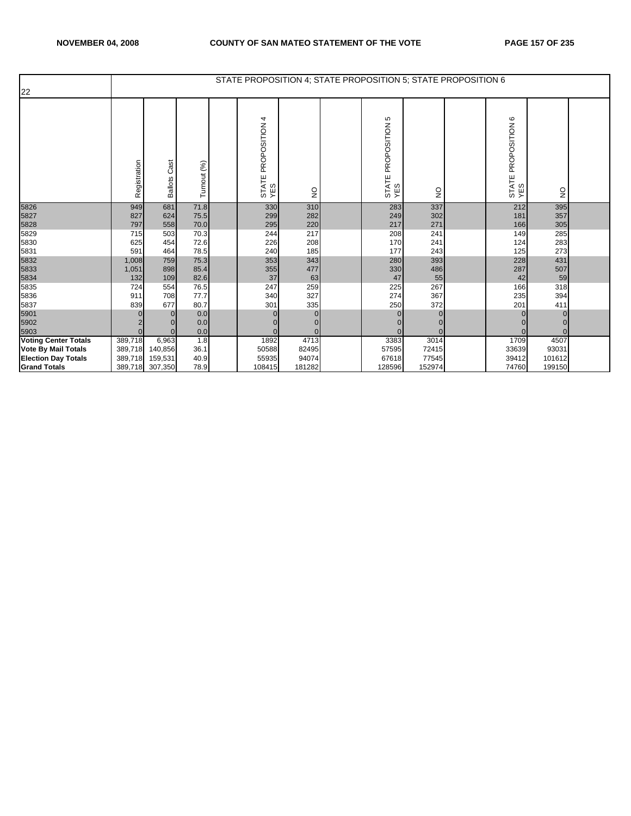|                             |              |                        |              | STATE PROPOSITION 4; STATE PROPOSITION 5; STATE PROPOSITION 6 |                 |                            |               |                            |               |  |
|-----------------------------|--------------|------------------------|--------------|---------------------------------------------------------------|-----------------|----------------------------|---------------|----------------------------|---------------|--|
| 22                          |              |                        |              |                                                               |                 |                            |               |                            |               |  |
|                             | Registration | Cast<br><b>Ballots</b> | Turnout (%)  | PROPOSITION 4<br>STATE<br>YES                                 | $\frac{0}{2}$   | STATE PROPOSITION 5<br>YES | $\frac{0}{2}$ | STATE PROPOSITION 6<br>YES | $\frac{1}{2}$ |  |
| 5826                        | 949          | 681                    | 71.8         | 330                                                           | 310             | 283                        | 337           | 212                        | 395           |  |
| 5827                        | 827          | 624                    | 75.5         | 299                                                           | 282             | 249                        | 302           | 181                        | 357           |  |
| 5828                        | 797          | 558                    | 70.0         | 295                                                           | 220             | 217                        | 271           | 166                        | 305           |  |
| 5829                        | 715          | 503                    | 70.3         | 244                                                           | 217             | 208                        | 241           | 149                        | 285           |  |
| 5830                        | 625          | 454                    | 72.6         | 226                                                           | 208             | 170                        | 241           | 124                        | 283           |  |
| 5831                        | 591          | 464                    | 78.5         | 240                                                           | 185             | 177                        | 243           | 125                        | 273           |  |
| 5832                        | 1,008        | 759                    | 75.3         | 353                                                           | 343             | 280                        | 393           | 228                        | 431           |  |
| 5833                        | 1,051        | 898                    | 85.4         | 355                                                           | 477             | 330                        | 486           | 287                        | 507           |  |
| 5834                        | 132          | 109                    | 82.6         | 37                                                            | 63              | 47                         | 55            | 42                         | 59            |  |
| 5835                        | 724          | 554                    | 76.5<br>77.7 | 247<br>340                                                    | 259             | 225<br>274                 | 267<br>367    | 166                        | 318           |  |
| 5836                        | 911          | 708<br>677             | 80.7         | 301                                                           | 327             |                            | 372           | 235<br>201                 | 394           |  |
| 5837                        | 839          | $\Omega$               |              |                                                               | 335<br>$\Omega$ | 250                        |               |                            | 411           |  |
| 5901                        |              |                        | 0.0<br>0.0   |                                                               |                 | 0                          |               |                            | $\Omega$      |  |
| 5902<br>5903                | $\Omega$     | $\Omega$               | 0.0          |                                                               | 0<br>$\Omega$   | $\Omega$                   |               |                            | $\Omega$      |  |
| <b>Voting Center Totals</b> | 389,718      | 6,963                  | 1.8          | 1892                                                          | 4713            | 3383                       | 3014          | 1709                       | 4507          |  |
| <b>Vote By Mail Totals</b>  | 389,718      | 140,856                | 36.1         | 50588                                                         | 82495           | 57595                      | 72415         | 33639                      | 93031         |  |
| <b>Election Day Totals</b>  | 389,718      | 159,531                | 40.9         | 55935                                                         | 94074           | 67618                      | 77545         | 39412                      | 101612        |  |
| <b>Grand Totals</b>         | 389,718      | 307,350                | 78.9         | 108415                                                        | 181282          | 128596                     | 152974        | 74760                      | 199150        |  |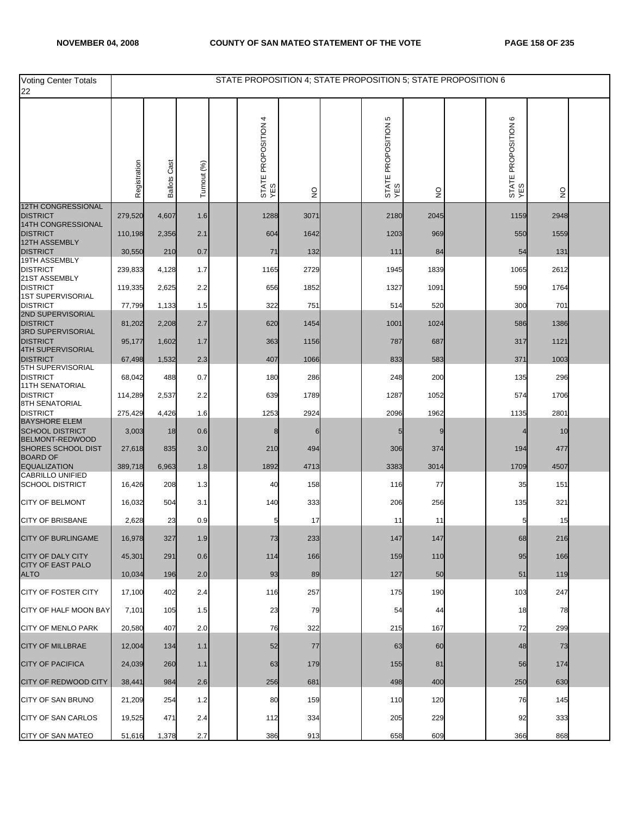| <b>Voting Center Totals</b><br>22              |              |                     |             |                               |               |                               | STATE PROPOSITION 4; STATE PROPOSITION 5; STATE PROPOSITION 6 |                                              |                                 |  |
|------------------------------------------------|--------------|---------------------|-------------|-------------------------------|---------------|-------------------------------|---------------------------------------------------------------|----------------------------------------------|---------------------------------|--|
|                                                | Registration | <b>Ballots Cast</b> | Turnout (%) | 4<br>STATE PROPOSITION<br>YES | $\frac{0}{2}$ | 5<br>STATE PROPOSITION<br>YES | $\frac{0}{2}$                                                 | $\mathbf  \circ$<br>STATE PROPOSITION<br>YES | $\frac{\mathsf{O}}{\mathsf{Z}}$ |  |
| <b>12TH CONGRESSIONAL</b><br><b>DISTRICT</b>   | 279,520      | 4,607               | 1.6         | 1288                          | 3071          | 2180                          | 2045                                                          | 1159                                         | 2948                            |  |
| 14TH CONGRESSIONAL<br><b>DISTRICT</b>          |              |                     |             |                               |               |                               |                                                               |                                              |                                 |  |
| 12TH ASSEMBLY                                  | 110,198      | 2,356               | 2.1         | 604                           | 1642          | 1203                          | 969                                                           | 550                                          | 1559                            |  |
| <b>DISTRICT</b><br>19TH ASSEMBLY               | 30,550       | 210                 | 0.7         | 71                            | 132           | 111                           | 84                                                            | 54                                           | 131                             |  |
| <b>DISTRICT</b><br>21ST ASSEMBLY               | 239,833      | 4,128               | 1.7         | 1165                          | 2729          | 1945                          | 1839                                                          | 1065                                         | 2612                            |  |
| <b>DISTRICT</b><br>1ST SUPERVISORIAL           | 119,335      | 2,625               | 2.2         | 656                           | 1852          | 1327                          | 1091                                                          | 590                                          | 1764                            |  |
| <b>DISTRICT</b><br>2ND SUPERVISORIAL           | 77,799       | 1,133               | 1.5         | 322                           | 751           | 514                           | 520                                                           | 300                                          | 701                             |  |
| <b>DISTRICT</b>                                | 81,202       | 2,208               | 2.7         | 620                           | 1454          | 1001                          | 1024                                                          | 586                                          | 1386                            |  |
| 3RD SUPERVISORIAL<br><b>DISTRICT</b>           | 95,177       | 1,602               | 1.7         | 363                           | 1156          | 787                           | 687                                                           | 317                                          | 1121                            |  |
| <b>4TH SUPERVISORIAL</b><br><b>DISTRICT</b>    | 67,498       | 1,532               | 2.3         | 407                           | 1066          | 833                           | 583                                                           | 371                                          | 1003                            |  |
| 5TH SUPERVISORIAL<br><b>DISTRICT</b>           | 68,042       | 488                 | 0.7         | 180                           | 286           | 248                           | 200                                                           | 135                                          | 296                             |  |
| <b>11TH SENATORIAL</b><br><b>DISTRICT</b>      | 114,289      | 2,537               | 2.2         | 639                           | 1789          | 1287                          | 1052                                                          | 574                                          | 1706                            |  |
| 8TH SENATORIAL<br><b>DISTRICT</b>              | 275,429      | 4,426               | 1.6         | 1253                          | 2924          | 2096                          | 1962                                                          | 1135                                         | 2801                            |  |
| <b>BAYSHORE ELEM</b>                           |              |                     |             |                               |               |                               |                                                               |                                              |                                 |  |
| <b>SCHOOL DISTRICT</b><br>BELMONT-REDWOOD      | 3,003        | 18                  | 0.6         | 8                             |               |                               | 9                                                             |                                              | 10                              |  |
| <b>SHORES SCHOOL DIST</b><br><b>BOARD OF</b>   | 27,618       | 835                 | 3.0         | 210                           | 494           | 306                           | 374                                                           | 194                                          | 477                             |  |
| <b>EQUALIZATION</b><br><b>CABRILLO UNIFIED</b> | 389,718      | 6,963               | 1.8         | 1892                          | 4713          | 3383                          | 3014                                                          | 1709                                         | 4507                            |  |
| <b>SCHOOL DISTRICT</b>                         | 16,426       | 208                 | 1.3         | 40                            | 158           | 116                           | 77                                                            | 35                                           | 151                             |  |
| <b>CITY OF BELMONT</b>                         | 16,032       | 504                 | 3.1         | 140                           | 333           | 206                           | 256                                                           | 135                                          | 321                             |  |
| <b>CITY OF BRISBANE</b>                        | 2,628        | 23                  | 0.9         | 5                             | 17            | 11                            | 11                                                            | 5                                            | 15                              |  |
| <b>CITY OF BURLINGAME</b>                      | 16,978       | 327                 | 1.9         | 73                            | 233           | 147                           | 147                                                           | 68                                           | 216                             |  |
| <b>CITY OF DALY CITY</b>                       | 45,301       | 291                 | 0.6         | 114                           | 166           | 159                           | 110                                                           | 95                                           | 166                             |  |
| <b>CITY OF EAST PALO</b><br><b>ALTO</b>        | 10,034       | 196                 | 2.0         | 93                            | 89            | 127                           | 50                                                            | 51                                           | 119                             |  |
| CITY OF FOSTER CITY                            | 17,100       | 402                 | 2.4         | 116                           | 257           | 175                           | 190                                                           | 103                                          | 247                             |  |
| CITY OF HALF MOON BAY                          | 7,101        | 105                 | 1.5         | 23                            | 79            | 54                            | 44                                                            | 18                                           | 78                              |  |
| <b>CITY OF MENLO PARK</b>                      | 20,580       | 407                 | 2.0         | 76                            | 322           | 215                           | 167                                                           | 72                                           | 299                             |  |
| <b>CITY OF MILLBRAE</b>                        | 12,004       | 134                 | 1.1         | 52                            | 77            | 63                            | 60                                                            | 48                                           | 73                              |  |
| <b>CITY OF PACIFICA</b>                        | 24,039       | 260                 | 1.1         | 63                            | 179           | 155                           | 81                                                            | 56                                           | 174                             |  |
| <b>CITY OF REDWOOD CITY</b>                    | 38,441       | 984                 | 2.6         | 256                           | 681           | 498                           | 400                                                           | 250                                          | 630                             |  |
| CITY OF SAN BRUNO                              | 21,209       | 254                 | 1.2         | 80                            | 159           | 110                           | 120                                                           | 76                                           | 145                             |  |
| <b>CITY OF SAN CARLOS</b>                      | 19,525       | 471                 | 2.4         | 112                           | 334           | 205                           | 229                                                           | 92                                           | 333                             |  |
| CITY OF SAN MATEO                              | 51,616       | 1,378               | 2.7         | 386                           | 913           | 658                           | 609                                                           | 366                                          | 868                             |  |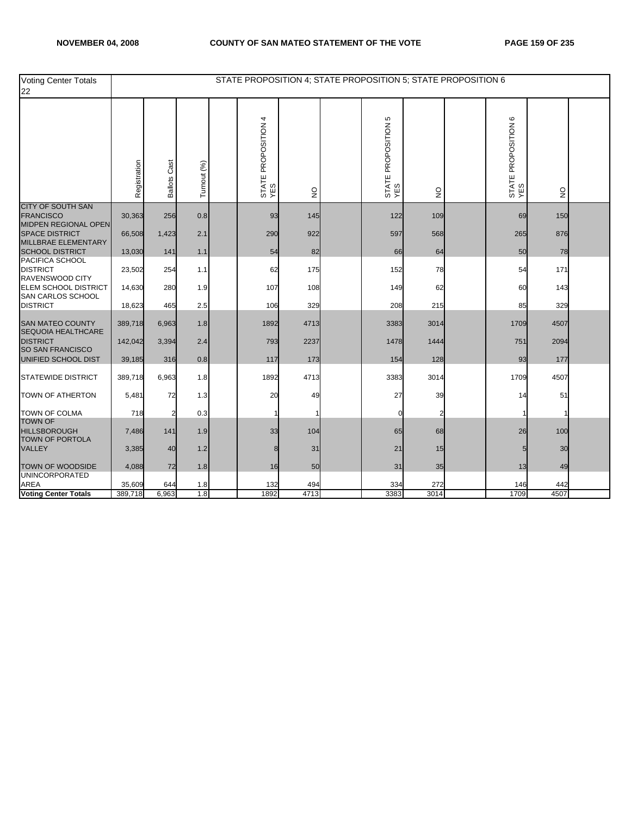| Voting Center Totals<br>22                                                  |              |                     |             |                               |                           |                            | STATE PROPOSITION 4; STATE PROPOSITION 5; STATE PROPOSITION 6 |                               |                           |  |
|-----------------------------------------------------------------------------|--------------|---------------------|-------------|-------------------------------|---------------------------|----------------------------|---------------------------------------------------------------|-------------------------------|---------------------------|--|
|                                                                             | Registration | <b>Ballots Cast</b> | Turnout (%) | 4<br>STATE PROPOSITION<br>YES | $\mathsf{S}^{\mathsf{O}}$ | STATE PROPOSITION 5<br>YES | $\frac{1}{2}$                                                 | G<br>STATE PROPOSITION<br>YES | $\mathsf{S}^{\mathsf{O}}$ |  |
| <b>CITY OF SOUTH SAN</b><br><b>FRANCISCO</b>                                | 30,363       | 256                 | 0.8         | 93                            | 145                       | 122                        | 109                                                           | 69                            | 150                       |  |
| <b>MIDPEN REGIONAL OPEN</b><br><b>SPACE DISTRICT</b><br>MILLBRAE ELEMENTARY | 66,508       | 1,423               | 2.1         | 290                           | 922                       | 597                        | 568                                                           | 265                           | 876                       |  |
| <b>SCHOOL DISTRICT</b>                                                      | 13,030       | 141                 | 1.1         | 54                            | 82                        | 66                         | 64                                                            | 50                            | 78                        |  |
| PACIFICA SCHOOL<br><b>DISTRICT</b><br>RAVENSWOOD CITY                       | 23,502       | 254                 | 1.1         | 62                            | 175                       | 152                        | 78                                                            | 54                            | 171                       |  |
| <b>ELEM SCHOOL DISTRICT</b><br>SAN CARLOS SCHOOL                            | 14,630       | 280                 | 1.9         | 107                           | 108                       | 149                        | 62                                                            | 60                            | 143                       |  |
| <b>DISTRICT</b>                                                             | 18,623       | 465                 | 2.5         | 106                           | 329                       | 208                        | 215                                                           | 85                            | 329                       |  |
| <b>SAN MATEO COUNTY</b><br>SEQUOIA HEALTHCARE                               | 389,718      | 6,963               | 1.8         | 1892                          | 4713                      | 3383                       | 3014                                                          | 1709                          | 4507                      |  |
| <b>DISTRICT</b><br><b>SO SAN FRANCISCO</b>                                  | 142,042      | 3,394               | 2.4         | 793                           | 2237                      | 1478                       | 1444                                                          | 751                           | 2094                      |  |
| UNIFIED SCHOOL DIST                                                         | 39,185       | 316                 | 0.8         | 117                           | 173                       | 154                        | 128                                                           | 93                            | 177                       |  |
| <b>STATEWIDE DISTRICT</b>                                                   | 389,718      | 6,963               | 1.8         | 1892                          | 4713                      | 3383                       | 3014                                                          | 1709                          | 4507                      |  |
| <b>TOWN OF ATHERTON</b>                                                     | 5,481        | 72                  | 1.3         | 20                            | 49                        | 27                         | 39                                                            | 14                            | 51                        |  |
| <b>TOWN OF COLMA</b><br><b>TOWN OF</b>                                      | 718          |                     | 0.3         |                               |                           | $\Omega$                   |                                                               |                               |                           |  |
| <b>HILLSBOROUGH</b><br>TOWN OF PORTOLA                                      | 7,486        | 141                 | 1.9         | 33                            | 104                       | 65                         | 68                                                            | 26                            | 100                       |  |
| <b>VALLEY</b>                                                               | 3,385        | 40                  | 1.2         | 8                             | 31                        | 21                         | 15                                                            |                               | 30                        |  |
| <b>TOWN OF WOODSIDE</b><br><b>UNINCORPORATED</b>                            | 4,088        | 72                  | 1.8         | 16                            | 50                        | 31                         | 35                                                            | 13                            | 49                        |  |
| <b>AREA</b>                                                                 | 35,609       | 644                 | 1.8         | 132                           | 494                       | 334                        | 272                                                           | 146                           | 442                       |  |
| <b>Voting Center Totals</b>                                                 | 389,718      | 6,963               | 1.8         | 1892                          | 4713                      | 3383                       | 3014                                                          | 1709                          | 4507                      |  |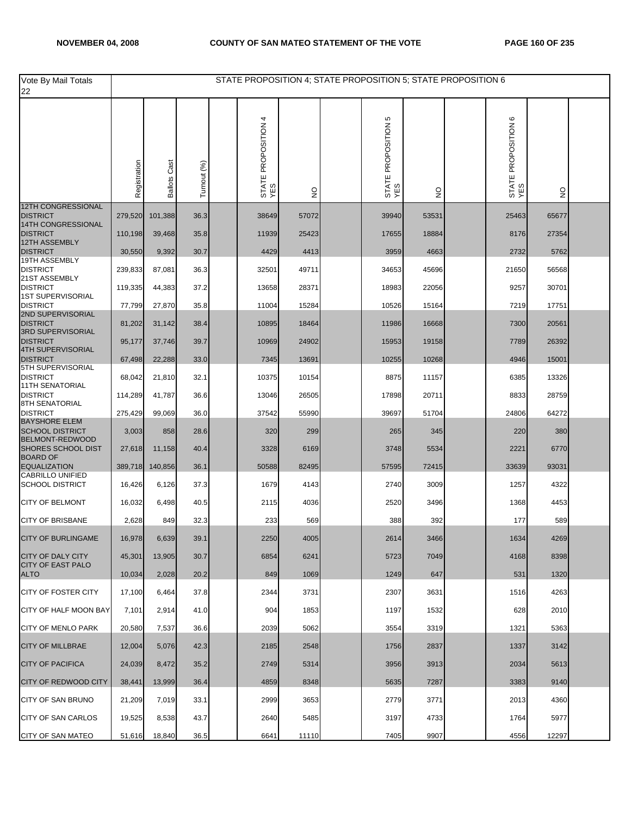| Vote By Mail Totals<br>22                      |              |                        |             | STATE PROPOSITION 4; STATE PROPOSITION 5; STATE PROPOSITION 6 |               |                               |               |                                               |               |  |
|------------------------------------------------|--------------|------------------------|-------------|---------------------------------------------------------------|---------------|-------------------------------|---------------|-----------------------------------------------|---------------|--|
|                                                | Registration | Cast<br><b>Ballots</b> | Turnout (%) | 4<br>STATE PROPOSITION<br>YES                                 | $\frac{1}{2}$ | 5<br>STATE PROPOSITION<br>YES | $\frac{0}{2}$ | $\mathbf  \omega$<br>STATE PROPOSITION<br>YES | $\frac{1}{2}$ |  |
| 12TH CONGRESSIONAL<br><b>DISTRICT</b>          | 279,520      | 101,388                | 36.3        | 38649                                                         | 57072         | 39940                         | 53531         | 25463                                         | 65677         |  |
| 14TH CONGRESSIONAL                             |              |                        |             |                                                               |               |                               |               |                                               |               |  |
| <b>DISTRICT</b><br>12TH ASSEMBLY               | 110,198      | 39,468                 | 35.8        | 11939                                                         | 25423         | 17655                         | 18884         | 8176                                          | 27354         |  |
| <b>DISTRICT</b><br>19TH ASSEMBLY               | 30,550       | 9,392                  | 30.7        | 4429                                                          | 4413          | 3959                          | 4663          | 2732                                          | 5762          |  |
| <b>DISTRICT</b><br>21ST ASSEMBLY               | 239,833      | 87,081                 | 36.3        | 32501                                                         | 49711         | 34653                         | 45696         | 21650                                         | 56568         |  |
| <b>DISTRICT</b><br><b>1ST SUPERVISORIAL</b>    | 119,335      | 44,383                 | 37.2        | 13658                                                         | 28371         | 18983                         | 22056         | 9257                                          | 30701         |  |
| <b>DISTRICT</b><br>2ND SUPERVISORIAL           | 77,799       | 27,870                 | 35.8        | 11004                                                         | 15284         | 10526                         | 15164         | 7219                                          | 17751         |  |
| <b>DISTRICT</b>                                | 81,202       | 31,142                 | 38.4        | 10895                                                         | 18464         | 11986                         | 16668         | 7300                                          | 20561         |  |
| 3RD SUPERVISORIAL<br><b>DISTRICT</b>           | 95,177       | 37,746                 | 39.7        | 10969                                                         | 24902         | 15953                         | 19158         | 7789                                          | 26392         |  |
| <b>4TH SUPERVISORIAL</b><br><b>DISTRICT</b>    | 67,498       | 22,288                 | 33.0        | 7345                                                          | 13691         | 10255                         | 10268         | 4946                                          | 15001         |  |
| <b>5TH SUPERVISORIAL</b><br><b>DISTRICT</b>    | 68,042       | 21,810                 | 32.1        | 10375                                                         | 10154         | 8875                          | 11157         | 6385                                          | 13326         |  |
| <b>11TH SENATORIAL</b><br><b>DISTRICT</b>      | 114,289      | 41,787                 | 36.6        | 13046                                                         | 26505         | 17898                         | 20711         | 8833                                          | 28759         |  |
| 8TH SENATORIAL<br><b>DISTRICT</b>              | 275,429      | 99,069                 | 36.0        | 37542                                                         | 55990         | 39697                         | 51704         | 24806                                         | 64272         |  |
| <b>BAYSHORE ELEM</b><br><b>SCHOOL DISTRICT</b> | 3,003        | 858                    | 28.6        | 320                                                           | 299           | 265                           | 345           | 220                                           | 380           |  |
| BELMONT-REDWOOD                                |              |                        |             |                                                               |               |                               |               |                                               |               |  |
| <b>SHORES SCHOOL DIST</b><br><b>BOARD OF</b>   | 27,618       | 11,158                 | 40.4        | 3328                                                          | 6169          | 3748                          | 5534          | 2221                                          | 6770          |  |
| <b>EQUALIZATION</b><br><b>CABRILLO UNIFIED</b> | 389,718      | 140,856                | 36.1        | 50588                                                         | 82495         | 57595                         | 72415         | 33639                                         | 93031         |  |
| <b>SCHOOL DISTRICT</b>                         | 16,426       | 6,126                  | 37.3        | 1679                                                          | 4143          | 2740                          | 3009          | 1257                                          | 4322          |  |
| <b>CITY OF BELMONT</b>                         | 16,032       | 6,498                  | 40.5        | 2115                                                          | 4036          | 2520                          | 3496          | 1368                                          | 4453          |  |
| <b>CITY OF BRISBANE</b>                        | 2,628        | 849                    | 32.3        | 233                                                           | 569           | 388                           | 392           | 177                                           | 589           |  |
| <b>CITY OF BURLINGAME</b>                      | 16,978       | 6,639                  | 39.1        | 2250                                                          | 4005          | 2614                          | 3466          | 1634                                          | 4269          |  |
| <b>CITY OF DALY CITY</b>                       | 45,301       | 13,905                 | 30.7        | 6854                                                          | 6241          | 5723                          | 7049          | 4168                                          | 8398          |  |
| <b>CITY OF EAST PALO</b><br><b>ALTO</b>        | 10,034       | 2,028                  | 20.2        | 849                                                           | 1069          | 1249                          | 647           | 531                                           | 1320          |  |
| CITY OF FOSTER CITY                            | 17,100       | 6,464                  | 37.8        | 2344                                                          | 3731          | 2307                          | 3631          | 1516                                          | 4263          |  |
| <b>CITY OF HALF MOON BAY</b>                   | 7,101        | 2,914                  | 41.0        | 904                                                           | 1853          | 1197                          | 1532          | 628                                           | 2010          |  |
| <b>CITY OF MENLO PARK</b>                      | 20,580       | 7,537                  | 36.6        | 2039                                                          | 5062          | 3554                          | 3319          | 1321                                          | 5363          |  |
| <b>CITY OF MILLBRAE</b>                        | 12,004       | 5,076                  | 42.3        | 2185                                                          | 2548          | 1756                          | 2837          | 1337                                          | 3142          |  |
| <b>CITY OF PACIFICA</b>                        | 24,039       | 8,472                  | 35.2        | 2749                                                          | 5314          | 3956                          | 3913          | 2034                                          | 5613          |  |
| <b>CITY OF REDWOOD CITY</b>                    | 38,441       | 13,999                 | 36.4        | 4859                                                          | 8348          | 5635                          | 7287          | 3383                                          | 9140          |  |
| CITY OF SAN BRUNO                              | 21,209       | 7,019                  | 33.1        | 2999                                                          | 3653          | 2779                          | 3771          | 2013                                          | 4360          |  |
| <b>CITY OF SAN CARLOS</b>                      | 19,525       | 8,538                  | 43.7        | 2640                                                          | 5485          | 3197                          | 4733          | 1764                                          | 5977          |  |
| <b>CITY OF SAN MATEO</b>                       | 51,616       | 18,840                 | 36.5        | 6641                                                          | 11110         | 7405                          | 9907          | 4556                                          | 12297         |  |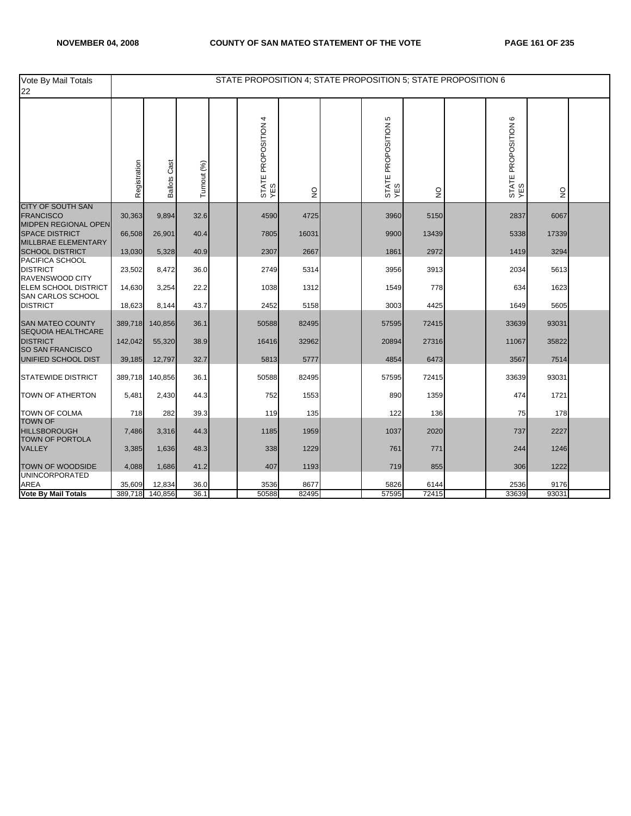| Vote By Mail Totals<br>22                                            |              |                        |             | STATE PROPOSITION 4; STATE PROPOSITION 5; STATE PROPOSITION 6 |               |                            |              |                            |              |  |
|----------------------------------------------------------------------|--------------|------------------------|-------------|---------------------------------------------------------------|---------------|----------------------------|--------------|----------------------------|--------------|--|
|                                                                      | Registration | Cast<br><b>Ballots</b> | Turnout (%) | STATE PROPOSITION 4<br>YES                                    | $\frac{0}{2}$ | STATE PROPOSITION 5<br>YES | $\mathsf{S}$ | STATE PROPOSITION 6<br>YES | $\mathsf{S}$ |  |
| CITY OF SOUTH SAN<br><b>FRANCISCO</b>                                | 30,363       | 9,894                  | 32.6        | 4590                                                          | 4725          | 3960                       | 5150         | 2837                       | 6067         |  |
| MIDPEN REGIONAL OPEN<br><b>SPACE DISTRICT</b><br>MILLBRAE ELEMENTARY | 66,508       | 26,901                 | 40.4        | 7805                                                          | 16031         | 9900                       | 13439        | 5338                       | 17339        |  |
| <b>SCHOOL DISTRICT</b>                                               | 13,030       | 5,328                  | 40.9        | 2307                                                          | 2667          | 1861                       | 2972         | 1419                       | 3294         |  |
| PACIFICA SCHOOL<br><b>DISTRICT</b><br>RAVENSWOOD CITY                | 23,502       | 8,472                  | 36.0        | 2749                                                          | 5314          | 3956                       | 3913         | 2034                       | 5613         |  |
| <b>ELEM SCHOOL DISTRICT</b><br>SAN CARLOS SCHOOL                     | 14,630       | 3,254                  | 22.2        | 1038                                                          | 1312          | 1549                       | 778          | 634                        | 1623         |  |
| <b>DISTRICT</b>                                                      | 18,623       | 8,144                  | 43.7        | 2452                                                          | 5158          | 3003                       | 4425         | 1649                       | 5605         |  |
| <b>SAN MATEO COUNTY</b><br>SEQUOIA HEALTHCARE                        | 389,718      | 140,856                | 36.1        | 50588                                                         | 82495         | 57595                      | 72415        | 33639                      | 93031        |  |
| <b>DISTRICT</b><br><b>SO SAN FRANCISCO</b>                           | 142,042      | 55,320                 | 38.9        | 16416                                                         | 32962         | 20894                      | 27316        | 11067                      | 35822        |  |
| UNIFIED SCHOOL DIST                                                  | 39,185       | 12,797                 | 32.7        | 5813                                                          | 5777          | 4854                       | 6473         | 3567                       | 7514         |  |
| <b>STATEWIDE DISTRICT</b>                                            | 389,718      | 140,856                | 36.1        | 50588                                                         | 82495         | 57595                      | 72415        | 33639                      | 93031        |  |
| <b>TOWN OF ATHERTON</b>                                              | 5,481        | 2,430                  | 44.3        | 752                                                           | 1553          | 890                        | 1359         | 474                        | 1721         |  |
| <b>TOWN OF COLMA</b><br><b>TOWN OF</b>                               | 718          | 282                    | 39.3        | 119                                                           | 135           | 122                        | 136          | 75                         | 178          |  |
| <b>HILLSBOROUGH</b><br><b>TOWN OF PORTOLA</b>                        | 7,486        | 3,316                  | 44.3        | 1185                                                          | 1959          | 1037                       | 2020         | 737                        | 2227         |  |
| <b>VALLEY</b>                                                        | 3,385        | 1,636                  | 48.3        | 338                                                           | 1229          | 761                        | 771          | 244                        | 1246         |  |
| <b>TOWN OF WOODSIDE</b><br><b>UNINCORPORATED</b>                     | 4,088        | 1,686                  | 41.2        | 407                                                           | 1193          | 719                        | 855          | 306                        | 1222         |  |
| <b>AREA</b>                                                          | 35,609       | 12,834                 | 36.0        | 3536                                                          | 8677          | 5826                       | 6144         | 2536                       | 9176         |  |
| <b>Vote By Mail Totals</b>                                           | 389,718      | 140,856                | 36.1        | 50588                                                         | 82495         | 57595                      | 72415        | 33639                      | 93031        |  |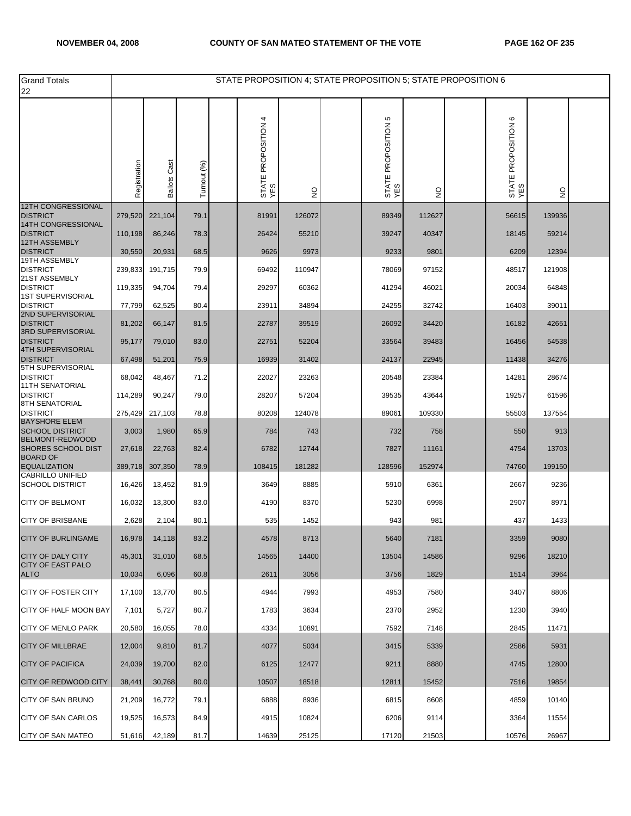| <b>Grand Totals</b><br>22                         |              |                     |             | STATE PROPOSITION 4; STATE PROPOSITION 5; STATE PROPOSITION 6 |               |                            |               |                            |               |  |
|---------------------------------------------------|--------------|---------------------|-------------|---------------------------------------------------------------|---------------|----------------------------|---------------|----------------------------|---------------|--|
|                                                   | Registration | <b>Ballots Cast</b> | Turnout (%) | PROPOSITION 4<br>STATE I<br>YES                               | $\frac{0}{2}$ | STATE PROPOSITION 5<br>YES | $\frac{1}{2}$ | STATE PROPOSITION 6<br>YES | $\frac{1}{2}$ |  |
| <b>12TH CONGRESSIONAL</b><br><b>DISTRICT</b>      | 279,520      | 221,104             | 79.1        | 81991                                                         | 126072        | 89349                      | 112627        | 56615                      | 139936        |  |
| 14TH CONGRESSIONAL<br><b>DISTRICT</b>             | 110,198      | 86,246              | 78.3        | 26424                                                         | 55210         | 39247                      | 40347         | 18145                      | 59214         |  |
| 12TH ASSEMBLY                                     |              |                     |             |                                                               |               |                            |               |                            |               |  |
| <b>DISTRICT</b><br>19TH ASSEMBLY                  | 30,550       | 20,931              | 68.5        | 9626                                                          | 9973          | 9233                       | 9801          | 6209                       | 12394         |  |
| <b>DISTRICT</b><br>21ST ASSEMBLY                  | 239,833      | 191,715             | 79.9        | 69492                                                         | 110947        | 78069                      | 97152         | 48517                      | 121908        |  |
| <b>DISTRICT</b><br><b>1ST SUPERVISORIAL</b>       | 119,335      | 94,704              | 79.4        | 29297                                                         | 60362         | 41294                      | 46021         | 20034                      | 64848         |  |
| <b>DISTRICT</b><br>2ND SUPERVISORIAL              | 77,799       | 62,525              | 80.4        | 23911                                                         | 34894         | 24255                      | 32742         | 16403                      | 39011         |  |
| <b>DISTRICT</b><br>3RD SUPERVISORIAL              | 81,202       | 66,147              | 81.5        | 22787                                                         | 39519         | 26092                      | 34420         | 16182                      | 42651         |  |
| <b>DISTRICT</b><br><b>4TH SUPERVISORIAL</b>       | 95,177       | 79,010              | 83.0        | 22751                                                         | 52204         | 33564                      | 39483         | 16456                      | 54538         |  |
| <b>DISTRICT</b><br>5TH SUPERVISORIAL              | 67,498       | 51,201              | 75.9        | 16939                                                         | 31402         | 24137                      | 22945         | 11438                      | 34276         |  |
| <b>DISTRICT</b>                                   | 68,042       | 48,467              | 71.2        | 22027                                                         | 23263         | 20548                      | 23384         | 14281                      | 28674         |  |
| <b>11TH SENATORIAL</b><br><b>DISTRICT</b>         | 114,289      | 90,247              | 79.0        | 28207                                                         | 57204         | 39535                      | 43644         | 19257                      | 61596         |  |
| 8TH SENATORIAL<br><b>DISTRICT</b>                 | 275,429      | 217,103             | 78.8        | 80208                                                         | 124078        | 89061                      | 109330        | 55503                      | 137554        |  |
| <b>BAYSHORE ELEM</b><br><b>SCHOOL DISTRICT</b>    | 3,003        | 1,980               | 65.9        | 784                                                           | 743           | 732                        | 758           | 550                        | 913           |  |
| BELMONT-REDWOOD<br><b>SHORES SCHOOL DIST</b>      | 27,618       | 22,763              | 82.4        | 6782                                                          | 12744         | 7827                       | 11161         | 4754                       | 13703         |  |
| <b>BOARD OF</b><br><b>EQUALIZATION</b>            | 389,718      | 307,350             | 78.9        | 108415                                                        | 181282        | 128596                     | 152974        | 74760                      | 199150        |  |
| <b>CABRILLO UNIFIED</b><br><b>SCHOOL DISTRICT</b> | 16,426       | 13,452              | 81.9        | 3649                                                          | 8885          | 5910                       | 6361          | 2667                       | 9236          |  |
| <b>CITY OF BELMONT</b>                            | 16,032       | 13,300              | 83.0        | 4190                                                          | 8370          | 5230                       | 6998          | 2907                       | 8971          |  |
| <b>CITY OF BRISBANE</b>                           | 2,628        | 2,104               | 80.1        | 535                                                           | 1452          | 943                        | 981           | 437                        | 1433          |  |
| <b>CITY OF BURLINGAME</b>                         | 16,978       | 14,118              | 83.2        | 45/8                                                          | 8713          | 5640                       | 7181          | 3359                       | 9080          |  |
| <b>CITY OF DALY CITY</b>                          | 45,301       | 31,010              | 68.5        | 14565                                                         | 14400         | 13504                      | 14586         | 9296                       | 18210         |  |
| <b>CITY OF EAST PALO</b><br><b>ALTO</b>           | 10,034       | 6,096               | 60.8        | 2611                                                          | 3056          | 3756                       | 1829          | 1514                       | 3964          |  |
| <b>CITY OF FOSTER CITY</b>                        | 17,100       | 13,770              | 80.5        | 4944                                                          | 7993          | 4953                       | 7580          | 3407                       | 8806          |  |
| CITY OF HALF MOON BAY                             | 7,101        | 5,727               | 80.7        | 1783                                                          | 3634          | 2370                       | 2952          | 1230                       | 3940          |  |
| <b>CITY OF MENLO PARK</b>                         | 20,580       | 16,055              | 78.0        | 4334                                                          | 10891         | 7592                       | 7148          | 2845                       | 11471         |  |
| <b>CITY OF MILLBRAE</b>                           | 12,004       | 9,810               | 81.7        | 4077                                                          | 5034          | 3415                       | 5339          | 2586                       | 5931          |  |
| <b>CITY OF PACIFICA</b>                           | 24,039       | 19,700              | 82.0        | 6125                                                          | 12477         | 9211                       | 8880          | 4745                       | 12800         |  |
| <b>CITY OF REDWOOD CITY</b>                       | 38,441       | 30,768              | 80.0        | 10507                                                         | 18518         | 12811                      | 15452         | 7516                       | 19854         |  |
| CITY OF SAN BRUNO                                 | 21,209       | 16,772              | 79.1        | 6888                                                          | 8936          | 6815                       | 8608          | 4859                       | 10140         |  |
| <b>CITY OF SAN CARLOS</b>                         | 19,525       | 16,573              | 84.9        | 4915                                                          | 10824         | 6206                       | 9114          | 3364                       | 11554         |  |
| <b>CITY OF SAN MATEO</b>                          | 51,616       | 42,189              | 81.7        | 14639                                                         | 25125         | 17120                      | 21503         | 10576                      | 26967         |  |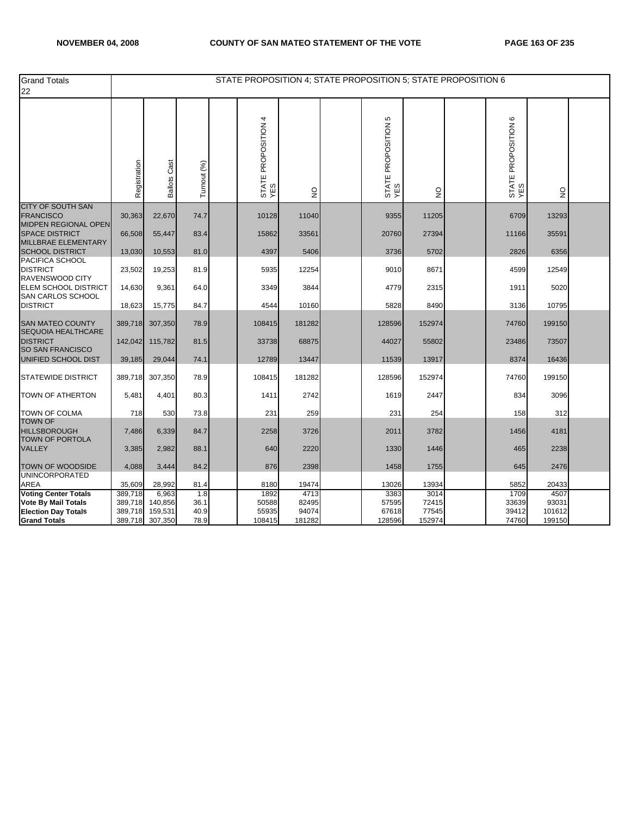| <b>Grand Totals</b><br>22                                       |                    |                        |              |                            |                 | STATE PROPOSITION 4; STATE PROPOSITION 5; STATE PROPOSITION 6 |                 |                            |                           |  |
|-----------------------------------------------------------------|--------------------|------------------------|--------------|----------------------------|-----------------|---------------------------------------------------------------|-----------------|----------------------------|---------------------------|--|
|                                                                 | Registration       | Cast<br><b>Ballots</b> | Turnout (%)  | STATE PROPOSITION 4<br>YES | $\frac{0}{2}$   | Ю<br>STATE PROPOSITION<br>YES                                 | $\frac{0}{2}$   | STATE PROPOSITION 6<br>YES | $\mathsf{S}^{\mathsf{O}}$ |  |
| <b>CITY OF SOUTH SAN</b><br><b>FRANCISCO</b>                    | 30,363             | 22,670                 | 74.7         | 10128                      | 11040           | 9355                                                          | 11205           | 6709                       | 13293                     |  |
| <b>MIDPEN REGIONAL OPEN</b><br><b>SPACE DISTRICT</b>            | 66,508             | 55,447                 | 83.4         | 15862                      | 33561           | 20760                                                         | 27394           | 11166                      | 35591                     |  |
| MILLBRAE ELEMENTARY<br><b>SCHOOL DISTRICT</b>                   | 13,030             | 10,553                 | 81.0         | 4397                       | 5406            | 3736                                                          | 5702            | 2826                       | 6356                      |  |
| PACIFICA SCHOOL<br><b>DISTRICT</b><br>RAVENSWOOD CITY           | 23,502             | 19,253                 | 81.9         | 5935                       | 12254           | 9010                                                          | 8671            | 4599                       | 12549                     |  |
| ELEM SCHOOL DISTRICT<br>SAN CARLOS SCHOOL                       | 14,630             | 9,361                  | 64.0         | 3349                       | 3844            | 4779                                                          | 2315            | 1911                       | 5020                      |  |
| <b>DISTRICT</b>                                                 | 18,623             | 15,775                 | 84.7         | 4544                       | 10160           | 5828                                                          | 8490            | 3136                       | 10795                     |  |
| <b>SAN MATEO COUNTY</b><br><b>SEQUOIA HEALTHCARE</b>            | 389,718            | 307,350                | 78.9         | 108415                     | 181282          | 128596                                                        | 152974          | 74760                      | 199150                    |  |
| <b>DISTRICT</b><br><b>SO SAN FRANCISCO</b>                      | 142,042            | 115,782                | 81.5         | 33738                      | 68875           | 44027                                                         | 55802           | 23486                      | 73507                     |  |
| UNIFIED SCHOOL DIST                                             | 39,185             | 29,044                 | 74.1         | 12789                      | 13447           | 11539                                                         | 13917           | 8374                       | 16436                     |  |
| <b>STATEWIDE DISTRICT</b>                                       | 389,718            | 307,350                | 78.9         | 108415                     | 181282          | 128596                                                        | 152974          | 74760                      | 199150                    |  |
| <b>TOWN OF ATHERTON</b>                                         | 5,481              | 4,401                  | 80.3         | 1411                       | 2742            | 1619                                                          | 2447            | 834                        | 3096                      |  |
| <b>TOWN OF COLMA</b>                                            | 718                | 530                    | 73.8         | 231                        | 259             | 231                                                           | 254             | 158                        | 312                       |  |
| <b>TOWN OF</b><br><b>HILLSBOROUGH</b><br><b>TOWN OF PORTOLA</b> | 7,486              | 6,339                  | 84.7         | 2258                       | 3726            | 2011                                                          | 3782            | 1456                       | 4181                      |  |
| <b>VALLEY</b>                                                   | 3,385              | 2,982                  | 88.1         | 640                        | 2220            | 1330                                                          | 1446            | 465                        | 2238                      |  |
| TOWN OF WOODSIDE                                                | 4,088              | 3,444                  | 84.2         | 876                        | 2398            | 1458                                                          | 1755            | 645                        | 2476                      |  |
| <b>UNINCORPORATED</b><br>AREA                                   | 35,609             | 28,992                 | 81.4         | 8180                       | 19474           | 13026                                                         | 13934           | 5852                       | 20433                     |  |
| <b>Voting Center Totals</b>                                     | 389,718            | 6,963                  | 1.8          | 1892                       | 4713            | 3383                                                          | 3014            | 1709                       | 4507                      |  |
| <b>Vote By Mail Totals</b>                                      | 389,718            | 140,856                | 36.1         | 50588                      | 82495           | 57595                                                         | 72415           | 33639                      | 93031                     |  |
| <b>Election Day Totals</b><br><b>Grand Totals</b>               | 389,718<br>389,718 | 159,531<br>307,350     | 40.9<br>78.9 | 55935<br>108415            | 94074<br>181282 | 67618<br>128596                                               | 77545<br>152974 | 39412<br>74760             | 101612<br>199150          |  |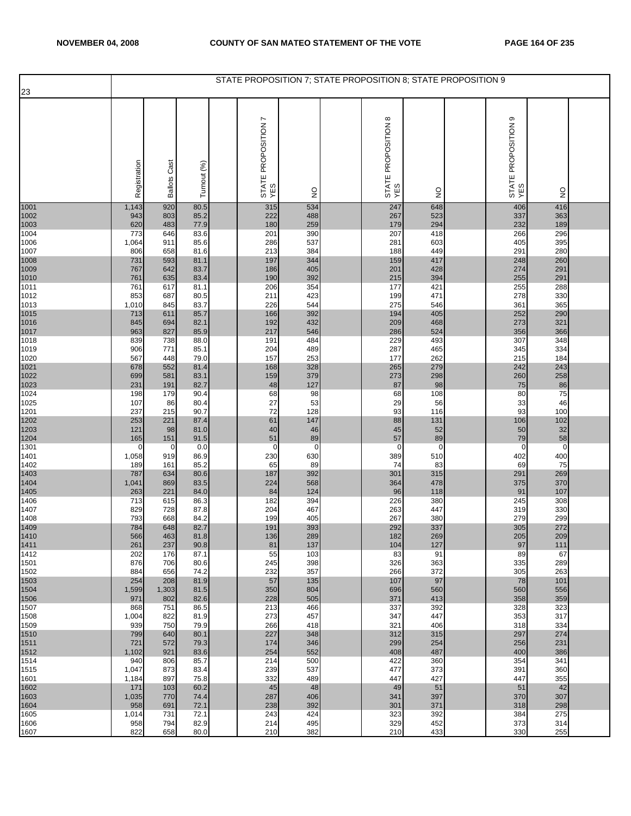| 23           |                       |                     |              | STATE PROPOSITION 7; STATE PROPOSITION 8; STATE PROPOSITION 9 |                   |                                      |                   |                               |                   |  |
|--------------|-----------------------|---------------------|--------------|---------------------------------------------------------------|-------------------|--------------------------------------|-------------------|-------------------------------|-------------------|--|
|              |                       |                     |              |                                                               |                   |                                      |                   |                               |                   |  |
|              | Registration          | <b>Ballots Cast</b> | Turnout (%)  | r<br>STATE PROPOSITION<br>YES                                 | $\frac{1}{2}$     | $\infty$<br>STATE PROPOSITION<br>YES | $\frac{0}{2}$     | ၜ<br>STATE PROPOSITION<br>YES | $\frac{0}{2}$     |  |
| 1001         | 1,143                 | 920                 | 80.5         | 315                                                           | 534               | 247                                  | 648               | 406                           | 416               |  |
| 1002<br>1003 | 943<br>620            | 803<br>483          | 85.2<br>77.9 | 222<br>180                                                    | 488<br>259        | 267<br>179                           | 523<br>294        | 337<br>232                    | 363<br>189        |  |
| 1004         | 773                   | 646                 | 83.6         | 201                                                           | 390               | 207                                  | 418               | 266                           | 296               |  |
| 1006         | 1,064                 | 911                 | 85.6         | 286                                                           | 537               | 281                                  | 603               | 405                           | 395<br>280        |  |
| 1007<br>1008 | 806<br>731            | 658<br>593          | 81.6<br>81.1 | 213<br>197                                                    | 384<br>344        | 188<br>159                           | 449<br>417        | 291<br>248                    | 260               |  |
| 1009         | 767                   | 642                 | 83.7         | 186                                                           | 405               | 201                                  | 428               | 274                           | 291               |  |
| 1010<br>1011 | 761<br>761            | 635<br>617          | 83.4<br>81.1 | 190<br>206                                                    | 392<br>354        | 215<br>177                           | 394<br>421        | 255<br>255                    | 291<br>288        |  |
| 1012         | 853                   | 687                 | 80.5         | 211                                                           | 423               | 199                                  | 471               | 278                           | 330               |  |
| 1013         | 1,010                 | 845                 | 83.7         | 226                                                           | 544               | 275                                  | 546               | 361                           | 365               |  |
| 1015<br>1016 | 713<br>845            | 611<br>694          | 85.7<br>82.1 | 166<br>192                                                    | 392<br>432        | 194<br>209                           | 405<br>468        | 252<br>273                    | 290<br>321        |  |
| 1017         | 963                   | 827                 | 85.9         | 217                                                           | 546               | 286                                  | 524               | 356                           | 366               |  |
| 1018         | 839                   | 738                 | 88.0         | 191                                                           | 484               | 229                                  | 493               | 307                           | 348               |  |
| 1019<br>1020 | 906<br>567            | 771<br>448          | 85.1<br>79.0 | 204<br>157                                                    | 489<br>253        | 287<br>177                           | 465<br>262        | 345<br>215                    | 334<br>184        |  |
| 1021         | 678                   | 552                 | 81.4         | 168                                                           | 328               | 265                                  | 279               | 242                           | 243               |  |
| 1022<br>1023 | 699<br>231            | 581<br>191          | 83.1<br>82.7 | 159<br>48                                                     | 379<br>127        | 273<br>87                            | 298<br>98         | 260<br>75                     | 258<br>86         |  |
| 1024         | 198                   | 179                 | 90.4         | 68                                                            | 98                | 68                                   | 108               | 80                            | 75                |  |
| 1025         | 107                   | 86                  | 80.4         | 27<br>72                                                      | 53<br>128         | 29<br>93                             | 56                | 33<br>93                      | 46<br>100         |  |
| 1201<br>1202 | 237<br>253            | 215<br>221          | 90.7<br>87.4 | 61                                                            | 147               | 88                                   | 116<br>131        | 106                           | 102               |  |
| 1203         | 121                   | 98                  | 81.0         | 40                                                            | 46                | 45                                   | 52                | 50                            | 32                |  |
| 1204<br>1301 | 165<br>$\overline{0}$ | 151<br>0            | 91.5<br>0.0  | 51<br>$\mathbf 0$                                             | 89<br>$\mathbf 0$ | 57<br>$\overline{0}$                 | 89<br>$\mathbf 0$ | 79<br>0                       | 58<br>$\mathbf 0$ |  |
| 1401         | 1,058                 | 919                 | 86.9         | 230                                                           | 630               | 389                                  | 510               | 402                           | 400               |  |
| 1402         | 189                   | 161                 | 85.2         | 65                                                            | 89                | 74                                   | 83                | 69                            | 75                |  |
| 1403<br>1404 | 787<br>1,041          | 634<br>869          | 80.6<br>83.5 | 187<br>224                                                    | 392<br>568        | 301<br>364                           | 315<br>478        | 291<br>375                    | 269<br>370        |  |
| 1405         | 263                   | 221                 | 84.0         | 84                                                            | 124               | 96                                   | 118               | 91                            | 107               |  |
| 1406<br>1407 | 713<br>829            | 615<br>728          | 86.3<br>87.8 | 182<br>204                                                    | 394<br>467        | 226<br>263                           | 380<br>447        | 245<br>319                    | 308<br>330        |  |
| 1408         | 793                   | 668                 | 84.2         | 199                                                           | 405               | 267                                  | 380               | 279                           | 299               |  |
| 1409<br>1410 | 784                   | 648                 | 82.7         | 191                                                           | 393               | 292                                  | 337               | 305                           | 272               |  |
| 1411         | 566<br>261            | 463<br>237          | 81.8<br>90.8 | 136<br>81                                                     | 289<br>137        | 182<br>104                           | 269<br>127        | 205<br>97                     | 209<br>111        |  |
| 1412         | 202                   | 176                 | 87.1         | 55                                                            | 103               | 83                                   | 91                | 89                            | 67                |  |
| 1501<br>1502 | 876<br>884            | 706<br>656          | 80.6<br>74.2 | 245<br>232                                                    | 398<br>357        | 326<br>266                           | 363<br>372        | 335<br>305                    | 289<br>263        |  |
| 1503         | 254                   | 208                 | 81.9         | 57                                                            | 135               | 107                                  | 97                | 78                            | 101               |  |
| 1504         | 1,599                 | 1,303               | 81.5         | 350                                                           | 804               | 696                                  | 560               | 560                           | 556               |  |
| 1506<br>1507 | 971<br>868            | 802<br>751          | 82.6<br>86.5 | 228<br>213                                                    | 505<br>466        | 371<br>337                           | 413<br>392        | 358<br>328                    | 359<br>323        |  |
| 1508         | 1,004                 | 822                 | 81.9         | 273                                                           | 457               | 347                                  | 447               | 353                           | 317               |  |
| 1509<br>1510 | 939<br>799            | 750<br>640          | 79.9<br>80.1 | 266<br>227                                                    | 418<br>348        | 321<br>312                           | 406<br>315        | 318<br>297                    | 334<br>274        |  |
| 1511         | 721                   | 572                 | 79.3         | 174                                                           | 346               | 299                                  | 254               | 256                           | 231               |  |
| 1512         | 1,102                 | 921                 | 83.6         | 254                                                           | 552               | 408                                  | 487               | 400                           | 386               |  |
| 1514<br>1515 | 940<br>1,047          | 806<br>873          | 85.7<br>83.4 | 214<br>239                                                    | 500<br>537        | 422<br>477                           | 360<br>373        | 354<br>391                    | 341<br>360        |  |
| 1601         | 1,184                 | 897                 | 75.8         | 332                                                           | 489               | 447                                  | 427               | 447                           | 355               |  |
| 1602<br>1603 | 171<br>1,035          | 103<br>770          | 60.2<br>74.4 | 45<br>287                                                     | 48<br>406         | 49<br>341                            | 51<br>397         | 51<br>370                     | 42<br>307         |  |
| 1604         | 958                   | 691                 | 72.1         | 238                                                           | 392               | 301                                  | 371               | 318                           | 298               |  |
| 1605         | 1,014                 | 731                 | 72.1         | 243                                                           | 424               | 323                                  | 392               | 384                           | 275               |  |
| 1606<br>1607 | 958<br>822            | 794<br>658          | 82.9<br>80.0 | 214<br>210                                                    | 495<br>382        | 329<br>210                           | 452<br>433        | 373<br>330                    | 314<br>255        |  |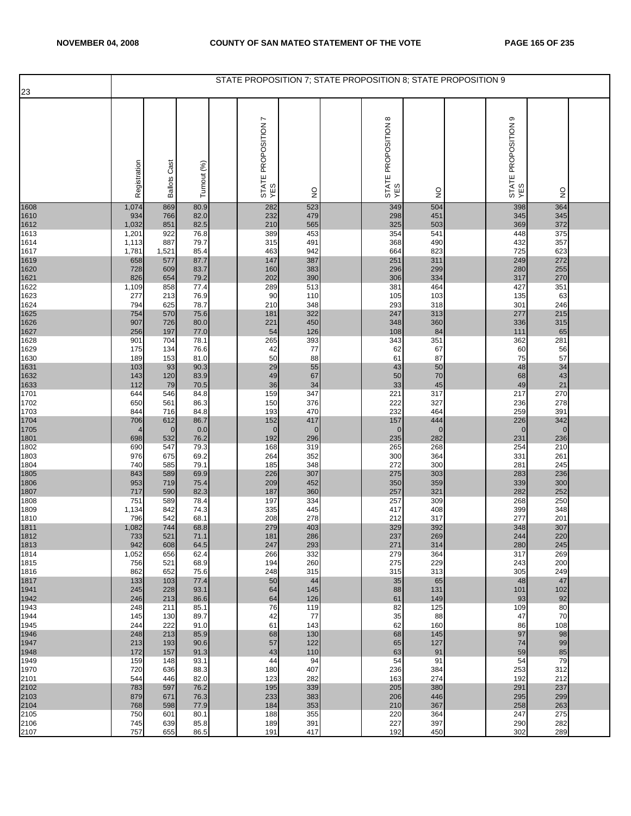| 23           |              |                     |              | STATE PROPOSITION 7; STATE PROPOSITION 8; STATE PROPOSITION 9 |               |                                      |               |                               |               |  |
|--------------|--------------|---------------------|--------------|---------------------------------------------------------------|---------------|--------------------------------------|---------------|-------------------------------|---------------|--|
|              |              |                     |              |                                                               |               |                                      |               |                               |               |  |
|              | Registration | <b>Ballots Cast</b> | Turnout (%)  | Ņ<br>STATE PROPOSITION<br>YES                                 | $\frac{0}{2}$ | $\infty$<br>STATE PROPOSITION<br>YES | $\frac{1}{2}$ | თ<br>STATE PROPOSITION<br>YES | $\frac{0}{2}$ |  |
| 1608         | 1,074        | 869                 | 80.9         | 282                                                           | 523           | 349                                  | 504           | 398                           | 364           |  |
| 1610<br>1612 | 934<br>1,032 | 766<br>851          | 82.0<br>82.5 | 232<br>210                                                    | 479<br>565    | 298<br>325                           | 451<br>503    | 345<br>369                    | 345<br>372    |  |
| 1613         | 1,201        | 922                 | 76.8         | 389                                                           | 453           | 354                                  | 541           | 448                           | 375           |  |
| 1614         | 1,113        | 887                 | 79.7         | 315                                                           | 491           | 368                                  | 490<br>823    | 432                           | 357<br>623    |  |
| 1617<br>1619 | 1,781<br>658 | 1,521<br>577        | 85.4<br>87.7 | 463<br>147                                                    | 942<br>387    | 664<br>251                           | 311           | 725<br>249                    | 272           |  |
| 1620         | 728          | 609                 | 83.7         | 160                                                           | 383           | 296                                  | 299           | 280                           | 255           |  |
| 1621<br>1622 | 826<br>1,109 | 654<br>858          | 79.2<br>77.4 | 202<br>289                                                    | 390<br>513    | 306<br>381                           | 334<br>464    | 317<br>427                    | 270<br>351    |  |
| 1623         | 277          | 213                 | 76.9         | 90                                                            | 110           | 105                                  | 103           | 135                           | 63            |  |
| 1624         | 794          | 625                 | 78.7         | 210                                                           | 348           | 293                                  | 318           | 301                           | 246           |  |
| 1625<br>1626 | 754<br>907   | 570<br>726          | 75.6<br>80.0 | 181<br>221                                                    | 322<br>450    | 247<br>348                           | 313<br>360    | 277<br>336                    | 215<br>315    |  |
| 1627         | 256          | 197                 | 77.0         | 54                                                            | 126           | 108                                  | 84            | 111                           | 65            |  |
| 1628<br>1629 | 901<br>175   | 704<br>134          | 78.1<br>76.6 | 265<br>42                                                     | 393<br>77     | 343<br>62                            | 351<br>67     | 362<br>60                     | 281<br>56     |  |
| 1630         | 189          | 153                 | 81.0         | 50                                                            | 88            | 61                                   | 87            | 75                            | 57            |  |
| 1631         | 103          | 93                  | 90.3         | 29                                                            | 55            | 43                                   | 50            | 48                            | 34            |  |
| 1632<br>1633 | 143<br>112   | 120<br>79           | 83.9<br>70.5 | 49<br>36                                                      | 67<br>34      | 50<br>33                             | 70<br>45      | 68<br>49                      | 43<br>21      |  |
| 1701         | 644          | 546                 | 84.8         | 159                                                           | 347           | 221                                  | 317           | 217                           | 270           |  |
| 1702<br>1703 | 650<br>844   | 561<br>716          | 86.3<br>84.8 | 150<br>193                                                    | 376<br>470    | 222<br>232                           | 327<br>464    | 236<br>259                    | 278<br>391    |  |
| 1704         | 706          | 612                 | 86.7         | 152                                                           | 417           | 157                                  | 444           | 226                           | 342           |  |
| 1705         |              | $\mathbf 0$         | 0.0          | $\mathbf{0}$                                                  | $\mathbf 0$   | $\mathbf 0$                          | $\mathbf 0$   | $\mathbf 0$                   | $\mathbf 0$   |  |
| 1801<br>1802 | 698<br>690   | 532<br>547          | 76.2<br>79.3 | 192<br>168                                                    | 296<br>319    | 235<br>265                           | 282<br>268    | 231<br>254                    | 236<br>210    |  |
| 1803         | 976          | 675                 | 69.2         | 264                                                           | 352           | 300                                  | 364           | 331                           | 261           |  |
| 1804<br>1805 | 740<br>843   | 585<br>589          | 79.1<br>69.9 | 185<br>226                                                    | 348<br>307    | 272<br>275                           | 300<br>303    | 281<br>283                    | 245<br>236    |  |
| 1806         | 953          | 719                 | 75.4         | 209                                                           | 452           | 350                                  | 359           | 339                           | 300           |  |
| 1807<br>1808 | 717<br>751   | 590<br>589          | 82.3<br>78.4 | 187<br>197                                                    | 360<br>334    | 257<br>257                           | 321<br>309    | 282<br>268                    | 252<br>250    |  |
| 1809         | 1,134        | 842                 | 74.3         | 335                                                           | 445           | 417                                  | 408           | 399                           | 348           |  |
| 1810         | 796          | 542                 | 68.1         | 208                                                           | 278           | 212                                  | 317           | 277                           | 201           |  |
| 1811<br>1812 | 1,082<br>733 | 744<br>521          | 68.8<br>71.1 | 279<br>181                                                    | 403<br>286    | 329<br>237                           | 392<br>269    | 348<br>244                    | 307<br>220    |  |
| 1813         | 942          | 608                 | 64.5         | 247                                                           | 293           | 271                                  | 314           | 280                           | 245           |  |
| 1814<br>1815 | 1,052<br>756 | 656<br>521          | 62.4<br>68.9 | 266<br>194                                                    | 332<br>260    | 279<br>275                           | 364<br>229    | 317<br>243                    | 269<br>200    |  |
| 1816         | 862          | 652                 | 75.6         | 248                                                           | 315           | 315                                  | 313           | 305                           | 249           |  |
| 1817         | 133          | 103                 | 77.4         | 50                                                            | 44            | 35                                   | 65            | 48                            | 47            |  |
| 1941<br>1942 | 245<br>246   | 228<br>213          | 93.1<br>86.6 | 64<br>64                                                      | 145<br>126    | 88<br>61                             | 131<br>149    | 101<br>93                     | 102<br>92     |  |
| 1943         | 248          | 211                 | 85.1         | 76                                                            | 119           | 82                                   | 125           | 109                           | 80            |  |
| 1944<br>1945 | 145<br>244   | 130<br>222          | 89.7<br>91.0 | 42<br>61                                                      | 77<br>143     | 35<br>62                             | 88<br>160     | 47<br>86                      | 70<br>108     |  |
| 1946         | 248          | 213                 | 85.9         | 68                                                            | 130           | 68                                   | 145           | 97                            | 98            |  |
| 1947<br>1948 | 213<br>172   | 193<br>157          | 90.6<br>91.3 | 57<br>43                                                      | 122<br>110    | 65<br>63                             | 127<br>91     | 74<br>59                      | 99<br>85      |  |
| 1949         | 159          | 148                 | 93.1         | 44                                                            | 94            | 54                                   | 91            | 54                            | 79            |  |
| 1970         | 720          | 636                 | 88.3         | 180                                                           | 407           | 236                                  | 384           | 253                           | 312           |  |
| 2101         | 544<br>783   | 446<br>597          | 82.0<br>76.2 | 123<br>195                                                    | 282<br>339    | 163<br>205                           | 274<br>380    | 192<br>291                    | 212<br>237    |  |
| 2102<br>2103 | 879          | 671                 | 76.3         | 233                                                           | 383           | 206                                  | 446           | 295                           | 299           |  |
| 2104<br>2105 | 768<br>750   | 598<br>601          | 77.9<br>80.1 | 184<br>188                                                    | 353<br>355    | 210<br>220                           | 367<br>364    | 258<br>247                    | 263<br>275    |  |
| 2106         | 745          | 639                 | 85.8         | 189                                                           | 391           | 227                                  | 397           | 290                           | 282           |  |
| 2107         | 757          | 655                 | 86.5         | 191                                                           | 417           | 192                                  | 450           | 302                           | 289           |  |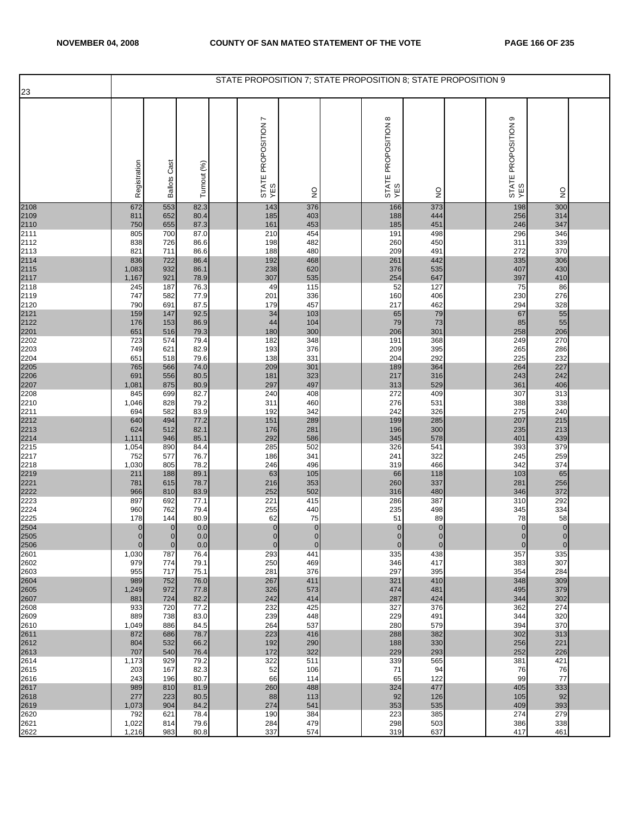|              |                         |                        |                 | STATE PROPOSITION 7; STATE PROPOSITION 8; STATE PROPOSITION 9 |                    |                                      |                    |                               |                     |  |
|--------------|-------------------------|------------------------|-----------------|---------------------------------------------------------------|--------------------|--------------------------------------|--------------------|-------------------------------|---------------------|--|
| 23           |                         |                        |                 |                                                               |                    |                                      |                    |                               |                     |  |
|              | Registration            | Cast<br><b>Ballots</b> | Turnout (%)     | L<br>STATE PROPOSITION<br>YES                                 | $\frac{0}{2}$      | $\infty$<br>STATE PROPOSITION<br>YES | g                  | თ<br>STATE PROPOSITION<br>YES | $\frac{0}{2}$       |  |
| 2108         | 672                     | 553                    | 82.3            | 143                                                           | 376                | 166                                  | 373                | 198                           | 300                 |  |
| 2109         | 811<br>750              | 652<br>655             | 80.4<br>87.3    | 185<br>161                                                    | 403<br>453         | 188<br>185                           | 444<br>451         | 256<br>246                    | 314<br>347          |  |
| 2110<br>2111 | 805                     | 700                    | 87.0            | 210                                                           | 454                | 191                                  | 498                | 296                           | 346                 |  |
| 2112<br>2113 | 838<br>821              | 726<br>711             | 86.6<br>86.6    | 198<br>188                                                    | 482<br>480         | 260<br>209                           | 450<br>491         | 311<br>272                    | 339<br>370          |  |
| 2114         | 836                     | 722                    | 86.4            | 192                                                           | 468                | 261                                  | 442                | 335                           | 306                 |  |
| 2115         | 1,083<br>1,167          | 932<br>921             | 86.1<br>78.9    | 238<br>307                                                    | 620<br>535         | 376<br>254                           | 535<br>647         | 407<br>397                    | 430<br>410          |  |
| 2117<br>2118 | 245                     | 187                    | 76.3            | 49                                                            | 115                | 52                                   | 127                | 75                            | 86                  |  |
| 2119         | 747                     | 582                    | 77.9            | 201                                                           | 336                | 160                                  | 406                | 230                           | 276                 |  |
| 2120<br>2121 | 790<br>159              | 691<br>147             | 87.5<br>92.5    | 179<br>34                                                     | 457<br>103         | 217<br>65                            | 462<br>79          | 294<br>67                     | 328<br>55           |  |
| 2122         | 176                     | 153                    | 86.9            | 44                                                            | 104                | 79                                   | 73                 | 85                            | 55                  |  |
| 2201<br>2202 | 651<br>723              | 516<br>574             | 79.3<br>79.4    | 180<br>182                                                    | 300<br>348         | 206<br>191                           | 301<br>368         | 258<br>249                    | 206<br>270          |  |
| 2203         | 749                     | 621                    | 82.9            | 193                                                           | 376                | 209                                  | 395                | 265                           | 286                 |  |
| 2204<br>2205 | 651<br>765              | 518<br>566             | 79.6<br>74.0    | 138<br>209                                                    | 331<br>301         | 204<br>189                           | 292<br>364         | 225<br>264                    | 232<br>227          |  |
| 2206         | 691                     | 556                    | 80.5            | 181                                                           | 323                | 217                                  | 316                | 243                           | 242                 |  |
| 2207<br>2208 | 1,081<br>845            | 875<br>699             | 80.9<br>82.7    | 297<br>240                                                    | 497<br>408         | 313<br>272                           | 529<br>409         | 361<br>307                    | 406<br>313          |  |
| 2210         | 1,046                   | 828                    | 79.2            | 311                                                           | 460                | 276                                  | 531                | 388                           | 338                 |  |
| 2211<br>2212 | 694<br>640              | 582<br>494             | 83.9<br>77.2    | 192<br>151                                                    | 342<br>289         | 242<br>199                           | 326<br>285         | 275<br>207                    | 240<br>215          |  |
| 2213         | 624                     | 512                    | 82.1            | 176                                                           | 281                | 196                                  | 300                | 235                           | 213                 |  |
| 2214<br>2215 | 1,111<br>1,054          | 946<br>890             | 85.1<br>84.4    | 292<br>285                                                    | 586<br>502         | 345<br>326                           | 578<br>541         | 401<br>393                    | 439<br>379          |  |
| 2217         | 752                     | 577                    | 76.7            | 186                                                           | 341                | 241                                  | 322                | 245                           | 259                 |  |
| 2218<br>2219 | 1,030<br>211            | 805<br>188             | 78.2<br>89.1    | 246<br>63                                                     | 496<br>105         | 319<br>66                            | 466<br>118         | 342<br>103                    | 374<br>65           |  |
| 2221         | 781                     | 615                    | 78.7            | 216                                                           | 353                | 260                                  | 337                | 281                           | 256                 |  |
| 2222<br>2223 | 966<br>897              | 810<br>692             | 83.9<br>77.1    | 252<br>221                                                    | 502<br>415         | 316<br>286                           | 480<br>387         | 346<br>310                    | 372<br>292          |  |
| 2224         | 960                     | 762                    | 79.4            | 255                                                           | 440                | 235                                  | 498                | 345                           | 334                 |  |
| 2225         | 178<br>$\mathbf{0}$     | 144<br>$\mathbf{0}$    | 80.9<br>$0.0\,$ | 62<br>$\pmb{0}$                                               | 75<br>$\mathbf 0$  | 51<br>$\pmb{0}$                      | 89<br>$\bf 0$      | 78<br>$\overline{0}$          | 58<br>$\pmb{0}$     |  |
| 2504<br>2505 | $\overline{0}$          | $\overline{0}$         | 0.0             | $\overline{0}$                                                | $\overline{0}$     | $\overline{0}$                       | $\overline{0}$     | $\overline{0}$                | $\overline{0}$      |  |
| 2506<br>2601 | $\overline{0}$<br>1,030 | $\pmb{0}$<br>787       | 0.0<br>76.4     | $\mathbf{0}$<br>293                                           | $\mathbf 0$<br>441 | $\mathbf 0$<br>335                   | $\mathbf 0$<br>438 | $\mathbf 0$<br>357            | $\mathbf{0}$<br>335 |  |
| 2602         | 979                     | 774                    | 79.1            | 250                                                           | 469                | 346                                  | 417                | 383                           | 307                 |  |
| 2603<br>2604 | 955<br>989              | 717<br>752             | 75.1<br>76.0    | 281<br>267                                                    | 376<br>411         | 297<br>321                           | 395<br>410         | 354<br>348                    | 284<br>309          |  |
| 2605         | 1,249                   | 972                    | 77.8            | 326                                                           | 573                | 474                                  | 481                | 495                           | 379                 |  |
| 2607<br>2608 | 881<br>933              | 724<br>720             | 82.2<br>77.2    | 242<br>232                                                    | 414<br>425         | 287<br>327                           | 424<br>376         | 344<br>362                    | 302<br>274          |  |
| 2609         | 889                     | 738                    | 83.0            | 239                                                           | 448                | 229                                  | 491                | 344                           | 320                 |  |
| 2610<br>2611 | 1,049<br>872            | 886<br>686             | 84.5<br>78.7    | 264<br>223                                                    | 537<br>416         | 280<br>288                           | 579<br>382         | 394<br>302                    | 370<br>313          |  |
| 2612<br>2613 | 804<br>707              | 532<br>540             | 66.2<br>76.4    | 192<br>172                                                    | 290<br>322         | 188<br>229                           | 330<br>293         | 256<br>252                    | 221<br>226          |  |
| 2614         | 1,173                   | 929                    | 79.2            | 322                                                           | 511                | 339                                  | 565                | 381                           | 421                 |  |
| 2615<br>2616 | 203<br>243              | 167<br>196             | 82.3<br>80.7    | 52<br>66                                                      | 106<br>114         | 71<br>65                             | 94<br>122          | 76<br>99                      | 76<br>77            |  |
| 2617         | 989                     | 810                    | 81.9            | 260                                                           | 488                | 324                                  | 477                | 405                           | 333                 |  |
| 2618<br>2619 | 277<br>1,073            | 223<br>904             | 80.5<br>84.2    | 88<br>274                                                     | 113<br>541         | 92<br>353                            | 126<br>535         | 105<br>409                    | 92<br>393           |  |
| 2620         | 792                     | 621                    | 78.4            | 190                                                           | 384                | 223                                  | 385                | 274                           | 279                 |  |
| 2621<br>2622 | 1,022<br>1,216          | 814<br>983             | 79.6<br>80.8    | 284<br>337                                                    | 479<br>574         | 298<br>319                           | 503<br>637         | 386<br>417                    | 338<br>461          |  |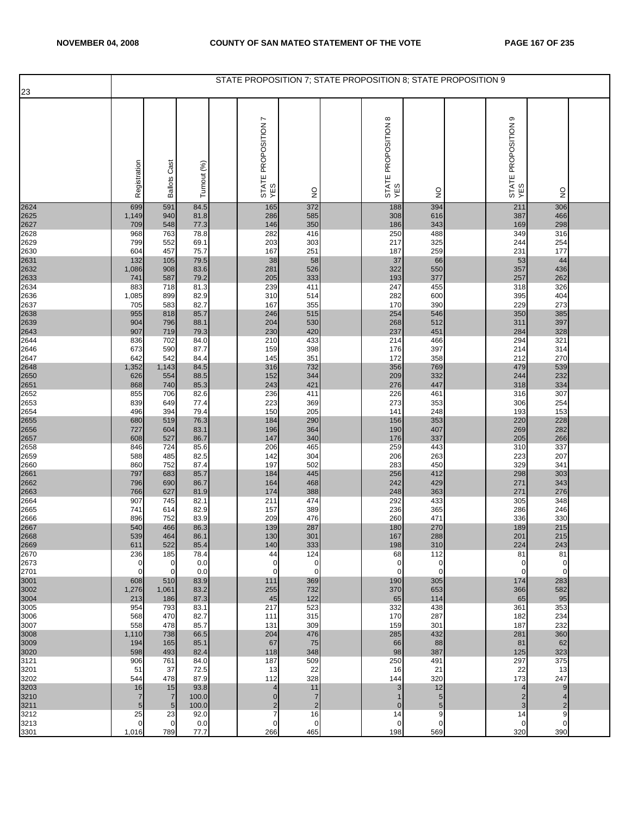|              |                      |                       |               | STATE PROPOSITION 7; STATE PROPOSITION 8; STATE PROPOSITION 9 |                      |                                      |                    |                               |                     |  |
|--------------|----------------------|-----------------------|---------------|---------------------------------------------------------------|----------------------|--------------------------------------|--------------------|-------------------------------|---------------------|--|
| 23           |                      |                       |               |                                                               |                      |                                      |                    |                               |                     |  |
|              | Registration         | <b>Ballots Cast</b>   | Turnout (%)   | r<br>STATE PROPOSITION<br>YES                                 | $\frac{1}{2}$        | $\infty$<br>STATE PROPOSITION<br>YES | $\frac{0}{2}$      | ၜ<br>STATE PROPOSITION<br>YES | $\frac{0}{2}$       |  |
| 2624         | 699                  | 591                   | 84.5          | 165                                                           | 372                  | 188                                  | 394                | 211                           | 306                 |  |
| 2625<br>2627 | 1,149<br>709         | 940<br>548            | 81.8<br>77.3  | 286<br>146                                                    | 585<br>350           | 308<br>186                           | 616<br>343         | 387<br>169                    | 466<br>298          |  |
| 2628         | 968                  | 763                   | 78.8          | 282                                                           | 416                  | 250                                  | 488                | 349                           | 316                 |  |
| 2629         | 799                  | 552                   | 69.1          | 203                                                           | 303                  | 217                                  | 325                | 244                           | 254                 |  |
| 2630         | 604                  | 457                   | 75.7          | 167                                                           | 251                  | 187                                  | 259                | 231                           | 177                 |  |
| 2631<br>2632 | 132<br>1,086         | 105<br>908            | 79.5<br>83.6  | 38<br>281                                                     | 58<br>526            | 37<br>322                            | 66<br>550          | 53<br>357                     | 44<br>436           |  |
| 2633         | 741                  | 587                   | 79.2          | 205                                                           | 333                  | 193                                  | 377                | 257                           | 262                 |  |
| 2634         | 883                  | 718<br>899            | 81.3          | 239                                                           | 411                  | 247                                  | 455                | 318                           | 326<br>404          |  |
| 2636<br>2637 | 1,085<br>705         | 583                   | 82.9<br>82.7  | 310<br>167                                                    | 514<br>355           | 282<br>170                           | 600<br>390         | 395<br>229                    | 273                 |  |
| 2638         | 955                  | 818                   | 85.7          | 246                                                           | 515                  | 254                                  | 546                | 350                           | 385                 |  |
| 2639<br>2643 | 904                  | 796                   | 88.1          | 204                                                           | 530                  | 268                                  | 512                | 311                           | 397                 |  |
| 2644         | 907<br>836           | 719<br>702            | 79.3<br>84.0  | 230<br>210                                                    | 420<br>433           | 237<br>214                           | 451<br>466         | 284<br>294                    | 328<br>321          |  |
| 2646         | 673                  | 590                   | 87.7          | 159                                                           | 398                  | 176                                  | 397                | 214                           | 314                 |  |
| 2647         | 642                  | 542                   | 84.4          | 145                                                           | 351                  | 172                                  | 358                | 212                           | 270                 |  |
| 2648<br>2650 | 1,352<br>626         | 1,143<br>554          | 84.5<br>88.5  | 316<br>152                                                    | 732<br>344           | 356<br>209                           | 769<br>332         | 479<br>244                    | 539<br>232          |  |
| 2651         | 868                  | 740                   | 85.3          | 243                                                           | 421                  | 276                                  | 447                | 318                           | 334                 |  |
| 2652         | 855                  | 706                   | 82.6<br>77.4  | 236<br>223                                                    | 411<br>369           | 226<br>273                           | 461<br>353         | 316                           | 307<br>254          |  |
| 2653<br>2654 | 839<br>496           | 649<br>394            | 79.4          | 150                                                           | 205                  | 141                                  | 248                | 306<br>193                    | 153                 |  |
| 2655         | 680                  | 519                   | 76.3          | 184                                                           | 290                  | 156                                  | 353                | 220                           | 228                 |  |
| 2656<br>2657 | 727<br>608           | 604<br>527            | 83.1<br>86.7  | 196<br>147                                                    | 364<br>340           | 190<br>176                           | 407<br>337         | 269<br>205                    | 282<br>266          |  |
| 2658         | 846                  | 724                   | 85.6          | 206                                                           | 465                  | 259                                  | 443                | 310                           | 337                 |  |
| 2659         | 588                  | 485                   | 82.5          | 142                                                           | 304                  | 206                                  | 263                | 223                           | 207                 |  |
| 2660<br>2661 | 860<br>797           | 752<br>683            | 87.4<br>85.7  | 197<br>184                                                    | 502<br>445           | 283<br>256                           | 450<br>412         | 329<br>298                    | 341<br>303          |  |
| 2662         | 796                  | 690                   | 86.7          | 164                                                           | 468                  | 242                                  | 429                | 271                           | 343                 |  |
| 2663         | 766                  | 627                   | 81.9          | 174                                                           | 388                  | 248                                  | 363                | 271                           | 276                 |  |
| 2664<br>2665 | 907<br>741           | 745<br>614            | 82.1<br>82.9  | 211<br>157                                                    | 474<br>389           | 292<br>236                           | 433<br>365         | 305<br>286                    | 348<br>246          |  |
| 2666         | 896                  | 752                   | 83.9          | 209                                                           | 476                  | 260                                  | 471                | 336                           | 330                 |  |
| 2667<br>2668 | 540                  | 466                   | 86.3          | 139                                                           | 287                  | 180                                  | 270                | 189                           | 215                 |  |
| 2669         | 539<br>611           | 464<br>522            | 86.1<br>85.4  | 130 <sup>°</sup><br>140                                       | 301<br>333           | 167<br>198                           | 288<br>310         | 201<br>224                    | 215<br>243          |  |
| 2670         | 236                  | 185                   | 78.4          | 44                                                            | 124                  | 68                                   | 112                | 81                            | 81                  |  |
| 2673         | $\mathbf 0$          | $\mathbf 0$           | 0.0           | 0                                                             | $\mathbf 0$          | 0                                    | $\mathbf 0$        | 0                             | 0                   |  |
| 2701<br>3001 | $\mathbf{0}$<br>608  | $\mathbf 0$<br>510    | 0.0<br>83.9   | $\mathbf 0$<br>111                                            | $\mathbf 0$<br>369   | $\mathbf 0$<br>190                   | $\mathbf 0$<br>305 | $\mathbf{O}$<br>174           | $\mathbf 0$<br>283  |  |
| 3002         | 1,276                | 1,061                 | 83.2          | 255                                                           | 732                  | 370                                  | 653                | 366                           | 582                 |  |
| 3004         | 213                  | 186                   | 87.3          | 45                                                            | 122                  | 65                                   | 114                | 65                            | 95                  |  |
| 3005<br>3006 | 954<br>568           | 793<br>470            | 83.1<br>82.7  | 217<br>111                                                    | 523<br>315           | 332<br>170                           | 438<br>287         | 361<br>182                    | 353<br>234          |  |
| 3007         | 558                  | 478                   | 85.7          | 131                                                           | 309                  | 159                                  | 301                | 187                           | 232                 |  |
| 3008         | 1,110<br>194         | 738<br>165            | 66.5<br>85.1  | 204<br>67                                                     | 476                  | 285                                  | 432<br>88          | 281                           | 360                 |  |
| 3009<br>3020 | 598                  | 493                   | 82.4          | 118                                                           | 75<br>348            | 66<br>98                             | 387                | 81<br>125                     | 62<br>323           |  |
| 3121         | 906                  | 761                   | 84.0          | 187                                                           | 509                  | 250                                  | 491                | 297                           | 375                 |  |
| 3201<br>3202 | 51<br>544            | 37<br>478             | 72.5<br>87.9  | 13<br>112                                                     | 22<br>328            | 16<br>144                            | 21<br>320          | 22<br>173                     | 13<br>247           |  |
|              | 16                   | 15                    | 93.8          | 4                                                             | 11                   | 3                                    | 12                 | 4                             | 9                   |  |
| 3203<br>3210 | $\overline{7}$       | $\overline{7}$        | 100.0         | $\mathbf{0}$                                                  | $\overline{7}$       | $\mathbf 1$                          | 5                  | $\overline{c}$                | 4                   |  |
| 3211<br>3212 | $\overline{5}$<br>25 | $5\phantom{.0}$<br>23 | 100.0<br>92.0 | $\overline{\mathbf{c}}$<br>7                                  | $\overline{2}$<br>16 | $\mathbf 0$<br>14                    | 5<br>9             | 3<br>14                       | $\overline{2}$<br>9 |  |
| 3213         | $\mathbf{0}$         | $\mathbf 0$           | 0.0           | $\mathbf 0$                                                   | 0                    | 0                                    | $\mathbf 0$        | $\mathbf 0$                   | 0                   |  |
| 3301         | 1,016                | 789                   | 77.7          | 266                                                           | 465                  | 198                                  | 569                | 320                           | 390                 |  |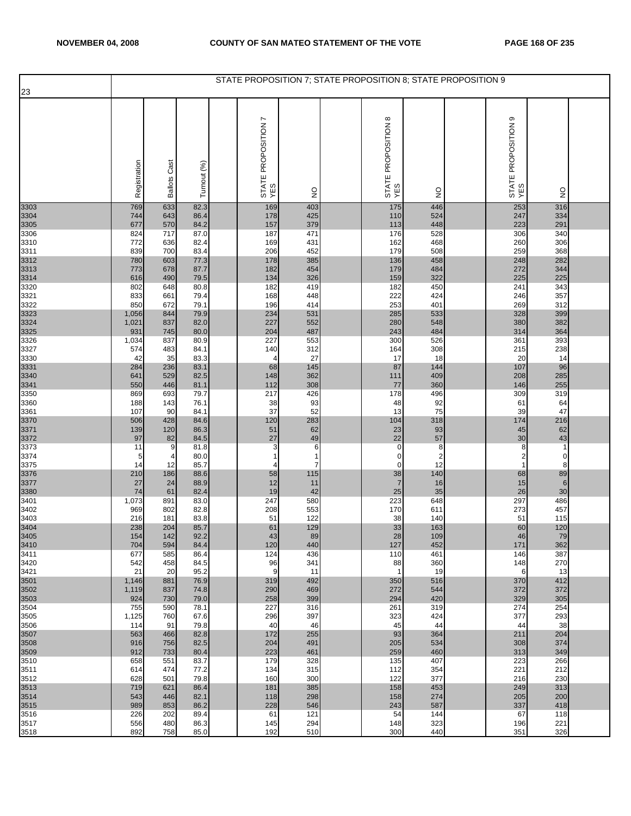| ၜ<br>$\infty$<br>r<br>STATE PROPOSITION<br>YES<br>STATE PROPOSITION<br>YES<br>STATE PROPOSITION<br>YES<br>Registration<br><b>Ballots Cast</b><br>Turnout (%)<br>$\frac{0}{2}$<br>$\frac{1}{2}$<br>$\frac{0}{2}$<br>3303<br>169<br>446<br>253<br>769<br>633<br>82.3<br>403<br>175<br>316<br>425<br>524<br>247<br>334<br>3304<br>744<br>643<br>86.4<br>178<br>110<br>3305<br>379<br>291<br>570<br>84.2<br>157<br>113<br>448<br>223<br>677<br>3306<br>717<br>87.0<br>187<br>471<br>176<br>528<br>306<br>340<br>824<br>3310<br>82.4<br>431<br>468<br>306<br>772<br>636<br>169<br>162<br>260<br>3311<br>179<br>368<br>839<br>83.4<br>206<br>452<br>508<br>259<br>700<br>3312<br>282<br>780<br>603<br>77.3<br>178<br>385<br>136<br>458<br>248<br>3313<br>484<br>272<br>344<br>773<br>678<br>87.7<br>182<br>454<br>179<br>322<br>225<br>326<br>3314<br>490<br>79.5<br>134<br>159<br>225<br>616<br>3320<br>343<br>80.8<br>450<br>802<br>648<br>182<br>419<br>182<br>241<br>3321<br>661<br>79.4<br>168<br>448<br>222<br>424<br>246<br>357<br>833<br>3322<br>850<br>672<br>79.1<br>196<br>253<br>401<br>269<br>312<br>414<br>3323<br>3324<br>3325<br>234<br>531<br>285<br>533<br>328<br>399<br>1,056<br>844<br>79.9<br>382<br>837<br>82.0<br>227<br>552<br>280<br>548<br>380<br>1,021<br>204<br>487<br>243<br>484<br>314<br>364<br>931<br>745<br>80.0<br>3326<br>393<br>837<br>80.9<br>227<br>553<br>300<br>526<br>361<br>1,034<br>3327<br>312<br>308<br>215<br>238<br>574<br>483<br>84.1<br>140<br>164<br>27<br>18<br>3330<br>35<br>83.3<br>20<br>14<br>42<br>17<br>4<br>96<br>83.1<br>145<br>144<br>3331<br>3340<br>284<br>236<br>68<br>87<br>107<br>362<br>409<br>285<br>529<br>82.5<br>208<br>641<br>148<br>111<br>255<br>3341<br>3350<br>446<br>112<br>308<br>77<br>360<br>550<br>81.1<br>146<br>319<br>693<br>79.7<br>217<br>426<br>178<br>496<br>309<br>869<br>3360<br>143<br>93<br>48<br>92<br>188<br>76.1<br>38<br>61<br>64<br>75<br>3361<br>37<br>52<br>13<br>47<br>107<br>90<br>39<br>84.1<br>3370<br>3371<br>84.6<br>120<br>283<br>104<br>318<br>216<br>506<br>428<br>174<br>51<br>62<br>93<br>62<br>139<br>120<br>86.3<br>23<br>45<br>43<br>3372<br>27<br>22<br>57<br>97<br>84.5<br>49<br>30<br>82<br>$\pmb{0}$<br>81.8<br>3<br>6<br>8<br>$\overline{1}$<br>11<br>9<br>8<br>3374<br>80.0<br>$\mathbf 0$<br>$\overline{\mathbf{c}}$<br>2<br>5<br>4<br>$\mathbf{1}$<br>1<br>0<br>12<br>3375<br>85.7<br>8<br>14<br>12<br>7<br>0<br>1<br>4<br>3376<br>89<br>210<br>186<br>140<br>88.6<br>58<br>115<br>38<br>68<br>3377<br>88.9<br>$\overline{7}$<br>$6\phantom{1}$<br>24<br>12<br>11<br>16<br>15<br>27<br>30<br>3380<br>74<br>19<br>42<br>25<br>35<br>26<br>61<br>82.4<br>486<br>247<br>223<br>648<br>297<br>3401<br>1,073<br>891<br>83.0<br>580<br>553<br>457<br>3402<br>969<br>802<br>82.8<br>208<br>170<br>611<br>273<br>122<br>3403<br>216<br>83.8<br>51<br>38<br>140<br>51<br>115<br>181<br>3404<br>3405<br>238<br>204<br>85.7<br>61<br>129<br>33<br>163<br>120<br>60<br>142<br>92.2<br>43<br>89<br>28<br>109<br>46<br>79<br>154<br>362<br>704<br>594<br>84.4<br>120<br>440<br>127<br>452<br>171<br>3411<br>124<br>387<br>585<br>86.4<br>436<br>110<br>461<br>677<br>146<br>3420<br>458<br>84.5<br>96<br>341<br>88<br>360<br>270<br>542<br>148<br>3421<br>9<br>19<br>13<br>21<br>20<br>95.2<br>11<br>$\mathbf{1}$<br>6<br>412<br>3501<br>1,146<br>881<br>76.9<br>319<br>492<br>350<br>516<br>370<br>372<br>3502<br>837<br>74.8<br>290<br>469<br>272<br>544<br>372<br>1,119<br>3503<br>730<br>79.0<br>258<br>399<br>294<br>420<br>329<br>305<br>924<br>227<br>319<br>254<br>3504<br>755<br>590<br>78.1<br>316<br>261<br>274<br>397<br>293<br>3505<br>1,125<br>760<br>67.6<br>296<br>323<br>424<br>377<br>40<br>38<br>3506<br>91<br>79.8<br>46<br>45<br>44<br>114<br>44<br>3507<br>255<br>364<br>204<br>563<br>466<br>82.8<br>172<br>93<br>211<br>534<br>3508<br>916<br>756<br>82.5<br>204<br>491<br>205<br>308<br>374<br>3509<br>223<br>460<br>349<br>912<br>733<br>80.4<br>461<br>259<br>313<br>3510<br>179<br>328<br>407<br>223<br>266<br>658<br>551<br>83.7<br>135<br>3511<br>474<br>77.2<br>134<br>354<br>221<br>212<br>315<br>112<br>614<br>3512<br>501<br>79.8<br>160<br>300<br>122<br>377<br>230<br>628<br>216<br>3513<br>719<br>621<br>86.4<br>181<br>385<br>158<br>453<br>249<br>313<br>3514<br>298<br>274<br>205<br>200<br>543<br>446<br>82.1<br>118<br>158<br>3515<br>989<br>853<br>86.2<br>228<br>546<br>243<br>587<br>337<br>418<br>3516<br>121<br>226<br>202<br>89.4<br>61<br>54<br>144<br>67<br>118<br>86.3<br>294<br>323<br>221<br>3517<br>556<br>480<br>145<br>148<br>196<br>326<br>892<br>758<br>85.0<br>192<br>300<br>440<br>3518<br>510<br>351 |      |  |  | STATE PROPOSITION 7; STATE PROPOSITION 8; STATE PROPOSITION 9 |  |  |  |  |
|-----------------------------------------------------------------------------------------------------------------------------------------------------------------------------------------------------------------------------------------------------------------------------------------------------------------------------------------------------------------------------------------------------------------------------------------------------------------------------------------------------------------------------------------------------------------------------------------------------------------------------------------------------------------------------------------------------------------------------------------------------------------------------------------------------------------------------------------------------------------------------------------------------------------------------------------------------------------------------------------------------------------------------------------------------------------------------------------------------------------------------------------------------------------------------------------------------------------------------------------------------------------------------------------------------------------------------------------------------------------------------------------------------------------------------------------------------------------------------------------------------------------------------------------------------------------------------------------------------------------------------------------------------------------------------------------------------------------------------------------------------------------------------------------------------------------------------------------------------------------------------------------------------------------------------------------------------------------------------------------------------------------------------------------------------------------------------------------------------------------------------------------------------------------------------------------------------------------------------------------------------------------------------------------------------------------------------------------------------------------------------------------------------------------------------------------------------------------------------------------------------------------------------------------------------------------------------------------------------------------------------------------------------------------------------------------------------------------------------------------------------------------------------------------------------------------------------------------------------------------------------------------------------------------------------------------------------------------------------------------------------------------------------------------------------------------------------------------------------------------------------------------------------------------------------------------------------------------------------------------------------------------------------------------------------------------------------------------------------------------------------------------------------------------------------------------------------------------------------------------------------------------------------------------------------------------------------------------------------------------------------------------------------------------------------------------------------------------------------------------------------------------------------------------------------------------------------------------------------------------------------------------------------------------------------------------------------------------------------------------------------------------------------------------------------------------------------------------------------------------------------------------------------------------------------------------------------------------------------------------------------------------------------------------------------------------------------------------------------------------------------------------------------------------------------------------------------------------------------------------------------------------------------------------------------------------------------------------------------------------------------------------------------------------------|------|--|--|---------------------------------------------------------------|--|--|--|--|
|                                                                                                                                                                                                                                                                                                                                                                                                                                                                                                                                                                                                                                                                                                                                                                                                                                                                                                                                                                                                                                                                                                                                                                                                                                                                                                                                                                                                                                                                                                                                                                                                                                                                                                                                                                                                                                                                                                                                                                                                                                                                                                                                                                                                                                                                                                                                                                                                                                                                                                                                                                                                                                                                                                                                                                                                                                                                                                                                                                                                                                                                                                                                                                                                                                                                                                                                                                                                                                                                                                                                                                                                                                                                                                                                                                                                                                                                                                                                                                                                                                                                                                                                                                                                                                                                                                                                                                                                                                                                                                                                                                                                                                                                       | 23   |  |  |                                                               |  |  |  |  |
|                                                                                                                                                                                                                                                                                                                                                                                                                                                                                                                                                                                                                                                                                                                                                                                                                                                                                                                                                                                                                                                                                                                                                                                                                                                                                                                                                                                                                                                                                                                                                                                                                                                                                                                                                                                                                                                                                                                                                                                                                                                                                                                                                                                                                                                                                                                                                                                                                                                                                                                                                                                                                                                                                                                                                                                                                                                                                                                                                                                                                                                                                                                                                                                                                                                                                                                                                                                                                                                                                                                                                                                                                                                                                                                                                                                                                                                                                                                                                                                                                                                                                                                                                                                                                                                                                                                                                                                                                                                                                                                                                                                                                                                                       |      |  |  |                                                               |  |  |  |  |
|                                                                                                                                                                                                                                                                                                                                                                                                                                                                                                                                                                                                                                                                                                                                                                                                                                                                                                                                                                                                                                                                                                                                                                                                                                                                                                                                                                                                                                                                                                                                                                                                                                                                                                                                                                                                                                                                                                                                                                                                                                                                                                                                                                                                                                                                                                                                                                                                                                                                                                                                                                                                                                                                                                                                                                                                                                                                                                                                                                                                                                                                                                                                                                                                                                                                                                                                                                                                                                                                                                                                                                                                                                                                                                                                                                                                                                                                                                                                                                                                                                                                                                                                                                                                                                                                                                                                                                                                                                                                                                                                                                                                                                                                       |      |  |  |                                                               |  |  |  |  |
|                                                                                                                                                                                                                                                                                                                                                                                                                                                                                                                                                                                                                                                                                                                                                                                                                                                                                                                                                                                                                                                                                                                                                                                                                                                                                                                                                                                                                                                                                                                                                                                                                                                                                                                                                                                                                                                                                                                                                                                                                                                                                                                                                                                                                                                                                                                                                                                                                                                                                                                                                                                                                                                                                                                                                                                                                                                                                                                                                                                                                                                                                                                                                                                                                                                                                                                                                                                                                                                                                                                                                                                                                                                                                                                                                                                                                                                                                                                                                                                                                                                                                                                                                                                                                                                                                                                                                                                                                                                                                                                                                                                                                                                                       |      |  |  |                                                               |  |  |  |  |
|                                                                                                                                                                                                                                                                                                                                                                                                                                                                                                                                                                                                                                                                                                                                                                                                                                                                                                                                                                                                                                                                                                                                                                                                                                                                                                                                                                                                                                                                                                                                                                                                                                                                                                                                                                                                                                                                                                                                                                                                                                                                                                                                                                                                                                                                                                                                                                                                                                                                                                                                                                                                                                                                                                                                                                                                                                                                                                                                                                                                                                                                                                                                                                                                                                                                                                                                                                                                                                                                                                                                                                                                                                                                                                                                                                                                                                                                                                                                                                                                                                                                                                                                                                                                                                                                                                                                                                                                                                                                                                                                                                                                                                                                       |      |  |  |                                                               |  |  |  |  |
|                                                                                                                                                                                                                                                                                                                                                                                                                                                                                                                                                                                                                                                                                                                                                                                                                                                                                                                                                                                                                                                                                                                                                                                                                                                                                                                                                                                                                                                                                                                                                                                                                                                                                                                                                                                                                                                                                                                                                                                                                                                                                                                                                                                                                                                                                                                                                                                                                                                                                                                                                                                                                                                                                                                                                                                                                                                                                                                                                                                                                                                                                                                                                                                                                                                                                                                                                                                                                                                                                                                                                                                                                                                                                                                                                                                                                                                                                                                                                                                                                                                                                                                                                                                                                                                                                                                                                                                                                                                                                                                                                                                                                                                                       |      |  |  |                                                               |  |  |  |  |
|                                                                                                                                                                                                                                                                                                                                                                                                                                                                                                                                                                                                                                                                                                                                                                                                                                                                                                                                                                                                                                                                                                                                                                                                                                                                                                                                                                                                                                                                                                                                                                                                                                                                                                                                                                                                                                                                                                                                                                                                                                                                                                                                                                                                                                                                                                                                                                                                                                                                                                                                                                                                                                                                                                                                                                                                                                                                                                                                                                                                                                                                                                                                                                                                                                                                                                                                                                                                                                                                                                                                                                                                                                                                                                                                                                                                                                                                                                                                                                                                                                                                                                                                                                                                                                                                                                                                                                                                                                                                                                                                                                                                                                                                       |      |  |  |                                                               |  |  |  |  |
|                                                                                                                                                                                                                                                                                                                                                                                                                                                                                                                                                                                                                                                                                                                                                                                                                                                                                                                                                                                                                                                                                                                                                                                                                                                                                                                                                                                                                                                                                                                                                                                                                                                                                                                                                                                                                                                                                                                                                                                                                                                                                                                                                                                                                                                                                                                                                                                                                                                                                                                                                                                                                                                                                                                                                                                                                                                                                                                                                                                                                                                                                                                                                                                                                                                                                                                                                                                                                                                                                                                                                                                                                                                                                                                                                                                                                                                                                                                                                                                                                                                                                                                                                                                                                                                                                                                                                                                                                                                                                                                                                                                                                                                                       |      |  |  |                                                               |  |  |  |  |
|                                                                                                                                                                                                                                                                                                                                                                                                                                                                                                                                                                                                                                                                                                                                                                                                                                                                                                                                                                                                                                                                                                                                                                                                                                                                                                                                                                                                                                                                                                                                                                                                                                                                                                                                                                                                                                                                                                                                                                                                                                                                                                                                                                                                                                                                                                                                                                                                                                                                                                                                                                                                                                                                                                                                                                                                                                                                                                                                                                                                                                                                                                                                                                                                                                                                                                                                                                                                                                                                                                                                                                                                                                                                                                                                                                                                                                                                                                                                                                                                                                                                                                                                                                                                                                                                                                                                                                                                                                                                                                                                                                                                                                                                       |      |  |  |                                                               |  |  |  |  |
|                                                                                                                                                                                                                                                                                                                                                                                                                                                                                                                                                                                                                                                                                                                                                                                                                                                                                                                                                                                                                                                                                                                                                                                                                                                                                                                                                                                                                                                                                                                                                                                                                                                                                                                                                                                                                                                                                                                                                                                                                                                                                                                                                                                                                                                                                                                                                                                                                                                                                                                                                                                                                                                                                                                                                                                                                                                                                                                                                                                                                                                                                                                                                                                                                                                                                                                                                                                                                                                                                                                                                                                                                                                                                                                                                                                                                                                                                                                                                                                                                                                                                                                                                                                                                                                                                                                                                                                                                                                                                                                                                                                                                                                                       |      |  |  |                                                               |  |  |  |  |
|                                                                                                                                                                                                                                                                                                                                                                                                                                                                                                                                                                                                                                                                                                                                                                                                                                                                                                                                                                                                                                                                                                                                                                                                                                                                                                                                                                                                                                                                                                                                                                                                                                                                                                                                                                                                                                                                                                                                                                                                                                                                                                                                                                                                                                                                                                                                                                                                                                                                                                                                                                                                                                                                                                                                                                                                                                                                                                                                                                                                                                                                                                                                                                                                                                                                                                                                                                                                                                                                                                                                                                                                                                                                                                                                                                                                                                                                                                                                                                                                                                                                                                                                                                                                                                                                                                                                                                                                                                                                                                                                                                                                                                                                       |      |  |  |                                                               |  |  |  |  |
|                                                                                                                                                                                                                                                                                                                                                                                                                                                                                                                                                                                                                                                                                                                                                                                                                                                                                                                                                                                                                                                                                                                                                                                                                                                                                                                                                                                                                                                                                                                                                                                                                                                                                                                                                                                                                                                                                                                                                                                                                                                                                                                                                                                                                                                                                                                                                                                                                                                                                                                                                                                                                                                                                                                                                                                                                                                                                                                                                                                                                                                                                                                                                                                                                                                                                                                                                                                                                                                                                                                                                                                                                                                                                                                                                                                                                                                                                                                                                                                                                                                                                                                                                                                                                                                                                                                                                                                                                                                                                                                                                                                                                                                                       |      |  |  |                                                               |  |  |  |  |
|                                                                                                                                                                                                                                                                                                                                                                                                                                                                                                                                                                                                                                                                                                                                                                                                                                                                                                                                                                                                                                                                                                                                                                                                                                                                                                                                                                                                                                                                                                                                                                                                                                                                                                                                                                                                                                                                                                                                                                                                                                                                                                                                                                                                                                                                                                                                                                                                                                                                                                                                                                                                                                                                                                                                                                                                                                                                                                                                                                                                                                                                                                                                                                                                                                                                                                                                                                                                                                                                                                                                                                                                                                                                                                                                                                                                                                                                                                                                                                                                                                                                                                                                                                                                                                                                                                                                                                                                                                                                                                                                                                                                                                                                       |      |  |  |                                                               |  |  |  |  |
|                                                                                                                                                                                                                                                                                                                                                                                                                                                                                                                                                                                                                                                                                                                                                                                                                                                                                                                                                                                                                                                                                                                                                                                                                                                                                                                                                                                                                                                                                                                                                                                                                                                                                                                                                                                                                                                                                                                                                                                                                                                                                                                                                                                                                                                                                                                                                                                                                                                                                                                                                                                                                                                                                                                                                                                                                                                                                                                                                                                                                                                                                                                                                                                                                                                                                                                                                                                                                                                                                                                                                                                                                                                                                                                                                                                                                                                                                                                                                                                                                                                                                                                                                                                                                                                                                                                                                                                                                                                                                                                                                                                                                                                                       |      |  |  |                                                               |  |  |  |  |
|                                                                                                                                                                                                                                                                                                                                                                                                                                                                                                                                                                                                                                                                                                                                                                                                                                                                                                                                                                                                                                                                                                                                                                                                                                                                                                                                                                                                                                                                                                                                                                                                                                                                                                                                                                                                                                                                                                                                                                                                                                                                                                                                                                                                                                                                                                                                                                                                                                                                                                                                                                                                                                                                                                                                                                                                                                                                                                                                                                                                                                                                                                                                                                                                                                                                                                                                                                                                                                                                                                                                                                                                                                                                                                                                                                                                                                                                                                                                                                                                                                                                                                                                                                                                                                                                                                                                                                                                                                                                                                                                                                                                                                                                       |      |  |  |                                                               |  |  |  |  |
|                                                                                                                                                                                                                                                                                                                                                                                                                                                                                                                                                                                                                                                                                                                                                                                                                                                                                                                                                                                                                                                                                                                                                                                                                                                                                                                                                                                                                                                                                                                                                                                                                                                                                                                                                                                                                                                                                                                                                                                                                                                                                                                                                                                                                                                                                                                                                                                                                                                                                                                                                                                                                                                                                                                                                                                                                                                                                                                                                                                                                                                                                                                                                                                                                                                                                                                                                                                                                                                                                                                                                                                                                                                                                                                                                                                                                                                                                                                                                                                                                                                                                                                                                                                                                                                                                                                                                                                                                                                                                                                                                                                                                                                                       |      |  |  |                                                               |  |  |  |  |
|                                                                                                                                                                                                                                                                                                                                                                                                                                                                                                                                                                                                                                                                                                                                                                                                                                                                                                                                                                                                                                                                                                                                                                                                                                                                                                                                                                                                                                                                                                                                                                                                                                                                                                                                                                                                                                                                                                                                                                                                                                                                                                                                                                                                                                                                                                                                                                                                                                                                                                                                                                                                                                                                                                                                                                                                                                                                                                                                                                                                                                                                                                                                                                                                                                                                                                                                                                                                                                                                                                                                                                                                                                                                                                                                                                                                                                                                                                                                                                                                                                                                                                                                                                                                                                                                                                                                                                                                                                                                                                                                                                                                                                                                       |      |  |  |                                                               |  |  |  |  |
|                                                                                                                                                                                                                                                                                                                                                                                                                                                                                                                                                                                                                                                                                                                                                                                                                                                                                                                                                                                                                                                                                                                                                                                                                                                                                                                                                                                                                                                                                                                                                                                                                                                                                                                                                                                                                                                                                                                                                                                                                                                                                                                                                                                                                                                                                                                                                                                                                                                                                                                                                                                                                                                                                                                                                                                                                                                                                                                                                                                                                                                                                                                                                                                                                                                                                                                                                                                                                                                                                                                                                                                                                                                                                                                                                                                                                                                                                                                                                                                                                                                                                                                                                                                                                                                                                                                                                                                                                                                                                                                                                                                                                                                                       |      |  |  |                                                               |  |  |  |  |
|                                                                                                                                                                                                                                                                                                                                                                                                                                                                                                                                                                                                                                                                                                                                                                                                                                                                                                                                                                                                                                                                                                                                                                                                                                                                                                                                                                                                                                                                                                                                                                                                                                                                                                                                                                                                                                                                                                                                                                                                                                                                                                                                                                                                                                                                                                                                                                                                                                                                                                                                                                                                                                                                                                                                                                                                                                                                                                                                                                                                                                                                                                                                                                                                                                                                                                                                                                                                                                                                                                                                                                                                                                                                                                                                                                                                                                                                                                                                                                                                                                                                                                                                                                                                                                                                                                                                                                                                                                                                                                                                                                                                                                                                       |      |  |  |                                                               |  |  |  |  |
|                                                                                                                                                                                                                                                                                                                                                                                                                                                                                                                                                                                                                                                                                                                                                                                                                                                                                                                                                                                                                                                                                                                                                                                                                                                                                                                                                                                                                                                                                                                                                                                                                                                                                                                                                                                                                                                                                                                                                                                                                                                                                                                                                                                                                                                                                                                                                                                                                                                                                                                                                                                                                                                                                                                                                                                                                                                                                                                                                                                                                                                                                                                                                                                                                                                                                                                                                                                                                                                                                                                                                                                                                                                                                                                                                                                                                                                                                                                                                                                                                                                                                                                                                                                                                                                                                                                                                                                                                                                                                                                                                                                                                                                                       |      |  |  |                                                               |  |  |  |  |
|                                                                                                                                                                                                                                                                                                                                                                                                                                                                                                                                                                                                                                                                                                                                                                                                                                                                                                                                                                                                                                                                                                                                                                                                                                                                                                                                                                                                                                                                                                                                                                                                                                                                                                                                                                                                                                                                                                                                                                                                                                                                                                                                                                                                                                                                                                                                                                                                                                                                                                                                                                                                                                                                                                                                                                                                                                                                                                                                                                                                                                                                                                                                                                                                                                                                                                                                                                                                                                                                                                                                                                                                                                                                                                                                                                                                                                                                                                                                                                                                                                                                                                                                                                                                                                                                                                                                                                                                                                                                                                                                                                                                                                                                       |      |  |  |                                                               |  |  |  |  |
|                                                                                                                                                                                                                                                                                                                                                                                                                                                                                                                                                                                                                                                                                                                                                                                                                                                                                                                                                                                                                                                                                                                                                                                                                                                                                                                                                                                                                                                                                                                                                                                                                                                                                                                                                                                                                                                                                                                                                                                                                                                                                                                                                                                                                                                                                                                                                                                                                                                                                                                                                                                                                                                                                                                                                                                                                                                                                                                                                                                                                                                                                                                                                                                                                                                                                                                                                                                                                                                                                                                                                                                                                                                                                                                                                                                                                                                                                                                                                                                                                                                                                                                                                                                                                                                                                                                                                                                                                                                                                                                                                                                                                                                                       |      |  |  |                                                               |  |  |  |  |
|                                                                                                                                                                                                                                                                                                                                                                                                                                                                                                                                                                                                                                                                                                                                                                                                                                                                                                                                                                                                                                                                                                                                                                                                                                                                                                                                                                                                                                                                                                                                                                                                                                                                                                                                                                                                                                                                                                                                                                                                                                                                                                                                                                                                                                                                                                                                                                                                                                                                                                                                                                                                                                                                                                                                                                                                                                                                                                                                                                                                                                                                                                                                                                                                                                                                                                                                                                                                                                                                                                                                                                                                                                                                                                                                                                                                                                                                                                                                                                                                                                                                                                                                                                                                                                                                                                                                                                                                                                                                                                                                                                                                                                                                       | 3373 |  |  |                                                               |  |  |  |  |
|                                                                                                                                                                                                                                                                                                                                                                                                                                                                                                                                                                                                                                                                                                                                                                                                                                                                                                                                                                                                                                                                                                                                                                                                                                                                                                                                                                                                                                                                                                                                                                                                                                                                                                                                                                                                                                                                                                                                                                                                                                                                                                                                                                                                                                                                                                                                                                                                                                                                                                                                                                                                                                                                                                                                                                                                                                                                                                                                                                                                                                                                                                                                                                                                                                                                                                                                                                                                                                                                                                                                                                                                                                                                                                                                                                                                                                                                                                                                                                                                                                                                                                                                                                                                                                                                                                                                                                                                                                                                                                                                                                                                                                                                       |      |  |  |                                                               |  |  |  |  |
|                                                                                                                                                                                                                                                                                                                                                                                                                                                                                                                                                                                                                                                                                                                                                                                                                                                                                                                                                                                                                                                                                                                                                                                                                                                                                                                                                                                                                                                                                                                                                                                                                                                                                                                                                                                                                                                                                                                                                                                                                                                                                                                                                                                                                                                                                                                                                                                                                                                                                                                                                                                                                                                                                                                                                                                                                                                                                                                                                                                                                                                                                                                                                                                                                                                                                                                                                                                                                                                                                                                                                                                                                                                                                                                                                                                                                                                                                                                                                                                                                                                                                                                                                                                                                                                                                                                                                                                                                                                                                                                                                                                                                                                                       |      |  |  |                                                               |  |  |  |  |
|                                                                                                                                                                                                                                                                                                                                                                                                                                                                                                                                                                                                                                                                                                                                                                                                                                                                                                                                                                                                                                                                                                                                                                                                                                                                                                                                                                                                                                                                                                                                                                                                                                                                                                                                                                                                                                                                                                                                                                                                                                                                                                                                                                                                                                                                                                                                                                                                                                                                                                                                                                                                                                                                                                                                                                                                                                                                                                                                                                                                                                                                                                                                                                                                                                                                                                                                                                                                                                                                                                                                                                                                                                                                                                                                                                                                                                                                                                                                                                                                                                                                                                                                                                                                                                                                                                                                                                                                                                                                                                                                                                                                                                                                       |      |  |  |                                                               |  |  |  |  |
|                                                                                                                                                                                                                                                                                                                                                                                                                                                                                                                                                                                                                                                                                                                                                                                                                                                                                                                                                                                                                                                                                                                                                                                                                                                                                                                                                                                                                                                                                                                                                                                                                                                                                                                                                                                                                                                                                                                                                                                                                                                                                                                                                                                                                                                                                                                                                                                                                                                                                                                                                                                                                                                                                                                                                                                                                                                                                                                                                                                                                                                                                                                                                                                                                                                                                                                                                                                                                                                                                                                                                                                                                                                                                                                                                                                                                                                                                                                                                                                                                                                                                                                                                                                                                                                                                                                                                                                                                                                                                                                                                                                                                                                                       |      |  |  |                                                               |  |  |  |  |
|                                                                                                                                                                                                                                                                                                                                                                                                                                                                                                                                                                                                                                                                                                                                                                                                                                                                                                                                                                                                                                                                                                                                                                                                                                                                                                                                                                                                                                                                                                                                                                                                                                                                                                                                                                                                                                                                                                                                                                                                                                                                                                                                                                                                                                                                                                                                                                                                                                                                                                                                                                                                                                                                                                                                                                                                                                                                                                                                                                                                                                                                                                                                                                                                                                                                                                                                                                                                                                                                                                                                                                                                                                                                                                                                                                                                                                                                                                                                                                                                                                                                                                                                                                                                                                                                                                                                                                                                                                                                                                                                                                                                                                                                       |      |  |  |                                                               |  |  |  |  |
|                                                                                                                                                                                                                                                                                                                                                                                                                                                                                                                                                                                                                                                                                                                                                                                                                                                                                                                                                                                                                                                                                                                                                                                                                                                                                                                                                                                                                                                                                                                                                                                                                                                                                                                                                                                                                                                                                                                                                                                                                                                                                                                                                                                                                                                                                                                                                                                                                                                                                                                                                                                                                                                                                                                                                                                                                                                                                                                                                                                                                                                                                                                                                                                                                                                                                                                                                                                                                                                                                                                                                                                                                                                                                                                                                                                                                                                                                                                                                                                                                                                                                                                                                                                                                                                                                                                                                                                                                                                                                                                                                                                                                                                                       |      |  |  |                                                               |  |  |  |  |
|                                                                                                                                                                                                                                                                                                                                                                                                                                                                                                                                                                                                                                                                                                                                                                                                                                                                                                                                                                                                                                                                                                                                                                                                                                                                                                                                                                                                                                                                                                                                                                                                                                                                                                                                                                                                                                                                                                                                                                                                                                                                                                                                                                                                                                                                                                                                                                                                                                                                                                                                                                                                                                                                                                                                                                                                                                                                                                                                                                                                                                                                                                                                                                                                                                                                                                                                                                                                                                                                                                                                                                                                                                                                                                                                                                                                                                                                                                                                                                                                                                                                                                                                                                                                                                                                                                                                                                                                                                                                                                                                                                                                                                                                       |      |  |  |                                                               |  |  |  |  |
|                                                                                                                                                                                                                                                                                                                                                                                                                                                                                                                                                                                                                                                                                                                                                                                                                                                                                                                                                                                                                                                                                                                                                                                                                                                                                                                                                                                                                                                                                                                                                                                                                                                                                                                                                                                                                                                                                                                                                                                                                                                                                                                                                                                                                                                                                                                                                                                                                                                                                                                                                                                                                                                                                                                                                                                                                                                                                                                                                                                                                                                                                                                                                                                                                                                                                                                                                                                                                                                                                                                                                                                                                                                                                                                                                                                                                                                                                                                                                                                                                                                                                                                                                                                                                                                                                                                                                                                                                                                                                                                                                                                                                                                                       | 3410 |  |  |                                                               |  |  |  |  |
|                                                                                                                                                                                                                                                                                                                                                                                                                                                                                                                                                                                                                                                                                                                                                                                                                                                                                                                                                                                                                                                                                                                                                                                                                                                                                                                                                                                                                                                                                                                                                                                                                                                                                                                                                                                                                                                                                                                                                                                                                                                                                                                                                                                                                                                                                                                                                                                                                                                                                                                                                                                                                                                                                                                                                                                                                                                                                                                                                                                                                                                                                                                                                                                                                                                                                                                                                                                                                                                                                                                                                                                                                                                                                                                                                                                                                                                                                                                                                                                                                                                                                                                                                                                                                                                                                                                                                                                                                                                                                                                                                                                                                                                                       |      |  |  |                                                               |  |  |  |  |
|                                                                                                                                                                                                                                                                                                                                                                                                                                                                                                                                                                                                                                                                                                                                                                                                                                                                                                                                                                                                                                                                                                                                                                                                                                                                                                                                                                                                                                                                                                                                                                                                                                                                                                                                                                                                                                                                                                                                                                                                                                                                                                                                                                                                                                                                                                                                                                                                                                                                                                                                                                                                                                                                                                                                                                                                                                                                                                                                                                                                                                                                                                                                                                                                                                                                                                                                                                                                                                                                                                                                                                                                                                                                                                                                                                                                                                                                                                                                                                                                                                                                                                                                                                                                                                                                                                                                                                                                                                                                                                                                                                                                                                                                       |      |  |  |                                                               |  |  |  |  |
|                                                                                                                                                                                                                                                                                                                                                                                                                                                                                                                                                                                                                                                                                                                                                                                                                                                                                                                                                                                                                                                                                                                                                                                                                                                                                                                                                                                                                                                                                                                                                                                                                                                                                                                                                                                                                                                                                                                                                                                                                                                                                                                                                                                                                                                                                                                                                                                                                                                                                                                                                                                                                                                                                                                                                                                                                                                                                                                                                                                                                                                                                                                                                                                                                                                                                                                                                                                                                                                                                                                                                                                                                                                                                                                                                                                                                                                                                                                                                                                                                                                                                                                                                                                                                                                                                                                                                                                                                                                                                                                                                                                                                                                                       |      |  |  |                                                               |  |  |  |  |
|                                                                                                                                                                                                                                                                                                                                                                                                                                                                                                                                                                                                                                                                                                                                                                                                                                                                                                                                                                                                                                                                                                                                                                                                                                                                                                                                                                                                                                                                                                                                                                                                                                                                                                                                                                                                                                                                                                                                                                                                                                                                                                                                                                                                                                                                                                                                                                                                                                                                                                                                                                                                                                                                                                                                                                                                                                                                                                                                                                                                                                                                                                                                                                                                                                                                                                                                                                                                                                                                                                                                                                                                                                                                                                                                                                                                                                                                                                                                                                                                                                                                                                                                                                                                                                                                                                                                                                                                                                                                                                                                                                                                                                                                       |      |  |  |                                                               |  |  |  |  |
|                                                                                                                                                                                                                                                                                                                                                                                                                                                                                                                                                                                                                                                                                                                                                                                                                                                                                                                                                                                                                                                                                                                                                                                                                                                                                                                                                                                                                                                                                                                                                                                                                                                                                                                                                                                                                                                                                                                                                                                                                                                                                                                                                                                                                                                                                                                                                                                                                                                                                                                                                                                                                                                                                                                                                                                                                                                                                                                                                                                                                                                                                                                                                                                                                                                                                                                                                                                                                                                                                                                                                                                                                                                                                                                                                                                                                                                                                                                                                                                                                                                                                                                                                                                                                                                                                                                                                                                                                                                                                                                                                                                                                                                                       |      |  |  |                                                               |  |  |  |  |
|                                                                                                                                                                                                                                                                                                                                                                                                                                                                                                                                                                                                                                                                                                                                                                                                                                                                                                                                                                                                                                                                                                                                                                                                                                                                                                                                                                                                                                                                                                                                                                                                                                                                                                                                                                                                                                                                                                                                                                                                                                                                                                                                                                                                                                                                                                                                                                                                                                                                                                                                                                                                                                                                                                                                                                                                                                                                                                                                                                                                                                                                                                                                                                                                                                                                                                                                                                                                                                                                                                                                                                                                                                                                                                                                                                                                                                                                                                                                                                                                                                                                                                                                                                                                                                                                                                                                                                                                                                                                                                                                                                                                                                                                       |      |  |  |                                                               |  |  |  |  |
|                                                                                                                                                                                                                                                                                                                                                                                                                                                                                                                                                                                                                                                                                                                                                                                                                                                                                                                                                                                                                                                                                                                                                                                                                                                                                                                                                                                                                                                                                                                                                                                                                                                                                                                                                                                                                                                                                                                                                                                                                                                                                                                                                                                                                                                                                                                                                                                                                                                                                                                                                                                                                                                                                                                                                                                                                                                                                                                                                                                                                                                                                                                                                                                                                                                                                                                                                                                                                                                                                                                                                                                                                                                                                                                                                                                                                                                                                                                                                                                                                                                                                                                                                                                                                                                                                                                                                                                                                                                                                                                                                                                                                                                                       |      |  |  |                                                               |  |  |  |  |
|                                                                                                                                                                                                                                                                                                                                                                                                                                                                                                                                                                                                                                                                                                                                                                                                                                                                                                                                                                                                                                                                                                                                                                                                                                                                                                                                                                                                                                                                                                                                                                                                                                                                                                                                                                                                                                                                                                                                                                                                                                                                                                                                                                                                                                                                                                                                                                                                                                                                                                                                                                                                                                                                                                                                                                                                                                                                                                                                                                                                                                                                                                                                                                                                                                                                                                                                                                                                                                                                                                                                                                                                                                                                                                                                                                                                                                                                                                                                                                                                                                                                                                                                                                                                                                                                                                                                                                                                                                                                                                                                                                                                                                                                       |      |  |  |                                                               |  |  |  |  |
|                                                                                                                                                                                                                                                                                                                                                                                                                                                                                                                                                                                                                                                                                                                                                                                                                                                                                                                                                                                                                                                                                                                                                                                                                                                                                                                                                                                                                                                                                                                                                                                                                                                                                                                                                                                                                                                                                                                                                                                                                                                                                                                                                                                                                                                                                                                                                                                                                                                                                                                                                                                                                                                                                                                                                                                                                                                                                                                                                                                                                                                                                                                                                                                                                                                                                                                                                                                                                                                                                                                                                                                                                                                                                                                                                                                                                                                                                                                                                                                                                                                                                                                                                                                                                                                                                                                                                                                                                                                                                                                                                                                                                                                                       |      |  |  |                                                               |  |  |  |  |
|                                                                                                                                                                                                                                                                                                                                                                                                                                                                                                                                                                                                                                                                                                                                                                                                                                                                                                                                                                                                                                                                                                                                                                                                                                                                                                                                                                                                                                                                                                                                                                                                                                                                                                                                                                                                                                                                                                                                                                                                                                                                                                                                                                                                                                                                                                                                                                                                                                                                                                                                                                                                                                                                                                                                                                                                                                                                                                                                                                                                                                                                                                                                                                                                                                                                                                                                                                                                                                                                                                                                                                                                                                                                                                                                                                                                                                                                                                                                                                                                                                                                                                                                                                                                                                                                                                                                                                                                                                                                                                                                                                                                                                                                       |      |  |  |                                                               |  |  |  |  |
|                                                                                                                                                                                                                                                                                                                                                                                                                                                                                                                                                                                                                                                                                                                                                                                                                                                                                                                                                                                                                                                                                                                                                                                                                                                                                                                                                                                                                                                                                                                                                                                                                                                                                                                                                                                                                                                                                                                                                                                                                                                                                                                                                                                                                                                                                                                                                                                                                                                                                                                                                                                                                                                                                                                                                                                                                                                                                                                                                                                                                                                                                                                                                                                                                                                                                                                                                                                                                                                                                                                                                                                                                                                                                                                                                                                                                                                                                                                                                                                                                                                                                                                                                                                                                                                                                                                                                                                                                                                                                                                                                                                                                                                                       |      |  |  |                                                               |  |  |  |  |
|                                                                                                                                                                                                                                                                                                                                                                                                                                                                                                                                                                                                                                                                                                                                                                                                                                                                                                                                                                                                                                                                                                                                                                                                                                                                                                                                                                                                                                                                                                                                                                                                                                                                                                                                                                                                                                                                                                                                                                                                                                                                                                                                                                                                                                                                                                                                                                                                                                                                                                                                                                                                                                                                                                                                                                                                                                                                                                                                                                                                                                                                                                                                                                                                                                                                                                                                                                                                                                                                                                                                                                                                                                                                                                                                                                                                                                                                                                                                                                                                                                                                                                                                                                                                                                                                                                                                                                                                                                                                                                                                                                                                                                                                       |      |  |  |                                                               |  |  |  |  |
|                                                                                                                                                                                                                                                                                                                                                                                                                                                                                                                                                                                                                                                                                                                                                                                                                                                                                                                                                                                                                                                                                                                                                                                                                                                                                                                                                                                                                                                                                                                                                                                                                                                                                                                                                                                                                                                                                                                                                                                                                                                                                                                                                                                                                                                                                                                                                                                                                                                                                                                                                                                                                                                                                                                                                                                                                                                                                                                                                                                                                                                                                                                                                                                                                                                                                                                                                                                                                                                                                                                                                                                                                                                                                                                                                                                                                                                                                                                                                                                                                                                                                                                                                                                                                                                                                                                                                                                                                                                                                                                                                                                                                                                                       |      |  |  |                                                               |  |  |  |  |
|                                                                                                                                                                                                                                                                                                                                                                                                                                                                                                                                                                                                                                                                                                                                                                                                                                                                                                                                                                                                                                                                                                                                                                                                                                                                                                                                                                                                                                                                                                                                                                                                                                                                                                                                                                                                                                                                                                                                                                                                                                                                                                                                                                                                                                                                                                                                                                                                                                                                                                                                                                                                                                                                                                                                                                                                                                                                                                                                                                                                                                                                                                                                                                                                                                                                                                                                                                                                                                                                                                                                                                                                                                                                                                                                                                                                                                                                                                                                                                                                                                                                                                                                                                                                                                                                                                                                                                                                                                                                                                                                                                                                                                                                       |      |  |  |                                                               |  |  |  |  |
|                                                                                                                                                                                                                                                                                                                                                                                                                                                                                                                                                                                                                                                                                                                                                                                                                                                                                                                                                                                                                                                                                                                                                                                                                                                                                                                                                                                                                                                                                                                                                                                                                                                                                                                                                                                                                                                                                                                                                                                                                                                                                                                                                                                                                                                                                                                                                                                                                                                                                                                                                                                                                                                                                                                                                                                                                                                                                                                                                                                                                                                                                                                                                                                                                                                                                                                                                                                                                                                                                                                                                                                                                                                                                                                                                                                                                                                                                                                                                                                                                                                                                                                                                                                                                                                                                                                                                                                                                                                                                                                                                                                                                                                                       |      |  |  |                                                               |  |  |  |  |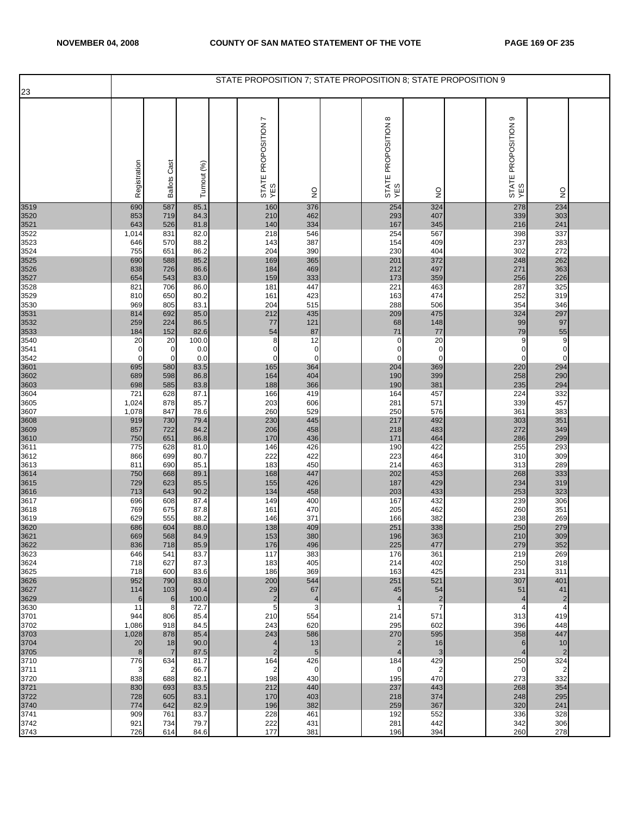|              |                |                      |               | STATE PROPOSITION 7; STATE PROPOSITION 8; STATE PROPOSITION 9 |                     |                                            |                              |                               |                                  |  |
|--------------|----------------|----------------------|---------------|---------------------------------------------------------------|---------------------|--------------------------------------------|------------------------------|-------------------------------|----------------------------------|--|
| 23           |                |                      |               |                                                               |                     |                                            |                              |                               |                                  |  |
|              | Registration   | <b>Ballots Cast</b>  | Turnout (%)   | L<br>STATE PROPOSITION<br>YES                                 | $\frac{0}{2}$       | $^\infty$<br>STATE PROPOSITION<br>YES      | $\frac{0}{2}$                | თ<br>STATE PROPOSITION<br>YES | $\frac{0}{2}$                    |  |
| 3519         | 690            | 587                  | 85.1          | 160                                                           | 376                 | 254                                        | 324                          | 278                           | 234                              |  |
| 3520         | 853            | 719                  | 84.3          | 210                                                           | 462                 | 293                                        | 407                          | 339                           | 303                              |  |
| 3521<br>3522 | 643<br>1,014   | 526<br>831           | 81.8<br>82.0  | 140<br>218                                                    | 334<br>546          | 167<br>254                                 | 345<br>567                   | 216<br>398                    | 241<br>337                       |  |
| 3523         | 646            | 570                  | 88.2          | 143                                                           | 387                 | 154                                        | 409                          | 237                           | 283                              |  |
| 3524         | 755            | 651                  | 86.2          | 204                                                           | 390                 | 230                                        | 404                          | 302                           | 272                              |  |
| 3525         | 690            | 588                  | 85.2          | 169                                                           | 365                 | 201                                        | 372                          | 248                           | 262                              |  |
| 3526<br>3527 | 838<br>654     | 726<br>543           | 86.6<br>83.0  | 184<br>159                                                    | 469<br>333          | 212<br>173                                 | 497<br>359                   | 271<br>256                    | 363<br>226                       |  |
| 3528         | 821            | 706                  | 86.0          | 181                                                           | 447                 | 221                                        | 463                          | 287                           | 325                              |  |
| 3529         | 810            | 650                  | 80.2          | 161                                                           | 423                 | 163                                        | 474                          | 252                           | 319                              |  |
| 3530         | 969            | 805                  | 83.1          | 204                                                           | 515                 | 288                                        | 506                          | 354                           | 346                              |  |
| 3531<br>3532 | 814<br>259     | 692<br>224           | 85.0<br>86.5  | 212<br>77                                                     | 435<br>121          | 209<br>68                                  | 475<br>148                   | 324<br>99                     | 297<br>97                        |  |
| 3533         | 184            | 152                  | 82.6          | 54                                                            | 87                  | 71                                         | 77                           | 79                            | 55                               |  |
| 3540         | 20             | 20                   | 100.0         | 8                                                             | 12                  | $\mathbf 0$                                | 20                           | 9                             | 9                                |  |
| 3541         | 0              | 0                    | 0.0           | $\mathbf 0$                                                   | $\mathbf 0$         | C                                          | $\mathbf 0$                  | 0                             | $\mathbf 0$                      |  |
| 3542<br>3601 | 0<br>695       | $\mathbf 0$<br>580   | 0.0<br>83.5   | 0<br>165                                                      | $\mathbf 0$<br>364  | $\mathbf 0$<br>204                         | $\mathbf 0$<br>369           | 0<br>220                      | $\overline{0}$<br>294            |  |
| 3602         | 689            | 598                  | 86.8          | 164                                                           | 404                 | 190                                        | 399                          | 258                           | 290                              |  |
| 3603         | 698            | 585                  | 83.8          | 188                                                           | 366                 | 190                                        | 381                          | 235                           | 294                              |  |
| 3604         | 721            | 628                  | 87.1          | 166                                                           | 419                 | 164                                        | 457                          | 224                           | 332                              |  |
| 3605<br>3607 | 1,024<br>1,078 | 878<br>847           | 85.7<br>78.6  | 203<br>260                                                    | 606<br>529          | 281<br>250                                 | 571<br>576                   | 339<br>361                    | 457<br>383                       |  |
| 3608         | 919            | 730                  | 79.4          | 230                                                           | 445                 | 217                                        | 492                          | 303                           | 351                              |  |
| 3609         | 857            | 722                  | 84.2          | 206                                                           | 458                 | 218                                        | 483                          | 272                           | 349                              |  |
| 3610<br>3611 | 750<br>775     | 651<br>628           | 86.8<br>81.0  | 170<br>146                                                    | 436<br>426          | 171<br>190                                 | 464<br>422                   | 286<br>255                    | 299<br>293                       |  |
| 3612         | 866            | 699                  | 80.7          | 222                                                           | 422                 | 223                                        | 464                          | 310                           | 309                              |  |
| 3613         | 811            | 690                  | 85.1          | 183                                                           | 450                 | 214                                        | 463                          | 313                           | 289                              |  |
| 3614         | 750            | 668                  | 89.1          | 168                                                           | 447                 | 202                                        | 453                          | 268                           | 333                              |  |
| 3615<br>3616 | 729<br>713     | 623<br>643           | 85.5<br>90.2  | 155<br>134                                                    | 426<br>458          | 187<br>203                                 | 429<br>433                   | 234<br>253                    | 319<br>323                       |  |
| 3617         | 696            | 608                  | 87.4          | 149                                                           | 400                 | 167                                        | 432                          | 239                           | 306                              |  |
| 3618         | 769            | 675                  | 87.8          | 161                                                           | 470                 | 205                                        | 462                          | 260                           | 351                              |  |
| 3619         | 629<br>686     | 555<br>604           | 88.2<br>88.0  | 146<br>138                                                    | 371<br>409          | 166<br>251                                 | 382<br>338                   | 238<br>250                    | 269<br>279                       |  |
| 3620<br>3621 | 669            | 568                  | 84.9          | 153                                                           | 380                 | 196                                        | 363                          | 210                           | 309                              |  |
| 3622         | 836            | 718                  | 85.9          | 176                                                           | 496                 | 225                                        | 477                          | 279                           | 352                              |  |
| 3623         | 646            | 541                  | 83.7          | 117<br>183                                                    | 383                 | 176                                        | 361                          | 219                           | 269                              |  |
| 3624<br>3625 | 718<br>718     | 627<br>600           | 87.3<br>83.6  | 186                                                           | 405<br>369          | 214<br>163                                 | 402<br>425                   | 250<br>231                    | 318<br>311                       |  |
| 3626         | 952            | 790                  | 83.0          | 200                                                           | 544                 | 251                                        | 521                          | 307                           | 401                              |  |
| 3627         | 114            | 103                  | 90.4          | 29                                                            | 67                  | 45                                         | 54                           | 51                            | 41                               |  |
| 3629<br>3630 | 6<br>11        | $\,$ 6<br>8          | 100.0<br>72.7 | $\sqrt{2}$<br>5                                               | $\overline{4}$<br>3 | $\overline{\mathcal{L}}$<br>$\overline{1}$ | $\sqrt{2}$<br>$\overline{7}$ | 4<br>4                        | $\overline{c}$<br>$\overline{4}$ |  |
| 3701         | 944            | 806                  | 85.4          | 210                                                           | 554                 | 214                                        | 571                          | 313                           | 419                              |  |
| 3702         | 1,086          | 918                  | 84.5          | 243                                                           | 620                 | 295                                        | 602                          | 396                           | 448                              |  |
| 3703         | 1,028          | 878                  | 85.4          | 243                                                           | 586                 | 270                                        | 595                          | 358                           | 447                              |  |
| 3704<br>3705 | 20<br>8        | 18<br>$\overline{7}$ | 90.0<br>87.5  | $\overline{4}$<br>$\overline{2}$                              | 13<br>5             | $\overline{2}$<br>$\overline{4}$           | 16<br>3                      | 6<br>$\overline{4}$           | 10<br>$\overline{2}$             |  |
| 3710         | 776            | 634                  | 81.7          | 164                                                           | 426                 | 184                                        | 429                          | 250                           | 324                              |  |
| 3711         | 3              | $\overline{2}$       | 66.7          | $\overline{2}$                                                | $\mathbf 0$         | $\mathbf 0$                                | $\overline{c}$               | 0                             | $\overline{2}$                   |  |
| 3720<br>3721 | 838<br>830     | 688<br>693           | 82.1<br>83.5  | 198<br>212                                                    | 430<br>440          | 195<br>237                                 | 470<br>443                   | 273<br>268                    | 332<br>354                       |  |
| 3722         | 728            | 605                  | 83.1          | 170                                                           | 403                 | 218                                        | 374                          | 248                           | 295                              |  |
| 3740         | 774            | 642                  | 82.9          | 196                                                           | 382                 | 259                                        | 367                          | 320                           | 241                              |  |
| 3741         | 909            | 761                  | 83.7          | 228                                                           | 461                 | 192                                        | 552                          | 336                           | 328                              |  |
| 3742<br>3743 | 921<br>726     | 734<br>614           | 79.7<br>84.6  | 222<br>177                                                    | 431<br>381          | 281<br>196                                 | 442<br>394                   | 342<br>260                    | 306<br>278                       |  |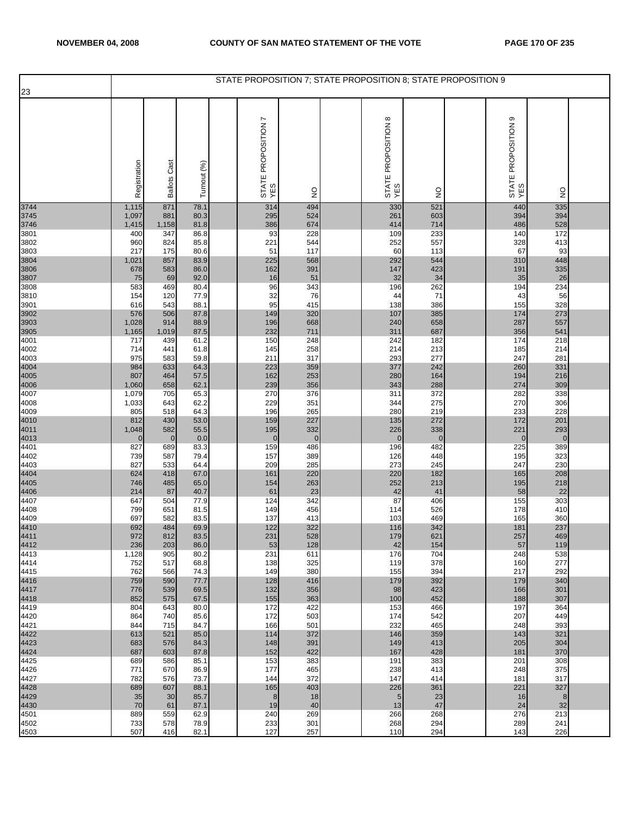| 23                   |                     |                     |              | STATE PROPOSITION 7; STATE PROPOSITION 8; STATE PROPOSITION 9 |                    |                                      |                     |                               |                    |  |
|----------------------|---------------------|---------------------|--------------|---------------------------------------------------------------|--------------------|--------------------------------------|---------------------|-------------------------------|--------------------|--|
|                      |                     |                     |              |                                                               |                    |                                      |                     |                               |                    |  |
|                      | Registration        | <b>Ballots Cast</b> | Turnout (%)  | r<br>STATE PROPOSITION<br>YES                                 | $\frac{1}{2}$      | $\infty$<br>STATE PROPOSITION<br>YES | $\frac{0}{2}$       | ၜ<br>STATE PROPOSITION<br>YES | $\frac{0}{2}$      |  |
| 3744                 | 1,115               | 871                 | 78.1         | 314                                                           | 494                | 330                                  | 521                 | 440                           | 335                |  |
| 3745<br>3746         | 1,097<br>1,415      | 881<br>1,158        | 80.3<br>81.8 | 295<br>386                                                    | 524<br>674         | 261<br>414                           | 603<br>714          | 394<br>486                    | 394<br>528         |  |
| 3801                 | 400                 | 347                 | 86.8         | 93                                                            | 228                | 109                                  | 233                 | 140                           | 172                |  |
| 3802                 | 960                 | 824                 | 85.8         | 221                                                           | 544                | 252                                  | 557                 | 328                           | 413                |  |
| 3803<br>3804         | 217<br>1,021        | 175<br>857          | 80.6<br>83.9 | 51<br>225                                                     | 117<br>568         | 60<br>292                            | 113<br>544          | 67<br>310                     | 93<br>448          |  |
| 3806                 | 678                 | 583                 | 86.0         | 162                                                           | 391                | 147                                  | 423                 | 191                           | 335                |  |
| 3807                 | 75                  | 69                  | 92.0         | 16                                                            | 51                 | 32                                   | 34                  | 35                            | 26                 |  |
| 3808<br>3810         | 583<br>154          | 469<br>120          | 80.4<br>77.9 | 96<br>32                                                      | 343<br>76          | 196<br>44                            | 262<br>71           | 194<br>43                     | 234<br>56          |  |
| 3901                 | 616                 | 543                 | 88.1         | 95                                                            | 415                | 138                                  | 386                 | 155                           | 328                |  |
| 3902                 | 576                 | 506                 | 87.8         | 149                                                           | 320                | 107                                  | 385                 | 174                           | 273                |  |
| 3903<br>3905         | 1,028               | 914                 | 88.9         | 196                                                           | 668                | 240                                  | 658                 | 287                           | 557                |  |
| 4001                 | 1,165<br>717        | 1,019<br>439        | 87.5<br>61.2 | 232<br>150                                                    | 711<br>248         | 311<br>242                           | 687<br>182          | 356<br>174                    | 541<br>218         |  |
| 4002                 | 714                 | 441                 | 61.8         | 145                                                           | 258                | 214                                  | 213                 | 185                           | 214                |  |
| 4003                 | 975                 | 583                 | 59.8         | 211                                                           | 317                | 293                                  | 277                 | 247                           | 281                |  |
| 4004<br>4005<br>4006 | 984<br>807          | 633<br>464          | 64.3<br>57.5 | 223<br>162                                                    | 359<br>253         | 377<br>280                           | 242<br>164          | 260<br>194                    | 331<br>216         |  |
|                      | 1,060               | 658                 | 62.1         | 239                                                           | 356                | 343                                  | 288                 | 274                           | 309                |  |
| 4007                 | 1,079               | 705                 | 65.3         | 270                                                           | 376                | 311                                  | 372                 | 282                           | 338                |  |
| 4008<br>4009         | 1,033<br>805        | 643<br>518          | 62.2<br>64.3 | 229<br>196                                                    | 351<br>265         | 344<br>280                           | 275<br>219          | 270<br>233                    | 306<br>228         |  |
|                      | 812                 | 430                 | 53.0         | 159                                                           | 227                | 135                                  | 272                 | 172                           | 201                |  |
| 4010<br>4011<br>4013 | 1,048               | 582                 | 55.5         | 195                                                           | 332                | 226                                  | 338                 | 221                           | 293                |  |
| 4401                 | $\mathbf{0}$<br>827 | $\mathbf 0$<br>689  | 0.0<br>83.3  | $\mathbf 0$<br>159                                            | $\mathbf 0$<br>486 | $\mathbf 0$<br>196                   | $\mathbf{0}$<br>482 | 0<br>225                      | $\mathbf 0$<br>389 |  |
| 4402                 | 739                 | 587                 | 79.4         | 157                                                           | 389                | 126                                  | 448                 | 195                           | 323                |  |
| 4403                 | 827                 | 533                 | 64.4         | 209                                                           | 285                | 273                                  | 245                 | 247                           | 230                |  |
| 4404<br>4405<br>4406 | 624<br>746          | 418<br>485          | 67.0<br>65.0 | 161<br>154                                                    | 220<br>263         | 220<br>252                           | 182<br>213          | 165<br>195                    | 208<br>218         |  |
|                      | 214                 | 87                  | 40.7         | 61                                                            | 23                 | 42                                   | 41                  | 58                            | 22                 |  |
| 4407                 | 647                 | 504                 | 77.9         | 124                                                           | 342                | 87                                   | 406                 | 155                           | 303                |  |
| 4408<br>4409         | 799<br>697          | 651<br>582          | 81.5<br>83.5 | 149<br>137                                                    | 456<br>413         | 114<br>103                           | 526<br>469          | 178<br>165                    | 410<br>360         |  |
| 4410<br>4411         | 692                 | 484                 | 69.9         | 122                                                           | 322                | 116                                  | 342                 | 181                           | 237                |  |
| 4412                 | 972                 | 812                 | 83.5         | 231                                                           | 528                | 179                                  | 621                 | 257                           | 469                |  |
| 4413                 | 236<br>1,128        | 203<br>905          | 86.0<br>80.2 | 53<br>231                                                     | 128<br>611         | 42<br>176                            | 154<br>704          | 57<br>248                     | 119<br>538         |  |
| 4414                 | 752                 | 517                 | 68.8         | 138                                                           | 325                | 119                                  | 378                 | 160                           | 277                |  |
| 4415                 | 762                 | 566                 | 74.3         | 149                                                           | 380                | 155                                  | 394                 | 217                           | 292                |  |
| 4416<br>4417<br>4418 | 759<br>776          | 590<br>539          | 77.7<br>69.5 | 128<br>132                                                    | 416<br>356         | 179<br>98                            | 392<br>423          | 179<br>166                    | 340<br>301         |  |
|                      | 852                 | 575                 | 67.5         | 155                                                           | 363                | 100                                  | 452                 | 188                           | 307                |  |
| 4419                 | 804                 | 643                 | 80.0         | 172                                                           | 422                | 153                                  | 466                 | 197                           | 364                |  |
| 4420<br>4421         | 864<br>844          | 740<br>715          | 85.6<br>84.7 | 172<br>166                                                    | 503<br>501         | 174<br>232                           | 542<br>465          | 207<br>248                    | 449<br>393         |  |
| 4422                 | 613                 | 521                 | 85.0         | 114                                                           | 372                | 146                                  | 359                 | 143                           | 321                |  |
| 4423                 | 683                 | 576                 | 84.3         | 148<br>152                                                    | 391                | 149                                  | 413<br>428          | 205                           | 304                |  |
| 4424<br>4425         | 687<br>689          | 603<br>586          | 87.8<br>85.1 | 153                                                           | 422<br>383         | 167<br>191                           | 383                 | 181<br>201                    | 370<br>308         |  |
| 4426                 | 771                 | 670                 | 86.9         | 177                                                           | 465                | 238                                  | 413                 | 248                           | 375                |  |
| 4427                 | 782                 | 576                 | 73.7         | 144                                                           | 372                | 147                                  | 414                 | 181                           | 317                |  |
| 4428<br>4429         | 689<br>35           | 607<br>30           | 88.1<br>85.7 | 165<br>8                                                      | 403<br>18          | 226<br>$5\overline{)}$               | 361<br>23           | 221<br>16                     | 327<br>$\bf 8$     |  |
| 4430                 | 70                  | 61                  | 87.1         | 19                                                            | 40                 | 13                                   | 47                  | 24                            | 32                 |  |
| 4501                 | 889                 | 559                 | 62.9         | 240                                                           | 269                | 266                                  | 268                 | 276                           | 213                |  |
| 4502<br>4503         | 733<br>507          | 578<br>416          | 78.9<br>82.1 | 233<br>127                                                    | 301<br>257         | 268<br>110                           | 294<br>294          | 289<br>143                    | 241<br>226         |  |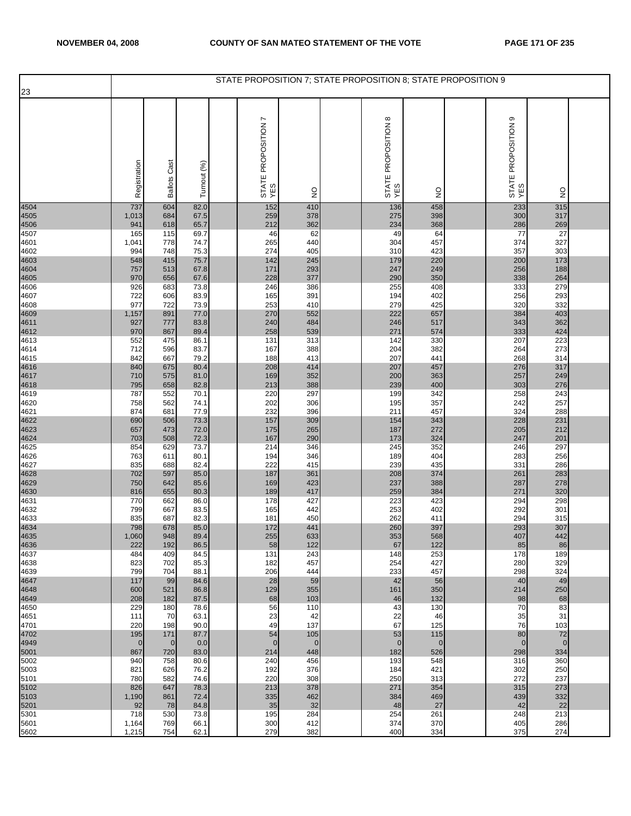| 23                   |              |                     |              | STATE PROPOSITION 7; STATE PROPOSITION 8; STATE PROPOSITION 9 |               |                                      |               |                               |               |  |
|----------------------|--------------|---------------------|--------------|---------------------------------------------------------------|---------------|--------------------------------------|---------------|-------------------------------|---------------|--|
|                      |              |                     |              |                                                               |               |                                      |               |                               |               |  |
|                      | Registration | <b>Ballots Cast</b> | Turnout (%)  | r<br>STATE PROPOSITION<br>YES                                 | $\frac{1}{2}$ | $\infty$<br>STATE PROPOSITION<br>YES | $\frac{0}{2}$ | ၜ<br>STATE PROPOSITION<br>YES | $\frac{0}{2}$ |  |
| 4504                 | 737          | 604                 | 82.0         | 152                                                           | 410           | 136                                  | 458           | 233                           | 315           |  |
| 4505<br>4506         | 1,013<br>941 | 684<br>618          | 67.5<br>65.7 | 259<br>212                                                    | 378<br>362    | 275<br>234                           | 398<br>368    | 300<br>286                    | 317<br>269    |  |
| 4507                 | 165          | 115                 | 69.7         | 46                                                            | 62            | 49                                   | 64            | 77                            | 27            |  |
| 4601                 | 1,041        | 778                 | 74.7         | 265                                                           | 440           | 304                                  | 457           | 374                           | 327<br>303    |  |
| 4602<br>4603         | 994<br>548   | 748<br>415          | 75.3<br>75.7 | 274<br>142                                                    | 405<br>245    | 310<br>179                           | 423<br>220    | 357<br>200                    | 173           |  |
| 4604                 | 757          | 513                 | 67.8         | 171                                                           | 293           | 247                                  | 249           | 256                           | 188           |  |
| 4605<br>4606         | 970<br>926   | 656<br>683          | 67.6<br>73.8 | 228<br>246                                                    | 377<br>386    | 290<br>255                           | 350<br>408    | 338<br>333                    | 264<br>279    |  |
| 4607                 | 722          | 606                 | 83.9         | 165                                                           | 391           | 194                                  | 402           | 256                           | 293           |  |
| 4608                 | 977          | 722                 | 73.9         | 253                                                           | 410           | 279                                  | 425           | 320                           | 332           |  |
| 4609<br>4611         | 1,157<br>927 | 891<br>777          | 77.0<br>83.8 | 270<br>240                                                    | 552<br>484    | 222<br>246                           | 657<br>517    | 384<br>343                    | 403<br>362    |  |
| 4612                 | 970          | 867                 | 89.4         | 258                                                           | 539           | 271                                  | 574           | 333                           | 424           |  |
| 4613<br>4614         | 552<br>712   | 475<br>596          | 86.1<br>83.7 | 131<br>167                                                    | 313<br>388    | 142<br>204                           | 330<br>382    | 207<br>264                    | 223<br>273    |  |
| 4615                 | 842          | 667                 | 79.2         | 188                                                           | 413           | 207                                  | 441           | 268                           | 314           |  |
| 4616<br>4617<br>4618 | 840          | 675                 | 80.4         | 208                                                           | 414           | 207                                  | 457           | 276                           | 317           |  |
|                      | 710<br>795   | 575<br>658          | 81.0<br>82.8 | 169<br>213                                                    | 352<br>388    | 200<br>239                           | 363<br>400    | 257<br>303                    | 249<br>276    |  |
| 4619                 | 787          | 552                 | 70.1         | 220                                                           | 297           | 199                                  | 342           | 258                           | 243           |  |
| 4620<br>4621         | 758<br>874   | 562<br>681          | 74.1<br>77.9 | 202<br>232                                                    | 306<br>396    | 195<br>211                           | 357<br>457    | 242<br>324                    | 257<br>288    |  |
| 4622                 | 690          | 506                 | 73.3         | 157                                                           | 309           | 154                                  | 343           | 228                           | 231           |  |
| 4623                 | 657          | 473                 | 72.0         | 175                                                           | 265           | 187                                  | 272           | 205                           | 212           |  |
| 4624<br>4625         | 703<br>854   | 508<br>629          | 72.3<br>73.7 | 167<br>214                                                    | 290<br>346    | 173<br>245                           | 324<br>352    | 247<br>246                    | 201<br>297    |  |
| 4626                 | 763          | 611                 | 80.1         | 194                                                           | 346           | 189                                  | 404           | 283                           | 256           |  |
| 4627                 | 835          | 688                 | 82.4         | 222                                                           | 415           | 239                                  | 435           | 331                           | 286           |  |
| 4628<br>4629         | 702<br>750   | 597<br>642          | 85.0<br>85.6 | 187<br>169                                                    | 361<br>423    | 208<br>237                           | 374<br>388    | 261<br>287                    | 283<br>278    |  |
| 4630                 | 816          | 655                 | 80.3         | 189                                                           | 417           | 259                                  | 384           | 271                           | 320           |  |
| 4631<br>4632         | 770<br>799   | 662<br>667          | 86.0<br>83.5 | 178<br>165                                                    | 427<br>442    | 223<br>253                           | 423<br>402    | 294<br>292                    | 298<br>301    |  |
| 4633                 | 835          | 687                 | 82.3         | 181                                                           | 450           | 262                                  | 411           | 294                           | 315           |  |
| 4634<br>4635         | 798          | 678                 | 85.0         | 172                                                           | 441<br>633    | 260                                  | 397           | 293                           | 307<br>442    |  |
| 4636                 | 1,060<br>222 | 948<br>192          | 89.4<br>86.5 | 255<br>58                                                     | 122           | 353<br>67                            | 568<br>122    | 407<br>85                     | 86            |  |
| 4637                 | 484          | 409                 | 84.5         | 131                                                           | 243           | 148                                  | 253           | 178                           | 189           |  |
| 4638<br>4639         | 823<br>799   | 702<br>704          | 85.3<br>88.1 | 182<br>206                                                    | 457<br>444    | 254<br>233                           | 427<br>457    | 280<br>298                    | 329<br>324    |  |
| 4647                 | 117          | 99                  | 84.6         | 28                                                            | 59            | 42                                   | 56            | 40                            | 49            |  |
| 4648<br>4649         | 600<br>208   | 521<br>182          | 86.8<br>87.5 | 129<br>68                                                     | 355<br>103    | 161<br>46                            | 350<br>132    | 214<br>98                     | 250<br>68     |  |
| 4650                 | 229          | 180                 | 78.6         | 56                                                            | 110           | 43                                   | 130           | 70                            | 83            |  |
| 4651                 | 111          | 70                  | 63.1         | 23                                                            | 42            | 22                                   | 46            | 35                            | 31            |  |
| 4701<br>4702         | 220<br>195   | 198<br>171          | 90.0<br>87.7 | 49<br>54                                                      | 137<br>105    | 67<br>53                             | 125<br>115    | 76<br>80                      | 103<br>72     |  |
| 4949                 | $\mathbf 0$  | $\overline{0}$      | 0.0          | $\mathbf 0$                                                   | $\mathbf 0$   | $\overline{0}$                       | $\mathbf 0$   | $\overline{0}$                | $\mathbf 0$   |  |
| 5001<br>5002         | 867<br>940   | 720<br>758          | 83.0<br>80.6 | 214<br>240                                                    | 448<br>456    | 182<br>193                           | 526<br>548    | 298<br>316                    | 334<br>360    |  |
| 5003                 | 821          | 626                 | 76.2         | 192                                                           | 376           | 184                                  | 421           | 302                           | 250           |  |
| 5101<br>5102         | 780<br>826   | 582<br>647          | 74.6<br>78.3 | 220<br>213                                                    | 308<br>378    | 250<br>271                           | 313<br>354    | 272<br>315                    | 237<br>273    |  |
| 5103                 | 1,190        | 861                 | 72.4         | 335                                                           | 462           | 384                                  | 469           | 439                           | 332           |  |
| 5201                 | 92           | 78                  | 84.8         | 35                                                            | 32            | 48                                   | 27            | 42                            | 22            |  |
| 5301<br>5601         | 718<br>1,164 | 530<br>769          | 73.8<br>66.1 | 195<br>300                                                    | 284<br>412    | 254<br>374                           | 261<br>370    | 248<br>405                    | 213<br>286    |  |
| 5602                 | 1,215        | 754                 | 62.1         | 279                                                           | 382           | 400                                  | 334           | 375                           | 274           |  |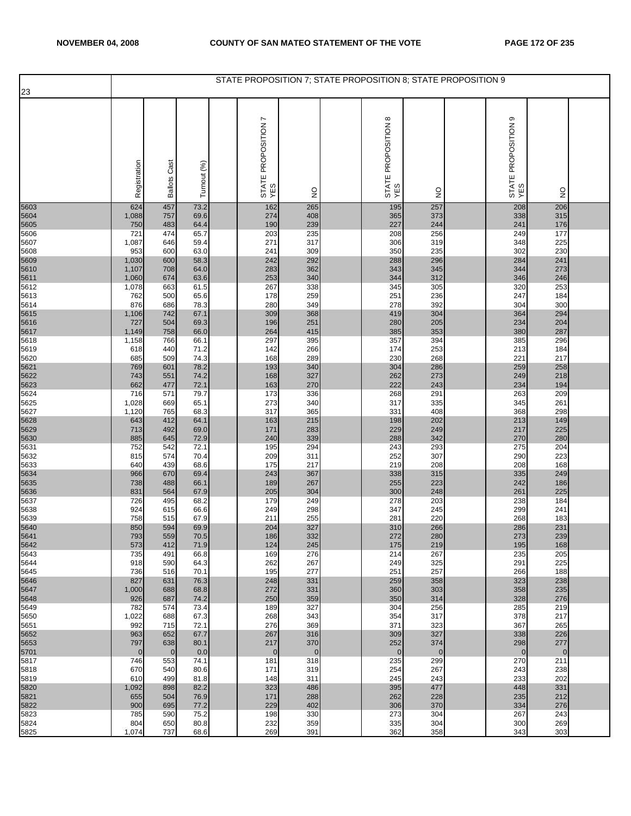| 23           |                       |                     |              | STATE PROPOSITION 7; STATE PROPOSITION 8; STATE PROPOSITION 9 |                       |                            |                    |                               |                     |  |
|--------------|-----------------------|---------------------|--------------|---------------------------------------------------------------|-----------------------|----------------------------|--------------------|-------------------------------|---------------------|--|
|              |                       |                     |              |                                                               |                       |                            |                    |                               |                     |  |
|              | Registration          | <b>Ballots Cast</b> | Turnout (%)  | STATE PROPOSITION 7<br>YES                                    | $\frac{0}{2}$         | STATE PROPOSITION 8<br>YES | $\frac{1}{2}$      | თ<br>STATE PROPOSITION<br>YES | $\frac{0}{2}$       |  |
| 5603         | 624                   | 457                 | 73.2         | 162                                                           | 265                   | 195                        | 257                | 208                           | 206                 |  |
| 5604<br>5605 | 1,088<br>750          | 757<br>483          | 69.6<br>64.4 | 274<br>190                                                    | 408<br>239            | 365<br>227                 | 373<br>244         | 338<br>241                    | 315<br>176          |  |
| 5606         | 721                   | 474                 | 65.7         | 203                                                           | 235                   | 208                        | 256                | 249                           | 177                 |  |
| 5607         | 1,087                 | 646                 | 59.4         | 271                                                           | 317                   | 306                        | 319                | 348                           | 225                 |  |
| 5608         | 953                   | 600                 | 63.0         | 241                                                           | 309                   | 350                        | 235                | 302                           | 230                 |  |
| 5609<br>5610 | 1,030<br>1,107        | 600<br>708          | 58.3<br>64.0 | 242<br>283                                                    | 292<br>362            | 288<br>343                 | 296<br>345         | 284<br>344                    | 241<br>273          |  |
| 5611         | 1,060                 | 674                 | 63.6         | 253                                                           | 340                   | 344                        | 312                | 346                           | 246                 |  |
| 5612         | 1,078                 | 663                 | 61.5         | 267                                                           | 338                   | 345                        | 305                | 320                           | 253                 |  |
| 5613         | 762                   | 500                 | 65.6         | 178                                                           | 259                   | 251                        | 236                | 247                           | 184                 |  |
| 5614         | 876<br>1,106          | 686<br>742          | 78.3<br>67.1 | 280<br>309                                                    | 349<br>368            | 278<br>419                 | 392<br>304         | 304<br>364                    | 300<br>294          |  |
| 5615<br>5616 | 727                   | 504                 | 69.3         | 196                                                           | 251                   | 280                        | 205                | 234                           | 204                 |  |
| 5617         | 1,149                 | 758                 | 66.0         | 264                                                           | 415                   | 385                        | 353                | 380                           | 287                 |  |
| 5618         | 1,158                 | 766<br>440          | 66.1         | 297                                                           | 395<br>266            | 357                        | 394<br>253         | 385<br>213                    | 296<br>184          |  |
| 5619<br>5620 | 618<br>685            | 509                 | 71.2<br>74.3 | 142<br>168                                                    | 289                   | 174<br>230                 | 268                | 221                           | 217                 |  |
| 5621         | 769                   | 601                 | 78.2         | 193                                                           | 340                   | 304                        | 286                | 259                           | 258                 |  |
| 5622         | 743                   | 551                 | 74.2         | 168                                                           | 327                   | 262                        | 273                | 249                           | 218                 |  |
| 5623<br>5624 | 662<br>716            | 477<br>571          | 72.1<br>79.7 | 163<br>173                                                    | 270<br>336            | 222<br>268                 | 243<br>291         | 234<br>263                    | 194<br>209          |  |
| 5625         | 1,028                 | 669                 | 65.1         | 273                                                           | 340                   | 317                        | 335                | 345                           | 261                 |  |
| 5627         | 1,120                 | 765                 | 68.3         | 317                                                           | 365                   | 331                        | 408                | 368                           | 298                 |  |
| 5628<br>5629 | 643<br>713            | 412<br>492          | 64.1<br>69.0 | 163<br>171                                                    | 215<br>283            | 198<br>229                 | 202<br>249         | 213<br>217                    | 149<br>225          |  |
| 5630         | 885                   | 645                 | 72.9         | 240                                                           | 339                   | 288                        | 342                | 270                           | 280                 |  |
| 5631         | 752                   | 542                 | 72.1         | 195                                                           | 294                   | 243                        | 293                | 275                           | 204                 |  |
| 5632         | 815                   | 574                 | 70.4         | 209                                                           | 311                   | 252                        | 307                | 290                           | 223                 |  |
| 5633<br>5634 | 640<br>966            | 439<br>670          | 68.6<br>69.4 | 175<br>243                                                    | 217<br>367            | 219<br>338                 | 208<br>315         | 208<br>335                    | 168<br>249          |  |
| 5635         | 738                   | 488                 | 66.1         | 189                                                           | 267                   | 255                        | 223                | 242                           | 186                 |  |
| 5636         | 831                   | 564                 | 67.9         | 205                                                           | 304                   | 300                        | 248                | 261                           | 225                 |  |
| 5637<br>5638 | 726<br>924            | 495<br>615          | 68.2<br>66.6 | 179<br>249                                                    | 249<br>298            | 278<br>347                 | 203<br>245         | 238<br>299                    | 184<br>241          |  |
| 5639         | 758                   | 515                 | 67.9         | 211                                                           | 255                   | 281                        | 220                | 268                           | 183                 |  |
| 5640<br>5641 | 850                   | 594                 | 69.9         | 204                                                           | 327                   | 310                        | 266                | 286                           | 231                 |  |
| 5642         | 793                   | 559                 | 70.5         | 186                                                           | 332                   | 272                        | 280                | 273                           | 239                 |  |
| 5643         | 573<br>735            | 412<br>491          | 71.9<br>66.8 | 124<br>169                                                    | 245<br>276            | 175<br>214                 | 219<br>267         | 195<br>235                    | 168<br>205          |  |
| 5644         | 918                   | 590                 | 64.3         | 262                                                           | 267                   | 249                        | 325                | 291                           | 225                 |  |
| 5645         | 736                   | 516                 | 70.1         | 195                                                           | 277                   | 251                        | 257                | 266                           | 188                 |  |
| 5646<br>5647 | 827<br>1,000          | 631<br>688          | 76.3<br>68.8 | 248<br>272                                                    | 331<br>331            | 259<br>360                 | 358<br>303         | 323<br>358                    | 238<br>235          |  |
| 5648         | 926                   | 687                 | 74.2         | 250                                                           | 359                   | 350                        | 314                | 328                           | 276                 |  |
| 5649         | 782                   | 574                 | 73.4         | 189                                                           | 327                   | 304                        | 256                | 285                           | 219                 |  |
| 5650<br>5651 | 1,022<br>992          | 688<br>715          | 67.3<br>72.1 | 268<br>276                                                    | 343<br>369            | 354<br>371                 | 317<br>323         | 378<br>367                    | 217<br>265          |  |
| 5652         | 963                   | 652                 | 67.7         | 267                                                           | 316                   | 309                        | 327                | 338                           | 226                 |  |
| 5653<br>5701 | 797<br>$\overline{0}$ | 638<br>$\mathbf 0$  | 80.1<br>0.0  | 217<br>$\mathbf{0}$                                           | 370<br>$\overline{0}$ | 252<br>$\mathbf 0$         | 374<br>$\mathbf 0$ | 298<br>$\mathbf 0$            | 277<br>$\mathbf{0}$ |  |
| 5817         | 746                   | 553                 | 74.1         | 181                                                           | 318                   | 235                        | 299                | 270                           | 211                 |  |
| 5818<br>5819 | 670<br>610            | 540<br>499          | 80.6<br>81.8 | 171<br>148                                                    | 319<br>311            | 254<br>245                 | 267<br>243         | 243<br>233                    | 238<br>202          |  |
| 5820         | 1,092                 | 898                 | 82.2         | 323                                                           | 486                   | 395                        | 477                | 448                           | 331                 |  |
| 5821         | 655                   | 504                 | 76.9         | 171                                                           | 288                   | 262                        | 228                | 235                           | 212                 |  |
| 5822         | 900                   | 695                 | 77.2         | 229                                                           | 402                   | 306                        | 370                | 334                           | 276                 |  |
| 5823<br>5824 | 785<br>804            | 590<br>650          | 75.2<br>80.8 | 198<br>232                                                    | 330<br>359            | 273<br>335                 | 304<br>304         | 267<br>300                    | 243<br>269          |  |
| 5825         | 1,074                 | 737                 | 68.6         | 269                                                           | 391                   | 362                        | 358                | 343                           | 303                 |  |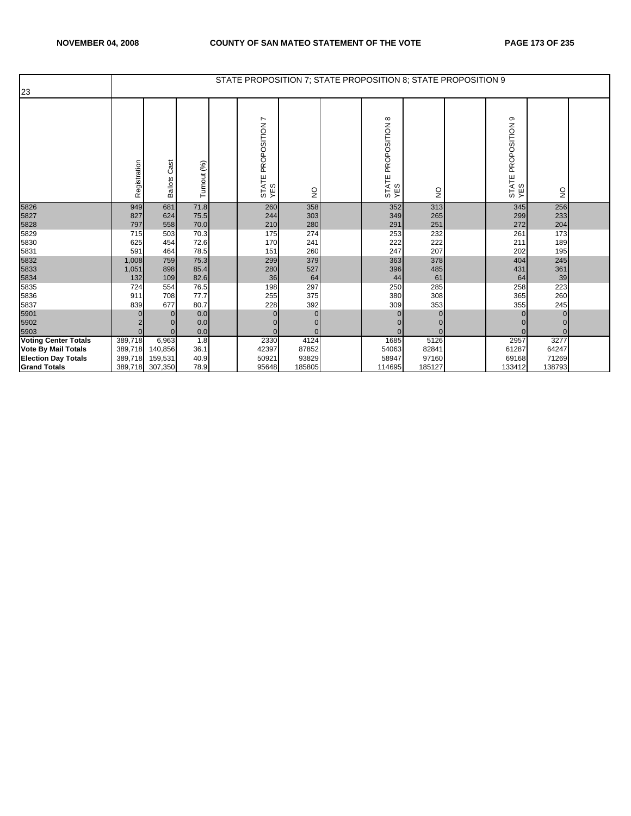|                             |              |                        |              | STATE PROPOSITION 7; STATE PROPOSITION 8; STATE PROPOSITION 9 |                 |                                 |            |                                    |                           |  |
|-----------------------------|--------------|------------------------|--------------|---------------------------------------------------------------|-----------------|---------------------------------|------------|------------------------------------|---------------------------|--|
| 23                          |              |                        |              |                                                               |                 |                                 |            |                                    |                           |  |
|                             | Registration | Cast<br><b>Ballots</b> | Turnout (%)  | PROPOSITION 7<br>STATE<br>YES                                 | $\frac{1}{2}$   | PROPOSITION 8<br>STATE I<br>YES | g          | ၜ<br>PROPOSITION<br>STATE I<br>YES | $\mathsf{S}^{\mathsf{O}}$ |  |
| 5826                        | 949          | 681                    | 71.8         | 260                                                           | 358             | 352                             | 313        | 345                                | 256                       |  |
| 5827                        | 827          | 624                    | 75.5         | 244                                                           | 303             | 349                             | 265        | 299                                | 233                       |  |
| 5828                        | 797          | 558                    | 70.0         | 210                                                           | 280             | 291                             | 251        | 272                                | 204                       |  |
| 5829                        | 715          | 503                    | 70.3         | 175                                                           | 274             | 253                             | 232        | 261                                | 173                       |  |
| 5830                        | 625          | 454                    | 72.6         | 170                                                           | 241             | 222                             | 222        | 211                                | 189                       |  |
| 5831                        | 591          | 464                    | 78.5         | 151                                                           | 260             | 247                             | 207        | 202                                | 195                       |  |
| 5832                        | 1,008        | 759                    | 75.3         | 299                                                           | 379             | 363                             | 378        | 404                                | 245                       |  |
| 5833                        | 1,051        | 898                    | 85.4         | 280                                                           | 527             | 396                             | 485        | 431                                | 361                       |  |
| 5834                        | 132          | 109                    | 82.6         | 36                                                            | 64              | 44                              | 61         | 64                                 | 39                        |  |
| 5835                        | 724          | 554                    | 76.5<br>77.7 | 198                                                           | 297             | 250                             | 285        | 258                                | 223                       |  |
| 5836                        | 911          | 708<br>677             | 80.7         | 255<br>228                                                    | 375             | 380                             | 308<br>353 | 365                                | 260                       |  |
| 5837                        | 839          |                        |              |                                                               | 392<br>$\Omega$ | 309                             | 0          | 355                                | 245<br>$\Omega$           |  |
| 5901<br>5902                |              | $\Omega$               | 0.0<br>0.0   | $\mathbf 0$<br>$\Omega$                                       |                 | $\mathbf 0$                     |            |                                    |                           |  |
| 5903                        |              | $\Omega$               | 0.0          | $\Omega$                                                      | 0<br>$\Omega$   | $\Omega$                        |            |                                    |                           |  |
| <b>Voting Center Totals</b> | 389,718      | 6,963                  | 1.8          | 2330                                                          | 4124            | 1685                            | 5126       | 2957                               | 3277                      |  |
| <b>Vote By Mail Totals</b>  | 389,718      | 140,856                | 36.1         | 42397                                                         | 87852           | 54063                           | 82841      | 61287                              | 64247                     |  |
| <b>Election Day Totals</b>  | 389,718      | 159,531                | 40.9         | 50921                                                         | 93829           | 58947                           | 97160      | 69168                              | 71269                     |  |
| <b>Grand Totals</b>         |              | 389,718 307,350        | 78.9         | 95648                                                         | 185805          | 114695                          | 185127     | 133412                             | 138793                    |  |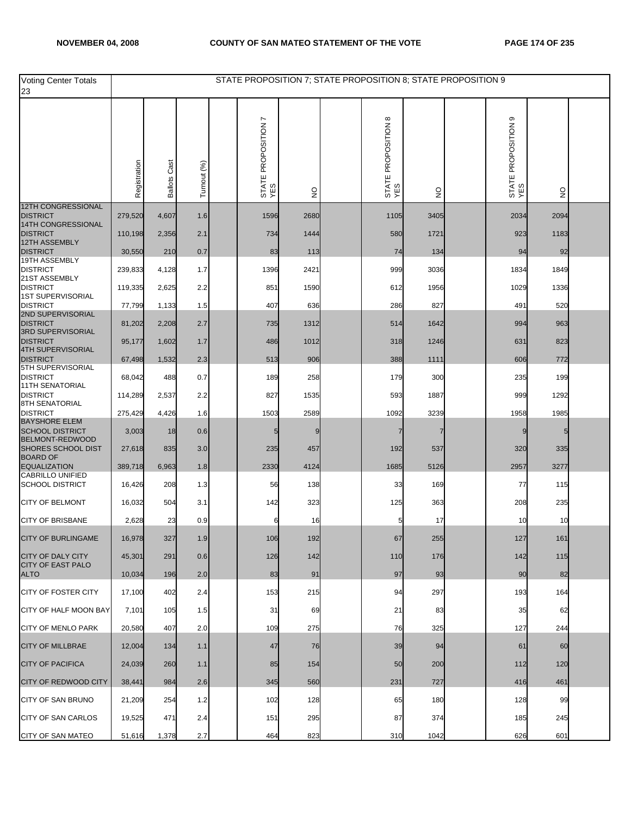| <b>Voting Center Totals</b><br>23                 |              |                        |             | STATE PROPOSITION 7; STATE PROPOSITION 8; STATE PROPOSITION 9 |               |                            |               |                               |                           |  |
|---------------------------------------------------|--------------|------------------------|-------------|---------------------------------------------------------------|---------------|----------------------------|---------------|-------------------------------|---------------------------|--|
|                                                   | Registration | Cast<br><b>Ballots</b> | Turnout (%) | STATE PROPOSITION 7<br>YES                                    | $\frac{0}{2}$ | STATE PROPOSITION 8<br>YES | $\frac{0}{2}$ | თ<br>STATE PROPOSITION<br>YES | $\ensuremath{\mathsf{S}}$ |  |
| 12TH CONGRESSIONAL<br><b>DISTRICT</b>             | 279,520      | 4,607                  | 1.6         | 1596                                                          | 2680          | 1105                       | 3405          | 2034                          | 2094                      |  |
| 14TH CONGRESSIONAL<br><b>DISTRICT</b>             | 110,198      | 2,356                  | 2.1         | 734                                                           | 1444          | 580                        | 1721          | 923                           | 1183                      |  |
| 12TH ASSEMBLY<br><b>DISTRICT</b>                  | 30,550       | 210                    | 0.7         | 83                                                            | 113           | 74                         | 134           | 94                            | 92                        |  |
| 19TH ASSEMBLY                                     |              |                        |             |                                                               |               |                            |               |                               |                           |  |
| <b>DISTRICT</b><br>21ST ASSEMBLY                  | 239,833      | 4,128                  | 1.7         | 1396                                                          | 2421          | 999                        | 3036          | 1834                          | 1849                      |  |
| <b>DISTRICT</b><br><b>1ST SUPERVISORIAL</b>       | 119,335      | 2,625                  | 2.2         | 851                                                           | 1590          | 612                        | 1956          | 1029                          | 1336                      |  |
| <b>DISTRICT</b><br>2ND SUPERVISORIAL              | 77,799       | 1,133                  | 1.5         | 407                                                           | 636           | 286                        | 827           | 491                           | 520                       |  |
| <b>DISTRICT</b><br><b>3RD SUPERVISORIAL</b>       | 81,202       | 2,208                  | 2.7         | 735                                                           | 1312          | 514                        | 1642          | 994                           | 963                       |  |
| <b>DISTRICT</b><br><b>4TH SUPERVISORIAL</b>       | 95,177       | 1,602                  | 1.7         | 486                                                           | 1012          | 318                        | 1246          | 631                           | 823                       |  |
| <b>DISTRICT</b><br>5TH SUPERVISORIAL              | 67,498       | 1,532                  | 2.3         | 513                                                           | 906           | 388                        | 1111          | 606                           | 772                       |  |
| <b>DISTRICT</b><br><b>11TH SENATORIAL</b>         | 68,042       | 488                    | 0.7         | 189                                                           | 258           | 179                        | 300           | 235                           | 199                       |  |
| <b>DISTRICT</b><br>8TH SENATORIAL                 | 114,289      | 2,537                  | 2.2         | 827                                                           | 1535          | 593                        | 1887          | 999                           | 1292                      |  |
| <b>DISTRICT</b><br><b>BAYSHORE ELEM</b>           | 275,429      | 4,426                  | 1.6         | 1503                                                          | 2589          | 1092                       | 3239          | 1958                          | 1985                      |  |
| <b>SCHOOL DISTRICT</b>                            | 3,003        | 18                     | 0.6         | 5                                                             |               |                            | 7             | 9                             | 5                         |  |
| BELMONT-REDWOOD<br><b>SHORES SCHOOL DIST</b>      | 27,618       | 835                    | 3.0         | 235                                                           | 457           | 192                        | 537           | 320                           | 335                       |  |
| <b>BOARD OF</b><br><b>EQUALIZATION</b>            | 389,718      | 6,963                  | 1.8         | 2330                                                          | 4124          | 1685                       | 5126          | 2957                          | 3277                      |  |
| <b>CABRILLO UNIFIED</b><br><b>SCHOOL DISTRICT</b> | 16,426       | 208                    | 1.3         | 56                                                            | 138           | 33                         | 169           | 77                            | 115                       |  |
| <b>CITY OF BELMONT</b>                            | 16,032       | 504                    | 3.1         | 142                                                           | 323           | 125                        | 363           | 208                           | 235                       |  |
| <b>CITY OF BRISBANE</b>                           | 2,628        | 23                     | 0.9         | 6                                                             | 16            |                            | 17            | 10                            | 10                        |  |
| CITY OF BURLINGAME                                | 16,978       | 327                    | 1.9         | 106                                                           | 192           | 67                         | 255           | 127                           | 161                       |  |
| <b>CITY OF DALY CITY</b>                          | 45,301       | 291                    | 0.6         | 126                                                           | 142           | 110                        | 176           | 142                           | 115                       |  |
| <b>CITY OF EAST PALO</b><br><b>ALTO</b>           | 10,034       | 196                    | 2.0         | 83                                                            | 91            | 97                         | 93            | 90                            | 82                        |  |
| <b>CITY OF FOSTER CITY</b>                        | 17,100       | 402                    | 2.4         | 153                                                           | 215           | 94                         | 297           | 193                           | 164                       |  |
| CITY OF HALF MOON BAY                             | 7,101        | 105                    | 1.5         | 31                                                            | 69            | 21                         | 83            | 35                            | 62                        |  |
| <b>CITY OF MENLO PARK</b>                         | 20,580       | 407                    | 2.0         | 109                                                           | 275           | 76                         | 325           | 127                           | 244                       |  |
| <b>CITY OF MILLBRAE</b>                           | 12,004       | 134                    | 1.1         | 47                                                            | 76            | 39                         | 94            | 61                            | 60                        |  |
| <b>CITY OF PACIFICA</b>                           | 24,039       | 260                    | 1.1         | 85                                                            | 154           | 50                         | 200           | 112                           | 120                       |  |
| <b>CITY OF REDWOOD CITY</b>                       | 38,441       | 984                    | 2.6         | 345                                                           | 560           | 231                        | 727           | 416                           | 461                       |  |
| CITY OF SAN BRUNO                                 | 21,209       | 254                    | 1.2         | 102                                                           | 128           | 65                         | 180           | 128                           | 99                        |  |
| <b>CITY OF SAN CARLOS</b>                         | 19,525       | 471                    | 2.4         | 151                                                           | 295           | 87                         | 374           | 185                           | 245                       |  |
| <b>CITY OF SAN MATEO</b>                          | 51,616       | 1,378                  | 2.7         | 464                                                           | 823           | 310                        | 1042          | 626                           | 601                       |  |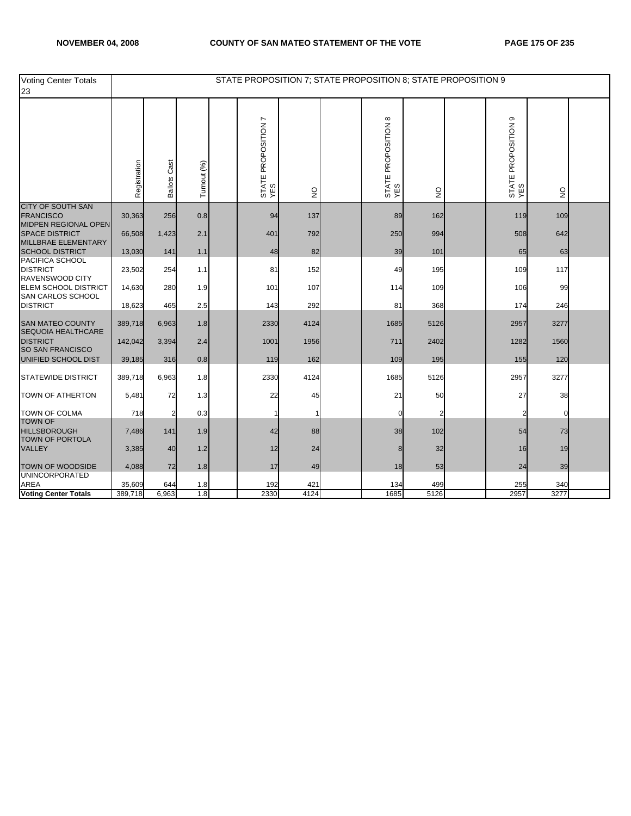| <b>Voting Center Totals</b><br>23                                    |              |                 |             |                            |                                 |                            | STATE PROPOSITION 7; STATE PROPOSITION 8; STATE PROPOSITION 9 |                            |               |  |
|----------------------------------------------------------------------|--------------|-----------------|-------------|----------------------------|---------------------------------|----------------------------|---------------------------------------------------------------|----------------------------|---------------|--|
|                                                                      | Registration | Cast<br>Ballots | Turnout (%) | STATE PROPOSITION 7<br>YES | $\frac{\mathsf{O}}{\mathsf{Z}}$ | STATE PROPOSITION 8<br>YES | $\mathsf{S}$                                                  | STATE PROPOSITION 9<br>YES | $\frac{0}{2}$ |  |
| CITY OF SOUTH SAN<br><b>FRANCISCO</b>                                | 30,363       | 256             | 0.8         | 94                         | 137                             | 89                         | 162                                                           | 119                        | 109           |  |
| MIDPEN REGIONAL OPEN<br><b>SPACE DISTRICT</b><br>MILLBRAE ELEMENTARY | 66,508       | 1,423           | 2.1         | 401                        | 792                             | 250                        | 994                                                           | 508                        | 642           |  |
| <b>SCHOOL DISTRICT</b>                                               | 13,030       | 141             | 1.1         | 48                         | 82                              | 39                         | 101                                                           | 65                         | 63            |  |
| PACIFICA SCHOOL<br><b>DISTRICT</b><br>RAVENSWOOD CITY                | 23,502       | 254             | 1.1         | 81                         | 152                             | 49                         | 195                                                           | 109                        | 117           |  |
| <b>ELEM SCHOOL DISTRICT</b><br>SAN CARLOS SCHOOL                     | 14,630       | 280             | 1.9         | 101                        | 107                             | 114                        | 109                                                           | 106                        | 99            |  |
| <b>DISTRICT</b>                                                      | 18,623       | 465             | 2.5         | 143                        | 292                             | 81                         | 368                                                           | 174                        | 246           |  |
| <b>SAN MATEO COUNTY</b><br>SEQUOIA HEALTHCARE                        | 389,718      | 6,963           | 1.8         | 2330                       | 4124                            | 1685                       | 5126                                                          | 2957                       | 3277          |  |
| <b>DISTRICT</b><br>SO SAN FRANCISCO                                  | 142,042      | 3,394           | 2.4         | 1001                       | 1956                            | 711                        | 2402                                                          | 1282                       | 1560          |  |
| UNIFIED SCHOOL DIST                                                  | 39,185       | 316             | 0.8         | 119                        | 162                             | 109                        | 195                                                           | 155                        | 120           |  |
| <b>STATEWIDE DISTRICT</b>                                            | 389,718      | 6,963           | 1.8         | 2330                       | 4124                            | 1685                       | 5126                                                          | 2957                       | 3277          |  |
| TOWN OF ATHERTON                                                     | 5,481        | 72              | 1.3         | 22                         | 45                              | 21                         | 50                                                            | 27                         | 38            |  |
| <b>TOWN OF COLMA</b><br><b>TOWN OF</b>                               | 718          | 2               | 0.3         | 1                          |                                 | 0                          |                                                               | 2                          |               |  |
| <b>HILLSBOROUGH</b><br><b>TOWN OF PORTOLA</b>                        | 7,486        | 141             | 1.9         | 42                         | 88                              | 38                         | 102                                                           | 54                         | 73            |  |
| <b>VALLEY</b>                                                        | 3,385        | 40              | 1.2         | 12                         | 24                              | 8                          | 32                                                            | 16                         | 19            |  |
| <b>TOWN OF WOODSIDE</b><br><b>UNINCORPORATED</b>                     | 4,088        | 72              | 1.8         | 17                         | 49                              | 18                         | 53                                                            | 24                         | 39            |  |
| <b>AREA</b>                                                          | 35,609       | 644             | 1.8         | 192                        | 421                             | 134                        | 499                                                           | 255                        | 340           |  |
| <b>Voting Center Totals</b>                                          | 389,718      | 6,963           | 1.8         | 2330                       | 4124                            | 1685                       | 5126                                                          | 2957                       | 3277          |  |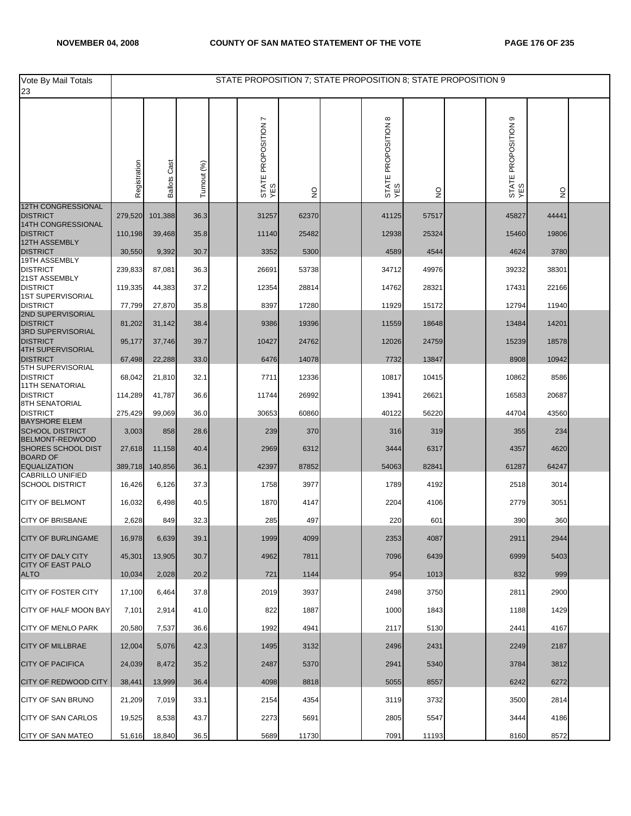| Vote By Mail Totals<br>23                            |              |                     |             | STATE PROPOSITION 7; STATE PROPOSITION 8; STATE PROPOSITION 9 |               |                            |               |                            |                                 |  |
|------------------------------------------------------|--------------|---------------------|-------------|---------------------------------------------------------------|---------------|----------------------------|---------------|----------------------------|---------------------------------|--|
|                                                      | Registration | <b>Ballots Cast</b> | Turnout (%) | STATE PROPOSITION 7<br>YES                                    | $\frac{0}{2}$ | STATE PROPOSITION 8<br>YES | $\frac{1}{2}$ | STATE PROPOSITION 9<br>YES | $\frac{\mathsf{O}}{\mathsf{Z}}$ |  |
| <b>12TH CONGRESSIONAL</b><br><b>DISTRICT</b>         | 279,520      | 101,388             | 36.3        | 31257                                                         | 62370         | 41125                      | 57517         | 45827                      | 44441                           |  |
| 14TH CONGRESSIONAL<br><b>DISTRICT</b>                | 110,198      | 39,468              | 35.8        | 11140                                                         | 25482         | 12938                      | 25324         | 15460                      | 19806                           |  |
| 12TH ASSEMBLY                                        |              |                     |             |                                                               |               |                            |               |                            |                                 |  |
| <b>DISTRICT</b><br>19TH ASSEMBLY                     | 30,550       | 9,392               | 30.7        | 3352                                                          | 5300          | 4589                       | 4544          | 4624                       | 3780                            |  |
| <b>DISTRICT</b><br>21ST ASSEMBLY                     | 239,833      | 87,081              | 36.3        | 26691                                                         | 53738         | 34712                      | 49976         | 39232                      | 38301                           |  |
| <b>DISTRICT</b><br><b>1ST SUPERVISORIAL</b>          | 119,335      | 44,383              | 37.2        | 12354                                                         | 28814         | 14762                      | 28321         | 17431                      | 22166                           |  |
| <b>DISTRICT</b><br>2ND SUPERVISORIAL                 | 77,799       | 27,870              | 35.8        | 8397                                                          | 17280         | 11929                      | 15172         | 12794                      | 11940                           |  |
| <b>DISTRICT</b><br><b>3RD SUPERVISORIAL</b>          | 81,202       | 31,142              | 38.4        | 9386                                                          | 19396         | 11559                      | 18648         | 13484                      | 14201                           |  |
| <b>DISTRICT</b><br><b>4TH SUPERVISORIAL</b>          | 95,177       | 37,746              | 39.7        | 10427                                                         | 24762         | 12026                      | 24759         | 15239                      | 18578                           |  |
| <b>DISTRICT</b>                                      | 67,498       | 22,288              | 33.0        | 6476                                                          | 14078         | 7732                       | 13847         | 8908                       | 10942                           |  |
| 5TH SUPERVISORIAL<br><b>DISTRICT</b>                 | 68,042       | 21,810              | 32.1        | 7711                                                          | 12336         | 10817                      | 10415         | 10862                      | 8586                            |  |
| <b>11TH SENATORIAL</b><br><b>DISTRICT</b>            | 114,289      | 41,787              | 36.6        | 11744                                                         | 26992         | 13941                      | 26621         | 16583                      | 20687                           |  |
| 8TH SENATORIAL<br><b>DISTRICT</b>                    | 275,429      | 99,069              | 36.0        | 30653                                                         | 60860         | 40122                      | 56220         | 44704                      | 43560                           |  |
| <b>BAYSHORE ELEM</b><br><b>SCHOOL DISTRICT</b>       | 3,003        | 858                 | 28.6        | 239                                                           | 370           | 316                        | 319           | 355                        | 234                             |  |
| BELMONT-REDWOOD<br><b>SHORES SCHOOL DIST</b>         | 27,618       | 11,158              | 40.4        | 2969                                                          | 6312          | 3444                       | 6317          | 4357                       | 4620                            |  |
| <b>BOARD OF</b><br><b>EQUALIZATION</b>               | 389,718      | 140,856             | 36.1        | 42397                                                         | 87852         | 54063                      | 82841         | 61287                      | 64247                           |  |
| <b>CABRILLO UNIFIED</b>                              |              |                     |             |                                                               |               |                            |               |                            |                                 |  |
| <b>SCHOOL DISTRICT</b>                               | 16,426       | 6,126               | 37.3        | 1758                                                          | 3977          | 1789                       | 4192          | 2518                       | 3014                            |  |
| <b>CITY OF BELMONT</b>                               | 16,032       | 6,498               | 40.5        | 1870                                                          | 4147          | 2204                       | 4106          | 2779                       | 3051                            |  |
| <b>CITY OF BRISBANE</b>                              | 2,628        | 849                 | 32.3        | 285                                                           | 497           | 220                        | 601           | 390                        | 360                             |  |
| CITY OF BURLINGAME                                   | 16,978       | 6,639               | 39.1        | 1999                                                          | 4099          | 2353                       | 4087          | 2911                       | 2944                            |  |
| <b>CITY OF DALY CITY</b><br><b>CITY OF EAST PALO</b> | 45,301       | 13,905              | 30.7        | 4962                                                          | 7811          | 7096                       | 6439          | 6999                       | 5403                            |  |
| <b>ALTO</b>                                          | 10,034       | 2,028               | 20.2        | 721                                                           | 1144          | 954                        | 1013          | 832                        | 999                             |  |
| CITY OF FOSTER CITY                                  | 17,100       | 6,464               | 37.8        | 2019                                                          | 3937          | 2498                       | 3750          | 2811                       | 2900                            |  |
| CITY OF HALF MOON BAY                                | 7,101        | 2,914               | 41.0        | 822                                                           | 1887          | 1000                       | 1843          | 1188                       | 1429                            |  |
| <b>CITY OF MENLO PARK</b>                            | 20,580       | 7,537               | 36.6        | 1992                                                          | 4941          | 2117                       | 5130          | 2441                       | 4167                            |  |
| <b>CITY OF MILLBRAE</b>                              | 12,004       | 5,076               | 42.3        | 1495                                                          | 3132          | 2496                       | 2431          | 2249                       | 2187                            |  |
| <b>CITY OF PACIFICA</b>                              | 24,039       | 8,472               | 35.2        | 2487                                                          | 5370          | 2941                       | 5340          | 3784                       | 3812                            |  |
| <b>CITY OF REDWOOD CITY</b>                          | 38,441       | 13,999              | 36.4        | 4098                                                          | 8818          | 5055                       | 8557          | 6242                       | 6272                            |  |
| CITY OF SAN BRUNO                                    | 21,209       | 7,019               | 33.1        | 2154                                                          | 4354          | 3119                       | 3732          | 3500                       | 2814                            |  |
| <b>CITY OF SAN CARLOS</b>                            | 19,525       | 8,538               | 43.7        | 2273                                                          | 5691          | 2805                       | 5547          | 3444                       | 4186                            |  |
| CITY OF SAN MATEO                                    | 51,616       | 18,840              | 36.5        | 5689                                                          | 11730         | 7091                       | 11193         | 8160                       | 8572                            |  |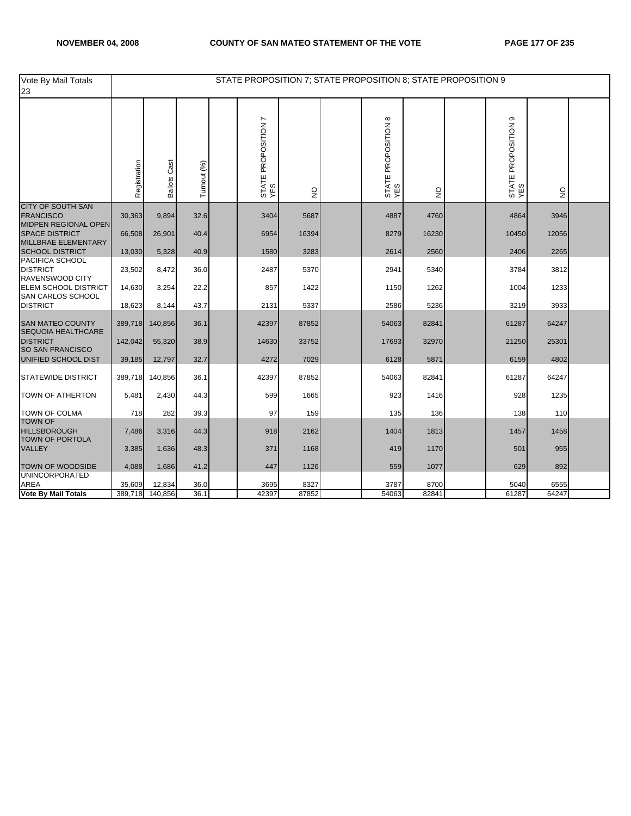| Vote By Mail Totals<br>23                                            |              |                     |             | STATE PROPOSITION 7; STATE PROPOSITION 8; STATE PROPOSITION 9 |              |                            |              |                            |              |  |
|----------------------------------------------------------------------|--------------|---------------------|-------------|---------------------------------------------------------------|--------------|----------------------------|--------------|----------------------------|--------------|--|
|                                                                      | Registration | <b>Ballots Cast</b> | Turnout (%) | STATE PROPOSITION 7<br>YES                                    | $\mathsf{S}$ | STATE PROPOSITION 8<br>YES | $\mathsf{S}$ | STATE PROPOSITION 9<br>YES | $\mathsf{S}$ |  |
| <b>CITY OF SOUTH SAN</b><br><b>FRANCISCO</b>                         | 30,363       | 9,894               | 32.6        | 3404                                                          | 5687         | 4887                       | 4760         | 4864                       | 3946         |  |
| MIDPEN REGIONAL OPEN<br><b>SPACE DISTRICT</b><br>MILLBRAE ELEMENTARY | 66,508       | 26,901              | 40.4        | 6954                                                          | 16394        | 8279                       | 16230        | 10450                      | 12056        |  |
| <b>SCHOOL DISTRICT</b>                                               | 13,030       | 5,328               | 40.9        | 1580                                                          | 3283         | 2614                       | 2560         | 2406                       | 2265         |  |
| PACIFICA SCHOOL<br><b>DISTRICT</b><br>RAVENSWOOD CITY                | 23,502       | 8,472               | 36.0        | 2487                                                          | 5370         | 2941                       | 5340         | 3784                       | 3812         |  |
| <b>ELEM SCHOOL DISTRICT</b><br>SAN CARLOS SCHOOL                     | 14,630       | 3,254               | 22.2        | 857                                                           | 1422         | 1150                       | 1262         | 1004                       | 1233         |  |
| <b>DISTRICT</b>                                                      | 18,623       | 8,144               | 43.7        | 2131                                                          | 5337         | 2586                       | 5236         | 3219                       | 3933         |  |
| <b>SAN MATEO COUNTY</b><br><b>SEQUOIA HEALTHCARE</b>                 | 389,718      | 140,856             | 36.1        | 42397                                                         | 87852        | 54063                      | 82841        | 61287                      | 64247        |  |
| <b>DISTRICT</b><br>SO SAN FRANCISCO                                  | 142,042      | 55,320              | 38.9        | 14630                                                         | 33752        | 17693                      | 32970        | 21250                      | 25301        |  |
| UNIFIED SCHOOL DIST                                                  | 39,185       | 12,797              | 32.7        | 4272                                                          | 7029         | 6128                       | 5871         | 6159                       | 4802         |  |
| <b>STATEWIDE DISTRICT</b>                                            | 389,718      | 140,856             | 36.1        | 42397                                                         | 87852        | 54063                      | 82841        | 61287                      | 64247        |  |
| <b>TOWN OF ATHERTON</b>                                              | 5,481        | 2,430               | 44.3        | 599                                                           | 1665         | 923                        | 1416         | 928                        | 1235         |  |
| <b>TOWN OF COLMA</b>                                                 | 718          | 282                 | 39.3        | 97                                                            | 159          | 135                        | 136          | 138                        | 110          |  |
| <b>TOWN OF</b><br><b>HILLSBOROUGH</b><br><b>TOWN OF PORTOLA</b>      | 7,486        | 3,316               | 44.3        | 918                                                           | 2162         | 1404                       | 1813         | 1457                       | 1458         |  |
| VALLEY                                                               | 3,385        | 1,636               | 48.3        | 371                                                           | 1168         | 419                        | 1170         | 501                        | 955          |  |
| TOWN OF WOODSIDE<br><b>UNINCORPORATED</b>                            | 4,088        | 1,686               | 41.2        | 447                                                           | 1126         | 559                        | 1077         | 629                        | 892          |  |
| <b>AREA</b>                                                          | 35,609       | 12,834              | 36.0        | 3695                                                          | 8327         | 3787                       | 8700         | 5040                       | 6555         |  |
| <b>Vote By Mail Totals</b>                                           | 389,718      | 140,856             | 36.1        | 42397                                                         | 87852        | 54063                      | 82841        | 61287                      | 64247        |  |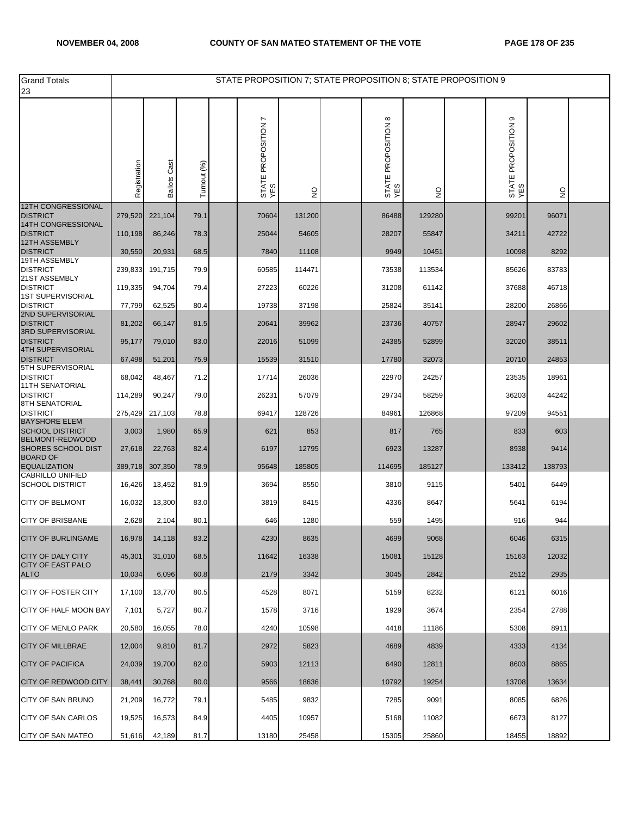| <b>Grand Totals</b><br>23                         |              |                 |             | STATE PROPOSITION 7; STATE PROPOSITION 8; STATE PROPOSITION 9 |               |                            |               |                               |               |  |
|---------------------------------------------------|--------------|-----------------|-------------|---------------------------------------------------------------|---------------|----------------------------|---------------|-------------------------------|---------------|--|
|                                                   | Registration | Cast<br>Ballots | Turnout (%) | L<br>STATE PROPOSITION<br>YES                                 | $\frac{0}{2}$ | STATE PROPOSITION 8<br>YES | $\frac{0}{2}$ | ၜ<br>STATE PROPOSITION<br>YES | $\frac{0}{2}$ |  |
| 12TH CONGRESSIONAL<br><b>DISTRICT</b>             | 279,520      | 221,104         | 79.1        | 70604                                                         | 131200        | 86488                      | 129280        | 99201                         | 96071         |  |
| 14TH CONGRESSIONAL<br><b>DISTRICT</b>             | 110,198      | 86,246          | 78.3        | 25044                                                         | 54605         | 28207                      | 55847         | 34211                         | 42722         |  |
| 12TH ASSEMBLY<br><b>DISTRICT</b>                  | 30,550       | 20,931          | 68.5        | 7840                                                          | 11108         | 9949                       | 10451         | 10098                         | 8292          |  |
| 19TH ASSEMBLY<br><b>DISTRICT</b>                  |              |                 |             |                                                               |               |                            |               |                               |               |  |
| 21ST ASSEMBLY                                     | 239,833      | 191,715         | 79.9        | 60585                                                         | 114471        | 73538                      | 113534        | 85626                         | 83783         |  |
| <b>DISTRICT</b><br>1ST SUPERVISORIAL              | 119,335      | 94,704          | 79.4        | 27223                                                         | 60226         | 31208                      | 61142         | 37688                         | 46718         |  |
| <b>DISTRICT</b><br>2ND SUPERVISORIAL              | 77,799       | 62,525          | 80.4        | 19738                                                         | 37198         | 25824                      | 35141         | 28200                         | 26866         |  |
| <b>DISTRICT</b><br>3RD SUPERVISORIAL              | 81,202       | 66,147          | 81.5        | 20641                                                         | 39962         | 23736                      | 40757         | 28947                         | 29602         |  |
| <b>DISTRICT</b><br><b>4TH SUPERVISORIAL</b>       | 95,177       | 79,010          | 83.0        | 22016                                                         | 51099         | 24385                      | 52899         | 32020                         | 38511         |  |
| <b>DISTRICT</b><br>5TH SUPERVISORIAL              | 67,498       | 51,201          | 75.9        | 15539                                                         | 31510         | 17780                      | 32073         | 20710                         | 24853         |  |
| <b>DISTRICT</b><br><b>11TH SENATORIAL</b>         | 68,042       | 48,467          | 71.2        | 17714                                                         | 26036         | 22970                      | 24257         | 23535                         | 18961         |  |
| <b>DISTRICT</b><br>8TH SENATORIAL                 | 114,289      | 90,247          | 79.0        | 26231                                                         | 57079         | 29734                      | 58259         | 36203                         | 44242         |  |
| <b>DISTRICT</b><br><b>BAYSHORE ELEM</b>           | 275,429      | 217,103         | 78.8        | 69417                                                         | 128726        | 84961                      | 126868        | 97209                         | 94551         |  |
| <b>SCHOOL DISTRICT</b><br>BELMONT-REDWOOD         | 3,003        | 1,980           | 65.9        | 621                                                           | 853           | 817                        | 765           | 833                           | 603           |  |
| <b>SHORES SCHOOL DIST</b>                         | 27,618       | 22,763          | 82.4        | 6197                                                          | 12795         | 6923                       | 13287         | 8938                          | 9414          |  |
| <b>BOARD OF</b><br><b>EQUALIZATION</b>            | 389,718      | 307,350         | 78.9        | 95648                                                         | 185805        | 114695                     | 185127        | 133412                        | 138793        |  |
| <b>CABRILLO UNIFIED</b><br><b>SCHOOL DISTRICT</b> | 16,426       | 13,452          | 81.9        | 3694                                                          | 8550          | 3810                       | 9115          | 5401                          | 6449          |  |
| <b>CITY OF BELMONT</b>                            | 16,032       | 13,300          | 83.0        | 3819                                                          | 8415          | 4336                       | 8647          | 5641                          | 6194          |  |
| <b>CITY OF BRISBANE</b>                           | 2,628        | 2,104           | 80.1        | 646                                                           | 1280          | 559                        | 1495          | 916                           | 944           |  |
| <b>CITY OF BURLINGAME</b>                         | 16,978       | 14,118          | 83.2        | 4230                                                          | 8635          | 4699                       | 9068          | 6046                          | 6315          |  |
| <b>CITY OF DALY CITY</b>                          | 45,301       | 31,010          | 68.5        | 11642                                                         | 16338         | 15081                      | 15128         | 15163                         | 12032         |  |
| <b>CITY OF EAST PALO</b><br><b>ALTO</b>           | 10,034       | 6,096           | 60.8        | 2179                                                          | 3342          | 3045                       | 2842          | 2512                          | 2935          |  |
| CITY OF FOSTER CITY                               | 17,100       | 13,770          | 80.5        | 4528                                                          | 8071          | 5159                       | 8232          | 6121                          | 6016          |  |
| <b>CITY OF HALF MOON BAY</b>                      | 7,101        | 5,727           | 80.7        | 1578                                                          | 3716          | 1929                       | 3674          | 2354                          | 2788          |  |
| <b>CITY OF MENLO PARK</b>                         | 20,580       | 16,055          | 78.0        | 4240                                                          | 10598         | 4418                       | 11186         | 5308                          | 8911          |  |
| <b>CITY OF MILLBRAE</b>                           | 12,004       | 9,810           | 81.7        | 2972                                                          | 5823          | 4689                       | 4839          | 4333                          | 4134          |  |
| <b>CITY OF PACIFICA</b>                           | 24,039       | 19,700          | 82.0        | 5903                                                          | 12113         | 6490                       | 12811         | 8603                          | 8865          |  |
| <b>CITY OF REDWOOD CITY</b>                       | 38,441       | 30,768          | 80.0        | 9566                                                          | 18636         | 10792                      | 19254         | 13708                         | 13634         |  |
| CITY OF SAN BRUNO                                 | 21,209       | 16,772          | 79.1        | 5485                                                          | 9832          | 7285                       | 9091          | 8085                          | 6826          |  |
| <b>CITY OF SAN CARLOS</b>                         | 19,525       | 16,573          | 84.9        | 4405                                                          | 10957         | 5168                       | 11082         | 6673                          | 8127          |  |
| CITY OF SAN MATEO                                 | 51,616       | 42,189          | 81.7        | 13180                                                         | 25458         | 15305                      | 25860         | 18455                         | 18892         |  |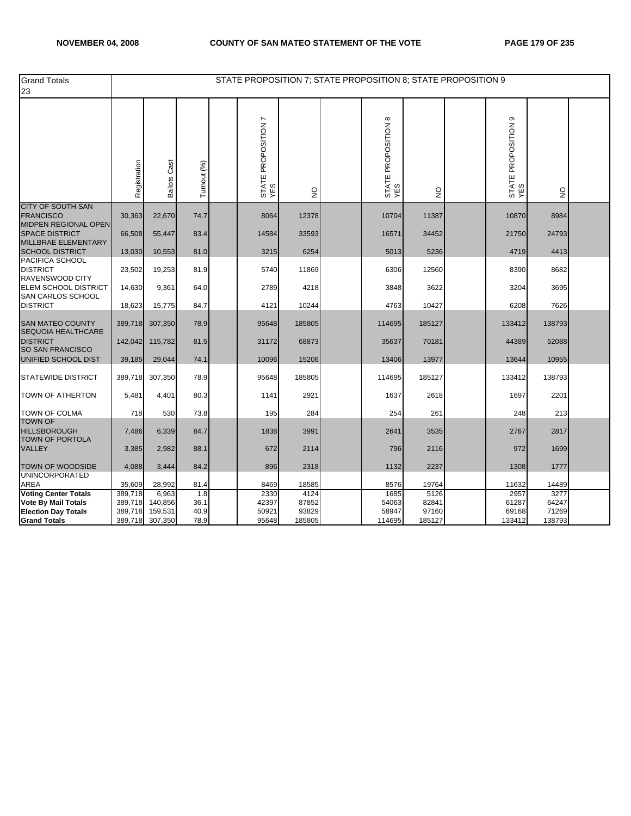| <b>Grand Totals</b><br>23                                                                                      |                                          |                                        |                             | STATE PROPOSITION 7; STATE PROPOSITION 8; STATE PROPOSITION 9 |                                  |                                  |                                  |                                     |                                  |  |
|----------------------------------------------------------------------------------------------------------------|------------------------------------------|----------------------------------------|-----------------------------|---------------------------------------------------------------|----------------------------------|----------------------------------|----------------------------------|-------------------------------------|----------------------------------|--|
|                                                                                                                | Registration                             | <b>Ballots Cast</b>                    | Turnout (%)                 | STATE PROPOSITION 7<br>YES                                    | $\frac{0}{2}$                    | STATE PROPOSITION 8<br>YES       | $\frac{0}{2}$                    | $\circ$<br>STATE PROPOSITION<br>YES | $\frac{0}{2}$                    |  |
| <b>CITY OF SOUTH SAN</b><br><b>FRANCISCO</b>                                                                   | 30,363                                   | 22,670                                 | 74.7                        | 8064                                                          | 12378                            | 10704                            | 11387                            | 10870                               | 8984                             |  |
| MIDPEN REGIONAL OPEN<br><b>SPACE DISTRICT</b><br>MILLBRAE ELEMENTARY                                           | 66,508                                   | 55,447                                 | 83.4                        | 14584                                                         | 33593                            | 16571                            | 34452                            | 21750                               | 24793                            |  |
| <b>SCHOOL DISTRICT</b>                                                                                         | 13,030                                   | 10,553                                 | 81.0                        | 3215                                                          | 6254                             | 5013                             | 5236                             | 4719                                | 4413                             |  |
| PACIFICA SCHOOL<br><b>DISTRICT</b><br>RAVENSWOOD CITY                                                          | 23,502                                   | 19,253                                 | 81.9                        | 5740                                                          | 11869                            | 6306                             | 12560                            | 8390                                | 8682                             |  |
| ELEM SCHOOL DISTRICT<br>SAN CARLOS SCHOOL                                                                      | 14,630                                   | 9,361                                  | 64.0                        | 2789                                                          | 4218                             | 3848                             | 3622                             | 3204                                | 3695                             |  |
| <b>DISTRICT</b>                                                                                                | 18,623                                   | 15,775                                 | 84.7                        | 4121                                                          | 10244                            | 4763                             | 10427                            | 6208                                | 7626                             |  |
| <b>SAN MATEO COUNTY</b><br><b>SEQUOIA HEALTHCARE</b>                                                           | 389,718                                  | 307,350                                | 78.9                        | 95648                                                         | 185805                           | 114695                           | 185127                           | 133412                              | 138793                           |  |
| <b>DISTRICT</b><br><b>SO SAN FRANCISCO</b>                                                                     | 142,042                                  | 115,782                                | 81.5                        | 31172                                                         | 68873                            | 35637                            | 70181                            | 44389                               | 52088                            |  |
| UNIFIED SCHOOL DIST                                                                                            | 39,185                                   | 29,044                                 | 74.1                        | 10096                                                         | 15206                            | 13406                            | 13977                            | 13644                               | 10955                            |  |
| <b>STATEWIDE DISTRICT</b>                                                                                      | 389,718                                  | 307,350                                | 78.9                        | 95648                                                         | 185805                           | 114695                           | 185127                           | 133412                              | 138793                           |  |
| <b>TOWN OF ATHERTON</b>                                                                                        | 5,481                                    | 4,401                                  | 80.3                        | 1141                                                          | 2921                             | 1637                             | 2618                             | 1697                                | 2201                             |  |
| <b>TOWN OF COLMA</b>                                                                                           | 718                                      | 530                                    | 73.8                        | 195                                                           | 284                              | 254                              | 261                              | 248                                 | 213                              |  |
| <b>TOWN OF</b><br><b>HILLSBOROUGH</b><br><b>TOWN OF PORTOLA</b>                                                | 7,486                                    | 6,339                                  | 84.7                        | 1838                                                          | 3991                             | 2641                             | 3535                             | 2767                                | 2817                             |  |
| <b>VALLEY</b>                                                                                                  | 3,385                                    | 2,982                                  | 88.1                        | 672                                                           | 2114                             | 796                              | 2116                             | 972                                 | 1699                             |  |
| <b>TOWN OF WOODSIDE</b><br><b>UNINCORPORATED</b>                                                               | 4,088                                    | 3,444                                  | 84.2                        | 896                                                           | 2318                             | 1132                             | 2237                             | 1308                                | 1777                             |  |
| AREA                                                                                                           | 35,609                                   | 28,992                                 | 81.4                        | 8469                                                          | 18585                            | 8576                             | 19764                            | 11632                               | 14489                            |  |
| <b>Voting Center Totals</b><br><b>Vote By Mail Totals</b><br><b>Election Day Totals</b><br><b>Grand Totals</b> | 389,718<br>389,718<br>389,718<br>389,718 | 6,963<br>140,856<br>159,531<br>307,350 | 1.8<br>36.1<br>40.9<br>78.9 | 2330<br>42397<br>50921<br>95648                               | 4124<br>87852<br>93829<br>185805 | 1685<br>54063<br>58947<br>114695 | 5126<br>82841<br>97160<br>185127 | 2957<br>61287<br>69168<br>133412    | 3277<br>64247<br>71269<br>138793 |  |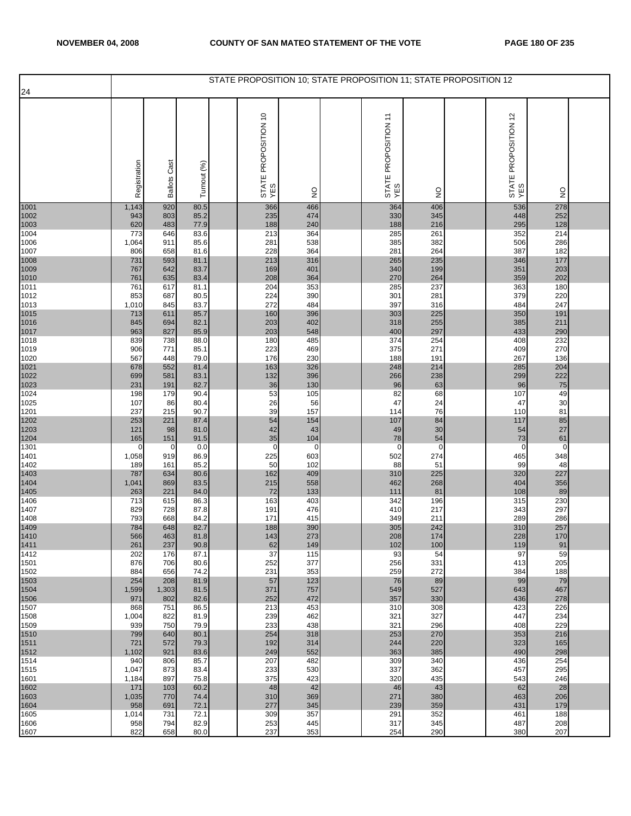|              |                     |                     |              | STATE PROPOSITION 10; STATE PROPOSITION 11; STATE PROPOSITION 12 |                    |                             |                 |                             |                   |  |
|--------------|---------------------|---------------------|--------------|------------------------------------------------------------------|--------------------|-----------------------------|-----------------|-----------------------------|-------------------|--|
| 24           |                     |                     |              |                                                                  |                    |                             |                 |                             |                   |  |
|              | Registration        | <b>Ballots Cast</b> | Turnout (%)  | STATE PROPOSITION 10<br>YES                                      | $\frac{0}{2}$      | STATE PROPOSITION 11<br>YES | $\frac{0}{2}$   | STATE PROPOSITION 12<br>YES | $\frac{0}{2}$     |  |
| 1001         | 1,143               | 920                 | 80.5         | 366                                                              | 466                | 364                         | 406             | 536                         | 278               |  |
| 1002<br>1003 | 943<br>620          | 803<br>483          | 85.2<br>77.9 | 235<br>188                                                       | 474<br>240         | 330<br>188                  | 345<br>216      | 448<br>295                  | 252<br>128        |  |
| 1004         | 773                 | 646                 | 83.6         | 213                                                              | 364                | 285                         | 261             | 352                         | 214               |  |
| 1006<br>1007 | 1,064               | 911<br>658          | 85.6<br>81.6 | 281<br>228                                                       | 538<br>364         | 385<br>281                  | 382<br>264      | 506<br>387                  | 286<br>182        |  |
| 1008         | 806<br>731          | 593                 | 81.1         | 213                                                              | 316                | 265                         | 235             | 346                         | 177               |  |
| 1009         | 767                 | 642                 | 83.7         | 169                                                              | 401                | 340                         | 199             | 351                         | 203               |  |
| 1010<br>1011 | 761<br>761          | 635<br>617          | 83.4<br>81.1 | 208<br>204                                                       | 364<br>353         | 270<br>285                  | 264<br>237      | 359<br>363                  | 202<br>180        |  |
| 1012         | 853                 | 687                 | 80.5         | 224                                                              | 390                | 301                         | 281             | 379                         | 220               |  |
| 1013         | 1,010               | 845                 | 83.7         | 272                                                              | 484                | 397                         | 316             | 484                         | 247               |  |
| 1015<br>1016 | 713<br>845          | 611<br>694          | 85.7<br>82.1 | 160<br>203                                                       | 396<br>402         | 303<br>318                  | 225<br>255      | 350<br>385                  | 191<br>211        |  |
| 1017         | 963                 | 827                 | 85.9         | 203                                                              | 548                | 400                         | 297             | 433                         | 290               |  |
| 1018<br>1019 | 839<br>906          | 738<br>771          | 88.0<br>85.1 | 180<br>223                                                       | 485<br>469         | 374<br>375                  | 254<br>271      | 408<br>409                  | 232<br>270        |  |
| 1020         | 567                 | 448                 | 79.0         | 176                                                              | 230                | 188                         | 191             | 267                         | 136               |  |
| 1021         | 678                 | 552                 | 81.4         | 163                                                              | 326                | 248                         | 214             | 285                         | 204               |  |
| 1022<br>1023 | 699<br>231          | 581<br>191          | 83.1<br>82.7 | 132<br>36                                                        | 396<br>130         | 266<br>96                   | 238<br>63       | 299<br>96                   | 222<br>75         |  |
| 1024         | 198                 | 179                 | 90.4         | 53                                                               | 105                | 82                          | 68              | 107                         | 49                |  |
| 1025         | 107<br>237          | 86<br>215           | 80.4<br>90.7 | 26<br>39                                                         | 56<br>157          | 47<br>114                   | 24<br>76        | 47<br>110                   | 30<br>81          |  |
| 1201<br>1202 | 253                 | 221                 | 87.4         | 54                                                               | 154                | 107                         | 84              | 117                         | 85                |  |
| 1203         | 121                 | 98                  | 81.0         | 42                                                               | 43                 | 49                          | 30              | 54                          | 27                |  |
| 1204<br>1301 | 165<br>$\mathbf{0}$ | 151<br>0            | 91.5<br>0.0  | 35<br>$\mathbf 0$                                                | 104<br>$\mathbf 0$ | 78<br>$\overline{0}$        | 54<br>$\pmb{0}$ | 73<br>0                     | 61<br>$\mathbf 0$ |  |
| 1401         | 1,058               | 919                 | 86.9         | 225                                                              | 603                | 502                         | 274             | 465                         | 348               |  |
| 1402         | 189                 | 161                 | 85.2         | 50                                                               | 102<br>409         | 88                          | 51<br>225       | 99                          | 48<br>227         |  |
| 1403<br>1404 | 787<br>1,041        | 634<br>869          | 80.6<br>83.5 | 162<br>215                                                       | 558                | 310<br>462                  | 268             | 320<br>404                  | 356               |  |
| 1405         | 263                 | 221                 | 84.0         | 72                                                               | 133                | 111                         | 81              | 108                         | 89                |  |
| 1406<br>1407 | 713<br>829          | 615<br>728          | 86.3<br>87.8 | 163<br>191                                                       | 403<br>476         | 342<br>410                  | 196<br>217      | 315<br>343                  | 230<br>297        |  |
| 1408         | 793                 | 668                 | 84.2         | 171                                                              | 415                | 349                         | 211             | 289                         | 286               |  |
| 1409<br>1410 | 784                 | 648                 | 82.7         | 188                                                              | 390                | 305                         | 242             | 310<br>228                  | 257               |  |
| 1411         | 566<br>261          | 463<br>237          | 81.8<br>90.8 | 143<br>62                                                        | 273<br>149         | 208<br>102                  | 174<br>100      | 119                         | 170<br>91         |  |
| 1412         | 202                 | 176                 | 87.1         | 37                                                               | 115                | 93                          | 54              | 97                          | 59                |  |
| 1501<br>1502 | 876<br>884          | 706<br>656          | 80.6<br>74.2 | 252<br>231                                                       | 377<br>353         | 256<br>259                  | 331<br>272      | 413<br>384                  | 205<br>188        |  |
| 1503         | 254                 | 208                 | 81.9         | 57                                                               | 123                | 76                          | 89              | 99                          | 79                |  |
| 1504<br>1506 | 1,599<br>971        | 1,303<br>802        | 81.5<br>82.6 | 371<br>252                                                       | 757<br>472         | 549<br>357                  | 527<br>330      | 643<br>436                  | 467<br>278        |  |
| 1507         | 868                 | 751                 | 86.5         | 213                                                              | 453                | 310                         | 308             | 423                         | 226               |  |
| 1508         | 1,004               | 822                 | 81.9         | 239                                                              | 462                | 321                         | 327             | 447                         | 234               |  |
| 1509<br>1510 | 939<br>799          | 750<br>640          | 79.9<br>80.1 | 233<br>254                                                       | 438<br>318         | 321<br>253                  | 296<br>270      | 408<br>353                  | 229<br>216        |  |
| 1511         | 721                 | 572                 | 79.3         | 192                                                              | 314                | 244                         | 220             | 323                         | 165               |  |
| 1512<br>1514 | 1,102<br>940        | 921<br>806          | 83.6<br>85.7 | 249<br>207                                                       | 552<br>482         | 363<br>309                  | 385<br>340      | 490<br>436                  | 298<br>254        |  |
| 1515         | 1,047               | 873                 | 83.4         | 233                                                              | 530                | 337                         | 362             | 457                         | 295               |  |
| 1601         | 1,184               | 897                 | 75.8         | 375                                                              | 423                | 320                         | 435             | 543                         | 246               |  |
| 1602<br>1603 | 171<br>1,035        | 103<br>770          | 60.2<br>74.4 | 48<br>310                                                        | 42<br>369          | 46<br>271                   | 43<br>380       | 62<br>463                   | 28<br>206         |  |
| 1604         | 958                 | 691                 | 72.1         | 277                                                              | 345                | 239                         | 359             | 431                         | 179               |  |
| 1605<br>1606 | 1,014<br>958        | 731<br>794          | 72.1<br>82.9 | 309<br>253                                                       | 357<br>445         | 291<br>317                  | 352<br>345      | 461<br>487                  | 188<br>208        |  |
| 1607         | 822                 | 658                 | 80.0         | 237                                                              | 353                | 254                         | 290             | 380                         | 207               |  |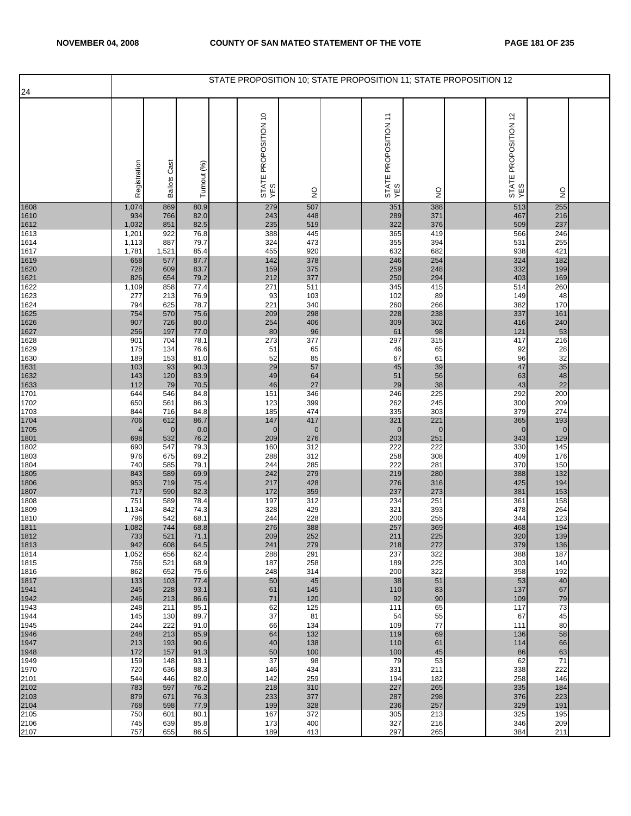| 24                                                                                                                                                                                |                  |
|-----------------------------------------------------------------------------------------------------------------------------------------------------------------------------------|------------------|
|                                                                                                                                                                                   |                  |
| STATE PROPOSITION 10<br>YES<br>STATE PROPOSITION 12<br>YES<br>STATE PROPOSITION 11<br>YES<br>Registration<br><b>Ballots Cast</b><br>Turnout (%)<br>$\frac{0}{2}$<br>$\frac{0}{2}$ | $\frac{0}{2}$    |
| 513<br>1608<br>869<br>279<br>351<br>388<br>1,074<br>80.9<br>507                                                                                                                   | 255              |
| 371<br>766<br>82.0<br>243<br>448<br>289<br>467<br>1610<br>934<br>376<br>1612<br>851<br>82.5<br>235<br>519<br>322<br>509<br>1,032                                                  | 216<br>237       |
| 388<br>445<br>419<br>1613<br>1,201<br>922<br>76.8<br>365<br>566                                                                                                                   | 246              |
| 887<br>79.7<br>324<br>473<br>355<br>394<br>531<br>1614<br>1,113                                                                                                                   | 255              |
| 920<br>682<br>938<br>1617<br>1,521<br>85.4<br>455<br>632<br>1,781<br>378<br>1619<br>658<br>577<br>87.7<br>142<br>246<br>254<br>324                                                | 421<br>182       |
| 1620<br>375<br>332<br>728<br>83.7<br>159<br>259<br>248<br>609                                                                                                                     | 199              |
| 294<br>1621<br>826<br>654<br>79.2<br>212<br>377<br>250<br>403<br>1622<br>271<br>511<br>415<br>1,109<br>858<br>77.4<br>345<br>514                                                  | 169<br>260       |
| 213<br>103<br>102<br>89<br>1623<br>277<br>76.9<br>93<br>149                                                                                                                       | 48               |
| 1624<br>78.7<br>221<br>340<br>260<br>266<br>382<br>794<br>625                                                                                                                     | 170              |
| 209<br>298<br>228<br>238<br>337<br>1625<br>754<br>570<br>75.6<br>1626<br>726<br>80.0<br>254<br>406<br>309<br>302<br>907<br>416                                                    | 161<br>240       |
| 96<br>1627<br>197<br>77.0<br>80<br>98<br>121<br>256<br>61                                                                                                                         | 53               |
| 1628<br>901<br>704<br>78.1<br>273<br>377<br>297<br>315<br>417<br>1629<br>175<br>134<br>76.6<br>51<br>65<br>65<br>92<br>46                                                         | 216<br>28        |
| 1630<br>189<br>153<br>81.0<br>52<br>85<br>67<br>61<br>96                                                                                                                          | 32               |
| 1631<br>93<br>29<br>57<br>45<br>39<br>47<br>103<br>90.3<br>56<br>83.9<br>49<br>64<br>51                                                                                           | 35<br>48         |
| 1632<br>143<br>120<br>63<br>38<br>46<br>29<br>43<br>1633<br>112<br>79<br>70.5<br>27                                                                                               | 22               |
| 346<br>246<br>225<br>292<br>1701<br>644<br>546<br>84.8<br>151                                                                                                                     | 200              |
| 399<br>245<br>1702<br>561<br>86.3<br>123<br>262<br>300<br>650<br>474<br>335<br>303<br>379<br>1703<br>716<br>84.8<br>185<br>844                                                    | 209<br>274       |
| 1704<br>221<br>706<br>612<br>86.7<br>147<br>417<br>321<br>365                                                                                                                     | 193              |
| 1705<br>$\mathbf 0$<br>0.0<br>$\mathbf{0}$<br>$\mathbf 0$<br>$\mathbf{0}$<br>$\mathbf{0}$<br>$\mathbf 0$<br>4<br>76.2<br>1801<br>532<br>209<br>276<br>203<br>251<br>343<br>698    | $\pmb{0}$<br>129 |
| 222<br>1802<br>690<br>547<br>79.3<br>312<br>222<br>330<br>160                                                                                                                     | 145              |
| 312<br>258<br>308<br>1803<br>976<br>675<br>69.2<br>288<br>409<br>285<br>281<br>740<br>585<br>79.1<br>244<br>222<br>370                                                            | 176<br>150       |
| 1804<br>279<br>280<br>1805<br>843<br>69.9<br>242<br>219<br>388<br>589                                                                                                             | 132              |
| 1806<br>719<br>75.4<br>217<br>428<br>276<br>316<br>425<br>953                                                                                                                     | 194              |
| 1807<br>273<br>717<br>590<br>82.3<br>172<br>359<br>237<br>381<br>197<br>251<br>1808<br>589<br>78.4<br>312<br>234<br>361<br>751                                                    | 153<br>158       |
| 74.3<br>328<br>429<br>393<br>1809<br>1,134<br>842<br>321<br>478                                                                                                                   | 264              |
| 228<br>255<br>542<br>68.1<br>244<br>200<br>344<br>1810<br>796<br>388<br>1,082<br>744<br>68.8<br>276<br>257<br>369<br>468                                                          | 123<br>194       |
| 1811<br>1812<br>733<br>521<br>252<br>225<br>320<br>71.1<br>209<br>211                                                                                                             | 139              |
| 1813<br>379<br>942<br>608<br>64.5<br>241<br>279<br>218<br>272<br>1814<br>322<br>1,052<br>656<br>62.4<br>288<br>291<br>237<br>388                                                  | 136<br>187       |
| 258<br>225<br>1815<br>521<br>68.9<br>187<br>756<br>189<br>303                                                                                                                     | 140              |
| 322<br>1816<br>652<br>248<br>200<br>862<br>75.6<br>314<br>358                                                                                                                     | 192              |
| 51<br>1817<br>133<br>103<br>77.4<br>50<br>45<br>38<br>53<br>1941<br>245<br>228<br>93.1<br>61<br>145<br>110<br>83<br>137                                                           | 40<br>67         |
| 71<br>120<br>90<br>1942<br>246<br>213<br>86.6<br>92<br>109                                                                                                                        | 79               |
| 62<br>125<br>65<br>1943<br>248<br>211<br>85.1<br>111<br>117<br>37<br>1944<br>145<br>130<br>89.7<br>81<br>54<br>55<br>67                                                           | 73<br>45         |
| 1945<br>244<br>222<br>91.0<br>66<br>134<br>109<br>77<br>111                                                                                                                       | 80               |
| 1946<br>248<br>213<br>85.9<br>132<br>119<br>64<br>69<br>136<br>1947<br>138<br>213<br>193<br>90.6<br>40<br>110<br>61<br>114                                                        | 58<br>66         |
| 1948<br>172<br>157<br>91.3<br>50<br>100<br>100<br>45<br>86                                                                                                                        | 63               |
|                                                                                                                                                                                   | 71<br>222        |
| 37<br>53<br>1949<br>159<br>148<br>93.1<br>98<br>79<br>62                                                                                                                          |                  |
| 1970<br>720<br>636<br>88.3<br>146<br>434<br>331<br>338<br>211<br>2101<br>82.0<br>142<br>259<br>194<br>182<br>258<br>544<br>446                                                    | 146              |
| 783<br>597<br>76.2<br>218<br>310<br>227<br>265<br>335                                                                                                                             | 184              |
| 879<br>671<br>76.3<br>233<br>377<br>287<br>298<br>376<br>257<br>768<br>598<br>77.9<br>199<br>328<br>236<br>329                                                                    | 223<br>191       |
| 2102<br>2103<br>2104<br>2105<br>372<br>750<br>601<br>80.1<br>167<br>305<br>213<br>325<br>2106<br>639<br>745<br>85.8<br>173<br>400<br>327<br>216<br>346                            | 195<br>209       |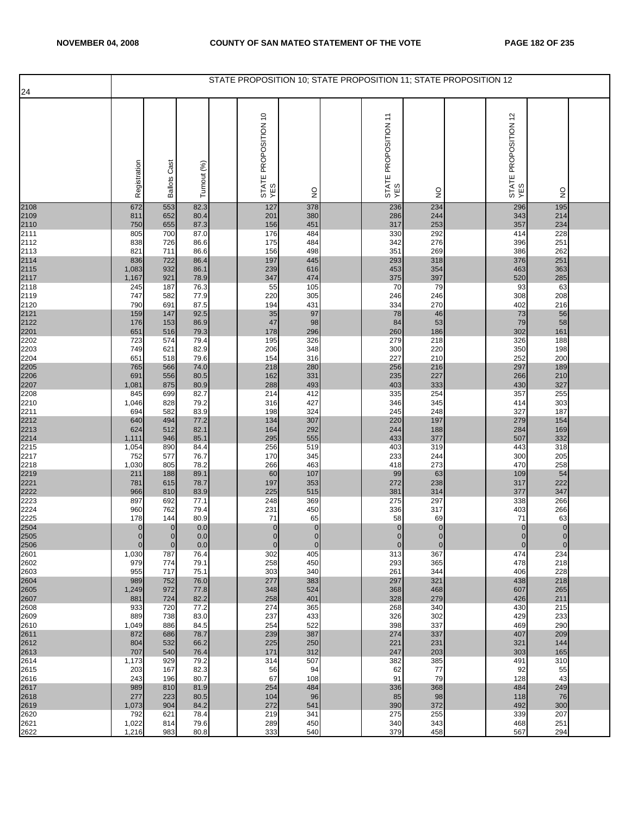| 24                                                   |                                            |                                        |                                              |                                       |                                        |                                       | STATE PROPOSITION 10; STATE PROPOSITION 11; STATE PROPOSITION 12 |                                       |                                       |  |
|------------------------------------------------------|--------------------------------------------|----------------------------------------|----------------------------------------------|---------------------------------------|----------------------------------------|---------------------------------------|------------------------------------------------------------------|---------------------------------------|---------------------------------------|--|
|                                                      | Registration                               | <b>Ballots Cast</b>                    | Turnout (%)                                  | STATE PROPOSITION 10<br>YES           | $\frac{0}{2}$                          | STATE PROPOSITION 11<br>YES           | $\frac{0}{2}$                                                    | STATE PROPOSITION 12<br>YES           | $\frac{0}{2}$                         |  |
| 2108<br>2109<br>2110<br>2111                         | 672<br>811                                 | 553<br>652                             | 82.3<br>80.4                                 | 127<br>201                            | 378<br>380                             | 236<br>286                            | 234<br>244                                                       | 296<br>343                            | 195<br>214                            |  |
|                                                      | 750<br>805                                 | 655<br>700                             | 87.3<br>87.0                                 | 156<br>176                            | 451<br>484                             | 317<br>330                            | 253<br>292                                                       | 357<br>414                            | 234<br>228                            |  |
| 2112                                                 | 838<br>821                                 | 726<br>711                             | 86.6<br>86.6                                 | 175<br>156                            | 484<br>498                             | 342<br>351                            | 276<br>269                                                       | 396<br>386                            | 251<br>262                            |  |
| 2113<br>2114<br>2115<br>2117<br>2118<br>2119<br>2120 | 836<br>1,083<br>1,167<br>245<br>747<br>790 | 722<br>932<br>921<br>187<br>582<br>691 | 86.4<br>86.1<br>78.9<br>76.3<br>77.9<br>87.5 | 197<br>239<br>347<br>55<br>220<br>194 | 445<br>616<br>474<br>105<br>305<br>431 | 293<br>453<br>375<br>70<br>246<br>334 | 318<br>354<br>397<br>79<br>246<br>270                            | 376<br>463<br>520<br>93<br>308<br>402 | 251<br>363<br>285<br>63<br>208<br>216 |  |
| 2121<br>2122                                         | 159<br>176<br>651                          | 147<br>153<br>516                      | 92.5<br>86.9<br>79.3                         | 35<br>47<br>178                       | 97<br>98<br>296                        | 78<br>84<br>260                       | 46<br>53<br>186                                                  | 73<br>79<br>302                       | 56<br>58<br>161                       |  |
| 2201<br>2202<br>2203                                 | 723<br>749                                 | 574<br>621                             | 79.4<br>82.9                                 | 195<br>206                            | 326<br>348                             | 279<br>300                            | 218<br>220                                                       | 326<br>350                            | 188<br>198                            |  |
| 2204                                                 | 651<br>765                                 | 518<br>566                             | 79.6<br>74.0                                 | 154<br>218                            | 316<br>280                             | 227<br>256                            | 210<br>216                                                       | 252<br>297                            | 200<br>189                            |  |
| 2205<br>2206<br>2207                                 | 691<br>1,081                               | 556<br>875                             | 80.5<br>80.9                                 | 162<br>288                            | 331<br>493                             | 235<br>403                            | 227<br>333                                                       | 266<br>430                            | 210<br>327                            |  |
| 2208<br>2210                                         | 845<br>1,046                               | 699<br>828                             | 82.7<br>79.2                                 | 214<br>316                            | 412<br>427                             | 335<br>346                            | 254<br>345                                                       | 357<br>414                            | 255<br>303                            |  |
| 2211                                                 | 694<br>640                                 | 582<br>494                             | 83.9<br>77.2                                 | 198<br>134                            | 324<br>307                             | 245<br>220                            | 248<br>197                                                       | 327<br>279                            | 187<br>154                            |  |
| 2212<br>2213<br>2214<br>2215                         | 624<br>1,111                               | 512<br>946                             | 82.1<br>85.1                                 | 164<br>295                            | 292<br>555                             | 244<br>433                            | 188<br>377                                                       | 284<br>507                            | 169<br>332                            |  |
| 2217<br>2218                                         | 1,054<br>752<br>1,030                      | 890<br>577<br>805                      | 84.4<br>76.7<br>78.2                         | 256<br>170<br>266                     | 519<br>345<br>463                      | 403<br>233<br>418                     | 319<br>244<br>273                                                | 443<br>300<br>470                     | 318<br>205<br>258                     |  |
| 2219<br>2221<br>2222                                 | 211<br>781<br>966                          | 188<br>615<br>810                      | 89.1<br>78.7<br>83.9                         | 60<br>197<br>225                      | 107<br>353<br>515                      | 99<br>272<br>381                      | 63<br>238<br>314                                                 | 109<br>317<br>377                     | 54<br>222<br>347                      |  |
| 2223<br>2224<br>2225                                 | 897<br>960                                 | 692<br>762                             | 77.1<br>79.4<br>80.9                         | 248<br>231<br>71                      | 369<br>450<br>65                       | 275<br>336<br>58                      | 297<br>317<br>69                                                 | 338<br>403<br>71                      | 266<br>266<br>63                      |  |
| 2504<br>2505                                         | 178<br>$\mathbf{0}$<br>$\overline{0}$      | 144<br>$\mathbf{0}$<br>$\overline{0}$  | $0.0\,$<br>0.0                               | $\mathbf{0}$<br>$\Omega$              | $\pmb{0}$<br>$\overline{0}$            | $\mathbf 0$<br>$\overline{0}$         | $\overline{0}$<br>$\overline{0}$                                 | $\mathbf{0}$<br>$\Omega$              | $\pmb{0}$<br>$\pmb{0}$                |  |
| 2506<br>2601                                         | $\mathbf{0}$<br>1,030                      | $\overline{0}$<br>787                  | 0.0<br>76.4                                  | $\mathbf 0$<br>302                    | $\mathbf{0}$<br>405                    | $\mathbf{0}$<br>313                   | $\mathbf 0$<br>367                                               | $\mathbf 0$<br>474                    | $\mathbf 0$<br>234                    |  |
| 2602<br>2603                                         | 979<br>955                                 | 774<br>717                             | 79.1<br>75.1                                 | 258<br>303                            | 450<br>340                             | 293<br>261                            | 365<br>344                                                       | 478<br>406                            | 218<br>228                            |  |
| 2604<br>2605<br>2607                                 | 989<br>1,249<br>881                        | 752<br>972<br>724                      | 76.0<br>77.8<br>82.2                         | 277<br>348<br>258                     | 383<br>524<br>401                      | 297<br>368<br>328                     | 321<br>468<br>279                                                | 438<br>607<br>426                     | 218<br>265<br>211                     |  |
| 2608<br>2609<br>2610                                 | 933<br>889<br>1,049                        | 720<br>738<br>886                      | 77.2<br>83.0<br>84.5                         | 274<br>237<br>254                     | 365<br>433<br>522                      | 268<br>326<br>398                     | 340<br>302<br>337                                                | 430<br>429<br>469                     | 215<br>233<br>290                     |  |
| 2611<br>2612                                         | 872<br>804                                 | 686<br>532                             | 78.7<br>66.2                                 | 239<br>225                            | 387<br>250                             | 274<br>221                            | 337<br>231                                                       | 407<br>321                            | 209<br>144                            |  |
| 2613<br>2614<br>2615                                 | 707<br>1,173<br>203                        | 540<br>929<br>167                      | 76.4<br>79.2<br>82.3                         | 171<br>314<br>56                      | 312<br>507<br>94                       | 247<br>382<br>62                      | 203<br>385<br>77                                                 | 303<br>491<br>92                      | 165<br>310<br>55                      |  |
| 2616<br>2617                                         | 243<br>989                                 | 196<br>810                             | 80.7<br>81.9                                 | 67<br>254                             | 108<br>484                             | 91<br>336                             | 79<br>368                                                        | 128<br>484                            | 43<br>249                             |  |
| 2618<br>2619                                         | 277<br>1,073                               | 223<br>904                             | 80.5<br>84.2                                 | 104<br>272                            | 96<br>541                              | 85<br>390                             | 98<br>372                                                        | 118<br>492                            | 76<br>300                             |  |
| 2620<br>2621<br>2622                                 | 792<br>1,022<br>1,216                      | 621<br>814<br>983                      | 78.4<br>79.6<br>80.8                         | 219<br>289<br>333                     | 341<br>450<br>540                      | 275<br>340<br>379                     | 255<br>343<br>458                                                | 339<br>468<br>567                     | 207<br>251<br>294                     |  |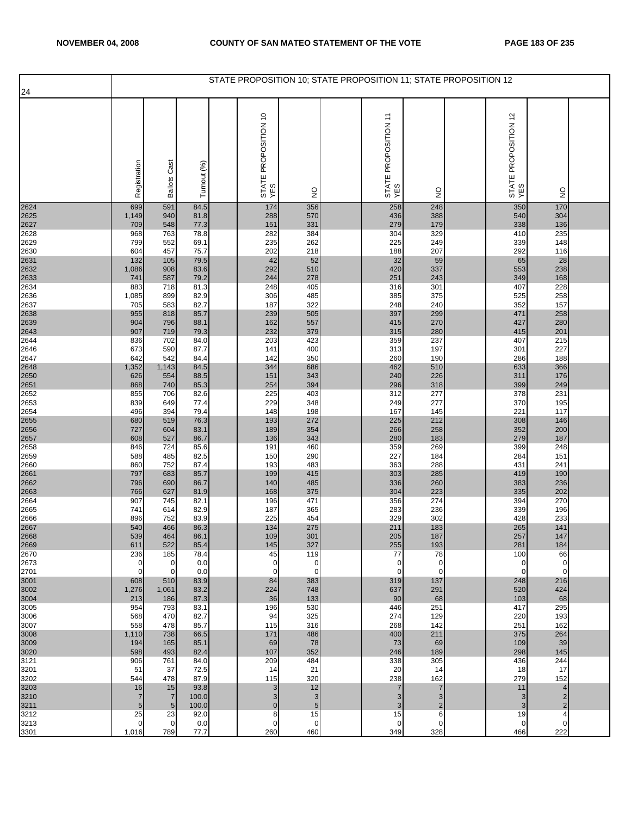|              |                               |                      |               | STATE PROPOSITION 10; STATE PROPOSITION 11; STATE PROPOSITION 12 |                    |                             |                            |                             |                                  |  |
|--------------|-------------------------------|----------------------|---------------|------------------------------------------------------------------|--------------------|-----------------------------|----------------------------|-----------------------------|----------------------------------|--|
| 24           |                               |                      |               |                                                                  |                    |                             |                            |                             |                                  |  |
|              | Registration                  | <b>Ballots Cast</b>  | Turnout (%)   | STATE PROPOSITION 10<br>YES                                      | $\frac{0}{2}$      | STATE PROPOSITION 11<br>YES | $\frac{0}{2}$              | STATE PROPOSITION 12<br>YES | $\frac{0}{2}$                    |  |
| 2624         | 699                           | 591                  | 84.5          | 174                                                              | 356                | 258                         | 248                        | 350                         | 170                              |  |
| 2625<br>2627 | 1,149<br>709                  | 940<br>548           | 81.8<br>77.3  | 288<br>151                                                       | 570<br>331         | 436<br>279                  | 388<br>179                 | 540<br>338                  | 304<br>136                       |  |
| 2628         | 968                           | 763                  | 78.8          | 282                                                              | 384                | 304                         | 329                        | 410                         | 235                              |  |
| 2629         | 799                           | 552<br>457           | 69.1          | 235<br>202                                                       | 262<br>218         | 225<br>188                  | 249<br>207                 | 339<br>292                  | 148<br>116                       |  |
| 2630<br>2631 | 604<br>132                    | 105                  | 75.7<br>79.5  | 42                                                               | 52                 | 32                          | 59                         | 65                          | 28                               |  |
| 2632         | 1,086                         | 908                  | 83.6          | 292                                                              | 510                | 420                         | 337                        | 553                         | 238                              |  |
| 2633<br>2634 | 741<br>883                    | 587<br>718           | 79.2<br>81.3  | 244<br>248                                                       | 278<br>405         | 251<br>316                  | 243<br>301                 | 349<br>407                  | 168<br>228                       |  |
| 2636         | 1,085                         | 899                  | 82.9          | 306                                                              | 485                | 385                         | 375                        | 525                         | 258                              |  |
| 2637         | 705                           | 583                  | 82.7          | 187                                                              | 322                | 248                         | 240                        | 352                         | 157                              |  |
| 2638         | 955<br>904                    | 818<br>796           | 85.7<br>88.1  | 239<br>162                                                       | 505<br>557         | 397<br>415                  | 299<br>270                 | 471<br>427                  | 258<br>280                       |  |
| 2639<br>2643 | 907                           | 719                  | 79.3          | 232                                                              | 379                | 315                         | 280                        | 415                         | 201                              |  |
| 2644<br>2646 | 836<br>673                    | 702<br>590           | 84.0<br>87.7  | 203<br>141                                                       | 423<br>400         | 359<br>313                  | 237<br>197                 | 407<br>301                  | 215<br>227                       |  |
| 2647         | 642                           | 542                  | 84.4          | 142                                                              | 350                | 260                         | 190                        | 286                         | 188                              |  |
| 2648<br>2650 | 1,352                         | 1,143                | 84.5          | 344                                                              | 686                | 462                         | 510                        | 633                         | 366                              |  |
| 2651         | 626<br>868                    | 554<br>740           | 88.5<br>85.3  | 151<br>254                                                       | 343<br>394         | 240<br>296                  | 226<br>318                 | 311<br>399                  | 176<br>249                       |  |
| 2652         | 855                           | 706                  | 82.6          | 225                                                              | 403                | 312                         | 277                        | 378                         | 231                              |  |
| 2653         | 839                           | 649                  | 77.4          | 229                                                              | 348                | 249                         | 277<br>145                 | 370<br>221                  | 195<br>117                       |  |
| 2654<br>2655 | 496<br>680                    | 394<br>519           | 79.4<br>76.3  | 148<br>193                                                       | 198<br>272         | 167<br>225                  | 212                        | 308                         | 146                              |  |
| 2656         | 727                           | 604                  | 83.1          | 189                                                              | 354                | 266                         | 258                        | 352                         | 200                              |  |
| 2657<br>2658 | 608<br>846                    | 527<br>724           | 86.7<br>85.6  | 136<br>191                                                       | 343<br>460         | 280<br>359                  | 183<br>269                 | 279<br>399                  | 187<br>248                       |  |
| 2659         | 588                           | 485                  | 82.5          | 150                                                              | 290                | 227                         | 184                        | 284                         | 151                              |  |
| 2660         | 860                           | 752                  | 87.4          | 193                                                              | 483                | 363                         | 288                        | 431                         | 241                              |  |
| 2661<br>2662 | 797<br>796                    | 683<br>690           | 85.7<br>86.7  | 199<br>140                                                       | 415<br>485         | 303<br>336                  | 285<br>260                 | 419<br>383                  | 190<br>236                       |  |
| 2663         | 766                           | 627                  | 81.9          | 168                                                              | 375                | 304                         | 223                        | 335                         | 202                              |  |
| 2664<br>2665 | 907<br>741                    | 745<br>614           | 82.1<br>82.9  | 196<br>187                                                       | 471<br>365         | 356<br>283                  | 274<br>236                 | 394<br>339                  | 270<br>196                       |  |
| 2666         | 896                           | 752                  | 83.9          | 225                                                              | 454                | 329                         | 302                        | 428                         | 233                              |  |
| 2667<br>2668 | 540                           | 466                  | 86.3          | 134                                                              | 275                | 211<br>205                  | 183                        | 265                         | 141                              |  |
| 2669         | 539<br>611                    | 464<br>522           | 86.1<br>85.4  | 109<br>145                                                       | 301<br>327         | 255                         | 187<br>193                 | 257<br>281                  | 147<br>184                       |  |
| 2670         | 236                           | 185                  | 78.4          | 45                                                               | 119                | 77                          | 78                         | 100                         | 66                               |  |
| 2673<br>2701 | $\mathbf 0$<br>$\overline{0}$ | 0<br>$\mathbf 0$     | 0.0<br>0.0    | 0<br>$\mathbf 0$                                                 | 0<br>$\Omega$      | 0<br>$\mathbf 0$            | $\mathbf 0$<br>$\mathbf 0$ | $\mathbf 0$<br>$\mathbf{O}$ | $\mathbf 0$<br>$\mathbf 0$       |  |
| 3001         | 608                           | 510                  | 83.9          | 84                                                               | 383                | 319                         | 137                        | 248                         | 216                              |  |
| 3002<br>3004 | 1,276<br>213                  | 1,061<br>186         | 83.2<br>87.3  | 224<br>36                                                        | 748<br>133         | 637<br>90                   | 291<br>68                  | 520<br>103                  | 424<br>68                        |  |
| 3005         | 954                           | 793                  | 83.1          | 196                                                              | 530                | 446                         | 251                        | 417                         | 295                              |  |
| 3006         | 568                           | 470                  | 82.7          | 94                                                               | 325                | 274                         | 129                        | 220                         | 193                              |  |
| 3007<br>3008 | 558<br>1,110                  | 478<br>738           | 85.7<br>66.5  | 115<br>171                                                       | 316<br>486         | 268<br>400                  | 142<br>211                 | 251<br>375                  | 162<br>264                       |  |
| 3009         | 194                           | 165                  | 85.1          | 69                                                               | 78                 | 73                          | 69                         | 109                         | 39                               |  |
| 3020<br>3121 | 598<br>906                    | 493<br>761           | 82.4<br>84.0  | 107<br>209                                                       | 352<br>484         | 246<br>338                  | 189<br>305                 | 298<br>436                  | 145<br>244                       |  |
| 3201         | 51                            | 37                   | 72.5          | 14                                                               | 21                 | 20                          | 14                         | 18                          | 17                               |  |
| 3202         | 544                           | 478                  | 87.9          | 115                                                              | 320                | 238                         | 162                        | 279                         | 152                              |  |
| 3203<br>3210 | 16<br>$\overline{7}$          | 15<br>$\overline{7}$ | 93.8<br>100.0 | 3<br>3                                                           | 12<br>3            | 7<br>3                      | $\overline{7}$<br>3        | 11<br>3                     | $\overline{4}$<br>$\overline{2}$ |  |
| 3211         | $\overline{5}$                | $5\phantom{.0}$      | 100.0         | $\mathbf 0$                                                      | $\sqrt{5}$         | 3                           | $\overline{c}$             | 3                           | $\overline{2}$                   |  |
| 3212         | 25                            | 23                   | 92.0          | 8                                                                | 15                 | 15                          | 6                          | 19                          | 4                                |  |
| 3213<br>3301 | $\mathbf 0$<br>1,016          | $\mathbf 0$<br>789   | 0.0<br>77.7   | $\mathbf 0$<br>260                                               | $\mathbf 0$<br>460 | 0<br>349                    | $\mathbf 0$<br>328         | $\mathbf 0$<br>466          | 0<br>222                         |  |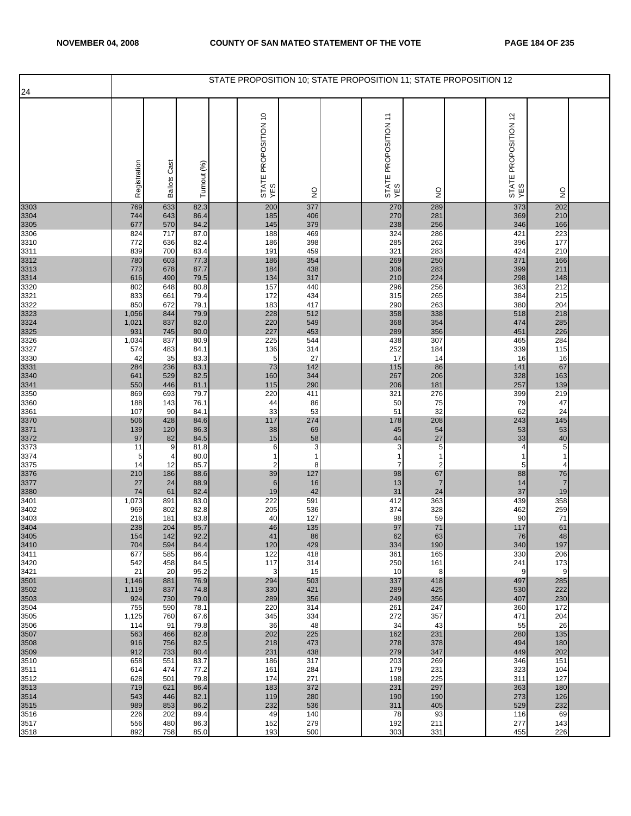|              |              |                        |              | STATE PROPOSITION 10; STATE PROPOSITION 11; STATE PROPOSITION 12 |                     |                                  |                     |                             |                |  |
|--------------|--------------|------------------------|--------------|------------------------------------------------------------------|---------------------|----------------------------------|---------------------|-----------------------------|----------------|--|
| 24           |              |                        |              |                                                                  |                     |                                  |                     |                             |                |  |
|              | Registration | Cast<br><b>Ballots</b> | Turnout (%)  | STATE PROPOSITION 10<br>YES                                      | $\frac{1}{2}$       | STATE PROPOSITION 11<br>YES      | $\frac{1}{2}$       | STATE PROPOSITION 12<br>YES | $\frac{0}{2}$  |  |
| 3303         | 769          | 633                    | 82.3         | 200                                                              | 377                 | 270                              | 289                 | 373                         | 202            |  |
| 3304<br>3305 | 744<br>677   | 643<br>570             | 86.4<br>84.2 | 185<br>145                                                       | 406<br>379          | 270<br>238                       | 281<br>256          | 369<br>346                  | 210<br>166     |  |
| 3306         | 824          | 717                    | 87.0         | 188                                                              | 469                 | 324                              | 286                 | 421                         | 223            |  |
| 3310         | 772          | 636                    | 82.4         | 186                                                              | 398                 | 285                              | 262                 | 396                         | 177            |  |
| 3311<br>3312 | 839<br>780   | 700<br>603             | 83.4<br>77.3 | 191<br>186                                                       | 459<br>354          | 321<br>269                       | 283<br>250          | 424<br>371                  | 210<br>166     |  |
| 3313         | 773          | 678                    | 87.7         | 184                                                              | 438                 | 306                              | 283                 | 399                         | 211            |  |
| 3314         | 616          | 490                    | 79.5         | 134                                                              | 317                 | 210                              | 224                 | 298                         | 148            |  |
| 3320<br>3321 | 802<br>833   | 648<br>661             | 80.8<br>79.4 | 157<br>172                                                       | 440<br>434          | 296<br>315                       | 256<br>265          | 363<br>384                  | 212<br>215     |  |
| 3322         | 850          | 672                    | 79.1         | 183                                                              | 417                 | 290                              | 263                 | 380                         | 204            |  |
| 3323         | 1,056        | 844                    | 79.9         | 228                                                              | 512                 | 358                              | 338                 | 518                         | 218            |  |
| 3324<br>3325 | 1,021<br>931 | 837<br>745             | 82.0<br>80.0 | 220<br>227                                                       | 549<br>453          | 368<br>289                       | 354<br>356          | 474<br>451                  | 285<br>226     |  |
| 3326         | 1,034        | 837                    | 80.9         | 225                                                              | 544                 | 438                              | 307                 | 465                         | 284            |  |
| 3327         | 574          | 483                    | 84.1         | 136                                                              | 314                 | 252                              | 184                 | 339                         | 115            |  |
| 3330<br>3331 | 42<br>284    | 35<br>236              | 83.3<br>83.1 | 5<br>73                                                          | 27<br>142           | 17<br>115                        | 14<br>86            | 16<br>141                   | 16<br>67       |  |
| 3340         | 641          | 529                    | 82.5         | 160                                                              | 344                 | 267                              | 206                 | 328                         | 163            |  |
| 3341         | 550          | 446                    | 81.1         | 115                                                              | 290                 | 206                              | 181                 | 257                         | 139            |  |
| 3350<br>3360 | 869<br>188   | 693<br>143             | 79.7<br>76.1 | 220<br>44                                                        | 411<br>86           | 321<br>50                        | 276<br>75           | 399<br>79                   | 219<br>47      |  |
| 3361         | 107          | 90                     | 84.1         | 33                                                               | 53                  | 51                               | 32                  | 62                          | 24             |  |
| 3370         | 506<br>139   | 428<br>120             | 84.6<br>86.3 | 117<br>38                                                        | 274                 | 178<br>45                        | 208<br>54           | 243<br>53                   | 145<br>53      |  |
| 3371<br>3372 | 97           | 82                     | 84.5         | 15                                                               | 69<br>58            | 44                               | 27                  | 33                          | 40             |  |
| 3373         | 11           | 9                      | 81.8         | 6                                                                | 3                   | 3                                | 5                   | 4                           | $\overline{5}$ |  |
| 3374<br>3375 | 5<br>14      | 4<br>12                | 80.0<br>85.7 | 1<br>$\overline{2}$                                              | $\overline{1}$<br>8 | $\overline{1}$<br>$\overline{7}$ | 1<br>$\overline{2}$ | 1<br>5                      | $\Delta$       |  |
| 3376         | 210          | 186                    | 88.6         | 39                                                               | 127                 | 98                               | 67                  | 88                          | 76             |  |
| 3377         | 27           | 24                     | 88.9         | 6                                                                | 16                  | 13                               | $\overline{7}$      | 14                          | $\overline{7}$ |  |
| 3380<br>3401 | 74<br>1,073  | 61<br>891              | 82.4<br>83.0 | 19<br>222                                                        | 42<br>591           | 31<br>412                        | 24<br>363           | 37<br>439                   | 19<br>358      |  |
| 3402         | 969          | 802                    | 82.8         | 205                                                              | 536                 | 374                              | 328                 | 462                         | 259            |  |
| 3403         | 216<br>238   | 181<br>204             | 83.8<br>85.7 | 40<br>46                                                         | 127<br>135          | 98<br>97                         | 59<br>71            | 90<br>117                   | 71<br>61       |  |
| 3404<br>3405 | 154          | 142                    | 92.2         | 41                                                               | 86                  | 62                               | 63                  | 76                          | 48             |  |
| 3410         | 704          | 594                    | 84.4         | 120                                                              | 429                 | 334                              | 190                 | 340                         | 197            |  |
| 3411<br>3420 | 677<br>542   | 585<br>458             | 86.4<br>84.5 | 122<br>117                                                       | 418<br>314          | 361<br>250                       | 165<br>161          | 330<br>241                  | 206<br>173     |  |
| 3421         | 21           | 20                     | 95.2         | 3                                                                | 15                  | 10                               | 8                   | 9                           | 9              |  |
| 3501         | 1,146        | 881                    | 76.9         | 294                                                              | 503                 | 337                              | 418                 | 497                         | 285            |  |
| 3502<br>3503 | 1,119<br>924 | 837<br>730             | 74.8<br>79.0 | 330<br>289                                                       | 421<br>356          | 289<br>249                       | 425<br>356          | 530<br>407                  | 222<br>230     |  |
| 3504         | 755          | 590                    | 78.1         | 220                                                              | 314                 | 261                              | 247                 | 360                         | 172            |  |
| 3505<br>3506 | 1,125<br>114 | 760<br>91              | 67.6<br>79.8 | 345<br>36                                                        | 334<br>48           | 272<br>34                        | 357<br>43           | 471<br>55                   | 204<br>26      |  |
| 3507         | 563          | 466                    | 82.8         | 202                                                              | 225                 | 162                              | 231                 | 280                         | 135            |  |
| 3508<br>3509 | 916<br>912   | 756<br>733             | 82.5<br>80.4 | 218<br>231                                                       | 473<br>438          | 278<br>279                       | 378<br>347          | 494<br>449                  | 180<br>202     |  |
| 3510         | 658          | 551                    | 83.7         | 186                                                              | 317                 | 203                              | 269                 | 346                         | 151            |  |
| 3511<br>3512 | 614<br>628   | 474<br>501             | 77.2<br>79.8 | 161<br>174                                                       | 284<br>271          | 179<br>198                       | 231<br>225          | 323<br>311                  | 104<br>127     |  |
| 3513         | 719          | 621                    | 86.4         | 183                                                              | 372                 | 231                              | 297                 | 363                         | 180            |  |
| 3514         | 543          | 446                    | 82.1         | 119                                                              | 280                 | 190                              | 190                 | 273                         | 126            |  |
| 3515<br>3516 | 989<br>226   | 853<br>202             | 86.2<br>89.4 | 232<br>49                                                        | 536<br>140          | 311<br>78                        | 405<br>93           | 529<br>116                  | 232<br>69      |  |
| 3517         | 556          | 480                    | 86.3         | 152                                                              | 279                 | 192                              | 211                 | 277                         | 143            |  |
| 3518         | 892          | 758                    | 85.0         | 193                                                              | 500                 | 303                              | 331                 | 455                         | 226            |  |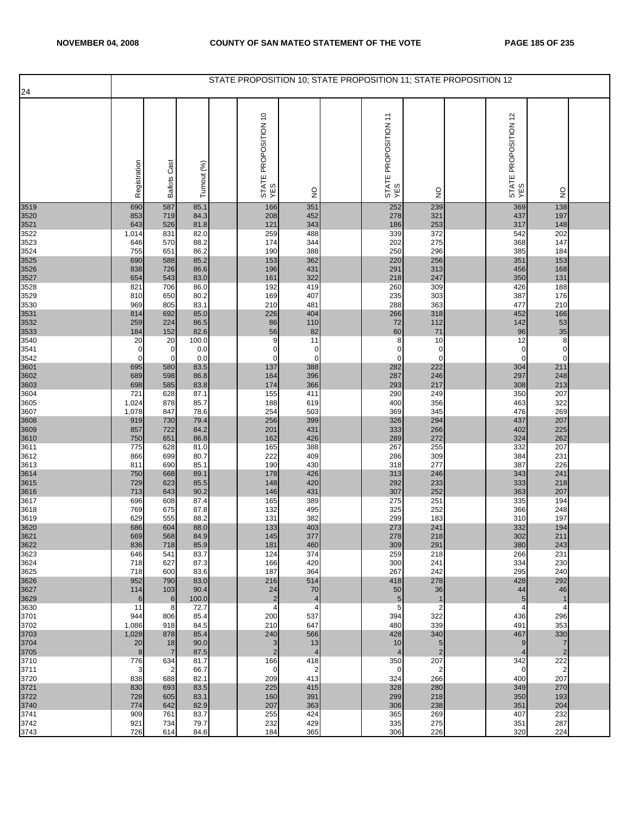|              |                |                                |               | STATE PROPOSITION 10; STATE PROPOSITION 11; STATE PROPOSITION 12 |                                |                             |                       |                             |                                  |  |
|--------------|----------------|--------------------------------|---------------|------------------------------------------------------------------|--------------------------------|-----------------------------|-----------------------|-----------------------------|----------------------------------|--|
| 24           |                |                                |               |                                                                  |                                |                             |                       |                             |                                  |  |
|              | Registration   | <b>Ballots Cast</b>            | Turnout (%)   | STATE PROPOSITION 10<br>YES                                      | $\frac{0}{2}$                  | STATE PROPOSITION 11<br>YES | g                     | STATE PROPOSITION 12<br>YES | $\frac{0}{2}$                    |  |
| 3519         | 690            | 587                            | 85.1          | 166                                                              | 351                            | 252                         | 239                   | 369                         | 138                              |  |
| 3520         | 853            | 719                            | 84.3          | 208                                                              | 452                            | 278                         | 321                   | 437                         | 197                              |  |
| 3521<br>3522 | 643<br>1,014   | 526<br>831                     | 81.8<br>82.0  | 121<br>259                                                       | 343<br>488                     | 186<br>339                  | 253<br>372            | 317<br>542                  | 148<br>202                       |  |
| 3523         | 646            | 570                            | 88.2          | 174                                                              | 344                            | 202                         | 275                   | 368                         | 147                              |  |
| 3524         | 755            | 651                            | 86.2          | 190                                                              | 388                            | 250                         | 296                   | 385                         | 184                              |  |
| 3525<br>3526 | 690<br>838     | 588<br>726                     | 85.2<br>86.6  | 153<br>196                                                       | 362<br>431                     | 220<br>291                  | 256<br>313            | 351<br>456                  | 153<br>168                       |  |
| 3527         | 654            | 543                            | 83.0          | 161                                                              | 322                            | 218                         | 247                   | 350                         | 131                              |  |
| 3528         | 821            | 706                            | 86.0          | 192                                                              | 419                            | 260                         | 309                   | 426<br>387                  | 188<br>176                       |  |
| 3529<br>3530 | 810<br>969     | 650<br>805                     | 80.2<br>83.1  | 169<br>210                                                       | 407<br>481                     | 235<br>288                  | 303<br>363            | 477                         | 210                              |  |
| 3531         | 814            | 692                            | 85.0          | 226                                                              | 404                            | 266                         | 318                   | 452                         | 166                              |  |
| 3532         | 259            | 224                            | 86.5          | 86                                                               | 110                            | 72                          | 112                   | 142                         | 53                               |  |
| 3533<br>3540 | 184<br>20      | 152<br>20                      | 82.6<br>100.0 | 56<br>9                                                          | 82<br>11                       | 60<br>8                     | 71<br>10              | 96<br>12                    | 35<br>8                          |  |
| 3541         | 0              | 0                              | 0.0           | $\mathbf 0$                                                      | 0                              | C                           | 0                     | 0                           | $\mathbf 0$                      |  |
| 3542<br>3601 | 0<br>695       | $\mathbf 0$<br>580             | 0.0<br>83.5   | 0<br>137                                                         | $\mathbf 0$<br>388             | C<br>282                    | $\mathbf 0$<br>222    | 0<br>304                    | $\overline{0}$<br>211            |  |
| 3602         | 689            | 598                            | 86.8          | 164                                                              | 396                            | 287                         | 246                   | 297                         | 248                              |  |
| 3603         | 698            | 585                            | 83.8          | 174                                                              | 366                            | 293                         | 217                   | 308                         | 213                              |  |
| 3604<br>3605 | 721<br>1,024   | 628<br>878                     | 87.1<br>85.7  | 155<br>188                                                       | 411<br>619                     | 290<br>400                  | 249<br>356            | 350<br>463                  | 207<br>322                       |  |
| 3607         | 1,078          | 847                            | 78.6          | 254                                                              | 503                            | 369                         | 345                   | 476                         | 269                              |  |
| 3608         | 919            | 730                            | 79.4          | 256                                                              | 399                            | 326                         | 294                   | 437                         | 207                              |  |
| 3609<br>3610 | 857<br>750     | 722<br>651                     | 84.2<br>86.8  | 201<br>162                                                       | 431<br>426                     | 333<br>289                  | 266<br>272            | 402<br>324                  | 225<br>262                       |  |
| 3611         | 775            | 628                            | 81.0          | 165                                                              | 388                            | 267                         | 255                   | 332                         | 207                              |  |
| 3612<br>3613 | 866<br>811     | 699<br>690                     | 80.7<br>85.1  | 222<br>190                                                       | 409<br>430                     | 286<br>318                  | 309<br>277            | 384<br>387                  | 231<br>226                       |  |
| 3614         | 750            | 668                            | 89.1          | 178                                                              | 426                            | 313                         | 246                   | 343                         | 241                              |  |
| 3615         | 729            | 623                            | 85.5          | 148                                                              | 420                            | 292                         | 233                   | 333                         | 218                              |  |
| 3616<br>3617 | 713<br>696     | 643<br>608                     | 90.2<br>87.4  | 146<br>165                                                       | 431<br>389                     | 307<br>275                  | 252<br>251            | 363<br>335                  | 207<br>194                       |  |
| 3618         | 769            | 675                            | 87.8          | 132                                                              | 495                            | 325                         | 252                   | 366                         | 248                              |  |
| 3619         | 629            | 555                            | 88.2          | 131                                                              | 382                            | 299                         | 183                   | 310                         | 197                              |  |
| 3620<br>3621 | 686<br>669     | 604<br>568                     | 88.0<br>84.9  | 133<br>145                                                       | 403<br>377                     | 273<br>278                  | 241<br>218            | 332<br>302                  | 194<br>211                       |  |
| 3622         | 836            | 718                            | 85.9          | 181                                                              | 460                            | 309                         | 291                   | 380                         | 243                              |  |
| 3623<br>3624 | 646<br>718     | 541<br>627                     | 83.7<br>87.3  | 124<br>166                                                       | 374<br>420                     | 259<br>300                  | 218<br>241            | 266<br>334                  | 231<br>230                       |  |
| 3625         | 718            | 600                            | 83.6          | 187                                                              | 364                            | 267                         | 242                   | 295                         | 240                              |  |
| 3626         | 952            | 790                            | 83.0          | 216                                                              | 514                            | 418                         | 278                   | 428                         | 292                              |  |
| 3627<br>3629 | 114<br>6       | 103<br>$\,$ 6                  | 90.4<br>100.0 | 24<br>$\sqrt{2}$                                                 | 70<br>$\overline{\mathcal{L}}$ | 50<br>5                     | 36<br>$\mathbf{1}$    | 44<br>5                     | 46<br>$\overline{1}$             |  |
| 3630         | 11             | 8                              | 72.7          | 4                                                                | 4                              | 5                           | $\overline{2}$        | 4                           | $\overline{4}$                   |  |
| 3701         | 944            | 806                            | 85.4          | 200                                                              | 537                            | 394                         | 322<br>339            | 436                         | 296                              |  |
| 3702<br>3703 | 1,086<br>1,028 | 918<br>878                     | 84.5<br>85.4  | 210<br>240                                                       | 647<br>566                     | 480<br>428                  | 340                   | 491<br>467                  | 353<br>330                       |  |
| 3704<br>3705 | 20<br>8        | 18<br>$\overline{7}$           | 90.0<br>87.5  | 3<br>$\overline{2}$                                              | 13<br>$\overline{4}$           | 10<br>$\overline{4}$        | 5<br>$\overline{2}$   | 9<br>$\overline{4}$         | $\overline{7}$<br>$\overline{2}$ |  |
| 3710         | 776            | 634                            | 81.7          | 166                                                              | 418                            | 350                         | 207                   | 342                         | 222                              |  |
| 3711<br>3720 | 3<br>838       | $\overline{\mathbf{c}}$<br>688 | 66.7<br>82.1  | 0<br>209                                                         | $\overline{2}$<br>413          | $\mathbf 0$<br>324          | $\overline{c}$<br>266 | 0<br>400                    | $\overline{2}$<br>207            |  |
| 3721         | 830            | 693                            | 83.5          | 225                                                              | 415                            | 328                         | 280                   | 349                         | 270                              |  |
| 3722         | 728<br>774     | 605<br>642                     | 83.1<br>82.9  | 160<br>207                                                       | 391<br>363                     | 299<br>306                  | 218<br>238            | 350                         | 193<br>204                       |  |
| 3740<br>3741 | 909            | 761                            | 83.7          | 255                                                              | 424                            | 365                         | 269                   | 351<br>407                  | 232                              |  |
| 3742         | 921            | 734                            | 79.7          | 232                                                              | 429                            | 335                         | 275                   | 351                         | 287                              |  |
| 3743         | 726            | 614                            | 84.6          | 184                                                              | 365                            | 306                         | 226                   | 320                         | 224                              |  |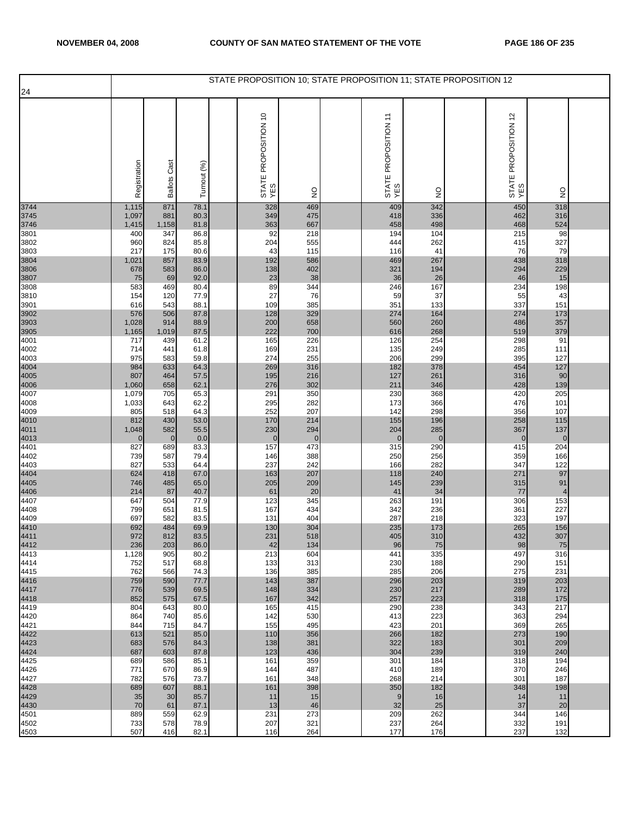|                      |                       |                     |              | STATE PROPOSITION 10; STATE PROPOSITION 11; STATE PROPOSITION 12 |                    |                             |                     |                             |                       |  |
|----------------------|-----------------------|---------------------|--------------|------------------------------------------------------------------|--------------------|-----------------------------|---------------------|-----------------------------|-----------------------|--|
| 24                   |                       |                     |              |                                                                  |                    |                             |                     |                             |                       |  |
|                      | Registration          | <b>Ballots Cast</b> | Turnout (%)  | STATE PROPOSITION 10<br>YES                                      | $\frac{0}{2}$      | STATE PROPOSITION 11<br>YES | $\frac{0}{2}$       | STATE PROPOSITION 12<br>YES | $\frac{0}{2}$         |  |
| 3744                 | 1,115                 | 871                 | 78.1         | 328                                                              | 469                | 409                         | 342                 | 450                         | 318                   |  |
| 3745<br>3746         | 1,097<br>1,415        | 881<br>1,158        | 80.3<br>81.8 | 349<br>363                                                       | 475<br>667         | 418<br>458                  | 336<br>498          | 462<br>468                  | 316<br>524            |  |
| 3801                 | 400                   | 347                 | 86.8         | 92                                                               | 218                | 194                         | 104                 | 215                         | 98                    |  |
| 3802<br>3803         | 960<br>217            | 824<br>175          | 85.8<br>80.6 | 204<br>43                                                        | 555<br>115         | 444<br>116                  | 262<br>41           | 415<br>76                   | 327<br>79             |  |
| 3804                 | 1,021                 | 857                 | 83.9         | 192                                                              | 586                | 469                         | 267                 | 438                         | 318                   |  |
| 3806                 | 678                   | 583                 | 86.0         | 138                                                              | 402                | 321                         | 194                 | 294                         | 229                   |  |
| 3807<br>3808         | 75<br>583             | 69<br>469           | 92.0<br>80.4 | 23<br>89                                                         | 38<br>344          | 36<br>246                   | 26<br>167           | 46<br>234                   | 15<br>198             |  |
| 3810                 | 154                   | 120                 | 77.9         | 27                                                               | 76                 | 59                          | 37                  | 55                          | 43                    |  |
| 3901                 | 616                   | 543                 | 88.1         | 109                                                              | 385                | 351                         | 133                 | 337                         | 151                   |  |
| 3902                 | 576<br>1,028          | 506<br>914          | 87.8<br>88.9 | 128<br>200                                                       | 329<br>658         | 274<br>560                  | 164<br>260          | 274<br>486                  | 173<br>357            |  |
| 3903<br>3905         | 1,165                 | 1,019               | 87.5         | 222                                                              | 700                | 616                         | 268                 | 519                         | 379                   |  |
| 4001<br>4002         | 717<br>714            | 439<br>441          | 61.2<br>61.8 | 165<br>169                                                       | 226<br>231         | 126<br>135                  | 254<br>249          | 298<br>285                  | 91<br>111             |  |
| 4003                 | 975                   | 583                 | 59.8         | 274                                                              | 255                | 206                         | 299                 | 395                         | 127                   |  |
| 4004<br>4005         | 984                   | 633                 | 64.3         | 269                                                              | 316                | 182                         | 378<br>261          | 454                         | 127                   |  |
| 4006                 | 807<br>1,060          | 464<br>658          | 57.5<br>62.1 | 195<br>276                                                       | 216<br>302         | 127<br>211                  | 346                 | 316<br>428                  | 90<br>139             |  |
| 4007                 | 1,079                 | 705                 | 65.3         | 291                                                              | 350                | 230                         | 368                 | 420                         | 205                   |  |
| 4008<br>4009         | 1,033<br>805          | 643<br>518          | 62.2<br>64.3 | 295<br>252                                                       | 282<br>207         | 173<br>142                  | 366<br>298          | 476<br>356                  | 101<br>107            |  |
|                      | 812                   | 430                 | 53.0         | 170                                                              | 214                | 155                         | 196                 | 258                         | 115                   |  |
| 4010<br>4011<br>4013 | 1,048                 | 582                 | 55.5         | 230                                                              | 294                | 204                         | 285<br>$\mathbf{0}$ | 367                         | 137<br>$\overline{0}$ |  |
| 4401                 | $\overline{0}$<br>827 | $\mathbf 0$<br>689  | 0.0<br>83.3  | $\mathbf 0$<br>157                                               | $\mathbf 0$<br>473 | $\mathbf 0$<br>315          | 290                 | 0<br>415                    | 204                   |  |
| 4402                 | 739                   | 587                 | 79.4         | 146                                                              | 388                | 250                         | 256                 | 359                         | 166                   |  |
| 4403                 | 827<br>624            | 533<br>418          | 64.4<br>67.0 | 237<br>163                                                       | 242<br>207         | 166<br>118                  | 282<br>240          | 347<br>271                  | 122<br>97             |  |
| 4404<br>4405<br>4406 | 746                   | 485                 | 65.0         | 205                                                              | 209                | 145                         | 239                 | 315                         | 91                    |  |
|                      | 214                   | 87                  | 40.7         | 61                                                               | 20                 | 41                          | 34<br>191           | 77                          | $\overline{4}$        |  |
| 4407<br>4408         | 647<br>799            | 504<br>651          | 77.9<br>81.5 | 123<br>167                                                       | 345<br>434         | 263<br>342                  | 236                 | 306<br>361                  | 153<br>227            |  |
| 4409<br>4410<br>4411 | 697                   | 582                 | 83.5         | 131                                                              | 404                | 287                         | 218                 | 323                         | 197                   |  |
|                      | 692<br>972            | 484<br>812          | 69.9<br>83.5 | 130<br>231                                                       | 304<br>518         | 235<br>405                  | 173<br>310          | 265<br>432                  | 156<br>307            |  |
| 4412                 | 236                   | 203                 | 86.0         | 42                                                               | 134                | 96                          | 75                  | 98                          | 75                    |  |
| 4413<br>4414         | 1,128<br>752          | 905<br>517          | 80.2<br>68.8 | 213<br>133                                                       | 604<br>313         | 441<br>230                  | 335<br>188          | 497<br>290                  | 316<br>151            |  |
| 4415                 | 762                   | 566                 | 74.3         | 136                                                              | 385                | 285                         | 206                 | 275                         | 231                   |  |
| 4416                 | 759                   | 590                 | 77.7         | 143                                                              | 387                | 296                         | 203                 | 319                         | 203                   |  |
| 4417<br>4418         | 776<br>852            | 539<br>575          | 69.5<br>67.5 | 148<br>167                                                       | 334<br>342         | 230<br>257                  | 217<br>223          | 289<br>318                  | 172<br>175            |  |
| 4419                 | 804                   | 643                 | 80.0         | 165                                                              | 415                | 290                         | 238                 | 343                         | 217                   |  |
| 4420<br>4421         | 864<br>844            | 740<br>715          | 85.6<br>84.7 | 142<br>155                                                       | 530<br>495         | 413<br>423                  | 223<br>201          | 363<br>369                  | 294<br>265            |  |
| 4422                 | 613                   | 521                 | 85.0         | 110                                                              | 356                | 266                         | 182                 | 273                         | 190                   |  |
| 4423                 | 683                   | 576                 | 84.3         | 138                                                              | 381                | 322                         | 183                 | 301                         | 209                   |  |
| 4424<br>4425         | 687<br>689            | 603<br>586          | 87.8<br>85.1 | 123<br>161                                                       | 436<br>359         | 304<br>301                  | 239<br>184          | 319<br>318                  | 240<br>194            |  |
| 4426                 | 771                   | 670                 | 86.9         | 144                                                              | 487                | 410                         | 189                 | 370                         | 246                   |  |
| 4427<br>4428         | 782<br>689            | 576<br>607          | 73.7<br>88.1 | 161<br>161                                                       | 348<br>398         | 268<br>350                  | 214<br>182          | 301<br>348                  | 187<br>198            |  |
| 4429                 | 35                    | 30                  | 85.7         | 11                                                               | 15                 | 9                           | 16                  | 14                          | 11                    |  |
| 4430                 | 70                    | 61                  | 87.1         | 13                                                               | 46                 | 32                          | 25                  | 37                          | 20                    |  |
| 4501<br>4502         | 889<br>733            | 559<br>578          | 62.9<br>78.9 | 231<br>207                                                       | 273<br>321         | 209<br>237                  | 262<br>264          | 344<br>332                  | 146<br>191            |  |
| 4503                 | 507                   | 416                 | 82.1         | 116                                                              | 264                | 177                         | 176                 | 237                         | 132                   |  |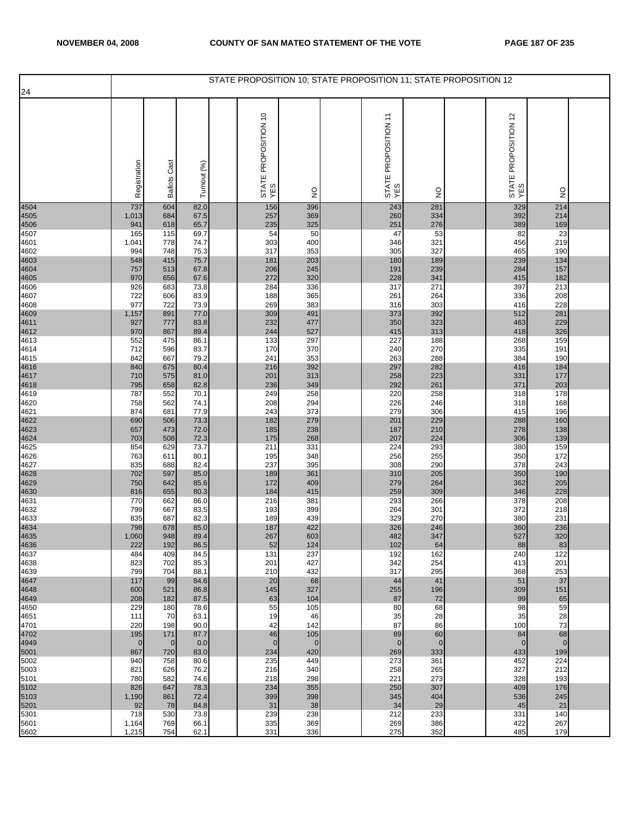|              |                |                 |              | STATE PROPOSITION 10; STATE PROPOSITION 11; STATE PROPOSITION 12 |                |                             |               |                             |                |  |
|--------------|----------------|-----------------|--------------|------------------------------------------------------------------|----------------|-----------------------------|---------------|-----------------------------|----------------|--|
| 24           |                |                 |              |                                                                  |                |                             |               |                             |                |  |
|              | Registration   | Cast<br>Ballots | Turnout (%)  | STATE PROPOSITION 10<br>YES                                      | $\frac{1}{2}$  | STATE PROPOSITION 11<br>YES | $\frac{0}{2}$ | STATE PROPOSITION 12<br>YES | $\frac{0}{2}$  |  |
| 4504         | 737            | 604             | 82.0         | 156                                                              | 396            | 243                         | 281           | 329                         | 214            |  |
| 4505<br>4506 | 1,013<br>941   | 684<br>618      | 67.5<br>65.7 | 257<br>235                                                       | 369<br>325     | 260<br>251                  | 334<br>276    | 392<br>389                  | 214<br>169     |  |
| 4507         | 165            | 115             | 69.7         | 54                                                               | 50             | 47                          | 53            | 82                          | 23             |  |
| 4601         | 1,041          | 778             | 74.7         | 303                                                              | 400            | 346                         | 321           | 456                         | 219            |  |
| 4602<br>4603 | 994<br>548     | 748<br>415      | 75.3<br>75.7 | 317<br>181                                                       | 353<br>203     | 305<br>180                  | 327<br>189    | 465<br>239                  | 190<br>134     |  |
| 4604         | 757            | 513             | 67.8         | 206                                                              | 245            | 191                         | 239           | 284                         | 157            |  |
| 4605         | 970            | 656             | 67.6         | 272                                                              | 320            | 228                         | 341           | 415                         | 182            |  |
| 4606<br>4607 | 926<br>722     | 683<br>606      | 73.8<br>83.9 | 284<br>188                                                       | 336<br>365     | 317<br>261                  | 271<br>264    | 397<br>336                  | 213<br>208     |  |
| 4608         | 977            | 722             | 73.9         | 269                                                              | 383            | 316                         | 303           | 416                         | 228            |  |
| 4609<br>4611 | 1,157          | 891             | 77.0         | 309                                                              | 491            | 373                         | 392           | 512                         | 281            |  |
| 4612         | 927<br>970     | 777<br>867      | 83.8<br>89.4 | 232<br>244                                                       | 477<br>527     | 350<br>415                  | 323<br>313    | 463<br>418                  | 229<br>326     |  |
| 4613         | 552            | 475             | 86.1         | 133                                                              | 297            | 227                         | 188           | 268                         | 159            |  |
| 4614         | 712            | 596             | 83.7         | 170                                                              | 370            | 240                         | 270           | 335                         | 191            |  |
| 4615<br>4616 | 842<br>840     | 667<br>675      | 79.2<br>80.4 | 241<br>216                                                       | 353<br>392     | 263<br>297                  | 288<br>282    | 384<br>416                  | 190<br>184     |  |
|              | 710            | 575             | 81.0         | 201                                                              | 313            | 258                         | 223           | 331                         | 177            |  |
| 4617<br>4618 | 795            | 658             | 82.8         | 236                                                              | 349            | 292                         | 261           | 371                         | 203            |  |
| 4619<br>4620 | 787<br>758     | 552<br>562      | 70.1<br>74.1 | 249<br>208                                                       | 258<br>294     | 220<br>226                  | 258<br>246    | 318<br>318                  | 178<br>168     |  |
| 4621         | 874            | 681             | 77.9         | 243                                                              | 373            | 279                         | 306           | 415                         | 196            |  |
| 4622<br>4623 | 690<br>657     | 506<br>473      | 73.3<br>72.0 | 182<br>185                                                       | 279<br>238     | 201<br>187                  | 229<br>210    | 288<br>278                  | 160<br>138     |  |
| 4624         | 703            | 508             | 72.3         | 175                                                              | 268            | 207                         | 224           | 306                         | 139            |  |
| 4625         | 854            | 629             | 73.7         | 211                                                              | 331            | 224                         | 293           | 380                         | 159            |  |
| 4626<br>4627 | 763<br>835     | 611<br>688      | 80.1<br>82.4 | 195<br>237                                                       | 348<br>395     | 256<br>308                  | 255<br>290    | 350<br>378                  | 172<br>243     |  |
| 4628         | 702            | 597             | 85.0         | 189                                                              | 361            | 310                         | 205           | 350                         | 190            |  |
| 4629         | 750            | 642             | 85.6         | 172                                                              | 409            | 279                         | 264           | 362                         | 205            |  |
| 4630<br>4631 | 816<br>770     | 655<br>662      | 80.3<br>86.0 | 184<br>216                                                       | 415<br>381     | 259<br>293                  | 309<br>266    | 346<br>378                  | 228<br>208     |  |
| 4632         | 799            | 667             | 83.5         | 193                                                              | 399            | 264                         | 301           | 372                         | 218            |  |
| 4633         | 835            | 687             | 82.3         | 189                                                              | 439            | 329                         | 270           | 380                         | 231            |  |
| 4634<br>4635 | 798<br>1,060   | 678<br>948      | 85.0<br>89.4 | 187<br>267                                                       | 422<br>603     | 326<br>482                  | 246<br>347    | 360<br>527                  | 236<br>320     |  |
| 4636         | 222            | 192             | 86.5         | 52                                                               | 124            | 102                         | 64            | 88                          | 83             |  |
| 4637<br>4638 | 484<br>823     | 409<br>702      | 84.5<br>85.3 | 131<br>201                                                       | 237<br>427     | 192<br>342                  | 162<br>254    | 240<br>413                  | 122<br>201     |  |
| 4639         | 799            | 704             | 88.1         | 210                                                              | 432            | 317                         | 295           | 368                         | 253            |  |
| 4647         | 117            | 99              | 84.6         | 20                                                               | 68             | 44                          | 41            | 51                          | 37             |  |
| 4648<br>4649 | 600<br>208     | 521<br>182      | 86.8<br>87.5 | 145<br>63                                                        | 327<br>104     | 255<br>87                   | 196<br>72     | 309<br>99                   | 151<br>65      |  |
| 4650         | 229            | 180             | 78.6         | 55                                                               | 105            | 80                          | 68            | 98                          | 59             |  |
| 4651         | 111            | 70              | 63.1         | 19                                                               | 46             | 35                          | 28            | 35                          | 28             |  |
| 4701<br>4702 | 220<br>195     | 198<br>171      | 90.0<br>87.7 | 42<br>46                                                         | 142<br>105     | 87<br>89                    | 86<br>60      | 100<br>84                   | 73<br>68       |  |
| 4949         | $\overline{0}$ | $\overline{0}$  | 0.0          | $\mathbf 0$                                                      | $\overline{0}$ | $\mathbf 0$                 | $\mathbf{0}$  | $\mathbf{0}$                | $\overline{0}$ |  |
| 5001<br>5002 | 867<br>940     | 720<br>758      | 83.0<br>80.6 | 234<br>235                                                       | 420<br>449     | 269<br>273                  | 333<br>361    | 433<br>452                  | 199<br>224     |  |
| 5003         | 821            | 626             | 76.2         | 216                                                              | 340            | 258                         | 265           | 327                         | 212            |  |
| 5101         | 780            | 582             | 74.6         | 218                                                              | 298            | 221                         | 273           | 328                         | 193            |  |
| 5102<br>5103 | 826<br>1,190   | 647<br>861      | 78.3<br>72.4 | 234<br>399                                                       | 355<br>398     | 250<br>345                  | 307<br>404    | 409<br>536                  | 176<br>245     |  |
| 5201         | 92             | 78              | 84.8         | 31                                                               | 38             | 34                          | 29            | 45                          | 21             |  |
| 5301         | 718            | 530             | 73.8         | 239                                                              | 238            | 212                         | 233           | 331                         | 140            |  |
| 5601<br>5602 | 1,164<br>1,215 | 769<br>754      | 66.1<br>62.1 | 335<br>331                                                       | 369<br>336     | 269<br>275                  | 386<br>352    | 422<br>485                  | 267<br>179     |  |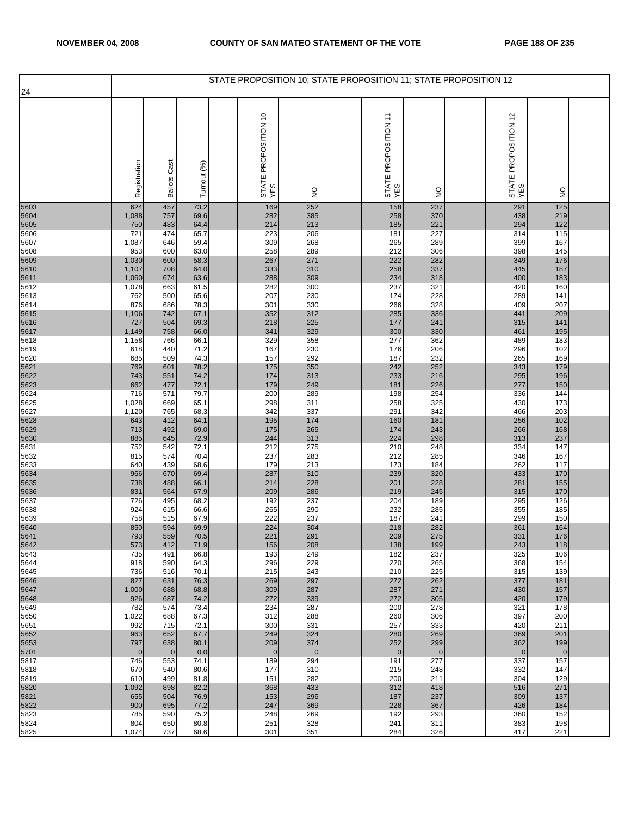|              |                       |                     |              | STATE PROPOSITION 10; STATE PROPOSITION 11; STATE PROPOSITION 12 |                       |                             |                    |                             |                     |  |
|--------------|-----------------------|---------------------|--------------|------------------------------------------------------------------|-----------------------|-----------------------------|--------------------|-----------------------------|---------------------|--|
| 24           |                       |                     |              |                                                                  |                       |                             |                    |                             |                     |  |
|              | Registration          | <b>Ballots Cast</b> | Turnout (%)  | STATE PROPOSITION 10<br>YES                                      | $\frac{0}{2}$         | STATE PROPOSITION 11<br>YES | $\frac{1}{2}$      | STATE PROPOSITION 12<br>YES | $\frac{0}{2}$       |  |
| 5603         | 624                   | 457                 | 73.2         | 169                                                              | 252                   | 158                         | 237                | 291                         | 125                 |  |
| 5604<br>5605 | 1,088<br>750          | 757<br>483          | 69.6<br>64.4 | 282<br>214                                                       | 385<br>213            | 258<br>185                  | 370<br>221         | 438<br>294                  | 219<br>122          |  |
| 5606         | 721                   | 474                 | 65.7         | 223                                                              | 206                   | 181                         | 227                | 314                         | 115                 |  |
| 5607         | 1,087                 | 646                 | 59.4         | 309                                                              | 268                   | 265                         | 289                | 399                         | 167                 |  |
| 5608         | 953                   | 600                 | 63.0         | 258                                                              | 289                   | 212                         | 306                | 398                         | 145                 |  |
| 5609<br>5610 | 1,030<br>1,107        | 600<br>708          | 58.3<br>64.0 | 267<br>333                                                       | 271<br>310            | 222<br>258                  | 282<br>337         | 349<br>445                  | 176<br>187          |  |
| 5611         | 1,060                 | 674                 | 63.6         | 288                                                              | 309                   | 234                         | 318                | 400                         | 183                 |  |
| 5612         | 1,078                 | 663                 | 61.5         | 282                                                              | 300                   | 237                         | 321                | 420                         | 160                 |  |
| 5613         | 762                   | 500                 | 65.6         | 207                                                              | 230                   | 174                         | 228                | 289                         | 141                 |  |
| 5614         | 876<br>1,106          | 686<br>742          | 78.3<br>67.1 | 301<br>352                                                       | 330<br>312            | 266<br>285                  | 328<br>336         | 409<br>441                  | 207<br>209          |  |
| 5615<br>5616 | 727                   | 504                 | 69.3         | 218                                                              | 225                   | 177                         | 241                | 315                         | 141                 |  |
| 5617         | 1,149                 | 758                 | 66.0         | 341                                                              | 329                   | 300                         | 330                | 461                         | 195                 |  |
| 5618<br>5619 | 1,158<br>618          | 766<br>440          | 66.1<br>71.2 | 329<br>167                                                       | 358<br>230            | 277<br>176                  | 362<br>206         | 489<br>296                  | 183<br>102          |  |
| 5620         | 685                   | 509                 | 74.3         | 157                                                              | 292                   | 187                         | 232                | 265                         | 169                 |  |
| 5621         | 769                   | 601                 | 78.2         | 175                                                              | 350                   | 242                         | 252                | 343                         | 179                 |  |
| 5622<br>5623 | 743<br>662            | 551<br>477          | 74.2<br>72.1 | 174<br>179                                                       | 313<br>249            | 233<br>181                  | 216<br>226         | 295<br>277                  | 196<br>150          |  |
| 5624         | 716                   | 571                 | 79.7         | 200                                                              | 289                   | 198                         | 254                | 336                         | $\frac{1}{144}$     |  |
| 5625         | 1,028                 | 669                 | 65.1         | 298                                                              | 311                   | 258                         | 325                | 430                         | 173                 |  |
| 5627<br>5628 | 1,120                 | 765                 | 68.3<br>64.1 | 342<br>195                                                       | 337                   | 291                         | 342<br>181         | 466<br>256                  | 203<br>102          |  |
| 5629         | 643<br>713            | 412<br>492          | 69.0         | 175                                                              | 174<br>265            | 160<br>174                  | 243                | 266                         | 168                 |  |
| 5630         | 885                   | 645                 | 72.9         | 244                                                              | 313                   | 224                         | 298                | 313                         | 237                 |  |
| 5631<br>5632 | 752<br>815            | 542<br>574          | 72.1<br>70.4 | 212<br>237                                                       | 275<br>283            | 210<br>212                  | 248<br>285         | 334<br>346                  | 147<br>167          |  |
| 5633         | 640                   | 439                 | 68.6         | 179                                                              | 213                   | 173                         | 184                | 262                         | 117                 |  |
| 5634         | 966                   | 670                 | 69.4         | 287                                                              | 310                   | 239                         | 320                | 433                         | 170                 |  |
| 5635<br>5636 | 738<br>831            | 488<br>564          | 66.1<br>67.9 | 214<br>209                                                       | 228<br>286            | 201<br>219                  | 228<br>245         | 281<br>315                  | 155<br>170          |  |
| 5637         | 726                   | 495                 | 68.2         | 192                                                              | 237                   | 204                         | 189                | 295                         | 126                 |  |
| 5638         | 924                   | 615                 | 66.6         | 265                                                              | 290                   | 232                         | 285                | 355                         | 185                 |  |
| 5639         | 758<br>850            | 515<br>594          | 67.9<br>69.9 | 222<br>224                                                       | 237<br>304            | 187<br>218                  | 241<br>282         | 299<br>361                  | 150<br>164          |  |
| 5640<br>5641 | 793                   | 559                 | 70.5         | 221                                                              | 291                   | 209                         | 275                | 331                         | 176                 |  |
| 5642         | 573                   | 412                 | 71.9         | 156                                                              | 208                   | 138                         | 199                | 243                         | 118                 |  |
| 5643<br>5644 | 735<br>918            | 491<br>590          | 66.8<br>64.3 | 193<br>296                                                       | 249<br>229            | 182<br>220                  | 237<br>265         | 325<br>368                  | 106<br>154          |  |
| 5645         | 736                   | 516                 | 70.1         | 215                                                              | 243                   | 210                         | 225                | 315                         | 139                 |  |
| 5646         | 827                   | 631                 | 76.3         | 269                                                              | 297                   | 272                         | 262                | 377                         | 181                 |  |
| 5647<br>5648 | 1,000<br>926          | 688<br>687          | 68.8<br>74.2 | 309<br>272                                                       | 287<br>339            | 287<br>272                  | 271<br>305         | 430<br>420                  | 157<br>179          |  |
| 5649         | 782                   | 574                 | 73.4         | 234                                                              | 287                   | 200                         | 278                | 321                         | 178                 |  |
| 5650         | 1,022                 | 688                 | 67.3         | 312                                                              | 288                   | 260                         | 306                | 397                         | 200                 |  |
| 5651<br>5652 | 992<br>963            | 715<br>652          | 72.1<br>67.7 | 300<br>249                                                       | 331<br>324            | 257<br>280                  | 333<br>269         | 420<br>369                  | 211<br>201          |  |
| 5653<br>5701 | 797<br>$\overline{0}$ | 638<br>$\mathbf 0$  | 80.1<br>0.0  | 209<br>$\mathbf{0}$                                              | 374<br>$\overline{0}$ | 252<br>$\mathbf{0}$         | 299<br>$\mathbf 0$ | 362<br>$\mathbf 0$          | 199<br>$\mathbf{0}$ |  |
| 5817         | 746                   | 553                 | 74.1         | 189                                                              | 294                   | 191                         | 277                | 337                         | 157                 |  |
| 5818<br>5819 | 670<br>610            | 540<br>499          | 80.6<br>81.8 | 177<br>151                                                       | 310<br>282            | 215<br>200                  | 248<br>211         | 332<br>304                  | 147<br>129          |  |
| 5820         | 1,092                 | 898                 | 82.2         | 368                                                              | 433                   | 312                         | 418                | 516                         | 271                 |  |
| 5821         | 655                   | 504                 | 76.9         | 153                                                              | 296                   | 187                         | 237                | 309                         | 137                 |  |
| 5822<br>5823 | 900                   | 695                 | 77.2         | 247                                                              | 369<br>269            | 228                         | 367<br>293         | 426                         | 184<br>152          |  |
| 5824         | 785<br>804            | 590<br>650          | 75.2<br>80.8 | 248<br>251                                                       | 328                   | 192<br>241                  | 311                | 360<br>383                  | 198                 |  |
| 5825         | 1,074                 | 737                 | 68.6         | 301                                                              | 351                   | 284                         | 326                | 417                         | 221                 |  |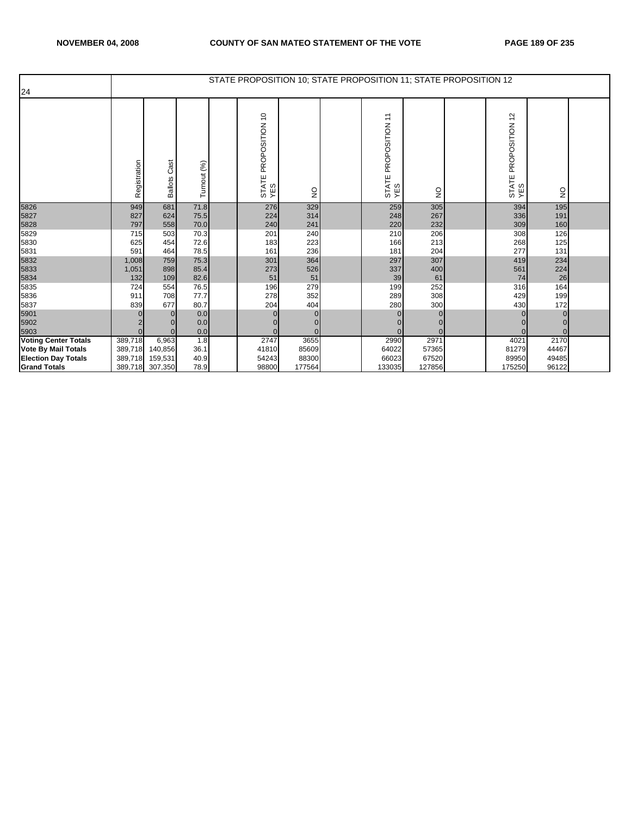|                             |              |                        |              | STATE PROPOSITION 10; STATE PROPOSITION 11; STATE PROPOSITION 12 |               |                                  |               |                                                |                 |  |
|-----------------------------|--------------|------------------------|--------------|------------------------------------------------------------------|---------------|----------------------------------|---------------|------------------------------------------------|-----------------|--|
| 24                          |              |                        |              |                                                                  |               |                                  |               |                                                |                 |  |
|                             | Registration | Cast<br><b>Ballots</b> | Turnout (%)  | PROPOSITION 10<br>STATE<br>YES                                   | $\frac{1}{2}$ | PROPOSITION 11<br>STATE I<br>YES | $\frac{0}{2}$ | $\frac{1}{2}$<br>PROPOSITION<br>STATE I<br>YES | $\overline{2}$  |  |
| 5826                        | 949          | 681                    | 71.8         | 276                                                              | 329           | 259                              | 305           | 394                                            | 195             |  |
| 5827                        | 827          | 624                    | 75.5         | 224                                                              | 314           | 248                              | 267           | 336                                            | 191             |  |
| 5828                        | 797          | 558                    | 70.0         | 240                                                              | 241           | 220                              | 232           | 309                                            | 160             |  |
| 5829                        | 715          | 503                    | 70.3         | 201                                                              | 240           | 210                              | 206           | 308                                            | 126             |  |
| 5830                        | 625          | 454                    | 72.6         | 183                                                              | 223           | 166                              | 213           | 268                                            | 125             |  |
| 5831                        | 591          | 464                    | 78.5         | 161                                                              | 236           | 181                              | 204           | 277                                            | 131             |  |
| 5832                        | 1,008        | 759                    | 75.3         | 301                                                              | 364           | 297                              | 307           | 419                                            | 234             |  |
| 5833                        | 1,051        | 898                    | 85.4         | 273                                                              | 526           | 337                              | 400           | 561                                            | 224             |  |
| 5834                        | 132          | 109                    | 82.6         | 51                                                               | 51            | 39                               | 61            | 74                                             | 26              |  |
| 5835                        | 724          | 554                    | 76.5         | 196                                                              | 279           | 199                              | 252           | 316                                            | 164             |  |
| 5836                        | 911          | 708<br>677             | 77.7<br>80.7 | 278<br>204                                                       | 352<br>404    | 289                              | 308<br>300    | 429                                            | 199             |  |
| 5837                        | 839          |                        |              |                                                                  | $\Omega$      | 280                              |               | 430                                            | 172<br>$\Omega$ |  |
| 5901<br>5902                |              | $\Omega$               | 0.0<br>0.0   |                                                                  | $\Omega$      | $\Omega$                         |               |                                                |                 |  |
| 5903                        | $\Omega$     |                        | 0.0          |                                                                  | $\Omega$      | $\Omega$                         |               |                                                | $\Omega$        |  |
| <b>Voting Center Totals</b> | 389,718      | 6,963                  | 1.8          | 2747                                                             | 3655          | 2990                             | 2971          | 4021                                           | 2170            |  |
| <b>Vote By Mail Totals</b>  | 389,718      | 140,856                | 36.1         | 41810                                                            | 85609         | 64022                            | 57365         | 81279                                          | 44467           |  |
| <b>Election Day Totals</b>  | 389,718      | 159,531                | 40.9         | 54243                                                            | 88300         | 66023                            | 67520         | 89950                                          | 49485           |  |
| <b>Grand Totals</b>         | 389,718      | 307,350                | 78.9         | 98800                                                            | 177564        | 133035                           | 127856        | 175250                                         | 96122           |  |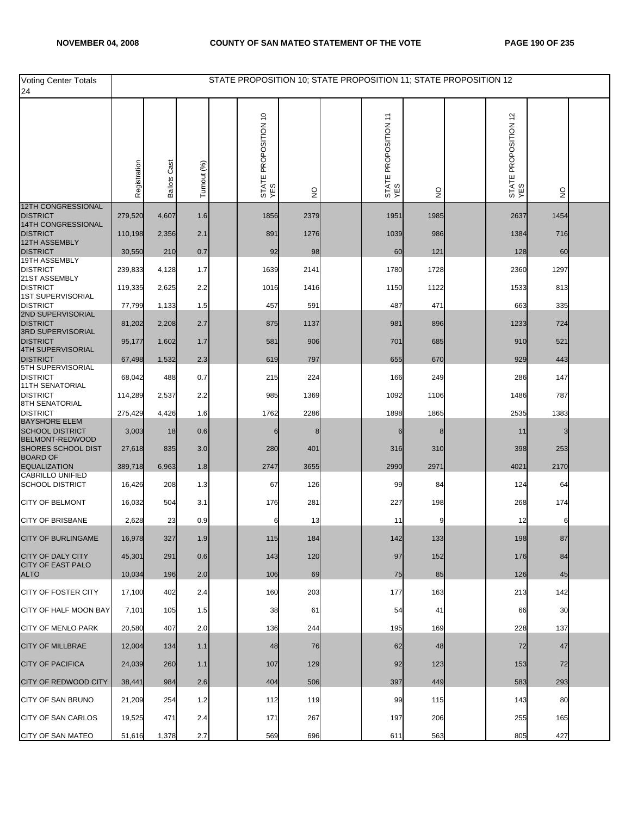| <b>Voting Center Totals</b><br>24                 |              |                        |             | STATE PROPOSITION 10; STATE PROPOSITION 11; STATE PROPOSITION 12 |               |                             |               |                             |                                 |  |
|---------------------------------------------------|--------------|------------------------|-------------|------------------------------------------------------------------|---------------|-----------------------------|---------------|-----------------------------|---------------------------------|--|
|                                                   | Registration | Cast<br><b>Ballots</b> | Turnout (%) | STATE PROPOSITION 10<br>YES                                      | $\frac{0}{2}$ | STATE PROPOSITION 11<br>YES | $\frac{1}{2}$ | STATE PROPOSITION 12<br>YES | $\frac{\mathsf{O}}{\mathsf{Z}}$ |  |
| 12TH CONGRESSIONAL<br><b>DISTRICT</b>             | 279,520      | 4,607                  | 1.6         | 1856                                                             | 2379          | 1951                        | 1985          | 2637                        | 1454                            |  |
| 14TH CONGRESSIONAL<br><b>DISTRICT</b>             | 110,198      | 2,356                  | 2.1         | 891                                                              | 1276          | 1039                        | 986           | 1384                        | 716                             |  |
| 12TH ASSEMBLY<br><b>DISTRICT</b>                  | 30,550       | 210                    | 0.7         | 92                                                               | 98            | 60                          | 121           | 128                         | 60                              |  |
| 19TH ASSEMBLY                                     |              |                        |             |                                                                  |               |                             |               |                             |                                 |  |
| <b>DISTRICT</b><br>21ST ASSEMBLY                  | 239,833      | 4,128                  | 1.7         | 1639                                                             | 2141          | 1780                        | 1728          | 2360                        | 1297                            |  |
| <b>DISTRICT</b><br><b>1ST SUPERVISORIAL</b>       | 119,335      | 2,625                  | 2.2         | 1016                                                             | 1416          | 1150                        | 1122          | 1533                        | 813                             |  |
| <b>DISTRICT</b><br>2ND SUPERVISORIAL              | 77,799       | 1,133                  | 1.5         | 457                                                              | 591           | 487                         | 471           | 663                         | 335                             |  |
| <b>DISTRICT</b><br><b>3RD SUPERVISORIAL</b>       | 81,202       | 2,208                  | 2.7         | 875                                                              | 1137          | 981                         | 896           | 1233                        | 724                             |  |
| <b>DISTRICT</b><br><b>4TH SUPERVISORIAL</b>       | 95,177       | 1,602                  | 1.7         | 581                                                              | 906           | 701                         | 685           | 910                         | 521                             |  |
| <b>DISTRICT</b><br>5TH SUPERVISORIAL              | 67,498       | 1,532                  | 2.3         | 619                                                              | 797           | 655                         | 670           | 929                         | 443                             |  |
| <b>DISTRICT</b><br><b>11TH SENATORIAL</b>         | 68,042       | 488                    | 0.7         | 215                                                              | 224           | 166                         | 249           | 286                         | 147                             |  |
| <b>DISTRICT</b><br>8TH SENATORIAL                 | 114,289      | 2,537                  | 2.2         | 985                                                              | 1369          | 1092                        | 1106          | 1486                        | 787                             |  |
| <b>DISTRICT</b>                                   | 275,429      | 4,426                  | 1.6         | 1762                                                             | 2286          | 1898                        | 1865          | 2535                        | 1383                            |  |
| <b>BAYSHORE ELEM</b><br><b>SCHOOL DISTRICT</b>    | 3,003        | 18                     | 0.6         | 6                                                                |               |                             | 8             | 11                          | 3                               |  |
| BELMONT-REDWOOD<br><b>SHORES SCHOOL DIST</b>      | 27,618       | 835                    | 3.0         | 280                                                              | 401           | 316                         | 310           | 398                         | 253                             |  |
| <b>BOARD OF</b><br><b>EQUALIZATION</b>            | 389,718      | 6,963                  | 1.8         | 2747                                                             | 3655          | 2990                        | 2971          | 4021                        | 2170                            |  |
| <b>CABRILLO UNIFIED</b><br><b>SCHOOL DISTRICT</b> | 16,426       | 208                    | 1.3         | 67                                                               | 126           | 99                          | 84            | 124                         | 64                              |  |
| <b>CITY OF BELMONT</b>                            | 16,032       | 504                    | 3.1         | 176                                                              | 281           | 227                         | 198           | 268                         | 174                             |  |
| <b>CITY OF BRISBANE</b>                           | 2,628        | 23                     | 0.9         | 6                                                                | 13            | 11                          | 9             | 12                          | 6                               |  |
| CITY OF BURLINGAME                                | 16,978       | 327                    | 1.9         | 115                                                              | 184           | 142                         | 133           | 198                         | 87                              |  |
| <b>CITY OF DALY CITY</b>                          | 45,301       | 291                    | 0.6         | 143                                                              | 120           | 97                          | 152           | 176                         | 84                              |  |
| <b>CITY OF EAST PALO</b><br><b>ALTO</b>           | 10,034       | 196                    | 2.0         | 106                                                              | 69            | 75                          | 85            | 126                         | 45                              |  |
| <b>CITY OF FOSTER CITY</b>                        | 17,100       | 402                    | 2.4         | 160                                                              | 203           | 177                         | 163           | 213                         | 142                             |  |
| CITY OF HALF MOON BAY                             | 7,101        | 105                    | 1.5         | 38                                                               | 61            | 54                          | 41            | 66                          | 30                              |  |
| <b>CITY OF MENLO PARK</b>                         | 20,580       | 407                    | 2.0         | 136                                                              | 244           | 195                         | 169           | 228                         | 137                             |  |
| <b>CITY OF MILLBRAE</b>                           | 12,004       | 134                    | 1.1         | 48                                                               | 76            | 62                          | 48            | 72                          | 47                              |  |
| <b>CITY OF PACIFICA</b>                           | 24,039       | 260                    | 1.1         | 107                                                              | 129           | 92                          | 123           | 153                         | 72                              |  |
| <b>CITY OF REDWOOD CITY</b>                       | 38,441       | 984                    | 2.6         | 404                                                              | 506           | 397                         | 449           | 583                         | 293                             |  |
| CITY OF SAN BRUNO                                 | 21,209       | 254                    | 1.2         | 112                                                              | 119           | 99                          | 115           | 143                         | 80                              |  |
| <b>CITY OF SAN CARLOS</b>                         | 19,525       | 471                    | 2.4         | 171                                                              | 267           | 197                         | 206           | 255                         | 165                             |  |
| <b>CITY OF SAN MATEO</b>                          | 51,616       | 1,378                  | 2.7         | 569                                                              | 696           | 611                         | 563           | 805                         | 427                             |  |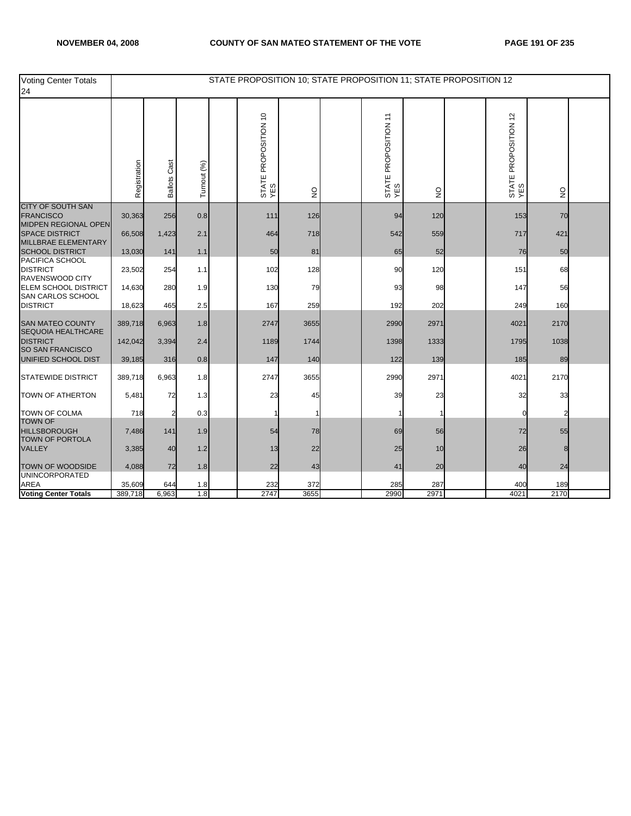| Voting Center Totals<br>24                                           |              |                 |             | STATE PROPOSITION 10; STATE PROPOSITION 11; STATE PROPOSITION 12 |                                 |                             |               |                             |               |  |
|----------------------------------------------------------------------|--------------|-----------------|-------------|------------------------------------------------------------------|---------------------------------|-----------------------------|---------------|-----------------------------|---------------|--|
|                                                                      | Registration | Cast<br>Ballots | Turnout (%) | STATE PROPOSITION 10<br>YES                                      | $\frac{\mathsf{O}}{\mathsf{Z}}$ | STATE PROPOSITION 11<br>YES | $\frac{0}{2}$ | STATE PROPOSITION 12<br>YES | $\frac{0}{2}$ |  |
| <b>CITY OF SOUTH SAN</b><br><b>FRANCISCO</b>                         | 30,363       | 256             | 0.8         | 111                                                              | 126                             | 94                          | 120           | 153                         | 70            |  |
| MIDPEN REGIONAL OPEN<br><b>SPACE DISTRICT</b><br>MILLBRAE ELEMENTARY | 66,508       | 1,423           | 2.1         | 464                                                              | 718                             | 542                         | 559           | 717                         | 421           |  |
| <b>SCHOOL DISTRICT</b>                                               | 13,030       | 141             | 1.1         | 50                                                               | 81                              | 65                          | 52            | 76                          | 50            |  |
| PACIFICA SCHOOL<br><b>DISTRICT</b><br>RAVENSWOOD CITY                | 23,502       | 254             | 1.1         | 102                                                              | 128                             | 90                          | 120           | 151                         | 68            |  |
| <b>ELEM SCHOOL DISTRICT</b><br>SAN CARLOS SCHOOL                     | 14,630       | 280             | 1.9         | 130                                                              | 79                              | 93                          | 98            | 147                         | 56            |  |
| <b>DISTRICT</b>                                                      | 18,623       | 465             | 2.5         | 167                                                              | 259                             | 192                         | 202           | 249                         | 160           |  |
| <b>SAN MATEO COUNTY</b><br>SEQUOIA HEALTHCARE                        | 389,718      | 6,963           | 1.8         | 2747                                                             | 3655                            | 2990                        | 2971          | 4021                        | 2170          |  |
| <b>DISTRICT</b><br><b>SO SAN FRANCISCO</b>                           | 142,042      | 3,394           | 2.4         | 1189                                                             | 1744                            | 1398                        | 1333          | 1795                        | 1038          |  |
| UNIFIED SCHOOL DIST                                                  | 39,185       | 316             | 0.8         | 147                                                              | 140                             | 122                         | 139           | 185                         | 89            |  |
| <b>STATEWIDE DISTRICT</b>                                            | 389,718      | 6,963           | 1.8         | 2747                                                             | 3655                            | 2990                        | 2971          | 4021                        | 2170          |  |
| TOWN OF ATHERTON                                                     | 5,481        | 72              | 1.3         | 23                                                               | 45                              | 39                          | 23            | 32                          | 33            |  |
| <b>TOWN OF COLMA</b><br><b>TOWN OF</b>                               | 718          | 2               | 0.3         |                                                                  |                                 |                             |               | $\Omega$                    | 2             |  |
| <b>HILLSBOROUGH</b><br>TOWN OF PORTOLA                               | 7,486        | 141             | 1.9         | 54                                                               | 78                              | 69                          | 56            | 72                          | 55            |  |
| <b>VALLEY</b>                                                        | 3,385        | 40              | 1.2         | 13                                                               | 22                              | 25                          | 10            | 26                          |               |  |
| <b>TOWN OF WOODSIDE</b><br><b>UNINCORPORATED</b>                     | 4,088        | 72              | 1.8         | 22                                                               | 43                              | 41                          | 20            | 40                          | 24            |  |
| <b>AREA</b>                                                          | 35,609       | 644             | 1.8         | 232                                                              | 372                             | 285                         | 287           | 400                         | 189           |  |
| <b>Voting Center Totals</b>                                          | 389,718      | 6,963           | 1.8         | 2747                                                             | 3655                            | 2990                        | 2971          | 4021                        | 2170          |  |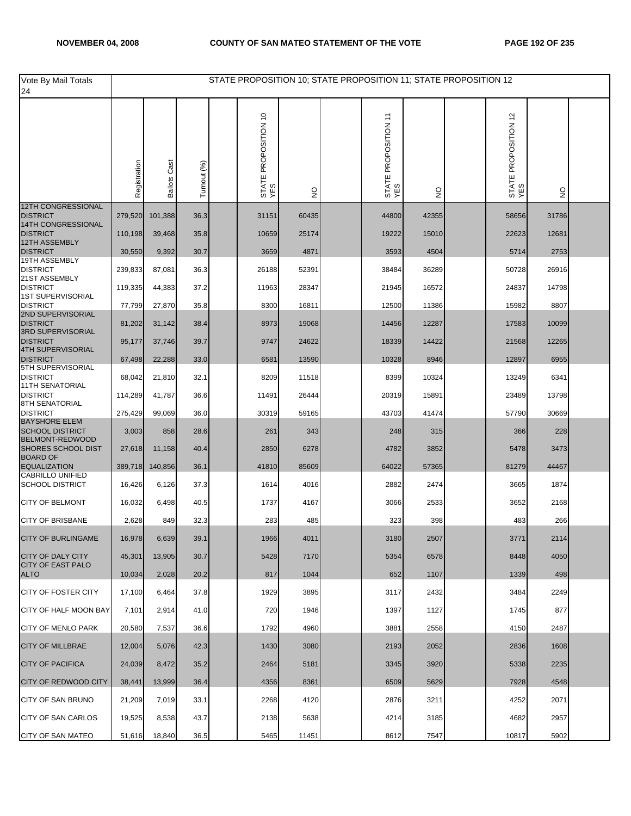| Vote By Mail Totals<br>24                         |              |                     |             | STATE PROPOSITION 10; STATE PROPOSITION 11; STATE PROPOSITION 12 |               |                             |               |                             |               |  |
|---------------------------------------------------|--------------|---------------------|-------------|------------------------------------------------------------------|---------------|-----------------------------|---------------|-----------------------------|---------------|--|
|                                                   | Registration | <b>Ballots Cast</b> | Turnout (%) | STATE PROPOSITION 10<br>YES                                      | $\frac{0}{2}$ | STATE PROPOSITION 11<br>YES | $\frac{0}{2}$ | STATE PROPOSITION 12<br>YES | $\frac{1}{2}$ |  |
| <b>12TH CONGRESSIONAL</b><br><b>DISTRICT</b>      | 279,520      | 101,388             | 36.3        | 31151                                                            | 60435         | 44800                       | 42355         | 58656                       | 31786         |  |
| 14TH CONGRESSIONAL<br><b>DISTRICT</b>             |              |                     |             |                                                                  |               | 19222                       |               | 22623                       |               |  |
| 12TH ASSEMBLY                                     | 110,198      | 39,468              | 35.8        | 10659                                                            | 25174         |                             | 15010         |                             | 12681         |  |
| <b>DISTRICT</b><br>19TH ASSEMBLY                  | 30,550       | 9,392               | 30.7        | 3659                                                             | 4871          | 3593                        | 4504          | 5714                        | 2753          |  |
| <b>DISTRICT</b><br>21ST ASSEMBLY                  | 239,833      | 87,081              | 36.3        | 26188                                                            | 52391         | 38484                       | 36289         | 50728                       | 26916         |  |
| <b>DISTRICT</b><br><b>1ST SUPERVISORIAL</b>       | 119,335      | 44,383              | 37.2        | 11963                                                            | 28347         | 21945                       | 16572         | 24837                       | 14798         |  |
| <b>DISTRICT</b><br>2ND SUPERVISORIAL              | 77,799       | 27,870              | 35.8        | 8300                                                             | 16811         | 12500                       | 11386         | 15982                       | 8807          |  |
| <b>DISTRICT</b><br>3RD SUPERVISORIAL              | 81,202       | 31,142              | 38.4        | 8973                                                             | 19068         | 14456                       | 12287         | 17583                       | 10099         |  |
| <b>DISTRICT</b><br><b>4TH SUPERVISORIAL</b>       | 95,177       | 37,746              | 39.7        | 9747                                                             | 24622         | 18339                       | 14422         | 21568                       | 12265         |  |
| <b>DISTRICT</b><br>5TH SUPERVISORIAL              | 67,498       | 22,288              | 33.0        | 6581                                                             | 13590         | 10328                       | 8946          | 12897                       | 6955          |  |
| <b>DISTRICT</b>                                   | 68,042       | 21,810              | 32.1        | 8209                                                             | 11518         | 8399                        | 10324         | 13249                       | 6341          |  |
| <b>11TH SENATORIAL</b><br><b>DISTRICT</b>         | 114,289      | 41,787              | 36.6        | 11491                                                            | 26444         | 20319                       | 15891         | 23489                       | 13798         |  |
| 8TH SENATORIAL<br><b>DISTRICT</b>                 | 275,429      | 99,069              | 36.0        | 30319                                                            | 59165         | 43703                       | 41474         | 57790                       | 30669         |  |
| <b>BAYSHORE ELEM</b><br><b>SCHOOL DISTRICT</b>    | 3,003        | 858                 | 28.6        | 261                                                              | 343           | 248                         | 315           | 366                         | 228           |  |
| BELMONT-REDWOOD<br><b>SHORES SCHOOL DIST</b>      | 27,618       | 11,158              | 40.4        | 2850                                                             | 6278          | 4782                        | 3852          | 5478                        | 3473          |  |
| <b>BOARD OF</b><br><b>EQUALIZATION</b>            | 389,718      | 140,856             | 36.1        | 41810                                                            | 85609         | 64022                       | 57365         | 81279                       | 44467         |  |
| <b>CABRILLO UNIFIED</b><br><b>SCHOOL DISTRICT</b> | 16,426       | 6,126               | 37.3        | 1614                                                             | 4016          | 2882                        | 2474          | 3665                        | 1874          |  |
| <b>CITY OF BELMONT</b>                            | 16,032       | 6,498               | 40.5        | 1737                                                             | 4167          | 3066                        | 2533          | 3652                        | 2168          |  |
| <b>CITY OF BRISBANE</b>                           | 2,628        | 849                 | 32.3        | 283                                                              | 485           | 323                         | 398           | 483                         | 266           |  |
| <b>CITY OF BURLINGAME</b>                         | 16,978       | 6,639               | 39.1        | 1966                                                             | 4011          | 3180                        | 2507          | 3/11                        | 2114          |  |
| <b>CITY OF DALY CITY</b>                          | 45,301       | 13,905              | 30.7        | 5428                                                             | 7170          | 5354                        | 6578          | 8448                        | 4050          |  |
| <b>CITY OF EAST PALO</b><br><b>ALTO</b>           | 10,034       | 2,028               | 20.2        | 817                                                              | 1044          | 652                         | 1107          | 1339                        | 498           |  |
| <b>CITY OF FOSTER CITY</b>                        | 17,100       | 6,464               | 37.8        | 1929                                                             | 3895          | 3117                        | 2432          | 3484                        | 2249          |  |
| CITY OF HALF MOON BAY                             | 7,101        | 2,914               | 41.0        | 720                                                              | 1946          | 1397                        | 1127          | 1745                        | 877           |  |
| <b>CITY OF MENLO PARK</b>                         | 20,580       | 7,537               | 36.6        | 1792                                                             | 4960          | 3881                        | 2558          | 4150                        | 2487          |  |
| <b>CITY OF MILLBRAE</b>                           | 12,004       | 5,076               | 42.3        | 1430                                                             | 3080          | 2193                        | 2052          | 2836                        | 1608          |  |
| <b>CITY OF PACIFICA</b>                           | 24,039       | 8,472               | 35.2        | 2464                                                             | 5181          | 3345                        | 3920          | 5338                        | 2235          |  |
| <b>CITY OF REDWOOD CITY</b>                       | 38,441       | 13,999              | 36.4        | 4356                                                             | 8361          | 6509                        | 5629          | 7928                        | 4548          |  |
| CITY OF SAN BRUNO                                 | 21,209       | 7,019               | 33.1        | 2268                                                             | 4120          | 2876                        | 3211          | 4252                        | 2071          |  |
| <b>CITY OF SAN CARLOS</b>                         | 19,525       | 8,538               | 43.7        | 2138                                                             | 5638          | 4214                        | 3185          | 4682                        | 2957          |  |
| <b>CITY OF SAN MATEO</b>                          | 51,616       | 18,840              | 36.5        | 5465                                                             | 11451         | 8612                        | 7547          | 10817                       | 5902          |  |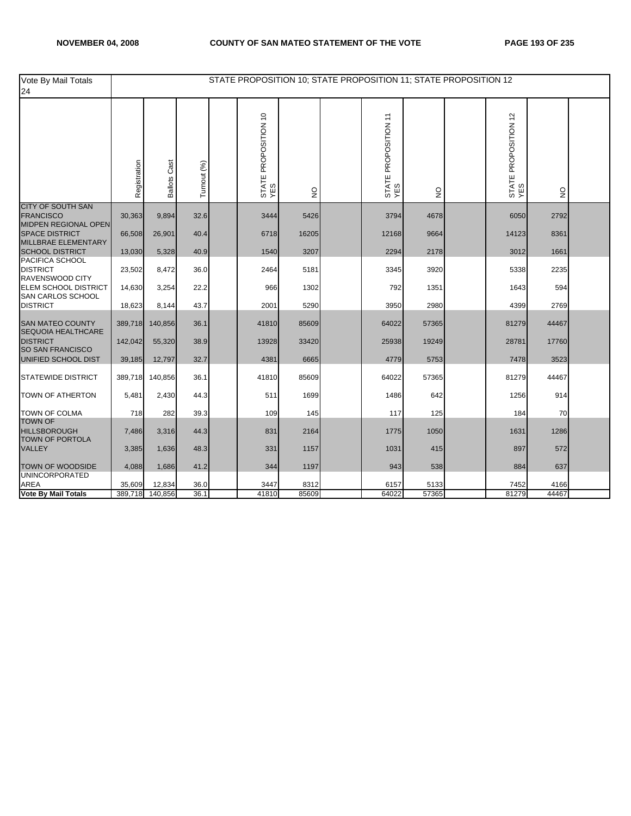| Vote By Mail Totals<br>24                                            |              |                     |             | STATE PROPOSITION 10; STATE PROPOSITION 11; STATE PROPOSITION 12 |                |                             |              |                             |              |  |
|----------------------------------------------------------------------|--------------|---------------------|-------------|------------------------------------------------------------------|----------------|-----------------------------|--------------|-----------------------------|--------------|--|
|                                                                      | Registration | <b>Ballots Cast</b> | Turnout (%) | STATE PROPOSITION 10<br>YES                                      | $\overline{2}$ | STATE PROPOSITION 11<br>YES | $\mathsf{S}$ | STATE PROPOSITION 12<br>YES | $\mathsf{S}$ |  |
| <b>CITY OF SOUTH SAN</b><br><b>FRANCISCO</b>                         | 30,363       | 9,894               | 32.6        | 3444                                                             | 5426           | 3794                        | 4678         | 6050                        | 2792         |  |
| MIDPEN REGIONAL OPEN<br><b>SPACE DISTRICT</b><br>MILLBRAE ELEMENTARY | 66,508       | 26,901              | 40.4        | 6718                                                             | 16205          | 12168                       | 9664         | 14123                       | 8361         |  |
| <b>SCHOOL DISTRICT</b>                                               | 13,030       | 5,328               | 40.9        | 1540                                                             | 3207           | 2294                        | 2178         | 3012                        | 1661         |  |
| PACIFICA SCHOOL<br><b>DISTRICT</b><br>RAVENSWOOD CITY                | 23,502       | 8,472               | 36.0        | 2464                                                             | 5181           | 3345                        | 3920         | 5338                        | 2235         |  |
| <b>ELEM SCHOOL DISTRICT</b><br>SAN CARLOS SCHOOL                     | 14,630       | 3,254               | 22.2        | 966                                                              | 1302           | 792                         | 1351         | 1643                        | 594          |  |
| <b>DISTRICT</b>                                                      | 18,623       | 8,144               | 43.7        | 2001                                                             | 5290           | 3950                        | 2980         | 4399                        | 2769         |  |
| <b>SAN MATEO COUNTY</b><br>SEQUOIA HEALTHCARE                        | 389,718      | 140,856             | 36.1        | 41810                                                            | 85609          | 64022                       | 57365        | 81279                       | 44467        |  |
| <b>DISTRICT</b><br><b>SO SAN FRANCISCO</b>                           | 142,042      | 55,320              | 38.9        | 13928                                                            | 33420          | 25938                       | 19249        | 28781                       | 17760        |  |
| UNIFIED SCHOOL DIST                                                  | 39,185       | 12,797              | 32.7        | 4381                                                             | 6665           | 4779                        | 5753         | 7478                        | 3523         |  |
| <b>STATEWIDE DISTRICT</b>                                            | 389,718      | 140,856             | 36.1        | 41810                                                            | 85609          | 64022                       | 57365        | 81279                       | 44467        |  |
| <b>TOWN OF ATHERTON</b>                                              | 5,481        | 2,430               | 44.3        | 511                                                              | 1699           | 1486                        | 642          | 1256                        | 914          |  |
| <b>TOWN OF COLMA</b><br><b>TOWN OF</b>                               | 718          | 282                 | 39.3        | 109                                                              | 145            | 117                         | 125          | 184                         | 70           |  |
| <b>HILLSBOROUGH</b><br><b>TOWN OF PORTOLA</b>                        | 7,486        | 3,316               | 44.3        | 831                                                              | 2164           | 1775                        | 1050         | 1631                        | 1286         |  |
| <b>VALLEY</b>                                                        | 3,385        | 1,636               | 48.3        | 331                                                              | 1157           | 1031                        | 415          | 897                         | 572          |  |
| TOWN OF WOODSIDE<br><b>UNINCORPORATED</b>                            | 4,088        | 1,686               | 41.2        | 344                                                              | 1197           | 943                         | 538          | 884                         | 637          |  |
| <b>AREA</b>                                                          | 35,609       | 12,834              | 36.0        | 3447                                                             | 8312           | 6157                        | 5133         | 7452                        | 4166         |  |
| <b>Vote By Mail Totals</b>                                           | 389,718      | 140,856             | 36.1        | 41810                                                            | 85609          | 64022                       | 57365        | 81279                       | 44467        |  |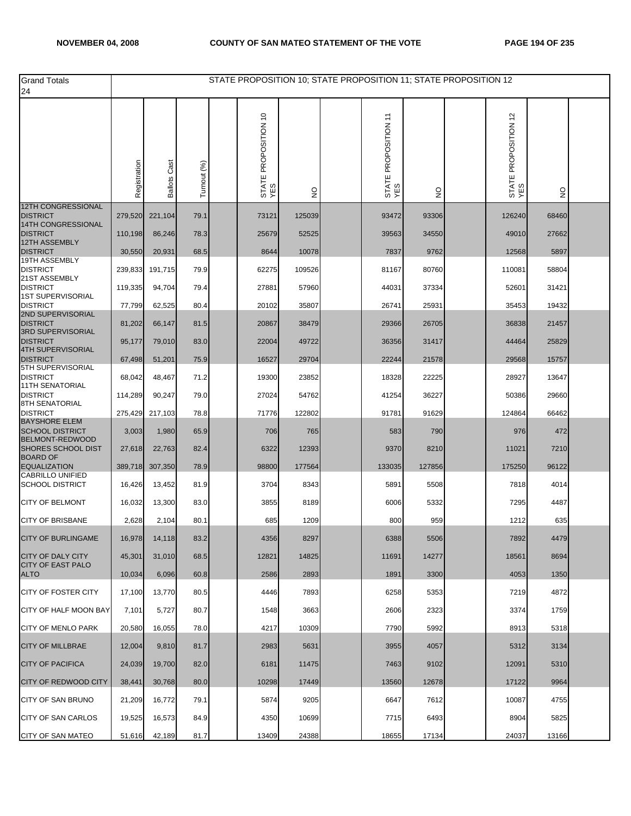| <b>Grand Totals</b><br>24                            |              |                     |             | STATE PROPOSITION 10; STATE PROPOSITION 11; STATE PROPOSITION 12 |               |                             |        |                             |                           |  |
|------------------------------------------------------|--------------|---------------------|-------------|------------------------------------------------------------------|---------------|-----------------------------|--------|-----------------------------|---------------------------|--|
|                                                      | Registration | <b>Ballots Cast</b> | Turnout (%) | STATE PROPOSITION 10<br>YES                                      | $\frac{0}{2}$ | STATE PROPOSITION 11<br>YES | g      | STATE PROPOSITION 12<br>YES | $\mathsf{S}^{\mathsf{O}}$ |  |
| <b>12TH CONGRESSIONAL</b>                            |              |                     |             |                                                                  |               |                             |        |                             |                           |  |
| <b>DISTRICT</b>                                      | 279,520      | 221,104             | 79.1        | 73121                                                            | 125039        | 93472                       | 93306  | 126240                      | 68460                     |  |
| 14TH CONGRESSIONAL<br><b>DISTRICT</b>                | 110,198      | 86,246              | 78.3        | 25679                                                            | 52525         | 39563                       | 34550  | 49010                       | 27662                     |  |
| 12TH ASSEMBLY<br><b>DISTRICT</b>                     | 30,550       | 20,931              | 68.5        | 8644                                                             | 10078         | 7837                        | 9762   | 12568                       | 5897                      |  |
| 19TH ASSEMBLY<br><b>DISTRICT</b>                     | 239,833      | 191,715             | 79.9        | 62275                                                            | 109526        | 81167                       | 80760  | 110081                      | 58804                     |  |
| 21ST ASSEMBLY<br><b>DISTRICT</b>                     | 119,335      | 94,704              | 79.4        | 27881                                                            | 57960         | 44031                       | 37334  | 52601                       | 31421                     |  |
| <b>1ST SUPERVISORIAL</b><br><b>DISTRICT</b>          | 77,799       | 62,525              | 80.4        | 20102                                                            | 35807         | 26741                       | 25931  | 35453                       | 19432                     |  |
| 2ND SUPERVISORIAL<br><b>DISTRICT</b>                 | 81,202       | 66,147              | 81.5        | 20867                                                            | 38479         | 29366                       | 26705  | 36838                       | 21457                     |  |
| 3RD SUPERVISORIAL<br><b>DISTRICT</b>                 | 95,177       | 79,010              | 83.0        | 22004                                                            | 49722         | 36356                       | 31417  | 44464                       | 25829                     |  |
| <b>4TH SUPERVISORIAL</b><br><b>DISTRICT</b>          | 67,498       | 51,201              | 75.9        | 16527                                                            | 29704         | 22244                       | 21578  | 29568                       | 15757                     |  |
| 5TH SUPERVISORIAL<br><b>DISTRICT</b>                 | 68,042       | 48,467              | 71.2        | 19300                                                            | 23852         | 18328                       | 22225  | 28927                       | 13647                     |  |
| <b>11TH SENATORIAL</b><br><b>DISTRICT</b>            | 114,289      | 90,247              | 79.0        | 27024                                                            | 54762         | 41254                       | 36227  | 50386                       | 29660                     |  |
| 8TH SENATORIAL<br><b>DISTRICT</b>                    |              |                     |             |                                                                  |               |                             |        |                             |                           |  |
| <b>BAYSHORE ELEM</b>                                 | 275,429      | 217,103             | 78.8        | 71776                                                            | 122802        | 91781                       | 91629  | 124864                      | 66462                     |  |
| <b>SCHOOL DISTRICT</b><br>BELMONT-REDWOOD            | 3,003        | 1,980               | 65.9        | 706                                                              | 765           | 583                         | 790    | 976                         | 472                       |  |
| <b>SHORES SCHOOL DIST</b><br><b>BOARD OF</b>         | 27,618       | 22,763              | 82.4        | 6322                                                             | 12393         | 9370                        | 8210   | 11021                       | 7210                      |  |
| <b>EQUALIZATION</b><br><b>CABRILLO UNIFIED</b>       | 389,718      | 307,350             | 78.9        | 98800                                                            | 177564        | 133035                      | 127856 | 175250                      | 96122                     |  |
| <b>SCHOOL DISTRICT</b>                               | 16,426       | 13,452              | 81.9        | 3704                                                             | 8343          | 5891                        | 5508   | 7818                        | 4014                      |  |
| <b>CITY OF BELMONT</b>                               | 16,032       | 13,300              | 83.0        | 3855                                                             | 8189          | 6006                        | 5332   | 7295                        | 4487                      |  |
| <b>CITY OF BRISBANE</b>                              | 2,628        | 2,104               | 80.1        | 685                                                              | 1209          | 800                         | 959    | 1212                        | 635                       |  |
| CITY OF BURLINGAME                                   | 16,978       | 14,118              | 83.2        | 4356                                                             | 8297          | 6388                        | 5506   | 7892                        | 4479                      |  |
| <b>CITY OF DALY CITY</b><br><b>CITY OF EAST PALO</b> | 45,301       | 31,010              | 68.5        | 12821                                                            | 14825         | 11691                       | 14277  | 18561                       | 8694                      |  |
| <b>ALTO</b>                                          | 10,034       | 6,096               | 60.8        | 2586                                                             | 2893          | 1891                        | 3300   | 4053                        | 1350                      |  |
| <b>CITY OF FOSTER CITY</b>                           | 17,100       | 13,770              | 80.5        | 4446                                                             | 7893          | 6258                        | 5353   | 7219                        | 4872                      |  |
| CITY OF HALF MOON BAY                                | 7,101        | 5,727               | 80.7        | 1548                                                             | 3663          | 2606                        | 2323   | 3374                        | 1759                      |  |
| <b>CITY OF MENLO PARK</b>                            | 20,580       | 16,055              | 78.0        | 4217                                                             | 10309         | 7790                        | 5992   | 8913                        | 5318                      |  |
| <b>CITY OF MILLBRAE</b>                              | 12,004       | 9,810               | 81.7        | 2983                                                             | 5631          | 3955                        | 4057   | 5312                        | 3134                      |  |
| <b>CITY OF PACIFICA</b>                              | 24,039       | 19,700              | 82.0        | 6181                                                             | 11475         | 7463                        | 9102   | 12091                       | 5310                      |  |
| <b>CITY OF REDWOOD CITY</b>                          | 38,441       | 30,768              | 80.0        | 10298                                                            | 17449         | 13560                       | 12678  | 17122                       | 9964                      |  |
| CITY OF SAN BRUNO                                    | 21,209       | 16,772              | 79.1        | 5874                                                             | 9205          | 6647                        | 7612   | 10087                       | 4755                      |  |
| <b>CITY OF SAN CARLOS</b>                            | 19,525       | 16,573              | 84.9        | 4350                                                             | 10699         | 7715                        | 6493   | 8904                        | 5825                      |  |
| <b>CITY OF SAN MATEO</b>                             | 51,616       | 42,189              | 81.7        | 13409                                                            | 24388         | 18655                       | 17134  | 24037                       | 13166                     |  |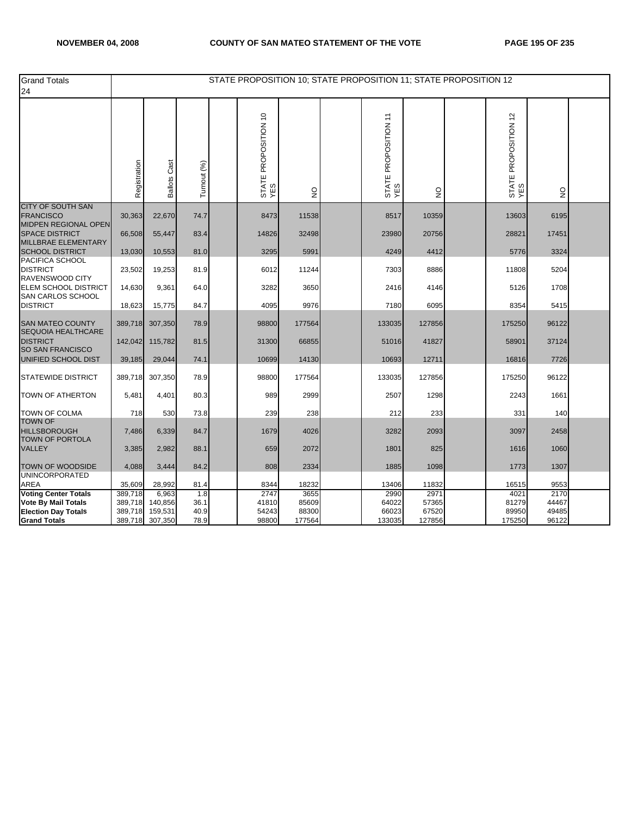| <b>Grand Totals</b><br>24                                       |                    |                        |              | STATE PROPOSITION 10; STATE PROPOSITION 11; STATE PROPOSITION 12 |                 |                             |                 |                             |                |  |
|-----------------------------------------------------------------|--------------------|------------------------|--------------|------------------------------------------------------------------|-----------------|-----------------------------|-----------------|-----------------------------|----------------|--|
|                                                                 | Registration       | Cast<br><b>Ballots</b> | Turnout (%)  | STATE PROPOSITION 10<br>YES                                      | $\frac{0}{2}$   | STATE PROPOSITION 11<br>YES | g               | STATE PROPOSITION 12<br>YES | $\frac{0}{2}$  |  |
| <b>CITY OF SOUTH SAN</b><br><b>FRANCISCO</b>                    | 30,363             | 22,670                 | 74.7         | 8473                                                             | 11538           | 8517                        | 10359           | 13603                       | 6195           |  |
| MIDPEN REGIONAL OPEN<br><b>SPACE DISTRICT</b>                   | 66,508             | 55,447                 | 83.4         | 14826                                                            | 32498           | 23980                       | 20756           | 28821                       | 17451          |  |
| MILLBRAE ELEMENTARY<br><b>SCHOOL DISTRICT</b>                   | 13,030             | 10,553                 | 81.0         | 3295                                                             | 5991            | 4249                        | 4412            | 5776                        | 3324           |  |
| PACIFICA SCHOOL<br><b>DISTRICT</b><br>RAVENSWOOD CITY           | 23,502             | 19,253                 | 81.9         | 6012                                                             | 11244           | 7303                        | 8886            | 11808                       | 5204           |  |
| ELEM SCHOOL DISTRICT<br>SAN CARLOS SCHOOL                       | 14,630             | 9,361                  | 64.0         | 3282                                                             | 3650            | 2416                        | 4146            | 5126                        | 1708           |  |
| <b>DISTRICT</b>                                                 | 18,623             | 15,775                 | 84.7         | 4095                                                             | 9976            | 7180                        | 6095            | 8354                        | 5415           |  |
| <b>SAN MATEO COUNTY</b><br>SEQUOIA HEALTHCARE                   | 389,718            | 307,350                | 78.9         | 98800                                                            | 177564          | 133035                      | 127856          | 175250                      | 96122          |  |
| <b>DISTRICT</b><br><b>SO SAN FRANCISCO</b>                      | 142,042            | 115,782                | 81.5         | 31300                                                            | 66855           | 51016                       | 41827           | 58901                       | 37124          |  |
| UNIFIED SCHOOL DIST                                             | 39,185             | 29,044                 | 74.1         | 10699                                                            | 14130           | 10693                       | 12711           | 16816                       | 7726           |  |
| <b>STATEWIDE DISTRICT</b>                                       | 389,718            | 307,350                | 78.9         | 98800                                                            | 177564          | 133035                      | 127856          | 175250                      | 96122          |  |
| <b>TOWN OF ATHERTON</b>                                         | 5,481              | 4,401                  | 80.3         | 989                                                              | 2999            | 2507                        | 1298            | 2243                        | 1661           |  |
| <b>TOWN OF COLMA</b>                                            | 718                | 530                    | 73.8         | 239                                                              | 238             | 212                         | 233             | 331                         | 140            |  |
| <b>TOWN OF</b><br><b>HILLSBOROUGH</b><br><b>TOWN OF PORTOLA</b> | 7,486              | 6,339                  | 84.7         | 1679                                                             | 4026            | 3282                        | 2093            | 3097                        | 2458           |  |
| <b>VALLEY</b>                                                   | 3,385              | 2,982                  | 88.1         | 659                                                              | 2072            | 1801                        | 825             | 1616                        | 1060           |  |
| <b>TOWN OF WOODSIDE</b><br><b>UNINCORPORATED</b>                | 4,088              | 3,444                  | 84.2         | 808                                                              | 2334            | 1885                        | 1098            | 1773                        | 1307           |  |
| <b>AREA</b>                                                     | 35,609             | 28,992                 | 81.4         | 8344                                                             | 18232           | 13406                       | 11832           | 16515                       | 9553           |  |
| <b>Voting Center Totals</b><br><b>Vote By Mail Totals</b>       | 389,718<br>389,718 | 6,963<br>140,856       | 1.8<br>36.1  | 2747<br>41810                                                    | 3655<br>85609   | 2990<br>64022               | 2971<br>57365   | 4021<br>81279               | 2170<br>44467  |  |
| <b>Election Day Totals</b><br><b>Grand Totals</b>               | 389,718<br>389,718 | 159,531<br>307,350     | 40.9<br>78.9 | 54243<br>98800                                                   | 88300<br>177564 | 66023<br>133035             | 67520<br>127856 | 89950<br>175250             | 49485<br>96122 |  |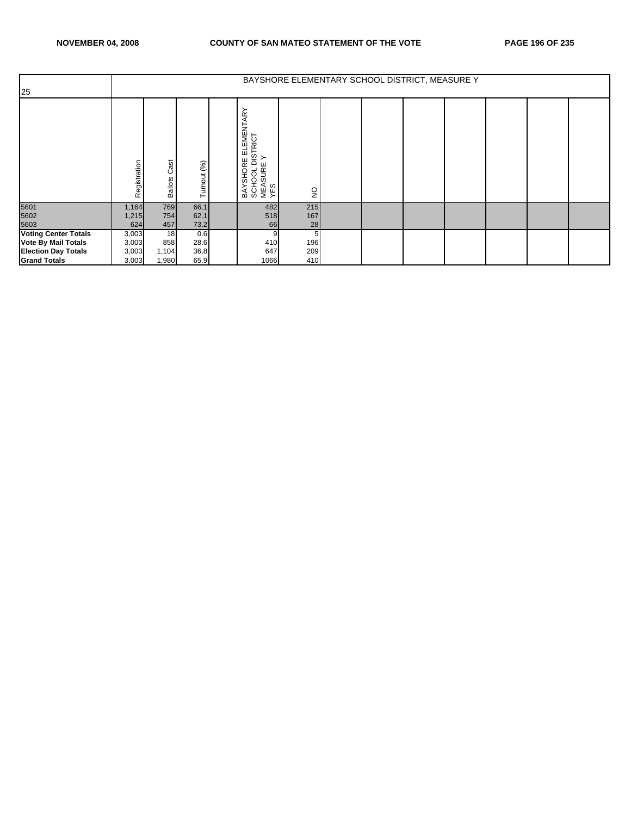|                             |              |                        |                 |                                                                                  |               |  | BAYSHORE ELEMENTARY SCHOOL DISTRICT, MEASURE Y |  |  |
|-----------------------------|--------------|------------------------|-----------------|----------------------------------------------------------------------------------|---------------|--|------------------------------------------------|--|--|
| 25                          |              |                        |                 |                                                                                  |               |  |                                                |  |  |
|                             | Registration | Cast<br><b>Ballots</b> | urnout (%)<br>⊢ | ELEMENTARY<br>DISTRICT<br>E Y<br>SHORE<br>BAYSHORE<br>SCHOOL D<br>MEASURE<br>YES | $\frac{1}{2}$ |  |                                                |  |  |
| 5601<br>5602                | 1,164        | 769                    | 66.1            | 482                                                                              | 215           |  |                                                |  |  |
|                             | 1,215        | 754                    | 62.1            | 518                                                                              | 167           |  |                                                |  |  |
| 5603                        | 624          | 457                    | 73.2            | 66                                                                               | 28            |  |                                                |  |  |
| <b>Voting Center Totals</b> | 3,003        | 18                     | 0.6             | 9                                                                                | 5             |  |                                                |  |  |
| <b>Vote By Mail Totals</b>  | 3,003        | 858                    | 28.6            | 410                                                                              | 196           |  |                                                |  |  |
| <b>Election Day Totals</b>  | 3,003        | 1,104                  | 36.8            | 647                                                                              | 209           |  |                                                |  |  |
| <b>Grand Totals</b>         | 3,003        | 1,980                  | 65.9            | 1066                                                                             | 410           |  |                                                |  |  |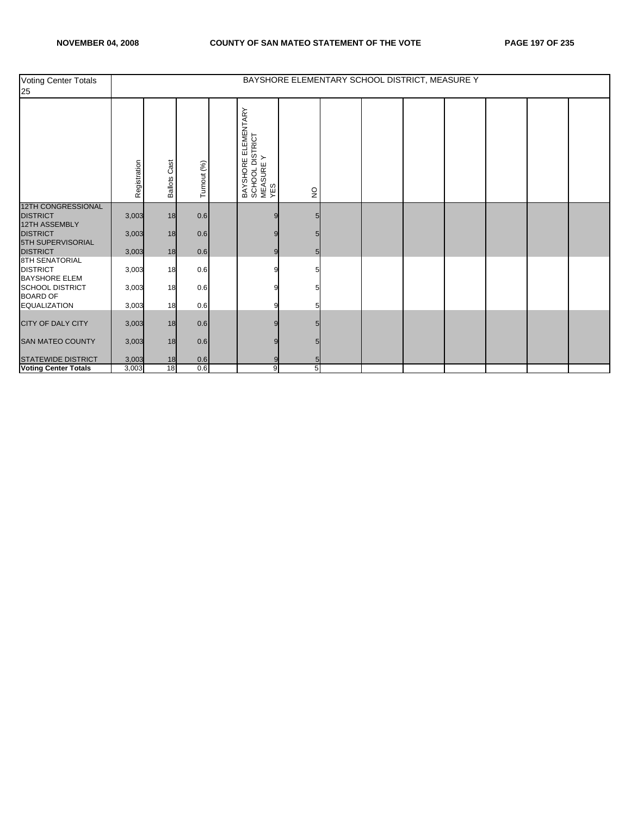| Voting Center Totals<br>25                                |              | BAYSHORE ELEMENTARY SCHOOL DISTRICT, MEASURE Y |             |  |                                                               |              |  |  |  |  |  |  |  |
|-----------------------------------------------------------|--------------|------------------------------------------------|-------------|--|---------------------------------------------------------------|--------------|--|--|--|--|--|--|--|
|                                                           | Registration | Cast<br><b>Ballots</b>                         | Turnout (%) |  | BAYSHORE ELEMENTARY<br> SCHOOL DISTRICT<br> MEASURE Y<br> YES | $\mathsf{S}$ |  |  |  |  |  |  |  |
| <b>12TH CONGRESSIONAL</b><br><b>DISTRICT</b>              | 3,003        | 18                                             | 0.6         |  |                                                               |              |  |  |  |  |  |  |  |
| 12TH ASSEMBLY<br><b>DISTRICT</b>                          | 3,003        | 18                                             | 0.6         |  |                                                               |              |  |  |  |  |  |  |  |
| 5TH SUPERVISORIAL<br><b>DISTRICT</b>                      | 3,003        | 18                                             | 0.6         |  | g                                                             | 5            |  |  |  |  |  |  |  |
| 8TH SENATORIAL<br><b>DISTRICT</b><br><b>BAYSHORE ELEM</b> | 3,003        | 18                                             | 0.6         |  |                                                               |              |  |  |  |  |  |  |  |
| <b>SCHOOL DISTRICT</b><br><b>BOARD OF</b>                 | 3,003        | 18                                             | 0.6         |  |                                                               |              |  |  |  |  |  |  |  |
| <b>EQUALIZATION</b>                                       | 3,003        | 18                                             | 0.6         |  |                                                               |              |  |  |  |  |  |  |  |
| CITY OF DALY CITY                                         | 3,003        | 18                                             | 0.6         |  |                                                               |              |  |  |  |  |  |  |  |
| <b>SAN MATEO COUNTY</b>                                   | 3,003        | 18                                             | 0.6         |  |                                                               |              |  |  |  |  |  |  |  |
| STATEWIDE DISTRICT                                        | 3,003        | 18                                             | 0.6         |  |                                                               |              |  |  |  |  |  |  |  |
| <b>Voting Center Totals</b>                               | 3,003        | 18                                             | 0.6         |  | 9                                                             | 5            |  |  |  |  |  |  |  |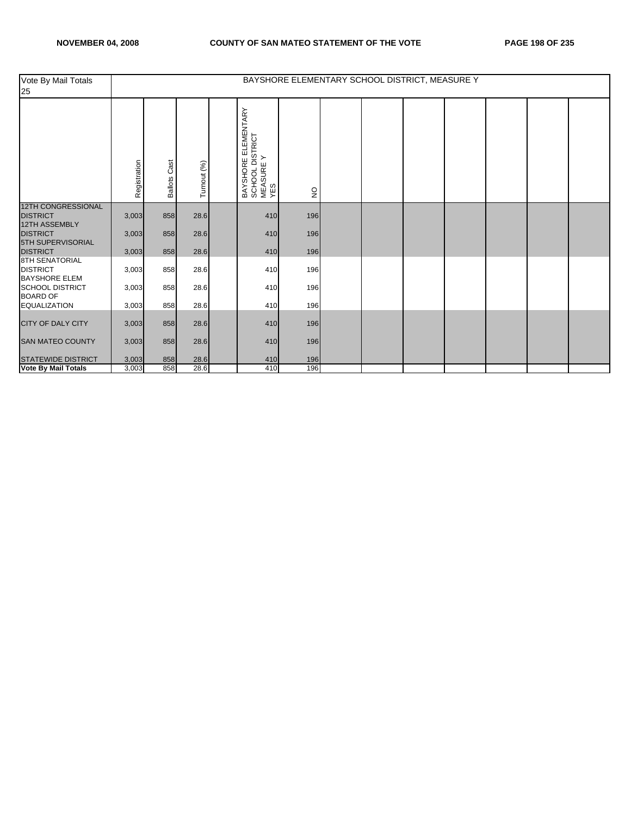| Vote By Mail Totals<br>25                                        | BAYSHORE ELEMENTARY SCHOOL DISTRICT, MEASURE Y |                        |             |  |                                                            |               |  |  |  |  |  |  |  |
|------------------------------------------------------------------|------------------------------------------------|------------------------|-------------|--|------------------------------------------------------------|---------------|--|--|--|--|--|--|--|
|                                                                  | Registration                                   | Cast<br><b>Ballots</b> | Turnout (%) |  | BAYSHORE ELEMENTARY<br>SCHOOL DISTRICT<br>MEASURE Y<br>YES | $\frac{1}{2}$ |  |  |  |  |  |  |  |
| <b>12TH CONGRESSIONAL</b><br><b>DISTRICT</b>                     | 3,003                                          | 858                    | 28.6        |  | 410                                                        | 196           |  |  |  |  |  |  |  |
| <b>12TH ASSEMBLY</b><br><b>DISTRICT</b><br>5TH SUPERVISORIAL     | 3,003                                          | 858                    | 28.6        |  | 410                                                        | 196           |  |  |  |  |  |  |  |
| <b>DISTRICT</b>                                                  | 3,003                                          | 858                    | 28.6        |  | 410                                                        | 196           |  |  |  |  |  |  |  |
| <b>8TH SENATORIAL</b><br><b>DISTRICT</b><br><b>BAYSHORE ELEM</b> | 3,003                                          | 858                    | 28.6        |  | 410                                                        | 196           |  |  |  |  |  |  |  |
| <b>SCHOOL DISTRICT</b><br><b>BOARD OF</b>                        | 3,003                                          | 858                    | 28.6        |  | 410                                                        | 196           |  |  |  |  |  |  |  |
| <b>EQUALIZATION</b>                                              | 3,003                                          | 858                    | 28.6        |  | 410                                                        | 196           |  |  |  |  |  |  |  |
| <b>CITY OF DALY CITY</b>                                         | 3,003                                          | 858                    | 28.6        |  | 410                                                        | 196           |  |  |  |  |  |  |  |
| <b>SAN MATEO COUNTY</b>                                          | 3,003                                          | 858                    | 28.6        |  | 410                                                        | 196           |  |  |  |  |  |  |  |
| <b>STATEWIDE DISTRICT</b>                                        | 3,003                                          | 858                    | 28.6        |  | 410                                                        | 196           |  |  |  |  |  |  |  |
| <b>Vote By Mail Totals</b>                                       | 3,003                                          | 858                    | 28.6        |  | 410                                                        | 196           |  |  |  |  |  |  |  |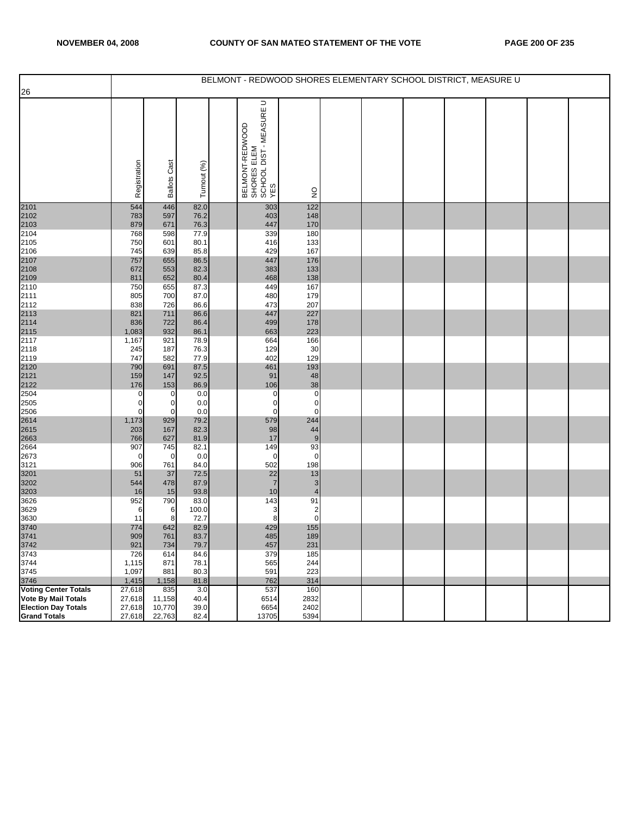|                              |                  |                     |               | BELMONT - REDWOOD SHORES ELEMENTARY SCHOOL DISTRICT, MEASURE U   |                               |  |  |  |  |
|------------------------------|------------------|---------------------|---------------|------------------------------------------------------------------|-------------------------------|--|--|--|--|
| $\overline{26}$              |                  |                     |               |                                                                  |                               |  |  |  |  |
|                              | Registration     | <b>Ballots Cast</b> | Turnout (%)   | BELMONT-REDWOOD<br>SHORES ELEM<br>SCHOOL DIST - MEASURE U<br>YES | $\frac{1}{2}$                 |  |  |  |  |
| 2101<br>2102<br>2103<br>2104 | 544<br>783       | 446<br>597          | 82.0<br>76.2  | 303<br>403                                                       | $122$<br>148                  |  |  |  |  |
|                              | 879              | 671                 | 76.3          | 447                                                              | 170                           |  |  |  |  |
| 2105                         | 768<br>750       | 598<br>601          | 77.9<br>80.1  | 339<br>416                                                       | 180<br>133                    |  |  |  |  |
| 2106                         | 745              | 639                 | 85.8          | 429                                                              | 167                           |  |  |  |  |
|                              | 757              | 655                 | 86.5          | 447                                                              | 176                           |  |  |  |  |
| 2107<br>2108<br>2109<br>2110 | 672<br>811       | 553<br>652          | 82.3<br>80.4  | 383<br>468                                                       | 133<br>138                    |  |  |  |  |
|                              | 750              | 655                 | 87.3          | 449                                                              | 167                           |  |  |  |  |
| 2111                         | 805              | 700                 | 87.0          | 480                                                              | 179                           |  |  |  |  |
| 2112                         | 838              | 726                 | 86.6          | 473                                                              | 207                           |  |  |  |  |
| 2113<br>2114<br>2115<br>2117 | 821<br>836       | 711<br>722          | 86.6<br>86.4  | 447<br>499                                                       | 227<br>178                    |  |  |  |  |
|                              | 1,083            | 932                 | 86.1          | 663                                                              | 223                           |  |  |  |  |
|                              | 1,167            | 921                 | 78.9          | 664                                                              | 166                           |  |  |  |  |
| 2118                         | 245<br>747       | 187<br>582          | 76.3<br>77.9  | 129<br>402                                                       | 30<br>129                     |  |  |  |  |
| 2119                         | 790              | 691                 | 87.5          | 461                                                              | 193                           |  |  |  |  |
|                              | 159              | 147                 | 92.5          | 91                                                               | 48                            |  |  |  |  |
| 2120<br>2121<br>2122<br>2504 | 176              | 153                 | 86.9          | 106                                                              | 38                            |  |  |  |  |
| 2505                         | 0<br>0           | 0<br>0              | 0.0<br>0.0    | 0<br>0                                                           | $\mathbf 0$<br>$\pmb{0}$      |  |  |  |  |
| 2506                         | 0                | 0                   | 0.0           | $\mathbf 0$                                                      | $\mathbf 0$                   |  |  |  |  |
| 2614<br>2615<br>2663         | 1,173            | 929                 | 79.2          | 579                                                              | 244                           |  |  |  |  |
|                              | 203<br>766       | 167<br>627          | 82.3<br>81.9  | 98<br>17                                                         | 44<br>$\boldsymbol{9}$        |  |  |  |  |
| 2664                         | 907              | 745                 | 82.1          | 149                                                              | 93                            |  |  |  |  |
| 2673                         | 0                | $\mathbf 0$         | 0.0           | 0                                                                | $\pmb{0}$                     |  |  |  |  |
| 3121                         | 906              | 761                 | 84.0          | 502                                                              | 198                           |  |  |  |  |
| 3201                         | 51<br>544        | 37<br>478           | 72.5<br>87.9  | 22<br>$\overline{7}$                                             | 13<br>$\mathbf{3}$            |  |  |  |  |
| 3202<br>3203                 | 16               | 15                  | 93.8          | 10                                                               | $\overline{4}$                |  |  |  |  |
| 3626                         | 952              | 790                 | 83.0          | 143                                                              | 91                            |  |  |  |  |
| 3629<br>3630                 | 6<br>11          | 6<br>8              | 100.0<br>72.7 | 3<br>8                                                           | $\overline{c}$<br>$\mathbf 0$ |  |  |  |  |
|                              | 774              | 642                 | 82.9          | 429                                                              | 155                           |  |  |  |  |
| 3740<br>3741                 | 909              | 761                 | 83.7          | 485                                                              | 189                           |  |  |  |  |
| 3742<br>3743                 | 921              | 734                 | 79.7          | 457                                                              | 231                           |  |  |  |  |
| 3744                         | 726<br>1,115     | 614<br>871          | 84.6<br>78.1  | 379<br>565                                                       | 185<br>244                    |  |  |  |  |
| 3745                         | 1,097            | 881                 | 80.3          | 591                                                              | 223                           |  |  |  |  |
| 3746<br>Voting Center Totals | 1,415            | 1,158               | 81.8          | 762                                                              | 314                           |  |  |  |  |
| <b>Vote By Mail Totals</b>   | 27,618<br>27,618 | 835<br>11,158       | 3.0<br>40.4   | 537<br>6514                                                      | 160<br>2832                   |  |  |  |  |
| <b>Election Day Totals</b>   | 27,618           | 10,770              | 39.0          | 6654                                                             | 2402                          |  |  |  |  |
| <b>Grand Totals</b>          | 27,618           | 22,763              | 82.4          | 13705                                                            | 5394                          |  |  |  |  |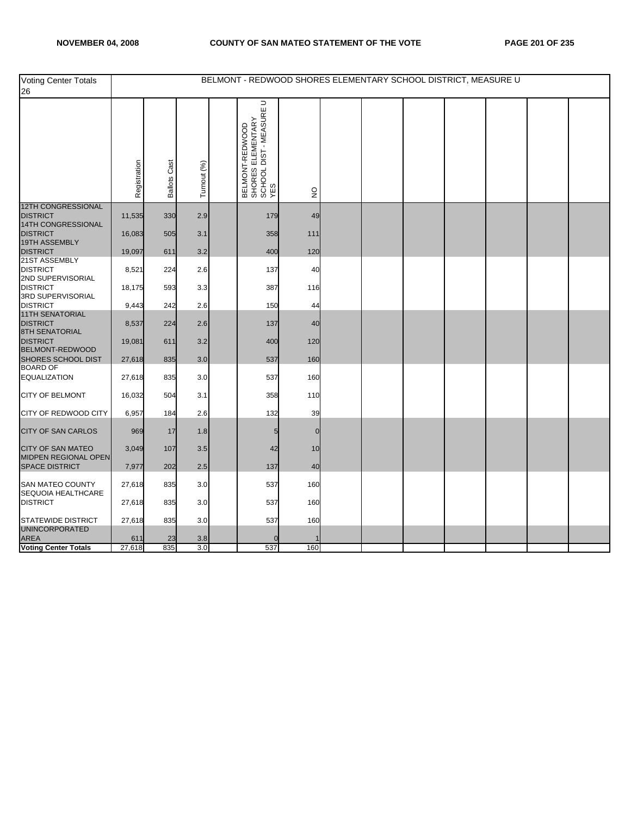| <b>Voting Center Totals</b><br>26                       |               |                     |             | BELMONT - REDWOOD SHORES ELEMENTARY SCHOOL DISTRICT, MEASURE U                              |     |  |  |  |  |
|---------------------------------------------------------|---------------|---------------------|-------------|---------------------------------------------------------------------------------------------|-----|--|--|--|--|
|                                                         | Registration  | <b>Ballots Cast</b> | Turnout (%) | $\supset$<br>  BELMONT-REDWOOD<br>  SHORES ELEMENTARY<br>  SCHOOL DIST - MEASURE U<br>  YES | g   |  |  |  |  |
| <b>12TH CONGRESSIONAL</b><br><b>DISTRICT</b>            | 11,535        | 330                 | 2.9         | 179                                                                                         | 49  |  |  |  |  |
| 14TH CONGRESSIONAL<br><b>DISTRICT</b>                   | 16,083        | 505                 | 3.1         | 358                                                                                         | 111 |  |  |  |  |
| 19TH ASSEMBLY<br><b>DISTRICT</b>                        | 19,097        | 611                 | 3.2         | 400                                                                                         | 120 |  |  |  |  |
| 21ST ASSEMBLY<br><b>DISTRICT</b><br>2ND SUPERVISORIAL   | 8,521         | 224                 | 2.6         | 137                                                                                         | 40  |  |  |  |  |
| <b>DISTRICT</b><br>3RD SUPERVISORIAL                    | 18,175        | 593                 | 3.3         | 387                                                                                         | 116 |  |  |  |  |
| <b>DISTRICT</b><br>11TH SENATORIAL                      | 9,443         | 242                 | 2.6         | 150                                                                                         | 44  |  |  |  |  |
| <b>DISTRICT</b><br><b>8TH SENATORIAL</b>                | 8,537         | 224                 | 2.6         | 137                                                                                         | 40  |  |  |  |  |
| <b>DISTRICT</b><br><b>BELMONT-REDWOOD</b>               | 19,081        | 611                 | 3.2         | 400                                                                                         | 120 |  |  |  |  |
| SHORES SCHOOL DIST<br><b>BOARD OF</b>                   | 27,618        | 835                 | 3.0         | 537                                                                                         | 160 |  |  |  |  |
| <b>EQUALIZATION</b>                                     | 27,618        | 835                 | 3.0         | 537                                                                                         | 160 |  |  |  |  |
| CITY OF BELMONT                                         | 16,032        | 504                 | 3.1         | 358                                                                                         | 110 |  |  |  |  |
| CITY OF REDWOOD CITY                                    | 6,957         | 184                 | 2.6         | 132                                                                                         | 39  |  |  |  |  |
| <b>CITY OF SAN CARLOS</b>                               | 969           | 17                  | 1.8         | 5                                                                                           | ∩   |  |  |  |  |
| <b>CITY OF SAN MATEO</b><br><b>MIDPEN REGIONAL OPEN</b> | 3,049         | 107                 | 3.5         | 42                                                                                          | 10  |  |  |  |  |
| <b>SPACE DISTRICT</b>                                   | 7,977         | 202                 | 2.5         | 137                                                                                         | 40  |  |  |  |  |
| <b>SAN MATEO COUNTY</b><br>SEQUOIA HEALTHCARE           | 27,618        | 835                 | 3.0         | 537                                                                                         | 160 |  |  |  |  |
| <b>DISTRICT</b>                                         | 27,618        | 835                 | 3.0         | 537                                                                                         | 160 |  |  |  |  |
| <b>STATEWIDE DISTRICT</b><br><b>UNINCORPORATED</b>      | 27,618        | 835                 | 3.0         | 537                                                                                         | 160 |  |  |  |  |
| <b>AREA</b><br><b>Voting Center Totals</b>              | 611<br>27,618 | 23<br>835           | 3.8<br>3.0  | 537                                                                                         | 160 |  |  |  |  |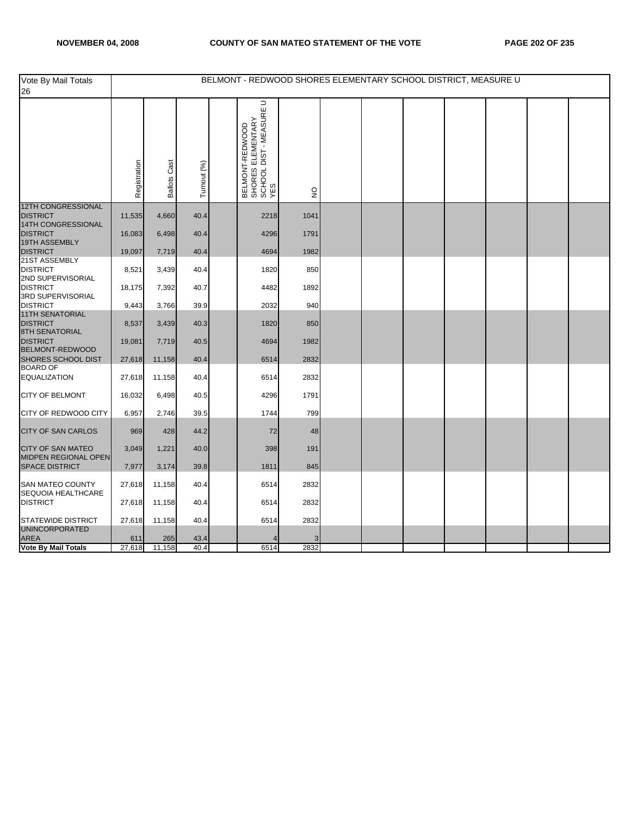| $\supset$<br>  BELMONT-REDWOOD<br>  SHORES ELEMENTARY<br>  SCHOOL DIST - MEASURE U<br>  YES<br>Registration<br><b>Ballots Cast</b><br>Turnout (%)<br>$\frac{1}{2}$<br><b>DISTRICT</b><br>11,535<br>4,660<br>40.4<br>2218<br>1041<br>14TH CONGRESSIONAL<br><b>DISTRICT</b><br>16,083<br>6,498<br>40.4<br>4296<br>1791<br>19TH ASSEMBLY<br><b>DISTRICT</b><br>4694<br>1982<br>19,097<br>7,719<br>40.4<br>21ST ASSEMBLY<br><b>DISTRICT</b><br>8,521<br>850<br>3,439<br>40.4<br>1820<br>2ND SUPERVISORIAL<br><b>DISTRICT</b><br>18,175<br>7,392<br>40.7<br>4482<br>1892<br>3RD SUPERVISORIAL<br><b>DISTRICT</b><br>9,443<br>3,766<br>39.9<br>2032<br>940<br><b>11TH SENATORIAL</b><br><b>DISTRICT</b><br>8,537<br>850<br>3,439<br>40.3<br>1820<br><b>8TH SENATORIAL</b><br><b>DISTRICT</b><br>19,081<br>1982<br>7,719<br>40.5<br>4694<br>BELMONT-REDWOOD<br>SHORES SCHOOL DIST<br>27,618<br>11,158<br>40.4<br>2832<br>6514<br><b>BOARD OF</b><br><b>EQUALIZATION</b><br>2832<br>27,618<br>11,158<br>40.4<br>6514<br>CITY OF BELMONT<br>16,032<br>6,498<br>40.5<br>4296<br>1791<br>CITY OF REDWOOD CITY<br>6,957<br>2,746<br>39.5<br>1744<br>799<br>CITY OF SAN CARLOS<br>969<br>428<br>44.2<br>72<br>48<br><b>CITY OF SAN MATEO</b><br>3,049<br>191<br>1,221<br>40.0<br>398<br><b>MIDPEN REGIONAL OPEN</b><br><b>SPACE DISTRICT</b><br>7,977<br>3,174<br>39.8<br>1811<br>845<br>SAN MATEO COUNTY<br>27,618<br>6514<br>2832<br>11,158<br>40.4<br>SEQUOIA HEALTHCARE<br><b>DISTRICT</b><br>27,618<br>2832<br>11,158<br>40.4<br>6514<br><b>STATEWIDE DISTRICT</b><br>27,618<br>2832<br>11,158<br>40.4<br>6514<br>UNINCORPORATED<br>AREA<br>611<br>265<br>43.4<br>3<br><b>Vote By Mail Totals</b><br>27,618<br>11,158<br>40.4<br>6514<br>2832 | Vote By Mail Totals<br>26 |  |  | BELMONT - REDWOOD SHORES ELEMENTARY SCHOOL DISTRICT, MEASURE U |  |  |  |  |
|---------------------------------------------------------------------------------------------------------------------------------------------------------------------------------------------------------------------------------------------------------------------------------------------------------------------------------------------------------------------------------------------------------------------------------------------------------------------------------------------------------------------------------------------------------------------------------------------------------------------------------------------------------------------------------------------------------------------------------------------------------------------------------------------------------------------------------------------------------------------------------------------------------------------------------------------------------------------------------------------------------------------------------------------------------------------------------------------------------------------------------------------------------------------------------------------------------------------------------------------------------------------------------------------------------------------------------------------------------------------------------------------------------------------------------------------------------------------------------------------------------------------------------------------------------------------------------------------------------------------------------------------------------------------------------------------------------------------------------------|---------------------------|--|--|----------------------------------------------------------------|--|--|--|--|
|                                                                                                                                                                                                                                                                                                                                                                                                                                                                                                                                                                                                                                                                                                                                                                                                                                                                                                                                                                                                                                                                                                                                                                                                                                                                                                                                                                                                                                                                                                                                                                                                                                                                                                                                       |                           |  |  |                                                                |  |  |  |  |
|                                                                                                                                                                                                                                                                                                                                                                                                                                                                                                                                                                                                                                                                                                                                                                                                                                                                                                                                                                                                                                                                                                                                                                                                                                                                                                                                                                                                                                                                                                                                                                                                                                                                                                                                       | <b>12TH CONGRESSIONAL</b> |  |  |                                                                |  |  |  |  |
|                                                                                                                                                                                                                                                                                                                                                                                                                                                                                                                                                                                                                                                                                                                                                                                                                                                                                                                                                                                                                                                                                                                                                                                                                                                                                                                                                                                                                                                                                                                                                                                                                                                                                                                                       |                           |  |  |                                                                |  |  |  |  |
|                                                                                                                                                                                                                                                                                                                                                                                                                                                                                                                                                                                                                                                                                                                                                                                                                                                                                                                                                                                                                                                                                                                                                                                                                                                                                                                                                                                                                                                                                                                                                                                                                                                                                                                                       |                           |  |  |                                                                |  |  |  |  |
|                                                                                                                                                                                                                                                                                                                                                                                                                                                                                                                                                                                                                                                                                                                                                                                                                                                                                                                                                                                                                                                                                                                                                                                                                                                                                                                                                                                                                                                                                                                                                                                                                                                                                                                                       |                           |  |  |                                                                |  |  |  |  |
|                                                                                                                                                                                                                                                                                                                                                                                                                                                                                                                                                                                                                                                                                                                                                                                                                                                                                                                                                                                                                                                                                                                                                                                                                                                                                                                                                                                                                                                                                                                                                                                                                                                                                                                                       |                           |  |  |                                                                |  |  |  |  |
|                                                                                                                                                                                                                                                                                                                                                                                                                                                                                                                                                                                                                                                                                                                                                                                                                                                                                                                                                                                                                                                                                                                                                                                                                                                                                                                                                                                                                                                                                                                                                                                                                                                                                                                                       |                           |  |  |                                                                |  |  |  |  |
|                                                                                                                                                                                                                                                                                                                                                                                                                                                                                                                                                                                                                                                                                                                                                                                                                                                                                                                                                                                                                                                                                                                                                                                                                                                                                                                                                                                                                                                                                                                                                                                                                                                                                                                                       |                           |  |  |                                                                |  |  |  |  |
|                                                                                                                                                                                                                                                                                                                                                                                                                                                                                                                                                                                                                                                                                                                                                                                                                                                                                                                                                                                                                                                                                                                                                                                                                                                                                                                                                                                                                                                                                                                                                                                                                                                                                                                                       |                           |  |  |                                                                |  |  |  |  |
|                                                                                                                                                                                                                                                                                                                                                                                                                                                                                                                                                                                                                                                                                                                                                                                                                                                                                                                                                                                                                                                                                                                                                                                                                                                                                                                                                                                                                                                                                                                                                                                                                                                                                                                                       |                           |  |  |                                                                |  |  |  |  |
|                                                                                                                                                                                                                                                                                                                                                                                                                                                                                                                                                                                                                                                                                                                                                                                                                                                                                                                                                                                                                                                                                                                                                                                                                                                                                                                                                                                                                                                                                                                                                                                                                                                                                                                                       |                           |  |  |                                                                |  |  |  |  |
|                                                                                                                                                                                                                                                                                                                                                                                                                                                                                                                                                                                                                                                                                                                                                                                                                                                                                                                                                                                                                                                                                                                                                                                                                                                                                                                                                                                                                                                                                                                                                                                                                                                                                                                                       |                           |  |  |                                                                |  |  |  |  |
|                                                                                                                                                                                                                                                                                                                                                                                                                                                                                                                                                                                                                                                                                                                                                                                                                                                                                                                                                                                                                                                                                                                                                                                                                                                                                                                                                                                                                                                                                                                                                                                                                                                                                                                                       |                           |  |  |                                                                |  |  |  |  |
|                                                                                                                                                                                                                                                                                                                                                                                                                                                                                                                                                                                                                                                                                                                                                                                                                                                                                                                                                                                                                                                                                                                                                                                                                                                                                                                                                                                                                                                                                                                                                                                                                                                                                                                                       |                           |  |  |                                                                |  |  |  |  |
|                                                                                                                                                                                                                                                                                                                                                                                                                                                                                                                                                                                                                                                                                                                                                                                                                                                                                                                                                                                                                                                                                                                                                                                                                                                                                                                                                                                                                                                                                                                                                                                                                                                                                                                                       |                           |  |  |                                                                |  |  |  |  |
|                                                                                                                                                                                                                                                                                                                                                                                                                                                                                                                                                                                                                                                                                                                                                                                                                                                                                                                                                                                                                                                                                                                                                                                                                                                                                                                                                                                                                                                                                                                                                                                                                                                                                                                                       |                           |  |  |                                                                |  |  |  |  |
|                                                                                                                                                                                                                                                                                                                                                                                                                                                                                                                                                                                                                                                                                                                                                                                                                                                                                                                                                                                                                                                                                                                                                                                                                                                                                                                                                                                                                                                                                                                                                                                                                                                                                                                                       |                           |  |  |                                                                |  |  |  |  |
|                                                                                                                                                                                                                                                                                                                                                                                                                                                                                                                                                                                                                                                                                                                                                                                                                                                                                                                                                                                                                                                                                                                                                                                                                                                                                                                                                                                                                                                                                                                                                                                                                                                                                                                                       |                           |  |  |                                                                |  |  |  |  |
|                                                                                                                                                                                                                                                                                                                                                                                                                                                                                                                                                                                                                                                                                                                                                                                                                                                                                                                                                                                                                                                                                                                                                                                                                                                                                                                                                                                                                                                                                                                                                                                                                                                                                                                                       |                           |  |  |                                                                |  |  |  |  |
|                                                                                                                                                                                                                                                                                                                                                                                                                                                                                                                                                                                                                                                                                                                                                                                                                                                                                                                                                                                                                                                                                                                                                                                                                                                                                                                                                                                                                                                                                                                                                                                                                                                                                                                                       |                           |  |  |                                                                |  |  |  |  |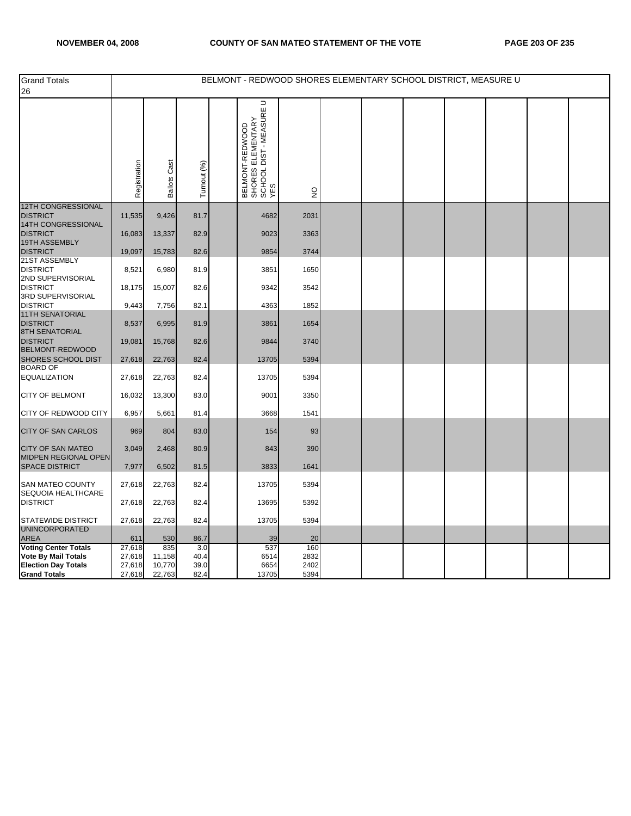| <b>Grand Totals</b><br>26                                          |                  |                     |              |                                                                                     |               |  | BELMONT - REDWOOD SHORES ELEMENTARY SCHOOL DISTRICT, MEASURE U |  |  |
|--------------------------------------------------------------------|------------------|---------------------|--------------|-------------------------------------------------------------------------------------|---------------|--|----------------------------------------------------------------|--|--|
|                                                                    | Registration     | <b>Ballots Cast</b> | Turnout (%)  | ⊃<br>  BELMONT-REDWOOD<br>  SHORES ELEMENTARY<br>  SCHOOL DIST - MEASURE U<br>  YES | $\frac{0}{2}$ |  |                                                                |  |  |
| <b>12TH CONGRESSIONAL</b><br><b>DISTRICT</b>                       | 11,535           | 9,426               | 81.7         | 4682                                                                                | 2031          |  |                                                                |  |  |
| 14TH CONGRESSIONAL<br><b>DISTRICT</b>                              | 16,083           | 13,337              | 82.9         | 9023                                                                                | 3363          |  |                                                                |  |  |
| 19TH ASSEMBLY<br><b>DISTRICT</b>                                   | 19,097           | 15,783              | 82.6         | 9854                                                                                | 3744          |  |                                                                |  |  |
| 21ST ASSEMBLY<br><b>DISTRICT</b>                                   | 8,521            | 6,980               | 81.9         | 3851                                                                                | 1650          |  |                                                                |  |  |
| 2ND SUPERVISORIAL<br><b>DISTRICT</b>                               | 18,175           | 15,007              | 82.6         | 9342                                                                                | 3542          |  |                                                                |  |  |
| 3RD SUPERVISORIAL<br><b>DISTRICT</b>                               | 9,443            | 7,756               | 82.1         | 4363                                                                                | 1852          |  |                                                                |  |  |
| <b>11TH SENATORIAL</b><br><b>DISTRICT</b><br><b>8TH SENATORIAL</b> | 8,537            | 6,995               | 81.9         | 3861                                                                                | 1654          |  |                                                                |  |  |
| <b>DISTRICT</b><br>BELMONT-REDWOOD                                 | 19,081           | 15,768              | 82.6         | 9844                                                                                | 3740          |  |                                                                |  |  |
| SHORES SCHOOL DIST<br><b>BOARD OF</b>                              | 27,618           | 22,763              | 82.4         | 13705                                                                               | 5394          |  |                                                                |  |  |
| <b>EQUALIZATION</b>                                                | 27,618           | 22,763              | 82.4         | 13705                                                                               | 5394          |  |                                                                |  |  |
| CITY OF BELMONT                                                    | 16,032           | 13,300              | 83.0         | 9001                                                                                | 3350          |  |                                                                |  |  |
| CITY OF REDWOOD CITY                                               | 6,957            | 5,661               | 81.4         | 3668                                                                                | 1541          |  |                                                                |  |  |
| CITY OF SAN CARLOS                                                 | 969              | 804                 | 83.0         | 154                                                                                 | 93            |  |                                                                |  |  |
| CITY OF SAN MATEO                                                  | 3,049            | 2,468               | 80.9         | 843                                                                                 | 390           |  |                                                                |  |  |
| MIDPEN REGIONAL OPEN<br><b>SPACE DISTRICT</b>                      | 7,977            | 6,502               | 81.5         | 3833                                                                                | 1641          |  |                                                                |  |  |
| SAN MATEO COUNTY<br>SEQUOIA HEALTHCARE                             | 27,618           | 22,763              | 82.4         | 13705                                                                               | 5394          |  |                                                                |  |  |
| <b>DISTRICT</b>                                                    | 27,618           | 22,763              | 82.4         | 13695                                                                               | 5392          |  |                                                                |  |  |
| STATEWIDE DISTRICT<br>UNINCORPORATED                               | 27,618           | 22,763              | 82.4         | 13705                                                                               | 5394          |  |                                                                |  |  |
| AREA                                                               | 611              | 530                 | 86.7         | 39                                                                                  | 20            |  |                                                                |  |  |
| <b>Voting Center Totals</b><br>Vote By Mail Totals                 | 27,618<br>27,618 | 835<br>11,158       | 3.0<br>40.4  | 537<br>6514                                                                         | 160<br>2832   |  |                                                                |  |  |
| <b>Election Day Totals</b><br><b>Grand Totals</b>                  | 27,618<br>27,618 | 10,770<br>22,763    | 39.0<br>82.4 | 6654<br>13705                                                                       | 2402<br>5394  |  |                                                                |  |  |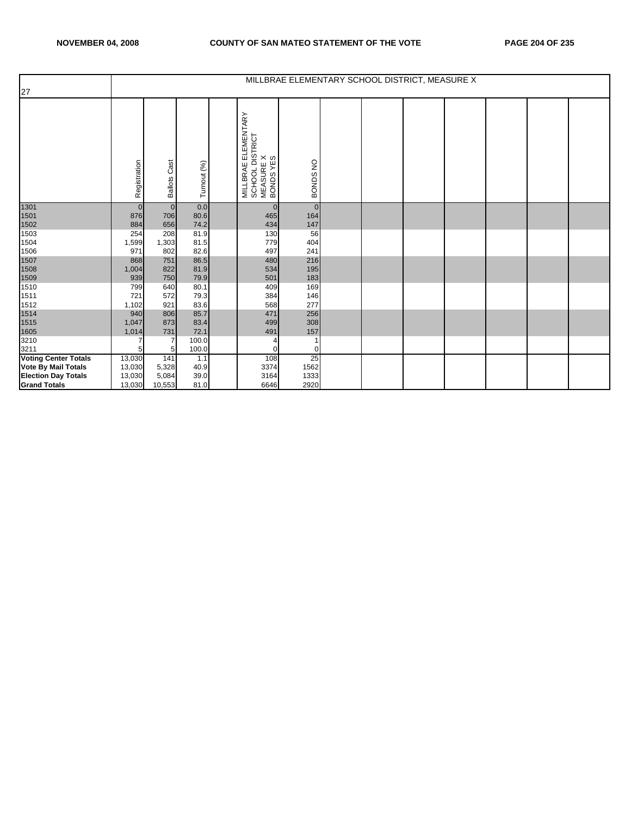|                             |                |                        |              |                                                                  | MILLBRAE ELEMENTARY SCHOOL DISTRICT, MEASURE X |  |  |  |  |
|-----------------------------|----------------|------------------------|--------------|------------------------------------------------------------------|------------------------------------------------|--|--|--|--|
| 27                          |                |                        |              |                                                                  |                                                |  |  |  |  |
|                             | Registration   | Cast<br><b>Ballots</b> | Turnout (%)  | MILLBRAE ELEMENTARY<br>SCHOOL DISTRICT<br>MEASURE X<br>BONDS YES | BONDS NO                                       |  |  |  |  |
| 1301                        | $\overline{0}$ | $\overline{0}$         | 0.0          | $\mathbf{0}$                                                     | $\overline{0}$                                 |  |  |  |  |
| 1501<br>1502<br>1503        | 876            | 706                    | 80.6         | 465                                                              | 164                                            |  |  |  |  |
|                             | 884            | 656<br>208             | 74.2<br>81.9 | 434                                                              | 147                                            |  |  |  |  |
| 1504                        | 254<br>1,599   | 1,303                  | 81.5         | 130<br>779                                                       | 56<br>404                                      |  |  |  |  |
| 1506                        | 971            | 802                    | 82.6         | 497                                                              | 241                                            |  |  |  |  |
| 1507                        | 868            | 751                    | 86.5         | 480                                                              | 216                                            |  |  |  |  |
| 1508                        | 1,004          | 822                    | 81.9         | 534                                                              | 195                                            |  |  |  |  |
| 1509                        | 939            | 750                    | 79.9         | 501                                                              |                                                |  |  |  |  |
| 1510                        | 799            | 640                    | 80.1         | 409                                                              | 183<br>169                                     |  |  |  |  |
| 1511                        | 721            | 572                    | 79.3         | 384                                                              | 146                                            |  |  |  |  |
| 1512<br>1514<br>1515        | 1,102          | 921                    | 83.6         | 568                                                              | 277                                            |  |  |  |  |
|                             | 940            | 806                    | 85.7         | 471                                                              | 256                                            |  |  |  |  |
|                             | 1,047          | 873                    | 83.4         | 499                                                              | 308                                            |  |  |  |  |
| 1605                        | 1,014          | 731                    | 72.1         | 491                                                              | 157                                            |  |  |  |  |
| 3210                        |                | $\overline{7}$         | 100.0        | 4                                                                |                                                |  |  |  |  |
| 3211                        | 5              | 5                      | 100.0        | 0                                                                | $\mathbf 0$                                    |  |  |  |  |
| <b>Voting Center Totals</b> | 13,030         | 141                    | 1.1          | 108                                                              | 25                                             |  |  |  |  |
| <b>Vote By Mail Totals</b>  | 13,030         | 5,328                  | 40.9         | 3374                                                             | 1562                                           |  |  |  |  |
| <b>Election Day Totals</b>  | 13,030         | 5,084                  | 39.0         | 3164                                                             | 1333                                           |  |  |  |  |
| <b>Grand Totals</b>         | 13,030         | 10,553                 | 81.0         | 6646                                                             | 2920                                           |  |  |  |  |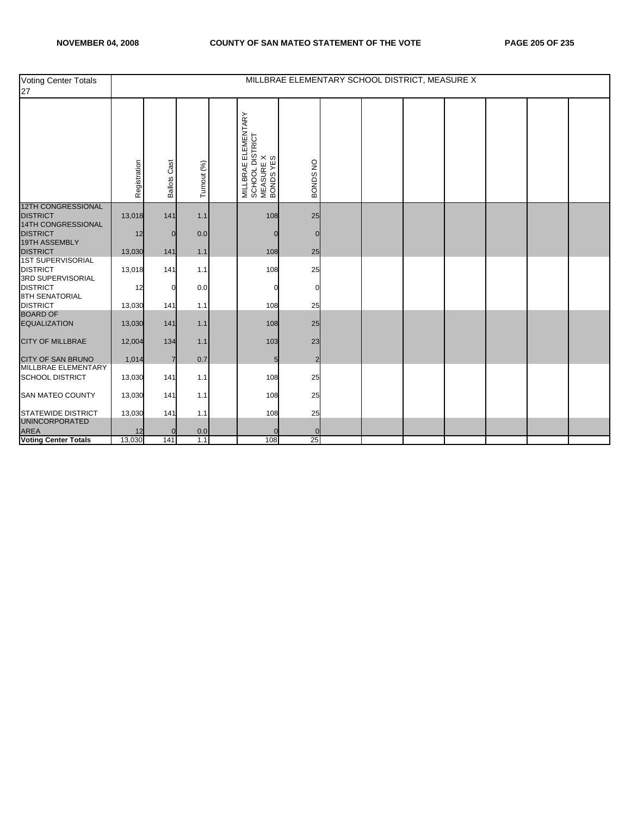| <b>Voting Center Totals</b><br>27                                |              |                     |             |                                                                        |                |  | MILLBRAE ELEMENTARY SCHOOL DISTRICT, MEASURE X |  |  |
|------------------------------------------------------------------|--------------|---------------------|-------------|------------------------------------------------------------------------|----------------|--|------------------------------------------------|--|--|
|                                                                  | Registration | <b>Ballots Cast</b> | Turnout (%) | MILLBRAE ELEMENTARY<br>  SCHOOL DISTRICT<br>  MEASURE X<br>  BONDS YES | BONDS NO       |  |                                                |  |  |
| <b>12TH CONGRESSIONAL</b><br><b>DISTRICT</b>                     | 13,018       | 141                 | 1.1         | 108                                                                    | 25             |  |                                                |  |  |
| 14TH CONGRESSIONAL<br><b>DISTRICT</b>                            | 12           | 0                   | 0.0         | $\mathbf 0$                                                            | $\Omega$       |  |                                                |  |  |
| 19TH ASSEMBLY<br><b>DISTRICT</b>                                 | 13,030       | 141                 | 1.1         | 108                                                                    | 25             |  |                                                |  |  |
| <b>1ST SUPERVISORIAL</b><br><b>DISTRICT</b><br>3RD SUPERVISORIAL | 13,018       | 141                 | 1.1         | 108                                                                    | 25             |  |                                                |  |  |
| <b>DISTRICT</b><br><b>8TH SENATORIAL</b>                         | 12           | O                   | 0.0         | 0                                                                      |                |  |                                                |  |  |
| <b>DISTRICT</b>                                                  | 13,030       | 141                 | 1.1         | 108                                                                    | 25             |  |                                                |  |  |
| <b>BOARD OF</b><br><b>EQUALIZATION</b>                           | 13,030       | $141$               | 1.1         | 108                                                                    | 25             |  |                                                |  |  |
| <b>CITY OF MILLBRAE</b>                                          | 12,004       | 134                 | 1.1         | 103                                                                    | 23             |  |                                                |  |  |
| <b>CITY OF SAN BRUNO</b>                                         | 1,014        | $\overline{7}$      | 0.7         | 5                                                                      | $\overline{2}$ |  |                                                |  |  |
| MILLBRAE ELEMENTARY<br><b>SCHOOL DISTRICT</b>                    | 13,030       | 141                 | 1.1         | 108                                                                    | 25             |  |                                                |  |  |
| <b>SAN MATEO COUNTY</b>                                          | 13,030       | 141                 | 1.1         | 108                                                                    | 25             |  |                                                |  |  |
| <b>STATEWIDE DISTRICT</b>                                        | 13,030       | 141                 | 1.1         | 108                                                                    | 25             |  |                                                |  |  |
| <b>UNINCORPORATED</b><br><b>AREA</b>                             | 12           | 0                   | 0.0         |                                                                        |                |  |                                                |  |  |
| <b>Voting Center Totals</b>                                      | 13,030       | 141                 | 1.1         | 108                                                                    | 25             |  |                                                |  |  |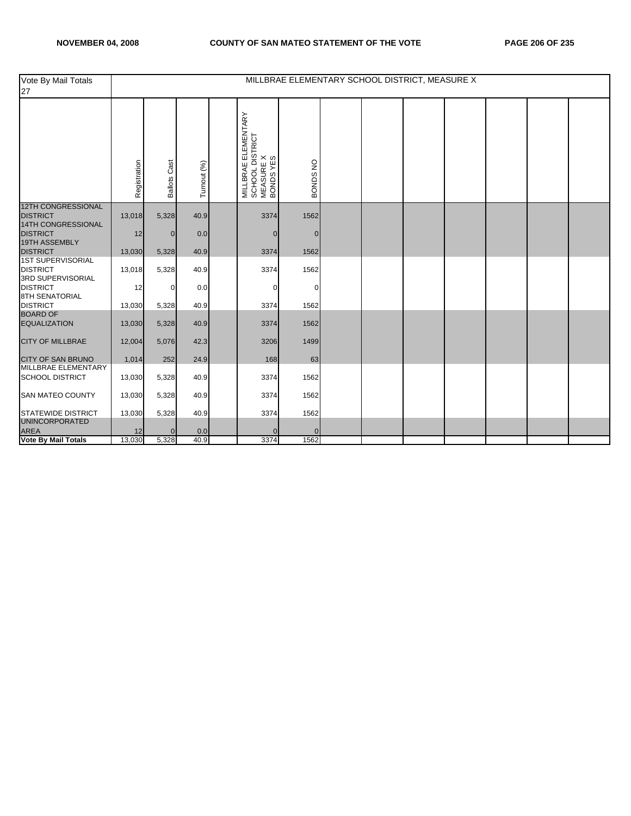| Vote By Mail Totals<br>27                                               |              |                     |             |                                                                        |             |  | MILLBRAE ELEMENTARY SCHOOL DISTRICT, MEASURE X |  |  |
|-------------------------------------------------------------------------|--------------|---------------------|-------------|------------------------------------------------------------------------|-------------|--|------------------------------------------------|--|--|
|                                                                         | Registration | <b>Ballots Cast</b> | Turnout (%) | MILLBRAE ELEMENTARY<br>  SCHOOL DISTRICT<br>  MEASURE X<br>  BONDS YES | BONDS NO    |  |                                                |  |  |
| <b>12TH CONGRESSIONAL</b><br><b>DISTRICT</b>                            | 13,018       | 5,328               | 40.9        | 3374                                                                   | 1562        |  |                                                |  |  |
| 14TH CONGRESSIONAL                                                      |              |                     |             |                                                                        |             |  |                                                |  |  |
| <b>DISTRICT</b><br>19TH ASSEMBLY                                        | 12           | $\mathbf{0}$        | 0.0         | $\mathbf{0}$                                                           | $\mathbf 0$ |  |                                                |  |  |
| <b>DISTRICT</b>                                                         | 13,030       | 5,328               | 40.9        | 3374                                                                   | 1562        |  |                                                |  |  |
| <b>1ST SUPERVISORIAL</b><br><b>DISTRICT</b><br><b>3RD SUPERVISORIAL</b> | 13,018       | 5,328               | 40.9        | 3374                                                                   | 1562        |  |                                                |  |  |
| <b>DISTRICT</b><br><b>8TH SENATORIAL</b>                                | 12           | $\Omega$            | 0.0         | $\Omega$                                                               | $\Omega$    |  |                                                |  |  |
| <b>DISTRICT</b>                                                         | 13,030       | 5,328               | 40.9        | 3374                                                                   | 1562        |  |                                                |  |  |
| <b>BOARD OF</b><br><b>EQUALIZATION</b>                                  | 13,030       | 5,328               | 40.9        | 3374                                                                   | 1562        |  |                                                |  |  |
| <b>CITY OF MILLBRAE</b>                                                 | 12,004       | 5,076               | 42.3        | 3206                                                                   | 1499        |  |                                                |  |  |
| <b>CITY OF SAN BRUNO</b>                                                | 1,014        | 252                 | 24.9        | 168                                                                    | 63          |  |                                                |  |  |
| MILLBRAE ELEMENTARY<br><b>SCHOOL DISTRICT</b>                           | 13,030       | 5,328               | 40.9        | 3374                                                                   | 1562        |  |                                                |  |  |
| <b>SAN MATEO COUNTY</b>                                                 | 13,030       | 5,328               | 40.9        | 3374                                                                   | 1562        |  |                                                |  |  |
| <b>STATEWIDE DISTRICT</b>                                               | 13,030       | 5,328               | 40.9        | 3374                                                                   | 1562        |  |                                                |  |  |
| <b>UNINCORPORATED</b><br><b>AREA</b>                                    | 12           | $\mathbf{0}$        | 0.0         | $\mathbf 0$                                                            | 0           |  |                                                |  |  |
| <b>Vote By Mail Totals</b>                                              | 13,030       | 5,328               | 40.9        | 3374                                                                   | 1562        |  |                                                |  |  |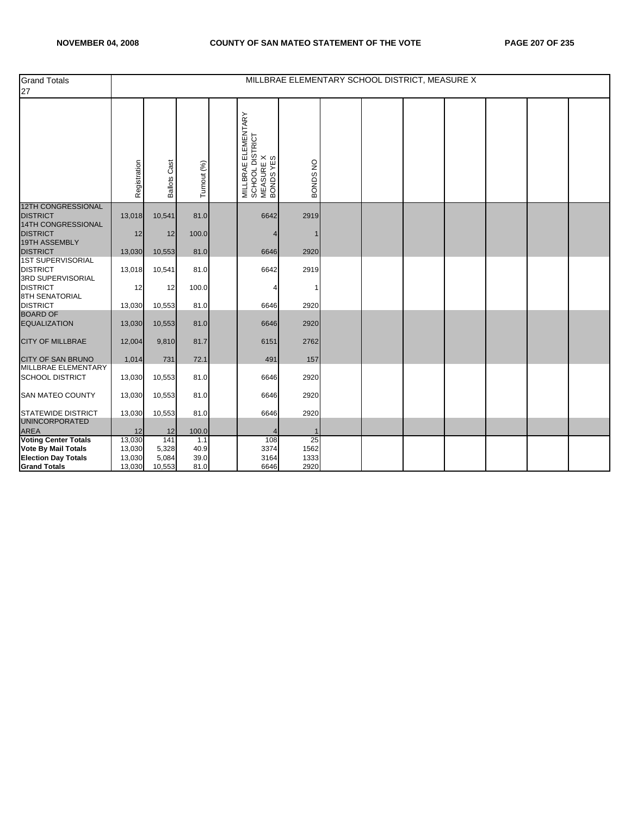| <b>Grand Totals</b><br>27                                     |                  |                     |             |                                                                        | MILLBRAE ELEMENTARY SCHOOL DISTRICT, MEASURE X |  |  |  |  |
|---------------------------------------------------------------|------------------|---------------------|-------------|------------------------------------------------------------------------|------------------------------------------------|--|--|--|--|
|                                                               | Registration     | <b>Ballots Cast</b> | Turnout (%) | MILLBRAE ELEMENTARY<br>  SCHOOL DISTRICT<br>  MEASURE X<br>  BONDS YES | BONDS NO                                       |  |  |  |  |
| 12TH CONGRESSIONAL<br><b>DISTRICT</b>                         | 13,018           | 10,541              | 81.0        | 6642                                                                   | 2919                                           |  |  |  |  |
| 14TH CONGRESSIONAL<br><b>DISTRICT</b><br><b>19TH ASSEMBLY</b> | 12               | 12                  | 100.0       | 4                                                                      |                                                |  |  |  |  |
| <b>DISTRICT</b>                                               | 13,030           | 10,553              | 81.0        | 6646                                                                   | 2920                                           |  |  |  |  |
| <b>1ST SUPERVISORIAL</b><br><b>DISTRICT</b>                   | 13,018           | 10,541              | 81.0        | 6642                                                                   | 2919                                           |  |  |  |  |
| 3RD SUPERVISORIAL<br><b>DISTRICT</b><br><b>8TH SENATORIAL</b> | 12               | 12                  | 100.0       |                                                                        | 1                                              |  |  |  |  |
| <b>DISTRICT</b>                                               | 13,030           | 10,553              | 81.0        | 6646                                                                   | 2920                                           |  |  |  |  |
| <b>BOARD OF</b><br><b>EQUALIZATION</b>                        | 13,030           | 10,553              | 81.0        | 6646                                                                   | 2920                                           |  |  |  |  |
| <b>CITY OF MILLBRAE</b>                                       | 12,004           | 9,810               | 81.7        | 6151                                                                   | 2762                                           |  |  |  |  |
| <b>CITY OF SAN BRUNO</b><br>MILLBRAE ELEMENTARY               | 1,014            | 731                 | 72.1        | 491                                                                    | 157                                            |  |  |  |  |
| <b>SCHOOL DISTRICT</b>                                        | 13,030           | 10,553              | 81.0        | 6646                                                                   | 2920                                           |  |  |  |  |
| <b>SAN MATEO COUNTY</b>                                       | 13,030           | 10,553              | 81.0        | 6646                                                                   | 2920                                           |  |  |  |  |
| <b>STATEWIDE DISTRICT</b><br><b>UNINCORPORATED</b>            | 13,030           | 10,553              | 81.0        | 6646                                                                   | 2920                                           |  |  |  |  |
| <b>AREA</b>                                                   | 12               | 12                  | 100.0       |                                                                        |                                                |  |  |  |  |
| <b>Voting Center Totals</b><br>Vote By Mail Totals            | 13,030<br>13,030 | 141<br>5,328        | 1.1<br>40.9 | 108<br>3374                                                            | 25<br>1562                                     |  |  |  |  |
| <b>Election Day Totals</b>                                    | 13,030           | 5,084               | 39.0        | 3164                                                                   | 1333                                           |  |  |  |  |
| <b>Grand Totals</b>                                           | 13,030           | 10,553              | 81.0        | 6646                                                                   | 2920                                           |  |  |  |  |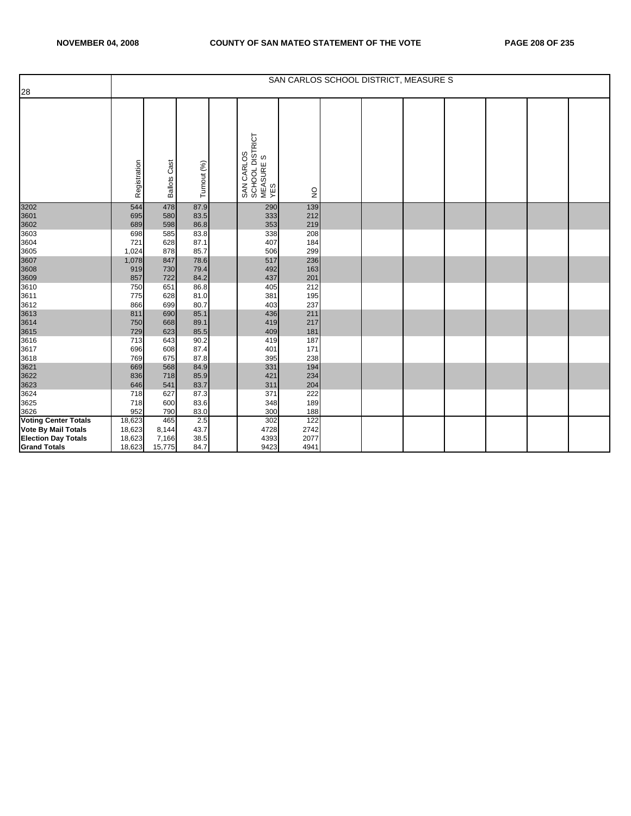|                             |              |                     |              |                                                   |                                |  | SAN CARLOS SCHOOL DISTRICT, MEASURE S |  |  |
|-----------------------------|--------------|---------------------|--------------|---------------------------------------------------|--------------------------------|--|---------------------------------------|--|--|
| 28                          |              |                     |              |                                                   |                                |  |                                       |  |  |
|                             | Registration | <b>Ballots Cast</b> | Turnout (%)  | SAN CARLOS<br>SCHOOL DISTRICT<br>MEASURE S<br>YES | $\mathop{\mathsf{S}}\nolimits$ |  |                                       |  |  |
| 3202                        | 544          | 478                 | 87.9         | 290                                               | 139                            |  |                                       |  |  |
| 3601                        | 695          | 580                 | 83.5         | 333                                               | 212                            |  |                                       |  |  |
| 3602                        | 689          | 598                 | 86.8         | 353                                               | 219                            |  |                                       |  |  |
| 3603<br>3604                | 698<br>721   | 585<br>628          | 83.8<br>87.1 | 338<br>407                                        | 208<br>184                     |  |                                       |  |  |
| 3605                        | 1,024        | 878                 | 85.7         | 506                                               | 299                            |  |                                       |  |  |
| 3607                        | 1,078        | 847                 | 78.6         | 517                                               | 236                            |  |                                       |  |  |
| 3608                        | 919          | 730                 | 79.4         | 492                                               | 163                            |  |                                       |  |  |
| 3609                        | 857          | 722                 | 84.2         | 437                                               | 201                            |  |                                       |  |  |
| 3610                        | 750          | 651                 | 86.8         | 405                                               | 212                            |  |                                       |  |  |
| 3611                        | 775          | 628                 | 81.0         | 381                                               | 195                            |  |                                       |  |  |
| 3612                        | 866          | 699                 | 80.7         | 403                                               | 237                            |  |                                       |  |  |
| 3613                        | 811          | 690                 | 85.1         | 436                                               | 211                            |  |                                       |  |  |
| 3614                        | 750          | 668                 | 89.1         | 419                                               | 217                            |  |                                       |  |  |
| 3615                        | 729          | 623                 | 85.5         | 409                                               | 181                            |  |                                       |  |  |
| 3616                        | 713          | 643                 | 90.2         | 419                                               | 187                            |  |                                       |  |  |
| 3617                        | 696          | 608                 | 87.4         | 401                                               | 171                            |  |                                       |  |  |
| 3618                        | 769          | 675                 | 87.8         | 395                                               | 238                            |  |                                       |  |  |
| 3621                        | 669          | 568                 | 84.9         | 331                                               | 194                            |  |                                       |  |  |
| 3622                        | 836          | 718                 | 85.9         | 421                                               | 234                            |  |                                       |  |  |
| 3623                        | 646          | 541                 | 83.7         | 311                                               | 204                            |  |                                       |  |  |
| 3624                        | 718          | 627                 | 87.3         | 371                                               | 222                            |  |                                       |  |  |
| 3625                        | 718          | 600                 | 83.6         | 348                                               | 189                            |  |                                       |  |  |
| 3626                        | 952          | 790                 | 83.0         | 300                                               | 188                            |  |                                       |  |  |
| <b>Voting Center Totals</b> | 18,623       | 465                 | 2.5          | 302                                               | 122                            |  |                                       |  |  |
| <b>Vote By Mail Totals</b>  | 18,623       | 8,144               | 43.7         | 4728                                              | 2742                           |  |                                       |  |  |
| <b>Election Day Totals</b>  | 18,623       | 7,166               | 38.5         | 4393                                              | 2077                           |  |                                       |  |  |
| <b>Grand Totals</b>         | 18,623       | 15,775              | 84.7         | 9423                                              | 4941                           |  |                                       |  |  |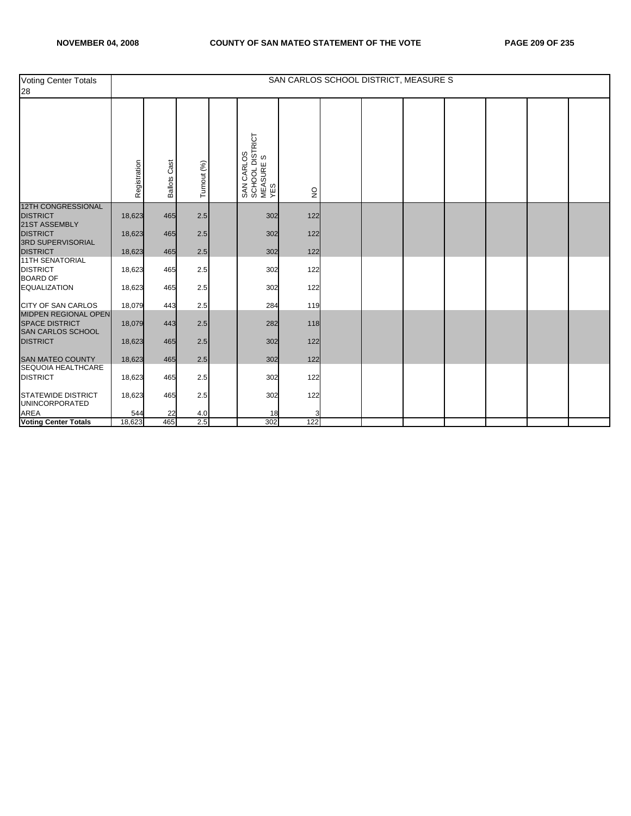| Voting Center Totals<br>28                                                      |                  |                     |             |                                                   |              |  | SAN CARLOS SCHOOL DISTRICT, MEASURE S |  |  |
|---------------------------------------------------------------------------------|------------------|---------------------|-------------|---------------------------------------------------|--------------|--|---------------------------------------|--|--|
|                                                                                 | Registration     | <b>Ballots Cast</b> | Turnout (%) | SAN CARLOS<br>SCHOOL DISTRICT<br>MEASURE S<br>YES | $\mathsf{S}$ |  |                                       |  |  |
| <b>12TH CONGRESSIONAL</b><br><b>DISTRICT</b><br>21ST ASSEMBLY                   | 18,623           | 465                 | 2.5         | 302                                               | 122          |  |                                       |  |  |
| <b>DISTRICT</b><br>3RD SUPERVISORIAL                                            | 18,623           | 465                 | 2.5         | 302                                               | 122          |  |                                       |  |  |
| <b>DISTRICT</b><br><b>11TH SENATORIAL</b><br><b>DISTRICT</b><br><b>BOARD OF</b> | 18,623<br>18,623 | 465<br>465          | 2.5<br>2.5  | 302<br>302                                        | 122<br>122   |  |                                       |  |  |
| <b>EQUALIZATION</b>                                                             | 18,623           | 465                 | 2.5         | 302                                               | 122          |  |                                       |  |  |
| <b>CITY OF SAN CARLOS</b><br><b>MIDPEN REGIONAL OPEN</b>                        | 18,079           | 443                 | 2.5         | 284                                               | 119          |  |                                       |  |  |
| SPACE DISTRICT<br><b>SAN CARLOS SCHOOL</b>                                      | 18,079           | 443                 | 2.5         | 282                                               | 118          |  |                                       |  |  |
| <b>DISTRICT</b><br><b>SAN MATEO COUNTY</b>                                      | 18,623           | 465                 | 2.5         | 302                                               | 122          |  |                                       |  |  |
| SEQUOIA HEALTHCARE<br><b>DISTRICT</b>                                           | 18,623<br>18,623 | 465<br>465          | 2.5<br>2.5  | 302<br>302                                        | 122<br>122   |  |                                       |  |  |
| <b>STATEWIDE DISTRICT</b>                                                       | 18,623           | 465                 | 2.5         | 302                                               | 122          |  |                                       |  |  |
| <b>UNINCORPORATED</b><br><b>AREA</b><br>Voting Center Totals                    | 544<br>18,623    | 22<br>465           | 4.0<br>2.5  | 18<br>302                                         | 122          |  |                                       |  |  |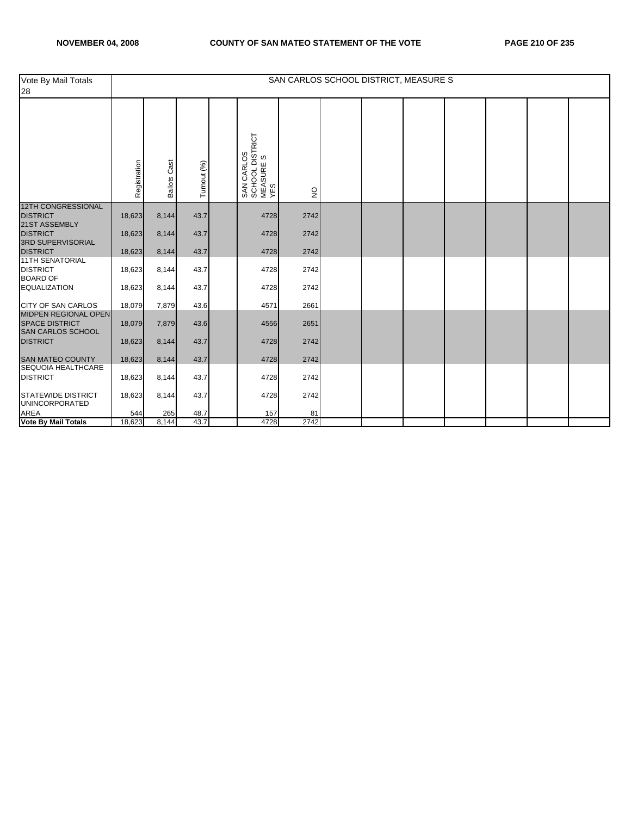| Vote By Mail Totals<br>28                                                 |              |                        |             |                                                   |               |  | SAN CARLOS SCHOOL DISTRICT, MEASURE S |  |  |
|---------------------------------------------------------------------------|--------------|------------------------|-------------|---------------------------------------------------|---------------|--|---------------------------------------|--|--|
|                                                                           | Registration | Cast<br><b>Ballots</b> | Turnout (%) | SAN CARLOS<br>SCHOOL DISTRICT<br>MEASURE S<br>YES | $\frac{0}{2}$ |  |                                       |  |  |
| 12TH CONGRESSIONAL<br><b>DISTRICT</b>                                     | 18,623       | 8,144                  | 43.7        | 4728                                              | 2742          |  |                                       |  |  |
| 21ST ASSEMBLY<br>DISTRICT<br>3RD SUPERVISORIAL                            | 18,623       | 8,144                  | 43.7        | 4728                                              | 2742          |  |                                       |  |  |
| <b>DISTRICT</b>                                                           | 18,623       | 8,144                  | 43.7        | 4728                                              | 2742          |  |                                       |  |  |
| <b>11TH SENATORIAL</b><br><b>DISTRICT</b><br><b>BOARD OF</b>              | 18,623       | 8,144                  | 43.7        | 4728                                              | 2742          |  |                                       |  |  |
| <b>EQUALIZATION</b>                                                       | 18,623       | 8,144                  | 43.7        | 4728                                              | 2742          |  |                                       |  |  |
| <b>CITY OF SAN CARLOS</b>                                                 | 18,079       | 7,879                  | 43.6        | 4571                                              | 2661          |  |                                       |  |  |
| <b>MIDPEN REGIONAL OPEN</b><br><b>SPACE DISTRICT</b><br>SAN CARLOS SCHOOL | 18,079       | 7,879                  | 43.6        | 4556                                              | 2651          |  |                                       |  |  |
| <b>DISTRICT</b>                                                           | 18,623       | 8,144                  | 43.7        | 4728                                              | 2742          |  |                                       |  |  |
| <b>SAN MATEO COUNTY</b><br>SEQUOIA HEALTHCARE                             | 18,623       | 8,144                  | 43.7        | 4728                                              | 2742          |  |                                       |  |  |
| <b>DISTRICT</b>                                                           | 18,623       | 8,144                  | 43.7        | 4728                                              | 2742          |  |                                       |  |  |
| <b>STATEWIDE DISTRICT</b><br><b>UNINCORPORATED</b>                        | 18,623       | 8,144                  | 43.7        | 4728                                              | 2742          |  |                                       |  |  |
| <b>AREA</b><br>Vote By Mail Totals                                        | 544          | 265                    | 48.7        | 157                                               | 81            |  |                                       |  |  |
|                                                                           | 18,623       | 8,144                  | 43.7        | 4728                                              | 2742          |  |                                       |  |  |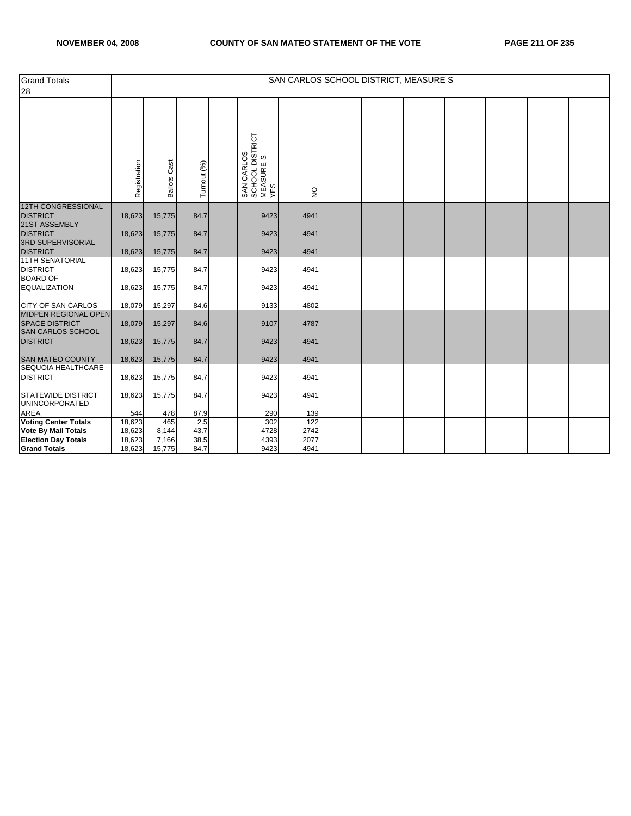| <b>Grand Totals</b><br>28                                                 |                  |                     |              |                                                   |               |  | SAN CARLOS SCHOOL DISTRICT, MEASURE S |  |  |
|---------------------------------------------------------------------------|------------------|---------------------|--------------|---------------------------------------------------|---------------|--|---------------------------------------|--|--|
|                                                                           | Registration     | <b>Ballots Cast</b> | Turnout (%)  | SAN CARLOS<br>SCHOOL DISTRICT<br>MEASURE S<br>YES | $\frac{0}{2}$ |  |                                       |  |  |
| <b>12TH CONGRESSIONAL</b><br>DISTRICT<br>21ST ASSEMBLY                    | 18,623           | 15,775              | 84.7         | 9423                                              | 4941          |  |                                       |  |  |
| <b>DISTRICT</b><br>3RD SUPERVISORIAL                                      | 18,623           | 15,775              | 84.7         | 9423                                              | 4941          |  |                                       |  |  |
| <b>DISTRICT</b>                                                           | 18,623           | 15,775              | 84.7         | 9423                                              | 4941          |  |                                       |  |  |
| <b>11TH SENATORIAL</b><br><b>DISTRICT</b><br><b>BOARD OF</b>              | 18,623           | 15,775              | 84.7         | 9423                                              | 4941          |  |                                       |  |  |
| <b>EQUALIZATION</b>                                                       | 18,623           | 15,775              | 84.7         | 9423                                              | 4941          |  |                                       |  |  |
| <b>CITY OF SAN CARLOS</b>                                                 | 18,079           | 15,297              | 84.6         | 9133                                              | 4802          |  |                                       |  |  |
| <b>MIDPEN REGIONAL OPEN</b><br><b>SPACE DISTRICT</b><br>SAN CARLOS SCHOOL | 18,079           | 15,297              | 84.6         | 9107                                              | 4787          |  |                                       |  |  |
| <b>DISTRICT</b>                                                           | 18,623           | 15,775              | 84.7         | 9423                                              | 4941          |  |                                       |  |  |
| <b>SAN MATEO COUNTY</b>                                                   | 18,623           | 15,775              | 84.7         | 9423                                              | 4941          |  |                                       |  |  |
| SEQUOIA HEALTHCARE<br><b>DISTRICT</b>                                     | 18,623           | 15,775              | 84.7         | 9423                                              | 4941          |  |                                       |  |  |
| <b>STATEWIDE DISTRICT</b><br><b>UNINCORPORATED</b>                        | 18,623           | 15,775              | 84.7         | 9423                                              | 4941          |  |                                       |  |  |
| <b>AREA</b><br>Voting Center Totals                                       | 544              | 478                 | 87.9         | 290                                               | 139           |  |                                       |  |  |
|                                                                           | 18,623           | 465                 | 2.5          | 302                                               | 122           |  |                                       |  |  |
| <b>Vote By Mail Totals</b>                                                | 18,623           | 8,144               | 43.7         | 4728                                              | 2742<br>2077  |  |                                       |  |  |
| <b>Election Day Totals</b><br><b>Grand Totals</b>                         | 18,623<br>18,623 | 7,166<br>15,775     | 38.5<br>84.7 | 4393<br>9423                                      | 4941          |  |                                       |  |  |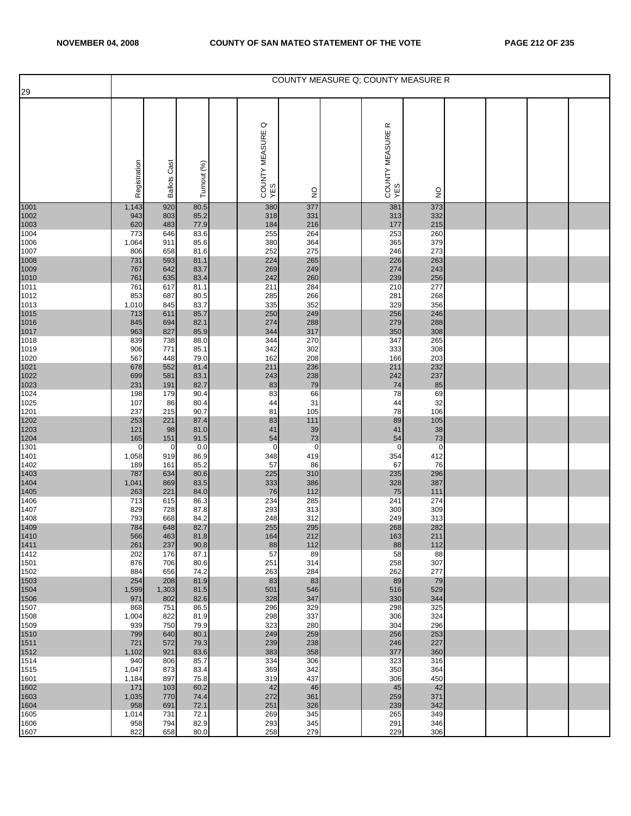|                              |                    |                     |              |                                  |                   |                            | COUNTY MEASURE Q: COUNTY MEASURE R |  |  |
|------------------------------|--------------------|---------------------|--------------|----------------------------------|-------------------|----------------------------|------------------------------------|--|--|
| 29                           |                    |                     |              | $\circ$<br>COUNTY MEASURE<br>YES |                   | œ<br>COUNTY MEASURE<br>YES |                                    |  |  |
|                              | Registration       | <b>Ballots Cast</b> | Turnout (%)  |                                  | $\frac{1}{2}$     |                            | $\frac{1}{2}$                      |  |  |
| 1001<br>1002                 | 1,143<br>943       | 920<br>803          | 80.5<br>85.2 | 380<br>318                       | 377<br>331        | 381<br>313                 | 373<br>332                         |  |  |
| 1003                         | 620                | 483                 | 77.9         | 184                              | 216               | 177                        | 215                                |  |  |
| 1004<br>1006                 | 773<br>1,064       | 646<br>911          | 83.6<br>85.6 | 255<br>380                       | 264<br>364        | 253<br>365                 | 260<br>379                         |  |  |
| 1007<br>1008                 | 806<br>731         | 658<br>593          | 81.6<br>81.1 | 252<br>224                       | 275<br>265        | 246<br>226                 | 273<br>263                         |  |  |
|                              | 767                | 642                 | 83.7         | 269                              | 249               | 274                        | 243                                |  |  |
| 1009<br>1010<br>1011         | 761<br>761         | 635<br>617          | 83.4<br>81.1 | 242<br>211                       | 260<br>284        | 239<br>210                 | 256<br>277                         |  |  |
| 1012                         | 853                | 687<br>845          | 80.5<br>83.7 | 285<br>335                       | 266<br>352        | 281<br>329                 | 268<br>356                         |  |  |
| 1013                         | 1,010<br>713       | 611                 | 85.7         | 250                              | 249               | 256                        | 246                                |  |  |
| 1015<br>1016<br>1017         | 845<br>963         | 694<br>827          | 82.1<br>85.9 | 274<br>344                       | 288<br>317        | 279<br>350                 | 288<br>308                         |  |  |
| 1018                         | 839                | 738                 | 88.0         | 344                              | 270               | 347                        | 265                                |  |  |
| 1019<br>1020                 | 906<br>567         | 771<br>448          | 85.1<br>79.0 | 342<br>162                       | 302<br>208        | 333<br>166                 | 308<br>203                         |  |  |
| 1021<br>1022                 | 678<br>699         | 552<br>581          | 81.4<br>83.1 | 211<br>243                       | 236<br>238        | 211<br>242                 | 232<br>237                         |  |  |
| 1023                         | 231                | 191                 | 82.7         | 83                               | 79                | 74                         | 85                                 |  |  |
| 1024<br>1025                 | 198<br>107         | 179<br>86           | 90.4<br>80.4 | 83<br>44                         | 66<br>31          | 78<br>44                   | 69<br>32                           |  |  |
| 1201<br>1202                 | 237<br>253         | 215<br>221          | 90.7<br>87.4 | 81<br>83                         | 105<br>111        | 78<br>89                   | 106<br>105                         |  |  |
| 1203<br>1204                 | 121                | 98                  | 81.0         | 41                               | 39                | 41                         | 38                                 |  |  |
| 1301                         | 165<br>$\mathbf 0$ | 151<br>0            | 91.5<br>0.0  | 54<br>$\mathbf 0$                | 73<br>$\mathbf 0$ | 54<br>$\mathbf 0$          | 73<br>$\pmb{0}$                    |  |  |
| 1401                         | 1,058              | 919                 | 86.9         | 348<br>57                        | 419               | 354                        | 412<br>76                          |  |  |
| 1402                         | 189<br>787         | 161<br>634          | 85.2<br>80.6 | 225                              | 86<br>310         | 67<br>235                  | 296                                |  |  |
| 1403<br>1404<br>1405<br>1406 | 1,041<br>263       | 869<br>221          | 83.5<br>84.0 | 333<br>76                        | 386<br>112        | 328<br>75                  | 387<br>111                         |  |  |
|                              | 713                | 615                 | 86.3         | 234                              | 285               | 241                        | 274                                |  |  |
| 1407<br>1408                 | 829<br>793         | 728<br>668          | 87.8<br>84.2 | 293<br>248                       | 313<br>312        | 300<br>249                 | 309<br>313                         |  |  |
| 1409<br>1410                 | 784<br>566         | 648                 | 82.7<br>81.8 | 255                              | 295<br>212        | 268                        | 282<br>211                         |  |  |
| 1411                         | 261                | 463<br>237          | 90.8         | 164<br>88                        | 112               | 163<br>88                  | 112                                |  |  |
| 1412<br>1501                 | 202<br>876         | 176<br>706          | 87.1<br>80.6 | 57<br>251                        | 89<br>314         | 58<br>258                  | 88<br>307                          |  |  |
| 1502                         | 884                | 656                 | 74.2         | 263                              | 284               | 262                        | 277                                |  |  |
| 1503<br>1504                 | 254<br>1,599       | 208<br>1,303        | 81.9<br>81.5 | 83<br>501                        | 83<br>546         | 89<br>516                  | 79<br>529                          |  |  |
| 1506<br>1507                 | 971<br>868         | 802<br>751          | 82.6<br>86.5 | 328<br>296                       | 347<br>329        | 330<br>298                 | 344<br>325                         |  |  |
| 1508                         | 1,004              | 822                 | 81.9         | 298                              | 337               | 306                        | 324                                |  |  |
| 1509<br>1510                 | 939<br>799         | 750<br>640          | 79.9<br>80.1 | 323<br>249                       | 280<br>259        | 304<br>256                 | 296<br>253                         |  |  |
| 1511<br>1512                 | 721<br>1,102       | 572<br>921          | 79.3<br>83.6 | 239<br>383                       | 238<br>358        | 246<br>377                 | 227<br>360                         |  |  |
| 1514                         | 940                | 806                 | 85.7         | 334                              | 306               | 323                        | 316                                |  |  |
| 1515<br>1601                 | 1,047<br>1,184     | 873<br>897          | 83.4<br>75.8 | 369<br>319                       | 342<br>437        | 350<br>306                 | 364<br>450                         |  |  |
| 1602<br>1603                 | 171                | 103<br>770          | 60.2<br>74.4 | 42<br>272                        | 46<br>361         | 45<br>259                  | 42<br>371                          |  |  |
| 1604                         | 1,035<br>958       | 691                 | 72.1         | 251                              | 326               | 239                        | 342                                |  |  |
| 1605<br>1606                 | 1,014<br>958       | 731<br>794          | 72.1<br>82.9 | 269<br>293                       | 345<br>345        | 265<br>291                 | 349<br>346                         |  |  |
| 1607                         | 822                | 658                 | 80.0         | 258                              | 279               | 229                        | 306                                |  |  |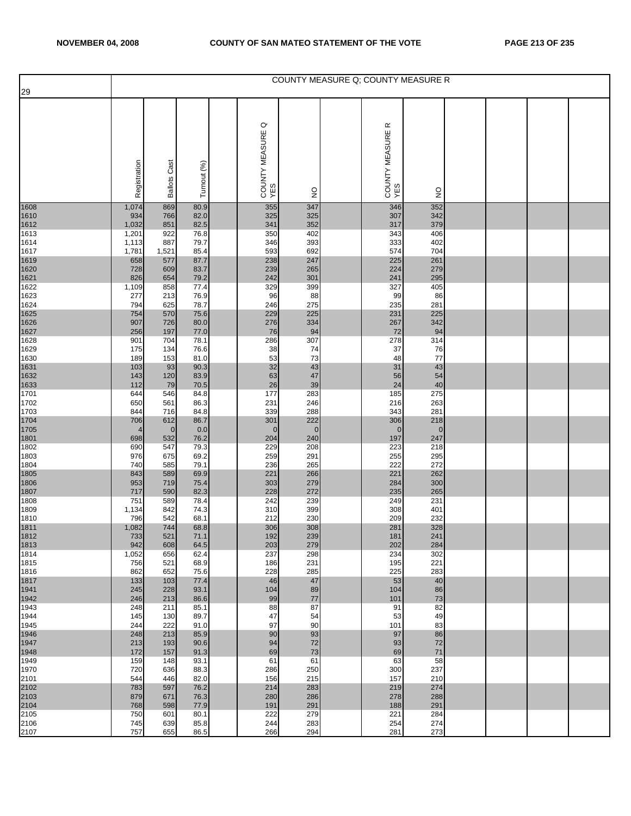| 29                   |                |                     |              |                                  |                    |                                    | COUNTY MEASURE Q; COUNTY MEASURE R |  |  |
|----------------------|----------------|---------------------|--------------|----------------------------------|--------------------|------------------------------------|------------------------------------|--|--|
|                      | Registration   | <b>Ballots Cast</b> | Turnout (%)  | $\circ$<br>COUNTY MEASURE<br>YES | $\frac{0}{2}$      | $\propto$<br>COUNTY MEASURE<br>YES | $\frac{1}{2}$                      |  |  |
| 1608<br>1610         | 1,074<br>934   | 869<br>766          | 80.9<br>82.0 | 355<br>325                       | 347<br>325         | 346<br>307                         | 352<br>342                         |  |  |
| 1612                 | 1,032          | 851                 | 82.5         | 341                              | 352                | 317                                | 379                                |  |  |
| 1613<br>1614         | 1,201<br>1,113 | 922<br>887          | 76.8<br>79.7 | 350<br>346                       | 402<br>393         | 343<br>333                         | 406<br>402                         |  |  |
| 1617                 | 1,781          | 1,521               | 85.4         | 593                              | 692                | 574                                | 704                                |  |  |
| 1619<br>1620         | 658<br>728     | 577<br>609          | 87.7<br>83.7 | 238<br>239                       | 247<br>265         | 225<br>224                         | 261<br>279                         |  |  |
| 1621                 | 826            | 654                 | 79.2         | 242                              | 301                | 241                                | 295                                |  |  |
| 1622<br>1623         | 1,109<br>277   | 858<br>213          | 77.4<br>76.9 | 329<br>96                        | 399<br>88          | 327<br>99                          | 405<br>86                          |  |  |
| 1624                 | 794            | 625                 | 78.7         | 246                              | 275                | 235                                | 281                                |  |  |
| 1625<br>1626         | 754<br>907     | 570<br>726          | 75.6<br>80.0 | 229<br>276                       | 225<br>334         | 231<br>267                         | 225<br>342                         |  |  |
| 1627                 | 256            | 197                 | 77.0         | 76                               | 94                 | 72                                 | 94                                 |  |  |
| 1628<br>1629         | 901<br>175     | 704<br>134          | 78.1<br>76.6 | 286<br>38                        | 307<br>74          | 278<br>37                          | 314<br>76                          |  |  |
| 1630                 | 189            | 153                 | 81.0         | 53                               | 73                 | 48                                 | 77                                 |  |  |
| 1631<br>1632         | 103<br>143     | 93<br>120           | 90.3<br>83.9 | 32<br>63                         | 43<br>47           | 31<br>56                           | 43<br>54                           |  |  |
| 1633                 | 112            | 79                  | 70.5         | 26                               | 39                 | 24                                 | 40                                 |  |  |
| 1701<br>1702         | 644<br>650     | 546<br>561          | 84.8<br>86.3 | 177<br>231                       | 283<br>246         | 185<br>216                         | 275<br>263                         |  |  |
| 1703                 | 844            | 716                 | 84.8         | 339                              | 288                | 343                                | 281                                |  |  |
| 1704<br>1705         | 706<br>4       | 612<br>$\mathbf{0}$ | 86.7<br>0.0  | 301<br>$\mathbf 0$               | 222<br>$\mathbf 0$ | 306<br>$\mathbf 0$                 | 218<br>$\mathbf{0}$                |  |  |
| 1801                 | 698            | 532                 | 76.2         | 204                              | 240                | 197                                | 247                                |  |  |
| 1802<br>1803         | 690<br>976     | 547<br>675          | 79.3<br>69.2 | 229<br>259                       | 208<br>291         | 223<br>255                         | 218<br>295                         |  |  |
| 1804                 | 740            | 585                 | 79.1         | 236                              | 265                | 222                                | 272                                |  |  |
| 1805<br>1806         | 843<br>953     | 589<br>719          | 69.9<br>75.4 | 221<br>303                       | 266<br>279         | 221<br>284                         | 262<br>300                         |  |  |
| 1807                 | 717            | 590                 | 82.3         | 228                              | 272                | 235                                | 265                                |  |  |
| 1808<br>1809         | 751<br>1,134   | 589<br>842          | 78.4<br>74.3 | 242<br>310                       | 239<br>399         | 249<br>308                         | 231<br>401                         |  |  |
| 1810                 | 796            | 542                 | 68.1         | 212                              | 230                | 209                                | 232                                |  |  |
| 1811<br>1812         | 1,082<br>733   | 744<br>521          | 68.8<br>71.1 | 306<br>192                       | 308<br>239         | 281<br>181                         | 328<br>241                         |  |  |
| 1813                 | 942            | 608                 | 64.5         | 203                              | 279                | 202                                | 284                                |  |  |
| 1814<br>1815         | 1,052<br>756   | 656<br>521          | 62.4<br>68.9 | 237<br>186                       | 298<br>231         | 234<br>195                         | 302<br>221                         |  |  |
| 1816                 | 862            | 652                 | 75.6         | 228                              | 285                | 225                                | 283                                |  |  |
| 1817<br>1941         | 133<br>245     | 103<br>228          | 77.4<br>93.1 | 46<br>104                        | 47<br>89           | 53<br>104                          | 40<br>86                           |  |  |
| 1942                 | 246            | 213                 | 86.6         | 99                               | 77                 | 101                                | $73\,$                             |  |  |
| 1943<br>1944         | 248<br>145     | 211<br>130          | 85.1<br>89.7 | 88<br>47                         | 87<br>54           | 91<br>53                           | 82<br>49                           |  |  |
| 1945                 | 244            | 222                 | 91.0         | 97                               | 90                 | 101                                | 83                                 |  |  |
| 1946<br>1947         | 248            | 213                 | 85.9         | 90                               | 93                 | 97                                 | 86<br>72                           |  |  |
| 1948                 | 213<br>172     | 193<br>157          | 90.6<br>91.3 | 94<br>69                         | 72<br>73           | 93<br>69                           | 71                                 |  |  |
| 1949<br>1970         | 159<br>720     | 148<br>636          | 93.1<br>88.3 | 61<br>286                        | 61<br>250          | 63<br>300                          | 58<br>237                          |  |  |
|                      | 544            | 446                 | 82.0         | 156                              | 215                | 157                                | 210                                |  |  |
| 2101<br>2102<br>2103 | 783<br>879     | 597<br>671          | 76.2<br>76.3 | 214<br>280                       | 283<br>286         | 219<br>278                         | 274<br>288                         |  |  |
| 2104                 | 768            | 598                 | 77.9         | 191                              | 291                | 188                                | 291                                |  |  |
| 2105<br>2106         | 750<br>745     | 601<br>639          | 80.1<br>85.8 | 222<br>244                       | 279<br>283         | 221<br>254                         | 284<br>274                         |  |  |
| 2107                 | 757            | 655                 | 86.5         | 266                              | 294                | 281                                | 273                                |  |  |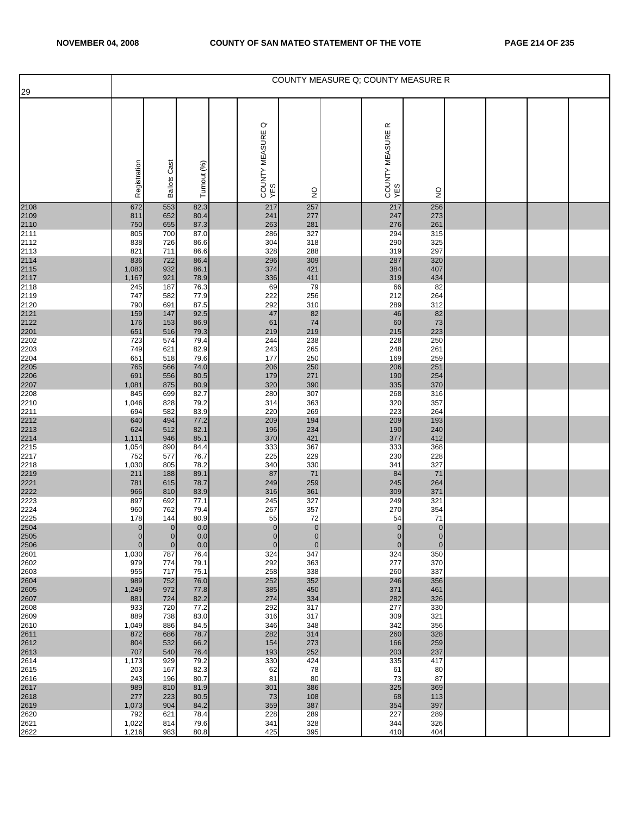| 29                                   |                      |                     |              |                                  |                    | COUNTY MEASURE Q; COUNTY MEASURE R |                      |  |  |
|--------------------------------------|----------------------|---------------------|--------------|----------------------------------|--------------------|------------------------------------|----------------------|--|--|
|                                      |                      |                     |              |                                  |                    |                                    |                      |  |  |
|                                      | Registration         | <b>Ballots Cast</b> | Turnout (%)  | $\circ$<br>COUNTY MEASURE<br>YES | $\frac{0}{2}$      | $\propto$<br>COUNTY MEASURE<br>YES | $\frac{0}{2}$        |  |  |
| 2108<br>2109<br>2110<br>2111         | 672                  | 553                 | 82.3         | 217                              | 257                | 217                                | 256                  |  |  |
|                                      | 811<br>750           | 652<br>655          | 80.4<br>87.3 | 241<br>263                       | 277<br>281         | 247<br>276                         | 273<br>261           |  |  |
|                                      | 805                  | 700                 | 87.0         | 286                              | 327                | 294                                | 315                  |  |  |
| 2112                                 | 838<br>821           | 726<br>711          | 86.6<br>86.6 | 304<br>328                       | 318<br>288         | 290<br>319                         | 325<br>297           |  |  |
| 2113<br>2114<br>2115<br>2117<br>2118 | 836                  | 722                 | 86.4         | 296                              | 309                | 287                                | 320                  |  |  |
|                                      | 1,083<br>1,167       | 932<br>921          | 86.1<br>78.9 | 374<br>336                       | 421<br>411         | 384<br>319                         | 407<br>434           |  |  |
|                                      | 245                  | 187                 | 76.3         | 69                               | 79                 | 66                                 | 82                   |  |  |
| 2119<br>2120                         | 747<br>790           | 582<br>691          | 77.9<br>87.5 | 222<br>292                       | 256<br>310         | 212<br>289                         | 264<br>312           |  |  |
| 2121<br>2122<br>2201<br>2202         | 159                  | 147                 | 92.5         | 47                               | 82                 | 46                                 | 82                   |  |  |
|                                      | 176<br>651           | 153<br>516          | 86.9<br>79.3 | 61<br>219                        | 74<br>219          | 60<br>215                          | 73<br>223            |  |  |
|                                      | 723                  | 574                 | 79.4         | 244                              | 238                | 228                                | 250                  |  |  |
| 2203<br>2204                         | 749                  | 621                 | 82.9         | 243<br>177                       | 265<br>250         | 248                                | 261<br>259           |  |  |
|                                      | 651<br>765           | 518<br>566          | 79.6<br>74.0 | 206                              | 250                | 169<br>206                         | 251                  |  |  |
|                                      | 691                  | 556                 | 80.5         | 179                              | 271                | 190                                | 254                  |  |  |
| 2205<br>2206<br>2207<br>2208         | 1,081<br>845         | 875<br>699          | 80.9<br>82.7 | 320<br>280                       | 390<br>307         | 335<br>268                         | 370<br>316           |  |  |
| 2210                                 | 1,046                | 828                 | 79.2         | 314                              | 363                | 320                                | 357                  |  |  |
| 2211                                 | 694<br>640           | 582<br>494          | 83.9<br>77.2 | 220<br>209                       | 269<br>194         | 223<br>209                         | 264<br>193           |  |  |
|                                      | 624                  | 512                 | 82.1         | 196                              | 234                | 190                                | 240                  |  |  |
| 2212<br>2213<br>2214<br>2215         | 1,111<br>1,054       | 946<br>890          | 85.1<br>84.4 | 370<br>333                       | 421<br>367         | 377<br>333                         | 412<br>368           |  |  |
| 2217                                 | 752                  | 577                 | 76.7         | 225                              | 229                | 230                                | 228                  |  |  |
| 2218<br>2219                         | 1,030<br>211         | 805<br>188          | 78.2<br>89.1 | 340<br>87                        | 330<br>71          | 341<br>84                          | 327<br>71            |  |  |
|                                      | 781                  | 615                 | 78.7         | 249                              | 259                | 245                                | 264                  |  |  |
| 2221<br>2222<br>2223                 | 966<br>897           | 810<br>692          | 83.9<br>77.1 | 316<br>245                       | 361<br>327         | 309<br>249                         | 371<br>321           |  |  |
| 2224                                 | 960                  | 762                 | 79.4         | 267                              | 357                | 270                                | 354                  |  |  |
| 2225                                 | 178<br>0             | 144<br>$\mathbf{0}$ | 80.9<br>0.0  | 55<br>$\mathbf{0}$               | 72<br>$\pmb{0}$    | 54<br>$\mathbf 0$                  | 71<br>$\overline{0}$ |  |  |
| 2504<br>2505                         | $\overline{0}$       | $\overline{0}$      | 0.0          | $\overline{0}$                   | $\overline{0}$     | $\overline{0}$                     | $\mathbf{0}$         |  |  |
| 2506<br>2601                         | $\mathbf 0$<br>1,030 | $\mathbf{0}$<br>787 | 0.0<br>76.4  | $\overline{0}$<br>324            | $\mathbf 0$<br>347 | $\mathbf 0$<br>324                 | $\mathbf 0$<br>350   |  |  |
| 2602                                 | 979                  | 774                 | 79.1         | 292                              | 363                | 277                                | 370                  |  |  |
| 2603<br>2604                         | 955<br>989           | 717<br>752          | 75.1<br>76.0 | 258<br>252                       | 338<br>352         | 260<br>246                         | 337<br>356           |  |  |
| 2605                                 | 1,249                | 972                 | 77.8         | 385                              | 450                | 371                                | 461                  |  |  |
| 2607<br>2608                         | 881<br>933           | 724<br>720          | 82.2<br>77.2 | 274<br>292                       | 334<br>317         | 282<br>277                         | 326<br>330           |  |  |
| 2609                                 | 889                  | 738                 | 83.0         | 316                              | 317                | 309                                | 321                  |  |  |
| 2610<br>2611                         | 1,049<br>872         | 886<br>686          | 84.5<br>78.7 | 346<br>282                       | 348<br>314         | 342<br>260                         | 356<br>328           |  |  |
| 2612                                 | 804                  | 532                 | 66.2         | 154                              | 273                | 166                                | 259                  |  |  |
| 2613<br>2614                         | 707<br>1,173         | 540<br>929          | 76.4<br>79.2 | 193<br>330                       | 252<br>424         | 203<br>335                         | 237<br>417           |  |  |
| 2615                                 | 203                  | 167                 | 82.3         | 62                               | 78                 | 61                                 | 80                   |  |  |
| 2616<br>2617                         | 243<br>989           | 196<br>810          | 80.7<br>81.9 | 81<br>301                        | 80<br>386          | 73<br>325                          | 87<br>369            |  |  |
| 2618                                 | 277                  | 223                 | 80.5         | 73                               | 108                | 68                                 | 113                  |  |  |
| 2619<br>2620                         | 1,073<br>792         | 904<br>621          | 84.2<br>78.4 | 359<br>228                       | 387<br>289         | 354<br>227                         | 397<br>289           |  |  |
| 2621                                 | 1,022                | 814                 | 79.6         | 341                              | 328                | 344                                | 326                  |  |  |
| 2622                                 | 1,216                | 983                 | 80.8         | 425                              | 395                | 410                                | 404                  |  |  |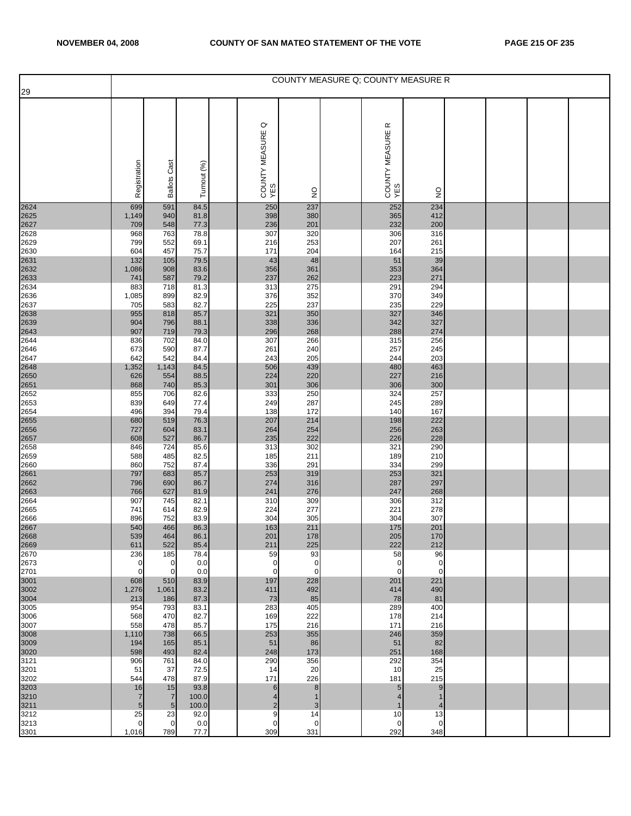| 29                   |                       |                     |               |                                  |                   | COUNTY MEASURE Q; COUNTY MEASURE R |                      |  |  |
|----------------------|-----------------------|---------------------|---------------|----------------------------------|-------------------|------------------------------------|----------------------|--|--|
|                      | Registration          | <b>Ballots Cast</b> | Turnout (%)   | $\circ$<br>COUNTY MEASURE<br>YES | $\frac{0}{2}$     | $\propto$<br>COUNTY MEASURE<br>YES | $\frac{1}{2}$        |  |  |
| 2624                 | 699                   | 591                 | 84.5          | 250                              | 237               | 252                                | 234                  |  |  |
| 2625<br>2627         | 1,149<br>709          | 940<br>548          | 81.8<br>77.3  | 398<br>236                       | 380<br>201        | 365<br>232                         | 412<br>200           |  |  |
| 2628                 | 968                   | 763                 | 78.8          | 307                              | 320               | 306                                | 316                  |  |  |
| 2629<br>2630         | 799<br>604            | 552<br>457          | 69.1<br>75.7  | 216<br>171                       | 253<br>204        | 207<br>164                         | 261<br>215           |  |  |
| 2631                 | 132                   | 105                 | 79.5          | 43                               | 48                | 51                                 | 39                   |  |  |
| 2632                 | 1,086                 | 908                 | 83.6          | 356                              | 361               | 353                                | 364                  |  |  |
| 2633<br>2634         | 741<br>883            | 587<br>718          | 79.2<br>81.3  | 237<br>313                       | 262<br>275        | 223<br>291                         | 271<br>294           |  |  |
| 2636                 | 1,085                 | 899                 | 82.9          | 376                              | 352               | 370                                | 349                  |  |  |
| 2637                 | 705<br>955            | 583<br>818          | 82.7<br>85.7  | 225<br>321                       | 237<br>350        | 235<br>327                         | 229<br>346           |  |  |
| 2638<br>2639<br>2643 | 904                   | 796                 | 88.1          | 338                              | 336               | 342                                | 327                  |  |  |
|                      | 907                   | 719                 | 79.3          | 296                              | 268               | 288                                | 274                  |  |  |
| 2644<br>2646         | 836<br>673            | 702<br>590          | 84.0<br>87.7  | 307<br>261                       | 266<br>240        | 315<br>257                         | 256<br>245           |  |  |
| 2647                 | 642                   | 542                 | 84.4          | 243                              | 205               | 244                                | 203                  |  |  |
| 2648<br>2650         | 1,352<br>626          | 1,143<br>554        | 84.5<br>88.5  | 506<br>224                       | 439<br>220        | 480<br>227                         | 463<br>216           |  |  |
| 2651                 | 868                   | 740                 | 85.3          | 301                              | 306               | 306                                | 300                  |  |  |
| 2652                 | 855                   | 706                 | 82.6          | 333                              | 250               | 324                                | 257                  |  |  |
| 2653<br>2654         | 839<br>496            | 649<br>394          | 77.4<br>79.4  | 249<br>138                       | 287<br>172        | 245<br>140                         | 289<br>167           |  |  |
| 2655                 | 680                   | 519                 | 76.3          | 207                              | 214               | 198                                | 222                  |  |  |
| 2656<br>2657         | 727<br>608            | 604<br>527          | 83.1<br>86.7  | 264<br>235                       | 254<br>222        | 256<br>226                         | 263<br>228           |  |  |
| 2658                 | 846                   | 724                 | 85.6          | 313                              | 302               | 321                                | 290                  |  |  |
| 2659                 | 588                   | 485                 | 82.5          | 185                              | 211               | 189                                | 210                  |  |  |
| 2660<br>2661         | 860<br>797            | 752<br>683          | 87.4<br>85.7  | 336<br>253                       | 291<br>319        | 334<br>253                         | 299<br>321           |  |  |
| 2662                 | 796                   | 690                 | 86.7          | 274                              | 316               | 287                                | 297                  |  |  |
| 2663<br>2664         | 766<br>907            | 627<br>745          | 81.9<br>82.1  | 241<br>310                       | 276<br>309        | 247<br>306                         | 268<br>312           |  |  |
| 2665                 | 741                   | 614                 | 82.9          | 224                              | 277               | 221                                | 278                  |  |  |
| 2666                 | 896                   | 752                 | 83.9          | 304                              | 305               | 304                                | 307                  |  |  |
| 2667<br>2668         | 540<br>539            | 466<br>464          | 86.3<br>86.1  | 163<br>201                       | 211<br>178        | 175<br>205                         | 201<br>170           |  |  |
| 2669                 | 611                   | 522                 | 85.4          | 211                              | 225               | 222                                | 212                  |  |  |
| 2670<br>2673         | 236<br>$\mathbf 0$    | 185<br>$\mathbf 0$  | 78.4<br>0.0   | 59<br>$\mathbf 0$                | 93<br>$\mathbf 0$ | 58<br>$\mathbf 0$                  | 96<br>$\mathbf 0$    |  |  |
| 2701                 | $\mathbf{0}$          | $\mathbf 0$         | 0.0           | $\mathbf 0$                      | $\mathbf 0$       | $\mathbf 0$                        | $\mathbf 0$          |  |  |
| 3001                 | 608                   | 510                 | 83.9          | 197                              | 228               | 201                                | 221                  |  |  |
| 3002<br>3004         | 1,276<br>213          | 1,061<br>186        | 83.2<br>87.3  | 411<br>73                        | 492<br>85         | 414<br>78                          | 490<br>81            |  |  |
| 3005                 | 954                   | 793                 | 83.1          | 283                              | 405               | 289                                | 400                  |  |  |
| 3006<br>3007         | 568<br>558            | 470<br>478          | 82.7<br>85.7  | 169<br>175                       | 222<br>216        | 178<br>171                         | 214<br>216           |  |  |
| 3008                 | 1,110                 | 738                 | 66.5          | 253                              | 355               | 246                                | 359                  |  |  |
| 3009                 | 194                   | 165                 | 85.1          | 51                               | 86                | 51                                 | 82                   |  |  |
| 3020<br>3121         | 598<br>906            | 493<br>761          | 82.4<br>84.0  | 248<br>290                       | 173<br>356        | 251<br>292                         | 168<br>354           |  |  |
| 3201                 | 51                    | 37                  | 72.5          | 14                               | 20                | 10                                 | 25                   |  |  |
| 3202                 | 544<br>16             | 478<br>15           | 87.9<br>93.8  | 171<br>6                         | 226<br>8          | 181<br>5                           | 215<br>9             |  |  |
| 3203<br>3210         | $\overline{7}$        | $\overline{7}$      | 100.0         | 4                                | 1                 | $\overline{4}$                     | 1                    |  |  |
| 3211<br>3212         | $5\phantom{.0}$<br>25 | $\sqrt{5}$<br>23    | 100.0<br>92.0 | $\overline{c}$<br>9              | $\sqrt{3}$<br>14  | 1<br>10                            | $\overline{4}$<br>13 |  |  |
| 3213                 | $\mathbf 0$           | $\mathbf 0$         | 0.0           | $\mathbf 0$                      | $\mathbf 0$       | $\mathbf 0$                        | 0                    |  |  |
| 3301                 | 1,016                 | 789                 | 77.7          | 309                              | 331               | 292                                | 348                  |  |  |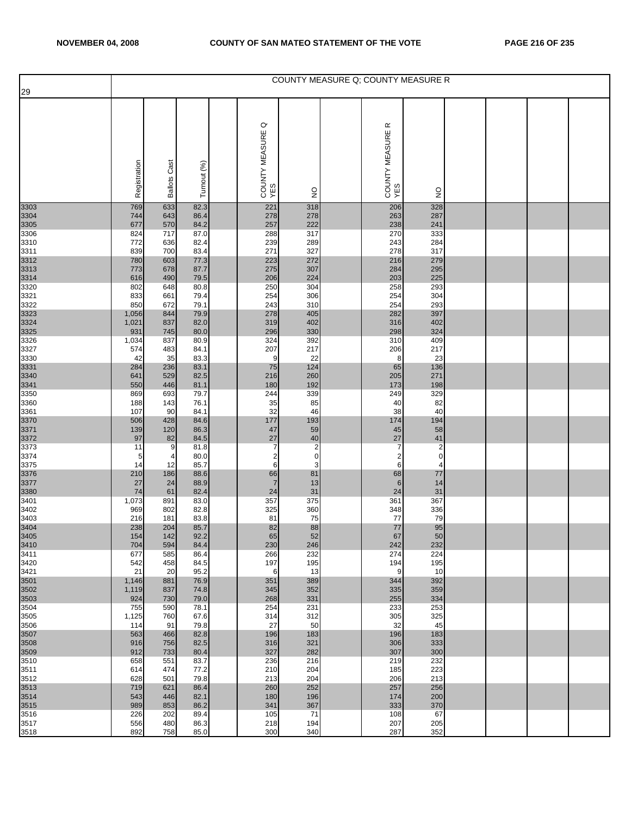| 29                   |              |                     |              |                                  |                         |                                    | COUNTY MEASURE Q; COUNTY MEASURE R |  |  |
|----------------------|--------------|---------------------|--------------|----------------------------------|-------------------------|------------------------------------|------------------------------------|--|--|
|                      | Registration | <b>Ballots Cast</b> | Turnout (%)  | $\circ$<br>COUNTY MEASURE<br>YES | $\frac{0}{2}$           | $\propto$<br>COUNTY MEASURE<br>YES | $\frac{1}{2}$                      |  |  |
| 3303<br>3304         | 769<br>744   | 633<br>643          | 82.3<br>86.4 | 221<br>278                       | 318<br>278              | 206<br>263                         | 328<br>287                         |  |  |
| 3305                 | 677          | 570                 | 84.2         | 257                              | 222                     | 238                                | 241                                |  |  |
| 3306<br>3310         | 824<br>772   | 717<br>636          | 87.0<br>82.4 | 288<br>239                       | 317<br>289              | 270<br>243                         | 333<br>284                         |  |  |
| 3311                 | 839          | 700                 | 83.4         | 271                              | 327                     | 278                                | 317                                |  |  |
| 3312                 | 780<br>773   | 603<br>678          | 77.3<br>87.7 | 223<br>275                       | 272<br>307              | 216<br>284                         | 279<br>295                         |  |  |
| 3313<br>3314         | 616          | 490                 | 79.5         | 206                              | 224                     | 203                                | 225                                |  |  |
| 3320                 | 802          | 648                 | 80.8         | 250                              | 304                     | 258                                | 293<br>304                         |  |  |
| 3321<br>3322         | 833<br>850   | 661<br>672          | 79.4<br>79.1 | 254<br>243                       | 306<br>310              | 254<br>254                         | 293                                |  |  |
| 3323<br>3324<br>3325 | 1,056        | 844                 | 79.9         | 278                              | 405                     | 282                                | 397                                |  |  |
|                      | 1,021<br>931 | 837<br>745          | 82.0<br>80.0 | 319<br>296                       | 402<br>330              | 316<br>298                         | 402<br>324                         |  |  |
| 3326                 | 1,034        | 837                 | 80.9         | 324                              | 392                     | 310                                | 409                                |  |  |
| 3327<br>3330         | 574<br>42    | 483<br>35           | 84.1<br>83.3 | 207<br>9                         | 217<br>22               | 206<br>8                           | 217<br>23                          |  |  |
| 3331<br>3340         | 284          | 236                 | 83.1         | 75                               | 124                     | 65                                 | 136                                |  |  |
|                      | 641<br>550   | 529<br>446          | 82.5<br>81.1 | 216<br>180                       | 260<br>192              | 205<br>173                         | 271<br>198                         |  |  |
| 3341<br>3350         | 869          | 693                 | 79.7         | 244                              | 339                     | 249                                | 329                                |  |  |
| 3360<br>3361         | 188<br>107   | 143<br>90           | 76.1<br>84.1 | 35<br>32                         | 85<br>46                | 40<br>38                           | 82<br>40                           |  |  |
|                      | 506          | 428                 | 84.6         | 177                              | 193                     | 174                                | 194                                |  |  |
| 3370<br>3371<br>3372 | 139<br>97    | 120<br>82           | 86.3<br>84.5 | 47<br>27                         | 59<br>$40\,$            | 45<br>27                           | 58<br>41                           |  |  |
| 3373                 | 11           | 9                   | 81.8         | $\overline{7}$                   | $\overline{\mathbf{c}}$ | $\overline{7}$                     | $\overline{\mathbf{c}}$            |  |  |
| 3374<br>3375         | 5<br>14      | 4<br>12             | 80.0<br>85.7 | $\overline{\mathbf{c}}$<br>6     | $\mathbf 0$<br>3        | $\overline{c}$<br>6                | $\pmb{0}$<br>4                     |  |  |
| 3376                 | 210          | 186                 | 88.6         | 66                               | 81                      | 68                                 | 77                                 |  |  |
| 3377                 | 27           | 24                  | 88.9         | $\overline{7}$                   | 13                      | $6\phantom{1}6$                    | 14                                 |  |  |
| 3380<br>3401         | 74<br>1,073  | 61<br>891           | 82.4<br>83.0 | 24<br>357                        | 31<br>375               | 24<br>361                          | 31<br>367                          |  |  |
| 3402                 | 969          | 802                 | 82.8         | 325                              | 360                     | 348                                | 336                                |  |  |
| 3403                 | 216<br>238   | 181<br>204          | 83.8<br>85.7 | 81<br>82                         | 75<br>88                | 77<br>$77$                         | 79<br>95                           |  |  |
| 3404<br>3405         | 154          | 142                 | 92.2         | 65                               | 52                      | 67                                 | 50                                 |  |  |
| 3410<br>3411         | 704<br>677   | 594<br>585          | 84.4<br>86.4 | 230<br>266                       | 246<br>232              | 242<br>274                         | 232<br>224                         |  |  |
| 3420                 | 542          | 458                 | 84.5         | 197                              | 195                     | 194                                | 195                                |  |  |
| 3421<br>3501         | 21<br>1,146  | 20<br>881           | 95.2<br>76.9 | 6<br>351                         | 13<br>389               | 9<br>344                           | 10<br>392                          |  |  |
| 3502                 | 1,119        | 837                 | 74.8         | 345                              | 352                     | 335                                | 359                                |  |  |
| 3503<br>3504         | 924<br>755   | 730<br>590          | 79.0<br>78.1 | 268<br>254                       | 331<br>231              | 255<br>233                         | 334<br>253                         |  |  |
| 3505                 | 1,125        | 760                 | 67.6         | 314                              | 312                     | 305                                | 325                                |  |  |
| 3506<br>3507         | 114<br>563   | 91<br>466           | 79.8<br>82.8 | 27<br>196                        | 50<br>183               | 32<br>196                          | 45<br>183                          |  |  |
| 3508                 | 916          | 756                 | 82.5         | 316                              | 321                     | 306                                | 333                                |  |  |
| 3509<br>3510         | 912<br>658   | 733<br>551          | 80.4<br>83.7 | 327<br>236                       | 282<br>216              | 307<br>219                         | 300<br>232                         |  |  |
| 3511                 | 614          | 474                 | 77.2         | 210                              | 204                     | 185                                | 223                                |  |  |
| 3512<br>3513         | 628<br>719   | 501<br>621          | 79.8<br>86.4 | 213<br>260                       | 204<br>252              | 206<br>257                         | 213<br>256                         |  |  |
| 3514                 | 543          | 446                 | 82.1         | 180                              | 196                     | 174                                | 200                                |  |  |
| 3515<br>3516         | 989<br>226   | 853<br>202          | 86.2<br>89.4 | 341<br>105                       | 367<br>71               | 333<br>108                         | 370<br>67                          |  |  |
| 3517                 | 556          | 480                 | 86.3         | 218                              | 194                     | 207                                | 205                                |  |  |
| 3518                 | 892          | 758                 | 85.0         | 300                              | 340                     | 287                                | 352                                |  |  |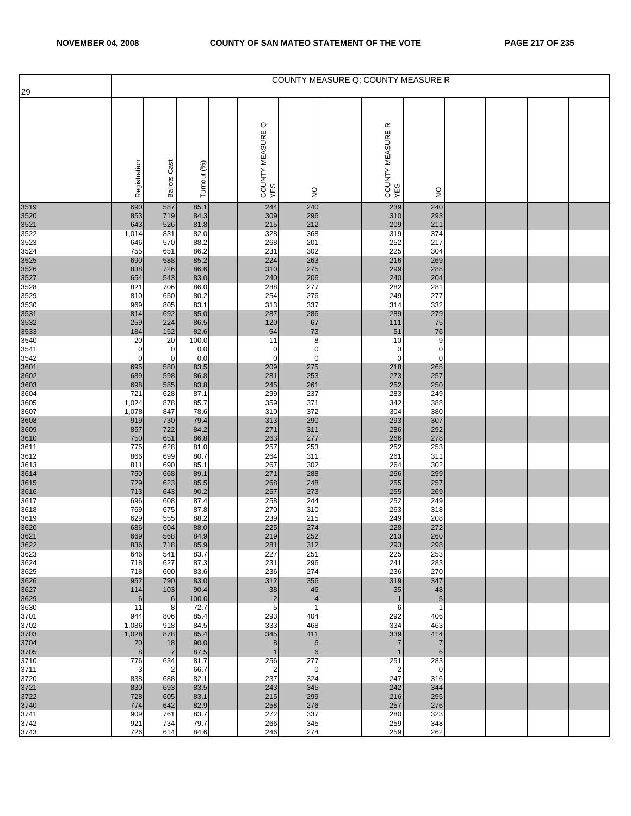| 29           |                   |                      |               |                                  |                      |                                    | COUNTY MEASURE Q: COUNTY MEASURE R |  |  |
|--------------|-------------------|----------------------|---------------|----------------------------------|----------------------|------------------------------------|------------------------------------|--|--|
|              | Registration      | <b>Ballots Cast</b>  | Turnout (%)   | $\circ$<br>COUNTY MEASURE<br>YES | $\frac{0}{2}$        | $\propto$<br>COUNTY MEASURE<br>YES | $\frac{1}{2}$                      |  |  |
| 3519         | 690               | 587                  | 85.1          | 244                              | 240                  | 239                                | 240                                |  |  |
| 3520         | 853               | 719                  | 84.3          | 309                              | 296                  | 310                                | 293                                |  |  |
| 3521<br>3522 | 643<br>1,014      | 526<br>831           | 81.8<br>82.0  | 215<br>328                       | 212<br>368           | 209<br>319                         | 211<br>374                         |  |  |
| 3523         | 646               | 570                  | 88.2          | 268                              | 201                  | 252                                | 217                                |  |  |
| 3524<br>3525 | 755<br>690        | 651<br>588           | 86.2<br>85.2  | 231<br>224                       | 302<br>263           | 225<br>216                         | 304<br>269                         |  |  |
| 3526         | 838               | 726                  | 86.6          | 310                              | 275                  | 299                                | 288                                |  |  |
| 3527<br>3528 | 654<br>821        | 543<br>706           | 83.0<br>86.0  | 240<br>288                       | 206<br>277           | 240<br>282                         | 204<br>281                         |  |  |
| 3529         | 810               | 650                  | 80.2          | 254                              | 276                  | 249                                | 277                                |  |  |
| 3530         | 969<br>814        | 805<br>692           | 83.1<br>85.0  | 313<br>287                       | 337<br>286           | 314<br>289                         | 332<br>279                         |  |  |
| 3531<br>3532 | 259               | 224                  | 86.5          | 120                              | 67                   | 111                                | 75                                 |  |  |
| 3533<br>3540 | 184               | 152                  | 82.6<br>100.0 | 54                               | 73                   | 51                                 | 76<br>9                            |  |  |
| 3541         | 20<br>$\mathbf 0$ | 20<br>$\mathbf 0$    | 0.0           | 11<br>0                          | 8<br>0               | 10<br>$\mathbf 0$                  | 0                                  |  |  |
| 3542         | $\mathbf{0}$      | $\mathbf 0$          | 0.0           | $\mathbf 0$                      | 0                    | $\mathbf 0$                        | $\pmb{0}$                          |  |  |
| 3601<br>3602 | 695<br>689        | 580<br>598           | 83.5<br>86.8  | 209<br>281                       | 275<br>253           | 218<br>273                         | 265<br>257                         |  |  |
| 3603         | 698               | 585                  | 83.8          | 245                              | 261                  | 252                                | 250                                |  |  |
| 3604<br>3605 | 721<br>1,024      | 628<br>878           | 87.1<br>85.7  | 299<br>359                       | 237<br>371           | 283<br>342                         | 249<br>388                         |  |  |
| 3607         | 1,078             | 847                  | 78.6          | 310                              | 372                  | 304                                | 380                                |  |  |
| 3608         | 919<br>857        | 730<br>722           | 79.4<br>84.2  | 313<br>271                       | 290<br>311           | 293<br>286                         | 307<br>292                         |  |  |
| 3609<br>3610 | 750               | 651                  | 86.8          | 263                              | 277                  | 266                                | 278                                |  |  |
| 3611<br>3612 | 775<br>866        | 628<br>699           | 81.0<br>80.7  | 257<br>264                       | 253<br>311           | 252<br>261                         | 253<br>311                         |  |  |
| 3613         | 811               | 690                  | 85.1          | 267                              | 302                  | 264                                | 302                                |  |  |
| 3614<br>3615 | 750<br>729        | 668<br>623           | 89.1<br>85.5  | 271<br>268                       | 288<br>248           | 266<br>255                         | 299<br>257                         |  |  |
| 3616         | 713               | 643                  | 90.2          | 257                              | 273                  | 255                                | 269                                |  |  |
| 3617<br>3618 | 696<br>769        | 608<br>675           | 87.4<br>87.8  | 258<br>270                       | 244<br>310           | 252<br>263                         | 249<br>318                         |  |  |
| 3619         | 629               | 555                  | 88.2          | 239                              | 215                  | 249                                | 208                                |  |  |
| 3620<br>3621 | 686<br>669        | 604<br>568           | 88.0<br>84.9  | 225<br>219                       | 274<br>252           | 228<br>213                         | 272<br>260                         |  |  |
| 3622         | 836               | 718                  | 85.9          | 281                              | 312                  | 293                                | 298                                |  |  |
| 3623         | 646               | 541                  | 83.7          | 227                              | 251                  | 225                                | 253                                |  |  |
| 3624<br>3625 | 718<br>718        | 627<br>600           | 87.3<br>83.6  | 231<br>236                       | 296<br>274           | 241<br>236                         | 283<br>270                         |  |  |
| 3626         | 952               | 790                  | 83.0          | 312                              | 356                  | 319                                | 347                                |  |  |
| 3627<br>3629 | 114<br>6          | 103<br>6             | 90.4<br>100.0 | 38<br>$\mathbf 2$                | 46<br>$\overline{4}$ | 35<br>$\mathbf{1}$                 | 48<br>5                            |  |  |
| 3630         | 11                | 8                    | 72.7          | 5                                | $\mathbf{1}$         | 6                                  | $\mathbf{1}$                       |  |  |
| 3701<br>3702 | 944<br>1,086      | 806<br>918           | 85.4<br>84.5  | 293<br>333                       | 404<br>468           | 292<br>334                         | 406<br>463                         |  |  |
| 3703         | 1,028             | 878                  | 85.4          | 345                              | 411                  | 339                                | 414                                |  |  |
| 3704<br>3705 | 20<br>8           | 18<br>$\overline{7}$ | 90.0<br>87.5  | 8<br>$\mathbf{1}$                | 6<br>6               | $\overline{7}$<br>$\overline{1}$   | $\overline{7}$<br>6                |  |  |
| 3710         | 776               | 634                  | 81.7          | 256                              | 277                  | 251                                | 283                                |  |  |
| 3711<br>3720 | 3<br>838          | 2<br>688             | 66.7<br>82.1  | $\overline{\mathbf{c}}$<br>237   | 0<br>324             | 2<br>247                           | $\mathbf 0$<br>316                 |  |  |
| 3721<br>3722 | 830               | 693                  | 83.5          | 243                              | 345                  | 242                                | 344                                |  |  |
| 3740         | 728<br>774        | 605<br>642           | 83.1<br>82.9  | 215<br>258                       | 299<br>276           | 216<br>257                         | 295<br>276                         |  |  |
| 3741         | 909               | 761                  | 83.7          | 272                              | 337                  | 280                                | 323                                |  |  |
| 3742<br>3743 | 921<br>726        | 734<br>614           | 79.7<br>84.6  | 266<br>246                       | 345<br>274           | 259<br>259                         | 348<br>262                         |  |  |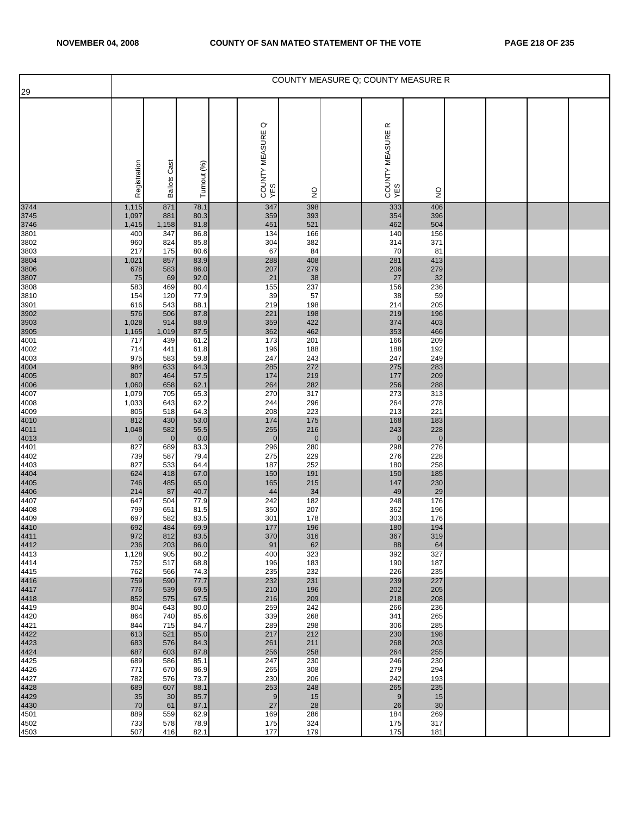| 29                   |                    |                       |              |                                  |                    |                                    | COUNTY MEASURE Q: COUNTY MEASURE R |  |  |
|----------------------|--------------------|-----------------------|--------------|----------------------------------|--------------------|------------------------------------|------------------------------------|--|--|
|                      |                    |                       |              |                                  |                    |                                    |                                    |  |  |
|                      | Registration       | <b>Ballots Cast</b>   | Turnout (%)  | $\circ$<br>COUNTY MEASURE<br>YES | $\frac{0}{2}$      | $\propto$<br>COUNTY MEASURE<br>YES | $\frac{1}{2}$                      |  |  |
| 3744                 | 1,115              | 871                   | 78.1         | 347                              | 398                | 333                                | 406                                |  |  |
| 3745<br>3746         | 1,097<br>1,415     | 881<br>1,158          | 80.3<br>81.8 | 359<br>451                       | 393<br>521         | 354<br>462                         | 396<br>504                         |  |  |
| 3801                 | 400                | 347                   | 86.8         | 134                              | 166                | 140                                | 156                                |  |  |
| 3802                 | 960                | 824                   | 85.8         | 304                              | 382                | 314                                | 371                                |  |  |
| 3803                 | 217                | 175<br>857            | 80.6<br>83.9 | 67<br>288                        | 84<br>408          | 70<br>281                          | 81<br>413                          |  |  |
| 3804<br>3806         | 1,021<br>678       | 583                   | 86.0         | 207                              | 279                | 206                                | 279                                |  |  |
| 3807                 | 75                 | 69                    | 92.0         | 21                               | 38                 | 27                                 | 32                                 |  |  |
| 3808<br>3810         | 583                | 469<br>120            | 80.4<br>77.9 | 155<br>39                        | 237<br>57          | 156<br>38                          | 236<br>59                          |  |  |
| 3901                 | 154<br>616         | 543                   | 88.1         | 219                              | 198                | 214                                | 205                                |  |  |
|                      | 576                | 506                   | 87.8         | 221                              | 198                | 219                                | 196                                |  |  |
| 3902<br>3903<br>3905 | 1,028              | 914                   | 88.9         | 359                              | 422                | 374                                | 403                                |  |  |
| 4001                 | 1,165<br>717       | 1,019<br>439          | 87.5<br>61.2 | 362<br>173                       | 462<br>201         | 353<br>166                         | 466<br>209                         |  |  |
| 4002                 | 714                | 441                   | 61.8         | 196                              | 188                | 188                                | 192                                |  |  |
| 4003                 | 975                | 583                   | 59.8         | 247                              | 243                | 247                                | 249                                |  |  |
| 4004<br>4005<br>4006 | 984<br>807         | 633<br>464            | 64.3<br>57.5 | 285<br>174                       | 272<br>219         | 275<br>177                         | 283<br>209                         |  |  |
|                      | 1,060              | 658                   | 62.1         | 264                              | 282                | 256                                | 288                                |  |  |
| 4007                 | 1,079              | 705                   | 65.3         | 270                              | 317                | 273                                | 313                                |  |  |
| 4008<br>4009         | 1,033<br>805       | 643<br>518            | 62.2<br>64.3 | 244<br>208                       | 296<br>223         | 264<br>213                         | 278<br>221                         |  |  |
|                      | 812                | 430                   | 53.0         | 174                              | 175                | 168                                | 183                                |  |  |
| 4010<br>4011<br>4013 | 1,048              | 582                   | 55.5         | 255                              | 216                | 243                                | 228                                |  |  |
| 4401                 | $\mathbf 0$<br>827 | $\overline{0}$<br>689 | 0.0<br>83.3  | $\mathbf 0$<br>296               | $\mathbf 0$<br>280 | $\overline{0}$<br>298              | $\pmb{0}$<br>276                   |  |  |
| 4402                 | 739                | 587                   | 79.4         | 275                              | 229                | 276                                | 228                                |  |  |
| 4403                 | 827                | 533                   | 64.4         | 187                              | 252                | 180                                | 258                                |  |  |
| 4404<br>4405<br>4406 | 624<br>746         | 418<br>485            | 67.0<br>65.0 | 150<br>165                       | 191<br>215         | 150<br>147                         | 185<br>230                         |  |  |
|                      | 214                | 87                    | 40.7         | 44                               | 34                 | 49                                 | 29                                 |  |  |
| 4407                 | 647                | 504                   | 77.9         | 242                              | 182                | 248                                | 176                                |  |  |
| 4408<br>4409         | 799<br>697         | 651<br>582            | 81.5<br>83.5 | 350<br>301                       | 207<br>178         | 362<br>303                         | 196<br>176                         |  |  |
| 4410<br>4411         | 692                | 484                   | 69.9         | 177                              | 196                | 180                                | 194                                |  |  |
|                      | 972                | 812                   | 83.5         | 370                              | 316                | 367                                | 319                                |  |  |
| 4412<br>4413         | 236<br>1,128       | 203<br>905            | 86.0<br>80.2 | 91<br>400                        | 62<br>323          | 88<br>392                          | 64<br>327                          |  |  |
| 4414                 | 752                | 517                   | 68.8         | 196                              | 183                | 190                                | 187                                |  |  |
| 4415                 | 762                | 566                   | 74.3         | 235                              | 232                | 226                                | 235                                |  |  |
| 4416<br>4417<br>4418 | 759<br>776         | 590<br>539            | 77.7<br>69.5 | 232<br>210                       | 231<br>196         | 239<br>202                         | 227<br>205                         |  |  |
|                      | 852                | 575                   | 67.5         | 216                              | 209                | 218                                | 208                                |  |  |
| 4419                 | 804                | 643                   | 80.0         | 259                              | 242                | 266                                | 236                                |  |  |
| 4420<br>4421         | 864<br>844         | 740<br>715            | 85.6<br>84.7 | 339<br>289                       | 268<br>298         | 341<br>306                         | 265<br>285                         |  |  |
| 4422                 | 613                | 521                   | 85.0         | 217                              | 212                | 230                                | 198                                |  |  |
| 4423                 | 683                | 576                   | 84.3         | 261                              | 211                | 268                                | 203                                |  |  |
| 4424<br>4425         | 687<br>689         | 603<br>586            | 87.8<br>85.1 | 256<br>247                       | 258<br>230         | 264<br>246                         | 255<br>230                         |  |  |
| 4426                 | 771                | 670                   | 86.9         | 265                              | 308                | 279                                | 294                                |  |  |
| 4427                 | 782                | 576                   | 73.7         | 230                              | 206                | 242                                | 193                                |  |  |
| 4428<br>4429         | 689<br>35          | 607<br>30             | 88.1<br>85.7 | 253<br>9                         | 248<br>15          | 265<br>9                           | 235<br>15                          |  |  |
| 4430                 | 70                 | 61                    | 87.1         | 27                               | 28                 | 26                                 | 30                                 |  |  |
| 4501                 | 889                | 559                   | 62.9         | 169                              | 286                | 184                                | 269                                |  |  |
| 4502<br>4503         | 733<br>507         | 578<br>416            | 78.9<br>82.1 | 175<br>177                       | 324<br>179         | 175<br>175                         | 317<br>181                         |  |  |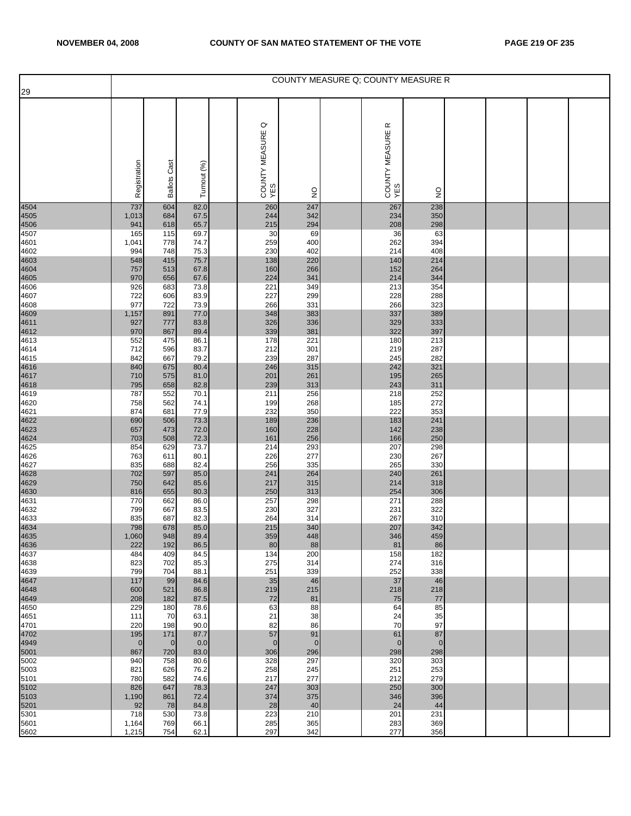| 29                           |                |                     |              |                       |               |                       | COUNTY MEASURE Q; COUNTY MEASURE R |  |  |
|------------------------------|----------------|---------------------|--------------|-----------------------|---------------|-----------------------|------------------------------------|--|--|
|                              |                |                     |              | $\circ$               |               | œ                     |                                    |  |  |
|                              | Registration   | <b>Ballots Cast</b> | Turnout (%)  | COUNTY MEASURE<br>YES | $\frac{1}{2}$ | COUNTY MEASURE<br>YES | $\frac{1}{2}$                      |  |  |
| 4504                         | 737            | 604                 | 82.0         | 260                   | 247           | 267                   | 238                                |  |  |
| 4505<br>4506<br>4507         | 1,013<br>941   | 684<br>618          | 67.5<br>65.7 | 244<br>215            | 342<br>294    | 234<br>208            | 350<br>298                         |  |  |
|                              | 165            | 115                 | 69.7         | 30                    | 69            | 36                    | 63                                 |  |  |
| 4601<br>4602                 | 1,041<br>994   | 778<br>748          | 74.7<br>75.3 | 259<br>230            | 400<br>402    | 262<br>214            | 394<br>408                         |  |  |
|                              | 548            | 415                 | 75.7         | 138                   | 220           | 140                   | 214                                |  |  |
|                              | 757<br>970     | 513<br>656          | 67.8<br>67.6 | 160<br>224            | 266<br>341    | 152<br>214            | 264<br>344                         |  |  |
| 4603<br>4604<br>4605<br>4606 | 926            | 683                 | 73.8         | 221                   | 349           | 213                   | 354                                |  |  |
| 4607                         | 722<br>977     | 606<br>722          | 83.9<br>73.9 | 227<br>266            | 299<br>331    | 228<br>266            | 288<br>323                         |  |  |
| 4608                         | 1,157          | 891                 | 77.0         | 348                   | 383           | 337                   | 389                                |  |  |
|                              | 927            | 777                 | 83.8         | 326<br>339            | 336<br>381    | 329<br>322            | 333<br>397                         |  |  |
| 4609<br>4611<br>4612<br>4613 | 970<br>552     | 867<br>475          | 89.4<br>86.1 | 178                   | 221           | 180                   | 213                                |  |  |
| 4614<br>4615                 | 712            | 596<br>667          | 83.7<br>79.2 | 212<br>239            | 301<br>287    | 219                   | 287<br>282                         |  |  |
|                              | 842<br>840     | 675                 | 80.4         | 246                   | 315           | 245<br>242            | 321                                |  |  |
| 4616<br>4617<br>4618<br>4619 | 710            | 575                 | 81.0         | 201                   | 261           | 195                   | 265                                |  |  |
|                              | 795<br>787     | 658<br>552          | 82.8<br>70.1 | 239<br>211            | 313<br>256    | 243<br>218            | 311<br>252                         |  |  |
| 4620                         | 758            | 562                 | 74.1         | 199<br>232            | 268           | 185<br>222            | 272<br>353                         |  |  |
| 4621                         | 874<br>690     | 681<br>506          | 77.9<br>73.3 | 189                   | 350<br>236    | 183                   | 241                                |  |  |
|                              | 657            | 473                 | 72.0         | 160                   | 228           | 142                   | 238                                |  |  |
| 4622<br>4623<br>4624<br>4625 | 703<br>854     | 508<br>629          | 72.3<br>73.7 | 161<br>214            | 256<br>293    | 166<br>207            | 250<br>298                         |  |  |
| 4626                         | 763            | 611                 | 80.1         | 226                   | 277           | 230                   | 267<br>330                         |  |  |
| 4627                         | 835<br>702     | 688<br>597          | 82.4<br>85.0 | 256<br>241            | 335<br>264    | 265<br>240            | 261                                |  |  |
| 4628<br>4629<br>4630<br>4631 | 750            | 642                 | 85.6         | 217                   | 315           | 214                   | 318                                |  |  |
|                              | 816<br>770     | 655<br>662          | 80.3<br>86.0 | 250<br>257            | 313<br>298    | 254<br>271            | 306<br>288                         |  |  |
| 4632                         | 799            | 667                 | 83.5         | 230                   | 327           | 231                   | 322                                |  |  |
| 4633                         | 835<br>798     | 687<br>678          | 82.3<br>85.0 | 264<br>215            | 314<br>340    | 267<br>207            | 310<br>342                         |  |  |
| 4634<br>4635                 | 1,060          | 948                 | 89.4         | 359                   | 448           | 346                   | 459                                |  |  |
| 4636<br>4637                 | 222<br>484     | 192<br>409          | 86.5<br>84.5 | 80<br>134             | 88<br>200     | 81<br>158             | 86<br>182                          |  |  |
| 4638                         | 823            | 702                 | 85.3         | 275                   | 314           | 274                   | 316                                |  |  |
| 4639                         | 799<br>117     | 704<br>99           | 88.1<br>84.6 | 251<br>35             | 339<br>46     | 252<br>37             | 338<br>46                          |  |  |
| 4647<br>4648                 | 600            | 521                 | 86.8         | 219                   | 215           | 218                   | 218                                |  |  |
| 4649<br>4650                 | 208<br>229     | 182<br>180          | 87.5<br>78.6 | 72<br>63              | 81<br>88      | 75<br>64              | 77<br>85                           |  |  |
| 4651                         | 111            | 70                  | 63.1         | 21                    | 38            | 24                    | 35                                 |  |  |
| 4701<br>4702                 | 220<br>195     | 198<br>171          | 90.0<br>87.7 | 82<br>57              | 86<br>91      | 70<br>61              | 97<br>87                           |  |  |
| 4949<br>5001                 | $\mathbf{0}$   | $\mathbf 0$         | 0.0          | $\mathbf 0$           | $\mathbf 0$   | $\overline{0}$        | $\mathbf 0$                        |  |  |
| 5002                         | 867<br>940     | 720<br>758          | 83.0<br>80.6 | 306<br>328            | 296<br>297    | 298<br>320            | 298<br>303                         |  |  |
| 5003<br>5101                 | 821<br>780     | 626<br>582          | 76.2<br>74.6 | 258<br>217            | 245<br>277    | 251<br>212            | 253<br>279                         |  |  |
| 5102                         | 826            | 647                 | 78.3         | 247                   | 303           | 250                   | 300                                |  |  |
| 5103                         | 1,190<br>92    | 861<br>78           | 72.4<br>84.8 | 374<br>28             | 375<br>40     | 346<br>24             | 396<br>44                          |  |  |
| 5201<br>5301                 | 718            | 530                 | 73.8         | 223                   | 210           | 201                   | 231                                |  |  |
| 5601<br>5602                 | 1,164<br>1,215 | 769<br>754          | 66.1<br>62.1 | 285<br>297            | 365<br>342    | 283<br>277            | 369<br>356                         |  |  |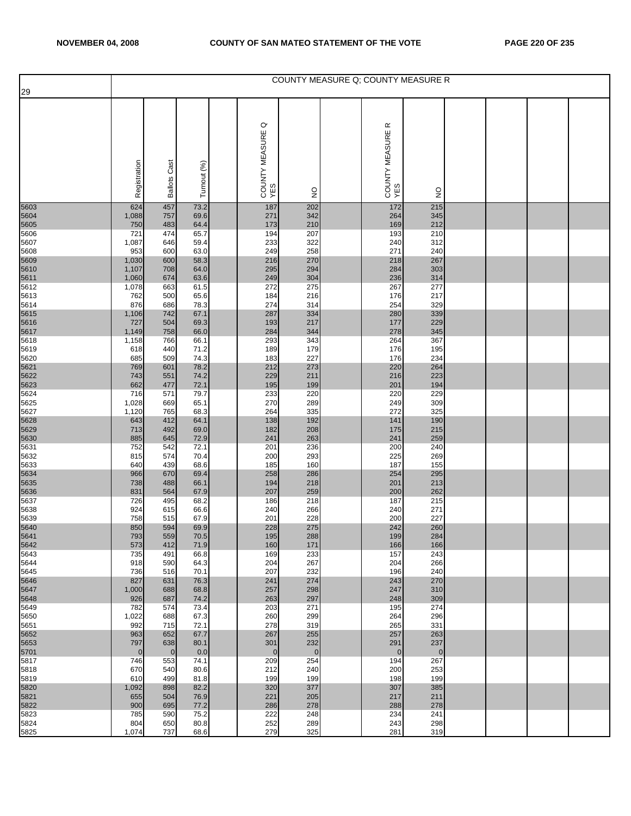|                              |                            |                           |                              |                                  |                              |                            | COUNTY MEASURE Q; COUNTY MEASURE R |  |  |
|------------------------------|----------------------------|---------------------------|------------------------------|----------------------------------|------------------------------|----------------------------|------------------------------------|--|--|
| 29                           | Registration               | <b>Ballots Cast</b>       | Turnout (%)                  | $\circ$<br>COUNTY MEASURE<br>YES |                              | œ<br>COUNTY MEASURE<br>YES |                                    |  |  |
|                              |                            |                           |                              |                                  | $\frac{1}{2}$                |                            | $\frac{1}{2}$                      |  |  |
| 5603<br>5604                 | 624<br>1,088<br>750        | 457<br>757<br>483         | 73.2<br>69.6<br>64.4         | 187<br>271<br>173                | 202<br>342<br>210            | 172<br>264<br>169          | 215<br>345<br>212                  |  |  |
| 5605<br>5606<br>5607<br>5608 | 721<br>1,087<br>953        | 474<br>646<br>600         | 65.7<br>59.4<br>63.0         | 194<br>233<br>249                | 207<br>322<br>258            | 193<br>240<br>271          | 210<br>312<br>240                  |  |  |
| 5609<br>5610<br>5611<br>5612 | 1,030<br>1,107<br>1,060    | 600<br>708<br>674         | 58.3<br>64.0<br>63.6         | 216<br>295<br>249                | 270<br>294<br>304            | 218<br>284<br>236          | 267<br>303<br>314                  |  |  |
| 5613<br>5614                 | 1,078<br>762<br>876        | 663<br>500<br>686         | 61.5<br>65.6<br>78.3         | 272<br>184<br>274                | 275<br>216<br>314            | 267<br>176<br>254          | 277<br>217<br>329                  |  |  |
| 5615<br>5616<br>5617<br>5618 | 1,106<br>727<br>1,149      | 742<br>504<br>758         | 67.1<br>69.3<br>66.0         | 287<br>193<br>284                | 334<br>217<br>344            | 280<br>177<br>278          | 339<br>229<br>345                  |  |  |
| 5619<br>5620                 | 1,158<br>618<br>685<br>769 | 766<br>440<br>509<br>601  | 66.1<br>71.2<br>74.3<br>78.2 | 293<br>189<br>183<br>212         | 343<br>179<br>227<br>273     | 264<br>176<br>176<br>220   | 367<br>195<br>234<br>264           |  |  |
| 5621<br>5622<br>5623<br>5624 | 743<br>662<br>716          | 551<br>477<br>571         | 74.2<br>72.1<br>79.7         | 229<br>195<br>233                | 211<br>199<br>220            | 216<br>201<br>220          | 223<br>194<br>229                  |  |  |
| 5625<br>5627<br>5628         | 1,028<br>1,120<br>643      | 669<br>765<br>412         | 65.1<br>68.3<br>64.1         | 270<br>264<br>138                | 289<br>335<br>192            | 249<br>272<br>141          | 309<br>325<br>190                  |  |  |
| 5629<br>5630<br>5631         | 713<br>885<br>752          | 492<br>645<br>542         | 69.0<br>72.9<br>72.1         | 182<br>241<br>201                | 208<br>263<br>236            | 175<br>241<br>200          | 215<br>259<br>240                  |  |  |
| 5632<br>5633<br>5634         | 815<br>640<br>966          | 574<br>439<br>670         | 70.4<br>68.6<br>69.4         | 200<br>185<br>258                | 293<br>160<br>286            | 225<br>187<br>254          | 269<br>155<br>295                  |  |  |
| 5635<br>5636<br>5637         | 738<br>831<br>726          | 488<br>564<br>495         | 66.1<br>67.9<br>68.2         | 194<br>207<br>186                | 218<br>259<br>218            | 201<br>200<br>187          | 213<br>262<br>215                  |  |  |
| 5638<br>5639<br>5640<br>5641 | 924<br>758<br>850          | 615<br>515<br>594         | 66.6<br>67.9<br>69.9         | 240<br>201<br>228                | 266<br>228<br>275            | 240<br>200<br>242          | 271<br>227<br>260                  |  |  |
| 5642<br>5643                 | 793<br>573<br>735          | 559<br>412<br>491         | 70.5<br>71.9<br>66.8         | 195<br>160<br>169                | 288<br>171<br>233            | 199<br>166<br>157          | 284<br>166<br>243                  |  |  |
| 5644<br>5645<br>5646<br>5647 | 918<br>736<br>827<br>1,000 | 590<br>516<br>631<br>688  | 64.3<br>70.1<br>76.3<br>68.8 | 204<br>207<br>241<br>257         | 267<br>232<br>274<br>298     | 204<br>196<br>243<br>247   | 266<br>240<br>270<br>310           |  |  |
| 5648<br>5649<br>5650         | 926<br>782<br>1,022        | 687<br>574<br>688         | 74.2<br>73.4<br>67.3         | 263<br>203<br>260                | 297<br>271<br>299            | 248<br>195<br>264          | 309<br>274<br>296                  |  |  |
| 5651<br>5652<br>5653         | 992<br>963<br>797          | 715<br>652<br>638         | 72.1<br>67.7<br>80.1         | 278<br>267<br>301                | 319<br>255<br>232            | 265<br>257<br>291          | 331<br>263<br>237                  |  |  |
| 5701<br>5817<br>5818         | $\mathbf 0$<br>746<br>670  | $\mathbf 0$<br>553<br>540 | 0.0<br>74.1<br>80.6          | $\mathbf 0$<br>209<br>212        | $\overline{0}$<br>254<br>240 | $\mathbf{0}$<br>194<br>200 | $\mathbf 0$<br>267<br>253          |  |  |
| 5819<br>5820<br>5821         | 610<br>1,092<br>655        | 499<br>898<br>504         | 81.8<br>82.2<br>76.9         | 199<br>320<br>221                | 199<br>377<br>205            | 198<br>307<br>217          | 199<br>385<br>211                  |  |  |
| 5822<br>5823<br>5824         | 900<br>785<br>804          | 695<br>590<br>650         | 77.2<br>75.2<br>80.8         | 286<br>222<br>252                | 278<br>248<br>289            | 288<br>234<br>243          | 278<br>241<br>298                  |  |  |
| 5825                         | 1,074                      | 737                       | 68.6                         | 279                              | 325                          | 281                        | 319                                |  |  |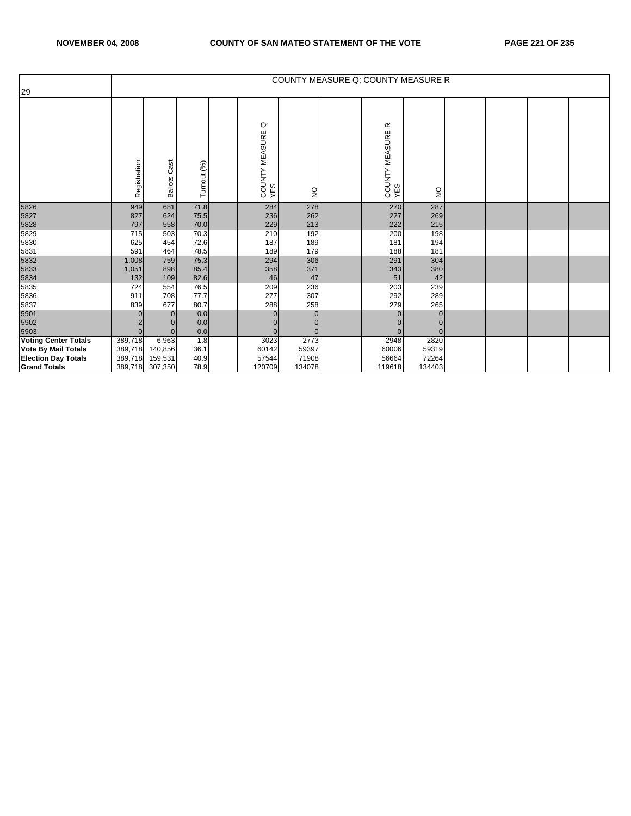|                             |              |                        |              |                                  |               | COUNTY MEASURE Q; COUNTY MEASURE R |                                 |  |  |
|-----------------------------|--------------|------------------------|--------------|----------------------------------|---------------|------------------------------------|---------------------------------|--|--|
| 29                          |              |                        |              |                                  |               |                                    |                                 |  |  |
|                             | Registration | Cast<br><b>Ballots</b> | Turnout (%)  | $\circ$<br>COUNTY MEASURE<br>YES | $\frac{1}{2}$ | $\propto$<br>COUNTY MEASURE<br>YES | $\frac{\mathsf{O}}{\mathsf{Z}}$ |  |  |
| 5826                        | 949          | 681                    | 71.8         | 284                              | 278           | 270                                | 287                             |  |  |
| 5827                        | 827          | 624                    | 75.5         | 236                              | 262           | 227                                | 269                             |  |  |
| 5828                        | 797<br>715   | 558<br>503             | 70.0         | 229                              | 213           | 222                                | 215                             |  |  |
| 5829<br>5830                | 625          | 454                    | 70.3<br>72.6 | 210<br>187                       | 192<br>189    | 200<br>181                         | 198<br>194                      |  |  |
| 5831                        | 591          | 464                    | 78.5         | 189                              | 179           | 188                                | 181                             |  |  |
| 5832                        | 1,008        | 759                    | 75.3         | 294                              | 306           | 291                                | 304                             |  |  |
| 5833                        | 1,051        | 898                    | 85.4         | 358                              | 371           | 343                                | 380                             |  |  |
| 5834                        | 132          | 109                    | 82.6         | 46                               | 47            | 51                                 | 42                              |  |  |
| 5835                        | 724          | 554                    | 76.5         | 209                              | 236           | 203                                | 239                             |  |  |
| 5836                        | 911          | 708                    | 77.7         | 277                              | 307           | 292                                | 289                             |  |  |
| 5837                        | 839          | 677                    | 80.7         | 288                              | 258           | 279                                | 265                             |  |  |
| 5901                        |              | $\Omega$               | 0.0          | $\Omega$                         | $\Omega$      | $\Omega$                           |                                 |  |  |
| 5902                        |              |                        | 0.0          |                                  | 0             |                                    |                                 |  |  |
| 5903                        |              | $\Omega$               | 0.0          | $\Omega$                         | $\Omega$      | $\Omega$                           |                                 |  |  |
| <b>Voting Center Totals</b> | 389,718      | 6,963                  | 1.8          | 3023                             | 2773          | 2948                               | 2820                            |  |  |
| <b>Vote By Mail Totals</b>  | 389,718      | 140,856                | 36.1         | 60142                            | 59397         | 60006                              | 59319                           |  |  |
| <b>Election Day Totals</b>  | 389,718      | 159,531                | 40.9         | 57544                            | 71908         | 56664                              | 72264                           |  |  |
| <b>Grand Totals</b>         |              | 389,718 307,350        | 78.9         | 120709                           | 134078        | 119618                             | 134403                          |  |  |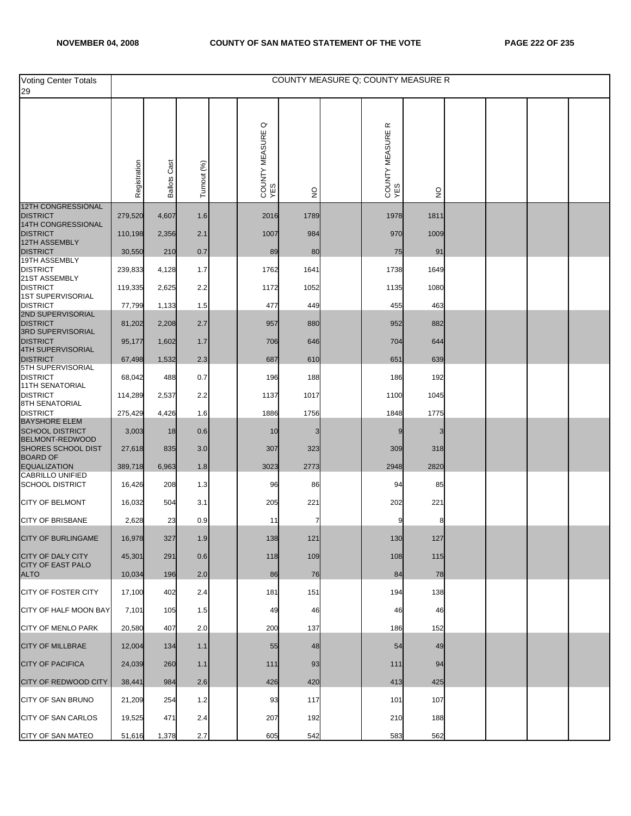| <b>Voting Center Totals</b><br>29                 |              |                     |             |                                  |               |                                    | COUNTY MEASURE Q; COUNTY MEASURE R |  |  |
|---------------------------------------------------|--------------|---------------------|-------------|----------------------------------|---------------|------------------------------------|------------------------------------|--|--|
|                                                   | Registration | <b>Ballots Cast</b> | Turnout (%) | $\circ$<br>COUNTY MEASURE<br>YES | $\frac{1}{2}$ | $\propto$<br>COUNTY MEASURE<br>YES | $\frac{0}{2}$                      |  |  |
| 12TH CONGRESSIONAL<br><b>DISTRICT</b>             | 279,520      | 4,607               | 1.6         | 2016                             | 1789          | 1978                               | 1811                               |  |  |
| 14TH CONGRESSIONAL<br><b>DISTRICT</b>             | 110,198      | 2,356               | 2.1         | 1007                             | 984           | 970                                | 1009                               |  |  |
| 12TH ASSEMBLY<br><b>DISTRICT</b>                  | 30,550       | 210                 | 0.7         | 89                               | 80            | 75                                 | 91                                 |  |  |
| 19TH ASSEMBLY<br><b>DISTRICT</b>                  | 239,833      | 4,128               | 1.7         | 1762                             | 1641          | 1738                               | 1649                               |  |  |
| 21ST ASSEMBLY<br><b>DISTRICT</b>                  | 119,335      | 2,625               | 2.2         | 1172                             | 1052          | 1135                               | 1080                               |  |  |
| <b>1ST SUPERVISORIAL</b><br><b>DISTRICT</b>       | 77,799       | 1,133               | 1.5         | 477                              | 449           | 455                                | 463                                |  |  |
| 2ND SUPERVISORIAL<br><b>DISTRICT</b>              | 81,202       | 2,208               | 2.7         | 957                              | 880           | 952                                | 882                                |  |  |
| 3RD SUPERVISORIAL<br><b>DISTRICT</b>              | 95,177       | 1,602               | 1.7         | 706                              | 646           | 704                                | 644                                |  |  |
| 4TH SUPERVISORIAL<br><b>DISTRICT</b>              | 67,498       | 1,532               | 2.3         | 687                              | 610           | 651                                | 639                                |  |  |
| 5TH SUPERVISORIAL<br><b>DISTRICT</b>              | 68,042       | 488                 | 0.7         | 196                              | 188           | 186                                | 192                                |  |  |
| <b>11TH SENATORIAL</b><br><b>DISTRICT</b>         | 114,289      | 2,537               | 2.2         | 1137                             | 1017          | 1100                               | 1045                               |  |  |
| <b>8TH SENATORIAL</b><br><b>DISTRICT</b>          | 275,429      | 4,426               | 1.6         | 1886                             | 1756          | 1848                               | 1775                               |  |  |
| <b>BAYSHORE ELEM</b><br><b>SCHOOL DISTRICT</b>    | 3,003        | 18                  | 0.6         | 10                               |               |                                    |                                    |  |  |
| BELMONT-REDWOOD<br>SHORES SCHOOL DIST             | 27,618       | 835                 | 3.0         | 307                              | 323           | 309                                | 318                                |  |  |
| <b>BOARD OF</b><br><b>EQUALIZATION</b>            | 389,718      | 6,963               | 1.8         | 3023                             | 2773          | 2948                               | 2820                               |  |  |
| <b>CABRILLO UNIFIED</b><br><b>SCHOOL DISTRICT</b> | 16,426       | 208                 | 1.3         | 96                               | 86            | 94                                 | 85                                 |  |  |
| <b>CITY OF BELMONT</b>                            | 16,032       | 504                 | 3.1         | 205                              | 221           | 202                                | 221                                |  |  |
| <b>CITY OF BRISBANE</b>                           | 2,628        | 23                  | 0.9         | 11                               |               |                                    | 8                                  |  |  |
| CITY OF BURLINGAME                                | 16,978       | 327                 | 1.9         | 138                              | 121           | 130                                | 127                                |  |  |
| CITY OF DALY CITY                                 | 45,301       | 291                 | 0.6         | 118                              | 109           | 108                                | 115                                |  |  |
| <b>CITY OF EAST PALO</b><br><b>ALTO</b>           | 10,034       | 196                 | 2.0         | 86                               | 76            | 84                                 | 78                                 |  |  |
| CITY OF FOSTER CITY                               | 17,100       | 402                 | 2.4         | 181                              | 151           | 194                                | 138                                |  |  |
| CITY OF HALF MOON BAY                             | 7,101        | 105                 | 1.5         | 49                               | 46            | 46                                 | 46                                 |  |  |
| <b>CITY OF MENLO PARK</b>                         | 20,580       | 407                 | 2.0         | 200                              | 137           | 186                                | 152                                |  |  |
| <b>CITY OF MILLBRAE</b>                           | 12,004       | 134                 | 1.1         | 55                               | 48            | 54                                 | 49                                 |  |  |
| <b>CITY OF PACIFICA</b>                           | 24,039       | 260                 | 1.1         | $111$                            | 93            | 111                                | 94                                 |  |  |
| <b>CITY OF REDWOOD CITY</b>                       | 38,441       | 984                 | 2.6         | 426                              | 420           | 413                                | 425                                |  |  |
| CITY OF SAN BRUNO                                 | 21,209       | 254                 | $1.2$       | 93                               | 117           | 101                                | 107                                |  |  |
| <b>CITY OF SAN CARLOS</b>                         | 19,525       | 471                 | 2.4         | 207                              | 192           | 210                                | 188                                |  |  |
| CITY OF SAN MATEO                                 | 51,616       | 1,378               | 2.7         | 605                              | 542           | 583                                | 562                                |  |  |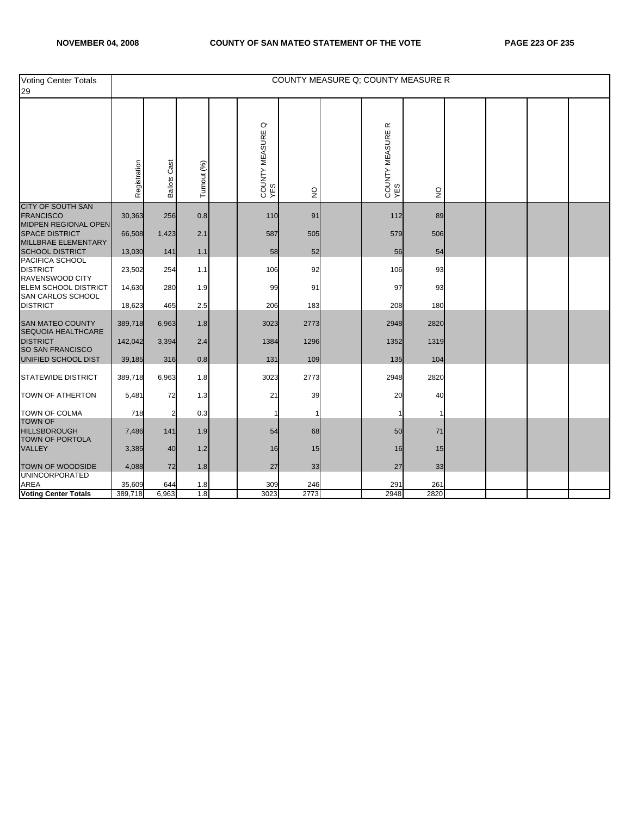| <b>Voting Center Totals</b><br>29                                    |              |                        |             |                                  |               |                                    | COUNTY MEASURE Q; COUNTY MEASURE R |  |  |
|----------------------------------------------------------------------|--------------|------------------------|-------------|----------------------------------|---------------|------------------------------------|------------------------------------|--|--|
|                                                                      | Registration | Cast<br><b>Ballots</b> | Turnout (%) | $\circ$<br>COUNTY MEASURE<br>YES | $\frac{0}{2}$ | $\propto$<br>COUNTY MEASURE<br>YES | $\mathsf{S}$                       |  |  |
| <b>CITY OF SOUTH SAN</b><br><b>FRANCISCO</b>                         | 30,363       | 256                    | 0.8         | 110                              | 91            | 112                                | 89                                 |  |  |
| MIDPEN REGIONAL OPEN<br><b>SPACE DISTRICT</b><br>MILLBRAE ELEMENTARY | 66,508       | 1,423                  | 2.1         | 587                              | 505           | 579                                | 506                                |  |  |
| <b>SCHOOL DISTRICT</b>                                               | 13,030       | 141                    | 1.1         | 58                               | 52            | 56                                 | 54                                 |  |  |
| PACIFICA SCHOOL<br><b>DISTRICT</b><br>RAVENSWOOD CITY                | 23,502       | 254                    | 1.1         | 106                              | 92            | 106                                | 93                                 |  |  |
| <b>ELEM SCHOOL DISTRICT</b><br>SAN CARLOS SCHOOL                     | 14,630       | 280                    | 1.9         | 99                               | 91            | 97                                 | 93                                 |  |  |
| <b>DISTRICT</b>                                                      | 18,623       | 465                    | 2.5         | 206                              | 183           | 208                                | 180                                |  |  |
| <b>SAN MATEO COUNTY</b><br>SEQUOIA HEALTHCARE                        | 389,718      | 6,963                  | 1.8         | 3023                             | 2773          | 2948                               | 2820                               |  |  |
| <b>DISTRICT</b><br>SO SAN FRANCISCO                                  | 142,042      | 3,394                  | 2.4         | 1384                             | 1296          | 1352                               | 1319                               |  |  |
| UNIFIED SCHOOL DIST                                                  | 39,185       | 316                    | 0.8         | 131                              | 109           | 135                                | 104                                |  |  |
| <b>STATEWIDE DISTRICT</b>                                            | 389,718      | 6,963                  | 1.8         | 3023                             | 2773          | 2948                               | 2820                               |  |  |
| TOWN OF ATHERTON                                                     | 5,481        | 72                     | 1.3         | 21                               | 39            | 20                                 | 40                                 |  |  |
| <b>TOWN OF COLMA</b><br><b>TOWN OF</b>                               | 718          | 2                      | 0.3         | 1                                |               |                                    |                                    |  |  |
| <b>HILLSBOROUGH</b><br><b>TOWN OF PORTOLA</b>                        | 7,486        | 141                    | 1.9         | 54                               | 68            | 50                                 | 71                                 |  |  |
| VALLEY                                                               | 3,385        | 40                     | 1.2         | 16                               | 15            | 16                                 | 15                                 |  |  |
| <b>TOWN OF WOODSIDE</b><br><b>UNINCORPORATED</b>                     | 4,088        | 72                     | 1.8         | 27                               | 33            | 27                                 | 33                                 |  |  |
| <b>AREA</b>                                                          | 35,609       | 644                    | 1.8         | 309                              | 246           | 291                                | 261                                |  |  |
| <b>Voting Center Totals</b>                                          | 389,718      | 6,963                  | 1.8         | 3023                             | 2773          | 2948                               | 2820                               |  |  |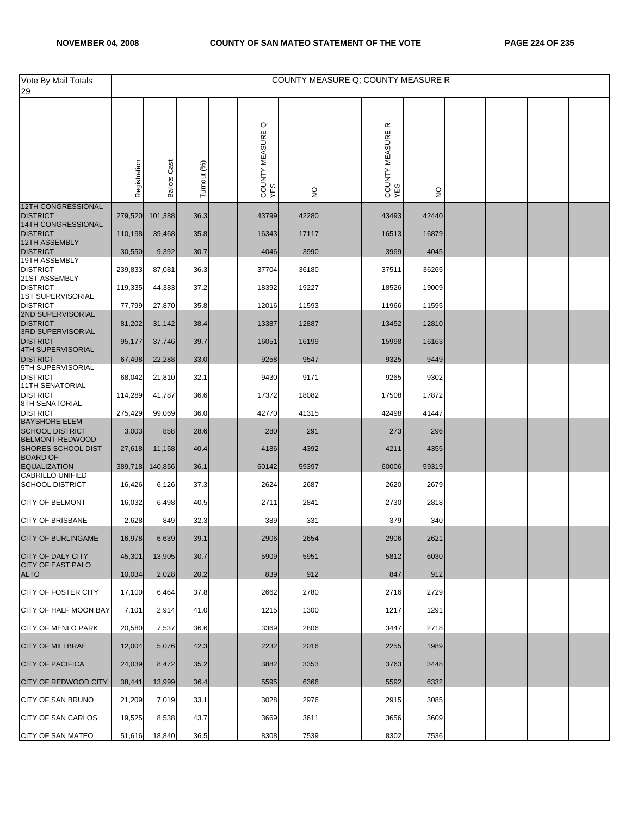| Vote By Mail Totals<br>29                      |              |                     |             |                                  |               |                                    | COUNTY MEASURE Q; COUNTY MEASURE R |  |  |
|------------------------------------------------|--------------|---------------------|-------------|----------------------------------|---------------|------------------------------------|------------------------------------|--|--|
|                                                | Registration | <b>Ballots Cast</b> | Turnout (%) | $\circ$<br>COUNTY MEASURE<br>YES | $\frac{0}{2}$ | $\propto$<br>COUNTY MEASURE<br>YES | $\frac{1}{2}$                      |  |  |
| 12TH CONGRESSIONAL<br><b>DISTRICT</b>          | 279,520      | 101,388             | 36.3        | 43799                            | 42280         | 43493                              | 42440                              |  |  |
| 14TH CONGRESSIONAL<br><b>DISTRICT</b>          |              |                     |             |                                  |               |                                    |                                    |  |  |
| 12TH ASSEMBLY                                  | 110,198      | 39,468              | 35.8        | 16343                            | 17117         | 16513                              | 16879                              |  |  |
| <b>DISTRICT</b><br>19TH ASSEMBLY               | 30,550       | 9,392               | 30.7        | 4046                             | 3990          | 3969                               | 4045                               |  |  |
| <b>DISTRICT</b><br>21ST ASSEMBLY               | 239,833      | 87,081              | 36.3        | 37704                            | 36180         | 37511                              | 36265                              |  |  |
| <b>DISTRICT</b><br><b>1ST SUPERVISORIAL</b>    | 119,335      | 44,383              | 37.2        | 18392                            | 19227         | 18526                              | 19009                              |  |  |
| <b>DISTRICT</b><br>2ND SUPERVISORIAL           | 77,799       | 27,870              | 35.8        | 12016                            | 11593         | 11966                              | 11595                              |  |  |
| <b>DISTRICT</b><br>3RD SUPERVISORIAL           | 81,202       | 31,142              | 38.4        | 13387                            | 12887         | 13452                              | 12810                              |  |  |
| <b>DISTRICT</b>                                | 95,177       | 37,746              | 39.7        | 16051                            | 16199         | 15998                              | 16163                              |  |  |
| 4TH SUPERVISORIAL<br><b>DISTRICT</b>           | 67,498       | 22,288              | 33.0        | 9258                             | 9547          | 9325                               | 9449                               |  |  |
| 5TH SUPERVISORIAL<br><b>DISTRICT</b>           | 68,042       | 21,810              | 32.1        | 9430                             | 9171          | 9265                               | 9302                               |  |  |
| 11TH SENATORIAL<br><b>DISTRICT</b>             | 114,289      | 41,787              | 36.6        | 17372                            | 18082         | 17508                              | 17872                              |  |  |
| <b>8TH SENATORIAL</b><br><b>DISTRICT</b>       | 275,429      | 99,069              | 36.0        | 42770                            | 41315         | 42498                              | 41447                              |  |  |
| <b>BAYSHORE ELEM</b>                           |              |                     |             |                                  |               |                                    |                                    |  |  |
| <b>SCHOOL DISTRICT</b><br>BELMONT-REDWOOD      | 3,003        | 858                 | 28.6        | 280                              | 291           | 273                                | 296                                |  |  |
| SHORES SCHOOL DIST<br><b>BOARD OF</b>          | 27,618       | 11,158              | 40.4        | 4186                             | 4392          | 4211                               | 4355                               |  |  |
| <b>EQUALIZATION</b><br><b>CABRILLO UNIFIED</b> | 389,718      | 140,856             | 36.1        | 60142                            | 59397         | 60006                              | 59319                              |  |  |
| <b>SCHOOL DISTRICT</b>                         | 16,426       | 6,126               | 37.3        | 2624                             | 2687          | 2620                               | 2679                               |  |  |
| <b>CITY OF BELMONT</b>                         | 16,032       | 6,498               | 40.5        | 2711                             | 2841          | 2730                               | 2818                               |  |  |
| <b>CITY OF BRISBANE</b>                        | 2,628        | 849                 | 32.3        | 389                              | 331           | 379                                | 340                                |  |  |
| <b>CITY OF BURLINGAME</b>                      | 16,978       | 6,639               | 39.1        | 2906                             | 2654          | 2906                               | 2621                               |  |  |
| <b>CITY OF DALY CITY</b>                       | 45,301       | 13,905              | 30.7        | 5909                             | 5951          | 5812                               | 6030                               |  |  |
| CITY OF EAST PALO<br><b>ALTO</b>               | 10,034       | 2,028               | 20.2        | 839                              | 912           | 847                                | 912                                |  |  |
| CITY OF FOSTER CITY                            | 17,100       | 6,464               | 37.8        | 2662                             | 2780          | 2716                               | 2729                               |  |  |
| CITY OF HALF MOON BAY                          | 7,101        | 2,914               | 41.0        | 1215                             | 1300          | 1217                               | 1291                               |  |  |
| <b>CITY OF MENLO PARK</b>                      | 20,580       | 7,537               | 36.6        | 3369                             | 2806          | 3447                               | 2718                               |  |  |
| <b>CITY OF MILLBRAE</b>                        | 12,004       | 5,076               | 42.3        | 2232                             | 2016          | 2255                               | 1989                               |  |  |
| <b>CITY OF PACIFICA</b>                        | 24,039       | 8,472               | 35.2        | 3882                             | 3353          | 3763                               | 3448                               |  |  |
| CITY OF REDWOOD CITY                           | 38,441       | 13,999              | 36.4        | 5595                             | 6366          | 5592                               | 6332                               |  |  |
| CITY OF SAN BRUNO                              | 21,209       | 7,019               | 33.1        | 3028                             | 2976          | 2915                               | 3085                               |  |  |
| <b>CITY OF SAN CARLOS</b>                      | 19,525       | 8,538               | 43.7        | 3669                             | 3611          | 3656                               | 3609                               |  |  |
| CITY OF SAN MATEO                              | 51,616       | 18,840              | 36.5        | 8308                             | 7539          | 8302                               | 7536                               |  |  |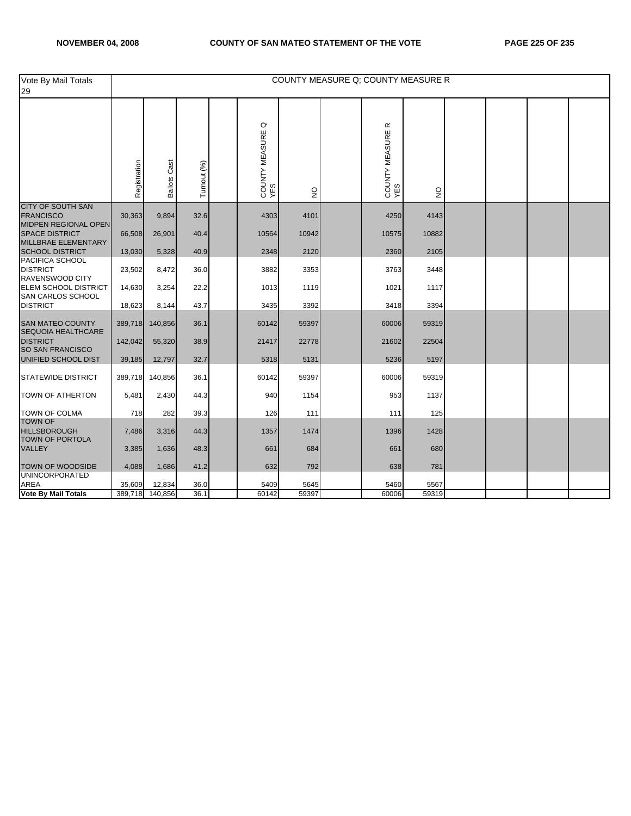| Vote By Mail Totals<br>29                                            |              |                        |             |                                  |                           | COUNTY MEASURE Q: COUNTY MEASURE R |               |  |  |
|----------------------------------------------------------------------|--------------|------------------------|-------------|----------------------------------|---------------------------|------------------------------------|---------------|--|--|
|                                                                      | Registration | Cast<br><b>Ballots</b> | Turnout (%) | $\circ$<br>COUNTY MEASURE<br>YES | $\mathsf{S}^{\mathsf{O}}$ | œ<br>COUNTY MEASURE<br>YES         | $\frac{1}{2}$ |  |  |
| <b>CITY OF SOUTH SAN</b><br><b>FRANCISCO</b>                         | 30,363       | 9,894                  | 32.6        | 4303                             | 4101                      | 4250                               | 4143          |  |  |
| MIDPEN REGIONAL OPEN<br><b>SPACE DISTRICT</b><br>MILLBRAE ELEMENTARY | 66,508       | 26,901                 | 40.4        | 10564                            | 10942                     | 10575                              | 10882         |  |  |
| <b>SCHOOL DISTRICT</b>                                               | 13,030       | 5,328                  | 40.9        | 2348                             | 2120                      | 2360                               | 2105          |  |  |
| PACIFICA SCHOOL<br><b>DISTRICT</b><br>RAVENSWOOD CITY                | 23,502       | 8,472                  | 36.0        | 3882                             | 3353                      | 3763                               | 3448          |  |  |
| ELEM SCHOOL DISTRICT<br>SAN CARLOS SCHOOL                            | 14,630       | 3,254                  | 22.2        | 1013                             | 1119                      | 1021                               | 1117          |  |  |
| <b>DISTRICT</b>                                                      | 18,623       | 8,144                  | 43.7        | 3435                             | 3392                      | 3418                               | 3394          |  |  |
| <b>SAN MATEO COUNTY</b><br><b>SEQUOIA HEALTHCARE</b>                 | 389,718      | 140,856                | 36.1        | 60142                            | 59397                     | 60006                              | 59319         |  |  |
| <b>DISTRICT</b><br>SO SAN FRANCISCO                                  | 142,042      | 55,320                 | 38.9        | 21417                            | 22778                     | 21602                              | 22504         |  |  |
| UNIFIED SCHOOL DIST                                                  | 39,185       | 12,797                 | 32.7        | 5318                             | 5131                      | 5236                               | 5197          |  |  |
| <b>STATEWIDE DISTRICT</b>                                            | 389,718      | 140,856                | 36.1        | 60142                            | 59397                     | 60006                              | 59319         |  |  |
| <b>TOWN OF ATHERTON</b>                                              | 5,481        | 2,430                  | 44.3        | 940                              | 1154                      | 953                                | 1137          |  |  |
| <b>TOWN OF COLMA</b>                                                 | 718          | 282                    | 39.3        | 126                              | 111                       | 111                                | 125           |  |  |
| <b>TOWN OF</b><br><b>HILLSBOROUGH</b><br>TOWN OF PORTOLA             | 7,486        | 3,316                  | 44.3        | 1357                             | 1474                      | 1396                               | 1428          |  |  |
| <b>VALLEY</b>                                                        | 3,385        | 1,636                  | 48.3        | 661                              | 684                       | 661                                | 680           |  |  |
| <b>TOWN OF WOODSIDE</b><br><b>UNINCORPORATED</b>                     | 4,088        | 1,686                  | 41.2        | 632                              | 792                       | 638                                | 781           |  |  |
| <b>AREA</b>                                                          | 35,609       | 12,834                 | 36.0        | 5409                             | 5645                      | 5460                               | 5567          |  |  |
| <b>Vote By Mail Totals</b>                                           |              | 389,718 140,856        | 36.1        | 60142                            | 59397                     | 60006                              | 59319         |  |  |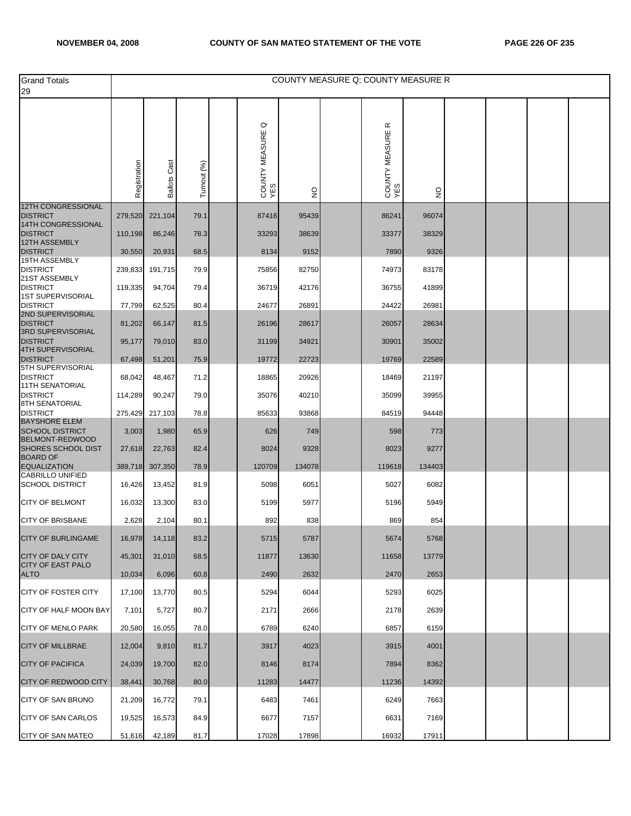| <b>Grand Totals</b><br>29                        |              |                     |             |                                  |               | COUNTY MEASURE Q: COUNTY MEASURE R |        |  |  |
|--------------------------------------------------|--------------|---------------------|-------------|----------------------------------|---------------|------------------------------------|--------|--|--|
|                                                  | Registration | <b>Ballots Cast</b> | Turnout (%) | $\circ$<br>COUNTY MEASURE<br>YES | $\frac{0}{2}$ | $\propto$<br>COUNTY MEASURE<br>YES | g      |  |  |
| <b>12TH CONGRESSIONAL</b>                        |              |                     |             |                                  |               |                                    |        |  |  |
| <b>DISTRICT</b><br>14TH CONGRESSIONAL            | 279,520      | 221,104             | 79.1        | 87416                            | 95439         | 86241                              | 96074  |  |  |
| <b>DISTRICT</b><br><b>12TH ASSEMBLY</b>          | 110,198      | 86,246              | 78.3        | 33293                            | 38639         | 33377                              | 38329  |  |  |
| <b>DISTRICT</b><br>19TH ASSEMBLY                 | 30,550       | 20,931              | 68.5        | 8134                             | 9152          | 7890                               | 9326   |  |  |
| <b>DISTRICT</b><br>21ST ASSEMBLY                 | 239,833      | 191,715             | 79.9        | 75856                            | 82750         | 74973                              | 83178  |  |  |
| <b>DISTRICT</b><br><b>1ST SUPERVISORIAL</b>      | 119,335      | 94,704              | 79.4        | 36719                            | 42176         | 36755                              | 41899  |  |  |
| <b>DISTRICT</b><br>2ND SUPERVISORIAL             | 77,799       | 62,525              | 80.4        | 24677                            | 26891         | 24422                              | 26981  |  |  |
| <b>DISTRICT</b>                                  | 81,202       | 66,147              | 81.5        | 26196                            | 28617         | 26057                              | 28634  |  |  |
| <b>3RD SUPERVISORIAL</b><br><b>DISTRICT</b>      | 95,177       | 79,010              | 83.0        | 31199                            | 34921         | 30901                              | 35002  |  |  |
| <b>4TH SUPERVISORIAL</b><br><b>DISTRICT</b>      | 67,498       | 51,201              | 75.9        | 19772                            | 22723         | 19769                              | 22589  |  |  |
| <b>5TH SUPERVISORIAL</b><br><b>DISTRICT</b>      | 68,042       | 48,467              | 71.2        | 18865                            | 20926         | 18469                              | 21197  |  |  |
| <b>11TH SENATORIAL</b><br><b>DISTRICT</b>        | 114,289      | 90,247              | 79.0        | 35076                            | 40210         | 35099                              | 39955  |  |  |
| 8TH SENATORIAL<br><b>DISTRICT</b>                |              | 217,103             | 78.8        | 85633                            | 93868         | 84519                              | 94448  |  |  |
| <b>BAYSHORE ELEM</b>                             | 275,429      |                     |             |                                  |               |                                    |        |  |  |
| <b>SCHOOL DISTRICT</b><br><b>BELMONT-REDWOOD</b> | 3,003        | 1,980               | 65.9        | 626                              | 749           | 598                                | 773    |  |  |
| SHORES SCHOOL DIST<br><b>BOARD OF</b>            | 27,618       | 22,763              | 82.4        | 8024                             | 9328          | 8023                               | 9277   |  |  |
| <b>EQUALIZATION</b><br><b>CABRILLO UNIFIED</b>   | 389,718      | 307,350             | 78.9        | 120709                           | 134078        | 119618                             | 134403 |  |  |
| <b>SCHOOL DISTRICT</b>                           | 16,426       | 13,452              | 81.9        | 5098                             | 6051          | 5027                               | 6082   |  |  |
| <b>CITY OF BELMONT</b>                           | 16,032       | 13,300              | 83.0        | 5199                             | 5977          | 5196                               | 5949   |  |  |
| <b>CITY OF BRISBANE</b>                          | 2,628        | 2,104               | 80.1        | 892                              | 838           | 869                                | 854    |  |  |
| <b>CITY OF BURLINGAME</b>                        | 16,978       | 14,118              | 83.2        | 5715                             | 5787          | 5674                               | 5768   |  |  |
| <b>CITY OF DALY CITY</b>                         | 45,301       | 31,010              | 68.5        | 11877                            | 13630         | 11658                              | 13779  |  |  |
| <b>CITY OF EAST PALO</b><br><b>ALTO</b>          | 10,034       | 6,096               | 60.8        | 2490                             | 2632          | 2470                               | 2653   |  |  |
| CITY OF FOSTER CITY                              | 17,100       | 13,770              | 80.5        | 5294                             | 6044          | 5293                               | 6025   |  |  |
| CITY OF HALF MOON BAY                            | 7,101        | 5,727               | 80.7        | 2171                             | 2666          | 2178                               | 2639   |  |  |
| <b>CITY OF MENLO PARK</b>                        | 20,580       | 16,055              | 78.0        | 6789                             | 6240          | 6857                               | 6159   |  |  |
| <b>CITY OF MILLBRAE</b>                          | 12,004       | 9,810               | 81.7        | 3917                             | 4023          | 3915                               | 4001   |  |  |
| <b>CITY OF PACIFICA</b>                          | 24,039       | 19,700              | 82.0        | 8146                             | 8174          | 7894                               | 8362   |  |  |
| <b>CITY OF REDWOOD CITY</b>                      | 38,441       | 30,768              | 80.0        | 11283                            | 14477         | 11236                              | 14392  |  |  |
| CITY OF SAN BRUNO                                | 21,209       | 16,772              | 79.1        | 6483                             | 7461          | 6249                               | 7663   |  |  |
| <b>CITY OF SAN CARLOS</b>                        | 19,525       | 16,573              | 84.9        | 6677                             | 7157          | 6631                               | 7169   |  |  |
| <b>CITY OF SAN MATEO</b>                         | 51,616       | 42,189              | 81.7        | 17028                            | 17898         | 16932                              | 17911  |  |  |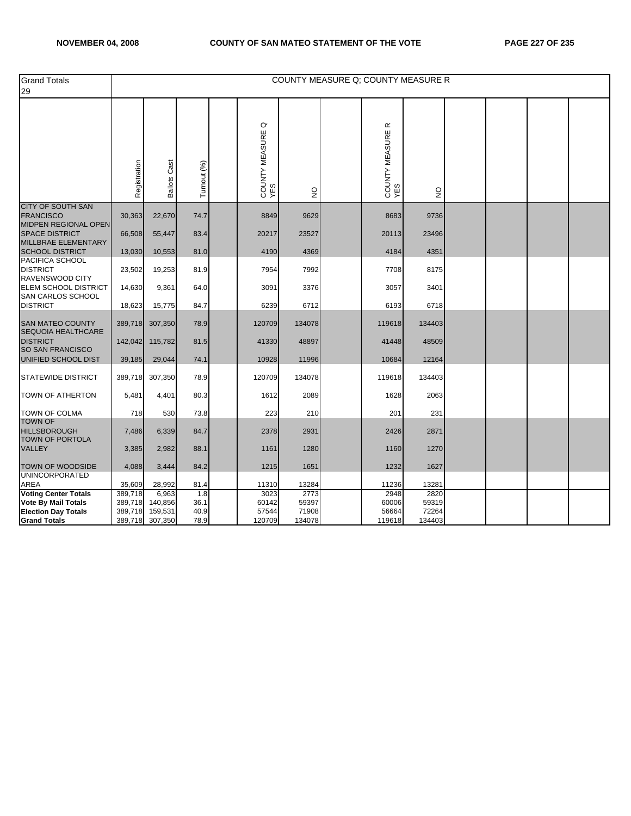| <b>Grand Totals</b><br>29                                                               |                    |                                     |                     |                            |                        | COUNTY MEASURE Q; COUNTY MEASURE R |                        |  |  |
|-----------------------------------------------------------------------------------------|--------------------|-------------------------------------|---------------------|----------------------------|------------------------|------------------------------------|------------------------|--|--|
|                                                                                         | Registration       | Cast<br><b>Ballots</b>              | Turnout (%)         | σ<br>COUNTY MEASURE<br>YES | $\frac{0}{2}$          | $\propto$<br>COUNTY MEASURE<br>YES | $\frac{0}{2}$          |  |  |
| <b>CITY OF SOUTH SAN</b><br><b>FRANCISCO</b>                                            | 30,363             | 22,670                              | 74.7                | 8849                       | 9629                   | 8683                               | 9736                   |  |  |
| <b>MIDPEN REGIONAL OPEN</b><br><b>SPACE DISTRICT</b><br>MILLBRAE ELEMENTARY             | 66,508             | 55,447                              | 83.4                | 20217                      | 23527                  | 20113                              | 23496                  |  |  |
| <b>SCHOOL DISTRICT</b>                                                                  | 13,030             | 10,553                              | 81.0                | 4190                       | 4369                   | 4184                               | 4351                   |  |  |
| PACIFICA SCHOOL<br><b>DISTRICT</b><br>RAVENSWOOD CITY                                   | 23,502             | 19,253                              | 81.9                | 7954                       | 7992                   | 7708                               | 8175                   |  |  |
| ELEM SCHOOL DISTRICT<br>SAN CARLOS SCHOOL                                               | 14,630             | 9,361                               | 64.0                | 3091                       | 3376                   | 3057                               | 3401                   |  |  |
| <b>DISTRICT</b>                                                                         | 18,623             | 15,775                              | 84.7                | 6239                       | 6712                   | 6193                               | 6718                   |  |  |
| <b>SAN MATEO COUNTY</b><br>SEQUOIA HEALTHCARE                                           | 389,718            | 307,350                             | 78.9                | 120709                     | 134078                 | 119618                             | 134403                 |  |  |
| <b>DISTRICT</b><br><b>SO SAN FRANCISCO</b>                                              | 142,042            | 115,782                             | 81.5                | 41330                      | 48897                  | 41448                              | 48509                  |  |  |
| UNIFIED SCHOOL DIST                                                                     | 39,185             | 29,044                              | 74.1                | 10928                      | 11996                  | 10684                              | 12164                  |  |  |
| <b>STATEWIDE DISTRICT</b>                                                               | 389,718            | 307,350                             | 78.9                | 120709                     | 134078                 | 119618                             | 134403                 |  |  |
| <b>TOWN OF ATHERTON</b>                                                                 | 5,481              | 4,401                               | 80.3                | 1612                       | 2089                   | 1628                               | 2063                   |  |  |
| <b>TOWN OF COLMA</b>                                                                    | 718                | 530                                 | 73.8                | 223                        | 210                    | 201                                | 231                    |  |  |
| <b>TOWN OF</b><br><b>HILLSBOROUGH</b><br><b>TOWN OF PORTOLA</b>                         | 7,486              | 6,339                               | 84.7                | 2378                       | 2931                   | 2426                               | 2871                   |  |  |
| <b>VALLEY</b>                                                                           | 3,385              | 2,982                               | 88.1                | 1161                       | 1280                   | 1160                               | 1270                   |  |  |
| TOWN OF WOODSIDE                                                                        | 4,088              | 3,444                               | 84.2                | 1215                       | 1651                   | 1232                               | 1627                   |  |  |
| <b>UNINCORPORATED</b><br>AREA                                                           | 35,609             | 28,992                              | 81.4                | 11310                      | 13284                  | 11236                              | 13281                  |  |  |
| <b>Voting Center Totals</b><br><b>Vote By Mail Totals</b><br><b>Election Day Totals</b> | 389,718<br>389,718 | 6,963<br>140,856<br>389,718 159,531 | 1.8<br>36.1<br>40.9 | 3023<br>60142<br>57544     | 2773<br>59397<br>71908 | 2948<br>60006<br>56664             | 2820<br>59319<br>72264 |  |  |
| <b>Grand Totals</b>                                                                     | 389,718            | 307,350                             | 78.9                | 120709                     | 134078                 | 119618                             | 134403                 |  |  |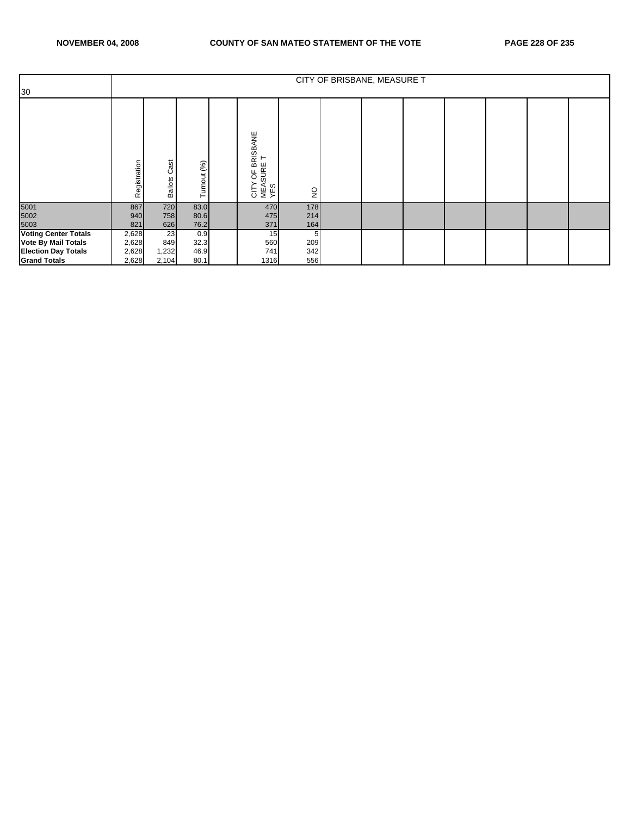|                             |              |                        |                 |                                               |               | CITY OF BRISBANE, MEASURE T |  |  |  |
|-----------------------------|--------------|------------------------|-----------------|-----------------------------------------------|---------------|-----------------------------|--|--|--|
| 30                          |              |                        |                 |                                               |               |                             |  |  |  |
|                             | Registration | Cast<br><b>Ballots</b> | urnout (%)<br>⊢ | BRISBANE<br>⊢<br>CITY OF BF<br>MEASURE<br>YES | $\frac{1}{2}$ |                             |  |  |  |
| 5001<br>5002                | 867          | 720                    | 83.0            | 470                                           | 178           |                             |  |  |  |
|                             | 940          | 758                    | 80.6            | 475                                           | 214           |                             |  |  |  |
| 5003                        | 821          | 626                    | 76.2            | 371                                           | 164           |                             |  |  |  |
| <b>Voting Center Totals</b> | 2,628        | 23                     | 0.9             | 15                                            | 5             |                             |  |  |  |
| <b>Vote By Mail Totals</b>  | 2,628        | 849                    | 32.3            | 560                                           | 209           |                             |  |  |  |
| <b>Election Day Totals</b>  | 2,628        | 1,232                  | 46.9            | 741                                           | 342           |                             |  |  |  |
| <b>Grand Totals</b>         | 2,628        | 2,104                  | 80.1            | 1316                                          | 556           |                             |  |  |  |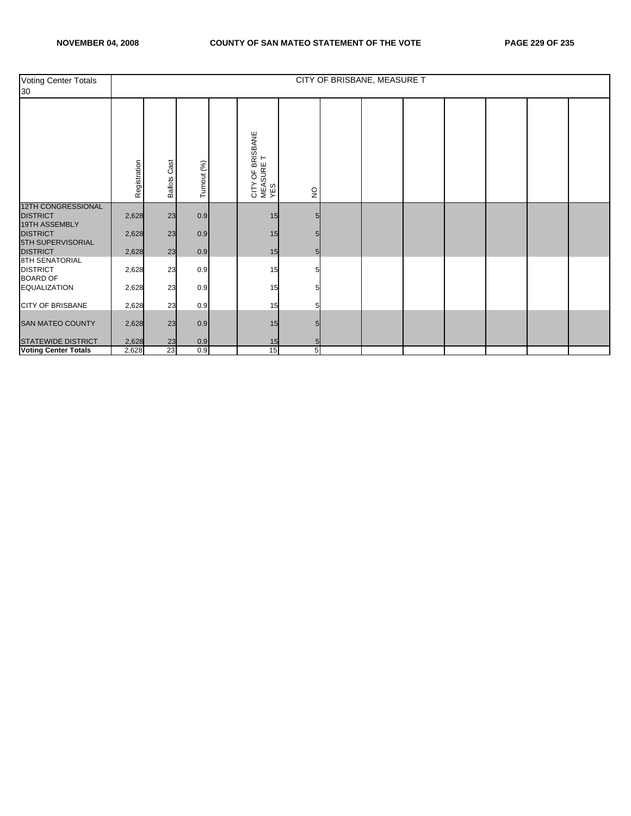| Voting Center Totals<br>30                                    |              |                        |             |                                                  |              | CITY OF BRISBANE, MEASURE T |  |  |  |
|---------------------------------------------------------------|--------------|------------------------|-------------|--------------------------------------------------|--------------|-----------------------------|--|--|--|
|                                                               | Registration | Cast<br><b>Ballots</b> | Turnout (%) | OF BRISBANE<br>⊢<br>CITY OF BR<br>MEASURE<br>YES | $\mathsf{S}$ |                             |  |  |  |
| <b>12TH CONGRESSIONAL</b><br><b>DISTRICT</b><br>19TH ASSEMBLY | 2,628        | 23                     | 0.9         | 15                                               |              |                             |  |  |  |
| <b>DISTRICT</b><br>5TH SUPERVISORIAL                          | 2,628        | 23                     | 0.9         | 15                                               |              |                             |  |  |  |
| <b>DISTRICT</b><br><b>8TH SENATORIAL</b>                      | 2,628        | 23                     | 0.9         | 15                                               | 5            |                             |  |  |  |
| <b>DISTRICT</b><br><b>BOARD OF</b>                            | 2,628        | 23                     | 0.9         | 15                                               |              |                             |  |  |  |
| <b>EQUALIZATION</b>                                           | 2,628        | 23                     | 0.9         | 15                                               |              |                             |  |  |  |
| <b>CITY OF BRISBANE</b>                                       | 2,628        | 23                     | 0.9         | 15                                               |              |                             |  |  |  |
| SAN MATEO COUNTY                                              | 2,628        | 23                     | 0.9         | 15                                               |              |                             |  |  |  |
| <b>STATEWIDE DISTRICT</b>                                     | 2,628        | 23                     | 0.9         | 15                                               |              |                             |  |  |  |
| <b>Voting Center Totals</b>                                   | 2,628        | 23                     | 0.9         | 15                                               | 5            |                             |  |  |  |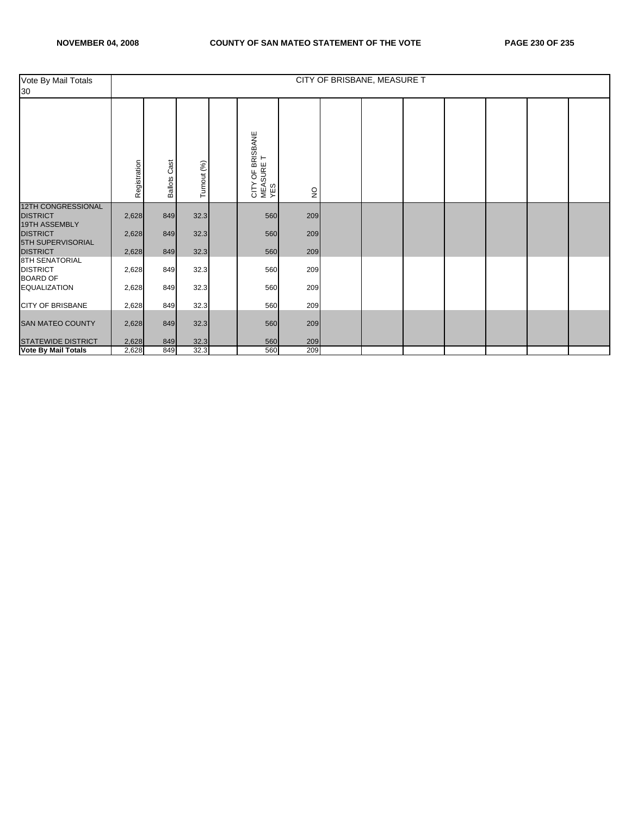| Vote By Mail Totals<br>30                                     |              |                        |             |                                                  |               | CITY OF BRISBANE, MEASURE T |  |  |  |
|---------------------------------------------------------------|--------------|------------------------|-------------|--------------------------------------------------|---------------|-----------------------------|--|--|--|
|                                                               | Registration | Cast<br><b>Ballots</b> | Turnout (%) | OF BRISBANE<br>⊢<br>CITY OF BR<br>MEASURE<br>YES | $\frac{1}{2}$ |                             |  |  |  |
| <b>12TH CONGRESSIONAL</b><br><b>DISTRICT</b><br>19TH ASSEMBLY | 2,628        | 849                    | 32.3        | 560                                              | 209           |                             |  |  |  |
| <b>DISTRICT</b><br>5TH SUPERVISORIAL                          | 2,628        | 849                    | 32.3        | 560                                              | 209           |                             |  |  |  |
| <b>DISTRICT</b>                                               | 2,628        | 849                    | 32.3        | 560                                              | 209           |                             |  |  |  |
| <b>8TH SENATORIAL</b><br><b>DISTRICT</b><br><b>BOARD OF</b>   | 2,628        | 849                    | 32.3        | 560                                              | 209           |                             |  |  |  |
| <b>EQUALIZATION</b>                                           | 2,628        | 849                    | 32.3        | 560                                              | 209           |                             |  |  |  |
| <b>CITY OF BRISBANE</b>                                       | 2,628        | 849                    | 32.3        | 560                                              | 209           |                             |  |  |  |
| <b>SAN MATEO COUNTY</b>                                       | 2,628        | 849                    | 32.3        | 560                                              | 209           |                             |  |  |  |
| <b>STATEWIDE DISTRICT</b>                                     | 2,628        | 849                    | 32.3        | 560                                              | 209           |                             |  |  |  |
| <b>Vote By Mail Totals</b>                                    | 2,628        | 849                    | 32.3        | 560                                              | 209           |                             |  |  |  |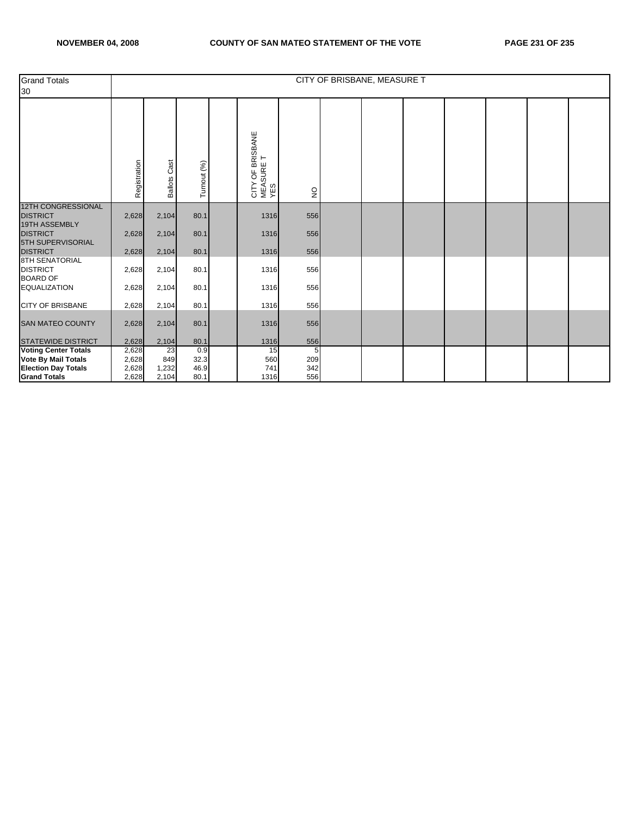| <b>Grand Totals</b><br>30                                    |              |                        |             |                                                 |              | CITY OF BRISBANE, MEASURE T |  |  |  |
|--------------------------------------------------------------|--------------|------------------------|-------------|-------------------------------------------------|--------------|-----------------------------|--|--|--|
|                                                              | Registration | Cast<br><b>Ballots</b> | Turnout (%) | OF BRISBANE<br>CITY OF BRIS<br>MEASURE T<br>YES | $\mathsf{S}$ |                             |  |  |  |
| <b>12TH CONGRESSIONAL</b><br><b>DISTRICT</b>                 | 2,628        | 2,104                  | 80.1        | 1316                                            | 556          |                             |  |  |  |
| 19TH ASSEMBLY<br><b>DISTRICT</b><br><b>5TH SUPERVISORIAL</b> | 2,628        | 2,104                  | 80.1        | 1316                                            | 556          |                             |  |  |  |
| <b>DISTRICT</b>                                              | 2,628        | 2,104                  | 80.1        | 1316                                            | 556          |                             |  |  |  |
| <b>8TH SENATORIAL</b><br><b>DISTRICT</b><br><b>BOARD OF</b>  | 2,628        | 2,104                  | 80.1        | 1316                                            | 556          |                             |  |  |  |
| <b>EQUALIZATION</b>                                          | 2,628        | 2,104                  | 80.1        | 1316                                            | 556          |                             |  |  |  |
| <b>CITY OF BRISBANE</b>                                      | 2,628        | 2,104                  | 80.1        | 1316                                            | 556          |                             |  |  |  |
| SAN MATEO COUNTY                                             | 2,628        | 2,104                  | 80.1        | 1316                                            | 556          |                             |  |  |  |
| <b>STATEWIDE DISTRICT</b>                                    | 2,628        | 2,104                  | 80.1        | 1316                                            | 556          |                             |  |  |  |
| <b>Voting Center Totals</b>                                  | 2,628        | 23                     | 0.9         | 15                                              | 5            |                             |  |  |  |
| <b>Vote By Mail Totals</b>                                   | 2,628        | 849                    | 32.3        | 560                                             | 209          |                             |  |  |  |
| <b>Election Day Totals</b>                                   | 2,628        | 1,232                  | 46.9        | 741                                             | 342          |                             |  |  |  |
| <b>Grand Totals</b>                                          | 2,628        | 2,104                  | 80.1        | 1316                                            | 556          |                             |  |  |  |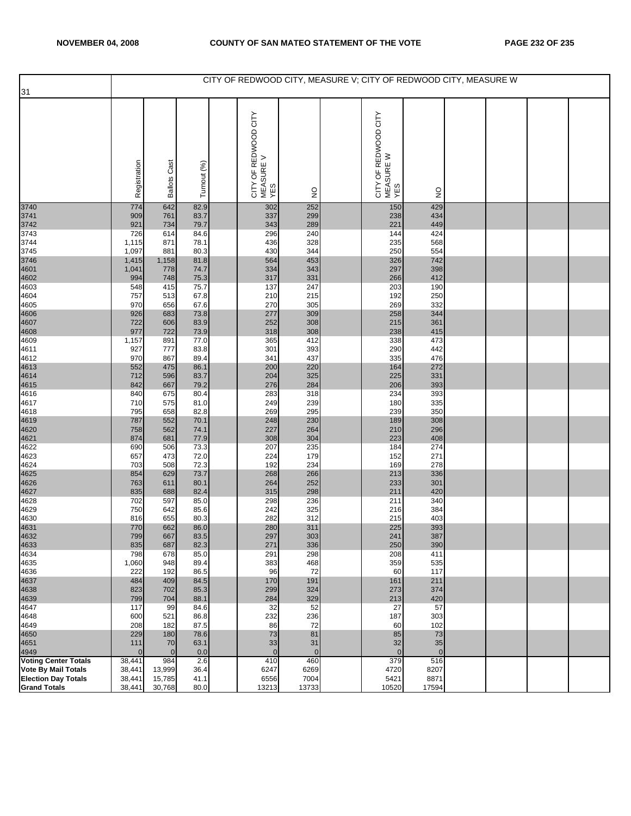|                                     |                    |                       |              | CITY OF REDWOOD CITY, MEASURE V; CITY OF REDWOOD CITY, MEASURE W |                       |                                          |                     |  |  |
|-------------------------------------|--------------------|-----------------------|--------------|------------------------------------------------------------------|-----------------------|------------------------------------------|---------------------|--|--|
| 31                                  |                    |                       |              |                                                                  |                       |                                          |                     |  |  |
|                                     | Registration       | <b>Ballots Cast</b>   | Turnout (%)  | CITY OF REDWOOD CITY<br>MEASURE V<br>YES                         | $\frac{0}{2}$         | CITY OF REDWOOD CITY<br>MEASURE W<br>YES | $\frac{0}{2}$       |  |  |
| 3740                                | 774                | 642                   | 82.9         | 302                                                              | 252                   | 150                                      | 429                 |  |  |
| 3741<br>3742<br>3743                | 909<br>921         | 761<br>734            | 83.7<br>79.7 | 337<br>343                                                       | 299<br>289            | 238<br>221                               | 434<br>449          |  |  |
|                                     | 726                | 614                   | 84.6         | 296                                                              | 240                   | 144                                      | 424                 |  |  |
| 3744<br>3745                        | 1,115<br>1,097     | 871<br>881            | 78.1<br>80.3 | 436<br>430                                                       | 328<br>344            | 235<br>250                               | 568<br>554          |  |  |
|                                     | 1,415              | 1,158                 | 81.8         | 564                                                              | 453                   | 326                                      | 742                 |  |  |
|                                     | 1,041              | 778                   | 74.7         | 334                                                              | 343                   | 297                                      | 398                 |  |  |
| 3746<br>4601<br>4602<br>4603        | 994<br>548         | 748<br>415            | 75.3<br>75.7 | 317<br>137                                                       | 331<br>247            | 266<br>203                               | 412<br>190          |  |  |
| 4604                                | 757                | 513                   | 67.8         | 210                                                              | 215                   | 192                                      | 250                 |  |  |
| 4605                                | 970                | 656                   | 67.6         | 270                                                              | 305                   | 269                                      | 332                 |  |  |
| 4606<br>4607<br>4608<br>4609        | 926<br>722         | 683<br>606            | 73.8<br>83.9 | 277<br>252                                                       | 309<br>308            | 258<br>215                               | 344<br>361          |  |  |
|                                     | 977                | 722                   | 73.9         | 318                                                              | 308                   | 238                                      | 415                 |  |  |
|                                     | 1,157              | 891                   | 77.0         | 365                                                              | 412                   | 338                                      | 473                 |  |  |
| 4611<br>4612                        | 927<br>970         | 777<br>867            | 83.8<br>89.4 | 301<br>341                                                       | 393<br>437            | 290<br>335                               | 442<br>476          |  |  |
|                                     | 552                | 475                   | 86.1         | 200                                                              | 220                   | 164                                      | 272                 |  |  |
|                                     | 712                | 596                   | 83.7         | 204                                                              | 325                   | 225                                      | 331                 |  |  |
| 4613<br>4614<br>4615<br>4616        | 842<br>840         | 667<br>675            | 79.2<br>80.4 | 276<br>283                                                       | 284<br>318            | 206<br>234                               | 393<br>393          |  |  |
| 4617                                | 710                | 575                   | 81.0         | 249                                                              | 239                   | 180                                      | 335                 |  |  |
| 4618                                | 795                | 658                   | 82.8         | 269                                                              | 295                   | 239                                      | 350                 |  |  |
| 4619<br>4620<br>4621<br>4622        | 787<br>758         | 552<br>562            | 70.1<br>74.1 | 248<br>227                                                       | 230<br>264            | 189<br>210                               | 308<br>296          |  |  |
|                                     | 874                | 681                   | 77.9         | 308                                                              | 304                   | 223                                      | 408                 |  |  |
|                                     | 690                | 506                   | 73.3         | 207                                                              | 235<br>179            | 184                                      | 274<br>271          |  |  |
| 4623<br>4624                        | 657<br>703         | 473<br>508            | 72.0<br>72.3 | 224<br>192                                                       | 234                   | 152<br>169                               | 278                 |  |  |
|                                     | 854                | 629                   | 73.7         | 268                                                              | 266                   | 213                                      | 336                 |  |  |
|                                     | 763<br>835         | 611<br>688            | 80.1<br>82.4 | 264<br>315                                                       | 252<br>298            | 233<br>211                               | 301<br>420          |  |  |
| 4625<br>4626<br>4627<br>4628        | 702                | 597                   | 85.0         | 298                                                              | 236                   | 211                                      | 340                 |  |  |
| 4629                                | 750                | 642                   | 85.6         | 242                                                              | 325                   | 216                                      | 384                 |  |  |
| 4630                                | 816<br>770         | 655<br>662            | 80.3<br>86.0 | 282<br>280                                                       | 312<br>311            | 215<br>225                               | 403<br>393          |  |  |
| 4631<br>4632                        | 799                | 667                   | 83.5         | 297                                                              | 303                   | 241                                      | 387                 |  |  |
| 4633                                | 835                | 687                   | 82.3         | 271                                                              | 336                   | 250                                      | 390                 |  |  |
| 4634<br>4635                        | 798<br>1,060       | 678<br>948            | 85.0<br>89.4 | 291<br>383                                                       | 298<br>468            | 208<br>359                               | 411<br>535          |  |  |
| 4636                                | 222                | 192                   | 86.5         | 96                                                               | 72                    | 60                                       | 117                 |  |  |
| 4637                                | 484                | 409                   | 84.5         | 170                                                              | 191                   | 161                                      | 211                 |  |  |
| 4638<br>4639                        | 823<br>799         | 702<br>704            | 85.3<br>88.1 | 299<br>284                                                       | 324<br>329            | 273<br>213                               | 374<br>420          |  |  |
| 4647                                | 117                | 99                    | 84.6         | 32                                                               | 52                    | 27                                       | 57                  |  |  |
| 4648                                | 600                | 521                   | 86.8         | 232                                                              | 236                   | 187                                      | 303                 |  |  |
| 4649<br>4650                        | 208<br>229         | 182<br>180            | 87.5<br>78.6 | 86<br>73                                                         | 72<br>81              | 60<br>85                                 | 102<br>73           |  |  |
| 4651                                | 111                | 70                    | 63.1         | 33                                                               | 31                    | 32                                       | 35                  |  |  |
| 4949<br><b>Voting Center Totals</b> | $\Omega$<br>38,441 | $\overline{0}$<br>984 | 0.0<br>2.6   | $\mathbf{0}$<br>410                                              | $\overline{0}$<br>460 | $\overline{0}$<br>379                    | $\mathbf{0}$<br>516 |  |  |
| <b>Vote By Mail Totals</b>          | 38,441             | 13,999                | 36.4         | 6247                                                             | 6269                  | 4720                                     | 8207                |  |  |
| <b>Election Day Totals</b>          | 38,441             | 15,785                | 41.1         | 6556                                                             | 7004                  | 5421                                     | 8871                |  |  |
| <b>Grand Totals</b>                 | 38,441             | 30,768                | 80.0         | 13213                                                            | 13733                 | 10520                                    | 17594               |  |  |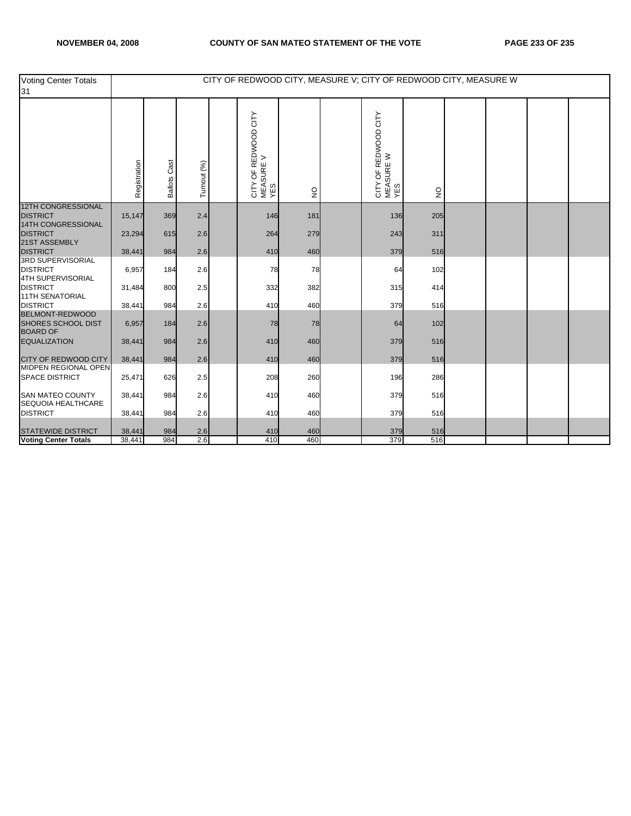| Voting Center Totals<br>31                               |              |                     |             | CITY OF REDWOOD CITY, MEASURE V; CITY OF REDWOOD CITY, MEASURE W |                                 |                                          |                           |  |  |
|----------------------------------------------------------|--------------|---------------------|-------------|------------------------------------------------------------------|---------------------------------|------------------------------------------|---------------------------|--|--|
|                                                          | Registration | <b>Ballots Cast</b> | Turnout (%) | CITY OF REDWOOD CITY<br>MEASURE V<br>YES                         | $\frac{\mathsf{O}}{\mathsf{Z}}$ | CITY OF REDWOOD CITY<br>MEASURE W<br>YES | $\mathsf{S}^{\mathsf{O}}$ |  |  |
| <b>12TH CONGRESSIONAL</b><br><b>DISTRICT</b>             | 15,147       | 369                 | 2.4         | 146                                                              | 181                             | 136                                      | 205                       |  |  |
| 14TH CONGRESSIONAL                                       |              |                     |             |                                                                  |                                 |                                          |                           |  |  |
| <b>DISTRICT</b>                                          | 23,294       | 615                 | 2.6         | 264                                                              | 279                             | 243                                      | 311                       |  |  |
| 21ST ASSEMBLY<br><b>DISTRICT</b>                         | 38,441       | 984                 | 2.6         | 410                                                              | 460                             | 379                                      | 516                       |  |  |
| <b>3RD SUPERVISORIAL</b><br><b>DISTRICT</b>              | 6,957        | 184                 | 2.6         | 78                                                               | 78                              | 64                                       | 102                       |  |  |
| 4TH SUPERVISORIAL                                        |              |                     |             |                                                                  |                                 |                                          |                           |  |  |
| <b>DISTRICT</b><br><b>11TH SENATORIAL</b>                | 31,484       | 800                 | 2.5         | 332                                                              | 382                             | 315                                      | 414                       |  |  |
| <b>DISTRICT</b>                                          | 38,441       | 984                 | 2.6         | 410                                                              | 460                             | 379                                      | 516                       |  |  |
| BELMONT-REDWOOD<br>SHORES SCHOOL DIST<br><b>BOARD OF</b> | 6,957        | 184                 | 2.6         | 78                                                               | 78                              | 64                                       | 102                       |  |  |
| <b>EQUALIZATION</b>                                      | 38,441       | 984                 | 2.6         | 410                                                              | 460                             | 379                                      | 516                       |  |  |
| CITY OF REDWOOD CITY<br><b>MIDPEN REGIONAL OPEN</b>      | 38,441       | 984                 | 2.6         | 410                                                              | 460                             | 379                                      | 516                       |  |  |
| <b>SPACE DISTRICT</b>                                    | 25,471       | 626                 | 2.5         | 208                                                              | 260                             | 196                                      | 286                       |  |  |
| <b>SAN MATEO COUNTY</b><br>SEQUOIA HEALTHCARE            | 38,441       | 984                 | 2.6         | 410                                                              | 460                             | 379                                      | 516                       |  |  |
| <b>DISTRICT</b>                                          | 38,441       | 984                 | 2.6         | 410                                                              | 460                             | 379                                      | 516                       |  |  |
| <b>STATEWIDE DISTRICT</b>                                | 38,441       | 984                 | 2.6         | 410                                                              | 460                             | 379                                      | 516                       |  |  |
| <b>Voting Center Totals</b>                              | 38,441       | 984                 | 2.6         | 410                                                              | 460                             | 379                                      | 516                       |  |  |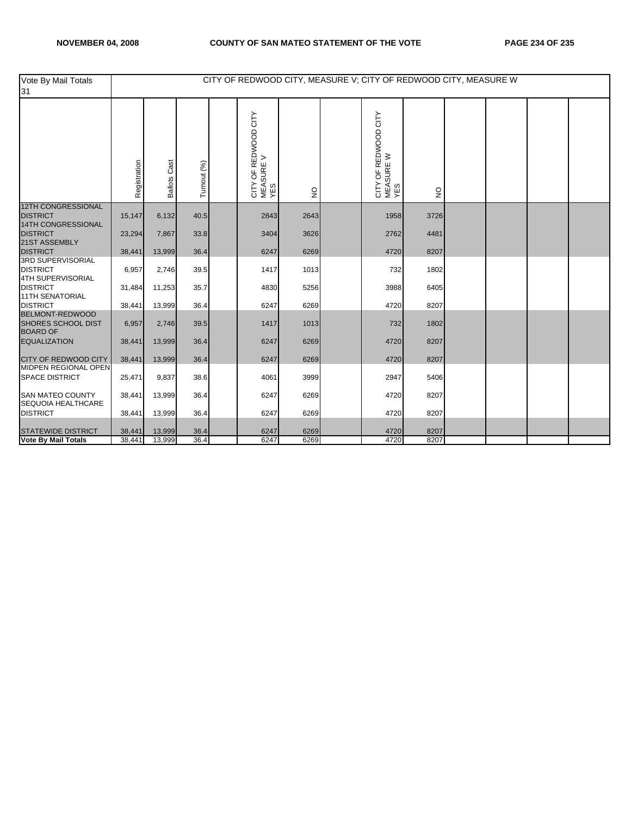| Vote By Mail Totals<br>31                                              |              |                     |             | CITY OF REDWOOD CITY, MEASURE V; CITY OF REDWOOD CITY, MEASURE W |              |                                          |              |  |  |
|------------------------------------------------------------------------|--------------|---------------------|-------------|------------------------------------------------------------------|--------------|------------------------------------------|--------------|--|--|
|                                                                        | Registration | <b>Ballots Cast</b> | Turnout (%) | CITY OF REDWOOD CITY<br> MEASURE V<br>  YES                      | $\mathsf{S}$ | CITY OF REDWOOD CITY<br>MEASURE W<br>YES | $\mathsf{S}$ |  |  |
| <b>12TH CONGRESSIONAL</b><br><b>DISTRICT</b>                           | 15,147       | 6,132               | 40.5        | 2843                                                             | 2643         | 1958                                     | 3726         |  |  |
| 14TH CONGRESSIONAL<br><b>DISTRICT</b>                                  | 23,294       | 7,867               | 33.8        | 3404                                                             | 3626         | 2762                                     | 4481         |  |  |
| 21ST ASSEMBLY<br><b>DISTRICT</b>                                       | 38,441       | 13,999              | 36.4        | 6247                                                             | 6269         | 4720                                     | 8207         |  |  |
| <b>3RD SUPERVISORIAL</b><br><b>DISTRICT</b>                            | 6,957        | 2,746               | 39.5        | 1417                                                             | 1013         | 732                                      | 1802         |  |  |
| 4TH SUPERVISORIAL<br><b>DISTRICT</b>                                   | 31,484       | 11,253              | 35.7        | 4830                                                             | 5256         | 3988                                     | 6405         |  |  |
| <b>11TH SENATORIAL</b><br><b>DISTRICT</b>                              | 38,441       | 13,999              | 36.4        | 6247                                                             | 6269         | 4720                                     | 8207         |  |  |
| <b>BELMONT-REDWOOD</b><br><b>SHORES SCHOOL DIST</b><br><b>BOARD OF</b> | 6,957        | 2,746               | 39.5        | 1417                                                             | 1013         | 732                                      | 1802         |  |  |
| <b>EQUALIZATION</b>                                                    | 38,441       | 13,999              | 36.4        | 6247                                                             | 6269         | 4720                                     | 8207         |  |  |
| <b>CITY OF REDWOOD CITY</b>                                            | 38,441       | 13,999              | 36.4        | 6247                                                             | 6269         | 4720                                     | 8207         |  |  |
| MIDPEN REGIONAL OPEN<br><b>SPACE DISTRICT</b>                          | 25,471       | 9,837               | 38.6        | 4061                                                             | 3999         | 2947                                     | 5406         |  |  |
| <b>SAN MATEO COUNTY</b><br>SEQUOIA HEALTHCARE                          | 38,441       | 13,999              | 36.4        | 6247                                                             | 6269         | 4720                                     | 8207         |  |  |
| <b>DISTRICT</b>                                                        | 38,441       | 13,999              | 36.4        | 6247                                                             | 6269         | 4720                                     | 8207         |  |  |
| <b>STATEWIDE DISTRICT</b>                                              | 38,441       | 13,999              | 36.4        | 6247                                                             | 6269         | 4720                                     | 8207         |  |  |
| <b>Vote By Mail Totals</b>                                             | 38,441       | 13,999              | 36.4        | 6247                                                             | 6269         | 4720                                     | 8207         |  |  |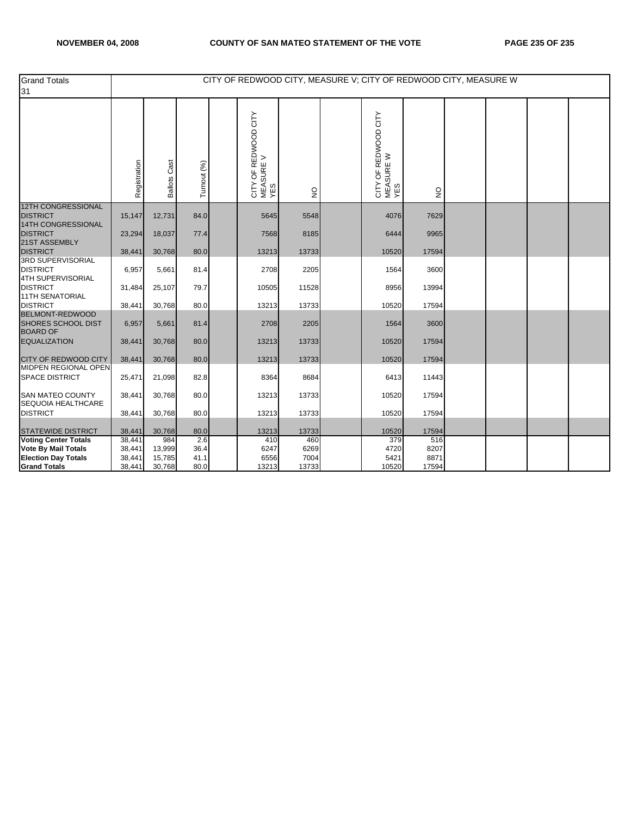| <b>Grand Totals</b><br>31                                       |              |                     |             | CITY OF REDWOOD CITY, MEASURE V; CITY OF REDWOOD CITY, MEASURE W |              |                                          |               |  |  |
|-----------------------------------------------------------------|--------------|---------------------|-------------|------------------------------------------------------------------|--------------|------------------------------------------|---------------|--|--|
|                                                                 | Registration | <b>Ballots Cast</b> | Turnout (%) | OF REDWOOD CITY<br>CITY OF RED<br>MEASURE V<br>YES               | $\mathsf{S}$ | CITY OF REDWOOD CITY<br>MEASURE W<br>YES | $\frac{1}{2}$ |  |  |
| <b>12TH CONGRESSIONAL</b><br><b>DISTRICT</b>                    | 15,147       | 12,731              | 84.0        | 5645                                                             | 5548         | 4076                                     | 7629          |  |  |
| 14TH CONGRESSIONAL<br><b>DISTRICT</b><br>21ST ASSEMBLY          | 23,294       | 18,037              | 77.4        | 7568                                                             | 8185         | 6444                                     | 9965          |  |  |
| <b>DISTRICT</b>                                                 | 38,441       | 30,768              | 80.0        | 13213                                                            | 13733        | 10520                                    | 17594         |  |  |
| 3RD SUPERVISORIAL<br><b>DISTRICT</b><br>4TH SUPERVISORIAL       | 6,957        | 5,661               | 81.4        | 2708                                                             | 2205         | 1564                                     | 3600          |  |  |
| <b>DISTRICT</b><br><b>11TH SENATORIAL</b>                       | 31,484       | 25,107              | 79.7        | 10505                                                            | 11528        | 8956                                     | 13994         |  |  |
| <b>DISTRICT</b>                                                 | 38,441       | 30,768              | 80.0        | 13213                                                            | 13733        | 10520                                    | 17594         |  |  |
| BELMONT-REDWOOD<br><b>SHORES SCHOOL DIST</b><br><b>BOARD OF</b> | 6,957        | 5,661               | 81.4        | 2708                                                             | 2205         | 1564                                     | 3600          |  |  |
| <b>EQUALIZATION</b>                                             | 38,441       | 30,768              | 80.0        | 13213                                                            | 13733        | 10520                                    | 17594         |  |  |
| CITY OF REDWOOD CITY                                            | 38,441       | 30,768              | 80.0        | 13213                                                            | 13733        | 10520                                    | 17594         |  |  |
| <b>MIDPEN REGIONAL OPEN</b><br><b>SPACE DISTRICT</b>            | 25,471       | 21,098              | 82.8        | 8364                                                             | 8684         | 6413                                     | 11443         |  |  |
| <b>SAN MATEO COUNTY</b><br>SEQUOIA HEALTHCARE                   | 38,441       | 30,768              | 80.0        | 13213                                                            | 13733        | 10520                                    | 17594         |  |  |
| <b>DISTRICT</b>                                                 | 38,441       | 30,768              | 80.0        | 13213                                                            | 13733        | 10520                                    | 17594         |  |  |
| <b>STATEWIDE DISTRICT</b>                                       | 38,441       | 30,768              | 80.0        | 13213                                                            | 13733        | 10520                                    | 17594         |  |  |
| <b>Voting Center Totals</b>                                     | 38,441       | 984                 | 2.6         | 410                                                              | 460          | 379                                      | 516           |  |  |
| <b>Vote By Mail Totals</b>                                      | 38,441       | 13,999              | 36.4        | 6247                                                             | 6269         | 4720                                     | 8207          |  |  |
| <b>Election Day Totals</b>                                      | 38,441       | 15,785              | 41.1        | 6556                                                             | 7004         | 5421                                     | 8871          |  |  |
| <b>Grand Totals</b>                                             | 38,441       | 30,768              | 80.0        | 13213                                                            | 13733        | 10520                                    | 17594         |  |  |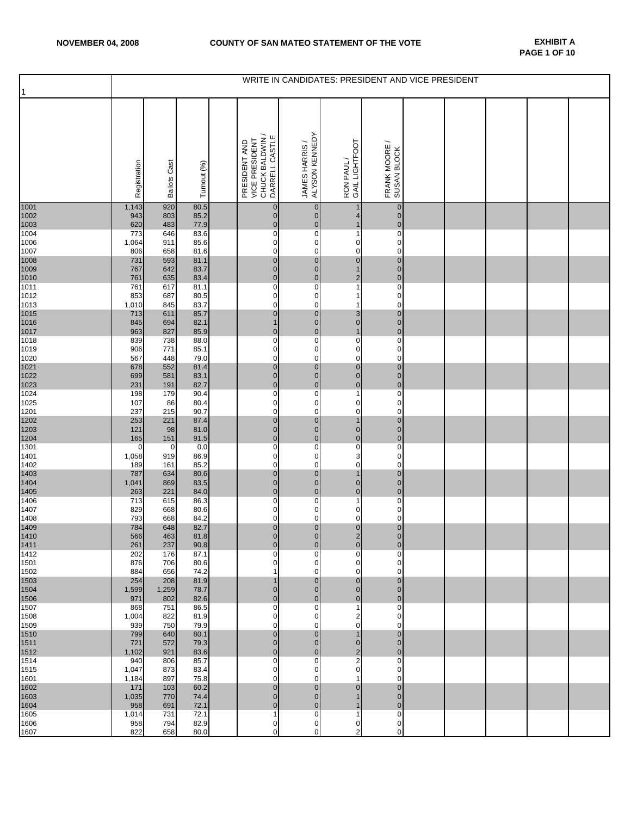| $\mathbf{1}$ |              |                     |              |                                                                      | WRITE IN CANDIDATES: PRESIDENT AND VICE PRESIDENT |                                              |                                  |  |  |  |
|--------------|--------------|---------------------|--------------|----------------------------------------------------------------------|---------------------------------------------------|----------------------------------------------|----------------------------------|--|--|--|
|              | Registration | <b>Ballots Cast</b> | Turnout (%)  | CHUCK BALDWIN /<br>DARRELL CASTLE<br>PRESIDENT AND<br>VICE PRESIDENT | ALYSON KENNEDY<br>JAMES HARRIS /                  | GAIL LIGHTFOOT<br>RON PAUL/                  | FRANK MOORE /<br>SUSAN BLOCK     |  |  |  |
| 1001<br>1002 | 1,143<br>943 | 920<br>803          | 80.5<br>85.2 | $\pmb{0}$<br>$\pmb{0}$                                               | $\mathbf{0}$<br>$\overline{0}$                    | $\mathbf 1$<br>4                             | $\mathbf{0}$<br>$\overline{0}$   |  |  |  |
| 1003<br>1004 | 620<br>773   | 483<br>646          | 77.9<br>83.6 | $\mathbf 0$<br>$\overline{0}$                                        | $\mathbf 0$<br>$\mathbf 0$                        | $\mathbf{1}$<br>1                            | $\mathbf 0$<br>$\mathbf 0$       |  |  |  |
| 1006<br>1007 | 1,064<br>806 | 911<br>658          | 85.6<br>81.6 | $\pmb{0}$<br>$\mathbf 0$                                             | $\overline{0}$<br>$\mathbf 0$                     | $\pmb{0}$<br>$\mathbf 0$                     | $\overline{0}$<br>$\mathbf 0$    |  |  |  |
| 1008         | 731          | 593                 | 81.1         | $\pmb{0}$                                                            | $\overline{0}$                                    | $\mathbf 0$                                  | $\overline{0}$                   |  |  |  |
| 1009<br>1010 | 767<br>761   | 642<br>635          | 83.7<br>83.4 | $\mathbf 0$<br>$\pmb{0}$                                             | $\overline{0}$<br>$\mathbf 0$                     | $\mathbf{1}$<br>$\overline{\mathbf{c}}$      | $\pmb{0}$<br>$\overline{0}$      |  |  |  |
| 1011<br>1012 | 761<br>853   | 617<br>687          | 81.1<br>80.5 | $\pmb{0}$<br>$\pmb{0}$                                               | $\mathbf 0$<br>0                                  | $\mathbf{1}$<br>1                            | $\mathbf 0$<br>$\mathbf 0$       |  |  |  |
| 1013<br>1015 | 1,010<br>713 | 845<br>611          | 83.7<br>85.7 | $\pmb{0}$<br>$\mathbf 0$                                             | 0<br>$\mathbf{0}$                                 | 1<br>3                                       | $\mathbf 0$<br>$\mathbf 0$       |  |  |  |
| 1016         | 845          | 694                 | 82.1         | $\mathbf{1}$                                                         | $\overline{0}$                                    | $\mathbf 0$                                  | $\overline{0}$                   |  |  |  |
| 1017<br>1018 | 963<br>839   | 827<br>738          | 85.9<br>88.0 | $\pmb{0}$<br>$\pmb{0}$                                               | $\overline{0}$<br>0                               | $\mathbf{1}$<br>$\overline{0}$               | $\overline{0}$<br>0              |  |  |  |
| 1019<br>1020 | 906<br>567   | 771<br>448          | 85.1<br>79.0 | $\pmb{0}$<br>$\mathbf 0$                                             | $\mathbf 0$<br>$\mathbf 0$                        | $\pmb{0}$<br>$\mathbf 0$                     | $\pmb{0}$<br>$\mathbf 0$         |  |  |  |
| 1021<br>1022 | 678<br>699   | 552<br>581          | 81.4<br>83.1 | $\pmb{0}$<br>$\mathbf{0}$                                            | $\mathbf{0}$<br>$\mathbf 0$                       | $\begin{smallmatrix}0\\0\end{smallmatrix}$   | $\overline{0}$<br>$\mathbf 0$    |  |  |  |
| 1023<br>1024 | 231<br>198   | 191<br>179          | 82.7<br>90.4 | $\mathbf 0$<br>$\pmb{0}$                                             | $\mathbf 0$<br>$\mathbf 0$                        | $\pmb{0}$<br>$\mathbf{1}$                    | $\mathbf 0$<br>$\mathbf 0$       |  |  |  |
| 1025         | 107          | 86                  | 80.4         | $\pmb{0}$                                                            | 0                                                 | $\mathbf 0$                                  | $\mathbf 0$                      |  |  |  |
| 1201<br>1202 | 237<br>253   | 215<br>221          | 90.7<br>87.4 | $\pmb{0}$<br>$\pmb{0}$                                               | $\mathbf 0$<br>$\mathbf 0$                        | $\mathbf 0$<br>$\mathbf{1}$                  | $\mathbf 0$<br>$\pmb{0}$         |  |  |  |
| 1203<br>1204 | 121<br>165   | 98<br>151           | 81.0<br>91.5 | $\pmb{0}$<br>$\pmb{0}$                                               | $\mathbf 0$<br>$\mathbf 0$                        | $\pmb{0}$<br>$\mathbf{0}$                    | $\mathbf 0$<br>$\mathbf 0$       |  |  |  |
| 1301<br>1401 | 0<br>1,058   | 0<br>919            | 0.0<br>86.9  | $\overline{0}$<br>$\pmb{0}$                                          | $\mathbf 0$<br>0                                  | $\overline{0}$<br>$\ensuremath{\mathsf{3}}$  | $\mathbf 0$<br>$\mathbf 0$       |  |  |  |
| 1402         | 189          | 161                 | 85.2         | $\mathbf 0$                                                          | $\mathbf 0$                                       | $\mathbf 0$                                  | $\mathbf 0$                      |  |  |  |
| 1403<br>1404 | 787<br>1,041 | 634<br>869          | 80.6<br>83.5 | $\mathbf 0$<br>$\mathbf 0$                                           | $\overline{0}$<br>$\overline{0}$                  | $\mathbf{1}$<br>$\mathbf 0$                  | $\overline{0}$<br>$\overline{0}$ |  |  |  |
| 1405<br>1406 | 263<br>713   | 221<br>615          | 84.0<br>86.3 | $\mathbf{0}$<br>$\pmb{0}$                                            | $\mathbf 0$<br>$\mathbf 0$                        | $\mathbf 0$<br>$\mathbf{1}$                  | $\mathbf 0$<br>$\mathbf 0$       |  |  |  |
| 1407<br>1408 | 829<br>793   | 668<br>668          | 80.6<br>84.2 | 0<br>$\pmb{0}$                                                       | 0<br>$\mathbf 0$                                  | 0<br>$\mathbf 0$                             | $\mathbf 0$<br>$\mathbf 0$       |  |  |  |
| 1409         | 784          | 648                 | 82.7         | $\mathbf 0$                                                          | $\overline{0}$                                    | $\pmb{0}$                                    | $\overline{0}$                   |  |  |  |
| 1410<br>1411 | 566<br>261   | 463<br>237          | 81.8<br>90.8 | $\mathbf{0}$<br>$\pmb{0}$                                            | $\mathbf{0}$<br>$\overline{0}$                    | $\begin{array}{c} 2 \\ 0 \end{array}$        | $\overline{0}$<br>$\overline{0}$ |  |  |  |
| 1412<br>1501 | 202<br>876   | 176<br>706          | 87.1<br>80.6 | 0<br>0                                                               | $\mathbf 0$<br>$\mathbf 0$                        | $\pmb{0}$<br>$\mathbf 0$                     | $\mathbf 0$<br>$\overline{0}$    |  |  |  |
| 1502<br>1503 | 884<br>254   | 656<br>208          | 74.2<br>81.9 | $\mathbf{1}$<br>$\mathbf{1}$                                         | $\mathbf 0$<br>$\overline{0}$                     | $\pmb{0}$<br>$\mathbf 0$                     | $\mathbf 0$<br>$\mathbf 0$       |  |  |  |
| 1504         | 1,599        | 1,259               | 78.7         | $\overline{0}$                                                       | $\overline{0}$                                    | $\mathbf 0$                                  | $\overline{0}$                   |  |  |  |
| 1506<br>1507 | 971<br>868   | 802<br>751          | 82.6<br>86.5 | $\pmb{0}$<br>$\pmb{0}$                                               | $\overline{0}$<br>$\mathbf 0$                     | $\mathbf 0$<br>$\mathbf{1}$                  | $\mathbf 0$<br>$\mathbf 0$       |  |  |  |
| 1508<br>1509 | 1,004<br>939 | 822<br>750          | 81.9<br>79.9 | $\mathbf 0$<br>0                                                     | $\overline{0}$<br>$\mathbf 0$                     | $\overline{\mathbf{c}}$<br>$\mathbf 0$       | $\overline{0}$<br>$\overline{0}$ |  |  |  |
| 1510<br>1511 | 799<br>721   | 640<br>572          | 80.1<br>79.3 | $\pmb{0}$<br>$\pmb{0}$                                               | $\overline{0}$<br>$\overline{0}$                  | $\mathbf{1}$<br>$\mathbf 0$                  | $\overline{0}$<br>$\overline{0}$ |  |  |  |
| 1512         | 1,102        | 921                 | 83.6         | $\pmb{0}$                                                            | $\overline{0}$                                    |                                              | $\mathbf 0$                      |  |  |  |
| 1514<br>1515 | 940<br>1,047 | 806<br>873          | 85.7<br>83.4 | 0<br>$\pmb{0}$                                                       | $\mathbf 0$<br>$\mathbf 0$                        | $\begin{array}{c}\n2 \\ 2 \\ 0\n\end{array}$ | $\mathbf 0$<br>$\overline{0}$    |  |  |  |
| 1601<br>1602 | 1,184<br>171 | 897<br>103          | 75.8<br>60.2 | $\mathbf 0$<br>$\mathbf 0$                                           | $\overline{0}$<br>$\overline{0}$                  | $\mathbf{1}$<br>$\mathbf 0$                  | $\Omega$<br>$\overline{0}$       |  |  |  |
| 1603<br>1604 | 1,035<br>958 | 770<br>691          | 74.4<br>72.1 | $\mathbf 0$<br>$\pmb{0}$                                             | $\overline{0}$<br>$\overline{0}$                  | $\mathbf{1}$<br>$\mathbf{1}$                 | $\overline{0}$<br>$\overline{0}$ |  |  |  |
| 1605         | 1,014        | 731                 | 72.1         | 1                                                                    | $\mathbf 0$                                       | 1                                            | $\pmb{0}$                        |  |  |  |
| 1606<br>1607 | 958<br>822   | 794<br>658          | 82.9<br>80.0 | $\mathbf 0$<br>0                                                     | $\mathbf{O}$<br>$\mathbf 0$                       | 0<br>2                                       | $\mathbf 0$<br>$\mathbf 0$       |  |  |  |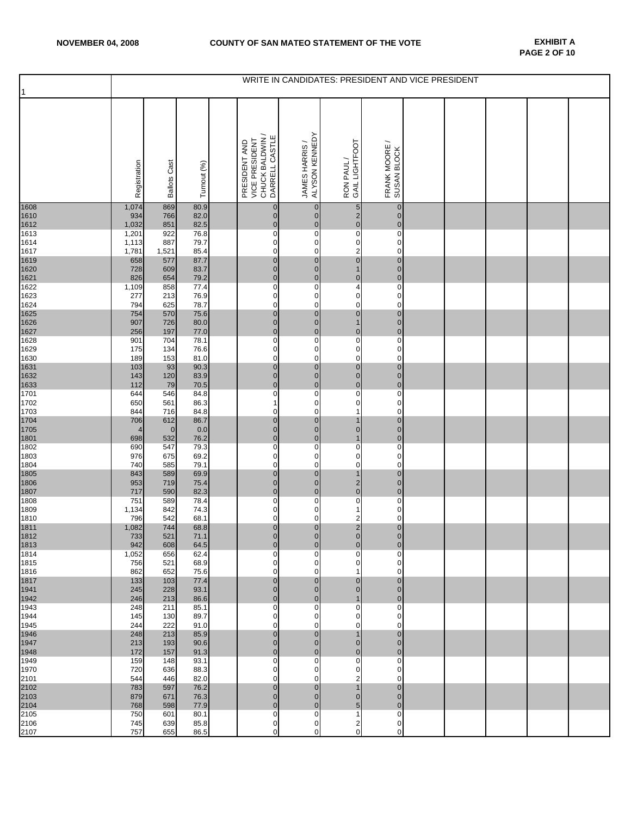|              | WRITE IN CANDIDATES: PRESIDENT AND VICE PRESIDENT |                     |              |                                                                      |                                  |                                           |                                  |  |  |  |  |  |
|--------------|---------------------------------------------------|---------------------|--------------|----------------------------------------------------------------------|----------------------------------|-------------------------------------------|----------------------------------|--|--|--|--|--|
| $\mathbf{1}$ | Registration                                      | <b>Ballots Cast</b> | Turnout (%)  | CHUCK BALDWIN /<br>DARRELL CASTLE<br>PRESIDENT AND<br>VICE PRESIDENT | ALYSON KENNEDY<br>JAMES HARRIS / | GAIL LIGHTFOOT<br>RON PAUL/               | FRANK MOORE /<br>SUSAN BLOCK     |  |  |  |  |  |
| 1608         | 1,074                                             | 869                 | 80.9         | $\pmb{0}$                                                            | $\mathbf{0}$                     | 5                                         | $\mathbf{0}$                     |  |  |  |  |  |
| 1610<br>1612 | 934<br>1,032                                      | 766<br>851          | 82.0<br>82.5 | $\pmb{0}$<br>$\mathbf 0$                                             | $\overline{0}$<br>$\mathbf 0$    | $\begin{array}{c} 2 \\ 0 \end{array}$     | $\overline{0}$<br>$\mathbf 0$    |  |  |  |  |  |
| 1613         | 1,201                                             | 922                 | 76.8         | $\pmb{0}$                                                            | $\mathbf 0$                      | $\overline{\text{o}}$                     | $\mathbf 0$                      |  |  |  |  |  |
| 1614<br>1617 | 1,113<br>1,781                                    | 887<br>1,521        | 79.7<br>85.4 | $\pmb{0}$<br>$\mathbf 0$                                             | $\mathbf{O}$<br>$\mathbf 0$      | $\pmb{0}$                                 | $\mathbf 0$<br>$\mathbf 0$       |  |  |  |  |  |
| 1619         | 658                                               | 577                 | 87.7         | $\pmb{0}$                                                            | $\overline{0}$                   | $\frac{2}{0}$                             | $\overline{0}$                   |  |  |  |  |  |
| 1620<br>1621 | 728<br>826                                        | 609<br>654          | 83.7<br>79.2 | $\mathbf 0$<br>$\pmb{0}$                                             | $\overline{0}$<br>$\mathbf 0$    | $\mathbf{1}$<br>$\pmb{0}$                 | $\pmb{0}$<br>$\mathbf 0$         |  |  |  |  |  |
| 1622         | 1,109                                             | 858                 | 77.4         | $\pmb{0}$                                                            | $\mathbf 0$                      | $\overline{4}$                            | $\mathbf 0$                      |  |  |  |  |  |
| 1623<br>1624 | 277<br>794                                        | 213<br>625          | 76.9<br>78.7 | $\pmb{0}$<br>$\pmb{0}$                                               | 0<br>0                           | $\pmb{0}$<br>$\mathbf 0$                  | $\mathbf 0$<br>$\mathbf 0$       |  |  |  |  |  |
| 1625         | 754<br>907                                        | 570                 | 75.6         | $\mathbf{0}$<br>$\pmb{0}$                                            | $\mathbf{0}$<br>$\overline{0}$   | $\mathbf 0$<br>$\mathbf{1}$               | $\mathbf 0$<br>$\overline{0}$    |  |  |  |  |  |
| 1626<br>1627 | 256                                               | 726<br>197          | 80.0<br>77.0 | $\mathbf 0$                                                          | $\overline{0}$                   | $\pmb{0}$                                 | $\overline{0}$                   |  |  |  |  |  |
| 1628<br>1629 | 901<br>175                                        | 704<br>134          | 78.1<br>76.6 | $\pmb{0}$<br>$\pmb{0}$                                               | 0<br>$\mathbf 0$                 | $\overline{0}$<br>$\mathbf 0$             | 0<br>$\mathbf 0$                 |  |  |  |  |  |
| 1630         | 189                                               | 153                 | 81.0         | $\mathbf 0$                                                          | $\mathbf 0$                      | $\mathbf 0$                               | $\mathbf 0$                      |  |  |  |  |  |
| 1631<br>1632 | 103<br>143                                        | 93<br>120           | 90.3<br>83.9 | $\pmb{0}$<br>$\mathbf 0$                                             | $\mathbf{0}$<br>$\mathbf 0$      | $\pmb{0}$<br>$\mathbf 0$                  | $\overline{0}$<br>$\mathbf 0$    |  |  |  |  |  |
| 1633         | 112                                               | 79                  | 70.5         | $\pmb{0}$                                                            | $\mathbf 0$                      | $\mathbf 0$                               | $\mathbf 0$                      |  |  |  |  |  |
| 1701<br>1702 | 644<br>650                                        | 546<br>561          | 84.8<br>86.3 | $\pmb{0}$<br>$\mathbf{1}$                                            | $\mathbf 0$<br>0                 | $\overline{\text{o}}$<br>$\mathbf 0$      | $\mathbf 0$<br>$\mathbf 0$       |  |  |  |  |  |
| 1703         | 844                                               | 716                 | 84.8         | $\pmb{0}$                                                            | $\mathbf 0$                      | $\mathbf{1}$                              | $\mathbf 0$                      |  |  |  |  |  |
| 1704<br>1705 | 706<br>$\overline{4}$                             | 612<br>$\mathbf 0$  | 86.7<br>0.0  | $\pmb{0}$<br>$\pmb{0}$                                               | $\mathbf 0$<br>$\overline{0}$    | $\overline{1}$<br>$\mathbf 0$             | $\pmb{0}$<br>$\mathbf 0$         |  |  |  |  |  |
| 1801<br>1802 | 698                                               | 532                 | 76.2         | $\pmb{0}$<br>$\overline{0}$                                          | $\mathbf 0$<br>$\mathbf 0$       | $\mathbf{1}$<br>$\overline{0}$            | $\mathbf 0$<br>$\mathbf 0$       |  |  |  |  |  |
| 1803         | 690<br>976                                        | 547<br>675          | 79.3<br>69.2 | $\pmb{0}$                                                            | 0                                | $\pmb{0}$                                 | $\mathbf 0$                      |  |  |  |  |  |
| 1804<br>1805 | 740<br>843                                        | 585<br>589          | 79.1<br>69.9 | $\mathbf 0$<br>$\mathbf 0$                                           | $\mathbf 0$<br>$\overline{0}$    | $\mathbf 0$<br>$\mathbf{1}$               | $\mathbf 0$<br>$\overline{0}$    |  |  |  |  |  |
| 1806         | 953                                               | 719                 | 75.4         | $\mathbf 0$                                                          | $\overline{0}$                   | $\begin{array}{c} 2 \\ 0 \end{array}$     | $\overline{0}$                   |  |  |  |  |  |
| 1807<br>1808 | 717<br>751                                        | 590<br>589          | 82.3<br>78.4 | $\mathbf{0}$<br>$\pmb{0}$                                            | $\mathbf 0$<br>$\mathbf 0$       | $\mathbf 0$                               | $\mathbf 0$<br>$\mathbf 0$       |  |  |  |  |  |
| 1809         | 1,134                                             | 842                 | 74.3         | 0                                                                    | 0                                | 1                                         | $\mathbf 0$                      |  |  |  |  |  |
| 1810<br>1811 | 796<br>1,082                                      | 542<br>744          | 68.1<br>68.8 | $\pmb{0}$<br>$\mathbf 0$                                             | $\mathbf 0$<br>$\overline{0}$    | $\overline{2}$<br>$\overline{\mathbf{c}}$ | $\mathbf 0$<br>$\overline{0}$    |  |  |  |  |  |
| 1812         | 733                                               | 521                 | 71.1         | $\mathbf{0}$                                                         | $\mathbf{0}$                     | $\mathbf{0}$                              | $\mathbf{0}$                     |  |  |  |  |  |
| 1813<br>1814 | 942<br>1,052                                      | 608<br>656          | 64.5<br>62.4 | $\pmb{0}$<br>0                                                       | $\overline{0}$<br>$\mathbf 0$    | $\pmb{0}$<br>0                            | $\overline{0}$<br>$\mathbf 0$    |  |  |  |  |  |
| 1815         | 756                                               | 521<br>652          | 68.9         | 0<br>$\pmb{0}$                                                       | 0<br>$\mathbf 0$                 | $\mathbf 0$<br>$\mathbf{1}$               | $\overline{0}$<br>$\mathbf 0$    |  |  |  |  |  |
| 1816<br>1817 | 862<br>133                                        | 103                 | 75.6<br>77.4 | $\mathbf 0$                                                          | $\overline{0}$                   | $\mathbf 0$                               | $\overline{0}$                   |  |  |  |  |  |
| 1941<br>1942 | 245<br>246                                        | 228<br>213          | 93.1<br>86.6 | $\overline{0}$<br>$\pmb{0}$                                          | $\overline{0}$<br>$\overline{0}$ | $\overline{0}$<br>$\mathbf{1}$            | $\overline{0}$<br>$\mathbf 0$    |  |  |  |  |  |
| 1943         | 248                                               | 211                 | 85.1         | $\pmb{0}$                                                            | $\mathbf 0$                      | $\overline{0}$                            | $\mathbf 0$                      |  |  |  |  |  |
| 1944<br>1945 | 145<br>244                                        | 130<br>222          | 89.7<br>91.0 | $\mathbf 0$<br>0                                                     | $\mathbf 0$<br>$\mathbf 0$       | $\pmb{0}$<br>$\mathbf 0$                  | $\mathbf 0$<br>$\mathbf 0$       |  |  |  |  |  |
| 1946         | 248                                               | 213                 | 85.9         | $\pmb{0}$                                                            | $\overline{0}$                   | $\mathbf{1}$                              | $\overline{0}$                   |  |  |  |  |  |
| 1947<br>1948 | 213<br>172                                        | 193<br>157          | 90.6<br>91.3 | $\pmb{0}$<br>$\pmb{0}$                                               | $\overline{0}$<br>$\overline{0}$ | $\mathbf 0$<br>$\pmb{0}$                  | $\overline{0}$<br>$\mathbf 0$    |  |  |  |  |  |
| 1949         | 159                                               | 148                 | 93.1         | 0                                                                    | $\mathbf 0$                      | $\mathbf 0$                               | $\mathbf 0$                      |  |  |  |  |  |
| 1970<br>2101 | 720<br>544                                        | 636<br>446          | 88.3<br>82.0 | 0<br>$\mathbf 0$                                                     | $\mathbf 0$<br>$\mathbf 0$       | $\pmb{0}$<br>$\overline{\mathbf{c}}$      | $\overline{0}$<br>$\Omega$       |  |  |  |  |  |
| 2102<br>2103 | 783<br>879                                        | 597<br>671          | 76.2         | $\mathbf 0$<br>$\mathbf 0$                                           | $\overline{0}$<br>$\overline{0}$ | $\mathbf{1}$<br>$\overline{0}$            | $\overline{0}$<br>$\overline{0}$ |  |  |  |  |  |
| 2104         | 768                                               | 598                 | 76.3<br>77.9 | $\mathbf 0$                                                          | $\overline{0}$                   | 5                                         | $\overline{0}$                   |  |  |  |  |  |
| 2105<br>2106 | 750<br>745                                        | 601<br>639          | 80.1<br>85.8 | $\pmb{0}$<br>$\mathbf 0$                                             | 0<br>$\mathbf 0$                 | $\mathbf{1}$<br>$\overline{\mathbf{c}}$   | $\mathbf 0$<br>$\mathbf 0$       |  |  |  |  |  |
| 2107         | 757                                               | 655                 | 86.5         | 0                                                                    | $\mathbf 0$                      | $\pmb{0}$                                 | $\mathbf 0$                      |  |  |  |  |  |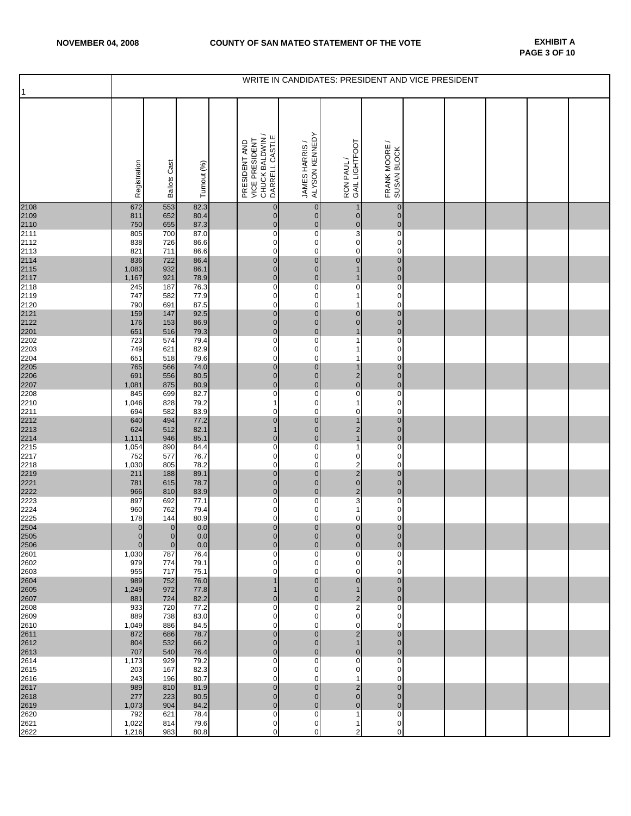| $\vert$ 1                    | WRITE IN CANDIDATES: PRESIDENT AND VICE PRESIDENT |                             |              |  |                                                                      |                                  |                                                              |                                                          |  |  |  |  |  |
|------------------------------|---------------------------------------------------|-----------------------------|--------------|--|----------------------------------------------------------------------|----------------------------------|--------------------------------------------------------------|----------------------------------------------------------|--|--|--|--|--|
|                              | Registration                                      | <b>Ballots Cast</b>         | Turnout (%)  |  | CHUCK BALDWIN /<br>DARRELL CASTLE<br>VICE PRESIDENT<br>PRESIDENT AND | JAMES HARRIS /<br>ALYSON KENNEDY | GAIL LIGHTFOOT<br>RON PAUL/                                  | $\overline{\phantom{0}}$<br>FRANK MOORE /<br>SUSAN BLOCK |  |  |  |  |  |
| 2108<br>2109                 | 672<br>811                                        | 553<br>652                  | 82.3<br>80.4 |  | $\pmb{0}$<br>$\pmb{0}$                                               | $\mathbf{0}$<br>$\mathbf 0$      | 1<br>$\pmb{0}$                                               | $\pmb{0}$<br>$\mathbf 0$                                 |  |  |  |  |  |
| 2110<br>2111                 | 750                                               | 655                         | 87.3         |  | $\pmb{0}$                                                            | $\pmb{0}$                        | $\frac{0}{3}$                                                | $\pmb{0}$                                                |  |  |  |  |  |
| 2112                         | 805<br>838                                        | 700<br>726                  | 87.0<br>86.6 |  | 0<br>0                                                               | 0<br>0                           | 0                                                            | 0<br>0                                                   |  |  |  |  |  |
| 2113                         | 821                                               | 711                         | 86.6         |  | 0                                                                    | 0                                | $\mathbf 0$                                                  | $\mathbf 0$                                              |  |  |  |  |  |
| 2114<br>2115<br>2117<br>2118 | 836<br>1,083                                      | 722<br>932                  | 86.4<br>86.1 |  | $\bf{0}$<br>$\pmb{0}$                                                | $\mathbf 0$<br>$\overline{0}$    | $\bf{0}$<br>$\mathbf{1}$                                     | $\pmb{0}$<br>$\mathbf 0$                                 |  |  |  |  |  |
|                              | 1,167                                             | 921                         | 78.9         |  | $\pmb{0}$                                                            | $\overline{0}$                   | $\mathbf{1}$                                                 | $\mathbf 0$                                              |  |  |  |  |  |
| 2119                         | 245<br>747                                        | 187<br>582                  | 76.3<br>77.9 |  | 0<br>0                                                               | 0<br>$\mathbf 0$                 | $\overline{0}$<br>1                                          | $\pmb{0}$<br>$\mathbf 0$                                 |  |  |  |  |  |
| 2120                         | 790                                               | 691                         | 87.5         |  | 0                                                                    | 0                                | 1                                                            | 0                                                        |  |  |  |  |  |
| 2121<br>2122                 | 159<br>176                                        | 147<br>153                  | 92.5<br>86.9 |  | $\pmb{0}$<br>$\mathbf 0$                                             | $\mathbf 0$<br>$\overline{0}$    | $\pmb{0}$<br>$\mathbf 0$                                     | $\pmb{0}$<br>$\mathbf 0$                                 |  |  |  |  |  |
| 2201                         | 651                                               | 516                         | 79.3         |  | $\mathbf 0$                                                          | $\overline{0}$                   | $\overline{1}$                                               | $\mathbf 0$                                              |  |  |  |  |  |
| 2202<br>2203                 | 723<br>749                                        | 574<br>621                  | 79.4<br>82.9 |  | $\overline{\text{o}}$<br>0                                           | $\mathbf 0$<br>$\mathbf 0$       | 1<br>1                                                       | $\pmb{0}$<br>$\mathbf 0$                                 |  |  |  |  |  |
| 2204<br>2205                 | 651                                               | 518                         | 79.6         |  | 0                                                                    | 0                                | 1                                                            | $\mathbf 0$                                              |  |  |  |  |  |
| 2206                         | 765<br>691                                        | 566<br>556                  | 74.0<br>80.5 |  | $\overline{0}$<br>$\pmb{0}$                                          | $\pmb{0}$<br>$\pmb{0}$           | $\overline{1}$                                               | $\pmb{0}$<br>$\pmb{0}$                                   |  |  |  |  |  |
| 2207                         | 1,081                                             | 875                         | 80.9         |  | $\pmb{0}$                                                            | $\pmb{0}$                        | $\begin{matrix} 2 \\ 0 \end{matrix}$                         | $\pmb{0}$                                                |  |  |  |  |  |
| 2208<br>2210                 | 845<br>1,046                                      | 699<br>828                  | 82.7<br>79.2 |  | 0<br>$\mathbf{1}$                                                    | 0<br>0                           | $\overline{0}$<br>1                                          | 0<br>0                                                   |  |  |  |  |  |
| 2211                         | 694                                               | 582                         | 83.9         |  | 0                                                                    | $\mathbf 0$                      | 0                                                            | $\mathbf 0$                                              |  |  |  |  |  |
| 2212                         | 640<br>624                                        | 494<br>512                  | 77.2<br>82.1 |  | $\pmb{0}$<br>$\mathbf{1}$                                            | $\overline{0}$<br>$\overline{0}$ | $\mathbf{1}$                                                 | $\mathbf 0$<br>$\mathbf 0$                               |  |  |  |  |  |
| $\frac{2213}{2214}$          | 1,111                                             | 946                         | 85.1         |  | $\pmb{0}$                                                            | $\mathbf 0$                      | $\begin{array}{c} 2 \\ 1 \end{array}$                        | $\mathbf 0$                                              |  |  |  |  |  |
| 2215<br>2217                 | 1,054<br>752                                      | 890<br>577                  | 84.4<br>76.7 |  | 0<br>0                                                               | 0<br>0                           | $\mathbf{1}$<br>0                                            | $\pmb{0}$<br>$\mathbf 0$                                 |  |  |  |  |  |
| 2218                         | 1,030                                             | 805                         | 78.2         |  | 0                                                                    | 0                                |                                                              | 0                                                        |  |  |  |  |  |
| 2219<br>2221                 | 211<br>781                                        | 188<br>615                  | 89.1<br>78.7 |  | $\pmb{0}$<br>$\bf{0}$                                                | 0<br>$\overline{0}$              | $\begin{array}{c}\n 2 \\  2 \\  0 \\  2 \\  3\n \end{array}$ | $\pmb{0}$<br>$\mathbf 0$                                 |  |  |  |  |  |
| 2222<br>2223                 | 966                                               | 810                         | 83.9         |  | $\mathbf 0$                                                          | $\overline{0}$                   |                                                              | $\mathbf 0$                                              |  |  |  |  |  |
| 2224                         | 897<br>960                                        | 692<br>762                  | 77.1<br>79.4 |  | 0<br>0                                                               | 0<br>$\mathbf 0$                 | $\mathbf{1}$                                                 | 0<br>$\pmb{0}$                                           |  |  |  |  |  |
| 2225                         | 178                                               | 144                         | 80.9         |  | 0                                                                    | 0                                | 0                                                            | $\pmb{0}$                                                |  |  |  |  |  |
| 2504<br>2505                 | $\overline{0}$<br>$\overline{0}$                  | $\pmb{0}$<br>$\overline{0}$ | 0.0<br>0.0   |  | $\begin{matrix} 0 \\ 0 \end{matrix}$                                 | $\pmb{0}$<br>$\overline{0}$      | $\begin{matrix} 0 \\ 0 \end{matrix}$                         | $\pmb{0}$<br>$\overline{0}$                              |  |  |  |  |  |
| 2506                         | $\mathbf{0}$                                      | $\mathbf 0$                 | 0.0          |  | 0                                                                    | $\mathbf 0$                      | $\pmb{0}$                                                    | $\mathbf 0$                                              |  |  |  |  |  |
| 2601<br>2602                 | 1,030<br>979                                      | 787<br>774                  | 76.4<br>79.1 |  | 0<br>0                                                               | 0<br>0                           | 0<br>0                                                       | 0<br>0                                                   |  |  |  |  |  |
| 2603                         | 955                                               | 717                         | 75.1         |  | 0                                                                    | $\mathbf 0$                      | 0                                                            | 0                                                        |  |  |  |  |  |
| 2604<br>2605                 | 989<br>1,249                                      | 752<br>972                  | 76.0<br>77.8 |  | $\mathbf{1}$<br>$\mathbf{1}$                                         | $\mathbf 0$<br>$\overline{0}$    | $\mathbf 0$<br>$\mathbf{1}$                                  | $\overline{0}$<br>$\mathbf 0$                            |  |  |  |  |  |
| 2607                         | 881                                               | 724                         | 82.2         |  | $\mathbf 0$                                                          | $\overline{0}$                   |                                                              | $\mathbf 0$                                              |  |  |  |  |  |
| 2608<br>2609                 | 933<br>889                                        | 720<br>738                  | 77.2<br>83.0 |  | 0<br>0                                                               | 0<br>0                           | $\frac{2}{2}$                                                | $\mathbf 0$<br>0                                         |  |  |  |  |  |
| 2610                         | 1,049                                             | 886                         | 84.5         |  | 0                                                                    | 0                                | 0                                                            | 0                                                        |  |  |  |  |  |
| 2611<br>2612                 | 872<br>804                                        | 686<br>532                  | 78.7<br>66.2 |  | $\mathbf 0$<br>$\mathbf 0$                                           | $\mathbf 0$<br>$\overline{0}$    | $\overline{\mathbf{c}}$<br>$\mathbf{1}$                      | $\mathbf 0$<br>$\overline{0}$                            |  |  |  |  |  |
| 2613                         | 707                                               | 540                         | 76.4         |  | $\mathbf 0$                                                          | $\overline{0}$                   | $\mathbf 0$                                                  | $\mathbf 0$                                              |  |  |  |  |  |
| 2614<br>2615                 | 1,173<br>203                                      | 929<br>167                  | 79.2<br>82.3 |  | 0<br>0                                                               | 0<br>0                           | 0<br>0                                                       | 0<br>0                                                   |  |  |  |  |  |
| 2616                         | 243                                               | 196                         | 80.7         |  | 0                                                                    | 0                                | 1                                                            | 0                                                        |  |  |  |  |  |
| 2617<br>2618                 | 989<br>277                                        | 810<br>223                  | 81.9<br>80.5 |  | $\mathbf 0$<br>$\pmb{0}$                                             | $\mathbf 0$<br>$\mathbf 0$       | $\frac{2}{0}$                                                | $\mathbf 0$<br>$\mathbf 0$                               |  |  |  |  |  |
| 2619                         | 1,073                                             | 904                         | 84.2         |  | $\pmb{0}$                                                            | $\mathbf 0$                      | $\mathbf 0$                                                  | $\mathbf 0$                                              |  |  |  |  |  |
| 2620                         | 792<br>1,022                                      | 621<br>814                  | 78.4<br>79.6 |  | 0<br>0                                                               | 0<br>0                           | 1<br>1                                                       | $\mathbf 0$<br>$\mathbf 0$                               |  |  |  |  |  |
| 2621<br>2622                 | 1,216                                             | 983                         | 80.8         |  | 0                                                                    | 0                                | 2                                                            | 0                                                        |  |  |  |  |  |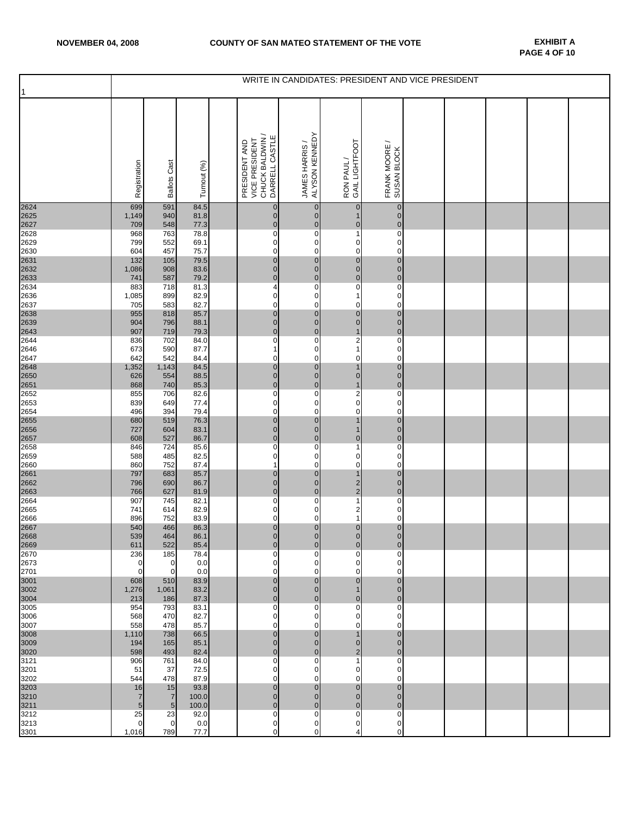| 1            | WRITE IN CANDIDATES: PRESIDENT AND VICE PRESIDENT |                   |              |  |                                                                      |                                  |                                       |                                   |  |  |  |  |  |
|--------------|---------------------------------------------------|-------------------|--------------|--|----------------------------------------------------------------------|----------------------------------|---------------------------------------|-----------------------------------|--|--|--|--|--|
|              | Registration                                      | Cast<br>Ballots   | Turnout (%)  |  | CHUCK BALDWIN /<br>DARRELL CASTLE<br>VICE PRESIDENT<br>PRESIDENT AND | JAMES HARRIS /<br>ALYSON KENNEDY | GAIL LIGHTFOOT<br>RON PAUL/           | ∼<br>FRANK MOORE /<br>SUSAN BLOCK |  |  |  |  |  |
| 2624<br>2625 | 699<br>1,149                                      | 591<br>940        | 84.5<br>81.8 |  | $\pmb{0}$<br>$\pmb{0}$                                               | $\mathbf{0}$<br>$\mathbf 0$      | $\pmb{0}$<br>$\mathbf{1}$             | $\pmb{0}$<br>$\mathbf 0$          |  |  |  |  |  |
| 2627         | 709                                               | 548               | 77.3         |  | $\pmb{0}$                                                            | $\overline{0}$                   | $\bf{0}$                              | $\pmb{0}$                         |  |  |  |  |  |
| 2628<br>2629 | 968<br>799                                        | 763<br>552        | 78.8<br>69.1 |  | 0<br>0                                                               | 0<br>0                           | $\mathbf{1}$<br>0                     | 0<br>0                            |  |  |  |  |  |
| 2630         | 604                                               | 457               | 75.7         |  | 0                                                                    | 0                                | 0                                     | $\mathbf 0$                       |  |  |  |  |  |
| 2631         | 132                                               | 105               | 79.5         |  | $\pmb{0}$                                                            | $\mathbf 0$                      | $\bf{0}$                              | $\pmb{0}$                         |  |  |  |  |  |
| 2632<br>2633 | 1,086<br>741                                      | 908<br>587        | 83.6<br>79.2 |  | $\pmb{0}$<br>$\mathbf 0$                                             | $\overline{0}$<br>$\mathbf 0$    | $\pmb{0}$<br>$\overline{0}$           | $\mathbf 0$<br>$\mathbf 0$        |  |  |  |  |  |
| 2634         | 883                                               | 718               | 81.3         |  | 4                                                                    | 0                                | $\overline{0}$                        | $\pmb{0}$                         |  |  |  |  |  |
| 2636         | 1,085                                             | 899               | 82.9         |  | 0                                                                    | 0                                | 1                                     | $\mathbf 0$                       |  |  |  |  |  |
| 2637<br>2638 | 705<br>955                                        | 583<br>818        | 82.7<br>85.7 |  | 0<br>$\pmb{0}$                                                       | 0<br>$\mathbf 0$                 | 0<br>$\pmb{0}$                        | 0<br>$\mathbf 0$                  |  |  |  |  |  |
| 2639         | 904                                               | 796               | 88.1         |  | $\mathbf 0$                                                          | $\overline{0}$                   | $\mathbf 0$                           | $\mathbf 0$                       |  |  |  |  |  |
| 2643<br>2644 | 907<br>836                                        | 719<br>702        | 79.3<br>84.0 |  | $\mathbf 0$<br>0                                                     | $\overline{0}$<br>$\mathbf 0$    | $\mathbf{1}$<br>$\overline{2}$        | $\mathbf 0$<br>$\pmb{0}$          |  |  |  |  |  |
| 2646         | 673                                               | 590               | 87.7         |  | $\mathbf{1}$                                                         | 0                                | 1                                     | $\mathbf 0$                       |  |  |  |  |  |
| 2647         | 642                                               | 542               | 84.4         |  | 0                                                                    | 0                                | 0                                     | 0                                 |  |  |  |  |  |
| 2648<br>2650 | 1,352<br>626                                      | 1,143<br>554      | 84.5<br>88.5 |  | $\pmb{0}$<br>$\pmb{0}$                                               | $\pmb{0}$<br>$\mathbf 0$         | $\overline{1}$<br>$\pmb{0}$           | $\pmb{0}$<br>$\mathbf 0$          |  |  |  |  |  |
| 2651         | 868                                               | 740               | 85.3         |  | $\pmb{0}$                                                            | $\overline{0}$                   | $\mathbf{1}$                          | $\pmb{0}$                         |  |  |  |  |  |
| 2652<br>2653 | 855<br>839                                        | 706<br>649        | 82.6<br>77.4 |  | 0<br>0                                                               | 0<br>0                           | $\frac{2}{0}$                         | 0<br>0                            |  |  |  |  |  |
| 2654         | 496                                               | 394               | 79.4         |  | 0                                                                    | $\mathbf 0$                      | 0                                     | $\mathbf 0$                       |  |  |  |  |  |
| 2655         | 680                                               | 519               | 76.3         |  | $\pmb{0}$                                                            | $\overline{0}$                   | 1                                     | $\mathbf 0$                       |  |  |  |  |  |
| 2656<br>2657 | 727<br>608                                        | 604<br>527        | 83.1<br>86.7 |  | $\pmb{0}$<br>$\mathbf 0$                                             | $\overline{0}$<br>$\mathbf 0$    | $\mathbf{1}$<br>$\pmb{0}$             | $\mathbf 0$<br>$\mathbf 0$        |  |  |  |  |  |
| 2658         | 846                                               | 724               | 85.6         |  | 0                                                                    | 0                                | 1                                     | 0                                 |  |  |  |  |  |
| 2659<br>2660 | 588<br>860                                        | 485<br>752        | 82.5<br>87.4 |  | 0<br>1                                                               | 0<br>0                           | 0<br>0                                | 0<br>0                            |  |  |  |  |  |
| 2661         | 797                                               | 683               | 85.7         |  | $\pmb{0}$                                                            | 0                                | $\mathbf{1}$                          | $\mathbf 0$                       |  |  |  |  |  |
| 2662         | 796                                               | 690               | 86.7         |  | $\pmb{0}$                                                            | $\overline{0}$                   | $\frac{2}{2}$                         | $\mathbf 0$                       |  |  |  |  |  |
| 2663<br>2664 | 766<br>907                                        | 627<br>745        | 81.9<br>82.1 |  | $\mathbf 0$<br>0                                                     | $\overline{0}$<br>0              | $\mathbf{1}$                          | $\mathbf 0$<br>0                  |  |  |  |  |  |
| 2665         | 741                                               | 614               | 82.9         |  | 0                                                                    | $\mathbf 0$                      | $\begin{array}{c} 2 \\ 1 \end{array}$ | $\pmb{0}$                         |  |  |  |  |  |
| 2666         | 896                                               | 752               | 83.9         |  | 0                                                                    | 0                                |                                       | $\mathbf 0$                       |  |  |  |  |  |
| 2667<br>2668 | 540<br>539                                        | 466<br>464        | 86.3<br>86.1 |  | $\bf{0}$<br>$\overline{0}$                                           | $\pmb{0}$<br>$\overline{0}$      | $\begin{matrix} 0 \\ 0 \end{matrix}$  | $\pmb{0}$<br>$\overline{0}$       |  |  |  |  |  |
| 2669         | 611                                               | 522               | 85.4         |  | 0                                                                    | $\overline{0}$                   | 0                                     | $\overline{0}$                    |  |  |  |  |  |
| 2670<br>2673 | 236<br>0                                          | 185<br>0          | 78.4<br>0.0  |  | 0<br>0                                                               | 0<br>0                           | 0<br>0                                | 0<br>0                            |  |  |  |  |  |
| 2701         | 0                                                 | $\mathbf 0$       | 0.0          |  | 0                                                                    | $\mathbf 0$                      | 0                                     | $\Omega$                          |  |  |  |  |  |
| 3001         | 608                                               | 510               | 83.9         |  | $\mathbf 0$<br>$\mathbf 0$                                           | $\overline{0}$                   | $\mathbf 0$                           | $\overline{0}$<br>$\overline{0}$  |  |  |  |  |  |
| 3002<br>3004 | 1,276<br>213                                      | 1,061<br>186      | 83.2<br>87.3 |  | $\mathbf 0$                                                          | $\overline{0}$<br>$\overline{0}$ | $\mathbf{1}$<br>$\pmb{0}$             | $\overline{0}$                    |  |  |  |  |  |
| 3005         | 954                                               | 793               | 83.1         |  | 0                                                                    | $\mathbf 0$                      | 0                                     | $\mathbf 0$                       |  |  |  |  |  |
| 3006<br>3007 | 568<br>558                                        | 470<br>478        | 82.7<br>85.7 |  | 0<br>0                                                               | 0<br>0                           | 0<br>0                                | 0<br>0                            |  |  |  |  |  |
| 3008         | 1,110                                             | 738               | 66.5         |  | $\mathbf 0$                                                          | $\overline{0}$                   | $\mathbf{1}$                          | $\mathbf 0$                       |  |  |  |  |  |
| 3009         | 194                                               | 165               | 85.1         |  | $\mathbf 0$<br>$\mathbf 0$                                           | $\overline{0}$                   | $\mathbf 0$                           | $\overline{0}$                    |  |  |  |  |  |
| 3020<br>3121 | 598<br>906                                        | 493<br>761        | 82.4<br>84.0 |  | 0                                                                    | $\overline{0}$<br>0              | $\overline{\mathbf{c}}$<br>1          | $\mathbf 0$<br>0                  |  |  |  |  |  |
| 3201         | 51                                                | 37                | 72.5         |  | 0                                                                    | 0                                | 0                                     | 0                                 |  |  |  |  |  |
| 3202<br>3203 | 544<br>16                                         | 478<br>15         | 87.9<br>93.8 |  | 0<br>$\mathbf 0$                                                     | 0<br>$\mathbf 0$                 | 0<br>$\pmb{0}$                        | 0<br>$\mathbf 0$                  |  |  |  |  |  |
| 3210         | 7                                                 | $\overline{7}$    | 100.0        |  | $\mathbf 0$                                                          | $\overline{0}$                   | $\mathbf 0$                           | $\overline{0}$                    |  |  |  |  |  |
| 3211         | $5\phantom{.0}$                                   | $\sqrt{5}$        | 100.0        |  | $\pmb{0}$                                                            | $\mathbf 0$                      | $\mathbf 0$                           | $\mathbf 0$                       |  |  |  |  |  |
| 3212<br>3213 | 25<br>0                                           | 23<br>$\mathbf 0$ | 92.0<br>0.0  |  | 0<br>0                                                               | 0<br>0                           | 0<br>0                                | $\mathbf 0$<br>$\mathbf 0$        |  |  |  |  |  |
| 3301         | 1,016                                             | 789               | 77.7         |  | 0                                                                    | 0                                | 4                                     | 0                                 |  |  |  |  |  |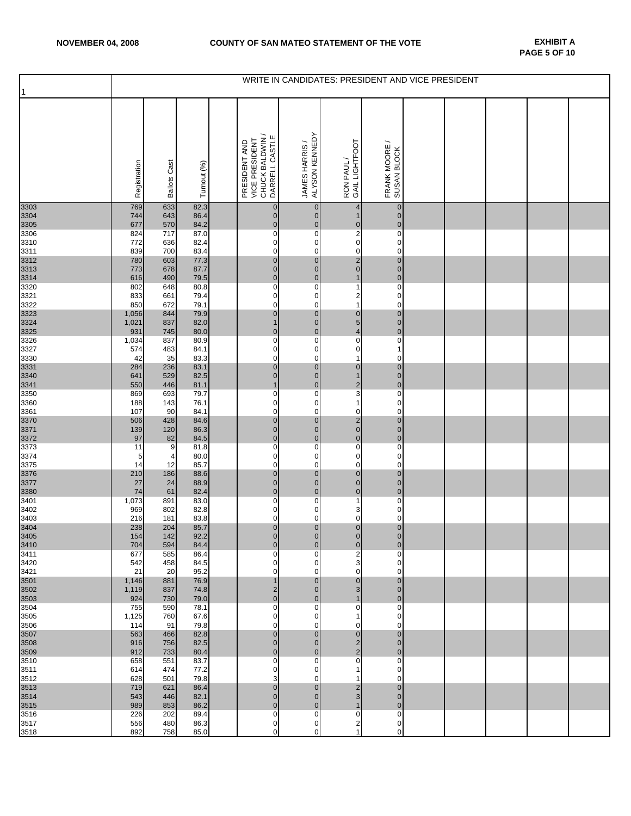| 1            | WRITE IN CANDIDATES: PRESIDENT AND VICE PRESIDENT |                     |              |  |                                                                      |                                       |                                              |                                                        |  |  |  |  |  |
|--------------|---------------------------------------------------|---------------------|--------------|--|----------------------------------------------------------------------|---------------------------------------|----------------------------------------------|--------------------------------------------------------|--|--|--|--|--|
|              | Registration                                      | <b>Ballots Cast</b> | Turnout (%)  |  | CHUCK BALDWIN /<br>DARRELL CASTLE<br>VICE PRESIDENT<br>PRESIDENT AND | JAMES HARRIS /<br>ALYSON KENNEDY      | GAIL LIGHTFOOT<br>RON PAUL/                  | $\overline{\phantom{0}}$<br>FRANK MOORE<br>SUSAN BLOCK |  |  |  |  |  |
| 3303<br>3304 | 769<br>744                                        | 633<br>643          | 82.3<br>86.4 |  | $\pmb{0}$<br>$\pmb{0}$                                               | $\overline{0}$<br>$\mathbf 0$         | 4<br>$\mathbf{1}$                            | $\pmb{0}$<br>$\mathbf 0$                               |  |  |  |  |  |
| 3305         | 677                                               | 570                 | 84.2         |  | $\pmb{0}$                                                            | $\overline{0}$                        |                                              | $\pmb{0}$                                              |  |  |  |  |  |
| 3306<br>3310 | 824<br>772                                        | 717<br>636          | 87.0<br>82.4 |  | $\pmb{0}$<br>$\pmb{0}$                                               | $\mathsf{O}\xspace$<br>$\overline{0}$ | $\begin{array}{c}\n0 \\ 2 \\ 0\n\end{array}$ | $\mathbf 0$<br>$\pmb{0}$                               |  |  |  |  |  |
| 3311         | 839                                               | 700                 | 83.4         |  | $\pmb{0}$                                                            | $\mathbf 0$                           | $\mathsf{o}$                                 | $\mathbf 0$                                            |  |  |  |  |  |
| 3312<br>3313 | 780<br>773                                        | 603<br>678          | 77.3<br>87.7 |  | $\pmb{0}$<br>$\pmb{0}$                                               | $\overline{0}$<br>$\overline{0}$      | $\begin{array}{c} 2 \\ 0 \end{array}$        | $\pmb{0}$<br>$\mathbf 0$                               |  |  |  |  |  |
| 3314         | 616                                               | 490                 | 79.5         |  | $\pmb{0}$                                                            | $\overline{0}$                        | $\mathbf{1}$                                 | $\mathbf 0$                                            |  |  |  |  |  |
| 3320<br>3321 | 802<br>833                                        | 648<br>661          | 80.8<br>79.4 |  | $\overline{0}$<br>0                                                  | $\mathbf 0$<br>$\mathbf 0$            | $\mathbf{1}$<br>$\overline{\mathbf{c}}$      | $\overline{\text{o}}$<br>$\pmb{0}$                     |  |  |  |  |  |
| 3322         | 850                                               | 672                 | 79.1         |  | $\pmb{0}$                                                            | $\overline{0}$                        | $\mathbf{1}$                                 | $\mathbf 0$                                            |  |  |  |  |  |
| 3323<br>3324 | 1,056<br>1,021                                    | 844<br>837          | 79.9<br>82.0 |  | $\mathbf{0}$<br>$\mathbf{1}$                                         | $\pmb{0}$<br>$\overline{0}$           | $\begin{array}{c} 0 \\ 5 \\ 4 \end{array}$   | $\pmb{0}$<br>$\pmb{0}$                                 |  |  |  |  |  |
| 3325         | 931                                               | 745                 | 80.0         |  | $\pmb{0}$                                                            | $\mathbf 0$                           |                                              | $\overline{0}$                                         |  |  |  |  |  |
| 3326<br>3327 | 1,034<br>574                                      | 837<br>483          | 80.9<br>84.1 |  | $\overline{\text{o}}$<br>0                                           | $\mathbf 0$<br>$\overline{0}$         | $\overline{0}$<br>$\mathbf 0$                | $\mathbf 0$<br>$\mathbf{1}$                            |  |  |  |  |  |
| 3330         | 42                                                | 35                  | 83.3         |  | $\mathbf 0$                                                          | $\overline{0}$                        | $\mathbf{1}$                                 | $\mathbf 0$                                            |  |  |  |  |  |
| 3331<br>3340 | 284<br>641                                        | 236<br>529          | 83.1<br>82.5 |  | $\pmb{0}$<br>$\mathbf{0}$                                            | $\overline{0}$<br>$\pmb{0}$           | $\pmb{0}$<br>$\mathbf{1}$                    | $\mathbf 0$<br>$\pmb{0}$                               |  |  |  |  |  |
| 3341         | 550                                               | 446                 | 81.1         |  | $\mathbf{1}$                                                         | $\pmb{0}$                             | $\frac{2}{3}$                                | $\pmb{0}$                                              |  |  |  |  |  |
| 3350<br>3360 | 869<br>188                                        | 693<br>143          | 79.7<br>76.1 |  | $\pmb{0}$<br>$\pmb{0}$                                               | $\mathbf 0$<br>$\mathbf 0$            | $\mathbf{1}$                                 | $\mathbf 0$<br>$\mathbf 0$                             |  |  |  |  |  |
| 3361         | 107                                               | 90                  | 84.1         |  | $\pmb{0}$                                                            | $\mathbf{0}$                          | $\pmb{0}$                                    | $\mathbf 0$                                            |  |  |  |  |  |
| 3370<br>3371 | 506<br>139                                        | 428<br>120          | 84.6<br>86.3 |  | $\pmb{0}$<br>$\mathbf 0$                                             | $\overline{0}$<br>$\overline{0}$      | $\begin{array}{c} 2 \\ 0 \\ 0 \end{array}$   | $\mathbf 0$<br>$\pmb{0}$                               |  |  |  |  |  |
| 3372         | 97                                                | 82                  | 84.5         |  | $\mathbf{0}$                                                         | $\mathbf 0$                           |                                              | $\mathbf 0$                                            |  |  |  |  |  |
| 3373<br>3374 | 11<br>$\sqrt{5}$                                  | 9<br>$\overline{4}$ | 81.8<br>80.0 |  | $\overline{\textbf{0}}$<br>$\pmb{0}$                                 | $\mathbf 0$<br>$\overline{0}$         | $\overline{0}$<br>$\pmb{0}$                  | $\pmb{\mathsf{O}}$<br>$\mathbf 0$                      |  |  |  |  |  |
| 3375         | 14                                                | 12                  | 85.7         |  | $\mathbf 0$                                                          | $\overline{0}$                        | $\mathbf 0$                                  | $\mathbf 0$                                            |  |  |  |  |  |
| 3376<br>3377 | 210<br>27                                         | 186<br>24           | 88.6<br>88.9 |  | $\pmb{0}$<br>$\pmb{0}$                                               | $\overline{0}$<br>$\pmb{0}$           | $\pmb{0}$<br>$\mathbf{0}$                    | $\mathbf 0$<br>$\pmb{0}$                               |  |  |  |  |  |
| 3380         | 74                                                | 61                  | 82.4         |  | $\pmb{0}$                                                            | $\overline{0}$                        | $\overline{0}$                               | $\overline{0}$                                         |  |  |  |  |  |
| 3401<br>3402 | 1,073<br>969                                      | 891<br>802          | 83.0<br>82.8 |  | $\pmb{0}$<br>0                                                       | $\overline{0}$<br>$\mathbf 0$         | $\mathbf{1}$<br>3                            | $\pmb{0}$<br>$\mathbf 0$                               |  |  |  |  |  |
| 3403         | 216                                               | 181                 | 83.8         |  | $\pmb{0}$                                                            | $\mathbf 0$                           | $\pmb{0}$                                    | $\mathbf 0$                                            |  |  |  |  |  |
| 3404<br>3405 | 238<br>154                                        | 204<br>142          | 85.7<br>92.2 |  | $\bf{0}$<br>$\overline{0}$                                           | $\mathbf 0$<br>$\overline{0}$         | $\begin{matrix} 0 \\ 0 \end{matrix}$         | $\mathbf 0$<br>$\overline{0}$                          |  |  |  |  |  |
| 3410         | 704                                               | 594                 | 84.4         |  | $\pmb{0}$                                                            | $\overline{0}$                        | $\bf{0}$                                     | $\mathbf 0$                                            |  |  |  |  |  |
| 3411<br>3420 | 677<br>542                                        | 585<br>458          | 86.4<br>84.5 |  | $\pmb{0}$<br>$\pmb{0}$                                               | $\overline{0}$<br>$\overline{0}$      | $\overline{2}$<br>3                          | $\overline{0}$<br>$\mathbf 0$                          |  |  |  |  |  |
| 3421         | 21                                                | 20                  | 95.2         |  | $\pmb{0}$                                                            | $\overline{O}$                        | $\mathbf 0$                                  | $\overline{O}$                                         |  |  |  |  |  |
| 3501<br>3502 | 1,146<br>1,119                                    | 881<br>837          | 76.9<br>74.8 |  | $\mathbf{1}$<br>$\overline{\mathbf{c}}$                              | $\overline{0}$<br>$\overline{0}$      | $\pmb{0}$<br>3                               | $\mathbf 0$<br>$\overline{0}$                          |  |  |  |  |  |
| 3503         | 924                                               | 730                 | 79.0         |  | $\pmb{0}$                                                            | $\overline{0}$                        | $\mathbf{1}$                                 | $\mathbf 0$                                            |  |  |  |  |  |
| 3504<br>3505 | 755<br>1,125                                      | 590<br>760          | 78.1<br>67.6 |  | $\pmb{0}$<br>$\mathbf 0$                                             | $\overline{0}$<br>$\overline{0}$      | $\pmb{0}$<br>1                               | $\pmb{0}$<br>$\overline{0}$                            |  |  |  |  |  |
| 3506         | 114                                               | 91                  | 79.8         |  | 0                                                                    | $\overline{0}$<br>$\overline{0}$      | $\pmb{0}$                                    | $\overline{0}$<br>$\mathbf 0$                          |  |  |  |  |  |
| 3507<br>3508 | 563<br>916                                        | 466<br>756          | 82.8<br>82.5 |  | $\pmb{0}$<br>$\pmb{0}$                                               | $\mathbf 0$                           | $\pmb{0}$<br>$\frac{2}{2}$                   | $\mathbf 0$                                            |  |  |  |  |  |
| 3509<br>3510 | 912<br>658                                        | 733<br>551          | 80.4<br>83.7 |  | $\pmb{0}$<br>0                                                       | $\overline{0}$<br>$\overline{0}$      | $\overline{0}$                               | $\overline{0}$<br>$\mathbf 0$                          |  |  |  |  |  |
| 3511         | 614                                               | 474                 | 77.2         |  | 0                                                                    | $\mathbf 0$                           | $\mathbf{1}$                                 | $\pmb{0}$                                              |  |  |  |  |  |
| 3512<br>3513 | 628<br>719                                        | 501<br>621          | 79.8<br>86.4 |  | 3<br>$\pmb{0}$                                                       | $\overline{O}$<br>$\overline{0}$      | $\mathbf{1}$                                 | $\mathbf 0$<br>$\mathbf 0$                             |  |  |  |  |  |
| 3514         | 543                                               | 446                 | 82.1         |  | $\pmb{0}$                                                            | $\overline{0}$                        | $\frac{2}{3}$                                | $\mathbf 0$                                            |  |  |  |  |  |
| 3515<br>3516 | 989<br>226                                        | 853<br>202          | 86.2<br>89.4 |  | $\pmb{0}$<br>$\pmb{0}$                                               | $\mathbf 0$<br>$\mathbf 0$            | $\mathbf{1}$<br>$\pmb{0}$                    | $\mathbf 0$<br>$\mathbf 0$                             |  |  |  |  |  |
| 3517         | 556                                               | 480                 | 86.3         |  | 0                                                                    | $\overline{0}$                        | $\overline{\mathbf{c}}$                      | $\mathbf 0$                                            |  |  |  |  |  |
| 3518         | 892                                               | 758                 | 85.0         |  | $\pmb{0}$                                                            | $\overline{0}$                        | 1                                            | $\mathbf 0$                                            |  |  |  |  |  |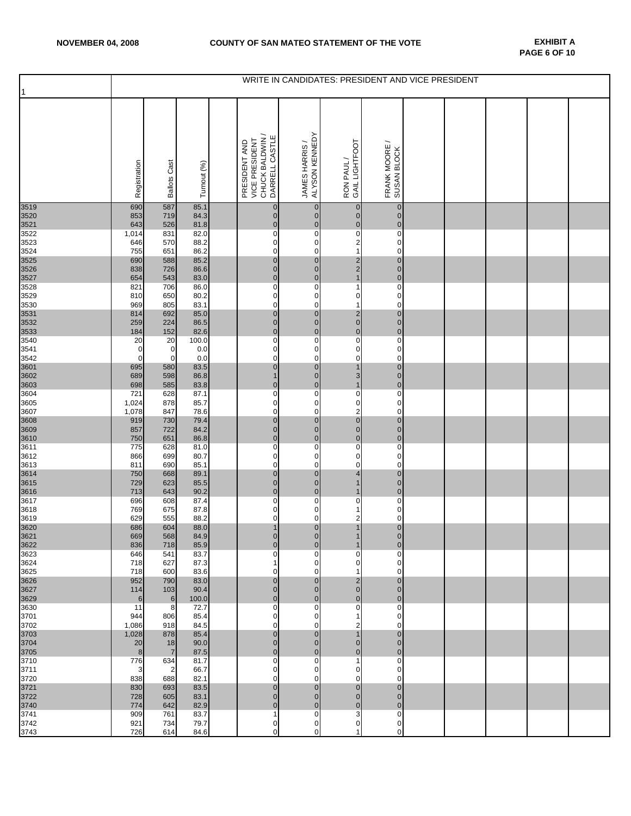| $\vert$ 1    | WRITE IN CANDIDATES: PRESIDENT AND VICE PRESIDENT |                            |              |  |                                                                      |                                  |                                            |                                  |  |  |  |  |  |
|--------------|---------------------------------------------------|----------------------------|--------------|--|----------------------------------------------------------------------|----------------------------------|--------------------------------------------|----------------------------------|--|--|--|--|--|
|              | Registration                                      | <b>Ballots Cast</b>        | Turnout (%)  |  | CHUCK BALDWIN /<br>DARRELL CASTLE<br>VICE PRESIDENT<br>PRESIDENT AND | JAMES HARRIS /<br>ALYSON KENNEDY | GAIL LIGHTFOOT<br>RON PAUL/                | ∽<br>FRANK MOORE<br>SUSAN BLOCK  |  |  |  |  |  |
| 3519         | 690<br>853                                        | 587                        | 85.1         |  | $\pmb{0}$<br>$\pmb{0}$                                               | $\overline{0}$<br>$\overline{0}$ | $\pmb{0}$<br>$\mathbf 0$                   | $\overline{0}$<br>$\overline{0}$ |  |  |  |  |  |
| 3520<br>3521 | 643                                               | 719<br>526                 | 84.3<br>81.8 |  | $\pmb{0}$                                                            | $\pmb{0}$                        | $\pmb{\mathsf{O}}$                         | $\overline{0}$                   |  |  |  |  |  |
| 3522         | 1,014                                             | 831                        | 82.0         |  | 0                                                                    | $\mathbf 0$                      | $\overline{\textbf{0}}$                    | $\mathbf 0$                      |  |  |  |  |  |
| 3523<br>3524 | 646<br>755                                        | 570<br>651                 | 88.2<br>86.2 |  | 0<br>$\pmb{0}$                                                       | 0<br>$\mathbf 0$                 | $\begin{array}{c} 2 \\ 1 \end{array}$      | $\mathbf 0$<br>$\mathbf 0$       |  |  |  |  |  |
| 3525         | 690                                               | 588                        | 85.2         |  | $\pmb{0}$                                                            | $\mathbf{0}$                     |                                            | $\mathbf 0$                      |  |  |  |  |  |
| 3526<br>3527 | 838<br>654                                        | 726<br>543                 | 86.6<br>83.0 |  | $\pmb{0}$<br>$\pmb{0}$                                               | $\overline{0}$<br>$\overline{0}$ | $\begin{array}{c} 2 \\ 2 \\ 1 \end{array}$ | $\overline{0}$<br>$\mathbf 0$    |  |  |  |  |  |
| 3528         | 821                                               | 706                        | 86.0         |  | $\pmb{0}$                                                            | $\mathbf 0$                      | $\mathbf{1}$                               | $\mathbf 0$                      |  |  |  |  |  |
| 3529<br>3530 | 810<br>969                                        | 650<br>805                 | 80.2<br>83.1 |  | $\pmb{0}$<br>$\pmb{0}$                                               | $\mathbf 0$<br>$\mathbf 0$       | $\pmb{0}$<br>$\mathbf{1}$                  | $\mathbf 0$<br>$\mathbf 0$       |  |  |  |  |  |
| 3531         | 814                                               | 692                        | 85.0         |  | $\pmb{0}$                                                            | $\mathbf{0}$                     | $\begin{array}{c} 2 \\ 0 \end{array}$      | $\mathbf 0$                      |  |  |  |  |  |
| 3532<br>3533 | 259<br>184                                        | 224<br>152                 | 86.5<br>82.6 |  | $\pmb{0}$<br>$\mathbf{0}$                                            | $\overline{0}$<br>$\mathbf 0$    | $\mathbf 0$                                | $\overline{0}$<br>$\mathbf 0$    |  |  |  |  |  |
| 3540         | 20                                                | 20                         | 100.0        |  | $\pmb{0}$                                                            | $\mathbf 0$                      | $\overline{\text{o}}$                      | $\overline{0}$                   |  |  |  |  |  |
| 3541         | $\mathbf 0$<br>$\mathbf 0$                        | $\mathbf 0$<br>$\mathbf 0$ | 0.0<br>0.0   |  | $\pmb{0}$<br>$\mathbf 0$                                             | $\mathbf{O}$<br>0                | $\pmb{0}$<br>$\mathbf 0$                   | $\mathbf 0$<br>$\mathbf 0$       |  |  |  |  |  |
| 3542<br>3601 | 695                                               | 580                        | 83.5         |  | $\mathbf 0$                                                          | $\overline{0}$                   | $\mathbf{1}$                               | $\overline{0}$                   |  |  |  |  |  |
| 3602<br>3603 | 689<br>698                                        | 598<br>585                 | 86.8<br>83.8 |  | $\mathbf{1}$<br>$\pmb{0}$                                            | $\mathbf 0$<br>$\pmb{0}$         | 3<br>$\mathbf{1}$                          | $\mathbf 0$<br>$\mathbf 0$       |  |  |  |  |  |
| 3604         | 721                                               | 628                        | 87.1         |  | 0                                                                    | $\mathbf 0$                      | $\overline{0}$                             | $\mathbf 0$                      |  |  |  |  |  |
| 3605         | 1,024                                             | 878                        | 85.7         |  | $\pmb{0}$                                                            | $\mathbf 0$                      | $\mathbf 0$                                | $\mathbf 0$                      |  |  |  |  |  |
| 3607<br>3608 | 1,078<br>919                                      | 847<br>730                 | 78.6<br>79.4 |  | $\pmb{0}$<br>$\pmb{0}$                                               | $\mathbf 0$<br>$\overline{0}$    | $\overline{\mathbf{c}}$<br>$\mathbf 0$     | $\mathbf 0$<br>$\overline{0}$    |  |  |  |  |  |
| 3609         | 857                                               | 722                        | 84.2         |  | $\pmb{0}$                                                            | $\overline{0}$                   | $\begin{matrix}0\\0\end{matrix}$           | $\overline{0}$                   |  |  |  |  |  |
| 3610<br>3611 | 750<br>775                                        | 651<br>628                 | 86.8<br>81.0 |  | $\mathbf 0$<br>$\pmb{0}$                                             | $\overline{0}$<br>0              | $\overline{0}$                             | $\mathbf 0$<br>$\pmb{0}$         |  |  |  |  |  |
| 3612         | 866                                               | 699                        | 80.7         |  | $\mathbf 0$                                                          | $\mathbf{O}$                     | $\mathbf 0$                                | $\mathbf 0$                      |  |  |  |  |  |
| 3613<br>3614 | 811<br>750                                        | 690<br>668                 | 85.1<br>89.1 |  | 0<br>$\pmb{0}$                                                       | 0<br>$\mathbf 0$                 | $\mathbf 0$<br>$\overline{\mathbf{4}}$     | $\mathbf 0$<br>$\mathbf 0$       |  |  |  |  |  |
| 3615         | 729                                               | 623                        | 85.5         |  | $\mathbf{0}$                                                         | $\overline{0}$                   | $\mathbf{1}$                               | $\mathbf 0$                      |  |  |  |  |  |
| 3616<br>3617 | 713<br>696                                        | 643<br>608                 | 90.2<br>87.4 |  | $\mathbf 0$<br>0                                                     | $\overline{0}$<br>$\mathbf 0$    | $\mathbf{1}$<br>$\pmb{0}$                  | $\overline{0}$<br>$\mathbf 0$    |  |  |  |  |  |
| 3618         | 769                                               | 675                        | 87.8         |  | 0                                                                    | $\mathbf 0$                      | 1                                          | $\mathsf{O}\xspace$              |  |  |  |  |  |
| 3619         | 629<br>686                                        | 555<br>604                 | 88.2<br>88.0 |  | $\pmb{0}$<br>$\mathbf{1}$                                            | 0<br>$\overline{0}$              | $\overline{\mathbf{c}}$<br>$\mathbf{1}$    | $\mathbf 0$<br>$\pmb{0}$         |  |  |  |  |  |
| 3620<br>3621 | 669                                               | 568                        | 84.9         |  | $\overline{0}$                                                       | $\overline{0}$                   | 1                                          | $\overline{0}$                   |  |  |  |  |  |
| 3622<br>3623 | 836<br>646                                        | 718<br>541                 | 85.9<br>83.7 |  | $\mathbf 0$<br>0                                                     | $\overline{0}$<br>0              | 1<br>$\pmb{0}$                             | $\mathbf{0}$<br>$\mathbf 0$      |  |  |  |  |  |
| 3624         | 718                                               | 627                        | 87.3         |  | $\mathbf{1}$                                                         | 0                                | $\pmb{0}$                                  | $\mathbf 0$                      |  |  |  |  |  |
| 3625         | 718                                               | 600                        | 83.6         |  | $\mathbf 0$                                                          | $\mathbf 0$                      | $\mathbf{1}$                               | $\mathbf 0$                      |  |  |  |  |  |
| 3626<br>3627 | 952<br>114                                        | 790<br>103                 | 83.0<br>90.4 |  | $\mathbf 0$<br>$\pmb{0}$                                             | $\overline{0}$<br>$\overline{0}$ | $\overline{\mathbf{c}}$<br>$\mathbf 0$     | $\overline{0}$<br>$\overline{0}$ |  |  |  |  |  |
| 3629         | 6                                                 | $\,6$                      | 100.0        |  | $\pmb{0}$                                                            | $\mathbf 0$                      | $\mathbf 0$                                | $\mathbf 0$                      |  |  |  |  |  |
| 3630<br>3701 | 11<br>944                                         | 8<br>806                   | 72.7<br>85.4 |  | 0<br>0                                                               | $\mathbf{O}$<br>0                | $\mathbf 0$<br>1                           | $\mathbf 0$<br>$\mathbf 0$       |  |  |  |  |  |
| 3702         | 1,086                                             | 918                        | 84.5         |  | 0                                                                    | 0                                | $\overline{c}$                             | $\mathbf 0$                      |  |  |  |  |  |
| 3703<br>3704 | 1,028<br>20                                       | 878<br>18                  | 85.4<br>90.0 |  | $\pmb{0}$<br>$\mathbf 0$                                             | $\mathbf{0}$<br>$\overline{0}$   | $\mathbf{1}$<br>$\mathbf 0$                | $\overline{0}$<br>$\overline{0}$ |  |  |  |  |  |
| 3705         | 8                                                 | $\overline{7}$             | 87.5         |  | $\mathbf 0$                                                          | $\overline{0}$                   | $\mathbf 0$                                | $\overline{0}$                   |  |  |  |  |  |
| 3710<br>3711 | 776<br>3                                          | 634<br>2                   | 81.7<br>66.7 |  | 0<br>0                                                               | 0<br>$\mathbf 0$                 | 1<br>$\boldsymbol{0}$                      | $\mathbf 0$<br>$\mathbf 0$       |  |  |  |  |  |
| 3720         | 838                                               | 688                        | 82.1         |  | $\mathbf 0$                                                          | $\mathbf 0$                      | $\overline{0}$                             | $\mathbf 0$                      |  |  |  |  |  |
| 3721<br>3722 | 830<br>728                                        | 693<br>605                 | 83.5<br>83.1 |  | $\mathbf 0$<br>$\pmb{0}$                                             | $\overline{0}$<br>$\overline{0}$ | $\mathbf 0$<br>$\mathbf 0$                 | $\overline{0}$<br>$\overline{0}$ |  |  |  |  |  |
| 3740         | 774                                               | 642                        | 82.9         |  | $\pmb{0}$                                                            | $\mathbf 0$                      | $\pmb{0}$                                  | $\overline{0}$                   |  |  |  |  |  |
| 3741<br>3742 | 909<br>921                                        | 761<br>734                 | 83.7<br>79.7 |  | $\mathbf{1}$<br>0                                                    | $\mathbf 0$<br>$\mathbf 0$       | 3<br>0                                     | $\mathbf 0$<br>$\mathbf 0$       |  |  |  |  |  |
| 3743         | 726                                               | 614                        | 84.6         |  | 0                                                                    | $\mathbf 0$                      | 1                                          | $\mathbf 0$                      |  |  |  |  |  |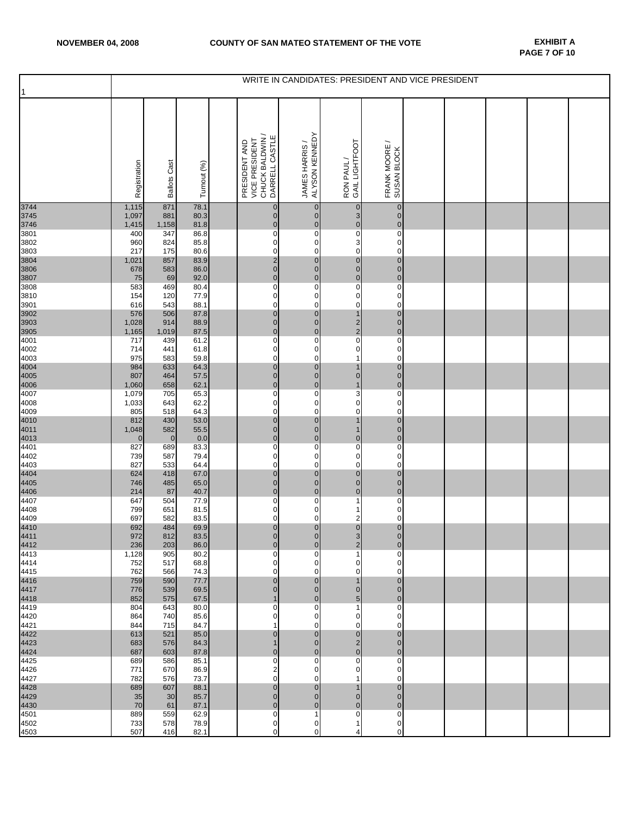| $\mathbf{1}$ | WRITE IN CANDIDATES: PRESIDENT AND VICE PRESIDENT |                     |              |  |                                                                      |                                  |                                           |                              |  |  |  |  |  |
|--------------|---------------------------------------------------|---------------------|--------------|--|----------------------------------------------------------------------|----------------------------------|-------------------------------------------|------------------------------|--|--|--|--|--|
|              | Registration                                      | <b>Ballots Cast</b> | Turnout (%)  |  | CHUCK BALDWIN /<br>DARRELL CASTLE<br>VICE PRESIDENT<br>PRESIDENT AND | ALYSON KENNEDY<br>JAMES HARRIS / | GAIL LIGHTFOOT<br>RON PAUL/               | FRANK MOORE /<br>SUSAN BLOCK |  |  |  |  |  |
| 3744<br>3745 | 1,115<br>1,097                                    | 871<br>881          | 78.1<br>80.3 |  | 0<br>$\mathbf 0$                                                     | $\mathbf 0$<br>$\overline{0}$    | $\pmb{0}$                                 | $\pmb{0}$<br>$\mathbf 0$     |  |  |  |  |  |
| 3746<br>3801 | 1,415<br>400                                      | 1,158<br>347        | 81.8<br>86.8 |  | $\pmb{0}$<br>$\overline{\text{o}}$                                   | $\mathbf 0$<br>0                 | $\frac{3}{0}$<br>$\overline{0}$           | $\mathbf 0$<br>$\mathbf 0$   |  |  |  |  |  |
| 3802         | 960                                               | 824                 | 85.8         |  | 0                                                                    | 0                                | 3                                         | $\mathbf 0$                  |  |  |  |  |  |
| 3803<br>3804 | 217<br>1,021                                      | 175<br>857          | 80.6<br>83.9 |  | 0                                                                    | 0<br>$\pmb{0}$                   | $\mathbf 0$<br>$\bf{0}$                   | 0<br>$\mathbf 0$             |  |  |  |  |  |
| 3806         | 678                                               | 583                 | 86.0         |  | $\frac{2}{0}$                                                        | $\overline{0}$                   |                                           | $\pmb{0}$                    |  |  |  |  |  |
| 3807<br>3808 | 75<br>583                                         | 69<br>469           | 92.0<br>80.4 |  | $\pmb{0}$<br>0                                                       | $\mathbf 0$<br>0                 | $\begin{matrix} 0 \\ 0 \\ 0 \end{matrix}$ | $\mathbf 0$<br>$\pmb{0}$     |  |  |  |  |  |
| 3810<br>3901 | 154<br>616                                        | 120<br>543          | 77.9<br>88.1 |  | 0<br>0                                                               | 0<br>0                           | 0<br>0                                    | $\mathbf 0$<br>0             |  |  |  |  |  |
| 3902         | 576                                               | 506                 | 87.8         |  | $\overline{0}$                                                       | $\pmb{0}$                        | $\overline{1}$                            | $\mathbf 0$                  |  |  |  |  |  |
| 3903<br>3905 | 1,028<br>1,165                                    | 914<br>1,019        | 88.9<br>87.5 |  | $\pmb{0}$<br>$\mathbf 0$                                             | $\overline{0}$<br>$\overline{0}$ | $\frac{2}{2}$                             | $\mathbf 0$<br>$\mathbf 0$   |  |  |  |  |  |
| 4001         | 717                                               | 439                 | 61.2         |  | 0                                                                    | 0                                |                                           | 0                            |  |  |  |  |  |
| 4002<br>4003 | 714<br>975                                        | 441<br>583          | 61.8<br>59.8 |  | 0<br>0                                                               | 0<br>0                           | 0<br>1                                    | 0<br>$\mathbf 0$             |  |  |  |  |  |
| 4004<br>4005 | 984<br>807                                        | 633                 | 64.3<br>57.5 |  | $\pmb{0}$<br>$\mathbf 0$                                             | $\mathbf 0$<br>$\overline{0}$    | 1<br>$\pmb{0}$                            | $\pmb{0}$<br>$\mathbf 0$     |  |  |  |  |  |
| 4006         | 1,060                                             | 464<br>658          | 62.1         |  | $\pmb{0}$                                                            | $\mathbf 0$                      | $\overline{1}$                            | $\pmb{0}$                    |  |  |  |  |  |
| 4007<br>4008 | 1,079<br>1,033                                    | 705<br>643          | 65.3<br>62.2 |  | $\overline{\text{o}}$<br>0                                           | 0<br>0                           | $\overline{3}$<br>$\mathbf 0$             | $\mathbf 0$<br>$\mathbf 0$   |  |  |  |  |  |
| 4009<br>4010 | 805                                               | 518                 | 64.3         |  | 0                                                                    | 0                                | 0                                         | $\mathbf 0$                  |  |  |  |  |  |
| 4011         | 812<br>1,048                                      | 430<br>582          | 53.0<br>55.5 |  | $\bf{0}$<br>$\mathbf 0$                                              | $\pmb{0}$<br>$\overline{0}$      | $\overline{1}$<br>$\mathbf{1}$            | $\mathbf 0$<br>$\mathbf 0$   |  |  |  |  |  |
| 4013         | $\overline{0}$                                    | $\mathbf 0$         | 0.0          |  | $\pmb{0}$                                                            | $\mathbf 0$                      | $\mathbf 0$                               | $\mathbf 0$                  |  |  |  |  |  |
| 4401<br>4402 | 827<br>739                                        | 689<br>587          | 83.3<br>79.4 |  | 0<br>0                                                               | 0<br>0                           | $\overline{0}$<br>0                       | $\pmb{0}$<br>$\pmb{0}$       |  |  |  |  |  |
| 4403<br>4404 | 827                                               | 533                 | 64.4         |  | 0<br>$\overline{0}$                                                  | 0<br>$\overline{0}$              | 0<br>$\overline{\mathbf{0}}$              | $\mathbf 0$<br>$\mathbf 0$   |  |  |  |  |  |
| 4405         | 624<br>746                                        | 418<br>485          | 67.0<br>65.0 |  | $\pmb{0}$                                                            | $\mathbf 0$                      | $\overline{0}$                            | $\mathbf 0$                  |  |  |  |  |  |
| 4406<br>4407 | 214<br>647                                        | 87<br>504           | 40.7<br>77.9 |  | $\pmb{0}$<br>0                                                       | $\overline{0}$<br>0              | $\mathbf 0$<br>1                          | $\pmb{0}$<br>$\mathbf 0$     |  |  |  |  |  |
| 4408         | 799                                               | 651                 | 81.5         |  | 0                                                                    | 0                                | 1                                         | 0                            |  |  |  |  |  |
| 4409<br>4410 | 697<br>692                                        | 582<br>484          | 83.5<br>69.9 |  | 0<br>$\pmb{0}$                                                       | 0<br>$\pmb{0}$                   | 2<br>$\pmb{0}$                            | $\mathbf 0$<br>$\mathbf 0$   |  |  |  |  |  |
| 4411<br>4412 | 972                                               | 812                 | 83.5         |  | $\mathbf{0}$                                                         | $\overline{0}$                   | $\frac{3}{2}$                             | $\mathbf{0}$                 |  |  |  |  |  |
| 4413         | 236<br>1,128                                      | 203<br>905          | 86.0<br>80.2 |  | $\overline{0}$<br>$\mathbf 0$                                        | $\overline{0}$<br>0              | 1                                         | $\mathbf 0$<br>0             |  |  |  |  |  |
| 4414<br>4415 | 752<br>762                                        | 517                 | 68.8<br>74.3 |  | 0<br>0                                                               | 0<br>0                           | 0<br>0                                    | 0<br>0                       |  |  |  |  |  |
| 4416         | 759                                               | 566<br>590          | 77.7         |  | $\overline{0}$                                                       | $\overline{0}$                   | $\mathbf{1}$                              | $\overline{0}$               |  |  |  |  |  |
| 4417<br>4418 | 776<br>852                                        | 539<br>575          | 69.5<br>67.5 |  | $\mathbf 0$<br>$\mathbf{1}$                                          | $\overline{0}$<br>$\overline{0}$ | $\pmb{0}$<br>5                            | $\mathbf 0$<br>$\mathbf 0$   |  |  |  |  |  |
| 4419         | 804                                               | 643                 | 80.0         |  | 0                                                                    | 0                                | 1                                         | $\mathbf 0$                  |  |  |  |  |  |
| 4420<br>4421 | 864<br>844                                        | 740<br>715          | 85.6<br>84.7 |  | 0<br>1                                                               | $\mathbf 0$<br>0                 | 0<br>0                                    | $\mathbf 0$<br>0             |  |  |  |  |  |
| 4422         | 613                                               | 521                 | 85.0         |  | $\pmb{0}$                                                            | $\overline{0}$                   | $\bf{0}$                                  | $\mathbf 0$                  |  |  |  |  |  |
| 4423<br>4424 | 683<br>687                                        | 576<br>603          | 84.3<br>87.8 |  | $\mathbf{1}$<br>$\pmb{0}$                                            | $\overline{0}$<br>$\overline{0}$ | $\frac{2}{0}$                             | $\mathbf 0$<br>$\mathbf 0$   |  |  |  |  |  |
| 4425<br>4426 | 689                                               | 586                 | 85.1         |  | 0                                                                    | 0                                | 0                                         | 0                            |  |  |  |  |  |
| 4427         | 771<br>782                                        | 670<br>576          | 86.9<br>73.7 |  | $\overline{\mathbf{c}}$<br>$\mathbf 0$                               | 0<br>$\mathbf 0$                 | 0<br>1                                    | 0<br>$\mathbf 0$             |  |  |  |  |  |
| 4428<br>4429 | 689<br>35                                         | 607<br>30           | 88.1<br>85.7 |  | $\pmb{0}$<br>$\mathbf 0$                                             | $\overline{0}$<br>$\overline{0}$ | 1<br>$\pmb{0}$                            | $\mathbf 0$<br>$\mathbf 0$   |  |  |  |  |  |
| 4430         | 70                                                | 61                  | 87.1         |  | $\mathbf 0$                                                          | $\overline{0}$                   | $\mathbf 0$                               | $\mathbf 0$                  |  |  |  |  |  |
| 4501<br>4502 | 889<br>733                                        | 559<br>578          | 62.9<br>78.9 |  | 0<br>0                                                               | 1<br>0                           | 0<br>1                                    | 0<br>$\mathbf 0$             |  |  |  |  |  |
| 4503         | 507                                               | 416                 | 82.1         |  | 0                                                                    | 0                                | 4                                         | 0                            |  |  |  |  |  |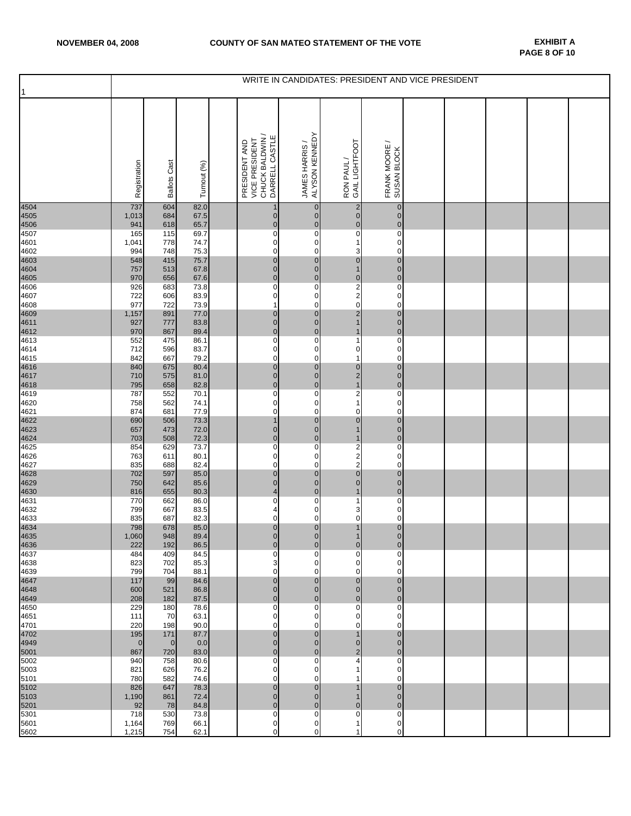|              | WRITE IN CANDIDATES: PRESIDENT AND VICE PRESIDENT |                     |              |                                                    |                                                                       |                                                   |                               |  |  |  |  |  |
|--------------|---------------------------------------------------|---------------------|--------------|----------------------------------------------------|-----------------------------------------------------------------------|---------------------------------------------------|-------------------------------|--|--|--|--|--|
| $\mathbf{1}$ | Registration                                      | <b>Ballots Cast</b> | Turnout (%)  | CHUCK BALDWIN /<br>VICE PRESIDENT<br>PRESIDENT AND | ALYSON KENNEDY<br>DARRELL CASTLE<br>JAMES HARRIS /                    | GAIL LIGHTFOOT<br>RON PAUL/                       | FRANK MOORE /<br>SUSAN BLOCK  |  |  |  |  |  |
| 4504<br>4505 | 737<br>1,013                                      | 604<br>684          | 82.0<br>67.5 |                                                    | $\overline{1}$<br>$\mathbf 0$<br>$\mathbf 0$<br>$\overline{0}$        | $\frac{2}{0}$                                     | $\pmb{0}$<br>$\mathbf 0$      |  |  |  |  |  |
| 4506         | 941                                               | 618                 | 65.7         |                                                    | $\mathbf 0$<br>$\mathbf 0$                                            | $\overline{0}$<br>$\overline{\mathbf{0}}$         | $\mathbf 0$                   |  |  |  |  |  |
| 4507<br>4601 | 165<br>1,041                                      | 115<br>778          | 69.7<br>74.7 |                                                    | $\overline{\text{o}}$<br>0<br>0<br>0                                  | 1                                                 | $\mathbf 0$<br>0              |  |  |  |  |  |
| 4602         | 994                                               | 748                 | 75.3         |                                                    | 0<br>0                                                                | 3                                                 | 0                             |  |  |  |  |  |
| 4603<br>4604 | 548<br>757                                        | 415<br>513          | 75.7<br>67.8 |                                                    | $\pmb{0}$<br>$\pmb{0}$<br>$\pmb{0}$<br>$\overline{0}$                 | $\overline{0}$<br>$\mathbf{1}$                    | $\overline{0}$<br>$\pmb{0}$   |  |  |  |  |  |
| 4605         | 970                                               | 656                 | 67.6         |                                                    | $\mathbf 0$<br>$\mathbf 0$                                            |                                                   | $\mathbf 0$                   |  |  |  |  |  |
| 4606<br>4607 | 926<br>722                                        | 683<br>606          | 73.8<br>83.9 |                                                    | 0<br>0<br>0<br>0                                                      | $\begin{array}{c} 0 \\ 2 \\ 2 \\ 0 \end{array}$   | $\pmb{0}$<br>$\mathbf 0$      |  |  |  |  |  |
| 4608         | 977                                               | 722                 | 73.9         |                                                    | 1<br>0                                                                |                                                   | 0                             |  |  |  |  |  |
| 4609<br>4611 | 1,157<br>927                                      | 891<br>777          | 77.0<br>83.8 |                                                    | $\pmb{0}$<br>$\mathbf 0$<br>$\pmb{0}$<br>$\mathbf 0$                  | $\overline{\mathbf{c}}$<br>$\overline{1}$         | $\mathbf 0$<br>$\mathbf 0$    |  |  |  |  |  |
| 4612         | 970                                               | 867                 | 89.4         |                                                    | $\mathbf 0$<br>$\overline{0}$                                         | $\mathbf{1}$                                      | $\mathbf 0$                   |  |  |  |  |  |
| 4613         | 552<br>712                                        | 475<br>596          | 86.1<br>83.7 |                                                    | 0<br>0<br>0<br>0                                                      | 1<br>0                                            | 0<br>0                        |  |  |  |  |  |
| 4614<br>4615 | 842                                               | 667                 | 79.2         |                                                    | 0<br>0                                                                | 1                                                 | $\mathbf 0$                   |  |  |  |  |  |
| 4616         | 840                                               | 675                 | 80.4         |                                                    | $\pmb{0}$<br>$\mathbf 0$<br>$\mathbf 0$<br>$\mathbf 0$                |                                                   | $\pmb{0}$<br>$\mathbf 0$      |  |  |  |  |  |
| 4617<br>4618 | 710<br>795                                        | 575<br>658          | 81.0<br>82.8 |                                                    | $\pmb{0}$<br>$\mathbf 0$                                              | $\begin{array}{c} 0 \\ 2 \\ 1 \end{array}$        | $\pmb{0}$                     |  |  |  |  |  |
| 4619         | 787                                               | 552                 | 70.1         |                                                    | 0<br>0                                                                | $\overline{2}$                                    | $\mathbf 0$                   |  |  |  |  |  |
| 4620         | 758<br>874                                        | 562<br>681          | 74.1<br>77.9 |                                                    | 0<br>0<br>0<br>0                                                      | 1<br>0                                            | $\mathbf 0$<br>$\mathbf 0$    |  |  |  |  |  |
| 4621<br>4622 | 690                                               | 506                 | 73.3         |                                                    | $\overline{1}$<br>$\mathbf 0$                                         | $\bf{0}$                                          | $\mathbf 0$                   |  |  |  |  |  |
| 4623         | 657<br>703                                        | 473<br>508          | 72.0<br>72.3 |                                                    | $\mathbf 0$<br>$\overline{0}$<br>$\mathbf 0$<br>$\mathbf 0$           | $\mathbf{1}$<br>$\mathbf{1}$                      | $\mathbf 0$<br>$\mathbf 0$    |  |  |  |  |  |
| 4624<br>4625 | 854                                               | 629                 | 73.7         |                                                    | 0<br>0                                                                |                                                   | $\pmb{0}$                     |  |  |  |  |  |
| 4626<br>4627 | 763<br>835                                        | 611<br>688          | 80.1<br>82.4 |                                                    | 0<br>0<br>0<br>0                                                      | $\begin{array}{c}\n2 \\ 2 \\ 2 \\ 0\n\end{array}$ | $\pmb{0}$<br>0                |  |  |  |  |  |
| 4628         | 702                                               | 597                 | 85.0         |                                                    | $\pmb{0}$<br>$\overline{0}$                                           |                                                   | $\mathbf 0$                   |  |  |  |  |  |
| 4629<br>4630 | 750<br>816                                        | 642<br>655          | 85.6<br>80.3 |                                                    | $\pmb{0}$<br>$\mathbf 0$<br>$\overline{\mathbf{4}}$<br>$\overline{0}$ | $\mathbf 0$<br>$\mathbf{1}$                       | $\overline{0}$<br>$\pmb{0}$   |  |  |  |  |  |
| 4631         | 770                                               | 662                 | 86.0         |                                                    | 0<br>0                                                                | 1                                                 | 0                             |  |  |  |  |  |
| 4632<br>4633 | 799<br>835                                        | 667<br>687          | 83.5<br>82.3 |                                                    | 4<br>0<br>0<br>0                                                      | 3<br>0                                            | 0<br>$\mathbf 0$              |  |  |  |  |  |
| 4634         | 798                                               | 678                 | 85.0         |                                                    | $\mathbf 0$<br>$\pmb{0}$                                              | $\mathbf{1}$                                      | $\mathbf 0$                   |  |  |  |  |  |
| 4635<br>4636 | 1,060<br>222                                      | 948<br>192          | 89.4<br>86.5 |                                                    | $\mathbf{0}$<br>$\overline{0}$<br>$\overline{0}$<br>$\overline{0}$    | 1<br>$\mathbf 0$                                  | $\mathbf{0}$<br>$\mathbf 0$   |  |  |  |  |  |
| 4637         | 484                                               | 409                 | 84.5         |                                                    | $\mathbf 0$<br>0                                                      | 0                                                 | 0                             |  |  |  |  |  |
| 4638<br>4639 | 823<br>799                                        | 702<br>704          | 85.3<br>88.1 |                                                    | 3<br>0<br>0<br>0                                                      | 0<br>0                                            | 0<br>0                        |  |  |  |  |  |
| 4647         | 117                                               | 99                  | 84.6         |                                                    | $\overline{0}$<br>$\overline{0}$                                      | $\mathbf 0$                                       | $\overline{0}$                |  |  |  |  |  |
| 4648         | 600                                               | 521                 | 86.8         |                                                    | $\mathbf 0$<br>$\overline{0}$<br>$\mathbf 0$<br>$\overline{0}$        | $\pmb{0}$<br>$\overline{0}$                       | $\mathbf 0$<br>$\mathbf 0$    |  |  |  |  |  |
| 4649<br>4650 | 208<br>229                                        | 182<br>180          | 87.5<br>78.6 |                                                    | 0<br>0                                                                | $\overline{\text{o}}$                             | $\mathbf 0$                   |  |  |  |  |  |
| 4651         | 111                                               | 70                  | 63.1         |                                                    | 0<br>$\mathbf 0$                                                      | 0                                                 | $\mathbf 0$                   |  |  |  |  |  |
| 4701<br>4702 | 220<br>195                                        | 198<br>171          | 90.0<br>87.7 |                                                    | 0<br>0<br>$\mathbf 0$<br>$\overline{0}$                               | 0<br>$\overline{1}$                               | 0<br>$\mathbf 0$              |  |  |  |  |  |
| 4949         | $\overline{0}$                                    | $\mathbf{0}$        | 0.0          |                                                    | $\mathbf 0$<br>$\overline{0}$                                         | $\mathbf 0$                                       | $\overline{0}$                |  |  |  |  |  |
| 5001<br>5002 | 867<br>940                                        | 720<br>758          | 83.0<br>80.6 |                                                    | $\mathbf 0$<br>$\overline{0}$<br>0<br>0                               | $\overline{\mathbf{c}}$<br>4                      | $\mathbf 0$<br>0              |  |  |  |  |  |
| 5003         | 821                                               | 626                 | 76.2         |                                                    | 0<br>0                                                                | 1                                                 | 0                             |  |  |  |  |  |
| 5101<br>5102 | 780<br>826                                        | 582<br>647          | 74.6<br>78.3 |                                                    | 0<br>$\mathbf 0$<br>$\overline{0}$<br>$\overline{0}$                  | 1<br>$\mathbf{1}$                                 | $\mathbf 0$<br>$\overline{0}$ |  |  |  |  |  |
| 5103         | 1,190                                             | 861                 | 72.4         |                                                    | $\mathbf 0$<br>$\overline{0}$                                         | $\mathbf{1}$                                      | $\mathbf 0$                   |  |  |  |  |  |
| 5201<br>5301 | 92<br>718                                         | 78<br>530           | 84.8<br>73.8 |                                                    | $\mathbf 0$<br>$\overline{0}$<br>0<br>0                               | $\mathbf 0$<br>0                                  | $\mathbf 0$<br>0              |  |  |  |  |  |
| 5601         | 1,164                                             | 769                 | 66.1         |                                                    | 0<br>0                                                                | 1                                                 | $\mathbf 0$                   |  |  |  |  |  |
| 5602         | 1,215                                             | 754                 | 62.1         |                                                    | 0<br>0                                                                | 1                                                 | 0                             |  |  |  |  |  |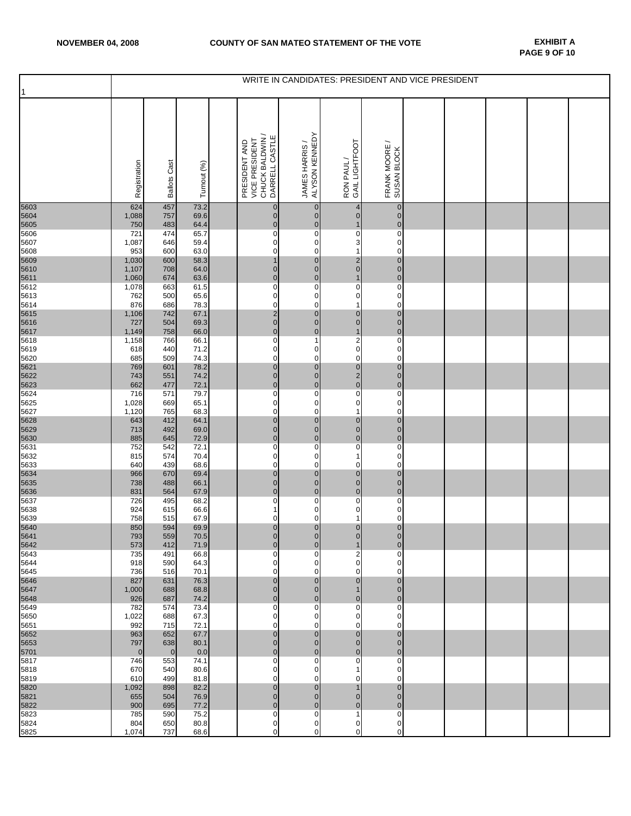| 1            | WRITE IN CANDIDATES: PRESIDENT AND VICE PRESIDENT |                     |              |  |                                                                      |                                  |                                            |                                                          |  |  |  |  |  |
|--------------|---------------------------------------------------|---------------------|--------------|--|----------------------------------------------------------------------|----------------------------------|--------------------------------------------|----------------------------------------------------------|--|--|--|--|--|
|              | Registration                                      | <b>Ballots Cast</b> | Turnout (%)  |  | CHUCK BALDWIN /<br>DARRELL CASTLE<br>VICE PRESIDENT<br>PRESIDENT AND | JAMES HARRIS /<br>ALYSON KENNEDY | GAIL LIGHTFOOT<br>RON PAUL/                | $\overline{\phantom{0}}$<br>FRANK MOORE /<br>SUSAN BLOCK |  |  |  |  |  |
| 5603<br>5604 | 624<br>1,088                                      | 457<br>757          | 73.2<br>69.6 |  | $\pmb{0}$<br>$\pmb{0}$                                               | $\mathbf{0}$<br>$\mathbf 0$      | 4<br>$\mathbf 0$                           | $\pmb{0}$<br>$\mathbf 0$                                 |  |  |  |  |  |
| 5605         | 750                                               | 483                 | 64.4         |  | $\pmb{0}$                                                            | $\overline{0}$                   | $\mathbf{1}$                               | $\pmb{0}$                                                |  |  |  |  |  |
| 5606<br>5607 | 721<br>1,087                                      | 474<br>646          | 65.7<br>59.4 |  | 0<br>0                                                               | 0<br>0                           | 0<br>3                                     | 0<br>0                                                   |  |  |  |  |  |
| 5608         | 953                                               | 600                 | 63.0         |  | 0                                                                    | 0                                | $\mathbf{1}$                               | $\mathbf 0$                                              |  |  |  |  |  |
| 5609         | 1,030                                             | 600                 | 58.3         |  | $\mathbf{1}$                                                         | $\mathbf 0$                      | $\frac{2}{0}$                              | $\pmb{0}$                                                |  |  |  |  |  |
| 5610<br>5611 | 1,107<br>1,060                                    | 708<br>674          | 64.0<br>63.6 |  | $\pmb{0}$<br>$\mathbf 0$                                             | $\overline{0}$<br>$\mathbf 0$    | $\mathbf{1}$                               | $\mathbf 0$<br>$\mathbf 0$                               |  |  |  |  |  |
| 5612         | 1,078                                             | 663                 | 61.5         |  | 0                                                                    | 0                                | $\overline{0}$                             | $\pmb{0}$                                                |  |  |  |  |  |
| 5613<br>5614 | 762<br>876                                        | 500<br>686          | 65.6<br>78.3 |  | 0<br>0                                                               | 0<br>0                           | 0<br>1                                     | $\mathbf 0$<br>0                                         |  |  |  |  |  |
| 5615         | 1,106                                             | 742                 | 67.1         |  | $\frac{2}{0}$                                                        | $\mathbf 0$                      | $\pmb{0}$                                  | $\mathbf 0$                                              |  |  |  |  |  |
| 5616         | 727                                               | 504                 | 69.3         |  | $\mathbf 0$                                                          | $\overline{0}$<br>$\mathbf 0$    | $\mathbf 0$<br>$\mathbf{1}$                | $\mathbf 0$<br>$\mathbf 0$                               |  |  |  |  |  |
| 5617<br>5618 | 1,149<br>1,158                                    | 758<br>766          | 66.0<br>66.1 |  | 0                                                                    | 1                                |                                            | $\pmb{0}$                                                |  |  |  |  |  |
| 5619         | 618                                               | 440                 | 71.2         |  | 0                                                                    | 0                                | $\frac{2}{0}$                              | $\mathbf 0$                                              |  |  |  |  |  |
| 5620<br>5621 | 685<br>769                                        | 509<br>601          | 74.3<br>78.2 |  | 0<br>$\overline{0}$                                                  | 0<br>$\pmb{0}$                   | $\mathbf 0$                                | 0<br>$\pmb{0}$                                           |  |  |  |  |  |
| 5622         | 743                                               | 551                 | 74.2         |  | $\pmb{0}$                                                            | $\mathbf 0$                      | $\begin{array}{c} 0 \\ 2 \\ 0 \end{array}$ | $\mathbf 0$                                              |  |  |  |  |  |
| 5623<br>5624 | 662<br>716                                        | 477<br>571          | 72.1<br>79.7 |  | $\pmb{0}$<br>0                                                       | $\overline{0}$<br>0              |                                            | $\pmb{0}$<br>0                                           |  |  |  |  |  |
| 5625         | 1,028                                             | 669                 | 65.1         |  | 0                                                                    | 0                                | 0                                          | 0                                                        |  |  |  |  |  |
| 5627         | 1,120                                             | 765                 | 68.3         |  | 0                                                                    | $\mathbf 0$                      | $\mathbf{1}$                               | $\mathbf 0$                                              |  |  |  |  |  |
| 5628<br>5629 | 643<br>713                                        | 412<br>492          | 64.1<br>69.0 |  | $\pmb{0}$<br>$\pmb{0}$                                               | $\overline{0}$<br>$\overline{0}$ | $\pmb{0}$                                  | $\mathbf 0$<br>$\mathbf 0$                               |  |  |  |  |  |
| 5630         | 885                                               | 645                 | 72.9         |  | $\mathbf 0$                                                          | $\mathbf 0$                      | $\begin{matrix}0\\0\end{matrix}$           | $\mathbf 0$                                              |  |  |  |  |  |
| 5631<br>5632 | 752<br>815                                        | 542<br>574          | 72.1<br>70.4 |  | 0<br>0                                                               | 0<br>0                           | $\overline{0}$<br>1                        | 0<br>0                                                   |  |  |  |  |  |
| 5633         | 640                                               | 439                 | 68.6         |  | 0                                                                    | 0                                | 0                                          | 0                                                        |  |  |  |  |  |
| 5634<br>5635 | 966<br>738                                        | 670<br>488          | 69.4<br>66.1 |  | $\pmb{0}$<br>$\pmb{0}$                                               | 0<br>$\overline{0}$              | $\pmb{0}$<br>$\mathbf 0$                   | $\mathbf 0$<br>$\mathbf 0$                               |  |  |  |  |  |
| 5636         | 831                                               | 564                 | 67.9         |  | $\mathbf 0$                                                          | $\overline{0}$                   | $\mathbf 0$                                | $\mathbf 0$                                              |  |  |  |  |  |
| 5637         | 726                                               | 495                 | 68.2         |  | 0                                                                    | 0                                | $\overline{\text{o}}$                      | 0                                                        |  |  |  |  |  |
| 5638<br>5639 | 924<br>758                                        | 615<br>515          | 66.6<br>67.9 |  | 1<br>0                                                               | $\mathbf 0$<br>0                 | 0<br>$\mathbf{1}$                          | $\pmb{0}$<br>$\mathbf 0$                                 |  |  |  |  |  |
| 5640<br>5641 | 850                                               | 594                 | 69.9         |  | $\bf{0}$                                                             | $\pmb{0}$                        | $\begin{matrix} 0 \\ 0 \end{matrix}$       | $\pmb{0}$                                                |  |  |  |  |  |
| 5642         | 793<br>573                                        | 559<br>412          | 70.5<br>71.9 |  | $\overline{0}$<br>0                                                  | $\overline{0}$<br>$\mathbf 0$    | 1                                          | $\overline{0}$<br>$\mathbf 0$                            |  |  |  |  |  |
| 5643         | 735                                               | 491                 | 66.8         |  | 0                                                                    | 0                                | 2                                          | 0                                                        |  |  |  |  |  |
| 5644<br>5645 | 918<br>736                                        | 590<br>516          | 64.3<br>70.1 |  | 0<br>0                                                               | 0<br>$\mathbf 0$                 | 0<br>0                                     | 0<br>$\Omega$                                            |  |  |  |  |  |
| 5646         | 827                                               | 631                 | 76.3         |  | $\mathbf 0$                                                          | $\mathbf 0$                      | $\mathbf 0$                                | $\overline{0}$                                           |  |  |  |  |  |
| 5647         | 1,000                                             | 688                 | 68.8         |  | $\mathbf 0$                                                          | $\overline{0}$                   | $\mathbf{1}$                               | $\mathbf 0$                                              |  |  |  |  |  |
| 5648<br>5649 | 926<br>782                                        | 687<br>574          | 74.2<br>73.4 |  | $\mathbf 0$<br>0                                                     | $\overline{0}$<br>0              | $\pmb{0}$<br>0                             | $\mathbf 0$<br>0                                         |  |  |  |  |  |
| 5650         | 1,022                                             | 688                 | 67.3         |  | 0                                                                    | 0                                | 0                                          | 0                                                        |  |  |  |  |  |
| 5651<br>5652 | 992<br>963                                        | 715<br>652          | 72.1<br>67.7 |  | 0<br>$\mathbf 0$                                                     | 0<br>$\mathbf 0$                 | 0<br>$\mathbf 0$                           | 0<br>$\mathbf 0$                                         |  |  |  |  |  |
| 5653         | 797                                               | 638                 | 80.1         |  | $\mathbf 0$                                                          | $\overline{0}$                   | $\mathbf 0$                                | $\overline{0}$                                           |  |  |  |  |  |
| 5701<br>5817 | $\overline{0}$<br>746                             | $\mathbf 0$<br>553  | 0.0<br>74.1  |  | $\mathbf 0$<br>0                                                     | $\overline{0}$<br>0              | $\mathbf 0$<br>0                           | $\mathbf 0$<br>0                                         |  |  |  |  |  |
| 5818         | 670                                               | 540                 | 80.6         |  | 0                                                                    | 0                                | 1                                          | 0                                                        |  |  |  |  |  |
| 5819<br>5820 | 610<br>1,092                                      | 499<br>898          | 81.8<br>82.2 |  | 0<br>$\mathbf 0$                                                     | 0<br>$\mathbf 0$                 | 0<br>1                                     | 0<br>$\mathbf 0$                                         |  |  |  |  |  |
| 5821         | 655                                               | 504                 | 76.9         |  | $\pmb{0}$                                                            | $\mathbf 0$                      | $\mathbf 0$                                | $\overline{0}$                                           |  |  |  |  |  |
| 5822         | 900                                               | 695                 | 77.2         |  | $\pmb{0}$                                                            | $\mathbf 0$                      | $\mathbf 0$                                | $\mathbf 0$                                              |  |  |  |  |  |
| 5823<br>5824 | 785<br>804                                        | 590<br>650          | 75.2<br>80.8 |  | 0<br>0                                                               | 0<br>0                           | 1<br>0                                     | 0<br>$\mathbf 0$                                         |  |  |  |  |  |
| 5825         | 1,074                                             | 737                 | 68.6         |  | 0                                                                    | 0                                | 0                                          | 0                                                        |  |  |  |  |  |